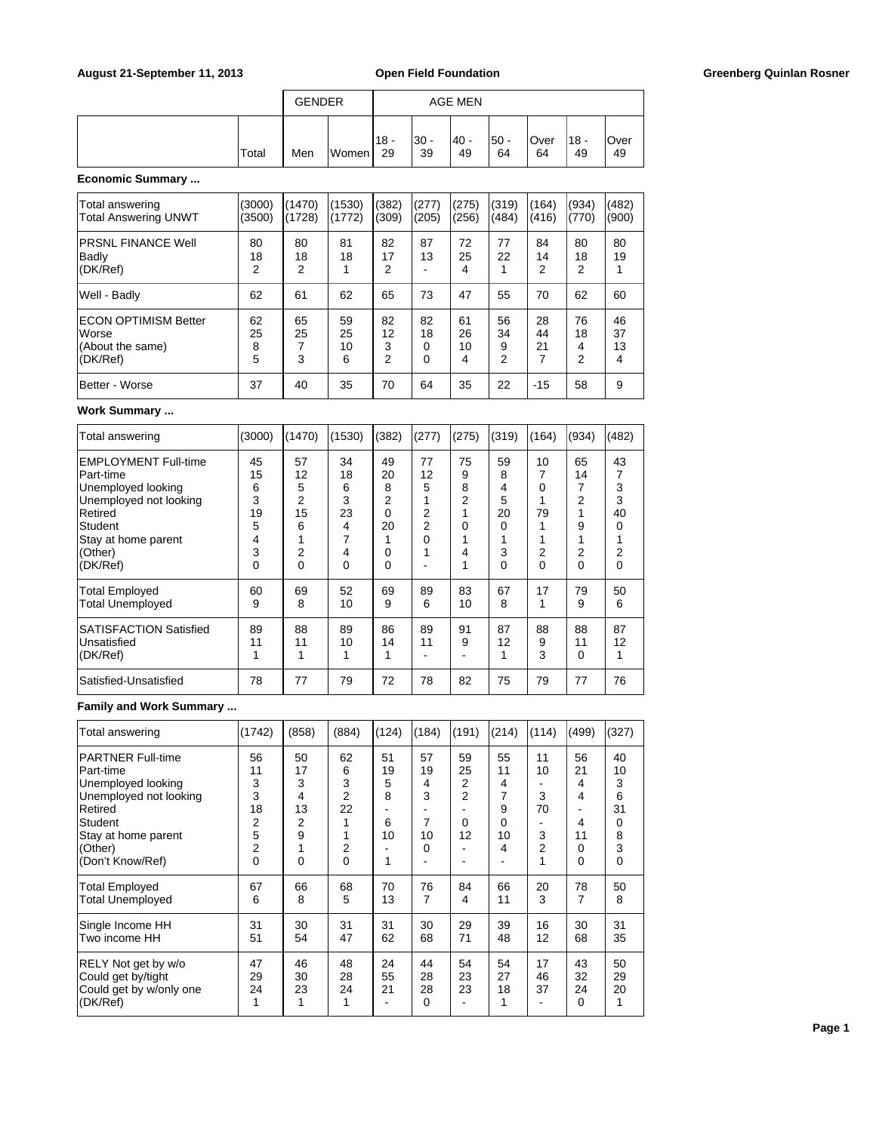|                  |       | <b>GENDER</b> |       |               |             | <b>AGE MEN</b> |             |            |            |            |
|------------------|-------|---------------|-------|---------------|-------------|----------------|-------------|------------|------------|------------|
|                  | Total | Men           | Women | $118 -$<br>29 | l30 -<br>39 | 40 -<br>49     | !50 -<br>64 | Over<br>64 | 18 -<br>49 | Over<br>49 |
| Economic Summary |       |               |       |               |             |                |             |            |            |            |

Total answering (3000) (1470) (1530) (382) (277) (275) (319) (164) (934) (482) Total Answering UNWT (3500) (1728) (1772) (309) (205) (256) (484) (416) (770) (900) PRSNL FINANCE Well 80 80 81 82 87 72 77 84 80 80

| Badly<br>(DK/Ref)                                                                   | 18<br>2            | 18<br>2       | 18                  | 17<br>っ            | 13                 | 25<br>4             | 22                 | 14<br>2        | 18<br>2            | 19                  |
|-------------------------------------------------------------------------------------|--------------------|---------------|---------------------|--------------------|--------------------|---------------------|--------------------|----------------|--------------------|---------------------|
| Well - Badly                                                                        | 62                 | 61            | 62                  | 65                 | 73                 | 47                  | 55                 | 70             | 62                 | 60                  |
| <b>IECON OPTIMISM Better</b><br><i><b>Norse</b></i><br>(About the same)<br>(DK/Ref) | 62<br>25<br>8<br>5 | 65<br>25<br>3 | 59<br>25<br>10<br>6 | 82<br>12<br>3<br>⌒ | 82<br>18<br>0<br>0 | 61<br>26<br>10<br>4 | 56<br>34<br>9<br>2 | 28<br>44<br>21 | 76<br>18<br>4<br>2 | 46<br>37<br>13<br>4 |
| Better - Worse                                                                      | 37                 | 40            | 35                  | 70                 | 64                 | 35                  | 22                 | $-15$          | 58                 | 9                   |

### **Work Summary ...**

| Total answering                                                                                                                            | (3000)                                  | (1470)                             | (1530)                             | (382)                              | (277)                        | (275)                       | (319)                             | (164)                   | (934)                   | (482)                             |
|--------------------------------------------------------------------------------------------------------------------------------------------|-----------------------------------------|------------------------------------|------------------------------------|------------------------------------|------------------------------|-----------------------------|-----------------------------------|-------------------------|-------------------------|-----------------------------------|
| EMPLOYMENT Full-time<br>lPart-time<br>Unemployed looking<br>Unemployed not looking<br>Retired<br>Student<br>Stay at home parent<br>(Other) | 45<br>15<br>6<br>3<br>19<br>5<br>4<br>3 | 57<br>12<br>5<br>2<br>15<br>6<br>2 | 34<br>18<br>6<br>3<br>23<br>4<br>4 | 49<br>20<br>8<br>2<br>0<br>20<br>0 | 77<br>12<br>5<br>2<br>2<br>0 | 75<br>9<br>8<br>2<br>0<br>4 | 59<br>8<br>4<br>5<br>20<br>0<br>3 | 10<br>7<br>0<br>79<br>2 | 65<br>14<br>2<br>9<br>2 | 43<br>7<br>3<br>3<br>40<br>0<br>2 |
| (DK/Ref)                                                                                                                                   | 0                                       | 0                                  | $\Omega$                           | 0                                  |                              | 1                           | 0                                 | 0                       | $\Omega$                | 0                                 |
| <b>Total Employed</b><br><b>Total Unemployed</b>                                                                                           | 60<br>9                                 | 69<br>8                            | 52<br>10                           | 69<br>9                            | 89<br>6                      | 83<br>10                    | 67<br>8                           | 17<br>1                 | 79<br>9                 | 50<br>6                           |
| <b>SATISFACTION Satisfied</b><br><b>Unsatisfied</b><br>(DK/Ref)                                                                            | 89<br>11                                | 88<br>11                           | 89<br>10                           | 86<br>14                           | 89<br>11                     | 91<br>9                     | 87<br>12                          | 88<br>9<br>3            | 88<br>11<br>$\Omega$    | 87<br>12                          |
| Satisfied-Unsatisfied                                                                                                                      | 78                                      | 77                                 | 79                                 | 72                                 | 78                           | 82                          | 75                                | 79                      | 77                      | 76                                |

# **Family and Work Summary ...**

| Total answering                                                                                                                               | (1742)                                  | (858)                              | (884)                        | (124)                         | (184)                              | (191)                         | (214)                                   | (114)                         | (499)                              | (327)                                   |
|-----------------------------------------------------------------------------------------------------------------------------------------------|-----------------------------------------|------------------------------------|------------------------------|-------------------------------|------------------------------------|-------------------------------|-----------------------------------------|-------------------------------|------------------------------------|-----------------------------------------|
| <b>PARTNER Full-time</b><br>Part-time<br>Unemployed looking<br>Unemployed not looking<br>Retired<br>Student<br>Stay at home parent<br>(Other) | 56<br>11<br>3<br>3<br>18<br>2<br>5<br>2 | 50<br>17<br>3<br>4<br>13<br>2<br>9 | 62<br>6<br>3<br>2<br>22<br>2 | 51<br>19<br>5<br>8<br>6<br>10 | 57<br>19<br>4<br>3<br>7<br>10<br>0 | 59<br>25<br>2<br>2<br>0<br>12 | 55<br>11<br>4<br>7<br>9<br>0<br>10<br>4 | 11<br>10<br>3<br>70<br>3<br>2 | 56<br>21<br>4<br>4<br>4<br>11<br>0 | 40<br>10<br>3<br>6<br>31<br>0<br>8<br>3 |
| (Don't Know/Ref)<br><b>Total Employed</b><br>Total Unemployed                                                                                 | 0<br>67<br>6                            | 0<br>66<br>8                       | $\mathbf 0$<br>68<br>5       | 70<br>13                      | 76<br>7                            | ۰<br>84<br>4                  | 66<br>11                                | 1<br>20<br>3                  | 0<br>78<br>7                       | $\mathbf 0$<br>50<br>8                  |
| Single Income HH<br>Two income HH                                                                                                             | 31<br>51                                | 30<br>54                           | 31<br>47                     | 31<br>62                      | 30<br>68                           | 29<br>71                      | 39<br>48                                | 16<br>12                      | 30<br>68                           | 31<br>35                                |
| RELY Not get by w/o<br>Could get by/tight<br>Could get by w/only one<br>(DK/Ref)                                                              | 47<br>29<br>24<br>1                     | 46<br>30<br>23                     | 48<br>28<br>24               | 24<br>55<br>21                | 44<br>28<br>28<br>0                | 54<br>23<br>23                | 54<br>27<br>18                          | 17<br>46<br>37                | 43<br>32<br>24<br>$\mathbf 0$      | 50<br>29<br>20                          |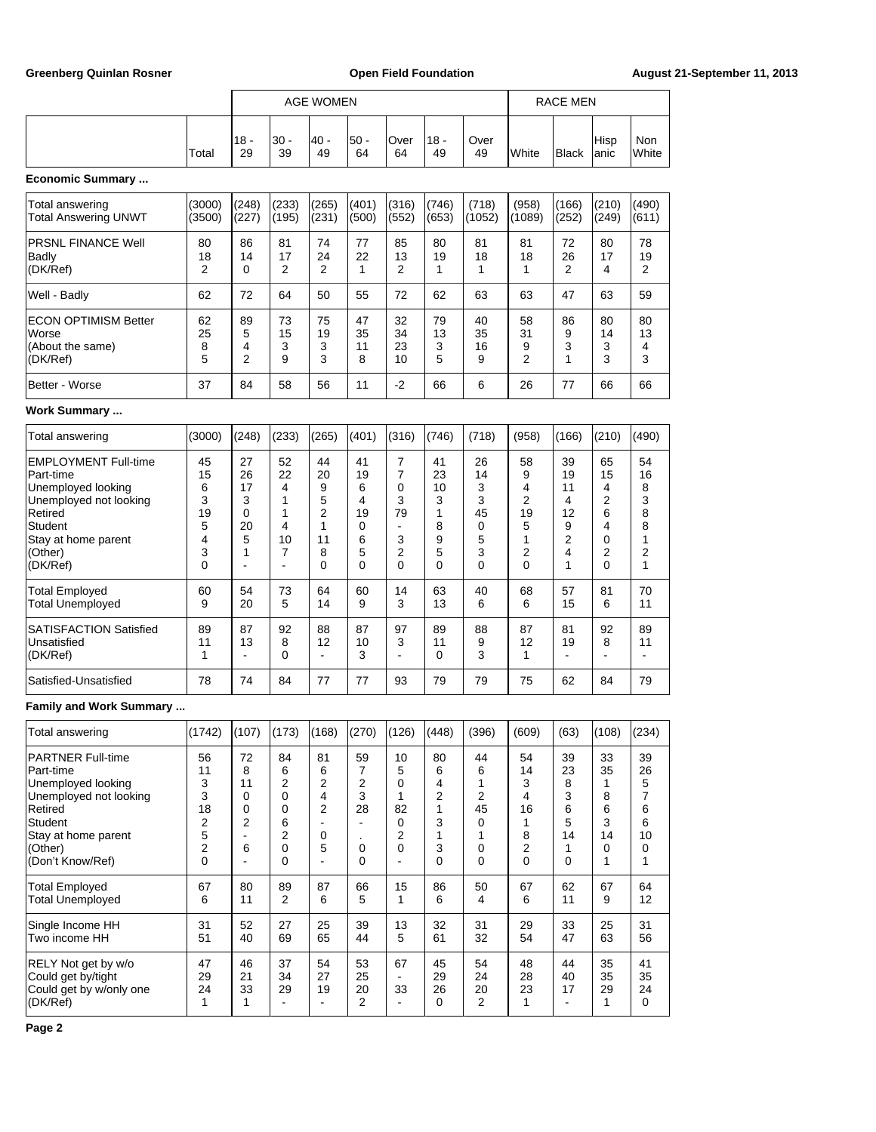|                                                                                                                                                                   |                                                           |                                          |                                               | <b>AGE WOMEN</b>                                                          |                                                               |                                                                             |                                                       |                                                       |                                                    | <b>RACE MEN</b>                               |                                                          |                                              |
|-------------------------------------------------------------------------------------------------------------------------------------------------------------------|-----------------------------------------------------------|------------------------------------------|-----------------------------------------------|---------------------------------------------------------------------------|---------------------------------------------------------------|-----------------------------------------------------------------------------|-------------------------------------------------------|-------------------------------------------------------|----------------------------------------------------|-----------------------------------------------|----------------------------------------------------------|----------------------------------------------|
|                                                                                                                                                                   | Total                                                     | 18 -<br>29                               | $30 -$<br>39                                  | 40 -<br>49                                                                | $50 -$<br>64                                                  | Over<br>64                                                                  | $18 -$<br>49                                          | Over<br>49                                            | White                                              | <b>Black</b>                                  | Hisp<br>anic                                             | Non<br>White                                 |
| <b>Economic Summary </b>                                                                                                                                          |                                                           |                                          |                                               |                                                                           |                                                               |                                                                             |                                                       |                                                       |                                                    |                                               |                                                          |                                              |
| Total answering<br>Total Answering UNWT                                                                                                                           | (3000)<br>(3500)                                          | (248)<br>(227)                           | (233)<br>(195)                                | (265)<br>(231)                                                            | (401)<br>(500)                                                | (316)<br>(552)                                                              | (746)<br>(653)                                        | (718)<br>(1052)                                       | (958)<br>(1089)                                    | (166)<br>(252)                                | (210)<br>(249)                                           | (490)<br>(611)                               |
| <b>PRSNL FINANCE Well</b><br>Badly<br>(DK/Ref)                                                                                                                    | 80<br>18<br>2                                             | 86<br>14<br>0                            | 81<br>17<br>2                                 | 74<br>24<br>2                                                             | 77<br>22<br>1                                                 | 85<br>13<br>2                                                               | 80<br>19<br>1                                         | 81<br>18<br>1                                         | 81<br>18<br>1                                      | 72<br>26<br>$\overline{2}$                    | 80<br>17<br>4                                            | 78<br>19<br>2                                |
| Well - Badly                                                                                                                                                      | 62                                                        | 72                                       | 64                                            | 50                                                                        | 55                                                            | 72                                                                          | 62                                                    | 63                                                    | 63                                                 | 47                                            | 63                                                       | 59                                           |
| ECON OPTIMISM Better<br>Worse<br>(About the same)<br>(DK/Ref)                                                                                                     | 62<br>25<br>8<br>5                                        | 89<br>5<br>4<br>2                        | 73<br>15<br>3<br>9                            | 75<br>19<br>3<br>3                                                        | 47<br>35<br>11<br>8                                           | 32<br>34<br>23<br>10                                                        | 79<br>13<br>3<br>5                                    | 40<br>35<br>16<br>9                                   | 58<br>31<br>9<br>$\overline{2}$                    | 86<br>9<br>3<br>1                             | 80<br>14<br>3<br>3                                       | 80<br>13<br>4<br>3                           |
| Better - Worse                                                                                                                                                    | 37                                                        | 84                                       | 58                                            | 56                                                                        | 11                                                            | $-2$                                                                        | 66                                                    | 6                                                     | 26                                                 | 77                                            | 66                                                       | 66                                           |
| Work Summary                                                                                                                                                      |                                                           |                                          |                                               |                                                                           |                                                               |                                                                             |                                                       |                                                       |                                                    |                                               |                                                          |                                              |
| Total answering                                                                                                                                                   | (3000)                                                    | (248)                                    | (233)                                         | (265)                                                                     | (401)                                                         | (316)                                                                       | (746)                                                 | (718)                                                 | (958)                                              | (166)                                         | (210)                                                    | (490)                                        |
| <b>EMPLOYMENT Full-time</b><br>Part-time<br>Unemployed looking<br>Unemployed not looking<br>Retired<br>Student<br>Stay at home parent<br>(Other)<br>(DK/Ref)      | 45<br>15<br>6<br>3<br>19<br>5<br>4<br>3<br>$\mathbf{0}$   | 27<br>26<br>17<br>3<br>0<br>20<br>5<br>1 | 52<br>22<br>4<br>1<br>1<br>4<br>10<br>7<br>ä, | 44<br>20<br>9<br>5<br>2<br>1<br>11<br>8<br>$\Omega$                       | 41<br>19<br>6<br>4<br>19<br>$\mathbf 0$<br>6<br>5<br>$\Omega$ | 7<br>$\overline{7}$<br>0<br>3<br>79<br>$\overline{a}$<br>3<br>2<br>$\Omega$ | 41<br>23<br>10<br>3<br>1<br>8<br>9<br>5<br>0          | 26<br>14<br>3<br>3<br>45<br>0<br>5<br>3<br>0          | 58<br>9<br>4<br>2<br>19<br>5<br>1<br>2<br>$\Omega$ | 39<br>19<br>11<br>4<br>12<br>9<br>2<br>4<br>1 | 65<br>15<br>4<br>$\overline{2}$<br>6<br>4<br>0<br>2<br>0 | 54<br>16<br>8<br>3<br>8<br>8<br>1<br>2<br>1  |
| <b>Total Employed</b><br><b>Total Unemployed</b>                                                                                                                  | 60<br>9                                                   | 54<br>20                                 | 73<br>5                                       | 64<br>14                                                                  | 60<br>9                                                       | 14<br>3                                                                     | 63<br>13                                              | 40<br>6                                               | 68<br>6                                            | 57<br>15                                      | 81<br>6                                                  | 70<br>11                                     |
| <b>SATISFACTION Satisfied</b><br>Unsatisfied<br>(DK/Ref)                                                                                                          | 89<br>11<br>1                                             | 87<br>13<br>ä,                           | 92<br>8<br>0                                  | 88<br>12<br>ä,                                                            | 87<br>10<br>3                                                 | 97<br>3<br>$\overline{a}$                                                   | 89<br>11<br>0                                         | 88<br>9<br>3                                          | 87<br>12<br>1                                      | 81<br>19<br>÷,                                | 92<br>8<br>ä,                                            | 89<br>11<br>÷,                               |
| Satisfied-Unsatisfied                                                                                                                                             | 78                                                        | 74                                       | 84                                            | 77                                                                        | 77                                                            | 93                                                                          | 79                                                    | 79                                                    | 75                                                 | 62                                            | 84                                                       | 79                                           |
| <b>Family and Work Summary </b>                                                                                                                                   |                                                           |                                          |                                               |                                                                           |                                                               |                                                                             |                                                       |                                                       |                                                    |                                               |                                                          |                                              |
| Total answering                                                                                                                                                   | (1742)                                                    | (107)                                    | (173)                                         | (168)                                                                     | (270)                                                         | (126)                                                                       | (448)                                                 | (396)                                                 | (609)                                              | (63)                                          | (108)                                                    | (234)                                        |
| <b>PARTNER Full-time</b><br>Part-time<br>Unemployed looking<br>Unemployed not looking<br>Retired<br>Student<br>Stay at home parent<br>(Other)<br>(Don't Know/Ref) | 56<br>11<br>3<br>3<br>18<br>2<br>5<br>$\overline{c}$<br>0 | 72<br>8<br>11<br>0<br>0<br>2<br>6<br>ä,  | 84<br>6<br>2<br>0<br>0<br>6<br>2<br>0<br>0    | 81<br>6<br>2<br>4<br>$\overline{2}$<br>$\mathbf 0$<br>5<br>$\blacksquare$ | 59<br>7<br>$\sqrt{2}$<br>3<br>28<br>$\blacksquare$<br>0<br>0  | 10<br>5<br>0<br>1<br>82<br>0<br>2<br>0<br>$\overline{a}$                    | 80<br>6<br>4<br>2<br>$\mathbf{1}$<br>3<br>1<br>3<br>0 | 44<br>6<br>1<br>2<br>45<br>0<br>1<br>0<br>$\mathbf 0$ | 54<br>14<br>3<br>4<br>16<br>1<br>8<br>2<br>0       | 39<br>23<br>8<br>3<br>6<br>5<br>14<br>1<br>0  | 33<br>35<br>1<br>8<br>6<br>3<br>14<br>0<br>1             | 39<br>26<br>5<br>7<br>6<br>6<br>10<br>0<br>1 |
| <b>Total Employed</b><br><b>Total Unemployed</b>                                                                                                                  | 67<br>6                                                   | 80<br>11                                 | 89<br>2                                       | 87<br>6                                                                   | 66<br>5                                                       | 15<br>$\mathbf{1}$                                                          | 86<br>6                                               | 50<br>4                                               | 67<br>6                                            | 62<br>11                                      | 67<br>9                                                  | 64<br>12                                     |
| Single Income HH<br>Two income HH                                                                                                                                 | 31<br>51                                                  | 52<br>40                                 | 27<br>69                                      | 25<br>65                                                                  | 39<br>44                                                      | 13<br>5                                                                     | 32<br>61                                              | 31<br>32                                              | 29<br>54                                           | 33<br>47                                      | 25<br>63                                                 | 31<br>56                                     |
| RELY Not get by w/o<br>Could get by/tight<br>Could get by w/only one<br>(DK/Ref)                                                                                  | 47<br>29<br>24<br>1                                       | 46<br>21<br>33<br>1                      | 37<br>34<br>29<br>$\blacksquare$              | 54<br>27<br>19                                                            | 53<br>25<br>20<br>$\overline{2}$                              | 67<br>33                                                                    | 45<br>29<br>26<br>0                                   | 54<br>24<br>20<br>2                                   | 48<br>28<br>23<br>1                                | 44<br>40<br>17<br>ä,                          | 35<br>35<br>29<br>$\mathbf{1}$                           | 41<br>35<br>24<br>0                          |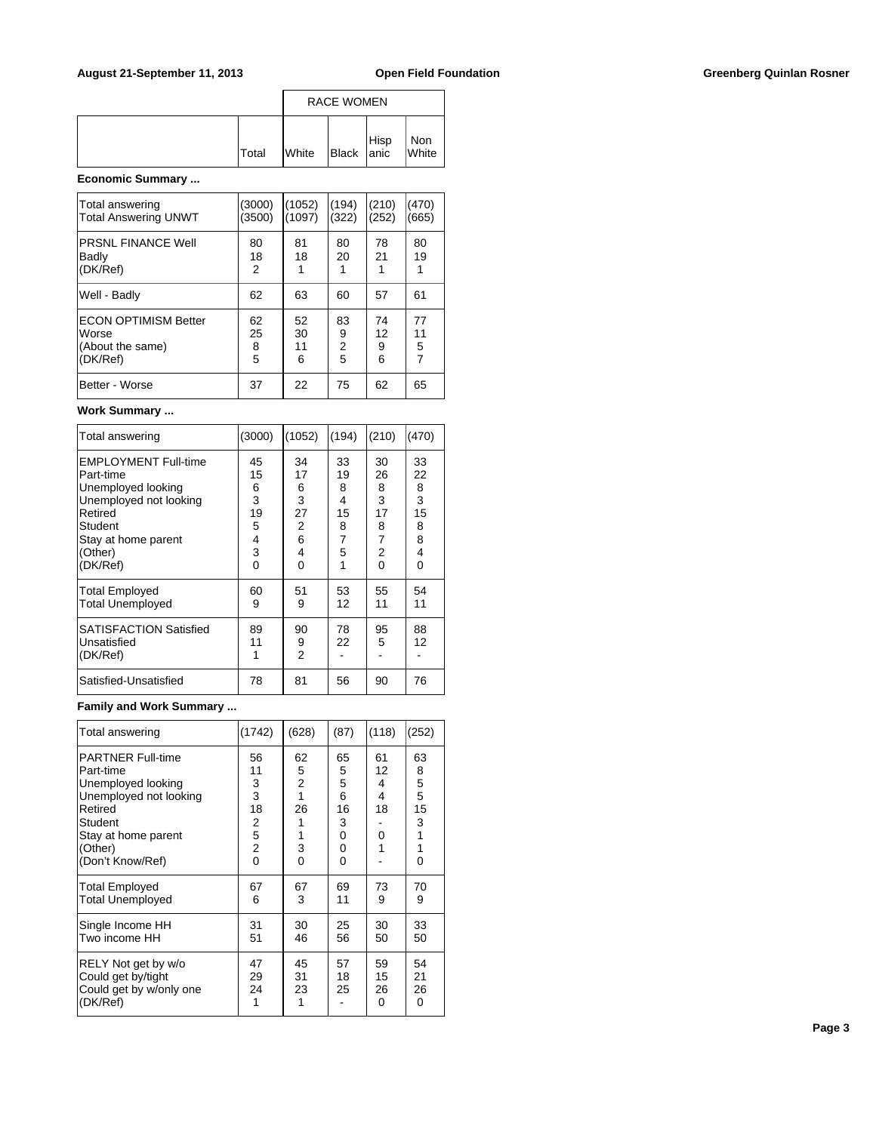|              | <b>RACE WOMEN</b> |                                                                                |  |              |  |
|--------------|-------------------|--------------------------------------------------------------------------------|--|--------------|--|
| <b>Total</b> | <b>White</b>      | $\left  \begin{array}{c} \text{Hisp} \\ \text{Black} \end{array} \right $ anic |  | Non<br>White |  |

# **Economic Summary ...**

| Total answering<br><b>Total Answering UNWT</b>                       | (3000)<br>(3500)   | (1052)<br>(1097)    | (194)<br>(322)           | (210)<br>(252)     | (470)<br>(665)                  |
|----------------------------------------------------------------------|--------------------|---------------------|--------------------------|--------------------|---------------------------------|
| <b>PRSNL FINANCE Well</b><br>Badly<br>(DK/Ref)                       | 80<br>18<br>2      | 81<br>18            | 80<br>20                 | 78<br>21           | 80<br>19                        |
| Well - Badly                                                         | 62                 | 63                  | 60                       | 57                 | 61                              |
| <b>ECON OPTIMISM Better</b><br>Worse<br>(About the same)<br>(DK/Ref) | 62<br>25<br>8<br>5 | 52<br>30<br>11<br>6 | 83<br>9<br>$\frac{2}{5}$ | 74<br>12<br>9<br>6 | 77<br>11<br>5<br>$\overline{7}$ |
| Better - Worse                                                       | 37                 | 22                  | 75                       | 62                 | 65                              |

### **Work Summary ...**

| Total answering                                                                                                | (3000)                        | (1052)                        | (194)                    | (210)                         | (470)                    |
|----------------------------------------------------------------------------------------------------------------|-------------------------------|-------------------------------|--------------------------|-------------------------------|--------------------------|
| <b>EMPLOYMENT Full-time</b><br>Part-time<br>Unemployed looking<br>Unemployed not looking<br>Retired<br>Student | 45<br>15<br>6<br>3<br>19<br>5 | 34<br>17<br>6<br>3<br>27<br>2 | 33<br>19<br>8<br>4<br>15 | 30<br>26<br>8<br>3<br>17<br>8 | 33<br>22<br>8<br>3<br>15 |
| Stay at home parent<br>(Other)<br>(DK/Ref)                                                                     | 4<br>3<br>0                   | 6<br>4<br>$\Omega$            | 8<br>7<br>5<br>1         | 7<br>2<br>0                   | 8<br>8<br>4<br>0         |
| <b>Total Employed</b><br><b>Total Unemployed</b>                                                               | 60<br>9                       | 51<br>9                       | 53<br>12                 | 55<br>11                      | 54<br>11                 |
| <b>SATISFACTION Satisfied</b><br>Unsatisfied<br>(DK/Ref)                                                       | 89<br>11<br>1                 | 90<br>9<br>2                  | 78<br>22                 | 95<br>5                       | 88<br>12                 |
| Satisfied-Unsatisfied                                                                                          | 78                            | 81                            | 56                       | 90                            | 76                       |

# **Family and Work Summary ...**

| Total answering                                                                                                                                                    | (1742)                                                           | (628)                                                      | (87)                                                      | (118)                              | (252)                                       |
|--------------------------------------------------------------------------------------------------------------------------------------------------------------------|------------------------------------------------------------------|------------------------------------------------------------|-----------------------------------------------------------|------------------------------------|---------------------------------------------|
| <b>PARTNER Full-time</b><br>lPart-time<br>Unemployed looking<br>Unemployed not looking<br>Retired<br>Student<br>Stay at home parent<br>(Other)<br>(Don't Know/Ref) | 56<br>11<br>3<br>3<br>18<br>2<br>5<br>$\overline{c}$<br>$\Omega$ | 62<br>5<br>$\overline{2}$<br>1<br>26<br>1<br>3<br>$\Omega$ | 65<br>5<br>5<br>6<br>16<br>3<br>$\Omega$<br>0<br>$\Omega$ | 61<br>12<br>4<br>4<br>18<br>0<br>1 | 63<br>8<br>5<br>5<br>15<br>3<br>1<br>1<br>0 |
| Total Employed<br><b>Total Unemployed</b>                                                                                                                          | 67<br>6                                                          | 67<br>3                                                    | 69<br>11                                                  | 73<br>9                            | 70<br>9                                     |
| Single Income HH<br>Two income HH                                                                                                                                  | 31<br>51                                                         | 30<br>46                                                   | 25<br>56                                                  | 30<br>50                           | 33<br>50                                    |
| RELY Not get by w/o<br>Could get by/tight<br>Could get by w/only one<br>(DK/Ref)                                                                                   | 47<br>29<br>24<br>1                                              | 45<br>31<br>23                                             | 57<br>18<br>25                                            | 59<br>15<br>26<br>0                | 54<br>21<br>26<br>0                         |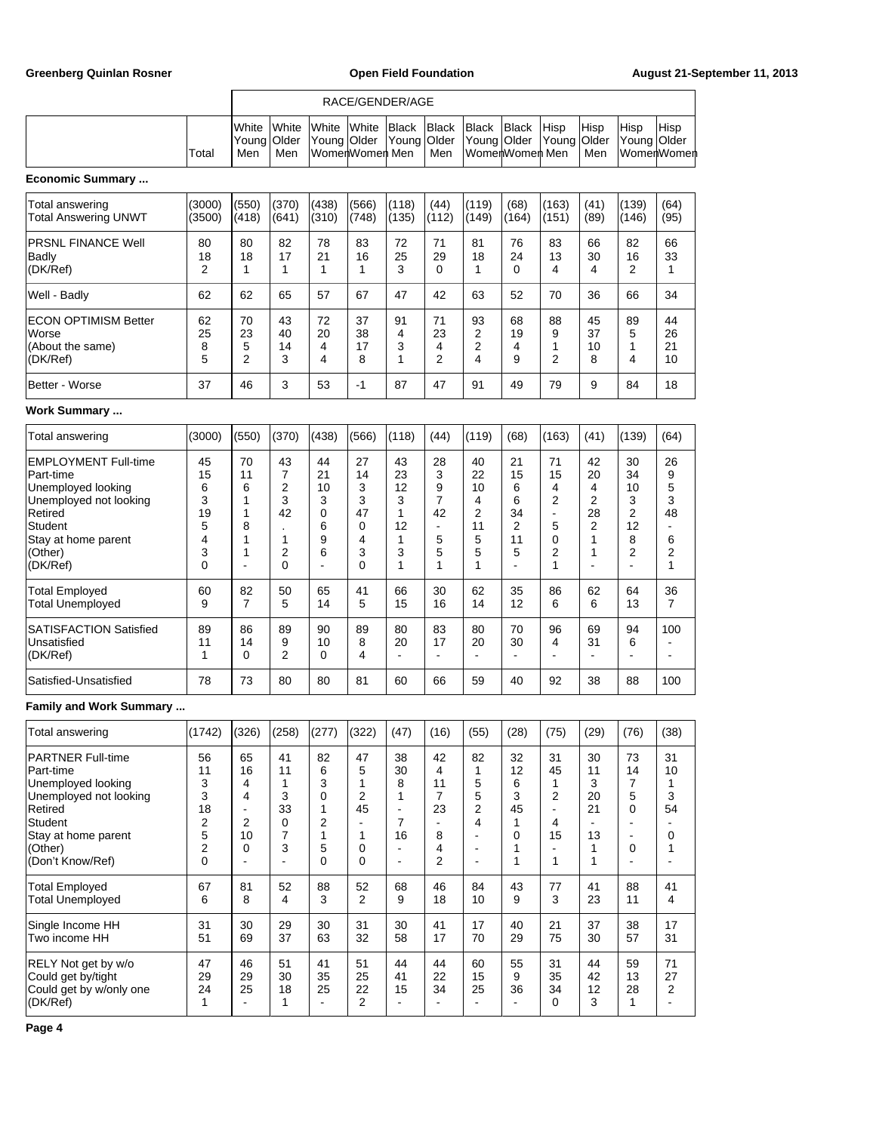|                                                                                                                                                                   |                                                        |                                              |                                         |                                                                           |                                                         | RACE/GENDER/AGE                                              |                                                                    |                                                                                          |                                                        |                                              |                                                                   |                                                                  |                                              |
|-------------------------------------------------------------------------------------------------------------------------------------------------------------------|--------------------------------------------------------|----------------------------------------------|-----------------------------------------|---------------------------------------------------------------------------|---------------------------------------------------------|--------------------------------------------------------------|--------------------------------------------------------------------|------------------------------------------------------------------------------------------|--------------------------------------------------------|----------------------------------------------|-------------------------------------------------------------------|------------------------------------------------------------------|----------------------------------------------|
|                                                                                                                                                                   | Total                                                  | White<br>Young<br>Men                        | White<br>Older<br>Men                   | White<br>Young Older                                                      | White<br>WomenWomen Men                                 | Black<br>Young                                               | <b>Black</b><br>Older<br>Men                                       | <b>Black</b><br>Young Older                                                              | <b>Black</b><br>WomenWomen Men                         | Hisp<br>Young                                | Hisp<br>Older<br>Men                                              | Hisp<br>Young Older                                              | Hisp<br>WomenWomen                           |
| <b>Economic Summary </b>                                                                                                                                          |                                                        |                                              |                                         |                                                                           |                                                         |                                                              |                                                                    |                                                                                          |                                                        |                                              |                                                                   |                                                                  |                                              |
| Total answering<br><b>Total Answering UNWT</b>                                                                                                                    | (3000)<br>(3500)                                       | (550)<br>(418)                               | (370)<br>(641)                          | (438)<br>(310)                                                            | (566)<br>(748)                                          | (118)<br>(135)                                               | (44)<br>(112)                                                      | (119)<br>(149)                                                                           | (68)<br>(164)                                          | (163)<br>(151)                               | (41)<br>(89)                                                      | (139)<br>(146)                                                   | (64)<br>(95)                                 |
| <b>PRSNL FINANCE Well</b><br>Badly<br>(DK/Ref)                                                                                                                    | 80<br>18<br>2                                          | 80<br>18<br>1                                | 82<br>17<br>1                           | 78<br>21<br>1                                                             | 83<br>16<br>1                                           | 72<br>25<br>3                                                | 71<br>29<br>0                                                      | 81<br>18<br>1                                                                            | 76<br>24<br>0                                          | 83<br>13<br>4                                | 66<br>30<br>4                                                     | 82<br>16<br>2                                                    | 66<br>33<br>1                                |
| Well - Badly                                                                                                                                                      | 62                                                     | 62                                           | 65                                      | 57                                                                        | 67                                                      | 47                                                           | 42                                                                 | 63                                                                                       | 52                                                     | 70                                           | 36                                                                | 66                                                               | 34                                           |
| <b>ECON OPTIMISM Better</b><br>Worse<br>(About the same)<br>(DK/Ref)                                                                                              | 62<br>25<br>8<br>5                                     | 70<br>23<br>5<br>$\overline{2}$              | 43<br>40<br>14<br>3                     | 72<br>20<br>4<br>4                                                        | 37<br>38<br>17<br>8                                     | 91<br>4<br>3<br>1                                            | 71<br>23<br>4<br>2                                                 | 93<br>2<br>2<br>4                                                                        | 68<br>19<br>4<br>9                                     | 88<br>9<br>1<br>$\overline{2}$               | 45<br>37<br>10<br>8                                               | 89<br>5<br>1<br>4                                                | 44<br>26<br>21<br>10                         |
| Better - Worse                                                                                                                                                    | 37                                                     | 46                                           | 3                                       | 53                                                                        | $-1$                                                    | 87                                                           | 47                                                                 | 91                                                                                       | 49                                                     | 79                                           | 9                                                                 | 84                                                               | 18                                           |
| <b>Work Summary </b>                                                                                                                                              |                                                        |                                              |                                         |                                                                           |                                                         |                                                              |                                                                    |                                                                                          |                                                        |                                              |                                                                   |                                                                  |                                              |
| Total answering                                                                                                                                                   | (3000)                                                 | (550)                                        | (370)                                   | (438)                                                                     | (566)                                                   | (118)                                                        | (44)                                                               | (119)                                                                                    | (68)                                                   | (163)                                        | (41)                                                              | (139)                                                            | (64)                                         |
| <b>EMPLOYMENT Full-time</b><br>Part-time<br>Unemployed looking<br>Unemployed not looking<br>Retired<br>Student<br>Stay at home parent<br>(Other)<br>(DK/Ref)      | 45<br>15<br>6<br>3<br>19<br>5<br>4<br>3<br>0           | 70<br>11<br>6<br>1<br>1<br>8<br>1<br>1<br>L, | 43<br>7<br>2<br>3<br>42<br>1<br>2<br>0  | 44<br>21<br>10<br>3<br>0<br>6<br>9<br>6<br>L.                             | 27<br>14<br>3<br>3<br>47<br>0<br>4<br>3<br>$\mathbf{0}$ | 43<br>23<br>12<br>3<br>1<br>12<br>1<br>3<br>1                | 28<br>3<br>9<br>7<br>42<br>$\overline{\phantom{a}}$<br>5<br>5<br>1 | 40<br>22<br>10<br>4<br>2<br>11<br>5<br>5<br>$\mathbf{1}$                                 | 21<br>15<br>6<br>6<br>34<br>2<br>11<br>5<br>÷,         | 71<br>15<br>4<br>2<br>÷,<br>5<br>0<br>2<br>1 | 42<br>20<br>4<br>$\overline{c}$<br>28<br>$\overline{2}$<br>1<br>1 | 30<br>34<br>10<br>3<br>2<br>12<br>8<br>2<br>$\overline{a}$       | 26<br>9<br>5<br>3<br>48<br>6<br>2<br>1       |
| <b>Total Employed</b><br>Total Unemployed                                                                                                                         | 60<br>9                                                | 82<br>7                                      | 50<br>5                                 | 65<br>14                                                                  | 41<br>5                                                 | 66<br>15                                                     | 30<br>16                                                           | 62<br>14                                                                                 | 35<br>12                                               | 86<br>6                                      | 62<br>6                                                           | 64<br>13                                                         | 36<br>7                                      |
| <b>SATISFACTION Satisfied</b><br>Unsatisfied<br>(DK/Ref)                                                                                                          | 89<br>11<br>1                                          | 86<br>14<br>0                                | 89<br>9<br>$\overline{2}$               | 90<br>10<br>0                                                             | 89<br>8<br>4                                            | 80<br>20<br>$\overline{\phantom{a}}$                         | 83<br>17<br>÷,                                                     | 80<br>20<br>$\blacksquare$                                                               | 70<br>30<br>$\blacksquare$                             | 96<br>4                                      | 69<br>31<br>$\blacksquare$                                        | 94<br>6                                                          | 100                                          |
| Satisfied-Unsatisfied                                                                                                                                             | 78                                                     | 73                                           | 80                                      | 80                                                                        | 81                                                      | 60                                                           | 66                                                                 | 59                                                                                       | 40                                                     | 92                                           | 38                                                                | 88                                                               | 100                                          |
| <b>Family and Work Summary </b>                                                                                                                                   |                                                        |                                              |                                         |                                                                           |                                                         |                                                              |                                                                    |                                                                                          |                                                        |                                              |                                                                   |                                                                  |                                              |
| Total answering                                                                                                                                                   | (1742)                                                 | (326)                                        | (258)                                   | (277)                                                                     | (322)                                                   | (47)                                                         | (16)                                                               | (55)                                                                                     | (28)                                                   | (75)                                         | (29)                                                              | (76)                                                             | (38)                                         |
| <b>PARTNER Full-time</b><br>Part-time<br>Unemployed looking<br>Unemployed not looking<br>Retired<br>Student<br>Stay at home parent<br>(Other)<br>(Don't Know/Ref) | 56<br>11<br>3<br>3<br>18<br>2<br>5<br>2<br>$\mathbf 0$ | 65<br>16<br>4<br>4<br>2<br>10<br>0           | 41<br>11<br>1<br>3<br>33<br>0<br>7<br>3 | 82<br>6<br>3<br>0<br>1<br>$\overline{c}$<br>$\mathbf{1}$<br>5<br>$\Omega$ | 47<br>$\mathbf 5$<br>1<br>2<br>45<br>1<br>0<br>$\Omega$ | 38<br>30<br>8<br>1<br>$\blacksquare$<br>$\overline{7}$<br>16 | 42<br>4<br>11<br>$\overline{7}$<br>23<br>÷,<br>8<br>4<br>2         | 82<br>1<br>5<br>5<br>2<br>4<br>÷<br>$\overline{\phantom{a}}$<br>$\overline{\phantom{a}}$ | 32<br>12<br>6<br>3<br>45<br>1<br>$\mathbf 0$<br>1<br>1 | 31<br>45<br>1<br>2<br>÷.<br>4<br>15<br>1     | 30<br>11<br>3<br>20<br>21<br>$\blacksquare$<br>13<br>1<br>1       | 73<br>14<br>7<br>5<br>0<br>$\overline{a}$<br>$\blacksquare$<br>0 | 31<br>10<br>1<br>3<br>54<br>0<br>1           |
| <b>Total Employed</b><br><b>Total Unemployed</b>                                                                                                                  | 67<br>6                                                | 81<br>8                                      | 52<br>4                                 | 88<br>3                                                                   | 52<br>$\overline{2}$                                    | 68<br>9                                                      | 46<br>18                                                           | 84<br>10                                                                                 | 43<br>9                                                | 77<br>3                                      | 41<br>23                                                          | 88<br>11                                                         | 41<br>4                                      |
| Single Income HH<br>Two income HH                                                                                                                                 | 31<br>51                                               | 30<br>69                                     | 29<br>37                                | 30<br>63                                                                  | 31<br>32                                                | 30<br>58                                                     | 41<br>17                                                           | 17<br>70                                                                                 | 40<br>29                                               | 21<br>75                                     | 37<br>30                                                          | 38<br>57                                                         | 17<br>31                                     |
| RELY Not get by w/o<br>Could get by/tight<br>Could get by w/only one<br>(DK/Ref)                                                                                  | 47<br>29<br>24<br>1                                    | 46<br>29<br>25                               | 51<br>30<br>18<br>1                     | 41<br>35<br>25<br>$\blacksquare$                                          | 51<br>25<br>22<br>$\overline{c}$                        | 44<br>41<br>15                                               | 44<br>22<br>34                                                     | 60<br>15<br>25                                                                           | 55<br>9<br>36                                          | 31<br>35<br>34<br>0                          | 44<br>42<br>12<br>3                                               | 59<br>13<br>28<br>$\mathbf{1}$                                   | 71<br>27<br>$\overline{2}$<br>$\blacksquare$ |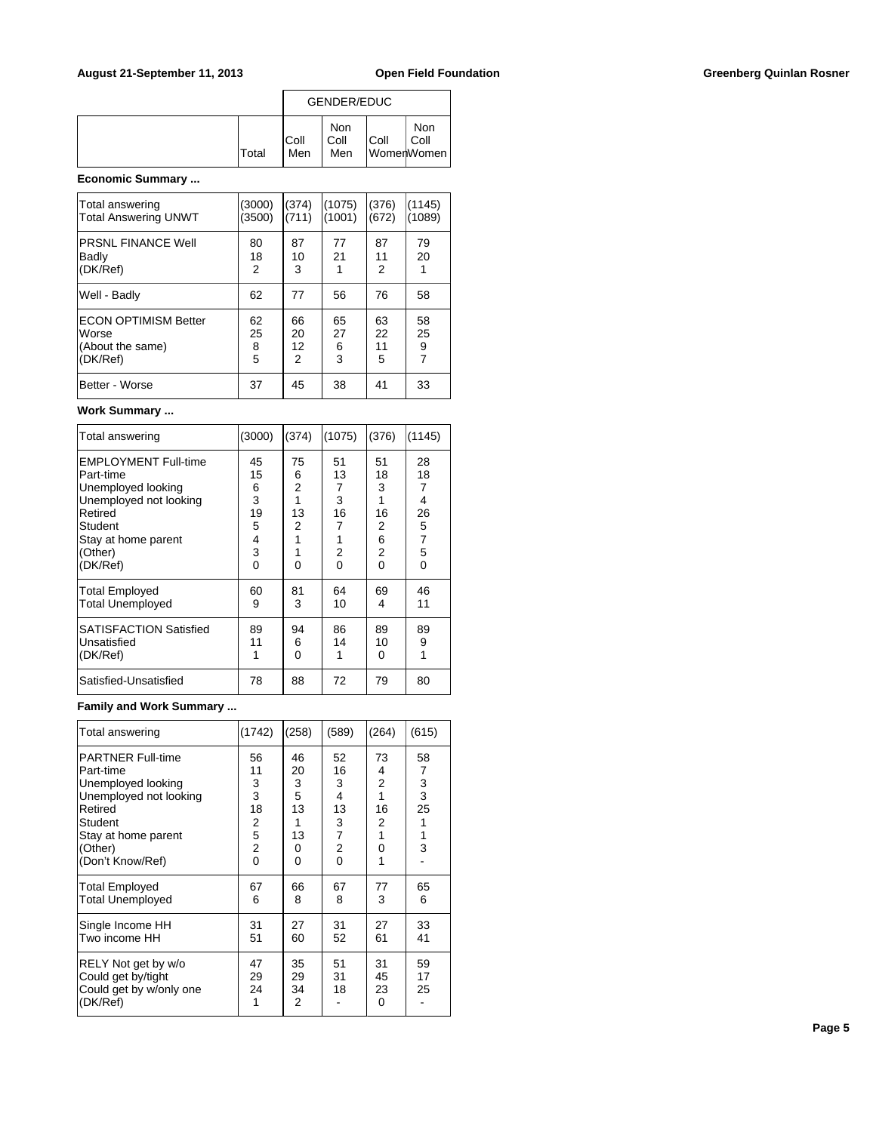|              | GENDER/EDUC  |                    |      |                           |  |
|--------------|--------------|--------------------|------|---------------------------|--|
| <b>Total</b> | IColl<br>Men | Non<br>Coll<br>Men | Coll | Non<br>Coll<br>WomenWomen |  |

# **Economic Summary ...**

| Total answering<br><b>Total Answering UNWT</b>                       | (3000)<br>(3500)   | (374)<br>(711)      | (1075)<br>(1001)   | (376)<br>(672)      | (1145)<br>(1089)                |
|----------------------------------------------------------------------|--------------------|---------------------|--------------------|---------------------|---------------------------------|
| <b>PRSNL FINANCE Well</b><br>Badly<br>(DK/Ref)                       | 80<br>18<br>2      | 87<br>10<br>3       | 77<br>21           | 87<br>11<br>2       | 79<br>20                        |
| Well - Badly                                                         | 62                 | 77                  | 56                 | 76                  | 58                              |
| <b>ECON OPTIMISM Better</b><br>Worse<br>(About the same)<br>(DK/Ref) | 62<br>25<br>8<br>5 | 66<br>20<br>12<br>2 | 65<br>27<br>6<br>3 | 63<br>22<br>11<br>5 | 58<br>25<br>9<br>$\overline{7}$ |
| Better - Worse                                                       | 37                 | 45                  | 38                 | 41                  | 33                              |

### **Work Summary ...**

| Total answering               | (3000)   | (374) | (1075)         | (376)          | (1145)         |
|-------------------------------|----------|-------|----------------|----------------|----------------|
| <b>EMPLOYMENT Full-time</b>   | 45       | 75    | 51             | 51             | 28             |
| Part-time                     | 15       | 6     | 13             | 18             | 18             |
| Unemployed looking            | 6        | 2     | $\overline{7}$ | 3              | 7              |
| Unemployed not looking        | 3        | 1     | 3              | 1              | 4              |
| Retired                       | 19       | 13    | 16             | 16             | 26             |
| Student                       | 5        | 2     | 7              | 2              | 5              |
| Stay at home parent           | 4        | 1     | 1              | 6              | $\overline{7}$ |
| (Other)                       | 3        | 1     | 2              | $\overline{2}$ | 5              |
| (DK/Ref)                      | $\Omega$ | 0     | $\Omega$       | 0              | $\Omega$       |
| <b>Total Employed</b>         | 60       | 81    | 64             | 69             | 46             |
| <b>Total Unemployed</b>       | 9        | 3     | 10             | 4              | 11             |
| <b>SATISFACTION Satisfied</b> | 89       | 94    | 86             | 89             | 89             |
| Unsatisfied                   | 11       | 6     | 14             | 10             | 9              |
| (DK/Ref)                      | 1        | 0     | 1              | 0              | 1              |
| Satisfied-Unsatisfied         | 78       | 88    | 72             | 79             | 80             |

# **Family and Work Summary ...**

| Total answering                                                                                                                                                          | (1742)                                                    | (258)                                         | (589)                                                                | (264)                                                    | (615)                                  |
|--------------------------------------------------------------------------------------------------------------------------------------------------------------------------|-----------------------------------------------------------|-----------------------------------------------|----------------------------------------------------------------------|----------------------------------------------------------|----------------------------------------|
| <b>PARTNER Full-time</b><br>Part-time<br>Unemployed looking<br>Unemployed not looking<br>Retired<br><b>Student</b><br>Stay at home parent<br>(Other)<br>(Don't Know/Ref) | 56<br>11<br>3<br>3<br>18<br>2<br>5<br>$\overline{2}$<br>0 | 46<br>20<br>3<br>5<br>13<br>1<br>13<br>0<br>0 | 52<br>16<br>3<br>4<br>13<br>3<br>$\overline{7}$<br>2<br>$\mathbf{0}$ | 73<br>4<br>$\overline{2}$<br>1<br>16<br>2<br>1<br>0<br>1 | 58<br>7<br>3<br>3<br>25<br>1<br>1<br>3 |
| Total Employed<br><b>Total Unemployed</b>                                                                                                                                | 67<br>6                                                   | 66<br>8                                       | 67<br>8                                                              | 77<br>3                                                  | 65<br>6                                |
| Single Income HH<br>Two income HH                                                                                                                                        | 31<br>51                                                  | 27<br>60                                      | 31<br>52                                                             | 27<br>61                                                 | 33<br>41                               |
| RELY Not get by w/o<br>Could get by/tight<br>Could get by w/only one<br>(DK/Ref)                                                                                         | 47<br>29<br>24<br>1                                       | 35<br>29<br>34<br>$\overline{2}$              | 51<br>31<br>18                                                       | 31<br>45<br>23<br>0                                      | 59<br>17<br>25                         |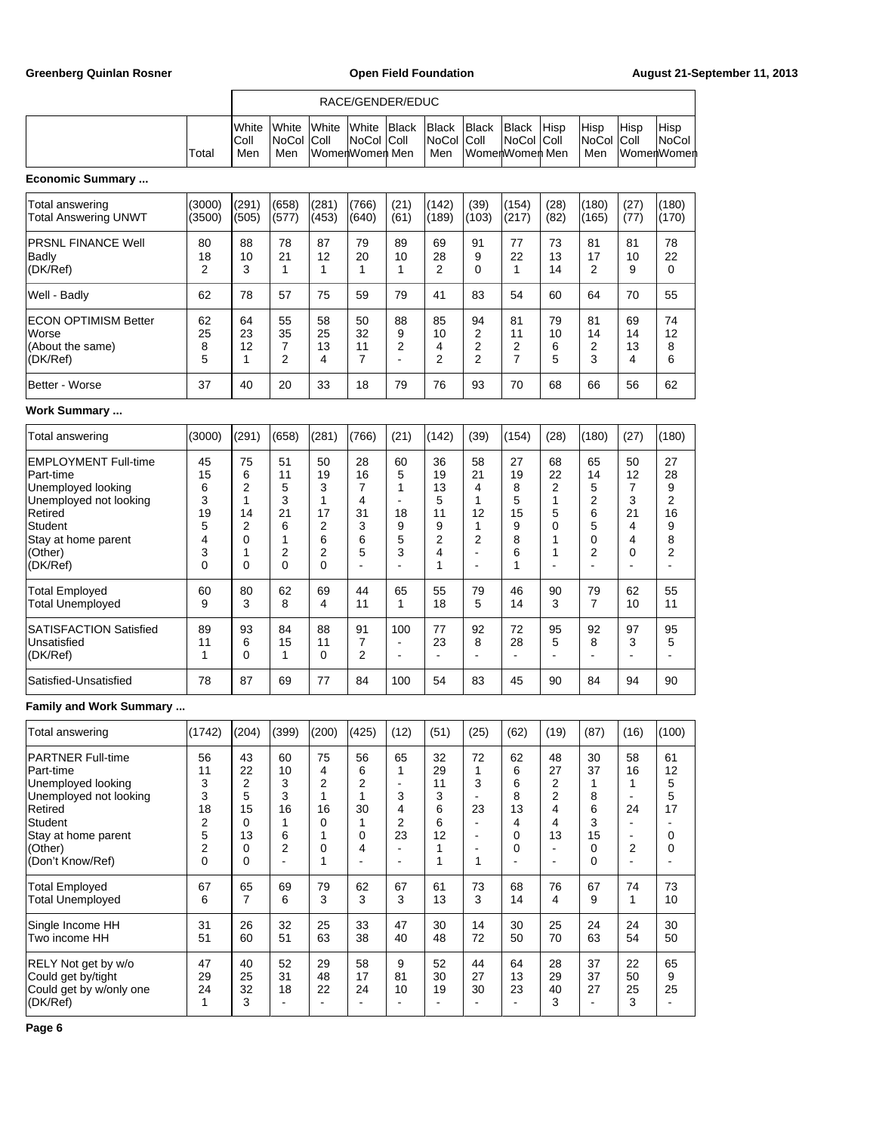|                                                                                                                                                                   |                                              | RACE/GENDER/EDUC                                                     |                                               |                                                         |                                         |                                                               |                                               |                                                                                                 |                                              |                                                      |                                                                                  |                                                              |                                         |
|-------------------------------------------------------------------------------------------------------------------------------------------------------------------|----------------------------------------------|----------------------------------------------------------------------|-----------------------------------------------|---------------------------------------------------------|-----------------------------------------|---------------------------------------------------------------|-----------------------------------------------|-------------------------------------------------------------------------------------------------|----------------------------------------------|------------------------------------------------------|----------------------------------------------------------------------------------|--------------------------------------------------------------|-----------------------------------------|
|                                                                                                                                                                   | Total                                        | White<br>Coll<br>Men                                                 | White<br>NoCol<br>Men                         | White<br>Coll                                           | White<br><b>NoCol</b><br>WomenWomen Men | <b>Black</b><br>Coll                                          | <b>Black</b><br><b>NoCol</b><br>Men           | <b>Black</b><br>Coll                                                                            | <b>Black</b><br>NoCol<br>WomenWomen Men      | Hisp<br> Coll                                        | Hisp<br>NoCol<br>Men                                                             | Hisp<br>Coll                                                 | Hisp<br>NoCol<br>WomenWomen             |
| <b>Economic Summary </b>                                                                                                                                          |                                              |                                                                      |                                               |                                                         |                                         |                                                               |                                               |                                                                                                 |                                              |                                                      |                                                                                  |                                                              |                                         |
| Total answering<br><b>Total Answering UNWT</b>                                                                                                                    | (3000)<br>(3500)                             | (291)<br>(505)                                                       | (658)<br>(577)                                | (281)<br>(453)                                          | (766)<br>(640)                          | (21)<br>(61)                                                  | (142)<br>(189)                                | (39)<br>(103)                                                                                   | (154)<br>(217)                               | (28)<br>(82)                                         | (180)<br>(165)                                                                   | (27)<br>(77)                                                 | (180)<br>(170)                          |
| <b>PRSNL FINANCE Well</b><br>Badly<br>(DK/Ref)                                                                                                                    | 80<br>18<br>2                                | 88<br>10<br>3                                                        | 78<br>21<br>1                                 | 87<br>12<br>1                                           | 79<br>20<br>1                           | 89<br>10<br>1                                                 | 69<br>28<br>2                                 | 91<br>9<br>0                                                                                    | 77<br>22<br>1                                | 73<br>13<br>14                                       | 81<br>17<br>$\overline{2}$                                                       | 81<br>10<br>9                                                | 78<br>22<br>0                           |
| Well - Badly                                                                                                                                                      | 62                                           | 78                                                                   | 57                                            | 75                                                      | 59                                      | 79                                                            | 41                                            | 83                                                                                              | 54                                           | 60                                                   | 64                                                                               | 70                                                           | 55                                      |
| <b>ECON OPTIMISM Better</b><br>Worse<br>(About the same)<br>(DK/Ref)                                                                                              | 62<br>25<br>8<br>5                           | 64<br>23<br>12<br>1                                                  | 55<br>35<br>7<br>2                            | 58<br>25<br>13<br>4                                     | 50<br>32<br>11<br>7                     | 88<br>9<br>2<br>L,                                            | 85<br>10<br>4<br>2                            | 94<br>2<br>2<br>2                                                                               | 81<br>11<br>2<br>7                           | 79<br>10<br>6<br>5                                   | 81<br>14<br>2<br>3                                                               | 69<br>14<br>13<br>4                                          | 74<br>12<br>8<br>6                      |
| Better - Worse                                                                                                                                                    | 37                                           | 40                                                                   | 20                                            | 33                                                      | 18                                      | 79                                                            | 76                                            | 93                                                                                              | 70                                           | 68                                                   | 66                                                                               | 56                                                           | 62                                      |
| <b>Work Summary </b>                                                                                                                                              |                                              |                                                                      |                                               |                                                         |                                         |                                                               |                                               |                                                                                                 |                                              |                                                      |                                                                                  |                                                              |                                         |
| Total answering                                                                                                                                                   | (3000)                                       | (291)                                                                | (658)                                         | (281)                                                   | (766)                                   | (21)                                                          | (142)                                         | (39)                                                                                            | (154)                                        | (28)                                                 | (180)                                                                            | (27)                                                         | (180)                                   |
| <b>EMPLOYMENT Full-time</b><br>Part-time<br>Unemployed looking<br>Unemployed not looking<br>Retired<br>Student<br>Stay at home parent<br>(Other)<br>(DK/Ref)      | 45<br>15<br>6<br>3<br>19<br>5<br>4<br>3<br>0 | 75<br>6<br>2<br>1<br>14<br>2<br>0<br>1<br>0                          | 51<br>11<br>5<br>3<br>21<br>6<br>1<br>2<br>0  | 50<br>19<br>3<br>$\mathbf{1}$<br>17<br>2<br>6<br>2<br>0 | 28<br>16<br>7<br>4<br>31<br>3<br>6<br>5 | 60<br>5<br>1<br>$\overline{a}$<br>18<br>9<br>5<br>3           | 36<br>19<br>13<br>5<br>11<br>9<br>2<br>4<br>1 | 58<br>21<br>4<br>1<br>12<br>1<br>2<br>$\overline{\phantom{a}}$<br>$\overline{a}$                | 27<br>19<br>8<br>5<br>15<br>9<br>8<br>6<br>1 | 68<br>22<br>2<br>1<br>5<br>0<br>1<br>1               | 65<br>14<br>5<br>$\overline{2}$<br>6<br>5<br>$\mathbf 0$<br>$\overline{2}$<br>÷, | 50<br>12<br>7<br>3<br>21<br>4<br>4<br>0                      | 27<br>28<br>9<br>2<br>16<br>9<br>8<br>2 |
| <b>Total Employed</b><br><b>Total Unemployed</b>                                                                                                                  | 60<br>9                                      | 80<br>3                                                              | 62<br>8                                       | 69<br>4                                                 | 44<br>11                                | 65<br>1                                                       | 55<br>18                                      | 79<br>5                                                                                         | 46<br>14                                     | 90<br>3                                              | 79<br>$\overline{7}$                                                             | 62<br>10                                                     | 55<br>11                                |
| <b>SATISFACTION Satisfied</b><br>Unsatisfied<br>(DK/Ref)                                                                                                          | 89<br>11<br>1                                | 93<br>6<br>0                                                         | 84<br>15<br>1                                 | 88<br>11<br>0                                           | 91<br>7<br>2                            | 100<br>L.<br>$\overline{\phantom{a}}$                         | 77<br>23<br>L.                                | 92<br>8<br>Ē,                                                                                   | 72<br>28<br>ä,                               | 95<br>5                                              | 92<br>8<br>L,                                                                    | 97<br>3                                                      | 95<br>5                                 |
| Satisfied-Unsatisfied                                                                                                                                             | 78                                           | 87                                                                   | 69                                            | 77                                                      | 84                                      | 100                                                           | 54                                            | 83                                                                                              | 45                                           | 90                                                   | 84                                                                               | 94                                                           | 90                                      |
| <b>Family and Work Summary </b>                                                                                                                                   |                                              |                                                                      |                                               |                                                         |                                         |                                                               |                                               |                                                                                                 |                                              |                                                      |                                                                                  |                                                              |                                         |
| Total answering                                                                                                                                                   | (1742)                                       | (204)                                                                | (399)                                         | (200)                                                   | (425)                                   | (12)                                                          | (51)                                          | (25)                                                                                            | (62)                                         | (19)                                                 | (87)                                                                             | (16)                                                         | (100)                                   |
| <b>PARTNER Full-time</b><br>Part-time<br>Unemployed looking<br>Unemployed not looking<br>Retired<br>Student<br>Stay at home parent<br>(Other)<br>(Don't Know/Ref) | 56<br>11<br>3<br>3<br>18<br>2<br>5<br>2<br>0 | 43<br>22<br>$\overline{2}$<br>5<br>15<br>0<br>13<br>0<br>$\mathbf 0$ | 60<br>10<br>3<br>3<br>16<br>1<br>6<br>2<br>÷, | 75<br>4<br>2<br>1<br>16<br>0<br>1<br>0<br>1             | 56<br>6<br>2<br>1<br>30<br>1<br>0<br>4  | 65<br>1<br>$\blacksquare$<br>3<br>4<br>$\boldsymbol{2}$<br>23 | 32<br>29<br>11<br>3<br>6<br>6<br>12<br>1<br>1 | 72<br>1<br>3<br>$\blacksquare$<br>23<br>$\blacksquare$<br>$\blacksquare$<br>$\blacksquare$<br>1 | 62<br>6<br>6<br>8<br>13<br>4<br>0<br>0       | 48<br>27<br>2<br>2<br>4<br>4<br>13<br>$\blacksquare$ | 30<br>37<br>1<br>8<br>6<br>3<br>15<br>0<br>$\Omega$                              | 58<br>16<br>1<br>$\blacksquare$<br>24<br>$\overline{a}$<br>2 | 61<br>12<br>5<br>5<br>17<br>0<br>0      |
| Total Employed<br><b>Total Unemployed</b>                                                                                                                         | 67<br>6                                      | 65<br>$\overline{7}$                                                 | 69<br>6                                       | 79<br>3                                                 | 62<br>3                                 | 67<br>3                                                       | 61<br>13                                      | 73<br>3                                                                                         | 68<br>14                                     | 76<br>4                                              | 67<br>9                                                                          | 74<br>$\mathbf{1}$                                           | 73<br>10                                |
| Single Income HH<br>Two income HH                                                                                                                                 | 31<br>51                                     | 26<br>60                                                             | 32<br>51                                      | 25<br>63                                                | 33<br>38                                | 47<br>40                                                      | 30<br>48                                      | 14<br>72                                                                                        | 30<br>50                                     | 25<br>70                                             | 24<br>63                                                                         | 24<br>54                                                     | 30<br>50                                |
| RELY Not get by w/o<br>Could get by/tight<br>Could get by w/only one<br>(DK/Ref)                                                                                  | 47<br>29<br>24<br>$\mathbf{1}$               | 40<br>25<br>32<br>3                                                  | 52<br>31<br>18                                | 29<br>48<br>22                                          | 58<br>17<br>24                          | 9<br>81<br>10                                                 | 52<br>30<br>19                                | 44<br>27<br>30<br>$\blacksquare$                                                                | 64<br>13<br>23                               | 28<br>29<br>40<br>3                                  | 37<br>37<br>27<br>$\blacksquare$                                                 | 22<br>50<br>25<br>3                                          | 65<br>9<br>25                           |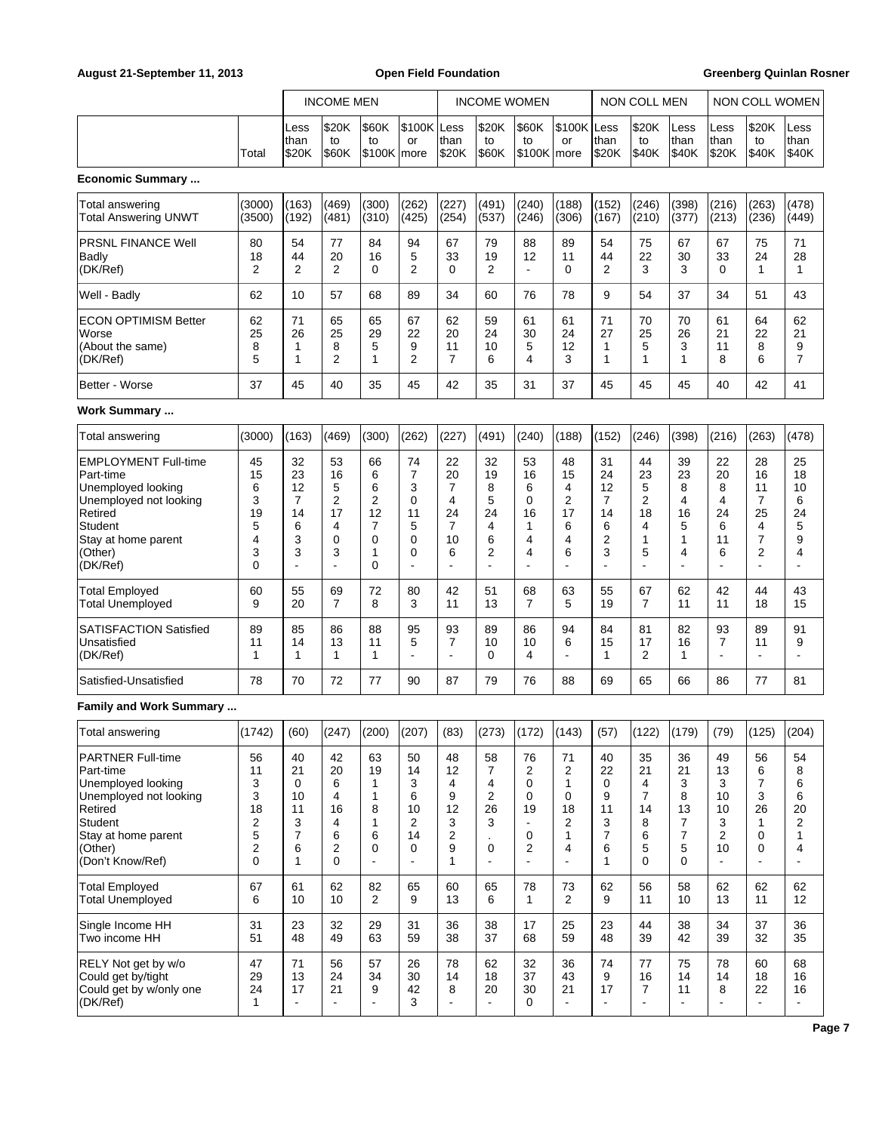|                                                                                                                                                                   |                                                         |                                                            | <b>INCOME MEN</b>                            |                                                    |                                               |                                                         | <b>INCOME WOMEN</b>                                  |                                                     |                                                          |                                              | <b>NON COLL MEN</b>                          |                                                                     |                                           | NON COLL WOMEN                           |                                                                                |
|-------------------------------------------------------------------------------------------------------------------------------------------------------------------|---------------------------------------------------------|------------------------------------------------------------|----------------------------------------------|----------------------------------------------------|-----------------------------------------------|---------------------------------------------------------|------------------------------------------------------|-----------------------------------------------------|----------------------------------------------------------|----------------------------------------------|----------------------------------------------|---------------------------------------------------------------------|-------------------------------------------|------------------------------------------|--------------------------------------------------------------------------------|
|                                                                                                                                                                   | Total                                                   | Less<br> than<br>\$20K                                     | \$20K<br>to<br>\$60K                         | \$60K<br>to<br>\$100K   more                       | \$100K Less<br>or                             | than<br>\$20K                                           | \$20K<br>to<br>\$60K                                 | \$60K<br>to<br>\$100K more                          | \$100K Less<br>or                                        | than<br>\$20K                                | \$20K<br>to<br>\$40K                         | Less<br>than<br>\$40K                                               | Less<br>than<br>\$20K                     | \$20K<br>to<br>\$40K                     | Less<br>than<br>\$40K                                                          |
| <b>Economic Summary </b>                                                                                                                                          |                                                         |                                                            |                                              |                                                    |                                               |                                                         |                                                      |                                                     |                                                          |                                              |                                              |                                                                     |                                           |                                          |                                                                                |
| Total answering<br><b>Total Answering UNWT</b>                                                                                                                    | (3000)<br>(3500)                                        | (163)<br>(192)                                             | (469)<br>(481)                               | (300)<br>(310)                                     | (262)<br>(425)                                | (227)<br>(254)                                          | (491)<br>(537)                                       | (240)<br>(246)                                      | (188)<br>(306)                                           | (152)<br>(167)                               | (246)<br>(210)                               | (398)<br>(377)                                                      | (216)<br>(213)                            | (263)<br>(236)                           | (478)<br>(449)                                                                 |
| PRSNL FINANCE Well<br>Badly<br>(DK/Ref)                                                                                                                           | 80<br>18<br>$\overline{2}$                              | 54<br>44<br>2                                              | 77<br>20<br>$\overline{2}$                   | 84<br>16<br>0                                      | 94<br>5<br>2                                  | 67<br>33<br>$\Omega$                                    | 79<br>19<br>$\overline{2}$                           | 88<br>12<br>÷,                                      | 89<br>11<br>$\Omega$                                     | 54<br>44<br>2                                | 75<br>22<br>3                                | 67<br>30<br>3                                                       | 67<br>33<br>0                             | 75<br>24<br>$\mathbf{1}$                 | 71<br>28<br>$\mathbf{1}$                                                       |
| Well - Badly                                                                                                                                                      | 62                                                      | 10                                                         | 57                                           | 68                                                 | 89                                            | 34                                                      | 60                                                   | 76                                                  | 78                                                       | 9                                            | 54                                           | 37                                                                  | 34                                        | 51                                       | 43                                                                             |
| <b>ECON OPTIMISM Better</b><br>Worse<br>(About the same)<br>(DK/Ref)                                                                                              | 62<br>25<br>8<br>5                                      | 71<br>26<br>1<br>1                                         | 65<br>25<br>8<br>$\overline{2}$              | 65<br>29<br>5<br>1                                 | 67<br>22<br>9<br>2                            | 62<br>20<br>11<br>$\overline{7}$                        | 59<br>24<br>10<br>6                                  | 61<br>30<br>5<br>4                                  | 61<br>24<br>12<br>3                                      | 71<br>27<br>$\mathbf 1$<br>1                 | 70<br>25<br>5<br>1                           | 70<br>26<br>3<br>1                                                  | 61<br>21<br>11<br>8                       | 64<br>22<br>8<br>6                       | 62<br>21<br>9<br>$\overline{7}$                                                |
| Better - Worse                                                                                                                                                    | 37                                                      | 45                                                         | 40                                           | 35                                                 | 45                                            | 42                                                      | 35                                                   | 31                                                  | 37                                                       | 45                                           | 45                                           | 45                                                                  | 40                                        | 42                                       | 41                                                                             |
| <b>Work Summary </b>                                                                                                                                              |                                                         |                                                            |                                              |                                                    |                                               |                                                         |                                                      |                                                     |                                                          |                                              |                                              |                                                                     |                                           |                                          |                                                                                |
| Total answering                                                                                                                                                   | (3000)                                                  | (163)                                                      | (469)                                        | (300)                                              | (262)                                         | (227)                                                   | (491)                                                | (240)                                               | (188)                                                    | (152)                                        | (246)                                        | (398)                                                               | (216)                                     | (263)                                    | (478)                                                                          |
| <b>EMPLOYMENT Full-time</b><br>Part-time<br>Unemployed looking<br>Unemployed not looking<br>Retired<br>Student<br>Stay at home parent<br>(Other)<br>(DK/Ref)      | 45<br>15<br>6<br>3<br>19<br>5<br>4<br>3<br>$\mathbf{0}$ | 32<br>23<br>12<br>7<br>14<br>6<br>3<br>3                   | 53<br>16<br>5<br>2<br>17<br>4<br>0<br>3<br>÷ | 66<br>6<br>6<br>2<br>12<br>7<br>0<br>1<br>$\Omega$ | 74<br>7<br>3<br>0<br>11<br>5<br>0<br>0        | 22<br>20<br>$\overline{7}$<br>4<br>24<br>7<br>10<br>6   | 32<br>19<br>8<br>5<br>24<br>4<br>6<br>2              | 53<br>16<br>6<br>0<br>16<br>1<br>4<br>4             | 48<br>15<br>4<br>2<br>17<br>6<br>4<br>6                  | 31<br>24<br>12<br>7<br>14<br>6<br>2<br>3     | 44<br>23<br>5<br>2<br>18<br>4<br>1<br>5      | 39<br>23<br>8<br>4<br>16<br>5<br>1<br>4<br>$\overline{\phantom{a}}$ | 22<br>20<br>8<br>4<br>24<br>6<br>11<br>6  | 28<br>16<br>11<br>7<br>25<br>4<br>7<br>2 | 25<br>18<br>10<br>6<br>24<br>5<br>9<br>4<br>$\blacksquare$                     |
| <b>Total Employed</b><br><b>Total Unemployed</b>                                                                                                                  | 60<br>9                                                 | 55<br>20                                                   | 69<br>$\overline{7}$                         | 72<br>8                                            | 80<br>3                                       | 42<br>11                                                | 51<br>13                                             | 68<br>7                                             | 63<br>5                                                  | 55<br>19                                     | 67<br>7                                      | 62<br>11                                                            | 42<br>11                                  | 44<br>18                                 | 43<br>15                                                                       |
| SATISFACTION Satisfied<br>Unsatisfied<br>(DK/Ref)                                                                                                                 | 89<br>11<br>1                                           | 85<br>14<br>1                                              | 86<br>13<br>1                                | 88<br>11<br>1                                      | 95<br>5<br>ä,                                 | 93<br>7<br>$\overline{a}$                               | 89<br>10<br>$\Omega$                                 | 86<br>10<br>4                                       | 94<br>6<br>$\overline{a}$                                | 84<br>15<br>$\mathbf{1}$                     | 81<br>17<br>2                                | 82<br>16<br>1                                                       | 93<br>$\overline{7}$<br>ä,                | 89<br>11<br>÷,                           | 91<br>9<br>÷,                                                                  |
| Satisfied-Unsatisfied                                                                                                                                             | 78                                                      | 70                                                         | 72                                           | 77                                                 | 90                                            | 87                                                      | 79                                                   | 76                                                  | 88                                                       | 69                                           | 65                                           | 66                                                                  | 86                                        | 77                                       | 81                                                                             |
| <b>Family and Work Summary </b>                                                                                                                                   |                                                         |                                                            |                                              |                                                    |                                               |                                                         |                                                      |                                                     |                                                          |                                              |                                              |                                                                     |                                           |                                          |                                                                                |
| Total answering                                                                                                                                                   | (1742)                                                  | (60)                                                       | (247)                                        | (200)                                              | (207)                                         | (83)                                                    | (273)                                                | (172)                                               | (143)                                                    | (57)                                         | (122)                                        | (179)                                                               | (79)                                      | (125)                                    | (204)                                                                          |
| <b>PARTNER Full-time</b><br>Part-time<br>Unemployed looking<br>Unemployed not looking<br>Retired<br>Student<br>Stay at home parent<br>(Other)<br>(Don't Know/Ref) | 56<br>11<br>3<br>3<br>18<br>2<br>5<br>2<br>0            | 40<br>21<br>0<br>10<br>11<br>3<br>$\overline{7}$<br>6<br>1 | 42<br>20<br>6<br>4<br>16<br>4<br>6<br>2<br>0 | 63<br>19<br>1<br>1<br>8<br>1<br>6<br>0<br>÷,       | 50<br>14<br>3<br>6<br>10<br>2<br>14<br>0<br>÷ | 48<br>12<br>4<br>9<br>12<br>3<br>2<br>9<br>$\mathbf{1}$ | 58<br>7<br>4<br>$\overline{c}$<br>26<br>3<br>0<br>÷, | 76<br>2<br>0<br>0<br>19<br>$\blacksquare$<br>0<br>2 | 71<br>2<br>1<br>0<br>18<br>2<br>1<br>4<br>$\overline{a}$ | 40<br>22<br>0<br>9<br>11<br>3<br>7<br>6<br>1 | 35<br>21<br>4<br>7<br>14<br>8<br>6<br>5<br>0 | 36<br>21<br>3<br>8<br>13<br>7<br>7<br>5<br>0                        | 49<br>13<br>3<br>10<br>10<br>3<br>2<br>10 | 56<br>6<br>7<br>3<br>26<br>1<br>0<br>0   | 54<br>8<br>6<br>6<br>20<br>$\overline{\mathbf{c}}$<br>1<br>4<br>$\blacksquare$ |
| <b>Total Employed</b><br><b>Total Unemployed</b>                                                                                                                  | 67<br>6                                                 | 61<br>10                                                   | 62<br>10                                     | 82<br>$\overline{2}$                               | 65<br>9                                       | 60<br>13                                                | 65<br>6                                              | 78<br>$\mathbf{1}$                                  | 73<br>$\overline{2}$                                     | 62<br>9                                      | 56<br>11                                     | 58<br>10                                                            | 62<br>13                                  | 62<br>11                                 | 62<br>12                                                                       |
| Single Income HH<br>Two income HH                                                                                                                                 | 31<br>51                                                | 23<br>48                                                   | 32<br>49                                     | 29<br>63                                           | 31<br>59                                      | 36<br>38                                                | 38<br>37                                             | 17<br>68                                            | 25<br>59                                                 | 23<br>48                                     | 44<br>39                                     | 38<br>42                                                            | 34<br>39                                  | 37<br>32                                 | 36<br>35                                                                       |
| RELY Not get by w/o<br>Could get by/tight<br>Could get by w/only one<br>(DK/Ref)                                                                                  | 47<br>29<br>24<br>$\mathbf{1}$                          | 71<br>13<br>17<br>$\blacksquare$                           | 56<br>24<br>21<br>$\overline{\phantom{a}}$   | 57<br>34<br>9<br>$\blacksquare$                    | 26<br>30<br>42<br>3                           | 78<br>14<br>8                                           | 62<br>18<br>20<br>$\mathbf{r}$                       | 32<br>37<br>30<br>$\Omega$                          | 36<br>43<br>21<br>$\blacksquare$                         | 74<br>9<br>17<br>$\mathbf{r}$                | 77<br>16<br>7<br>÷,                          | 75<br>14<br>11<br>$\overline{\phantom{a}}$                          | 78<br>14<br>8                             | 60<br>18<br>22<br>$\blacksquare$         | 68<br>16<br>16<br>$\blacksquare$                                               |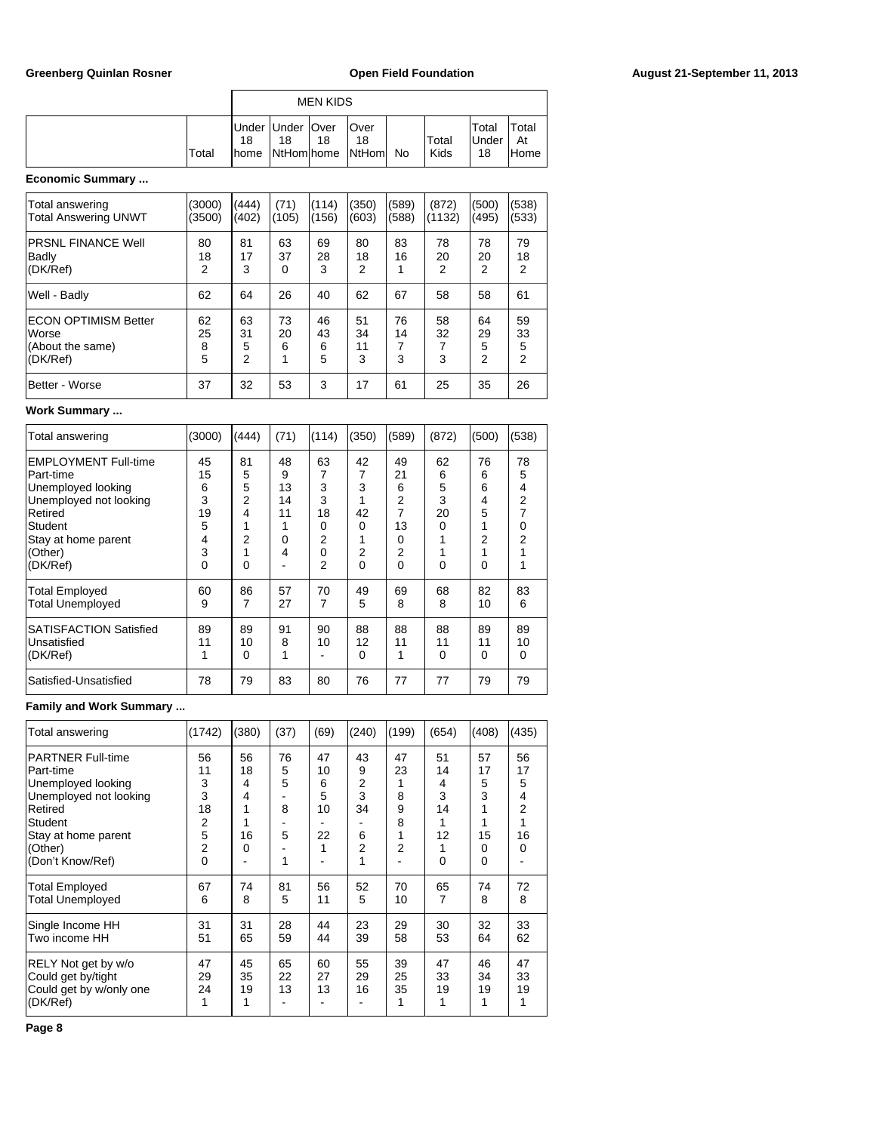|   |       | <b>MEN KIDS</b> |                          |    |                                |    |               |                             |                      |  |  |  |
|---|-------|-----------------|--------------------------|----|--------------------------------|----|---------------|-----------------------------|----------------------|--|--|--|
|   | Total | 18<br>Ihome     | Under Under   Over<br>18 | 18 | Over<br>18<br>NtHom home NtHom | No | Total<br>Kids | Total<br><b>Under</b><br>18 | Total<br>At<br>lHome |  |  |  |
| . |       |                 |                          |    |                                |    |               |                             |                      |  |  |  |

### **Economic Summary ...**

| Total answering<br><b>Total Answering UNWT</b>                       | (3000)<br>(3500)   | (444)<br>(402)                  | (71)<br>(105)        | (114)<br>(156)     | (350)<br>(603)      | (589)<br>(588) | (872)<br>(1132) | (500)<br>(495)     | (538)<br>(533)                  |
|----------------------------------------------------------------------|--------------------|---------------------------------|----------------------|--------------------|---------------------|----------------|-----------------|--------------------|---------------------------------|
| <b>PRSNL FINANCE Well</b><br>Badly<br>(DK/Ref)                       | 80<br>18<br>2      | 81<br>17<br>3                   | 63<br>37<br>$\Omega$ | 69<br>28<br>3      | 80<br>18<br>2       | 83<br>16       | 78<br>20<br>2   | 78<br>20<br>2      | 79<br>18<br>$\overline{2}$      |
| Well - Badly                                                         | 62                 | 64                              | 26                   | 40                 | 62                  | 67             | 58              | 58                 | 61                              |
| <b>ECON OPTIMISM Better</b><br>Worse<br>(About the same)<br>(DK/Ref) | 62<br>25<br>8<br>5 | 63<br>31<br>5<br>$\overline{2}$ | 73<br>20<br>6        | 46<br>43<br>6<br>5 | 51<br>34<br>11<br>3 | 76<br>14<br>3  | 58<br>32<br>3   | 64<br>29<br>5<br>2 | 59<br>33<br>5<br>$\overline{2}$ |
| Better - Worse                                                       | 37                 | 32                              | 53                   | 3                  | 17                  | 61             | 25              | 35                 | 26                              |

### **Work Summary ...**

| Total answering                                                                                                                                  | (3000)                                  | (444)                       | (71)                                | (114)                                    | (350)                          | (589)                                     | (872)                               | (500)                       | (538)                              |
|--------------------------------------------------------------------------------------------------------------------------------------------------|-----------------------------------------|-----------------------------|-------------------------------------|------------------------------------------|--------------------------------|-------------------------------------------|-------------------------------------|-----------------------------|------------------------------------|
| <b>EMPLOYMENT Full-time</b><br>Part-time<br>Unemployed looking<br>Unemployed not looking<br>Retired<br>Student<br>Stay at home parent<br>(Other) | 45<br>15<br>6<br>3<br>19<br>5<br>4<br>3 | 81<br>5<br>5<br>2<br>4<br>2 | 48<br>9<br>13<br>14<br>11<br>0<br>4 | 63<br>3<br>3<br>18<br>0<br>2<br>$\Omega$ | 42<br>3<br>42<br>$\Omega$<br>2 | 49<br>21<br>6<br>2<br>13<br>$\Omega$<br>2 | 62<br>6<br>5<br>3<br>20<br>$\Omega$ | 76<br>6<br>6<br>4<br>5<br>2 | 78<br>5<br>4<br>2<br>$\Omega$<br>2 |
| (DK/Ref)<br><b>Total Employed</b><br><b>Total Unemployed</b>                                                                                     | $\Omega$<br>60<br>9                     | 0<br>86<br>7                | 57<br>27                            | 2<br>70<br>7                             | $\Omega$<br>49<br>5            | $\Omega$<br>69<br>8                       | $\Omega$<br>68<br>8                 | $\Omega$<br>82<br>10        | 83<br>6                            |
| <b>SATISFACTION Satisfied</b><br>Unsatisfied<br>(DK/Ref)                                                                                         | 89<br>11<br>1                           | 89<br>10<br>0               | 91<br>8                             | 90<br>10                                 | 88<br>12<br>$\Omega$           | 88<br>11<br>1                             | 88<br>11<br>$\Omega$                | 89<br>11<br>$\Omega$        | 89<br>10<br>0                      |
| Satisfied-Unsatisfied                                                                                                                            | 78                                      | 79                          | 83                                  | 80                                       | 76                             | 77                                        | 77                                  | 79                          | 79                                 |

# **Family and Work Summary ...**

| Total answering                                                                                                                                                    | (1742)                                                           | (380)                         | (37)                        | (69)                                | (240)                                  | (199)                                               | (654)                                           | (408)                              | (435)                                           |
|--------------------------------------------------------------------------------------------------------------------------------------------------------------------|------------------------------------------------------------------|-------------------------------|-----------------------------|-------------------------------------|----------------------------------------|-----------------------------------------------------|-------------------------------------------------|------------------------------------|-------------------------------------------------|
| <b>PARTNER Full-time</b><br>lPart-time<br>Unemployed looking<br>Unemployed not looking<br>Retired<br>Student<br>Stay at home parent<br>(Other)<br>(Don't Know/Ref) | 56<br>11<br>3<br>3<br>18<br>2<br>5<br>$\overline{2}$<br>$\Omega$ | 56<br>18<br>4<br>4<br>16<br>0 | 76<br>5<br>5<br>8<br>5<br>1 | 47<br>10<br>6<br>5<br>10<br>22<br>1 | 43<br>9<br>2<br>3<br>34<br>6<br>2<br>1 | 47<br>23<br>1<br>8<br>9<br>8<br>1<br>$\overline{2}$ | 51<br>14<br>4<br>3<br>14<br>1<br>12<br>$\Omega$ | 57<br>17<br>5<br>3<br>15<br>0<br>0 | 56<br>17<br>5<br>4<br>$\overline{2}$<br>16<br>0 |
| <b>Total Employed</b><br><b>Total Unemployed</b>                                                                                                                   | 67<br>6                                                          | 74<br>8                       | 81<br>5                     | 56<br>11                            | 52<br>5                                | 70<br>10                                            | 65<br>7                                         | 74<br>8                            | 72<br>8                                         |
| Single Income HH<br>Two income HH                                                                                                                                  | 31<br>51                                                         | 31<br>65                      | 28<br>59                    | 44<br>44                            | 23<br>39                               | 29<br>58                                            | 30<br>53                                        | 32<br>64                           | 33<br>62                                        |
| RELY Not get by w/o<br>Could get by/tight<br>Could get by w/only one<br>(DK/Ref)                                                                                   | 47<br>29<br>24<br>1                                              | 45<br>35<br>19<br>1           | 65<br>22<br>13              | 60<br>27<br>13                      | 55<br>29<br>16                         | 39<br>25<br>35<br>1                                 | 47<br>33<br>19<br>1                             | 46<br>34<br>19                     | 47<br>33<br>19                                  |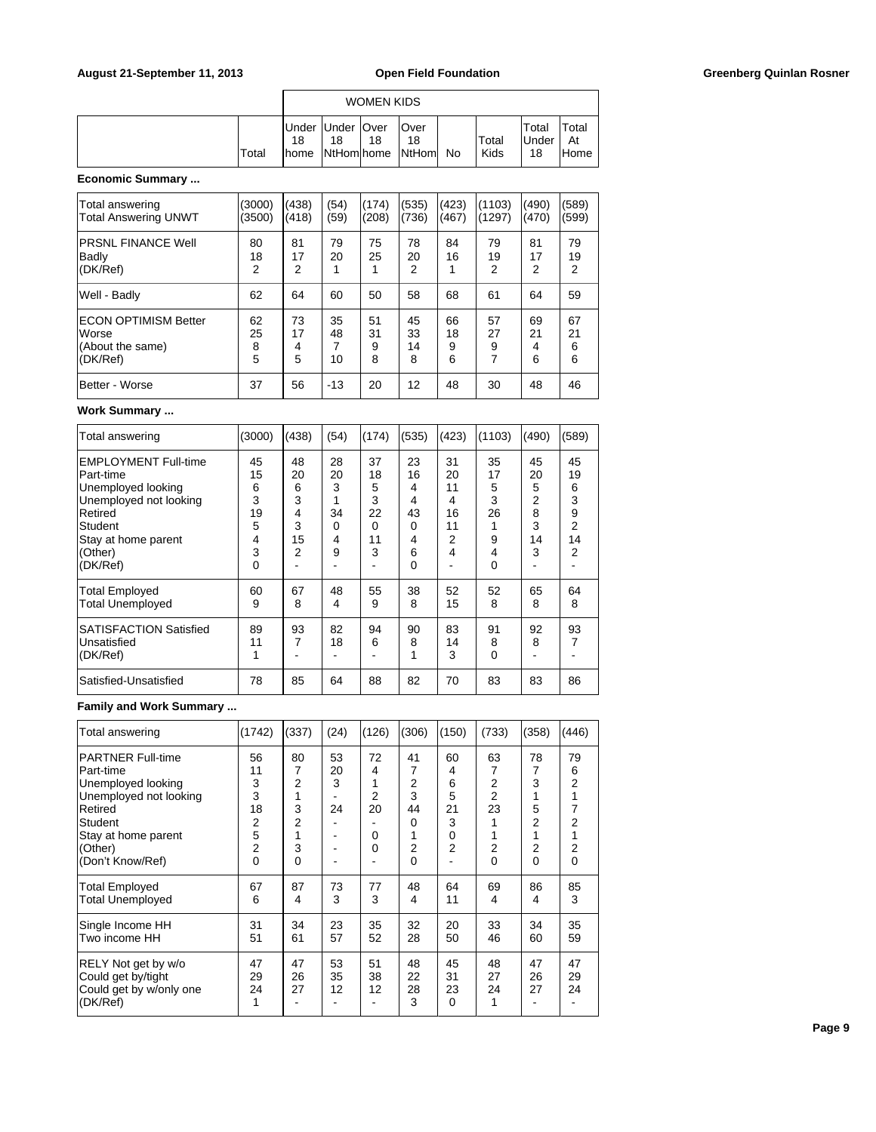|       |                                             |    | <b>WOMEN KIDS</b> |                                 |    |               |                       |                      |
|-------|---------------------------------------------|----|-------------------|---------------------------------|----|---------------|-----------------------|----------------------|
| Total | Under   Under   Over<br>18<br><b>I</b> home | 18 | 18                | lOver<br>18<br>NtHom home NtHom | No | Total<br>Kids | Total<br>∣Under<br>18 | Total<br>At<br>lHome |

# **Economic Summary ...**

| Total answering<br><b>Total Answering UNWT</b>                       | (3000)<br>(3500)   | (438)<br>(418)     | (54)<br>(59)        | (174)<br>(208)     | (535)<br>(736)      | (423)<br>(467)     | (1103)<br>(1297)   | (490)<br>(470)     | (589)<br>(599)     |
|----------------------------------------------------------------------|--------------------|--------------------|---------------------|--------------------|---------------------|--------------------|--------------------|--------------------|--------------------|
| <b>PRSNL FINANCE Well</b><br>Badly<br>(DK/Ref)                       | 80<br>18<br>2      | 81<br>17<br>2      | 79<br>20            | 75<br>25           | 78<br>20<br>2       | 84<br>16           | 79<br>19<br>2      | 81<br>17<br>2      | 79<br>19<br>2      |
| Well - Badly                                                         | 62                 | 64                 | 60                  | 50                 | 58                  | 68                 | 61                 | 64                 | 59                 |
| <b>ECON OPTIMISM Better</b><br>Worse<br>(About the same)<br>(DK/Ref) | 62<br>25<br>8<br>5 | 73<br>17<br>4<br>5 | 35<br>48<br>7<br>10 | 51<br>31<br>9<br>8 | 45<br>33<br>14<br>8 | 66<br>18<br>9<br>6 | 57<br>27<br>9<br>7 | 69<br>21<br>4<br>6 | 67<br>21<br>6<br>6 |
| Better - Worse                                                       | 37                 | 56                 | $-13$               | 20                 | 12                  | 48                 | 30                 | 48                 | 46                 |

### **Work Summary ...**

| Total answering                                                                                                                                              | (3000)                                       | (438)                                   | (54)                               | (174)                                    | (535)                                        | (423)                                     | (1103)                                         | (490)                                   | (589)                                   |
|--------------------------------------------------------------------------------------------------------------------------------------------------------------|----------------------------------------------|-----------------------------------------|------------------------------------|------------------------------------------|----------------------------------------------|-------------------------------------------|------------------------------------------------|-----------------------------------------|-----------------------------------------|
| EMPLOYMENT Full-time<br>Part-time<br>Unemployed looking<br>Unemployed not looking<br>Retired<br><b>Student</b><br>Stay at home parent<br>(Other)<br>(DK/Ref) | 45<br>15<br>6<br>3<br>19<br>5<br>4<br>3<br>0 | 48<br>20<br>6<br>3<br>4<br>3<br>15<br>2 | 28<br>20<br>3<br>34<br>0<br>4<br>9 | 37<br>18<br>5<br>3<br>22<br>0<br>11<br>3 | 23<br>16<br>4<br>4<br>43<br>0<br>4<br>6<br>0 | 31<br>20<br>11<br>4<br>16<br>11<br>2<br>4 | 35<br>17<br>5<br>3<br>26<br>9<br>4<br>$\Omega$ | 45<br>20<br>5<br>2<br>8<br>3<br>14<br>3 | 45<br>19<br>6<br>3<br>9<br>2<br>14<br>2 |
| <b>Total Employed</b><br><b>Total Unemployed</b>                                                                                                             | 60<br>9                                      | 67<br>8                                 | 48<br>4                            | 55<br>9                                  | 38<br>8                                      | 52<br>15                                  | 52<br>8                                        | 65<br>8                                 | 64<br>8                                 |
| <b>ISATISFACTION Satisfied</b><br>Unsatisfied<br>(DK/Ref)                                                                                                    | 89<br>11<br>1                                | 93<br>7                                 | 82<br>18                           | 94<br>6                                  | 90<br>8                                      | 83<br>14<br>3                             | 91<br>8<br>$\Omega$                            | 92<br>8                                 | 93<br>7                                 |
| Satisfied-Unsatisfied                                                                                                                                        | 78                                           | 85                                      | 64                                 | 88                                       | 82                                           | 70                                        | 83                                             | 83                                      | 86                                      |

# **Family and Work Summary ...**

| Total answering                                                                                                                                                    | (1742)                                                    | (337)                                 | (24)                | (126)                        | (306)                                  | (150)                                               | (733)                                                    | (358)                            | (446)                       |
|--------------------------------------------------------------------------------------------------------------------------------------------------------------------|-----------------------------------------------------------|---------------------------------------|---------------------|------------------------------|----------------------------------------|-----------------------------------------------------|----------------------------------------------------------|----------------------------------|-----------------------------|
| <b>PARTNER Full-time</b><br>lPart-time<br>Unemployed looking<br>Unemployed not looking<br>Retired<br>Student<br>Stay at home parent<br>(Other)<br>(Don't Know/Ref) | 56<br>11<br>3<br>3<br>18<br>2<br>5<br>$\overline{2}$<br>0 | 80<br>7<br>2<br>1<br>3<br>2<br>3<br>0 | 53<br>20<br>3<br>24 | 72<br>4<br>2<br>20<br>0<br>0 | 41<br>7<br>2<br>3<br>44<br>0<br>2<br>0 | 60<br>4<br>6<br>5<br>21<br>3<br>0<br>$\overline{2}$ | 63<br>7<br>2<br>2<br>23<br>$\overline{2}$<br>$\mathbf 0$ | 78<br>7<br>3<br>5<br>2<br>2<br>0 | 79<br>6<br>2<br>2<br>2<br>0 |
| <b>Total Employed</b><br><b>Total Unemployed</b>                                                                                                                   | 67<br>6                                                   | 87<br>4                               | 73<br>3             | 77<br>3                      | 48<br>4                                | 64<br>11                                            | 69<br>4                                                  | 86<br>4                          | 85<br>3                     |
| Single Income HH<br>Two income HH                                                                                                                                  | 31<br>51                                                  | 34<br>61                              | 23<br>57            | 35<br>52                     | 32<br>28                               | 20<br>50                                            | 33<br>46                                                 | 34<br>60                         | 35<br>59                    |
| RELY Not get by w/o<br>Could get by/tight<br>Could get by w/only one<br>(DK/Ref)                                                                                   | 47<br>29<br>24                                            | 47<br>26<br>27                        | 53<br>35<br>12      | 51<br>38<br>12               | 48<br>22<br>28<br>3                    | 45<br>31<br>23<br>$\mathbf 0$                       | 48<br>27<br>24<br>1                                      | 47<br>26<br>27                   | 47<br>29<br>24              |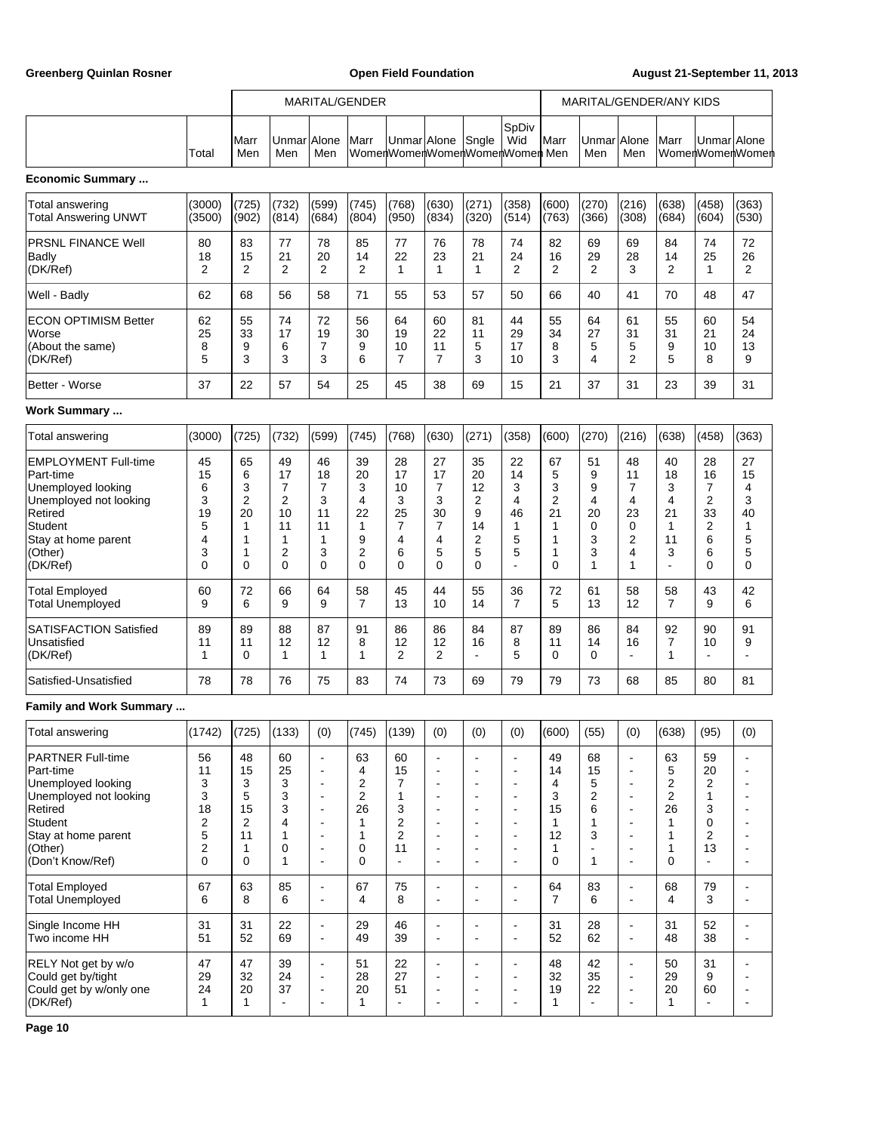Greenberg Quinlan Rosner **Communist Communist Communist Communist Communist Communist Communist Communist Communist Communist Communist Communist Communist Communist Communist Communist Communist Communist Communist Commun** 

|                                                                                                                                                                   |                                                                                 | MARITAL/GENDER                                |                                                                      |                                                                                                                                                                                                                  |                                                                                             |                                                                                  |                                                                                                              |                                                                                                                                                                                                        |                                                                                                                                                                  | MARITAL/GENDER/ANY KIDS                       |                                                     |                                                                                                                                                                                                    |                                                |                                                                                   |                                                                                                                 |
|-------------------------------------------------------------------------------------------------------------------------------------------------------------------|---------------------------------------------------------------------------------|-----------------------------------------------|----------------------------------------------------------------------|------------------------------------------------------------------------------------------------------------------------------------------------------------------------------------------------------------------|---------------------------------------------------------------------------------------------|----------------------------------------------------------------------------------|--------------------------------------------------------------------------------------------------------------|--------------------------------------------------------------------------------------------------------------------------------------------------------------------------------------------------------|------------------------------------------------------------------------------------------------------------------------------------------------------------------|-----------------------------------------------|-----------------------------------------------------|----------------------------------------------------------------------------------------------------------------------------------------------------------------------------------------------------|------------------------------------------------|-----------------------------------------------------------------------------------|-----------------------------------------------------------------------------------------------------------------|
|                                                                                                                                                                   | Total                                                                           | lMarr<br>Men                                  | UnmarlAlone<br>Men                                                   | Men                                                                                                                                                                                                              | Marr                                                                                        | Unmar Alone<br>WomenWomenWomenWomenWomen Men                                     |                                                                                                              | Sngle                                                                                                                                                                                                  | SpDiv<br>Wid                                                                                                                                                     | Marr                                          | Unmar<br>Men                                        | Alone<br>Men                                                                                                                                                                                       | Marr                                           | UnmarlAlone                                                                       | WomenWomenWomen                                                                                                 |
| <b>Economic Summary </b>                                                                                                                                          |                                                                                 |                                               |                                                                      |                                                                                                                                                                                                                  |                                                                                             |                                                                                  |                                                                                                              |                                                                                                                                                                                                        |                                                                                                                                                                  |                                               |                                                     |                                                                                                                                                                                                    |                                                |                                                                                   |                                                                                                                 |
| Total answering<br><b>Total Answering UNWT</b>                                                                                                                    | (3000)<br>(3500)                                                                | (725)<br>(902)                                | (732)<br>(814)                                                       | (599)<br>(684)                                                                                                                                                                                                   | (745)<br>(804)                                                                              | (768)<br>(950)                                                                   | (630)<br>(834)                                                                                               | (271)<br>(320)                                                                                                                                                                                         | (358)<br>(514)                                                                                                                                                   | (600)<br>(763)                                | (270)<br>(366)                                      | (216)<br>(308)                                                                                                                                                                                     | (638)<br>(684)                                 | (458)<br>(604)                                                                    | (363)<br>(530)                                                                                                  |
| <b>PRSNL FINANCE Well</b><br>Badly<br>(DK/Ref)                                                                                                                    | 80<br>18<br>2                                                                   | 83<br>15<br>$\overline{2}$                    | 77<br>21<br>$\overline{2}$                                           | 78<br>20<br>2                                                                                                                                                                                                    | 85<br>14<br>$\overline{2}$                                                                  | 77<br>22<br>1                                                                    | 76<br>23<br>$\mathbf{1}$                                                                                     | 78<br>21<br>1                                                                                                                                                                                          | 74<br>24<br>$\overline{2}$                                                                                                                                       | 82<br>16<br>2                                 | 69<br>29<br>$\overline{2}$                          | 69<br>28<br>3                                                                                                                                                                                      | 84<br>14<br>$\overline{2}$                     | 74<br>25<br>$\mathbf{1}$                                                          | 72<br>26<br>$\overline{2}$                                                                                      |
| Well - Badly                                                                                                                                                      | 62                                                                              | 68                                            | 56                                                                   | 58                                                                                                                                                                                                               | 71                                                                                          | 55                                                                               | 53                                                                                                           | 57                                                                                                                                                                                                     | 50                                                                                                                                                               | 66                                            | 40                                                  | 41                                                                                                                                                                                                 | 70                                             | 48                                                                                | 47                                                                                                              |
| <b>ECON OPTIMISM Better</b><br>Worse<br>(About the same)<br>(DK/Ref)                                                                                              | 62<br>25<br>8<br>5                                                              | 55<br>33<br>9<br>3                            | 74<br>17<br>6<br>3                                                   | 72<br>19<br>7<br>3                                                                                                                                                                                               | 56<br>30<br>9<br>6                                                                          | 64<br>19<br>10<br>$\overline{7}$                                                 | 60<br>22<br>11<br>7                                                                                          | 81<br>11<br>5<br>3                                                                                                                                                                                     | 44<br>29<br>17<br>10                                                                                                                                             | 55<br>34<br>8<br>3                            | 64<br>27<br>5<br>4                                  | 61<br>31<br>5<br>$\overline{2}$                                                                                                                                                                    | 55<br>31<br>9<br>5                             | 60<br>21<br>10<br>8                                                               | 54<br>24<br>13<br>9                                                                                             |
| Better - Worse                                                                                                                                                    | 37                                                                              | 22                                            | 57                                                                   | 54                                                                                                                                                                                                               | 25                                                                                          | 45                                                                               | 38                                                                                                           | 69                                                                                                                                                                                                     | 15                                                                                                                                                               | 21                                            | 37                                                  | 31                                                                                                                                                                                                 | 23                                             | 39                                                                                | 31                                                                                                              |
| Work Summary                                                                                                                                                      |                                                                                 |                                               |                                                                      |                                                                                                                                                                                                                  |                                                                                             |                                                                                  |                                                                                                              |                                                                                                                                                                                                        |                                                                                                                                                                  |                                               |                                                     |                                                                                                                                                                                                    |                                                |                                                                                   |                                                                                                                 |
| Total answering                                                                                                                                                   | (3000)                                                                          | (725)                                         | (732)                                                                | (599)                                                                                                                                                                                                            | (745)                                                                                       | (768)                                                                            | (630)                                                                                                        | (271)                                                                                                                                                                                                  | (358)                                                                                                                                                            | (600)                                         | (270)                                               | (216)                                                                                                                                                                                              | (638)                                          | (458)                                                                             | (363)                                                                                                           |
| <b>EMPLOYMENT Full-time</b><br>Part-time<br>Unemployed looking<br>Unemployed not looking<br>Retired<br>Student<br>Stay at home parent<br>(Other)<br>(DK/Ref)      | 45<br>15<br>6<br>3<br>19<br>5<br>4<br>3<br>$\mathbf 0$                          | 65<br>6<br>3<br>2<br>20<br>1<br>1<br>1<br>0   | 49<br>17<br>$\overline{7}$<br>2<br>10<br>11<br>1<br>2<br>$\mathbf 0$ | 46<br>18<br>$\overline{7}$<br>3<br>11<br>11<br>1<br>3<br>0                                                                                                                                                       | 39<br>20<br>3<br>4<br>22<br>$\mathbf 1$<br>9<br>2<br>$\mathbf 0$                            | 28<br>17<br>10<br>3<br>25<br>$\overline{7}$<br>4<br>6<br>0                       | 27<br>17<br>7<br>3<br>30<br>7<br>4<br>5<br>0                                                                 | 35<br>20<br>12<br>2<br>9<br>14<br>$\overline{2}$<br>5<br>$\Omega$                                                                                                                                      | 22<br>14<br>3<br>4<br>46<br>1<br>5<br>5<br>$\overline{a}$                                                                                                        | 67<br>5<br>3<br>2<br>21<br>1<br>1<br>1<br>0   | 51<br>9<br>9<br>4<br>20<br>0<br>3<br>3<br>1         | 48<br>11<br>7<br>4<br>23<br>0<br>2<br>4<br>1                                                                                                                                                       | 40<br>18<br>3<br>4<br>21<br>1<br>11<br>3<br>÷, | 28<br>16<br>7<br>$\overline{c}$<br>33<br>2<br>6<br>6<br>0                         | 27<br>15<br>4<br>3<br>40<br>1<br>5<br>5<br>0                                                                    |
| <b>Total Employed</b><br><b>Total Unemployed</b>                                                                                                                  | 60<br>9                                                                         | 72<br>6                                       | 66<br>9                                                              | 64<br>9                                                                                                                                                                                                          | 58<br>7                                                                                     | 45<br>13                                                                         | 44<br>10                                                                                                     | 55<br>14                                                                                                                                                                                               | 36<br>$\overline{7}$                                                                                                                                             | 72<br>5                                       | 61<br>13                                            | 58<br>12                                                                                                                                                                                           | 58<br>7                                        | 43<br>9                                                                           | 42<br>6                                                                                                         |
| <b>SATISFACTION Satisfied</b><br>Unsatisfied<br>(DK/Ref)                                                                                                          | 89<br>11<br>1                                                                   | 89<br>11<br>0                                 | 88<br>12<br>1                                                        | 87<br>12<br>1                                                                                                                                                                                                    | 91<br>8<br>1                                                                                | 86<br>12<br>2                                                                    | 86<br>12<br>2                                                                                                | 84<br>16<br>$\blacksquare$                                                                                                                                                                             | 87<br>8<br>5                                                                                                                                                     | 89<br>11<br>0                                 | 86<br>14<br>0                                       | 84<br>16<br>$\overline{a}$                                                                                                                                                                         | 92<br>7<br>1                                   | 90<br>10<br>$\blacksquare$                                                        | 91<br>9<br>$\overline{a}$                                                                                       |
| Satisfied-Unsatisfied                                                                                                                                             | 78                                                                              | 78                                            | 76                                                                   | 75                                                                                                                                                                                                               | 83                                                                                          | 74                                                                               | 73                                                                                                           | 69                                                                                                                                                                                                     | 79                                                                                                                                                               | 79                                            | 73                                                  | 68                                                                                                                                                                                                 | 85                                             | 80                                                                                | 81                                                                                                              |
| <b>Family and Work Summary </b>                                                                                                                                   |                                                                                 |                                               |                                                                      |                                                                                                                                                                                                                  |                                                                                             |                                                                                  |                                                                                                              |                                                                                                                                                                                                        |                                                                                                                                                                  |                                               |                                                     |                                                                                                                                                                                                    |                                                |                                                                                   |                                                                                                                 |
| Total answering                                                                                                                                                   | (1742)                                                                          | (725)                                         | (133)                                                                | (0)                                                                                                                                                                                                              | (745)                                                                                       | (139)                                                                            | (0)                                                                                                          | (0)                                                                                                                                                                                                    | (0)                                                                                                                                                              | (600)                                         | (55)                                                | (0)                                                                                                                                                                                                | (638)                                          | (95)                                                                              | (0)                                                                                                             |
| <b>PARTNER Full-time</b><br>Part-time<br>Unemployed looking<br>Unemployed not looking<br>Retired<br>Student<br>Stay at home parent<br>(Other)<br>(Don't Know/Ref) | 56<br>11<br>3<br>3<br>18<br>$\overline{c}$<br>5<br>$\overline{\mathbf{c}}$<br>0 | 48<br>15<br>3<br>5<br>15<br>2<br>11<br>1<br>0 | 60<br>25<br>3<br>3<br>3<br>4<br>1<br>0<br>1                          | $\blacksquare$<br>$\overline{\phantom{a}}$<br>$\overline{\phantom{a}}$<br>$\overline{\phantom{a}}$<br>$\blacksquare$<br>$\overline{\phantom{a}}$<br>$\blacksquare$<br>$\overline{\phantom{a}}$<br>$\blacksquare$ | 63<br>4<br>$\overline{2}$<br>$\overline{2}$<br>26<br>$\mathbf{1}$<br>$\mathbf{1}$<br>0<br>0 | 60<br>15<br>$\overline{7}$<br>1<br>3<br>$\mathbf 2$<br>2<br>11<br>$\overline{a}$ | ÷,<br>÷<br>$\blacksquare$<br>$\overline{a}$<br>$\blacksquare$<br>÷<br>$\blacksquare$<br>$\blacksquare$<br>ä, | $\blacksquare$<br>$\overline{\phantom{a}}$<br>$\blacksquare$<br>$\overline{\phantom{a}}$<br>$\blacksquare$<br>$\overline{\phantom{a}}$<br>$\blacksquare$<br>$\overline{\phantom{a}}$<br>$\blacksquare$ | $\blacksquare$<br>$\overline{a}$<br>$\blacksquare$<br>$\overline{a}$<br>$\blacksquare$<br>$\blacksquare$<br>$\blacksquare$<br>$\overline{\phantom{a}}$<br>$\sim$ | 49<br>14<br>4<br>3<br>15<br>1<br>12<br>1<br>0 | 68<br>15<br>5<br>$\overline{2}$<br>6<br>1<br>3<br>1 | $\ddot{\phantom{a}}$<br>$\overline{\phantom{a}}$<br>$\overline{\phantom{a}}$<br>$\overline{a}$<br>$\blacksquare$<br>$\overline{a}$<br>$\overline{\phantom{a}}$<br>$\overline{a}$<br>$\blacksquare$ | 63<br>5<br>2<br>2<br>26<br>1<br>1<br>1<br>0    | 59<br>20<br>$\overline{2}$<br>$\mathbf{1}$<br>3<br>0<br>2<br>13<br>$\blacksquare$ | ÷<br>$\blacksquare$<br>÷<br>$\blacksquare$<br>÷<br>$\blacksquare$<br>$\overline{\phantom{a}}$<br>$\blacksquare$ |
| <b>Total Employed</b><br><b>Total Unemployed</b>                                                                                                                  | 67<br>6                                                                         | 63<br>8                                       | 85<br>6                                                              | $\blacksquare$<br>$\blacksquare$                                                                                                                                                                                 | 67<br>4                                                                                     | 75<br>8                                                                          | $\overline{\phantom{0}}$<br>÷                                                                                | $\blacksquare$<br>$\overline{\phantom{a}}$                                                                                                                                                             | $\overline{\phantom{a}}$<br>$\blacksquare$                                                                                                                       | 64<br>$\overline{7}$                          | 83<br>6                                             | $\ddot{\phantom{1}}$<br>$\overline{\phantom{a}}$                                                                                                                                                   | 68<br>4                                        | 79<br>3                                                                           | $\blacksquare$<br>$\blacksquare$                                                                                |
| Single Income HH<br>Two income HH                                                                                                                                 | 31<br>51                                                                        | 31<br>52                                      | 22<br>69                                                             | $\blacksquare$<br>$\blacksquare$                                                                                                                                                                                 | 29<br>49                                                                                    | 46<br>39                                                                         | $\overline{\phantom{0}}$<br>$\blacksquare$                                                                   | $\blacksquare$<br>$\blacksquare$                                                                                                                                                                       | $\overline{\phantom{a}}$<br>$\blacksquare$                                                                                                                       | 31<br>52                                      | 28<br>62                                            | $\blacksquare$<br>$\blacksquare$                                                                                                                                                                   | 31<br>48                                       | 52<br>38                                                                          | $\blacksquare$<br>$\blacksquare$                                                                                |
| RELY Not get by w/o<br>Could get by/tight<br>Could get by w/only one<br>(DK/Ref)                                                                                  | 47<br>29<br>24<br>1                                                             | 47<br>32<br>20<br>1                           | 39<br>24<br>37<br>$\blacksquare$                                     | $\blacksquare$<br>$\overline{\phantom{a}}$<br>$\blacksquare$<br>$\overline{a}$                                                                                                                                   | 51<br>28<br>20<br>$\mathbf{1}$                                                              | 22<br>27<br>51<br>$\blacksquare$                                                 | $\blacksquare$<br>$\blacksquare$<br>$\overline{\phantom{a}}$<br>$\blacksquare$                               | $\overline{\phantom{a}}$<br>$\overline{\phantom{a}}$<br>$\overline{\phantom{a}}$<br>$\blacksquare$                                                                                                     | $\overline{\phantom{a}}$<br>$\blacksquare$<br>$\blacksquare$<br>$\blacksquare$                                                                                   | 48<br>32<br>19<br>$\mathbf{1}$                | 42<br>35<br>22                                      | $\blacksquare$<br>$\overline{\phantom{a}}$<br>$\overline{\phantom{a}}$<br>$\blacksquare$                                                                                                           | 50<br>29<br>20<br>1                            | 31<br>9<br>60<br>$\blacksquare$                                                   | $\blacksquare$<br>$\blacksquare$<br>$\frac{1}{2}$<br>$\blacksquare$                                             |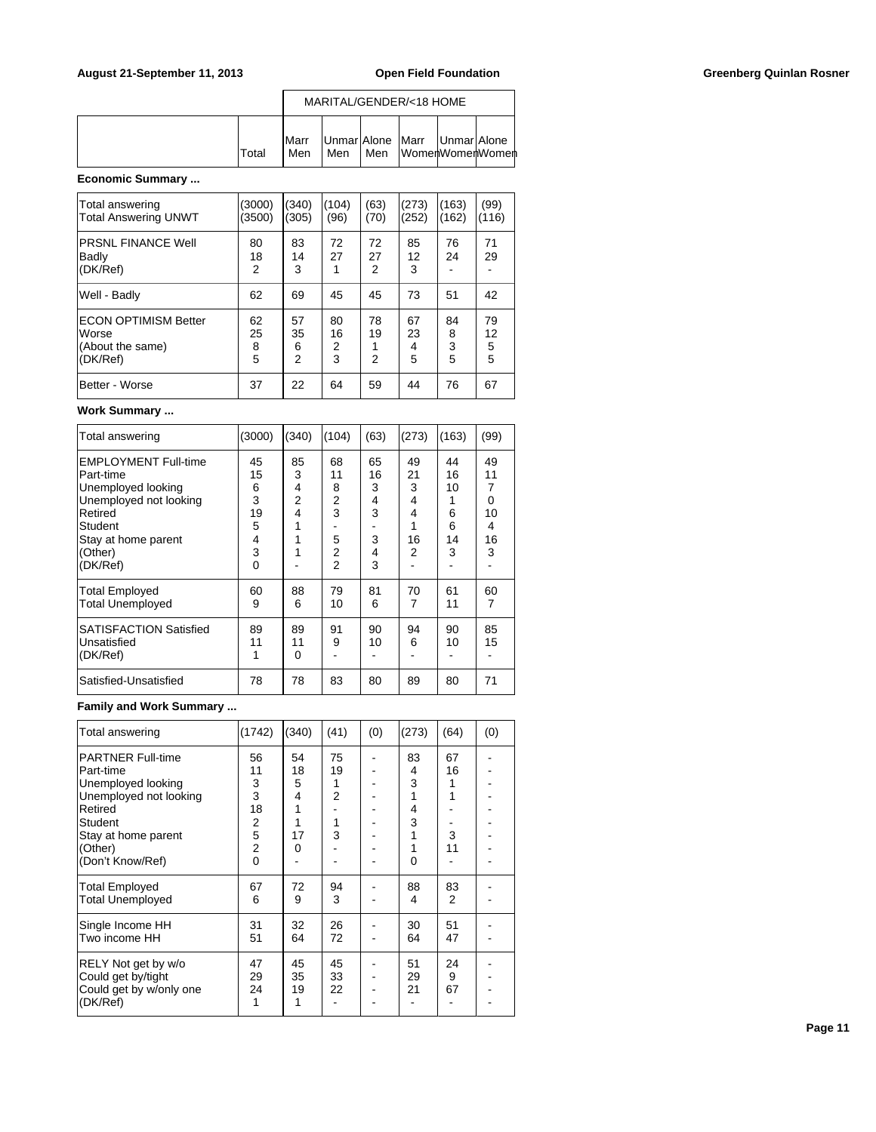|       | MARITAL/GENDER/<18 HOME |     |     |                                |  |                 |  |  |  |  |
|-------|-------------------------|-----|-----|--------------------------------|--|-----------------|--|--|--|--|
| Total | <b>I</b> Marr<br>Men    | Men | Men | Unmar Alone Marr   Unmar Alone |  | WomenWomenWomen |  |  |  |  |

# **Economic Summary ...**

| Total answering<br><b>Total Answering UNWT</b>                       | (3000)<br>(3500)   | (340)<br>(305)                  | (104)<br>(96)      | (63)<br>(70)  | (273)<br>(252)     | (163)<br>(162)    | (99)<br>(116)      |
|----------------------------------------------------------------------|--------------------|---------------------------------|--------------------|---------------|--------------------|-------------------|--------------------|
| <b>PRSNL FINANCE Well</b><br>Badly<br>(DK/Ref)                       | 80<br>18<br>2      | 83<br>14<br>3                   | 72<br>27<br>1      | 72<br>27<br>2 | 85<br>12<br>3      | 76<br>24          | 71<br>29           |
| Well - Badly                                                         | 62                 | 69                              | 45                 | 45            | 73                 | 51                | 42                 |
| <b>ECON OPTIMISM Better</b><br>Worse<br>(About the same)<br>(DK/Ref) | 62<br>25<br>8<br>5 | 57<br>35<br>6<br>$\overline{2}$ | 80<br>16<br>2<br>3 | 78<br>19<br>2 | 67<br>23<br>4<br>5 | 84<br>8<br>3<br>5 | 79<br>12<br>5<br>5 |
| Better - Worse                                                       | 37                 | 22                              | 64                 | 59            | 44                 | 76                | 67                 |

### **Work Summary ...**

| Total answering                                                                                                                                  | (3000)                                  | (340)                               | (104)                                          | (63)                              | (273)                              | (163)                               | (99)                                     |
|--------------------------------------------------------------------------------------------------------------------------------------------------|-----------------------------------------|-------------------------------------|------------------------------------------------|-----------------------------------|------------------------------------|-------------------------------------|------------------------------------------|
| <b>EMPLOYMENT Full-time</b><br>Part-time<br>Unemployed looking<br>Unemployed not looking<br>Retired<br>Student<br>Stay at home parent<br>(Other) | 45<br>15<br>6<br>3<br>19<br>5<br>4<br>3 | 85<br>3<br>4<br>$\overline{2}$<br>4 | 68<br>11<br>8<br>$\overline{2}$<br>3<br>5<br>2 | 65<br>16<br>3<br>4<br>3<br>3<br>4 | 49<br>21<br>3<br>4<br>4<br>16<br>2 | 44<br>16<br>10<br>6<br>6<br>14<br>3 | 49<br>11<br>7<br>0<br>10<br>4<br>16<br>3 |
| (DK/Ref)                                                                                                                                         | $\Omega$                                |                                     | $\overline{2}$                                 | 3                                 |                                    |                                     |                                          |
| <b>Total Employed</b><br><b>Total Unemployed</b>                                                                                                 | 60<br>9                                 | 88<br>6                             | 79<br>10                                       | 81<br>6                           | 70<br>7                            | 61<br>11                            | 60<br>7                                  |
| <b>SATISFACTION Satisfied</b><br>Unsatisfied<br>(DK/Ref)                                                                                         | 89<br>11                                | 89<br>11<br>$\Omega$                | 91<br>9                                        | 90<br>10                          | 94<br>6                            | 90<br>10                            | 85<br>15                                 |
| Satisfied-Unsatisfied                                                                                                                            | 78                                      | 78                                  | 83                                             | 80                                | 89                                 | 80                                  | 71                                       |

# **Family and Work Summary ...**

| Total answering                                                                                                                                                          | (1742)                                                                | (340)                              | (41)                         | (0) | (273)                       | (64)                     | (0) |
|--------------------------------------------------------------------------------------------------------------------------------------------------------------------------|-----------------------------------------------------------------------|------------------------------------|------------------------------|-----|-----------------------------|--------------------------|-----|
| <b>PARTNER Full-time</b><br>Part-time<br>Unemployed looking<br>Unemployed not looking<br>Retired<br><b>Student</b><br>Stay at home parent<br>(Other)<br>(Don't Know/Ref) | 56<br>11<br>3<br>3<br>18<br>$rac{2}{5}$<br>$\overline{2}$<br>$\Omega$ | 54<br>18<br>5<br>4<br>1<br>17<br>0 | 75<br>19<br>1<br>2<br>1<br>3 |     | 83<br>4<br>3<br>4<br>3<br>0 | 67<br>16<br>1<br>3<br>11 |     |
| <b>Total Employed</b><br><b>Total Unemployed</b>                                                                                                                         | 67<br>6                                                               | 72<br>9                            | 94<br>3                      |     | 88<br>4                     | 83<br>2                  |     |
| Single Income HH<br>Two income HH                                                                                                                                        | 31<br>51                                                              | 32<br>64                           | 26<br>72                     |     | 30<br>64                    | 51<br>47                 |     |
| RELY Not get by w/o<br>Could get by/tight<br>Could get by w/only one<br>(DK/Ref)                                                                                         | 47<br>29<br>24<br>1                                                   | 45<br>35<br>19                     | 45<br>33<br>22               |     | 51<br>29<br>21              | 24<br>9<br>67            |     |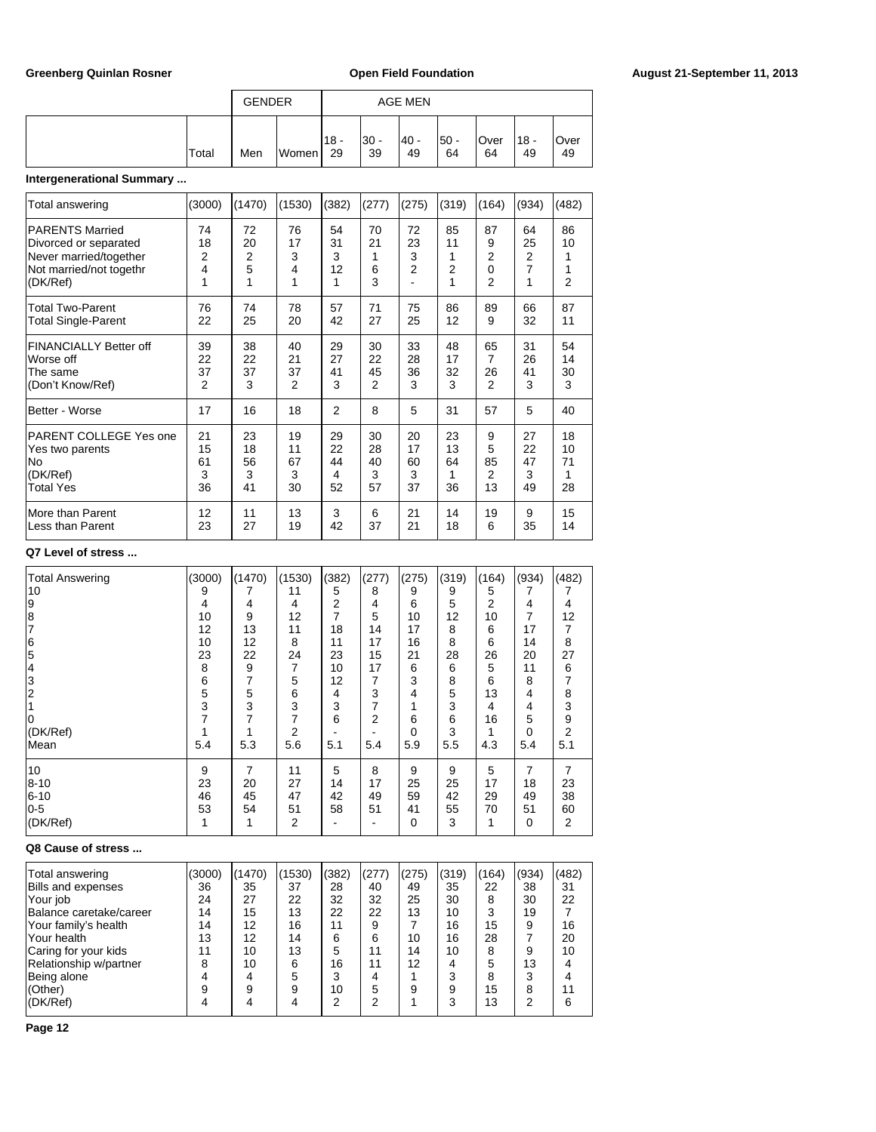|                          |       | <b>GENDER</b> |       |               |              | AGE MEN     |             |             |               |             |
|--------------------------|-------|---------------|-------|---------------|--------------|-------------|-------------|-------------|---------------|-------------|
|                          | Total | Men           | Women | $118 -$<br>29 | $30 -$<br>39 | - 40 <br>49 | l50 -<br>64 | lOver<br>64 | $118 -$<br>49 | lOver<br>49 |
| ntorgonorational Qummary |       |               |       |               |              |             |             |             |               |             |

# **Intergenerational Summary ...**

| Total answering                                                                                                  | (3000)                    | (1470)                    | (1530)                    | (382)                     | (277)                            | (275)                           | (319)                | (164)                                      | (934)                     | (482)                                |
|------------------------------------------------------------------------------------------------------------------|---------------------------|---------------------------|---------------------------|---------------------------|----------------------------------|---------------------------------|----------------------|--------------------------------------------|---------------------------|--------------------------------------|
| <b>PARENTS Married</b><br>Divorced or separated<br>Never married/together<br>Not married/not togethr<br>(DK/Ref) | 74<br>18<br>2<br>4<br>1   | 72<br>20<br>2<br>5        | 76<br>17<br>3<br>4<br>1   | 54<br>31<br>3<br>12<br>1  | 70<br>21<br>6<br>3               | 72<br>23<br>3<br>$\overline{2}$ | 85<br>11<br>2        | 87<br>9<br>2<br>$\Omega$<br>$\overline{2}$ | 64<br>25<br>2<br>7<br>1   | 86<br>10<br>1<br>1<br>$\overline{2}$ |
| <b>Total Two-Parent</b><br><b>Total Single-Parent</b>                                                            | 76<br>22                  | 74<br>25                  | 78<br>20                  | 57<br>42                  | 71<br>27                         | 75<br>25                        | 86<br>12             | 89<br>9                                    | 66<br>32                  | 87<br>11                             |
| FINANCIALLY Better off<br>Worse off<br>The same<br>(Don't Know/Ref)                                              | 39<br>22<br>37<br>2       | 38<br>22<br>37<br>3       | 40<br>21<br>37<br>2       | 29<br>27<br>41<br>3       | 30<br>22<br>45<br>$\overline{2}$ | 33<br>28<br>36<br>3             | 48<br>17<br>32<br>3  | 65<br>7<br>26<br>$\mathfrak{p}$            | 31<br>26<br>41<br>3       | 54<br>14<br>30<br>3                  |
| Better - Worse                                                                                                   | 17                        | 16                        | 18                        | 2                         | 8                                | 5                               | 31                   | 57                                         | 5                         | 40                                   |
| PARENT COLLEGE Yes one<br>Yes two parents<br>No<br>(DK/Ref)<br><b>Total Yes</b>                                  | 21<br>15<br>61<br>3<br>36 | 23<br>18<br>56<br>3<br>41 | 19<br>11<br>67<br>3<br>30 | 29<br>22<br>44<br>4<br>52 | 30<br>28<br>40<br>3<br>57        | 20<br>17<br>60<br>3<br>37       | 23<br>13<br>64<br>36 | 9<br>5<br>85<br>2<br>13                    | 27<br>22<br>47<br>3<br>49 | 18<br>10<br>71<br>1<br>28            |
| More than Parent<br>Less than Parent                                                                             | 12<br>23                  | 11<br>27                  | 13<br>19                  | 3<br>42                   | 6<br>37                          | 21<br>21                        | 14<br>18             | 19<br>6                                    | 9<br>35                   | 15<br>14                             |

# **Q7 Level of stress ...**

| <b>Total Answering</b> | (3000) | (1470) | (1530) | (382) | (277) | (275)    | (319) | (164) | (934) | (482) |
|------------------------|--------|--------|--------|-------|-------|----------|-------|-------|-------|-------|
| 10                     | 9      |        | 11     | 5     | 8     | 9        | 9     | 5     |       |       |
| 19                     | 4      | 4      | 4      | 2     | 4     | 6        | 5     | 2     | 4     | 4     |
| 8                      | 10     | 9      | 12     | 7     | 5     | 10       | 12    | 10    | 7     | 12    |
|                        | 12     | 13     | 11     | 18    | 14    | 17       | 8     | 6     | 17    |       |
| 6                      | 10     | 12     | 8      | 11    | 17    | 16       | 8     | 6     | 14    | 8     |
| 5                      | 23     | 22     | 24     | 23    | 15    | 21       | 28    | 26    | 20    | 27    |
| 4                      | 8      | 9      | 7      | 10    | 17    | 6        | 6     | 5     | 11    | 6     |
| 3                      | 6      |        | 5      | 12    | 7     | 3        | 8     | 6     | 8     |       |
|                        | 5      | 5      | 6      | 4     | 3     | 4        | 5     | 13    | 4     | 8     |
|                        | 3      | 3      | 3      | 3     | 7     |          | 3     | 4     | 4     | 3     |
|                        |        |        |        | 6     | 2     | 6        | 6     | 16    | 5     | 9     |
| (DK/Ref)               |        |        | 2      |       |       | $\Omega$ | 3     |       | 0     | 2     |
| Mean                   | 5.4    | 5.3    | 5.6    | 5.1   | 5.4   | 5.9      | 5.5   | 4.3   | 5.4   | 5.1   |
| 10                     | 9      | 7      | 11     | 5     | 8     | 9        | 9     | 5     | 7     | 7     |
| 8-10                   | 23     | 20     | 27     | 14    | 17    | 25       | 25    | 17    | 18    | 23    |
| $6 - 10$               | 46     | 45     | 47     | 42    | 49    | 59       | 42    | 29    | 49    | 38    |
| $0-5$                  | 53     | 54     | 51     | 58    | 51    | 41       | 55    | 70    | 51    | 60    |
| (DK/Ref)               |        |        | 2      |       |       | 0        | 3     | 1     | 0     | 2     |

### **Q8 Cause of stress ...**

| Total answering         | (3000) | (1470) | 1530) | (382) | (277) | (275) | (319) | (164) | (934) | (482) |
|-------------------------|--------|--------|-------|-------|-------|-------|-------|-------|-------|-------|
| Bills and expenses      | 36     | 35     | 37    | 28    | 40    | 49    | 35    | 22    | 38    | 31    |
| Your job                | 24     | 27     | 22    | 32    | 32    | 25    | 30    | 8     | 30    | 22    |
| Balance caretake/career | 14     | 15     | 13    | 22    | 22    | 13    | 10    | 3     | 19    |       |
| Your family's health    | 14     | 12     | 16    | 11    | 9     |       | 16    | 15    | 9     | 16    |
| Your health             | 13     | 12     | 14    | 6     | 6     | 10    | 16    | 28    |       | 20    |
| Caring for your kids    | 11     | 10     | 13    | 5     | 11    | 14    | 10    | 8     | 9     | 10    |
| Relationship w/partner  | 8      | 10     | 6     | 16    | 11    | 12    | 4     | 5     | 13    | Λ     |
| Being alone             |        | 4      | 5     | 3     |       |       | 3     | 8     | 3     |       |
| (Other)                 | 9      | 9      | a     | 10    | 5     | a     | 9     | 15    | 8     | 11    |
| (DK/Ref)                |        |        |       | ົ     | ⌒     |       | 3     | 13    | າ     | 6     |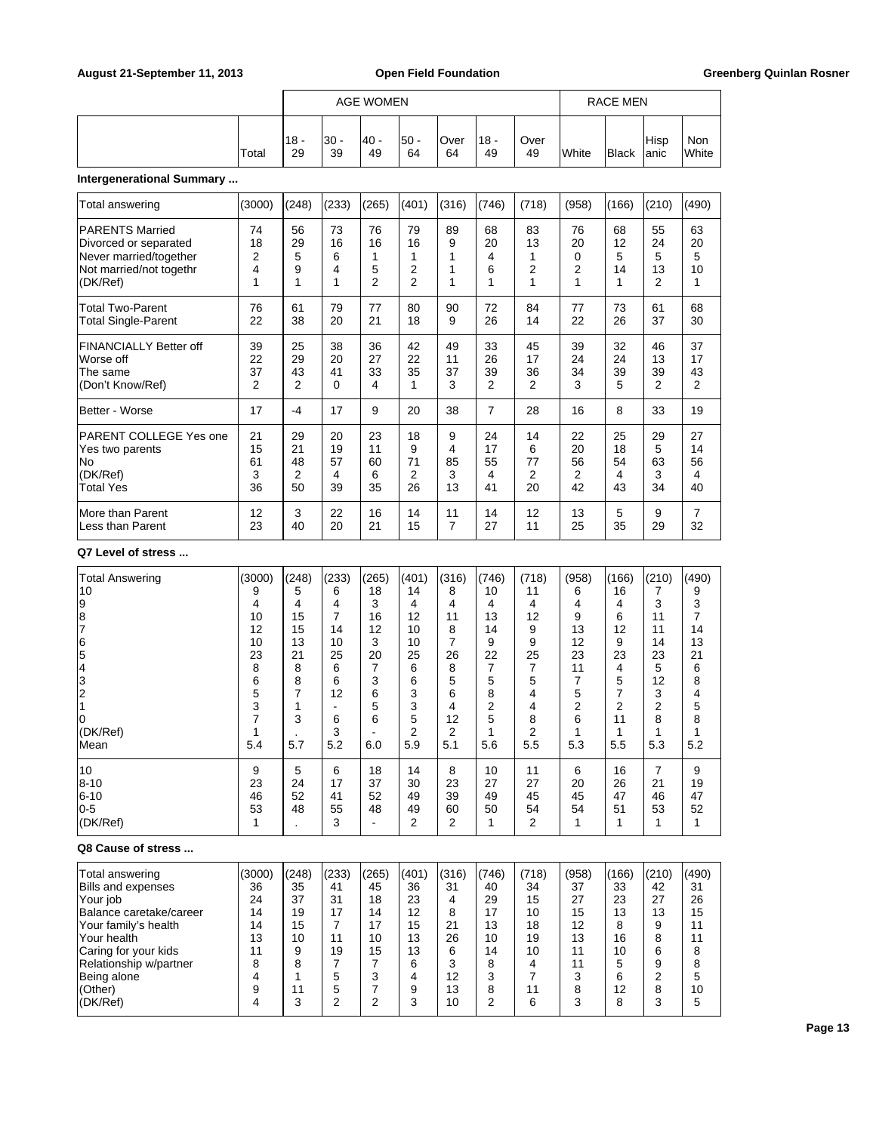|  |       | AGE WOMEN     |            |             |          |            |             |            | <b>RACE MEN</b> |              |               |                     |  |
|--|-------|---------------|------------|-------------|----------|------------|-------------|------------|-----------------|--------------|---------------|---------------------|--|
|  | Total | $118 -$<br>29 | 30 -<br>39 | - 40 <br>49 | 50<br>64 | Over<br>64 | '18 -<br>49 | Over<br>49 | <b>I</b> White  | <b>Black</b> | Hisp<br>lanic | Non<br><b>White</b> |  |

# **Intergenerational Summary ...**

| Total answering                                                                                                  | (3000)             | (248)                   | (233)                   | (265)                           | (401)                                        | (316)        | (746)                   | (718)                   | (958)                   | (166)                    | (210)                                 | (490)                    |
|------------------------------------------------------------------------------------------------------------------|--------------------|-------------------------|-------------------------|---------------------------------|----------------------------------------------|--------------|-------------------------|-------------------------|-------------------------|--------------------------|---------------------------------------|--------------------------|
| <b>PARENTS Married</b><br>Divorced or separated<br>Never married/together<br>Not married/not togethr<br>(DK/Ref) | 74<br>18<br>2<br>4 | 56<br>29<br>5<br>9<br>1 | 73<br>16<br>6<br>4<br>1 | 76<br>16<br>5<br>$\overline{2}$ | 79<br>16<br>$\overline{2}$<br>$\overline{2}$ | 89<br>9<br>1 | 68<br>20<br>4<br>6<br>1 | 83<br>13<br>1<br>2<br>1 | 76<br>20<br>0<br>2<br>1 | 68<br>12<br>5<br>14<br>1 | 55<br>24<br>5<br>13<br>$\overline{2}$ | 63<br>20<br>5<br>10<br>1 |
| <b>Total Two-Parent</b>                                                                                          | 76                 | 61                      | 79                      | 77                              | 80                                           | 90           | 72                      | 84                      | 77                      | 73                       | 61                                    | 68                       |
| <b>Total Single-Parent</b>                                                                                       | 22                 | 38                      | 20                      | 21                              | 18                                           | 9            | 26                      | 14                      | 22                      | 26                       | 37                                    | 30                       |
| <b>FINANCIALLY Better off</b>                                                                                    | 39                 | 25                      | 38                      | 36                              | 42                                           | 49           | 33                      | 45                      | 39                      | 32                       | 46                                    | 37                       |
| Worse off                                                                                                        | 22                 | 29                      | 20                      | 27                              | 22                                           | 11           | 26                      | 17                      | 24                      | 24                       | 13                                    | 17                       |
| The same                                                                                                         | 37                 | 43                      | 41                      | 33                              | 35                                           | 37           | 39                      | 36                      | 34                      | 39                       | 39                                    | 43                       |
| (Don't Know/Ref)                                                                                                 | 2                  | 2                       | 0                       | 4                               | 1                                            | 3            | 2                       | 2                       | 3                       | 5                        | $\overline{2}$                        | 2                        |
| Better - Worse                                                                                                   | 17                 | -4                      | 17                      | 9                               | 20                                           | 38           | 7                       | 28                      | 16                      | 8                        | 33                                    | 19                       |
| PARENT COLLEGE Yes one                                                                                           | 21                 | 29                      | 20                      | 23                              | 18                                           | 9            | 24                      | 14                      | 22                      | 25                       | 29                                    | 27                       |
| Yes two parents                                                                                                  | 15                 | 21                      | 19                      | 11                              | 9                                            | 4            | 17                      | 6                       | 20                      | 18                       | 5                                     | 14                       |
| No.                                                                                                              | 61                 | 48                      | 57                      | 60                              | 71                                           | 85           | 55                      | 77                      | 56                      | 54                       | 63                                    | 56                       |
| (DK/Ref)                                                                                                         | 3                  | 2                       | 4                       | 6                               | 2                                            | 3            | 4                       | 2                       | 2                       | 4                        | 3                                     | 4                        |
| <b>Total Yes</b>                                                                                                 | 36                 | 50                      | 39                      | 35                              | 26                                           | 13           | 41                      | 20                      | 42                      | 43                       | 34                                    | 40                       |
| More than Parent                                                                                                 | 12                 | 3                       | 22                      | 16                              | 14                                           | 11           | 14                      | 12                      | 13                      | 5                        | 9                                     | 7                        |
| Less than Parent                                                                                                 | 23                 | 40                      | 20                      | 21                              | 15                                           | 7            | 27                      | 11                      | 25                      | 35                       | 29                                    | 32                       |

### **Q7 Level of stress ...**

| <b>Total Answering</b> | (3000) | (248) | (233) | (265) | (401) | (316) | (746) | (718) | (958) | (166) | (210) | (490) |
|------------------------|--------|-------|-------|-------|-------|-------|-------|-------|-------|-------|-------|-------|
| 10                     | 9      | 5     | 6     | 18    | 14    | 8     | 10    | 11    | 6     | 16    |       | 9     |
| 9                      | 4      | 4     | 4     | 3     | 4     | 4     | 4     | 4     | 4     | 4     | 3     | 3     |
| 8                      | 10     | 15    | 7     | 16    | 12    | 11    | 13    | 12    | 9     | 6     | 11    | 7     |
|                        | 12     | 15    | 14    | 12    | 10    | 8     | 14    | 9     | 13    | 12    | 11    | 14    |
| 6                      | 10     | 13    | 10    | 3     | 10    |       | 9     | 9     | 12    | 9     | 14    | 13    |
| 5                      | 23     | 21    | 25    | 20    | 25    | 26    | 22    | 25    | 23    | 23    | 23    | 21    |
| 4                      | 8      | 8     | 6     |       | 6     | 8     |       | 7     | 11    | 4     | 5     | 6     |
| 3                      | 6      | 8     | 6     | 3     | 6     | 5     | 5     | 5     |       | 5     | 12    | 8     |
| 2                      | 5      |       | 12    | 6     | 3     | 6     | 8     | 4     | 5     |       | 3     | 4     |
|                        | 3      |       |       | 5     | 3     | 4     | 2     | 4     | 2     | 2     | 2     | 5     |
| 10                     |        | 3     | 6     | 6     | 5     | 12    | 5     | 8     | 6     | 11    | 8     | 8     |
| (DK/Ref)               |        |       | 3     |       | 2     | 2     |       | 2     |       |       |       |       |
| Mean                   | 5.4    | 5.7   | 5.2   | 6.0   | 5.9   | 5.1   | 5.6   | 5.5   | 5.3   | 5.5   | 5.3   | 5.2   |
| 10                     | 9      | 5     | 6     | 18    | 14    | 8     | 10    | 11    | 6     | 16    | 7     | 9     |
| $ 8 - 10 $             | 23     | 24    | 17    | 37    | 30    | 23    | 27    | 27    | 20    | 26    | 21    | 19    |
| 6-10                   | 46     | 52    | 41    | 52    | 49    | 39    | 49    | 45    | 45    | 47    | 46    | 47    |
| 10-5                   | 53     | 48    | 55    | 48    | 49    | 60    | 50    | 54    | 54    | 51    | 53    | 52    |
| (DK/Ref)               |        |       | 3     |       | 2     | 2     | 1     | 2     |       | 1     | 1     | 1     |

### **Q8 Cause of stress ...**

| Total answering<br>Bills and expenses<br>Your job<br>Balance caretake/career<br>Your family's health<br>'Your health<br>Caring for your kids<br>Relationship w/partner | (3000)<br>36<br>24<br>14<br>14<br>13 | (248)<br>35<br>37<br>19<br>15<br>10<br>a<br>8 | (233)<br>41<br>31<br>17<br>11<br>19 | (265)<br>45<br>18<br>14<br>17<br>10<br>15<br>ົ | (401)<br>36<br>23<br>12<br>15<br>13<br>13<br>6 | (316)<br>31<br>4<br>8<br>21<br>26<br>6<br>3 | (746)<br>40<br>29<br>17<br>13<br>10<br>14<br>8 | (718)<br>34<br>15<br>10<br>18<br>19<br>10 | (958)<br>37<br>27<br>15<br>12<br>13<br>11<br>11<br>ົ | (166)<br>33<br>23<br>13<br>8<br>16<br>10<br>5 | (210)<br>42<br>27<br>13<br>9<br>8<br>6<br>9<br>⌒ | (490)<br>31<br>26<br>15<br>11<br>11<br>8 |
|------------------------------------------------------------------------------------------------------------------------------------------------------------------------|--------------------------------------|-----------------------------------------------|-------------------------------------|------------------------------------------------|------------------------------------------------|---------------------------------------------|------------------------------------------------|-------------------------------------------|------------------------------------------------------|-----------------------------------------------|--------------------------------------------------|------------------------------------------|
| Being alone<br>(Other)<br>(DK/Ref)                                                                                                                                     |                                      | 11<br>3                                       | 5<br>5<br>っ                         | ົ                                              | 9<br>З                                         | 12<br>13<br>10                              | 3<br>8<br>2                                    | 11<br>6                                   | 8<br>ີ                                               | 6<br>12<br>8                                  | 8<br>3                                           | 10<br>5                                  |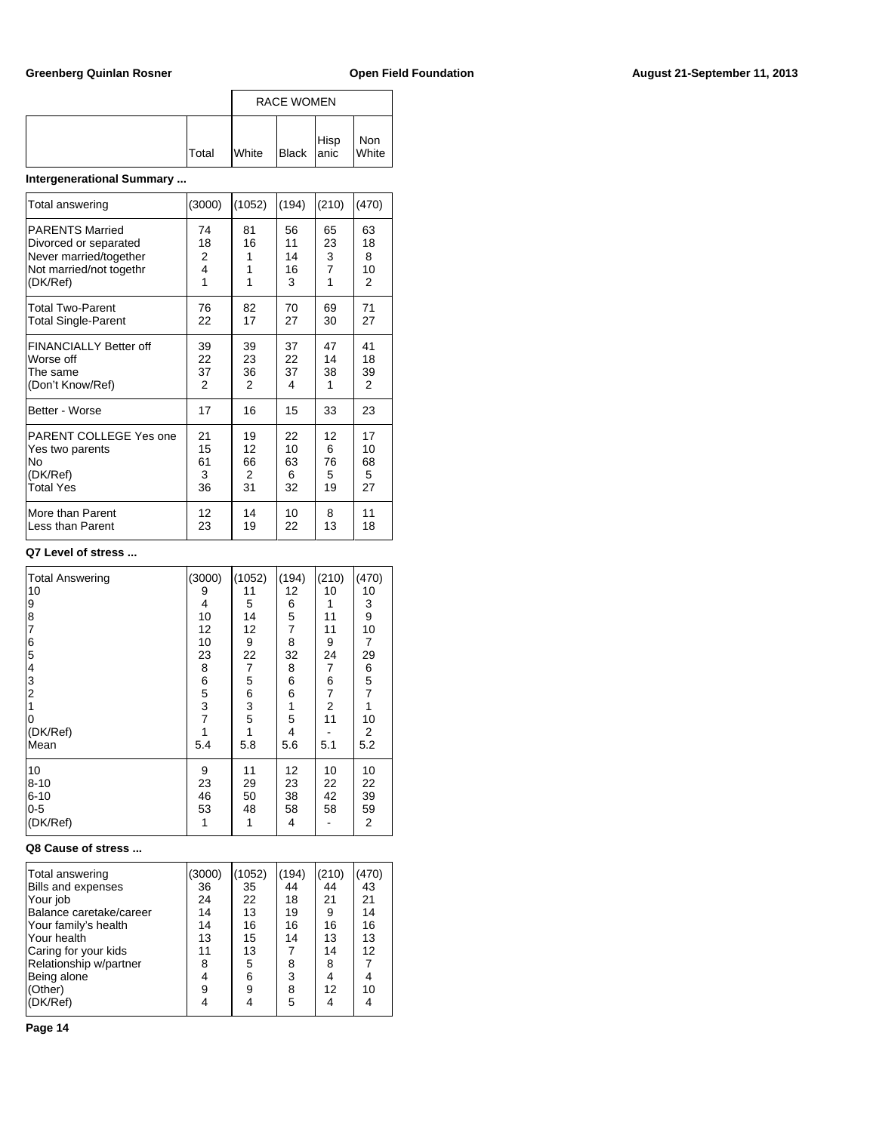|              |                | <b>RACE WOMEN</b> |  |              |  |  |
|--------------|----------------|-------------------|--|--------------|--|--|
| <b>Total</b> | <b>I</b> White | Black Hisp        |  | Non<br>White |  |  |

# **Intergenerational Summary ...**

| Total answering               | (3000) | (1052) | (194) | (210)          | (470)          |
|-------------------------------|--------|--------|-------|----------------|----------------|
| <b>PARENTS Married</b>        | 74     | 81     | 56    | 65             | 63             |
| Divorced or separated         | 18     | 16     | 11    | 23             | 18             |
| Never married/together        | 2      | 1      | 14    | 3              | 8              |
| Not married/not togethr       | 4      | 1      | 16    | $\overline{7}$ | 10             |
| (DK/Ref)                      | 1      | 1      | 3     | 1              | 2              |
| <b>Total Two-Parent</b>       | 76     | 82     | 70    | 69             | 71             |
| <b>Total Single-Parent</b>    | 22     | 17     | 27    | 30             | 27             |
| <b>FINANCIALLY Better off</b> | 39     | 39     | 37    | 47             | 41             |
| Worse off                     | 22     | 23     | 22    | 14             | 18             |
| The same                      | 37     | 36     | 37    | 38             | 39             |
| (Don't Know/Ref)              | 2      | 2      | 4     | 1              | $\overline{2}$ |
| Better - Worse                | 17     | 16     | 15    | 33             | 23             |
| PARENT COLLEGE Yes one        | 21     | 19     | 22    | 12             | 17             |
| Yes two parents               | 15     | 12     | 10    | 6              | 10             |
| No                            | 61     | 66     | 63    | 76             | 68             |
| (DK/Ref)                      | 3      | 2      | 6     | 5              | 5              |
| <b>Total Yes</b>              | 36     | 31     | 32    | 19             | 27             |
| More than Parent              | 12     | 14     | 10    | 8              | 11             |
| Less than Parent              | 23     | 19     | 22    | 13             | 18             |

# **Q7 Level of stress ...**

| <b>Total Answering</b><br>10<br>9<br>8<br>$\overline{7}$<br>6<br>5<br>4<br>3<br>2<br>0<br>(DK/Ref)<br>Mean | (3000)<br>9<br>4<br>10<br>12<br>10<br>23<br>8<br>6<br>5<br>3<br>$\overline{7}$<br>1<br>5.4 | (1052)<br>11<br>5<br>14<br>12<br>9<br>22<br>$\overline{7}$<br>5<br>6<br>$\frac{3}{5}$<br>1<br>5.8 | (194)<br>12<br>6<br>5<br>7<br>8<br>32<br>8<br>6<br>6<br>1<br>5<br>4<br>5.6 | (210)<br>10<br>1<br>11<br>11<br>9<br>24<br>7<br>6<br>7<br>2<br>11<br>5.1 | (470)<br>10<br>3<br>9<br>10<br>$\overline{7}$<br>29<br>6<br>$\frac{5}{7}$<br>1<br>10<br>2<br>5.2 |
|------------------------------------------------------------------------------------------------------------|--------------------------------------------------------------------------------------------|---------------------------------------------------------------------------------------------------|----------------------------------------------------------------------------|--------------------------------------------------------------------------|--------------------------------------------------------------------------------------------------|
| 10<br>8-10<br>$6 - 10$<br>$0-5$<br>(DK/Ref)                                                                | 9<br>23<br>46<br>53<br>1                                                                   | 11<br>29<br>50<br>48<br>1                                                                         | 12<br>23<br>38<br>58<br>4                                                  | 10<br>22<br>42<br>58                                                     | 10<br>22<br>39<br>59<br>2                                                                        |

### **Q8 Cause of stress ...**

| Total answering<br>Bills and expenses<br>Your job<br>Balance caretake/career<br>Your family's health | (3000)<br>36<br>24<br>14<br>14 | (1052)<br>35<br>22<br>13<br>16 | (194)<br>44<br>18<br>19<br>16 | (210)<br>44<br>21<br>9<br>16 | (470)<br>43<br>21<br>14<br>16 |  |
|------------------------------------------------------------------------------------------------------|--------------------------------|--------------------------------|-------------------------------|------------------------------|-------------------------------|--|
| lYour health                                                                                         | 13                             | 15                             | 14                            | 13                           | 13                            |  |
| Caring for your kids                                                                                 | 11                             | 13                             |                               | 14                           | 12                            |  |
| Relationship w/partner                                                                               | 8                              | 5                              | 8                             | 8                            |                               |  |
| Being alone                                                                                          |                                | 6                              | 3                             | 4                            |                               |  |
| (Other)                                                                                              | 9                              | 9                              | 8                             | 12                           | 10                            |  |
| (DK/Ref)                                                                                             |                                | 4                              | 5                             | 4                            |                               |  |
|                                                                                                      |                                |                                |                               |                              |                               |  |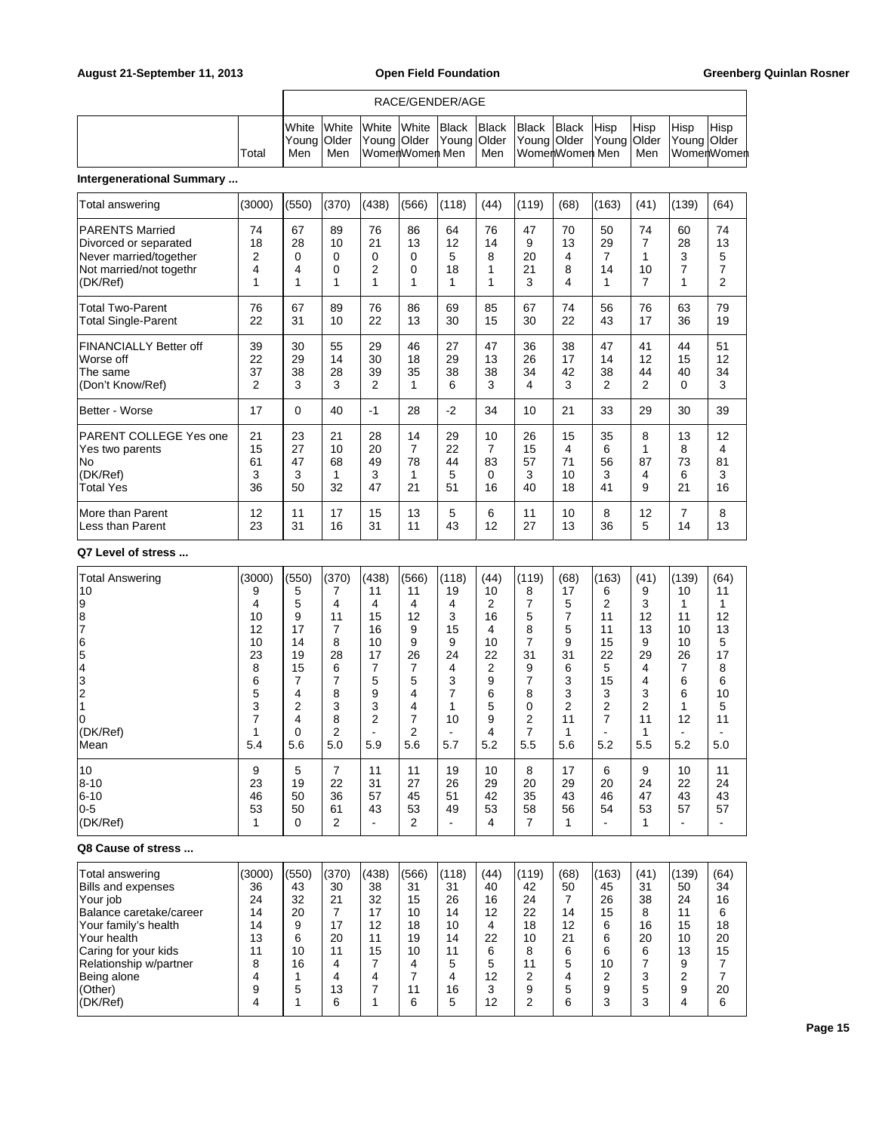### RACE/GENDER/AGE

|       | White White White White Black Black Black Black Hisp |                                                                                                |                |  |       |                        |  | <b>Hisp</b> | Hisp | <b>Hisp</b>   |
|-------|------------------------------------------------------|------------------------------------------------------------------------------------------------|----------------|--|-------|------------------------|--|-------------|------|---------------|
|       |                                                      | [Young   Older   Young   Older   Young   Older   Young   Older   Young   Older   Young   Older |                |  |       |                        |  |             |      |               |
| Total | Men                                                  | Men                                                                                            | WomenWomen Men |  | l Men | ∣WomerlWomerl Men ∣Men |  |             |      | ∣WomerlWomerl |

# **Intergenerational Summary ...**

| Total answering                                                                                                  | (3000)                           | (550)                          | (370)                     | (438)                     | (566)                                 | (118)                     | (44)                     | (119)                     | (68)                      | (163)                    | (41)                    | (139)                    | (64)                     |
|------------------------------------------------------------------------------------------------------------------|----------------------------------|--------------------------------|---------------------------|---------------------------|---------------------------------------|---------------------------|--------------------------|---------------------------|---------------------------|--------------------------|-------------------------|--------------------------|--------------------------|
| <b>PARENTS Married</b><br>Divorced or separated<br>Never married/together<br>Not married/not togethr<br>(DK/Ref) | 74<br>18<br>2<br>4<br>1          | 67<br>28<br>$\Omega$<br>4<br>1 | 89<br>10<br>0<br>0<br>1   | 76<br>21<br>0<br>2<br>1   | 86<br>13<br>$\Omega$<br>$\Omega$<br>1 | 64<br>12<br>5<br>18<br>1  | 76<br>14<br>8<br>1       | 47<br>9<br>20<br>21<br>3  | 70<br>13<br>4<br>8<br>4   | 50<br>29<br>7<br>14<br>1 | 74<br>7<br>1<br>10<br>7 | 60<br>28<br>3<br>7<br>1  | 74<br>13<br>5<br>7<br>2  |
| <b>Total Two-Parent</b><br><b>Total Single-Parent</b>                                                            | 76<br>22                         | 67<br>31                       | 89<br>10                  | 76<br>22                  | 86<br>13                              | 69<br>30                  | 85<br>15                 | 67<br>30                  | 74<br>22                  | 56<br>43                 | 76<br>17                | 63<br>36                 | 79<br>19                 |
| <b>FINANCIALLY Better off</b><br>Worse off<br>The same<br>(Don't Know/Ref)                                       | 39<br>22<br>37<br>$\overline{2}$ | 30<br>29<br>38<br>3            | 55<br>14<br>28<br>3       | 29<br>30<br>39<br>2       | 46<br>18<br>35<br>1                   | 27<br>29<br>38<br>6       | 47<br>13<br>38<br>3      | 36<br>26<br>34<br>4       | 38<br>17<br>42<br>3       | 47<br>14<br>38<br>2      | 41<br>12<br>44<br>2     | 44<br>15<br>40<br>0      | 51<br>12<br>34<br>3      |
| Better - Worse                                                                                                   | 17                               | $\Omega$                       | 40                        | $-1$                      | 28                                    | $-2$                      | 34                       | 10                        | 21                        | 33                       | 29                      | 30                       | 39                       |
| <b>PARENT COLLEGE Yes one</b><br>Yes two parents<br>lNo<br>(DK/Ref)<br><b>Total Yes</b>                          | 21<br>15<br>61<br>3<br>36        | 23<br>27<br>47<br>3<br>50      | 21<br>10<br>68<br>1<br>32 | 28<br>20<br>49<br>3<br>47 | 14<br>$\overline{7}$<br>78<br>1<br>21 | 29<br>22<br>44<br>5<br>51 | 10<br>7<br>83<br>0<br>16 | 26<br>15<br>57<br>3<br>40 | 15<br>4<br>71<br>10<br>18 | 35<br>6<br>56<br>3<br>41 | 8<br>87<br>4<br>9       | 13<br>8<br>73<br>6<br>21 | 12<br>4<br>81<br>3<br>16 |
| More than Parent<br>Less than Parent                                                                             | 12<br>23                         | 11<br>31                       | 17<br>16                  | 15<br>31                  | 13<br>11                              | 5<br>43                   | 6<br>12                  | 11<br>27                  | 10<br>13                  | 8<br>36                  | 12<br>5                 | 7<br>14                  | 8<br>13                  |

### **Q7 Level of stress ...**

| <b>Total Answering</b>                            | (3000) | (550) | (370)          | (438)          | (566)          | (118)          | (44)           | (119)    | (68)           | (163)          | (41)           | (139) | (64) |
|---------------------------------------------------|--------|-------|----------------|----------------|----------------|----------------|----------------|----------|----------------|----------------|----------------|-------|------|
| 10                                                | 9      | 5     | 7              | 11             | 11             | 19             | 10             | 8        | 17             | 6              | 9              | 10    | 11   |
|                                                   | 4      | 5     | 4              | 4              | 4              | 4              | 2              | 7        | 5              | $\overline{2}$ | 3              | 1     | 1    |
| $\begin{array}{c} 9 \\ 8 \\ 7 \end{array}$        | 10     | 9     | 11             | 15             | 12             | 3              | 16             | 5        | $\overline{7}$ | 11             | 12             | 11    | 12   |
|                                                   | 12     | 17    | $\overline{7}$ | 16             | 9              | 15             | 4              | 8        | 5              | 11             | 13             | 10    | 13   |
| $\overline{6}$                                    | 10     | 14    | 8              | 10             | 9              | 9              | 10             | 7        | 9              | 15             | 9              | 10    | 5    |
| $\overline{5}$                                    | 23     | 19    | 28             | 17             | 26             | 24             | 22             | 31       | 31             | 22             | 29             | 26    | 17   |
|                                                   | 8      | 15    | 6              | 7              | 7              | 4              | $\overline{2}$ | 9        | 6              | 5              | 4              | 7     | 8    |
| $\begin{array}{c}\n4 \\ 3 \\ 2 \\ 1\n\end{array}$ | 6      | 7     | $\overline{7}$ | 5              | 5              | 3              | 9              |          | 3              | 15             | 4              | 6     | 6    |
|                                                   | 5      | 4     | 8              | 9              | 4              | 7              | 6              | 8        | 3              | 3              | 3              | 6     | 10   |
|                                                   | 3      | 2     | 3              | 3              | 4              | 1              | 5              | $\Omega$ | $\overline{2}$ | $\overline{2}$ | $\overline{2}$ | 1     | 5    |
| ١o                                                | 7      | 4     | 8              | $\overline{2}$ | 7              | 10             | 9              | 2        | 11             | $\overline{7}$ | 11             | 12    | 11   |
| (DK/Ref)                                          | 1      | 0     | $\overline{2}$ |                | $\overline{2}$ | $\blacksquare$ | 4              | 7        | 1              |                | 1              | ۰     |      |
| Mean                                              | 5.4    | 5.6   | 5.0            | 5.9            | 5.6            | 5.7            | 5.2            | 5.5      | 5.6            | 5.2            | 5.5            | 5.2   | 5.0  |
| 10                                                | 9      | 5     | $\overline{7}$ | 11             | 11             | 19             | 10             | 8        | 17             | 6              | 9              | 10    | 11   |
| $8 - 10$                                          | 23     | 19    | 22             | 31             | 27             | 26             | 29             | 20       | 29             | 20             | 24             | 22    | 24   |
| $6 - 10$                                          | 46     | 50    | 36             | 57             | 45             | 51             | 42             | 35       | 43             | 46             | 47             | 43    | 43   |
| $ 0-5$                                            | 53     | 50    | 61             | 43             | 53             | 49             | 53             | 58       | 56             | 54             | 53             | 57    | 57   |
| (DK/Ref)                                          | 1      | 0     | $\overline{2}$ |                | $\overline{2}$ | ۰              | 4              | 7        | 1              |                | 1              | ۰     |      |
| Q8 Cause of stress                                |        |       |                |                |                |                |                |          |                |                |                |       |      |
| Total answering                                   | (3000) | (550) | (370)          | (438)          | (566)          | (118)          | (44)           | (119)    | (68)           | (163)          | (41)           | (139) | (64) |
| <b>Bills and expenses</b>                         | 36     | 43    | 30             | 38             | 31             | 31             | 40             | 42       | 50             | 45             | 31             | 50    | 34   |
| Your job                                          | 24     | 32    | 21             | 32             | 15             | 26             | 16             | 24       | $\overline{7}$ | 26             | 38             | 24    | 16   |
| Balance caretake/career                           | 14     | 20    | $\overline{7}$ | 17             | 10             | 14             | 12             | 22       | 14             | 15             | 8              | 11    | 6    |
| Your family's health                              | 14     | 9     | 17             | 12             | 18             | 10             | 4              | 18       | 12             | 6              | 16             | 15    | 18   |
| Your health                                       | 13     | 6     | 20             | 11             | 19             | 14             | 22             | 10       | 21             | 6              | 20             | 10    | 20   |
| Caring for your kids                              | 11     | 10    | 11             | 15             | 10             | 11             | 6              | 8        | 6              | 6              | 6              | 13    | 15   |
| Relationship w/partner                            | 8      | 16    | 4              | 7              | 4              | 5              | 5              | 11       | 5              | 10             | 7              | 9     | 7    |
| Being alone                                       | 4      |       | 4              | 4              | 7              | 4              | 12             | 2        | 4              | 2              | 3              | 2     | 7    |
| (Other)                                           | 9      | 5     | 13             | 7              | 11             | 16             | 3              | 9        | 5              | 9              | 5              | 9     | 20   |

(DK/Ref) | 4 | 1 | 6 | 1 | 6 | 5 | 12 | 2 | 6 | 3 | 3 | 4 | 6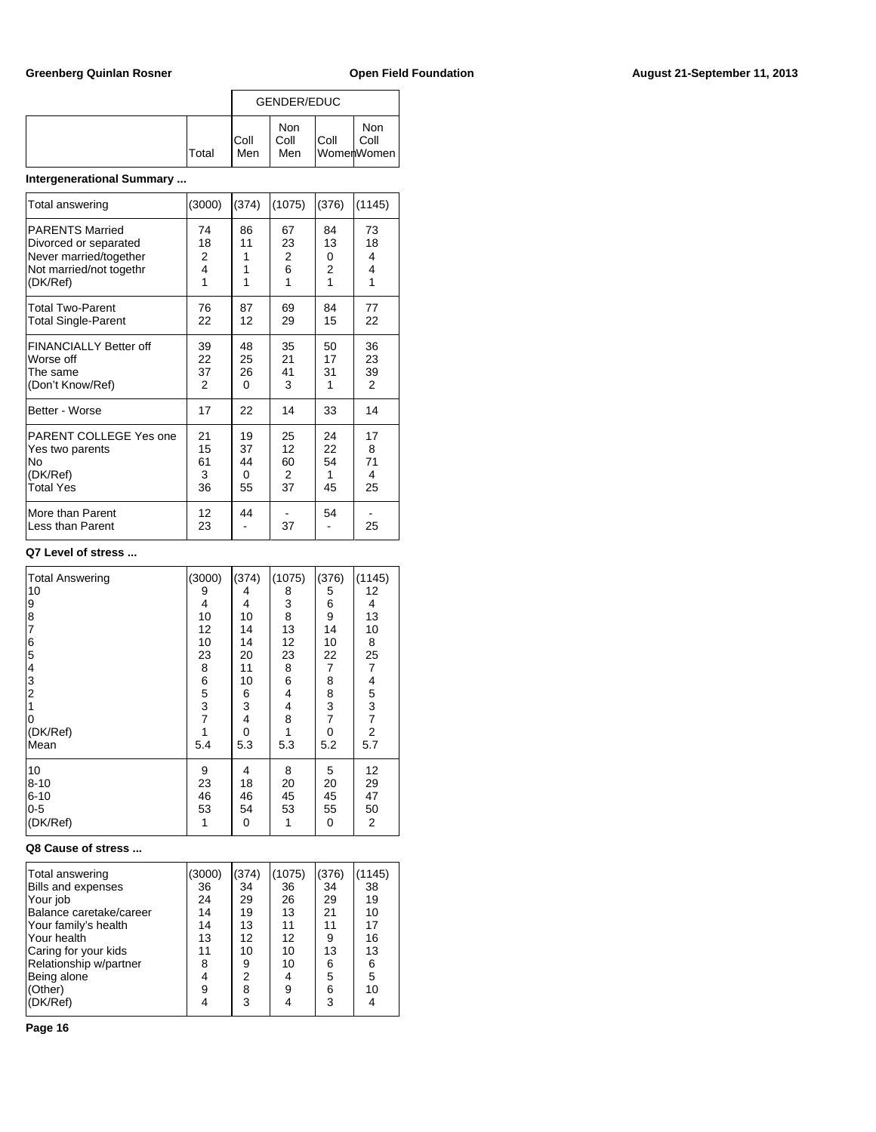|  |              | GENDER/EDUC  |                    |      |                           |  |  |
|--|--------------|--------------|--------------------|------|---------------------------|--|--|
|  | <b>Total</b> | IColl<br>Men | Non<br>Coll<br>Men | Coll | Non<br>Coll<br>WomenWomen |  |  |

# **Intergenerational Summary ...**

| Total answering                      | (3000)   | (374) | (1075) | (376)          | (1145)         |
|--------------------------------------|----------|-------|--------|----------------|----------------|
| <b>PARENTS Married</b>               | 74       | 86    | 67     | 84             | 73             |
| Divorced or separated                | 18       | 11    | 23     | 13             | 18             |
| Never married/together               | 2        | 1     | 2      | 0              | 4              |
| Not married/not togethr              | 4        | 1     | 6      | $\overline{2}$ | 4              |
| (DK/Ref)                             | 1        | 1     | 1      | 1              | 1              |
| <b>Total Two-Parent</b>              | 76       | 87    | 69     | 84             | 77             |
| <b>Total Single-Parent</b>           | 22       | 12    | 29     | 15             | 22             |
| <b>FINANCIALLY Better off</b>        | 39       | 48    | 35     | 50             | 36             |
| Worse off                            | 22       | 25    | 21     | 17             | 23             |
| The same                             | 37       | 26    | 41     | 31             | 39             |
| (Don't Know/Ref)                     | 2        | 0     | 3      | 1              | $\overline{2}$ |
| Better - Worse                       | 17       | 22    | 14     | 33             | 14             |
| PARENT COLLEGE Yes one               | 21       | 19    | 25     | 24             | 17             |
| Yes two parents                      | 15       | 37    | 12     | 22             | 8              |
| Nο                                   | 61       | 44    | 60     | 54             | 71             |
| (DK/Ref)                             | 3        | 0     | 2      | 1              | 4              |
| <b>Total Yes</b>                     | 36       | 55    | 37     | 45             | 25             |
| More than Parent<br>Less than Parent | 12<br>23 | 44    | 37     | 54             | 25             |

### **Q7 Level of stress ...**

| <b>Total Answering</b><br>10<br>9<br>8<br>$\overline{7}$<br>6<br>$\overline{5}$<br>$\vert 4$<br>$\vert$ 3<br>$\overline{\mathbf{c}}$<br>0<br>(DK/Ref) | (3000)<br>9<br>4<br>10<br>12<br>10<br>23<br>8<br>6<br>5<br>3<br>$\overline{7}$<br>1 | (374)<br>4<br>4<br>10<br>14<br>14<br>20<br>11<br>10<br>6<br>3<br>4<br>0 | (1075)<br>8<br>3<br>8<br>13<br>12<br>23<br>8<br>6<br>4<br>4<br>8<br>1 | (376)<br>5<br>6<br>9<br>14<br>10<br>22<br>7<br>8<br>8<br>3<br>$\overline{7}$<br>0 | (1145)<br>12<br>4<br>13<br>10<br>8<br>25<br>$\overline{7}$<br>4<br>5<br>3<br>7<br>2 |
|-------------------------------------------------------------------------------------------------------------------------------------------------------|-------------------------------------------------------------------------------------|-------------------------------------------------------------------------|-----------------------------------------------------------------------|-----------------------------------------------------------------------------------|-------------------------------------------------------------------------------------|
| Mean                                                                                                                                                  | 5.4                                                                                 | 5.3                                                                     | 5.3                                                                   | 5.2                                                                               | 5.7                                                                                 |
| 10<br>$8 - 10$<br>$6 - 10$<br>$0 - 5$<br>(DK/Ref)                                                                                                     | 9<br>23<br>46<br>53<br>1                                                            | 4<br>18<br>46<br>54<br>0                                                | 8<br>20<br>45<br>53<br>1                                              | 5<br>20<br>45<br>55<br>0                                                          | 12<br>29<br>47<br>50<br>2                                                           |

### **Q8 Cause of stress ...**

| Total answering           | (3000) | (374) | (1075) | (376) | (1145) |  |
|---------------------------|--------|-------|--------|-------|--------|--|
| <b>Bills and expenses</b> | 36     | 34    | 36     | 34    | 38     |  |
| Your job                  | 24     | 29    | 26     | 29    | 19     |  |
| Balance caretake/career   | 14     | 19    | 13     | 21    | 10     |  |
| Your family's health      | 14     | 13    | 11     | 11    | 17     |  |
| lYour health              | 13     | 12    | 12     | 9     | 16     |  |
| Caring for your kids      | 11     | 10    | 10     | 13    | 13     |  |
| Relationship w/partner    | 8      | 9     | 10     | 6     | 6      |  |
| Being alone               | 4      | 2     | 4      | 5     | 5      |  |
| (Other)                   | 9      | 8     | 9      | 6     | 10     |  |
| (DK/Ref)                  |        | 3     |        | 3     |        |  |
|                           |        |       |        |       |        |  |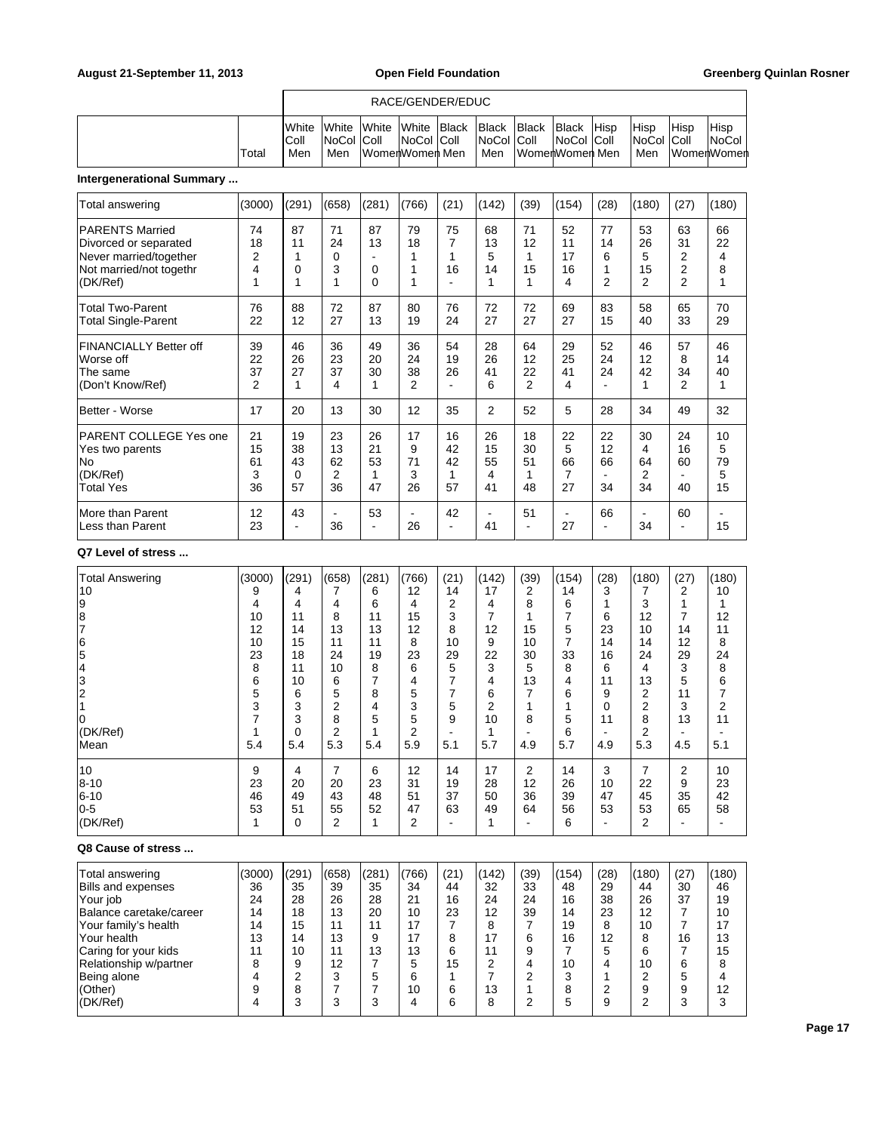### RACE/GENDER/EDUC

|--|

### **Intergenerational Summary ...**

| Total answering                                                                                                  | (3000)                           | (291)                            | (658)                     | (281)                     | (766)                            | (21)                      | (142)                     | (39)                             | (154)                     | (28)                 | (180)                                 | (27)                            | (180)                    |
|------------------------------------------------------------------------------------------------------------------|----------------------------------|----------------------------------|---------------------------|---------------------------|----------------------------------|---------------------------|---------------------------|----------------------------------|---------------------------|----------------------|---------------------------------------|---------------------------------|--------------------------|
| <b>PARENTS Married</b><br>Divorced or separated<br>Never married/together<br>Not married/not togethr<br>(DK/Ref) | 74<br>18<br>2<br>4<br>1          | 87<br>11<br>0<br>1               | 71<br>24<br>0<br>3<br>1   | 87<br>13<br>0<br>0        | 79<br>18<br>1                    | 75<br>7<br>1<br>16        | 68<br>13<br>5<br>14<br>1  | 71<br>12<br>15<br>1              | 52<br>11<br>17<br>16<br>4 | 77<br>14<br>6<br>2   | 53<br>26<br>5<br>15<br>$\overline{2}$ | 63<br>31<br>2<br>2<br>2         | 66<br>22<br>4<br>8<br>1  |
| <b>Total Two-Parent</b><br><b>Total Single-Parent</b>                                                            | 76<br>22                         | 88<br>12                         | 72<br>27                  | 87<br>13                  | 80<br>19                         | 76<br>24                  | 72<br>27                  | 72<br>27                         | 69<br>27                  | 83<br>15             | 58<br>40                              | 65<br>33                        | 70<br>29                 |
| FINANCIALLY Better off<br>Worse off<br>The same<br>(Don't Know/Ref)                                              | 39<br>22<br>37<br>$\overline{2}$ | 46<br>26<br>27<br>1              | 36<br>23<br>37<br>4       | 49<br>20<br>30<br>1       | 36<br>24<br>38<br>$\overline{2}$ | 54<br>19<br>26            | 28<br>26<br>41<br>6       | 64<br>12<br>22<br>$\overline{2}$ | 29<br>25<br>41<br>4       | 52<br>24<br>24       | 46<br>12<br>42<br>1                   | 57<br>8<br>34<br>$\overline{2}$ | 46<br>14<br>40<br>1      |
| Better - Worse                                                                                                   | 17                               | 20                               | 13                        | 30                        | 12                               | 35                        | $\overline{2}$            | 52                               | 5                         | 28                   | 34                                    | 49                              | 32                       |
| PARENT COLLEGE Yes one<br>Yes two parents<br>lNo<br>(DK/Ref)<br><b>Total Yes</b>                                 | 21<br>15<br>61<br>3<br>36        | 19<br>38<br>43<br>$\Omega$<br>57 | 23<br>13<br>62<br>2<br>36 | 26<br>21<br>53<br>1<br>47 | 17<br>9<br>71<br>3<br>26         | 16<br>42<br>42<br>1<br>57 | 26<br>15<br>55<br>4<br>41 | 18<br>30<br>51<br>48             | 22<br>5<br>66<br>7<br>27  | 22<br>12<br>66<br>34 | 30<br>4<br>64<br>$\overline{2}$<br>34 | 24<br>16<br>60<br>40            | 10<br>5<br>79<br>5<br>15 |
| More than Parent<br>Less than Parent                                                                             | 12<br>23                         | 43<br>$\overline{\phantom{a}}$   | $\blacksquare$<br>36      | 53                        | 26                               | 42<br>-                   | -<br>41                   | 51                               | ۰<br>27                   | 66                   | ÷<br>34                               | 60                              | 15                       |

### **Q7 Level of stress ...**

| <b>Total Answering</b>  | (3000) | (291)    | (658)          | (281)          | (766)          | (21)           | (142)          | (39)           | (154)          | (28)           | (180)          | (27)           | (180)          |
|-------------------------|--------|----------|----------------|----------------|----------------|----------------|----------------|----------------|----------------|----------------|----------------|----------------|----------------|
| 10                      | 9      | 4        | 7              | 6              | 12             | 14             | 17             | 2              | 14             | 3              |                | 2              | 10             |
| 9                       | 4      | 4        | 4              | 6              | 4              | 2              | 4              | 8              | 6              | 1              | 3              | 1              | 1              |
| 8                       | 10     | 11       | 8              | 11             | 15             | 3              | $\overline{7}$ | 1              | $\overline{7}$ | 6              | 12             | $\overline{7}$ | 12             |
| 7                       | 12     | 14       | 13             | 13             | 12             | 8              | 12             | 15             | 5              | 23             | 10             | 14             | 11             |
| $\overline{6}$          | 10     | 15       | 11             | 11             | 8              | 10             | 9              | 10             | 7              | 14             | 14             | 12             | 8              |
| 5                       | 23     | 18       | 24             | 19             | 23             | 29             | 22             | 30             | 33             | 16             | 24             | 29             | 24             |
| $\overline{4}$          | 8      | 11       | 10             | 8              | 6              | 5              | 3              | 5              | 8              | 6              | 4              | 3              | 8              |
| 3                       | 6      | 10       | 6              | $\overline{7}$ | 4              | $\overline{7}$ | 4              | 13             | 4              | 11             | 13             | 5              | 6              |
|                         | 5      | 6        | 5              | 8              | 5              | $\overline{7}$ | 6              | 7              | 6              | 9              | $\overline{2}$ | 11             | $\overline{7}$ |
| $\frac{2}{1}$           | 3      | 3        | 2              | 4              | 3              | 5              | $\overline{2}$ |                | 1              | $\mathbf{0}$   | $\overline{2}$ | 3              | 2              |
| 0                       | 7      | 3        | 8              | 5              | 5              | 9              | 10             | 8              | 5              | 11             | 8              | 13             | 11             |
| (DK/Ref)                | 1      | $\Omega$ | $\overline{2}$ |                | $\overline{2}$ | ٠              | 1              |                | 6              |                | $\overline{2}$ |                |                |
| Mean                    | 5.4    | 5.4      | 5.3            | 5.4            | 5.9            | 5.1            | 5.7            | 4.9            | 5.7            | 4.9            | 5.3            | 4.5            | 5.1            |
|                         |        |          |                |                |                |                |                |                |                |                |                |                |                |
| 10                      | 9      | 4        | 7              | 6              | 12             | 14             | 17             | $\overline{2}$ | 14             | 3              | 7              | 2              | 10             |
| $8 - 10$                | 23     | 20       | 20             | 23             | 31             | 19             | 28             | 12             | 26             | 10             | 22             | 9              | 23             |
| $6 - 10$                | 46     | 49       | 43             | 48             | 51             | 37             | 50             | 36             | 39             | 47             | 45             | 35             | 42             |
| $0-5$                   | 53     | 51       | 55             | 52             | 47             | 63             | 49             | 64             | 56             | 53             | 53             | 65             | 58             |
| (DK/Ref)                | 1      | $\Omega$ | $\overline{2}$ | 1              | $\overline{2}$ | ۰              | 1              |                | 6              | $\blacksquare$ | 2              | ۰              |                |
| Q8 Cause of stress      |        |          |                |                |                |                |                |                |                |                |                |                |                |
| Total answering         | (3000) | (291)    | (658)          | (281)          | (766)          | (21)           | (142)          | (39)           | (154)          | (28)           | (180)          | (27)           | (180)          |
| Bills and expenses      | 36     | 35       | 39             | 35             | 34             | 44             | 32             | 33             | 48             | 29             | 44             | 30             | 46             |
| Your job                | 24     | 28       | 26             | 28             | 21             | 16             | 24             | 24             | 16             | 38             | 26             | 37             | 19             |
| Balance caretake/career | 14     | 18       | 13             | 20             | 10             | 23             | 12             | 39             | 14             | 23             | 12             | 7              | 10             |
| Your family's health    | 14     | 15       | 11             | 11             | 17             | $\overline{7}$ | 8              | 7              | 19             | 8              | 10             | $\overline{7}$ | 17             |
| Your health             | 13     | 14       | 13             | 9              | 17             | 8              | 17             | 6              | 16             | 12             | 8              | 16             | 13             |
| Caring for your kids    | 11     | 10       | 11             | 13             | 13             | 6              | 11             | 9              | 7              | 5              | 6              | 7              | 15             |
| Relationship w/partner  | 8      | 9        | 12             | 7              | 5              | 15             | 2              | 4              | 10             | 4              | 10             | 6              | 8              |
| Being alone             | 4      | 2        | 3              | 5              | 6              | 1              | 7              | 2              | 3              | 1              | 2              | 5              | 4              |
| (Other)                 | 9      | 8        | 7              | 7              | 10             | 6              | 13             | 1              | 8              | $\overline{2}$ | 9              | 9              | 12             |

(DK/Ref) 4 3 3 3 4 6 8 2 5 9 2 3 3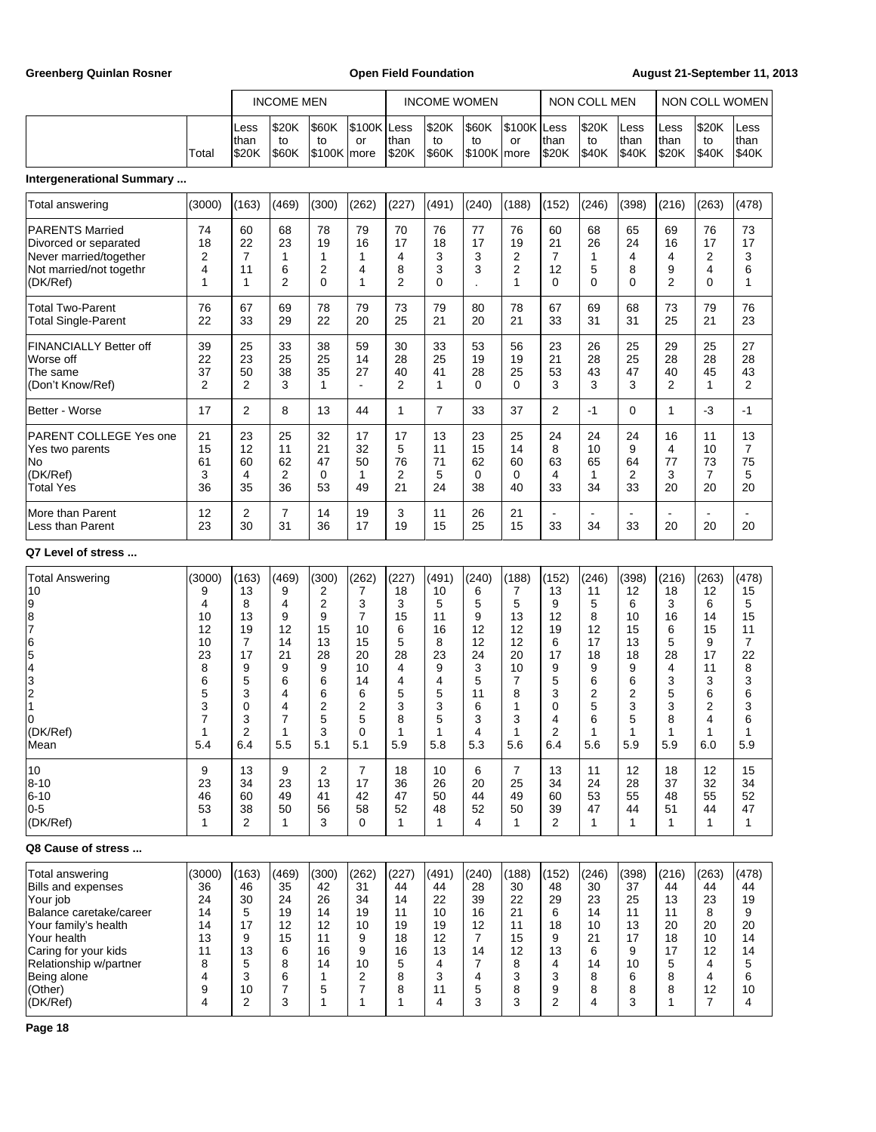| <b>Greenberg Quinlan Rosner</b>                                                                                                                                                                                    | <b>Open Field Foundation</b>                                                       |                                                                                    |                                                                                               |                                                                                  |                                                                                                                           |                                                                                   |                                                                                                           |                                                                                   | August 21-September 11, 2013                                                                    |                                                                                    |                                                                                    |                                                                                               |                                                                                             |                                                                                                  |                                                                                    |
|--------------------------------------------------------------------------------------------------------------------------------------------------------------------------------------------------------------------|------------------------------------------------------------------------------------|------------------------------------------------------------------------------------|-----------------------------------------------------------------------------------------------|----------------------------------------------------------------------------------|---------------------------------------------------------------------------------------------------------------------------|-----------------------------------------------------------------------------------|-----------------------------------------------------------------------------------------------------------|-----------------------------------------------------------------------------------|-------------------------------------------------------------------------------------------------|------------------------------------------------------------------------------------|------------------------------------------------------------------------------------|-----------------------------------------------------------------------------------------------|---------------------------------------------------------------------------------------------|--------------------------------------------------------------------------------------------------|------------------------------------------------------------------------------------|
|                                                                                                                                                                                                                    |                                                                                    |                                                                                    | <b>INCOME MEN</b>                                                                             |                                                                                  |                                                                                                                           |                                                                                   |                                                                                                           | <b>INCOME WOMEN</b>                                                               |                                                                                                 |                                                                                    | <b>NON COLL MEN</b>                                                                |                                                                                               |                                                                                             | NON COLL WOMEN                                                                                   |                                                                                    |
|                                                                                                                                                                                                                    | Total                                                                              | Less<br>than<br>\$20K                                                              | \$20K<br>to<br>\$60K                                                                          | \$60K<br>to<br>S100K more                                                        | \$100K Less<br>or                                                                                                         | <b>Ithan</b><br><b>S20K</b>                                                       | \$20K<br>to<br><b>\$60K</b>                                                                               | \$60K<br>to<br>\$100K more                                                        | \$100K Less<br>or                                                                               | than<br>\$20K                                                                      | \$20K<br>to<br>\$40K                                                               | Less<br>than<br>\$40K                                                                         | Less<br>than<br>\$20K                                                                       | \$20K<br>to<br>\$40K                                                                             | Less<br>than<br>\$40K                                                              |
| <b>Intergenerational Summary</b>                                                                                                                                                                                   |                                                                                    |                                                                                    |                                                                                               |                                                                                  |                                                                                                                           |                                                                                   |                                                                                                           |                                                                                   |                                                                                                 |                                                                                    |                                                                                    |                                                                                               |                                                                                             |                                                                                                  |                                                                                    |
| <b>Total answering</b>                                                                                                                                                                                             | (3000)                                                                             | (163)                                                                              | (469)                                                                                         | (300)                                                                            | (262)                                                                                                                     | (227)                                                                             | (491)                                                                                                     | (240)                                                                             | (188)                                                                                           | (152)                                                                              | (246)                                                                              | (398)                                                                                         | (216)                                                                                       | (263)                                                                                            | (478)                                                                              |
| <b>PARENTS Married</b><br>Divorced or separated<br>Never married/together<br>Not married/not togethr<br>(DK/Ref)                                                                                                   | 74<br>18<br>2<br>4<br>1                                                            | 60<br>22<br>$\overline{7}$<br>11<br>1                                              | 68<br>23<br>1<br>6<br>$\overline{2}$                                                          | 78<br>19<br>1<br>2<br>0                                                          | 79<br>16<br>1<br>4<br>1                                                                                                   | 70<br>17<br>4<br>8<br>2                                                           | 76<br>18<br>3<br>3<br>$\Omega$                                                                            | 77<br>17<br>3<br>3                                                                | 76<br>19<br>2<br>2<br>1                                                                         | 60<br>21<br>$\overline{7}$<br>12<br>0                                              | 68<br>26<br>1<br>5<br>0                                                            | 65<br>24<br>4<br>8<br>0                                                                       | 69<br>16<br>4<br>9<br>$\overline{2}$                                                        | 76<br>17<br>2<br>$\overline{4}$<br>$\Omega$                                                      | 73<br>17<br>3<br>6<br>1                                                            |
| <b>Total Two-Parent</b><br><b>Total Single-Parent</b>                                                                                                                                                              | 76<br>22                                                                           | 67<br>33                                                                           | 69<br>29                                                                                      | 78<br>22                                                                         | 79<br>20                                                                                                                  | 73<br>25                                                                          | 79<br>21                                                                                                  | 80<br>20                                                                          | 78<br>21                                                                                        | 67<br>33                                                                           | 69<br>31                                                                           | 68<br>31                                                                                      | 73<br>25                                                                                    | 79<br>21                                                                                         | 76<br>23                                                                           |
| <b>FINANCIALLY Better off</b><br>Worse off<br>The same<br>(Don't Know/Ref)                                                                                                                                         | 39<br>22<br>37<br>2                                                                | 25<br>23<br>50<br>2                                                                | 33<br>25<br>38<br>3                                                                           | 38<br>25<br>35<br>1                                                              | 59<br>14<br>27<br>$\blacksquare$                                                                                          | 30<br>28<br>40<br>$\overline{2}$                                                  | 33<br>25<br>41<br>1                                                                                       | 53<br>19<br>28<br>$\Omega$                                                        | 56<br>19<br>25<br>$\Omega$                                                                      | 23<br>21<br>53<br>3                                                                | 26<br>28<br>43<br>3                                                                | 25<br>25<br>47<br>3                                                                           | 29<br>28<br>40<br>2                                                                         | 25<br>28<br>45<br>$\mathbf{1}$                                                                   | 27<br>28<br>43<br>2                                                                |
| Better - Worse                                                                                                                                                                                                     | 17                                                                                 | $\overline{2}$                                                                     | 8                                                                                             | 13                                                                               | 44                                                                                                                        | 1                                                                                 | $\overline{7}$                                                                                            | 33                                                                                | 37                                                                                              | $\overline{2}$                                                                     | $-1$                                                                               | 0                                                                                             | $\mathbf{1}$                                                                                | $-3$                                                                                             | $-1$                                                                               |
| PARENT COLLEGE Yes one<br>Yes two parents<br>No<br>(DK/Ref)<br><b>Total Yes</b>                                                                                                                                    | 21<br>15<br>61<br>3<br>36                                                          | 23<br>12<br>60<br>4<br>35                                                          | 25<br>11<br>62<br>2<br>36                                                                     | 32<br>21<br>47<br>0<br>53                                                        | 17<br>32<br>50<br>1<br>49                                                                                                 | 17<br>5<br>76<br>2<br>21                                                          | 13<br>11<br>71<br>5<br>24                                                                                 | 23<br>15<br>62<br>0<br>38                                                         | 25<br>14<br>60<br>0<br>40                                                                       | 24<br>8<br>63<br>4<br>33                                                           | 24<br>10<br>65<br>$\mathbf{1}$<br>34                                               | 24<br>9<br>64<br>2<br>33                                                                      | 16<br>4<br>77<br>3<br>20                                                                    | 11<br>10<br>73<br>7<br>20                                                                        | 13<br>7<br>75<br>5<br>20                                                           |
| More than Parent<br>Less than Parent                                                                                                                                                                               | 12<br>23                                                                           | 2<br>30                                                                            | $\overline{7}$<br>31                                                                          | 14<br>36                                                                         | 19<br>17                                                                                                                  | 3<br>19                                                                           | 11<br>15                                                                                                  | 26<br>25                                                                          | 21<br>15                                                                                        | $\blacksquare$<br>33                                                               | 34                                                                                 | 33                                                                                            | 20                                                                                          | $\blacksquare$<br>20                                                                             | 20                                                                                 |
| Q7 Level of stress                                                                                                                                                                                                 |                                                                                    |                                                                                    |                                                                                               |                                                                                  |                                                                                                                           |                                                                                   |                                                                                                           |                                                                                   |                                                                                                 |                                                                                    |                                                                                    |                                                                                               |                                                                                             |                                                                                                  |                                                                                    |
| <b>Total Answering</b><br>10<br>9<br>8<br>7<br>6<br>5<br>4<br>3<br>$\overline{2}$<br>$\vert$ 1<br>lo<br>(DK/Ref)<br>Mean<br>10                                                                                     | (3000)<br>9<br>4<br>10<br>12<br>10<br>23<br>8<br>6<br>5<br>3<br>7<br>1<br>5.4<br>9 | (163)<br>13<br>8<br>13<br>19<br>7<br>17<br>9<br>5<br>3<br>0<br>3<br>2<br>6.4<br>13 | (469)<br>9<br>4<br>9<br>12<br>14<br>21<br>9<br>6<br>4<br>4<br>$\overline{7}$<br>1<br>5.5<br>9 | (300)<br>2<br>2<br>9<br>15<br>13<br>28<br>9<br>6<br>6<br>2<br>5<br>3<br>5.1<br>2 | (262)<br>7<br>3<br>$\overline{7}$<br>10<br>15<br>20<br>10<br>14<br>6<br>$\overline{c}$<br>5<br>0<br>5.1<br>$\overline{7}$ | (227)<br>18<br>3<br>15<br>6<br>5<br>28<br>4<br>4<br>5<br>3<br>8<br>1<br>5.9<br>18 | (491)<br>10<br>5<br>11<br>16<br>8<br>23<br>9<br>$\overline{4}$<br>5<br>3<br>5<br>$\mathbf 1$<br>5.8<br>10 | (240)<br>6<br>5<br>9<br>12<br>12<br>24<br>3<br>5<br>11<br>6<br>3<br>4<br>5.3<br>6 | (188)<br>7<br>5<br>13<br>12<br>12<br>20<br>10<br>7<br>8<br>1<br>3<br>1<br>5.6<br>$\overline{7}$ | (152)<br>13<br>9<br>12<br>19<br>6<br>17<br>9<br>5<br>3<br>0<br>4<br>2<br>6.4<br>13 | (246)<br>11<br>5<br>8<br>12<br>17<br>18<br>9<br>6<br>2<br>5<br>6<br>1<br>5.6<br>11 | (398)<br>12<br>6<br>10<br>15<br>13<br>18<br>9<br>6<br>2<br>3<br>5<br>$\mathbf 1$<br>5.9<br>12 | (216)<br>18<br>3<br>16<br>6<br>5<br>28<br>4<br>3<br>5<br>3<br>8<br>$\mathbf 1$<br>5.9<br>18 | (263)<br>12<br>6<br>14<br>15<br>9<br>17<br>11<br>3<br>6<br>2<br>$\overline{4}$<br>1<br>6.0<br>12 | (478)<br>15<br>5<br>15<br>11<br>7<br>22<br>8<br>3<br>6<br>3<br>6<br>1<br>5.9<br>15 |
| $8 - 10$<br>$6 - 10$<br>$0-5$<br>(DK/Ref)                                                                                                                                                                          | 23<br>46<br>53<br>1                                                                | 34<br>60<br>38<br>2                                                                | 23<br>49<br>50<br>1                                                                           | 13<br>41<br>56<br>3                                                              | 17<br>42<br>58<br>$\Omega$                                                                                                | 36<br>47<br>52<br>$\mathbf{1}$                                                    | 26<br>50<br>48<br>$\mathbf{1}$                                                                            | 20<br>44<br>52<br>4                                                               | 25<br>49<br>50<br>1                                                                             | 34<br>60<br>39<br>2                                                                | 24<br>53<br>47<br>1                                                                | 28<br>55<br>44<br>$\mathbf{1}$                                                                | 37<br>48<br>51<br>$\mathbf{1}$                                                              | 32<br>55<br>44<br>$\mathbf{1}$                                                                   | 34<br>52<br>47<br>$\mathbf{1}$                                                     |
| Q8 Cause of stress                                                                                                                                                                                                 |                                                                                    |                                                                                    |                                                                                               |                                                                                  |                                                                                                                           |                                                                                   |                                                                                                           |                                                                                   |                                                                                                 |                                                                                    |                                                                                    |                                                                                               |                                                                                             |                                                                                                  |                                                                                    |
| Total answering<br><b>Bills and expenses</b><br>Your job<br>Balance caretake/career<br>Your family's health<br>Your health<br>Caring for your kids<br>Relationship w/partner<br>Being alone<br>(Other)<br>(DK/Ref) | (3000)<br>36<br>24<br>14<br>14<br>13<br>11<br>8<br>4<br>9<br>4                     | (163)<br>46<br>30<br>5<br>17<br>9<br>13<br>5<br>3<br>10<br>2                       | (469)<br>35<br>24<br>19<br>12<br>15<br>6<br>8<br>6<br>7<br>3                                  | (300)<br>42<br>26<br>14<br>12<br>11<br>16<br>14<br>1<br>5<br>1                   | (262)<br>31<br>34<br>19<br>10<br>9<br>9<br>10<br>2<br>7<br>1                                                              | (227)<br>44<br>14<br>11<br>19<br>18<br>16<br>5<br>8<br>8<br>1                     | (491)<br>44<br>22<br>10<br>19<br>12<br>13<br>4<br>3<br>11<br>4                                            | (240)<br>28<br>39<br>16<br>12<br>$\overline{7}$<br>14<br>7<br>4<br>5<br>3         | (188)<br>30<br>22<br>21<br>11<br>15<br>12<br>8<br>3<br>8<br>3                                   | (152)<br>48<br>29<br>6<br>18<br>9<br>13<br>4<br>3<br>9<br>2                        | (246)<br>30<br>23<br>14<br>10<br>21<br>6<br>14<br>8<br>8<br>4                      | (398)<br>37<br>25<br>11<br>13<br>17<br>9<br>10<br>6<br>8<br>3                                 | (216)<br>44<br>13<br>11<br>20<br>18<br>17<br>5<br>8<br>8<br>1                               | (263)<br>44<br>23<br>8<br>20<br>10<br>12<br>4<br>4<br>12<br>$\overline{7}$                       | (478)<br>44<br>19<br>9<br>20<br>14<br>14<br>5<br>6<br>10<br>4                      |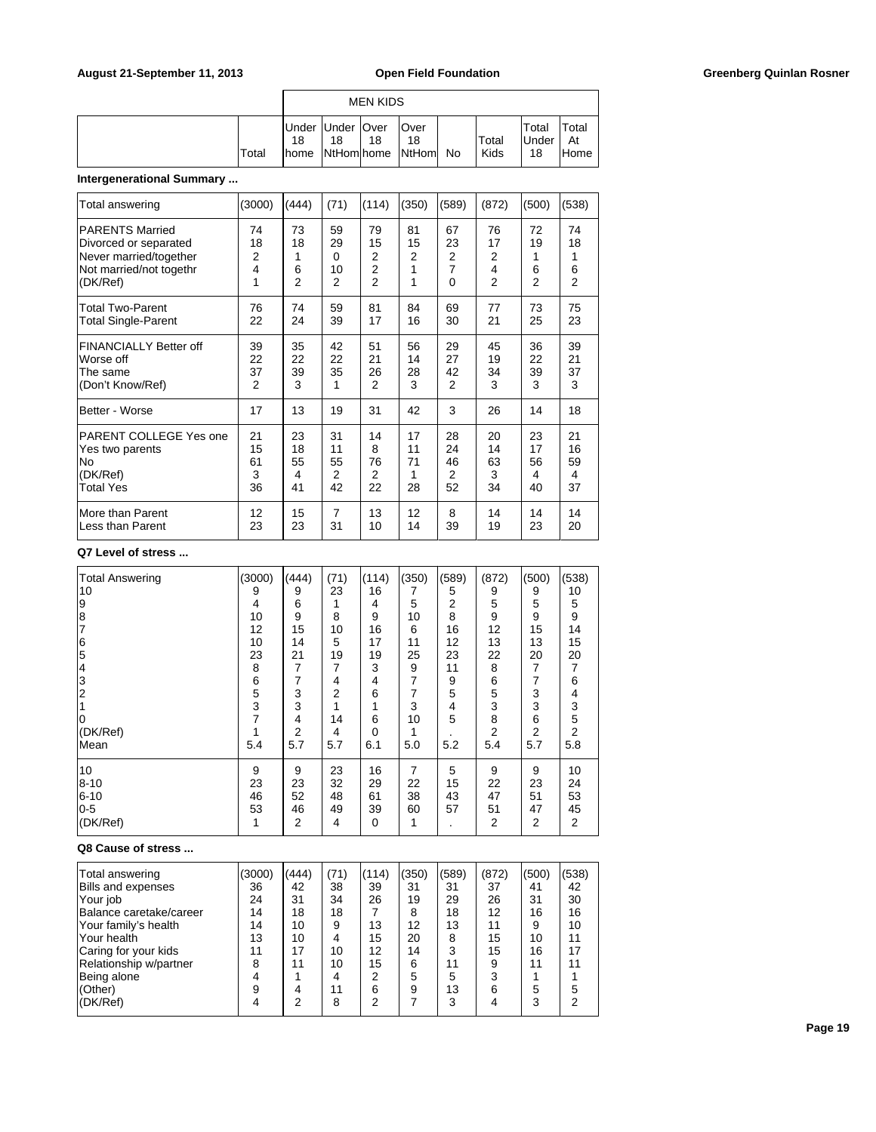| <b>MEN KIDS</b> |    |                          |    |                                               |  |               |                             |                      |  |  |  |
|-----------------|----|--------------------------|----|-----------------------------------------------|--|---------------|-----------------------------|----------------------|--|--|--|
| Total           | 18 | Under Under   Over<br>18 | 18 | <b>Over</b><br>18<br>home NtHom home NtHom No |  | Total<br>Kids | Total<br><b>Under</b><br>18 | Total<br>At<br>lHome |  |  |  |

# **Intergenerational Summary ...**

| Total answering               | (3000) | (444)          | (71) | (114)          | (350) | (589) | (872)          | (500)          | (538)          |
|-------------------------------|--------|----------------|------|----------------|-------|-------|----------------|----------------|----------------|
| <b>PARENTS Married</b>        | 74     | 73             | 59   | 79             | 81    | 67    | 76             | 72             | 74             |
| Divorced or separated         | 18     | 18             | 29   | 15             | 15    | 23    | 17             | 19             | 18             |
| Never married/together        | 2      | 1              | 0    | 2              | 2     | 2     | 2              | 1              | 1              |
| Not married/not togethr       | 4      | 6              | 10   | 2              | 1     | 7     | 4              | 6              | 6              |
| (DK/Ref)                      | 1      | $\overline{2}$ | 2    | $\overline{2}$ | 1     | 0     | $\overline{2}$ | $\overline{2}$ | $\overline{2}$ |
| <b>Total Two-Parent</b>       | 76     | 74             | 59   | 81             | 84    | 69    | 77             | 73             | 75             |
| <b>Total Single-Parent</b>    | 22     | 24             | 39   | 17             | 16    | 30    | 21             | 25             | 23             |
| <b>FINANCIALLY Better off</b> | 39     | 35             | 42   | 51             | 56    | 29    | 45             | 36             | 39             |
| Worse off                     | 22     | 22             | 22   | 21             | 14    | 27    | 19             | 22             | 21             |
| The same                      | 37     | 39             | 35   | 26             | 28    | 42    | 34             | 39             | 37             |
| (Don't Know/Ref)              | 2      | 3              | 1    | 2              | 3     | 2     | 3              | 3              | 3              |
| Better - Worse                | 17     | 13             | 19   | 31             | 42    | 3     | 26             | 14             | 18             |
| PARENT COLLEGE Yes one        | 21     | 23             | 31   | 14             | 17    | 28    | 20             | 23             | 21             |
| Yes two parents               | 15     | 18             | 11   | 8              | 11    | 24    | 14             | 17             | 16             |
| lNo                           | 61     | 55             | 55   | 76             | 71    | 46    | 63             | 56             | 59             |
| (DK/Ref)                      | 3      | 4              | 2    | 2              | 1     | 2     | 3              | 4              | 4              |
| <b>Total Yes</b>              | 36     | 41             | 42   | 22             | 28    | 52    | 34             | 40             | 37             |
| More than Parent              | 12     | 15             | 7    | 13             | 12    | 8     | 14             | 14             | 14             |
| Less than Parent              | 23     | 23             | 31   | 10             | 14    | 39    | 19             | 23             | 20             |

### **Q7 Level of stress ...**

| <b>Total Answering</b> | (3000) | (444) | (71)           | (114)       | (350)          | (589)          | (872) | (500) | (538)          |
|------------------------|--------|-------|----------------|-------------|----------------|----------------|-------|-------|----------------|
| 10                     | 9      | 9     | 23             | 16          | 7              | 5              | 9     | 9     | 10             |
| 19                     | 4      | 6     |                | 4           | 5              | $\overline{2}$ | 5     | 5     | 5              |
| 8                      | 10     | 9     | 8              | 9           | 10             | 8              | 9     | 9     | 9              |
| 17                     | 12     | 15    | 10             | 16          | 6              | 16             | 12    | 15    | 14             |
| 6                      | 10     | 14    | 5              | 17          | 11             | 12             | 13    | 13    | 15             |
| 5                      | 23     | 21    | 19             | 19          | 25             | 23             | 22    | 20    | 20             |
| 14                     | 8      | 7     | 7              | 3           | 9              | 11             | 8     | 7     | $\overline{7}$ |
| 3                      | 6      | 7     | 4              | 4           | $\overline{7}$ | 9              | 6     | 7     | 6              |
| 2                      | 5      | 3     | 2              | 6           | 7              | 5              | 5     | 3     | 4              |
|                        | 3      | 3     |                |             | 3              | 4              | 3     | 3     | 3              |
|                        | 7      | 4     | 14             | 6           | 10             | 5              | 8     | 6     | 5              |
| (DK/Ref)               |        | 2     | 4              | $\Omega$    | 1              |                | 2     | 2     | 2              |
| Mean                   | 5.4    | 5.7   | 5.7            | 6.1         | 5.0            | 5.2            | 5.4   | 5.7   | 5.8            |
| 10                     | 9      | 9     | 23             | 16          | 7              | 5              | 9     | 9     | 10             |
| 8--10                  | 23     | 23    | 32             | 29          | 22             | 15             | 22    | 23    | 24             |
| $6 - 10$               | 46     | 52    | 48             | 61          | 38             | 43             | 47    | 51    | 53             |
| $0-5$                  | 53     | 46    | 49             | 39          | 60             | 57             | 51    | 47    | 45             |
| (DK/Ref)               | 1      | 2     | $\overline{4}$ | $\mathbf 0$ | 1              |                | 2     | 2     | $\overline{2}$ |

### **Q8 Cause of stress ...**

| Total answering           | (3000) | (444) | (71) | (114) | (350) | (589) | (872) | (500) | (538) |
|---------------------------|--------|-------|------|-------|-------|-------|-------|-------|-------|
| <b>Bills and expenses</b> | 36     | 42    | 38   | 39    | 31    | 31    | 37    | 41    | 42    |
| 'Your job                 | 24     | 31    | 34   | 26    | 19    | 29    | 26    | 31    | 30    |
| Balance caretake/career   | 14     | 18    | 18   |       | 8     | 18    | 12    | 16    | 16    |
| Your family's health      | 14     | 10    | 9    | 13    | 12    | 13    | 11    | 9     | 10    |
| lYour health              | 13     | 10    | 4    | 15    | 20    | 8     | 15    | 10    | 11    |
| Caring for your kids      | 11     | 17    | 10   | 12    | 14    | 3     | 15    | 16    | 17    |
| Relationship w/partner    | 8      | 11    | 10   | 15    | 6     | 11    | 9     | 11    | 11    |
| Being alone               |        |       |      | っ     | 5     | 5     | 3     |       |       |
| (Other)                   | 9      | 4     | 11   | 6     | 9     | 13    | 6     | 5     | 5     |
| (DK/Ref)                  |        | 2     | 8    | ⌒     |       | 3     |       | 3     |       |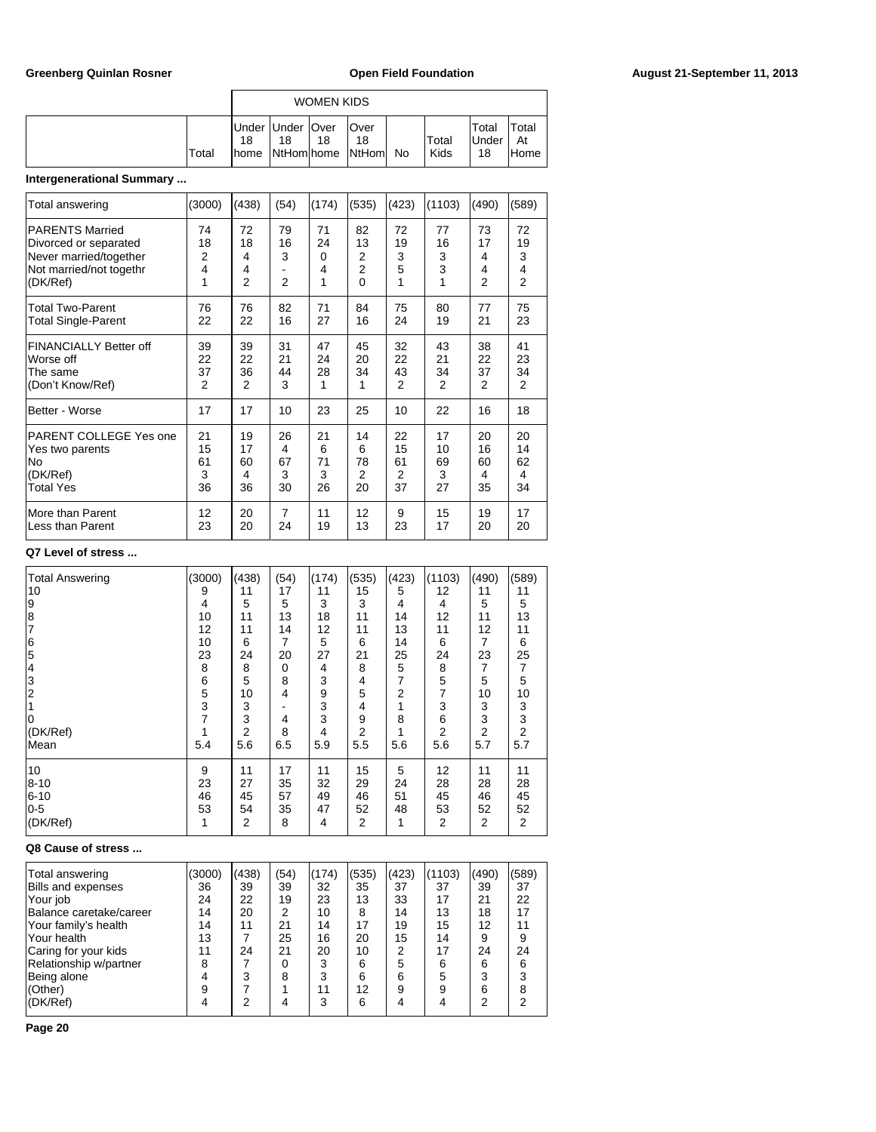| <b>WOMEN KIDS</b> |                                   |                  |    |                             |    |               |                              |                      |  |  |
|-------------------|-----------------------------------|------------------|----|-----------------------------|----|---------------|------------------------------|----------------------|--|--|
| Total             | Under Under   Over<br>18<br>Ihome | 18<br>NtHom home | 18 | Over<br>18<br><b>NtHoml</b> | No | Total<br>Kids | Total<br><b>IUnder</b><br>18 | Total<br>At<br>lHome |  |  |

# **Intergenerational Summary ...**

| Total answering                                                                                                  | (3000)                               | (438)                                | (54)                            | (174)                          | (535)                          | (423)                   | (1103)                  | (490)                   | (589)                                |
|------------------------------------------------------------------------------------------------------------------|--------------------------------------|--------------------------------------|---------------------------------|--------------------------------|--------------------------------|-------------------------|-------------------------|-------------------------|--------------------------------------|
| <b>PARENTS Married</b><br>Divorced or separated<br>Never married/together<br>Not married/not togethr<br>(DK/Ref) | 74<br>18<br>$\overline{2}$<br>4<br>1 | 72<br>18<br>4<br>4<br>$\overline{2}$ | 79<br>16<br>3<br>$\overline{2}$ | 71<br>24<br>$\Omega$<br>4<br>1 | 82<br>13<br>2<br>2<br>$\Omega$ | 72<br>19<br>3<br>5<br>1 | 77<br>16<br>3<br>3<br>1 | 73<br>17<br>4<br>4<br>2 | 72<br>19<br>3<br>4<br>$\overline{2}$ |
| <b>Total Two-Parent</b>                                                                                          | 76                                   | 76                                   | 82                              | 71                             | 84                             | 75                      | 80                      | 77                      | 75                                   |
| <b>Total Single-Parent</b>                                                                                       | 22                                   | 22                                   | 16                              | 27                             | 16                             | 24                      | 19                      | 21                      | 23                                   |
| <b>FINANCIALLY Better off</b>                                                                                    | 39                                   | 39                                   | 31                              | 47                             | 45                             | 32                      | 43                      | 38                      | 41                                   |
| Worse off                                                                                                        | 22                                   | 22                                   | 21                              | 24                             | 20                             | 22                      | 21                      | 22                      | 23                                   |
| The same                                                                                                         | 37                                   | 36                                   | 44                              | 28                             | 34                             | 43                      | 34                      | 37                      | 34                                   |
| (Don't Know/Ref)                                                                                                 | $\overline{2}$                       | 2                                    | 3                               | 1                              | 1                              | 2                       | 2                       | 2                       | 2                                    |
| Better - Worse                                                                                                   | 17                                   | 17                                   | 10                              | 23                             | 25                             | 10                      | 22                      | 16                      | 18                                   |
| PARENT COLLEGE Yes one                                                                                           | 21                                   | 19                                   | 26                              | 21                             | 14                             | 22                      | 17                      | 20                      | 20                                   |
| Yes two parents                                                                                                  | 15                                   | 17                                   | 4                               | 6                              | 6                              | 15                      | 10                      | 16                      | 14                                   |
| lNo                                                                                                              | 61                                   | 60                                   | 67                              | 71                             | 78                             | 61                      | 69                      | 60                      | 62                                   |
| (DK/Ref)                                                                                                         | 3                                    | 4                                    | 3                               | 3                              | 2                              | 2                       | 3                       | 4                       | 4                                    |
| <b>Total Yes</b>                                                                                                 | 36                                   | 36                                   | 30                              | 26                             | 20                             | 37                      | 27                      | 35                      | 34                                   |
| More than Parent                                                                                                 | 12                                   | 20                                   | $\overline{7}$                  | 11                             | 12                             | 9                       | 15                      | 19                      | 17                                   |
| Less than Parent                                                                                                 | 23                                   | 20                                   | 24                              | 19                             | 13                             | 23                      | 17                      | 20                      | 20                                   |

### **Q7 Level of stress ...**

| <b>Total Answering</b> | (3000) | (438) | (54)     | (174) | (535) | (423)          | (1103)         | (490) | (589)          |
|------------------------|--------|-------|----------|-------|-------|----------------|----------------|-------|----------------|
| 10                     | 9      | 11    | 17       | 11    | 15    | 5              | 12             | 11    | 11             |
| 9                      | 4      | 5     | 5        | 3     | 3     | 4              | 4              | 5     | 5              |
| 8                      | 10     | 11    | 13       | 18    | 11    | 14             | 12             | 11    | 13             |
| 17                     | 12     | 11    | 14       | 12    | 11    | 13             | 11             | 12    | 11             |
| 6                      | 10     | 6     | 7        | 5     | 6     | 14             | 6              | 7     | 6              |
| 5                      | 23     | 24    | 20       | 27    | 21    | 25             | 24             | 23    | 25             |
| 14                     | 8      | 8     | $\Omega$ | 4     | 8     | 5              | 8              | 7     | $\overline{7}$ |
| 3                      | 6      | 5     | 8        | 3     | 4     | 7              | 5              | 5     | 5              |
| 2                      | 5      | 10    | 4        | 9     | 5     | $\overline{2}$ | 7              | 10    | 10             |
|                        | 3      | 3     |          | 3     | 4     |                | 3              | 3     | 3              |
| 0                      |        | 3     | 4        | 3     | 9     | 8              | 6              | 3     | 3              |
| (DK/Ref)               |        | 2     | 8        | 4     | 2     |                | 2              | 2     | 2              |
| Mean                   | 5.4    | 5.6   | 6.5      | 5.9   | 5.5   | 5.6            | 5.6            | 5.7   | 5.7            |
| 10                     | 9      | 11    | 17       | 11    | 15    | 5              | 12             | 11    | 11             |
| $8 - 10$               | 23     | 27    | 35       | 32    | 29    | 24             | 28             | 28    | 28             |
| 6-10                   | 46     | 45    | 57       | 49    | 46    | 51             | 45             | 46    | 45             |
| $0-5$                  | 53     | 54    | 35       | 47    | 52    | 48             | 53             | 52    | 52             |
| (DK/Ref)               | 1      | 2     | 8        | 4     | 2     | 1              | $\overline{2}$ | 2     | 2              |

### **Q8 Cause of stress ...**

| Total answering         | (3000) | (438) | (54) | (174) | (535) | (423) | (1103) | (490) | (589) |
|-------------------------|--------|-------|------|-------|-------|-------|--------|-------|-------|
| Bills and expenses      | 36     | 39    | 39   | 32    | 35    | 37    | 37     | 39    | 37    |
| Your job                | 24     | 22    | 19   | 23    | 13    | 33    | 17     | 21    | 22    |
| Balance caretake/career | 14     | 20    | 2    | 10    | 8     | 14    | 13     | 18    | 17    |
| Your family's health    | 14     | 11    | 21   | 14    | 17    | 19    | 15     | 12    | 11    |
| Your health             | 13     |       | 25   | 16    | 20    | 15    | 14     | 9     |       |
| Caring for your kids    | 11     | 24    | 21   | 20    | 10    | 2     | 17     | 24    | 24    |
| Relationship w/partner  | 8      |       |      | 3     | 6     | 5     | 6      | 6     | 6     |
| Being alone             |        | 3     | 8    | 3     | 6     | 6     | 5      | 3     |       |
| (Other)                 | 9      |       |      | 11    | 12    | р     | a      | 6     |       |
| (DK/Ref)                |        | っ     |      | 3     | 6     |       |        | っ     |       |
|                         |        |       |      |       |       |       |        |       |       |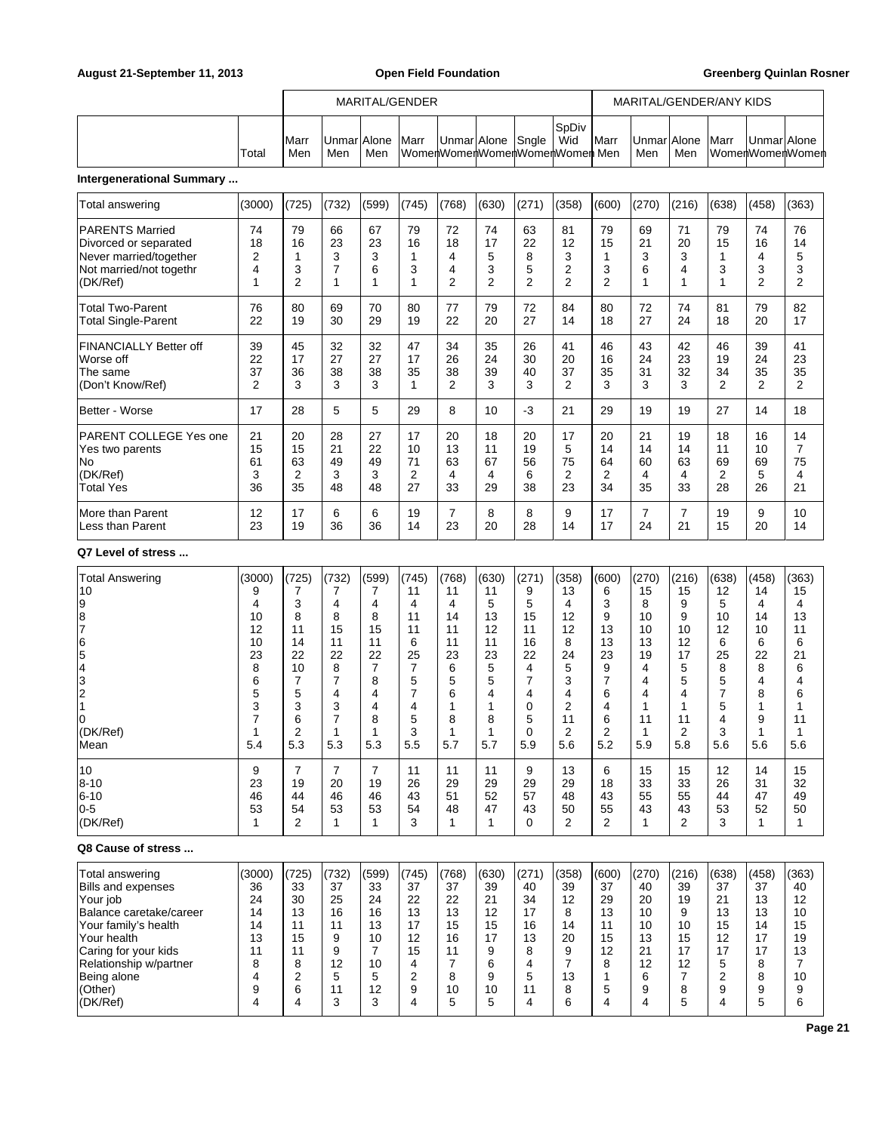|        |                     |                            |     | MARITAL/GENDER |                   |                                |                      |               |                    |     | MARITAL/GENDER/ANY KIDS |             |                 |
|--------|---------------------|----------------------------|-----|----------------|-------------------|--------------------------------|----------------------|---------------|--------------------|-----|-------------------------|-------------|-----------------|
| 'Totai | <b>IMarr</b><br>Men | <b>IUnmarIAlone</b><br>Men | Men | <b>IMarr</b>   | UnmarlAlone Snale | WomenWomenWomenWomenWomenMomen | <b>ISpDiv</b><br>Wid | <b>I</b> Marr | UnmarlAlone<br>Men | Men | <b>Marr</b>             | UnmarlAlone | WomenWomenWomen |

# **Intergenerational Summary ...**

| Total answering                                                                                                  | (3000)                           | (725)                           | (732)                     | (599)                     | (745)                     | (768)                                | (630)                     | (271)                                | (358)                                | (600)                           | (270)                     | (216)                     | (638)                                  | (458)                                | (363)                                              |
|------------------------------------------------------------------------------------------------------------------|----------------------------------|---------------------------------|---------------------------|---------------------------|---------------------------|--------------------------------------|---------------------------|--------------------------------------|--------------------------------------|---------------------------------|---------------------------|---------------------------|----------------------------------------|--------------------------------------|----------------------------------------------------|
| <b>PARENTS Married</b><br>Divorced or separated<br>Never married/together<br>Not married/not togethr<br>(DK/Ref) | 74<br>18<br>$\overline{2}$<br>4  | 79<br>16<br>3<br>$\overline{2}$ | 66<br>23<br>3<br>7        | 67<br>23<br>3<br>6        | 79<br>16<br>3             | 72<br>18<br>4<br>4<br>$\overline{2}$ | 74<br>17<br>5<br>3<br>2   | 63<br>22<br>8<br>5<br>$\overline{2}$ | 81<br>12<br>3<br>2<br>$\overline{2}$ | 79<br>15<br>3<br>$\overline{2}$ | 69<br>21<br>3<br>6        | 71<br>20<br>3<br>4<br>1   | 79<br>15<br>3                          | 74<br>16<br>4<br>3<br>$\overline{2}$ | 76<br>14<br>5<br>3<br>$\overline{2}$               |
| <b>Total Two-Parent</b><br><b>Total Single-Parent</b>                                                            | 76<br>22                         | 80<br>19                        | 69<br>30                  | 70<br>29                  | 80<br>19                  | 77<br>22                             | 79<br>20                  | 72<br>27                             | 84<br>14                             | 80<br>18                        | 72<br>27                  | 74<br>24                  | 81<br>18                               | 79<br>20                             | 82<br>17                                           |
| <b>FINANCIALLY Better off</b><br>Worse off<br>The same<br>(Don't Know/Ref)                                       | 39<br>22<br>37<br>$\overline{2}$ | 45<br>17<br>36<br>3             | 32<br>27<br>38<br>3       | 32<br>27<br>38<br>3       | 47<br>17<br>35            | 34<br>26<br>38<br>2                  | 35<br>24<br>39<br>3       | 26<br>30<br>40<br>3                  | 41<br>20<br>37<br>2                  | 46<br>16<br>35<br>3             | 43<br>24<br>31<br>3       | 42<br>23<br>32<br>3       | 46<br>19<br>34<br>$\overline{2}$       | 39<br>24<br>35<br>$\overline{2}$     | 41<br>23<br>35<br>$\overline{2}$                   |
| Better - Worse                                                                                                   | 17                               | 28                              | 5                         | 5                         | 29                        | 8                                    | 10                        | $-3$                                 | 21                                   | 29                              | 19                        | 19                        | 27                                     | 14                                   | 18                                                 |
| PARENT COLLEGE Yes one<br>Yes two parents<br> No<br>(DK/Ref)<br><b>Total Yes</b>                                 | 21<br>15<br>61<br>3<br>36        | 20<br>15<br>63<br>2<br>35       | 28<br>21<br>49<br>3<br>48 | 27<br>22<br>49<br>3<br>48 | 17<br>10<br>71<br>2<br>27 | 20<br>13<br>63<br>4<br>33            | 18<br>11<br>67<br>4<br>29 | 20<br>19<br>56<br>6<br>38            | 17<br>5<br>75<br>2<br>23             | 20<br>14<br>64<br>2<br>34       | 21<br>14<br>60<br>4<br>35 | 19<br>14<br>63<br>4<br>33 | 18<br>11<br>69<br>$\overline{2}$<br>28 | 16<br>10<br>69<br>5<br>26            | 14<br>$\overline{7}$<br>75<br>$\overline{4}$<br>21 |
| More than Parent<br>Less than Parent                                                                             | 12<br>23                         | 17<br>19                        | 6<br>36                   | 6<br>36                   | 19<br>14                  | $\overline{7}$<br>23                 | 8<br>20                   | 8<br>28                              | 9<br>14                              | 17<br>17                        | $\overline{7}$<br>24      | $\overline{7}$<br>21      | 19<br>15                               | 9<br>20                              | 10<br>14                                           |

### **Q7 Level of stress ...**

| <b>Total Answering</b>  | (3000) | (725)          | (732) | (599) | (745)          | (768) | (630) | (271)    | (358)          | (600)          | (270) | (216)          | (638)          | (458) | (363) |
|-------------------------|--------|----------------|-------|-------|----------------|-------|-------|----------|----------------|----------------|-------|----------------|----------------|-------|-------|
| 10                      | 9      |                |       |       | 11             | 11    | 11    | 9        | 13             | 6              | 15    | 15             | 12             | 14    | 15    |
| 9                       | 4      | 3              | 4     | 4     | 4              | 4     | 5     | 5        | 4              | 3              | 8     | 9              | 5              | 4     | 4     |
| $\frac{8}{7}$           | 10     | 8              | 8     | 8     | 11             | 14    | 13    | 15       | 12             | 9              | 10    | 9              | 10             | 14    | 13    |
|                         | 12     | 11             | 15    | 15    | 11             | 11    | 12    | 11       | 12             | 13             | 10    | 10             | 12             | 10    | 11    |
|                         | 10     | 14             | 11    | 11    | 6              | 11    | 11    | 16       | 8              | 13             | 13    | 12             | 6              | 6     | 6     |
| $\frac{6}{5}$           | 23     | 22             | 22    | 22    | 25             | 23    | 23    | 22       | 24             | 23             | 19    | 17             | 25             | 22    | 21    |
| 4                       | 8      | 10             | 8     | 7     | $\overline{7}$ | 6     | 5     | 4        | 5              | 9              | 4     | 5              | 8              | 8     | 6     |
| $\vert$ 3               | 6      | $\overline{7}$ | 7     | 8     | 5              | 5     | 5     |          | 3              | 7              | 4     | 5              | 5              | 4     | 4     |
| $\frac{2}{1}$           | 5      | 5              | 4     | 4     | $\overline{7}$ | 6     | 4     | 4        | 4              | 6              | 4     | 4              | $\overline{7}$ | 8     | 6     |
|                         | 3      | 3              | 3     | 4     | 4              | 1     |       | 0        | $\overline{2}$ | 4              |       |                | 5              |       |       |
| ١o                      | ⇁      | 6              | 7     | 8     | 5              | 8     | 8     | 5        | 11             | 6              | 11    | 11             | 4              | 9     | 11    |
| (DK/Ref)                |        | $\overline{2}$ | 1     |       | 3              | 1     |       | $\Omega$ | $\overline{2}$ | $\overline{2}$ |       | $\overline{2}$ | 3              | 1     |       |
| Mean                    | 5.4    | 5.3            | 5.3   | 5.3   | 5.5            | 5.7   | 5.7   | 5.9      | 5.6            | 5.2            | 5.9   | 5.8            | 5.6            | 5.6   | 5.6   |
| 10                      | 9      | 7              | 7     | 7     | 11             | 11    | 11    | 9        | 13             | 6              | 15    | 15             | 12             | 14    | 15    |
| 8-10                    | 23     | 19             | 20    | 19    | 26             | 29    | 29    | 29       | 29             | 18             | 33    | 33             | 26             | 31    | 32    |
| $6 - 10$                | 46     | 44             | 46    | 46    | 43             | 51    | 52    | 57       | 48             | 43             | 55    | 55             | 44             | 47    | 49    |
| $0-5$                   | 53     | 54             | 53    | 53    | 54             | 48    | 47    | 43       | 50             | 55             | 43    | 43             | 53             | 52    | 50    |
| (DK/Ref)                |        | $\overline{2}$ | 1     |       | 3              | 1     |       | 0        | $\overline{2}$ | $\overline{2}$ |       | $\overline{2}$ | 3              | 1     | 1     |
| Q8 Cause of stress      |        |                |       |       |                |       |       |          |                |                |       |                |                |       |       |
| Total answering         | (3000) | (725)          | (732) | (599) | (745)          | (768) | (630) | (271)    | (358)          | (600)          | (270) | (216)          | (638)          | (458) | (363) |
| Bills and expenses      | 36     | 33             | 37    | 33    | 37             | 37    | 39    | 40       | 39             | 37             | 40    | 39             | 37             | 37    | 40    |
| Your job                | 24     | 30             | 25    | 24    | 22             | 22    | 21    | 34       | 12             | 29             | 20    | 19             | 21             | 13    | 12    |
| Balance caretake/career | 14     | 13             | 16    | 16    | 13             | 13    | 12    | 17       | 8              | 13             | 10    | 9              | 13             | 13    | 10    |
| Your family's health    | 14     | 11             | 11    | 13    | 17             | 15    | 15    | 16       | 14             | 11             | 10    | 10             | 15             | 14    | 15    |
| Your health             | 13     | 15             | 9     | 10    | 12             | 16    | 17    | 13       | 20             | 15             | 13    | 15             | 12             | 17    | 19    |

Caring for your kids | 11 | 11 | 9 | 7 | 15 | 11 | 9 | 8 | 9 | 12 | 21 | 17 | 17 | 17 | 13 Relationship w/partner | 8 | 8 | 12 | 10 | 4 | 7 | 6 | 4 | 7 | 8 | 12 | 12 | 5 | 8 | 7 Being alone 4 2 5 5 6 2 8 9 5 13 1 6 7 2 8 10 (Other) | 9 | 6 | 11 | 12 | 9 | 10 | 10 | 11 | 8 | 5 | 9 | 8 | 9 | 9 | 9 (DK/Ref) | 4 | 4 | 3 | 3 | 4 | 5 | 5 | 4 | 6 | 4 | 4 | 5 | 4 | 5 | 6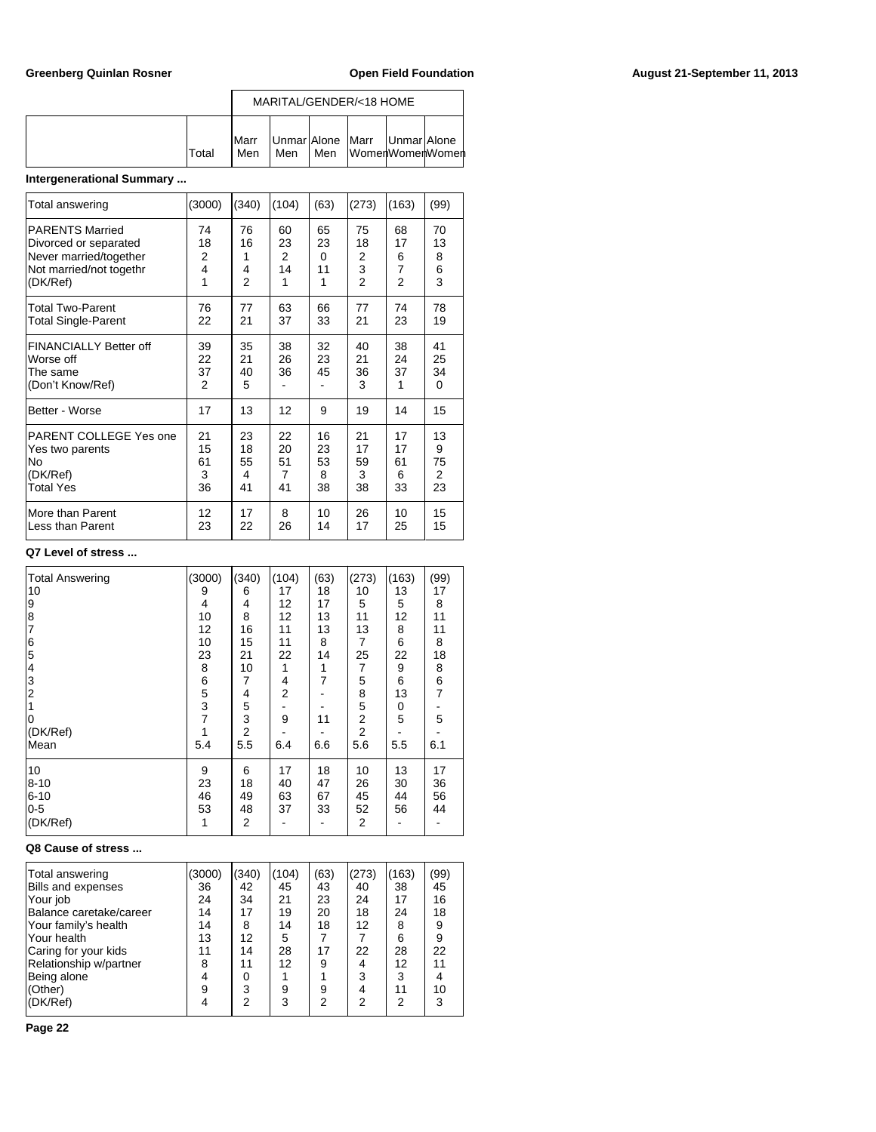|        |                      |     |     | MARITAL/GENDER/<18 HOME                              |  |
|--------|----------------------|-----|-----|------------------------------------------------------|--|
| lTotal | <b>I</b> Marr<br>Men | Men | Men | Unmar Alone   Marr   Unmar Alone<br>∣WomenWomenWomen |  |

# **Intergenerational Summary ...**

| Total answering                                                            | (3000)              | (340)               | (104)          | (63)           | (273)               | (163)               | (99)                       |
|----------------------------------------------------------------------------|---------------------|---------------------|----------------|----------------|---------------------|---------------------|----------------------------|
| <b>PARENTS Married</b>                                                     | 74                  | 76                  | 60             | 65             | 75                  | 68                  | 70                         |
| Divorced or separated                                                      | 18                  | 16                  | 23             | 23             | 18                  | 17                  | 13                         |
| Never married/together                                                     | 2                   | 1                   | $\overline{2}$ | $\Omega$       | 2                   | 6                   | 8                          |
| Not married/not togethr                                                    | 4                   | 4                   | 14             | 11             | 3                   | $\overline{7}$      | 6                          |
| (DK/Ref)                                                                   | 1                   | $\overline{2}$      | 1              | 1              | $\mathfrak{p}$      | $\overline{2}$      | 3                          |
| <b>Total Two-Parent</b>                                                    | 76                  | 77                  | 63             | 66             | 77                  | 74                  | 78                         |
| <b>Total Single-Parent</b>                                                 | 22                  | 21                  | 37             | 33             | 21                  | 23                  | 19                         |
| <b>FINANCIALLY Better off</b><br>Worse off<br>The same<br>(Don't Know/Ref) | 39<br>22<br>37<br>2 | 35<br>21<br>40<br>5 | 38<br>26<br>36 | 32<br>23<br>45 | 40<br>21<br>36<br>3 | 38<br>24<br>37<br>1 | 41<br>25<br>34<br>$\Omega$ |
| Better - Worse                                                             | 17                  | 13                  | 12             | 9              | 19                  | 14                  | 15                         |
| PARENT COLLEGE Yes one                                                     | 21                  | 23                  | 22             | 16             | 21                  | 17                  | 13                         |
| Yes two parents                                                            | 15                  | 18                  | 20             | 23             | 17                  | 17                  | 9                          |
| <b>No</b>                                                                  | 61                  | 55                  | 51             | 53             | 59                  | 61                  | 75                         |
| (DK/Ref)                                                                   | 3                   | 4                   | 7              | 8              | 3                   | 6                   | $\overline{2}$             |
| <b>Total Yes</b>                                                           | 36                  | 41                  | 41             | 38             | 38                  | 33                  | 23                         |
| More than Parent                                                           | 12                  | 17                  | 8              | 10             | 26                  | 10                  | 15                         |
| lLess than Parent                                                          | 23                  | 22                  | 26             | 14             | 17                  | 25                  | 15                         |

### **Q7 Level of stress ...**

| <b>Total Answering</b> | (3000)         | (340)          | (104)          | (63) | (273)          | (163) | (99)           |
|------------------------|----------------|----------------|----------------|------|----------------|-------|----------------|
| 10                     | 9              | 6              | 17             | 18   | 10             | 13    | 17             |
| 9                      | 4              | 4              | 12             | 17   | 5              | 5     | 8              |
| 8                      | 10             | 8              | 12             | 13   | 11             | 12    | 11             |
| $\overline{7}$         | 12             | 16             | 11             | 13   | 13             | 8     | 11             |
| 6                      | 10             | 15             | 11             | 8    | 7              | 6     | 8              |
| 5                      | 23             | 21             | 22             | 14   | 25             | 22    | 18             |
| 4                      | 8              | 10             | 1              |      | 7              | 9     | 8              |
| 3                      |                | 7              | 4              | 7    | 5              | 6     | 6              |
| $\overline{2}$         | 6<br>5<br>3    | 4              | $\overline{2}$ |      | 8              | 13    | $\overline{7}$ |
|                        |                | 5              |                |      | 5              | 0     |                |
| 10                     | $\overline{7}$ | 3              | 9              | 11   | 2              | 5     | 5              |
| (DK/Ref)               |                | $\overline{2}$ |                |      | $\overline{2}$ |       |                |
| lMean                  | 5.4            | 5.5            | 6.4            | 6.6  | 5.6            | 5.5   | 6.1            |
| 10                     | 9              | 6              | 17             | 18   | 10             | 13    | 17             |
| $8 - 10$               | 23             | 18             | 40             | 47   | 26             | 30    | 36             |
| $6 - 10$               | 46             | 49             | 63             | 67   | 45             | 44    | 56             |
| $0-5$                  | 53             | 48             | 37             | 33   | 52             | 56    | 44             |
| (DK/Ref)               | 1              | 2              |                |      | 2              |       |                |

### **Q8 Cause of stress ...**

| Total answering<br><b>Bills and expenses</b><br>Your job<br>Balance caretake/career<br>Your family's health<br>Your health | (3000)<br>36<br>24<br>14<br>14<br>13 | (340)<br>42<br>34<br>17<br>8<br>12 | (104)<br>45<br>21<br>19<br>14<br>5 | (63)<br>43<br>23<br>20<br>18 | (273)<br>40<br>24<br>18<br>12 | (163)<br>38<br>17<br>24<br>8<br>6 | (99)<br>45<br>16<br>18<br>9<br>9 |
|----------------------------------------------------------------------------------------------------------------------------|--------------------------------------|------------------------------------|------------------------------------|------------------------------|-------------------------------|-----------------------------------|----------------------------------|
| Caring for your kids<br>Relationship w/partner                                                                             | 11<br>8                              | 14<br>11                           | 28<br>12                           | 17<br>9                      | 22<br>4                       | 28<br>12                          | 22<br>11                         |
| Being alone<br>(Other)                                                                                                     | 4<br>9                               | 3                                  | 9                                  | 9                            | 3                             | 3<br>11                           | 10                               |
| (DK/Ref)                                                                                                                   |                                      | 2                                  | 3                                  | っ                            | 2                             | 2                                 | 3                                |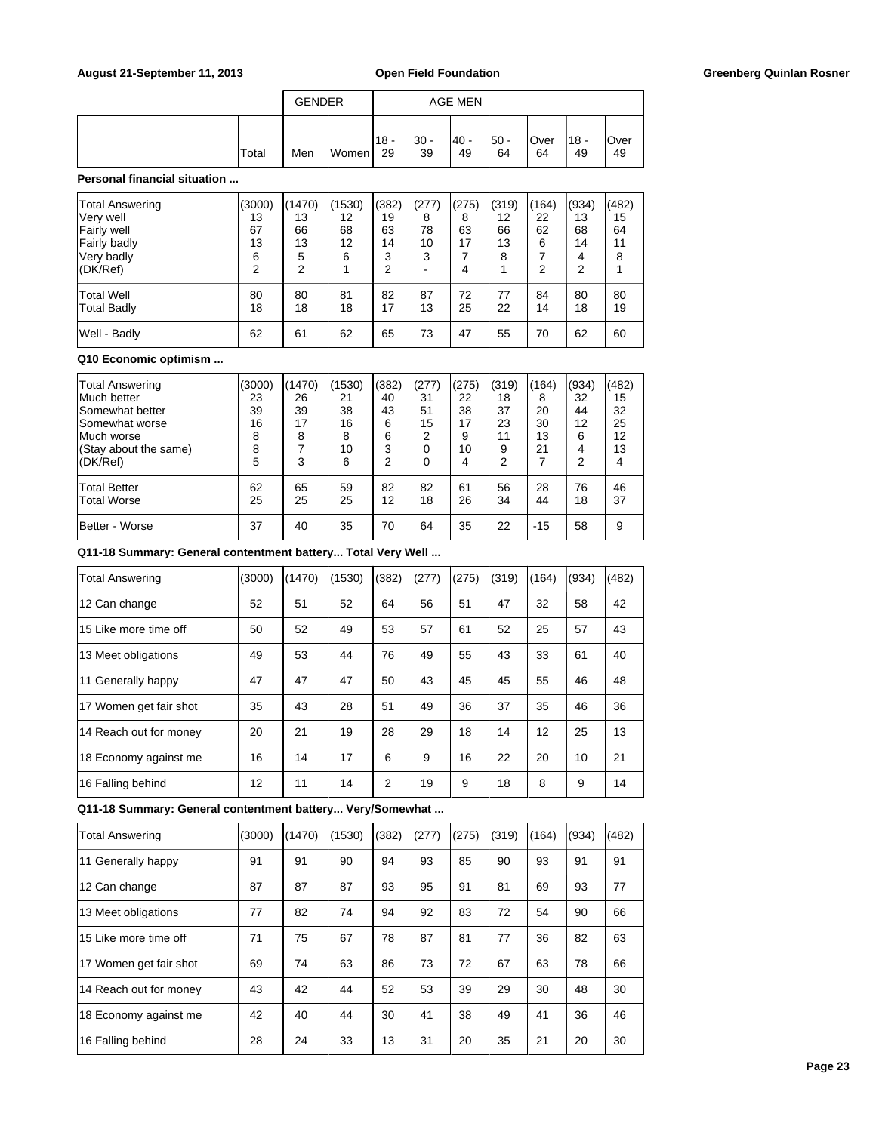|       | <b>GENDER</b> |       |                    |            | <b>AGE MEN</b> |             |            |               |            |
|-------|---------------|-------|--------------------|------------|----------------|-------------|------------|---------------|------------|
| Total | Men           | Women | <u> 18 -</u><br>29 | 30 -<br>39 | 40 -<br>49     | !50 -<br>64 | Over<br>64 | $118 -$<br>49 | Over<br>49 |

### **Personal financial situation ...**

| <b>Total Answering</b><br>Very well<br>Fairly well<br><b>Fairly badly</b><br>Very badly<br>(DK/Ref) | (3000)<br>13<br>67<br>13<br>6<br>2 | (1470)<br>13<br>66<br>13<br>5<br>2 | (1530)<br>$12 \overline{ }$<br>68<br>12<br>6 | (382)<br>19<br>63<br>14<br>3<br>2 | (277)<br>8<br>78<br>10<br>3 | (275)<br>8<br>63<br>17<br>4 | (319)<br>12<br>66<br>13<br>8 | (164)<br>22<br>62<br>6<br>っ | (934)<br>13<br>68<br>14<br>4<br>2 | (482)<br>15<br>64<br>11<br>8 |
|-----------------------------------------------------------------------------------------------------|------------------------------------|------------------------------------|----------------------------------------------|-----------------------------------|-----------------------------|-----------------------------|------------------------------|-----------------------------|-----------------------------------|------------------------------|
| <b>Total Well</b>                                                                                   | 80                                 | 80                                 | 81                                           | 82                                | 87                          | 72                          | 77                           | 84                          | 80                                | 80                           |
| <b>Total Badly</b>                                                                                  | 18                                 | 18                                 | 18                                           | 17                                | 13                          | 25                          | 22                           | 14                          | 18                                | 19                           |
| Well - Badly                                                                                        | 62                                 | 61                                 | 62                                           | 65                                | 73                          | 47                          | 55                           | 70                          | 62                                | 60                           |

### **Q10 Economic optimism ...**

| <b>Total Answering</b><br>Much better<br>Somewhat better<br>Somewhat worse<br>lMuch worse<br>(Stay about the same) | (3000)<br>23<br>39<br>16<br>8<br>8 | (1470)<br>26<br>39<br>17<br>8 | (1530)<br>21<br>38<br>16<br>8<br>10 | (382)<br>40<br>43<br>6<br>6<br>3 | (277)<br>31<br>51<br>15<br>2<br>0 | (275)<br>22<br>38<br>17<br>9<br>10 | (319)<br>18<br>37<br>23<br>11<br>9 | (164)<br>8<br>20<br>30<br>13<br>21 | (934)<br>32<br>44<br>12<br>6<br>4 | (482)<br>15<br>32<br>25<br>12<br>13 |
|--------------------------------------------------------------------------------------------------------------------|------------------------------------|-------------------------------|-------------------------------------|----------------------------------|-----------------------------------|------------------------------------|------------------------------------|------------------------------------|-----------------------------------|-------------------------------------|
| (DK/Ref)                                                                                                           | 5                                  | 3                             | 6                                   | C                                | 0                                 | 4                                  | 2                                  |                                    | 2                                 | 4                                   |
| <b>Total Better</b><br><b>Total Worse</b>                                                                          | 62<br>25                           | 65<br>25                      | 59<br>25                            | 82<br>12                         | 82<br>18                          | 61<br>26                           | 56<br>34                           | 28<br>44                           | 76<br>18                          | 46<br>37                            |
| Better - Worse                                                                                                     | 37                                 | 40                            | 35                                  | 70                               | 64                                | 35                                 | 22                                 | $-15$                              | 58                                | 9                                   |

**Q11-18 Summary: General contentment battery... Total Very Well ...**

| <b>Total Answering</b> | (3000) | (1470) | (1530) | (382) | (277) | (275) | (319) | (164) | (934) | (482) |
|------------------------|--------|--------|--------|-------|-------|-------|-------|-------|-------|-------|
| 12 Can change          | 52     | 51     | 52     | 64    | 56    | 51    | 47    | 32    | 58    | 42    |
| 15 Like more time off  | 50     | 52     | 49     | 53    | 57    | 61    | 52    | 25    | 57    | 43    |
| 13 Meet obligations    | 49     | 53     | 44     | 76    | 49    | 55    | 43    | 33    | 61    | 40    |
| 11 Generally happy     | 47     | 47     | 47     | 50    | 43    | 45    | 45    | 55    | 46    | 48    |
| 17 Women get fair shot | 35     | 43     | 28     | 51    | 49    | 36    | 37    | 35    | 46    | 36    |
| 14 Reach out for money | 20     | 21     | 19     | 28    | 29    | 18    | 14    | 12    | 25    | 13    |
| 18 Economy against me  | 16     | 14     | 17     | 6     | 9     | 16    | 22    | 20    | 10    | 21    |
| 16 Falling behind      | 12     | 11     | 14     | 2     | 19    | 9     | 18    | 8     | 9     | 14    |

**Q11-18 Summary: General contentment battery... Very/Somewhat ...**

| <b>Total Answering</b> | (3000) | (1470) | (1530) | (382) | (277) | (275) | (319) | (164) | (934) | (482) |
|------------------------|--------|--------|--------|-------|-------|-------|-------|-------|-------|-------|
| Generally happy<br>11  | 91     | 91     | 90     | 94    | 93    | 85    | 90    | 93    | 91    | 91    |
| 12 Can change          | 87     | 87     | 87     | 93    | 95    | 91    | 81    | 69    | 93    | 77    |
| 13 Meet obligations    | 77     | 82     | 74     | 94    | 92    | 83    | 72    | 54    | 90    | 66    |
| 15 Like more time off  | 71     | 75     | 67     | 78    | 87    | 81    | 77    | 36    | 82    | 63    |
| 17 Women get fair shot | 69     | 74     | 63     | 86    | 73    | 72    | 67    | 63    | 78    | 66    |
| 14 Reach out for money | 43     | 42     | 44     | 52    | 53    | 39    | 29    | 30    | 48    | 30    |
| 18 Economy against me  | 42     | 40     | 44     | 30    | 41    | 38    | 49    | 41    | 36    | 46    |
| 16 Falling behind      | 28     | 24     | 33     | 13    | 31    | 20    | 35    | 21    | 20    | 30    |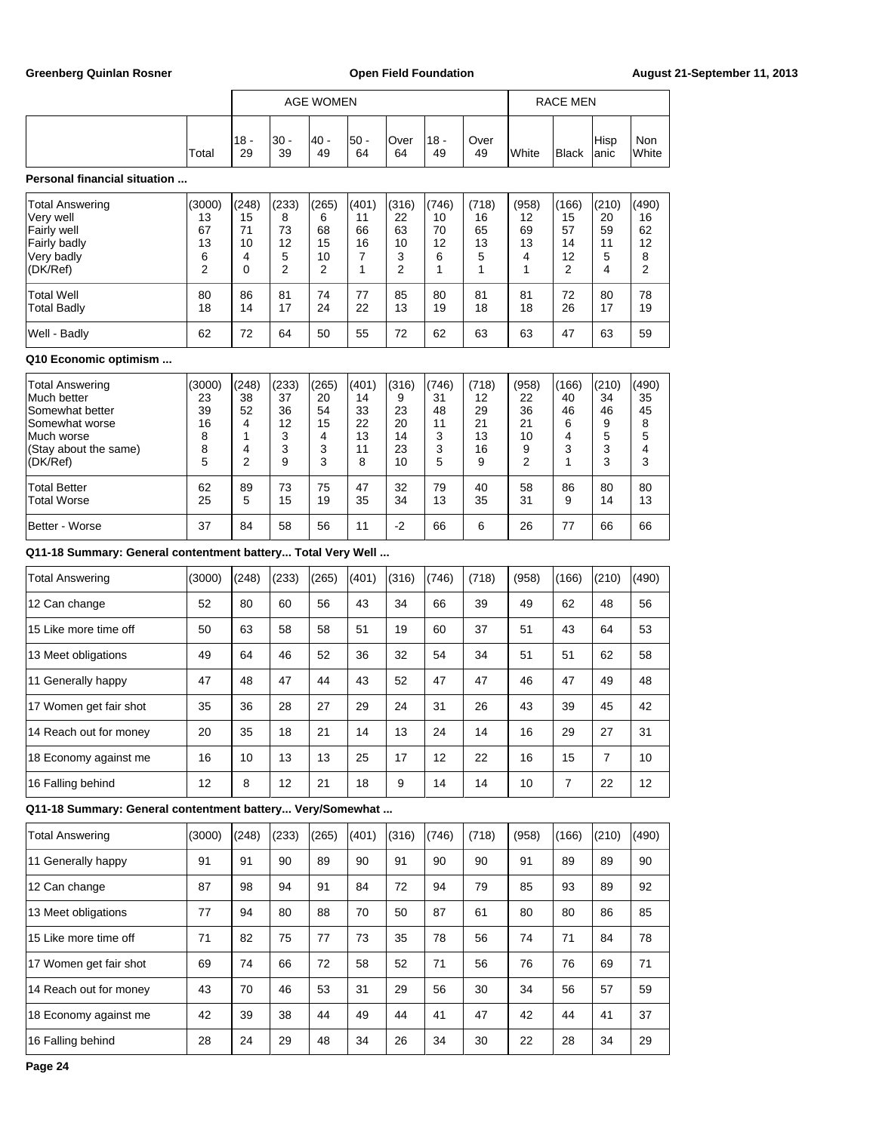|                                                                                                                        |                                                 | <b>AGE WOMEN</b>                      |                                        |                                        |                                          |                                          |                                        | <b>RACE MEN</b>                          |                                         |                                       |                                       |                                       |
|------------------------------------------------------------------------------------------------------------------------|-------------------------------------------------|---------------------------------------|----------------------------------------|----------------------------------------|------------------------------------------|------------------------------------------|----------------------------------------|------------------------------------------|-----------------------------------------|---------------------------------------|---------------------------------------|---------------------------------------|
|                                                                                                                        | Total                                           | $18 -$<br>29                          | 30 -<br>39                             | 40 -<br>49                             | $50 -$<br>64                             | Over<br>64                               | 18 -<br>49                             | Over<br>49                               | White                                   | <b>Black</b>                          | Hisp<br>anic                          | <b>Non</b><br>White                   |
| <b>Personal financial situation </b>                                                                                   |                                                 |                                       |                                        |                                        |                                          |                                          |                                        |                                          |                                         |                                       |                                       |                                       |
| Total Answering<br>Very well<br>Fairly well<br>Fairly badly<br>Very badly<br>(DK/Ref)                                  | (3000)<br>13<br>67<br>13<br>6<br>$\overline{2}$ | (248)<br>15<br>71<br>10<br>4<br>0     | (233)<br>8<br>73<br>12<br>5<br>2       | (265)<br>6<br>68<br>15<br>10<br>2      | (401)<br>11<br>66<br>16<br>7<br>1        | (316)<br>22<br>63<br>10<br>3<br>2        | (746)<br>10<br>70<br>12<br>6<br>1      | (718)<br>16<br>65<br>13<br>5<br>1        | (958)<br>12<br>69<br>13<br>4<br>1       | (166)<br>15<br>57<br>14<br>12<br>2    | (210)<br>20<br>59<br>11<br>5<br>4     | (490)<br>16<br>62<br>12<br>8<br>2     |
| Total Well<br>Total Badly                                                                                              | 80<br>18                                        | 86<br>14                              | 81<br>17                               | 74<br>24                               | 77<br>22                                 | 85<br>13                                 | 80<br>19                               | 81<br>18                                 | 81<br>18                                | 72<br>26                              | 80<br>17                              | 78<br>19                              |
| Well - Badly                                                                                                           | 62                                              | 72                                    | 64                                     | 50                                     | 55                                       | 72                                       | 62                                     | 63                                       | 63                                      | 47                                    | 63                                    | 59                                    |
| Q10 Economic optimism                                                                                                  |                                                 |                                       |                                        |                                        |                                          |                                          |                                        |                                          |                                         |                                       |                                       |                                       |
| Total Answering<br>Much better<br>Somewhat better<br>Somewhat worse<br>Much worse<br>(Stay about the same)<br>(DK/Ref) | (3000)<br>23<br>39<br>16<br>8<br>8<br>5         | (248)<br>38<br>52<br>4<br>1<br>4<br>2 | (233)<br>37<br>36<br>12<br>3<br>3<br>9 | (265)<br>20<br>54<br>15<br>4<br>3<br>3 | (401)<br>14<br>33<br>22<br>13<br>11<br>8 | (316)<br>9<br>23<br>20<br>14<br>23<br>10 | (746)<br>31<br>48<br>11<br>3<br>3<br>5 | (718)<br>12<br>29<br>21<br>13<br>16<br>9 | (958)<br>22<br>36<br>21<br>10<br>9<br>2 | (166)<br>40<br>46<br>6<br>4<br>3<br>1 | (210)<br>34<br>46<br>9<br>5<br>3<br>3 | (490)<br>35<br>45<br>8<br>5<br>4<br>3 |
| Total Better<br>Total Worse                                                                                            | 62<br>25                                        | 89<br>5                               | 73<br>15                               | 75<br>19                               | 47<br>35                                 | 32<br>34                                 | 79<br>13                               | 40<br>35                                 | 58<br>31                                | 86<br>9                               | 80<br>14                              | 80<br>13                              |
| Better - Worse                                                                                                         | 37                                              | 84                                    | 58                                     | 56                                     | 11                                       | $-2$                                     | 66                                     | 6                                        | 26                                      | 77                                    | 66                                    | 66                                    |
| Q11-18 Summary: General contentment battery Total Very Well                                                            |                                                 |                                       |                                        |                                        |                                          |                                          |                                        |                                          |                                         |                                       |                                       |                                       |
| <b>Total Answering</b>                                                                                                 | (3000)                                          | (248)                                 | (233)                                  | (265)                                  | (401)                                    | (316)                                    | (746)                                  | (718)                                    | (958)                                   | (166)                                 | (210)                                 | (490)                                 |
| 12 Can change                                                                                                          | 52                                              | 80                                    | 60                                     | 56                                     | 43                                       | 34                                       | 66                                     | 39                                       | 49                                      | 62                                    | 48                                    | 56                                    |
| 15 Like more time off                                                                                                  | 50                                              | 63                                    | 58                                     | 58                                     | 51                                       | 19                                       | 60                                     | 37                                       | 51                                      | 43                                    | 64                                    | 53                                    |
| 13 Meet obligations                                                                                                    | 49                                              | 64                                    | 46                                     | 52                                     | 36                                       | 32                                       | 54                                     | 34                                       | 51                                      | 51                                    | 62                                    | 58                                    |
| 11 Generally happy                                                                                                     | 47                                              | 48                                    | 47                                     | 44                                     | 43                                       | 52                                       | 47                                     | 47                                       | 46                                      | 47                                    | 49                                    | 48                                    |
| 17 Women get fair shot                                                                                                 | 35                                              | 36                                    | 28                                     | 27                                     | 29                                       | 24                                       | 31                                     | 26                                       | 43                                      | 39                                    | 45                                    | 42                                    |
| 14 Reach out for money                                                                                                 | 20                                              | 35                                    | 18                                     | 21                                     | 14                                       | 13                                       | 24                                     | 14                                       | 16                                      | 29                                    | 27                                    | 31                                    |
| 18 Economy against me                                                                                                  | 16                                              | 10                                    | 13                                     | 13                                     | 25                                       | 17                                       | 12                                     | 22                                       | 16                                      | 15                                    | 7                                     | 10                                    |
| 16 Falling behind                                                                                                      | 12                                              | 8                                     | 12                                     | 21                                     | 18                                       | 9                                        | 14                                     | 14                                       | 10                                      | $\overline{7}$                        | 22                                    | 12                                    |
| Q11-18 Summary: General contentment battery Very/Somewhat                                                              |                                                 |                                       |                                        |                                        |                                          |                                          |                                        |                                          |                                         |                                       |                                       |                                       |
| <b>Total Answering</b>                                                                                                 | (3000)                                          | (248)                                 | (233)                                  | (265)                                  | (401)                                    | (316)                                    | (746)                                  | (718)                                    | (958)                                   | (166)                                 | (210)                                 | (490)                                 |
| 11 Generally happy                                                                                                     | 91                                              | 91                                    | 90                                     | 89                                     | 90                                       | 91                                       | 90                                     | 90                                       | 91                                      | 89                                    | 89                                    | 90                                    |
| 12 Can change                                                                                                          | 87                                              | 98                                    | 94                                     | 91                                     | 84                                       | 72                                       | 94                                     | 79                                       | 85                                      | 93                                    | 89                                    | 92                                    |
| 13 Meet obligations                                                                                                    | 77                                              | 94                                    | 80                                     | 88                                     | $70\,$                                   | 50                                       | 87                                     | 61                                       | 80                                      | 80                                    | 86                                    | 85                                    |
| 15 Like more time off                                                                                                  | 71                                              | 82                                    | 75                                     | 77                                     | 73                                       | 35                                       | 78                                     | 56                                       | 74                                      | 71                                    | 84                                    | 78                                    |
| 17 Women get fair shot                                                                                                 | 69                                              | 74                                    | 66                                     | 72                                     | 58                                       | 52                                       | 71                                     | 56                                       | 76                                      | 76                                    | 69                                    | 71                                    |
| 14 Reach out for money                                                                                                 | 43                                              | $70\,$                                | 46                                     | 53                                     | 31                                       | 29                                       | 56                                     | 30                                       | 34                                      | 56                                    | 57                                    | 59                                    |

18 Economy against me 42 39 38 44 49 44 41 47 42 44 41 37 16 Falling behind 28 24 29 48 34 26 34 30 22 28 34 29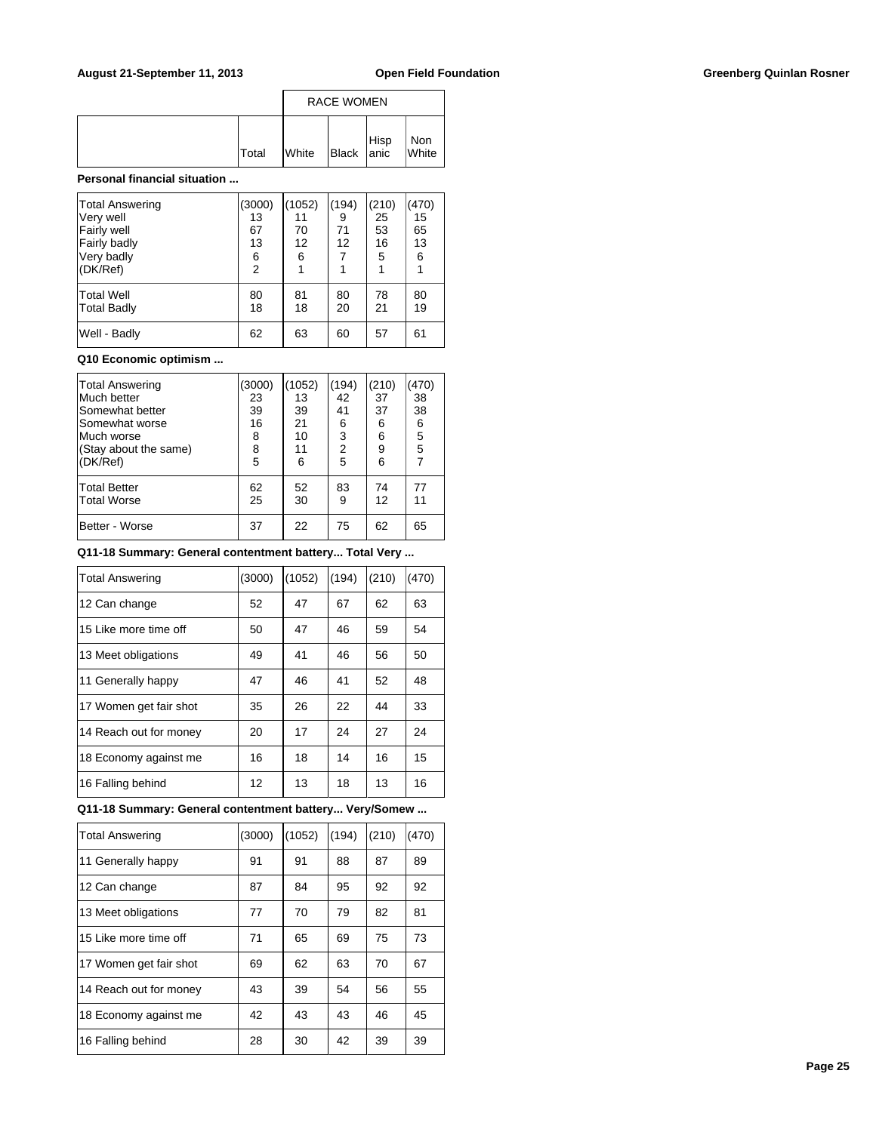|              | <b>RACE WOMEN</b> |            |  |              |
|--------------|-------------------|------------|--|--------------|
| <b>Total</b> | <b>White</b>      | Black Hisp |  | Non<br>White |

### **Personal financial situation ...**

| <b>Total Answering</b><br>Very well<br>Fairly well<br>Fairly badly<br>Very badly<br>(DK/Ref) | (3000)<br>13<br>67<br>13<br>6<br>$\overline{2}$ | (1052)<br>11<br>70<br>12<br>6 | (194)<br>9<br>71<br>12<br>7 | (210)<br>25<br>53<br>16<br>5 | (470)<br>15<br>65<br>13<br>6 |
|----------------------------------------------------------------------------------------------|-------------------------------------------------|-------------------------------|-----------------------------|------------------------------|------------------------------|
| Total Well<br>Total Badly                                                                    | 80<br>18                                        | 81<br>18                      | 80<br>20                    | 78<br>21                     | 80<br>19                     |
| Well - Badly                                                                                 | 62                                              | 63                            | 60                          | 57                           | 61                           |

### **Q10 Economic optimism ...**

| <b>Total Answering</b><br>Much better<br>Somewhat better<br>Somewhat worse<br>Much worse<br>(Stay about the same)<br>(DK/Ref) | (3000)<br>23<br>39<br>16<br>8<br>8<br>5 | (1052)<br>13<br>39<br>21<br>10<br>11<br>6 | (194)<br>42<br>41<br>6<br>3<br>$\overline{2}$<br>5 | (210)<br>37<br>37<br>6<br>6<br>9<br>6 | (470)<br>38<br>38<br>6<br>5<br>5 |
|-------------------------------------------------------------------------------------------------------------------------------|-----------------------------------------|-------------------------------------------|----------------------------------------------------|---------------------------------------|----------------------------------|
| Total Better<br>Total Worse                                                                                                   | 62<br>25                                | 52<br>30                                  | 83<br>9                                            | 74<br>12                              | 77<br>11                         |
| Better - Worse                                                                                                                | 37                                      | 22                                        | 75                                                 | 62                                    | 65                               |

**Q11-18 Summary: General contentment battery... Total Very ...**

| <b>Total Answering</b> | (3000) | (1052) | (194) | (210) | (470) |
|------------------------|--------|--------|-------|-------|-------|
| 12 Can change          | 52     | 47     | 67    | 62    | 63    |
| 15 Like more time off  | 50     | 47     | 46    | 59    | 54    |
| 13 Meet obligations    | 49     | 41     | 46    | 56    | 50    |
| 11 Generally happy     | 47     | 46     | 41    | 52    | 48    |
| 17 Women get fair shot | 35     | 26     | 22    | 44    | 33    |
| 14 Reach out for money | 20     | 17     | 24    | 27    | 24    |
| 18 Economy against me  | 16     | 18     | 14    | 16    | 15    |
| 16 Falling behind      | 12     | 13     | 18    | 13    | 16    |

# **Q11-18 Summary: General contentment battery... Very/Somew ...**

| <b>Total Answering</b> | (3000) | (1052) | (194) | (210) | (470) |
|------------------------|--------|--------|-------|-------|-------|
| 11 Generally happy     | 91     | 91     | 88    | 87    | 89    |
| 12 Can change          | 87     | 84     | 95    | 92    | 92    |
| 13 Meet obligations    | 77     | 70     | 79    | 82    | 81    |
| 15 Like more time off  | 71     | 65     | 69    | 75    | 73    |
| 17 Women get fair shot | 69     | 62     | 63    | 70    | 67    |
| 14 Reach out for money | 43     | 39     | 54    | 56    | 55    |
| 18 Economy against me  | 42     | 43     | 43    | 46    | 45    |
| 16 Falling behind      | 28     | 30     | 42    | 39    | 39    |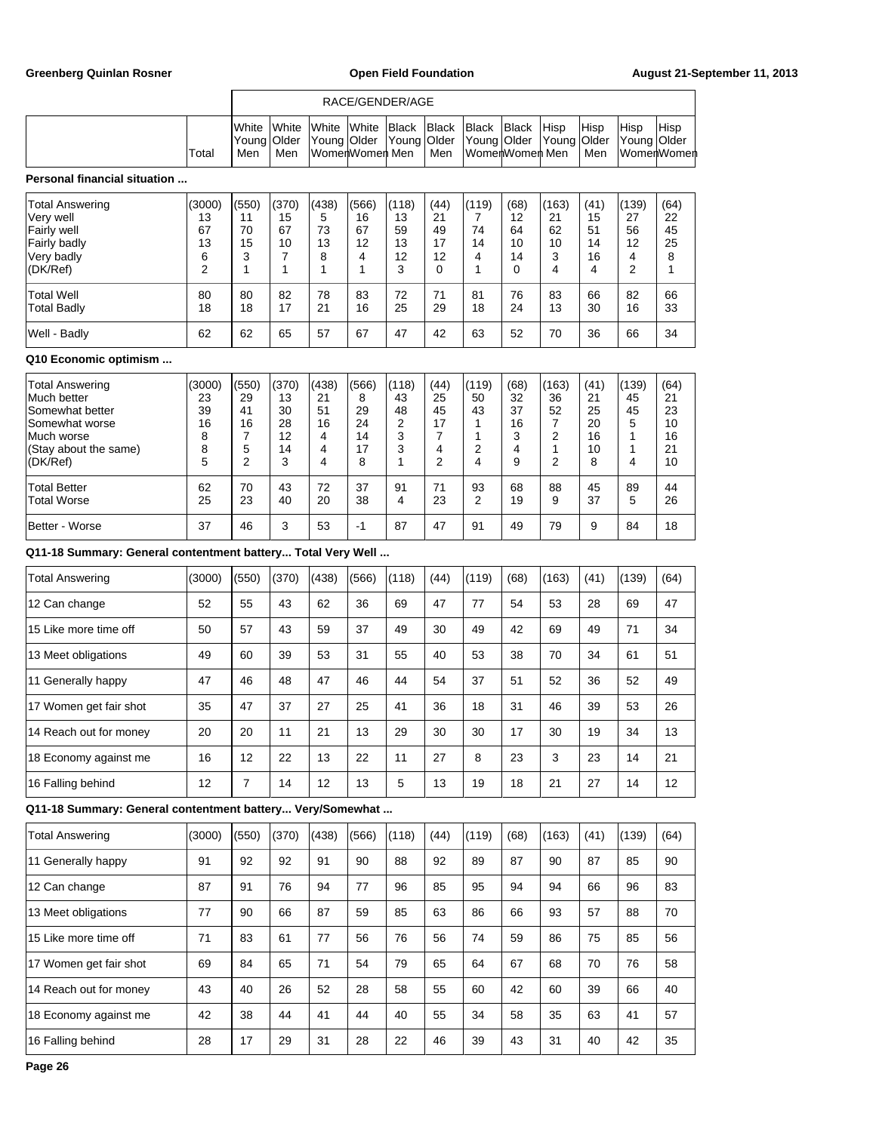|                                                                                                                        |                                         | RACE/GENDER/AGE                                     |                                                |                                        |                                              |                                       |                                                                 |                                       |                                           |                                                                 |                                         |                                                |                                          |
|------------------------------------------------------------------------------------------------------------------------|-----------------------------------------|-----------------------------------------------------|------------------------------------------------|----------------------------------------|----------------------------------------------|---------------------------------------|-----------------------------------------------------------------|---------------------------------------|-------------------------------------------|-----------------------------------------------------------------|-----------------------------------------|------------------------------------------------|------------------------------------------|
|                                                                                                                        | Total                                   | White<br>Young<br>Men                               | White<br>Older<br>Men                          | White<br>Young                         | White<br>Older<br>WomenWomen Men             | <b>Black</b><br>Young                 | <b>Black</b><br>Older<br>Men                                    | <b>Black</b><br>Young                 | <b>Black</b><br>Older<br>WomerlWomerl Men | Hisp<br>Young                                                   | Hisp<br>Older<br>Men                    | Hisp<br>Young Older                            | Hisp<br>WomenWomen                       |
| Personal financial situation                                                                                           |                                         |                                                     |                                                |                                        |                                              |                                       |                                                                 |                                       |                                           |                                                                 |                                         |                                                |                                          |
| Total Answering<br>Very well<br>Fairly well<br>Fairly badly<br>Very badly<br>(DK/Ref)                                  | (3000)<br>13<br>67<br>13<br>6<br>2      | (550)<br>11<br>70<br>15<br>3<br>1                   | (370)<br>15<br>67<br>10<br>$\overline{7}$<br>1 | (438)<br>5<br>73<br>13<br>8<br>1       | (566)<br>16<br>67<br>12<br>4<br>$\mathbf{1}$ | (118)<br>13<br>59<br>13<br>12<br>3    | (44)<br>21<br>49<br>17<br>12<br>0                               | (119)<br>7<br>74<br>14<br>4<br>1      | (68)<br>12<br>64<br>10<br>14<br>0         | (163)<br>21<br>62<br>10<br>3<br>4                               | (41)<br>15<br>51<br>14<br>16<br>4       | (139)<br>27<br>56<br>12<br>4<br>$\overline{2}$ | (64)<br>22<br>45<br>25<br>8<br>1         |
| Total Well<br>Total Badly                                                                                              | 80<br>18                                | 80<br>18                                            | 82<br>17                                       | 78<br>21                               | 83<br>16                                     | 72<br>25                              | 71<br>29                                                        | 81<br>18                              | 76<br>24                                  | 83<br>13                                                        | 66<br>30                                | 82<br>16                                       | 66<br>33                                 |
| Well - Badly                                                                                                           | 62                                      | 62                                                  | 65                                             | 57                                     | 67                                           | 47                                    | 42                                                              | 63                                    | 52                                        | 70                                                              | 36                                      | 66                                             | 34                                       |
| Q10 Economic optimism                                                                                                  |                                         |                                                     |                                                |                                        |                                              |                                       |                                                                 |                                       |                                           |                                                                 |                                         |                                                |                                          |
| Total Answering<br>Much better<br>Somewhat better<br>Somewhat worse<br>Much worse<br>(Stay about the same)<br>(DK/Ref) | (3000)<br>23<br>39<br>16<br>8<br>8<br>5 | (550)<br>29<br>41<br>16<br>7<br>5<br>$\overline{2}$ | (370)<br>13<br>30<br>28<br>12<br>14<br>3       | (438)<br>21<br>51<br>16<br>4<br>4<br>4 | (566)<br>8<br>29<br>24<br>14<br>17<br>8      | (118)<br>43<br>48<br>2<br>3<br>3<br>1 | (44)<br>25<br>45<br>17<br>$\overline{7}$<br>4<br>$\overline{2}$ | (119)<br>50<br>43<br>1<br>1<br>2<br>4 | (68)<br>32<br>37<br>16<br>3<br>4<br>9     | (163)<br>36<br>52<br>7<br>$\overline{2}$<br>1<br>$\overline{2}$ | (41)<br>21<br>25<br>20<br>16<br>10<br>8 | (139)<br>45<br>45<br>5<br>1<br>1<br>4          | (64)<br>21<br>23<br>10<br>16<br>21<br>10 |
| <b>Total Better</b><br><b>Total Worse</b>                                                                              | 62<br>25                                | 70<br>23                                            | 43<br>40                                       | 72<br>20                               | 37<br>38                                     | 91<br>4                               | 71<br>23                                                        | 93<br>2                               | 68<br>19                                  | 88<br>9                                                         | 45<br>37                                | 89<br>5                                        | 44<br>26                                 |
| Better - Worse                                                                                                         | 37                                      | 46                                                  | 3                                              | 53                                     | $-1$                                         | 87                                    | 47                                                              | 91                                    | 49                                        | 79                                                              | 9                                       | 84                                             | 18                                       |
| Q11-18 Summary: General contentment battery Total Very Well                                                            |                                         |                                                     |                                                |                                        |                                              |                                       |                                                                 |                                       |                                           |                                                                 |                                         |                                                |                                          |
| <b>Total Answering</b>                                                                                                 | (3000)                                  | (550)                                               | (370)                                          | (438)                                  | (566)                                        | (118)                                 | (44)                                                            | (119)                                 | (68)                                      | (163)                                                           | (41)                                    | (139)                                          | (64)                                     |
| 12 Can change                                                                                                          | 52                                      | 55                                                  | 43                                             | 62                                     | 36                                           | 69                                    | 47                                                              | 77                                    | 54                                        | 53                                                              | 28                                      | 69                                             | 47                                       |
| 15 Like more time off                                                                                                  | 50                                      | 57                                                  | 43                                             | 59                                     | 37                                           | 49                                    | 30                                                              | 49                                    | 42                                        | 69                                                              | 49                                      | 71                                             | 34                                       |
| 13 Meet obligations                                                                                                    | 49                                      | 60                                                  | 39                                             | 53                                     | 31                                           | 55                                    | 40                                                              | 53                                    | 38                                        | 70                                                              | 34                                      | 61                                             | 51                                       |
| 11 Generally happy                                                                                                     | 47                                      | 46                                                  | 48                                             | 47                                     | 46                                           | 44                                    | 54                                                              | 37                                    | 51                                        | 52                                                              | 36                                      | 52                                             | 49                                       |
| 17 Women get fair shot                                                                                                 | 35                                      | 47                                                  | 37                                             | 27                                     | 25                                           | 41                                    | 36                                                              | 18                                    | 31                                        | 46                                                              | 39                                      | 53                                             | 26                                       |
| 14 Reach out for money                                                                                                 | 20                                      | 20                                                  | 11                                             | 21                                     | 13                                           | 29                                    | 30                                                              | 30                                    | 17                                        | 30                                                              | 19                                      | 34                                             | 13                                       |
| 18 Economy against me                                                                                                  | 16                                      | 12                                                  | 22                                             | 13                                     | 22                                           | 11                                    | 27                                                              | 8                                     | 23                                        | 3                                                               | 23                                      | 14                                             | 21                                       |
| 16 Falling behind                                                                                                      | 12                                      | 7                                                   | 14                                             | 12                                     | 13                                           | 5                                     | 13                                                              | 19                                    | 18                                        | 21                                                              | 27                                      | 14                                             | 12                                       |
| Q11-18 Summary: General contentment battery Very/Somewhat                                                              |                                         |                                                     |                                                |                                        |                                              |                                       |                                                                 |                                       |                                           |                                                                 |                                         |                                                |                                          |
| <b>Total Answering</b>                                                                                                 | (3000)                                  | (550)                                               | (370)                                          | (438)                                  | (566)                                        | (118)                                 | (44)                                                            | (119)                                 | (68)                                      | (163)                                                           | (41)                                    | (139)                                          | (64)                                     |
| 11 Generally happy                                                                                                     | 91                                      | 92                                                  | 92                                             | 91                                     | 90                                           | 88                                    | 92                                                              | 89                                    | 87                                        | 90                                                              | 87                                      | 85                                             | 90                                       |
| 12 Can change                                                                                                          | 87                                      | 91                                                  | 76                                             | 94                                     | 77                                           | 96                                    | 85                                                              | 95                                    | 94                                        | 94                                                              | 66                                      | 96                                             | 83                                       |
| 13 Meet obligations                                                                                                    | 77                                      | 90                                                  | 66                                             | 87                                     | 59                                           | 85                                    | 63                                                              | 86                                    | 66                                        | 93                                                              | 57                                      | 88                                             | 70                                       |
| 15 Like more time off                                                                                                  | 71                                      | 83                                                  | 61                                             | 77                                     | 56                                           | 76                                    | 56                                                              | 74                                    | 59                                        | 86                                                              | 75                                      | 85                                             | 56                                       |
| 17 Women get fair shot                                                                                                 | 69                                      | 84                                                  | 65                                             | 71                                     | 54                                           | 79                                    | 65                                                              | 64                                    | 67                                        | 68                                                              | 70                                      | 76                                             | 58                                       |
| 14 Reach out for money                                                                                                 | 43                                      | 40                                                  | 26                                             | 52                                     | 28                                           | 58                                    | 55                                                              | 60                                    | 42                                        | 60                                                              | 39                                      | 66                                             | 40                                       |
| 18 Economy against me                                                                                                  | 42                                      | 38                                                  | 44                                             | 41                                     | 44                                           | 40                                    | 55                                                              | 34                                    | 58                                        | 35                                                              | 63                                      | 41                                             | 57                                       |
| 16 Falling behind                                                                                                      | 28                                      | 17                                                  | 29                                             | 31                                     | 28                                           | 22                                    | 46                                                              | 39                                    | 43                                        | 31                                                              | 40                                      | 42                                             | 35                                       |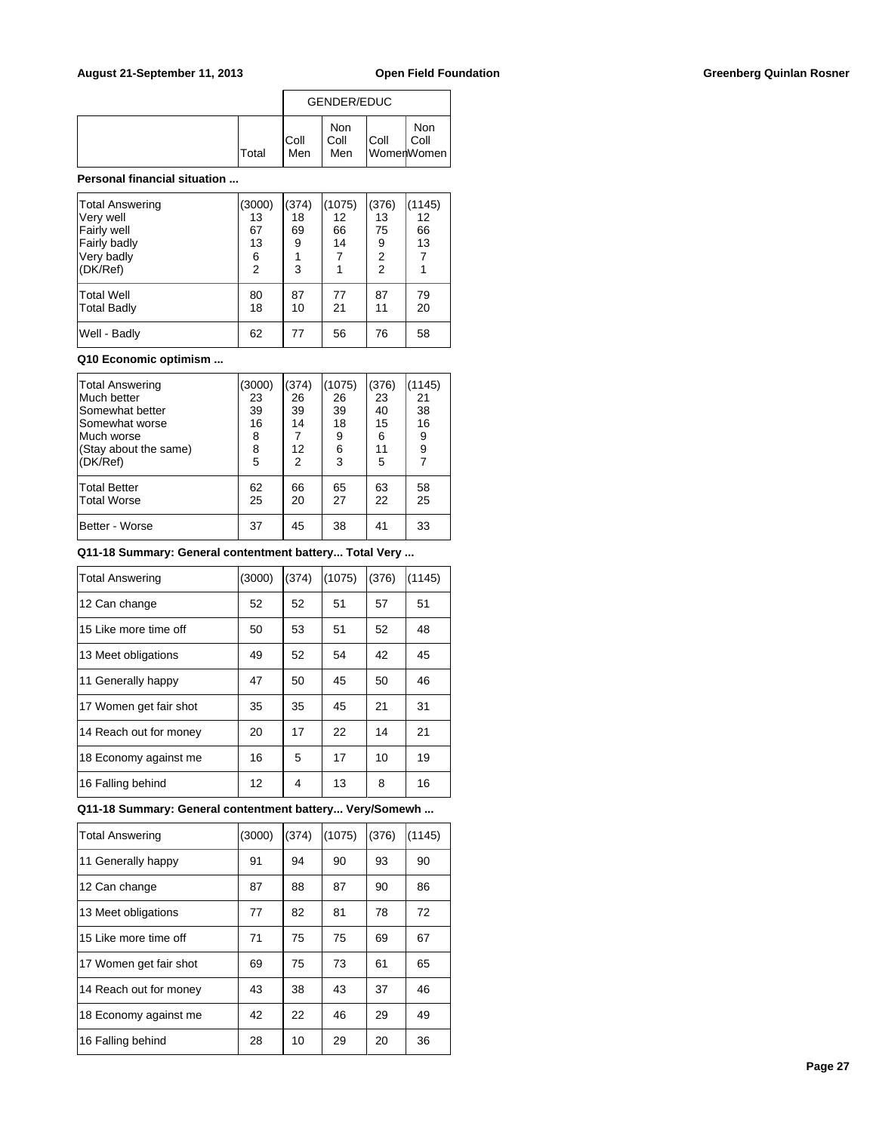|              | GENDER/EDUC  |                    |      |                           |  |
|--------------|--------------|--------------------|------|---------------------------|--|
| <b>Total</b> | IColl<br>Men | Non<br>Coll<br>Men | Coll | Non<br>Coll<br>WomenWomen |  |

### **Personal financial situation ...**

| Total Answering<br>Very well<br><b>Fairly well</b><br>Fairly badly<br>Very badly<br>(DK/Ref) | (3000)<br>13<br>67<br>13<br>6<br>$\overline{2}$ | (374)<br>18<br>69<br>9<br>3 | (1075)<br>12<br>66<br>14<br>7 | (376)<br>13<br>75<br>9<br>$\overline{2}$<br>$\overline{2}$ | (1145)<br>12<br>66<br>13<br>7 |
|----------------------------------------------------------------------------------------------|-------------------------------------------------|-----------------------------|-------------------------------|------------------------------------------------------------|-------------------------------|
| Total Well<br>Total Badly                                                                    | 80<br>18                                        | 87<br>10                    | 77<br>21                      | 87<br>11                                                   | 79<br>20                      |
| Well - Badly                                                                                 | 62                                              | 77                          | 56                            | 76                                                         | 58                            |

### **Q10 Economic optimism ...**

| Total Answering       | (3000) | (374)          | (1075) | (376) | 1145) |
|-----------------------|--------|----------------|--------|-------|-------|
| Much better           | 23     | 26             | 26     | 23    | 21    |
| Somewhat better       | 39     | 39             | 39     | 40    | 38    |
| Somewhat worse        | 16     | 14             | 18     | 15    | 16    |
| Much worse            | 8      | 7              | 9      | 6     | 9     |
| (Stay about the same) | 8      | 12             | 6      | 11    | 9     |
| (DK/Ref)              | 5      | $\overline{2}$ | 3      | 5     | 7     |
| Total Better          | 62     | 66             | 65     | 63    | 58    |
| Total Worse           | 25     | 20             | 27     | 22    | 25    |
| Better - Worse        | 37     | 45             | 38     | 41    | 33    |

**Q11-18 Summary: General contentment battery... Total Very ...**

| <b>Total Answering</b> | (3000) | (374) | (1075) | (376) | (1145) |
|------------------------|--------|-------|--------|-------|--------|
| 12 Can change          | 52     | 52    | 51     | 57    | 51     |
| 15 Like more time off  | 50     | 53    | 51     | 52    | 48     |
| 13 Meet obligations    | 49     | 52    | 54     | 42    | 45     |
| 11 Generally happy     | 47     | 50    | 45     | 50    | 46     |
| 17 Women get fair shot | 35     | 35    | 45     | 21    | 31     |
| 14 Reach out for money | 20     | 17    | 22     | 14    | 21     |
| 18 Economy against me  | 16     | 5     | 17     | 10    | 19     |
| 16 Falling behind      | 12     | 4     | 13     | 8     | 16     |

# **Q11-18 Summary: General contentment battery... Very/Somewh ...**

| <b>Total Answering</b> | (3000) | (374) | (1075) | (376) | (1145) |
|------------------------|--------|-------|--------|-------|--------|
| 11 Generally happy     | 91     | 94    | 90     | 93    | 90     |
| 12 Can change          | 87     | 88    | 87     | 90    | 86     |
| 13 Meet obligations    | 77     | 82    | 81     | 78    | 72     |
| 15 Like more time off  | 71     | 75    | 75     | 69    | 67     |
| 17 Women get fair shot | 69     | 75    | 73     | 61    | 65     |
| 14 Reach out for money | 43     | 38    | 43     | 37    | 46     |
| 18 Economy against me  | 42     | 22    | 46     | 29    | 49     |
| 16 Falling behind      | 28     | 10    | 29     | 20    | 36     |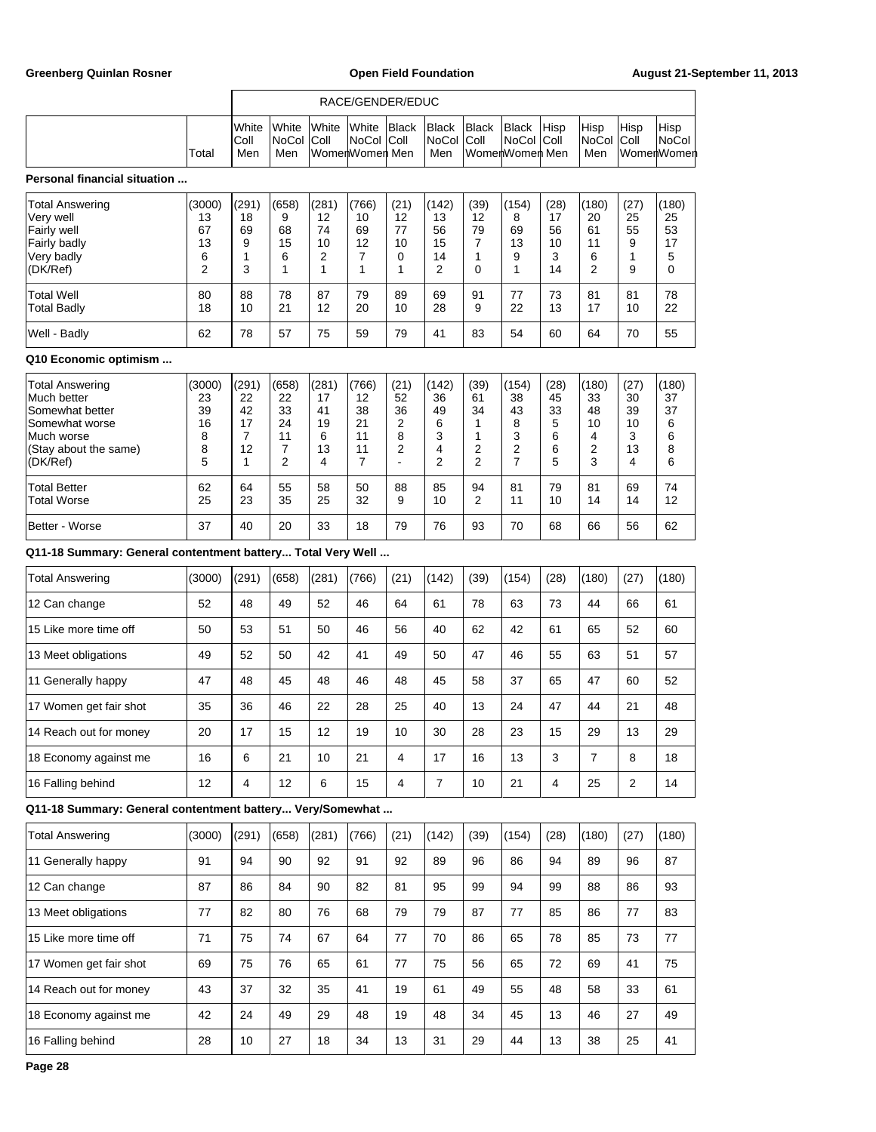|                                                                                                                        |                                         | RACE/GENDER/EDUC                        |                                                      |                                         |                                                       |                                                   |                                       |                                      |                                              |                                      |                                        |                                        |                                       |
|------------------------------------------------------------------------------------------------------------------------|-----------------------------------------|-----------------------------------------|------------------------------------------------------|-----------------------------------------|-------------------------------------------------------|---------------------------------------------------|---------------------------------------|--------------------------------------|----------------------------------------------|--------------------------------------|----------------------------------------|----------------------------------------|---------------------------------------|
|                                                                                                                        | Total                                   | White<br>Coll<br>Men                    | White<br>NoCol<br>Men                                | White<br>Coll                           | White<br><b>NoCol</b><br>WomenWomen Men               | Black<br> Coll                                    | <b>Black</b><br><b>NoCol</b><br>Men   | <b>Black</b><br> Coll                | <b>Black</b><br>NoCol Coll<br>WomenWomen Men | Hisp                                 | Hisp<br>NoCol<br>Men                   | Hisp<br>Coll                           | Hisp<br>NoCol<br>WomenWomen           |
| Personal financial situation                                                                                           |                                         |                                         |                                                      |                                         |                                                       |                                                   |                                       |                                      |                                              |                                      |                                        |                                        |                                       |
| Total Answering<br>Very well<br>Fairly well<br>Fairly badly<br>Very badly<br>(DK/Ref)                                  | (3000)<br>13<br>67<br>13<br>6<br>2      | (291)<br>18<br>69<br>9<br>1<br>3        | (658)<br>9<br>68<br>15<br>6<br>1                     | (281)<br>12<br>74<br>10<br>2<br>1       | (766)<br>10<br>69<br>12<br>7<br>1                     | (21)<br>12<br>77<br>10<br>0<br>1                  | (142)<br>13<br>56<br>15<br>14<br>2    | (39)<br>12<br>79<br>7<br>1<br>0      | (154)<br>8<br>69<br>13<br>9<br>1             | (28)<br>17<br>56<br>10<br>3<br>14    | (180)<br>20<br>61<br>11<br>6<br>2      | (27)<br>25<br>55<br>9<br>1<br>9        | (180)<br>25<br>53<br>17<br>5<br>0     |
| <b>Total Well</b><br>Total Badly                                                                                       | 80<br>18                                | 88<br>10                                | 78<br>21                                             | 87<br>12                                | 79<br>20                                              | 89<br>10                                          | 69<br>28                              | 91<br>9                              | 77<br>22                                     | 73<br>13                             | 81<br>17                               | 81<br>10                               | 78<br>22                              |
| Well - Badly                                                                                                           | 62                                      | 78                                      | 57                                                   | 75                                      | 59                                                    | 79                                                | 41                                    | 83                                   | 54                                           | 60                                   | 64                                     | 70                                     | 55                                    |
| Q10 Economic optimism                                                                                                  |                                         |                                         |                                                      |                                         |                                                       |                                                   |                                       |                                      |                                              |                                      |                                        |                                        |                                       |
| Total Answering<br>Much better<br>Somewhat better<br>Somewhat worse<br>Much worse<br>(Stay about the same)<br>(DK/Ref) | (3000)<br>23<br>39<br>16<br>8<br>8<br>5 | (291)<br>22<br>42<br>17<br>7<br>12<br>1 | (658)<br>22<br>33<br>24<br>11<br>7<br>$\overline{2}$ | (281)<br>17<br>41<br>19<br>6<br>13<br>4 | (766)<br>12<br>38<br>21<br>11<br>11<br>$\overline{7}$ | (21)<br>52<br>36<br>2<br>8<br>2<br>$\blacksquare$ | (142)<br>36<br>49<br>6<br>3<br>4<br>2 | (39)<br>61<br>34<br>1<br>1<br>2<br>2 | (154)<br>38<br>43<br>8<br>3<br>2<br>7        | (28)<br>45<br>33<br>5<br>6<br>6<br>5 | (180)<br>33<br>48<br>10<br>4<br>2<br>3 | (27)<br>30<br>39<br>10<br>3<br>13<br>4 | (180)<br>37<br>37<br>6<br>6<br>8<br>6 |
| <b>Total Better</b><br>Total Worse                                                                                     | 62<br>25                                | 64<br>23                                | 55<br>35                                             | 58<br>25                                | 50<br>32                                              | 88<br>9                                           | 85<br>10                              | 94<br>2                              | 81<br>11                                     | 79<br>10                             | 81<br>14                               | 69<br>14                               | 74<br>12                              |
| Better - Worse                                                                                                         | 37                                      | 40                                      | 20                                                   | 33                                      | 18                                                    | 79                                                | 76                                    | 93                                   | 70                                           | 68                                   | 66                                     | 56                                     | 62                                    |
| Q11-18 Summary: General contentment battery Total Very Well                                                            |                                         |                                         |                                                      |                                         |                                                       |                                                   |                                       |                                      |                                              |                                      |                                        |                                        |                                       |
| Total Answering                                                                                                        | (3000)                                  | (291)                                   | (658)                                                | (281)                                   | (766)                                                 | (21)                                              | (142)                                 | (39)                                 | (154)                                        | (28)                                 | (180)                                  | (27)                                   | (180)                                 |
| 12 Can change                                                                                                          | 52                                      | 48                                      | 49                                                   | 52                                      | 46                                                    | 64                                                | 61                                    | 78                                   | 63                                           | 73                                   | 44                                     | 66                                     | 61                                    |
| 15 Like more time off                                                                                                  | 50                                      | 53                                      | 51                                                   | 50                                      | 46                                                    | 56                                                | 40                                    | 62                                   | 42                                           | 61                                   | 65                                     | 52                                     | 60                                    |
| 13 Meet obligations                                                                                                    | 49                                      | 52                                      | 50                                                   | 42                                      | 41                                                    | 49                                                | 50                                    | 47                                   | 46                                           | 55                                   | 63                                     | 51                                     | 57                                    |
| 11 Generally happy                                                                                                     | 47                                      | 48                                      | 45                                                   | 48                                      | 46                                                    | 48                                                | 45                                    | 58                                   | 37                                           | 65                                   | 47                                     | 60                                     | 52                                    |
| 17 Women get fair shot                                                                                                 | 35                                      | 36                                      | 46                                                   | 22                                      | 28                                                    | 25                                                | 40                                    | 13                                   | 24                                           | 47                                   | 44                                     | 21                                     | 48                                    |
| 14 Reach out for money                                                                                                 | 20                                      | 17                                      | 15                                                   | 12                                      | 19                                                    | 10                                                | 30                                    | 28                                   | 23                                           | 15                                   | 29                                     | 13                                     | 29                                    |
| 18 Economy against me                                                                                                  | 16                                      | 6                                       | 21                                                   | 10                                      | 21                                                    | 4                                                 | 17                                    | 16                                   | 13                                           | 3                                    | $\overline{7}$                         | 8                                      | 18                                    |
| 16 Falling behind                                                                                                      | 12                                      | 4                                       | 12                                                   | 6                                       | 15                                                    | $\overline{4}$                                    | $\overline{7}$                        | 10                                   | 21                                           | $\overline{4}$                       | 25                                     | $\overline{2}$                         | 14                                    |
| Q11-18 Summary: General contentment battery Very/Somewhat                                                              |                                         |                                         |                                                      |                                         |                                                       |                                                   |                                       |                                      |                                              |                                      |                                        |                                        |                                       |
| <b>Total Answering</b>                                                                                                 | (3000)                                  | (291)                                   | (658)                                                | (281)                                   | (766)                                                 | (21)                                              | (142)                                 | (39)                                 | (154)                                        | (28)                                 | (180)                                  | (27)                                   | (180)                                 |
| 11 Generally happy                                                                                                     | 91                                      | 94                                      | 90                                                   | 92                                      | 91                                                    | 92                                                | 89                                    | 96                                   | 86                                           | 94                                   | 89                                     | 96                                     | 87                                    |
| 12 Can change                                                                                                          | 87                                      | 86                                      | 84                                                   | 90                                      | 82                                                    | 81                                                | 95                                    | 99                                   | 94                                           | 99                                   | 88                                     | 86                                     | 93                                    |
| 13 Meet obligations                                                                                                    | 77                                      | 82                                      | 80                                                   | 76                                      | 68                                                    | 79                                                | 79                                    | 87                                   | 77                                           | 85                                   | 86                                     | 77                                     | 83                                    |
| 15 Like more time off                                                                                                  | 71                                      | 75                                      | 74                                                   | 67                                      | 64                                                    | 77                                                | 70                                    | 86                                   | 65                                           | 78                                   | 85                                     | 73                                     | 77                                    |
| 17 Women get fair shot                                                                                                 | 69                                      | 75                                      | 76                                                   | 65                                      | 61                                                    | 77                                                | 75                                    | 56                                   | 65                                           | 72                                   | 69                                     | 41                                     | 75                                    |
| 14 Reach out for money                                                                                                 | 43                                      | 37                                      | 32                                                   | 35                                      | 41                                                    | 19                                                | 61                                    | 49                                   | 55                                           | 48                                   | 58                                     | 33                                     | 61                                    |
| 18 Economy against me                                                                                                  | 42                                      | 24                                      | 49                                                   | 29                                      | 48                                                    | 19                                                | 48                                    | 34                                   | 45                                           | 13                                   | 46                                     | 27                                     | 49                                    |
| 16 Falling behind                                                                                                      | 28                                      | 10                                      | 27                                                   | 18                                      | 34                                                    | 13                                                | 31                                    | 29                                   | 44                                           | 13                                   | 38                                     | 25                                     | 41                                    |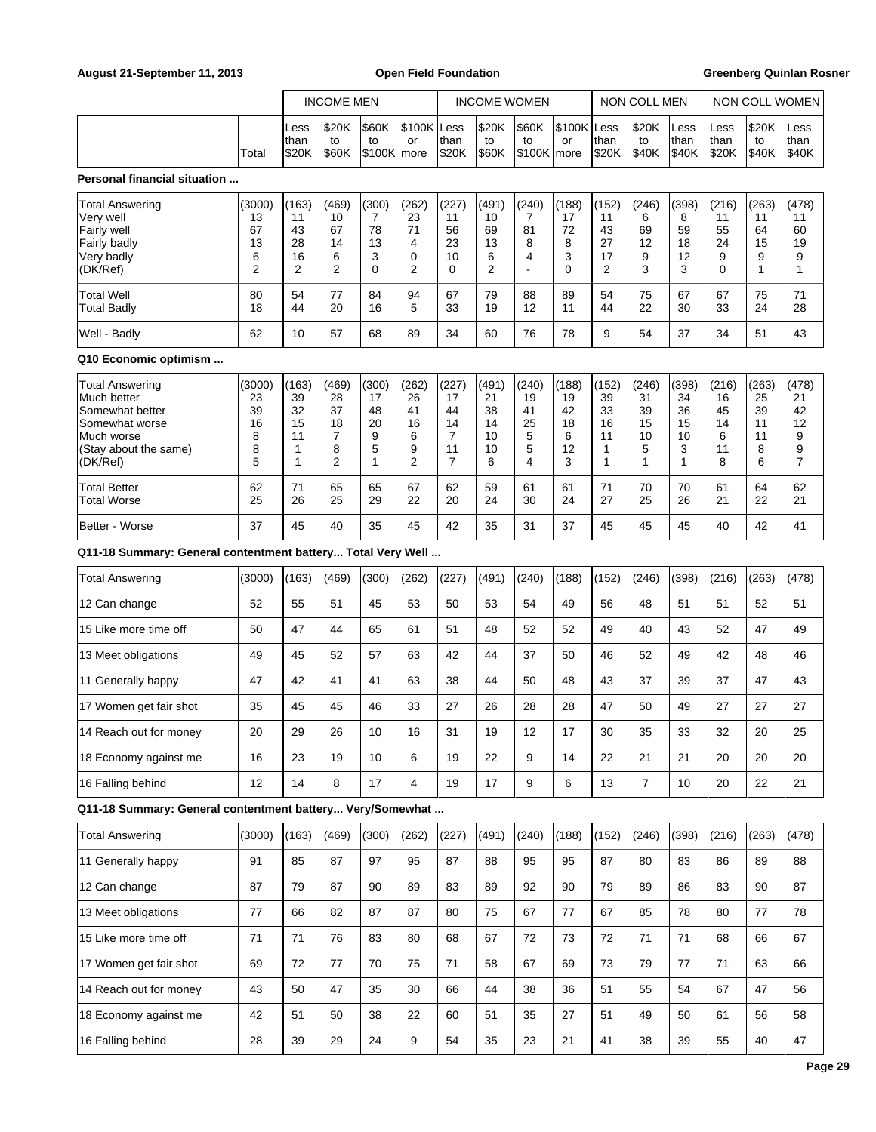### **August 21-September 11, 2013 Open Field Foundation Greenberg Quinlan Rosner**

|                                                                                                                               |                                                 | <b>INCOME MEN</b>                                  |                                                                  |                                         |                                                     |                                           |                                          | NON COLL MEN                           |                                         |                                         |                                         |                                                    |                                         |                                              |                                                     |
|-------------------------------------------------------------------------------------------------------------------------------|-------------------------------------------------|----------------------------------------------------|------------------------------------------------------------------|-----------------------------------------|-----------------------------------------------------|-------------------------------------------|------------------------------------------|----------------------------------------|-----------------------------------------|-----------------------------------------|-----------------------------------------|----------------------------------------------------|-----------------------------------------|----------------------------------------------|-----------------------------------------------------|
|                                                                                                                               |                                                 |                                                    |                                                                  |                                         |                                                     |                                           | <b>INCOME WOMEN</b>                      |                                        |                                         |                                         |                                         |                                                    |                                         | NON COLL WOMEN                               |                                                     |
|                                                                                                                               | Total                                           | Less<br>than<br>\$20K                              | \$20K<br>to<br>\$60K                                             | \$60K<br>to<br>$$100K$ more             | \$100K Less<br>or                                   | than<br>\$20K                             | \$20K<br>to<br>\$60K                     | <b>S60K</b><br>to<br>\$100K            | \$100K Less<br>or<br> more              | than<br>\$20K                           | \$20K<br>to<br>\$40K                    | Less<br>than<br>\$40K                              | Less<br>than<br>\$20K                   | \$20K<br>to<br>\$40K                         | Less<br>than<br>\$40K                               |
| Personal financial situation                                                                                                  |                                                 |                                                    |                                                                  |                                         |                                                     |                                           |                                          |                                        |                                         |                                         |                                         |                                                    |                                         |                                              |                                                     |
| <b>Total Answering</b><br>Very well<br>Fairly well<br>Fairly badly<br>Very badly<br>(DK/Ref)                                  | (3000)<br>13<br>67<br>13<br>6<br>$\overline{2}$ | (163)<br>11<br>43<br>28<br>16<br>$\overline{2}$    | (469)<br>10<br>67<br>14<br>6<br>$\overline{2}$                   | (300)<br>7<br>78<br>13<br>3<br>$\Omega$ | (262)<br>23<br>71<br>4<br>0<br>$\overline{2}$       | (227)<br>11<br>56<br>23<br>10<br>$\Omega$ | (491)<br>10<br>69<br>13<br>6<br>2        | (240)<br>7<br>81<br>8<br>4             | (188)<br>17<br>72<br>8<br>3<br>$\Omega$ | (152)<br>11<br>43<br>27<br>17<br>2      | (246)<br>6<br>69<br>12<br>9<br>3        | (398)<br>8<br>59<br>18<br>12<br>3                  | (216)<br>11<br>55<br>24<br>9<br>0       | (263)<br>11<br>64<br>15<br>9<br>$\mathbf{1}$ | (478)<br>11<br>60<br>19<br>9<br>1                   |
| Total Well<br>Total Badly                                                                                                     | 80<br>18                                        | 54<br>44                                           | 77<br>20                                                         | 84<br>16                                | 94<br>5                                             | 67<br>33                                  | 79<br>19                                 | 88<br>12                               | 89<br>11                                | 54<br>44                                | 75<br>22                                | 67<br>30                                           | 67<br>33                                | 75<br>24                                     | 71<br>28                                            |
| Well - Badly                                                                                                                  | 62                                              | 10                                                 | 57                                                               | 68                                      | 89                                                  | 34                                        | 60                                       | 76                                     | 78                                      | 9                                       | 54                                      | 37                                                 | 34                                      | 51                                           | 43                                                  |
| Q10 Economic optimism                                                                                                         |                                                 |                                                    |                                                                  |                                         |                                                     |                                           |                                          |                                        |                                         |                                         |                                         |                                                    |                                         |                                              |                                                     |
| <b>Total Answering</b><br>Much better<br>Somewhat better<br>Somewhat worse<br>Much worse<br>(Stay about the same)<br>(DK/Ref) | (3000)<br>23<br>39<br>16<br>8<br>8<br>5         | (163)<br>39<br>32<br>15<br>11<br>1<br>$\mathbf{1}$ | (469)<br>28<br>37<br>18<br>$\overline{7}$<br>8<br>$\overline{2}$ | (300)<br>17<br>48<br>20<br>9<br>5<br>1  | (262)<br>26<br>41<br>16<br>6<br>9<br>$\overline{2}$ | (227)<br>17<br>44<br>14<br>7<br>11<br>7   | (491)<br>21<br>38<br>14<br>10<br>10<br>6 | (240)<br>19<br>41<br>25<br>5<br>5<br>4 | (188)<br>19<br>42<br>18<br>6<br>12<br>3 | (152)<br>39<br>33<br>16<br>11<br>1<br>1 | (246)<br>31<br>39<br>15<br>10<br>5<br>1 | (398)<br>34<br>36<br>15<br>10<br>3<br>$\mathbf{1}$ | (216)<br>16<br>45<br>14<br>6<br>11<br>8 | (263)<br>25<br>39<br>11<br>11<br>8<br>6      | (478)<br>21<br>42<br>12<br>9<br>9<br>$\overline{7}$ |
| <b>Total Better</b><br>Total Worse                                                                                            | 62<br>25                                        | 71<br>26                                           | 65<br>25                                                         | 65<br>29                                | 67<br>22                                            | 62<br>20                                  | 59<br>24                                 | 61<br>30                               | 61<br>24                                | 71<br>27                                | 70<br>25                                | 70<br>26                                           | 61<br>21                                | 64<br>22                                     | 62<br>21                                            |
| Better - Worse                                                                                                                | 37                                              | 45                                                 | 40                                                               | 35                                      | 45                                                  | 42                                        | 35                                       | 31                                     | 37                                      | 45                                      | 45                                      | 45                                                 | 40                                      | 42                                           | 41                                                  |
| Q11-18 Summary: General contentment battery Total Very Well                                                                   |                                                 |                                                    |                                                                  |                                         |                                                     |                                           |                                          |                                        |                                         |                                         |                                         |                                                    |                                         |                                              |                                                     |
| <b>Total Answering</b>                                                                                                        | (3000)                                          | (163)                                              | (469)                                                            | (300)                                   | (262)                                               | (227)                                     | (491)                                    | (240)                                  | (188)                                   | (152)                                   | (246)                                   | (398)                                              | (216)                                   | (263)                                        | (478)                                               |
| 12 Can change                                                                                                                 | 52                                              | 55                                                 | 51                                                               | 45                                      | 53                                                  | 50                                        | 53                                       | 54                                     | 49                                      | 56                                      | 48                                      | 51                                                 | 51                                      | 52                                           | 51                                                  |
| 15 Like more time off                                                                                                         | 50                                              | 47                                                 | 44                                                               | 65                                      | 61                                                  | 51                                        | 48                                       | 52                                     | 52                                      | 49                                      | 40                                      | 43                                                 | 52                                      | 47                                           | 49                                                  |
| 13 Meet obligations                                                                                                           | 49                                              | 45                                                 | 52                                                               | 57                                      | 63                                                  | 42                                        | 44                                       | 37                                     | 50                                      | 46                                      | 52                                      | 49                                                 | 42                                      | 48                                           | 46                                                  |
| 11 Generally happy                                                                                                            | 47                                              | 42                                                 | 41                                                               | 41                                      | 63                                                  | 38                                        | 44                                       | 50                                     | 48                                      | 43                                      | 37                                      | 39                                                 | 37                                      | 47                                           | 43                                                  |
| 17 Women get fair shot                                                                                                        | 35                                              | 45                                                 | 45                                                               | 46                                      | 33                                                  | 27                                        | 26                                       | 28                                     | 28                                      | 47                                      | 50                                      | 49                                                 | 27                                      | 27                                           | 27                                                  |
| 14 Reach out for money                                                                                                        | 20                                              | 29                                                 | 26                                                               | 10                                      | 16                                                  | 31                                        | 19                                       | 12                                     | 17                                      | 30                                      | 35                                      | 33                                                 | 32                                      | 20                                           | 25                                                  |
| 18 Economy against me                                                                                                         | 16                                              | 23                                                 | 19                                                               | 10                                      | 6                                                   | 19                                        | 22                                       | 9                                      | 14                                      | 22                                      | 21                                      | 21                                                 | 20                                      | 20                                           | 20                                                  |
| 16 Falling behind                                                                                                             | 12                                              | 14                                                 | 8                                                                | 17                                      | 4                                                   | 19                                        | 17                                       | 9                                      | 6                                       | 13                                      | $\overline{7}$                          | 10                                                 | 20                                      | 22                                           | 21                                                  |
| Q11-18 Summary: General contentment battery Very/Somewhat                                                                     |                                                 |                                                    |                                                                  |                                         |                                                     |                                           |                                          |                                        |                                         |                                         |                                         |                                                    |                                         |                                              |                                                     |
| <b>Total Answering</b>                                                                                                        | (3000)                                          | (163)                                              | (469)                                                            | (300)                                   | (262)                                               | (227)                                     | (491)                                    | (240)                                  | (188)                                   | (152)                                   | (246)                                   | (398)                                              | (216)                                   | (263)                                        | (478)                                               |
| 11 Generally happy                                                                                                            | 91                                              | 85                                                 | 87                                                               | 97                                      | 95                                                  | 87                                        | 88                                       | 95                                     | 95                                      | 87                                      | 80                                      | 83                                                 | 86                                      | 89                                           | 88                                                  |
| 12 Can change                                                                                                                 | 87                                              | 79                                                 | 87                                                               | 90                                      | 89                                                  | 83                                        | 89                                       | 92                                     | 90                                      | 79                                      | 89                                      | 86                                                 | 83                                      | 90                                           | 87                                                  |
| 13 Meet obligations                                                                                                           | 77                                              | 66                                                 | 82                                                               | 87                                      | 87                                                  | 80                                        | 75                                       | 67                                     | 77                                      | 67                                      | 85                                      | 78                                                 | 80                                      | 77                                           | 78                                                  |
| 15 Like more time off                                                                                                         | 71                                              | 71                                                 | 76                                                               | 83                                      | 80                                                  | 68                                        | 67                                       | 72                                     | 73                                      | 72                                      | 71                                      | 71                                                 | 68                                      | 66                                           | 67                                                  |
| 17 Women get fair shot                                                                                                        | 69                                              | 72                                                 | 77                                                               | 70                                      | 75                                                  | 71                                        | 58                                       | 67                                     | 69                                      | 73                                      | 79                                      | 77                                                 | 71                                      | 63                                           | 66                                                  |
| 14 Reach out for money                                                                                                        | 43                                              | 50                                                 | 47                                                               | 35                                      | 30                                                  | 66                                        | 44                                       | 38                                     | 36                                      | 51                                      | 55                                      | 54                                                 | 67                                      | 47                                           | 56                                                  |
| 18 Economy against me                                                                                                         | 42                                              | 51                                                 | 50                                                               | 38                                      | 22                                                  | 60                                        | 51                                       | 35                                     | 27                                      | 51                                      | 49                                      | 50                                                 | 61                                      | 56                                           | 58                                                  |
| 16 Falling behind                                                                                                             | 28                                              | 39                                                 | 29                                                               | 24                                      | 9                                                   | 54                                        | 35                                       | 23                                     | 21                                      | 41                                      | 38                                      | 39                                                 | 55                                      | 40                                           | 47                                                  |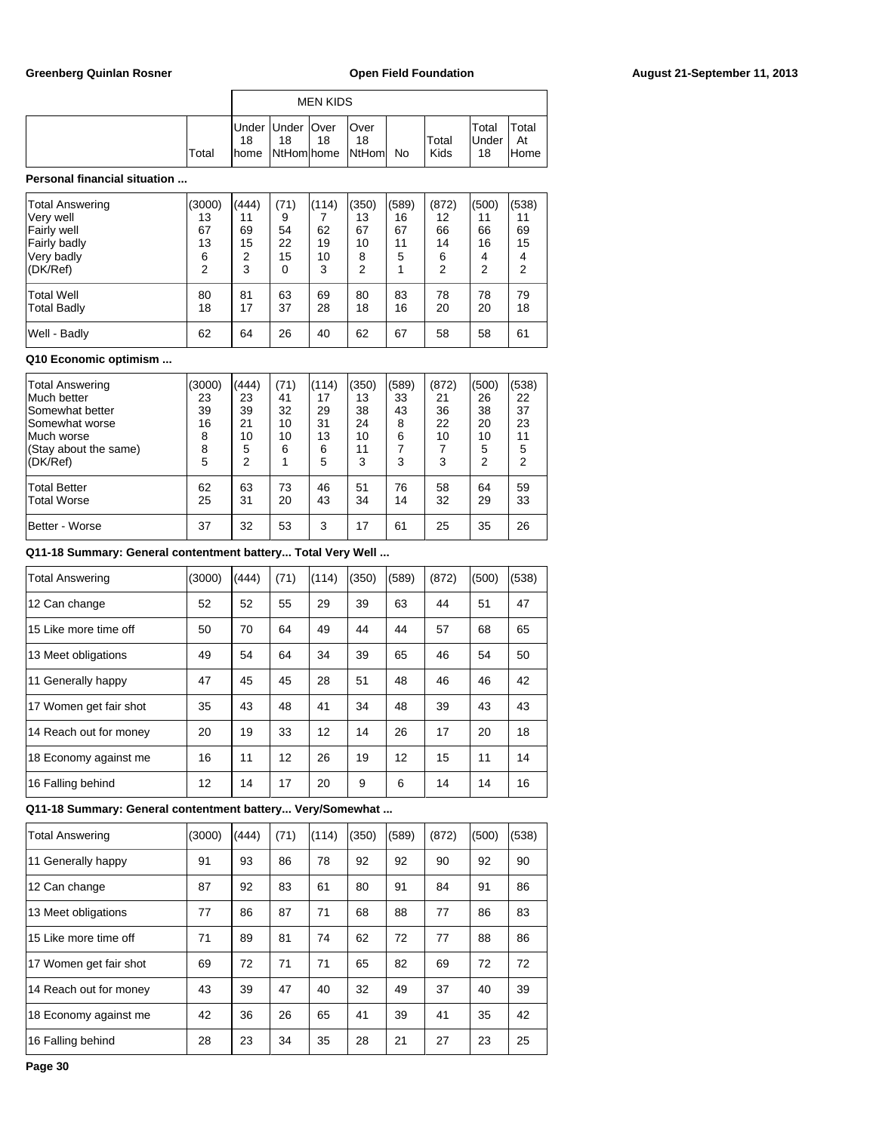|       |    |                          | <b>MEN KIDS</b> |                                      |    |               |                             |                     |
|-------|----|--------------------------|-----------------|--------------------------------------|----|---------------|-----------------------------|---------------------|
| Total | 18 | Under Under   Over<br>18 | 18              | lOver<br>18<br>home NtHom home NtHom | No | Total<br>Kids | Total<br><b>Under</b><br>18 | `otal<br>At<br>Home |

### **Personal financial situation ...**

| <b>Total Answering</b><br>Very well<br>Fairly well<br>Fairly badly<br>Very badly<br>(DK/Ref) | (3000)<br>13<br>67<br>13<br>6<br>$\overline{2}$ | (444)<br>11<br>69<br>15<br>2<br>3 | (71)<br>9<br>54<br>22<br>15<br>$\Omega$ | (114)<br>62<br>19<br>10<br>3 | (350)<br>13<br>67<br>10<br>8<br>2 | (589)<br>16<br>67<br>11<br>5 | (872)<br>12<br>66<br>14<br>6<br>2 | (500)<br>11<br>66<br>16<br>4<br>2 | (538)<br>11<br>69<br>15<br>4<br>$\overline{2}$ |
|----------------------------------------------------------------------------------------------|-------------------------------------------------|-----------------------------------|-----------------------------------------|------------------------------|-----------------------------------|------------------------------|-----------------------------------|-----------------------------------|------------------------------------------------|
| <b>Total Well</b>                                                                            | 80                                              | 81                                | 63                                      | 69                           | 80                                | 83                           | 78                                | 78                                | 79                                             |
| <b>Total Badly</b>                                                                           | 18                                              | 17                                | 37                                      | 28                           | 18                                | 16                           | 20                                | 20                                | 18                                             |
| Well - Badly                                                                                 | 62                                              | 64                                | 26                                      | 40                           | 62                                | 67                           | 58                                | 58                                | 61                                             |

### **Q10 Economic optimism ...**

| <b>Total Answering</b><br>Much better<br>Somewhat better<br>Somewhat worse<br>Much worse<br>(Stay about the same) | (3000)<br>23<br>39<br>16<br>8<br>8 | (444)<br>23<br>39<br>21<br>10<br>5 | (71)<br>41<br>32<br>10<br>10<br>6 | (114)<br>17<br>29<br>31<br>13<br>6 | (350)<br>13<br>38<br>24<br>10<br>11 | (589)<br>33<br>43<br>8<br>6 | (872)<br>21<br>36<br>22<br>10 | (500)<br>26<br>38<br>20<br>10<br>5 | (538)<br>22<br>37<br>23<br>11<br>5 |
|-------------------------------------------------------------------------------------------------------------------|------------------------------------|------------------------------------|-----------------------------------|------------------------------------|-------------------------------------|-----------------------------|-------------------------------|------------------------------------|------------------------------------|
| (DK/Ref)<br><b>Total Better</b><br><b>Total Worse</b><br>Better - Worse                                           | 5<br>62<br>25<br>37                | 2<br>63<br>31<br>32                | 73<br>20<br>53                    | 5<br>46<br>43<br>3                 | 3<br>51<br>34<br>17                 | 3<br>76<br>14<br>61         | 3<br>58<br>32<br>25           | 2<br>64<br>29<br>35                | 2<br>59<br>33<br>26                |

**Q11-18 Summary: General contentment battery... Total Very Well ...**

| <b>Total Answering</b> | (3000) | (444) | (71) | (114) | (350) | (589) | (872) | (500) | (538) |
|------------------------|--------|-------|------|-------|-------|-------|-------|-------|-------|
| 12 Can change          | 52     | 52    | 55   | 29    | 39    | 63    | 44    | 51    | 47    |
| 15 Like more time off  | 50     | 70    | 64   | 49    | 44    | 44    | 57    | 68    | 65    |
| 13 Meet obligations    | 49     | 54    | 64   | 34    | 39    | 65    | 46    | 54    | 50    |
| 11 Generally happy     | 47     | 45    | 45   | 28    | 51    | 48    | 46    | 46    | 42    |
| 17 Women get fair shot | 35     | 43    | 48   | 41    | 34    | 48    | 39    | 43    | 43    |
| 14 Reach out for money | 20     | 19    | 33   | 12    | 14    | 26    | 17    | 20    | 18    |
| 18 Economy against me  | 16     | 11    | 12   | 26    | 19    | 12    | 15    | 11    | 14    |
| 16 Falling behind      | 12     | 14    | 17   | 20    | 9     | 6     | 14    | 14    | 16    |

**Q11-18 Summary: General contentment battery... Very/Somewhat ...**

| <b>Total Answering</b> | (3000) | (444) | (71) | (114) | (350) | (589) | (872) | (500) | (538) |
|------------------------|--------|-------|------|-------|-------|-------|-------|-------|-------|
| 11 Generally happy     | 91     | 93    | 86   | 78    | 92    | 92    | 90    | 92    | 90    |
| 12 Can change          | 87     | 92    | 83   | 61    | 80    | 91    | 84    | 91    | 86    |
| 13 Meet obligations    | 77     | 86    | 87   | 71    | 68    | 88    | 77    | 86    | 83    |
| 15 Like more time off  | 71     | 89    | 81   | 74    | 62    | 72    | 77    | 88    | 86    |
| 17 Women get fair shot | 69     | 72    | 71   | 71    | 65    | 82    | 69    | 72    | 72    |
| 14 Reach out for money | 43     | 39    | 47   | 40    | 32    | 49    | 37    | 40    | 39    |
| 18 Economy against me  | 42     | 36    | 26   | 65    | 41    | 39    | 41    | 35    | 42    |
| 16 Falling behind      | 28     | 23    | 34   | 35    | 28    | 21    | 27    | 23    | 25    |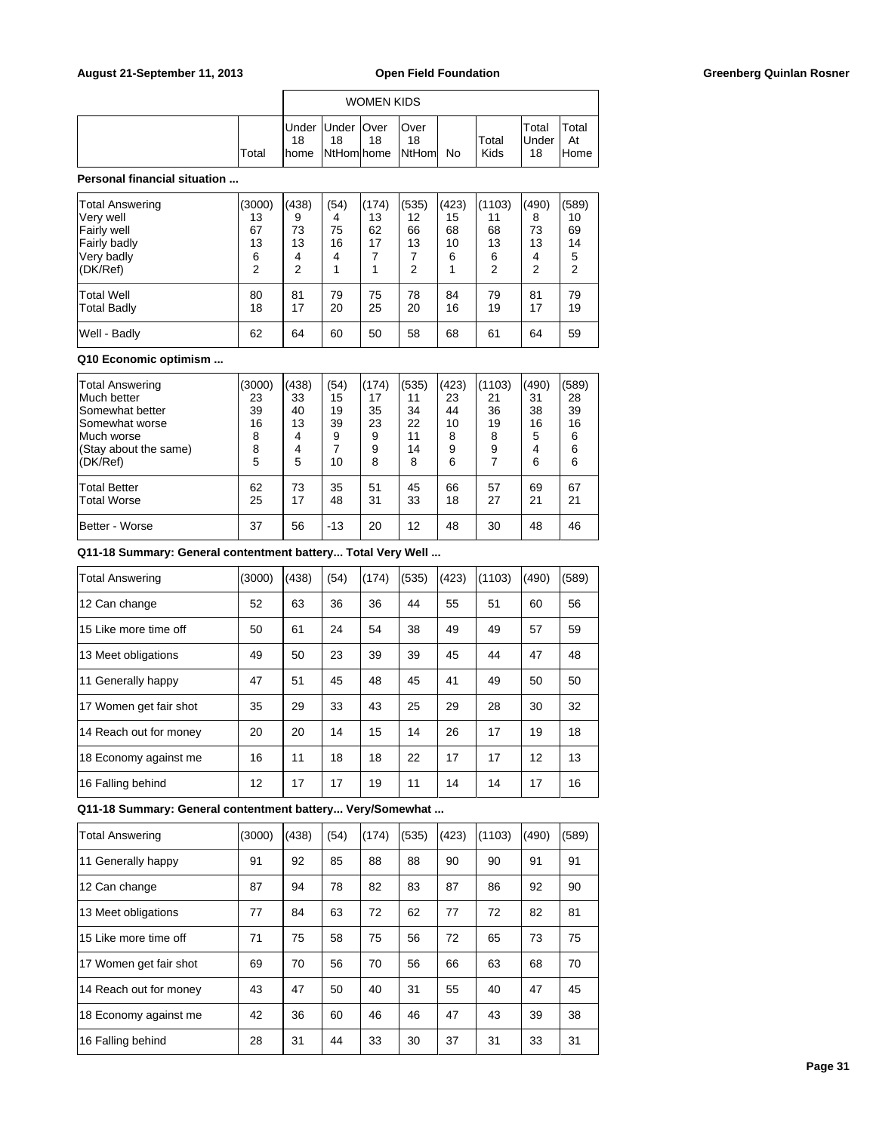|       | WOMEN KIDS          |                          |    |                                 |    |               |                             |                      |  |  |  |
|-------|---------------------|--------------------------|----|---------------------------------|----|---------------|-----------------------------|----------------------|--|--|--|
| Total | 18<br><b>I</b> home | Under Under   Over<br>18 | 18 | lOver<br>18<br>NtHom home NtHom | No | Total<br>Kids | Total<br><b>Under</b><br>18 | Total<br>At<br>lHome |  |  |  |

### **Personal financial situation ...**

| <b>Total Answering</b><br>Very well<br>Fairly well<br>Fairly badly<br>Very badly<br>(DK/Ref) | (3000)<br>13<br>67<br>13<br>6<br>2 | (438)<br>9<br>73<br>13<br>4<br>2 | (54)<br>4<br>75<br>16<br>4 | (174)<br>13<br>62<br>17 | (535)<br>12<br>66<br>13<br>7<br>2 | (423)<br>15<br>68<br>10<br>6 | (1103)<br>11<br>68<br>13<br>6<br>2 | (490)<br>8<br>73<br>13<br>4<br>2 | (589)<br>10<br>69<br>14<br>5<br>2 |
|----------------------------------------------------------------------------------------------|------------------------------------|----------------------------------|----------------------------|-------------------------|-----------------------------------|------------------------------|------------------------------------|----------------------------------|-----------------------------------|
| <b>Total Well</b>                                                                            | 80                                 | 81                               | 79                         | 75                      | 78                                | 84                           | 79                                 | 81                               | 79                                |
| Total Badly                                                                                  | 18                                 | 17                               | 20                         | 25                      | 20                                | 16                           | 19                                 | 17                               | 19                                |
| Well - Badly                                                                                 | 62                                 | 64                               | 60                         | 50                      | 58                                | 68                           | 61                                 | 64                               | 59                                |

### **Q10 Economic optimism ...**

| <b>Total Answering</b><br>Much better<br>Somewhat better<br>Somewhat worse<br>Much worse<br>(Stay about the same)<br>(DK/Ref) | (3000)<br>23<br>39<br>16<br>8<br>8<br>5 | (438)<br>33<br>40<br>13<br>4<br>4<br>5 | (54)<br>15<br>19<br>39<br>9<br>10 | (174)<br>17<br>35<br>23<br>9<br>9<br>8 | (535)<br>11<br>34<br>22<br>11<br>14<br>8 | (423)<br>23<br>44<br>10<br>8<br>9<br>6 | (1103)<br>21<br>36<br>19<br>8<br>9 | (490)<br>31<br>38<br>16<br>5<br>4<br>6 | (589)<br>28<br>39<br>16<br>6<br>6<br>6 |
|-------------------------------------------------------------------------------------------------------------------------------|-----------------------------------------|----------------------------------------|-----------------------------------|----------------------------------------|------------------------------------------|----------------------------------------|------------------------------------|----------------------------------------|----------------------------------------|
| <b>Total Better</b>                                                                                                           | 62                                      | 73                                     | 35                                | 51                                     | 45                                       | 66                                     | 57                                 | 69                                     | 67                                     |
| <b>Total Worse</b>                                                                                                            | 25                                      | 17                                     | 48                                | 31                                     | 33                                       | 18                                     | 27                                 | 21                                     | 21                                     |
| Better - Worse                                                                                                                | 37                                      | 56                                     | $-13$                             | 20                                     | 12                                       | 48                                     | 30                                 | 48                                     | 46                                     |

**Q11-18 Summary: General contentment battery... Total Very Well ...**

| <b>Total Answering</b> | (3000) | (438) | (54) | (174) | (535) | (423) | (1103) | (490) | (589) |
|------------------------|--------|-------|------|-------|-------|-------|--------|-------|-------|
| 12 Can change          | 52     | 63    | 36   | 36    | 44    | 55    | 51     | 60    | 56    |
| 15 Like more time off  | 50     | 61    | 24   | 54    | 38    | 49    | 49     | 57    | 59    |
| 13 Meet obligations    | 49     | 50    | 23   | 39    | 39    | 45    | 44     | 47    | 48    |
| 11 Generally happy     | 47     | 51    | 45   | 48    | 45    | 41    | 49     | 50    | 50    |
| 17 Women get fair shot | 35     | 29    | 33   | 43    | 25    | 29    | 28     | 30    | 32    |
| 14 Reach out for money | 20     | 20    | 14   | 15    | 14    | 26    | 17     | 19    | 18    |
| 18 Economy against me  | 16     | 11    | 18   | 18    | 22    | 17    | 17     | 12    | 13    |
| 16 Falling behind      | 12     | 17    | 17   | 19    | 11    | 14    | 14     | 17    | 16    |

**Q11-18 Summary: General contentment battery... Very/Somewhat ...**

| <b>Total Answering</b> | (3000) | (438) | (54) | (174) | (535) | (423) | (1103) | (490) | (589) |
|------------------------|--------|-------|------|-------|-------|-------|--------|-------|-------|
| 11 Generally happy     | 91     | 92    | 85   | 88    | 88    | 90    | 90     | 91    | 91    |
| 12 Can change          | 87     | 94    | 78   | 82    | 83    | 87    | 86     | 92    | 90    |
| 13 Meet obligations    | 77     | 84    | 63   | 72    | 62    | 77    | 72     | 82    | 81    |
| 15 Like more time off  | 71     | 75    | 58   | 75    | 56    | 72    | 65     | 73    | 75    |
| 17 Women get fair shot | 69     | 70    | 56   | 70    | 56    | 66    | 63     | 68    | 70    |
| 14 Reach out for money | 43     | 47    | 50   | 40    | 31    | 55    | 40     | 47    | 45    |
| 18 Economy against me  | 42     | 36    | 60   | 46    | 46    | 47    | 43     | 39    | 38    |
| 16 Falling behind      | 28     | 31    | 44   | 33    | 30    | 37    | 31     | 33    | 31    |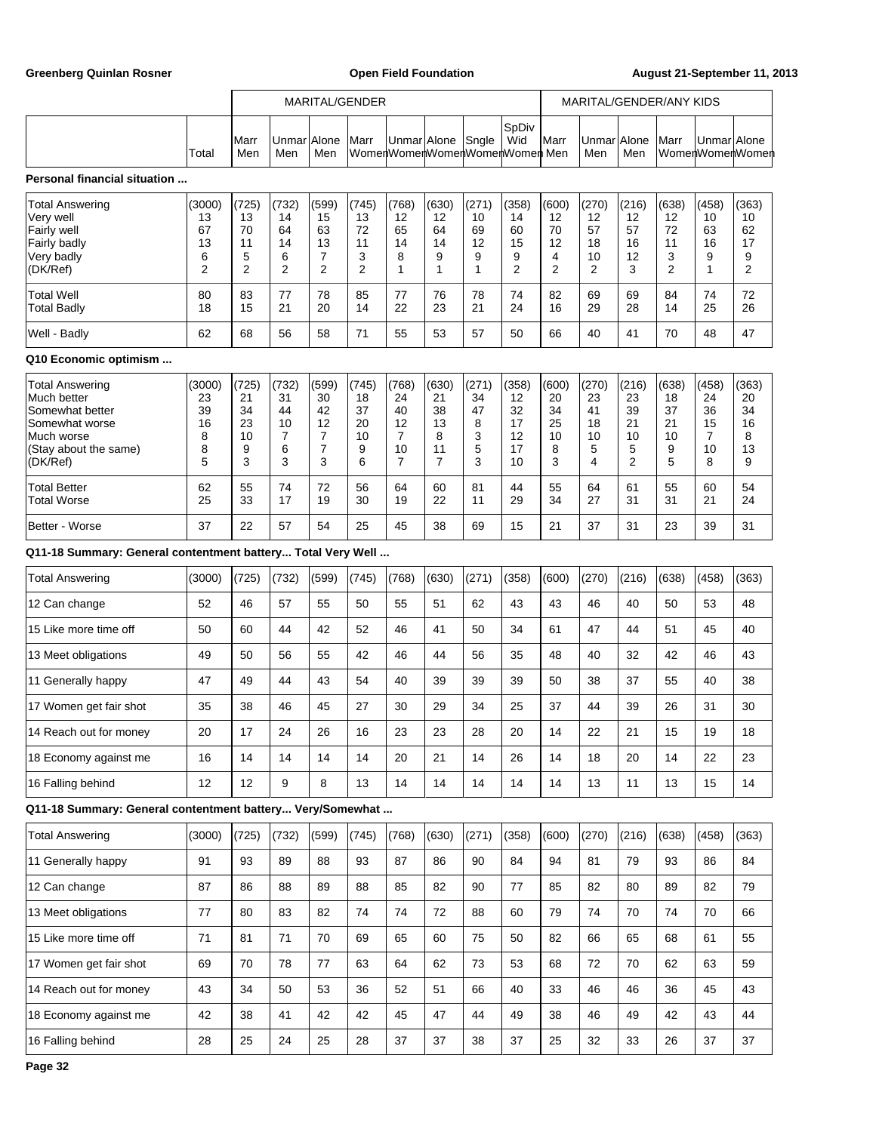Greenberg Quinlan Rosner **Communist Communist Communist Communist Communist Communist Communist Communist Communist Communist Communist Communist Communist Communist Communist Communist Communist Communist Communist Commun** 

|                                                                                                                        |                                         |                                                |                                                     |                                                | MARITAL/GENDER                          |                                         |                                                      |                                       |                                                | MARITAL/GENDER/ANY KIDS                        |                                         |                                                      |                                                |                                                      |                                                |
|------------------------------------------------------------------------------------------------------------------------|-----------------------------------------|------------------------------------------------|-----------------------------------------------------|------------------------------------------------|-----------------------------------------|-----------------------------------------|------------------------------------------------------|---------------------------------------|------------------------------------------------|------------------------------------------------|-----------------------------------------|------------------------------------------------------|------------------------------------------------|------------------------------------------------------|------------------------------------------------|
|                                                                                                                        | Total                                   | Marr<br>Men                                    | UnmarlAlone<br>Men                                  | Men                                            | Marr                                    |                                         | Unmar Alone Sngle                                    |                                       | SpDiv<br>Wid<br>WomenWomenWomenWomenWomen Men  | <b>I</b> Marr                                  | UnmarlAlone<br>Men                      | Men                                                  | Marr                                           | UnmarlAlone                                          | WomenWomenWomen                                |
| <b>Personal financial situation </b>                                                                                   |                                         |                                                |                                                     |                                                |                                         |                                         |                                                      |                                       |                                                |                                                |                                         |                                                      |                                                |                                                      |                                                |
| Total Answering<br>Very well<br>Fairly well<br>Fairly badly<br>Very badly<br>(DK/Ref)                                  | (3000)<br>13<br>67<br>13<br>6<br>2      | (725)<br>13<br>70<br>11<br>5<br>$\overline{2}$ | (732)<br>14<br>64<br>14<br>6<br>2                   | (599)<br>15<br>63<br>13<br>7<br>$\overline{2}$ | (745)<br>13<br>72<br>11<br>3<br>2       | (768)<br>12<br>65<br>14<br>8<br>1       | (630)<br>12<br>64<br>14<br>9<br>1                    | (271)<br>10<br>69<br>12<br>9<br>1     | (358)<br>14<br>60<br>15<br>9<br>$\overline{2}$ | (600)<br>12<br>70<br>12<br>4<br>$\overline{2}$ | (270)<br>12<br>57<br>18<br>10<br>2      | (216)<br>$12 \overline{ }$<br>57<br>16<br>12<br>3    | (638)<br>12<br>72<br>11<br>3<br>$\overline{2}$ | (458)<br>10<br>63<br>16<br>9<br>1                    | (363)<br>10<br>62<br>17<br>9<br>$\overline{2}$ |
| Total Well<br>Total Badly                                                                                              | 80<br>18                                | 83<br>15                                       | 77<br>21                                            | 78<br>20                                       | 85<br>14                                | 77<br>22                                | 76<br>23                                             | 78<br>21                              | 74<br>24                                       | 82<br>16                                       | 69<br>29                                | 69<br>28                                             | 84<br>14                                       | 74<br>25                                             | 72<br>26                                       |
| Well - Badly                                                                                                           | 62                                      | 68                                             | 56                                                  | 58                                             | 71                                      | 55                                      | 53                                                   | 57                                    | 50                                             | 66                                             | 40                                      | 41                                                   | 70                                             | 48                                                   | 47                                             |
| Q10 Economic optimism                                                                                                  |                                         |                                                |                                                     |                                                |                                         |                                         |                                                      |                                       |                                                |                                                |                                         |                                                      |                                                |                                                      |                                                |
| Total Answering<br>Much better<br>Somewhat better<br>Somewhat worse<br>Much worse<br>(Stay about the same)<br>(DK/Ref) | (3000)<br>23<br>39<br>16<br>8<br>8<br>5 | (725)<br>21<br>34<br>23<br>10<br>9<br>3        | (732)<br>31<br>44<br>10<br>$\overline{7}$<br>6<br>3 | (599)<br>30<br>42<br>12<br>7<br>7<br>3         | (745)<br>18<br>37<br>20<br>10<br>9<br>6 | (768)<br>24<br>40<br>12<br>7<br>10<br>7 | (630)<br>21<br>38<br>13<br>8<br>11<br>$\overline{7}$ | (271)<br>34<br>47<br>8<br>3<br>5<br>3 | (358)<br>12<br>32<br>17<br>12<br>17<br>10      | (600)<br>20<br>34<br>25<br>10<br>8<br>3        | (270)<br>23<br>41<br>18<br>10<br>5<br>4 | (216)<br>23<br>39<br>21<br>10<br>5<br>$\overline{2}$ | (638)<br>18<br>37<br>21<br>10<br>9<br>5        | (458)<br>24<br>36<br>15<br>$\overline{7}$<br>10<br>8 | (363)<br>20<br>34<br>16<br>8<br>13<br>9        |
| Total Better<br><b>Total Worse</b>                                                                                     | 62<br>25                                | 55<br>33                                       | 74<br>17                                            | 72<br>19                                       | 56<br>30                                | 64<br>19                                | 60<br>22                                             | 81<br>11                              | 44<br>29                                       | 55<br>34                                       | 64<br>27                                | 61<br>31                                             | 55<br>31                                       | 60<br>21                                             | 54<br>24                                       |
| Better - Worse                                                                                                         | 37                                      | 22                                             | 57                                                  | 54                                             | 25                                      | 45                                      | 38                                                   | 69                                    | 15                                             | 21                                             | 37                                      | 31                                                   | 23                                             | 39                                                   | 31                                             |
| Q11-18 Summary: General contentment battery Total Very Well                                                            |                                         |                                                |                                                     |                                                |                                         |                                         |                                                      |                                       |                                                |                                                |                                         |                                                      |                                                |                                                      |                                                |
| <b>Total Answering</b>                                                                                                 | (3000)                                  | (725)                                          | (732)                                               | (599)                                          | (745)                                   | (768)                                   | (630)                                                | (271)                                 | (358)                                          | (600)                                          | (270)                                   | (216)                                                | (638)                                          | (458)                                                | (363)                                          |
| 12 Can change                                                                                                          | 52                                      | 46                                             | 57                                                  | 55                                             | 50                                      | 55                                      | 51                                                   | 62                                    | 43                                             | 43                                             | 46                                      | 40                                                   | 50                                             | 53                                                   | 48                                             |
| 15 Like more time off                                                                                                  | 50                                      | 60                                             | 44                                                  | 42                                             | 52                                      | 46                                      | 41                                                   | 50                                    | 34                                             | 61                                             | 47                                      | 44                                                   | 51                                             | 45                                                   | 40                                             |
| 13 Meet obligations                                                                                                    | 49                                      | 50                                             | 56                                                  | 55                                             | 42                                      | 46                                      | 44                                                   | 56                                    | 35                                             | 48                                             | 40                                      | 32                                                   | 42                                             | 46                                                   | 43                                             |
| 11 Generally happy                                                                                                     | 47                                      | 49                                             | 44                                                  | 43                                             | 54                                      | 40                                      | 39                                                   | 39                                    | 39                                             | 50                                             | 38                                      | 37                                                   | 55                                             | 40                                                   | 38                                             |
| 17 Women get fair shot                                                                                                 | 35                                      | 38                                             | 46                                                  | 45                                             | 27                                      | 30                                      | 29                                                   | 34                                    | 25                                             | 37                                             | 44                                      | 39                                                   | 26                                             | 31                                                   | 30                                             |
| 14 Reach out for money                                                                                                 | 20                                      | 17                                             | 24                                                  | 26                                             | 16                                      | 23                                      | 23                                                   | 28                                    | 20                                             | 14                                             | 22                                      | 21                                                   | 15                                             | 19                                                   | 18                                             |
| 18 Economy against me                                                                                                  | 16                                      | 14                                             | 14                                                  | 14                                             | 14                                      | 20                                      | 21                                                   | 14                                    | 26                                             | 14                                             | 18                                      | 20                                                   | 14                                             | 22                                                   | 23                                             |
| 16 Falling behind                                                                                                      | 12                                      | 12                                             | 9                                                   | 8                                              | 13                                      | 14                                      | 14                                                   | 14                                    | 14                                             | 14                                             | 13                                      | 11                                                   | 13                                             | 15                                                   | 14                                             |
| Q11-18 Summary: General contentment battery Very/Somewhat                                                              |                                         |                                                |                                                     |                                                |                                         |                                         |                                                      |                                       |                                                |                                                |                                         |                                                      |                                                |                                                      |                                                |
| <b>Total Answering</b>                                                                                                 | (3000)                                  | (725)                                          | (732)                                               | (599)                                          | (745)                                   | (768)                                   | (630)                                                | (271)                                 | (358)                                          | (600)                                          | (270)                                   | (216)                                                | (638)                                          | (458)                                                | (363)                                          |
| 11 Generally happy                                                                                                     | 91                                      | 93                                             | 89                                                  | 88                                             | 93                                      | 87                                      | 86                                                   | 90                                    | 84                                             | 94                                             | 81                                      | 79                                                   | 93                                             | 86                                                   | 84                                             |
| 12 Can change                                                                                                          | 87                                      | 86                                             | 88                                                  | 89                                             | 88                                      | 85                                      | 82                                                   | 90                                    | 77                                             | 85                                             | 82                                      | 80                                                   | 89                                             | 82                                                   | 79                                             |
| 13 Meet obligations                                                                                                    | 77                                      | 80                                             | 83                                                  | 82                                             | 74                                      | 74                                      | 72                                                   | 88                                    | 60                                             | 79                                             | 74                                      | 70                                                   | 74                                             | 70                                                   | 66                                             |
| 15 Like more time off                                                                                                  | 71                                      | 81                                             | 71                                                  | 70                                             | 69                                      | 65                                      | 60                                                   | 75                                    | 50                                             | 82                                             | 66                                      | 65                                                   | 68                                             | 61                                                   | 55                                             |
| 17 Women get fair shot                                                                                                 | 69                                      | 70                                             | 78                                                  | 77                                             | 63                                      | 64                                      | 62                                                   | 73                                    | 53                                             | 68                                             | 72                                      | 70                                                   | 62                                             | 63                                                   | 59                                             |
| 14 Reach out for money                                                                                                 | 43                                      | 34                                             | 50                                                  | 53                                             | 36                                      | 52                                      | 51                                                   | 66                                    | 40                                             | 33                                             | 46                                      | 46                                                   | 36                                             | 45                                                   | 43                                             |
| 18 Economy against me                                                                                                  | 42                                      | 38                                             | 41                                                  | 42                                             | 42                                      | 45                                      | 47                                                   | 44                                    | 49                                             | 38                                             | 46                                      | 49                                                   | 42                                             | 43                                                   | 44                                             |
| 16 Falling behind                                                                                                      | 28                                      | 25                                             | 24                                                  | 25                                             | 28                                      | 37                                      | 37                                                   | 38                                    | 37                                             | 25                                             | 32                                      | 33                                                   | 26                                             | 37                                                   | 37                                             |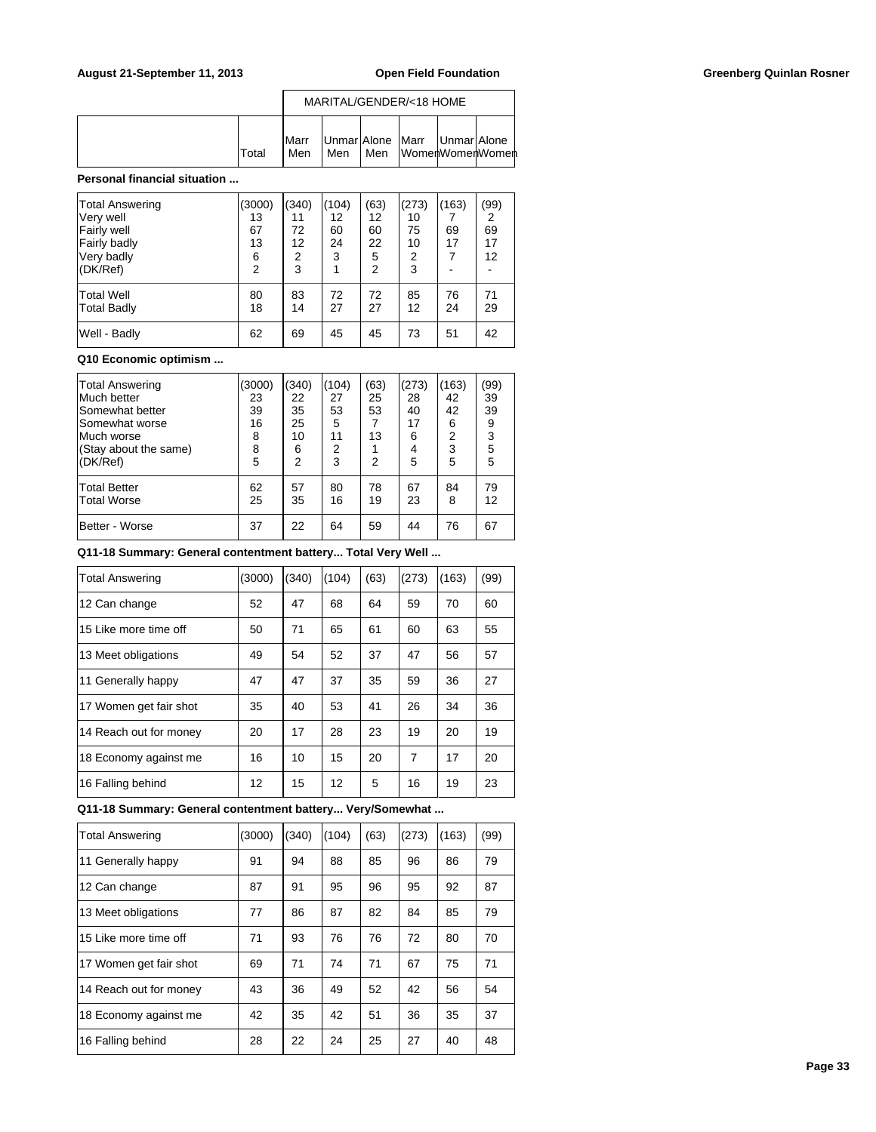|        |                      |     |     | MARITAL/GENDER/<18 HOME                            |  |
|--------|----------------------|-----|-----|----------------------------------------------------|--|
| lTotal | <b>I</b> Marr<br>Men | Men | Men | Unmar Alone  Marr  Unmar Alone<br>∏WomenWomenWomen |  |

### **Personal financial situation ...**

| <b>Total Answering</b><br>Very well<br>Fairly well<br>Fairly badly<br>Very badly<br>(DK/Ref) | (3000)<br>13<br>67<br>13<br>6<br>$\overline{2}$ | (340)<br>11<br>72<br>12<br>2<br>3 | (104)<br>12<br>60<br>24<br>3 | (63)<br>12<br>60<br>22<br>5<br>2 | (273)<br>10<br>75<br>10<br>2<br>3 | (163)<br>69<br>17<br>$\overline{7}$ | (99)<br>2<br>69<br>17<br>12 |
|----------------------------------------------------------------------------------------------|-------------------------------------------------|-----------------------------------|------------------------------|----------------------------------|-----------------------------------|-------------------------------------|-----------------------------|
| <b>Total Well</b><br><b>Total Badly</b>                                                      | 80<br>18                                        | 83<br>14                          | 72<br>27                     | 72<br>27                         | 85<br>12                          | 76<br>24                            | 71<br>29                    |
| Well - Badly                                                                                 | 62                                              | 69                                | 45                           | 45                               | 73                                | 51                                  | 42                          |

### **Q10 Economic optimism ...**

| <b>Total Answering</b><br>Much better<br>Somewhat better<br>Somewhat worse<br>Much worse<br>(Stay about the same)<br>(DK/Ref) | 3000)<br>23<br>39<br>16<br>8<br>8<br>5 | (340)<br>22<br>35<br>25<br>10<br>6<br>$\overline{2}$ | (104)<br>27<br>53<br>5<br>11<br>2<br>3 | (63)<br>25<br>53<br>13<br>2 | (273)<br>28<br>40<br>17<br>6<br>4<br>5 | (163)<br>42<br>42<br>6<br>2<br>3<br>5 | (99)<br>39<br>39<br>9<br>3<br>5<br>5 |
|-------------------------------------------------------------------------------------------------------------------------------|----------------------------------------|------------------------------------------------------|----------------------------------------|-----------------------------|----------------------------------------|---------------------------------------|--------------------------------------|
| <b>Total Better</b>                                                                                                           | 62                                     | 57                                                   | 80                                     | 78                          | 67                                     | 84                                    | 79                                   |
| <b>Total Worse</b>                                                                                                            | 25                                     | 35                                                   | 16                                     | 19                          | 23                                     | 8                                     | 12                                   |
| Better - Worse                                                                                                                | 37                                     | 22                                                   | 64                                     | 59                          | 44                                     | 76                                    | 67                                   |

# **Q11-18 Summary: General contentment battery... Total Very Well ...**

| <b>Total Answering</b> | (3000) | (340) | (104) | (63) | (273) | (163) | (99) |
|------------------------|--------|-------|-------|------|-------|-------|------|
| 12 Can change          | 52     | 47    | 68    | 64   | 59    | 70    | 60   |
| 15 Like more time off  | 50     | 71    | 65    | 61   | 60    | 63    | 55   |
| 13 Meet obligations    | 49     | 54    | 52    | 37   | 47    | 56    | 57   |
| 11 Generally happy     | 47     | 47    | 37    | 35   | 59    | 36    | 27   |
| 17 Women get fair shot | 35     | 40    | 53    | 41   | 26    | 34    | 36   |
| 14 Reach out for money | 20     | 17    | 28    | 23   | 19    | 20    | 19   |
| 18 Economy against me  | 16     | 10    | 15    | 20   | 7     | 17    | 20   |
| 16 Falling behind      | 12     | 15    | 12    | 5    | 16    | 19    | 23   |

# **Q11-18 Summary: General contentment battery... Very/Somewhat ...**

| <b>Total Answering</b> | (3000) | (340) | (104) | (63) | (273) | (163) | (99) |
|------------------------|--------|-------|-------|------|-------|-------|------|
| 11 Generally happy     | 91     | 94    | 88    | 85   | 96    | 86    | 79   |
| 12 Can change          | 87     | 91    | 95    | 96   | 95    | 92    | 87   |
| 13 Meet obligations    | 77     | 86    | 87    | 82   | 84    | 85    | 79   |
| 15 Like more time off  | 71     | 93    | 76    | 76   | 72    | 80    | 70   |
| 17 Women get fair shot | 69     | 71    | 74    | 71   | 67    | 75    | 71   |
| 14 Reach out for money | 43     | 36    | 49    | 52   | 42    | 56    | 54   |
| 18 Economy against me  | 42     | 35    | 42    | 51   | 36    | 35    | 37   |
| 16 Falling behind      | 28     | 22    | 24    | 25   | 27    | 40    | 48   |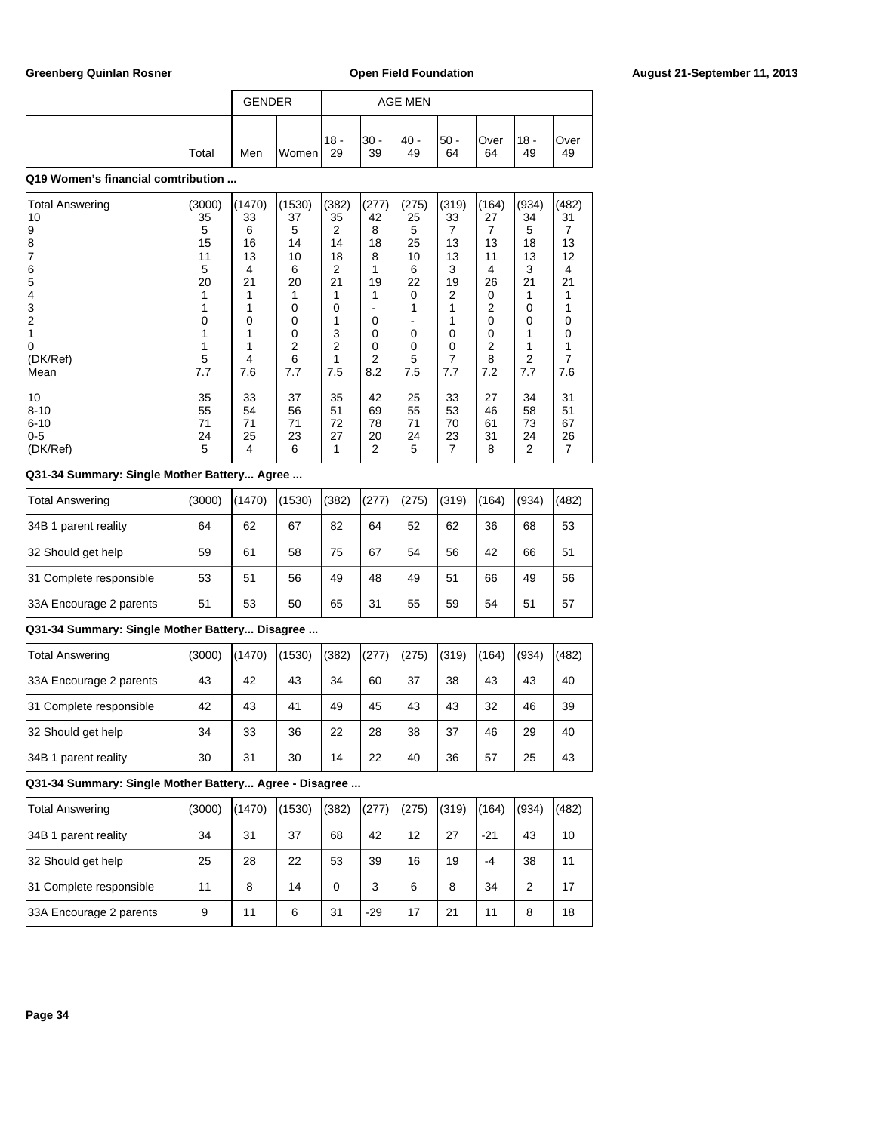|       | <b>GENDER</b> |  |               |             | <b>AGE MEN</b> |             |             |              |            |  |
|-------|---------------|--|---------------|-------------|----------------|-------------|-------------|--------------|------------|--|
| Total | Men<br>Women  |  | $118 -$<br>29 | l30 -<br>39 | - 40 <br>49    | l50 -<br>64 | lOver<br>64 | $18 -$<br>49 | Over<br>49 |  |

# **Q19 Women's financial comtribution ...**

| <b>Total Answering</b> | (3000) | (1470) | (1530) | (382) | (277)          | (275)    | (319) | (164) | (934) | (482) |
|------------------------|--------|--------|--------|-------|----------------|----------|-------|-------|-------|-------|
| 10                     | 35     | 33     | 37     | 35    | 42             | 25       | 33    | 27    | 34    | 31    |
| 9                      | 5      | 6      | 5      | 2     | 8              | 5        |       | 7     | 5     |       |
| 8                      | 15     | 16     | 14     | 14    | 18             | 25       | 13    | 13    | 18    | 13    |
|                        | 11     | 13     | 10     | 18    | 8              | 10       | 13    | 11    | 13    | 12    |
| 6                      | 5      | 4      | 6      | 2     |                | 6        | 3     | 4     | 3     | 4     |
| 5                      | 20     | 21     | 20     | 21    | 19             | 22       | 19    | 26    | 21    | 21    |
| 14                     |        |        |        |       | 1              | $\Omega$ | 2     | 0     | 1     |       |
| 3                      |        |        | 0      | 0     |                |          |       | 2     | 0     |       |
| $\overline{2}$         | 0      | 0      | 0      |       | 0              |          |       | 0     | 0     | Ω     |
|                        |        |        | 0      | 3     | 0              | 0        | 0     | 0     |       |       |
|                        |        |        | 2      | 2     | 0              | 0        | 0     | 2     |       |       |
| (DK/Ref)               | 5      | 4      | 6      |       | 2              | 5        | 7     | 8     | 2     |       |
| Mean                   | 7.7    | 7.6    | 7.7    | 7.5   | 8.2            | 7.5      | 7.7   | 7.2   | 7.7   | 7.6   |
| 10                     | 35     | 33     | 37     | 35    | 42             | 25       | 33    | 27    | 34    | 31    |
| 8--10                  | 55     | 54     | 56     | 51    | 69             | 55       | 53    | 46    | 58    | 51    |
| 6-10                   | 71     | 71     | 71     | 72    | 78             | 71       | 70    | 61    | 73    | 67    |
| $0-5$                  | 24     | 25     | 23     | 27    | 20             | 24       | 23    | 31    | 24    | 26    |
| (DK/Ref)               | 5      | 4      | 6      |       | $\overline{2}$ | 5        | 7     | 8     | 2     | 7     |
|                        |        |        |        |       |                |          |       |       |       |       |

### **Q31-34 Summary: Single Mother Battery... Agree ...**

| Total Answering         | (3000) | (1470) | (1530) | (382) | (277) | (275) | (319) | (164) | (934) | (482) |
|-------------------------|--------|--------|--------|-------|-------|-------|-------|-------|-------|-------|
| 34B 1 parent reality    | 64     | 62     | 67     | 82    | 64    | 52    | 62    | 36    | 68    | 53    |
| 32 Should get help      | 59     | 61     | 58     | 75    | 67    | 54    | 56    | 42    | 66    | 51    |
| 31 Complete responsible | 53     | 51     | 56     | 49    | 48    | 49    | 51    | 66    | 49    | 56    |
| 33A Encourage 2 parents | 51     | 53     | 50     | 65    | 31    | 55    | 59    | 54    | 51    | 57    |

# **Q31-34 Summary: Single Mother Battery... Disagree ...**

| Total Answering         | (3000) | (1470) | (1530) | (382) | (277) | (275) | (319) | (164) | (934) | (482) |
|-------------------------|--------|--------|--------|-------|-------|-------|-------|-------|-------|-------|
| 33A Encourage 2 parents | 43     | 42     | 43     | 34    | 60    | 37    | 38    | 43    | 43    | 40    |
| 31 Complete responsible | 42     | 43     | 41     | 49    | 45    | 43    | 43    | 32    | 46    | 39    |
| 32 Should get help      | 34     | 33     | 36     | 22    | 28    | 38    | 37    | 46    | 29    | 40    |
| 34B 1 parent reality    | 30     | 31     | 30     | 14    | 22    | 40    | 36    | 57    | 25    | 43    |

# **Q31-34 Summary: Single Mother Battery... Agree - Disagree ...**

| <b>Total Answering</b>  | (3000) | (1470) | (1530) | (382) | (277) | (275) | (319) | (164) | (934) | (482) |
|-------------------------|--------|--------|--------|-------|-------|-------|-------|-------|-------|-------|
| 34B 1 parent reality    | 34     | 31     | 37     | 68    | 42    | 12    | 27    | $-21$ | 43    | 10    |
| 32 Should get help      | 25     | 28     | 22     | 53    | 39    | 16    | 19    | $-4$  | 38    | 11    |
| 31 Complete responsible | 11     | 8      | 14     | 0     | 3     | 6     | 8     | 34    | 2     | 17    |
| 33A Encourage 2 parents | 9      | 11     | 6      | 31    | $-29$ | 17    | 21    | 11    | 8     | 18    |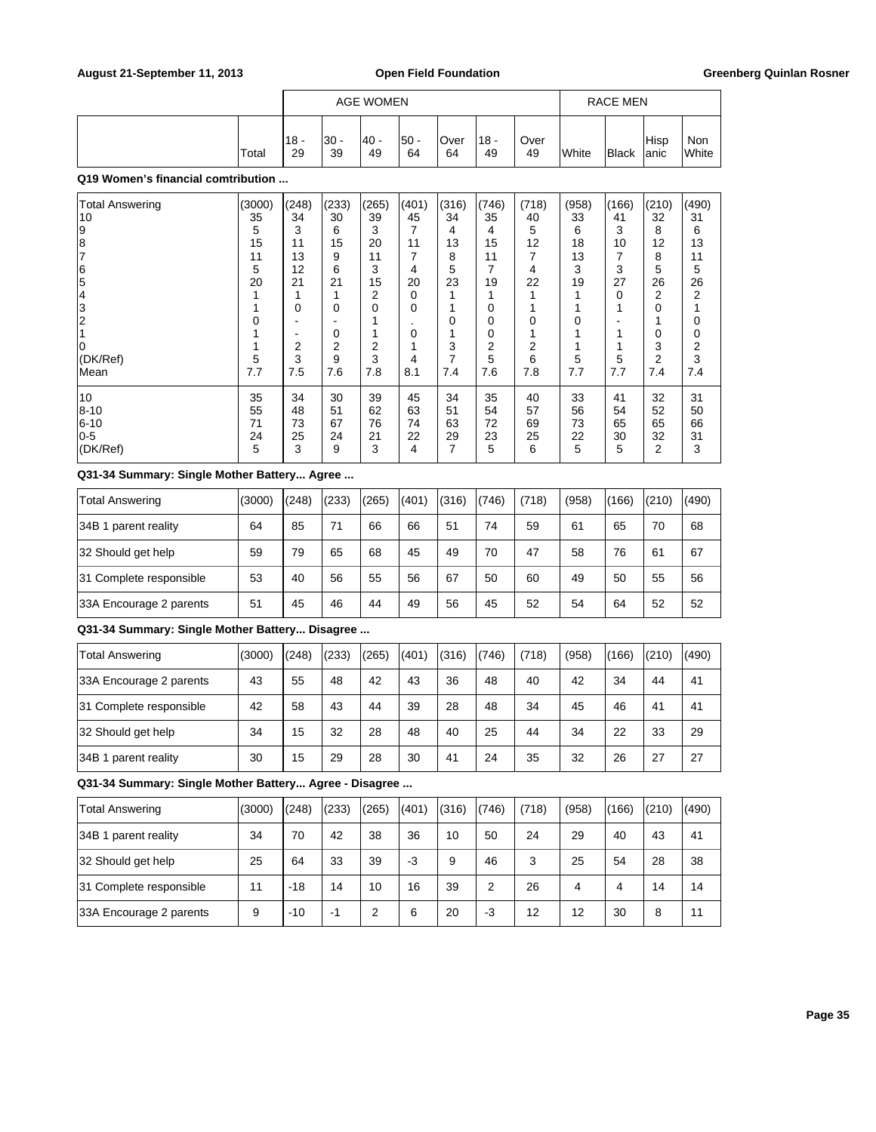|       |               | AGE WOMEN   |            |             |            |             |            |                | RACE MEN     |               |              |
|-------|---------------|-------------|------------|-------------|------------|-------------|------------|----------------|--------------|---------------|--------------|
| Total | $118 -$<br>29 | l30 -<br>39 | 40 -<br>49 | l50 -<br>64 | Over<br>64 | '18 -<br>49 | Over<br>49 | <b>I</b> White | <b>Black</b> | Hisp<br>lanic | Non<br>White |

### **Q19 Women's financial comtribution ...**

| <b>Total Answering</b> | (3000) | (248) | (233) | (265) | (401) | (316) | (746) | (718) | (958) | (166) | (210) | (490) |
|------------------------|--------|-------|-------|-------|-------|-------|-------|-------|-------|-------|-------|-------|
| 10                     | 35     | 34    | 30    | 39    | 45    | 34    | 35    | 40    | 33    | 41    | 32    | 31    |
| 19                     | 5      | 3     | 6     | 3     | 7     | 4     | 4     | 5     | 6     | 3     | 8     | 6     |
| 18                     | 15     | 11    | 15    | 20    | 11    | 13    | 15    | 12    | 18    | 10    | 12    | 13    |
|                        | 11     | 13    | 9     | 11    | 7     | 8     | 11    | 7     | 13    | 7     | 8     | 11    |
| ၊ြ                     | 5      | 12    | 6     | 3     | 4     | 5     | 7     | 4     | 3     | 3     | 5     | 5     |
| 5                      | 20     | 21    | 21    | 15    | 20    | 23    | 19    | 22    | 19    | 27    | 26    | 26    |
| 14                     |        |       |       | 2     | 0     |       |       |       |       | 0     | 2     | 2     |
| 13                     |        | 0     | 0     | 0     | 0     |       | 0     |       |       |       | 0     |       |
|                        |        |       |       |       |       | 0     | 0     | 0     | 0     |       |       | 0     |
|                        |        |       | 0     |       | 0     |       | 0     |       |       |       | 0     | 0     |
|                        |        | 2     | 2     | 2     |       | 3     | 2     | 2     |       |       | 3     | 2     |
| (DK/Ref)               | 5      | 3     | 9     | 3     | 4     | 7     | 5     | 6     | 5     | 5     | 2     | 3     |
| lMean                  | 7.7    | 7.5   | 7.6   | 7.8   | 8.1   | 7.4   | 7.6   | 7.8   | 7.7   | 7.7   | 7.4   | 7.4   |
| 10                     | 35     | 34    | 30    | 39    | 45    | 34    | 35    | 40    | 33    | 41    | 32    | 31    |
| $8 - 10$               | 55     | 48    | 51    | 62    | 63    | 51    | 54    | 57    | 56    | 54    | 52    | 50    |
| 6-10                   | 71     | 73    | 67    | 76    | 74    | 63    | 72    | 69    | 73    | 65    | 65    | 66    |
| 10-5                   | 24     | 25    | 24    | 21    | 22    | 29    | 23    | 25    | 22    | 30    | 32    | 31    |
| (DK/Ref)               | 5      | 3     | 9     | 3     | 4     | 7     | 5     | 6     | 5     | 5     | 2     | 3     |

# **Q31-34 Summary: Single Mother Battery... Agree ...**

| Total Answering         | (3000) | (248) | (233) | (265) | (401) | (316) | (746) | (718) | (958) | (166) | (210) | (490) |
|-------------------------|--------|-------|-------|-------|-------|-------|-------|-------|-------|-------|-------|-------|
| 34B 1 parent reality    | 64     | 85    | 71    | 66    | 66    | 51    | 74    | 59    | 61    | 65    | 70    | 68    |
| 32 Should get help      | 59     | 79    | 65    | 68    | 45    | 49    | 70    | 47    | 58    | 76    | 61    | 67    |
| 31 Complete responsible | 53     | 40    | 56    | 55    | 56    | 67    | 50    | 60    | 49    | 50    | 55    | 56    |
| 33A Encourage 2 parents | 51     | 45    | 46    | 44    | 49    | 56    | 45    | 52    | 54    | 64    | 52    | 52    |

# **Q31-34 Summary: Single Mother Battery... Disagree ...**

| Total Answering         | (3000) | (248) | (233) | (265) | (401) | (316) | (746) | (718) | (958) | (166) | (210) | (490) |
|-------------------------|--------|-------|-------|-------|-------|-------|-------|-------|-------|-------|-------|-------|
| 33A Encourage 2 parents | 43     | 55    | 48    | 42    | 43    | 36    | 48    | 40    | 42    | 34    | 44    | 41    |
| 31 Complete responsible | 42     | 58    | 43    | 44    | 39    | 28    | 48    | 34    | 45    | 46    | 41    | 41    |
| 32 Should get help      | 34     | 15    | 32    | 28    | 48    | 40    | 25    | 44    | 34    | 22    | 33    | 29    |
| 34B 1 parent reality    | 30     | 15    | 29    | 28    | 30    | 41    | 24    | 35    | 32    | 26    | 27    | 27    |

**Q31-34 Summary: Single Mother Battery... Agree - Disagree ...**

| Total Answering         | (3000) | (248) | (233) | (265) | (401) | (316) | (746) | (718) | (958) | (166) | (210) | (490) |
|-------------------------|--------|-------|-------|-------|-------|-------|-------|-------|-------|-------|-------|-------|
| 34B 1 parent reality    | 34     | 70    | 42    | 38    | 36    | 10    | 50    | 24    | 29    | 40    | 43    | 41    |
| 32 Should get help      | 25     | 64    | 33    | 39    | -3    | 9     | 46    | 3     | 25    | 54    | 28    | 38    |
| 31 Complete responsible | 11     | $-18$ | 14    | 10    | 16    | 39    | 2     | 26    | 4     | 4     | 14    | 14    |
| 33A Encourage 2 parents | 9      | $-10$ | -1    | 2     | 6     | 20    | -3    | 12    | 12    | 30    | 8     | 11    |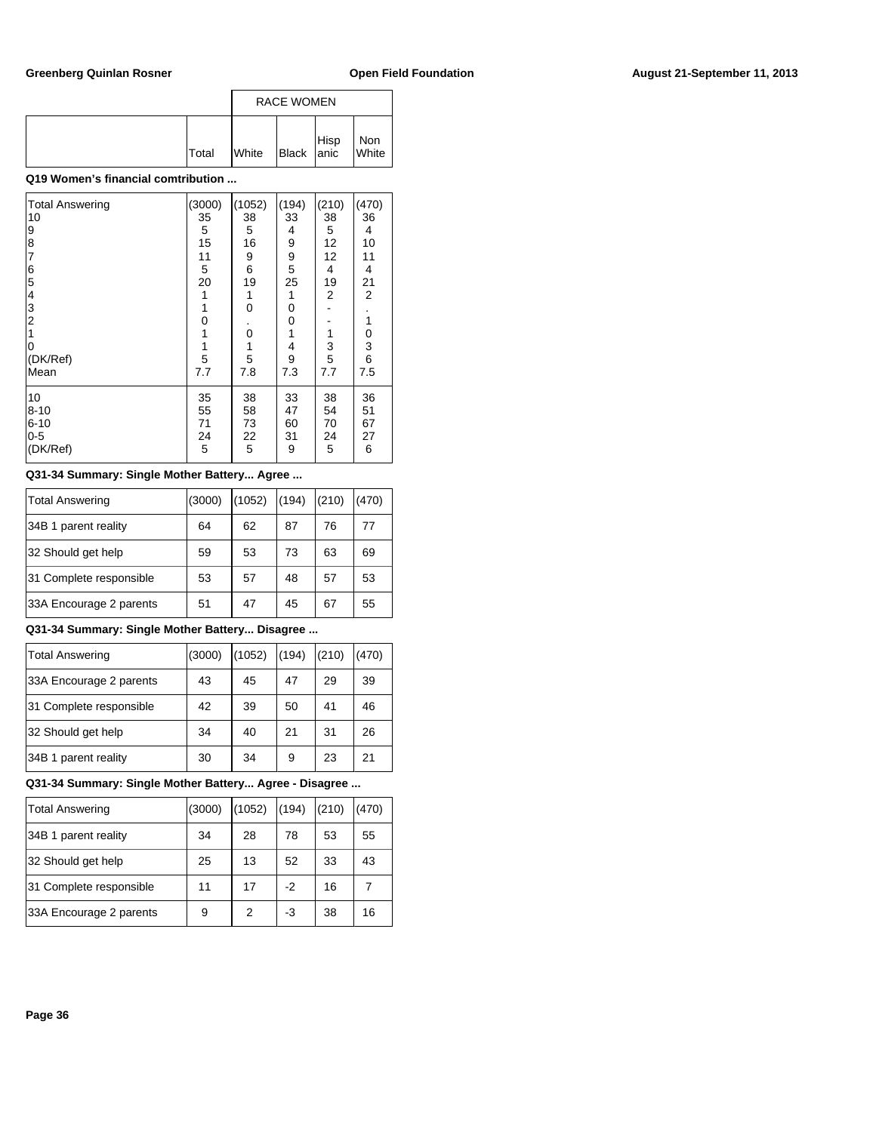|       | <b>RACE WOMEN</b> |            |      |              |  |
|-------|-------------------|------------|------|--------------|--|
| Total | <b>I</b> White    | Black anic | Hisp | Non<br>White |  |

# **Q19 Women's financial comtribution ...**

| <b>Total Answering</b>       | (3000)      | (1052)      | (194)       | (210)       | (470)          |
|------------------------------|-------------|-------------|-------------|-------------|----------------|
| 10                           | 35          | 38          | 33          | 38          | 36             |
| 9                            | 5           | 5           | 4           | 5           | 4              |
| 8                            | 15          | 16          | 9           | 12          | 10             |
| $\overline{7}$               | 11          | 9           | 9           | 12          | 11             |
| 6                            | 5           | 6           | 5           | 4           | 4              |
| 5                            | 20          | 19          | 25          | 19          | 21             |
| 4                            | 1           | 1           | 1           | 2           | $\overline{2}$ |
| 3<br>$\overline{\mathbf{c}}$ | 1<br>0      | 0           | 0<br>0      |             | 1              |
| 0<br>(DK/Ref)                | 1<br>1<br>5 | 0<br>1<br>5 | 1<br>4<br>9 | 1<br>3<br>5 | 0<br>3<br>6    |
| Mean                         | 7.7         | 7.8         | 7.3         | 7.7         | 7.5            |
| 10                           | 35          | 38          | 33          | 38          | 36             |
| $8 - 10$                     | 55          | 58          | 47          | 54          | 51             |
| $6 - 10$                     | 71          | 73          | 60          | 70          | 67             |
| $0-5$                        | 24          | 22          | 31          | 24          | 27             |
| (DK/Ref)                     | 5           | 5           | 9           | 5           | 6              |

### **Q31-34 Summary: Single Mother Battery... Agree ...**

| Total Answering         | (3000) | (1052) | (194) | (210) | (470) |
|-------------------------|--------|--------|-------|-------|-------|
| 34B 1 parent reality    | 64     | 62     | 87    | 76    | 77    |
| 32 Should get help      | 59     | 53     | 73    | 63    | 69    |
| 31 Complete responsible | 53     | 57     | 48    | 57    | 53    |
| 33A Encourage 2 parents | 51     | 47     | 45    | 67    | 55    |

# **Q31-34 Summary: Single Mother Battery... Disagree ...**

| Total Answering         | (3000) | (1052) | (194) | (210) | (470) |
|-------------------------|--------|--------|-------|-------|-------|
| 33A Encourage 2 parents | 43     | 45     | 47    | 29    | 39    |
| 31 Complete responsible | 42     | 39     | 50    | 41    | 46    |
| 32 Should get help      | 34     | 40     | 21    | 31    | 26    |
| 34B 1 parent reality    | 30     | 34     | 9     | 23    | 21    |

# **Q31-34 Summary: Single Mother Battery... Agree - Disagree ...**

| Total Answering         | (3000) | (1052) | (194) | (210) | (470) |
|-------------------------|--------|--------|-------|-------|-------|
| 34B 1 parent reality    | 34     | 28     | 78    | 53    | 55    |
| 32 Should get help      | 25     | 13     | 52    | 33    | 43    |
| 31 Complete responsible | 11     | 17     | $-2$  | 16    |       |
| 33A Encourage 2 parents | 9      | 2      | -3    | 38    | 16    |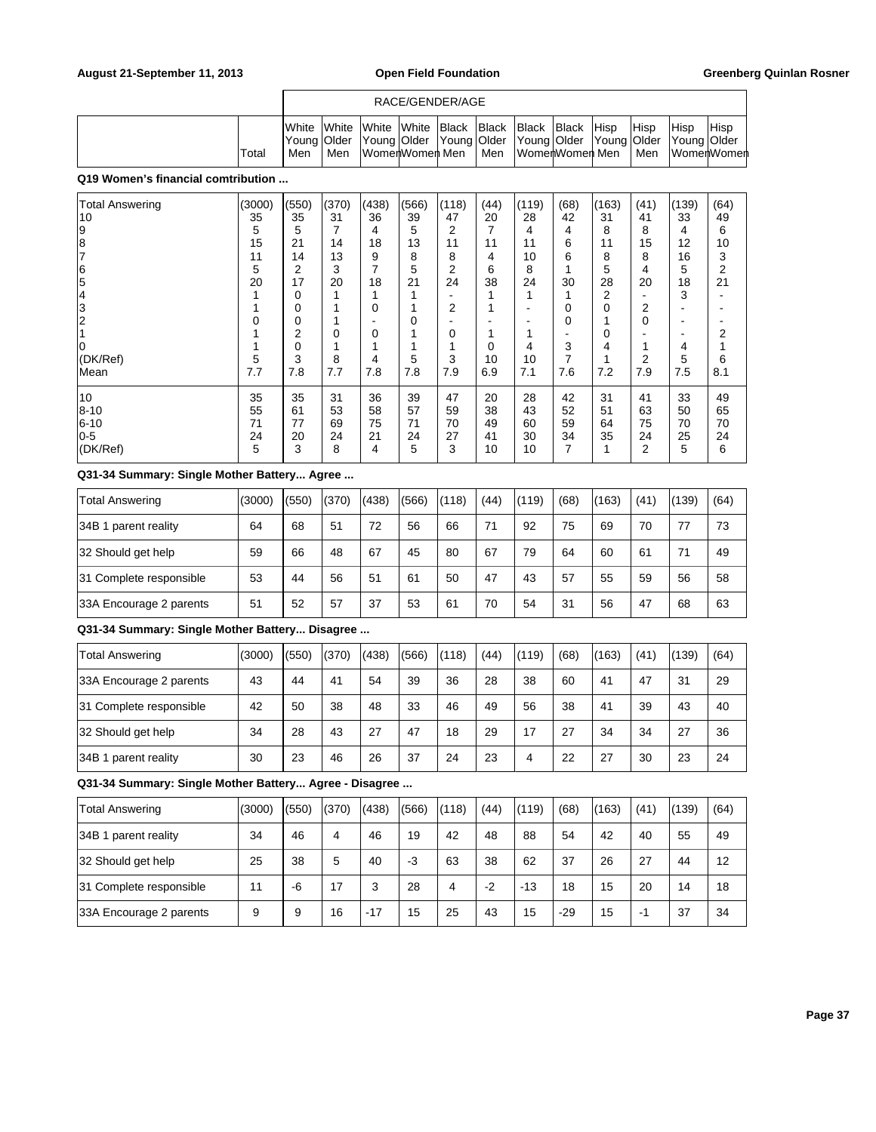### RACE/GENDER/AGE

|  |        |     |       |                   |  |       | <b>I</b> White White White White Black Black Black Black Hisp                                  |  | <b>Hisp</b> | Hisp | <b>Hisp</b>   |
|--|--------|-----|-------|-------------------|--|-------|------------------------------------------------------------------------------------------------|--|-------------|------|---------------|
|  |        |     |       |                   |  |       | [Young   Older   Young   Older   Young   Older   Young   Older   Young   Older   Young   Older |  |             |      |               |
|  | 'Total | Men | l Men | lWomerlWomerl Men |  | l Men | ∣WomerlWomerl Men ∣Men                                                                         |  |             |      | ∣WomerlWomerl |

### **Q19 Women's financial comtribution ...**

| <b>Total Answering</b> | (3000) | (550) | (370)    | (438) | (566) | (118)    | (44) | (119) | (68) | (163) | (41) | (139) | (64) |
|------------------------|--------|-------|----------|-------|-------|----------|------|-------|------|-------|------|-------|------|
| 10                     | 35     | 35    | 31       | 36    | 39    | 47       | 20   | 28    | 42   | 31    | 41   | 33    | 49   |
| 19                     | 5      | 5     |          | 4     | 5     | 2        |      | 4     | 4    | 8     | 8    | 4     | 6    |
| 18                     | 15     | 21    | 14       | 18    | 13    | 11       | 11   | 11    | 6    | 11    | 15   | 12    | 10   |
|                        | 11     | 14    | 13       | 9     | 8     | 8        | 4    | 10    | 6    | 8     | 8    | 16    | 3    |
| 16                     | 5      | 2     | 3        | 7     | 5     | 2        | 6    | 8     |      | 5     | 4    | 5     | 2    |
| 5                      | 20     | 17    | 20       | 18    | 21    | 24       | 38   | 24    | 30   | 28    | 20   | 18    | 21   |
|                        |        | 0     |          |       |       |          |      |       |      | 2     |      | 3     |      |
| 3                      |        | 0     |          | 0     |       | 2        |      |       | 0    | 0     | 2    | ۰     |      |
| $^{\prime}2$           | 0      | 0     |          | -     | 0     |          |      |       | 0    |       | 0    | ۰     |      |
|                        |        | 2     | $\Omega$ | 0     |       | $\Omega$ |      |       |      | 0     |      |       | 2    |
| 0                      |        | 0     |          |       |       |          | 0    | 4     | 3    | 4     | 1    | 4     |      |
| (DK/Ref)               | 5      | 3     | 8        | 4     | 5     | 3        | 10   | 10    |      |       | 2    | 5     | 6    |
| Mean                   | 7.7    | 7.8   | 7.7      | 7.8   | 7.8   | 7.9      | 6.9  | 7.1   | 7.6  | 7.2   | 7.9  | 7.5   | 8.1  |
| 10                     | 35     | 35    | 31       | 36    | 39    | 47       | 20   | 28    | 42   | 31    | 41   | 33    | 49   |
| 8-10                   | 55     | 61    | 53       | 58    | 57    | 59       | 38   | 43    | 52   | 51    | 63   | 50    | 65   |
| 6-10                   | 71     | 77    | 69       | 75    | 71    | 70       | 49   | 60    | 59   | 64    | 75   | 70    | 70   |
| 0-5                    | 24     | 20    | 24       | 21    | 24    | 27       | 41   | 30    | 34   | 35    | 24   | 25    | 24   |
| (DK/Ref)               | 5      | 3     | 8        | 4     | 5     | 3        | 10   | 10    | 7    |       | 2    | 5     | 6    |

### **Q31-34 Summary: Single Mother Battery... Agree ...**

| <b>Total Answering</b>  | (3000) | (550) | (370) | (438) | (566) | (118) | (44) | (119) | (68) | (163) | (41) | (139) | (64) |
|-------------------------|--------|-------|-------|-------|-------|-------|------|-------|------|-------|------|-------|------|
| 34B 1 parent reality    | 64     | 68    | 51    | 72    | 56    | 66    | 71   | 92    | 75   | 69    | 70   | 77    | 73   |
| 32 Should get help      | 59     | 66    | 48    | 67    | 45    | 80    | 67   | 79    | 64   | 60    | 61   | 71    | 49   |
| 31 Complete responsible | 53     | 44    | 56    | 51    | 61    | 50    | 47   | 43    | 57   | 55    | 59   | 56    | 58   |
| 33A Encourage 2 parents | 51     | 52    | 57    | 37    | 53    | 61    | 70   | 54    | 31   | 56    | 47   | 68    | 63   |

### **Q31-34 Summary: Single Mother Battery... Disagree ...**

| <b>Total Answering</b>  | (3000) | (550) | (370) | (438) | (566) | (118) | (44) | (119) | (68) | (163) | (41) | (139) | (64) |
|-------------------------|--------|-------|-------|-------|-------|-------|------|-------|------|-------|------|-------|------|
| 33A Encourage 2 parents | 43     | 44    | 41    | 54    | 39    | 36    | 28   | 38    | 60   | 41    | 47   | 31    | 29   |
| 31 Complete responsible | 42     | 50    | 38    | 48    | 33    | 46    | 49   | 56    | 38   | 41    | 39   | 43    | 40   |
| 32 Should get help      | 34     | 28    | 43    | 27    | 47    | 18    | 29   | 17    | 27   | 34    | 34   | 27    | 36   |
| 34B 1 parent reality    | 30     | 23    | 46    | 26    | 37    | 24    | 23   | 4     | 22   | 27    | 30   | 23    | 24   |

| <b>Total Answering</b>  | (3000) | (550) | (370) | (438) | (566) | (118) | (44) | (119) | (68)  | (163) | (41) | (139) | (64) |
|-------------------------|--------|-------|-------|-------|-------|-------|------|-------|-------|-------|------|-------|------|
| 34B 1 parent reality    | 34     | 46    | 4     | 46    | 19    | 42    | 48   | 88    | 54    | 42    | 40   | 55    | 49   |
| 32 Should get help      | 25     | 38    | 5     | 40    | -3    | 63    | 38   | 62    | 37    | 26    | 27   | 44    | 12   |
| 31 Complete responsible | 11     | -6    | 17    | 3     | 28    | 4     | $-2$ | $-13$ | 18    | 15    | 20   | 14    | 18   |
| 33A Encourage 2 parents | 9      | 9     | 16    | $-17$ | 15    | 25    | 43   | 15    | $-29$ | 15    | -1   | 37    | 34   |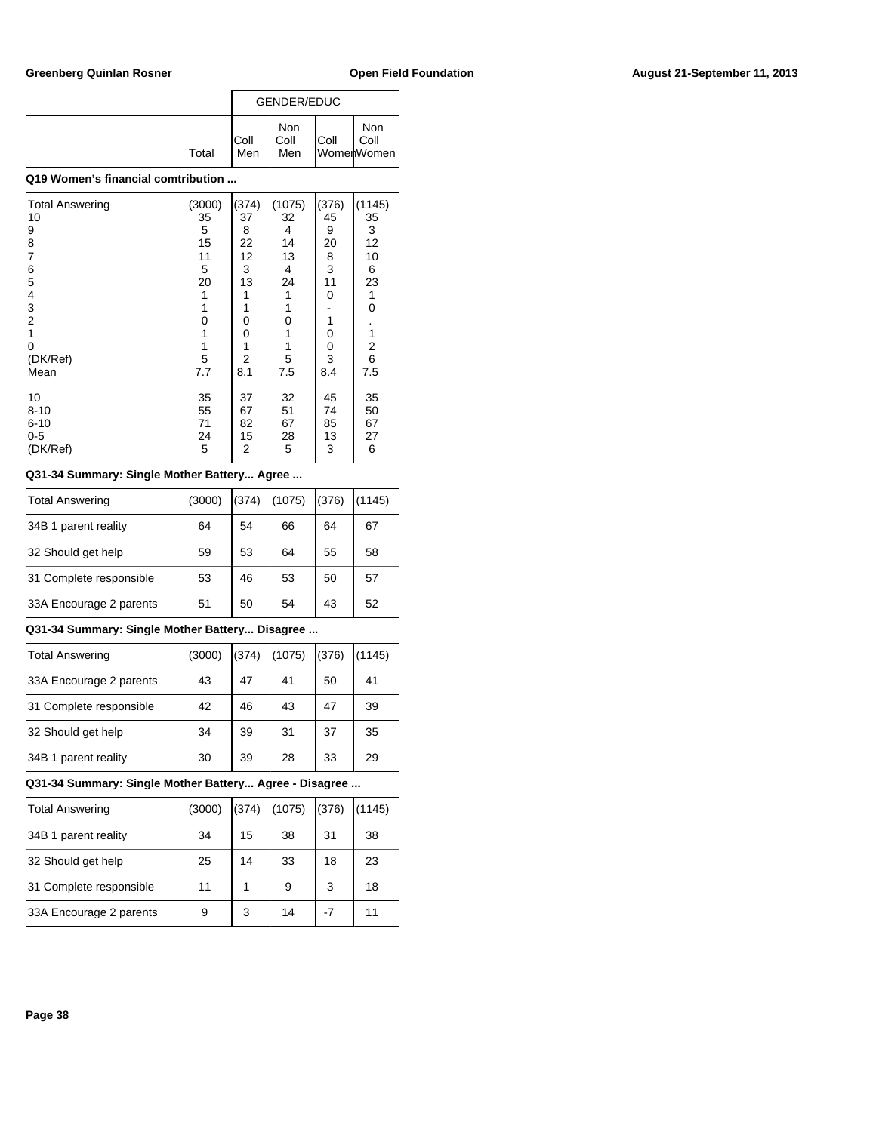|       |              | GENDER/EDUC               |      |                           |
|-------|--------------|---------------------------|------|---------------------------|
| Total | IColl<br>Men | <b>Non</b><br>Coll<br>Men | Coll | Non<br>Coll<br>WomenWomen |

| <b>Total Answering</b>                | (3000) | (374) | (1075) | (376) | (1145)        |
|---------------------------------------|--------|-------|--------|-------|---------------|
| 10                                    | 35     | 37    | 32     | 45    | 35            |
| 9                                     | 5      | 8     | 4      | 9     | 3             |
| 8                                     | 15     | 22    | 14     | 20    | 12            |
| $\overline{7}$                        | 11     | 12    | 13     | 8     | 10            |
| $\begin{array}{c} 6 \\ 5 \end{array}$ | 5      | 3     | 4      | 3     | 6             |
|                                       | 20     | 13    | 24     | 11    | 23            |
| $\vert 4$                             | 1      | 1     | 1      | 0     | 1             |
| 3                                     | 1      | 1     | 1      |       | 0             |
| $\overline{\mathbf{c}}$               | 0      | 0     | 0      | 1     |               |
|                                       | 1      | 0     | 1      | 0     | 1             |
| 0                                     | 1      | 1     | 1      | 0     | $\frac{2}{6}$ |
| (DK/Ref)                              | 5      | 2     | 5      | 3     |               |
| Mean                                  | 7.7    | 8.1   | 7.5    | 8.4   | 7.5           |
| 10                                    | 35     | 37    | 32     | 45    | 35            |
| $8 - 10$                              | 55     | 67    | 51     | 74    | 50            |
| $6 - 10$                              | 71     | 82    | 67     | 85    | 67            |
| $0-5$                                 | 24     | 15    | 28     | 13    | 27            |
| (DK/Ref)                              | 5      | 2     | 5      | 3     | 6             |
|                                       |        |       |        |       |               |

### **Q31-34 Summary: Single Mother Battery... Agree ...**

| Total Answering         | (3000) | (374) | (1075) | (376) | (1145) |
|-------------------------|--------|-------|--------|-------|--------|
| 34B 1 parent reality    | 64     | 54    | 66     | 64    | 67     |
| 32 Should get help      | 59     | 53    | 64     | 55    | 58     |
| 31 Complete responsible | 53     | 46    | 53     | 50    | 57     |
| 33A Encourage 2 parents | 51     | 50    | 54     | 43    | 52     |

## **Q31-34 Summary: Single Mother Battery... Disagree ...**

| Total Answering         | (3000) | (374) | (1075) | (376) | (1145) |
|-------------------------|--------|-------|--------|-------|--------|
| 33A Encourage 2 parents | 43     | 47    | 41     | 50    | 41     |
| 31 Complete responsible | 42     | 46    | 43     | 47    | 39     |
| 32 Should get help      | 34     | 39    | 31     | 37    | 35     |
| 34B 1 parent reality    | 30     | 39    | 28     | 33    | 29     |

| Total Answering         | (3000) | (374) | (1075) | (376) | (1145) |
|-------------------------|--------|-------|--------|-------|--------|
| 34B 1 parent reality    | 34     | 15    | 38     | 31    | 38     |
| 32 Should get help      | 25     | 14    | 33     | 18    | 23     |
| 31 Complete responsible | 11     |       | 9      | 3     | 18     |
| 33A Encourage 2 parents | 9      | 3     | 14     | -7    | 11     |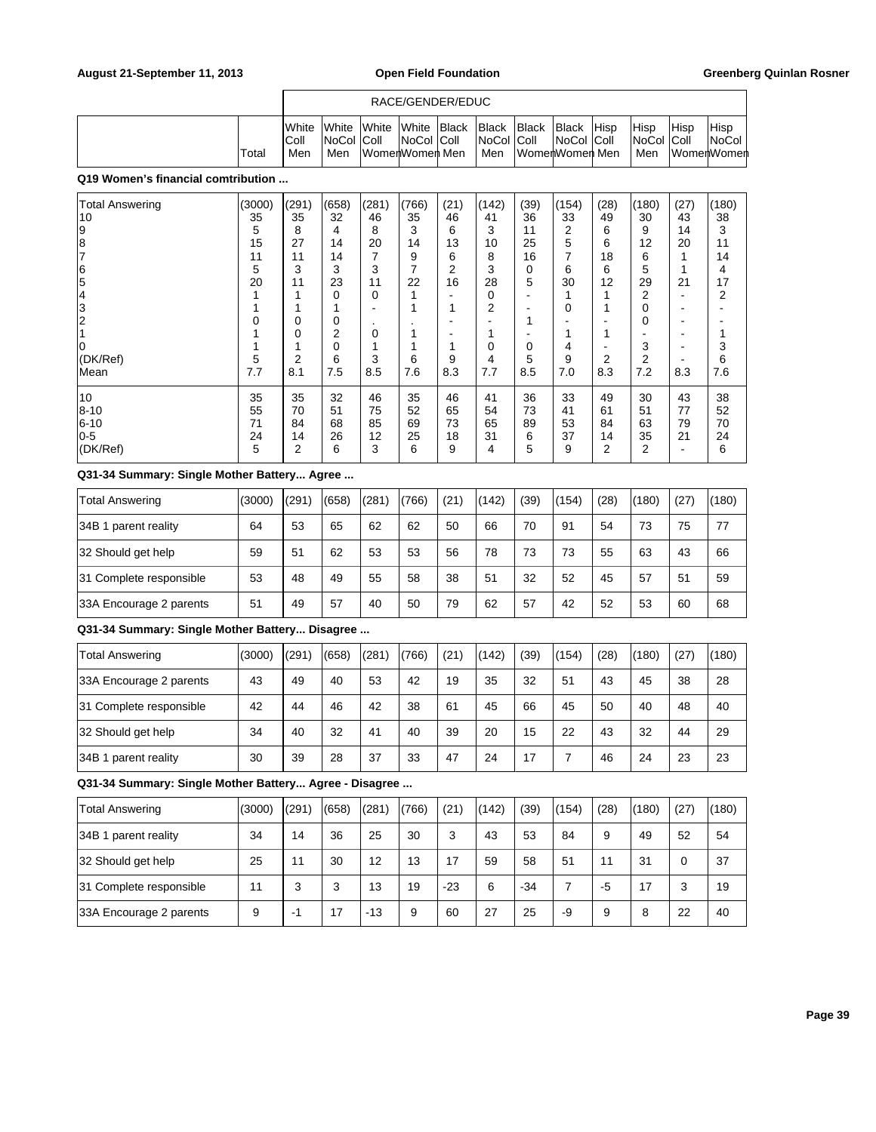### RACE/GENDER/EDUC

| 'Total                              | IWhite<br>IColl<br>Men | <b>IWhite IWhite</b><br>INoCol IColl<br>Men | WomenWomen Men | White Black<br>NoCol Coll | Black Black<br><b>INoCol Coll</b><br>Men | WomenWomen Men | <b>Black</b><br>∣NoCol ∣Coll | <b>Hisp</b> | <b>Hisp</b><br>NoCol Coll<br>Men | Hisp<br>⊺WomerhWomerh | Hisp<br><b>NoCol</b> |
|-------------------------------------|------------------------|---------------------------------------------|----------------|---------------------------|------------------------------------------|----------------|------------------------------|-------------|----------------------------------|-----------------------|----------------------|
| 040 Western Lines and London United |                        |                                             |                |                           |                                          |                |                              |             |                                  |                       |                      |

### **Q19 Women's financial comtribution ...**

| <b>Total Answering</b> | (3000) | (291) | (658) | (281) | (766) | (21) | (142) | (39) | (154) | (28) | (180) | (27) | (180) |
|------------------------|--------|-------|-------|-------|-------|------|-------|------|-------|------|-------|------|-------|
| 10                     | 35     | 35    | 32    | 46    | 35    | 46   | 41    | 36   | 33    | 49   | 30    | 43   | 38    |
| 9                      | 5      | 8     | 4     | 8     | 3     | 6    | 3     | 11   | 2     | 6    | 9     | 14   | 3     |
| 18                     | 15     | 27    | 14    | 20    | 14    | 13   | 10    | 25   | 5     | 6    | 12    | 20   | 11    |
|                        | 11     | 11    | 14    | 7     | 9     | 6    | 8     | 16   |       | 18   | 6     |      | 14    |
| 6                      | 5      | 3     | 3     | 3     | 7     | 2    | 3     | 0    | 6     | 6    | 5     |      | 4     |
| 5                      | 20     | 11    | 23    | 11    | 22    | 16   | 28    | 5    | 30    | 12   | 29    | 21   | 17    |
| 4                      |        |       | 0     | 0     |       |      | 0     |      |       |      | 2     | ٠    | 2     |
| 3                      |        |       |       | ۰     |       | 1    | 2     |      | 0     |      | 0     |      |       |
| 2                      | 0      | 0     | 0     | ٠     |       |      | -     |      |       | -    | 0     | -    |       |
|                        |        | 0     | 2     | 0     |       |      |       |      |       |      |       |      |       |
| 0                      |        |       | 0     |       |       | 1    | 0     | 0    | 4     | -    | 3     | ۰    | 3     |
| (DK/Ref)               | 5      | 2     | 6     | 3     | 6     | 9    | 4     | 5    | 9     | 2    | 2     |      | 6     |
| Mean                   | 7.7    | 8.1   | 7.5   | 8.5   | 7.6   | 8.3  | 7.7   | 8.5  | 7.0   | 8.3  | 7.2   | 8.3  | 7.6   |
| 10                     | 35     | 35    | 32    | 46    | 35    | 46   | 41    | 36   | 33    | 49   | 30    | 43   | 38    |
| 8-10                   | 55     | 70    | 51    | 75    | 52    | 65   | 54    | 73   | 41    | 61   | 51    | 77   | 52    |
| $6 - 10$               | 71     | 84    | 68    | 85    | 69    | 73   | 65    | 89   | 53    | 84   | 63    | 79   | 70    |
| 0-5                    | 24     | 14    | 26    | 12    | 25    | 18   | 31    | 6    | 37    | 14   | 35    | 21   | 24    |
| (DK/Ref)               | 5      | 2     | 6     | 3     | 6     | 9    | 4     | 5    | 9     | 2    | 2     | -    | 6     |

### **Q31-34 Summary: Single Mother Battery... Agree ...**

| <b>Total Answering</b>  | (3000) | (291) | (658) | (281) | (766) | (21) | (142) | (39) | (154) | (28) | (180) | (27) | (180) |
|-------------------------|--------|-------|-------|-------|-------|------|-------|------|-------|------|-------|------|-------|
| 34B 1 parent reality    | 64     | 53    | 65    | 62    | 62    | 50   | 66    | 70   | 91    | 54   | 73    | 75   | 77    |
| 32 Should get help      | 59     | 51    | 62    | 53    | 53    | 56   | 78    | 73   | 73    | 55   | 63    | 43   | 66    |
| 31 Complete responsible | 53     | 48    | 49    | 55    | 58    | 38   | 51    | 32   | 52    | 45   | 57    | 51   | 59    |
| 33A Encourage 2 parents | 51     | 49    | 57    | 40    | 50    | 79   | 62    | 57   | 42    | 52   | 53    | 60   | 68    |

## **Q31-34 Summary: Single Mother Battery... Disagree ...**

| <b>Total Answering</b>  | (3000) | (291) | (658) | (281) | (766) | (21) | (142) | (39) | (154) | (28) | (180) | (27) | (180) |
|-------------------------|--------|-------|-------|-------|-------|------|-------|------|-------|------|-------|------|-------|
| 33A Encourage 2 parents | 43     | 49    | 40    | 53    | 42    | 19   | 35    | 32   | 51    | 43   | 45    | 38   | 28    |
| 31 Complete responsible | 42     | 44    | 46    | 42    | 38    | 61   | 45    | 66   | 45    | 50   | 40    | 48   | 40    |
| 32 Should get help      | 34     | 40    | 32    | 41    | 40    | 39   | 20    | 15   | 22    | 43   | 32    | 44   | 29    |
| 34B 1 parent reality    | 30     | 39    | 28    | 37    | 33    | 47   | 24    | 17   |       | 46   | 24    | 23   | 23    |

| Total Answering         | (3000) | (291) | (658) | (281) | (766) | (21)  | (142) | (39)  | (154) | (28) | (180) | (27) | (180) |
|-------------------------|--------|-------|-------|-------|-------|-------|-------|-------|-------|------|-------|------|-------|
| 34B 1 parent reality    | 34     | 14    | 36    | 25    | 30    | 3     | 43    | 53    | 84    | 9    | 49    | 52   | 54    |
| 32 Should get help      | 25     | 11    | 30    | 12    | 13    | 17    | 59    | 58    | 51    | 11   | 31    | 0    | 37    |
| 31 Complete responsible | 11     | 3     | 3     | 13    | 19    | $-23$ | 6     | $-34$ |       | $-5$ | 17    | 3    | 19    |
| 33A Encourage 2 parents | 9      | -1    | 17    | $-13$ | 9     | 60    | 27    | 25    | -9    | 9    | 8     | 22   | 40    |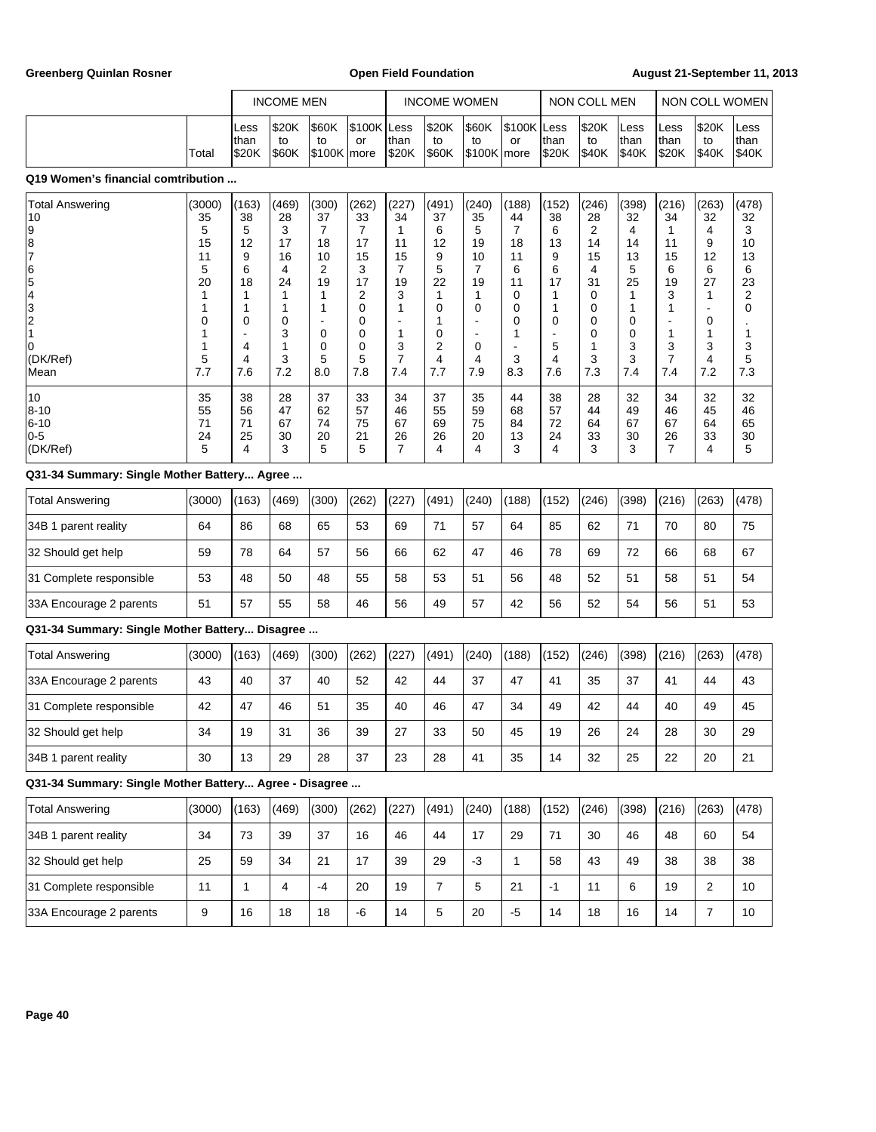**Greenberg Quinlan Rosner Open Field Foundation August 21-September 11, 2013**

|                                                                         |                                                         | <b>INCOME MEN</b>                                     |                                                             |                                                                                         |                                                                                    | <b>INCOME WOMEN</b>                                    |                                                            |                                                             | NON COLL MEN                                                             |                                                       |                                                             | NON COLL WOMEN                                              |                                                                                    |                                                                         |                                                        |
|-------------------------------------------------------------------------|---------------------------------------------------------|-------------------------------------------------------|-------------------------------------------------------------|-----------------------------------------------------------------------------------------|------------------------------------------------------------------------------------|--------------------------------------------------------|------------------------------------------------------------|-------------------------------------------------------------|--------------------------------------------------------------------------|-------------------------------------------------------|-------------------------------------------------------------|-------------------------------------------------------------|------------------------------------------------------------------------------------|-------------------------------------------------------------------------|--------------------------------------------------------|
|                                                                         |                                                         |                                                       |                                                             |                                                                                         |                                                                                    |                                                        |                                                            |                                                             |                                                                          |                                                       |                                                             |                                                             |                                                                                    |                                                                         |                                                        |
|                                                                         | Total                                                   | Less<br>than<br>\$20K                                 | \$20K<br>to<br>\$60K                                        | \$60K<br>to<br>$$100K$ more                                                             | \$100K Less<br>or                                                                  | than<br><b>S20K</b>                                    | \$20K<br>to<br>\$60K                                       | \$60K<br>to<br>\$100K   more                                | \$100K Less<br>or                                                        | than<br>\$20K                                         | \$20K<br>to<br>\$40K                                        | Less<br>than<br>\$40K                                       | Less<br>than<br>\$20K                                                              | \$20K<br>to<br>\$40K                                                    | Less<br>than<br>\$40K                                  |
| Q19 Women's financial comtribution                                      |                                                         |                                                       |                                                             |                                                                                         |                                                                                    |                                                        |                                                            |                                                             |                                                                          |                                                       |                                                             |                                                             |                                                                                    |                                                                         |                                                        |
| <b>Total Answering</b><br>10<br>9<br>8<br> 7<br> 6<br>5432<br>$\vert$ 1 | (3000)<br>35<br>5<br>15<br>11<br>5<br>20<br>1<br>1<br>0 | (163)<br>38<br>5<br>12<br>9<br>6<br>18<br>1<br>1<br>0 | (469)<br>28<br>3<br>17<br>16<br>4<br>24<br>1<br>1<br>0<br>3 | (300)<br>37<br>$\overline{7}$<br>18<br>10<br>2<br>19<br>1<br>$\mathbf 1$<br>$\mathbf 0$ | (262)<br>33<br>$\overline{7}$<br>17<br>15<br>3<br>17<br>2<br>$\mathbf 0$<br>0<br>0 | (227)<br>34<br>1<br>11<br>15<br>7<br>19<br>3<br>1<br>1 | (491)<br>37<br>6<br>12<br>9<br>5<br>22<br>1<br>0<br>1<br>0 | (240)<br>35<br>5<br>19<br>10<br>7<br>19<br>1<br>$\mathbf 0$ | (188)<br>44<br>$\overline{7}$<br>18<br>11<br>6<br>11<br>0<br>0<br>0<br>1 | (152)<br>38<br>6<br>13<br>9<br>6<br>17<br>1<br>1<br>0 | (246)<br>28<br>2<br>14<br>15<br>4<br>31<br>0<br>0<br>0<br>0 | (398)<br>32<br>4<br>14<br>13<br>5<br>25<br>1<br>1<br>0<br>0 | (216)<br>34<br>1<br>11<br>15<br>6<br>19<br>3<br>$\mathbf{1}$<br>÷,<br>$\mathbf{1}$ | (263)<br>32<br>4<br>9<br>12<br>6<br>27<br>1<br>$\blacksquare$<br>0<br>1 | (478)<br>32<br>3<br>10<br>13<br>6<br>23<br>2<br>0<br>1 |
| 0<br>(DK/Ref)<br>Mean                                                   | 1<br>5<br>7.7                                           | 4<br>4<br>7.6                                         | 1<br>3<br>7.2                                               | $\mathbf 0$<br>5<br>8.0                                                                 | $\mathbf 0$<br>5<br>7.8                                                            | 3<br>7<br>7.4                                          | 2<br>4<br>7.7                                              | $\mathbf 0$<br>4<br>7.9                                     | 3<br>8.3                                                                 | 5<br>4<br>7.6                                         | 1<br>3<br>7.3                                               | 3<br>3<br>7.4                                               | 3<br>$\overline{7}$<br>7.4                                                         | 3<br>4<br>7.2                                                           | 3<br>5<br>7.3                                          |
| 10<br>$8 - 10$<br>$6 - 10$<br>$0 - 5$<br>(DK/Ref)                       | 35<br>55<br>71<br>24<br>5                               | 38<br>56<br>71<br>25<br>4                             | 28<br>47<br>67<br>30<br>3                                   | 37<br>62<br>74<br>20<br>5                                                               | 33<br>57<br>75<br>21<br>5                                                          | 34<br>46<br>67<br>26<br>7                              | 37<br>55<br>69<br>26<br>4                                  | 35<br>59<br>75<br>20<br>4                                   | 44<br>68<br>84<br>13<br>3                                                | 38<br>57<br>72<br>24<br>4                             | 28<br>44<br>64<br>33<br>3                                   | 32<br>49<br>67<br>30<br>3                                   | 34<br>46<br>67<br>26<br>$\overline{7}$                                             | 32<br>45<br>64<br>33<br>4                                               | 32<br>46<br>65<br>30<br>5                              |
| Q31-34 Summary: Single Mother Battery Agree                             |                                                         |                                                       |                                                             |                                                                                         |                                                                                    |                                                        |                                                            |                                                             |                                                                          |                                                       |                                                             |                                                             |                                                                                    |                                                                         |                                                        |
| <b>Total Answering</b>                                                  | (3000)                                                  | (163)                                                 | (469)                                                       | (300)                                                                                   | (262)                                                                              | (227)                                                  | (491)                                                      | (240)                                                       | (188)                                                                    | (152)                                                 | (246)                                                       | (398)                                                       | (216)                                                                              | (263)                                                                   | (478)                                                  |
| 34B 1 parent reality                                                    | 64                                                      | 86                                                    | 68                                                          | 65                                                                                      | 53                                                                                 | 69                                                     | 71                                                         | 57                                                          | 64                                                                       | 85                                                    | 62                                                          | 71                                                          | 70                                                                                 | 80                                                                      | 75                                                     |
| 32 Should get help                                                      | 59                                                      | 78                                                    | 64                                                          | 57                                                                                      | 56                                                                                 | 66                                                     | 62                                                         | 47                                                          | 46                                                                       | 78                                                    | 69                                                          | 72                                                          | 66                                                                                 | 68                                                                      | 67                                                     |
| 31 Complete responsible                                                 | 53                                                      | 48                                                    | 50                                                          | 48                                                                                      | 55                                                                                 | 58                                                     | 53                                                         | 51                                                          | 56                                                                       | 48                                                    | 52                                                          | 51                                                          | 58                                                                                 | 51                                                                      | 54                                                     |
| 33A Encourage 2 parents                                                 | 51                                                      | 57                                                    | 55                                                          | 58                                                                                      | 46                                                                                 | 56                                                     | 49                                                         | 57                                                          | 42                                                                       | 56                                                    | 52                                                          | 54                                                          | 56                                                                                 | 51                                                                      | 53                                                     |
| Q31-34 Summary: Single Mother Battery Disagree                          |                                                         |                                                       |                                                             |                                                                                         |                                                                                    |                                                        |                                                            |                                                             |                                                                          |                                                       |                                                             |                                                             |                                                                                    |                                                                         |                                                        |
| <b>Total Answering</b>                                                  | (3000)                                                  | (163)                                                 | (469)                                                       | (300)                                                                                   | (262)                                                                              | (227)                                                  | (491)                                                      | (240)                                                       | (188)                                                                    | (152)                                                 | (246)                                                       | (398)                                                       | (216)                                                                              | (263)                                                                   | (478)                                                  |
| 33A Encourage 2 parents                                                 | 43                                                      | 40                                                    | 37                                                          | 40                                                                                      | 52                                                                                 | 42                                                     | 44                                                         | 37                                                          | 47                                                                       | 41                                                    | 35                                                          | 37                                                          | 41                                                                                 | 44                                                                      | 43                                                     |
| 31 Complete responsible                                                 | 42                                                      | 47                                                    | 46                                                          | 51                                                                                      | 35                                                                                 | 40                                                     | 46                                                         | 47                                                          | 34                                                                       | 49                                                    | 42                                                          | 44                                                          | 40                                                                                 | 49                                                                      | 45                                                     |
| 32 Should get help                                                      | 34                                                      | 19                                                    | 31                                                          | 36                                                                                      | 39                                                                                 | 27                                                     | 33                                                         | 50                                                          | 45                                                                       | 19                                                    | 26                                                          | 24                                                          | 28                                                                                 | 30                                                                      | 29                                                     |
| 34B 1 parent reality                                                    | 30                                                      | 13                                                    | 29                                                          | 28                                                                                      | 37                                                                                 | 23                                                     | 28                                                         | 41                                                          | 35                                                                       | 14                                                    | 32                                                          | 25                                                          | 22                                                                                 | 20                                                                      | 21                                                     |
| Q31-34 Summary: Single Mother Battery Agree - Disagree                  |                                                         |                                                       |                                                             |                                                                                         |                                                                                    |                                                        |                                                            |                                                             |                                                                          |                                                       |                                                             |                                                             |                                                                                    |                                                                         |                                                        |
| <b>Total Answering</b>                                                  | (3000)                                                  | (163)                                                 | (469)                                                       | (300)                                                                                   | (262)                                                                              | (227)                                                  | (491)                                                      | (240)                                                       | (188)                                                                    | (152)                                                 | (246)                                                       | (398)                                                       | (216)                                                                              | (263)                                                                   | (478)                                                  |
| 34B 1 parent reality                                                    | 34                                                      | 73                                                    | 39                                                          | 37                                                                                      | 16                                                                                 | 46                                                     | 44                                                         | 17                                                          | 29                                                                       | 71                                                    | 30                                                          | 46                                                          | 48                                                                                 | 60                                                                      | 54                                                     |
| 32 Should get help                                                      | 25                                                      | 59                                                    | 34                                                          | 21                                                                                      | 17                                                                                 | 39                                                     | 29                                                         | $-3$                                                        | $\mathbf{1}$                                                             | 58                                                    | 43                                                          | 49                                                          | 38                                                                                 | 38                                                                      | 38                                                     |
| 31 Complete responsible                                                 | 11                                                      | $\mathbf{1}$                                          | 4                                                           | $-4$                                                                                    | 20                                                                                 | 19                                                     | $\overline{7}$                                             | 5                                                           | 21                                                                       | $-1$                                                  | 11                                                          | 6                                                           | 19                                                                                 | $\overline{c}$                                                          | 10                                                     |
| 33A Encourage 2 parents                                                 | 9                                                       | 16                                                    | 18                                                          | 18                                                                                      | -6                                                                                 | 14                                                     | 5                                                          | 20                                                          | $-5$                                                                     | 14                                                    | 18                                                          | 16                                                          | 14                                                                                 | $\boldsymbol{7}$                                                        | 10                                                     |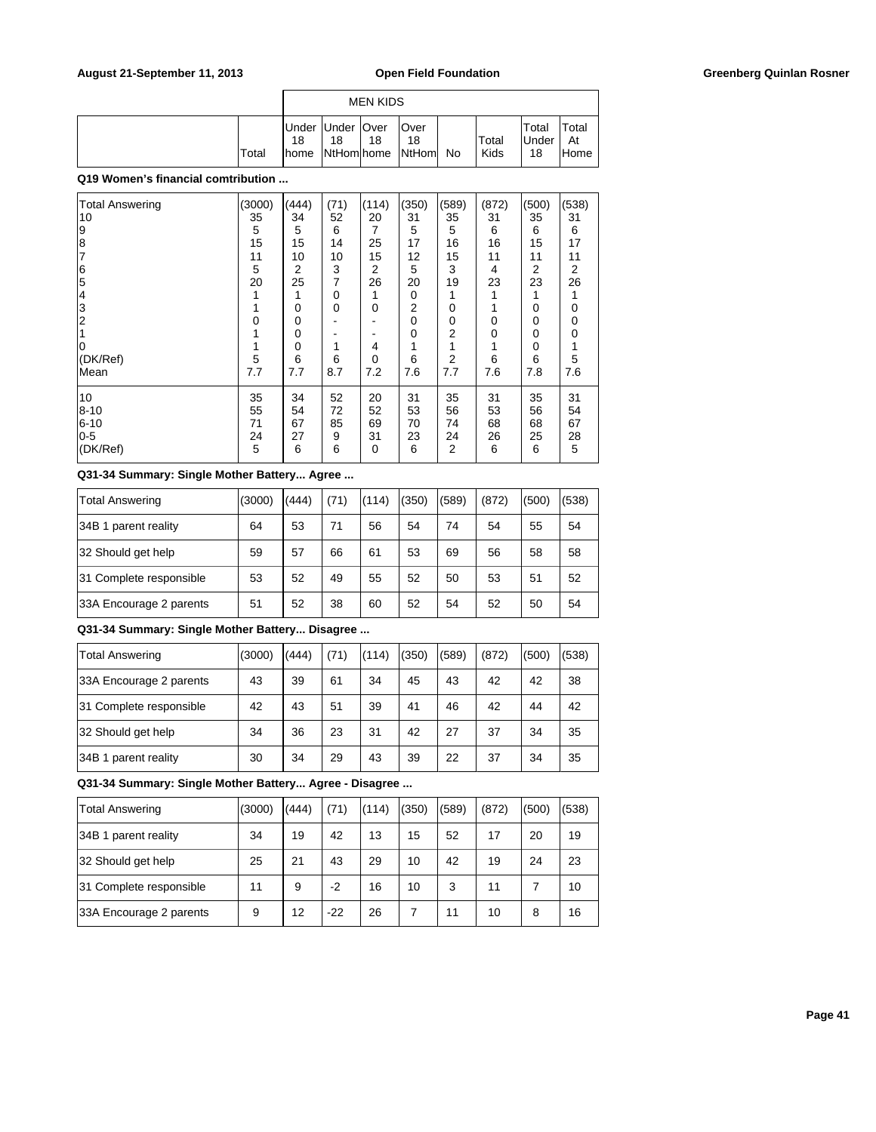|  |       |             |                          | <b>MEN KIDS</b> |                                 |    |               |                             |                      |
|--|-------|-------------|--------------------------|-----------------|---------------------------------|----|---------------|-----------------------------|----------------------|
|  | Total | 18<br>Ihome | Under Under   Over<br>18 | 18              | lOver<br>18<br>NtHom home NtHom | No | Total<br>Kids | Total<br><b>Under</b><br>18 | Total<br>At<br>lHome |

| <b>Total Answering</b> | (3000)   | (444)    | (71)        | (114)       | (350) | (589)          | (872) | (500) | (538) |
|------------------------|----------|----------|-------------|-------------|-------|----------------|-------|-------|-------|
| 10                     | 35       | 34       | 52          | 20          | 31    | 35             | 31    | 35    | 31    |
| 19                     | 5        | 5        | 6           | 7           | 5     | 5              | 6     | 6     | 6     |
|                        | 15       | 15       | 14          | 25          | 17    | 16             | 16    | 15    | 17    |
| $\frac{8}{7}$          | 11       | 10       | 10          | 15          | 12    | 15             | 11    | 11    | 11    |
|                        | 5        | 2        | 3           | 2           | 5     | 3              | 4     | 2     | 2     |
| $\frac{6}{5}$          | 20       | 25       | 7           | 26          | 20    | 19             | 23    | 23    | 26    |
| 14                     |          |          | 0           |             | 0     |                | 1     | 1     |       |
| 3                      |          | $\Omega$ | $\mathbf 0$ | $\Omega$    | 2     | 0              | 1     | 0     | 0     |
| 2                      | $\Omega$ | 0        |             |             | 0     | 0              | 0     | 0     | 0     |
|                        |          | 0        |             |             | 0     | 2              | 0     | 0     | 0     |
| ١O                     |          | 0        |             | 4           | 1     | 1              | 1     | 0     |       |
| (DK/Ref)               | 5        | 6        | 6           | 0           | 6     | $\overline{2}$ | 6     | 6     | 5     |
| Mean                   | 7.7      | 7.7      | 8.7         | 7.2         | 7.6   | 7.7            | 7.6   | 7.8   | 7.6   |
|                        |          |          |             |             |       |                |       |       |       |
| 10                     | 35       | 34       | 52          | 20          | 31    | 35             | 31    | 35    | 31    |
| $8 - 10$               | 55       | 54       | 72          | 52          | 53    | 56             | 53    | 56    | 54    |
| $6 - 10$               | 71       | 67       | 85          | 69          | 70    | 74             | 68    | 68    | 67    |
| $0-5$                  | 24       | 27       | 9           | 31          | 23    | 24             | 26    | 25    | 28    |
| (DK/Ref)               | 5        | 6        | 6           | $\mathbf 0$ | 6     | 2              | 6     | 6     | 5     |
|                        |          |          |             |             |       |                |       |       |       |

### **Q31-34 Summary: Single Mother Battery... Agree ...**

| Total Answering         | (3000) | (444) | (71) | (114) | (350) | (589) | (872) | (500) | (538) |
|-------------------------|--------|-------|------|-------|-------|-------|-------|-------|-------|
| 34B 1 parent reality    | 64     | 53    | 71   | 56    | 54    | 74    | 54    | 55    | 54    |
| 32 Should get help      | 59     | 57    | 66   | 61    | 53    | 69    | 56    | 58    | 58    |
| 31 Complete responsible | 53     | 52    | 49   | 55    | 52    | 50    | 53    | 51    | 52    |
| 33A Encourage 2 parents | 51     | 52    | 38   | 60    | 52    | 54    | 52    | 50    | 54    |

## **Q31-34 Summary: Single Mother Battery... Disagree ...**

| Total Answering         | (3000) | (444) | (71) | (114) | (350) | (589) | (872) | (500) | (538) |
|-------------------------|--------|-------|------|-------|-------|-------|-------|-------|-------|
| 33A Encourage 2 parents | 43     | 39    | 61   | 34    | 45    | 43    | 42    | 42    | 38    |
| 31 Complete responsible | 42     | 43    | 51   | 39    | 41    | 46    | 42    | 44    | 42    |
| 32 Should get help      | 34     | 36    | 23   | 31    | 42    | 27    | 37    | 34    | 35    |
| 34B 1 parent reality    | 30     | 34    | 29   | 43    | 39    | 22    | 37    | 34    | 35    |

| Total Answering         | (3000) | (444) | (71)  | (114) | (350) | (589) | (872) | (500) | (538) |
|-------------------------|--------|-------|-------|-------|-------|-------|-------|-------|-------|
| 34B 1 parent reality    | 34     | 19    | 42    | 13    | 15    | 52    | 17    | 20    | 19    |
| 32 Should get help      | 25     | 21    | 43    | 29    | 10    | 42    | 19    | 24    | 23    |
| 31 Complete responsible | 11     | 9     | $-2$  | 16    | 10    | 3     | 11    |       | 10    |
| 33A Encourage 2 parents | 9      | 12    | $-22$ | 26    |       | 11    | 10    | 8     | 16    |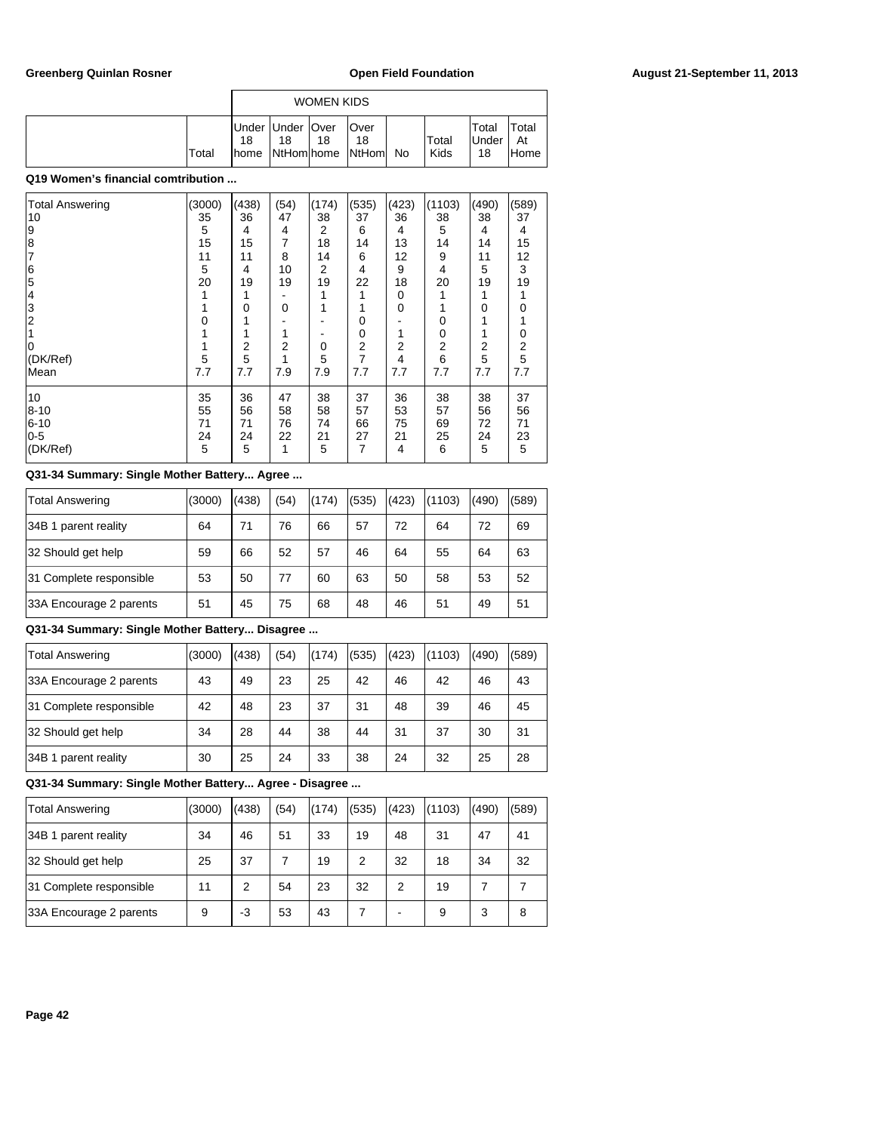|       |                                             |                  | <b>WOMEN KIDS</b> |                             |     |               |                             |                             |
|-------|---------------------------------------------|------------------|-------------------|-----------------------------|-----|---------------|-----------------------------|-----------------------------|
| Total | Under   Under   Over<br>18<br><b>I</b> home | 18<br>NtHom home | 18                | lOver<br>18<br><b>NtHom</b> | No. | Total<br>Kids | Total<br><b>Under</b><br>18 | Total<br>At<br><b>IHome</b> |

| <b>Total Answering</b> | (3000) | (438) | (54)        | (174)          | (535)          | (423) | (1103)         | (490) | (589) |
|------------------------|--------|-------|-------------|----------------|----------------|-------|----------------|-------|-------|
| 10                     | 35     | 36    | 47          | 38             | 37             | 36    | 38             | 38    | 37    |
| 9                      | 5      | 4     | 4           | $\overline{2}$ | 6              | 4     | 5              | 4     | 4     |
| 8                      | 15     | 15    | 7           | 18             | 14             | 13    | 14             | 14    | 15    |
| 17                     | 11     | 11    | 8           | 14             | 6              | 12    | 9              | 11    | 12    |
| 6                      | 5      | 4     | 10          | 2              | 4              | 9     | 4              | 5     | 3     |
| 5                      | 20     | 19    | 19          | 19             | 22             | 18    | 20             | 19    | 19    |
| 14                     |        |       |             |                | 1              | 0     |                |       |       |
| 3                      |        | 0     | $\mathbf 0$ | 1              | 1              | 0     |                | 0     | 0     |
| $\overline{2}$         | 0      |       |             |                | 0              |       | 0              |       |       |
|                        |        |       |             |                | 0              | 1     | 0              |       | 0     |
|                        |        | 2     | 2           | 0              | $\overline{2}$ | 2     | $\overline{2}$ | 2     | 2     |
| (DK/Ref)               | 5      | 5     |             | 5              | 7              | 4     | 6              | 5     | 5     |
| Mean                   | 7.7    | 7.7   | 7.9         | 7.9            | 7.7            | 7.7   | 7.7            | 7.7   | 7.7   |
| 10                     | 35     | 36    | 47          | 38             | 37             | 36    | 38             | 38    | 37    |
| 8-10                   | 55     | 56    | 58          | 58             | 57             | 53    | 57             | 56    | 56    |
| $6 - 10$               | 71     | 71    | 76          | 74             | 66             | 75    | 69             | 72    | 71    |
| $0-5$                  | 24     | 24    | 22          | 21             | 27             | 21    | 25             | 24    | 23    |
| (DK/Ref)               | 5      | 5     | 1           | 5              | 7              | 4     | 6              | 5     | 5     |
|                        |        |       |             |                |                |       |                |       |       |

## **Q31-34 Summary: Single Mother Battery... Agree ...**

| <b>Total Answering</b>  | (3000) | (438) | (54) | (174) | (535) | (423) | (1103) | (490) | (589) |
|-------------------------|--------|-------|------|-------|-------|-------|--------|-------|-------|
| 34B 1 parent reality    | 64     | 71    | 76   | 66    | 57    | 72    | 64     | 72    | 69    |
| 32 Should get help      | 59     | 66    | 52   | 57    | 46    | 64    | 55     | 64    | 63    |
| 31 Complete responsible | 53     | 50    | 77   | 60    | 63    | 50    | 58     | 53    | 52    |
| 33A Encourage 2 parents | 51     | 45    | 75   | 68    | 48    | 46    | 51     | 49    | 51    |

## **Q31-34 Summary: Single Mother Battery... Disagree ...**

| <b>Total Answering</b>  | (3000) | (438) | (54) | (174) | (535) | (423) | (1103) | (490) | (589) |
|-------------------------|--------|-------|------|-------|-------|-------|--------|-------|-------|
| 33A Encourage 2 parents | 43     | 49    | 23   | 25    | 42    | 46    | 42     | 46    | 43    |
| 31 Complete responsible | 42     | 48    | 23   | 37    | 31    | 48    | 39     | 46    | 45    |
| 32 Should get help      | 34     | 28    | 44   | 38    | 44    | 31    | 37     | 30    | 31    |
| 34B 1 parent reality    | 30     | 25    | 24   | 33    | 38    | 24    | 32     | 25    | 28    |

| <b>Total Answering</b>  | (3000) | (438) | (54) | (174) | (535)          | (423) | (1103) | (490) | (589) |
|-------------------------|--------|-------|------|-------|----------------|-------|--------|-------|-------|
| 34B 1 parent reality    | 34     | 46    | 51   | 33    | 19             | 48    | 31     | 47    | 41    |
| 32 Should get help      | 25     | 37    |      | 19    | $\overline{2}$ | 32    | 18     | 34    | 32    |
| 31 Complete responsible | 11     | 2     | 54   | 23    | 32             | 2     | 19     |       |       |
| 33A Encourage 2 parents | 9      | -3    | 53   | 43    |                |       | 9      | 3     | 8     |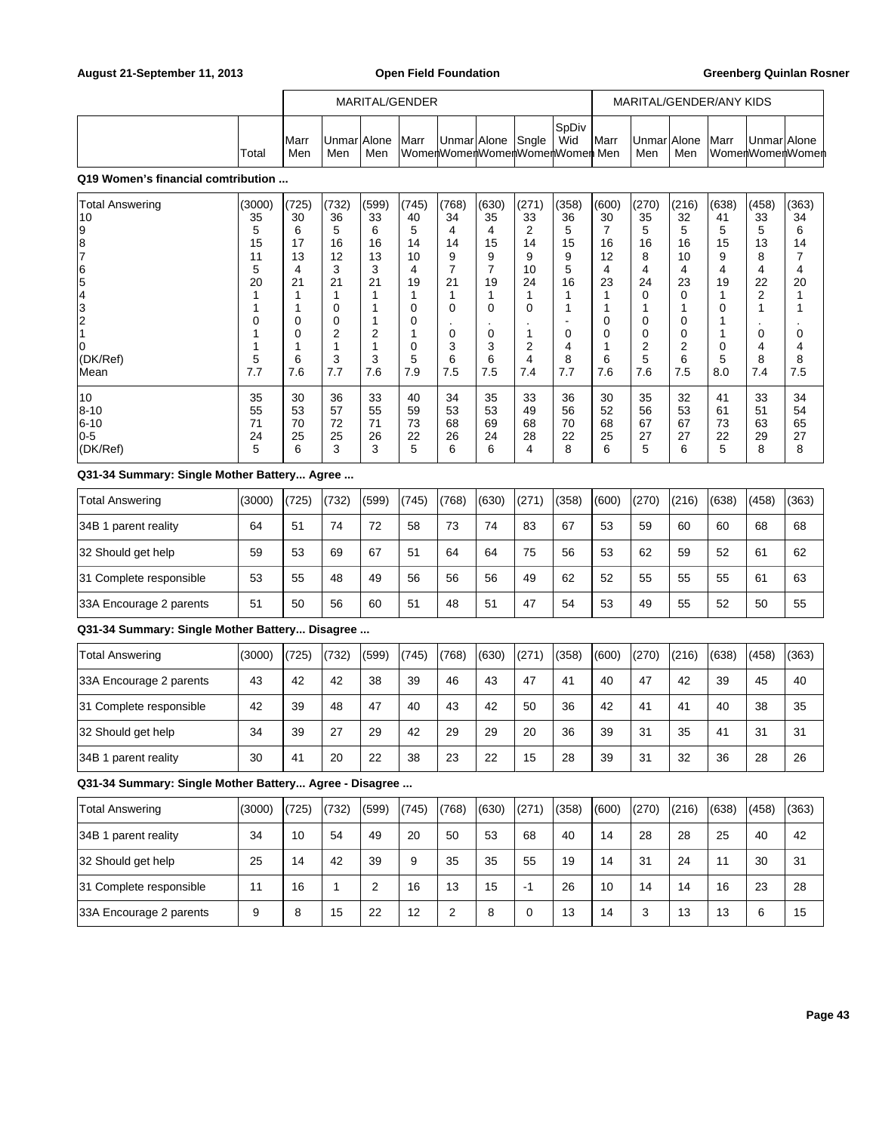|       |                      |                     |     | MARITAL/GENDER |                                                   |  |               |               |                    |     | MARITAL/GENDER/ANY KIDS |             |                 |
|-------|----------------------|---------------------|-----|----------------|---------------------------------------------------|--|---------------|---------------|--------------------|-----|-------------------------|-------------|-----------------|
| Total | <b>I</b> Marr<br>Men | Unmar Alone <br>Men | Men | <b>Marr</b>    | Unmar Alone Sngle<br>WomenWomenWomenWomenWomenMen |  | ∣SpDiv<br>Wid | <b>I</b> Marr | UnmarlAlone<br>Men | Men | <b>Marr</b>             | Unmar Alone | WomenWomenWomen |

| <b>Total Answering</b> | (3000) | (725) | (732) | (599) | (745) | (768) | (630) | (271) | (358) | (600) | (270) | (216) | (638) | (458) | (363) |
|------------------------|--------|-------|-------|-------|-------|-------|-------|-------|-------|-------|-------|-------|-------|-------|-------|
| 10                     | 35     | 30    | 36    | 33    | 40    | 34    | 35    | 33    | 36    | 30    | 35    | 32    | 41    | 33    | 34    |
| 19                     | 5      | 6     | 5     | 6     | 5     | 4     | 4     | 2     | 5     |       | 5     | 5     | 5     | 5     | 6     |
| 8                      | 15     | 17    | 16    | 16    | 14    | 14    | 15    | 14    | 15    | 16    | 16    | 16    | 15    | 13    | 14    |
| 17                     | 11     | 13    | 12    | 13    | 10    | 9     | 9     | 9     | 9     | 12    | 8     | 10    | 9     | 8     |       |
| 16                     | 5      | 4     | 3     | 3     | 4     |       |       | 10    | 5     | 4     | 4     | 4     | 4     | 4     | 4     |
| 15                     | 20     | 21    | 21    | 21    | 19    | 21    | 19    | 24    | 16    | 23    | 24    | 23    | 19    | 22    | 20    |
| 14                     |        |       |       |       |       |       |       |       |       |       | 0     |       |       | 2     |       |
| l3                     |        |       | 0     |       | 0     | 0     | 0     | 0     |       |       |       |       | 0     |       |       |
| 2                      | 0      | 0     | 0     |       | 0     |       |       |       |       | 0     | 0     |       |       | ٠     |       |
|                        |        | 0     | 2     | 2     |       | 0     | 0     |       | 0     | 0     | 0     |       |       | 0     | 0     |
| 10                     |        |       |       |       | 0     | 3     | 3     | 2     | 4     |       | 2     | 2     | 0     | 4     | 4     |
| (DK/Ref)               | 5      | 6     | 3     | 3     | 5     | 6     | 6     | 4     | 8     | 6     | 5     | 6     | 5     | 8     | 8     |
| lMean                  | 7.7    | 7.6   | 7.7   | 7.6   | 7.9   | 7.5   | 7.5   | 7.4   | 7.7   | 7.6   | 7.6   | 7.5   | 8.0   | 7.4   | 7.5   |
| 10                     | 35     | 30    | 36    | 33    | 40    | 34    | 35    | 33    | 36    | 30    | 35    | 32    | 41    | 33    | 34    |
| 8-10                   | 55     | 53    | 57    | 55    | 59    | 53    | 53    | 49    | 56    | 52    | 56    | 53    | 61    | 51    | 54    |
| $ 6 - 10$              | 71     | 70    | 72    | 71    | 73    | 68    | 69    | 68    | 70    | 68    | 67    | 67    | 73    | 63    | 65    |
| $ 0-5 $                | 24     | 25    | 25    | 26    | 22    | 26    | 24    | 28    | 22    | 25    | 27    | 27    | 22    | 29    | 27    |
| (DK/Ref)               | 5      | 6     | 3     | 3     | 5     | 6     | 6     | 4     | 8     | 6     | 5     | 6     | 5     | 8     | 8     |

## **Q31-34 Summary: Single Mother Battery... Agree ...**

| <b>Total Answering</b>  | (3000) | (725) | (732) | (599) | (745) | (768) | (630) | (271) | (358) | (600) | (270) | (216) | (638) | (458) | (363) |
|-------------------------|--------|-------|-------|-------|-------|-------|-------|-------|-------|-------|-------|-------|-------|-------|-------|
| 34B 1 parent reality    | 64     | 51    | 74    | 72    | 58    | 73    | 74    | 83    | 67    | 53    | 59    | 60    | 60    | 68    | 68    |
| 32 Should get help      | 59     | 53    | 69    | 67    | 51    | 64    | 64    | 75    | 56    | 53    | 62    | 59    | 52    | 61    | 62    |
| 31 Complete responsible | 53     | 55    | 48    | 49    | 56    | 56    | 56    | 49    | 62    | 52    | 55    | 55    | 55    | 61    | 63    |
| 33A Encourage 2 parents | 51     | 50    | 56    | 60    | 51    | 48    | 51    | 47    | 54    | 53    | 49    | 55    | 52    | 50    | 55    |

### **Q31-34 Summary: Single Mother Battery... Disagree ...**

| <b>Total Answering</b>  | (3000) | (725) | (732) | (599) | (745) | (768) | (630) | (271) | (358) | (600) | (270) | (216) | (638) | (458) | (363) |
|-------------------------|--------|-------|-------|-------|-------|-------|-------|-------|-------|-------|-------|-------|-------|-------|-------|
| 33A Encourage 2 parents | 43     | 42    | 42    | 38    | 39    | 46    | 43    | 47    | 41    | 40    | 47    | 42    | 39    | 45    | 40    |
| 31 Complete responsible | 42     | 39    | 48    | 47    | 40    | 43    | 42    | 50    | 36    | 42    | 41    | 41    | 40    | 38    | 35    |
| 32 Should get help      | 34     | 39    | 27    | 29    | 42    | 29    | 29    | 20    | 36    | 39    | 31    | 35    | 41    | 31    | 31    |
| 34B 1 parent reality    | 30     | 41    | 20    | 22    | 38    | 23    | 22    | 15    | 28    | 39    | 31    | 32    | 36    | 28    | 26    |

| Total Answering         | (3000) | (725) | (732) | (599) | (745) | (768) | (630) | (271) | (358) | (600) | (270) | (216) | (638) | (458) | (363) |
|-------------------------|--------|-------|-------|-------|-------|-------|-------|-------|-------|-------|-------|-------|-------|-------|-------|
| 34B 1 parent reality    | 34     | 10    | 54    | 49    | 20    | 50    | 53    | 68    | 40    | 14    | 28    | 28    | 25    | 40    | 42    |
| 32 Should get help      | 25     | 14    | 42    | 39    | 9     | 35    | 35    | 55    | 19    | 14    | 31    | 24    | 11    | 30    | 31    |
| 31 Complete responsible | 11     | 16    |       | ⌒     | 16    | 13    | 15    | -1    | 26    | 10    | 14    | 14    | 16    | 23    | 28    |
| 33A Encourage 2 parents | 9      | 8     | 15    | 22    | 12    | ◠     | 8     |       | 13    | 14    | 3     | 13    | 13    | 6     | 15    |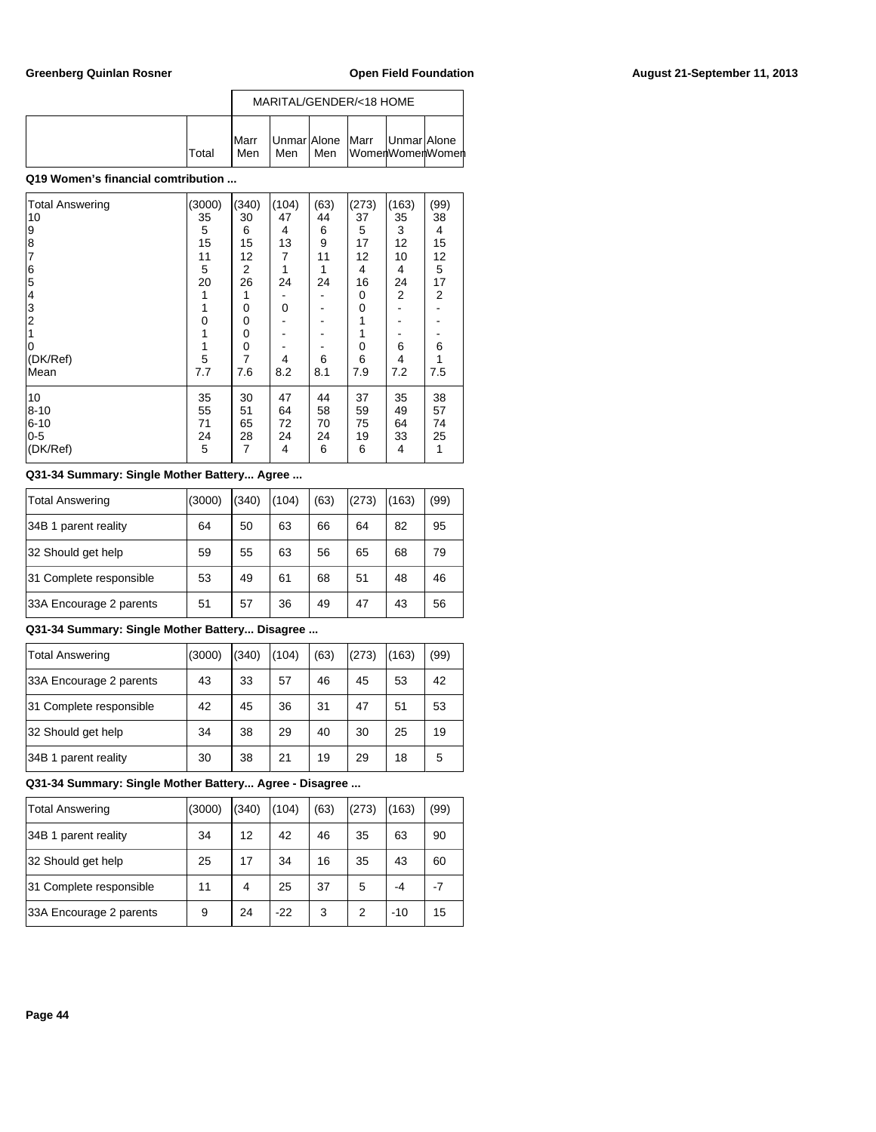|              |                      |     |       | MARITAL/GENDER/<18 HOME                              |  |
|--------------|----------------------|-----|-------|------------------------------------------------------|--|
| <b>Total</b> | <b>I</b> Marr<br>Men | Men | l Men | Unmar Alone   Marr   Unmar Alone<br>lWomenWomenWomen |  |

| Total Answering<br>10                                     | (3000)<br>35 | (340)<br>30 | (104)<br>47 | (63)<br>44 | (273)<br>37 | (163)<br>35 | (99)<br>38     |
|-----------------------------------------------------------|--------------|-------------|-------------|------------|-------------|-------------|----------------|
|                                                           | 5            | 6           | 4           | 6          | 5           | 3           | 4              |
| $\begin{array}{c} 9 \\ 8 \\ 7 \end{array}$                | 15           | 15          | 13          | 9          | 17          | 12          | 15             |
|                                                           | 11           | 12          | 7           | 11         | 12          | 10          | 12             |
|                                                           | 5            | 2           | 1           | 1          | 4           | 4           | 5              |
| $\begin{array}{c} 6 \\ 5 \\ 4 \\ 3 \\ 2 \\ 1 \end{array}$ | 20           | 26          | 24          | 24         | 16          | 24          | 17             |
|                                                           | 1            |             |             |            | 0           | 2           | $\overline{2}$ |
|                                                           | 1            | 0           | 0           |            | 0           |             |                |
|                                                           | 0            | 0           |             |            |             |             |                |
|                                                           |              | 0           |             |            |             |             |                |
| ۱O                                                        | 1            | 0           |             |            | 0           | 6           | 6              |
| (DK/Ref)                                                  | 5            | 7           | 4           | 6          | 6           | 4           | 1              |
| Mean                                                      | 7.7          | 7.6         | 8.2         | 8.1        | 7.9         | 7.2         | 7.5            |
| 10                                                        | 35           | 30          | 47          | 44         | 37          | 35          | 38             |
| $8 - 10$                                                  | 55           | 51          | 64          | 58         | 59          | 49          | 57             |
| $6 - 10$                                                  | 71           | 65          | 72          | 70         | 75          | 64          | 74             |
| $0-5$                                                     | 24           | 28          | 24          | 24         | 19          | 33          | 25             |
| (DK/Ref)                                                  | 5            | 7           | 4           | 6          | 6           | 4           | 1              |

## **Q31-34 Summary: Single Mother Battery... Agree ...**

| Total Answering         | (3000) | (340) | (104) | (63) | (273) | 163) | (99) |
|-------------------------|--------|-------|-------|------|-------|------|------|
| 34B 1 parent reality    | 64     | 50    | 63    | 66   | 64    | 82   | 95   |
| 32 Should get help      | 59     | 55    | 63    | 56   | 65    | 68   | 79   |
| 31 Complete responsible | 53     | 49    | 61    | 68   | 51    | 48   | 46   |
| 33A Encourage 2 parents | 51     | 57    | 36    | 49   | 47    | 43   | 56   |

## **Q31-34 Summary: Single Mother Battery... Disagree ...**

| Total Answering         | (3000) | (340) | (104) | (63) | (273) | 163) | (99) |
|-------------------------|--------|-------|-------|------|-------|------|------|
| 33A Encourage 2 parents | 43     | 33    | 57    | 46   | 45    | 53   | 42   |
| 31 Complete responsible | 42     | 45    | 36    | 31   | 47    | 51   | 53   |
| 32 Should get help      | 34     | 38    | 29    | 40   | 30    | 25   | 19   |
| 34B 1 parent reality    | 30     | 38    | 21    | 19   | 29    | 18   | 5    |

| <b>Total Answering</b>  | (3000) | (340) | (104) | (63) | (273) | (163) | (99) |
|-------------------------|--------|-------|-------|------|-------|-------|------|
| 34B 1 parent reality    | 34     | 12    | 42    | 46   | 35    | 63    | 90   |
| 32 Should get help      | 25     | 17    | 34    | 16   | 35    | 43    | 60   |
| 31 Complete responsible | 11     | 4     | 25    | 37   | 5     | -4    | $-7$ |
| 33A Encourage 2 parents | 9      | 24    | $-22$ | 3    | 2     | $-10$ | 15   |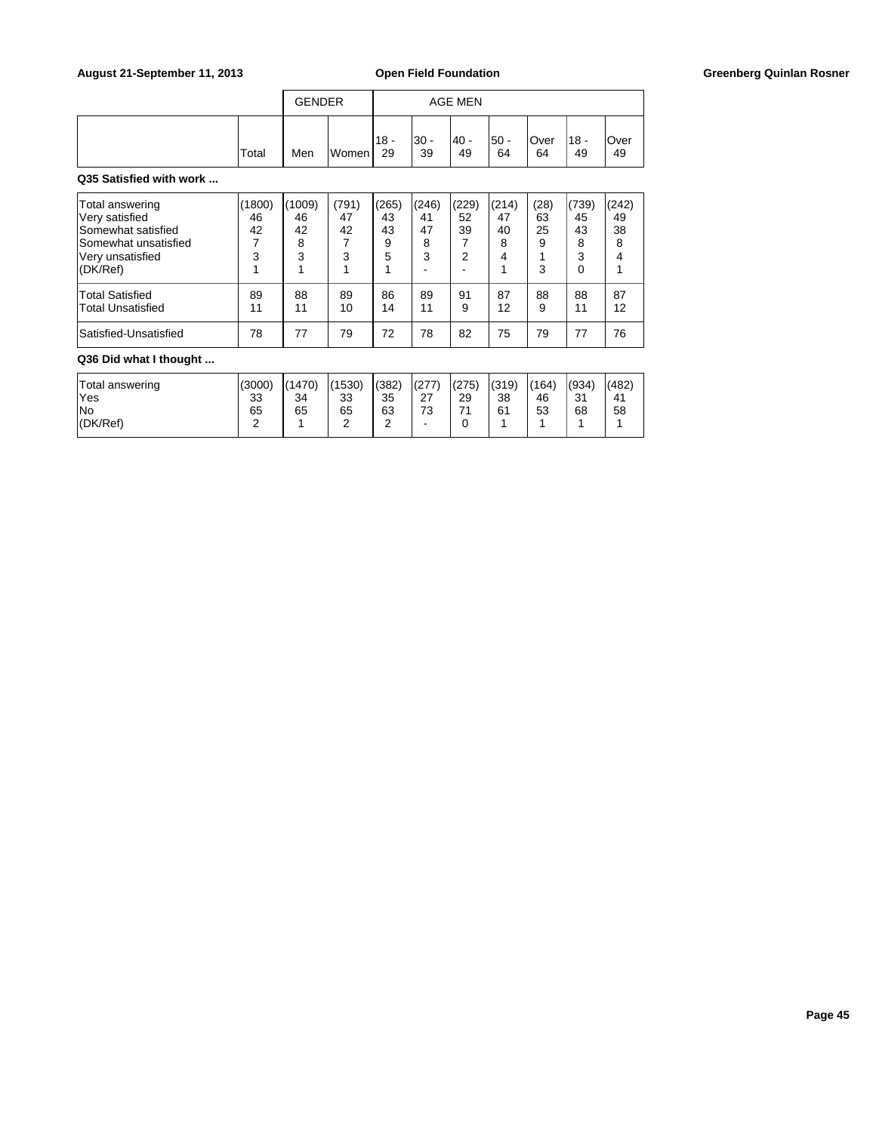## August 21-September 11, 2013 **Open Field Foundation Greenberg Quinlan Rosner Greenberg Quinlan Rosner**

|       | <b>GENDER</b> |       |               |             | <b>AGE MEN</b> |             |                   |               |            |
|-------|---------------|-------|---------------|-------------|----------------|-------------|-------------------|---------------|------------|
| Total | Men           | Women | $118 -$<br>29 | '30 -<br>39 | $40 -$<br>49   | l50 -<br>64 | <b>Over</b><br>64 | $118 -$<br>49 | Over<br>49 |

## **Q35 Satisfied with work ...**

| Total answering<br>Very satisfied<br>Somewhat satisfied<br>Somewhat unsatisfied<br>Very unsatisfied<br>(DK/Ref) | (1800)<br>46<br>42<br>3 | (1009)<br>46<br>42<br>8<br>3 | (791)<br>47<br>42<br>3 | (265)<br>43<br>43<br>9<br>5 | (246)<br>41<br>47<br>8<br>3 | (229)<br>52<br>39<br>◠ | (214)<br>47<br>40<br>8 | (28)<br>63<br>25<br>9<br>3 | (739)<br>45<br>43<br>8<br>3<br>0 | (242)<br>49<br>38<br>8<br>4 |
|-----------------------------------------------------------------------------------------------------------------|-------------------------|------------------------------|------------------------|-----------------------------|-----------------------------|------------------------|------------------------|----------------------------|----------------------------------|-----------------------------|
| <b>Total Satisfied</b>                                                                                          | 89                      | 88                           | 89                     | 86                          | 89                          | 91                     | 87                     | 88                         | 88                               | 87                          |
| Total Unsatisfied                                                                                               | 11                      | 11                           | 10                     | 14                          | 11                          | 9                      | 12                     | 9                          | 11                               | 12                          |
| Satisfied-Unsatisfied                                                                                           | 78                      | 77                           | 79                     | 72                          | 78                          | 82                     | 75                     | 79                         | 77                               | 76                          |

# **Q36 Did what I thought ...**

| Total answering | (3000) | (1470) | (1530) | (382)  | (277)          | (275) | (319) | (164) | (934)     | (482) |
|-----------------|--------|--------|--------|--------|----------------|-------|-------|-------|-----------|-------|
| 'Yes            | 33     | 34     | 33     | 35     | $\sim$<br>ا کے | 29    | 38    | 46    | 31<br>ູບ، | 41    |
| No              | 65     | 65     | 65     | 63     | 73             | ۔ ۔   | 61    | 53    | 68        | 58    |
| (DK/Ref)        | -      |        | ີ<br>- | $\sim$ | -              |       |       |       |           |       |
|                 |        |        |        |        |                |       |       |       |           |       |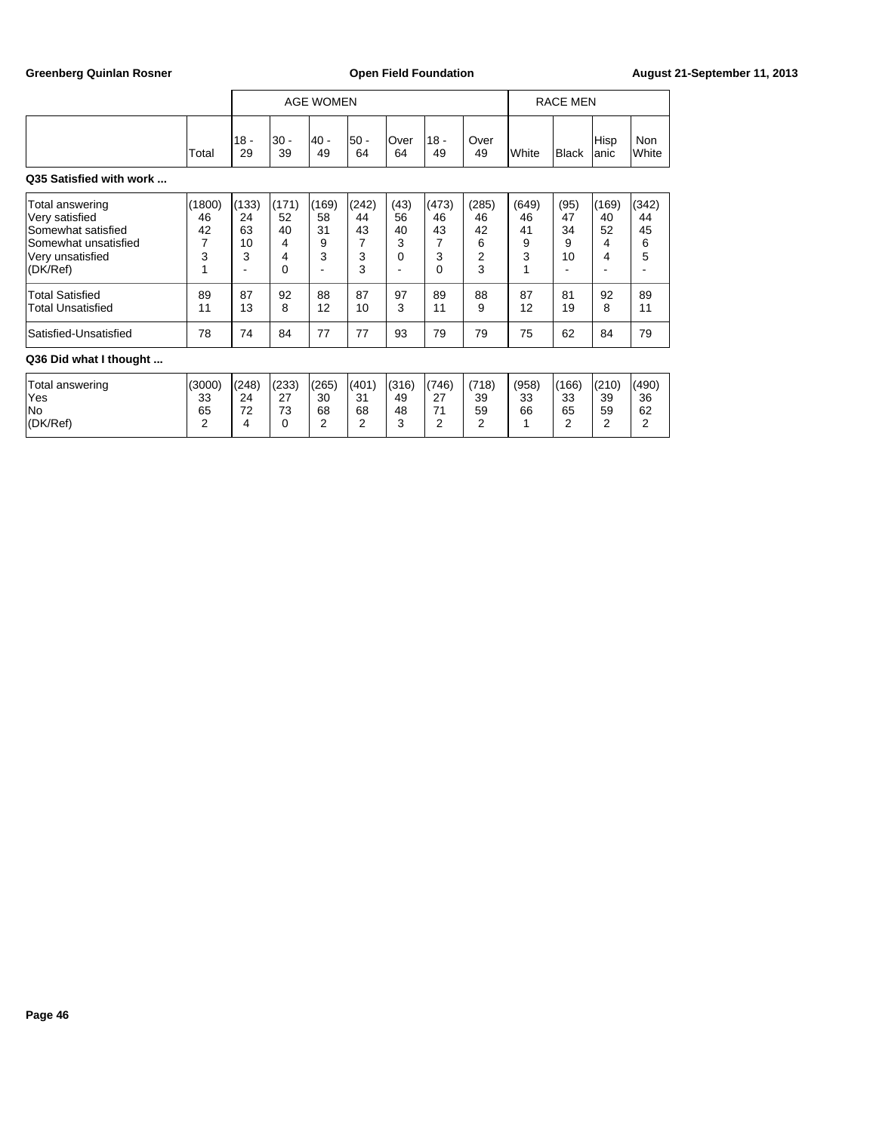|                                                                                                                 |                              |                                   | <b>AGE WOMEN</b>                 |                                  |                                  |                                 |                                  |                                  |                                  | <b>RACE MEN</b>             |                             |                             |  |
|-----------------------------------------------------------------------------------------------------------------|------------------------------|-----------------------------------|----------------------------------|----------------------------------|----------------------------------|---------------------------------|----------------------------------|----------------------------------|----------------------------------|-----------------------------|-----------------------------|-----------------------------|--|
|                                                                                                                 | Total                        | $18 -$<br>29                      | $30 -$<br>39                     | - 40 <br>49                      | 50 -<br>64                       | Over<br>64                      | $18 -$<br>49                     | Over<br>49                       | <b>I</b> White                   | <b>Black</b>                | Hisp<br>anic                | Non<br>White                |  |
| Q35 Satisfied with work                                                                                         |                              |                                   |                                  |                                  |                                  |                                 |                                  |                                  |                                  |                             |                             |                             |  |
| Total answering<br>Very satisfied<br>Somewhat satisfied<br>Somewhat unsatisfied<br>Very unsatisfied<br>(DK/Ref) | (1800)<br>46<br>42<br>7<br>3 | (133)<br>24<br>63<br>10<br>3<br>- | (171)<br>52<br>40<br>4<br>4<br>0 | (169)<br>58<br>31<br>9<br>3<br>- | (242)<br>44<br>43<br>7<br>3<br>3 | (43)<br>56<br>40<br>3<br>0<br>۰ | (473)<br>46<br>43<br>7<br>3<br>0 | (285)<br>46<br>42<br>6<br>2<br>3 | (649)<br>46<br>41<br>9<br>3<br>1 | (95)<br>47<br>34<br>9<br>10 | (169)<br>40<br>52<br>4<br>4 | (342)<br>44<br>45<br>6<br>5 |  |
| <b>Total Satisfied</b><br><b>Total Unsatisfied</b>                                                              | 89<br>11                     | 87<br>13                          | 92<br>8                          | 88<br>12                         | 87<br>10                         | 97<br>3                         | 89<br>11                         | 88<br>9                          | 87<br>12                         | 81<br>19                    | 92<br>8                     | 89<br>11                    |  |
| Satisfied-Unsatisfied                                                                                           | 78                           | 74                                | 84                               | 77                               | 77                               | 93                              | 79                               | 79                               | 75                               | 62                          | 84                          | 79                          |  |
| Q36 Did what I thought                                                                                          |                              |                                   |                                  |                                  |                                  |                                 |                                  |                                  |                                  |                             |                             |                             |  |

| Total answering | (3000) | (248)   | (233)     | (265)  | (401)    | (316) | (746)          | (718) | (958) | (166)    | (210) | (490) |
|-----------------|--------|---------|-----------|--------|----------|-------|----------------|-------|-------|----------|-------|-------|
| Yes             | 33     | 24      | 57<br>ا ے | 30     | 21<br>ບ≀ | 49    | $\sim$<br>ا ہے | 39    | 33    | າາ<br>აა | 39    | 36    |
| No              | 65     | 70<br>- | 73        | 68     | 68       | 48    | 74             | 59    | 66    | 65       | 59    | 62    |
| (DK/Ref)        | -      |         |           | ⌒<br>- | ⌒        | ⌒<br> | ⌒              | -     |       |          | -     | -     |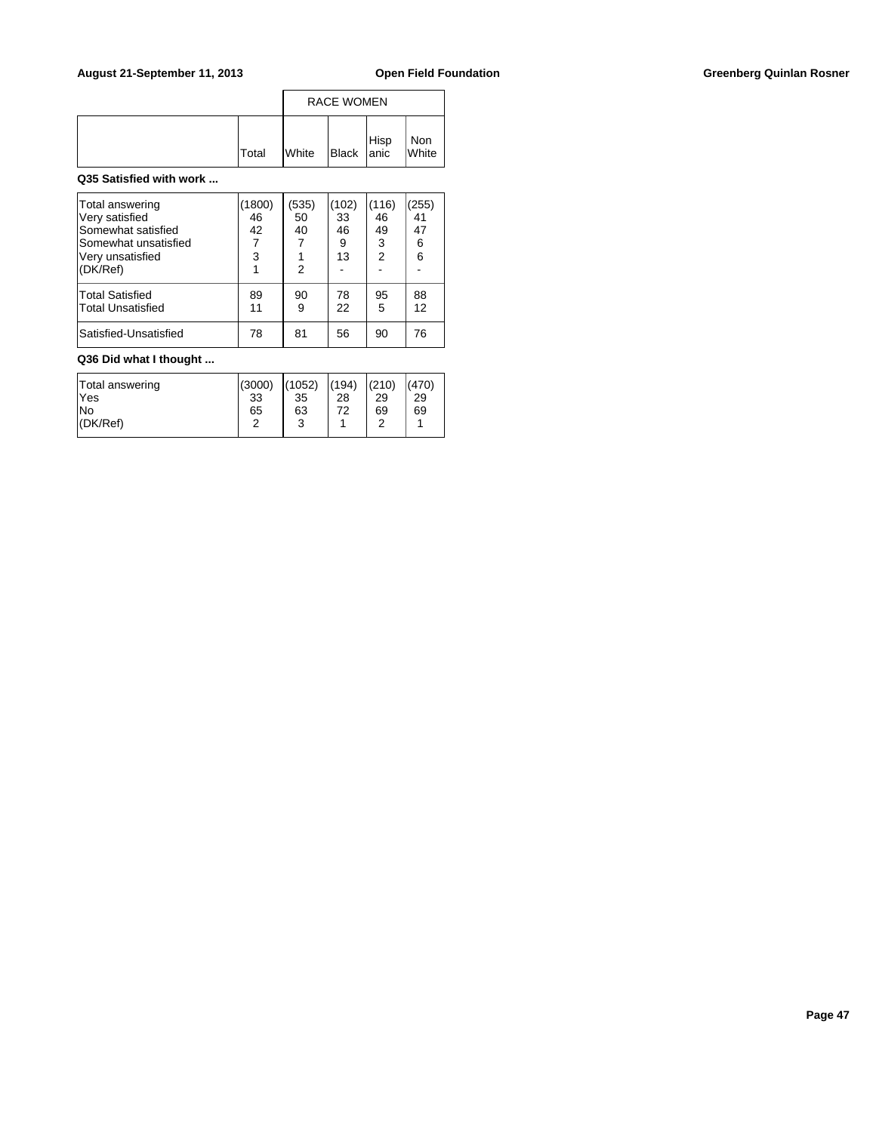## August 21-September 11, 2013 **Open Field Foundation Greenberg Quinlan Rosner Greenberg Quinlan Rosner**

|              | <b>RACE WOMEN</b> |               |      |              |  |  |
|--------------|-------------------|---------------|------|--------------|--|--|
| <b>Total</b> | <b>White</b>      | $B$ lack anic | Hisp | Non<br>White |  |  |

### **Q35 Satisfied with work ...**

| Total answering<br>Very satisfied<br>Somewhat satisfied<br>lSomewhat unsatisfied<br>Very unsatisfied<br>(DK/Ref) | 1800)<br>46<br>42<br>7<br>3 | (535)<br>50<br>40<br>2 | (102)<br>33<br>46<br>9<br>13 | (116)<br>46<br>49<br>3<br>$\overline{2}$ | (255)<br>41<br>47<br>6<br>6 |
|------------------------------------------------------------------------------------------------------------------|-----------------------------|------------------------|------------------------------|------------------------------------------|-----------------------------|
| Total Satisfied<br><b>Total Unsatisfied</b>                                                                      | 89<br>11                    | 90<br>9                | 78<br>22                     | 95<br>5                                  | 88<br>12                    |
| Satisfied-Unsatisfied                                                                                            | 78                          | 81                     | 56                           | 90                                       | 76                          |

# **Q36 Did what I thought ...**

| Total answering | (3000)     | (1052)          | (194) | (210) | (470) |
|-----------------|------------|-----------------|-------|-------|-------|
| lYes            | 33         | 35              | 28    | 29    | 29    |
| lNo             | 65         | 63              | 72    | 69    | 69    |
| (DK/Ref)        | $\sqrt{2}$ | $\sqrt{2}$<br>w |       |       |       |
|                 |            |                 |       |       |       |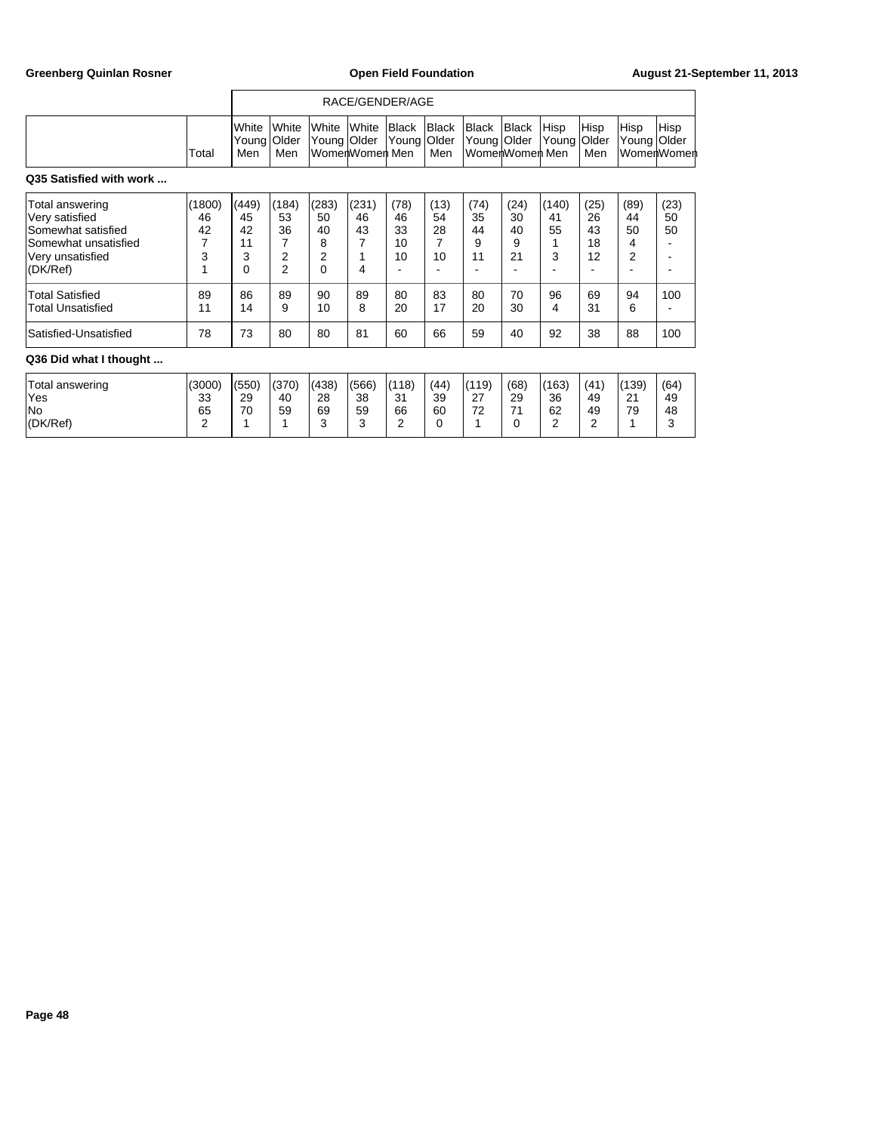|                                                                                                                 |                              |                                   |                                          |                                               |                             | RACE/GENDER/AGE              |                                          |                             |                             |                        |                              |                                         |                    |
|-----------------------------------------------------------------------------------------------------------------|------------------------------|-----------------------------------|------------------------------------------|-----------------------------------------------|-----------------------------|------------------------------|------------------------------------------|-----------------------------|-----------------------------|------------------------|------------------------------|-----------------------------------------|--------------------|
|                                                                                                                 | Total                        | White<br>Young<br>Men             | White<br>Older<br>Men                    | White<br>Young Older                          | White<br>WomenWomen Men     | Black<br>Young               | <b>Black</b><br>Older<br>Men             | Black<br>Young Older        | Black<br>WomenWomen Men     | Hisp<br>Young          | Hisp<br><b>Older</b><br>Men  | Hisp<br>Young Older                     | Hisp<br>WomerWomer |
| Q35 Satisfied with work                                                                                         |                              |                                   |                                          |                                               |                             |                              |                                          |                             |                             |                        |                              |                                         |                    |
| Total answering<br>Very satisfied<br>Somewhat satisfied<br>Somewhat unsatisfied<br>Very unsatisfied<br>(DK/Ref) | (1800)<br>46<br>42<br>7<br>3 | (449)<br>45<br>42<br>11<br>3<br>0 | (184)<br>53<br>36<br>2<br>$\overline{2}$ | (283)<br>50<br>40<br>8<br>$\overline{2}$<br>0 | (231)<br>46<br>43<br>7<br>4 | (78)<br>46<br>33<br>10<br>10 | (13)<br>54<br>28<br>$\overline{7}$<br>10 | (74)<br>35<br>44<br>9<br>11 | (24)<br>30<br>40<br>9<br>21 | (140)<br>41<br>55<br>3 | (25)<br>26<br>43<br>18<br>12 | (89)<br>44<br>50<br>4<br>$\overline{2}$ | (23)<br>50<br>50   |
| <b>Total Satisfied</b><br>Total Unsatisfied                                                                     | 89<br>11                     | 86<br>14                          | 89<br>9                                  | 90<br>10                                      | 89<br>8                     | 80<br>20                     | 83<br>17                                 | 80<br>20                    | 70<br>30                    | 96<br>4                | 69<br>31                     | 94<br>6                                 | 100                |
| Satisfied-Unsatisfied                                                                                           | 78                           | 73                                | 80                                       | 80                                            | 81                          | 60                           | 66                                       | 59                          | 40                          | 92                     | 38                           | 88                                      | 100                |
| Q36 Did what I thought                                                                                          |                              |                                   |                                          |                                               |                             |                              |                                          |                             |                             |                        |                              |                                         |                    |
| Total answering<br>Yes                                                                                          | (3000)<br>33                 | (550)<br>29                       | (370)<br>40                              | (438)<br>28                                   | (566)<br>38                 | (118)<br>31                  | (44)<br>39                               | (119)<br>27                 | (68)<br>29                  | (163)<br>36            | (41)<br>49                   | (139)<br>21                             | (64)<br>49         |

No 65 70 59 69 59 66 60 72 71 62 49 79 48 (DK/Ref) 2 1 1 3 3 3 2 0 1 0 2 2 1 3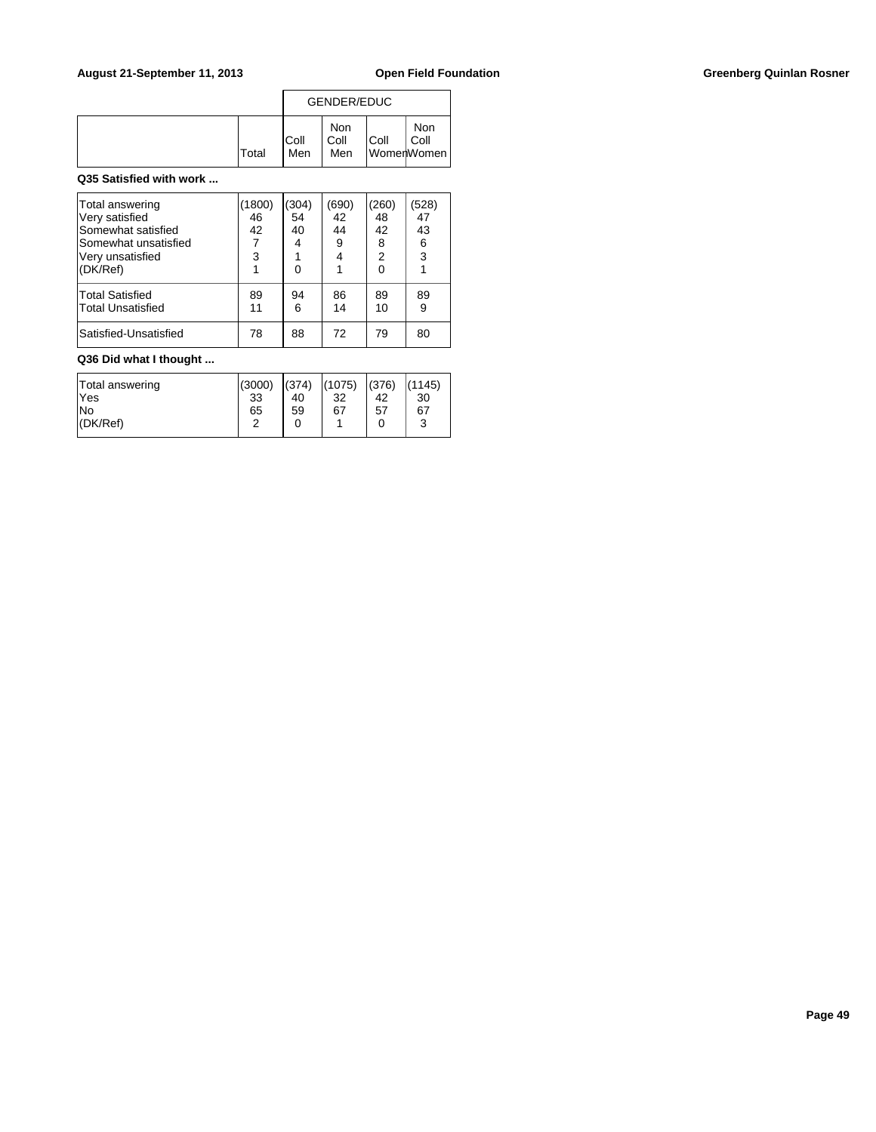## August 21-September 11, 2013 **Open Field Foundation Greenberg Quinlan Rosner Greenberg Quinlan Rosner**

|              | <b>GENDER/EDUC</b> |                    |             |                           |  |  |
|--------------|--------------------|--------------------|-------------|---------------------------|--|--|
| <b>Total</b> | IColl<br>Men       | Non<br>Coll<br>Men | <b>Coll</b> | Non<br>Coll<br>WomenWomen |  |  |

### **Q35 Satisfied with work ...**

| Total answering<br>Very satisfied<br>Somewhat satisfied<br>Somewhat unsatisfied<br>Very unsatisfied<br>(DK/Ref) | (1800)<br>46<br>42<br>3 | (304)<br>54<br>40<br>4<br>ი | (690)<br>42<br>44<br>9<br>4 | 260)<br>48<br>42<br>8<br>$\overline{2}$<br>U | (528)<br>47<br>43<br>6<br>3 |
|-----------------------------------------------------------------------------------------------------------------|-------------------------|-----------------------------|-----------------------------|----------------------------------------------|-----------------------------|
| Total Satisfied<br><b>Total Unsatisfied</b>                                                                     | 89<br>11                | 94<br>6                     | 86<br>14                    | 89<br>10                                     | 89<br>9                     |
| Satisfied-Unsatisfied                                                                                           | 78                      | 88                          | 72                          | 79                                           | 80                          |

## **Q36 Did what I thought ...**

| Total answering | (3000) | (374) | (1075) | (376) | (1145) |
|-----------------|--------|-------|--------|-------|--------|
| lYes            | 33     | 40    | 32     | 42    | 30     |
| lNo             | 65     | 59    | 67     | 57    | 67     |
| (DK/Ref)        | ີ      |       |        |       | ົ<br>w |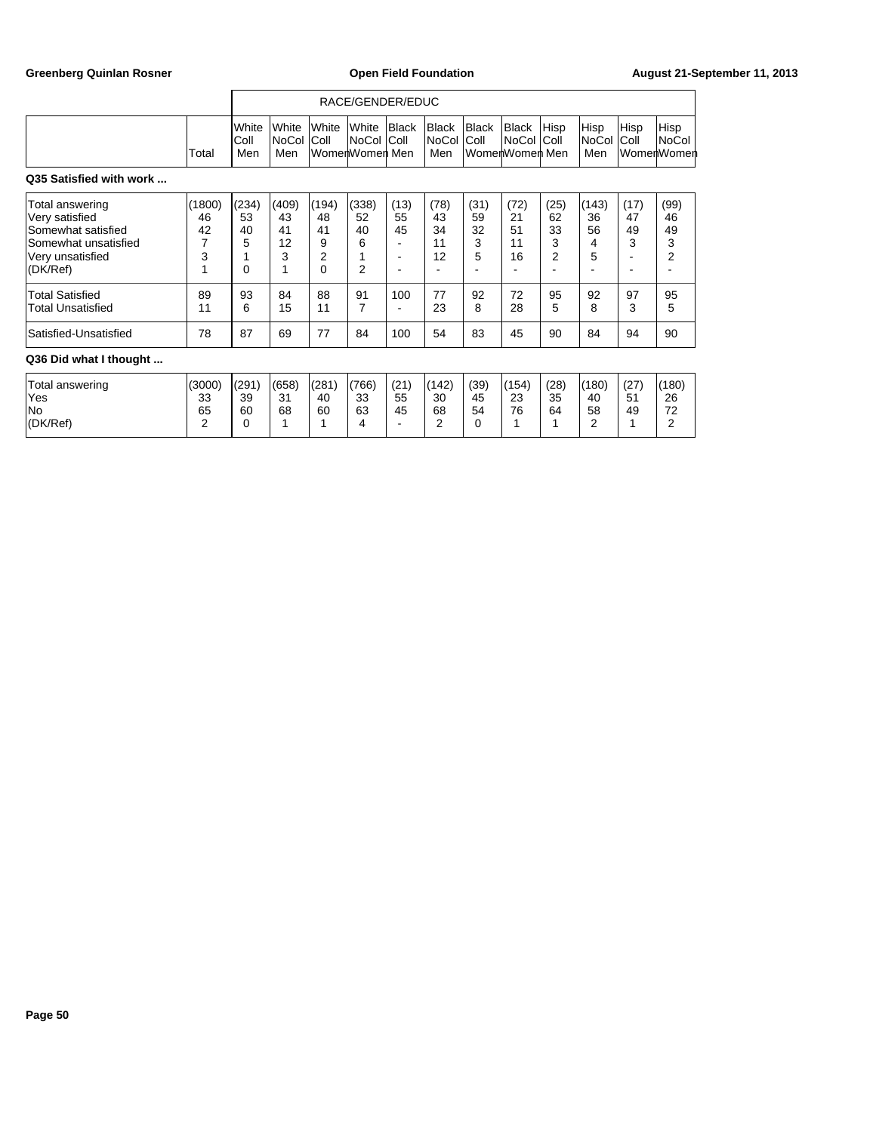|                                                                                                                 |                              | RACE/GENDER/EDUC            |                              |                                               |                                          |                  |                              |                            |                                     |                                         |                             |                       |                             |  |
|-----------------------------------------------------------------------------------------------------------------|------------------------------|-----------------------------|------------------------------|-----------------------------------------------|------------------------------------------|------------------|------------------------------|----------------------------|-------------------------------------|-----------------------------------------|-----------------------------|-----------------------|-----------------------------|--|
|                                                                                                                 | Total                        | White<br>IColl<br>Men       | White<br>NoCol<br>Men        | White<br>Coll                                 | White<br><b>NoCol</b><br>WomenWomen Men  | Black<br> Coll   | Black<br>NoCol<br>Men        | Black<br> Coll             | Black<br>∣NoCol I<br>WomenWomen Men | Hisp<br> Coll                           | Hisp<br>NoCol<br>Men        | Hisp<br>Coll          | Hisp<br>NoCol<br>WomenWomen |  |
| Q35 Satisfied with work                                                                                         |                              |                             |                              |                                               |                                          |                  |                              |                            |                                     |                                         |                             |                       |                             |  |
| Total answering<br>Very satisfied<br>Somewhat satisfied<br>Somewhat unsatisfied<br>Very unsatisfied<br>(DK/Ref) | (1800)<br>46<br>42<br>7<br>3 | (234)<br>53<br>40<br>5<br>0 | (409)<br>43<br>41<br>12<br>3 | (194)<br>48<br>41<br>9<br>$\overline{2}$<br>0 | (338)<br>52<br>40<br>6<br>$\overline{2}$ | (13)<br>55<br>45 | (78)<br>43<br>34<br>11<br>12 | (31)<br>59<br>32<br>3<br>5 | (72)<br>21<br>51<br>11<br>16        | (25)<br>62<br>33<br>3<br>$\overline{2}$ | (143)<br>36<br>56<br>4<br>5 | (17)<br>47<br>49<br>3 | (99)<br>46<br>49<br>3<br>2  |  |
| <b>Total Satisfied</b><br>Total Unsatisfied                                                                     | 89<br>11                     | 93<br>6                     | 84<br>15                     | 88<br>11                                      | 91<br>7                                  | 100              | 77<br>23                     | 92<br>8                    | 72<br>28                            | 95<br>5                                 | 92<br>8                     | 97<br>3               | 95<br>5                     |  |
| Satisfied-Unsatisfied                                                                                           | 78                           | 87                          | 69                           | 77                                            | 84                                       | 100              | 54                           | 83                         | 45                                  | 90                                      | 84                          | 94                    | 90                          |  |
| Q36 Did what I thought                                                                                          |                              |                             |                              |                                               |                                          |                  |                              |                            |                                     |                                         |                             |                       |                             |  |
| Total answering<br>Yes                                                                                          | (3000)<br>33                 | (291)<br>39                 | (658)<br>31                  | (281)<br>40                                   | (766)<br>33                              | (21)<br>55       | (142)<br>30                  | (39)<br>45                 | (154)<br>23                         | (28)<br>35                              | (180)<br>40                 | (27)<br>51            | (180)<br>26                 |  |

No 65 60 68 60 63 45 68 54 76 64 58 49 72 (DK/Ref) 2 0 1 1 1 4 - 2 0 1 1 2 1 2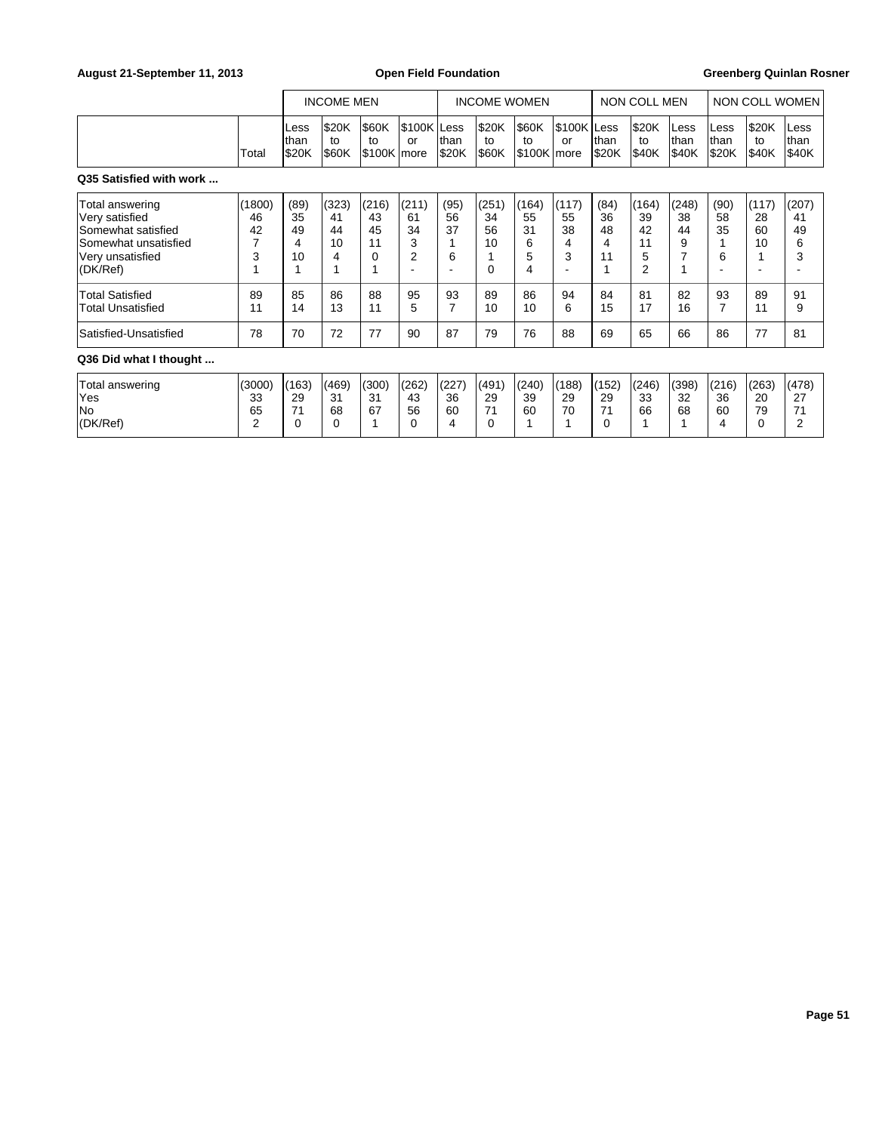## August 21-September 11, 2013 **Open Field Foundation Greenberg Quinlan Rosner Greenberg Quinlan Rosner**

|                                                                                                                 |                         |                              | <b>INCOME MEN</b>            |                                     |                                          | <b>INCOME WOMEN</b>   |                              |                                  | NON COLL MEN                |                             |                                   | NON COLL WOMEN                           |                          |                             |                              |
|-----------------------------------------------------------------------------------------------------------------|-------------------------|------------------------------|------------------------------|-------------------------------------|------------------------------------------|-----------------------|------------------------------|----------------------------------|-----------------------------|-----------------------------|-----------------------------------|------------------------------------------|--------------------------|-----------------------------|------------------------------|
|                                                                                                                 | Total                   | Less<br>Ithan<br><b>S20K</b> | \$20K<br>to<br><b>S60K</b>   | \$60K<br>to<br>\$100K more          | S100K Less<br>or                         | Ithan<br>I\$20K       | <b>S20K</b><br>to<br> \$60K  | <b>S60K</b><br>to<br>S100K Imore | S100K Less!<br>or           | Ithan<br>\$20K              | \$20K<br>to<br>\$40K              | Less<br>lthan<br><b>S40K</b>             | ILess<br>Ithan<br>I\$20K | <b>S20K</b><br>to<br> \$40K | Less<br>lthan<br><b>S40K</b> |
| Q35 Satisfied with work                                                                                         |                         |                              |                              |                                     |                                          |                       |                              |                                  |                             |                             |                                   |                                          |                          |                             |                              |
| Total answering<br>Very satisfied<br>Somewhat satisfied<br>Somewhat unsatisfied<br>Very unsatisfied<br>(DK/Ref) | (1800)<br>46<br>42<br>3 | (89)<br>35<br>49<br>10       | (323)<br>41<br>44<br>10<br>4 | (216)<br>43<br>45<br>11<br>$\Omega$ | (211)<br>61<br>34<br>3<br>$\overline{2}$ | (95)<br>56<br>37<br>6 | (251)<br>34<br>56<br>10<br>0 | (164)<br>55<br>31<br>6<br>5<br>4 | (117)<br>55<br>38<br>4<br>3 | (84)<br>36<br>48<br>4<br>11 | (164)<br>39<br>42<br>11<br>5<br>2 | (248)<br>38<br>44<br>9<br>$\overline{ }$ | (90)<br>58<br>35<br>6    | (117)<br>28<br>60<br>10     | (207)<br>41<br>49<br>6<br>3  |
| <b>Total Satisfied</b><br>Total Unsatisfied                                                                     | 89<br>11                | 85<br>14                     | 86<br>13                     | 88<br>11                            | 95<br>5                                  | 93                    | 89<br>10                     | 86<br>10                         | 94<br>6                     | 84<br>15                    | 81<br>17                          | 82<br>16                                 | 93<br>7                  | 89<br>11                    | 91<br>9                      |

## **Q36 Did what I thought ...**

| Total answering | (3000)<br>৭৭    | (163<br>29 | (469)<br>- 24 | (300)<br>21 | (262)<br>43 | (227)<br>36 | (491)<br>29    | (240)<br>39 | (188)<br>29 | (152)<br>29 | (246)<br>າາ | (398)<br>-32 | (216)<br>36 | (263)    | (478)<br>27     |
|-----------------|-----------------|------------|---------------|-------------|-------------|-------------|----------------|-------------|-------------|-------------|-------------|--------------|-------------|----------|-----------------|
| lYes<br>lNo     | ບບ<br>n r<br>65 |            | ، ب<br>68     | ، ب<br>67   | 56          | 60          | $\overline{ }$ | 60          | 70<br>'U    | ٠.          | ഄഄ<br>66    | 68           | 60          | 20<br>79 | 74              |
| (DK/Ref)        |                 |            |               |             |             |             |                |             |             |             |             |              | ୵           |          | $\sqrt{2}$<br>- |

Satisfied-Unsatisfied | 78 | 70 | 72 | 77 | 90 | 87 | 79 | 76 | 88 | 69 | 65 | 66 | 86 | 77 | 81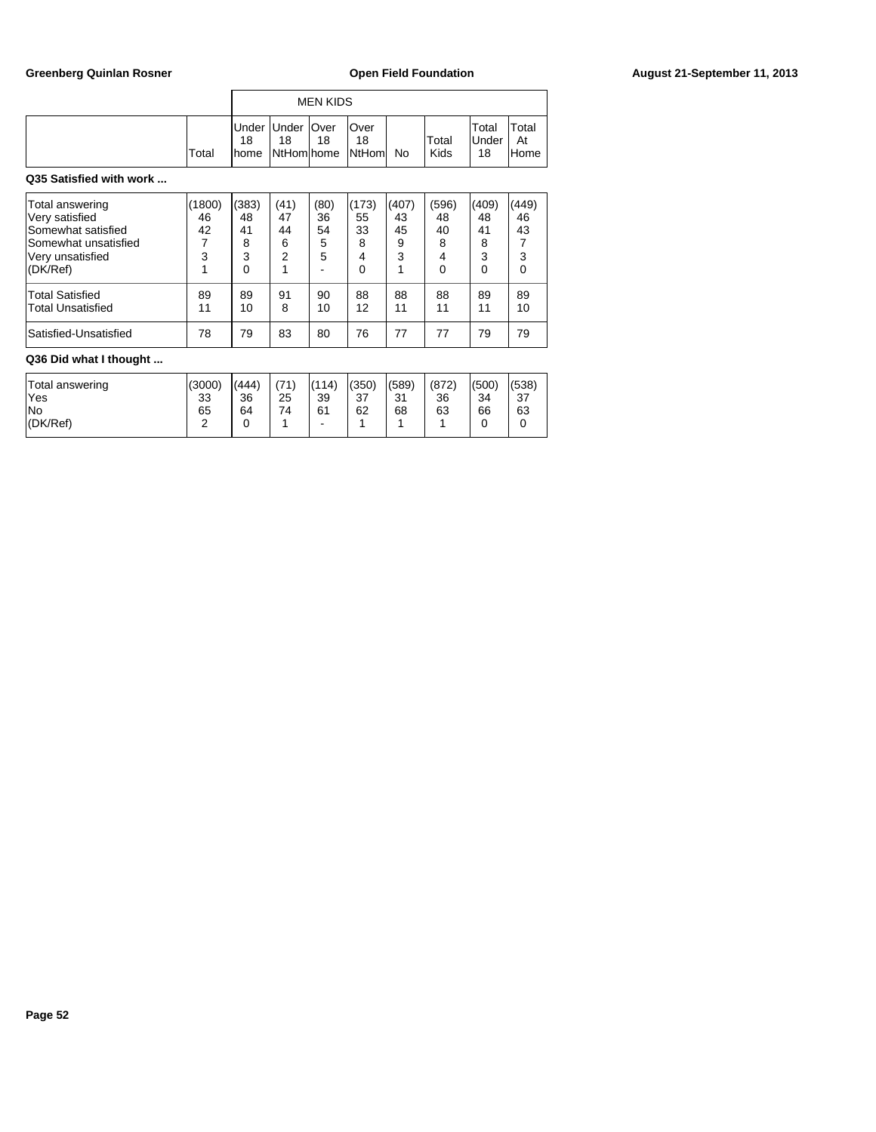|                         |        |             |                                               | <b>MEN KIDS</b> |                             |       |               |                             |                      |
|-------------------------|--------|-------------|-----------------------------------------------|-----------------|-----------------------------|-------|---------------|-----------------------------|----------------------|
|                         | Total  | 18<br>Ihome | Under  Under  Over<br>18<br><b>NtHom home</b> | 18              | Over<br>18<br><b>NtHoml</b> | No    | Total<br>Kids | Total<br><b>Under</b><br>18 | Total<br>At<br>lHome |
| Q35 Satisfied with work |        |             |                                               |                 |                             |       |               |                             |                      |
| Total apowaring         | (1900) | 1/292       | (11)                                          | (90)            | 1172                        | 11107 | (506)         | (110)                       | (AA)                 |

| Total answering                                    | (1800)   | (383)    | (41)    | (80)     | (173)    | (407)    | (596)    | (409)    | (449)    |
|----------------------------------------------------|----------|----------|---------|----------|----------|----------|----------|----------|----------|
| Very satisfied                                     | 46       | 48       | 47      | 36       | 55       | 43       | 48       | 48       | 46       |
| Somewhat satisfied                                 | 42       | 41       | 44      | 54       | 33       | 45       | 40       | 41       | 43       |
| Somewhat unsatisfied                               |          | 8        | 6       | 5        | 8        | 9        | 8        | 8        |          |
| Verv unsatisfied                                   | 3        | 3        | 2       | 5        | 4        | 3        | 4        | 3        |          |
| (DK/Ref)                                           |          | 0        |         |          |          |          | 0        | 0        |          |
| <b>Total Satisfied</b><br><b>Total Unsatisfied</b> | 89<br>11 | 89<br>10 | 91<br>8 | 90<br>10 | 88<br>12 | 88<br>11 | 88<br>11 | 89<br>11 | 89<br>10 |
| Satisfied-Unsatisfied                              | 78       | 79       | 83      | 80       | 76       | 77       | 77       | 79       | 79       |

## **Q36 Did what I thought ...**

| No<br>65<br>74<br>61<br>62<br>68<br>63<br>63<br>64<br>66<br>(DK/Ref)<br>ີ<br>۰<br>- | Total answering | (3000) | (444) | (71) | (114) | (350) | (589) | (872) | (500) | (538) |
|-------------------------------------------------------------------------------------|-----------------|--------|-------|------|-------|-------|-------|-------|-------|-------|
|                                                                                     | 'Yes            | 33     | 36    | 25   | 39    | 37    | 31    | 36    | 34    | 37    |
|                                                                                     |                 |        |       |      |       |       |       |       |       |       |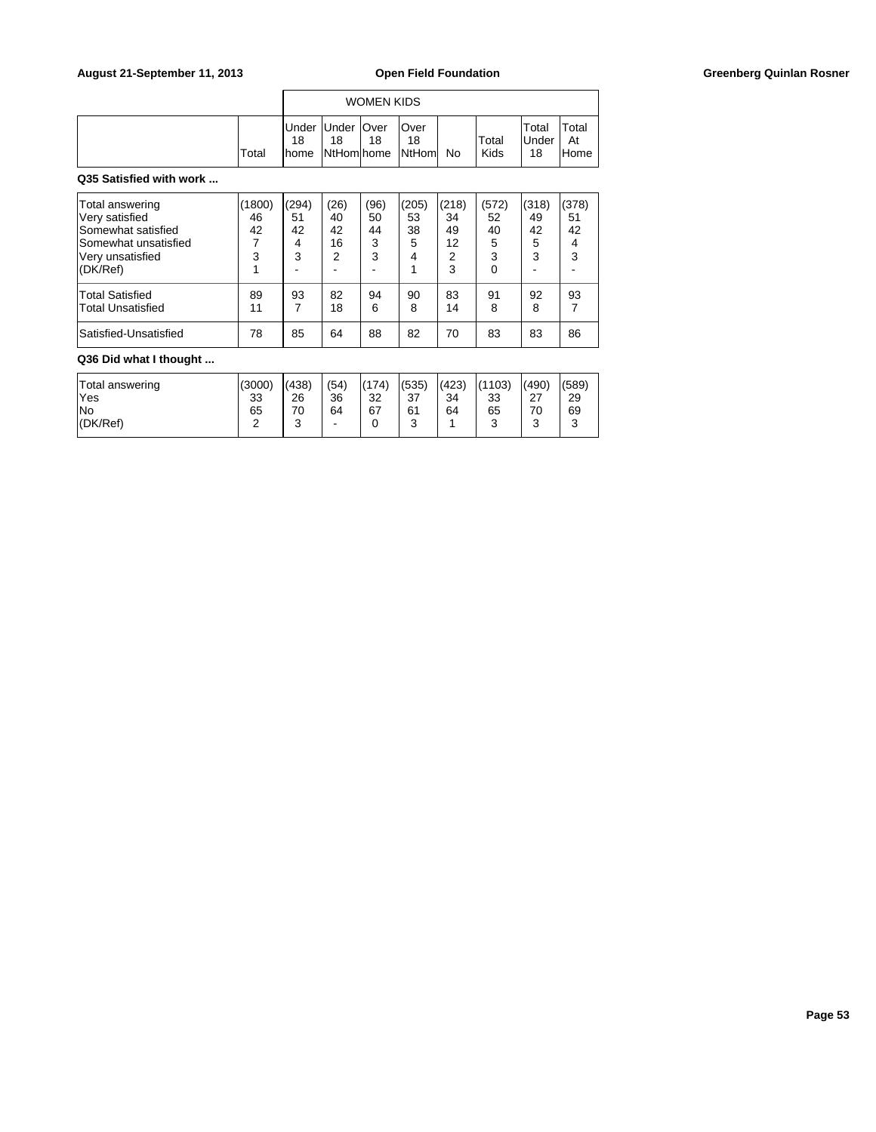## August 21-September 11, 2013 **Open Field Foundation Greenberg Quinlan Rosner Greenberg Quinlan Rosner**

|       |                                             |    | <b>WOMEN KIDS</b> |                                 |    |               |                       |                      |
|-------|---------------------------------------------|----|-------------------|---------------------------------|----|---------------|-----------------------|----------------------|
| Total | Under   Under   Over<br>18<br><b>I</b> home | 18 | 18                | lOver<br>18<br>NtHom home NtHom | No | Total<br>Kids | Total<br>iUnder<br>18 | Total<br>At<br>lHome |

## **Q35 Satisfied with work ...**

| Total answering<br>Very satisfied<br>Somewhat satisfied<br>Somewhat unsatisfied<br>Very unsatisfied | (1800)<br>46<br>42<br>3 | (294)<br>51<br>42<br>4<br>3 | (26)<br>40<br>42<br>16<br>2 | (96)<br>50<br>44<br>3<br>3 | (205)<br>53<br>38<br>5<br>4 | (218)<br>34<br>49<br>12<br>2 | (572)<br>52<br>40<br>5<br>3 | (318)<br>49<br>42<br>5<br>3 | (378)<br>51<br>42<br>4<br>3 |
|-----------------------------------------------------------------------------------------------------|-------------------------|-----------------------------|-----------------------------|----------------------------|-----------------------------|------------------------------|-----------------------------|-----------------------------|-----------------------------|
| (DK/Ref)                                                                                            |                         |                             |                             |                            |                             | 3                            | 0                           |                             |                             |
| <b>Total Satisfied</b><br><b>Total Unsatisfied</b>                                                  | 89<br>11                | 93                          | 82<br>18                    | 94<br>6                    | 90<br>8                     | 83<br>14                     | 91<br>8                     | 92<br>8                     | 93                          |
| Satisfied-Unsatisfied                                                                               | 78                      | 85                          | 64                          | 88                         | 82                          | 70                           | 83                          | 83                          | 86                          |

# **Q36 Did what I thought ...**

| Total answering | (3000) | (438)  | (54) | (174) | (535)  | (423) | (1103)      | (490)  | (589)  |
|-----------------|--------|--------|------|-------|--------|-------|-------------|--------|--------|
| 'Yes            | 33     | 26     | 36   | 32    | 37     | 34    | 33          | 27     | 29     |
| lNo             | 65     | 70     | 64   | 67    | 61     | 64    | 65          | 70     | 69     |
| (DK/Ref)        | ີ      | $\sim$ | -    |       | ົ<br>ບ |       | $\sim$<br>ັ | ົ<br>J | 2<br>ບ |
|                 |        |        |      |       |        |       |             |        |        |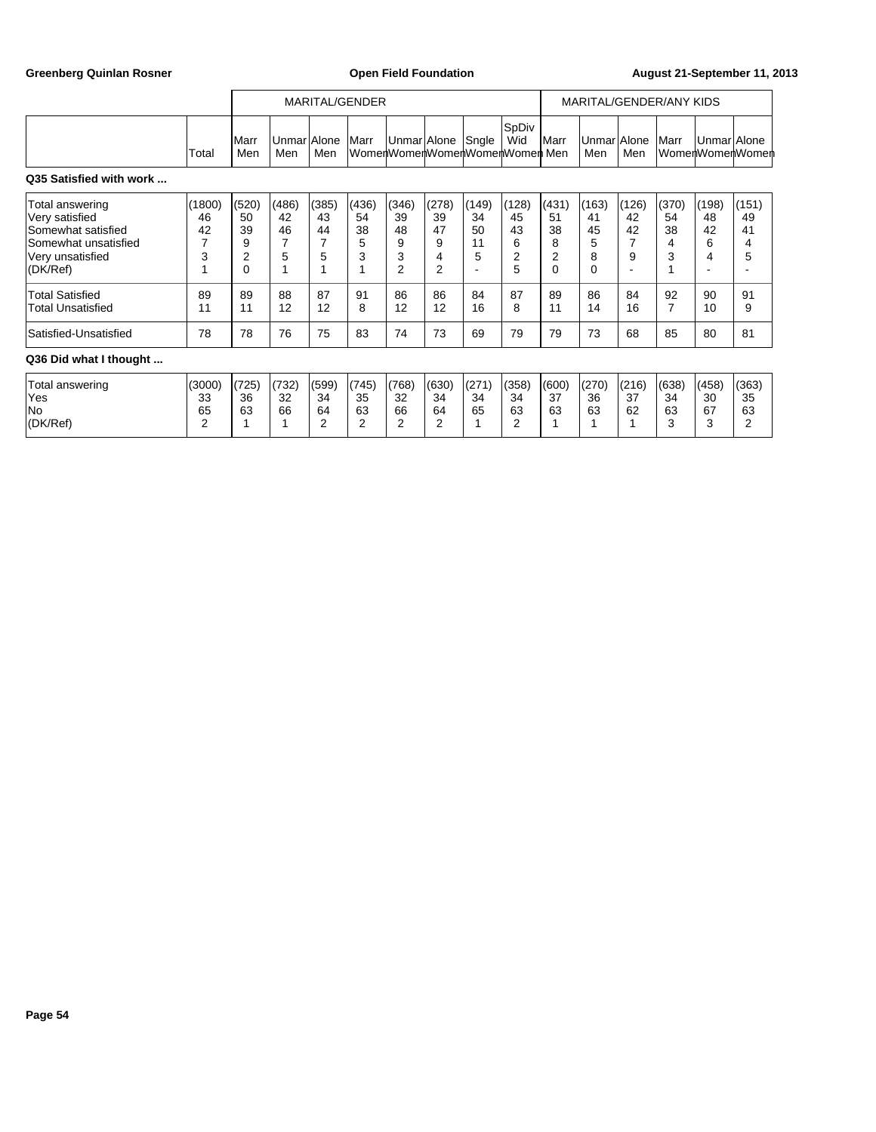Greenberg Quinlan Rosner **Communist Communist Communist Communist Communist Communist Communist Communist Communist Communist Communist Communist Communist Communist Communist Communist Communist Communist Communist Commun** 

|                                                                                                                                           |                                         |                                                                | MARITAL/GENDER                         |                                   |                                   |                                                     |                                        |                                    |                                               | MARITAL/GENDER/ANY KIDS                       |                                        |                                   |                                        |                                   |                                   |
|-------------------------------------------------------------------------------------------------------------------------------------------|-----------------------------------------|----------------------------------------------------------------|----------------------------------------|-----------------------------------|-----------------------------------|-----------------------------------------------------|----------------------------------------|------------------------------------|-----------------------------------------------|-----------------------------------------------|----------------------------------------|-----------------------------------|----------------------------------------|-----------------------------------|-----------------------------------|
|                                                                                                                                           | Total                                   | Marr<br>Men                                                    | UnmarlAlone<br>Men                     | Men                               | Marr                              | UnmarlAlone                                         |                                        | Sngle                              | SpDiv<br>Wid<br>WomenWomenWomenWomenWomen Men | <b>I</b> Marr                                 | Unmar Alone<br>Men                     | Men                               | Marr                                   | Unmar Alone                       | ∣WomenWomenWomenl                 |
| Q35 Satisfied with work                                                                                                                   |                                         |                                                                |                                        |                                   |                                   |                                                     |                                        |                                    |                                               |                                               |                                        |                                   |                                        |                                   |                                   |
| Total answering<br>Very satisfied<br>Somewhat satisfied<br>Somewhat unsatisfied<br>Very unsatisfied<br>(DK/Ref)<br><b>Total Satisfied</b> | (1800)<br>46<br>42<br>7<br>3<br>4<br>89 | (520)<br>50<br>39<br>9<br>$\overline{2}$<br>$\mathbf{0}$<br>89 | (486)<br>42<br>46<br>7<br>5<br>1<br>88 | (385)<br>43<br>44<br>7<br>5<br>87 | (436)<br>54<br>38<br>5<br>3<br>91 | (346)<br>39<br>48<br>9<br>3<br>$\overline{2}$<br>86 | (278)<br>39<br>47<br>9<br>4<br>2<br>86 | (149)<br>34<br>50<br>11<br>5<br>84 | (128)<br>45<br>43<br>6<br>2<br>5<br>87        | (431)<br>51<br>38<br>8<br>2<br>$\Omega$<br>89 | (163)<br>41<br>45<br>5<br>8<br>0<br>86 | (126)<br>42<br>42<br>7<br>9<br>84 | (370)<br>54<br>38<br>4<br>3<br>1<br>92 | (198)<br>48<br>42<br>6<br>4<br>90 | (151)<br>49<br>41<br>4<br>5<br>91 |
| <b>Total Unsatisfied</b><br>Satisfied-Unsatisfied                                                                                         | 11<br>78                                | 11<br>78                                                       | 12<br>76                               | 12<br>75                          | 8<br>83                           | 12<br>74                                            | 12<br>73                               | 16<br>69                           | 8<br>79                                       | 11<br>79                                      | 14<br>73                               | 16<br>68                          | 7<br>85                                | 10<br>80                          | 9<br>81                           |
| Q36 Did what I thought                                                                                                                    |                                         |                                                                |                                        |                                   |                                   |                                                     |                                        |                                    |                                               |                                               |                                        |                                   |                                        |                                   |                                   |
| Total answering<br>Yes<br>No<br>(DK/Ref)                                                                                                  | (3000)<br>33<br>65<br>2                 | (725)<br>36<br>63                                              | (732)<br>32<br>66                      | (599)<br>34<br>64<br>2            | (745)<br>35<br>63<br>2            | (768)<br>32<br>66<br>2                              | (630)<br>34<br>64<br>2                 | (271)<br>34<br>65                  | (358)<br>34<br>63<br>2                        | (600)<br>37<br>63                             | (270)<br>36<br>63                      | (216)<br>37<br>62                 | (638)<br>34<br>63<br>3                 | (458)<br>30<br>67<br>3            | (363)<br>35<br>63<br>2            |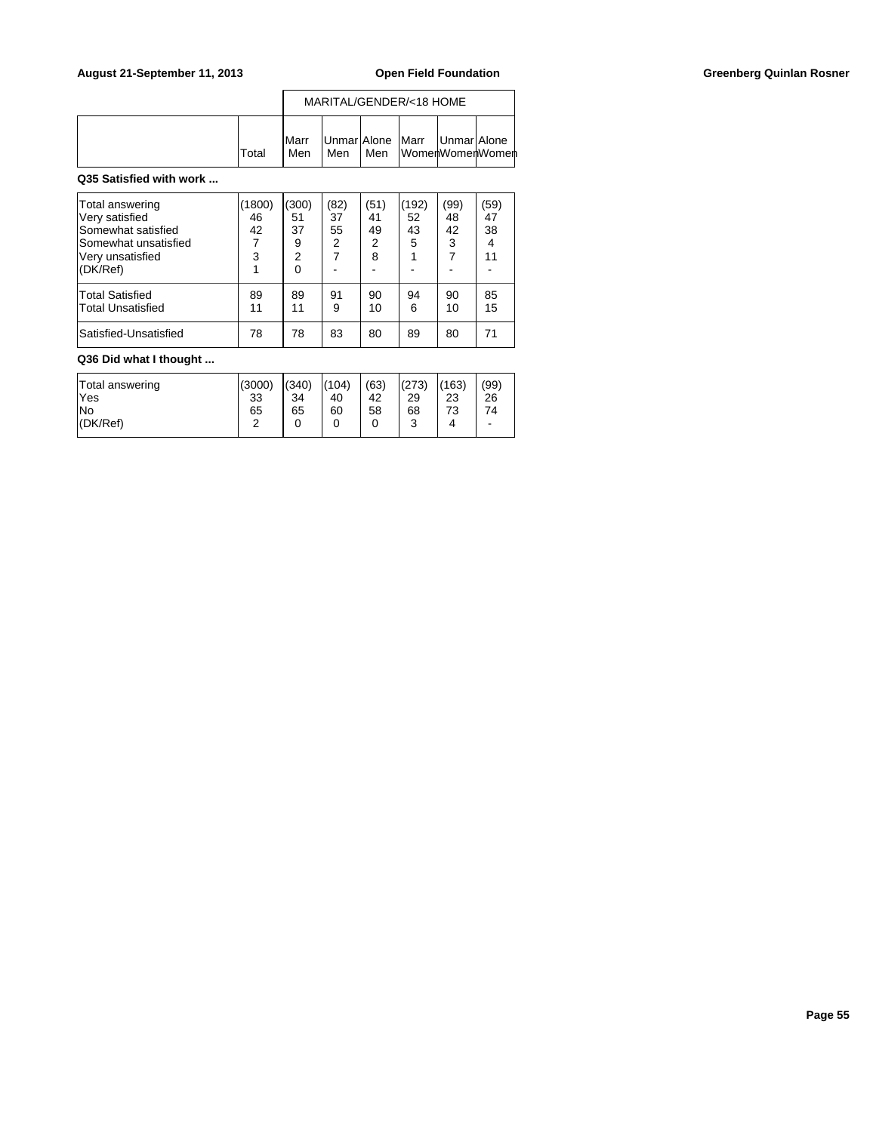## August 21-September 11, 2013 **Open Field Foundation Greenberg Quinlan Rosner Greenberg Quinlan Rosner**

|       |                       |     |     | MARITAL/GENDER/<18 HOME                           |  |
|-------|-----------------------|-----|-----|---------------------------------------------------|--|
| Total | <b>IMarr</b><br>l Men | Men | Men | Unmar Alone Marr   Unmar Alone<br>WomenWomenWomen |  |

## **Q35 Satisfied with work ...**

| Total answering<br>Very satisfied<br>Somewhat satisfied<br>Somewhat unsatisfied<br>Very unsatisfied<br>(DK/Ref) | 1800)<br>46<br>42<br>3 | (300)<br>51<br>37<br>9<br>$\overline{2}$<br>0 | (82)<br>37<br>55<br>2<br>7 | (51)<br>41<br>49<br>2<br>8 | 192)<br>52<br>43<br>5 | (99)<br>48<br>42<br>3<br>7 | (59)<br>47<br>38<br>11 |
|-----------------------------------------------------------------------------------------------------------------|------------------------|-----------------------------------------------|----------------------------|----------------------------|-----------------------|----------------------------|------------------------|
| <b>Total Satisfied</b><br><b>Total Unsatisfied</b>                                                              | 89<br>11               | 89<br>11                                      | 91<br>9                    | 90<br>10                   | 94<br>6               | 90<br>10                   | 85<br>15               |
| Satisfied-Unsatisfied                                                                                           | 78                     | 78                                            | 83                         | 80                         | 89                    | 80                         | 71                     |

# **Q36 Did what I thought ...**

| Total answering<br>lYes | (3000)<br>33 | (340)<br>34 | (104)<br>40 | (63)<br>42 | (273)<br>29 | (163)<br>23 | (99)<br>26               |
|-------------------------|--------------|-------------|-------------|------------|-------------|-------------|--------------------------|
| lNo                     | 65           | 65          | 60          | 58         | 68          | 73          | 74                       |
| I(DK/Ref)               | ົ            | 0           |             |            | ົ<br>υ      |             | $\overline{\phantom{a}}$ |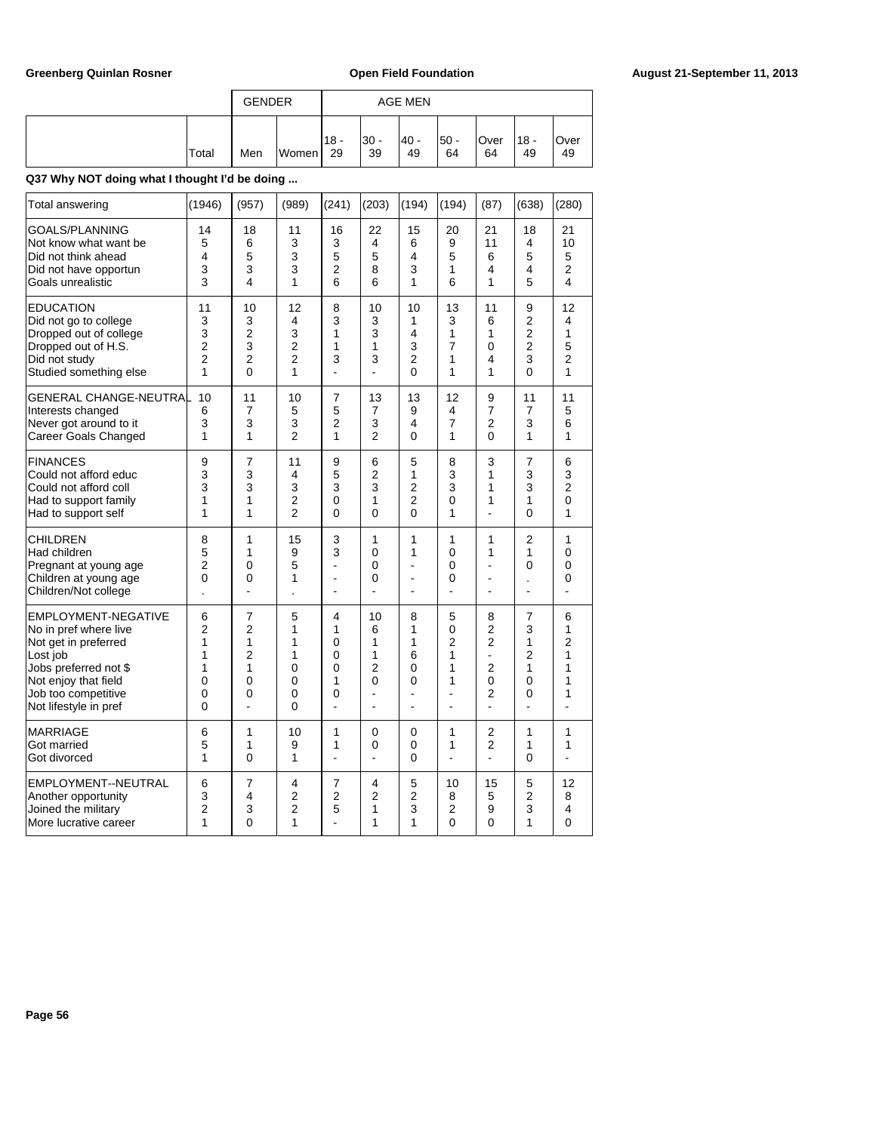|       | <b>GENDER</b> |       |               |             | <b>AGE MEN</b> |            |            | '18 -<br>49 |            |
|-------|---------------|-------|---------------|-------------|----------------|------------|------------|-------------|------------|
| Total | Men           | Women | $118 -$<br>29 | l30 -<br>39 | 40 -<br>49     | 50 -<br>64 | Over<br>64 |             | Over<br>49 |

| Total answering                                                                                                                                                                   | (1946)                                                       | (957)                                                           | (989)                                | (241)                                         | (203)                             | (194)                                   | (194)                            | (87)                                                                        | (638)                                             | (280)                                                          |
|-----------------------------------------------------------------------------------------------------------------------------------------------------------------------------------|--------------------------------------------------------------|-----------------------------------------------------------------|--------------------------------------|-----------------------------------------------|-----------------------------------|-----------------------------------------|----------------------------------|-----------------------------------------------------------------------------|---------------------------------------------------|----------------------------------------------------------------|
| GOALS/PLANNING                                                                                                                                                                    | 14                                                           | 18                                                              | 11                                   | 16                                            | 22                                | 15                                      | 20                               | 21                                                                          | 18                                                | 21                                                             |
| Not know what want be                                                                                                                                                             | 5                                                            | 6                                                               | 3                                    | 3                                             | 4                                 | 6                                       | 9                                | 11                                                                          | 4                                                 | 10                                                             |
| Did not think ahead                                                                                                                                                               | 4                                                            | 5                                                               | 3                                    | 5                                             | 5                                 | 4                                       | 5                                | 6                                                                           | 5                                                 | 5                                                              |
| Did not have opportun                                                                                                                                                             | 3                                                            | 3                                                               | 3                                    | 2                                             | 8                                 | 3                                       | 1                                | 4                                                                           | 4                                                 | $\overline{c}$                                                 |
| Goals unrealistic                                                                                                                                                                 | 3                                                            | 4                                                               | 1                                    | 6                                             | 6                                 | 1                                       | 6                                | 1                                                                           | 5                                                 | 4                                                              |
| <b>EDUCATION</b>                                                                                                                                                                  | 11                                                           | 10                                                              | 12                                   | 8                                             | 10                                | 10                                      | 13                               | 11                                                                          | 9                                                 | 12                                                             |
| Did not go to college                                                                                                                                                             | 3                                                            | 3                                                               | 4                                    | 3                                             | 3                                 | 1                                       | 3                                | 6                                                                           | $\overline{2}$                                    | 4                                                              |
| Dropped out of college                                                                                                                                                            | 3                                                            | $\overline{2}$                                                  | 3                                    | 1                                             | 3                                 | 4                                       | 1                                | 1                                                                           | $\overline{2}$                                    | 1                                                              |
| Dropped out of H.S.                                                                                                                                                               | 2                                                            | 3                                                               | $\mathfrak{p}$                       | 1                                             | 1                                 | 3                                       | 7                                | 0                                                                           | $\overline{2}$                                    | 5                                                              |
| Did not study                                                                                                                                                                     | 2                                                            | $\overline{2}$                                                  | $\overline{2}$                       | 3                                             | 3                                 | 2                                       | 1                                | 4                                                                           | 3                                                 | $\overline{2}$                                                 |
| Studied something else                                                                                                                                                            | 1                                                            | 0                                                               | 1                                    | ä,                                            | ٠                                 | 0                                       | 1                                | 1                                                                           | 0                                                 | 1                                                              |
| GENERAL CHANGE-NEUTRAL                                                                                                                                                            | 10                                                           | 11                                                              | 10                                   | 7                                             | 13                                | 13                                      | 12                               | 9                                                                           | 11                                                | 11                                                             |
| Interests changed                                                                                                                                                                 | 6                                                            | 7                                                               | 5                                    | 5                                             | 7                                 | 9                                       | 4                                | 7                                                                           | 7                                                 | 5                                                              |
| Never got around to it                                                                                                                                                            | 3                                                            | 3                                                               | 3                                    | $\overline{2}$                                | 3                                 | 4                                       | 7                                | $\overline{2}$                                                              | 3                                                 | 6                                                              |
| Career Goals Changed                                                                                                                                                              | 1                                                            | 1                                                               | $\overline{2}$                       | 1                                             | 2                                 | $\mathbf{0}$                            | 1                                | 0                                                                           | 1                                                 | 1                                                              |
| <b>FINANCES</b>                                                                                                                                                                   | 9                                                            | $\overline{7}$                                                  | 11                                   | 9                                             | 6                                 | 5                                       | 8                                | 3                                                                           | 7                                                 | 6                                                              |
| Could not afford educ                                                                                                                                                             | 3                                                            | 3                                                               | 4                                    | 5                                             | $\overline{2}$                    | 1                                       | 3                                | 1                                                                           | 3                                                 | 3                                                              |
| Could not afford coll                                                                                                                                                             | 3                                                            | 3                                                               | 3                                    | 3                                             | 3                                 | 2                                       | 3                                | 1                                                                           | 3                                                 | $\overline{2}$                                                 |
| Had to support family                                                                                                                                                             | 1                                                            | 1                                                               | $\overline{2}$                       | $\mathbf{0}$                                  | 1                                 | $\overline{2}$                          | 0                                | 1                                                                           | 1                                                 | $\overline{0}$                                                 |
| Had to support self                                                                                                                                                               | 1                                                            | 1                                                               | $\overline{2}$                       | 0                                             | 0                                 | $\mathbf{0}$                            | 1                                | ÷,                                                                          | 0                                                 | 1                                                              |
| <b>CHILDREN</b><br>Had children<br>Pregnant at young age<br>Children at young age<br>Children/Not college                                                                         | 8<br>5<br>2<br>0                                             | 1<br>1<br>0<br>0                                                | 15<br>9<br>5<br>1                    | 3<br>3<br>÷,<br>ä,<br>÷.                      | 1<br>0<br>0<br>0                  | 1<br>1<br>L,<br>ä,<br>$\overline{a}$    | 1<br>0<br>0<br>0<br>L.           | 1<br>1<br>÷,<br>ä,<br>$\overline{a}$                                        | 2<br>1<br>0<br>$\cdot$<br>L,                      | 1<br>0<br>0<br>0<br>L.                                         |
| EMPLOYMENT-NEGATIVE<br>No in pref where live<br>Not get in preferred<br>Lost job<br>Jobs preferred not \$<br>Not enjoy that field<br>Job too competitive<br>Not lifestyle in pref | 6<br>$\overline{2}$<br>1<br>1<br>1<br>0<br>0<br>$\mathbf{0}$ | $\overline{7}$<br>2<br>1<br>$\overline{2}$<br>1<br>0<br>0<br>÷, | 5<br>1<br>1<br>1<br>0<br>0<br>0<br>0 | 4<br>1<br>0<br>0<br>$\Omega$<br>1<br>$\Omega$ | 10<br>6<br>1<br>1<br>2<br>0<br>ä, | 8<br>1<br>1<br>6<br>$\Omega$<br>0<br>ä, | 5<br>0<br>2<br>1<br>1<br>1<br>ä, | 8<br>2<br>$\overline{2}$<br>-<br>$\overline{2}$<br>0<br>2<br>$\overline{a}$ | 7<br>3<br>1<br>2<br>1<br>0<br>0<br>$\overline{a}$ | 6<br>1<br>$\overline{2}$<br>1<br>1<br>1<br>1<br>$\overline{a}$ |
| <b>MARRIAGE</b>                                                                                                                                                                   | 6                                                            | 1                                                               | 10                                   | 1                                             | 0                                 | $\mathbf{0}$                            | 1                                | 2                                                                           | 1                                                 | 1                                                              |
| Got married                                                                                                                                                                       | 5                                                            | 1                                                               | 9                                    | 1                                             | 0                                 | $\Omega$                                | 1                                | $\overline{2}$                                                              | 1                                                 | 1                                                              |
| Got divorced                                                                                                                                                                      | 1                                                            | 0                                                               | 1                                    | $\overline{a}$                                | $\overline{a}$                    | $\mathbf{0}$                            | L.                               | $\overline{a}$                                                              | 0                                                 | $\overline{a}$                                                 |
| EMPLOYMENT--NEUTRAL<br>Another opportunity<br>Joined the military<br>More lucrative career                                                                                        | 6<br>3<br>2<br>1                                             | 7<br>4<br>3<br>$\Omega$                                         | 4<br>2<br>2<br>1                     | 7<br>2<br>5                                   | 4<br>2<br>1<br>1                  | 5<br>2<br>3<br>1                        | 10<br>8<br>2<br>$\Omega$         | 15<br>5<br>9<br>0                                                           | 5<br>2<br>3<br>1                                  | 12<br>8<br>4<br>$\Omega$                                       |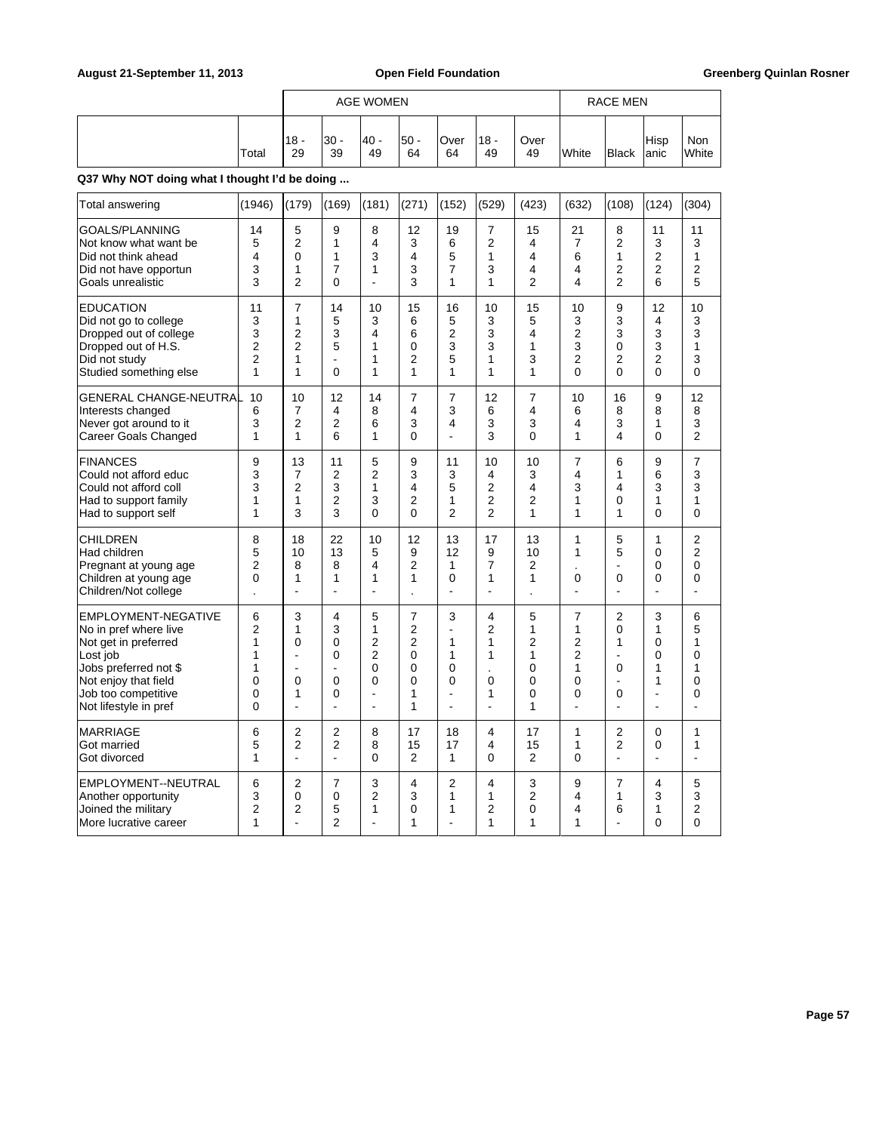|                                                                                                                                                                                   |                                                    |                                                      |                                                    | <b>AGE WOMEN</b>                                                                              |                                                          |                                                                                 |                                                  |                                                                     |                                            | RACE MEN<br>Hisp<br><b>Black</b><br>anic<br>(108)<br>(124)<br>8<br>11<br>$\overline{2}$<br>3<br>7<br>$\overline{c}$<br>6<br>1<br>$\overline{2}$<br>$\overline{2}$<br>4<br>4<br>$\overline{2}$<br>6 |                                                                |                                                            |
|-----------------------------------------------------------------------------------------------------------------------------------------------------------------------------------|----------------------------------------------------|------------------------------------------------------|----------------------------------------------------|-----------------------------------------------------------------------------------------------|----------------------------------------------------------|---------------------------------------------------------------------------------|--------------------------------------------------|---------------------------------------------------------------------|--------------------------------------------|----------------------------------------------------------------------------------------------------------------------------------------------------------------------------------------------------|----------------------------------------------------------------|------------------------------------------------------------|
|                                                                                                                                                                                   | Total                                              | $18 -$<br>29                                         | 30 -<br>39                                         | 40 -<br>49                                                                                    | $50 -$<br>64                                             | Over<br>64                                                                      | $18 -$<br>49                                     | Over<br>49                                                          | White                                      |                                                                                                                                                                                                    |                                                                | Non<br>White                                               |
| Q37 Why NOT doing what I thought I'd be doing                                                                                                                                     |                                                    |                                                      |                                                    |                                                                                               |                                                          |                                                                                 |                                                  |                                                                     |                                            |                                                                                                                                                                                                    |                                                                |                                                            |
| Total answering                                                                                                                                                                   | (1946)                                             | (179)                                                | (169)                                              | (181)                                                                                         | (271)                                                    | (152)                                                                           | (529)                                            | (423)                                                               | (632)                                      |                                                                                                                                                                                                    |                                                                | (304)                                                      |
| GOALS/PLANNING<br>Not know what want be<br>Did not think ahead<br>Did not have opportun<br>Goals unrealistic                                                                      | 14<br>5<br>4<br>3<br>3                             | 5<br>$\overline{2}$<br>0<br>$\mathbf{1}$<br>2        | 9<br>1<br>1<br>$\overline{7}$<br>0                 | 8<br>4<br>3<br>1                                                                              | 12<br>3<br>4<br>3<br>3                                   | 19<br>6<br>5<br>$\overline{7}$<br>1                                             | 7<br>$\overline{2}$<br>1<br>3<br>1               | 15<br>4<br>4<br>4<br>$\overline{2}$                                 | 21                                         |                                                                                                                                                                                                    |                                                                | 11<br>3<br>1<br>2<br>5                                     |
| <b>EDUCATION</b><br>Did not go to college<br>Dropped out of college<br>Dropped out of H.S.<br>Did not study<br>Studied something else                                             | 11<br>3<br>3<br>2<br>$\overline{2}$<br>1           | $\overline{7}$<br>1<br>$\overline{2}$<br>2<br>1<br>1 | 14<br>5<br>3<br>5<br>$\mathbf 0$                   | 10<br>3<br>4<br>1<br>1<br>1                                                                   | 15<br>6<br>6<br>0<br>2<br>1                              | 16<br>5<br>$\overline{2}$<br>3<br>5<br>1                                        | 10<br>3<br>3<br>3<br>1<br>1                      | 15<br>5<br>4<br>$\mathbf{1}$<br>3<br>1                              | 10<br>3<br>2<br>3<br>2<br>0                | 9<br>3<br>3<br>$\mathbf 0$<br>$\overline{2}$<br>$\mathbf 0$                                                                                                                                        | 12<br>4<br>3<br>3<br>$\overline{2}$<br>0                       | 10<br>3<br>3<br>1<br>3<br>0                                |
| GENERAL CHANGE-NEUTRAL<br>Interests changed<br>Never got around to it<br>Career Goals Changed                                                                                     | 10<br>6<br>3<br>1                                  | 10<br>7<br>2<br>1                                    | 12<br>4<br>2<br>6                                  | 14<br>8<br>6<br>1                                                                             | 7<br>4<br>3<br>0                                         | 7<br>3<br>4<br>$\overline{a}$                                                   | 12<br>6<br>3<br>3                                | 7<br>4<br>3<br>$\Omega$                                             | 10<br>6<br>4<br>1                          | 16<br>8<br>3<br>4                                                                                                                                                                                  | 9<br>8<br>1<br>$\Omega$                                        | 12<br>8<br>3<br>$\overline{2}$                             |
| <b>FINANCES</b><br>Could not afford educ<br>Could not afford coll<br>Had to support family<br>Had to support self                                                                 | 9<br>3<br>3<br>1<br>1                              | 13<br>$\overline{7}$<br>2<br>1<br>3                  | 11<br>2<br>3<br>2<br>3                             | 5<br>2<br>1<br>3<br>$\Omega$                                                                  | 9<br>3<br>4<br>$\overline{2}$<br>$\mathbf{0}$            | 11<br>3<br>5<br>1<br>$\overline{2}$                                             | 10<br>4<br>2<br>$\overline{2}$<br>$\overline{2}$ | 10<br>3<br>4<br>2<br>1                                              | 7<br>4<br>3<br>1<br>1                      | 6<br>1<br>$\overline{\mathbf{A}}$<br>0<br>1                                                                                                                                                        | 9<br>6<br>3<br>1<br>$\Omega$                                   | $\overline{7}$<br>3<br>3<br>1<br>$\Omega$                  |
| CHILDREN<br>Had children<br>Pregnant at young age<br>Children at young age<br>Children/Not college                                                                                | 8<br>5<br>2<br>$\mathbf 0$                         | 18<br>10<br>8<br>1<br>$\overline{a}$                 | 22<br>13<br>8<br>1<br>÷.                           | 10<br>5<br>4<br>1<br>L.                                                                       | 12<br>9<br>2<br>1                                        | 13<br>12<br>1<br>0<br>÷.                                                        | 17<br>9<br>$\overline{7}$<br>1<br>L.             | 13<br>10<br>2<br>$\mathbf{1}$                                       | 1<br>1<br>0<br>٠                           | 5<br>5<br>$\overline{\phantom{a}}$<br>$\mathbf 0$<br>÷                                                                                                                                             | $\mathbf{1}$<br>0<br>0<br>0<br>÷.                              | $\overline{2}$<br>$\overline{2}$<br>$\mathbf{0}$<br>0<br>٠ |
| EMPLOYMENT-NEGATIVE<br>No in pref where live<br>Not get in preferred<br>Lost job<br>Jobs preferred not \$<br>Not enjoy that field<br>Job too competitive<br>Not lifestyle in pref | 6<br>2<br>1<br>1<br>1<br>$\Omega$<br>$\Omega$<br>0 | 3<br>1<br>0<br>L,<br>L,<br>0<br>1<br>L               | 4<br>3<br>0<br>0<br>ä,<br>0<br>0<br>$\overline{a}$ | 5<br>1<br>$\overline{2}$<br>$\overline{2}$<br>$\mathbf 0$<br>$\Omega$<br>L,<br>$\blacksquare$ | 7<br>2<br>$\overline{2}$<br>0<br>0<br>$\Omega$<br>1<br>1 | 3<br>$\mathbf{1}$<br>$\mathbf{1}$<br>0<br>0<br>$\blacksquare$<br>$\overline{a}$ | 4<br>2<br>1<br>1<br>$\Omega$<br>1                | 5<br>1<br>$\overline{2}$<br>$\mathbf{1}$<br>0<br>$\Omega$<br>0<br>1 | 7<br>1<br>2<br>2<br>1<br>$\mathbf{0}$<br>0 | $\overline{2}$<br>0<br>1<br>÷<br>0<br>$\overline{\phantom{a}}$<br>0                                                                                                                                | 3<br>1<br>0<br>0<br>1<br>1<br>$\overline{a}$<br>$\overline{a}$ | 6<br>5<br>1<br>0<br>1<br>$\Omega$<br>0                     |
| <b>MARRIAGE</b><br>Got married<br>Got divorced                                                                                                                                    | 6<br>5<br>1                                        | 2<br>$\overline{2}$                                  | 2<br>$\overline{2}$                                | 8<br>8<br>0                                                                                   | 17<br>15<br>$\overline{2}$                               | 18<br>17<br>$\mathbf{1}$                                                        | 4<br>4<br>0                                      | 17<br>15<br>$\overline{2}$                                          | 1<br>1<br>0                                | $\overline{2}$<br>$\overline{2}$                                                                                                                                                                   | 0<br>0                                                         | 1<br>1                                                     |
| EMPLOYMENT--NEUTRAL<br>Another opportunity<br>Joined the military<br>More lucrative career                                                                                        | 6<br>3<br>$\overline{2}$<br>1                      | 2<br>0<br>2                                          | 7<br>0<br>5<br>$\overline{2}$                      | 3<br>2<br>1                                                                                   | 4<br>3<br>0<br>1                                         | 2<br>1<br>$\mathbf{1}$                                                          | 4<br>1<br>$\overline{2}$<br>1                    | 3<br>2<br>0<br>1                                                    | 9<br>4<br>4<br>1                           | 7<br>1<br>6                                                                                                                                                                                        | 4<br>3<br>1<br>0                                               | 5<br>3<br>$\overline{2}$<br>$\Omega$                       |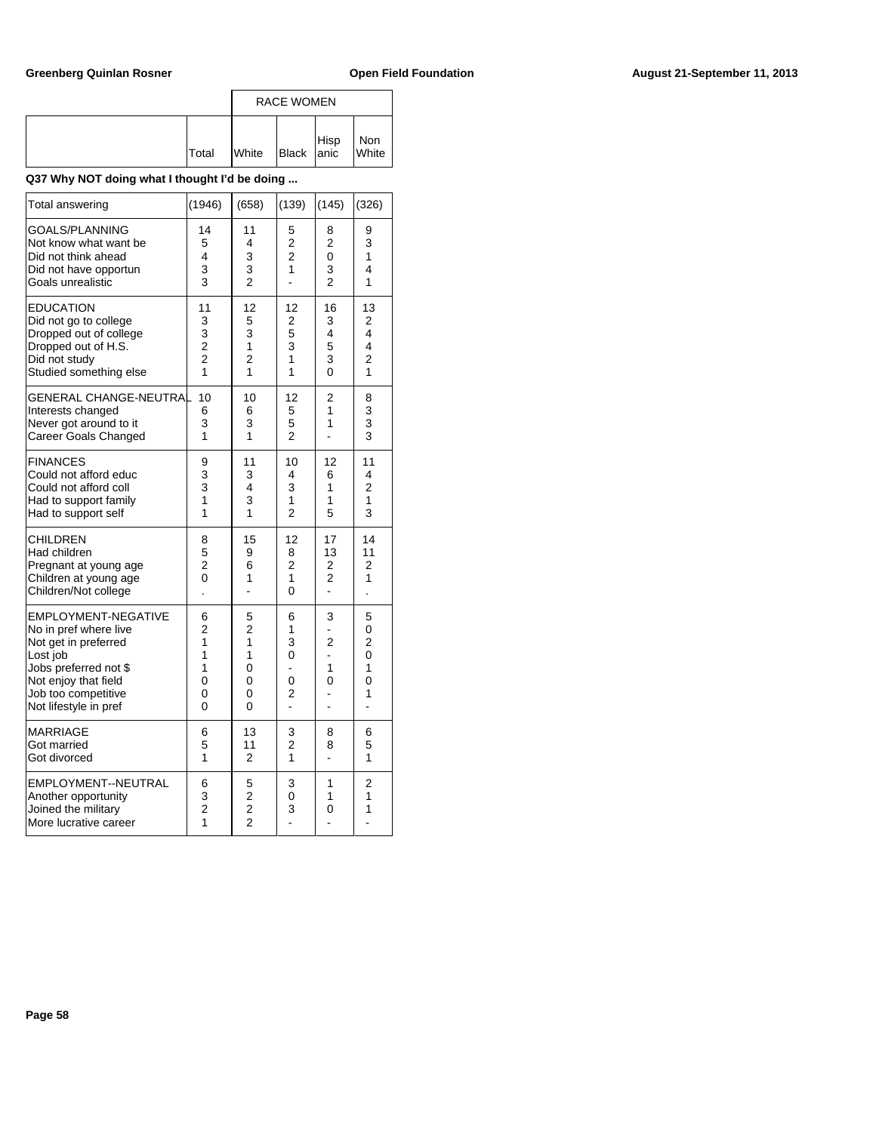|              |              | <b>RACE WOMEN</b> |      |              |
|--------------|--------------|-------------------|------|--------------|
| <b>Total</b> | <b>White</b> | Black anic        | Hisp | Non<br>White |

| Total answering                                                                                                                                                                          | (1946)                                                | (658)                                             | (139)                                  | (145)                                                        | (326)                                    |
|------------------------------------------------------------------------------------------------------------------------------------------------------------------------------------------|-------------------------------------------------------|---------------------------------------------------|----------------------------------------|--------------------------------------------------------------|------------------------------------------|
| <b>GOALS/PLANNING</b><br>Not know what want be<br>Did not think ahead<br>Did not have opportun<br>Goals unrealistic                                                                      | 14<br>5<br>4<br>3<br>3                                | 11<br>4<br>3<br>3<br>$\mathfrak{p}$               | 5<br>2<br>$\overline{2}$<br>1          | 8<br>$\overline{2}$<br>$\overline{0}$<br>3<br>$\overline{2}$ | 9<br>3<br>1<br>4<br>1                    |
| <b>EDUCATION</b><br>Did not go to college<br>Dropped out of college<br>Dropped out of H.S.<br>Did not study<br>Studied something else                                                    | 11<br>3<br>3<br>$\overline{c}$<br>$\overline{2}$<br>1 | 12<br>5<br>3<br>1<br>2<br>1                       | 12<br>2<br>5<br>3<br>1<br>1            | 16<br>3<br>4<br>5<br>3<br>0                                  | 13<br>2<br>4<br>4<br>$\overline{2}$<br>1 |
| <b>GENERAL CHANGE-NEUTRA</b><br>Interests changed<br>Never got around to it<br>Career Goals Changed                                                                                      | 10<br>6<br>3<br>1                                     | 10<br>6<br>3<br>1                                 | 12<br>5<br>5<br>$\overline{2}$         | 2<br>1<br>1                                                  | 8<br>3<br>3<br>3                         |
| <b>FINANCES</b><br>Could not afford educ<br>Could not afford coll<br>Had to support family<br>Had to support self                                                                        | 9<br>3<br>3<br>1<br>1                                 | 11<br>3<br>4<br>3<br>1                            | 10<br>4<br>3<br>1<br>$\overline{2}$    | 12<br>6<br>1<br>1<br>5                                       | 11<br>4<br>$\overline{2}$<br>1<br>3      |
| <b>CHILDREN</b><br>Had children<br>Pregnant at young age<br>Children at young age<br>Children/Not college                                                                                | 8<br>5<br>2<br>0                                      | 15<br>9<br>6<br>1<br>$\overline{a}$               | 12<br>8<br>2<br>1<br>0                 | 17<br>13<br>2<br>2<br>$\overline{a}$                         | 14<br>11<br>2<br>1                       |
| <b>EMPLOYMENT-NEGATIVE</b><br>No in pref where live<br>Not get in preferred<br>Lost job<br>Jobs preferred not \$<br>Not enjoy that field<br>Job too competitive<br>Not lifestyle in pref | 6<br>$\overline{2}$<br>1<br>1<br>1<br>0<br>0<br>0     | 5<br>$\overline{2}$<br>1<br>1<br>0<br>0<br>0<br>0 | 6<br>1<br>3<br>0<br>L.<br>0<br>2<br>L. | 3<br>$\overline{2}$<br>L.<br>1<br>0                          | 5<br>0<br>2<br>0<br>1<br>0<br>1<br>ä,    |
| MARRIAGE<br>Got married<br>Got divorced                                                                                                                                                  | 6<br>5<br>1                                           | 13<br>11<br>$\overline{2}$                        | 3<br>$\overline{2}$<br>1               | 8<br>8                                                       | 6<br>5<br>1                              |
| EMPLOYMENT--NEUTRAL<br>Another opportunity<br>Joined the military<br>More lucrative career                                                                                               | 6<br>3<br>$\overline{2}$<br>1                         | 5<br>$\frac{2}{2}$<br>$\overline{2}$              | 3<br>0<br>3                            | 1<br>1<br>0                                                  | 2<br>1<br>1                              |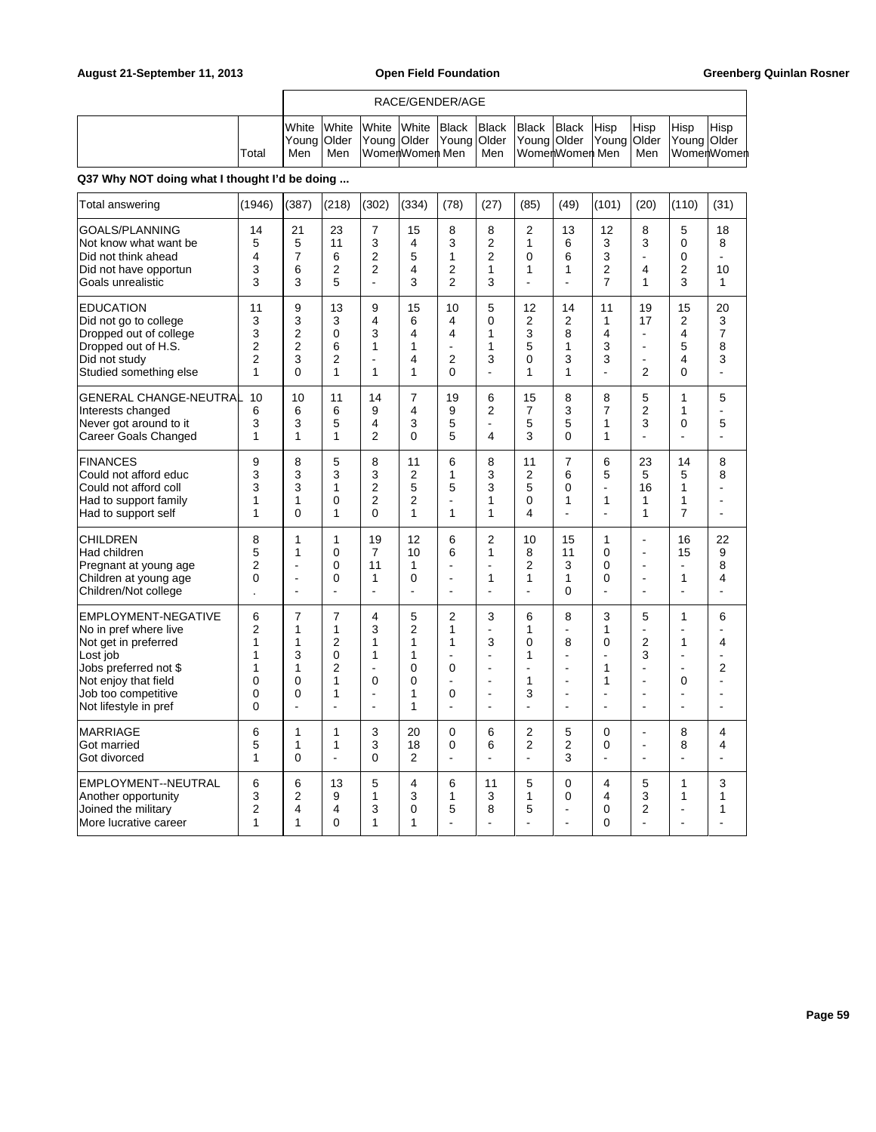|       |                       |                                                                                                                             | RACE/GENDER/AGE |     |                |             |                     |             |                       |
|-------|-----------------------|-----------------------------------------------------------------------------------------------------------------------------|-----------------|-----|----------------|-------------|---------------------|-------------|-----------------------|
| Total | <b>I</b> White<br>Men | White White White Black Black Black<br> Young Older  Young Older  Young Older  Young Older  Young Older  Young Older<br>Men | WomenWomen Men  | Men | WomenWomen Men | IBlack Hisp | <b>IHisp</b><br>Men | <b>Hisp</b> | Hisp<br>∣WomerlWomerl |

| Total answering                                                                                                                                                                   | (1946)                                   | (387)                                                      | (218)                                                           | (302)                                             | (334)                                                       | (78)                                                            | (27)                                                                          | (85)                                                         | (49)                                                   | (101)                                               | (20)                                                   | (110)                                                           | (31)                                                         |
|-----------------------------------------------------------------------------------------------------------------------------------------------------------------------------------|------------------------------------------|------------------------------------------------------------|-----------------------------------------------------------------|---------------------------------------------------|-------------------------------------------------------------|-----------------------------------------------------------------|-------------------------------------------------------------------------------|--------------------------------------------------------------|--------------------------------------------------------|-----------------------------------------------------|--------------------------------------------------------|-----------------------------------------------------------------|--------------------------------------------------------------|
| <b>GOALS/PLANNING</b><br>Not know what want be<br>Did not think ahead<br>Did not have opportun<br>Goals unrealistic                                                               | 14<br>5<br>4<br>3<br>3                   | 21<br>5<br>$\overline{7}$<br>6<br>3                        | 23<br>11<br>6<br>2<br>5                                         | 7<br>3<br>2<br>2<br>L.                            | 15<br>4<br>5<br>$\overline{4}$<br>3                         | 8<br>3<br>1<br>2<br>$\overline{2}$                              | 8<br>2<br>$\overline{2}$<br>1<br>3                                            | $\overline{c}$<br>1<br>$\mathbf{0}$<br>1<br>÷.               | 13<br>6<br>6<br>1<br>÷.                                | 12<br>3<br>3<br>2<br>7                              | 8<br>3<br>$\overline{a}$<br>4<br>1                     | 5<br>0<br>$\Omega$<br>$\overline{2}$<br>3                       | 18<br>8<br>10<br>1                                           |
| <b>EDUCATION</b><br>Did not go to college<br>Dropped out of college<br>Dropped out of H.S.<br>Did not study<br>Studied something else                                             | 11<br>3<br>3<br>$\overline{2}$<br>2<br>1 | 9<br>3<br>2<br>$\overline{2}$<br>3<br>$\Omega$             | 13<br>3<br>0<br>6<br>2<br>1                                     | 9<br>4<br>3<br>1<br>1                             | 15<br>6<br>4<br>1<br>4<br>1                                 | 10<br>4<br>4<br>$\blacksquare$<br>2<br>$\mathbf{0}$             | 5<br>0<br>1<br>1<br>3<br>ä,                                                   | 12<br>2<br>3<br>5<br>0<br>1                                  | 14<br>2<br>8<br>1<br>3<br>1                            | 11<br>1<br>4<br>3<br>3                              | 19<br>17<br>÷,<br>÷,<br>÷,<br>$\overline{2}$           | 15<br>2<br>4<br>5<br>4<br>0                                     | 20<br>3<br>$\overline{7}$<br>8<br>3<br>ä,                    |
| <b>GENERAL CHANGE-NEUTRAL</b><br>Interests changed<br>Never got around to it<br><b>Career Goals Changed</b>                                                                       | 10<br>6<br>3<br>1                        | 10<br>6<br>3<br>1                                          | 11<br>6<br>5<br>1                                               | 14<br>9<br>4<br>$\overline{2}$                    | $\overline{7}$<br>4<br>3<br>$\Omega$                        | 19<br>9<br>5<br>5                                               | 6<br>$\overline{2}$<br>ä,<br>4                                                | 15<br>$\overline{7}$<br>5<br>3                               | 8<br>3<br>5<br>$\Omega$                                | 8<br>$\overline{7}$<br>1<br>1                       | 5<br>$\overline{2}$<br>3<br>$\overline{a}$             | 1<br>1<br>0<br>$\overline{a}$                                   | 5<br>$\blacksquare$<br>5<br>÷.                               |
| <b>FINANCES</b><br>Could not afford educ<br>Could not afford coll<br>Had to support family<br>Had to support self                                                                 | 9<br>3<br>3<br>1<br>1                    | 8<br>3<br>3<br>1<br>$\Omega$                               | 5<br>3<br>1<br>0<br>1                                           | 8<br>3<br>$\overline{2}$<br>2<br>$\mathbf{0}$     | 11<br>$\overline{2}$<br>5<br>$\overline{2}$<br>1            | 6<br>1<br>5<br>$\blacksquare$<br>1                              | 8<br>3<br>3<br>1<br>1                                                         | 11<br>$\overline{2}$<br>5<br>0<br>4                          | $\overline{7}$<br>6<br>0<br>1<br>÷.                    | 6<br>5<br>÷,<br>1<br>÷,                             | 23<br>5<br>16<br>1<br>1                                | 14<br>5<br>1<br>1<br>$\overline{7}$                             | 8<br>8<br>L.<br>÷<br>$\overline{a}$                          |
| <b>CHILDREN</b><br>Had children<br>Pregnant at young age<br>Children at young age<br>Children/Not college                                                                         | 8<br>5<br>$\overline{2}$<br>0            | 1<br>1<br>L,<br>$\overline{\phantom{a}}$                   | 1<br>0<br>0<br>0<br>÷,                                          | 19<br>$\overline{7}$<br>11<br>1<br>$\overline{a}$ | 12<br>10<br>$\mathbf{1}$<br>$\mathbf 0$<br>$\overline{a}$   | 6<br>6<br>L,<br>÷<br>$\blacksquare$                             | $\overline{2}$<br>$\mathbf{1}$<br>ä,<br>1<br>÷,                               | 10<br>8<br>$\overline{2}$<br>$\mathbf{1}$<br>÷,              | 15<br>11<br>3<br>1<br>$\Omega$                         | 1<br>0<br>0<br>0<br>÷,                              | $\overline{a}$<br>ä,<br>÷<br>ä,<br>÷                   | 16<br>15<br>L,<br>1<br>$\blacksquare$                           | 22<br>9<br>8<br>4<br>$\blacksquare$                          |
| EMPLOYMENT-NEGATIVE<br>No in pref where live<br>Not get in preferred<br>Lost job<br>Jobs preferred not \$<br>Not enjoy that field<br>Job too competitive<br>Not lifestyle in pref | 6<br>2<br>1<br>1<br>1<br>0<br>0<br>0     | $\overline{7}$<br>1<br>1<br>3<br>1<br>$\Omega$<br>$\Omega$ | $\overline{7}$<br>1<br>2<br>0<br>$\overline{c}$<br>1<br>1<br>÷, | 4<br>3<br>1<br>1<br>ä,<br>0<br>٠<br>÷,            | 5<br>$\overline{2}$<br>1<br>1<br>$\mathbf 0$<br>0<br>1<br>1 | 2<br>1<br>1<br>$\blacksquare$<br>0<br>$\blacksquare$<br>0<br>ä, | 3<br>ä,<br>3<br>÷.<br>٠<br>$\overline{a}$<br>$\blacksquare$<br>$\blacksquare$ | 6<br>1<br>$\mathbf 0$<br>1<br>$\blacksquare$<br>1<br>3<br>÷, | 8<br>L,<br>8<br>$\overline{a}$<br>$\blacksquare$<br>÷. | 3<br>1<br>0<br>$\blacksquare$<br>1<br>1<br>ä,<br>L. | 5<br>÷,<br>$\overline{2}$<br>3<br>ä,<br>L,<br>ä,<br>L, | 1<br>$\overline{a}$<br>1<br>ä,<br>$\overline{\phantom{a}}$<br>0 | 6<br>ä,<br>4<br>$\overline{a}$<br>$\overline{2}$<br>÷.<br>L. |
| <b>MARRIAGE</b><br>Got married<br>Got divorced                                                                                                                                    | 6<br>5<br>1                              | 1<br>1<br>$\Omega$                                         | 1<br>1<br>÷,                                                    | 3<br>3<br>0                                       | 20<br>18<br>2                                               | 0<br>0<br>$\blacksquare$                                        | 6<br>6<br>$\overline{\phantom{a}}$                                            | $\overline{2}$<br>$\overline{2}$<br>$\blacksquare$           | 5<br>$\overline{2}$<br>3                               | 0<br>0<br>$\overline{a}$                            | ä,<br>L,<br>÷                                          | 8<br>8<br>÷,                                                    | 4<br>4<br>$\overline{\phantom{a}}$                           |
| EMPLOYMENT--NEUTRAL<br>Another opportunity<br>Joined the military<br>More lucrative career                                                                                        | 6<br>3<br>2<br>1                         | 6<br>$\overline{2}$<br>4<br>1                              | 13<br>9<br>4<br>0                                               | 5<br>1<br>3<br>1                                  | $\overline{4}$<br>3<br>0<br>1                               | 6<br>1<br>5<br>٠                                                | 11<br>3<br>8<br>÷.                                                            | 5<br>1<br>5<br>÷                                             | $\Omega$<br>$\mathbf 0$<br>÷.                          | 4<br>4<br>0<br>0                                    | 5<br>3<br>2<br>$\overline{a}$                          | 1<br>1<br>$\overline{a}$                                        | 3<br>1<br>1                                                  |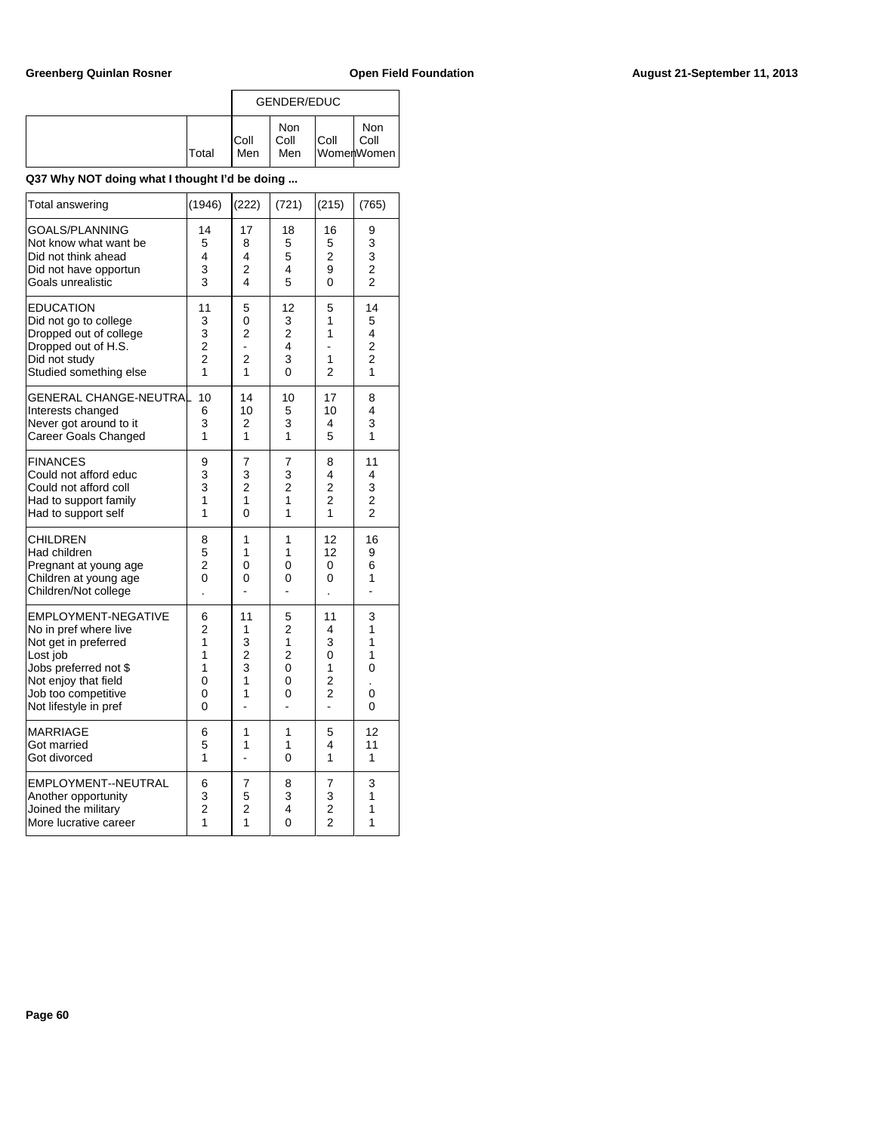|              |              | <b>GENDER/EDUC</b>        |      |                           |
|--------------|--------------|---------------------------|------|---------------------------|
| <b>Total</b> | IColl<br>Men | <b>Non</b><br>Coll<br>Men | Coll | Non<br>Coll<br>WomenWomen |

| Total answering                                                                                                                                                                   | (1946)                                                         | (222)                                                        | (721)                                                     | (215)                                                      | (765)                                                     |
|-----------------------------------------------------------------------------------------------------------------------------------------------------------------------------------|----------------------------------------------------------------|--------------------------------------------------------------|-----------------------------------------------------------|------------------------------------------------------------|-----------------------------------------------------------|
| GOALS/PLANNING<br>Not know what want be<br>Did not think ahead<br>Did not have opportun<br>Goals unrealistic                                                                      | 14<br>5<br>4<br>3<br>3                                         | 17<br>8<br>4<br>2<br>4                                       | 18<br>5<br>5<br>4<br>5                                    | 16<br>5<br>$\overline{2}$<br>9<br>0                        | 9<br>3<br>3<br>$\overline{\mathbf{c}}$<br>$\overline{2}$  |
| <b>EDUCATION</b><br>Did not go to college<br>Dropped out of college<br>Dropped out of H.S.<br>Did not study<br>Studied something else                                             | 11<br>3<br>3<br>$\overline{c}$<br>$\overline{2}$<br>1          | 5<br>0<br>2<br>÷,<br>$\overline{2}$<br>1                     | 12<br>3<br>2<br>4<br>3<br>0                               | 5<br>1<br>1<br>1<br>2                                      | 14<br>5<br>4<br>2<br>$\overline{c}$<br>1                  |
| <b>GENERAL CHANGE-NEUTRA</b><br>Interests changed<br>Never got around to it<br>Career Goals Changed                                                                               | 10<br>6<br>3<br>1                                              | 14<br>10<br>2<br>1                                           | 10<br>5<br>3<br>1                                         | 17<br>10<br>4<br>5                                         | 8<br>4<br>3<br>1                                          |
| <b>FINANCES</b><br>Could not afford educ<br>Could not afford coll<br>Had to support family<br>Had to support self                                                                 | 9<br>3<br>3<br>1<br>1                                          | 7<br>3<br>$\overline{c}$<br>$\overline{1}$<br>$\overline{0}$ | 7<br>3<br>$\overline{2}$<br>1<br>1                        | 8<br>4<br>$\overline{c}$<br>$\overline{2}$<br>1            | 11<br>4<br>3<br>$\overline{\mathbf{c}}$<br>$\overline{2}$ |
| <b>CHILDREN</b><br>Had children<br>Pregnant at young age<br>Children at young age<br>Children/Not college                                                                         | 8<br>5<br>$\overline{2}$<br>0                                  | 1<br>1<br>0<br>0                                             | 1<br>1<br>0<br>0                                          | 12<br>12<br>0<br>0                                         | 16<br>9<br>6<br>1<br>L.                                   |
| EMPLOYMENT-NEGATIVE<br>No in pref where live<br>Not get in preferred<br>Lost job<br>Jobs preferred not \$<br>Not enjoy that field<br>Job too competitive<br>Not lifestyle in pref | 6<br>$\overline{2}$<br>1<br>$\overline{1}$<br>1<br>0<br>0<br>0 | 11<br>1<br>3<br>$\overline{c}$<br>3<br>$\overline{1}$<br>1   | 5<br>$\overline{2}$<br>1<br>$\overline{2}$<br>0<br>0<br>0 | 11<br>4<br>3<br>0<br>1<br>$\overline{c}$<br>$\overline{2}$ | 3<br>1<br>1<br>1<br>0<br>0<br>0                           |
| <b>MARRIAGE</b><br>Got married<br>Got divorced                                                                                                                                    | 6<br>5<br>1                                                    | 1<br>1                                                       | 1<br>1<br>0                                               | 5<br>4<br>1                                                | 12<br>11<br>1                                             |
| EMPLOYMENT--NEUTRAL<br>Another opportunity<br>Joined the militarv<br>More lucrative career                                                                                        | 6<br>3<br>$\overline{2}$<br>1                                  | 7<br>5<br>$\overline{2}$<br>1                                | 8<br>3<br>4<br>$\overline{0}$                             | 7<br>3<br>$\overline{2}$<br>$\overline{2}$                 | 3<br>1<br>1<br>1                                          |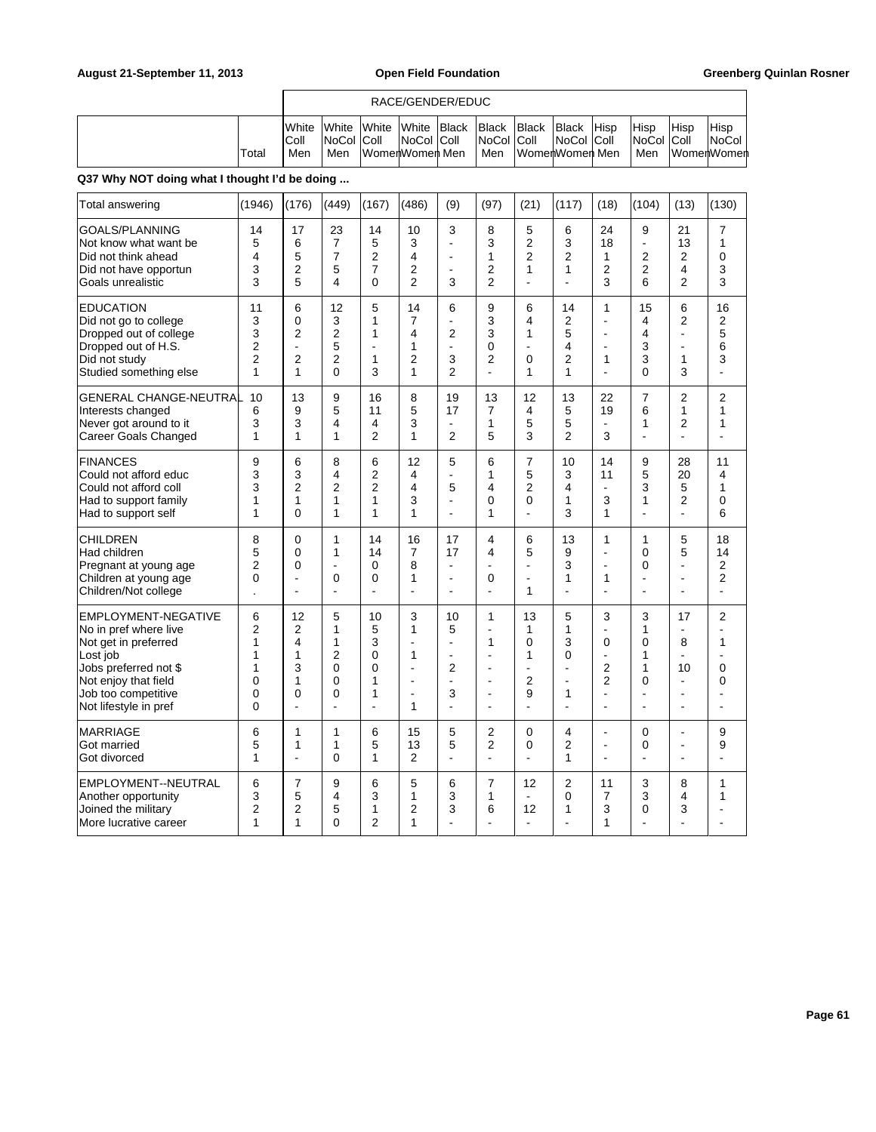|       |                                       | RACE/GENDER/EDUC                          |              |                                                      |              |                                          |              |                                                     |             |                                  |                   |                                       |
|-------|---------------------------------------|-------------------------------------------|--------------|------------------------------------------------------|--------------|------------------------------------------|--------------|-----------------------------------------------------|-------------|----------------------------------|-------------------|---------------------------------------|
| Total | <b>I</b> White<br><b>IColl</b><br>Men | <b>White</b><br><b>INoCol Coll</b><br>Men | <b>White</b> | <b>White</b><br><b>INoCol Coll</b><br>WomenWomen Men | <b>Black</b> | <b>Black</b><br><b>NoCol Coll</b><br>Men | <b>Black</b> | <b>Black</b><br><b>NoCol Coll</b><br>WomenWomen Men | <b>Hisp</b> | <b>Hisp</b><br>NoCol Coll<br>Men | <sup>I</sup> Hisp | Hisp<br><b>NoCol</b><br>⊺WomerlWomerl |

r

| Total answering                                                                                                                                                                   | (1946)                                              | (176)                                                                               | (449)                                                          | (167)                                                       | (486)                                                            | (9)                                                    | (97)                                                                                                   | (21)                                                                    | (117)                                        | (18)                                                                                  | (104)                                  | (13)                                                  | (130)                                                                                        |
|-----------------------------------------------------------------------------------------------------------------------------------------------------------------------------------|-----------------------------------------------------|-------------------------------------------------------------------------------------|----------------------------------------------------------------|-------------------------------------------------------------|------------------------------------------------------------------|--------------------------------------------------------|--------------------------------------------------------------------------------------------------------|-------------------------------------------------------------------------|----------------------------------------------|---------------------------------------------------------------------------------------|----------------------------------------|-------------------------------------------------------|----------------------------------------------------------------------------------------------|
| GOALS/PLANNING<br>Not know what want be<br>Did not think ahead<br>Did not have opportun<br>Goals unrealistic                                                                      | 14<br>5<br>4<br>3<br>3                              | 17<br>6<br>5<br>$\overline{2}$<br>5                                                 | 23<br>$\overline{7}$<br>$\overline{7}$<br>5<br>4               | 14<br>5<br>$\overline{2}$<br>$\overline{7}$<br>$\mathbf{0}$ | 10<br>3<br>4<br>2<br>$\overline{2}$                              | 3<br>L,<br>J.<br>$\blacksquare$<br>3                   | 8<br>3<br>1<br>2<br>2                                                                                  | 5<br>$\overline{2}$<br>$\overline{2}$<br>1<br>÷,                        | 6<br>3<br>$\overline{2}$<br>1                | 24<br>18<br>1<br>2<br>3                                                               | 9<br>ä,<br>$\overline{2}$<br>2<br>6    | 21<br>13<br>$\overline{2}$<br>4<br>2                  | $\overline{7}$<br>1<br>$\Omega$<br>3<br>3                                                    |
| <b>EDUCATION</b><br>Did not go to college<br>Dropped out of college<br>Dropped out of H.S.<br>Did not study<br>Studied something else                                             | 11<br>3<br>3<br>2<br>$\overline{2}$<br>$\mathbf{1}$ | 6<br>$\Omega$<br>$\overline{2}$<br>$\blacksquare$<br>$\overline{2}$<br>$\mathbf{1}$ | 12<br>3<br>$\overline{c}$<br>5<br>2<br>$\Omega$                | 5<br>1<br>1<br>÷<br>1<br>3                                  | 14<br>7<br>4<br>1<br>$\overline{2}$<br>1                         | 6<br>L,<br>$\overline{2}$<br>÷,<br>3<br>$\overline{2}$ | 9<br>3<br>3<br>0<br>2<br>÷.                                                                            | 6<br>4<br>1<br>÷<br>0<br>1                                              | 14<br>2<br>5<br>4<br>$\overline{2}$<br>1     | 1<br>L,<br>L,<br>$\blacksquare$<br>1                                                  | 15<br>4<br>4<br>3<br>3<br>0            | 6<br>$\overline{2}$<br>÷,<br>$\blacksquare$<br>1<br>3 | 16<br>$\overline{2}$<br>5<br>6<br>3<br>$\overline{a}$                                        |
| <b>GENERAL CHANGE-NEUTRAL</b><br>Interests changed<br>Never got around to it<br><b>Career Goals Changed</b>                                                                       | 10<br>6<br>3<br>1                                   | 13<br>9<br>3<br>1                                                                   | 9<br>5<br>4<br>1                                               | 16<br>11<br>4<br>$\overline{2}$                             | 8<br>5<br>3<br>1                                                 | 19<br>17<br>L,<br>$\overline{2}$                       | 13<br>7<br>1<br>5                                                                                      | 12<br>4<br>5<br>3                                                       | 13<br>5<br>5<br>$\overline{2}$               | 22<br>19<br>$\blacksquare$<br>3                                                       | $\overline{7}$<br>6<br>1<br>÷,         | 2<br>1<br>2                                           | $\overline{2}$<br>$\mathbf{1}$<br>1<br>L,                                                    |
| <b>FINANCES</b><br>Could not afford educ<br>Could not afford coll<br>Had to support family<br>Had to support self                                                                 | 9<br>3<br>3<br>1<br>1                               | 6<br>3<br>$\overline{2}$<br>1<br>$\Omega$                                           | 8<br>4<br>$\overline{2}$<br>1<br>1                             | 6<br>$\overline{2}$<br>$\overline{2}$<br>1<br>1             | 12<br>4<br>4<br>3<br>1                                           | 5<br>$\blacksquare$<br>5<br>$\overline{a}$<br>÷        | 6<br>1<br>4<br>0<br>1                                                                                  | $\overline{7}$<br>5<br>2<br>0<br>$\overline{a}$                         | 10<br>3<br>4<br>1<br>3                       | 14<br>11<br>$\blacksquare$<br>3<br>1                                                  | 9<br>5<br>3<br>1<br>$\overline{a}$     | 28<br>20<br>5<br>$\overline{2}$<br>ä,                 | 11<br>4<br>1<br>0<br>6                                                                       |
| <b>CHILDREN</b><br>Had children<br>Pregnant at young age<br>Children at young age<br>Children/Not college                                                                         | 8<br>5<br>$\overline{2}$<br>0                       | $\mathbf 0$<br>0<br>$\Omega$<br>$\blacksquare$                                      | 1<br>1<br>$\overline{a}$<br>0<br>$\blacksquare$                | 14<br>14<br>0<br>0                                          | 16<br>$\overline{7}$<br>8<br>1<br>L.                             | 17<br>17<br>÷.<br>$\blacksquare$<br>L,                 | 4<br>4<br>$\blacksquare$<br>0<br>$\blacksquare$                                                        | 6<br>5<br>÷,<br>ä,<br>1                                                 | 13<br>9<br>3<br>1<br>L,                      | 1<br>L,<br>L,<br>1<br>L,                                                              | 1<br>0<br>0<br>ä,<br>÷,                | 5<br>5<br>ä,<br>$\blacksquare$<br>ä,                  | 18<br>14<br>$\overline{2}$<br>$\overline{2}$<br>$\overline{\phantom{a}}$                     |
| EMPLOYMENT-NEGATIVE<br>No in pref where live<br>Not get in preferred<br>Lost job<br>Jobs preferred not \$<br>Not enjoy that field<br>Job too competitive<br>Not lifestyle in pref | 6<br>2<br>1<br>1<br>1<br>0<br>0<br>0                | 12<br>$\overline{2}$<br>$\overline{4}$<br>1<br>3<br>1<br>0                          | 5<br>1<br>1<br>2<br>$\overline{0}$<br>0<br>0<br>$\overline{a}$ | 10<br>5<br>3<br>0<br>0<br>1<br>1<br>$\overline{a}$          | 3<br>1<br>$\overline{a}$<br>1<br>L.<br>$\overline{a}$<br>L,<br>1 | 10<br>5<br>÷.<br>$\overline{a}$<br>2<br>÷.<br>3<br>÷.  | 1<br>$\blacksquare$<br>1<br>$\overline{a}$<br>$\overline{a}$<br>$\overline{a}$<br>$\blacksquare$<br>÷. | 13<br>1<br>$\Omega$<br>1<br>÷,<br>$\overline{2}$<br>9<br>$\overline{a}$ | 5<br>1<br>3<br>0<br>÷<br>$\overline{a}$<br>1 | 3<br>L,<br>$\Omega$<br>$\blacksquare$<br>$\overline{2}$<br>$\overline{2}$<br>÷.<br>L. | 3<br>1<br>0<br>1<br>1<br>0<br>ä,<br>L, | 17<br>8<br>10<br>۰<br>ä,                              | $\overline{2}$<br>$\blacksquare$<br>1<br>$\sim$<br>$\mathbf 0$<br>$\Omega$<br>$\overline{a}$ |
| <b>MARRIAGE</b><br>Got married<br>Got divorced                                                                                                                                    | 6<br>5<br>1                                         | 1<br>1<br>L.                                                                        | 1<br>1<br>$\mathbf 0$                                          | 6<br>5<br>$\mathbf{1}$                                      | 15<br>13<br>$\mathfrak{p}$                                       | 5<br>5<br>$\overline{a}$                               | 2<br>2<br>$\blacksquare$                                                                               | 0<br>0<br>÷,                                                            | 4<br>2<br>1                                  | L,<br>L,<br>L.                                                                        | 0<br>0<br>$\overline{a}$               |                                                       | 9<br>9<br>$\overline{\phantom{a}}$                                                           |
| EMPLOYMENT--NEUTRAL<br>Another opportunity<br>Joined the military<br>More lucrative career                                                                                        | 6<br>3<br>2<br>1                                    | $\overline{7}$<br>5<br>$\overline{2}$<br>1                                          | 9<br>4<br>5<br>$\Omega$                                        | 6<br>3<br>1<br>$\overline{2}$                               | 5<br>$\mathbf{1}$<br>$\overline{2}$<br>1                         | 6<br>3<br>3                                            | $\overline{7}$<br>1<br>6<br>$\overline{a}$                                                             | 12<br>٠<br>12<br>۰                                                      | $\overline{2}$<br>0<br>1                     | 11<br>$\overline{7}$<br>3<br>1                                                        | 3<br>3<br>0<br>$\overline{a}$          | 8<br>4<br>3<br>۳                                      | 1<br>1                                                                                       |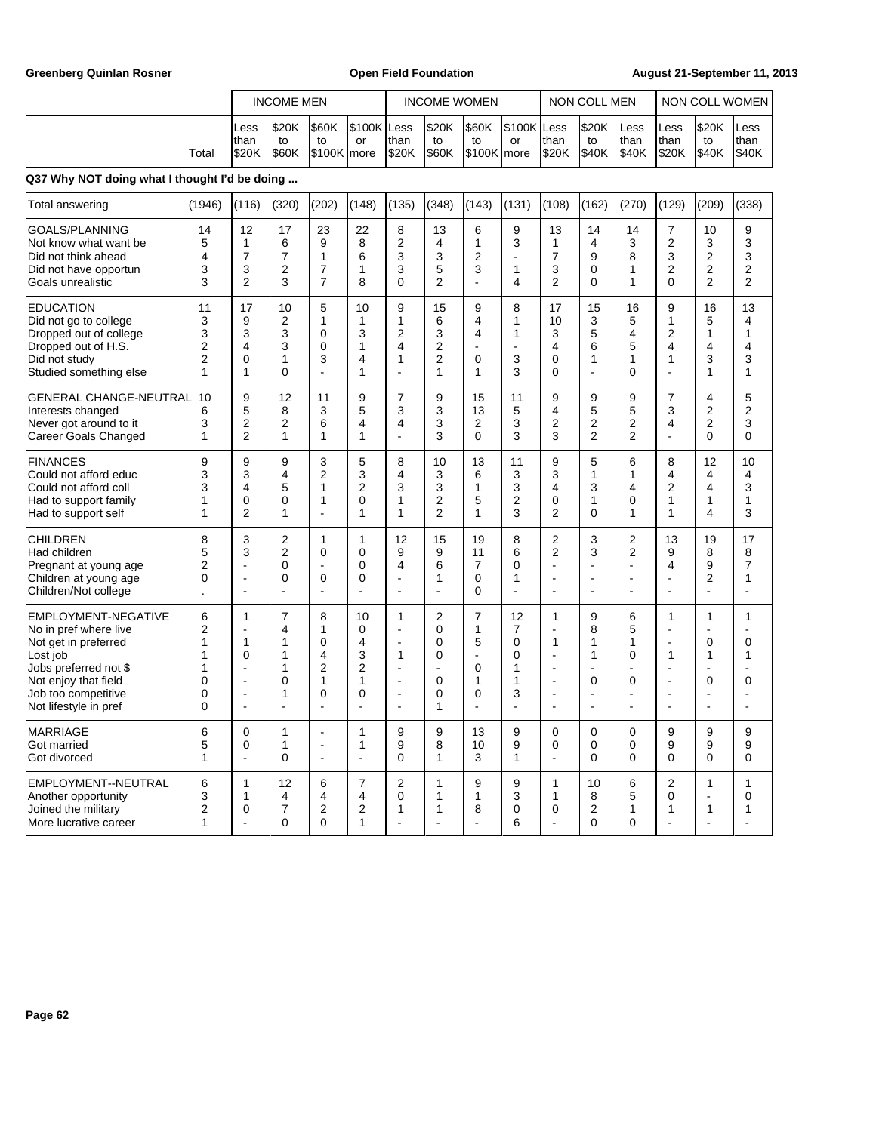Greenberg Quinlan Rosner **Communist Communist Communist Communist Communist Communist Communist Communist Communist Communist Communist Communist Communist Communist Communist Communist Communist Communist Communist Commun** 

|       |                        | <b>INCOME MEN</b>          |                           | <b>INCOME WOMEN</b> |                |                                  | NON COLL MEN                    |                  |                       | I NON COLL WOMEN      |                                      |                                       |                       |                          |
|-------|------------------------|----------------------------|---------------------------|---------------------|----------------|----------------------------------|---------------------------------|------------------|-----------------------|-----------------------|--------------------------------------|---------------------------------------|-----------------------|--------------------------|
| Total | Less<br>than<br>l\$20K | \$20K<br>to<br><b>S60K</b> | \$60K<br>to<br>S100K more | S100K Less<br>or    | Ithan<br>Is20K | <b>S20K</b><br>to<br><b>S60K</b> | <b>S60K</b><br>to<br>S100K more | S100K Less<br>or | Ithan<br><b>IS20K</b> | \$20K<br>to<br> \$40K | <b>ILess</b><br>Ithan<br><b>S40K</b> | <b>ILess</b><br>Ithan<br><b>IS20K</b> | \$20K<br>to<br> \$40K | ILess<br>Ithan<br> \$40K |

| Total answering                                                                                                                                                                   | (1946)                                                   | (116)                                                                                                      | (320)                                                 | (202)                                                          | (148)                                                | (135)                                                                    | (348)                                             | (143)                                                                           | (131)                                   | (108)                                                          | (162)                                                               | (270)                                                          | (129)                                                               | (209)                                                         | (338)                                                                           |
|-----------------------------------------------------------------------------------------------------------------------------------------------------------------------------------|----------------------------------------------------------|------------------------------------------------------------------------------------------------------------|-------------------------------------------------------|----------------------------------------------------------------|------------------------------------------------------|--------------------------------------------------------------------------|---------------------------------------------------|---------------------------------------------------------------------------------|-----------------------------------------|----------------------------------------------------------------|---------------------------------------------------------------------|----------------------------------------------------------------|---------------------------------------------------------------------|---------------------------------------------------------------|---------------------------------------------------------------------------------|
| GOALS/PLANNING<br>Not know what want be<br>Did not think ahead<br>Did not have opportun<br>Goals unrealistic                                                                      | 14<br>5<br>4<br>3<br>3                                   | 12<br>1<br>$\overline{7}$<br>3<br>2                                                                        | 17<br>6<br>$\overline{7}$<br>2<br>3                   | 23<br>9<br>1<br>$\overline{7}$<br>$\overline{7}$               | 22<br>8<br>6<br>1<br>8                               | 8<br>$\overline{2}$<br>3<br>3<br>$\Omega$                                | 13<br>4<br>3<br>5<br>$\overline{2}$               | 6<br>$\mathbf{1}$<br>$\overline{2}$<br>3<br>L.                                  | 9<br>3<br>ä,<br>$\mathbf{1}$<br>4       | 13<br>$\mathbf{1}$<br>$\overline{7}$<br>3<br>2                 | 14<br>4<br>9<br>0<br>0                                              | 14<br>3<br>8<br>$\mathbf{1}$<br>1                              | $\overline{7}$<br>$\overline{2}$<br>3<br>$\overline{2}$<br>$\Omega$ | 10<br>3<br>$\overline{2}$<br>2<br>$\overline{2}$              | 9<br>3<br>3<br>2<br>$\overline{2}$                                              |
| <b>EDUCATION</b><br>Did not go to college<br>Dropped out of college<br>Dropped out of H.S.<br>Did not study<br>Studied something else                                             | 11<br>3<br>3<br>2<br>2<br>1                              | 17<br>9<br>3<br>4<br>0<br>1                                                                                | 10<br>$\overline{2}$<br>3<br>3<br>1<br>$\overline{0}$ | 5<br>1<br>0<br>$\mathbf 0$<br>3                                | 10<br>1<br>3<br>1<br>4<br>1                          | 9<br>1<br>$\overline{2}$<br>4<br>1                                       | 15<br>6<br>3<br>$\overline{2}$<br>2<br>1          | 9<br>4<br>$\overline{\mathbf{4}}$<br>$\overline{a}$<br>$\mathbf 0$<br>1         | 8<br>1<br>1<br>$\blacksquare$<br>3<br>3 | 17<br>10<br>3<br>4<br>$\mathbf 0$<br>$\Omega$                  | 15<br>3<br>5<br>6<br>1<br>L.                                        | 16<br>5<br>4<br>5<br>1<br>$\mathbf{0}$                         | 9<br>1<br>$\overline{2}$<br>4<br>1<br>L.                            | 16<br>5<br>$\mathbf{1}$<br>4<br>3<br>1                        | 13<br>4<br>$\mathbf{1}$<br>4<br>3<br>1                                          |
| <b>GENERAL CHANGE-NEUTRAL</b><br>Interests changed<br>Never got around to it<br>Career Goals Changed                                                                              | 10<br>6<br>3<br>$\mathbf{1}$                             | 9<br>5<br>2<br>$\overline{2}$                                                                              | 12<br>8<br>$\overline{2}$<br>$\mathbf{1}$             | 11<br>3<br>6<br>1                                              | 9<br>5<br>4<br>1                                     | $\overline{7}$<br>3<br>4<br>$\overline{a}$                               | 9<br>3<br>3<br>3                                  | 15<br>13<br>$\overline{2}$<br>$\Omega$                                          | 11<br>5<br>3<br>3                       | 9<br>4<br>$\overline{2}$<br>3                                  | 9<br>5<br>2<br>$\overline{2}$                                       | 9<br>5<br>$\overline{2}$<br>$\overline{2}$                     | $\overline{7}$<br>3<br>4<br>$\overline{a}$                          | 4<br>$\overline{2}$<br>$\overline{2}$<br>0                    | $\mathbf 5$<br>$\overline{2}$<br>3<br>$\Omega$                                  |
| <b>FINANCES</b><br>Could not afford educ<br>Could not afford coll<br>Had to support family<br>Had to support self                                                                 | 9<br>3<br>3<br>1<br>1                                    | 9<br>3<br>4<br>0<br>$\overline{2}$                                                                         | 9<br>4<br>5<br>0<br>$\mathbf{1}$                      | 3<br>$\overline{2}$<br>1<br>1<br>÷.                            | 5<br>3<br>$\overline{2}$<br>$\Omega$<br>1            | 8<br>4<br>3<br>1<br>1                                                    | 10<br>3<br>3<br>$\overline{2}$<br>$\overline{2}$  | 13<br>6<br>1<br>5<br>$\mathbf{1}$                                               | 11<br>3<br>3<br>$\overline{2}$<br>3     | 9<br>3<br>$\overline{4}$<br>$\mathbf 0$<br>$\overline{2}$      | 5<br>1<br>3<br>1<br>$\Omega$                                        | 6<br>1<br>4<br>$\Omega$<br>1                                   | 8<br>4<br>2<br>1<br>1                                               | 12<br>4<br>4<br>1<br>4                                        | 10<br>4<br>3<br>$\mathbf{1}$<br>3                                               |
| <b>CHILDREN</b><br>Had children<br>Pregnant at young age<br>Children at young age<br>Children/Not college                                                                         | 8<br>5<br>2<br>$\mathbf 0$                               | 3<br>3<br>ä,<br>ä,<br>÷                                                                                    | $\overline{2}$<br>$\overline{c}$<br>0<br>0<br>÷,      | 1<br>$\mathbf 0$<br>0<br>L,                                    | 1<br>$\mathbf 0$<br>$\mathbf 0$<br>$\mathbf 0$<br>÷, | 12<br>9<br>4                                                             | 15<br>9<br>6<br>1                                 | 19<br>11<br>$\overline{7}$<br>$\mathbf 0$<br>$\Omega$                           | 8<br>6<br>0<br>1<br>÷,                  | $\overline{2}$<br>$\overline{2}$                               | 3<br>3<br>L,<br>$\overline{a}$                                      | $\overline{2}$<br>$\overline{2}$<br>÷,<br>$\blacksquare$<br>÷, | 13<br>9<br>4<br>L,<br>Ĭ.                                            | 19<br>8<br>9<br>2<br>÷,                                       | 17<br>8<br>$\overline{7}$<br>$\mathbf{1}$<br>÷,                                 |
| EMPLOYMENT-NEGATIVE<br>No in pref where live<br>Not get in preferred<br>Lost job<br>Jobs preferred not \$<br>Not enjoy that field<br>Job too competitive<br>Not lifestyle in pref | 6<br>$\overline{2}$<br>1<br>1<br>1<br>0<br>0<br>$\Omega$ | 1<br>÷,<br>1<br>$\mathbf 0$<br>٠<br>$\overline{\phantom{a}}$<br>$\overline{\phantom{a}}$<br>$\overline{a}$ | 7<br>4<br>1<br>1<br>1<br>0<br>1<br>÷.                 | 8<br>1<br>0<br>4<br>$\overline{2}$<br>1<br>0<br>$\overline{a}$ | 10<br>0<br>4<br>3<br>$\overline{2}$<br>1<br>0<br>÷.  | 1<br>L.<br>$\overline{a}$<br>1<br>$\overline{a}$<br>$\overline{a}$<br>÷. | $\overline{2}$<br>0<br>0<br>0<br>٠<br>0<br>0<br>1 | $\overline{7}$<br>1<br>5<br>÷<br>$\Omega$<br>1<br>$\mathbf 0$<br>$\overline{a}$ | 12<br>7<br>0<br>0<br>1<br>1<br>3        | 1<br>1<br>$\sim$<br>$\overline{\phantom{a}}$<br>$\blacksquare$ | 9<br>8<br>1<br>1<br>$\overline{a}$<br>0<br>$\overline{\phantom{a}}$ | 6<br>5<br>1<br>0<br>÷.<br>0<br>L,<br>$\overline{a}$            | 1<br>÷.<br>$\blacksquare$<br>1<br>÷.<br>÷.<br>÷.<br>L.              | $\mathbf{1}$<br>÷<br>0<br>1<br>÷<br>0<br>$\blacksquare$<br>÷. | 1<br>÷<br>$\mathbf 0$<br>1<br>$\overline{a}$<br>$\mathbf 0$<br>$\sim$<br>$\sim$ |
| <b>MARRIAGE</b><br>Got married<br>Got divorced                                                                                                                                    | 6<br>5<br>$\mathbf{1}$                                   | 0<br>0<br>÷                                                                                                | 1<br>$\mathbf{1}$<br>0                                | L,<br>$\overline{\phantom{a}}$<br>$\blacksquare$               | 1<br>1<br>$\overline{a}$                             | 9<br>9<br>$\mathbf{0}$                                                   | 9<br>8<br>$\mathbf{1}$                            | 13<br>10<br>3                                                                   | 9<br>9<br>$\mathbf{1}$                  | $\mathbf 0$<br>$\mathbf 0$                                     | $\Omega$<br>$\Omega$<br>$\Omega$                                    | 0<br>$\mathbf 0$<br>0                                          | 9<br>9<br>$\Omega$                                                  | 9<br>9<br>$\mathbf 0$                                         | 9<br>9<br>$\mathbf 0$                                                           |
| EMPLOYMENT--NEUTRAL<br>Another opportunity<br>Joined the military<br>More lucrative career                                                                                        | 6<br>3<br>2<br>1                                         | 1<br>1<br>0                                                                                                | 12<br>4<br>$\overline{7}$<br>$\mathbf{0}$             | 6<br>4<br>2<br>$\Omega$                                        | $\overline{7}$<br>$\overline{4}$<br>2<br>1           | $\overline{2}$<br>$\mathbf 0$<br>1                                       | 1<br>1<br>1                                       | 9<br>1<br>8                                                                     | 9<br>3<br>0<br>6                        | $\mathbf{1}$<br>$\mathbf{1}$<br>0                              | 10<br>8<br>2<br>$\Omega$                                            | 6<br>5<br>1<br>$\Omega$                                        | 2<br>$\mathbf 0$<br>1                                               | 1<br>$\overline{a}$<br>1                                      | $\mathbf{1}$<br>$\mathbf 0$<br>1                                                |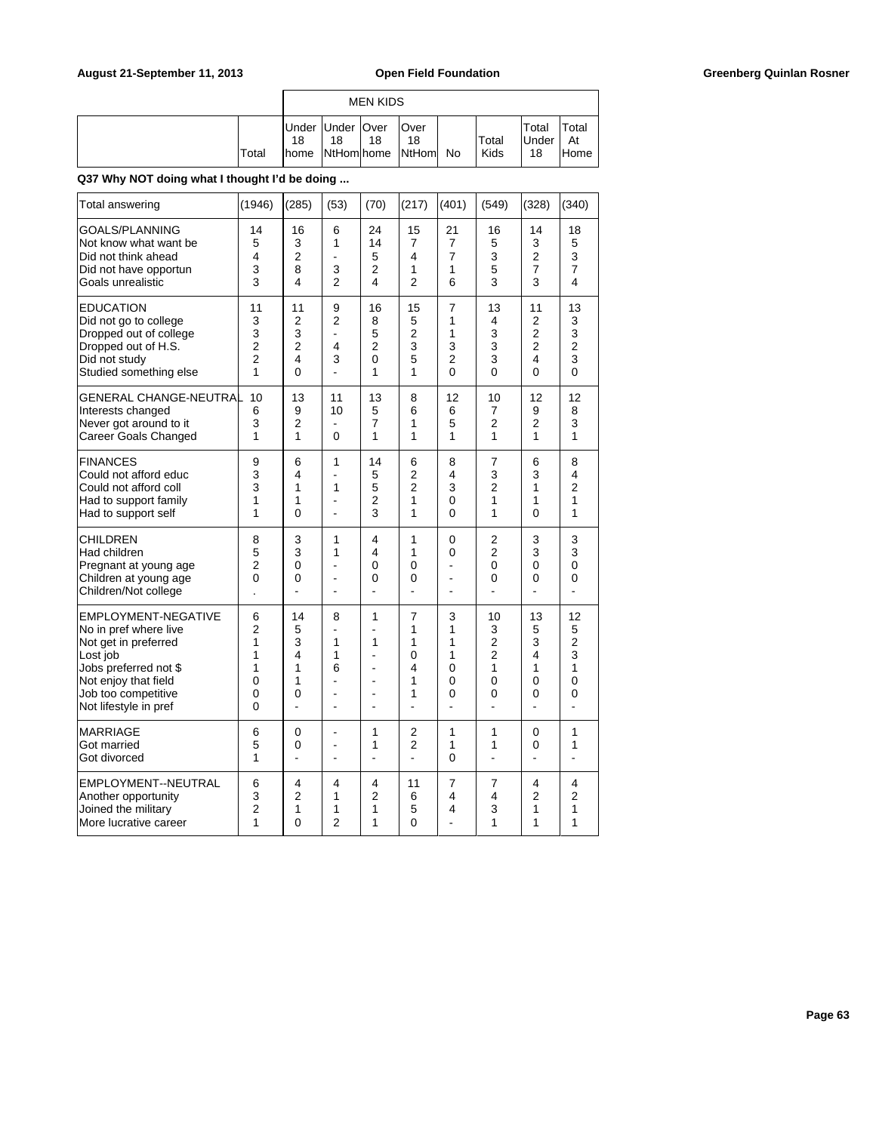|  |       |    |                          | <b>MEN KIDS</b> |                                               |               |                             |                      |
|--|-------|----|--------------------------|-----------------|-----------------------------------------------|---------------|-----------------------------|----------------------|
|  | Total | 18 | Under Under   Over<br>18 | 18              | <b>Over</b><br>18<br>home NtHom home NtHom No | Total<br>Kids | Total<br><b>Under</b><br>18 | Total<br>At<br>lHome |

| Total answering                                                                                                                       | (1946)                                     | (285)                                                            | (53)                               | (70)                                                | (217)                              | (401)                                                       | (549)                               | (328)                                                            | (340)                                           |
|---------------------------------------------------------------------------------------------------------------------------------------|--------------------------------------------|------------------------------------------------------------------|------------------------------------|-----------------------------------------------------|------------------------------------|-------------------------------------------------------------|-------------------------------------|------------------------------------------------------------------|-------------------------------------------------|
| GOALS/PLANNING                                                                                                                        | 14                                         | 16                                                               | 6                                  | 24                                                  | 15                                 | 21                                                          | 16                                  | 14                                                               | 18                                              |
| Not know what want be                                                                                                                 | 5                                          | 3                                                                | 1                                  | 14                                                  | 7                                  | 7                                                           | 5                                   | 3                                                                | 5                                               |
| Did not think ahead                                                                                                                   | 4                                          | $\overline{2}$                                                   | $\overline{a}$                     | 5                                                   | 4                                  | $\overline{7}$                                              | 3                                   | 2                                                                | 3                                               |
| Did not have opportun                                                                                                                 | 3                                          | 8                                                                | 3                                  | $\overline{2}$                                      | 1                                  | 1                                                           | 5                                   | $\overline{7}$                                                   | $\overline{7}$                                  |
| Goals unrealistic                                                                                                                     | 3                                          | 4                                                                | $\overline{2}$                     | 4                                                   | $\overline{2}$                     | 6                                                           | 3                                   | 3                                                                | 4                                               |
| <b>EDUCATION</b><br>Did not go to college<br>Dropped out of college<br>Dropped out of H.S.<br>Did not study<br>Studied something else | 11<br>3<br>3<br>2<br>$\overline{2}$<br>1   | 11<br>$\overline{2}$<br>3<br>$\overline{2}$<br>4<br>$\mathbf{0}$ | 9<br>2<br>$\overline{a}$<br>4<br>3 | 16<br>8<br>5<br>$\overline{2}$<br>$\mathbf{0}$<br>1 | 15<br>5<br>2<br>3<br>5<br>1        | $\overline{7}$<br>1<br>1<br>3<br>$\overline{2}$<br>$\Omega$ | 13<br>4<br>3<br>3<br>3<br>$\Omega$  | 11<br>$\overline{2}$<br>2<br>$\overline{c}$<br>4<br>$\mathbf{0}$ | 13<br>3<br>3<br>$\overline{c}$<br>3<br>$\Omega$ |
| GENERAL CHANGE-NEUTRAL<br>Interests changed<br>Never got around to it<br>Career Goals Changed                                         | 10<br>6<br>3<br>1                          | 13<br>9<br>2<br>1                                                | 11<br>10<br>0                      | 13<br>5<br>$\overline{7}$<br>1                      | 8<br>6<br>1<br>1                   | 12<br>6<br>5<br>1                                           | 10<br>$\overline{7}$<br>2<br>1      | 12<br>9<br>$\overline{2}$<br>1                                   | 12<br>8<br>3<br>1                               |
| <b>FINANCES</b>                                                                                                                       | 9                                          | 6                                                                | 1                                  | 14                                                  | 6                                  | 8                                                           | $\overline{7}$                      | 6                                                                | 8                                               |
| Could not afford educ                                                                                                                 | 3                                          | 4                                                                | ÷,                                 | 5                                                   | 2                                  | 4                                                           | 3                                   | 3                                                                | 4                                               |
| Could not afford coll                                                                                                                 | 3                                          | 1                                                                | 1                                  | 5                                                   | $\overline{2}$                     | 3                                                           | $\overline{2}$                      | 1                                                                | $\overline{2}$                                  |
| Had to support family                                                                                                                 | 1                                          | 1                                                                | $\overline{a}$                     | $\overline{2}$                                      | 1                                  | 0                                                           | 1                                   | 1                                                                | 1                                               |
| Had to support self                                                                                                                   | 1                                          | $\mathbf{0}$                                                     | ÷,                                 | 3                                                   | 1                                  | $\mathbf{0}$                                                | 1                                   | $\mathbf{0}$                                                     | 1                                               |
| CHILDREN<br>Had children<br>Pregnant at young age<br>Children at young age<br>Children/Not college                                    | 8<br>5<br>$\overline{c}$<br>$\overline{0}$ | 3<br>3<br>0<br>$\Omega$<br>$\overline{a}$                        | 1<br>1<br>٠<br>۰<br>$\overline{a}$ | 4<br>4<br>0<br>0<br>٠                               | 1<br>1<br>0<br>0<br>$\overline{a}$ | 0<br>0<br>ä,<br>٠<br>۷                                      | 2<br>$\overline{2}$<br>0<br>0<br>÷. | 3<br>3<br>0<br>0<br>ä,                                           | 3<br>3<br>0<br>0                                |
| EMPLOYMENT-NEGATIVE                                                                                                                   | 6                                          | 14                                                               | 8                                  | 1                                                   | 7                                  | 3                                                           | 10                                  | 13                                                               | 12                                              |
| No in pref where live                                                                                                                 | $\overline{2}$                             | 5                                                                | ä,                                 | ä,                                                  | 1                                  | 1                                                           | 3                                   | 5                                                                | 5                                               |
| Not get in preferred                                                                                                                  | 1                                          | 3                                                                | 1                                  | 1                                                   | 1                                  | 1                                                           | $\overline{2}$                      | 3                                                                | $\overline{c}$                                  |
| Lost job                                                                                                                              | 1                                          | 4                                                                | 1                                  | ä,                                                  | 0                                  | 1                                                           | $\overline{2}$                      | 4                                                                | 3                                               |
| Jobs preferred not \$                                                                                                                 | 1                                          | 1                                                                | 6                                  | $\blacksquare$                                      | 4                                  | 0                                                           | 1                                   | 1                                                                | 1                                               |
| Not enjoy that field                                                                                                                  | 0                                          | 1                                                                | $\overline{a}$                     | $\overline{a}$                                      | 1                                  | 0                                                           | 0                                   | 0                                                                | 0                                               |
| Job too competitive                                                                                                                   | 0                                          | $\Omega$                                                         | ÷                                  | $\overline{a}$                                      | 1                                  | $\Omega$                                                    | 0                                   | 0                                                                | 0                                               |
| Not lifestyle in pref                                                                                                                 | 0                                          | $\overline{a}$                                                   | $\overline{a}$                     | ÷.                                                  | L.                                 | L.                                                          | L.                                  | L.                                                               | L.                                              |
| <b>MARRIAGE</b>                                                                                                                       | 6                                          | 0                                                                | L,                                 | 1                                                   | 2                                  | 1                                                           | $\mathbf{1}$                        | 0                                                                | 1                                               |
| Got married                                                                                                                           | 5                                          | 0                                                                | ä,                                 | 1                                                   | $\overline{2}$                     | 1                                                           | 1                                   | 0                                                                | 1                                               |
| Got divorced                                                                                                                          | 1                                          | $\overline{a}$                                                   | ä,                                 | ÷,                                                  | L.                                 | $\mathbf{0}$                                                | ÷,                                  | ÷,                                                               | ÷,                                              |
| EMPLOYMENT--NEUTRAL                                                                                                                   | 6                                          | 4                                                                | 4                                  | 4                                                   | 11                                 | $\overline{7}$                                              | $\overline{7}$                      | 4                                                                | 4                                               |
| Another opportunity                                                                                                                   | 3                                          | 2                                                                | 1                                  | $\overline{2}$                                      | 6                                  | 4                                                           | 4                                   | $\overline{2}$                                                   | $\overline{2}$                                  |
| Joined the military                                                                                                                   | $\overline{2}$                             | 1                                                                | 1                                  | 1                                                   | 5                                  | 4                                                           | 3                                   | 1                                                                | 1                                               |
| More lucrative career                                                                                                                 | 1                                          | $\Omega$                                                         | $\mathfrak{p}$                     | 1                                                   | $\Omega$                           | L,                                                          | 1                                   | 1                                                                | 1                                               |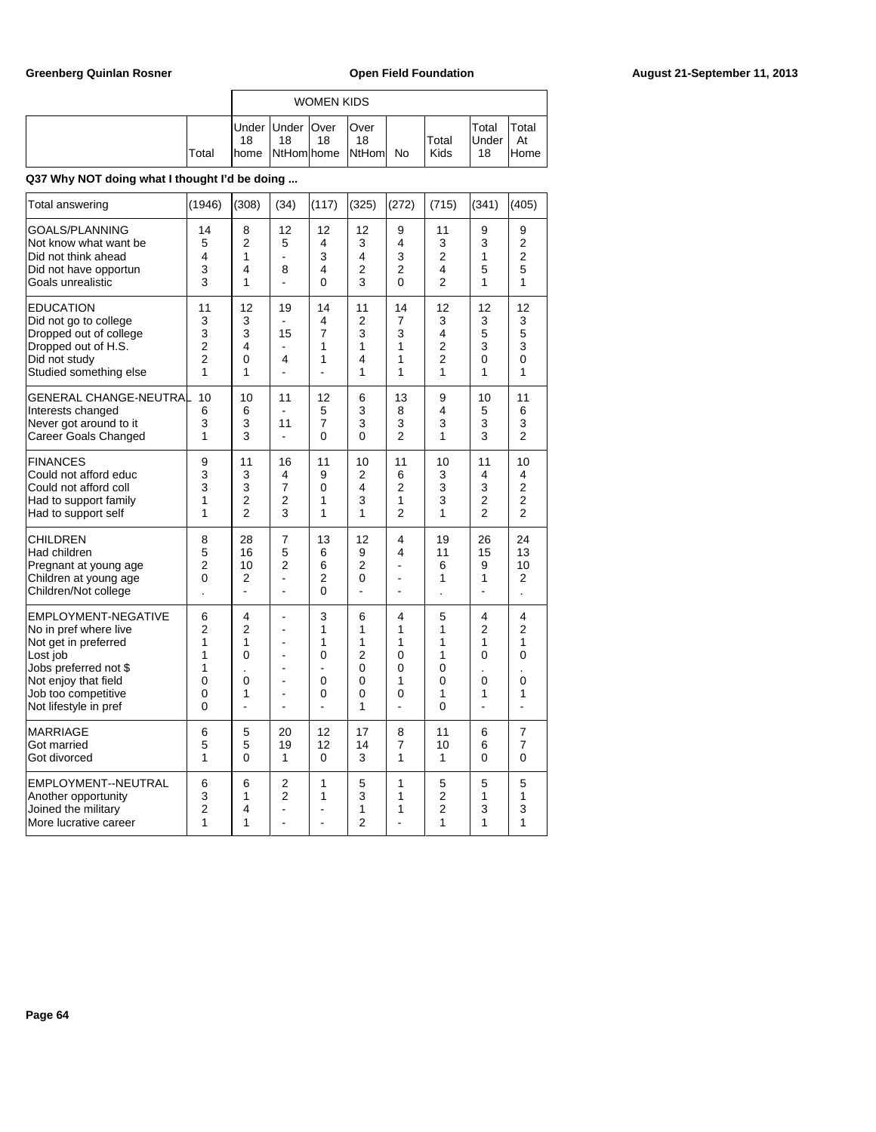|       |                     |                          | <b>WOMEN KIDS</b> |                                   |               |                             |                     |
|-------|---------------------|--------------------------|-------------------|-----------------------------------|---------------|-----------------------------|---------------------|
| Total | 18<br><b>I</b> home | Under Under   Over<br>18 | 18                | Over<br>18<br>NtHom home NtHom No | Total<br>Kids | Total<br><b>Under</b><br>18 | Total<br>At<br>Home |

| Total answering                                                                                                                                                                   | (1946)                                                       | (308)                                            | (34)                                                                       | (117)                            | (325)                                             | (272)                                            | (715)                                                 | (341)                                            | (405)                                                         |
|-----------------------------------------------------------------------------------------------------------------------------------------------------------------------------------|--------------------------------------------------------------|--------------------------------------------------|----------------------------------------------------------------------------|----------------------------------|---------------------------------------------------|--------------------------------------------------|-------------------------------------------------------|--------------------------------------------------|---------------------------------------------------------------|
| GOALS/PLANNING<br>Not know what want be<br>Did not think ahead<br>Did not have opportun<br>Goals unrealistic                                                                      | 14<br>5<br>4<br>3<br>3                                       | 8<br>$\overline{2}$<br>1<br>4<br>1               | 12<br>5<br>÷,<br>8<br>ä,                                                   | 12<br>4<br>3<br>4<br>0           | 12<br>3<br>4<br>$\overline{2}$<br>3               | 9<br>4<br>3<br>$\overline{2}$<br>0               | 11<br>3<br>2<br>4<br>$\overline{2}$                   | 9<br>3<br>1<br>5<br>1                            | 9<br>$\overline{c}$<br>$\overline{2}$<br>5<br>1               |
| <b>EDUCATION</b><br>Did not go to college<br>Dropped out of college<br>Dropped out of H.S.<br>Did not study<br>Studied something else                                             | 11<br>3<br>3<br>$\overline{c}$<br>$\overline{2}$<br>1        | 12<br>3<br>3<br>4<br>0<br>1                      | 19<br>15<br>4                                                              | 14<br>4<br>7<br>1<br>1           | 11<br>2<br>3<br>1<br>4<br>1                       | 14<br>7<br>3<br>1<br>1<br>1                      | 12<br>3<br>4<br>$\overline{c}$<br>$\overline{2}$<br>1 | 12<br>3<br>5<br>3<br>0<br>1                      | 12<br>3<br>5<br>3<br>0<br>1                                   |
| <b>GENERAL CHANGE-NEUTRAL</b><br>Interests changed<br>Never got around to it<br>Career Goals Changed                                                                              | 10<br>6<br>3<br>1                                            | 10<br>6<br>3<br>3                                | 11<br>11<br>L.                                                             | 12<br>5<br>$\overline{7}$<br>0   | 6<br>3<br>3<br>$\mathbf{0}$                       | 13<br>8<br>3<br>$\overline{2}$                   | 9<br>4<br>3<br>1                                      | 10<br>5<br>3<br>3                                | 11<br>6<br>3<br>$\overline{2}$                                |
| <b>FINANCES</b><br>Could not afford educ<br>Could not afford coll<br>Had to support family<br>Had to support self                                                                 | 9<br>3<br>3<br>1<br>1                                        | 11<br>3<br>3<br>$\overline{2}$<br>$\overline{2}$ | 16<br>4<br>$\overline{7}$<br>2<br>3                                        | 11<br>9<br>0<br>1<br>1           | 10<br>2<br>4<br>3<br>1                            | 11<br>6<br>$\overline{2}$<br>1<br>$\overline{2}$ | 10<br>3<br>3<br>3<br>1                                | 11<br>4<br>3<br>$\overline{2}$<br>$\overline{2}$ | 10<br>4<br>$\overline{c}$<br>$\overline{2}$<br>$\overline{2}$ |
| CHILDREN<br>Had children<br>Pregnant at young age<br>Children at young age<br>Children/Not college                                                                                | 8<br>5<br>$\overline{2}$<br>0                                | 28<br>16<br>10<br>2                              | 7<br>5<br>2<br>÷,<br>÷,                                                    | 13<br>6<br>6<br>2<br>0           | 12<br>9<br>2<br>0                                 | 4<br>4<br>L<br>$\overline{a}$                    | 19<br>11<br>6<br>1                                    | 26<br>15<br>9<br>1                               | 24<br>13<br>10<br>$\overline{2}$                              |
| EMPLOYMENT-NEGATIVE<br>No in pref where live<br>Not get in preferred<br>Lost job<br>Jobs preferred not \$<br>Not enjoy that field<br>Job too competitive<br>Not lifestyle in pref | 6<br>$\overline{2}$<br>1<br>1<br>1<br>0<br>0<br>$\mathbf{0}$ | 4<br>2<br>1<br>0<br>0<br>1                       | ä,<br>ä,<br>$\blacksquare$<br>$\blacksquare$<br>$\blacksquare$<br>ä,<br>ä, | 3<br>1<br>1<br>0<br>L,<br>0<br>0 | 6<br>1<br>1<br>$\overline{2}$<br>0<br>0<br>0<br>1 | 4<br>1<br>1<br>0<br>0<br>1<br>0                  | 5<br>1<br>1<br>1<br>0<br>0<br>1<br>0                  | 4<br>2<br>1<br>0<br>0<br>1                       | 4<br>2<br>1<br>0<br>0<br>1                                    |
| <b>MARRIAGE</b><br>Got married<br>Got divorced                                                                                                                                    | 6<br>5<br>1                                                  | 5<br>5<br>$\Omega$                               | 20<br>19<br>1                                                              | 12<br>12<br>$\Omega$             | 17<br>14<br>3                                     | 8<br>7<br>1                                      | 11<br>10<br>1                                         | 6<br>6<br>0                                      | $\overline{7}$<br>7<br>0                                      |
| EMPLOYMENT--NEUTRAL<br>Another opportunity<br>Joined the military<br>More lucrative career                                                                                        | 6<br>3<br>$\overline{2}$<br>1                                | 6<br>1<br>4<br>1                                 | $\overline{2}$<br>$\overline{2}$<br>÷,                                     | 1<br>1<br>L,                     | 5<br>3<br>1<br>$\overline{2}$                     | 1<br>1<br>1                                      | 5<br>$\overline{2}$<br>$\overline{2}$<br>1            | 5<br>1<br>3<br>1                                 | 5<br>1<br>3<br>1                                              |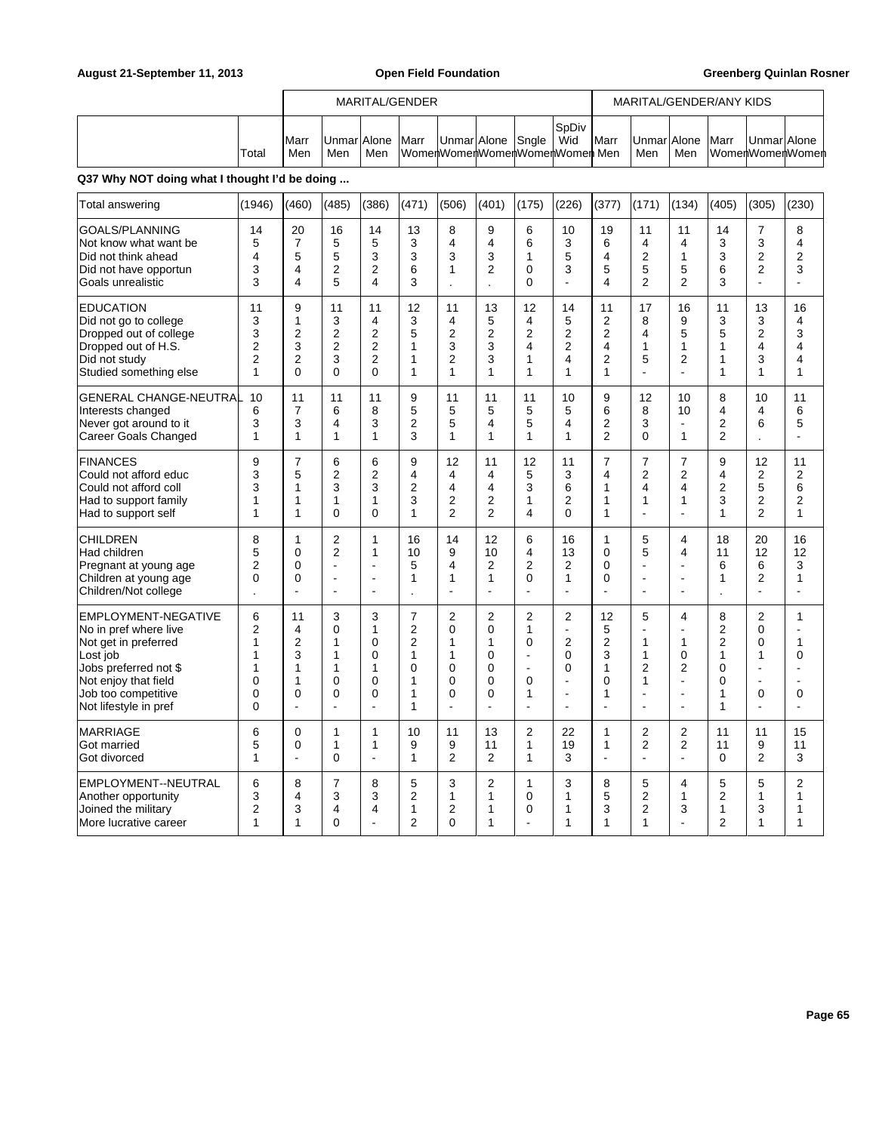|        |                     |                     |     | MARITAL/GENDER |                                                   |  |              |               |                    |     | MARITAL/GENDER/ANY KIDS |             |                 |
|--------|---------------------|---------------------|-----|----------------|---------------------------------------------------|--|--------------|---------------|--------------------|-----|-------------------------|-------------|-----------------|
| ˈTotal | <b>IMarr</b><br>Men | Unmar Alone <br>Men | Men | <b>Marr</b>    | UnmarlAlone Snale<br>WomenWomenWomenWomenWomenMen |  | SoDiv<br>Wid | <b>I</b> Marr | UnmarlAlone<br>Men | Men | <b>Marr</b>             | UnmarlAlone | WomenWomenWomen |

| Total answering                                                                                                                                                                   | (1946)                                                | (460)                                                           | (485)                                                                                          | (386)                                                                  | (471)                                                                               | (506)                                                      | (401)                                                   | (175)                                                                        | (226)                                                                                 | (377)                                                                         | (171)                                                                  | (134)                                                                                               | (405)                                                                                | (305)                                                | (230)                                                                                                                              |
|-----------------------------------------------------------------------------------------------------------------------------------------------------------------------------------|-------------------------------------------------------|-----------------------------------------------------------------|------------------------------------------------------------------------------------------------|------------------------------------------------------------------------|-------------------------------------------------------------------------------------|------------------------------------------------------------|---------------------------------------------------------|------------------------------------------------------------------------------|---------------------------------------------------------------------------------------|-------------------------------------------------------------------------------|------------------------------------------------------------------------|-----------------------------------------------------------------------------------------------------|--------------------------------------------------------------------------------------|------------------------------------------------------|------------------------------------------------------------------------------------------------------------------------------------|
| <b>GOALS/PLANNING</b><br>Not know what want be<br>Did not think ahead<br>Did not have opportun<br>Goals unrealistic                                                               | 14<br>5<br>4<br>3<br>3                                | 20<br>$\overline{7}$<br>5<br>4<br>4                             | 16<br>5<br>5<br>$\overline{2}$<br>5                                                            | 14<br>5<br>3<br>2<br>4                                                 | 13<br>3<br>3<br>6<br>3                                                              | 8<br>4<br>3<br>1                                           | 9<br>4<br>3<br>$\overline{2}$                           | 6<br>6<br>1<br>$\mathbf 0$<br>$\Omega$                                       | 10<br>3<br>5<br>3<br>L.                                                               | 19<br>6<br>4<br>5<br>4                                                        | 11<br>4<br>$\overline{2}$<br>5<br>$\overline{2}$                       | 11<br>4<br>1<br>5<br>$\overline{2}$                                                                 | 14<br>3<br>3<br>6<br>3                                                               | 7<br>3<br>2<br>2<br>$\overline{a}$                   | 8<br>4<br>$\overline{2}$<br>3<br>$\blacksquare$                                                                                    |
| <b>EDUCATION</b><br>Did not go to college<br>Dropped out of college<br>Dropped out of H.S.<br>Did not study<br>Studied something else                                             | 11<br>3<br>3<br>$\overline{2}$<br>$\overline{2}$<br>1 | 9<br>$\mathbf{1}$<br>2<br>3<br>2<br>$\mathbf 0$                 | 11<br>3<br>$\overline{2}$<br>$\overline{2}$<br>3<br>$\Omega$                                   | 11<br>4<br>$\overline{2}$<br>$\overline{2}$<br>2<br>0                  | 12<br>3<br>5<br>1<br>1<br>1                                                         | 11<br>4<br>$\overline{2}$<br>3<br>$\overline{2}$<br>1      | 13<br>5<br>$\overline{2}$<br>3<br>3<br>1                | 12<br>4<br>$\overline{2}$<br>$\overline{\mathbf{4}}$<br>1<br>1               | 14<br>5<br>2<br>$\overline{2}$<br>4<br>1                                              | 11<br>$\overline{2}$<br>$\overline{2}$<br>4<br>$\overline{2}$<br>$\mathbf{1}$ | 17<br>8<br>4<br>1<br>5<br>ä,                                           | 16<br>9<br>5<br>1<br>2<br>÷                                                                         | 11<br>3<br>5<br>1<br>1<br>$\mathbf{1}$                                               | 13<br>3<br>$\overline{2}$<br>4<br>3<br>1             | 16<br>4<br>3<br>$\overline{4}$<br>4<br>1                                                                                           |
| <b>GENERAL CHANGE-NEUTRAL</b><br>Interests changed<br>Never got around to it<br><b>Career Goals Changed</b>                                                                       | 10<br>6<br>3<br>1                                     | 11<br>7<br>3<br>1                                               | 11<br>6<br>4<br>1                                                                              | 11<br>8<br>3<br>1                                                      | 9<br>5<br>$\overline{2}$<br>3                                                       | 11<br>5<br>5<br>1                                          | 11<br>5<br>4<br>1                                       | 11<br>5<br>5<br>1                                                            | 10<br>5<br>4<br>1                                                                     | 9<br>6<br>2<br>$\overline{2}$                                                 | 12<br>8<br>3<br>0                                                      | 10<br>10<br>1                                                                                       | 8<br>4<br>$\overline{2}$<br>$\overline{2}$                                           | 10<br>4<br>6<br>$\overline{a}$                       | 11<br>6<br>5<br>$\overline{\phantom{a}}$                                                                                           |
| <b>FINANCES</b><br>Could not afford educ<br>Could not afford coll<br>Had to support family<br>Had to support self                                                                 | 9<br>3<br>3<br>1<br>1                                 | $\overline{7}$<br>5<br>1<br>1<br>$\mathbf{1}$                   | 6<br>$\overline{2}$<br>3<br>1<br>$\Omega$                                                      | 6<br>2<br>3<br>1<br>$\Omega$                                           | 9<br>4<br>$\overline{2}$<br>3<br>1                                                  | 12<br>4<br>4<br>2<br>$\overline{2}$                        | 11<br>4<br>4<br>2<br>$\overline{2}$                     | 12<br>5<br>3<br>1<br>4                                                       | 11<br>3<br>6<br>$\overline{2}$<br>$\mathbf{0}$                                        | $\overline{7}$<br>4<br>1<br>1<br>1                                            | 7<br>$\overline{2}$<br>4<br>1<br>÷,                                    | $\overline{7}$<br>$\overline{2}$<br>$\overline{4}$<br>1<br>÷,                                       | 9<br>4<br>2<br>3<br>1                                                                | 12<br>2<br>5<br>2<br>$\overline{2}$                  | 11<br>$\overline{2}$<br>6<br>$\overline{2}$<br>$\mathbf{1}$                                                                        |
| <b>CHILDREN</b><br>Had children<br>Pregnant at young age<br>Children at young age<br>Children/Not college                                                                         | 8<br>5<br>$\overline{2}$<br>0                         | $\mathbf{1}$<br>$\mathbf 0$<br>$\mathbf 0$<br>$\mathbf 0$<br>ä, | $\overline{2}$<br>$\overline{2}$<br>$\mathbf{r}$<br>$\overline{a}$<br>$\overline{\phantom{a}}$ | 1<br>1<br>$\overline{\phantom{a}}$<br>$\overline{a}$<br>$\overline{a}$ | 16<br>10<br>5<br>1                                                                  | 14<br>9<br>4<br>1<br>ä,                                    | 12<br>10<br>2<br>1<br>$\overline{a}$                    | 6<br>4<br>$\overline{2}$<br>$\mathbf 0$                                      | 16<br>13<br>2<br>1<br>ä,                                                              | $\mathbf{1}$<br>$\Omega$<br>$\mathbf 0$<br>$\mathbf 0$<br>$\overline{a}$      | 5<br>5<br>$\overline{\phantom{a}}$<br>$\overline{a}$<br>$\overline{a}$ | 4<br>4<br>$\blacksquare$<br>$\overline{a}$<br>$\overline{a}$                                        | 18<br>11<br>6<br>1<br>$\overline{\phantom{a}}$                                       | 20<br>12<br>6<br>$\overline{2}$<br>$\overline{a}$    | 16<br>12<br>3<br>1<br>$\overline{a}$                                                                                               |
| EMPLOYMENT-NEGATIVE<br>No in pref where live<br>Not get in preferred<br>Lost job<br>Jobs preferred not \$<br>Not enjoy that field<br>Job too competitive<br>Not lifestyle in pref | 6<br>2<br>1<br>1<br>1<br>0<br>0<br>$\Omega$           | 11<br>4<br>$\overline{2}$<br>3<br>1<br>1<br>$\mathbf 0$<br>÷,   | 3<br>0<br>1<br>1<br>1<br>0<br>0<br>$\overline{a}$                                              | 3<br>1<br>0<br>0<br>1<br>0<br>$\Omega$                                 | $\overline{7}$<br>2<br>$\overline{2}$<br>$\mathbf{1}$<br>$\mathbf 0$<br>1<br>1<br>1 | $\overline{2}$<br>0<br>1<br>1<br>$\Omega$<br>0<br>$\Omega$ | $\overline{2}$<br>0<br>1<br>0<br>$\mathbf{0}$<br>0<br>0 | $\overline{2}$<br>1<br>0<br>$\overline{a}$<br>$\overline{a}$<br>0<br>1<br>L, | $\overline{2}$<br>$\blacksquare$<br>$\overline{2}$<br>0<br>$\Omega$<br>L,<br>Ē,<br>L, | 12<br>5<br>$\overline{2}$<br>3<br>1<br>0<br>1                                 | 5<br>1<br>1<br>$\overline{2}$<br>1<br>L.                               | 4<br>÷,<br>1<br>$\mathbf 0$<br>$\overline{2}$<br>$\blacksquare$<br>$\blacksquare$<br>$\blacksquare$ | 8<br>$\overline{2}$<br>$\overline{2}$<br>$\mathbf{1}$<br>0<br>0<br>$\mathbf{1}$<br>1 | $\overline{2}$<br>0<br>0<br>1<br>ä,<br>L.<br>0<br>÷, | $\mathbf{1}$<br>$\overline{a}$<br>$\mathbf{1}$<br>$\mathbf 0$<br>$\overline{\phantom{a}}$<br>$\blacksquare$<br>0<br>$\overline{a}$ |
| MARRIAGE<br>Got married<br>Got divorced                                                                                                                                           | 6<br>5<br>1                                           | 0<br>0<br>÷,                                                    | $\mathbf{1}$<br>1<br>$\Omega$                                                                  | $\mathbf{1}$<br>1<br>$\overline{a}$                                    | 10<br>9<br>1                                                                        | 11<br>9<br>$\overline{2}$                                  | 13<br>11<br>$\overline{2}$                              | $\boldsymbol{2}$<br>1<br>1                                                   | 22<br>19<br>3                                                                         | 1<br>$\mathbf{1}$<br>$\overline{\phantom{a}}$                                 | $\overline{2}$<br>$\overline{2}$<br>$\overline{a}$                     | $\overline{2}$<br>$\overline{2}$<br>L.                                                              | 11<br>11<br>$\Omega$                                                                 | 11<br>9<br>$\overline{2}$                            | 15<br>11<br>3                                                                                                                      |
| EMPLOYMENT--NEUTRAL<br>Another opportunity<br>Joined the military<br>More lucrative career                                                                                        | 6<br>3<br>$\overline{2}$<br>1                         | 8<br>4<br>3<br>$\mathbf{1}$                                     | 7<br>3<br>4<br>$\mathbf{0}$                                                                    | 8<br>3<br>4<br>÷                                                       | 5<br>$\overline{2}$<br>1<br>$\overline{2}$                                          | 3<br>1<br>2<br>$\Omega$                                    | 2<br>1<br>1<br>1                                        | 1<br>0<br>0                                                                  | 3<br>1<br>1<br>1                                                                      | 8<br>5<br>3<br>1                                                              | 5<br>$\overline{2}$<br>2<br>1                                          | 4<br>1<br>3<br>÷.                                                                                   | 5<br>$\overline{2}$<br>1<br>$\overline{2}$                                           | 5<br>1<br>3<br>1                                     | $\overline{2}$<br>$\mathbf{1}$<br>$\mathbf 1$<br>1                                                                                 |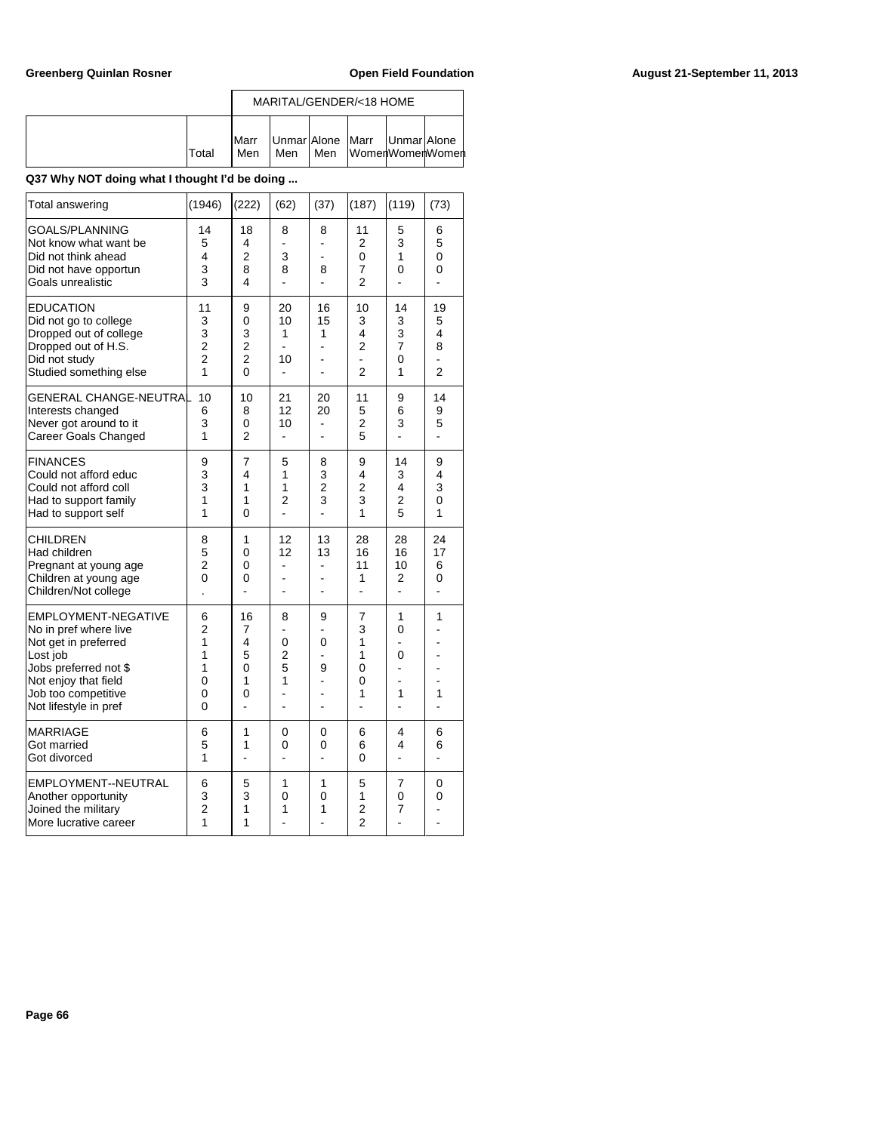|       |                       |     |     | MARITAL/GENDER/<18 HOME                           |  |
|-------|-----------------------|-----|-----|---------------------------------------------------|--|
| Total | <b>IMarr</b><br>l Men | Men | Men | Unmar Alone Marr   Unmar Alone<br>WomenWomenWomen |  |

| Total answering                                                                                                                                                                          | (1946)                                                | (222)                                                | (62)                                | (37)                                 | (187)                                                  | (119)                               | (73)                             |
|------------------------------------------------------------------------------------------------------------------------------------------------------------------------------------------|-------------------------------------------------------|------------------------------------------------------|-------------------------------------|--------------------------------------|--------------------------------------------------------|-------------------------------------|----------------------------------|
| <b>GOALS/PLANNING</b><br>Not know what want be<br>Did not think ahead<br>Did not have opportun<br>Goals unrealistic                                                                      | 14<br>5<br>4<br>3<br>3                                | 18<br>4<br>$\overline{2}$<br>8<br>4                  | 8<br>3<br>8<br>L.                   | 8<br>÷.<br>$\blacksquare$<br>8<br>÷, | 11<br>2<br>0<br>7<br>$\overline{2}$                    | 5<br>3<br>1<br>0<br>÷,              | 6<br>5<br>0<br>0<br>÷,           |
| <b>EDUCATION</b><br>Did not go to college<br>Dropped out of college<br>Dropped out of H.S.<br>Did not study<br>Studied something else                                                    | 11<br>3<br>3<br>$\overline{2}$<br>$\overline{2}$<br>1 | 9<br>0<br>3<br>$\overline{2}$<br>$\overline{2}$<br>0 | 20<br>10<br>1<br>10<br>÷.           | 16<br>15<br>1<br>۰<br>۰              | 10<br>3<br>4<br>$\overline{2}$<br>÷,<br>$\overline{2}$ | 14<br>3<br>3<br>7<br>0<br>1         | 19<br>5<br>4<br>8<br>L.<br>2     |
| GENERAL CHANGE-NEUTRAL<br>Interests changed<br>Never got around to it<br>Career Goals Changed                                                                                            | 10<br>6<br>3<br>1                                     | 10<br>8<br>0<br>$\overline{2}$                       | 21<br>12<br>10<br>٠                 | 20<br>20<br>٠                        | 11<br>5<br>2<br>5                                      | 9<br>6<br>3<br>ä,                   | 14<br>9<br>5<br>ä,               |
| <b>FINANCES</b><br>Could not afford educ<br>Could not afford coll<br>Had to support family<br>Had to support self                                                                        | 9<br>3<br>3<br>1<br>1                                 | 7<br>4<br>1<br>1<br>0                                | 5<br>1<br>1<br>$\overline{2}$<br>ä, | 8<br>3<br>$\overline{2}$<br>3<br>÷,  | 9<br>4<br>$\overline{2}$<br>3<br>1                     | 14<br>3<br>4<br>$\overline{2}$<br>5 | 9<br>4<br>3<br>$\mathbf{0}$<br>1 |
| CHILDREN<br>Had children<br>Pregnant at young age<br>Children at young age<br>Children/Not college                                                                                       | 8<br>5<br>2<br>0                                      | 1<br>0<br>0<br>0                                     | 12<br>12                            | 13<br>13<br>۰<br>$\blacksquare$      | 28<br>16<br>11<br>1<br>÷,                              | 28<br>16<br>10<br>2<br>L.           | 24<br>17<br>6<br>0<br>ä,         |
| <b>EMPLOYMENT-NEGATIVE</b><br>No in pref where live<br>Not get in preferred<br>Lost job<br>Jobs preferred not \$<br>Not enjoy that field<br>Job too competitive<br>Not lifestyle in pref | 6<br>$\overline{2}$<br>1<br>1<br>1<br>0<br>0<br>0     | 16<br>7<br>4<br>5<br>0<br>1<br>0                     | 8<br>0<br>$\overline{2}$<br>5<br>1  | 9<br>0<br>9<br>۰                     | 7<br>3<br>1<br>1<br>0<br>0<br>1                        | 1<br>0<br>0<br>1                    | 1<br>1                           |
| <b>MARRIAGE</b><br>Got married<br>Got divorced                                                                                                                                           | 6<br>5<br>1                                           | 1<br>1                                               | 0<br>0                              | 0<br>0                               | 6<br>6<br>0                                            | 4<br>4                              | 6<br>6                           |
| EMPLOYMENT--NEUTRAL<br>Another opportunity<br>Joined the military<br>More lucrative career                                                                                               | 6<br>3<br>$\overline{2}$<br>1                         | 5<br>3<br>1<br>1                                     | 1<br>0<br>1                         | 1<br>0<br>1                          | 5<br>1<br>$\overline{2}$<br>$\overline{2}$             | $\overline{7}$<br>0<br>7            | 0<br>0                           |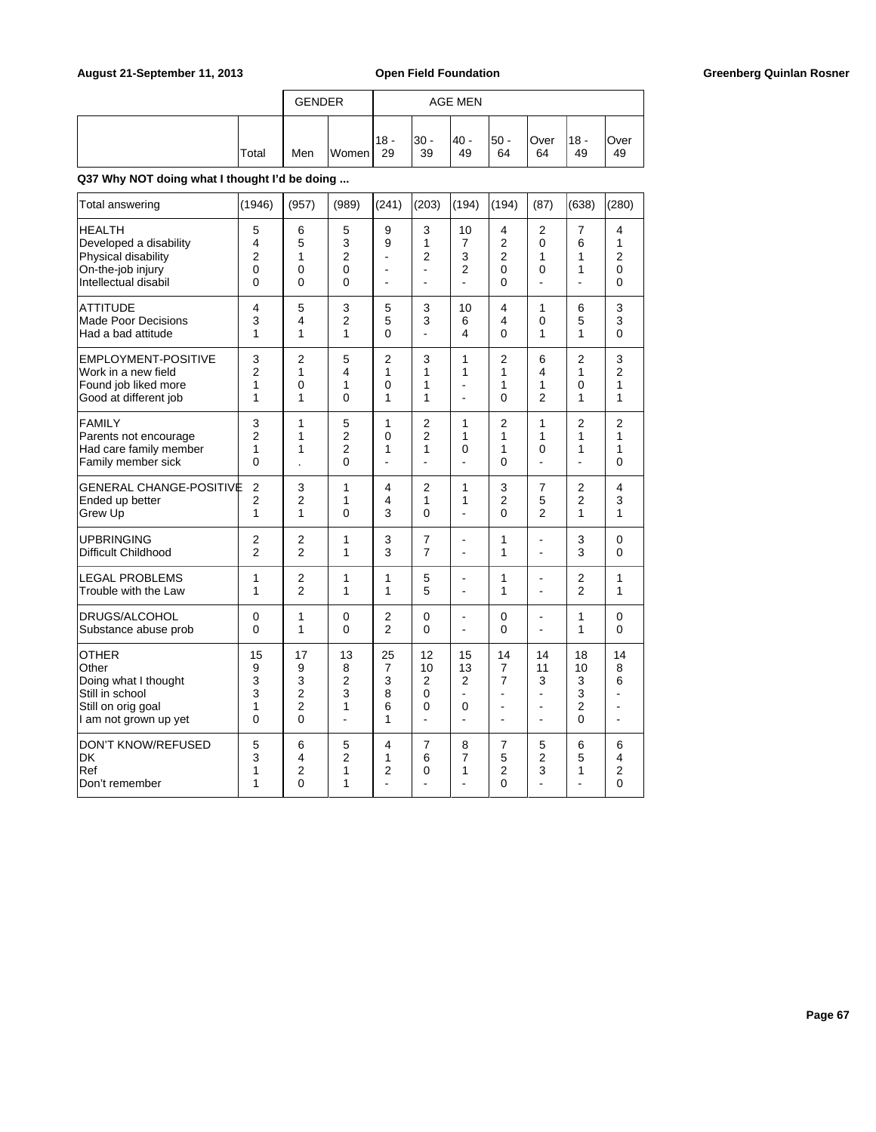|       | <b>GENDER</b> |       |               |             | AGE MEN     |             |            |             |             |
|-------|---------------|-------|---------------|-------------|-------------|-------------|------------|-------------|-------------|
| Total | Men           | Women | $118 -$<br>29 | I30 -<br>39 | - 40 <br>49 | l50 -<br>64 | Over<br>64 | '18 -<br>49 | lOver<br>49 |

| Total answering                                                                                                 | (1946)                                       | (957)                                                 | (989)                                               | (241)                                    | (203)                                                        | (194)                                                  | (194)                         | (87)                                                   | (638)                                     | (280)                                |
|-----------------------------------------------------------------------------------------------------------------|----------------------------------------------|-------------------------------------------------------|-----------------------------------------------------|------------------------------------------|--------------------------------------------------------------|--------------------------------------------------------|-------------------------------|--------------------------------------------------------|-------------------------------------------|--------------------------------------|
| HEALTH<br>Developed a disability<br>Physical disability<br>On-the-job injury<br>Intellectual disabil            | 5<br>4<br>$\overline{2}$<br>$\mathbf 0$<br>0 | 6<br>5<br>1<br>$\mathbf 0$<br>0                       | 5<br>3<br>$\overline{2}$<br>$\mathbf 0$<br>$\Omega$ | 9<br>9<br>٠<br>$\blacksquare$            | 3<br>1<br>$\overline{2}$<br>$\overline{a}$<br>$\blacksquare$ | 10<br>7<br>3<br>$\overline{2}$<br>$\blacksquare$       | 4<br>2<br>2<br>0<br>0         | 2<br>0<br>1<br>0<br>ä,                                 | 7<br>6<br>1<br>1<br>÷                     | 4<br>1<br>$\overline{2}$<br>0<br>0   |
| <b>ATTITUDE</b><br><b>Made Poor Decisions</b><br>Had a bad attitude                                             | 4<br>3<br>1                                  | 5<br>4<br>1                                           | 3<br>$\overline{2}$<br>1                            | 5<br>5<br>$\Omega$                       | 3<br>3                                                       | 10<br>6<br>4                                           | 4<br>4<br>0                   | 1<br>0<br>1                                            | 6<br>5<br>1                               | 3<br>3<br>$\Omega$                   |
| EMPLOYMENT-POSITIVE                                                                                             | 3                                            | $\overline{2}$                                        | 5                                                   | $\overline{2}$                           | 3                                                            | 1                                                      | $\overline{2}$                | 6                                                      | $\overline{2}$                            | 3                                    |
| Work in a new field                                                                                             | $\overline{2}$                               | 1                                                     | 4                                                   | 1                                        | 1                                                            | 1                                                      | 1                             | 4                                                      | 1                                         | $\overline{2}$                       |
| Found job liked more                                                                                            | 1                                            | 0                                                     | 1                                                   | $\Omega$                                 | 1                                                            | ٠                                                      | 1                             | 1                                                      | 0                                         | 1                                    |
| Good at different job                                                                                           | 1                                            | 1                                                     | $\Omega$                                            | 1                                        | 1                                                            | $\overline{a}$                                         | 0                             | $\overline{2}$                                         | 1                                         | 1                                    |
| <b>FAMILY</b><br>Parents not encourage<br>Had care family member<br>Family member sick                          | 3<br>$\overline{2}$<br>1<br>$\mathbf{0}$     | 1<br>1<br>1                                           | 5<br>$\overline{2}$<br>$\overline{2}$<br>$\Omega$   | 1<br>$\Omega$<br>1<br>$\blacksquare$     | $\overline{2}$<br>$\overline{2}$<br>1<br>÷,                  | 1<br>1<br>0<br>$\overline{a}$                          | $\overline{2}$<br>1<br>1<br>0 | 1<br>1<br>0<br>$\overline{a}$                          | $\overline{2}$<br>1<br>1<br>÷,            | $\overline{2}$<br>1<br>1<br>$\Omega$ |
| <b>GENERAL CHANGE-POSITIVE</b>                                                                                  | $\overline{2}$                               | 3                                                     | 1                                                   | 4                                        | $\overline{2}$                                               | 1                                                      | 3                             | $\overline{7}$                                         | $\overline{2}$                            | 4                                    |
| Ended up better                                                                                                 | $\overline{2}$                               | 2                                                     | 1                                                   | 4                                        | 1                                                            | 1                                                      | 2                             | 5                                                      | 2                                         | 3                                    |
| Grew Up                                                                                                         | 1                                            | 1                                                     | $\mathbf 0$                                         | 3                                        | $\mathbf 0$                                                  | ÷.                                                     | 0                             | $\overline{2}$                                         | 1                                         | 1                                    |
| <b>UPBRINGING</b>                                                                                               | $\overline{2}$                               | $\overline{2}$                                        | 1                                                   | 3                                        | $\overline{7}$                                               | $\blacksquare$                                         | 1                             | ä,                                                     | 3                                         | $\mathbf 0$                          |
| Difficult Childhood                                                                                             | $\overline{2}$                               | $\overline{2}$                                        | 1                                                   | 3                                        | $\overline{7}$                                               | $\overline{a}$                                         | 1                             |                                                        | 3                                         | 0                                    |
| <b>LEGAL PROBLEMS</b>                                                                                           | 1                                            | $\overline{2}$                                        | 1                                                   | 1                                        | 5                                                            | -                                                      | 1                             | $\overline{a}$                                         | $\overline{2}$                            | 1                                    |
| Trouble with the Law                                                                                            | 1                                            | $\overline{2}$                                        | 1                                                   | 1                                        | 5                                                            | ÷,                                                     | 1                             | ä,                                                     | $\overline{2}$                            | 1                                    |
| DRUGS/ALCOHOL                                                                                                   | $\mathbf 0$                                  | 1                                                     | $\mathbf 0$                                         | $\overline{2}$                           | $\mathbf 0$                                                  | ÷,                                                     | 0                             | ٠                                                      | 1                                         | 0                                    |
| Substance abuse prob                                                                                            | $\Omega$                                     | 1                                                     | $\Omega$                                            | $\overline{2}$                           | $\Omega$                                                     | ä,                                                     | $\Omega$                      | ÷,                                                     | 1                                         | $\Omega$                             |
| <b>OTHER</b><br>Other<br>Doing what I thought<br>Still in school<br>Still on orig goal<br>I am not grown up yet | 15<br>9<br>3<br>3<br>1<br>0                  | 17<br>9<br>3<br>$\overline{c}$<br>$\overline{2}$<br>0 | 13<br>8<br>$\overline{2}$<br>3<br>1<br>L.           | 25<br>$\overline{7}$<br>3<br>8<br>6<br>1 | 12<br>10<br>$\overline{2}$<br>$\Omega$<br>0<br>$\mathbf{r}$  | 15<br>13<br>$\overline{2}$<br>÷<br>0<br>$\overline{a}$ | 14<br>7<br>7<br>۳<br>÷.       | 14<br>11<br>3<br>٠<br>$\blacksquare$<br>$\overline{a}$ | 18<br>10<br>3<br>3<br>$\overline{2}$<br>0 | 14<br>8<br>6<br>٠<br>٠               |
| <b>DON'T KNOW/REFUSED</b>                                                                                       | 5                                            | 6                                                     | 5                                                   | 4                                        | 7                                                            | 8                                                      | 7                             | 5                                                      | 6                                         | 6                                    |
| DK                                                                                                              | 3                                            | 4                                                     | $\overline{2}$                                      | 1                                        | 6                                                            | 7                                                      | 5                             | $\overline{2}$                                         | 5                                         | $\overline{4}$                       |
| Ref                                                                                                             | 1                                            | 2                                                     | 1                                                   | 2                                        | 0                                                            | 1                                                      | 2                             | 3                                                      | 1                                         | 2                                    |
| Don't remember                                                                                                  | 1                                            | $\mathbf{0}$                                          | 1                                                   | ÷                                        | ÷                                                            | ٠                                                      | $\mathbf{0}$                  | ä,                                                     | ۳                                         | $\mathbf{0}$                         |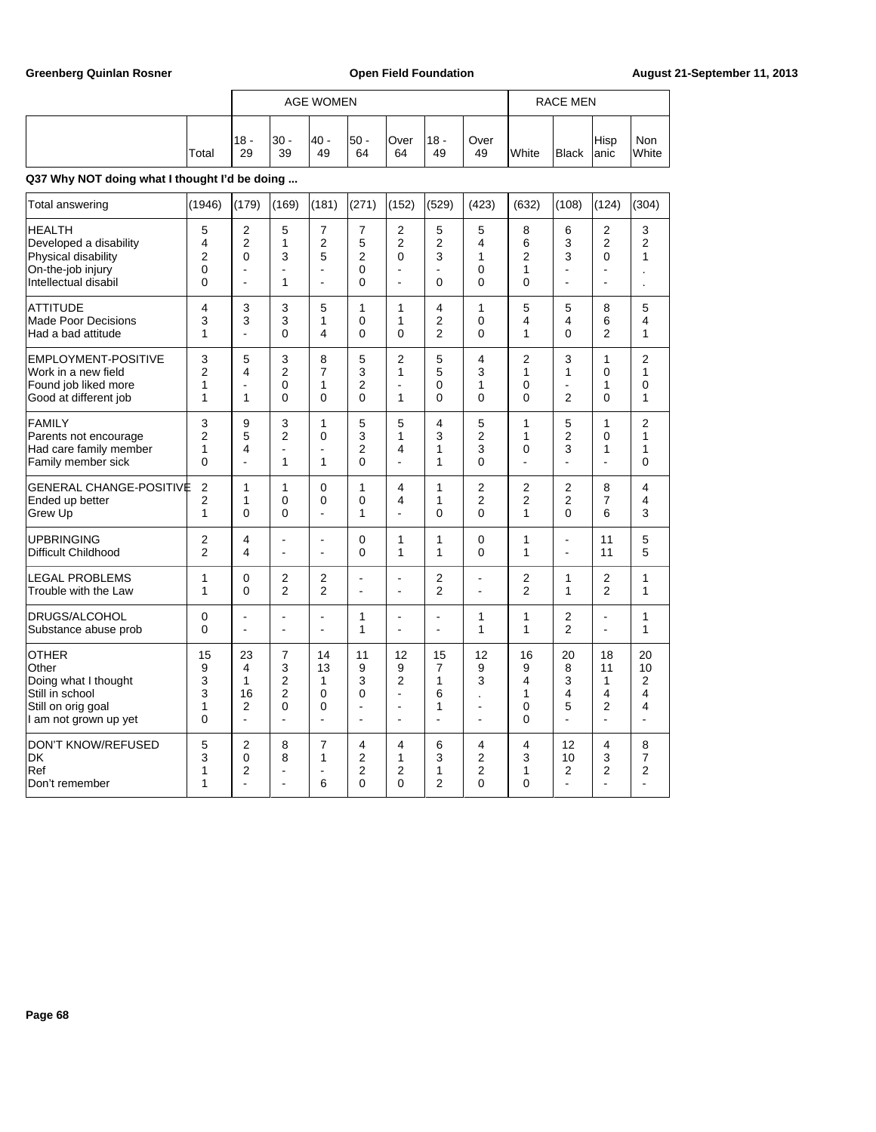|                                                                                                                 |                                                  |                                                              |                                                        |                                           |                                    |                                                                     | <b>AGE WOMEN</b>                    |                                      |                                       |                                              |                                                        |                                          |  |  |  |
|-----------------------------------------------------------------------------------------------------------------|--------------------------------------------------|--------------------------------------------------------------|--------------------------------------------------------|-------------------------------------------|------------------------------------|---------------------------------------------------------------------|-------------------------------------|--------------------------------------|---------------------------------------|----------------------------------------------|--------------------------------------------------------|------------------------------------------|--|--|--|
|                                                                                                                 | Total                                            | $18 -$<br>29                                                 | $30 -$<br>39                                           | 40 -<br>49                                | $50 -$<br>64                       | Over<br>64                                                          | $18 -$<br>49                        | Over<br>49                           | White                                 | Black                                        | Hisp<br>lanic                                          | Non<br>White                             |  |  |  |
| Q37 Why NOT doing what I thought I'd be doing                                                                   |                                                  |                                                              |                                                        |                                           |                                    |                                                                     |                                     |                                      |                                       |                                              |                                                        |                                          |  |  |  |
| Total answering                                                                                                 | (1946)                                           | (179)                                                        | (169)                                                  | (181)                                     | (271)                              | (152)                                                               | (529)                               | (423)                                | (632)                                 | (108)                                        | (124)                                                  | (304)                                    |  |  |  |
| <b>HEALTH</b><br>Developed a disability<br>Physical disability<br>On-the-job injury<br>Intellectual disabil     | 5<br>4<br>$\overline{2}$<br>0<br>0               | $\overline{2}$<br>$\overline{2}$<br>$\mathbf{0}$<br>L,<br>L. | 5<br>1<br>3<br>÷,<br>1                                 | 7<br>2<br>5<br>ä,<br>ä,                   | 7<br>5<br>$\overline{2}$<br>0<br>0 | 2<br>2<br>0<br>÷,<br>÷,                                             | 5<br>$\overline{2}$<br>3<br>0       | 5<br>4<br>1<br>0<br>0                | 8<br>6<br>$\overline{2}$<br>1<br>0    | 6<br>3<br>3<br>÷,<br>÷,                      | 2<br>2<br>$\overline{0}$<br>÷,<br>$\overline{a}$       | 3<br>2<br>1                              |  |  |  |
| <b>ATTITUDE</b><br><b>Made Poor Decisions</b><br>Had a bad attitude                                             | 4<br>3<br>1                                      | 3<br>3                                                       | 3<br>3<br>0                                            | 5<br>1<br>4                               | 1<br>0<br>0                        | 1<br>1<br>$\mathbf{0}$                                              | 4<br>$\overline{2}$<br>2            | 1<br>0<br>$\mathbf{0}$               | 5<br>4<br>1                           | 5<br>4<br>$\mathbf{0}$                       | 8<br>6<br>$\overline{2}$                               | 5<br>4<br>1                              |  |  |  |
| <b>EMPLOYMENT-POSITIVE</b><br>Work in a new field<br>Found job liked more<br>Good at different job              | 3<br>$\overline{2}$<br>1<br>1                    | 5<br>4<br>1                                                  | 3<br>$\overline{2}$<br>0<br>0                          | 8<br>7<br>1<br>0                          | 5<br>3<br>2<br>$\mathbf{0}$        | 2<br>1<br>÷,<br>1                                                   | 5<br>5<br>$\mathbf 0$<br>$\Omega$   | 4<br>3<br>1<br>$\mathbf{0}$          | $\overline{2}$<br>1<br>0<br>0         | 3<br>1<br>÷,<br>$\overline{2}$               | 1<br>0<br>1<br>$\mathbf{0}$                            | $\overline{c}$<br>$\mathbf{1}$<br>0<br>1 |  |  |  |
| <b>FAMILY</b><br>Parents not encourage<br>Had care family member<br>Family member sick                          | 3<br>$\overline{2}$<br>1<br>0                    | 9<br>5<br>4<br>$\overline{a}$                                | 3<br>$\overline{2}$<br>÷.<br>1                         | 1<br>0<br>$\overline{a}$<br>1             | 5<br>3<br>2<br>0                   | 5<br>1<br>4<br>$\overline{a}$                                       | 4<br>3<br>1<br>1                    | 5<br>$\overline{2}$<br>3<br>0        | 1<br>1<br>0                           | 5<br>$\overline{2}$<br>3<br>L.               | 1<br>$\Omega$<br>1<br>$\overline{a}$                   | $\overline{2}$<br>1<br>1<br>0            |  |  |  |
| <b>GENERAL CHANGE-POSITIVE</b><br>Ended up better<br>Grew Up                                                    | $\overline{2}$<br>$\overline{2}$<br>$\mathbf{1}$ | 1<br>1<br>$\Omega$                                           | 1<br>0<br>$\Omega$                                     | $\mathbf{0}$<br>0<br>$\overline{a}$       | 1<br>0<br>1                        | 4<br>4<br>٠                                                         | 1<br>1<br>$\Omega$                  | 2<br>$\overline{2}$<br>$\mathbf{0}$  | $\overline{2}$<br>$\overline{2}$<br>1 | 2<br>$\overline{2}$<br>$\mathbf{0}$          | 8<br>7<br>6                                            | 4<br>4<br>3                              |  |  |  |
| <b>UPBRINGING</b><br><b>Difficult Childhood</b>                                                                 | $\overline{2}$<br>$\overline{2}$                 | 4<br>$\overline{4}$                                          | $\blacksquare$                                         | ä,<br>ä,                                  | 0<br>0                             | 1<br>1                                                              | 1<br>1                              | 0<br>0                               | 1<br>1                                | $\overline{a}$<br>$\overline{a}$             | 11<br>11                                               | 5<br>5                                   |  |  |  |
| <b>LEGAL PROBLEMS</b><br>Trouble with the Law                                                                   | $\mathbf{1}$<br>$\mathbf{1}$                     | $\mathbf 0$<br>$\mathbf{0}$                                  | 2<br>$\overline{2}$                                    | 2<br>$\overline{2}$                       | $\overline{a}$                     | ٠<br>$\blacksquare$                                                 | $\overline{2}$<br>$\overline{2}$    | ä,<br>$\overline{a}$                 | 2<br>$\overline{2}$                   | 1<br>1                                       | $\overline{2}$<br>$\overline{2}$                       | 1<br>1                                   |  |  |  |
| DRUGS/ALCOHOL<br>Substance abuse prob                                                                           | $\Omega$<br>$\mathbf 0$                          | Ĭ.<br>$\overline{a}$                                         | $\overline{a}$                                         | $\blacksquare$                            | 1<br>1                             | Ĭ.<br>$\overline{\phantom{a}}$                                      | L.<br>$\overline{a}$                | 1<br>1                               | 1<br>1                                | $\overline{2}$<br>$\overline{2}$             | $\overline{a}$<br>$\overline{a}$                       | 1<br>1                                   |  |  |  |
| <b>OTHER</b><br>Other<br>Doing what I thought<br>Still in school<br>Still on orig goal<br>I am not grown up yet | 15<br>9<br>3<br>3<br>1<br>0                      | 23<br>4<br>$\mathbf{1}$<br>16<br>$\overline{2}$              | 7<br>3<br>$\overline{2}$<br>$\overline{2}$<br>$\Omega$ | 14<br>13<br>1<br>0<br>0<br>$\overline{a}$ | 11<br>9<br>3<br>0<br>ä,<br>ä,      | 12<br>9<br>$\overline{2}$<br>÷,<br>$\overline{a}$<br>$\overline{a}$ | 15<br>$\overline{7}$<br>1<br>6<br>1 | 12<br>9<br>3<br>$\overline{a}$<br>L, | 16<br>9<br>4<br>1<br>0<br>0           | 20<br>8<br>3<br>4<br>5<br>$\overline{a}$     | 18<br>11<br>1<br>4<br>$\overline{2}$<br>$\overline{a}$ | 20<br>10<br>$\overline{2}$<br>4<br>4     |  |  |  |
| <b>DON'T KNOW/REFUSED</b><br>DK<br>Ref<br>Don't remember                                                        | 5<br>3<br>1<br>1                                 | $\overline{2}$<br>$\mathbf 0$<br>$\overline{2}$              | 8<br>8                                                 | 7<br>1<br>-<br>6                          | 4<br>2<br>$\overline{2}$<br>0      | 4<br>1<br>$\overline{2}$<br>0                                       | 6<br>3<br>1<br>2                    | 4<br>2<br>$\overline{2}$<br>0        | 4<br>3<br>1<br>0                      | 12<br>10<br>$\overline{2}$<br>$\overline{a}$ | 4<br>3<br>$\overline{2}$                               | 8<br>7<br>$\overline{2}$                 |  |  |  |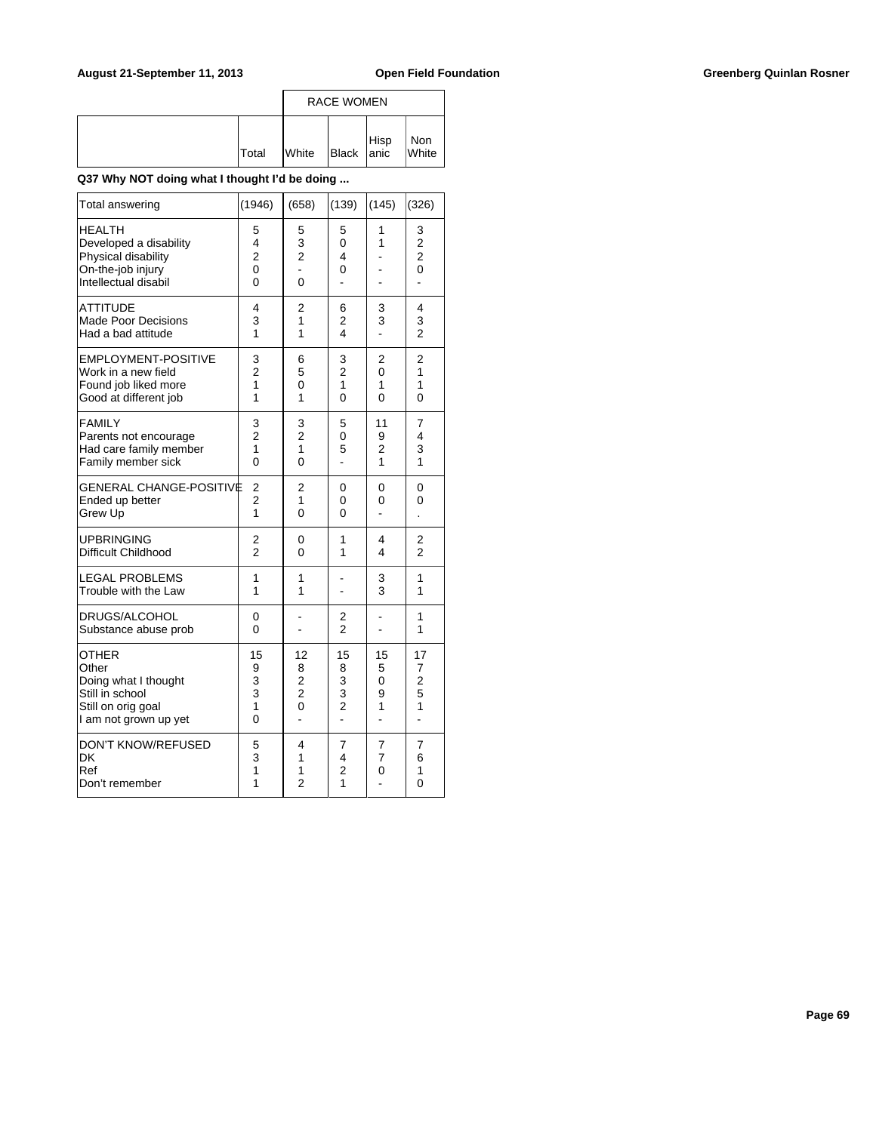|              | <b>RACE WOMEN</b> |            |  |              |
|--------------|-------------------|------------|--|--------------|
| <b>Total</b> | <b>White</b>      | Black Hisp |  | Non<br>White |

| Total answering                                                                                             | (1946)                             | (658)                                     | (139)                                                 | (145)                         | (326)                                                                     |
|-------------------------------------------------------------------------------------------------------------|------------------------------------|-------------------------------------------|-------------------------------------------------------|-------------------------------|---------------------------------------------------------------------------|
| <b>HEALTH</b><br>Developed a disability<br>Physical disability<br>On-the-job injury<br>Intellectual disabil | 5<br>4<br>2<br>$\overline{0}$<br>0 | 5<br>3<br>$\overline{2}$<br>0             | 5<br>0<br>4<br>0                                      | 1<br>1                        | 3<br>$\overline{\mathbf{c}}$<br>$\overline{2}$<br>$\overline{0}$<br>÷,    |
| <b>ATTITUDE</b><br><b>Made Poor Decisions</b><br>Had a bad attitude                                         | 4<br>3<br>1                        | 2<br>1<br>1                               | 6<br>$\overline{2}$<br>4                              | 3<br>3                        | 4<br>3<br>$\overline{2}$                                                  |
| <b>EMPLOYMENT-POSITIVE</b><br>Work in a new field<br>Found job liked more<br>Good at different job          | 3<br>$\overline{2}$<br>1<br>1      | 6<br>5<br>0<br>1                          | 3<br>$\overline{2}$<br>1<br>$\overline{O}$            | $\overline{2}$<br>0<br>1<br>0 | $\overline{2}$<br>1<br>1<br>0                                             |
| <b>FAMILY</b><br>Parents not encourage<br>Had care family member<br>Family member sick                      | 3<br>$\overline{2}$<br>1<br>0      | 3<br>$\overline{c}$<br>1<br>0             | 5<br>0<br>5<br>ä,                                     | 11<br>9<br>2<br>1             | 7<br>4<br>3<br>1                                                          |
| GENERAL CHANGE-POSITIVE<br>Ended up better<br>Grew Up                                                       | 2<br>$\overline{c}$<br>1           | 2<br>1<br>0                               | 0<br>0<br>0                                           | 0<br>0                        | 0<br>0                                                                    |
| <b>UPBRINGING</b><br>Difficult Childhood                                                                    | 2<br>$\overline{2}$                | 0<br>0                                    | 1<br>1                                                | 4<br>4                        | $\overline{2}$<br>$\overline{2}$                                          |
| <b>LEGAL PROBLEMS</b><br>Trouble with the Law                                                               | 1<br>1                             | 1<br>1                                    |                                                       | 3<br>3                        | 1<br>1                                                                    |
| DRUGS/ALCOHOL<br>Substance abuse prob                                                                       | 0<br>0                             |                                           | 2<br>$\overline{2}$                                   |                               | 1<br>1                                                                    |
| OTHER<br>Other<br>Doing what I thought<br>Still in school<br>Still on orig goal<br>I am not grown up yet    | 15<br>9<br>3<br>3<br>1<br>0        | 12<br>8<br>2<br>$\overline{c}$<br>0<br>L. | 15<br>8<br>3<br>3<br>$\overline{c}$<br>$\overline{a}$ | 15<br>5<br>0<br>9<br>1<br>L.  | 17<br>7<br>$\overline{\mathbf{c}}$<br>5<br>$\mathbf{1}$<br>$\overline{a}$ |
| <b>DON'T KNOW/REFUSED</b><br>DK<br>Ref<br>Don't remember                                                    | 5<br>3<br>1<br>1                   | 4<br>1<br>1<br>$\overline{2}$             | 7<br>4<br>$\overline{2}$<br>1                         | 7<br>7<br>0                   | 7<br>6<br>1<br>0                                                          |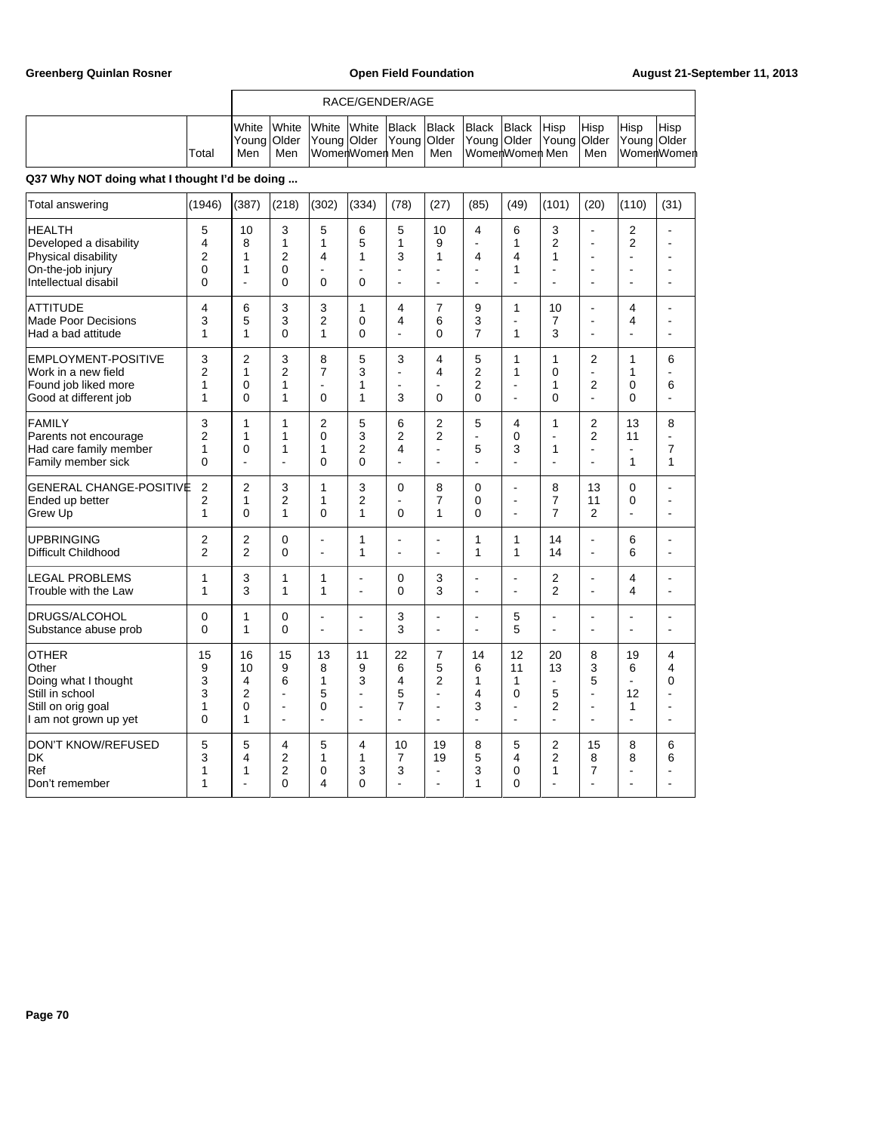|       |                                                                                                                                                               | RACE/GENDER/AGE |  |                   |  |       |                 |  |  |                      |      |                              |  |
|-------|---------------------------------------------------------------------------------------------------------------------------------------------------------------|-----------------|--|-------------------|--|-------|-----------------|--|--|----------------------|------|------------------------------|--|
| Total | <b>I</b> White White White White Black Black Black Black Hisp<br>Young Older Young Older Young Older Young Older Young Older Young Older   Young Older<br>Men | Men             |  | lWomerlWomerl Men |  | l Men | lWomerWomer Men |  |  | <b>Hisp</b><br>l Men | Hisp | <b>Hisp</b><br>∣WomerlWomerl |  |

| Total answering                                                                                                 | (1946)                                        | (387)                            | (218)                                                | (302)                                                                 | (334)                                                | (78)                                                | (27)                                                            | (85)                                       | (49)                                                 | (101)                                                               | (20)                                                                     | (110)                                                          | (31)                             |
|-----------------------------------------------------------------------------------------------------------------|-----------------------------------------------|----------------------------------|------------------------------------------------------|-----------------------------------------------------------------------|------------------------------------------------------|-----------------------------------------------------|-----------------------------------------------------------------|--------------------------------------------|------------------------------------------------------|---------------------------------------------------------------------|--------------------------------------------------------------------------|----------------------------------------------------------------|----------------------------------|
| <b>HEALTH</b><br>Developed a disability<br>Physical disability<br>On-the-job injury<br>Intellectual disabil     | 5<br>4<br>$\overline{2}$<br>0<br>$\mathbf{0}$ | 10<br>8<br>1<br>1<br>÷,          | 3<br>$\mathbf{1}$<br>$\overline{2}$<br>0<br>$\Omega$ | 5<br>$\mathbf{1}$<br>$\overline{4}$<br>$\blacksquare$<br>$\mathbf{0}$ | 6<br>5<br>1<br>$\blacksquare$<br>$\Omega$            | 5<br>1<br>3<br>$\overline{\phantom{a}}$<br>÷        | 10<br>9<br>1<br>ä,<br>$\blacksquare$                            | 4<br>ä,<br>4<br>$\blacksquare$             | 6<br>1<br>4<br>1<br>÷,                               | 3<br>$\overline{2}$<br>1<br>÷.                                      | $\overline{\phantom{a}}$<br>L.<br>$\blacksquare$<br>$\blacksquare$<br>L, | $\overline{2}$<br>$\overline{2}$<br>$\overline{a}$<br>ä,<br>L, | ä,<br>$\overline{a}$<br>÷        |
| <b>ATTITUDE</b><br>Made Poor Decisions<br>Had a bad attitude                                                    | 4<br>3<br>1                                   | 6<br>5<br>1                      | 3<br>3<br>$\overline{0}$                             | 3<br>$\overline{2}$<br>1                                              | $\mathbf{1}$<br>$\mathbf 0$<br>$\Omega$              | 4<br>$\overline{4}$<br>÷                            | 7<br>6<br>0                                                     | 9<br>3<br>$\overline{7}$                   | $\mathbf{1}$<br>$\blacksquare$<br>1                  | 10<br>$\overline{7}$<br>3                                           | $\overline{a}$<br>L,<br>÷                                                | 4<br>4<br>ä,                                                   | ä,<br>ä,<br>۰                    |
| <b>EMPLOYMENT-POSITIVE</b><br>Work in a new field<br>Found job liked more<br>Good at different job              | 3<br>$\overline{2}$<br>1<br>$\mathbf{1}$      | $\overline{2}$<br>1<br>0<br>0    | 3<br>$\overline{2}$<br>1<br>1                        | 8<br>$\overline{7}$<br>÷.<br>$\mathbf{0}$                             | 5<br>3<br>1<br>1                                     | 3<br>$\overline{a}$<br>$\overline{a}$<br>3          | 4<br>4<br>ä,<br>0                                               | 5<br>$\overline{2}$<br>$\overline{2}$<br>0 | 1<br>$\mathbf{1}$<br>÷<br>$\blacksquare$             | 1<br>$\Omega$<br>1<br>$\Omega$                                      | $\overline{2}$<br>$\overline{a}$<br>$\sqrt{2}$<br>ä,                     | 1<br>1<br>0<br>$\Omega$                                        | 6<br>6<br>ä,                     |
| FAMILY<br>Parents not encourage<br>Had care family member<br>Family member sick                                 | 3<br>$\overline{2}$<br>$\mathbf{1}$<br>0      | 1<br>1<br>0<br>ä,                | 1<br>1<br>1<br>٠                                     | $\overline{2}$<br>0<br>1<br>$\mathbf{0}$                              | 5<br>3<br>$\overline{2}$<br>$\Omega$                 | 6<br>2<br>4<br>÷                                    | 2<br>$\overline{2}$<br>ä,<br>$\blacksquare$                     | 5<br>÷,<br>5<br>٠                          | 4<br>$\mathbf 0$<br>3<br>÷                           | 1<br>$\blacksquare$<br>1<br>÷                                       | $\overline{2}$<br>$\overline{2}$<br>ä,<br>÷.                             | 13<br>11<br>$\blacksquare$<br>1                                | 8<br>$\overline{7}$<br>1         |
| <b>GENERAL CHANGE-POSITIVE</b><br>Ended up better<br>Grew Up                                                    | $\overline{2}$<br>$\overline{2}$<br>1         | $\overline{2}$<br>1<br>0         | 3<br>$\overline{2}$<br>1                             | $\mathbf{1}$<br>1<br>$\Omega$                                         | 3<br>$\overline{2}$<br>1                             | $\mathbf 0$<br>$\overline{\phantom{a}}$<br>$\Omega$ | 8<br>7<br>1                                                     | 0<br>0<br>$\Omega$                         | $\overline{a}$<br>$\blacksquare$<br>$\blacksquare$   | 8<br>$\overline{7}$<br>$\overline{7}$                               | 13<br>11<br>$\overline{2}$                                               | 0<br>0<br>$\blacksquare$                                       | ÷<br>۰                           |
| UPBRINGING<br><b>Difficult Childhood</b>                                                                        | $\overline{2}$<br>$\overline{2}$              | $\overline{2}$<br>$\overline{2}$ | 0<br>$\Omega$                                        | ÷,<br>÷,                                                              | $\mathbf{1}$<br>1                                    | $\overline{\phantom{a}}$<br>$\blacksquare$          | ÷,<br>ä,                                                        | $\mathbf{1}$<br>1                          | 1<br>$\mathbf{1}$                                    | 14<br>14                                                            | ÷,<br>÷,                                                                 | 6<br>6                                                         | ٠<br>$\blacksquare$              |
| <b>LEGAL PROBLEMS</b><br>Trouble with the Law                                                                   | 1<br>1                                        | 3<br>3                           | 1<br>1                                               | 1<br>1                                                                | ÷.<br>$\blacksquare$                                 | $\mathbf 0$<br>$\Omega$                             | 3<br>3                                                          | $\blacksquare$<br>$\overline{\phantom{a}}$ | $\blacksquare$<br>$\blacksquare$                     | 2<br>$\overline{2}$                                                 | L,<br>÷,                                                                 | 4<br>4                                                         | $\blacksquare$<br>$\blacksquare$ |
| <b>DRUGS/ALCOHOL</b><br>Substance abuse prob                                                                    | 0<br>$\mathbf{0}$                             | 1<br>1                           | 0<br>$\Omega$                                        | ÷,<br>$\blacksquare$                                                  | $\overline{\phantom{a}}$<br>$\blacksquare$           | 3<br>3                                              | ä,<br>$\overline{\phantom{a}}$                                  | ä,<br>۰                                    | 5<br>5                                               | L,<br>$\overline{a}$                                                | L,<br>$\overline{a}$                                                     | L,<br>ä,                                                       | ä,<br>۰                          |
| <b>OTHER</b><br>Other<br>Doing what I thought<br>Still in school<br>Still on orig goal<br>I am not grown up yet | 15<br>9<br>3<br>3<br>1<br>0                   | 16<br>10<br>4<br>2<br>0<br>1     | 15<br>9<br>6<br>ä,<br>$\blacksquare$                 | 13<br>8<br>1<br>5<br>0<br>÷,                                          | 11<br>9<br>3<br>÷,<br>÷.<br>$\overline{\phantom{a}}$ | 22<br>6<br>4<br>5<br>$\overline{7}$<br>L.           | 7<br>5<br>$\overline{2}$<br>÷<br>÷,<br>$\overline{\phantom{a}}$ | 14<br>6<br>1<br>4<br>3<br>$\overline{a}$   | 12<br>11<br>1<br>$\mathbf 0$<br>÷,<br>$\blacksquare$ | 20<br>13<br>$\blacksquare$<br>5<br>$\overline{2}$<br>$\overline{a}$ | 8<br>3<br>5<br>÷,<br>÷.<br>÷.                                            | 19<br>6<br>$\blacksquare$<br>12<br>1<br>$\overline{a}$         | 4<br>4<br>0<br>۰                 |
| <b>DON'T KNOW/REFUSED</b><br><b>DK</b><br>Ref<br>Don't remember                                                 | 5<br>3<br>1<br>1                              | 5<br>4<br>1<br>÷                 | 4<br>2<br>2<br>$\Omega$                              | 5<br>1<br>0<br>4                                                      | 4<br>1<br>3<br>$\Omega$                              | 10<br>$\overline{7}$<br>3                           | 19<br>19<br>ä,<br>ä,                                            | 8<br>5<br>3<br>1                           | 5<br>4<br>0<br>$\mathbf{0}$                          | 2<br>$\overline{2}$<br>1                                            | 15<br>8<br>$\overline{7}$                                                | 8<br>8<br>÷,<br>Ĭ.                                             | 6<br>6<br>۰                      |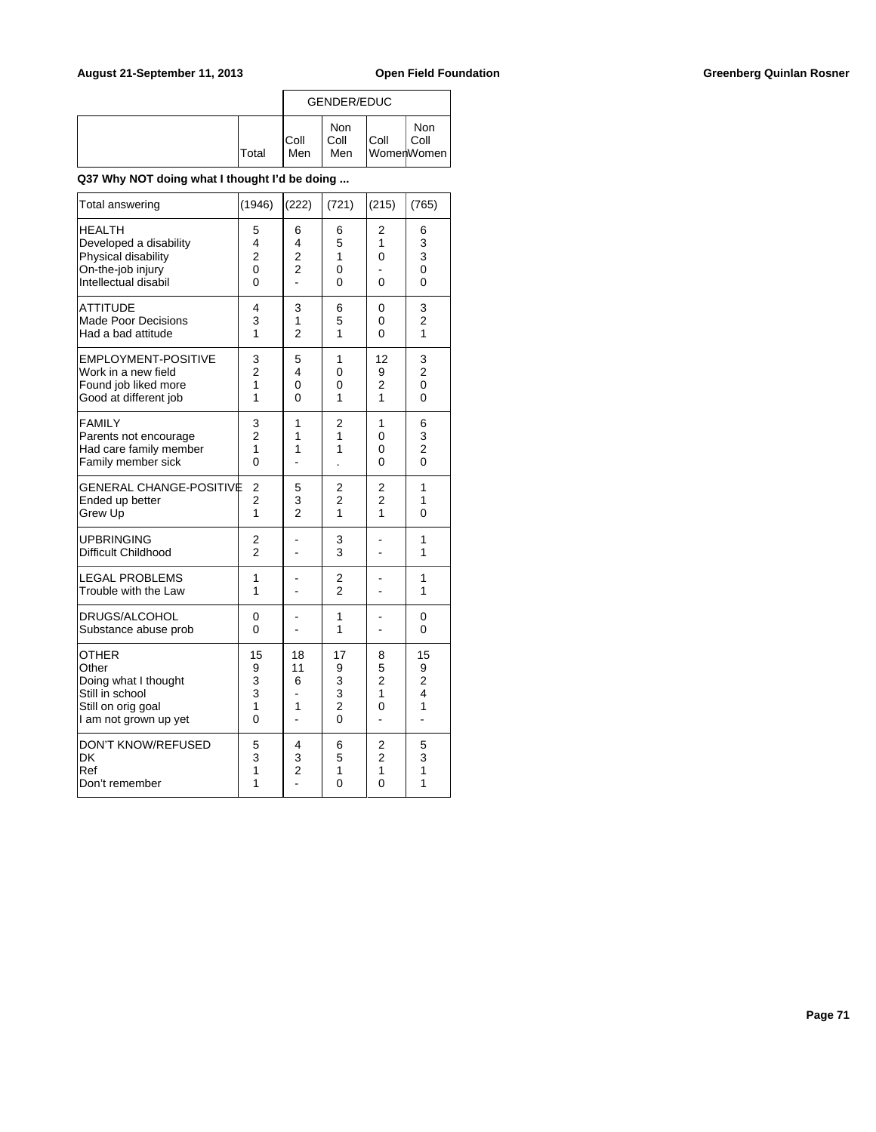|              | <b>GENDER/EDUC</b> |                           |      |                           |
|--------------|--------------------|---------------------------|------|---------------------------|
| <b>Total</b> | IColl<br>Men       | <b>Non</b><br>Coll<br>Men | Coll | Non<br>Coll<br>WomenWomen |

| Total answering                                                                                                 | (1946)                             | (222)                                      | (721)                                                 | (215)                                          | (765)                                      |
|-----------------------------------------------------------------------------------------------------------------|------------------------------------|--------------------------------------------|-------------------------------------------------------|------------------------------------------------|--------------------------------------------|
| <b>HEALTH</b><br>Developed a disability<br>Physical disability<br>On-the-job injury<br>Intellectual disabil     | 5<br>4<br>$\overline{2}$<br>0<br>0 | 6<br>4<br>$\overline{c}$<br>$\overline{2}$ | 6<br>5<br>1<br>0<br>0                                 | 2<br>1<br>0<br>0                               | 6<br>3<br>3<br>$\overline{0}$<br>0         |
| <b>ATTITUDE</b><br><b>Made Poor Decisions</b><br>Had a bad attitude                                             | 4<br>3<br>1                        | 3<br>1<br>$\overline{2}$                   | 6<br>5<br>1                                           | 0<br>0<br>0                                    | 3<br>$\overline{c}$<br>1                   |
| EMPLOYMENT-POSITIVE<br>Work in a new field<br>Found job liked more<br>Good at different job                     | 3<br>$\overline{2}$<br>1<br>1      | 5<br>4<br>0<br>0                           | 1<br>0<br>0<br>1                                      | 12<br>9<br>$\overline{2}$<br>1                 | 3<br>$\overline{2}$<br>$\overline{0}$<br>0 |
| <b>FAMILY</b><br>Parents not encourage<br>Had care family member<br>Family member sick                          | 3<br>$\overline{2}$<br>1<br>0      | 1<br>1<br>1<br>L,                          | 2<br>1<br>1                                           | 1<br>0<br>0<br>0                               | 6<br>3<br>$\overline{c}$<br>$\overline{0}$ |
| GENERAL CHANGE-POSITIVE<br>Ended up better<br>Grew Up                                                           | 2<br>$\overline{2}$<br>1           | 5<br>3<br>$\mathfrak{p}$                   | 2<br>$\overline{c}$<br>1                              | $\overline{\mathbf{c}}$<br>$\overline{2}$<br>1 | 1<br>1<br>0                                |
| <b>UPBRINGING</b><br>Difficult Childhood                                                                        | 2<br>$\overline{2}$                |                                            | 3<br>3                                                |                                                | 1<br>1                                     |
| <b>LEGAL PROBLEMS</b><br>Trouble with the Law                                                                   | 1<br>1                             |                                            | 2<br>$\overline{2}$                                   |                                                | 1<br>1                                     |
| DRUGS/ALCOHOL<br>Substance abuse prob                                                                           | 0<br>0                             |                                            | 1<br>1                                                |                                                | 0<br>0                                     |
| <b>OTHER</b><br>Other<br>Doing what I thought<br>Still in school<br>Still on orig goal<br>I am not grown up yet | 15<br>9<br>3<br>3<br>1<br>0        | 18<br>11<br>6<br>1                         | 17<br>9<br>3<br>3<br>$\overline{c}$<br>$\overline{0}$ | 8<br>5<br>$\overline{2}$<br>1<br>0<br>L.       | 15<br>9<br>$\overline{2}$<br>4<br>1<br>÷,  |
| <b>DON'T KNOW/REFUSED</b><br>DK<br>Ref<br>Don't remember                                                        | 5<br>3<br>1<br>1                   | 4<br>3<br>$\overline{c}$                   | 6<br>5<br>1<br>0                                      | 2<br>$\overline{2}$<br>1<br>0                  | 5<br>3<br>1<br>1                           |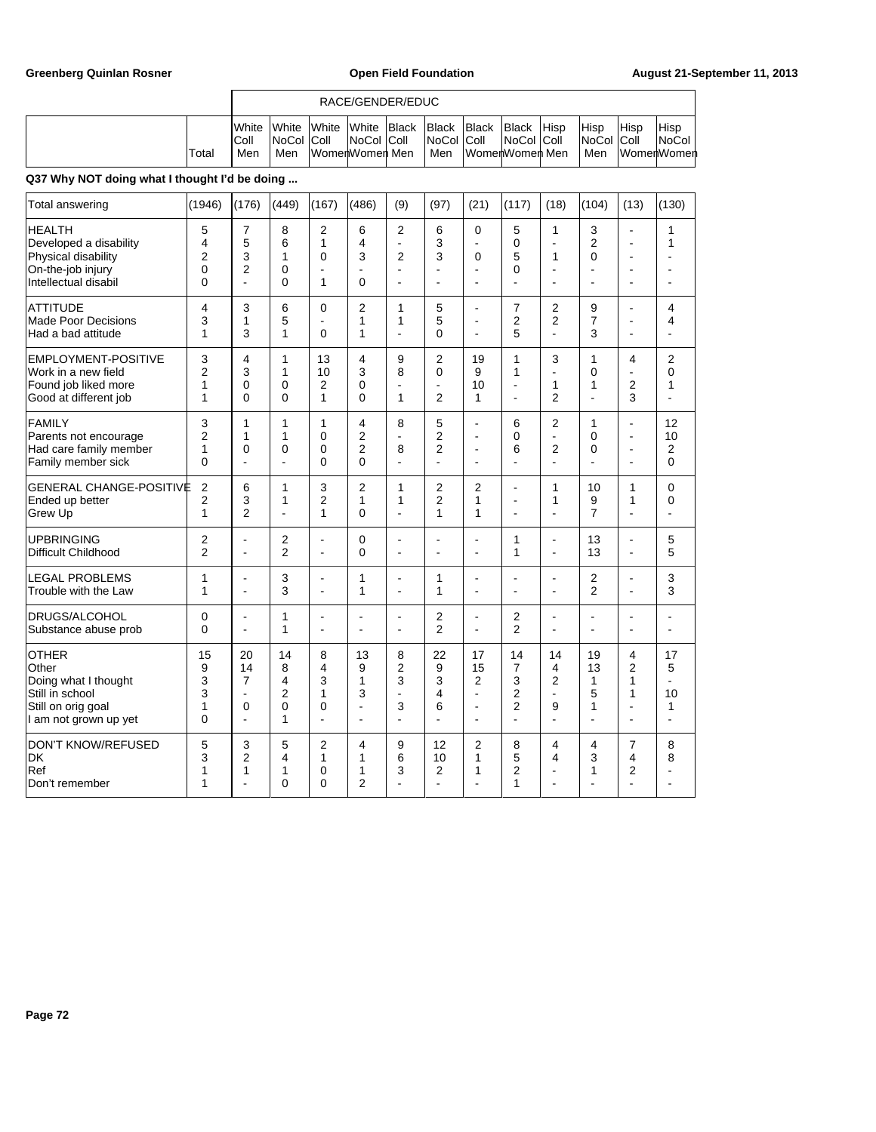|       |                                | RACE/GENDER/EDUC                            |        |                                             |  |                                   |              |                                              |             |                                         |      |                                             |  |
|-------|--------------------------------|---------------------------------------------|--------|---------------------------------------------|--|-----------------------------------|--------------|----------------------------------------------|-------------|-----------------------------------------|------|---------------------------------------------|--|
| Total | <b>I</b> White<br>IColl<br>Men | <i><b>IWhite</b></i><br>INoCol IColl<br>Men | lWhite | White Black<br>NoCol Coll<br>WomenWomen Men |  | <b>Black</b><br>NoCol Coll<br>Men | <b>Black</b> | <b>Black</b><br>NoCol Coll<br>WomenWomen Men | <b>Hisp</b> | <b>Hisp</b><br><b>NoCol Coll</b><br>Men | Hisp | 'Hisp<br><b>NoCol</b><br><b>IWomenWomen</b> |  |

| <b>Total answering</b>                                                                                          | (1946)                                        | (176)                                                            | (449)                          | (167)                                   | (486)                           | (9)                                                  | (97)                                        | (21)                                                                | (117)                                                                           | (18)                                                  | (104)                         | (13)                                             | (130)                                      |
|-----------------------------------------------------------------------------------------------------------------|-----------------------------------------------|------------------------------------------------------------------|--------------------------------|-----------------------------------------|---------------------------------|------------------------------------------------------|---------------------------------------------|---------------------------------------------------------------------|---------------------------------------------------------------------------------|-------------------------------------------------------|-------------------------------|--------------------------------------------------|--------------------------------------------|
| <b>HEALTH</b><br>Developed a disability<br>Physical disability<br>On-the-job injury<br>Intellectual disabil     | 5<br>4<br>$\overline{2}$<br>0<br>$\mathbf{0}$ | $\overline{7}$<br>5<br>3<br>$\overline{2}$<br>$\overline{a}$     | 8<br>6<br>1<br>0<br>0          | 2<br>1<br>0<br>L,<br>1                  | 6<br>4<br>3<br>L,<br>$\Omega$   | $\overline{2}$<br>÷,<br>$\overline{2}$<br>L,<br>J.   | 6<br>3<br>3<br>ä,<br>÷                      | 0<br>$\overline{a}$<br>0<br>$\blacksquare$<br>÷                     | 5<br>0<br>5<br>$\Omega$                                                         | 1<br>÷.<br>1<br>L,<br>$\overline{a}$                  | 3<br>2<br>0<br>L,<br>ä,       | L,<br>ä,<br>$\overline{\phantom{a}}$<br>L,<br>L, | 1<br>1<br>$\overline{a}$                   |
| ATTITUDE<br>Made Poor Decisions<br>Had a bad attitude                                                           | 4<br>3<br>1                                   | 3<br>1<br>3                                                      | 6<br>5<br>1                    | 0<br>÷,<br>0                            | 2<br>1<br>1                     | 1<br>1<br>L.                                         | 5<br>5<br>0                                 | $\overline{\phantom{a}}$<br>$\blacksquare$<br>$\overline{a}$        | 7<br>$\overline{2}$<br>5                                                        | 2<br>$\overline{2}$<br>$\overline{a}$                 | 9<br>7<br>3                   | $\overline{a}$<br>L,<br>ä,                       | 4<br>4<br>÷                                |
| <b>EMPLOYMENT-POSITIVE</b><br>Work in a new field<br>Found job liked more<br>Good at different job              | 3<br>$\overline{2}$<br>1<br>1                 | 4<br>3<br>0<br>0                                                 | 1<br>1<br>$\Omega$<br>$\Omega$ | 13<br>10<br>2<br>1                      | 4<br>3<br>0<br>$\Omega$         | 9<br>8<br>Ĭ.<br>1                                    | $\overline{2}$<br>0<br>÷,<br>$\overline{2}$ | 19<br>9<br>10<br>1                                                  | 1<br>$\mathbf{1}$<br>$\overline{\phantom{a}}$                                   | 3<br>ä,<br>1<br>$\overline{2}$                        | 1<br>0<br>1<br>$\overline{a}$ | 4<br>÷,<br>2<br>3                                | $\overline{2}$<br>0<br>1<br>$\blacksquare$ |
| FAMILY<br>Parents not encourage<br>Had care family member<br>Family member sick                                 | 3<br>$\overline{2}$<br>1<br>0                 | 1<br>1<br>$\mathbf 0$<br>$\overline{a}$                          | 1<br>1<br>0<br>$\overline{a}$  | 1<br>0<br>0<br>$\mathbf{0}$             | 4<br>2<br>2<br>$\mathbf{0}$     | 8<br>Ĭ.<br>8<br>$\overline{a}$                       | 5<br>2<br>$\overline{2}$<br>ä,              | $\blacksquare$<br>$\overline{a}$<br>÷                               | 6<br>$\Omega$<br>6<br>L.                                                        | $\overline{2}$<br>ä,<br>2<br>$\overline{a}$           | 1<br>0<br>0<br>$\overline{a}$ | ÷<br>ä,<br>$\blacksquare$<br>$\overline{a}$      | 12<br>10<br>2<br>0                         |
| <b>GENERAL CHANGE-POSITIVE</b><br>Ended up better<br>Grew Up                                                    | $\overline{2}$<br>$\overline{2}$<br>1         | 6<br>3<br>$\overline{2}$                                         | 1<br>1<br>۳                    | 3<br>$\overline{2}$<br>1                | $\overline{2}$<br>1<br>$\Omega$ | 1<br>1<br>$\overline{a}$                             | $\overline{2}$<br>$\overline{2}$<br>1       | $\overline{2}$<br>1<br>1                                            | $\overline{\phantom{a}}$<br>$\blacksquare$<br>$\overline{a}$                    | 1<br>1<br>$\overline{a}$                              | 10<br>9<br>$\overline{7}$     | 1<br>1<br>$\overline{a}$                         | 0<br>0<br>$\overline{a}$                   |
| UPBRINGING<br>Difficult Childhood                                                                               | $\overline{2}$<br>$\overline{2}$              | $\blacksquare$<br>$\blacksquare$                                 | 2<br>$\overline{2}$            | L,<br>÷,                                | $\mathbf 0$<br>$\mathbf{0}$     | J.<br>J.                                             | $\blacksquare$<br>ä,                        | $\blacksquare$<br>÷                                                 | 1<br>$\overline{1}$                                                             | L,<br>÷.                                              | 13<br>13                      | ÷,<br>$\overline{a}$                             | 5<br>5                                     |
| LEGAL PROBLEMS<br>Trouble with the Law                                                                          | 1<br>1                                        | ÷<br>$\blacksquare$                                              | 3<br>3                         | ÷.<br>$\overline{\phantom{a}}$          | 1<br>1                          | ÷.<br>$\blacksquare$                                 | 1<br>1                                      | ÷<br>$\overline{\phantom{a}}$                                       | $\overline{a}$<br>$\blacksquare$                                                | ä,<br>$\overline{a}$                                  | 2<br>$\overline{2}$           | ä,<br>L,                                         | 3<br>3                                     |
| DRUGS/ALCOHOL<br>Substance abuse prob                                                                           | 0<br>0                                        | $\overline{a}$<br>÷,                                             | 1<br>1                         | $\overline{\phantom{a}}$<br>L,          | $\overline{a}$<br>L,            | Ĭ.<br>J.                                             | 2<br>$\overline{2}$                         | $\overline{a}$<br>$\blacksquare$                                    | $\overline{2}$<br>$\overline{2}$                                                | ä,<br>÷,                                              | ä,<br>L,                      | $\overline{\phantom{a}}$<br>÷,                   | L,                                         |
| <b>OTHER</b><br>Other<br>Doing what I thought<br>Still in school<br>Still on orig goal<br>I am not grown up yet | 15<br>9<br>3<br>3<br>1<br>$\mathbf{0}$        | 20<br>14<br>7<br>$\overline{\phantom{a}}$<br>0<br>$\blacksquare$ | 14<br>8<br>4<br>2<br>0<br>1    | 8<br>4<br>3<br>1<br>0<br>$\overline{a}$ | 13<br>9<br>1<br>3<br>L,<br>L,   | 8<br>2<br>3<br>$\overline{a}$<br>3<br>$\overline{a}$ | 22<br>9<br>3<br>4<br>6<br>ä,                | 17<br>15<br>2<br>$\blacksquare$<br>$\blacksquare$<br>$\blacksquare$ | 14<br>$\overline{7}$<br>3<br>$\overline{2}$<br>$\overline{2}$<br>$\overline{a}$ | 14<br>4<br>2<br>$\blacksquare$<br>9<br>$\overline{a}$ | 19<br>13<br>1<br>5<br>1       | 4<br>$\overline{2}$<br>1<br>1<br>L,<br>ä,        | 17<br>5<br>÷.<br>10<br>$\mathbf{1}$<br>÷   |
| <b>DON'T KNOW/REFUSED</b><br> DK<br>Ref<br>Don't remember                                                       | 5<br>3<br>1<br>1                              | 3<br>$\overline{2}$<br>1<br>÷                                    | 5<br>4<br>1<br>$\Omega$        | 2<br>1<br>0<br>$\Omega$                 | 4<br>1<br>1<br>$\overline{2}$   | 9<br>6<br>3<br>L.                                    | 12<br>10<br>$\overline{2}$<br>ä,            | 2<br>1<br>1<br>÷.                                                   | 8<br>5<br>$\overline{2}$<br>1                                                   | 4<br>4<br>$\overline{a}$                              | 4<br>3<br>1                   | 7<br>4<br>$\overline{2}$<br>٠                    | 8<br>8<br>$\overline{a}$                   |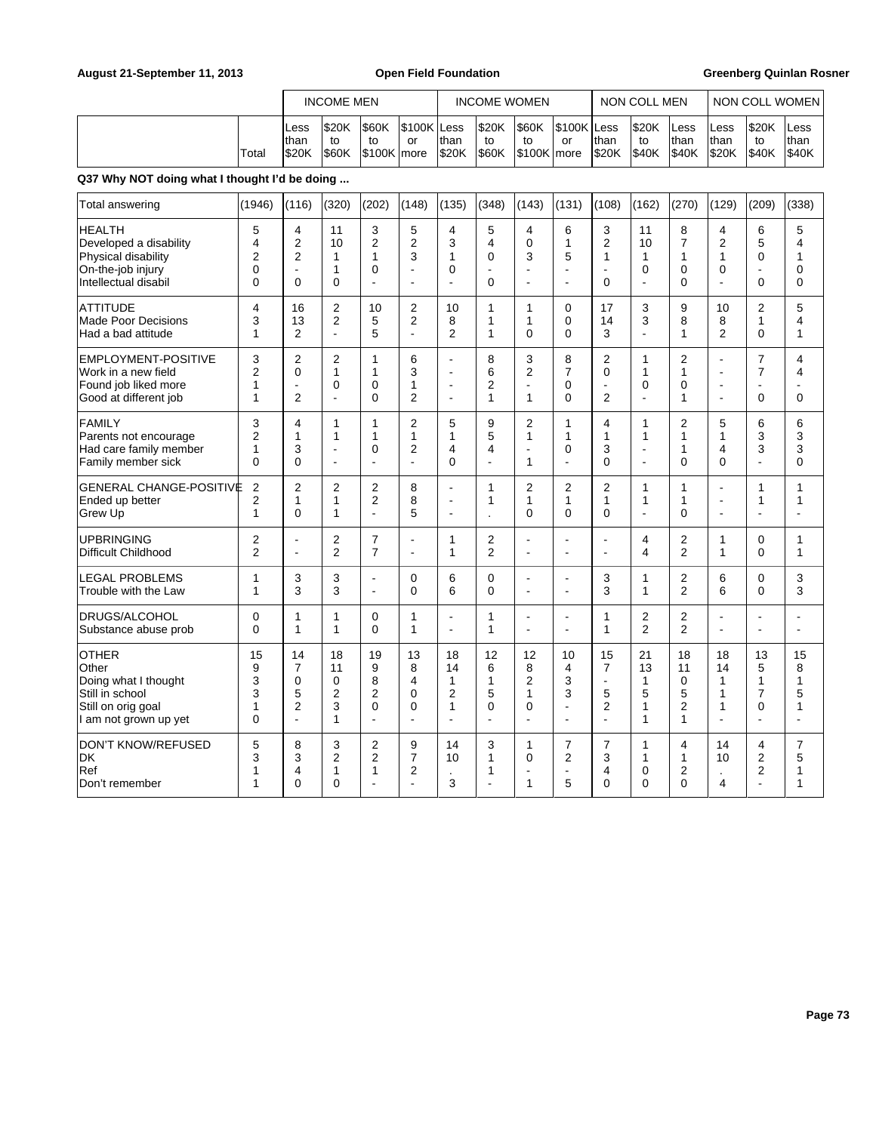|                                                                                                                 |                                          | <b>INCOME MEN</b><br>\$20K<br>\$60K<br>\$100K Less<br>Less                             |                                                       |                                                                 |                                             |                                                       | <b>INCOME WOMEN</b>                                           |                                           |                                                                      | <b>NON COLL MEN</b>                                   |                                                      | <b>NON COLL WOMEN</b>                        |                                                                        |                                                          |                                                                  |
|-----------------------------------------------------------------------------------------------------------------|------------------------------------------|----------------------------------------------------------------------------------------|-------------------------------------------------------|-----------------------------------------------------------------|---------------------------------------------|-------------------------------------------------------|---------------------------------------------------------------|-------------------------------------------|----------------------------------------------------------------------|-------------------------------------------------------|------------------------------------------------------|----------------------------------------------|------------------------------------------------------------------------|----------------------------------------------------------|------------------------------------------------------------------|
|                                                                                                                 | Total                                    | than<br>\$20K                                                                          | to<br>\$60K                                           | to<br>\$100K more                                               | or                                          | than<br>\$20K                                         | \$20K<br>to<br>\$60K                                          | \$60K<br>to<br>\$100K more                | \$100K<br>or                                                         | <b>Less</b><br>lthan<br>\$20K                         | \$20K<br>to<br>\$40K                                 | Less<br>than<br>\$40K                        | Less<br>than<br>\$20K                                                  | \$20K<br>to<br>\$40K                                     | Less<br>than<br>\$40K                                            |
| Q37 Why NOT doing what I thought I'd be doing                                                                   |                                          |                                                                                        |                                                       |                                                                 |                                             |                                                       |                                                               |                                           |                                                                      |                                                       |                                                      |                                              |                                                                        |                                                          |                                                                  |
| Total answering                                                                                                 | (1946)                                   | (116)                                                                                  | (320)                                                 | (202)                                                           | (148)                                       | (135)                                                 | (348)                                                         | (143)                                     | (131)                                                                | (108)                                                 | (162)                                                | (270)                                        | (129)                                                                  | (209)                                                    | (338)                                                            |
| <b>HEALTH</b><br>Developed a disability<br>Physical disability<br>On-the-job injury<br>Intellectual disabil     | 5<br>4<br>$\overline{2}$<br>0<br>0       | $\overline{4}$<br>$\overline{2}$<br>$\overline{c}$<br>$\blacksquare$<br>$\overline{0}$ | 11<br>10<br>1<br>$\mathbf{1}$<br>0                    | 3<br>$\overline{2}$<br>1<br>$\mathbf 0$<br>L.                   | 5<br>2<br>3<br>$\ddot{\phantom{0}}$         | 4<br>3<br>1<br>0                                      | 5<br>4<br>$\mathbf 0$<br>$\overline{a}$<br>$\mathbf 0$        | 4<br>0<br>3<br>÷<br>$\overline{a}$        | 6<br>$\mathbf{1}$<br>5<br>$\overline{\phantom{a}}$<br>$\overline{a}$ | 3<br>$\overline{2}$<br>1<br>$\mathbf 0$               | 11<br>10<br>1<br>$\mathbf 0$<br>$\overline{a}$       | 8<br>$\overline{7}$<br>1<br>$\mathbf 0$<br>0 | $\overline{4}$<br>$\overline{2}$<br>1<br>$\mathbf 0$<br>$\overline{a}$ | 6<br>5<br>$\mathbf 0$<br>$\blacksquare$<br>$\Omega$      | 5<br>4<br>1<br>$\mathbf 0$<br>0                                  |
| <b>ATTITUDE</b><br><b>Made Poor Decisions</b><br>Had a bad attitude                                             | $\overline{4}$<br>3<br>1                 | 16<br>13<br>2                                                                          | 2<br>2<br>$\overline{a}$                              | 10<br>5<br>5                                                    | $\overline{2}$<br>2<br>÷,                   | 10<br>8<br>$\overline{2}$                             | $\mathbf{1}$<br>1<br>$\mathbf{1}$                             | $\mathbf{1}$<br>1<br>$\Omega$             | 0<br>0<br>$\Omega$                                                   | 17<br>14<br>3                                         | 3<br>3<br>L,                                         | 9<br>8<br>1                                  | 10<br>8<br>$\overline{2}$                                              | 2<br>$\mathbf{1}$<br>$\Omega$                            | 5<br>4<br>$\mathbf{1}$                                           |
| EMPLOYMENT-POSITIVE<br>Work in a new field<br>Found job liked more<br>Good at different job                     | 3<br>$\overline{c}$<br>$\mathbf{1}$<br>1 | $\overline{2}$<br>0<br>$\overline{a}$<br>$\overline{2}$                                | $\overline{2}$<br>$\mathbf{1}$<br>0<br>$\overline{a}$ | $\mathbf{1}$<br>1<br>$\mathbf 0$<br>$\Omega$                    | 6<br>3<br>1<br>$\overline{2}$               | ÷,<br>$\blacksquare$<br>÷,                            | 8<br>6<br>$\overline{2}$<br>1                                 | 3<br>2<br>L.<br>1                         | 8<br>$\overline{7}$<br>0<br>0                                        | $\overline{2}$<br>$\mathbf 0$<br>÷<br>$\overline{2}$  | 1<br>1<br>$\mathbf 0$                                | $\overline{2}$<br>1<br>0<br>$\mathbf{1}$     | ÷,<br>$\overline{a}$<br>$\overline{\phantom{a}}$<br>$\overline{a}$     | $\overline{7}$<br>$\overline{7}$<br>ä,<br>$\overline{0}$ | $\overline{4}$<br>$\overline{\mathbf{4}}$<br>$\overline{a}$<br>0 |
| <b>FAMILY</b><br>Parents not encourage<br>Had care family member<br>Family member sick                          | 3<br>$\overline{2}$<br>$\mathbf{1}$<br>0 | 4<br>1<br>3<br>$\overline{0}$                                                          | 1<br>1<br>$\blacksquare$<br>L.                        | $\mathbf{1}$<br>1<br>$\mathbf 0$<br>L.                          | $\overline{2}$<br>1<br>2<br>÷,              | 5<br>1<br>4<br>$\overline{0}$                         | 9<br>5<br>4<br>L.                                             | 2<br>1<br>ä,<br>1                         | $\mathbf{1}$<br>1<br>$\mathbf 0$<br>$\overline{a}$                   | 4<br>$\mathbf{1}$<br>3<br>$\mathbf{0}$                | 1<br>1<br>$\overline{\phantom{a}}$<br>$\overline{a}$ | $\overline{2}$<br>1<br>$\mathbf{1}$<br>0     | 5<br>1<br>$\overline{4}$<br>$\overline{0}$                             | 6<br>3<br>3<br>÷.                                        | 6<br>3<br>3<br>0                                                 |
| GENERAL CHANGE-POSITIVE<br>Ended up better<br>Grew Up                                                           | $\overline{2}$<br>2<br>$\mathbf{1}$      | 2<br>1<br>$\Omega$                                                                     | $\overline{2}$<br>$\mathbf{1}$<br>1                   | $\overline{2}$<br>$\overline{2}$<br>$\overline{a}$              | 8<br>8<br>5                                 | ÷,<br>$\blacksquare$<br>$\blacksquare$                | $\mathbf{1}$<br>1                                             | 2<br>$\mathbf{1}$<br>$\Omega$             | $\overline{2}$<br>$\mathbf{1}$<br>$\Omega$                           | $\overline{2}$<br>$\mathbf{1}$<br>$\Omega$            | 1<br>1<br>L,                                         | $\mathbf{1}$<br>1<br>$\Omega$                | $\overline{a}$<br>$\overline{\phantom{a}}$<br>$\blacksquare$           | 1<br>1<br>÷,                                             | $\mathbf{1}$<br>1<br>$\blacksquare$                              |
| <b>UPBRINGING</b><br>Difficult Childhood                                                                        | 2<br>$\overline{2}$                      | $\blacksquare$<br>L.                                                                   | 2<br>$\overline{2}$                                   | 7<br>$\overline{7}$                                             | L,                                          | $\mathbf{1}$<br>1                                     | $\overline{2}$<br>$\overline{2}$                              | L,<br>$\overline{a}$                      | ÷,                                                                   | ÷.<br>$\overline{a}$                                  | 4<br>4                                               | 2<br>$\overline{2}$                          | $\mathbf{1}$<br>$\mathbf{1}$                                           | 0<br>$\Omega$                                            | $\mathbf{1}$<br>$\mathbf{1}$                                     |
| <b>LEGAL PROBLEMS</b><br>Trouble with the Law                                                                   | 1<br>1                                   | 3<br>3                                                                                 | 3<br>3                                                | L,<br>L.                                                        | $\overline{0}$<br>$\Omega$                  | 6<br>6                                                | $\mathbf 0$<br>$\Omega$                                       | ÷,<br>ä,                                  | ÷,<br>$\overline{a}$                                                 | 3<br>3                                                | 1<br>$\mathbf{1}$                                    | 2<br>$\overline{2}$                          | 6<br>6                                                                 | $\mathbf 0$<br>$\Omega$                                  | 3<br>3                                                           |
| DRUGS/ALCOHOL<br>Substance abuse prob                                                                           | $\mathbf{0}$<br>0                        | 1<br>$\mathbf{1}$                                                                      | 1<br>$\mathbf{1}$                                     | $\Omega$<br>$\Omega$                                            | 1<br>$\mathbf{1}$                           | $\blacksquare$<br>L.                                  | $\mathbf{1}$<br>$\mathbf{1}$                                  | L,<br>$\blacksquare$                      | Ĭ.<br>$\blacksquare$                                                 | $\mathbf{1}$<br>$\mathbf{1}$                          | 2<br>$\overline{2}$                                  | 2<br>$\overline{2}$                          | L,<br>$\Box$                                                           | ä,<br>$\blacksquare$                                     | $\blacksquare$<br>L.                                             |
| <b>OTHER</b><br>Other<br>Doing what I thought<br>Still in school<br>Still on orig goal<br>I am not grown up yet | 15<br>9<br>3<br>3<br>1<br>0              | 14<br>7<br>0<br>5<br>2<br>$\overline{a}$                                               | 18<br>11<br>0<br>$\overline{2}$<br>3<br>$\mathbf{1}$  | 19<br>9<br>8<br>$\overline{2}$<br>$\mathbf 0$<br>$\overline{a}$ | 13<br>8<br>4<br>$\mathbf{0}$<br>$\mathbf 0$ | 18<br>14<br>$\mathbf{1}$<br>$\overline{2}$<br>1<br>÷. | 12<br>6<br>$\mathbf{1}$<br>5<br>$\mathbf 0$<br>$\overline{a}$ | 12<br>8<br>$\overline{2}$<br>1<br>0<br>÷, | 10<br>4<br>3<br>3<br>÷,<br>$\overline{a}$                            | 15<br>7<br>÷<br>5<br>$\overline{2}$<br>$\overline{a}$ | 21<br>13<br>1<br>5<br>1<br>1                         | 18<br>11<br>0<br>5<br>2<br>$\mathbf{1}$      | 18<br>14<br>$\mathbf{1}$<br>$\mathbf{1}$<br>1<br>$\overline{a}$        | 13<br>5<br>$\mathbf{1}$<br>$\overline{7}$<br>0<br>ä,     | 15<br>8<br>$\mathbf{1}$<br>5<br>1<br>$\overline{a}$              |
| <b>DON'T KNOW/REFUSED</b><br>DK<br>Ref<br>Don't remember                                                        | 5<br>3<br>1<br>1                         | 8<br>3<br>4<br>$\overline{0}$                                                          | 3<br>2<br>$\mathbf{1}$<br>$\overline{0}$              | $\overline{2}$<br>$\overline{2}$<br>$\mathbf{1}$<br>L,          | 9<br>$\overline{7}$<br>2                    | 14<br>10<br>$\cdot$<br>3                              | 3<br>1<br>1                                                   | 1<br>0<br>÷<br>1                          | $\overline{7}$<br>2<br>$\sim$<br>5                                   | $\overline{7}$<br>3<br>$\overline{4}$<br>$\mathbf 0$  | 1<br>1<br>$\mathbf 0$<br>$\overline{0}$              | 4<br>1<br>2<br>$\overline{0}$                | 14<br>10<br>$\cdot$<br>4                                               | 4<br>2<br>2<br>L                                         | $\overline{7}$<br>5<br>$\mathbf{1}$<br>1                         |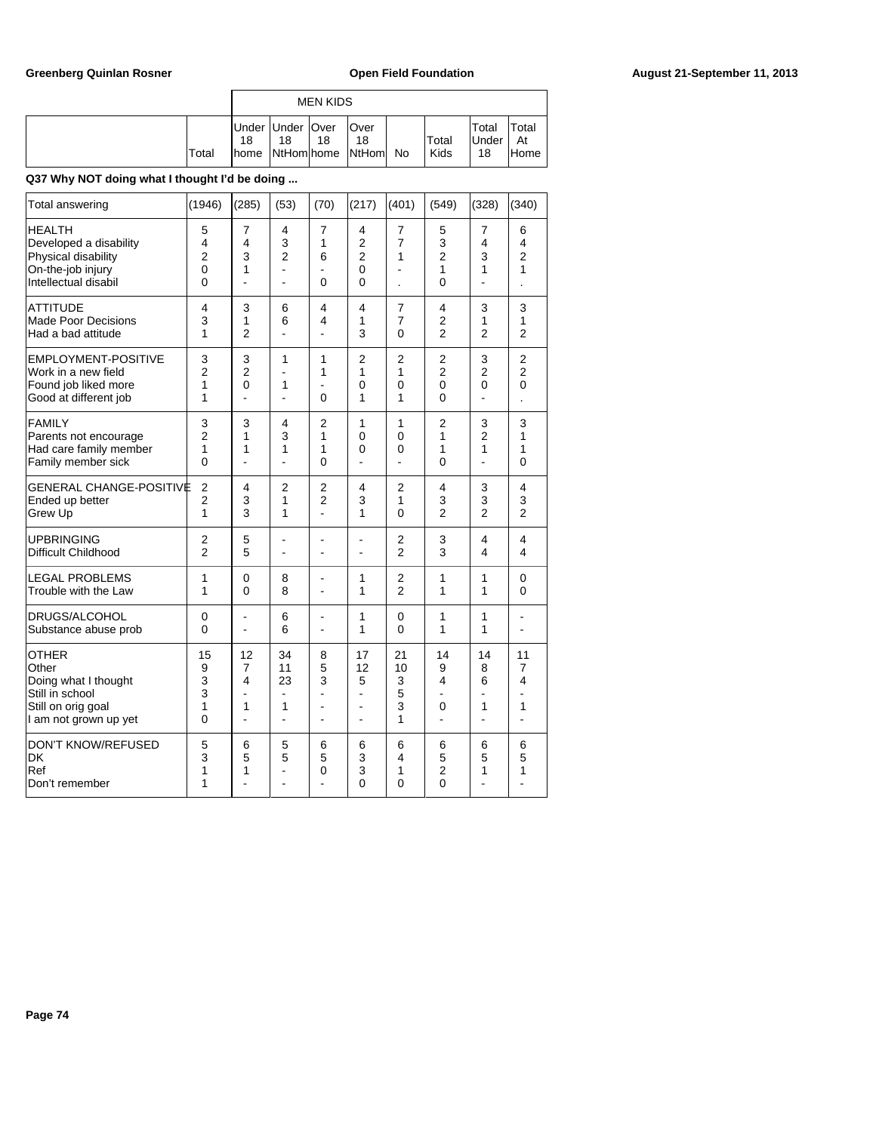|       |             |                                        | <b>MEN KIDS</b> |                        |               |                              |                      |
|-------|-------------|----------------------------------------|-----------------|------------------------|---------------|------------------------------|----------------------|
| Total | 18<br>Ihome | Under Under   Over<br>18<br>NtHom home | 18              | Over<br>18<br>NtHom No | Total<br>Kids | 'Total<br><b>Under</b><br>18 | Total<br>At<br>lHome |

# **Q37 Why NOT doing what I thought I'd be doing ...**

| Total answering                                                                                                 | (1946)                                           | (285)                                                   | (53)                                        | (70)                                               | (217)                                             | (401)                                            | (549)                                                   | (328)                                                 | (340)                                           |
|-----------------------------------------------------------------------------------------------------------------|--------------------------------------------------|---------------------------------------------------------|---------------------------------------------|----------------------------------------------------|---------------------------------------------------|--------------------------------------------------|---------------------------------------------------------|-------------------------------------------------------|-------------------------------------------------|
| <b>HEALTH</b><br>Developed a disability<br>Physical disability<br>On-the-job injury<br>Intellectual disabil     | 5<br>4<br>$\overline{2}$<br>0<br>0               | 7<br>4<br>3<br>1                                        | 4<br>3<br>$\overline{2}$<br>÷,<br>ä,        | 7<br>1<br>6<br>0                                   | 4<br>$\overline{2}$<br>$\overline{2}$<br>0<br>0   | 7<br>$\overline{7}$<br>1<br>$\overline{a}$       | 5<br>3<br>$\overline{2}$<br>1<br>$\Omega$               | 7<br>4<br>3<br>1                                      | 6<br>4<br>$\overline{2}$<br>1                   |
| <b>ATTITUDE</b><br><b>Made Poor Decisions</b><br>Had a bad attitude                                             | $\overline{4}$<br>3<br>1                         | 3<br>1<br>2                                             | 6<br>6<br>ä,                                | 4<br>4<br>÷,                                       | 4<br>1<br>3                                       | $\overline{7}$<br>$\overline{7}$<br>$\mathbf{0}$ | $\overline{4}$<br>$\overline{2}$<br>$\overline{2}$      | 3<br>1<br>$\overline{2}$                              | 3<br>1<br>$\overline{2}$                        |
| <b>EMPLOYMENT-POSITIVE</b><br>Work in a new field<br>Found job liked more<br>Good at different job              | 3<br>$\overline{2}$<br>1<br>1                    | 3<br>$\overline{2}$<br>$\overline{0}$<br>$\overline{a}$ | 1<br>1<br>L.                                | 1<br>1<br>0                                        | $\overline{2}$<br>1<br>0<br>1                     | $\overline{2}$<br>1<br>$\mathbf 0$<br>1          | $\overline{c}$<br>$\overline{2}$<br>0<br>$\overline{0}$ | 3<br>$\overline{2}$<br>0<br>$\overline{a}$            | $\overline{c}$<br>$\overline{2}$<br>$\mathbf 0$ |
| <b>FAMILY</b><br>Parents not encourage<br>Had care family member<br>Family member sick                          | 3<br>$\overline{2}$<br>1<br>0                    | 3<br>1<br>1                                             | 4<br>3<br>1<br>ä,                           | $\overline{2}$<br>1<br>1<br>0                      | 1<br>$\Omega$<br>$\overline{0}$<br>$\blacksquare$ | 1<br>$\Omega$<br>$\Omega$<br>$\overline{a}$      | $\overline{2}$<br>1<br>1<br>$\Omega$                    | 3<br>$\overline{2}$<br>1<br>$\overline{a}$            | 3<br>1<br>1<br>$\Omega$                         |
| <b>GENERAL CHANGE-POSITIVE</b><br>Ended up better<br>Grew Up                                                    | $\overline{c}$<br>$\overline{2}$<br>$\mathbf{1}$ | 4<br>3<br>3                                             | $\overline{2}$<br>1<br>1                    | $\overline{2}$<br>$\overline{2}$<br>$\overline{a}$ | 4<br>3<br>1                                       | $\overline{2}$<br>1<br>$\Omega$                  | 4<br>3<br>$\overline{2}$                                | 3<br>3<br>$\overline{2}$                              | 4<br>3<br>$\mathfrak{p}$                        |
| <b>UPBRINGING</b><br>Difficult Childhood                                                                        | $\overline{2}$<br>$\overline{2}$                 | 5<br>5                                                  | $\blacksquare$<br>÷,                        | $\blacksquare$<br>÷                                | $\overline{a}$<br>$\blacksquare$                  | $\overline{2}$<br>$\overline{2}$                 | 3<br>3                                                  | 4<br>4                                                | 4<br>4                                          |
| <b>LEGAL PROBLEMS</b><br>Trouble with the Law                                                                   | 1<br>1                                           | 0<br>0                                                  | 8<br>8                                      | ä,<br>٠                                            | 1<br>1                                            | $\overline{2}$<br>$\overline{2}$                 | 1<br>1                                                  | 1<br>1                                                | 0<br>0                                          |
| DRUGS/ALCOHOL<br>Substance abuse prob                                                                           | 0<br>0                                           | ٠<br>L                                                  | 6<br>6                                      | $\overline{\phantom{0}}$<br>÷,                     | 1<br>1                                            | 0<br>0                                           | 1<br>1                                                  | 1<br>1                                                | $\overline{\phantom{a}}$<br>$\blacksquare$      |
| <b>OTHER</b><br>Other<br>Doing what I thought<br>Still in school<br>Still on orig goal<br>I am not grown up yet | 15<br>9<br>3<br>3<br>1<br>0                      | 12<br>7<br>4<br>-<br>1<br>$\overline{a}$                | 34<br>11<br>23<br>÷,<br>1<br>$\overline{a}$ | 8<br>5<br>3<br>ä,<br>ä,<br>۰                       | 17<br>12<br>5<br>ä,<br>ä,<br>$\overline{a}$       | 21<br>10<br>3<br>5<br>3<br>1                     | 14<br>9<br>4<br>$\blacksquare$<br>0<br>$\overline{a}$   | 14<br>8<br>6<br>$\blacksquare$<br>1<br>$\overline{a}$ | 11<br>$\overline{7}$<br>4<br>1                  |
| <b>DON'T KNOW/REFUSED</b><br>DK<br>Ref<br>Don't remember                                                        | 5<br>3<br>1<br>1                                 | 6<br>5<br>1                                             | 5<br>5<br>÷<br>$\overline{a}$               | 6<br>5<br>0<br>$\overline{a}$                      | 6<br>3<br>3<br>0                                  | 6<br>4<br>1<br>$\Omega$                          | 6<br>5<br>$\overline{2}$<br>$\Omega$                    | 6<br>5<br>1                                           | 6<br>5<br>1                                     |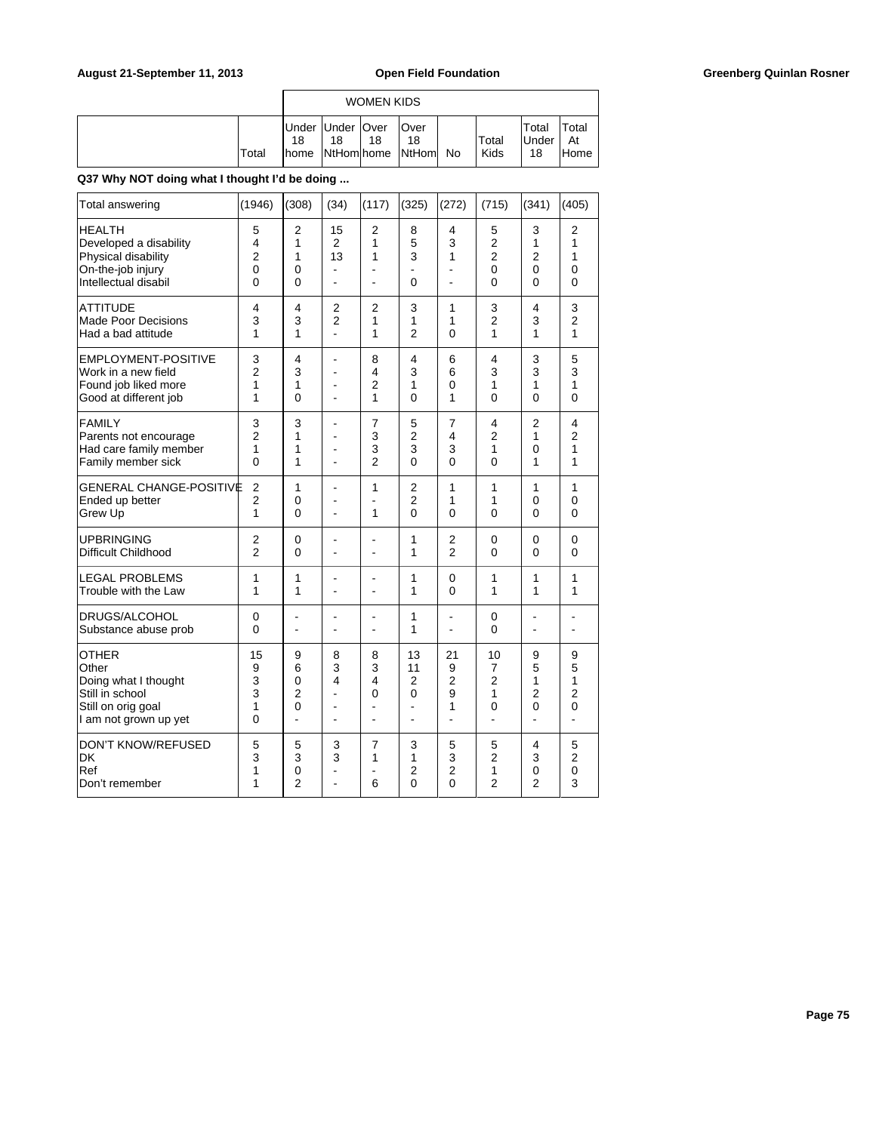|       |    |                          | WOMEN KIDS |                                               |               |                             |                      |
|-------|----|--------------------------|------------|-----------------------------------------------|---------------|-----------------------------|----------------------|
| Total | 18 | Under Under   Over<br>18 | 18         | <b>Over</b><br>18<br>home NtHom home NtHom No | Total<br>Kids | Total<br><b>Under</b><br>18 | Total<br>At<br>lHome |

# **Q37 Why NOT doing what I thought I'd be doing ...**

| Total answering                                                                                                 | (1946)                                          | (308)                                                 | (34)                             | (117)                                      | (325)                                            | (272)                                     | (715)                                                      | (341)                                              | (405)                                              |
|-----------------------------------------------------------------------------------------------------------------|-------------------------------------------------|-------------------------------------------------------|----------------------------------|--------------------------------------------|--------------------------------------------------|-------------------------------------------|------------------------------------------------------------|----------------------------------------------------|----------------------------------------------------|
| <b>HEALTH</b><br>Developed a disability<br>Physical disability<br>On-the-job injury<br>Intellectual disabil     | 5<br>4<br>$\overline{2}$<br>$\overline{0}$<br>0 | 2<br>1<br>1<br>0<br>0                                 | 15<br>$\overline{2}$<br>13<br>÷, | $\overline{2}$<br>1<br>1<br>$\blacksquare$ | 8<br>5<br>3<br>$\Omega$                          | 4<br>3<br>1<br>÷<br>$\blacksquare$        | 5<br>$\overline{2}$<br>$\overline{2}$<br>$\mathbf{0}$<br>0 | 3<br>1<br>$\overline{2}$<br>0<br>0                 | 2<br>1<br>1<br>0<br>$\Omega$                       |
| <b>ATTITUDE</b>                                                                                                 | 4                                               | 4                                                     | 2                                | 2                                          | 3                                                | 1                                         | 3                                                          | 4                                                  | 3                                                  |
| <b>Made Poor Decisions</b>                                                                                      | 3                                               | 3                                                     | $\overline{2}$                   | 1                                          | 1                                                | 1                                         | $\overline{2}$                                             | 3                                                  | $\overline{2}$                                     |
| Had a bad attitude                                                                                              | 1                                               | 1                                                     | $\overline{a}$                   | 1                                          | $\overline{2}$                                   | $\Omega$                                  | 1                                                          | 1                                                  | 1                                                  |
| EMPLOYMENT-POSITIVE                                                                                             | 3                                               | 4                                                     | ä,                               | 8                                          | 4                                                | 6                                         | 4                                                          | 3                                                  | 5                                                  |
| Work in a new field                                                                                             | $\overline{2}$                                  | 3                                                     | ÷                                | 4                                          | 3                                                | 6                                         | 3                                                          | 3                                                  | 3                                                  |
| Found job liked more                                                                                            | 1                                               | 1                                                     | ä,                               | $\overline{2}$                             | 1                                                | 0                                         | 1                                                          | 1                                                  | 1                                                  |
| Good at different job                                                                                           | 1                                               | $\Omega$                                              | ÷,                               | 1                                          | $\Omega$                                         | 1                                         | $\Omega$                                                   | $\Omega$                                           | $\Omega$                                           |
| <b>FAMILY</b>                                                                                                   | 3                                               | 3                                                     | $\overline{a}$                   | 7                                          | 5                                                | $\overline{7}$                            | 4                                                          | $\overline{2}$                                     | 4                                                  |
| Parents not encourage                                                                                           | $\overline{2}$                                  | 1                                                     | ä,                               | 3                                          | $\overline{2}$                                   | 4                                         | $\overline{2}$                                             | 1                                                  | $\overline{2}$                                     |
| Had care family member                                                                                          | 1                                               | 1                                                     | ۰                                | 3                                          | 3                                                | 3                                         | 1                                                          | 0                                                  | 1                                                  |
| Family member sick                                                                                              | 0                                               | 1                                                     | $\overline{a}$                   | $\mathfrak{p}$                             | $\Omega$                                         | $\Omega$                                  | $\Omega$                                                   | 1                                                  | 1                                                  |
| <b>GENERAL CHANGE-POSITIVE</b><br>Ended up better<br>Grew Up                                                    | $\overline{2}$<br>$\overline{2}$<br>1           | 1<br>0<br>$\mathbf{0}$                                | ä,<br>ä,<br>÷                    | 1<br>1                                     | $\overline{2}$<br>$\overline{2}$<br>$\mathbf{0}$ | 1<br>1<br>$\mathbf{0}$                    | 1<br>1<br>0                                                | 1<br>0<br>$\Omega$                                 | 1<br>0<br>0                                        |
| <b>UPBRINGING</b>                                                                                               | $\overline{2}$                                  | $\mathbf 0$                                           | $\blacksquare$                   | $\blacksquare$                             | 1                                                | $\overline{2}$                            | $\mathbf 0$                                                | $\Omega$                                           | $\mathbf 0$                                        |
| Difficult Childhood                                                                                             | $\overline{2}$                                  | 0                                                     | $\overline{a}$                   | ÷,                                         | 1                                                | $\overline{2}$                            | 0                                                          | 0                                                  | 0                                                  |
| <b>LEGAL PROBLEMS</b>                                                                                           | 1                                               | 1                                                     | ÷,                               | ä,                                         | 1                                                | 0                                         | 1                                                          | 1                                                  | 1                                                  |
| Trouble with the Law                                                                                            | 1                                               | 1                                                     |                                  | ÷,                                         | 1                                                | $\mathbf{0}$                              | 1                                                          | 1                                                  | 1                                                  |
| DRUGS/ALCOHOL                                                                                                   | 0                                               | ä,                                                    | $\overline{a}$                   | $\overline{a}$                             | 1                                                | $\overline{a}$                            | 0                                                          | L,                                                 | ä,                                                 |
| Substance abuse prob                                                                                            | 0                                               | ÷                                                     | ÷                                | ۰                                          | 1                                                | $\overline{a}$                            | $\mathbf{0}$                                               | ä,                                                 | ÷                                                  |
| <b>OTHER</b><br>Other<br>Doing what I thought<br>Still in school<br>Still on orig goal<br>I am not grown up yet | 15<br>9<br>3<br>3<br>1<br>0                     | 9<br>6<br>0<br>$\overline{2}$<br>$\overline{0}$<br>L. | 8<br>3<br>4<br>ä,<br>۰<br>ä,     | 8<br>3<br>4<br>0<br>$\blacksquare$         | 13<br>11<br>2<br>0<br>$\overline{a}$             | 21<br>9<br>$\overline{2}$<br>9<br>1<br>ä, | 10<br>$\overline{7}$<br>$\overline{2}$<br>1<br>0<br>ä,     | 9<br>5<br>1<br>$\overline{2}$<br>$\mathbf 0$<br>÷, | 9<br>5<br>1<br>$\overline{2}$<br>$\mathbf 0$<br>L. |
| DON'T KNOW/REFUSED                                                                                              | 5                                               | 5                                                     | 3                                | 7                                          | 3                                                | 5                                         | 5                                                          | 4                                                  | 5                                                  |
| DK                                                                                                              | 3                                               | 3                                                     | 3                                | 1                                          | 1                                                | 3                                         | $\overline{2}$                                             | 3                                                  | $\overline{2}$                                     |
| Ref                                                                                                             | 1                                               | 0                                                     | ÷                                | ä,                                         | $\overline{2}$                                   | $\overline{2}$                            | 1                                                          | $\mathbf 0$                                        | 0                                                  |
| Don't remember                                                                                                  | 1                                               | $\overline{2}$                                        | ÷                                | 6                                          | $\mathbf{0}$                                     | $\overline{0}$                            | $\overline{2}$                                             | $\overline{2}$                                     | 3                                                  |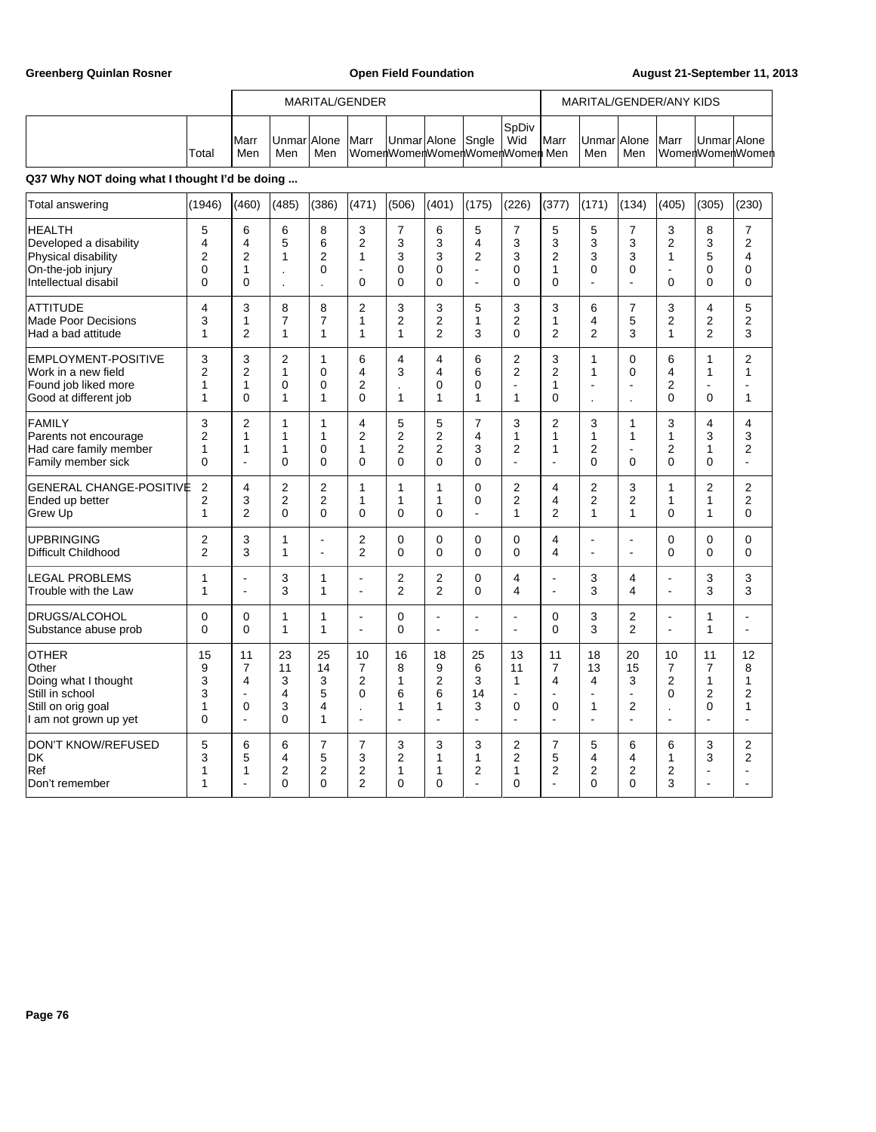|                                               |       |                      |                                  |     | MARITAL/GENDER |  |  |                                                           |       |               |                         |     | MARITAL/GENDER/ANY KIDS |             |  |
|-----------------------------------------------|-------|----------------------|----------------------------------|-----|----------------|--|--|-----------------------------------------------------------|-------|---------------|-------------------------|-----|-------------------------|-------------|--|
|                                               | Total | <b>I</b> Marr<br>Men | <b>IUnmarIAlone IMarr</b><br>Men | Men |                |  |  | Unmar Alone Sngle   Wid<br>WomenWomenWomenWomenWomenMomen | SpDiv | <b>I</b> Marr | UnmarlAlone Marr<br>Men | Men | WomenWomenWomen         | UnmarlAlone |  |
| Q37 Why NOT doing what I thought I'd be doing |       |                      |                                  |     |                |  |  |                                                           |       |               |                         |     |                         |             |  |

# Total answering (1946) (460) (485) (386) (471) (506) (401) (175) (226) (377) (171) (134) (405) (305) (230) HEALTH 5 6 6 8 3 7 6 5 7 5 5 7 3 8 7 Developed a disability 4 4 5 6 2 3 3 4 3 3 3 3 2 3 2 Physical disability 2 2 1 2 1 3 3 2 3 2 3 3 1 5 4 On-the-job injury 0 1 . 0 - 0 0 - 0 1 0 0 - 0 0 Intellectual disabil 0 0 . . 0 0 0 - 0 0 - - 0 0 0 ATTITUDE 4 3 8 8 2 3 3 5 3 3 6 7 3 4 5 Made Poor Decisions 3 1 7 7 1 2 2 1 2 1 4 5 2 2 2<br>Had a bad attitude 1 2 1 1 1 1 1 2 3 0 2 2 3 1 2 3 |Had a bad attitude | 1 | 1 | 2 | 1 | 1 | 1 | 1 | 1 | 2 | 3 | 0 | 2 | 2 | 3 | 1 |EMPLOYMENT-POSITIVE | 3 | 3 | 2 | 1 | 6 | 4 | 4 | 6 | 2 | 3 | 1 | 0 | 6 | 1 | 2 Work in a new field 2 2 1 0 4 3 4 6 2 2 1 0 4 1 1 Found job liked more 1 1 0 0 2 . 0 0 - 1 - - 2 - - Good at different job 1 0 1 1 0 1 1 1 1 0 . . 0 0 1 FAMILY 2 3 2 1 1 4 5 5 7 3 2 3 1 3 4 4 Parents not encourage 2 1 1 1 2 2 2 4 1 1 1 1 1 3 3 Had care family member 1 1 1 0 1 2 2 3 2 1 2 - 2 1 2 Family member sick 0 - 0 0 0 0 0 0 - - 0 0 0 0 -  $\mid$ GENERAL CHANGE-POSITIVE 2 4 2 2 1 1 1 1 0 2 4 2 3 1 2 Ended up better 2 3 2 2 1 1 1 0 2 4 2 2 1 1 2 Grew Up | 1 | 2 | 0 | 0 | 0 | 0 | - | 1 | 2 | 1 | 1 | 0 | 1 | 0 UPBRINGING 2 3 1 - 2 0 0 0 0 4 - - 0 0 0 Difficult Childhood 2 3 1 - 2 0 0 0 0 0 4 - - 0 0 0 0 LEGAL PROBLEMS | 1 | - | 3 | 1 | - | 2 | 2 | 0 | 4 | - | 3 | 4 | - | 3 | 3 Trouble with the Law 1 1 - 3 1 1 - 2 2 0 4 - 3 4 - 3 3 |DRUGS/ALCOHOL | 0 | 0 | 1 | 1 | - | 0 | - | - | - | 0 | 3 | 2 | - | 1 | -Substance abuse prob 0 0 1 1 - 0 - - - 0 3 2 - 1 - OTHER | 15 | 11 | 23 | 25 | 10 | 16 | 18 | 25 | 13 | 11 | 18 | 20 | 10 | 11 | 12 Other | 9 | 7 | 11 | 14 | 7 | 8 | 9 | 6 | 11 | 7 | 13 | 15 | 7 | 7 | 8 Doing what I thought 3 4 3 3 2 1 2 3 1 4 4 3 2 1 1 Still in school | 3 | - | 4 | 5 | 0 | 6 | 6 | 14 | - | - | - | - | 0 | 2 | 2 Still on orig goal 1 0 3 4 . 1 1 3 0 0 1 2 . 0 1 I am not grown up yet 0 - 0 1 - - - - - - - - - - - |DON'T KNOW/REFUSED | 5 | 6 | 6 | 7 | 7 | 3 | 3 | 2 | 7 | 5 | 6 | 6 | 3 | 2 DK 3 5 4 5 3 2 1 1 2 5 4 4 1 3 2 Ref 1 1 2 2 2 1 1 2 1 2 2 2 2 - - | Don't remember | 1 | - | 0 | 0 | 2 | 0 | 0 | - | 0 | - | 0 | 0 | 3 | - | -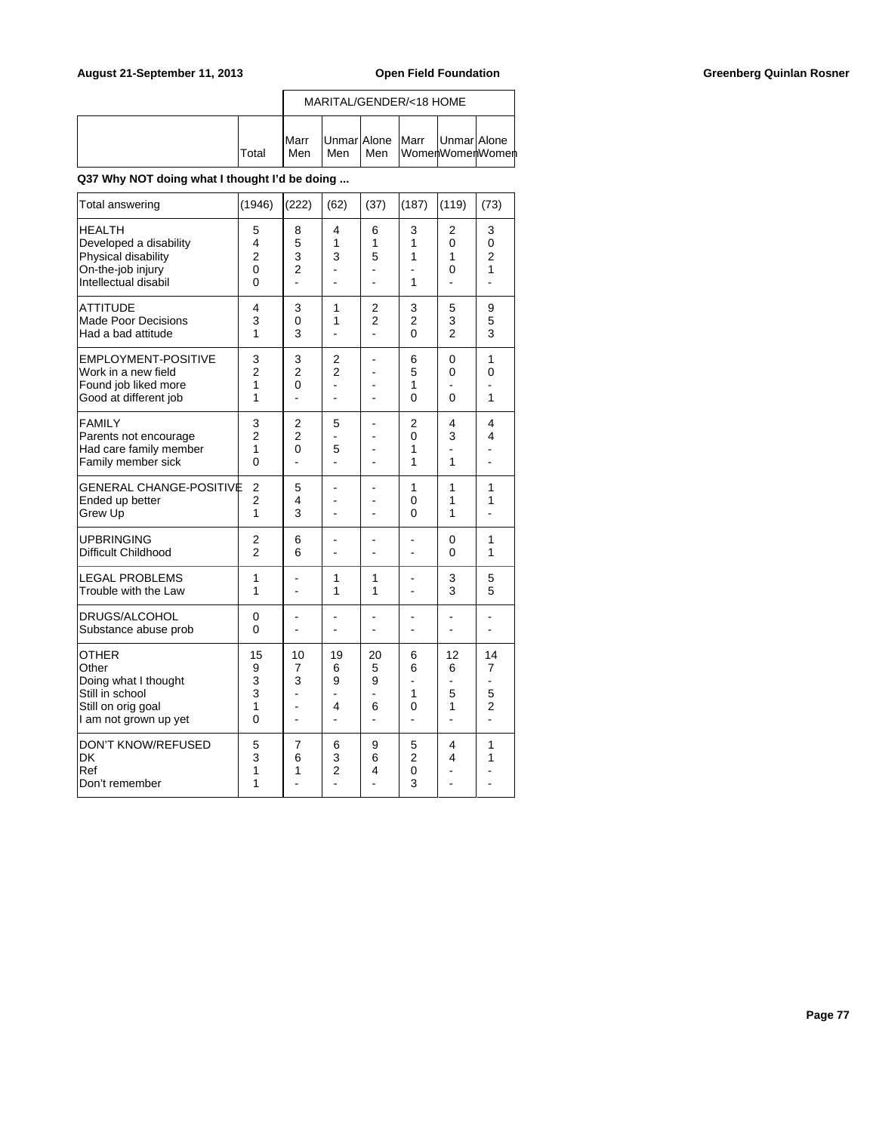|       |                      | MARITAL/GENDER/<18 HOME                 |  |                          |
|-------|----------------------|-----------------------------------------|--|--------------------------|
| Total | <b>I</b> Marr<br>Men | Unmar Alone   Marr   Unmar Alone<br>Men |  | ∣Men lWomerlWomerlWomerl |

**Q37 Why NOT doing what I thought I'd be doing ...**

| Total answering                                                                                                 | (1946)                                                     | (222)                                           | (62)                     | (37)                                     | (187)                                 | (119)                                                           | (73)                                 |
|-----------------------------------------------------------------------------------------------------------------|------------------------------------------------------------|-------------------------------------------------|--------------------------|------------------------------------------|---------------------------------------|-----------------------------------------------------------------|--------------------------------------|
| <b>HEALTH</b><br>Developed a disability<br>Physical disability<br>On-the-job injury<br>Intellectual disabil     | 5<br>$\overline{4}$<br>$\overline{2}$<br>0<br>$\mathbf{0}$ | 8<br>5<br>3<br>$\overline{2}$<br>$\overline{a}$ | 4<br>1<br>3              | 6<br>1<br>5                              | 3<br>1<br>1<br>1                      | 2<br>$\Omega$<br>1<br>0<br>L.                                   | 3<br>0<br>$\overline{2}$<br>1        |
| <b>ATTITUDE</b><br><b>Made Poor Decisions</b><br>Had a bad attitude                                             | 4<br>3<br>1                                                | 3<br>0<br>3                                     | 1<br>1<br>ä,             | 2<br>$\overline{2}$<br>÷.                | 3<br>$\overline{2}$<br>$\overline{0}$ | 5<br>3<br>$\overline{2}$                                        | 9<br>5<br>3                          |
| <b>EMPLOYMENT-POSITIVE</b><br>Work in a new field<br>Found job liked more<br>Good at different job              | 3<br>$\overline{2}$<br>1<br>1                              | 3<br>$\overline{2}$<br>0<br>L.                  | 2<br>$\overline{2}$<br>÷ | ÷                                        | 6<br>5<br>1<br>0                      | 0<br>$\Omega$<br>$\Omega$                                       | 1<br>0<br>1                          |
| <b>FAMILY</b><br>Parents not encourage<br>Had care family member<br>Family member sick                          | 3<br>$\overline{2}$<br>1<br>0                              | 2<br>$\overline{2}$<br>0<br>÷                   | 5<br>5                   | ÷.                                       | $\overline{2}$<br>0<br>1<br>1         | 4<br>3<br>1                                                     | 4<br>4<br>۰                          |
| <b>GENERAL CHANGE-POSITIVE</b><br>Ended up better<br>Grew Up                                                    | $\overline{2}$<br>$\overline{2}$<br>$\mathbf{1}$           | 5<br>4<br>3                                     |                          |                                          | 1<br>0<br>0                           | $\mathbf{1}$<br>1<br>1                                          | 1<br>1                               |
| <b>UPBRINGING</b><br>Difficult Childhood                                                                        | 2<br>$\overline{2}$                                        | 6<br>6                                          |                          |                                          | ä,<br>ä,                              | 0<br>0                                                          | 1<br>1                               |
| <b>LEGAL PROBLEMS</b><br>Trouble with the Law                                                                   | 1<br>1                                                     | $\overline{a}$                                  | 1<br>1                   | 1<br>1                                   | $\overline{a}$                        | 3<br>3                                                          | 5<br>5                               |
| DRUGS/ALCOHOL<br>Substance abuse prob                                                                           | 0<br>$\mathbf{0}$                                          |                                                 |                          |                                          | ۰                                     |                                                                 |                                      |
| <b>OTHER</b><br>Other<br>Doing what I thought<br>Still in school<br>Still on orig goal<br>I am not grown up yet | 15<br>9<br>3<br>3<br>1<br>$\overline{0}$                   | 10<br>7<br>3                                    | 19<br>6<br>9<br>4<br>ä,  | 20<br>5<br>9<br>÷<br>6<br>$\overline{a}$ | 6<br>6<br>1<br>0<br>÷.                | 12<br>6<br>$\overline{\phantom{0}}$<br>5<br>1<br>$\overline{a}$ | 14<br>7<br>5<br>$\overline{2}$<br>L. |
| <b>DON'T KNOW/REFUSED</b><br><b>DK</b><br>Ref<br>Don't remember                                                 | 5<br>3<br>1<br>1                                           | $\overline{7}$<br>6<br>1                        | 6<br>3<br>$\overline{c}$ | 9<br>6<br>4                              | 5<br>$\overline{2}$<br>0<br>3         | 4<br>4                                                          | 1<br>1                               |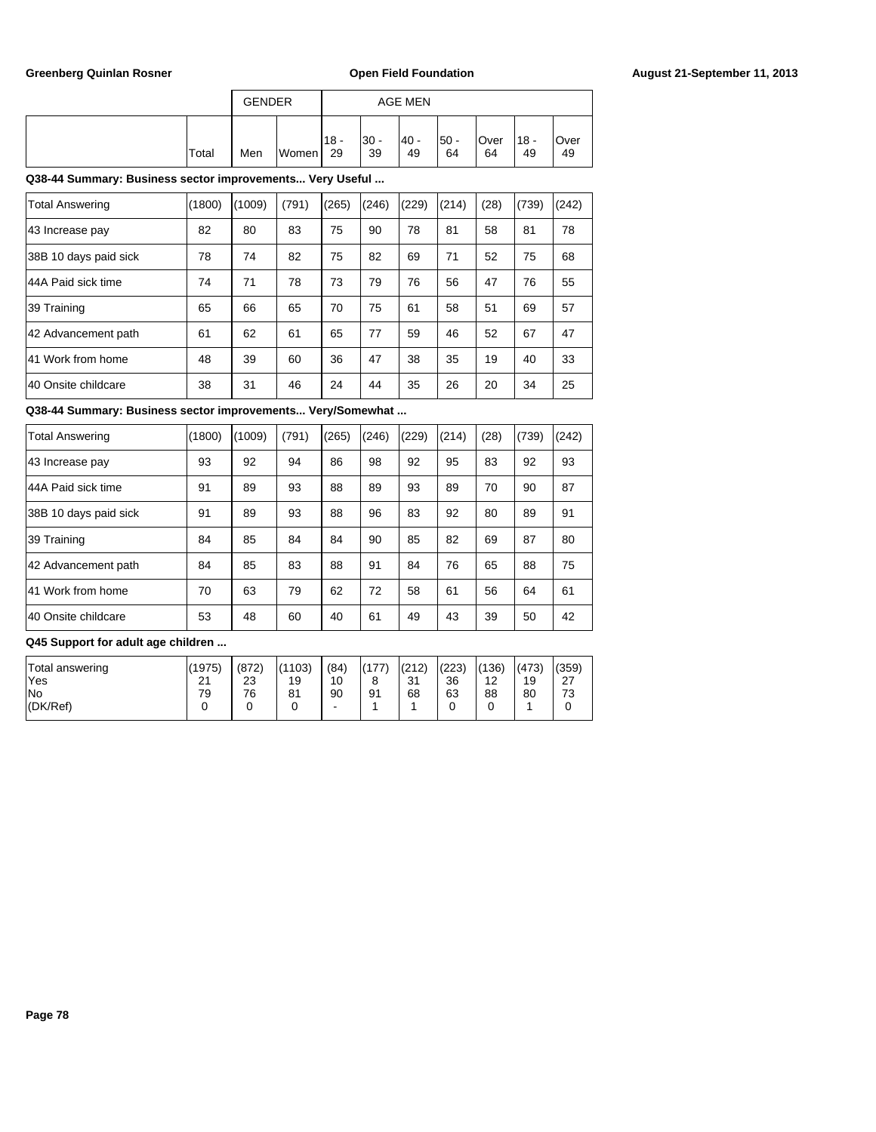|       | <b>GENDER</b> |       | <b>AGE MEN</b> |              |            |            |            |                                   |            |  |  |
|-------|---------------|-------|----------------|--------------|------------|------------|------------|-----------------------------------|------------|--|--|
| Total | Men           | Women | $118 -$<br>29  | $30 -$<br>39 | 40 -<br>49 | 50 -<br>64 | Over<br>64 | $^{\prime}$ 18 $\cdot$<br>٠<br>49 | Over<br>49 |  |  |

| Total Answering       | (1800) | (1009) | (791) | (265) | (246) | (229) | (214) | (28) | (739) | (242) |
|-----------------------|--------|--------|-------|-------|-------|-------|-------|------|-------|-------|
|                       |        |        |       |       |       |       |       |      |       |       |
| 43 Increase pay       | 82     | 80     | 83    | 75    | 90    | 78    | 81    | 58   | 81    | 78    |
| 38B 10 days paid sick | 78     | 74     | 82    | 75    | 82    | 69    | 71    | 52   | 75    | 68    |
| 144A Paid sick time   | 74     | 71     | 78    | 73    | 79    | 76    | 56    | 47   | 76    | 55    |
| 39 Training           | 65     | 66     | 65    | 70    | 75    | 61    | 58    | 51   | 69    | 57    |
| 42 Advancement path   | 61     | 62     | 61    | 65    | 77    | 59    | 46    | 52   | 67    | 47    |
| 41 Work from home     | 48     | 39     | 60    | 36    | 47    | 38    | 35    | 19   | 40    | 33    |
| 140 Onsite childcare  | 38     | 31     | 46    | 24    | 44    | 35    | 26    | 20   | 34    | 25    |

**Q38-44 Summary: Business sector improvements... Very/Somewhat ...**

| <b>Total Answering</b> | (1800) | (1009) | (791) | (265) | (246) | (229) | (214) | (28) | (739) | (242) |
|------------------------|--------|--------|-------|-------|-------|-------|-------|------|-------|-------|
| 43 Increase pay        | 93     | 92     | 94    | 86    | 98    | 92    | 95    | 83   | 92    | 93    |
| 44A Paid sick time     | 91     | 89     | 93    | 88    | 89    | 93    | 89    | 70   | 90    | 87    |
| 38B 10 days paid sick  | 91     | 89     | 93    | 88    | 96    | 83    | 92    | 80   | 89    | 91    |
| 39 Training            | 84     | 85     | 84    | 84    | 90    | 85    | 82    | 69   | 87    | 80    |
| 42 Advancement path    | 84     | 85     | 83    | 88    | 91    | 84    | 76    | 65   | 88    | 75    |
| 41 Work from home      | 70     | 63     | 79    | 62    | 72    | 58    | 61    | 56   | 64    | 61    |
| 40 Onsite childcare    | 53     | 48     | 60    | 40    | 61    | 49    | 43    | 39   | 50    | 42    |

| Total answering<br>'Yes   | (1975)<br>21 | (872)<br>23 | (1103)<br>19 | (84)<br>10 | (177)<br>8 | (212)<br>21<br>ູບ ເ | (223)<br>36 | (136)<br>12 | (473)<br>19 | (359)<br>27<br>، ے |
|---------------------------|--------------|-------------|--------------|------------|------------|---------------------|-------------|-------------|-------------|--------------------|
| <b>No</b><br>$ $ (DK/Ref) | 79           | 76          | 81           | 90<br>-    | 91         | 68                  | 63          | 88          | 80          | 72<br>ు            |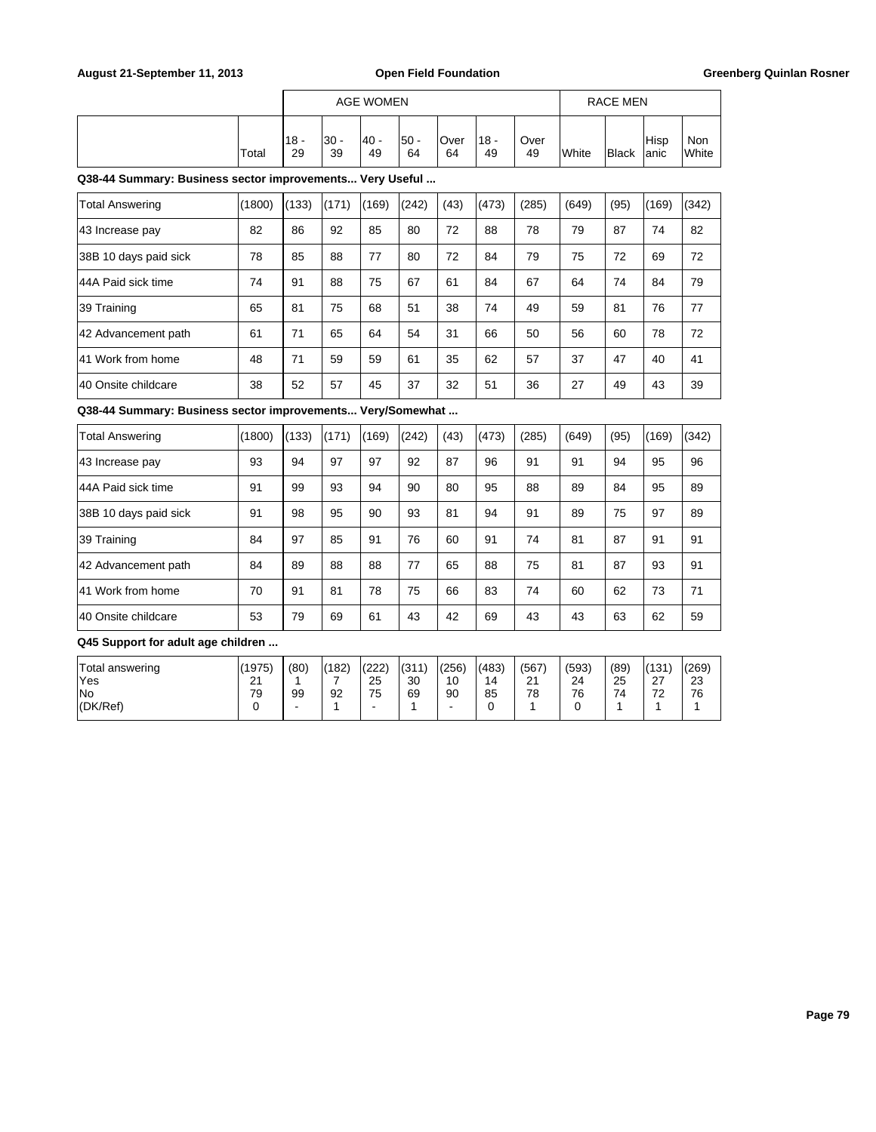|       | AGE WOMEN    |            |            |             |            |               |            |                | <b>RACE MEN</b> |               |                     |  |
|-------|--------------|------------|------------|-------------|------------|---------------|------------|----------------|-----------------|---------------|---------------------|--|
| Total | $18 -$<br>29 | 30 -<br>39 | 40 -<br>49 | l50 -<br>64 | Over<br>64 | $118 -$<br>49 | Over<br>49 | <b>I</b> White | <b>Black</b>    | Hisp<br>lanic | Non<br><b>White</b> |  |

| <b>Total Answering</b> | (1800) | (133) | (171) | (169) | (242) | (43) | (473) | (285) | (649) | (95) | (169) | (342) |
|------------------------|--------|-------|-------|-------|-------|------|-------|-------|-------|------|-------|-------|
| 43 Increase pay        | 82     | 86    | 92    | 85    | 80    | 72   | 88    | 78    | 79    | 87   | 74    | 82    |
| 38B 10 days paid sick  | 78     | 85    | 88    | 77    | 80    | 72   | 84    | 79    | 75    | 72   | 69    | 72    |
| 144A Paid sick time    | 74     | 91    | 88    | 75    | 67    | 61   | 84    | 67    | 64    | 74   | 84    | 79    |
| 39 Training            | 65     | 81    | 75    | 68    | 51    | 38   | 74    | 49    | 59    | 81   | 76    | 77    |
| 42 Advancement path    | 61     | 71    | 65    | 64    | 54    | 31   | 66    | 50    | 56    | 60   | 78    | 72    |
| 41 Work from home      | 48     | 71    | 59    | 59    | 61    | 35   | 62    | 57    | 37    | 47   | 40    | 41    |
| 40 Onsite childcare    | 38     | 52    | 57    | 45    | 37    | 32   | 51    | 36    | 27    | 49   | 43    | 39    |

**Q38-44 Summary: Business sector improvements... Very/Somewhat ...**

| <b>Total Answering</b> | (1800) | (133) | (171) | (169) | (242) | (43) | (473) | (285) | (649) | (95) | (169) | (342) |
|------------------------|--------|-------|-------|-------|-------|------|-------|-------|-------|------|-------|-------|
| 43 Increase pay        | 93     | 94    | 97    | 97    | 92    | 87   | 96    | 91    | 91    | 94   | 95    | 96    |
| 44A Paid sick time     | 91     | 99    | 93    | 94    | 90    | 80   | 95    | 88    | 89    | 84   | 95    | 89    |
| 38B 10 days paid sick  | 91     | 98    | 95    | 90    | 93    | 81   | 94    | 91    | 89    | 75   | 97    | 89    |
| 39 Training            | 84     | 97    | 85    | 91    | 76    | 60   | 91    | 74    | 81    | 87   | 91    | 91    |
| 42 Advancement path    | 84     | 89    | 88    | 88    | 77    | 65   | 88    | 75    | 81    | 87   | 93    | 91    |
| 41 Work from home      | 70     | 91    | 81    | 78    | 75    | 66   | 83    | 74    | 60    | 62   | 73    | 71    |
| 140 Onsite childcare   | 53     | 79    | 69    | 61    | 43    | 42   | 69    | 43    | 43    | 63   | 62    | 59    |

| Total answering | (1975)        | (80) | (182) | (222) | (311) | (256) | (483) | (567          | (593) | (89) | (131)     | (269) |
|-----------------|---------------|------|-------|-------|-------|-------|-------|---------------|-------|------|-----------|-------|
| <b>Yes</b>      | ິ<br><u>.</u> |      |       | 25    | 30    | 10    | 14    | ິ<br><u>.</u> | 24    | 25   | ົ<br>ا کے | 23    |
| lNo             | 79            | 99   | 92    | 75    | 69    | 90    | 85    | 78            | 76    | 74   | 70<br>-   | 76    |
| (DK/Ref)        |               | -    |       | ۰     |       |       |       |               |       |      |           |       |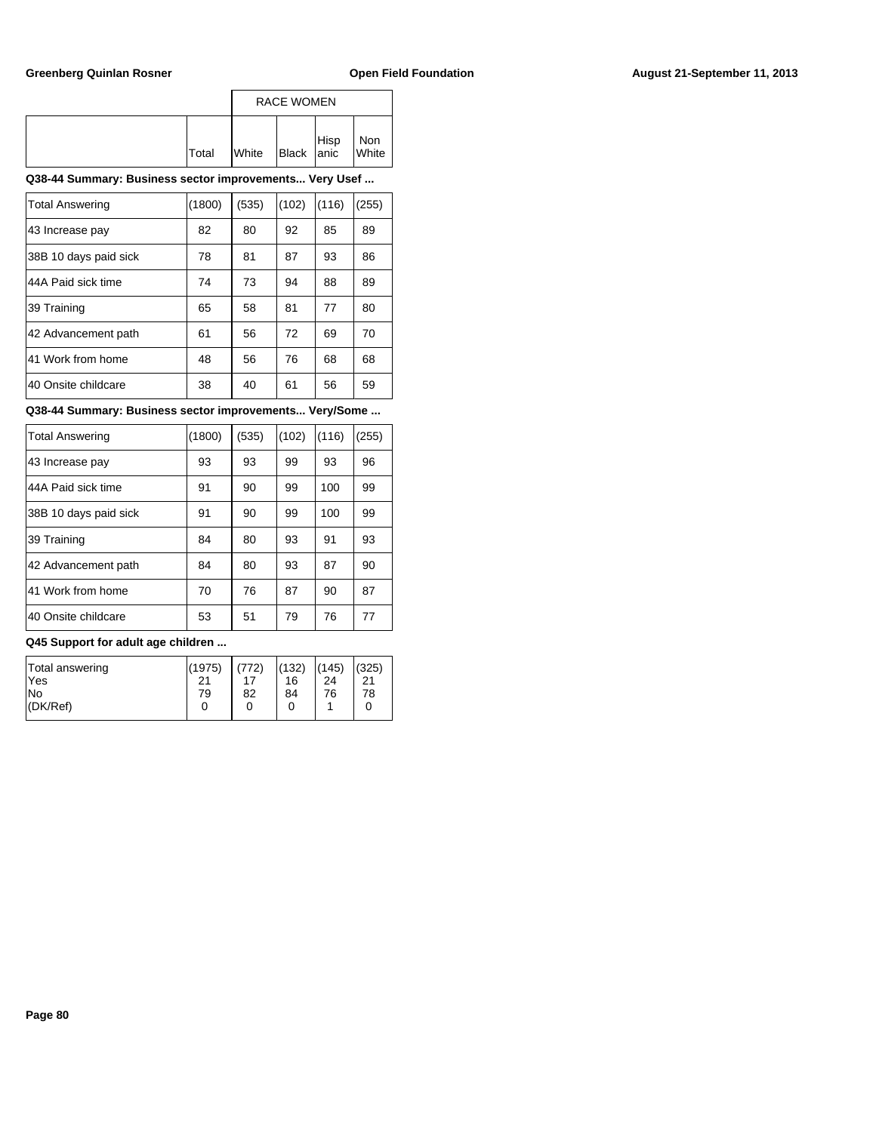|       |              | <b>RACE WOMEN</b> |      |                     |
|-------|--------------|-------------------|------|---------------------|
| Total | <b>White</b> | Black anic        | Hisp | Non<br><b>White</b> |

| <b>Total Answering</b> | (1800) | (535) | (102) | (116) | (255) |
|------------------------|--------|-------|-------|-------|-------|
| 43 Increase pay        | 82     | 80    | 92    | 85    | 89    |
| 38B 10 days paid sick  | 78     | 81    | 87    | 93    | 86    |
| 44A Paid sick time     | 74     | 73    | 94    | 88    | 89    |
| 39 Training            | 65     | 58    | 81    | 77    | 80    |
| 42 Advancement path    | 61     | 56    | 72    | 69    | 70    |
| 41 Work from home      | 48     | 56    | 76    | 68    | 68    |
| 40 Onsite childcare    | 38     | 40    | 61    | 56    | 59    |

### **Q38-44 Summary: Business sector improvements... Very/Some ...**

| <b>Total Answering</b> | (1800) | (535) | (102) | (116) | (255) |
|------------------------|--------|-------|-------|-------|-------|
| 43 Increase pay        | 93     | 93    | 99    | 93    | 96    |
| 44A Paid sick time     | 91     | 90    | 99    | 100   | 99    |
| 38B 10 days paid sick  | 91     | 90    | 99    | 100   | 99    |
| 39 Training            | 84     | 80    | 93    | 91    | 93    |
| 42 Advancement path    | 84     | 80    | 93    | 87    | 90    |
| 41 Work from home      | 70     | 76    | 87    | 90    | 87    |
| 40 Onsite childcare    | 53     | 51    | 79    | 76    | 77    |

| Total answering<br>lYes | (1975)<br>21 | (772) | (132)<br>16 | (145)<br>24 | (325)<br>21 |
|-------------------------|--------------|-------|-------------|-------------|-------------|
| lNo                     | 79           | 82    | 84          | 76          | 78          |
| $ $ (DK/Ref)            | 0            |       | 0           |             |             |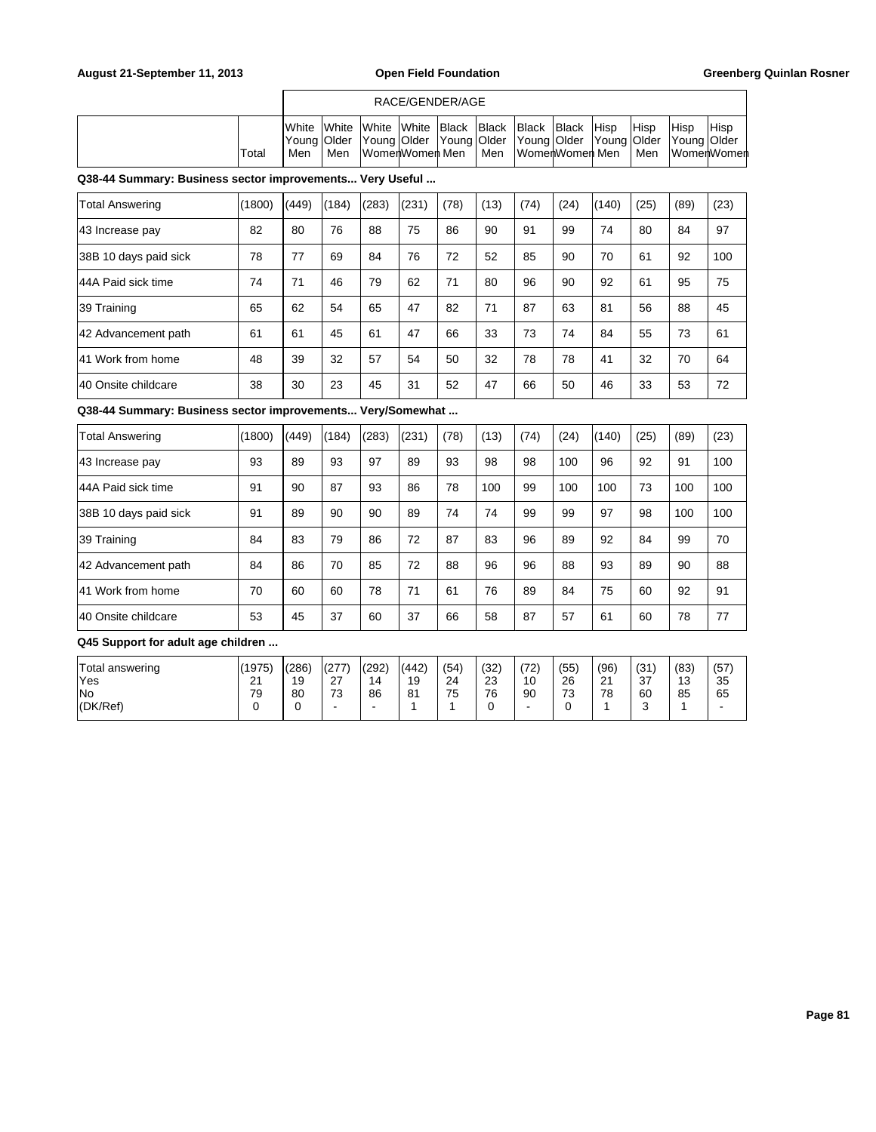|       |                       | RACE/GENDER/AGE |  |                                                                                                                                        |  |     |                |            |  |                     |             |                       |  |
|-------|-----------------------|-----------------|--|----------------------------------------------------------------------------------------------------------------------------------------|--|-----|----------------|------------|--|---------------------|-------------|-----------------------|--|
| Total | <b>I</b> White<br>Men | Men             |  | White White White Black Black Black<br> Young Older  Young Older  Young Older  Young Older  Young Older  Young Older<br>WomenWomen Men |  | Men | WomenWomen Men | Black Hisp |  | <b>IHisp</b><br>Men | <b>Hisp</b> | Hisp<br>∣WomerlWomerl |  |

| <b>Total Answering</b> | (1800) | (449) | (184) | (283) | (231) | (78) | (13) | (74) | (24) | (140) | (25) | (89) | (23) |
|------------------------|--------|-------|-------|-------|-------|------|------|------|------|-------|------|------|------|
| 43 Increase pay        | 82     | 80    | 76    | 88    | 75    | 86   | 90   | 91   | 99   | 74    | 80   | 84   | 97   |
| 38B 10 days paid sick  | 78     | 77    | 69    | 84    | 76    | 72   | 52   | 85   | 90   | 70    | 61   | 92   | 100  |
| 44A Paid sick time     | 74     | 71    | 46    | 79    | 62    | 71   | 80   | 96   | 90   | 92    | 61   | 95   | 75   |
| 39 Training            | 65     | 62    | 54    | 65    | 47    | 82   | 71   | 87   | 63   | 81    | 56   | 88   | 45   |
| 42 Advancement path    | 61     | 61    | 45    | 61    | 47    | 66   | 33   | 73   | 74   | 84    | 55   | 73   | 61   |
| 41 Work from home      | 48     | 39    | 32    | 57    | 54    | 50   | 32   | 78   | 78   | 41    | 32   | 70   | 64   |
| 140 Onsite childcare   | 38     | 30    | 23    | 45    | 31    | 52   | 47   | 66   | 50   | 46    | 33   | 53   | 72   |

**Q38-44 Summary: Business sector improvements... Very/Somewhat ...**

| <b>Total Answering</b> | (1800) | (449) | (184) | (283) | (231) | (78) | (13) | (74) | (24) | (140) | (25) | (89) | (23) |
|------------------------|--------|-------|-------|-------|-------|------|------|------|------|-------|------|------|------|
| 43 Increase pay        | 93     | 89    | 93    | 97    | 89    | 93   | 98   | 98   | 100  | 96    | 92   | 91   | 100  |
| 44A Paid sick time     | 91     | 90    | 87    | 93    | 86    | 78   | 100  | 99   | 100  | 100   | 73   | 100  | 100  |
| 38B 10 days paid sick  | 91     | 89    | 90    | 90    | 89    | 74   | 74   | 99   | 99   | 97    | 98   | 100  | 100  |
| 39 Training            | 84     | 83    | 79    | 86    | 72    | 87   | 83   | 96   | 89   | 92    | 84   | 99   | 70   |
| 42 Advancement path    | 84     | 86    | 70    | 85    | 72    | 88   | 96   | 96   | 88   | 93    | 89   | 90   | 88   |
| 41 Work from home      | 70     | 60    | 60    | 78    | 71    | 61   | 76   | 89   | 84   | 75    | 60   | 92   | 91   |
| 140 Onsite childcare   | 53     | 45    | 37    | 60    | 37    | 66   | 58   | 87   | 57   | 61    | 60   | 78   | 77   |

| <b>Total answering</b> | (1975)       | (286) | (277)                | (292) | (442) | (54) | (32) | (72) | (55)     | (96)        | (31) | (83) | (57)                     |
|------------------------|--------------|-------|----------------------|-------|-------|------|------|------|----------|-------------|------|------|--------------------------|
| 'Yes                   | $\mathbf{A}$ | 19    | $\sim$<br><u> 41</u> | 14    | 19    | 24   | 23   | 10   | 26       | $\sim$<br>▵ | 37   | 13   | 35                       |
| lNo                    | 79           | 80    | 70<br>ు              | 86    | 81    | 75   | 76   | 90   | 72<br>J. | 78          | 60   | 85   | 65                       |
| (DK/Ref)               |              |       |                      | -     |       |      |      | ۰    |          |             |      |      | $\overline{\phantom{a}}$ |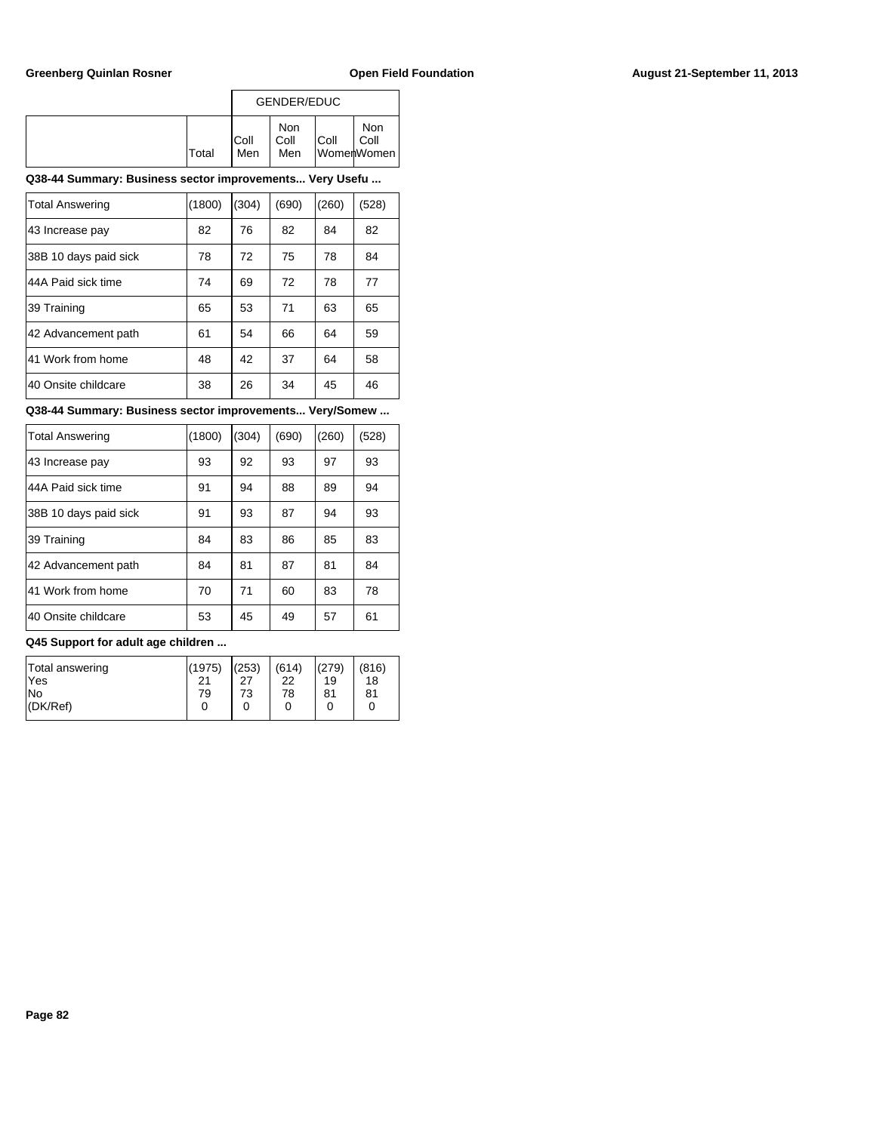|              |              | GENDER/EDUC        |      |                           |
|--------------|--------------|--------------------|------|---------------------------|
| <b>Total</b> | IColl<br>Men | Non<br>Coll<br>Men | Coll | Non<br>Coll<br>WomenWomen |

| <b>Total Answering</b> | (1800) | (304) | (690) | (260) | (528) |
|------------------------|--------|-------|-------|-------|-------|
| 43 Increase pay        | 82     | 76    | 82    | 84    | 82    |
| 38B 10 days paid sick  | 78     | 72    | 75    | 78    | 84    |
| 44A Paid sick time     | 74     | 69    | 72    | 78    | 77    |
| 39 Training            | 65     | 53    | 71    | 63    | 65    |
| 42 Advancement path    | 61     | 54    | 66    | 64    | 59    |
| 41 Work from home      | 48     | 42    | 37    | 64    | 58    |
| 40 Onsite childcare    | 38     | 26    | 34    | 45    | 46    |

### **Q38-44 Summary: Business sector improvements... Very/Somew ...**

| <b>Total Answering</b> | (1800) | (304) | (690) | (260) | (528) |
|------------------------|--------|-------|-------|-------|-------|
|                        |        |       |       |       |       |
| 43 Increase pay        | 93     | 92    | 93    | 97    | 93    |
| 44A Paid sick time     | 91     | 94    | 88    | 89    | 94    |
| 38B 10 days paid sick  | 91     | 93    | 87    | 94    | 93    |
| 39 Training            | 84     | 83    | 86    | 85    | 83    |
| 42 Advancement path    | 84     | 81    | 87    | 81    | 84    |
| 41 Work from home      | 70     | 71    | 60    | 83    | 78    |
| 40 Onsite childcare    | 53     | 45    | 49    | 57    | 61    |

| Total answering<br><b>Yes</b> | (1975)<br>21 | (253)<br>27 | (614)<br>22 | (279)<br>19 | (816)<br>18 |
|-------------------------------|--------------|-------------|-------------|-------------|-------------|
| lNo                           | 79           | 73          | 78          | 81          | 81          |
| $ $ (DK/Ref)                  |              | 0           |             |             |             |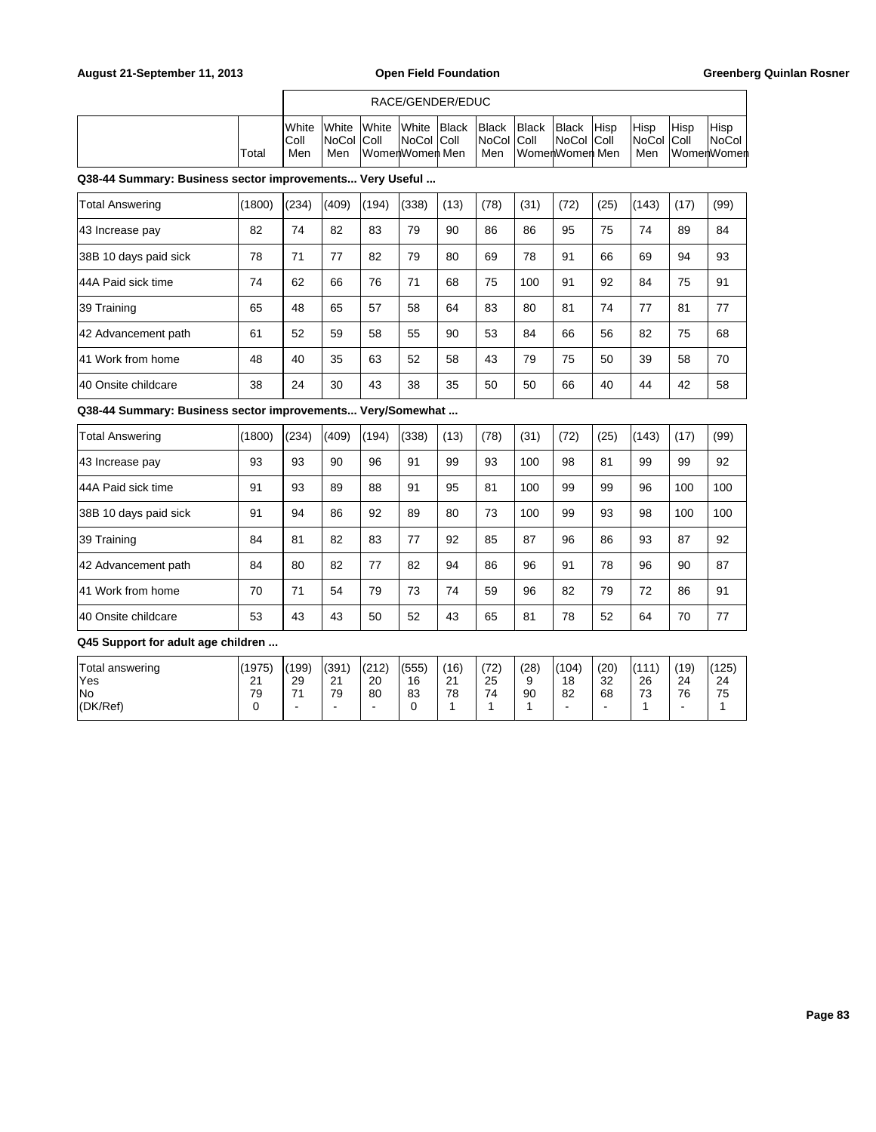|                                                          |        |                                |                       |                                          | RACE/GENDER/EDUC       |       |                              |                                 |                       |             |                             |                       |                |
|----------------------------------------------------------|--------|--------------------------------|-----------------------|------------------------------------------|------------------------|-------|------------------------------|---------------------------------|-----------------------|-------------|-----------------------------|-----------------------|----------------|
|                                                          | Total  | <b>I</b> White<br>IColl<br>Men | White<br>NoCol<br>Men | lWhite<br><b>Coll</b><br>lWomenWomen Men | lWhite<br> NoCol  Coll | Black | Black<br> NoCol  Coll<br>Men | <b>Black</b><br>lWomerWomer Men | Black<br> NoCol  Coll | <b>Hisp</b> | Hisp<br> NoCol  Coll<br>Men | Hisp<br>lWomerlWomerl | Hisp<br> NoCol |
| Q38-44 Summary: Business sector improvements Very Useful |        |                                |                       |                                          |                        |       |                              |                                 |                       |             |                             |                       |                |
| Total Answering                                          | (1800) | (234)                          | (409)                 | (194)                                    | (338)                  | (13)  | (78)                         | (31)                            | (72)                  | (25)        | (143)                       | (17)                  | (99)           |
| 43 Increase pay                                          | 82     | 74                             | 82                    | 83                                       | 79                     | 90    | 86                           | 86                              | 95                    | 75          | 74                          | 89                    | 84             |
| 38B 10 days paid sick                                    | 78     | 71                             | 77                    | 82                                       | 79                     | 80    | 69                           | 78                              | 91                    | 66          | 69                          | 94                    | 93             |
| 144A Paid sick time                                      | 74     | 62                             | 66                    | 76                                       | 71                     | 68    | 75                           | 100                             | 91                    | 92          | 84                          | 75                    | 91             |
| 39 Training                                              | 65     | 48                             | 65                    | 57                                       | 58                     | 64    | 83                           | 80                              | 81                    | 74          | 77                          | 81                    | 77             |

42 Advancement path 61 52 59 58 55 90 53 84 66 56 82 75 68 41 Work from home 48 40 35 63 52 58 43 79 75 50 39 58 70 40 Onsite childcare 38 24 30 43 38 35 50 50 66 40 44 42 58

**Q38-44 Summary: Business sector improvements... Very/Somewhat ...**

| <b>Total Answering</b> | (1800) | (234) | (409) | (194) | (338) | (13) | (78) | (31) | (72) | (25) | (143) | (17) | (99) |
|------------------------|--------|-------|-------|-------|-------|------|------|------|------|------|-------|------|------|
| 43 Increase pay        | 93     | 93    | 90    | 96    | 91    | 99   | 93   | 100  | 98   | 81   | 99    | 99   | 92   |
| 44A Paid sick time     | 91     | 93    | 89    | 88    | 91    | 95   | 81   | 100  | 99   | 99   | 96    | 100  | 100  |
| 38B 10 days paid sick  | 91     | 94    | 86    | 92    | 89    | 80   | 73   | 100  | 99   | 93   | 98    | 100  | 100  |
| 39 Training            | 84     | 81    | 82    | 83    | 77    | 92   | 85   | 87   | 96   | 86   | 93    | 87   | 92   |
| 42 Advancement path    | 84     | 80    | 82    | 77    | 82    | 94   | 86   | 96   | 91   | 78   | 96    | 90   | 87   |
| 41 Work from home      | 70     | 71    | 54    | 79    | 73    | 74   | 59   | 96   | 82   | 79   | 72    | 86   | 91   |
| 140 Onsite childcare   | 53     | 43    | 43    | 50    | 52    | 43   | 65   | 81   | 78   | 52   | 64    | 70   | 77   |

| Total answering | (1975) | l(199) | (391)                  | (212) | (555) | (16)                 | (72) | (28) | (104) | (20) | (111)   | (19) | (125) |
|-----------------|--------|--------|------------------------|-------|-------|----------------------|------|------|-------|------|---------|------|-------|
| 'Yes            | $\sim$ | 29     | $\Omega$<br><u> 41</u> | 20    | 16    | $\Omega$<br><u>_</u> | 25   | ⌒    | 18    | 32   | 26      | 24   | 24    |
| lNo             | 79     | 74     | 79                     | 80    | 83    | 78                   | 74   | 90   | 82    | 68   | 70<br>ں | 76   | 75    |
| (DK/Ref)        |        | -      | -                      |       |       |                      |      |      | -     |      |         |      |       |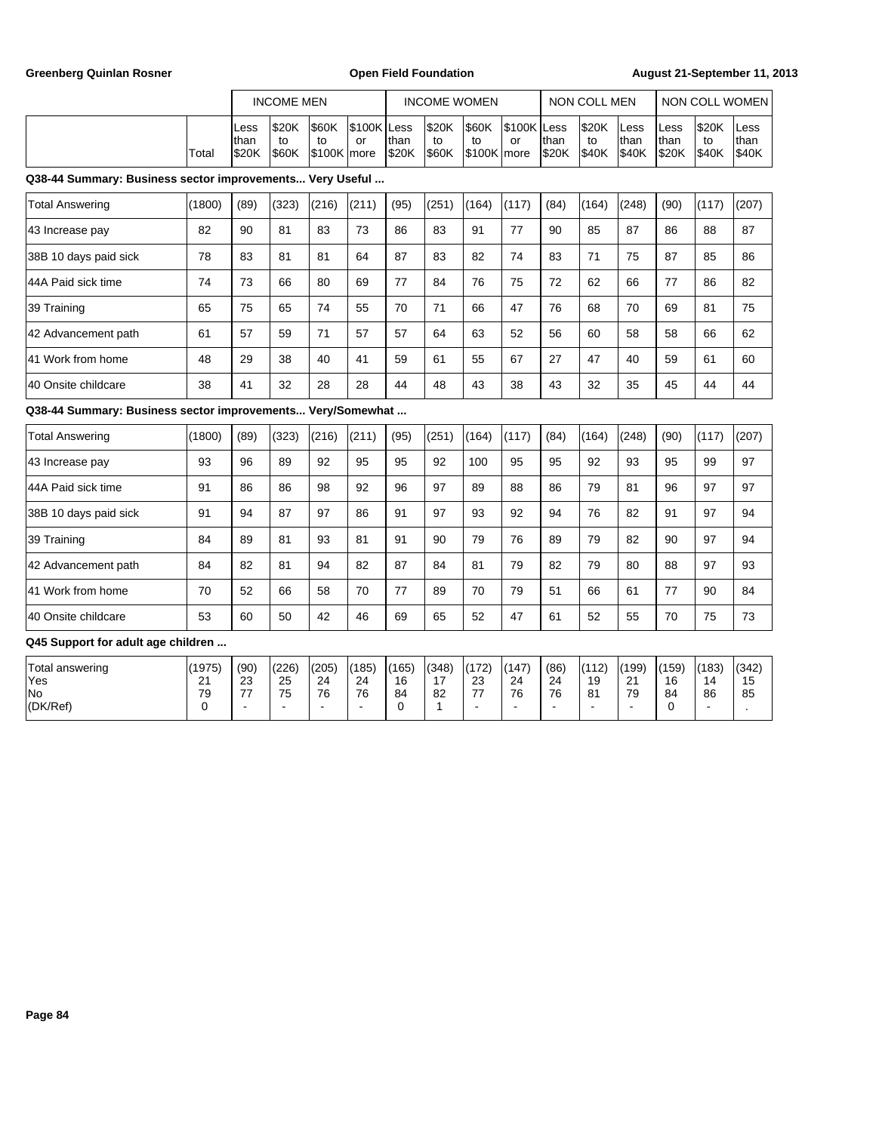Greenberg Quinlan Rosner **Communist Communist Communist Communist Communist Communist Communist Communist Communist Communist Communist Communist Communist Communist Communist Communist Communist Communist Communist Commun** 

|                                                          |                          | <b>INCOME MEN</b>      |                              |                  | <b>INCOME WOMEN</b> |                                  |                                            |    |                | NON COLL MEN          |                          | I NON COLL WOMEN               |                             |                          |
|----------------------------------------------------------|--------------------------|------------------------|------------------------------|------------------|---------------------|----------------------------------|--------------------------------------------|----|----------------|-----------------------|--------------------------|--------------------------------|-----------------------------|--------------------------|
| Total                                                    | ILess<br>Ithan<br>l\$20K | '\$20K<br>to<br>I\$60K | \$60K<br>to<br>$ $100K$ more | S100K Less<br>or | Ithan<br>IS20K      | <b>S20K</b><br>to<br><b>S60K</b> | $ $60K$ $ $100K$ Less<br>to<br>S100K Imore | or | Ithan<br>Is20K | \$20K<br>to<br> \$40K | lLess<br>Ithan<br> \$40K | ILess<br>Ithan<br><b>IS20K</b> | <b>S20K</b><br>to<br>1\$40K | ILess<br>Ithan<br> \$40K |
| 038-44 Summary: Rusiness sector improvements Very Heeful |                          |                        |                              |                  |                     |                                  |                                            |    |                |                       |                          |                                |                             |                          |

### **Q38-44 Summary: Business sector improvements... Very Useful ...**

| <b>Total Answering</b> | (1800) | (89) | (323) | (216) | (211) | (95) | (251) | (164) | (117) | (84) | (164) | (248) | (90) | (117) | (207) |
|------------------------|--------|------|-------|-------|-------|------|-------|-------|-------|------|-------|-------|------|-------|-------|
| 43 Increase pay        | 82     | 90   | 81    | 83    | 73    | 86   | 83    | 91    | 77    | 90   | 85    | 87    | 86   | 88    | 87    |
| 38B 10 days paid sick  | 78     | 83   | 81    | 81    | 64    | 87   | 83    | 82    | 74    | 83   | 71    | 75    | 87   | 85    | 86    |
| 44A Paid sick time     | 74     | 73   | 66    | 80    | 69    | 77   | 84    | 76    | 75    | 72   | 62    | 66    | 77   | 86    | 82    |
| 39 Training            | 65     | 75   | 65    | 74    | 55    | 70   | 71    | 66    | 47    | 76   | 68    | 70    | 69   | 81    | 75    |
| 42 Advancement path    | 61     | 57   | 59    | 71    | 57    | 57   | 64    | 63    | 52    | 56   | 60    | 58    | 58   | 66    | 62    |
| 41 Work from home      | 48     | 29   | 38    | 40    | 41    | 59   | 61    | 55    | 67    | 27   | 47    | 40    | 59   | 61    | 60    |
| 40 Onsite childcare    | 38     | 41   | 32    | 28    | 28    | 44   | 48    | 43    | 38    | 43   | 32    | 35    | 45   | 44    | 44    |

**Q38-44 Summary: Business sector improvements... Very/Somewhat ...**

| Total Answering       | (1800) | (89) | (323) | (216) | (211) | (95) | (251 | (164) | (117) | (84) | (164) | (248) | (90) | (117) | (207) |
|-----------------------|--------|------|-------|-------|-------|------|------|-------|-------|------|-------|-------|------|-------|-------|
| 43 Increase pay       | 93     | 96   | 89    | 92    | 95    | 95   | 92   | 100   | 95    | 95   | 92    | 93    | 95   | 99    | 97    |
| 44A Paid sick time    | 91     | 86   | 86    | 98    | 92    | 96   | 97   | 89    | 88    | 86   | 79    | 81    | 96   | 97    | 97    |
| 38B 10 days paid sick | 91     | 94   | 87    | 97    | 86    | 91   | 97   | 93    | 92    | 94   | 76    | 82    | 91   | 97    | 94    |
| 39 Training           | 84     | 89   | 81    | 93    | 81    | 91   | 90   | 79    | 76    | 89   | 79    | 82    | 90   | 97    | 94    |
| 42 Advancement path   | 84     | 82   | 81    | 94    | 82    | 87   | 84   | 81    | 79    | 82   | 79    | 80    | 88   | 97    | 93    |
| 41 Work from home     | 70     | 52   | 66    | 58    | 70    | 77   | 89   | 70    | 79    | 51   | 66    | 61    | 77   | 90    | 84    |
| 40 Onsite childcare   | 53     | 60   | 50    | 42    | 46    | 69   | 65   | 52    | 47    | 61   | 52    | 55    | 70   | 75    | 73    |

| Total answering | (1975)        | (90) | (226) | (205) | (185) | (165) | (348) | (172)        | (147) | (86) | (112)     | (199) | (159) | (183) | (342) |
|-----------------|---------------|------|-------|-------|-------|-------|-------|--------------|-------|------|-----------|-------|-------|-------|-------|
| 'Yes            | ິ<br><u>_</u> | 23   | 25    | 24    | 24    | 16    | . –   | $\sim$<br>د∠ | 24    | 24   | 10<br>. . | 21    | 16    | 14    | 15    |
| <b>No</b>       | 79            | --   | 75    | 76    | 76    | 84    | 82    | --           | 76    | 76   | 81        | 79    | 84    | 86    | 85    |
| (DK/Ref)        |               |      |       |       |       |       |       |              |       |      |           |       |       |       |       |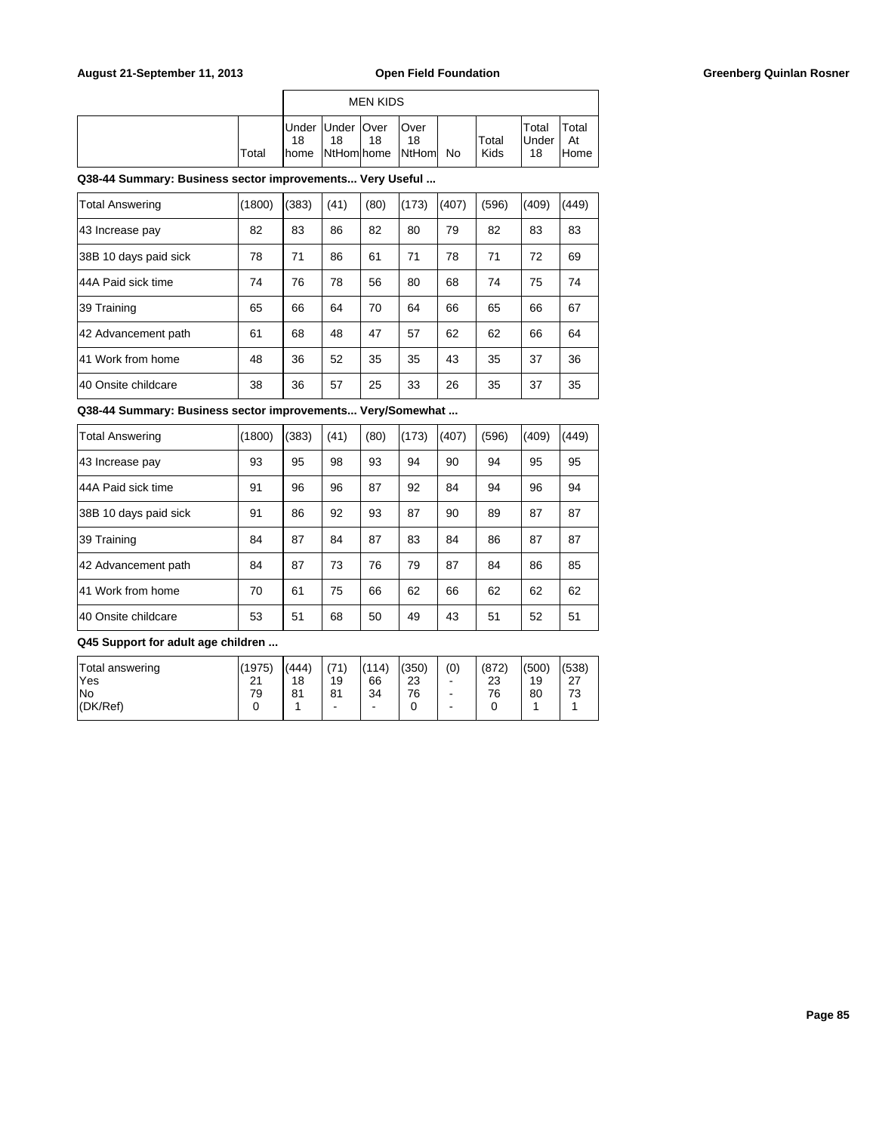|       |                     |                          | <b>MEN KIDS</b> |                                 |    |               |                              |                      |
|-------|---------------------|--------------------------|-----------------|---------------------------------|----|---------------|------------------------------|----------------------|
| Total | 18<br><b>I</b> home | Under Under   Over<br>18 | 18              | lOver<br>18<br>NtHom home NtHom | No | Total<br>Kids | Total<br><b>IUnder</b><br>18 | `otal<br>At<br>'Home |

| Total Answering       | (1800) | (383) | (41) | (80) | (173) | (407) | (596) | (409) | (449) |
|-----------------------|--------|-------|------|------|-------|-------|-------|-------|-------|
| 43 Increase pay       | 82     | 83    | 86   | 82   | 80    | 79    | 82    | 83    | 83    |
| 38B 10 days paid sick | 78     | 71    | 86   | 61   | 71    | 78    | 71    | 72    | 69    |
| 144A Paid sick time   | 74     | 76    | 78   | 56   | 80    | 68    | 74    | 75    | 74    |
| 39 Training           | 65     | 66    | 64   | 70   | 64    | 66    | 65    | 66    | 67    |
| 42 Advancement path   | 61     | 68    | 48   | 47   | 57    | 62    | 62    | 66    | 64    |
| 41 Work from home     | 48     | 36    | 52   | 35   | 35    | 43    | 35    | 37    | 36    |
| 140 Onsite childcare  | 38     | 36    | 57   | 25   | 33    | 26    | 35    | 37    | 35    |

**Q38-44 Summary: Business sector improvements... Very/Somewhat ...**

| <b>Total Answering</b> | (1800) | (383) | (41) | (80) | (173) | (407) | (596) | (409) | (449) |
|------------------------|--------|-------|------|------|-------|-------|-------|-------|-------|
| 43 Increase pay        | 93     | 95    | 98   | 93   | 94    | 90    | 94    | 95    | 95    |
| 44A Paid sick time     | 91     | 96    | 96   | 87   | 92    | 84    | 94    | 96    | 94    |
| 38B 10 days paid sick  | 91     | 86    | 92   | 93   | 87    | 90    | 89    | 87    | 87    |
| 39 Training            | 84     | 87    | 84   | 87   | 83    | 84    | 86    | 87    | 87    |
| 42 Advancement path    | 84     | 87    | 73   | 76   | 79    | 87    | 84    | 86    | 85    |
| 41 Work from home      | 70     | 61    | 75   | 66   | 62    | 66    | 62    | 62    | 62    |
| 40 Onsite childcare    | 53     | 51    | 68   | 50   | 49    | 43    | 51    | 52    | 51    |

| Total answering | (1975) | (444) | (71) | (114) | (350) | (0) | (872) | (500) | (538)     |
|-----------------|--------|-------|------|-------|-------|-----|-------|-------|-----------|
| 'Yes            | $\sim$ | 18    | 19   | 66    | 23    | -   | 23    | 19    | <u> 4</u> |
| <b>No</b>       | 79     | 81    | 81   | 34    | 76    | -   | 76    | 80    | 73        |
| (DK/Ref)        |        |       | -    | -     |       | -   |       |       |           |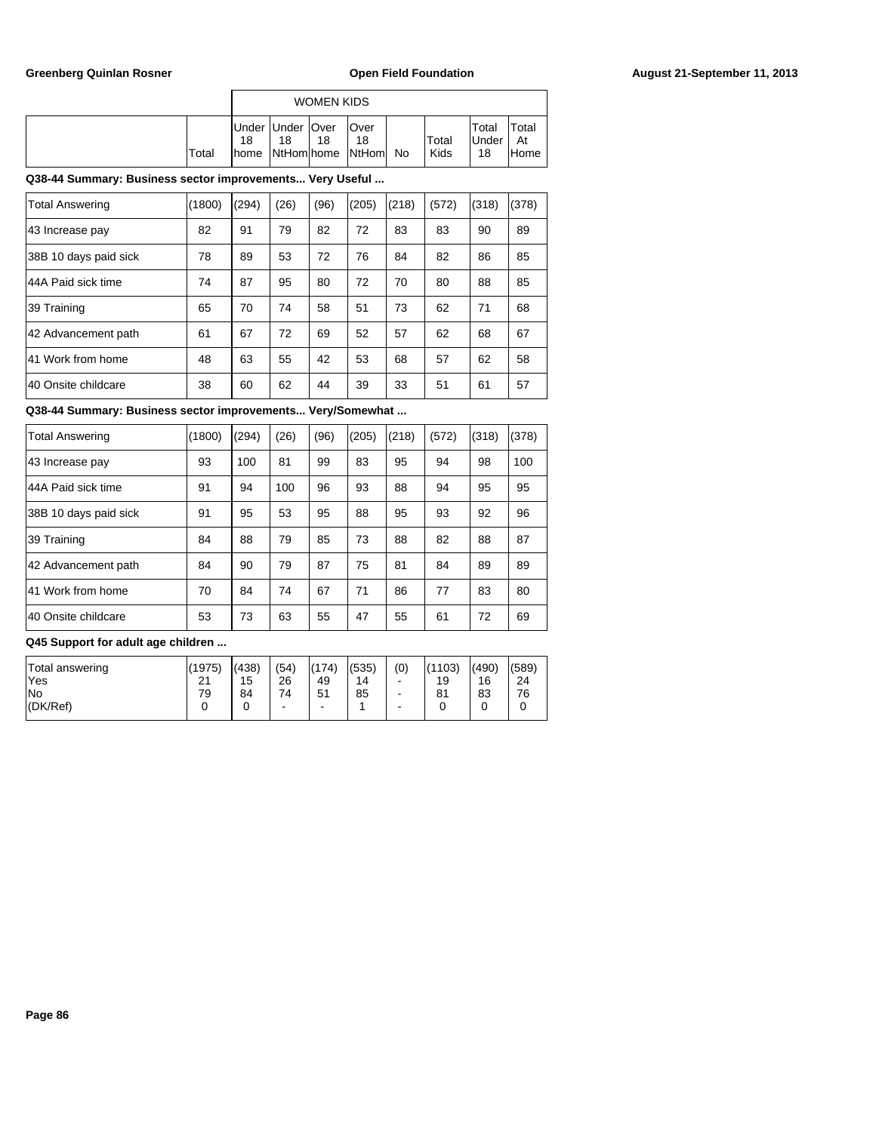|       |                                           |                  | <b>WOMEN KIDS</b> |                              |    |               |                       |                      |
|-------|-------------------------------------------|------------------|-------------------|------------------------------|----|---------------|-----------------------|----------------------|
| Total | Under Under   Over<br>18<br><b>I</b> home | 18<br>NtHom home | 18                | lOver<br>18<br><b>NtHoml</b> | No | Total<br>Kids | Total<br>lUnder<br>18 | Total<br>At<br>lHome |

| <b>Total Answering</b> | (1800) | (294) | (26) | (96) | (205) | (218) | (572) | (318) | (378) |
|------------------------|--------|-------|------|------|-------|-------|-------|-------|-------|
| 43 Increase pay        | 82     | 91    | 79   | 82   | 72    | 83    | 83    | 90    | 89    |
| 38B 10 days paid sick  | 78     | 89    | 53   | 72   | 76    | 84    | 82    | 86    | 85    |
| 144A Paid sick time    | 74     | 87    | 95   | 80   | 72    | 70    | 80    | 88    | 85    |
| 39 Training            | 65     | 70    | 74   | 58   | 51    | 73    | 62    | 71    | 68    |
| 42 Advancement path    | 61     | 67    | 72   | 69   | 52    | 57    | 62    | 68    | 67    |
| 41 Work from home      | 48     | 63    | 55   | 42   | 53    | 68    | 57    | 62    | 58    |
| 140 Onsite childcare   | 38     | 60    | 62   | 44   | 39    | 33    | 51    | 61    | 57    |

**Q38-44 Summary: Business sector improvements... Very/Somewhat ...**

| <b>Total Answering</b> | (1800) | (294) | (26) | (96) | (205) | (218) | (572) | (318) | (378) |
|------------------------|--------|-------|------|------|-------|-------|-------|-------|-------|
| 43 Increase pay        | 93     | 100   | 81   | 99   | 83    | 95    | 94    | 98    | 100   |
| 44A Paid sick time     | 91     | 94    | 100  | 96   | 93    | 88    | 94    | 95    | 95    |
| 38B 10 days paid sick  | 91     | 95    | 53   | 95   | 88    | 95    | 93    | 92    | 96    |
| 39 Training            | 84     | 88    | 79   | 85   | 73    | 88    | 82    | 88    | 87    |
| 42 Advancement path    | 84     | 90    | 79   | 87   | 75    | 81    | 84    | 89    | 89    |
| 41 Work from home      | 70     | 84    | 74   | 67   | 71    | 86    | 77    | 83    | 80    |
| 40 Onsite childcare    | 53     | 73    | 63   | 55   | 47    | 55    | 61    | 72    | 69    |

| Total answering | (1975) | (438) | (54)    | (174)   | (535) | (0)    | (1103) | (490) | (589) |
|-----------------|--------|-------|---------|---------|-------|--------|--------|-------|-------|
| 'Yes            | 21     | 15    | 26      | 49      | 14    | -      | 19     | 16    | 24    |
| lNo<br>(DK/Ref) | 79     | 84    | 74<br>- | 51<br>- | 85    | -<br>- | 81     | 83    | 76    |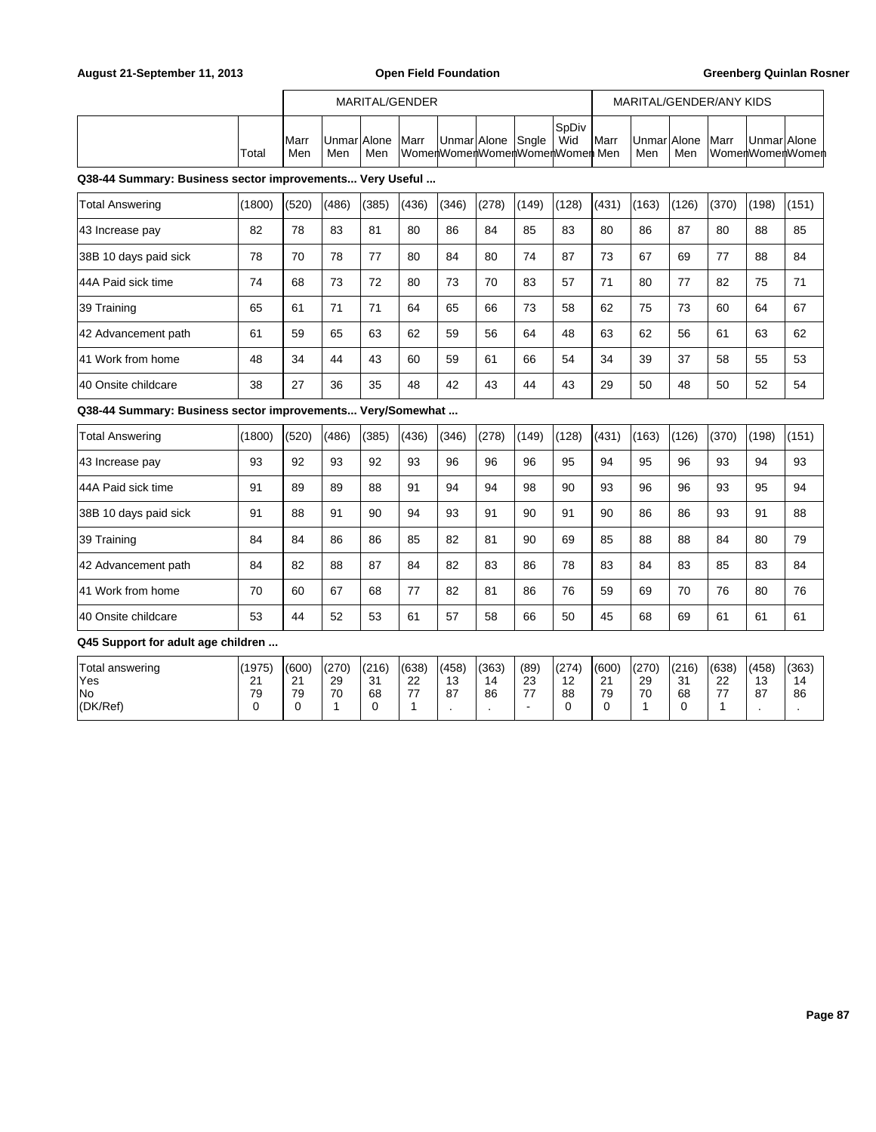|       |                     |                     |     | MARITAL/GENDER |                   |                              |                      |               |                    |     | MARITAL/GENDER/ANY KIDS |             |                 |
|-------|---------------------|---------------------|-----|----------------|-------------------|------------------------------|----------------------|---------------|--------------------|-----|-------------------------|-------------|-----------------|
| Total | <b>IMarr</b><br>Men | Unmar Alone <br>Men | Men | <b>Marr</b>    | UnmarlAlone Snale | WomenWomenWomenWomenWomenMen | <b>S</b> pDiv<br>Wid | <b>I</b> Marr | UnmarlAlone<br>Men | Men | <b>Marr</b>             | UnmarlAlone | WomenWomenWomen |

| Total Answering       | (1800) | (520) | (486) | (385) | (436) | (346) | (278) | (149) | (128) | (431) | (163) | (126) | (370) | (198) | (151) |
|-----------------------|--------|-------|-------|-------|-------|-------|-------|-------|-------|-------|-------|-------|-------|-------|-------|
| 43 Increase pay       | 82     | 78    | 83    | 81    | 80    | 86    | 84    | 85    | 83    | 80    | 86    | 87    | 80    | 88    | 85    |
| 38B 10 days paid sick | 78     | 70    | 78    | 77    | 80    | 84    | 80    | 74    | 87    | 73    | 67    | 69    | 77    | 88    | 84    |
| 44A Paid sick time    | 74     | 68    | 73    | 72    | 80    | 73    | 70    | 83    | 57    | 71    | 80    | 77    | 82    | 75    | 71    |
| 39 Training           | 65     | 61    | 71    | 71    | 64    | 65    | 66    | 73    | 58    | 62    | 75    | 73    | 60    | 64    | 67    |
| 42 Advancement path   | 61     | 59    | 65    | 63    | 62    | 59    | 56    | 64    | 48    | 63    | 62    | 56    | 61    | 63    | 62    |
| 41 Work from home     | 48     | 34    | 44    | 43    | 60    | 59    | 61    | 66    | 54    | 34    | 39    | 37    | 58    | 55    | 53    |
| 140 Onsite childcare  | 38     | 27    | 36    | 35    | 48    | 42    | 43    | 44    | 43    | 29    | 50    | 48    | 50    | 52    | 54    |

**Q38-44 Summary: Business sector improvements... Very/Somewhat ...**

| <b>Total Answering</b> | (1800) | (520) | (486) | (385) | (436) | (346) | (278) | (149) | (128) | (431) | (163) | (126) | (370) | (198) | (151) |
|------------------------|--------|-------|-------|-------|-------|-------|-------|-------|-------|-------|-------|-------|-------|-------|-------|
| 43 Increase pay        | 93     | 92    | 93    | 92    | 93    | 96    | 96    | 96    | 95    | 94    | 95    | 96    | 93    | 94    | 93    |
| 44A Paid sick time     | 91     | 89    | 89    | 88    | 91    | 94    | 94    | 98    | 90    | 93    | 96    | 96    | 93    | 95    | 94    |
| 38B 10 days paid sick  | 91     | 88    | 91    | 90    | 94    | 93    | 91    | 90    | 91    | 90    | 86    | 86    | 93    | 91    | 88    |
| 39 Training            | 84     | 84    | 86    | 86    | 85    | 82    | 81    | 90    | 69    | 85    | 88    | 88    | 84    | 80    | 79    |
| 42 Advancement path    | 84     | 82    | 88    | 87    | 84    | 82    | 83    | 86    | 78    | 83    | 84    | 83    | 85    | 83    | 84    |
| 41 Work from home      | 70     | 60    | 67    | 68    | 77    | 82    | 81    | 86    | 76    | 59    | 69    | 70    | 76    | 80    | 76    |
| 40 Onsite childcare    | 53     | 44    | 52    | 53    | 61    | 57    | 58    | 66    | 50    | 45    | 68    | 69    | 61    | 61    | 61    |

| Total answering | (1975)        | 1600          | (270) | (216)            | (638)    | (458)         | (363) | (89)     | (274)  | (600)                | (270) | (216) | (638) | (458) | (363) |
|-----------------|---------------|---------------|-------|------------------|----------|---------------|-------|----------|--------|----------------------|-------|-------|-------|-------|-------|
| 'Yes            | ິ<br><u>_</u> | ົ<br><u>.</u> | 29    | $\Omega$<br>ູບ ເ | ົດ<br>22 | $\sim$<br>ں ا | 14    | nn<br>دے | $\sim$ | $\Omega$<br><u>.</u> | 29    | 31    | 22    | 13    | 14    |
| lNo             | 79            | 79            | 70    | 68               | --       | -87           | 86    | --       | 88     | 79                   | 70    | 68    | --    | 87    | 86    |
| (DK/Ref)        |               |               |       |                  |          |               |       |          |        |                      |       |       |       |       |       |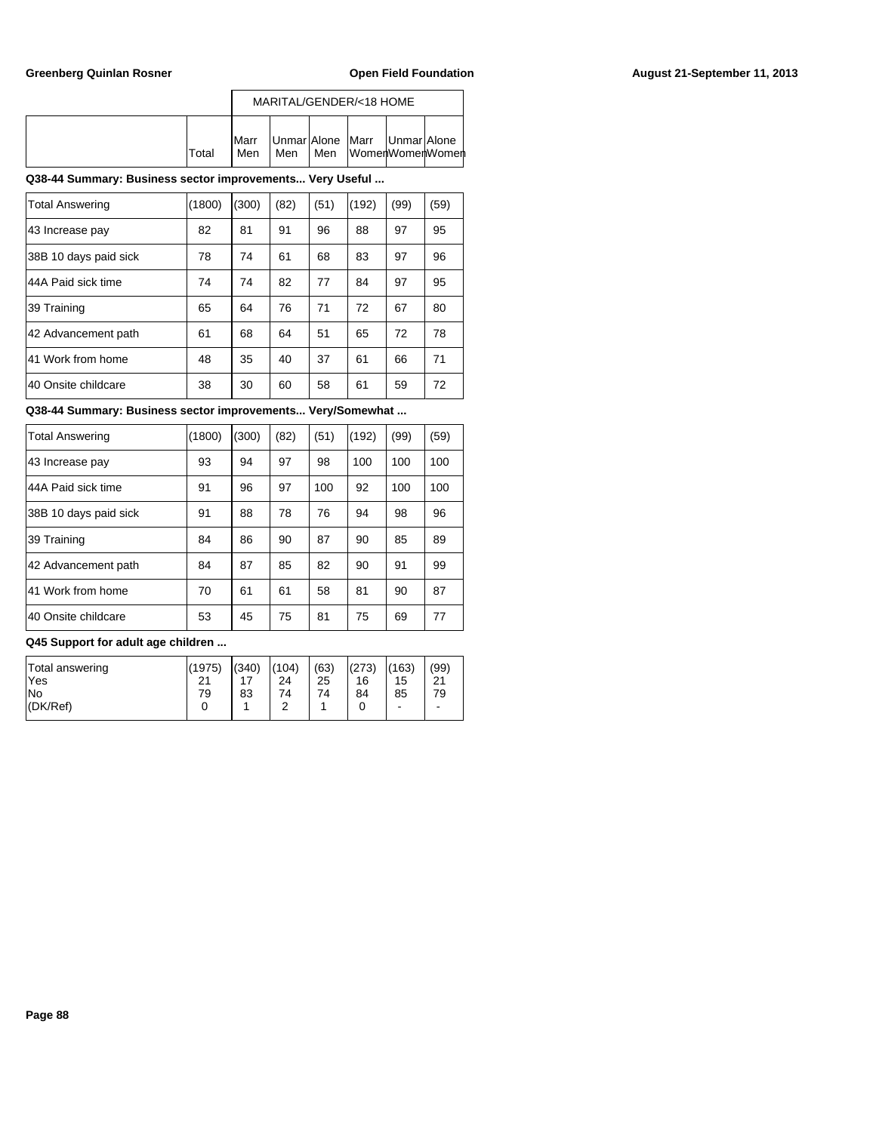|        |                      |     |     | MARITAL/GENDER/<18 HOME |                                                      |  |
|--------|----------------------|-----|-----|-------------------------|------------------------------------------------------|--|
| lTotal | <b>I</b> Marr<br>Men | Men | Men |                         | Unmar Alone   Marr   Unmar Alone<br>∏WomenWomenWomen |  |

| <b>Total Answering</b> | (1800) | (300) | (82) | (51) | (192) | (99) | (59) |
|------------------------|--------|-------|------|------|-------|------|------|
| 43 Increase pay        | 82     | 81    | 91   | 96   | 88    | 97   | 95   |
| 38B 10 days paid sick  | 78     | 74    | 61   | 68   | 83    | 97   | 96   |
| 44A Paid sick time     | 74     | 74    | 82   | 77   | 84    | 97   | 95   |
| 39 Training            | 65     | 64    | 76   | 71   | 72    | 67   | 80   |
| 42 Advancement path    | 61     | 68    | 64   | 51   | 65    | 72   | 78   |
| 41 Work from home      | 48     | 35    | 40   | 37   | 61    | 66   | 71   |
| 40 Onsite childcare    | 38     | 30    | 60   | 58   | 61    | 59   | 72   |

**Q38-44 Summary: Business sector improvements... Very/Somewhat ...**

| <b>Total Answering</b> | (1800) | (300) | (82) | (51) | (192) | (99) | (59) |
|------------------------|--------|-------|------|------|-------|------|------|
| 43 Increase pay        | 93     | 94    | 97   | 98   | 100   | 100  | 100  |
| 44A Paid sick time     | 91     | 96    | 97   | 100  | 92    | 100  | 100  |
| 38B 10 days paid sick  | 91     | 88    | 78   | 76   | 94    | 98   | 96   |
| 39 Training            | 84     | 86    | 90   | 87   | 90    | 85   | 89   |
| 42 Advancement path    | 84     | 87    | 85   | 82   | 90    | 91   | 99   |
| 41 Work from home      | 70     | 61    | 61   | 58   | 81    | 90   | 87   |
| 40 Onsite childcare    | 53     | 45    | 75   | 81   | 75    | 69   | 77   |

| Total answering<br>'Yes<br>lNo | (1975)<br>21<br>79 | (340)<br>83 | (104)<br>24<br>74<br>⌒ | (63)<br>25<br>74 | (273)<br>16<br>84 | (163)<br>15<br>85 | (99)<br>$^{\circ}$<br>۷<br>79 |
|--------------------------------|--------------------|-------------|------------------------|------------------|-------------------|-------------------|-------------------------------|
| $ $ (DK/Ref)                   |                    |             |                        |                  |                   | -                 | -                             |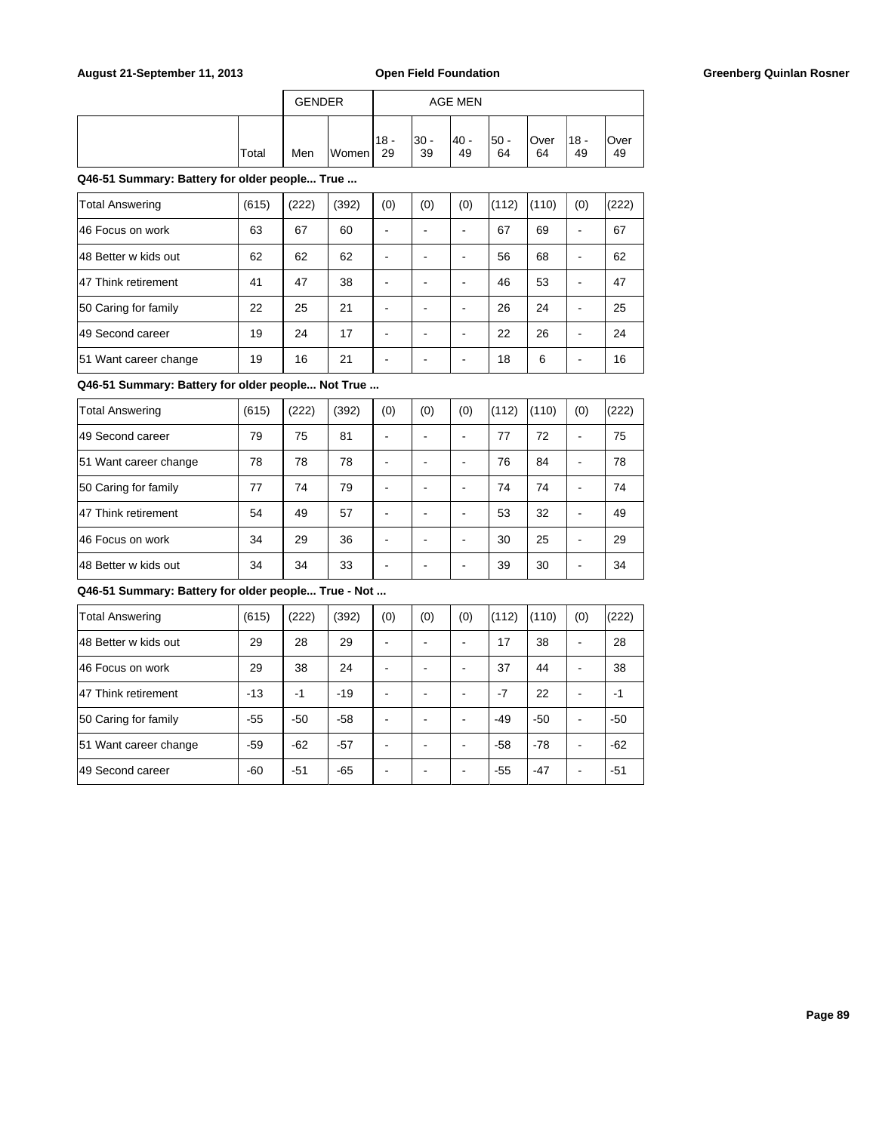## August 21-September 11, 2013 **Open Field Foundation Greenberg Quinlan Rosner Greenberg Quinlan Rosner**

|        | <b>GENDER</b> |       | AGE MEN       |             |            |             |             |              |            |
|--------|---------------|-------|---------------|-------------|------------|-------------|-------------|--------------|------------|
| 'Total | Men           | Women | $118 -$<br>29 | l30 -<br>39 | 40 -<br>49 | l50 -<br>64 | lOver<br>64 | $18 -$<br>49 | Over<br>49 |

**Q46-51 Summary: Battery for older people... True ...**

| <b>Total Answering</b> | (615) | (222) | (392) | (0) | (0) | (0) | (112) | (110) | (0) | (222) |
|------------------------|-------|-------|-------|-----|-----|-----|-------|-------|-----|-------|
| 46 Focus on work       | 63    | 67    | 60    |     |     |     | 67    | 69    |     | 67    |
| 148 Better w kids out  | 62    | 62    | 62    |     |     |     | 56    | 68    |     | 62    |
| 47 Think retirement    | 41    | 47    | 38    |     |     |     | 46    | 53    |     | 47    |
| 50 Caring for family   | 22    | 25    | 21    |     |     |     | 26    | 24    |     | 25    |
| 149 Second career      | 19    | 24    | 17    |     |     |     | 22    | 26    |     | 24    |
| 51 Want career change  | 19    | 16    | 21    |     |     |     | 18    | 6     |     | 16    |

**Q46-51 Summary: Battery for older people... Not True ...**

| <b>Total Answering</b> | (615) | (222) | (392) | (0) | (0) | (0) | (112) | (110) | (0)                      | (222) |
|------------------------|-------|-------|-------|-----|-----|-----|-------|-------|--------------------------|-------|
| 49 Second career       | 79    | 75    | 81    |     |     |     | 77    | 72    |                          | 75    |
| 51 Want career change  | 78    | 78    | 78    |     |     |     | 76    | 84    | -                        | 78    |
| 50 Caring for family   | 77    | 74    | 79    |     |     |     | 74    | 74    | $\overline{\phantom{a}}$ | 74    |
| 47 Think retirement    | 54    | 49    | 57    |     |     |     | 53    | 32    |                          | 49    |
| 46 Focus on work       | 34    | 29    | 36    |     |     |     | 30    | 25    |                          | 29    |
| 48 Better w kids out   | 34    | 34    | 33    |     |     |     | 39    | 30    |                          | 34    |

| <b>Total Answering</b> | (615) | (222) | (392) | (0) | (0) | (0) | (112) | (110) | (0)                      | (222) |
|------------------------|-------|-------|-------|-----|-----|-----|-------|-------|--------------------------|-------|
| 148 Better w kids out  | 29    | 28    | 29    |     |     |     | 17    | 38    | $\overline{\phantom{a}}$ | 28    |
| 146 Focus on work      | 29    | 38    | 24    |     |     |     | 37    | 44    | -                        | 38    |
| 47 Think retirement    | $-13$ | $-1$  | $-19$ |     |     |     | $-7$  | 22    | -                        | $-1$  |
| 50 Caring for family   | $-55$ | $-50$ | $-58$ |     |     |     | $-49$ | $-50$ | -                        | $-50$ |
| 51 Want career change  | $-59$ | $-62$ | $-57$ |     |     |     | $-58$ | $-78$ | $\overline{\phantom{a}}$ | $-62$ |
| 49 Second career       | $-60$ | $-51$ | $-65$ |     |     |     | $-55$ | $-47$ | $\overline{\phantom{a}}$ | $-51$ |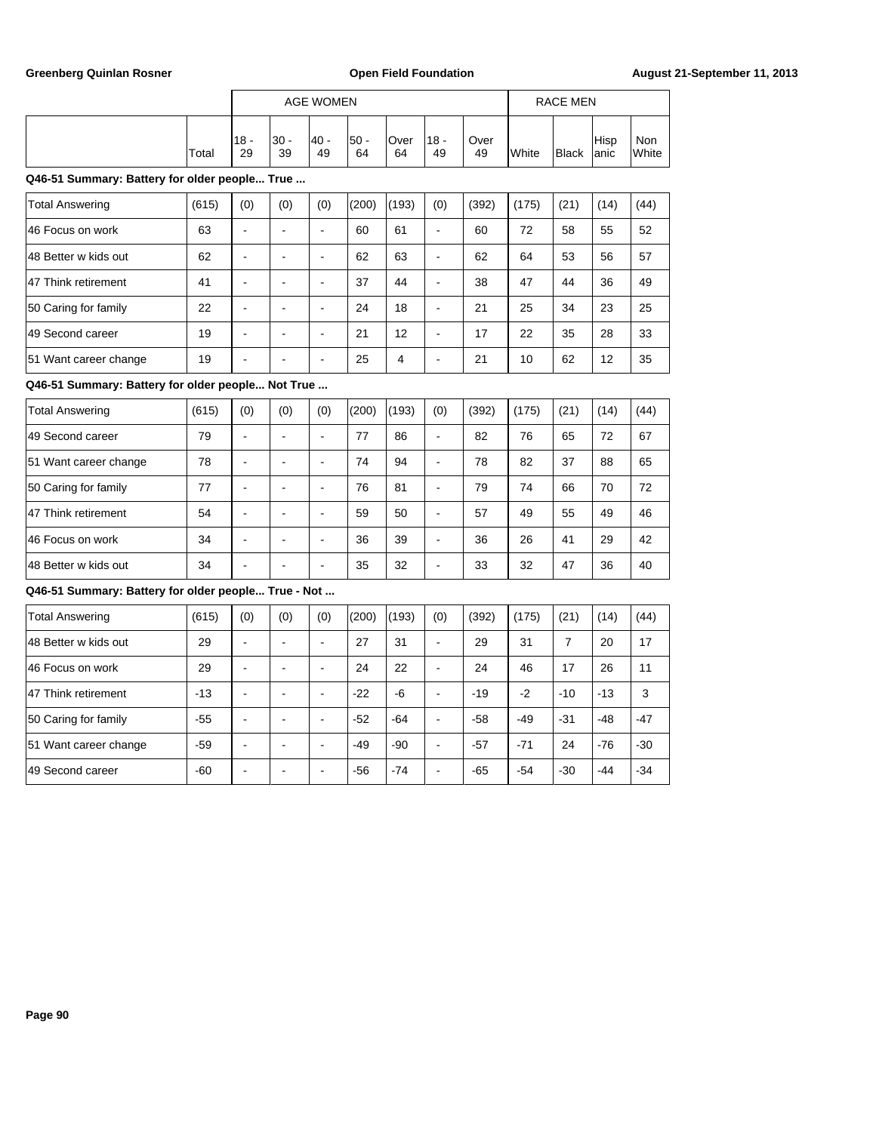|                                                     |       |                          |                | <b>AGE WOMEN</b>         |              |                |                          |            |       | <b>RACE MEN</b> |              |                     |
|-----------------------------------------------------|-------|--------------------------|----------------|--------------------------|--------------|----------------|--------------------------|------------|-------|-----------------|--------------|---------------------|
|                                                     | Total | $18 -$<br>29             | $30 -$<br>39   | $40 -$<br>49             | $50 -$<br>64 | Over<br>64     | $18 -$<br>49             | Over<br>49 | White | <b>Black</b>    | Hisp<br>anic | <b>Non</b><br>White |
| Q46-51 Summary: Battery for older people True       |       |                          |                |                          |              |                |                          |            |       |                 |              |                     |
| <b>Total Answering</b>                              | (615) | (0)                      | (0)            | (0)                      | (200)        | (193)          | (0)                      | (392)      | (175) | (21)            | (14)         | (44)                |
| 46 Focus on work                                    | 63    | $\overline{a}$           | $\overline{a}$ | $\overline{a}$           | 60           | 61             | $\overline{a}$           | 60         | 72    | 58              | 55           | 52                  |
| 48 Better w kids out                                | 62    | ÷,                       | $\blacksquare$ | ÷,                       | 62           | 63             | $\ddot{\phantom{a}}$     | 62         | 64    | 53              | 56           | 57                  |
| 47 Think retirement                                 | 41    |                          | $\overline{a}$ | L.                       | 37           | 44             | ÷.                       | 38         | 47    | 44              | 36           | 49                  |
| 50 Caring for family                                | 22    |                          |                |                          | 24           | 18             |                          | 21         | 25    | 34              | 23           | 25                  |
| 49 Second career                                    | 19    | ÷,                       | L,             | $\overline{a}$           | 21           | 12             | ÷,                       | 17         | 22    | 35              | 28           | 33                  |
| 51 Want career change                               | 19    |                          |                |                          | 25           | $\overline{4}$ | ÷,                       | 21         | 10    | 62              | 12           | 35                  |
| Q46-51 Summary: Battery for older people Not True   |       |                          |                |                          |              |                |                          |            |       |                 |              |                     |
| <b>Total Answering</b>                              | (615) | (0)                      | (0)            | (0)                      | (200)        | (193)          | (0)                      | (392)      | (175) | (21)            | (14)         | (44)                |
| 49 Second career                                    | 79    | $\overline{\phantom{a}}$ | $\blacksquare$ | $\blacksquare$           | 77           | 86             | $\blacksquare$           | 82         | 76    | 65              | 72           | 67                  |
| 51 Want career change                               | 78    | $\blacksquare$           | ÷,             | $\blacksquare$           | 74           | 94             | $\blacksquare$           | 78         | 82    | 37              | 88           | 65                  |
| 50 Caring for family                                | 77    | ä,                       | L,             | $\overline{a}$           | 76           | 81             | ÷,                       | 79         | 74    | 66              | 70           | 72                  |
| 47 Think retirement                                 | 54    |                          | $\overline{a}$ | $\overline{a}$           | 59           | 50             | $\overline{a}$           | 57         | 49    | 55              | 49           | 46                  |
| 46 Focus on work                                    | 34    | $\overline{a}$           | $\blacksquare$ | $\blacksquare$           | 36           | 39             | $\overline{\phantom{a}}$ | 36         | 26    | 41              | 29           | 42                  |
| 48 Better w kids out                                | 34    |                          |                | $\overline{a}$           | 35           | 32             | ä,                       | 33         | 32    | 47              | 36           | 40                  |
| Q46-51 Summary: Battery for older people True - Not |       |                          |                |                          |              |                |                          |            |       |                 |              |                     |
| <b>Total Answering</b>                              | (615) | (0)                      | (0)            | (0)                      | (200)        | (193)          | (0)                      | (392)      | (175) | (21)            | (14)         | (44)                |
| 48 Better w kids out                                | 29    | ÷,                       | $\sim$         | $\overline{\phantom{a}}$ | 27           | 31             | ÷,                       | 29         | 31    | $\overline{7}$  | 20           | 17                  |
| 46 Focus on work                                    | 29    | $\overline{a}$           | ÷.             | $\overline{a}$           | 24           | 22             | $\overline{a}$           | 24         | 46    | 17              | 26           | 11                  |
| 47 Think retirement                                 | $-13$ | $\blacksquare$           | $\blacksquare$ | $\blacksquare$           | $-22$        | -6             | ÷,                       | $-19$      | $-2$  | $-10$           | $-13$        | 3                   |
| 50 Caring for family                                | $-55$ | $\overline{a}$           | ÷,             | $\overline{a}$           | $-52$        | $-64$          | ä,                       | $-58$      | $-49$ | $-31$           | $-48$        | $-47$               |
| 51 Want career change                               | $-59$ | ÷,                       | $\blacksquare$ | $\blacksquare$           | $-49$        | $-90$          | $\overline{\phantom{a}}$ | $-57$      | $-71$ | 24              | $-76$        | $-30$               |
| 49 Second career                                    | $-60$ |                          |                |                          | $-56$        | $-74$          |                          | $-65$      | $-54$ | $-30$           | $-44$        | $-34$               |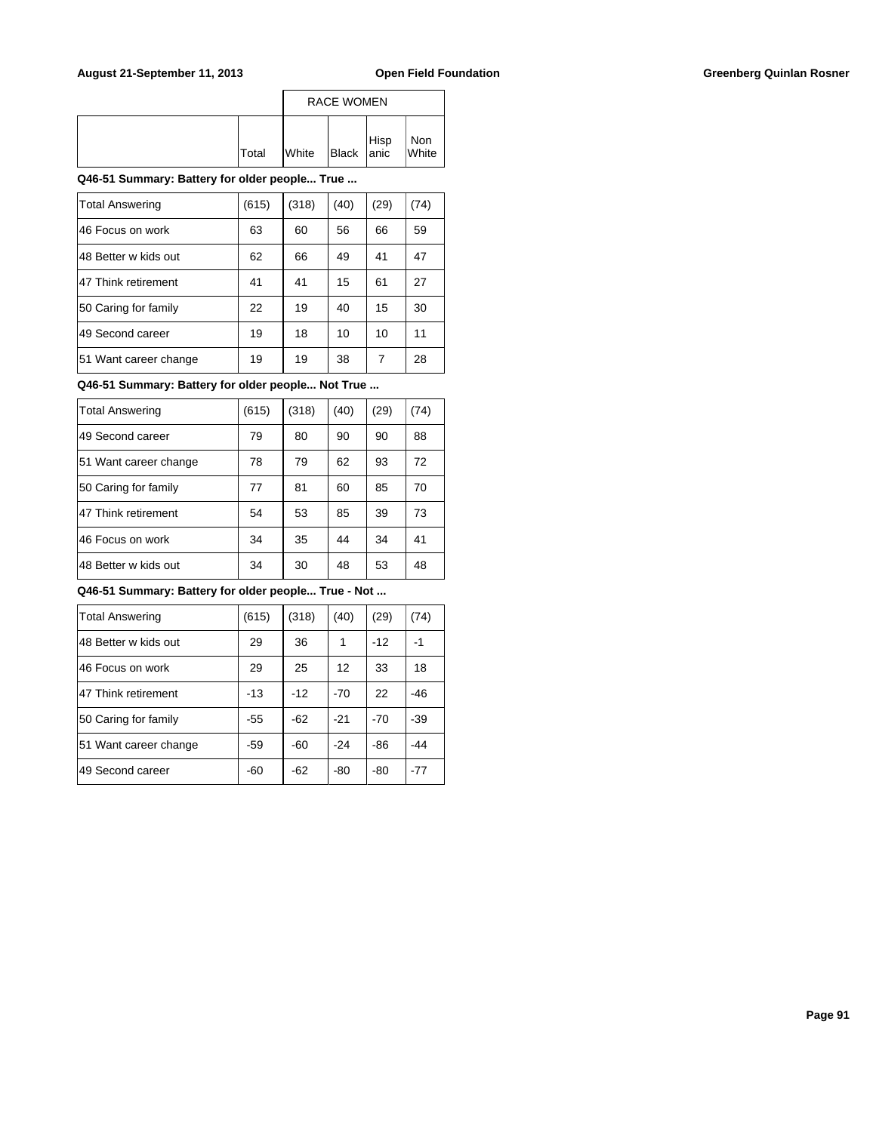|              |              | <b>RACE WOMEN</b> |      |              |
|--------------|--------------|-------------------|------|--------------|
| <b>Total</b> | <b>White</b> | Black anic        | Hisp | Non<br>White |

| <b>Total Answering</b> | (615) | (318) | (40) | (29) | (74) |
|------------------------|-------|-------|------|------|------|
| 46 Focus on work       | 63    | 60    | 56   | 66   | 59   |
| 48 Better w kids out   | 62    | 66    | 49   | 41   | 47   |
| 47 Think retirement    | 41    | 41    | 15   | 61   | 27   |
| 50 Caring for family   | 22    | 19    | 40   | 15   | 30   |
| 49 Second career       | 19    | 18    | 10   | 10   | 11   |
| 51 Want career change  | 19    | 19    | 38   | 7    | 28   |

**Q46-51 Summary: Battery for older people... Not True ...**

| <b>Total Answering</b> | (615) | (318) | (40) | (29) | (74) |
|------------------------|-------|-------|------|------|------|
| 49 Second career       | 79    | 80    | 90   | 90   | 88   |
| 51 Want career change  | 78    | 79    | 62   | 93   | 72   |
| 50 Caring for family   | 77    | 81    | 60   | 85   | 70   |
| 47 Think retirement    | 54    | 53    | 85   | 39   | 73   |
| 46 Focus on work       | 34    | 35    | 44   | 34   | 41   |
| 48 Better w kids out   | 34    | 30    | 48   | 53   | 48   |

| <b>Total Answering</b> | (615) | (318) | (40)  | (29)  | (74)  |
|------------------------|-------|-------|-------|-------|-------|
| 48 Better w kids out   | 29    | 36    | 1     | $-12$ | $-1$  |
| 46 Focus on work       | 29    | 25    | 12    | 33    | 18    |
| 47 Think retirement    | $-13$ | $-12$ | $-70$ | 22    | $-46$ |
| 50 Caring for family   | -55   | $-62$ | $-21$ | $-70$ | -39   |
| 51 Want career change  | $-59$ | $-60$ | $-24$ | $-86$ | $-44$ |
| 49 Second career       | -60   | $-62$ | -80   | -80   | $-77$ |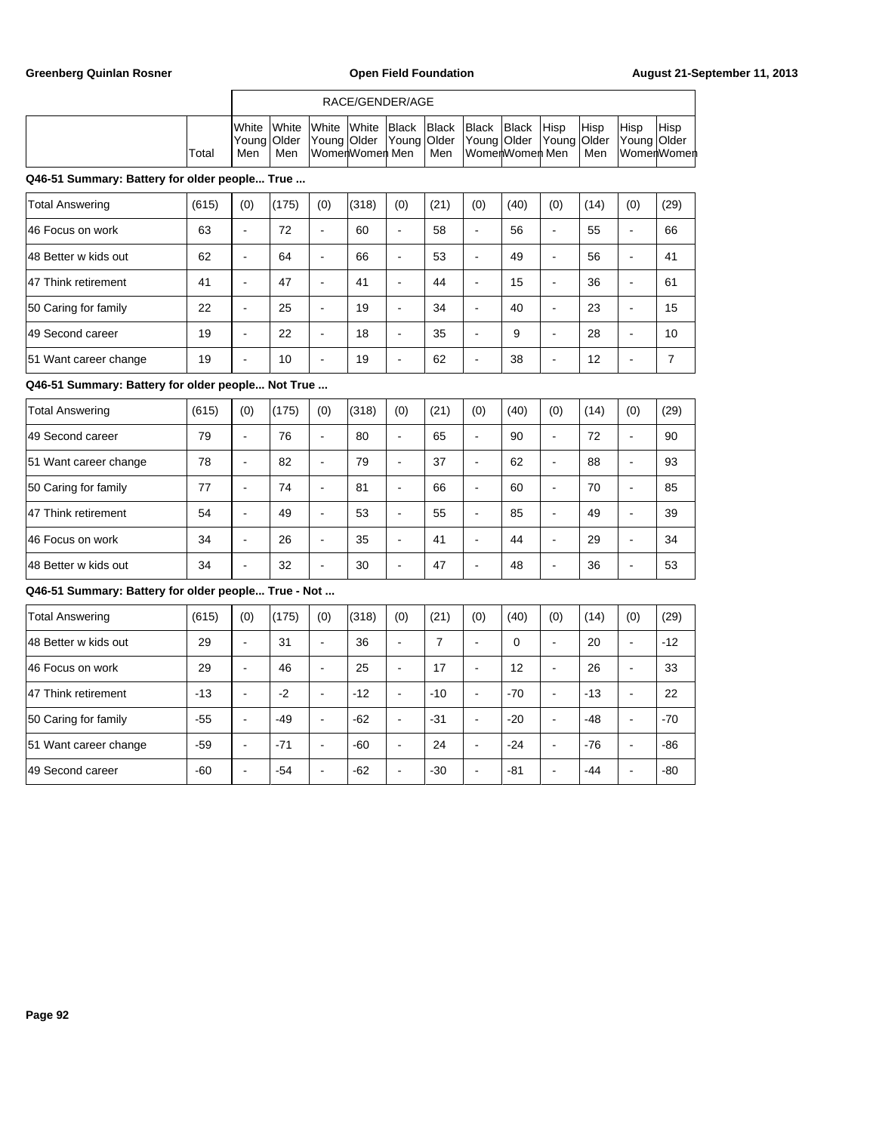|       |                                                                                                                                                      |     | RACE/GENDER/AGE |       |                   |  |                      |             |                       |
|-------|------------------------------------------------------------------------------------------------------------------------------------------------------|-----|-----------------|-------|-------------------|--|----------------------|-------------|-----------------------|
| Total | <b>IWhite White White White Black Black Black Black Hisp</b><br> Young Older  Young Older  Young Older  Young Older  Young Older  Young Older<br>Men | Men | WomenWomen Men  | l Men | lWomerlWomerl Men |  | <b>Hisp</b><br>l Men | <b>Hisp</b> | Hisp<br>∣WomerlWomerl |

| Total Answering       | (615) | (0)                      | (175) | (0) | (318) | (0) | (21) | (0)                      | (40) | (0) | (14) | (0) | (29) |
|-----------------------|-------|--------------------------|-------|-----|-------|-----|------|--------------------------|------|-----|------|-----|------|
| 46 Focus on work      | 63    | $\overline{\phantom{a}}$ | 72    | -   | 60    | ۰   | 58   | $\blacksquare$           | 56   | ۰   | 55   |     | 66   |
| 148 Better w kids out | 62    | -                        | 64    | -   | 66    | ۰   | 53   | $\blacksquare$           | 49   |     | 56   | -   | 41   |
| 47 Think retirement   | 41    | -                        | 47    | -   | 41    | -   | 44   | $\blacksquare$           | 15   |     | 36   | -   | 61   |
| 50 Caring for family  | 22    | $\overline{\phantom{a}}$ | 25    |     | 19    | -   | 34   | $\overline{\phantom{a}}$ | 40   |     | 23   | -   | 15   |
| 49 Second career      | 19    | -                        | 22    | -   | 18    | -   | 35   | -                        | 9    |     | 28   | -   | 10   |
| 51 Want career change | 19    | $\overline{\phantom{0}}$ | 10    | -   | 19    | -   | 62   | $\overline{\phantom{a}}$ | 38   |     | 12   | -   | 7    |

# **Q46-51 Summary: Battery for older people... Not True ...**

| Total Answering       | (615) | (0) | (175) | (0)                      | (318) | (0) | (21) | (0) | (40) | (0)                      | (14) | (0) | (29) |
|-----------------------|-------|-----|-------|--------------------------|-------|-----|------|-----|------|--------------------------|------|-----|------|
| 49 Second career      | 79    | -   | 76    | ۰                        | 80    | ۰   | 65   |     | 90   | ۰.                       | 72   | ۰   | 90   |
| 51 Want career change | 78    |     | 82    | $\overline{\phantom{0}}$ | 79    | ۰   | 37   |     | 62   | $\overline{\phantom{0}}$ | 88   | -   | 93   |
| 50 Caring for family  | 77    |     | 74    | -                        | 81    | -   | 66   |     | 60   | ۰.                       | 70   | -   | 85   |
| 47 Think retirement   | 54    | -   | 49    |                          | 53    | -   | 55   |     | 85   | -                        | 49   | -   | 39   |
| 46 Focus on work      | 34    | -   | 26    | -                        | 35    | -   | 41   |     | 44   | -                        | 29   | -   | 34   |
| 148 Better w kids out | 34    |     | 32    |                          | 30    | -   | 47   |     | 48   |                          | 36   | -   | 53   |

| Total Answering       | (615) | (0) | (175) | (0)                      | (318) | (0) | (21)  | (0)      | (40)  | (0)                      | (14)  | (0) | (29)  |
|-----------------------|-------|-----|-------|--------------------------|-------|-----|-------|----------|-------|--------------------------|-------|-----|-------|
| 148 Better w kids out | 29    | -   | 31    | $\overline{\phantom{a}}$ | 36    | ٠   | 7     |          | 0     | $\overline{\phantom{0}}$ | 20    | ۰   | $-12$ |
| 46 Focus on work      | 29    | -   | 46    | $\blacksquare$           | 25    | -   | 17    |          | 12    | ۰.                       | 26    | -   | 33    |
| 47 Think retirement   | $-13$ | -   | $-2$  | $\overline{\phantom{a}}$ | $-12$ | ۰   | $-10$ | -        | $-70$ | $\overline{\phantom{a}}$ | $-13$ | ۰   | 22    |
| 50 Caring for family  | $-55$ | -   | $-49$ | $\overline{\phantom{0}}$ | $-62$ | -   | $-31$ |          | $-20$ | -                        | $-48$ | ۰   | $-70$ |
| 51 Want career change | -59   | -   | $-71$ | $\overline{\phantom{a}}$ | $-60$ | -   | 24    |          | $-24$ | ۰.                       | $-76$ | ۰   | $-86$ |
| 149 Second career     | $-60$ |     | $-54$ | $\sim$                   | $-62$ | -   | $-30$ | <b>.</b> | $-81$ | ۰.                       | $-44$ | ۰.  | -80   |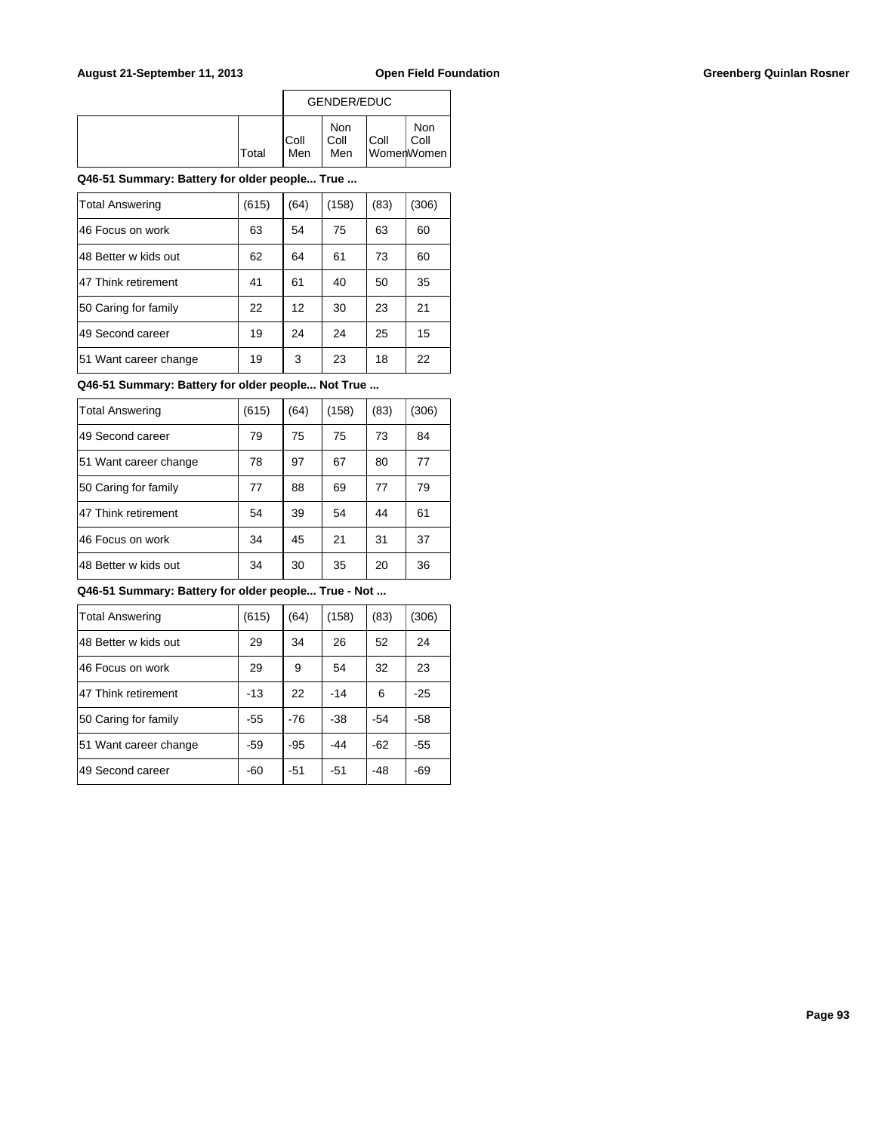|              |              | <b>GENDER/EDUC</b> |      |                           |
|--------------|--------------|--------------------|------|---------------------------|
| <b>Total</b> | IColl<br>Men | Non<br>Coll<br>Men | Coll | Non<br>Coll<br>WomenWomen |

| <b>Total Answering</b> | (615) | (64) | (158) | (83) | (306) |
|------------------------|-------|------|-------|------|-------|
| 46 Focus on work       | 63    | 54   | 75    | 63   | 60    |
| 48 Better w kids out   | 62    | 64   | 61    | 73   | 60    |
| 47 Think retirement    | 41    | 61   | 40    | 50   | 35    |
| 50 Caring for family   | 22    | 12   | 30    | 23   | 21    |
| 49 Second career       | 19    | 24   | 24    | 25   | 15    |
| 51 Want career change  | 19    | 3    | 23    | 18   | 22    |

**Q46-51 Summary: Battery for older people... Not True ...**

| <b>Total Answering</b> | (615) | (64) | (158) | (83) | (306) |
|------------------------|-------|------|-------|------|-------|
| 49 Second career       | 79    | 75   | 75    | 73   | 84    |
| 51 Want career change  | 78    | 97   | 67    | 80   | 77    |
| 50 Caring for family   | 77    | 88   | 69    | 77   | 79    |
| 47 Think retirement    | 54    | 39   | 54    | 44   | 61    |
| 46 Focus on work       | 34    | 45   | 21    | 31   | 37    |
| 48 Better w kids out   | 34    | 30   | 35    | 20   | 36    |

| <b>Total Answering</b> | (615) | (64)  | (158) | (83)  | (306) |
|------------------------|-------|-------|-------|-------|-------|
| 48 Better w kids out   | 29    | 34    | 26    | 52    | 24    |
| 46 Focus on work       | 29    | 9     | 54    | 32    | 23    |
| 47 Think retirement    | $-13$ | 22    | $-14$ | 6     | $-25$ |
| 50 Caring for family   | $-55$ | $-76$ | $-38$ | $-54$ | -58   |
| 51 Want career change  | -59   | $-95$ | -44   | -62   | $-55$ |
| 49 Second career       | -60   | $-51$ | $-51$ | -48   | -69   |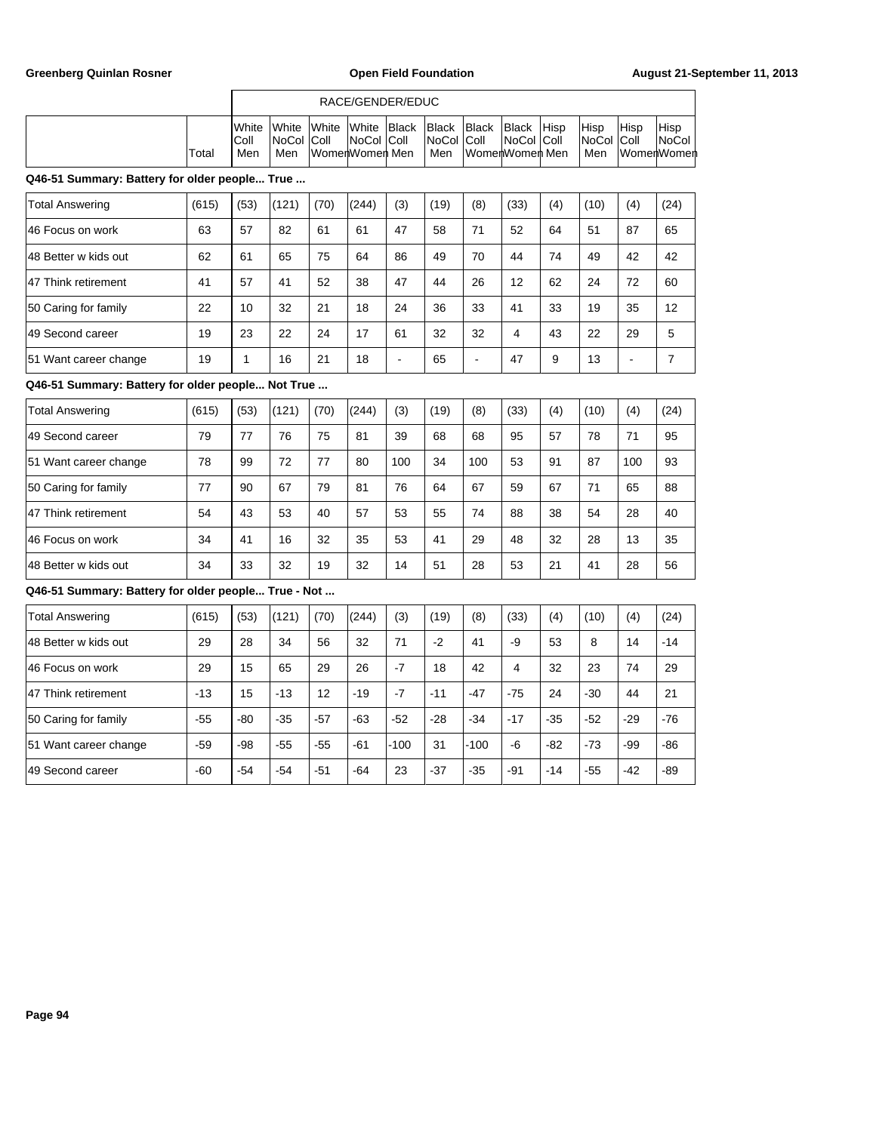|       |                                |                                      |                                     | RACE/GENDER/EDUC   |                                          |                                |                              |             |                                   |                     |                      |
|-------|--------------------------------|--------------------------------------|-------------------------------------|--------------------|------------------------------------------|--------------------------------|------------------------------|-------------|-----------------------------------|---------------------|----------------------|
| Total | <b>I</b> White<br>IColl<br>Men | <b>IWhite</b><br>INoCol IColl<br>Men | White White Black<br>WomenWomen Men | <b>INoCol Coll</b> | <b>Black</b><br><b>NoCol Coll</b><br>Men | <b>Black</b><br>WomenWomen Men | <b>Black</b><br>∣NoCol ∣Coll | <b>Hisp</b> | Hisp<br><b>INoCol Coll</b><br>Men | Hisp<br>lWomenWomen | Hisp<br><b>NoCol</b> |

| Total Answering       | (615) | (53) | (121) | (70) | (244) | (3) | (19) | (8)                      | (33) | (4) | (10) | (4) | (24) |
|-----------------------|-------|------|-------|------|-------|-----|------|--------------------------|------|-----|------|-----|------|
| 146 Focus on work     | 63    | 57   | 82    | 61   | 61    | 47  | 58   | 71                       | 52   | 64  | 51   | 87  | 65   |
| 148 Better w kids out | 62    | 61   | 65    | 75   | 64    | 86  | 49   | 70                       | 44   | 74  | 49   | 42  | 42   |
| 47 Think retirement   | 41    | 57   | 41    | 52   | 38    | 47  | 44   | 26                       | 12   | 62  | 24   | 72  | 60   |
| 50 Caring for family  | 22    | 10   | 32    | 21   | 18    | 24  | 36   | 33                       | 41   | 33  | 19   | 35  | 12   |
| 149 Second career     | 19    | 23   | 22    | 24   | 17    | 61  | 32   | 32                       | 4    | 43  | 22   | 29  | 5    |
| 51 Want career change | 19    |      | 16    | 21   | 18    | -   | 65   | $\overline{\phantom{0}}$ | 47   | 9   | 13   | -   |      |

# **Q46-51 Summary: Battery for older people... Not True ...**

| Total Answering       | (615) | (53) | (121) | (70) | (244) | (3) | (19) | (8) | (33) | (4) | (10) | (4) | (24) |
|-----------------------|-------|------|-------|------|-------|-----|------|-----|------|-----|------|-----|------|
| 49 Second career      | 79    | 77   | 76    | 75   | 81    | 39  | 68   | 68  | 95   | 57  | 78   | 71  | 95   |
| 51 Want career change | 78    | 99   | 72    | 77   | 80    | 100 | 34   | 100 | 53   | 91  | 87   | 100 | 93   |
| 50 Caring for family  | 77    | 90   | 67    | 79   | 81    | 76  | 64   | 67  | 59   | 67  | 71   | 65  | 88   |
| 47 Think retirement   | 54    | 43   | 53    | 40   | 57    | 53  | 55   | 74  | 88   | 38  | 54   | 28  | 40   |
| 46 Focus on work      | 34    | 41   | 16    | 32   | 35    | 53  | 41   | 29  | 48   | 32  | 28   | 13  | 35   |
| 148 Better w kids out | 34    | 33   | 32    | 19   | 32    | 14  | 51   | 28  | 53   | 21  | 41   | 28  | 56   |

| <b>Total Answering</b> | (615) | (53)  | (121) | (70)  | (244) | (3)    | (19)  | (8)    | (33)  | (4)   | (10)  | (4)   | (24)  |
|------------------------|-------|-------|-------|-------|-------|--------|-------|--------|-------|-------|-------|-------|-------|
| 148 Better w kids out  | 29    | 28    | 34    | 56    | 32    | 71     | $-2$  | 41     | $-9$  | 53    | 8     | 14    | $-14$ |
| 146 Focus on work      | 29    | 15    | 65    | 29    | 26    | $-7$   | 18    | 42     | 4     | 32    | 23    | 74    | 29    |
| 47 Think retirement    | $-13$ | 15    | $-13$ | 12    | $-19$ | $-7$   | $-11$ | $-47$  | $-75$ | 24    | $-30$ | 44    | 21    |
| 50 Caring for family   | $-55$ | $-80$ | $-35$ | $-57$ | $-63$ | $-52$  | $-28$ | $-34$  | $-17$ | $-35$ | $-52$ | $-29$ | $-76$ |
| 51 Want career change  | $-59$ | $-98$ | -55   | $-55$ | $-61$ | $-100$ | 31    | $-100$ | $-6$  | $-82$ | $-73$ | $-99$ | $-86$ |
| 49 Second career       | -60   | -54   | $-54$ | $-51$ | $-64$ | 23     | $-37$ | $-35$  | $-91$ | $-14$ | $-55$ | $-42$ | -89   |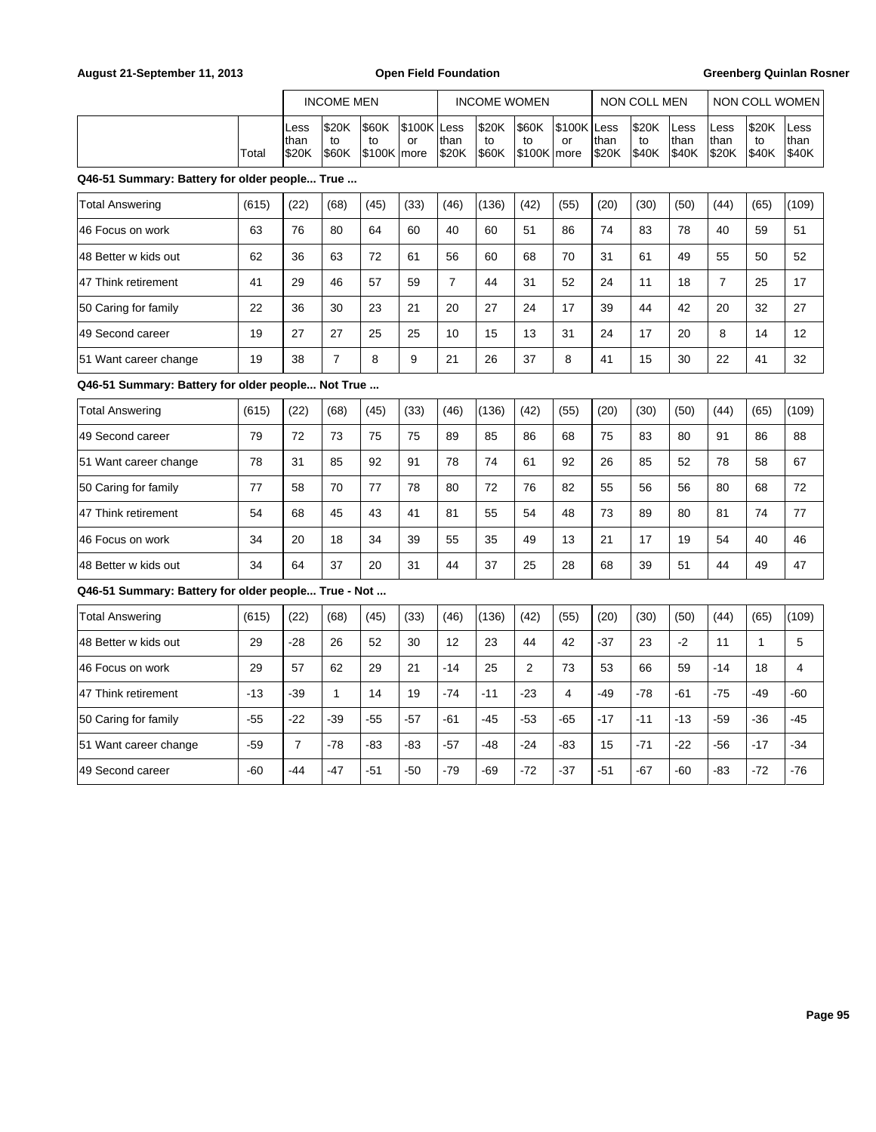|                                                     | <b>INCOME MEN</b> |                       |                      |                             | <b>INCOME WOMEN</b> |                |                             |                             | NON COLL MEN      |               |                      | <b>NON COLL WOMEN</b> |                       |                      |                       |
|-----------------------------------------------------|-------------------|-----------------------|----------------------|-----------------------------|---------------------|----------------|-----------------------------|-----------------------------|-------------------|---------------|----------------------|-----------------------|-----------------------|----------------------|-----------------------|
|                                                     | Total             | Less<br>than<br>\$20K | \$20K<br>to<br>\$60K | \$60K<br>to<br>$$100K$ more | \$100K Less<br>or   | than<br>\$20K  | \$20K<br>to<br><b>\$60K</b> | \$60K<br>to<br>$$100K$ more | \$100K Less<br>or | than<br>\$20K | \$20K<br>to<br>\$40K | Less<br>than<br>\$40K | Less<br>than<br>\$20K | \$20K<br>to<br>\$40K | Less<br>than<br>\$40K |
| Q46-51 Summary: Battery for older people True       |                   |                       |                      |                             |                     |                |                             |                             |                   |               |                      |                       |                       |                      |                       |
| <b>Total Answering</b>                              | (615)             | (22)                  | (68)                 | (45)                        | (33)                | (46)           | (136)                       | (42)                        | (55)              | (20)          | (30)                 | (50)                  | (44)                  | (65)                 | (109)                 |
| 46 Focus on work                                    | 63                | 76                    | 80                   | 64                          | 60                  | 40             | 60                          | 51                          | 86                | 74            | 83                   | 78                    | 40                    | 59                   | 51                    |
| 48 Better w kids out                                | 62                | 36                    | 63                   | 72                          | 61                  | 56             | 60                          | 68                          | 70                | 31            | 61                   | 49                    | 55                    | 50                   | 52                    |
| 47 Think retirement                                 | 41                | 29                    | 46                   | 57                          | 59                  | $\overline{7}$ | 44                          | 31                          | 52                | 24            | 11                   | 18                    | $\overline{7}$        | 25                   | 17                    |
| 50 Caring for family                                | 22                | 36                    | 30                   | 23                          | 21                  | 20             | 27                          | 24                          | 17                | 39            | 44                   | 42                    | 20                    | 32                   | 27                    |
| 49 Second career                                    | 19                | 27                    | 27                   | 25                          | 25                  | 10             | 15                          | 13                          | 31                | 24            | 17                   | 20                    | 8                     | 14                   | 12                    |
| 51 Want career change                               | 19                | 38                    | $\overline{7}$       | 8                           | 9                   | 21             | 26                          | 37                          | 8                 | 41            | 15                   | 30                    | 22                    | 41                   | 32                    |
| Q46-51 Summary: Battery for older people Not True   |                   |                       |                      |                             |                     |                |                             |                             |                   |               |                      |                       |                       |                      |                       |
| <b>Total Answering</b>                              | (615)             | (22)                  | (68)                 | (45)                        | (33)                | (46)           | (136)                       | (42)                        | (55)              | (20)          | (30)                 | (50)                  | (44)                  | (65)                 | (109)                 |
| 49 Second career                                    | 79                | 72                    | 73                   | 75                          | 75                  | 89             | 85                          | 86                          | 68                | 75            | 83                   | 80                    | 91                    | 86                   | 88                    |
| 51 Want career change                               | 78                | 31                    | 85                   | 92                          | 91                  | 78             | 74                          | 61                          | 92                | 26            | 85                   | 52                    | 78                    | 58                   | 67                    |
| 50 Caring for family                                | 77                | 58                    | 70                   | 77                          | 78                  | 80             | 72                          | 76                          | 82                | 55            | 56                   | 56                    | 80                    | 68                   | 72                    |
| 47 Think retirement                                 | 54                | 68                    | 45                   | 43                          | 41                  | 81             | 55                          | 54                          | 48                | 73            | 89                   | 80                    | 81                    | 74                   | 77                    |
| 46 Focus on work                                    | 34                | 20                    | 18                   | 34                          | 39                  | 55             | 35                          | 49                          | 13                | 21            | 17                   | 19                    | 54                    | 40                   | 46                    |
| 48 Better w kids out                                | 34                | 64                    | 37                   | 20                          | 31                  | 44             | 37                          | 25                          | 28                | 68            | 39                   | 51                    | 44                    | 49                   | 47                    |
| Q46-51 Summary: Battery for older people True - Not |                   |                       |                      |                             |                     |                |                             |                             |                   |               |                      |                       |                       |                      |                       |
| <b>Total Answering</b>                              | (615)             | (22)                  | (68)                 | (45)                        | (33)                | (46)           | (136)                       | (42)                        | (55)              | (20)          | (30)                 | (50)                  | (44)                  | (65)                 | (109)                 |
| 48 Better w kids out                                | 29                | $-28$                 | 26                   | 52                          | 30                  | 12             | 23                          | 44                          | 42                | $-37$         | 23                   | $-2$                  | 11                    | $\mathbf{1}$         | 5                     |
| 46 Focus on work                                    | 29                | 57                    | 62                   | 29                          | 21                  | $-14$          | 25                          | 2                           | 73                | 53            | 66                   | 59                    | $-14$                 | 18                   | $\overline{4}$        |
| 47 Think retirement                                 | $-13$             | -39                   | $\mathbf{1}$         | 14                          | 19                  | $-74$          | $-11$                       | $-23$                       | 4                 | $-49$         | $-78$                | -61                   | $-75$                 | $-49$                | -60                   |
| 50 Caring for family                                | $-55$             | $-22$                 | $-39$                | -55                         | $-57$               | -61            | $-45$                       | $-53$                       | $-65$             | $-17$         | $-11$                | $-13$                 | $-59$                 | $-36$                | $-45$                 |
| 51 Want career change                               | $-59$             | $\overline{7}$        | $-78$                | -83                         | -83                 | $-57$          | $-48$                       | -24                         | -83               | 15            | $-71$                | $-22$                 | -56                   | $-17$                | -34                   |
| 49 Second career                                    | $-60$             | $-44$                 | -47                  | $-51$                       | $-50$               | $-79$          | -69                         | $-72$                       | $-37$             | $-51$         | $-67$                | -60                   | -83                   | $-72$                | $-76$                 |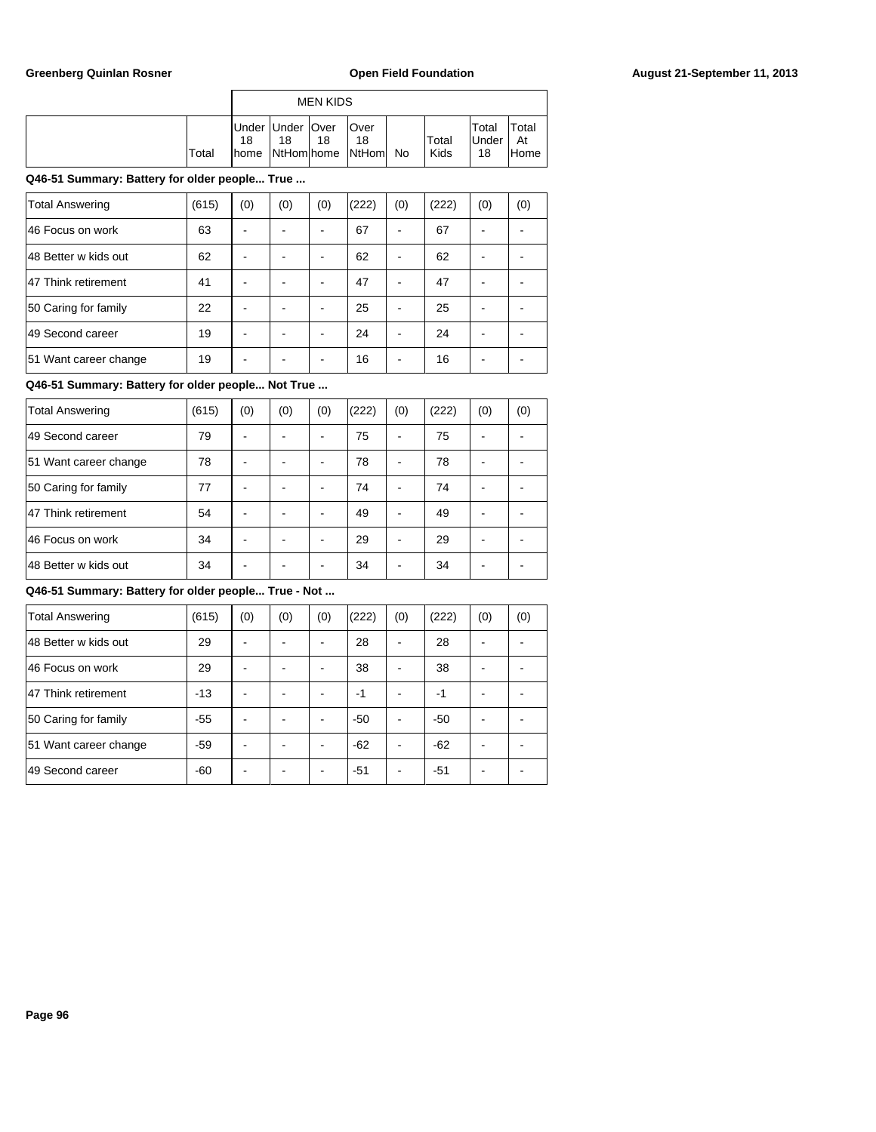|       | <b>MEN KIDS</b>     |                                               |    |                             |    |               |                             |                            |  |  |
|-------|---------------------|-----------------------------------------------|----|-----------------------------|----|---------------|-----------------------------|----------------------------|--|--|
| Total | 18<br><b>I</b> home | Under Under   Over<br>18<br><b>NtHom home</b> | 18 | lOver<br>18<br><b>NtHom</b> | No | Total<br>Kids | Total<br><b>Under</b><br>18 | Total<br>At<br><b>Home</b> |  |  |

| <b>Total Answering</b> | (615) | (0) | (0) | (0) | (222) | (0) | (222) | (0) | (0) |
|------------------------|-------|-----|-----|-----|-------|-----|-------|-----|-----|
| 46 Focus on work       | 63    |     |     |     | 67    |     | 67    |     |     |
| 48 Better w kids out   | 62    |     |     |     | 62    |     | 62    |     |     |
| 47 Think retirement    | 41    |     |     |     | 47    |     | 47    |     |     |
| 50 Caring for family   | 22    |     |     |     | 25    |     | 25    |     |     |
| 49 Second career       | 19    |     |     |     | 24    |     | 24    |     |     |
| 51 Want career change  | 19    |     |     |     | 16    |     | 16    |     |     |

# **Q46-51 Summary: Battery for older people... Not True ...**

| <b>Total Answering</b> | (615) | (0) | (0) | (0) | (222) | (0) | (222) | (0) | (0) |
|------------------------|-------|-----|-----|-----|-------|-----|-------|-----|-----|
| 49 Second career       | 79    |     |     |     | 75    |     | 75    |     |     |
| 51 Want career change  | 78    |     |     |     | 78    |     | 78    |     |     |
| 50 Caring for family   | 77    |     |     |     | 74    |     | 74    |     |     |
| 47 Think retirement    | 54    |     |     |     | 49    |     | 49    |     |     |
| 46 Focus on work       | 34    |     |     |     | 29    |     | 29    |     |     |
| 148 Better w kids out  | 34    |     |     |     | 34    |     | 34    |     |     |

| <b>Total Answering</b> | (615) | (0) | (0) | (0) | (222) | (0) | (222) | (0) | (0) |
|------------------------|-------|-----|-----|-----|-------|-----|-------|-----|-----|
| 148 Better w kids out  | 29    |     |     |     | 28    |     | 28    |     |     |
| 46 Focus on work       | 29    |     |     |     | 38    |     | 38    |     |     |
| 47 Think retirement    | $-13$ |     |     |     | -1    |     | $-1$  |     |     |
| 50 Caring for family   | $-55$ |     |     |     | $-50$ |     | $-50$ |     |     |
| 51 Want career change  | $-59$ |     |     |     | $-62$ |     | $-62$ |     |     |
| 49 Second career       | -60   |     |     |     | $-51$ |     | -51   |     |     |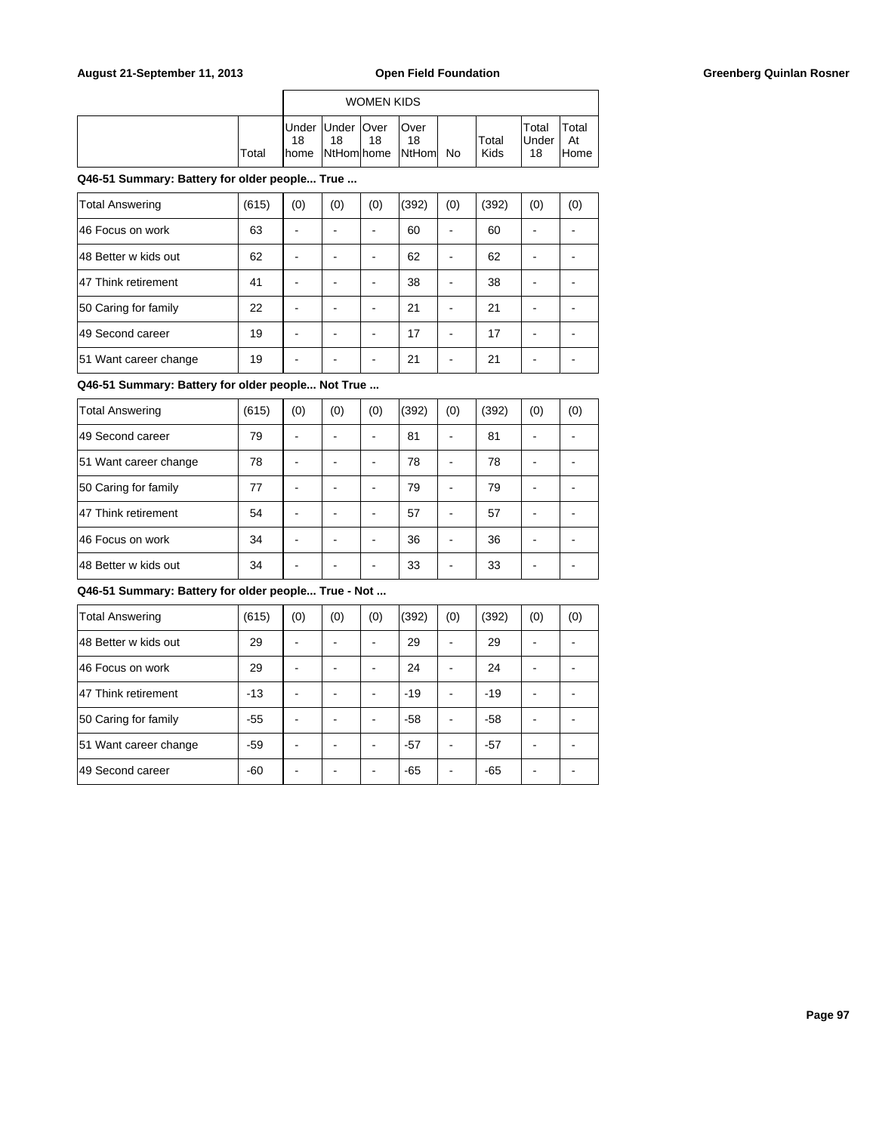|       | <b>WOMEN KIDS</b>        |    |    |                                         |  |               |                             |                      |  |  |  |  |
|-------|--------------------------|----|----|-----------------------------------------|--|---------------|-----------------------------|----------------------|--|--|--|--|
| Total | Under Under   Over<br>18 | 18 | 18 | lOver<br>18<br>home NtHom home NtHom No |  | Total<br>Kids | Total<br><b>Under</b><br>18 | Total<br>At<br>lHome |  |  |  |  |

| <b>Total Answering</b> | (615) | (0) | (0) | (0) | (392) | (0) | (392) | (0) | (0) |
|------------------------|-------|-----|-----|-----|-------|-----|-------|-----|-----|
| 46 Focus on work       | 63    |     |     | -   | 60    |     | 60    |     |     |
| 148 Better w kids out  | 62    |     |     | -   | 62    |     | 62    |     |     |
| 47 Think retirement    | 41    |     |     | -   | 38    |     | 38    |     |     |
| 50 Caring for family   | 22    |     |     | ۰   | 21    |     | 21    |     |     |
| 49 Second career       | 19    |     |     |     | 17    |     | 17    |     |     |
| 51 Want career change  | 19    |     |     | ۰   | 21    |     | 21    |     |     |

**Q46-51 Summary: Battery for older people... Not True ...**

| <b>Total Answering</b> | (615) | (0) | (0) | (0) | (392) | (0) | (392) | (0) | (0) |
|------------------------|-------|-----|-----|-----|-------|-----|-------|-----|-----|
| 49 Second career       | 79    |     |     |     | 81    |     | 81    |     |     |
| 51 Want career change  | 78    |     |     |     | 78    |     | 78    |     |     |
| 50 Caring for family   | 77    |     |     |     | 79    |     | 79    |     |     |
| 47 Think retirement    | 54    |     |     |     | 57    |     | 57    |     |     |
| 46 Focus on work       | 34    |     |     |     | 36    |     | 36    |     |     |
| 48 Better w kids out   | 34    |     |     |     | 33    |     | 33    |     |     |

| <b>Total Answering</b> | (615) | (0) | (0) | (0) | (392) | (0) | (392) | (0) | (0) |
|------------------------|-------|-----|-----|-----|-------|-----|-------|-----|-----|
| 148 Better w kids out  | 29    |     |     |     | 29    |     | 29    |     |     |
| 46 Focus on work       | 29    |     |     |     | 24    |     | 24    |     |     |
| 47 Think retirement    | $-13$ |     |     |     | $-19$ |     | $-19$ |     |     |
| 50 Caring for family   | $-55$ |     |     |     | $-58$ |     | $-58$ |     |     |
| 51 Want career change  | $-59$ |     |     |     | $-57$ |     | $-57$ |     |     |
| 49 Second career       | $-60$ |     |     |     | $-65$ |     | $-65$ |     |     |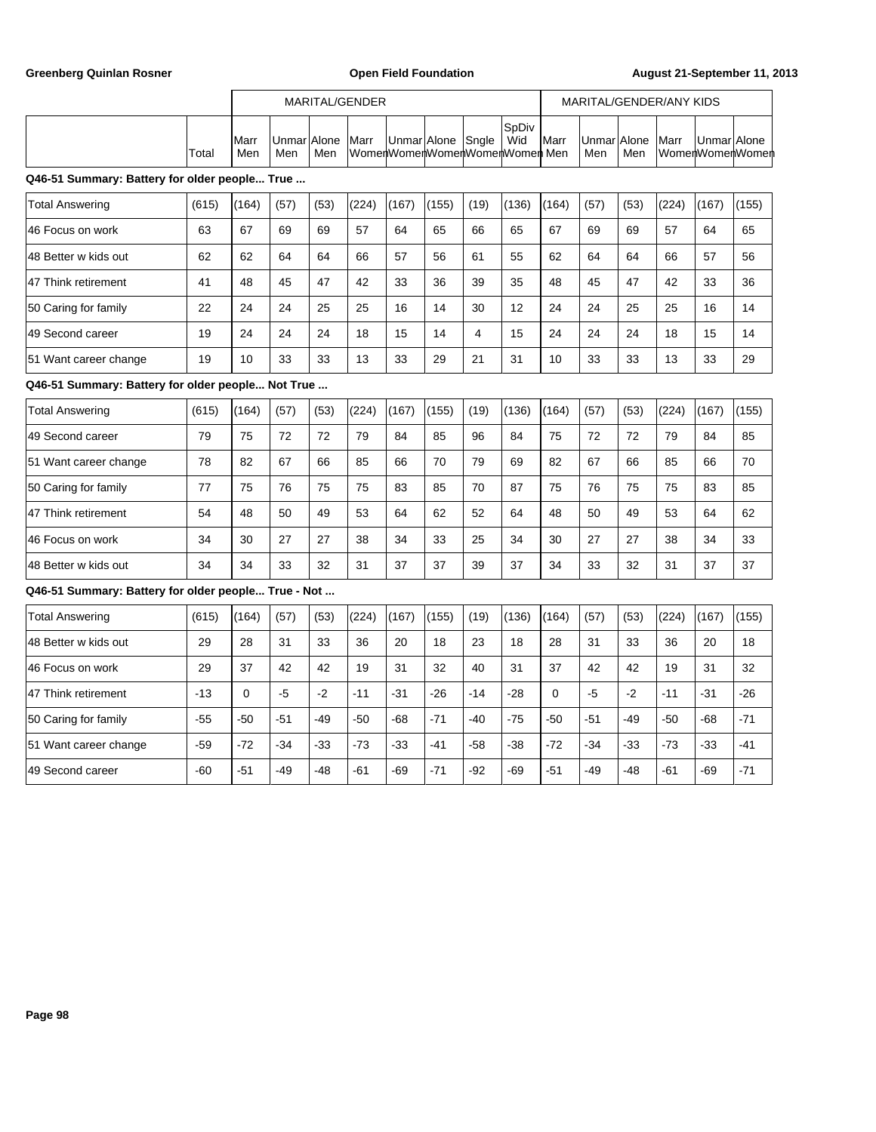Greenberg Quinlan Rosner **Communist Communist Communist Communist Communist Communist Communist Communist Communist Communist Communist Communist Communist Communist Communist Communist Communist Communist Communist Commun** 

|                                                     |       |             |                    |       | MARITAL/GENDER |                               |                   |       |              | MARITAL/GENDER/ANY KIDS |                    |       |       |                                |       |
|-----------------------------------------------------|-------|-------------|--------------------|-------|----------------|-------------------------------|-------------------|-------|--------------|-------------------------|--------------------|-------|-------|--------------------------------|-------|
|                                                     | Total | Marr<br>Men | UnmarlAlone<br>Men | Men   | Marr           | WomenWomenWomenWomenWomen Men | Unmar Alone Sngle |       | SpDiv<br>Wid | Marr                    | UnmarlAlone<br>Men | Men   | Marr  | Unmar Alone<br>WomenWomenWomen |       |
| Q46-51 Summary: Battery for older people True       |       |             |                    |       |                |                               |                   |       |              |                         |                    |       |       |                                |       |
| Total Answering                                     | (615) | (164)       | (57)               | (53)  | (224)          | (167)                         | (155)             | (19)  | (136)        | (164)                   | (57)               | (53)  | (224) | (167)                          | (155) |
| 46 Focus on work                                    | 63    | 67          | 69                 | 69    | 57             | 64                            | 65                | 66    | 65           | 67                      | 69                 | 69    | 57    | 64                             | 65    |
| 48 Better w kids out                                | 62    | 62          | 64                 | 64    | 66             | 57                            | 56                | 61    | 55           | 62                      | 64                 | 64    | 66    | 57                             | 56    |
| 47 Think retirement                                 | 41    | 48          | 45                 | 47    | 42             | 33                            | 36                | 39    | 35           | 48                      | 45                 | 47    | 42    | 33                             | 36    |
| 50 Caring for family                                | 22    | 24          | 24                 | 25    | 25             | 16                            | 14                | 30    | 12           | 24                      | 24                 | 25    | 25    | 16                             | 14    |
| 49 Second career                                    | 19    | 24          | 24                 | 24    | 18             | 15                            | 14                | 4     | 15           | 24                      | 24                 | 24    | 18    | 15                             | 14    |
| 51 Want career change                               | 19    | 10          | 33                 | 33    | 13             | 33                            | 29                | 21    | 31           | 10                      | 33                 | 33    | 13    | 33                             | 29    |
| Q46-51 Summary: Battery for older people Not True   |       |             |                    |       |                |                               |                   |       |              |                         |                    |       |       |                                |       |
| <b>Total Answering</b>                              | (615) | (164)       | (57)               | (53)  | (224)          | (167)                         | (155)             | (19)  | (136)        | (164)                   | (57)               | (53)  | (224) | (167)                          | (155) |
| 49 Second career                                    | 79    | 75          | 72                 | 72    | 79             | 84                            | 85                | 96    | 84           | 75                      | 72                 | 72    | 79    | 84                             | 85    |
| 51 Want career change                               | 78    | 82          | 67                 | 66    | 85             | 66                            | 70                | 79    | 69           | 82                      | 67                 | 66    | 85    | 66                             | 70    |
| 50 Caring for family                                | 77    | 75          | 76                 | 75    | 75             | 83                            | 85                | 70    | 87           | 75                      | 76                 | 75    | 75    | 83                             | 85    |
| 47 Think retirement                                 | 54    | 48          | 50                 | 49    | 53             | 64                            | 62                | 52    | 64           | 48                      | 50                 | 49    | 53    | 64                             | 62    |
| 46 Focus on work                                    | 34    | 30          | 27                 | 27    | 38             | 34                            | 33                | 25    | 34           | 30                      | 27                 | 27    | 38    | 34                             | 33    |
| 48 Better w kids out                                | 34    | 34          | 33                 | 32    | 31             | 37                            | 37                | 39    | 37           | 34                      | 33                 | 32    | 31    | 37                             | 37    |
| Q46-51 Summary: Battery for older people True - Not |       |             |                    |       |                |                               |                   |       |              |                         |                    |       |       |                                |       |
| <b>Total Answering</b>                              | (615) | (164)       | (57)               | (53)  | (224)          | (167)                         | (155)             | (19)  | (136)        | (164)                   | (57)               | (53)  | (224) | (167)                          | (155) |
| 48 Better w kids out                                | 29    | 28          | 31                 | 33    | 36             | 20                            | 18                | 23    | 18           | 28                      | 31                 | 33    | 36    | 20                             | 18    |
| 46 Focus on work                                    | 29    | 37          | 42                 | 42    | 19             | 31                            | 32                | 40    | 31           | 37                      | 42                 | 42    | 19    | 31                             | 32    |
| 47 Think retirement                                 | $-13$ | $\mathbf 0$ | $-5$               | $-2$  | $-11$          | $-31$                         | $-26$             | $-14$ | $-28$        | 0                       | $-5$               | $-2$  | $-11$ | $-31$                          | $-26$ |
| 50 Caring for family                                | $-55$ | $-50$       | $-51$              | $-49$ | $-50$          | -68                           | $-71$             | $-40$ | $-75$        | $-50$                   | $-51$              | -49   | $-50$ | $-68$                          | $-71$ |
| 51 Want career change                               | $-59$ | $-72$       | -34                | $-33$ | $-73$          | $-33$                         | $-41$             | $-58$ | $-38$        | $-72$                   | $-34$              | $-33$ | $-73$ | $-33$                          | -41   |
| 49 Second career                                    | -60   | $-51$       | -49                | $-48$ | $-61$          | -69                           | $-71$             | -92   | -69          | $-51$                   | -49                | -48   | -61   | -69                            | $-71$ |
|                                                     |       |             |                    |       |                |                               |                   |       |              |                         |                    |       |       |                                |       |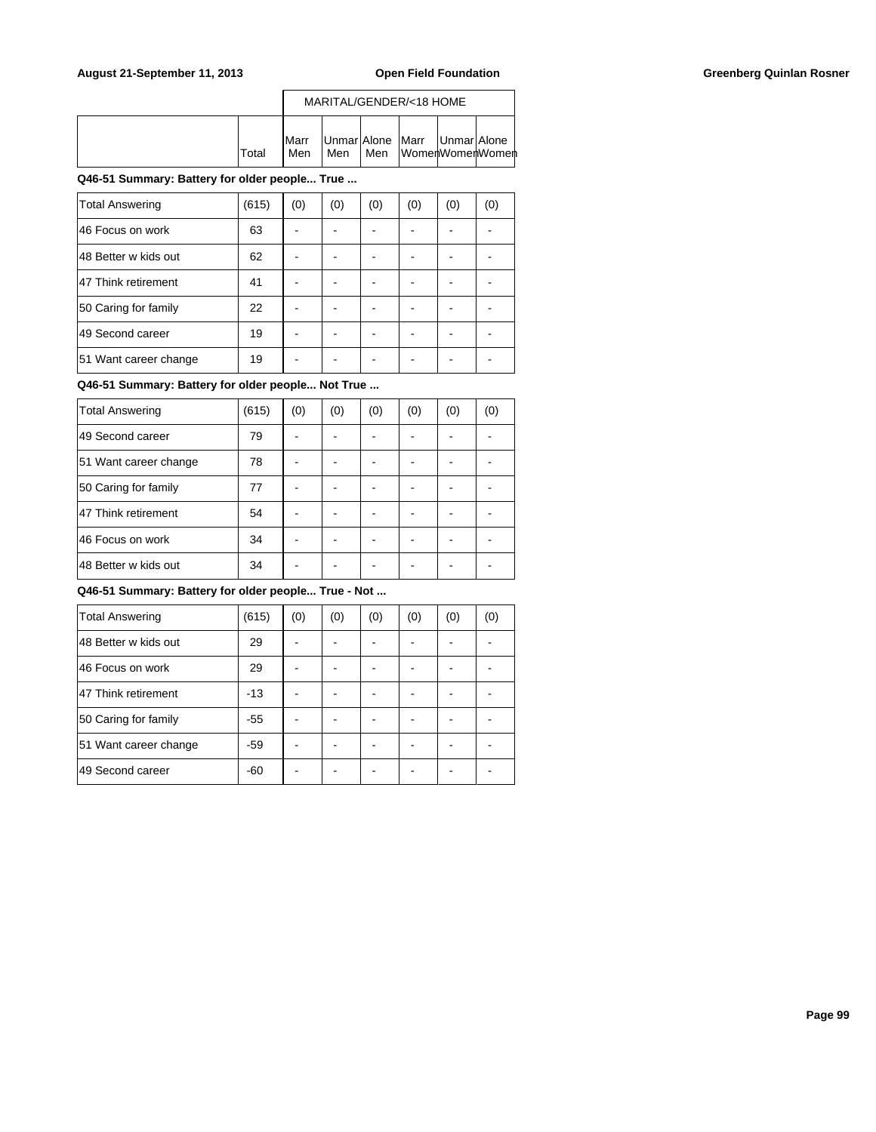|        |                      | MARITAL/GENDER/<18 HOME               |       |  |  |                 |  |  |
|--------|----------------------|---------------------------------------|-------|--|--|-----------------|--|--|
| lTotal | <b>I</b> Marr<br>Men | Unmar Alone  Marr  Unmar Alone<br>Men | l Men |  |  | WomenWomenWomen |  |  |

| <b>Total Answering</b> | (615) | (0) | (0) | (0) | (0) | (0) | (0) |
|------------------------|-------|-----|-----|-----|-----|-----|-----|
| 46 Focus on work       | 63    |     |     |     |     |     |     |
| 48 Better w kids out   | 62    |     |     |     |     |     |     |
| 47 Think retirement    | 41    |     |     |     |     |     |     |
| 50 Caring for family   | 22    |     |     |     |     |     |     |
| 49 Second career       | 19    |     |     |     |     |     |     |
| 51 Want career change  | 19    |     |     |     |     |     |     |
|                        |       |     |     |     |     |     |     |

# **Q46-51 Summary: Battery for older people... Not True ...**

| Total Answering       | (615) | (0) | (0) | (0) | (0) | (0) | (0) |
|-----------------------|-------|-----|-----|-----|-----|-----|-----|
| 49 Second career      | 79    |     |     |     |     |     |     |
| 51 Want career change | 78    |     |     |     |     |     |     |
| 50 Caring for family  | 77    |     |     |     |     |     |     |
| 47 Think retirement   | 54    |     |     |     |     |     |     |
| 46 Focus on work      | 34    |     |     |     |     |     |     |
| 48 Better w kids out  | 34    |     |     |     |     |     |     |

| <b>Total Answering</b> | (615) | (0) | (0) | (0) | (0) | (0) | (0) |
|------------------------|-------|-----|-----|-----|-----|-----|-----|
| 48 Better w kids out   | 29    |     |     |     |     |     |     |
| 46 Focus on work       | 29    |     |     |     |     |     |     |
| 47 Think retirement    | -13   |     |     |     |     |     |     |
| 50 Caring for family   | $-55$ |     |     |     |     |     |     |
| 51 Want career change  | -59   |     |     |     |     |     |     |
| 49 Second career       | -60   |     |     |     |     |     |     |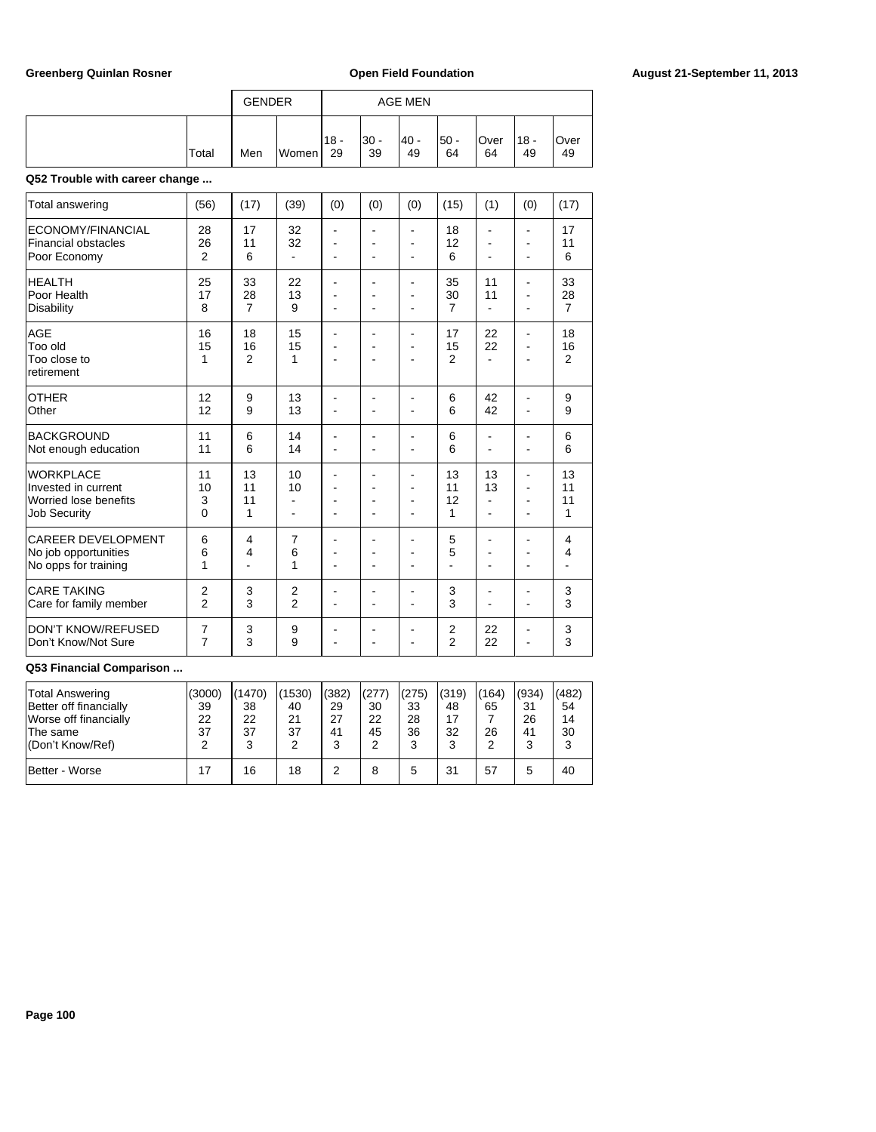|                                                                                         |                                  | <b>GENDER</b>              |                                      |                                        |                          | <b>AGE MEN</b>            |                                  |                                                    |                                       |                            |
|-----------------------------------------------------------------------------------------|----------------------------------|----------------------------|--------------------------------------|----------------------------------------|--------------------------|---------------------------|----------------------------------|----------------------------------------------------|---------------------------------------|----------------------------|
|                                                                                         | Total                            | Men                        | Women                                | $18 -$<br>29                           | $30 -$<br>39             | $40 -$<br>49              | $50 -$<br>64                     | Over<br>64                                         | $18 -$<br>49                          | Over<br>49                 |
| Q52 Trouble with career change                                                          |                                  |                            |                                      |                                        |                          |                           |                                  |                                                    |                                       |                            |
| Total answering                                                                         | (56)                             | (17)                       | (39)                                 | (0)                                    | (0)                      | (0)                       | (15)                             | (1)                                                | (0)                                   | (17)                       |
| ECONOMY/FINANCIAL<br><b>Financial obstacles</b><br>Poor Economy                         | 28<br>26<br>2                    | 17<br>11<br>6              | 32<br>32<br>$\overline{a}$           | ä,<br>$\overline{a}$                   | $\overline{a}$           | ٠<br>÷<br>÷               | 18<br>12<br>6                    | $\overline{\phantom{a}}$<br>÷<br>$\blacksquare$    | ٠<br>۰<br>$\blacksquare$              | 17<br>11<br>6              |
| <b>HEALTH</b><br>Poor Health<br><b>Disability</b>                                       | 25<br>17<br>8                    | 33<br>28<br>$\overline{7}$ | 22<br>13<br>9                        | $\overline{a}$<br>ä,<br>$\blacksquare$ | ۰<br>٠<br>$\blacksquare$ | $\blacksquare$<br>÷<br>L, | 35<br>30<br>7                    | 11<br>11<br>$\overline{\phantom{a}}$               | ۰<br>$\blacksquare$<br>$\blacksquare$ | 33<br>28<br>7              |
| AGE<br>Too old<br>Too close to<br>retirement                                            | 16<br>15<br>1                    | 18<br>16<br>$\overline{2}$ | 15<br>15<br>1                        | ä,<br>ä,<br>۰                          | ٠                        | ÷,<br>L,<br>۰             | 17<br>15<br>$\overline{2}$       | 22<br>22<br>$\overline{\phantom{a}}$               | ÷,<br>ä,<br>۰                         | 18<br>16<br>$\overline{2}$ |
| <b>OTHER</b><br>Other                                                                   | 12<br>12                         | 9<br>9                     | 13<br>13                             | ÷<br>ä,                                | ۰                        | ٠<br>$\overline{a}$       | 6<br>6                           | 42<br>42                                           | $\blacksquare$<br>÷,                  | 9<br>9                     |
| <b>BACKGROUND</b><br>Not enough education                                               | 11<br>11                         | 6<br>6                     | 14<br>14                             | ۰<br>٠                                 | ä,                       | ٠<br>$\overline{a}$       | 6<br>6                           | $\blacksquare$<br>$\blacksquare$                   | -<br>÷,                               | 6<br>6                     |
| <b>WORKPLACE</b><br>Invested in current<br>Worried lose benefits<br><b>Job Security</b> | 11<br>10<br>3<br>$\Omega$        | 13<br>11<br>11<br>1        | 10<br>10<br>$\blacksquare$<br>$\sim$ | ÷<br>÷                                 | ۰<br>٠                   | ۰<br>÷<br>-<br>۰          | 13<br>11<br>12<br>1              | 13<br>13<br>$\blacksquare$<br>÷                    | ۰<br>٠<br>$\overline{a}$<br>۰         | 13<br>11<br>11<br>1        |
| <b>CAREER DEVELOPMENT</b><br>No job opportunities<br>No opps for training               | 6<br>6<br>1                      | 4<br>4<br>$\overline{a}$   | $\overline{7}$<br>6<br>1             | ۰<br>L,                                |                          | $\overline{a}$<br>۰<br>L, | 5<br>5<br>$\overline{a}$         | $\blacksquare$<br>$\overline{a}$<br>$\blacksquare$ | $\blacksquare$<br>۰<br>ä,             | 4<br>4                     |
| <b>CARE TAKING</b><br>Care for family member                                            | $\overline{2}$<br>$\overline{2}$ | 3<br>3                     | $\overline{2}$<br>$\overline{2}$     | $\blacksquare$                         | L,                       | ۰<br>L,                   | 3<br>3                           | ۰<br>$\blacksquare$                                | ۰<br>÷,                               | 3<br>3                     |
| <b>DON'T KNOW/REFUSED</b><br>Don't Know/Not Sure                                        | $\overline{7}$<br>7              | 3<br>3                     | 9<br>9                               | ÷<br>ä,                                | ۳                        | ۰<br>ä,                   | $\overline{2}$<br>$\overline{2}$ | 22<br>22                                           | ۰<br>$\blacksquare$                   | 3<br>3                     |

| <b>Total Answering</b><br>Better off financially<br>Worse off financially<br>The same<br>l(Don't Know/Ref) | (3000)<br>39<br>22<br>37 | (1470)<br>38<br>22<br>37<br>3 | (1530)<br>40<br>21<br>37 | (382)<br>29<br>27<br>41 | (277)<br>30<br>22<br>45 | (275)<br>33<br>28<br>36 | (319)<br>48<br>17<br>32<br>3 | (164)<br>65<br>26 | (934)<br>31<br>26<br>41<br>3 | (482)<br>54<br>14<br>30 |
|------------------------------------------------------------------------------------------------------------|--------------------------|-------------------------------|--------------------------|-------------------------|-------------------------|-------------------------|------------------------------|-------------------|------------------------------|-------------------------|
| Better - Worse                                                                                             | 17                       | 16                            | 18                       |                         | 8                       |                         | 31                           | 57                | 5                            | 40                      |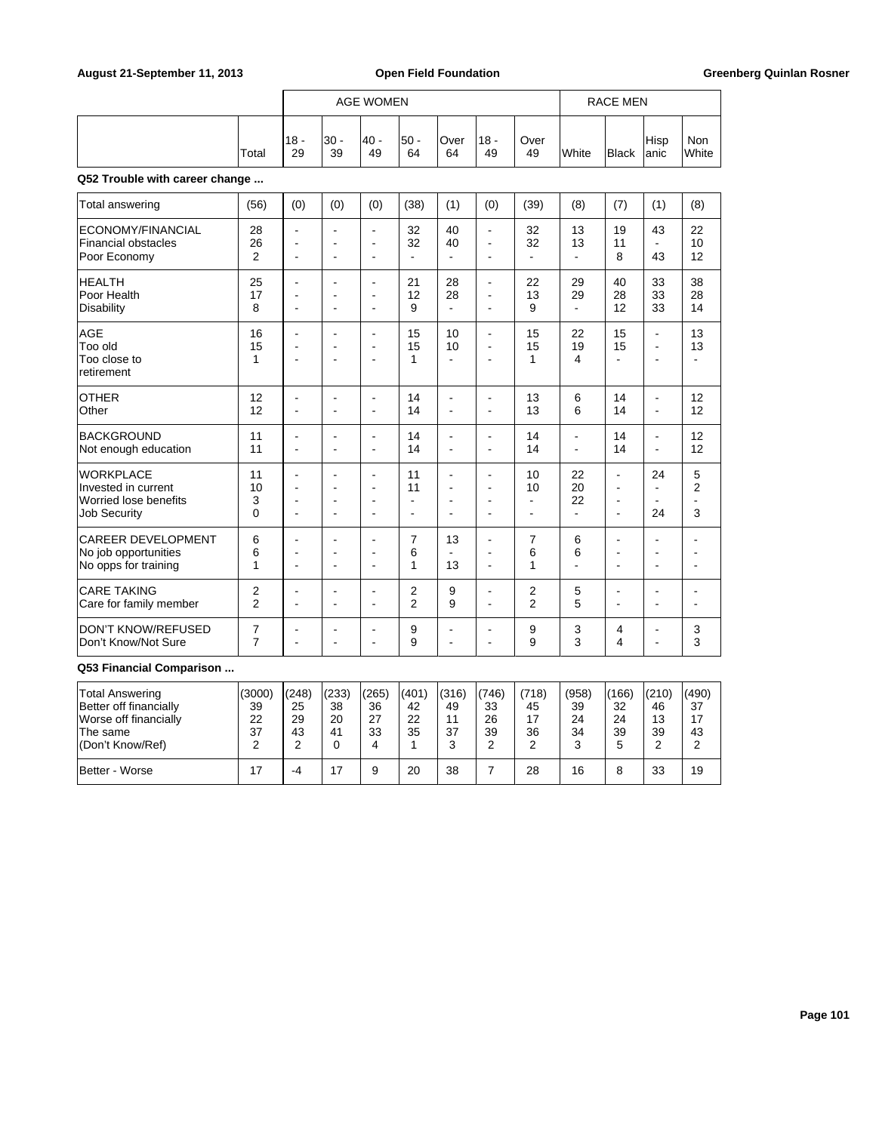## August 21-September 11, 2013 **Open Field Foundation Greenberg Quinlan Rosner Greenberg Quinlan Rosner**

|                                                                 |                | <b>AGE WOMEN</b>           |                                                    |                                        |                |                          |                                                    |                            |               | <b>RACE MEN</b>            |                                                              |                            |
|-----------------------------------------------------------------|----------------|----------------------------|----------------------------------------------------|----------------------------------------|----------------|--------------------------|----------------------------------------------------|----------------------------|---------------|----------------------------|--------------------------------------------------------------|----------------------------|
|                                                                 | Total          | $18 -$<br>29               | $30 -$<br>39                                       | $40 -$<br>49                           | $50 -$<br>64   | Over<br>64               | $18 -$<br>49                                       | Over<br>49                 | White         | <b>Black</b>               | Hisp<br>lanic                                                | <b>Non</b><br>White        |
| Q52 Trouble with career change                                  |                |                            |                                                    |                                        |                |                          |                                                    |                            |               |                            |                                                              |                            |
| Total answering                                                 | (56)           | (0)                        | (0)                                                | (0)                                    | (38)           | (1)                      | (0)                                                | (39)                       | (8)           | (7)                        | (1)                                                          | (8)                        |
| ECONOMY/FINANCIAL<br><b>Financial obstacles</b><br>Poor Economy | 28<br>26<br>2  | L,<br>L,<br>$\blacksquare$ | L,<br>$\blacksquare$<br>$\blacksquare$             | $\blacksquare$<br>$\blacksquare$<br>ä, | 32<br>32<br>ä, | 40<br>40<br>L.           | $\blacksquare$<br>$\blacksquare$<br>$\blacksquare$ | 32<br>32<br>$\blacksquare$ | 13<br>13      | 19<br>11<br>8              | 43<br>$\blacksquare$<br>43                                   | 22<br>10<br>12             |
| <b>HEALTH</b>                                                   | 25             | ÷.                         | $\overline{a}$                                     | $\blacksquare$                         | 21             | 28                       | $\blacksquare$                                     | 22                         | 29            | 40                         | 33                                                           | 38                         |
| Poor Health                                                     | 17             | $\overline{\phantom{a}}$   | ÷                                                  | $\blacksquare$                         | 12             | 28                       | ۰                                                  | 13                         | 29            | 28                         | 33                                                           | 28                         |
| <b>Disability</b>                                               | 8              | L,                         | L,                                                 | $\blacksquare$                         | 9              | ä,                       | $\blacksquare$                                     | 9                          | L.            | 12                         | 33                                                           | 14                         |
| <b>AGE</b><br>Too old<br>Too close to<br>retirement             | 16<br>15<br>1  | L,<br>L.<br>$\blacksquare$ | $\blacksquare$<br>$\blacksquare$<br>$\blacksquare$ | ä,<br>$\blacksquare$<br>$\blacksquare$ | 15<br>15<br>1  | 10<br>10<br>÷,           | ä,<br>$\blacksquare$<br>$\overline{a}$             | 15<br>15<br>1              | 22<br>19<br>4 | 15<br>15<br>$\overline{a}$ | $\blacksquare$<br>$\overline{\phantom{a}}$<br>$\blacksquare$ | 13<br>13<br>$\overline{a}$ |
| <b>OTHER</b>                                                    | 12             | $\overline{\phantom{a}}$   | $\overline{\phantom{a}}$                           | $\overline{\phantom{a}}$               | 14             | ÷                        | $\overline{a}$                                     | 13                         | 6             | 14                         | $\blacksquare$                                               | 12                         |
| Other                                                           | 12             | L.                         | $\blacksquare$                                     | ÷                                      | 14             | ÷,                       | $\blacksquare$                                     | 13                         | 6             | 14                         | $\blacksquare$                                               | 12                         |
| <b>BACKGROUND</b>                                               | 11             | $\blacksquare$             | $\blacksquare$                                     | $\blacksquare$                         | 14             | ä,                       | $\blacksquare$                                     | 14                         | ä,            | 14                         | ÷,                                                           | 12                         |
| Not enough education                                            | 11             | ÷,                         | L.                                                 | ÷,                                     | 14             | ÷,                       | L.                                                 | 14                         | ÷,            | 14                         | ÷,                                                           | 12                         |
| <b>WORKPLACE</b>                                                | 11             | $\overline{\phantom{a}}$   | $\overline{\phantom{a}}$                           | $\blacksquare$                         | 11             | ÷                        | ä,                                                 | 10                         | 22            | L.                         | 24                                                           | 5                          |
| Invested in current                                             | 10             | $\overline{\phantom{a}}$   | $\blacksquare$                                     | $\overline{\phantom{a}}$               | 11             | ÷,                       | $\overline{\phantom{a}}$                           | 10                         | 20            | $\blacksquare$             | ÷,                                                           | 2                          |
| Worried lose benefits                                           | 3              | $\overline{a}$             | $\overline{\phantom{a}}$                           | $\overline{\phantom{a}}$               | $\blacksquare$ | $\overline{a}$           | $\overline{a}$                                     | ÷                          | 22            | $\overline{\phantom{a}}$   | $\blacksquare$                                               | ÷                          |
| <b>Job Security</b>                                             | $\mathbf 0$    | $\overline{a}$             | $\overline{a}$                                     | ٠                                      | $\blacksquare$ | ٠                        | ÷                                                  | ÷                          | ÷.            | ÷                          | 24                                                           | 3                          |
| <b>CAREER DEVELOPMENT</b>                                       | 6              | $\blacksquare$             | $\blacksquare$                                     | $\blacksquare$                         | 7              | 13                       | ÷                                                  | 7                          | 6             | $\blacksquare$             | $\overline{\phantom{a}}$                                     |                            |
| No job opportunities                                            | 6              | $\blacksquare$             | $\blacksquare$                                     | $\blacksquare$                         | 6              | ۰                        | $\blacksquare$                                     | 6                          | 6             | ÷.                         | $\blacksquare$                                               |                            |
| No opps for training                                            | 1              | ÷.                         | ÷.                                                 | $\blacksquare$                         | 1              | 13                       | $\blacksquare$                                     | 1                          | ÷.            | ÷                          | ÷                                                            |                            |
| <b>CARE TAKING</b>                                              | 2              | $\blacksquare$             | $\overline{\phantom{a}}$                           | $\blacksquare$                         | 2              | 9                        | $\blacksquare$                                     | 2                          | 5             | ÷                          | $\blacksquare$                                               | $\overline{a}$             |
| Care for family member                                          | $\overline{2}$ | $\blacksquare$             | L,                                                 | $\blacksquare$                         | $\overline{2}$ | 9                        | ä,                                                 | $\overline{2}$             | 5             | $\overline{a}$             | $\blacksquare$                                               |                            |
| <b>DON'T KNOW/REFUSED</b>                                       | $\overline{7}$ | $\blacksquare$             | $\overline{\phantom{a}}$                           | ÷                                      | 9              | $\overline{\phantom{0}}$ | ä,                                                 | 9                          | 3             | 4                          | $\overline{\phantom{a}}$                                     | 3                          |
| Don't Know/Not Sure                                             | $\overline{7}$ | ÷                          | ÷                                                  | ۰                                      | 9              | ۰                        | ۰                                                  | 9                          | 3             | 4                          | $\overline{a}$                                               | 3                          |

| Total Answering<br>Better off financially<br>Worse off financially | (3000)<br>39<br>22 | (248)<br>25<br>29 | (233)<br>38<br>20 | (265)<br>36<br>27 | (401)<br>42<br>22 | (316)<br>49<br>11 | (746)<br>33<br>26 | (718)<br>45 | (958)<br>39<br>24 | (166)<br>32<br>24 | (210)<br>46<br>13 | (490)<br>37<br>17 |
|--------------------------------------------------------------------|--------------------|-------------------|-------------------|-------------------|-------------------|-------------------|-------------------|-------------|-------------------|-------------------|-------------------|-------------------|
| The same<br>(Don't Know/Ref)                                       | 37                 | 43                | 41<br>0           | 33<br>4           | 35                | 37<br>ົ<br>J      | 39<br>ົ           | 36          | 34<br>J           | 39                | 39                | 43                |
| Better - Worse                                                     |                    | -4                | 17                | 9                 | 20                | 38                |                   | 28          | 16                |                   | 33                | 19                |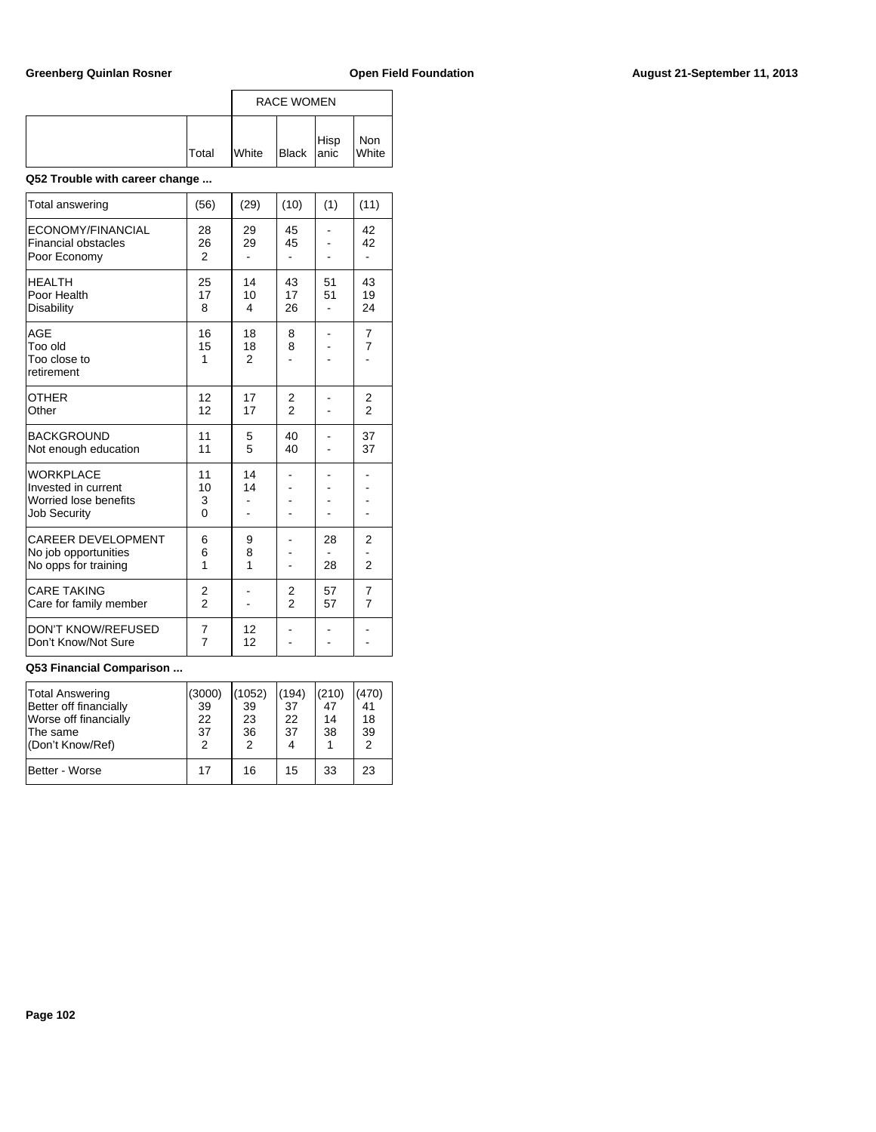|              | <b>RACE WOMEN</b> |            |      |              |  |  |  |
|--------------|-------------------|------------|------|--------------|--|--|--|
| <b>Total</b> | <b>White</b>      | Black anic | Hisp | Non<br>White |  |  |  |

## **Q52 Trouble with career change ...**

| <b>Total answering</b>                                                                  | (56)                            | (29)                       | (10)                | (1)      | (11)                             |
|-----------------------------------------------------------------------------------------|---------------------------------|----------------------------|---------------------|----------|----------------------------------|
| ECONOMY/FINANCIAL<br><b>Financial obstacles</b><br>Poor Economy                         | 28<br>26<br>$\overline{2}$      | 29<br>29                   | 45<br>45            |          | 42<br>42                         |
| <b>HEALTH</b><br>Poor Health<br>Disability                                              | 25<br>17<br>8                   | 14<br>10<br>4              | 43<br>17<br>26      | 51<br>51 | 43<br>19<br>24                   |
| AGE<br>Too old<br>Too close to<br>retirement                                            | 16<br>15<br>1                   | 18<br>18<br>$\mathfrak{p}$ | 8<br>8              |          | $\overline{7}$<br>$\overline{7}$ |
| <b>OTHER</b><br>Other                                                                   | 12<br>12                        | 17<br>17                   | $\frac{2}{2}$       |          | $\frac{2}{2}$                    |
| <b>BACKGROUND</b><br>Not enough education                                               | 11<br>11                        | 5<br>5                     | 40<br>40            |          | 37<br>37                         |
| <b>WORKPLACE</b><br>Invested in current<br>Worried lose benefits<br><b>Job Security</b> | 11<br>10<br>3<br>$\overline{0}$ | 14<br>14                   |                     |          |                                  |
| <b>CAREER DEVELOPMENT</b><br>No job opportunities<br>No opps for training               | 6<br>6<br>1                     | 9<br>8<br>1                |                     | 28<br>28 | $\overline{2}$<br>$\overline{2}$ |
| <b>CARE TAKING</b><br>Care for family member                                            | 2<br>$\overline{2}$             |                            | 2<br>$\overline{2}$ | 57<br>57 | $\overline{7}$<br>$\overline{7}$ |
| <b>DON'T KNOW/REFUSED</b><br>Don't Know/Not Sure                                        | 7<br>$\overline{7}$             | 12<br>12                   |                     |          |                                  |

| Total Answering<br>Better off financially<br>Worse off financially<br>The same<br>(Don't Know/Ref) | (3000)<br>39<br>22<br>37<br>2 | (1052)<br>39<br>23<br>36<br>2 | (194)<br>37<br>22<br>37<br>4 | (210)<br>47<br>14<br>38 | (470)<br>41<br>18<br>39<br>$\mathcal{P}$ |
|----------------------------------------------------------------------------------------------------|-------------------------------|-------------------------------|------------------------------|-------------------------|------------------------------------------|
| Better - Worse                                                                                     | 17                            | 16                            | 15                           | 33                      | 23                                       |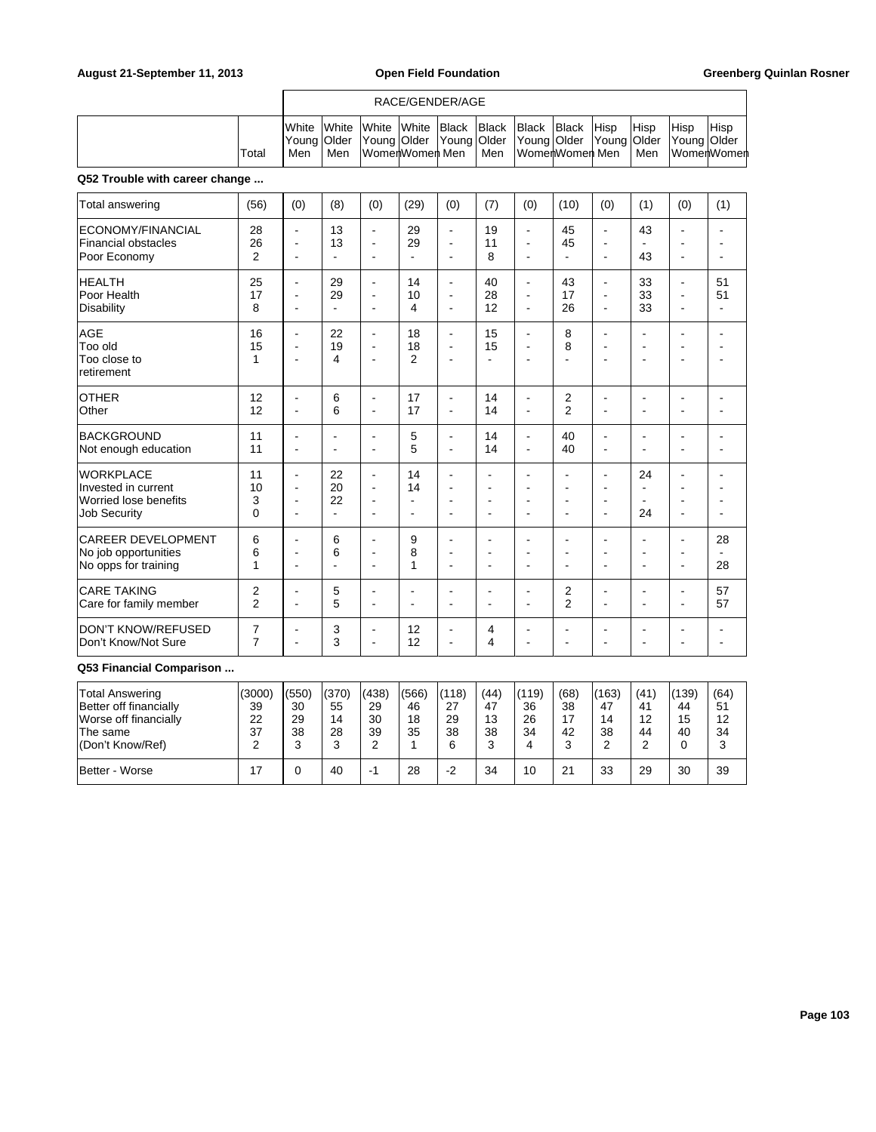### RACE/GENDER/AGE

|  |        | <b>I</b> White |       |                   |  |     | White White White Black Black Black Black<br>Young   Older   Young   Older   Young   Older   Young   Older   Young   Older   Young   Older | <b>Hisp</b> | <b>Hisp</b> | <b>Hisp</b> | <b>IHisp</b>  |
|--|--------|----------------|-------|-------------------|--|-----|--------------------------------------------------------------------------------------------------------------------------------------------|-------------|-------------|-------------|---------------|
|  | 'Total |                | l Men | lWomerlWomerl Men |  | Men | lWomenWomen Men                                                                                                                            |             | l Men       |             | ∣WomerlWomerl |

## **Q52 Trouble with career change ...**

| <b>Total answering</b>                                                                  | (56)                       | (0)                                                                            | (8)                              | (0)                                                                  | (29)                             | (0)                                                | (7)                                                     | (0)                                                                            | (10)                                           | (0)                                                          | (1)                                                          | (0)                              | (1)                        |
|-----------------------------------------------------------------------------------------|----------------------------|--------------------------------------------------------------------------------|----------------------------------|----------------------------------------------------------------------|----------------------------------|----------------------------------------------------|---------------------------------------------------------|--------------------------------------------------------------------------------|------------------------------------------------|--------------------------------------------------------------|--------------------------------------------------------------|----------------------------------|----------------------------|
| ECONOMY/FINANCIAL<br><b>Financial obstacles</b><br>Poor Economy                         | 28<br>26<br>$\overline{2}$ | $\blacksquare$<br>÷<br>÷                                                       | 13<br>13                         | $\blacksquare$<br>$\overline{a}$                                     | 29<br>29                         | $\blacksquare$<br>Ē,<br>$\blacksquare$             | 19<br>11<br>8                                           | $\blacksquare$<br>$\overline{\phantom{a}}$<br>$\overline{\phantom{a}}$         | 45<br>45                                       | $\blacksquare$<br>٠<br>ä,                                    | 43<br>43                                                     |                                  |                            |
| HEALTH<br>Poor Health<br>Disability                                                     | 25<br>17<br>8              | $\blacksquare$<br>$\blacksquare$<br>$\blacksquare$                             | 29<br>29<br>$\blacksquare$       | $\blacksquare$<br>$\blacksquare$<br>$\overline{\phantom{a}}$         | 14<br>10<br>4                    | $\blacksquare$<br>$\blacksquare$<br>$\blacksquare$ | 40<br>28<br>12                                          | L,<br>$\blacksquare$<br>$\blacksquare$                                         | 43<br>17<br>26                                 | $\overline{\phantom{a}}$<br>$\blacksquare$<br>$\blacksquare$ | 33<br>33<br>33                                               | $\blacksquare$<br>۰<br>۰         | 51<br>51<br>$\blacksquare$ |
| <b>AGE</b><br>Too old<br>Too close to<br>retirement                                     | 16<br>15<br>1              | $\blacksquare$<br>$\blacksquare$<br>$\sim$                                     | 22<br>19<br>4                    | $\blacksquare$<br>$\overline{\phantom{a}}$<br>$\blacksquare$         | 18<br>18<br>$\overline{2}$       | $\blacksquare$<br>$\blacksquare$<br>$\blacksquare$ | 15<br>15<br>۰                                           | $\overline{\phantom{a}}$<br>$\blacksquare$<br>$\blacksquare$                   | 8<br>8                                         | $\blacksquare$<br>$\overline{\phantom{a}}$<br>٠              | $\blacksquare$<br>$\overline{\phantom{a}}$<br>$\blacksquare$ | $\overline{a}$                   |                            |
| <b>OTHER</b><br>Other                                                                   | 12<br>12                   | $\blacksquare$<br>$\blacksquare$                                               | 6<br>6                           | $\blacksquare$<br>$\blacksquare$                                     | 17<br>17                         | $\blacksquare$<br>$\blacksquare$                   | 14<br>14                                                | $\blacksquare$<br>$\overline{\phantom{a}}$                                     | 2<br>$\overline{2}$                            | $\blacksquare$<br>$\blacksquare$                             | ÷<br>$\blacksquare$                                          | ÷                                | ٠                          |
| <b>BACKGROUND</b><br>Not enough education                                               | 11<br>11                   | $\blacksquare$<br>$\overline{a}$                                               | $\blacksquare$<br>$\blacksquare$ | $\blacksquare$<br>$\blacksquare$                                     | 5<br>5                           | $\blacksquare$<br>$\blacksquare$                   | 14<br>14                                                | $\blacksquare$<br>$\blacksquare$                                               | 40<br>40                                       | $\blacksquare$<br>$\blacksquare$                             | $\blacksquare$<br>۰                                          | ÷<br>÷                           |                            |
| <b>WORKPLACE</b><br>Invested in current<br>Worried lose benefits<br><b>Job Security</b> | 11<br>10<br>3<br>0         | $\blacksquare$<br>$\blacksquare$<br>$\blacksquare$<br>$\overline{\phantom{a}}$ | 22<br>20<br>22<br>٠              | $\blacksquare$<br>$\blacksquare$<br>$\blacksquare$<br>$\overline{a}$ | 14<br>14<br>$\overline{a}$<br>÷. | L,<br>Ĭ.<br>Ĭ.<br>÷.                               | ۰<br>$\blacksquare$<br>$\blacksquare$<br>$\blacksquare$ | $\overline{\phantom{a}}$<br>$\blacksquare$<br>$\blacksquare$<br>$\overline{a}$ | $\overline{a}$<br>L,<br>$\blacksquare$         | $\blacksquare$<br>$\blacksquare$<br>$\blacksquare$<br>÷      | 24<br>$\blacksquare$<br>24                                   | $\overline{a}$<br>$\overline{a}$ |                            |
| <b>CAREER DEVELOPMENT</b><br>No job opportunities<br>No opps for training               | 6<br>6<br>1                | <u>. .</u><br>$\overline{\phantom{a}}$<br>$\blacksquare$                       | 6<br>6<br>$\blacksquare$         | $\blacksquare$<br>L.<br>$\overline{a}$                               | 9<br>8<br>1                      | ä,<br>÷.<br>$\blacksquare$                         | ۰<br>٠<br>$\blacksquare$                                | ÷<br>$\blacksquare$<br>$\blacksquare$                                          | <u>. .</u><br>$\overline{a}$<br>$\overline{a}$ | $\overline{\phantom{a}}$<br>$\blacksquare$<br>ä,             | ۰<br>$\blacksquare$<br>ä,                                    | ÷<br>$\blacksquare$              | 28<br>28                   |
| <b>CARE TAKING</b><br>Care for family member                                            | 2<br>$\overline{2}$        | $\overline{a}$                                                                 | 5<br>5                           | $\blacksquare$<br>÷                                                  |                                  | Ē.<br>$\overline{a}$                               | ٠<br>۰                                                  | $\blacksquare$<br>$\overline{a}$                                               | $\overline{c}$<br>$\overline{2}$               | ä,<br>۰                                                      | ٠<br>۰                                                       |                                  | 57<br>57                   |
| DON'T KNOW/REFUSED<br>Don't Know/Not Sure                                               | 7<br>$\overline{7}$        | $\blacksquare$<br>$\blacksquare$                                               | 3<br>3                           | $\blacksquare$<br>$\overline{\phantom{a}}$                           | 12<br>12                         | ä,<br>$\blacksquare$                               | 4<br>4                                                  | $\overline{\phantom{a}}$<br>÷                                                  | ÷                                              | ٠<br>ä,                                                      | ۰<br>۰                                                       |                                  |                            |

| Total Answering<br>Better off financially<br>Worse off financially<br>The same | (3000)<br>39<br>22<br>37 | (550)<br>30<br>29<br>38 | (370)<br>55<br>14<br>28 | (438)<br>29<br>30<br>39 | (566)<br>46<br>18<br>35 | (118)<br>27<br>29<br>38 | (44)<br>47<br>13<br>38 | (119)<br>36<br>26<br>34 | (68)<br>38<br>42 | (163)<br>47<br>14<br>38 | (41)<br>41<br>12<br>44 | (139)<br>44<br>15<br>40 | (64)<br>51<br>12<br>34 |
|--------------------------------------------------------------------------------|--------------------------|-------------------------|-------------------------|-------------------------|-------------------------|-------------------------|------------------------|-------------------------|------------------|-------------------------|------------------------|-------------------------|------------------------|
| l(Don't Know/Ref)                                                              |                          |                         | J                       | ົ<br>▃                  |                         | 6                       | 3                      |                         | u                |                         | ົ                      | 0                       | 3                      |
| Better - Worse                                                                 | 17                       |                         | 40                      | -                       | 28                      | $-2$                    | 34                     | 10                      | 21               | 33                      | 29                     | 30                      | 39                     |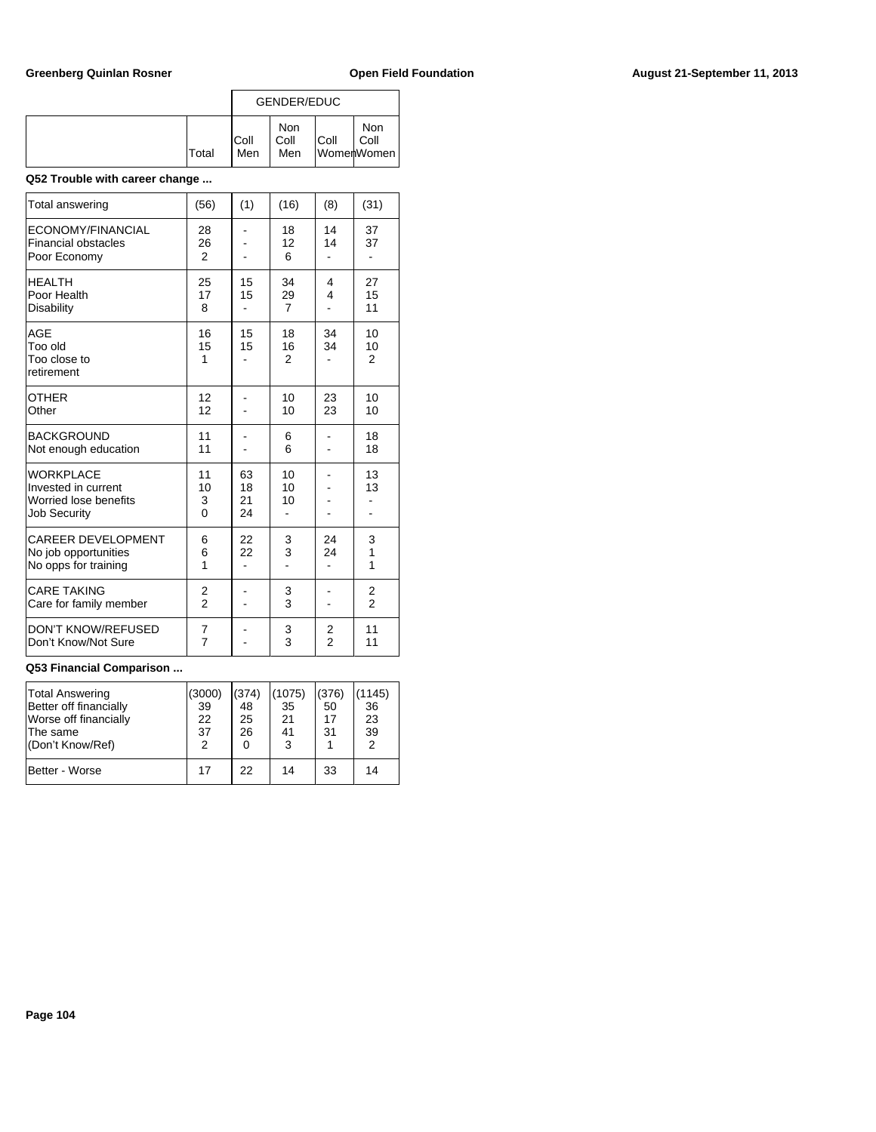|              |              | GENDER/EDUC        |      |                           |
|--------------|--------------|--------------------|------|---------------------------|
| <b>Total</b> | IColl<br>Men | Non<br>Coll<br>Men | Coll | Non<br>Coll<br>WomenWomen |

## **Q52 Trouble with career change ...**

| Total answering                                                                         | (56)                          | (1)                  | (16)                       | (8)                          | (31)                     |
|-----------------------------------------------------------------------------------------|-------------------------------|----------------------|----------------------------|------------------------------|--------------------------|
| ECONOMY/FINANCIAL<br><b>Financial obstacles</b><br>Poor Economy                         | 28<br>26<br>$\overline{2}$    |                      | 18<br>12<br>6              | 14<br>14                     | 37<br>37<br>٠            |
| <b>HEALTH</b><br>Poor Health<br>Disability                                              | 25<br>17<br>8                 | 15<br>15             | 34<br>29<br>$\overline{7}$ | 4<br>$\overline{\mathbf{4}}$ | 27<br>15<br>11           |
| AGE<br>Too old<br>Too close to<br>retirement                                            | 16<br>15<br>1                 | 15<br>15             | 18<br>16<br>$\mathfrak{p}$ | 34<br>34                     | 10<br>10<br>2            |
| OTHER<br>Other                                                                          | 12<br>12                      |                      | 10<br>10                   | 23<br>23                     | 10<br>10                 |
| <b>BACKGROUND</b><br>Not enough education                                               | 11<br>11                      |                      | 6<br>6                     |                              | 18<br>18                 |
| <b>WORKPLACE</b><br>Invested in current<br>Worried lose benefits<br><b>Job Security</b> | 11<br>10<br>3<br>$\mathbf{0}$ | 63<br>18<br>21<br>24 | 10<br>10<br>10             |                              | 13<br>13                 |
| <b>CAREER DEVELOPMENT</b><br>No job opportunities<br>No opps for training               | 6<br>6<br>1                   | 22<br>22             | 3<br>3                     | 24<br>24                     | 3<br>1<br>$\overline{1}$ |
| <b>CARE TAKING</b><br>Care for family member                                            | 2<br>$\mathfrak{p}$           |                      | 3<br>$\overline{3}$        |                              | 2<br>$\mathfrak{p}$      |
| <b>DON'T KNOW/REFUSED</b><br>Don't Know/Not Sure                                        | 7<br>$\overline{7}$           |                      | 3<br>3                     | 2<br>$\overline{2}$          | 11<br>11                 |

| Total Answering<br>Better off financially<br>Worse off financially<br>The same<br>(Don't Know/Ref) | (3000)<br>39<br>22<br>37<br>2 | (374)<br>48<br>25<br>26<br>0 | (1075)<br>35<br>21<br>41<br>3 | (376)<br>50<br>17<br>31 | (1145)<br>36<br>23<br>39<br>2 |
|----------------------------------------------------------------------------------------------------|-------------------------------|------------------------------|-------------------------------|-------------------------|-------------------------------|
| Better - Worse                                                                                     | 17                            | 22                           | 14                            | 33                      | 14                            |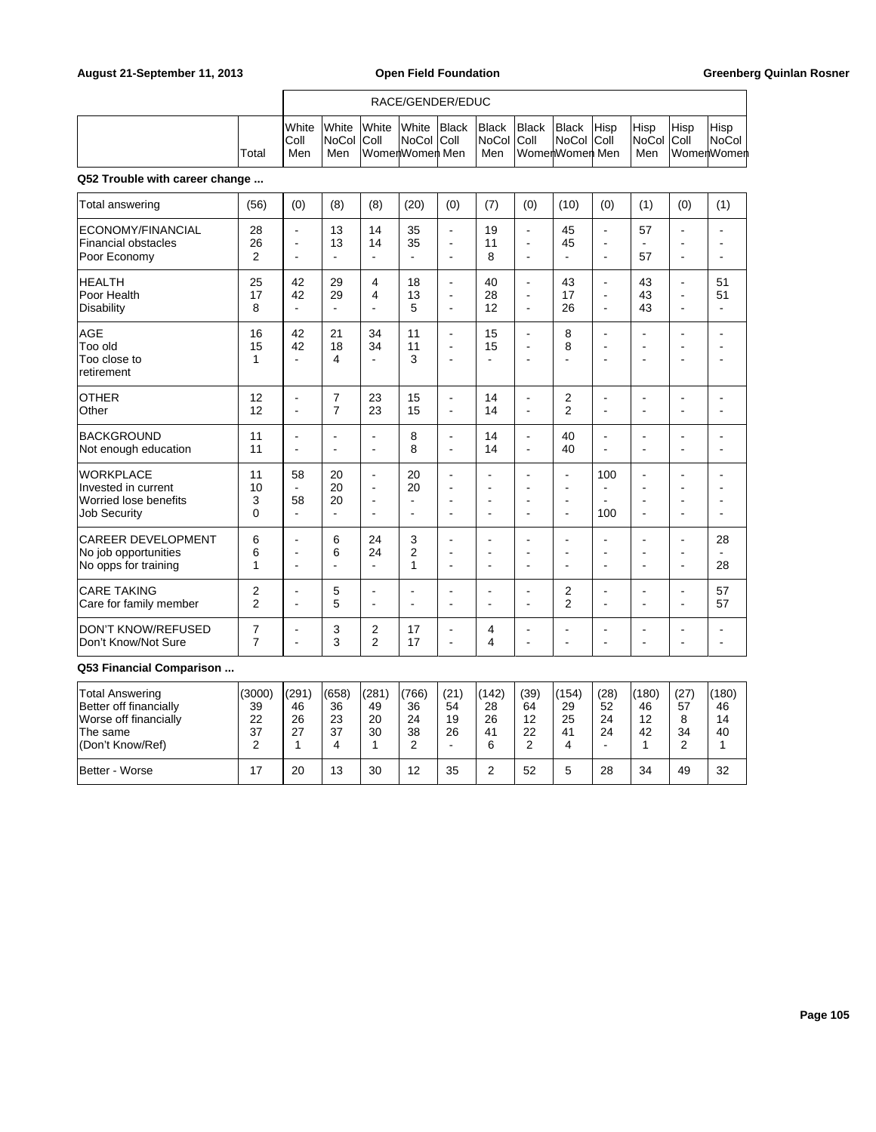### RACE/GENDER/EDUC

|             | <b>I</b> White<br>IColl | White<br><b>INoCol Coll</b> | <b>White</b>   | <b>White</b><br><b>INoCol Coll</b> | <b>Black</b> | <b>Black</b><br><b>INoCol Coll</b> | <b>Black</b>   | <b>Black</b><br>∣NoCol ∣Coll | <b>Hisp</b> | Hisp<br><b>NoCol Coll</b> | Hisp | Hisp<br>NoCol I |
|-------------|-------------------------|-----------------------------|----------------|------------------------------------|--------------|------------------------------------|----------------|------------------------------|-------------|---------------------------|------|-----------------|
| $\tau$ otal | Men                     | Men                         | WomenWomen Men |                                    |              | Men                                | WomenWomen Men |                              |             | Men                       |      | lWomenWomen     |

## **Q52 Trouble with career change ...**

| (56)                          | (0)                                   | (8)                              | (8)                                                                  | (20)                             | (0)                                                | (7)                                     | (0)                                                                  | (10)                                                               | (0)                                                                    | (1)                             | (0)                              | (1)                        |
|-------------------------------|---------------------------------------|----------------------------------|----------------------------------------------------------------------|----------------------------------|----------------------------------------------------|-----------------------------------------|----------------------------------------------------------------------|--------------------------------------------------------------------|------------------------------------------------------------------------|---------------------------------|----------------------------------|----------------------------|
| 28<br>26<br>$\overline{2}$    | $\blacksquare$<br>÷<br>$\overline{a}$ | 13<br>13                         | 14<br>14                                                             | 35<br>35                         | $\blacksquare$<br>ä,<br>$\blacksquare$             | 19<br>11<br>8                           | $\blacksquare$<br>$\overline{a}$<br>$\overline{\phantom{a}}$         | 45<br>45                                                           | ٠<br>۰<br>ä,                                                           | 57<br>57                        | ۰                                |                            |
| 25<br>17<br>8                 | 42<br>42<br>$\sim$                    | 29<br>29<br>$\mathbf{r}$         | 4<br>$\overline{\mathbf{4}}$<br>$\blacksquare$                       | 18<br>13<br>5                    | $\blacksquare$<br>Ē.<br>$\blacksquare$             | 40<br>28<br>12                          | $\blacksquare$<br>$\overline{\phantom{a}}$<br>$\blacksquare$         | 43<br>17<br>26                                                     | $\overline{\phantom{a}}$<br>$\blacksquare$<br>$\blacksquare$           | 43<br>43<br>43                  | $\blacksquare$<br>$\blacksquare$ | 51<br>51<br>$\blacksquare$ |
| 16<br>15<br>1                 | 42<br>42<br>÷                         | 21<br>18<br>4                    | 34<br>34<br>$\overline{a}$                                           | 11<br>11<br>3                    | $\blacksquare$<br>$\blacksquare$<br>$\blacksquare$ | 15<br>15<br>۰                           | L,<br>$\overline{\phantom{a}}$<br>٠                                  | 8<br>8                                                             | $\blacksquare$<br>$\overline{\phantom{a}}$<br>$\overline{\phantom{0}}$ | $\blacksquare$<br>۰<br>۰        | $\overline{a}$<br>÷              | ÷                          |
| 12<br>12                      | $\blacksquare$<br>$\blacksquare$      | $\overline{7}$<br>$\overline{7}$ | 23<br>23                                                             | 15<br>15                         | $\blacksquare$<br>$\blacksquare$                   | 14<br>14                                | $\blacksquare$<br>$\blacksquare$                                     | 2<br>$\overline{2}$                                                | $\blacksquare$<br>$\blacksquare$                                       | $\blacksquare$<br>۰             |                                  | ٠                          |
| 11<br>11                      | $\blacksquare$<br>$\overline{a}$      | $\blacksquare$<br>$\blacksquare$ | $\blacksquare$<br>$\blacksquare$                                     | 8<br>8                           | $\blacksquare$<br>$\blacksquare$                   | 14<br>14                                | $\overline{a}$<br>$\blacksquare$                                     | 40<br>40                                                           | $\overline{\phantom{a}}$<br>$\blacksquare$                             | $\blacksquare$<br>ä,            | ÷                                |                            |
| 11<br>10<br>3<br>$\mathbf{0}$ | 58<br>58                              | 20<br>20<br>20<br>÷.             | $\blacksquare$<br>$\blacksquare$<br>$\overline{a}$<br>$\overline{a}$ | 20<br>20<br>$\blacksquare$<br>÷. | L,<br>$\blacksquare$<br>÷.<br>$\overline{a}$       | ۰<br>٠<br>٠<br>$\overline{\phantom{a}}$ | $\blacksquare$<br>$\blacksquare$<br>$\blacksquare$<br>$\overline{a}$ | $\mathbf{r}$<br>$\blacksquare$<br>$\blacksquare$<br>$\blacksquare$ | 100<br>$\overline{\phantom{a}}$<br>ä,<br>100                           | ä,<br>$\blacksquare$<br>۰<br>ä, |                                  |                            |
| 6<br>6<br>1                   | ÷<br>$\overline{\phantom{a}}$<br>÷    | 6<br>6<br>۰                      | 24<br>24<br>÷.                                                       | 3<br>$\overline{2}$<br>1         | ÷.<br>÷.<br>$\blacksquare$                         | ۰<br>۰<br>۰                             | $\overline{a}$<br>÷<br>$\overline{\phantom{a}}$                      | $\overline{a}$<br>$\overline{a}$<br>÷.                             | $\blacksquare$<br>٠<br>۰                                               | ۰<br>۰<br>۰                     | ÷<br>$\overline{\phantom{a}}$    | 28<br>28                   |
| 2<br>$\overline{2}$           | ٠<br>÷                                | 5<br>5                           | $\blacksquare$<br>$\overline{a}$                                     | ٠                                | Ē.<br>Ē.                                           | ۰                                       | $\overline{\phantom{a}}$<br>$\blacksquare$                           | 2<br>$\overline{2}$                                                | $\blacksquare$<br>۰                                                    | ٠<br>۰                          |                                  | 57<br>57                   |
| 7<br>$\overline{7}$           | ÷<br>÷                                | 3<br>3                           | 2<br>$\overline{2}$                                                  | 17<br>17                         | ٠<br>$\blacksquare$                                | 4<br>4                                  | ÷<br>-                                                               | ÷                                                                  | ۰                                                                      | ۰<br>٠                          |                                  |                            |
|                               |                                       |                                  |                                                                      |                                  |                                                    |                                         |                                                                      |                                                                    |                                                                        |                                 |                                  |                            |

| Total Answering<br>Better off financially<br>Worse off financially<br>The same<br>(Don't Know/Ref) | (3000)<br>39<br>22<br>37 | (291)<br>46<br>26<br>27 | (658)<br>36<br>23<br>37 | (281)<br>49<br>20<br>30 | (766)<br>36<br>24<br>38 | (21)<br>54<br>19<br>26 | (142)<br>28<br>26<br>41<br>6 | (39)<br>64<br>12<br>22<br>ົ | (154)<br>29<br>25<br>41 | (28)<br>52<br>24<br>24<br>- | (180)<br>46<br>12<br>42 | (27<br>57<br>8<br>34<br>⌒ | (180)<br>46<br>14<br>40 |
|----------------------------------------------------------------------------------------------------|--------------------------|-------------------------|-------------------------|-------------------------|-------------------------|------------------------|------------------------------|-----------------------------|-------------------------|-----------------------------|-------------------------|---------------------------|-------------------------|
| Better - Worse                                                                                     | 17                       | 20                      | 13                      | 30                      | 12                      | 35                     | ۷                            | 52                          | ∽                       | 28                          | 34                      | 49                        | 32                      |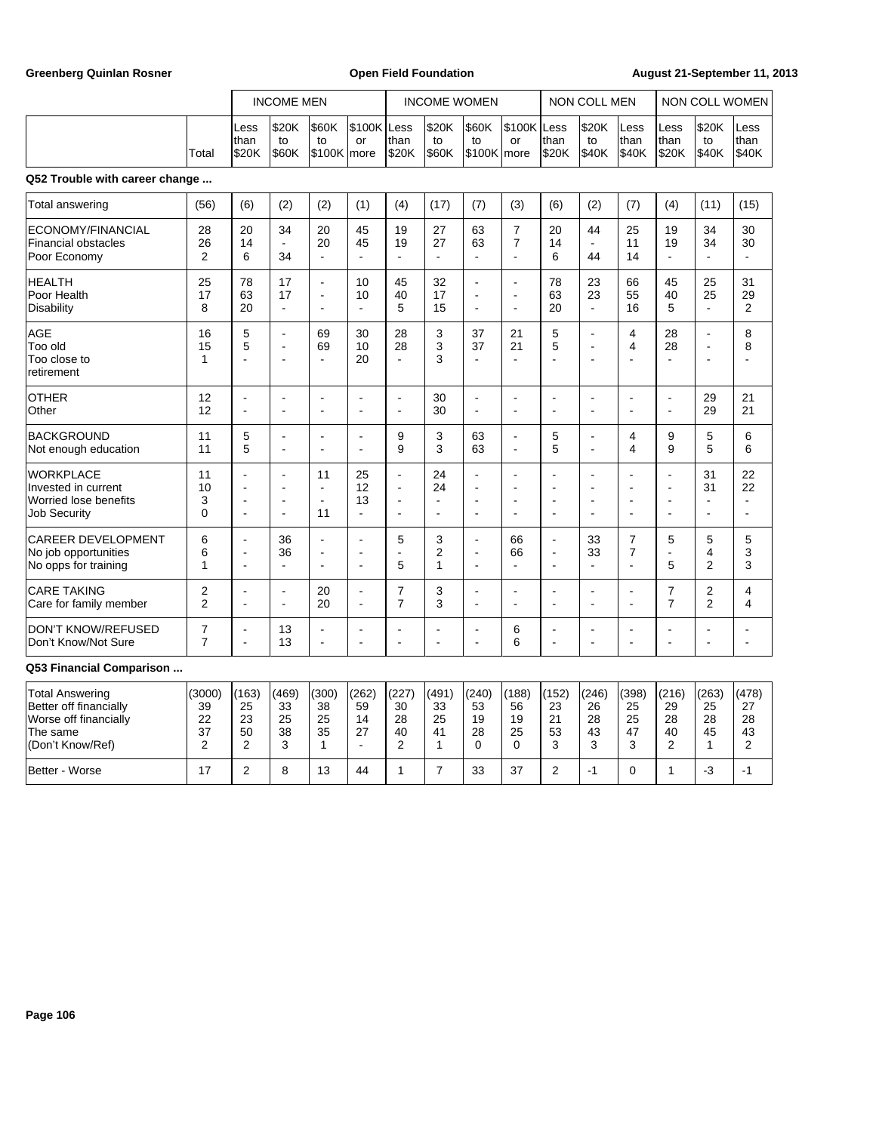Greenberg Quinlan Rosner **Communist Communist Communist Communist Communist Communist Communist Communist Communist Communist Communist Communist Communist Communist Communist Communist Communist Communist Communist Commun** 

|                                                                                         |                                  | <b>INCOME MEN</b>                                            |                                                                      |                                                                        |                      | <b>INCOME WOMEN</b>                          |                                              |                                              | NON COLL MEN                                                                   |                                                                  | NON COLL WOMEN                                         |                                                                      |                                                                                                |                                  |                                              |
|-----------------------------------------------------------------------------------------|----------------------------------|--------------------------------------------------------------|----------------------------------------------------------------------|------------------------------------------------------------------------|----------------------|----------------------------------------------|----------------------------------------------|----------------------------------------------|--------------------------------------------------------------------------------|------------------------------------------------------------------|--------------------------------------------------------|----------------------------------------------------------------------|------------------------------------------------------------------------------------------------|----------------------------------|----------------------------------------------|
|                                                                                         | Total                            | Less<br>than<br>\$20K                                        | \$20K<br>to<br>\$60K                                                 | \$60K<br>to<br>\$100K more                                             | \$100K Less<br>or    | lthan<br>\$20K                               | \$20K<br>to<br><b>\$60K</b>                  | \$60K<br>to<br>\$100K more                   | \$100K Less<br>or                                                              | than<br>\$20K                                                    | \$20K<br>to<br>\$40K                                   | Less<br>than<br>\$40K                                                | Less<br>Ithan<br>\$20K                                                                         | \$20K<br>to<br>\$40K             | Less<br>than<br>\$40K                        |
| Q52 Trouble with career change                                                          |                                  |                                                              |                                                                      |                                                                        |                      |                                              |                                              |                                              |                                                                                |                                                                  |                                                        |                                                                      |                                                                                                |                                  |                                              |
| Total answering                                                                         | (56)                             | (6)                                                          | (2)                                                                  | (2)                                                                    | (1)                  | (4)                                          | (17)                                         | (7)                                          | (3)                                                                            | (6)                                                              | (2)                                                    | (7)                                                                  | (4)                                                                                            | (11)                             | (15)                                         |
| ECONOMY/FINANCIAL<br><b>Financial obstacles</b><br>Poor Economy                         | 28<br>26<br>$\overline{2}$       | 20<br>14<br>6                                                | 34<br>÷,<br>34                                                       | 20<br>20<br>$\overline{\phantom{a}}$                                   | 45<br>45<br>L,       | 19<br>19<br>÷,                               | 27<br>27<br>$\blacksquare$                   | 63<br>63<br>$\blacksquare$                   | $\overline{7}$<br>$\overline{7}$                                               | 20<br>14<br>6                                                    | 44<br>ä,<br>44                                         | 25<br>11<br>14                                                       | 19<br>19<br>÷,                                                                                 | 34<br>34<br>ä,                   | 30<br>30                                     |
| <b>HEALTH</b><br>Poor Health<br>Disability                                              | 25<br>17<br>8                    | 78<br>63<br>20                                               | 17<br>17<br>$\blacksquare$                                           | ÷<br>$\blacksquare$<br>$\overline{a}$                                  | 10<br>10<br>Ĭ.       | 45<br>40<br>5                                | 32<br>17<br>15                               | ä,<br>$\blacksquare$<br>Ē,                   | $\blacksquare$<br>$\overline{a}$<br>$\blacksquare$                             | 78<br>63<br>20                                                   | 23<br>23<br>L,                                         | 66<br>55<br>16                                                       | 45<br>40<br>5                                                                                  | 25<br>25<br>$\blacksquare$       | 31<br>29<br>2                                |
| AGE<br>Too old<br>Too close to<br>retirement                                            | 16<br>15<br>1                    | 5<br>5<br>$\blacksquare$                                     | $\overline{a}$<br>$\blacksquare$<br>÷                                | 69<br>69<br>÷                                                          | 30<br>10<br>20       | 28<br>28<br>÷.                               | 3<br>3<br>3                                  | 37<br>37<br>$\overline{\phantom{a}}$         | 21<br>21<br>÷                                                                  | 5<br>5<br>÷.                                                     | ä,<br>L,<br>٠                                          | $\overline{4}$<br>4                                                  | 28<br>28<br>÷                                                                                  | ä,<br>÷,<br>$\blacksquare$       | 8<br>8<br>$\overline{a}$                     |
| <b>OTHER</b><br>Other                                                                   | 12<br>12                         | J.<br>$\blacksquare$                                         | $\overline{\phantom{a}}$<br>$\blacksquare$                           | ÷<br>$\blacksquare$                                                    | $\blacksquare$       | $\blacksquare$<br>$\overline{a}$             | 30<br>30                                     | L.<br>$\overline{a}$                         | $\blacksquare$<br>$\overline{a}$                                               | ÷.<br>$\sim$                                                     | ä,<br>$\overline{a}$                                   | $\blacksquare$<br>$\blacksquare$                                     | $\overline{\phantom{a}}$<br>$\blacksquare$                                                     | 29<br>29                         | 21<br>21                                     |
| <b>BACKGROUND</b><br>Not enough education                                               | 11<br>11                         | 5<br>5                                                       | $\blacksquare$<br>$\blacksquare$                                     | ÷<br>÷                                                                 | J.<br>۰              | 9<br>9                                       | 3<br>3                                       | 63<br>63                                     | $\blacksquare$<br>$\blacksquare$                                               | 5<br>5                                                           | L,<br>$\blacksquare$                                   | $\overline{4}$<br>4                                                  | 9<br>9                                                                                         | 5<br>5                           | 6<br>6                                       |
| <b>WORKPLACE</b><br>Invested in current<br>Worried lose benefits<br><b>Job Security</b> | 11<br>10<br>3<br>$\mathbf{0}$    | ÷,<br>L,<br>$\blacksquare$<br>$\blacksquare$                 | $\overline{a}$<br>$\blacksquare$<br>$\blacksquare$<br>$\blacksquare$ | 11<br>$\sim$<br>$\blacksquare$<br>11                                   | 25<br>12<br>13<br>ä, | ÷,<br>÷,<br>$\blacksquare$<br>$\blacksquare$ | 24<br>24<br>$\blacksquare$<br>$\blacksquare$ | ä,<br>J.<br>$\blacksquare$<br>$\blacksquare$ | $\overline{\phantom{a}}$<br>$\blacksquare$<br>$\blacksquare$<br>$\blacksquare$ | J.<br>÷.<br>$\overline{\phantom{a}}$<br>$\overline{\phantom{a}}$ | $\overline{a}$<br>÷.<br>$\overline{\phantom{a}}$<br>Ē, | $\blacksquare$<br>$\blacksquare$<br>$\blacksquare$<br>$\blacksquare$ | $\ddot{\phantom{a}}$<br>$\overline{\phantom{a}}$<br>$\blacksquare$<br>$\overline{\phantom{a}}$ | 31<br>31<br>$\blacksquare$<br>ä, | 22<br>22<br>$\blacksquare$<br>$\blacksquare$ |
| <b>CAREER DEVELOPMENT</b><br>No job opportunities<br>No opps for training               | 6<br>6<br>1                      | $\blacksquare$<br>$\overline{\phantom{a}}$<br>$\blacksquare$ | 36<br>36<br>÷,                                                       | $\blacksquare$<br>$\overline{\phantom{a}}$<br>$\overline{\phantom{a}}$ | $\blacksquare$<br>L, | 5<br>5                                       | 3<br>2<br>1                                  | $\blacksquare$<br>ä,<br>L,                   | 66<br>66<br>$\blacksquare$                                                     | $\overline{\phantom{a}}$<br>÷,<br>J.                             | 33<br>33<br>÷,                                         | $\overline{7}$<br>7<br>$\blacksquare$                                | 5<br>$\overline{a}$<br>5                                                                       | 5<br>4<br>$\overline{2}$         | 5<br>3<br>3                                  |
| <b>CARE TAKING</b><br>Care for family member                                            | 2<br>2                           | Ĭ.<br>$\blacksquare$                                         | $\blacksquare$<br>$\blacksquare$                                     | 20<br>20                                                               | Ĭ.<br>ä,             | $\overline{7}$<br>7                          | 3<br>3                                       | ä,<br>$\blacksquare$                         | $\overline{\phantom{a}}$<br>$\blacksquare$                                     | ٠<br>$\overline{\phantom{a}}$                                    | $\overline{\phantom{a}}$<br>$\blacksquare$             | $\blacksquare$                                                       | $\overline{7}$<br>$\overline{7}$                                                               | 2<br>$\overline{2}$              | 4<br>4                                       |
| <b>DON'T KNOW/REFUSED</b><br>Don't Know/Not Sure                                        | $\overline{7}$<br>$\overline{7}$ | $\blacksquare$<br>÷                                          | 13<br>13                                                             | $\blacksquare$<br>$\overline{\phantom{a}}$                             | Ĭ.<br>÷              | $\blacksquare$<br>$\overline{a}$             | $\overline{a}$<br>$\overline{\phantom{a}}$   | ä,<br>ä,                                     | 6<br>6                                                                         | $\overline{\phantom{a}}$<br>÷,                                   | $\blacksquare$<br>Ĭ.                                   | $\blacksquare$<br>$\blacksquare$                                     | $\blacksquare$<br>$\blacksquare$                                                               | ä,<br>$\overline{a}$             | $\blacksquare$<br>$\blacksquare$             |
| Q53 Financial Comparison                                                                |                                  |                                                              |                                                                      |                                                                        |                      |                                              |                                              |                                              |                                                                                |                                                                  |                                                        |                                                                      |                                                                                                |                                  |                                              |
| <b>Total Answering</b>                                                                  | (3000)                           | (163)                                                        | (469)                                                                | (300)                                                                  | (262)                | (227)                                        | (491)                                        | (240)                                        | (188)                                                                          | (152)                                                            | (246)                                                  | (398)                                                                | (216)                                                                                          | (263)                            | (478)                                        |

| Total Answering        | (3000)   | '163 | (469) | (300)    | (262) | (227 | (491) | (240) | (188) | (152) | (246) | (398)   | (216) | (263) | (478)  |
|------------------------|----------|------|-------|----------|-------|------|-------|-------|-------|-------|-------|---------|-------|-------|--------|
| Better off financially | 39       | 25   | 33    | 38       | 59    | 30   | 33    | 53    | 56    | 23    | 26    | 25      | 29    | 25    | 27     |
| Worse off financially  | 22       | 23   | 25    | 25       | 14    | 28   | 25    | 19    | 19    | 21    | 28    | 25      | 28    | 28    | 28     |
| The same               | 27<br>نٽ | 50   | 38    | 35       | 27    | 40   | 41    | 28    | 25    | 53    | 43    | 47      | 40    | 45    | 43     |
| (Don't Know/Ref)       |          | ⌒    |       |          |       |      |       |       |       |       | ◠     | ົ<br>نٽ | ∼     |       |        |
| Better - Worse         |          | ⌒    |       | 12<br>دب | 44    |      |       | 33    | 37    |       | -     |         |       | -3    | $\sim$ |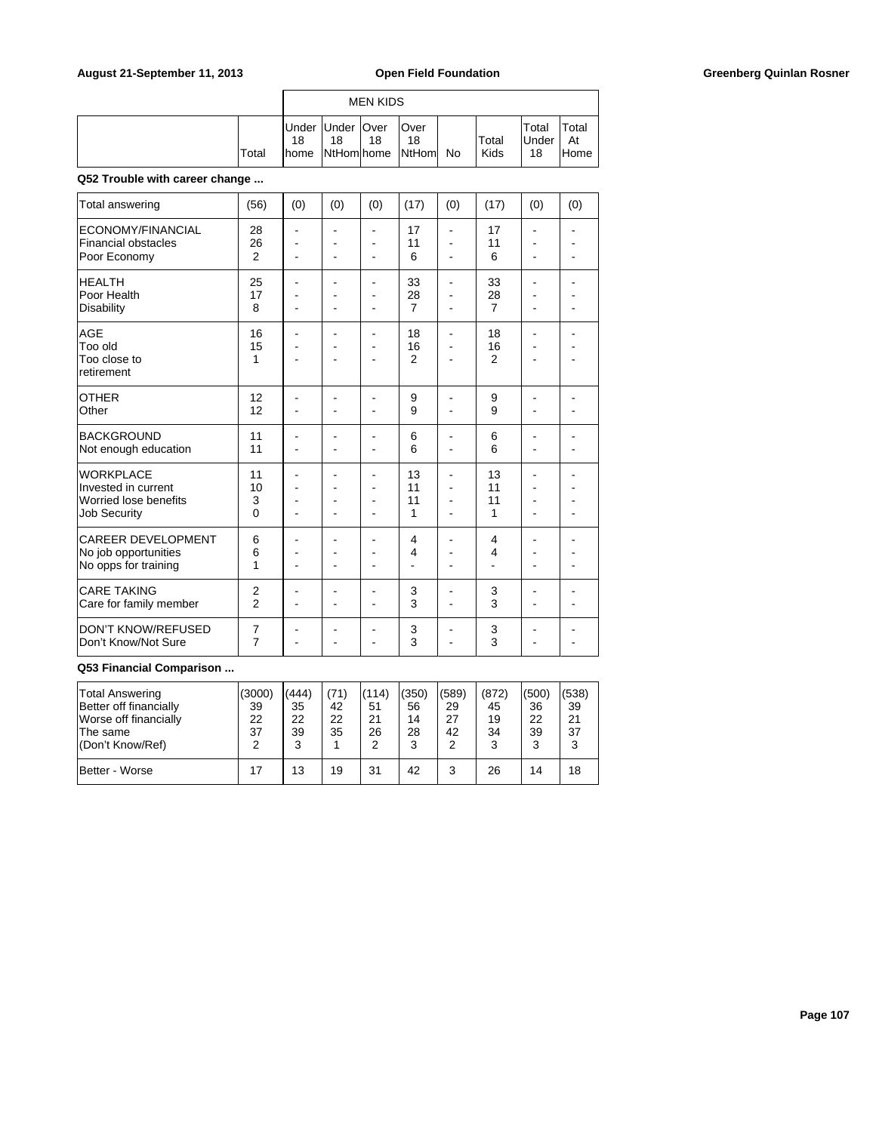## August 21-September 11, 2013 **Open Field Foundation Greenberg Quinlan Rosner Greenberg Quinlan Rosner**

|       |    |                          | <b>MEN KIDS</b> |                                         |               |                       |                      |
|-------|----|--------------------------|-----------------|-----------------------------------------|---------------|-----------------------|----------------------|
| Total | 18 | Under Under   Over<br>18 | 18              | lOver<br>18<br>home NtHom home NtHom No | Total<br>Kids | Total<br>lUnder<br>18 | `otal<br>At<br>lHome |

## **Q52 Trouble with career change ...**

| <b>Total answering</b>                                                                  | (56)                             | (0)      | (0)                              | (0)                                                   | (17)                       | (0)                  | (17)                       | (0)                 | (0) |
|-----------------------------------------------------------------------------------------|----------------------------------|----------|----------------------------------|-------------------------------------------------------|----------------------------|----------------------|----------------------------|---------------------|-----|
| ECONOMY/FINANCIAL<br><b>Financial obstacles</b><br>Poor Economy                         | 28<br>26<br>$\overline{2}$       | Ē,<br>ä, | $\blacksquare$<br>$\blacksquare$ | ä,<br>ä,<br>$\blacksquare$                            | 17<br>11<br>6              | L,<br>۰              | 17<br>11<br>6              | $\blacksquare$<br>۰ |     |
| <b>HEALTH</b><br>Poor Health<br><b>Disability</b>                                       | 25<br>17<br>8                    |          |                                  | ۰                                                     | 33<br>28<br>$\overline{7}$ | ä,                   | 33<br>28<br>$\overline{7}$ |                     |     |
| <b>AGE</b><br>Too old<br>Too close to<br>retirement                                     | 16<br>15<br>1                    |          |                                  | ۰                                                     | 18<br>16<br>$\overline{2}$ | ä,                   | 18<br>16<br>$\overline{2}$ |                     |     |
| <b>OTHER</b><br>Other                                                                   | 12<br>12                         |          |                                  |                                                       | 9<br>9                     |                      | 9<br>9                     |                     |     |
| <b>BACKGROUND</b><br>Not enough education                                               | 11<br>11                         |          | ä,                               | ä,                                                    | 6<br>6                     | ä,                   | 6<br>6                     |                     |     |
| <b>WORKPLACE</b><br>Invested in current<br>Worried lose benefits<br><b>Job Security</b> | 11<br>10<br>3<br>$\Omega$        |          | ۰<br>ä,                          | ٠<br>$\overline{a}$<br>$\overline{\phantom{a}}$<br>ä, | 13<br>11<br>11<br>1        | $\overline{a}$<br>ä, | 13<br>11<br>11<br>1        |                     |     |
| <b>CAREER DEVELOPMENT</b><br>No job opportunities<br>No opps for training               | 6<br>6<br>1                      |          | ä,                               | ۰                                                     | 4<br>4                     |                      | 4<br>4                     |                     |     |
| <b>CARE TAKING</b><br>Care for family member                                            | $\overline{2}$<br>$\mathfrak{p}$ |          | ۰<br>۰                           | ۰<br>۰                                                | 3<br>3                     | ۰                    | 3<br>3                     |                     |     |
| <b>DON'T KNOW/REFUSED</b><br>Don't Know/Not Sure                                        | $\overline{7}$<br>$\overline{7}$ |          |                                  |                                                       | 3<br>3                     |                      | 3<br>3                     |                     |     |

| <b>Total Answering</b><br>Better off financially<br>Worse off financially<br>⊺The same<br>(Don't Know/Ref) | (3000)<br>39<br>22<br>37 | (444)<br>35<br>22<br>39 | (71)<br>42<br>22<br>35 | (114)<br>51<br>21<br>26 | (350)<br>56<br>14<br>28<br>3 | (589)<br>29<br>27<br>42 | (872)<br>45<br>19<br>34<br>3 | (500)<br>36<br>22<br>39<br>3 | (538)<br>39<br>21<br>37 |
|------------------------------------------------------------------------------------------------------------|--------------------------|-------------------------|------------------------|-------------------------|------------------------------|-------------------------|------------------------------|------------------------------|-------------------------|
| IBetter - Worse                                                                                            | 17                       | 13                      | 19                     | 31                      | 42                           | 3                       | 26                           | 14                           | 18                      |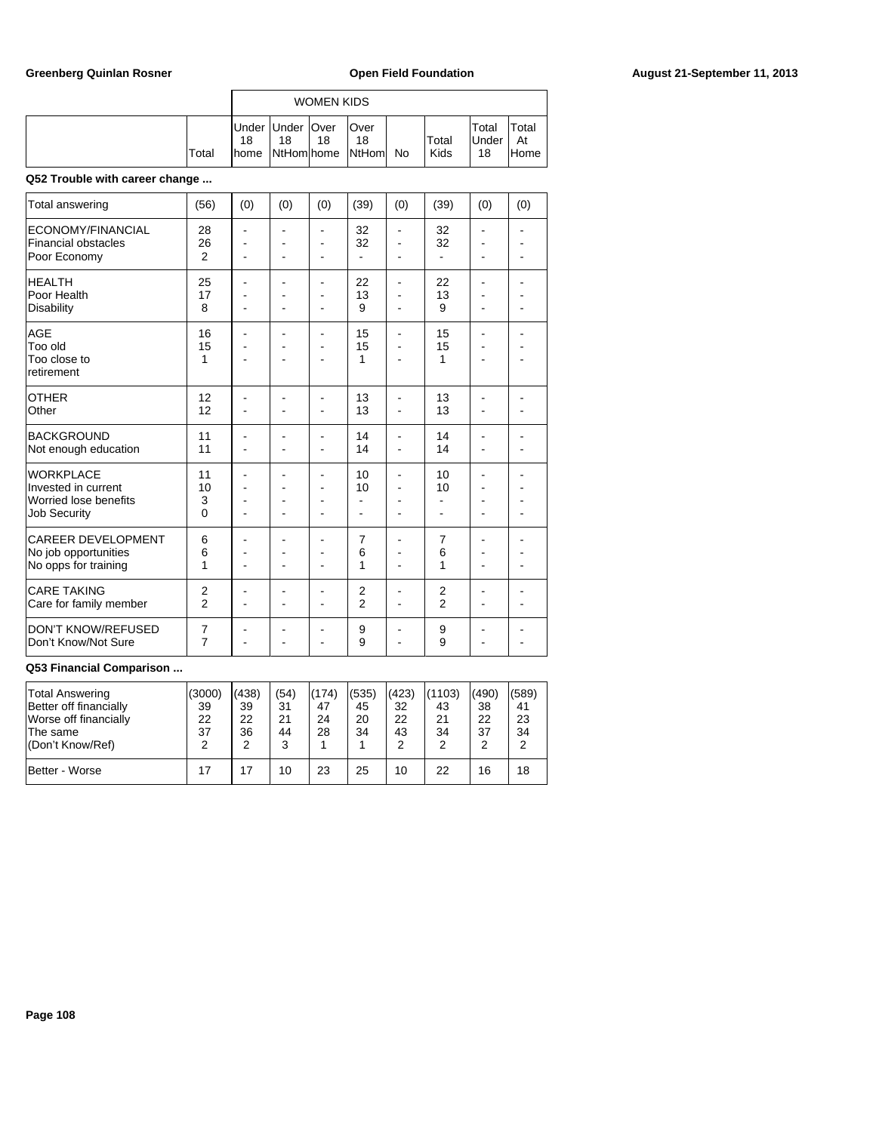|       |             |                                        | <b>WOMEN KIDS</b> |                            |    |               |                              |                      |
|-------|-------------|----------------------------------------|-------------------|----------------------------|----|---------------|------------------------------|----------------------|
| Total | 18<br>Ihome | Under Under   Over<br>18<br>NtHom home | 18                | Over<br>18<br><b>NtHom</b> | No | Total<br>Kids | Total<br><b>IUnder</b><br>18 | Total<br>At<br>lHome |

## **Q52 Trouble with career change ...**

| Total answering                                                                         | (56)                             | (0)                      | (0)            | (0)                                                | (39)                             | (0) | (39)                | (0) | (0) |
|-----------------------------------------------------------------------------------------|----------------------------------|--------------------------|----------------|----------------------------------------------------|----------------------------------|-----|---------------------|-----|-----|
| ECONOMY/FINANCIAL<br><b>Financial obstacles</b><br>Poor Economy                         | 28<br>26<br>2                    | $\blacksquare$           | ۰<br>٠<br>۰    | $\blacksquare$<br>$\blacksquare$<br>$\blacksquare$ | 32<br>32<br>$\blacksquare$       | ۰   | 32<br>32            | ۰   |     |
| <b>HEALTH</b><br>Poor Health<br><b>Disability</b>                                       | 25<br>17<br>8                    |                          | ä,             | ۰<br>$\overline{a}$<br>$\overline{a}$              | 22<br>13<br>9                    |     | 22<br>13<br>9       |     |     |
| <b>AGE</b><br>Too old<br>Too close to<br>retirement                                     | 16<br>15<br>1                    |                          |                | $\qquad \qquad \blacksquare$                       | 15<br>15<br>1                    |     | 15<br>15<br>1       |     |     |
| <b>OTHER</b><br>Other                                                                   | 12<br>12                         |                          |                | ٠                                                  | 13<br>13                         |     | 13<br>13            |     |     |
| <b>BACKGROUND</b><br>Not enough education                                               | 11<br>11                         |                          |                | ۰                                                  | 14<br>14                         |     | 14<br>14            |     |     |
| <b>WORKPLACE</b><br>Invested in current<br>Worried lose benefits<br><b>Job Security</b> | 11<br>10<br>3<br>$\Omega$        | ÷                        | ٠<br>-         | ٠<br>٠                                             | 10<br>10<br>٠                    |     | 10<br>10<br>۰       |     |     |
| <b>CAREER DEVELOPMENT</b><br>No job opportunities<br>No opps for training               | 6<br>6<br>1                      | $\blacksquare$           | $\blacksquare$ | $\overline{\phantom{0}}$<br>۰<br>$\blacksquare$    | 7<br>6<br>1                      |     | 7<br>6<br>1         |     |     |
| <b>CARE TAKING</b><br>Care for family member                                            | $\overline{2}$<br>$\overline{2}$ | $\overline{\phantom{a}}$ | ۰              | ۰<br>$\blacksquare$                                | $\overline{2}$<br>$\overline{2}$ |     | 2<br>$\overline{2}$ |     |     |
| <b>DON'T KNOW/REFUSED</b><br>Don't Know/Not Sure                                        | $\overline{7}$<br>$\overline{7}$ |                          |                | ۰<br>٠                                             | 9<br>9                           | ٠   | 9<br>9              |     |     |

| <b>Total Answering</b><br>Better off financially<br>Worse off financially<br>The same<br>(Don't Know/Ref) | (3000)<br>39<br>22<br>37<br>2 | (438)<br>39<br>22<br>36<br>2 | (54)<br>31<br>21<br>44<br>3 | (174)<br>47<br>24<br>28 | (535)<br>45<br>20<br>34 | (423)<br>32<br>22<br>43<br>2 | (1103)<br>43<br>21<br>34<br>2 | (490)<br>38<br>22<br>37<br>2 | (589)<br>41<br>23<br>34 |
|-----------------------------------------------------------------------------------------------------------|-------------------------------|------------------------------|-----------------------------|-------------------------|-------------------------|------------------------------|-------------------------------|------------------------------|-------------------------|
| IBetter - Worse                                                                                           | 17                            | 17                           | 10                          | 23                      | 25                      | 10                           | 22                            | 16                           | 18                      |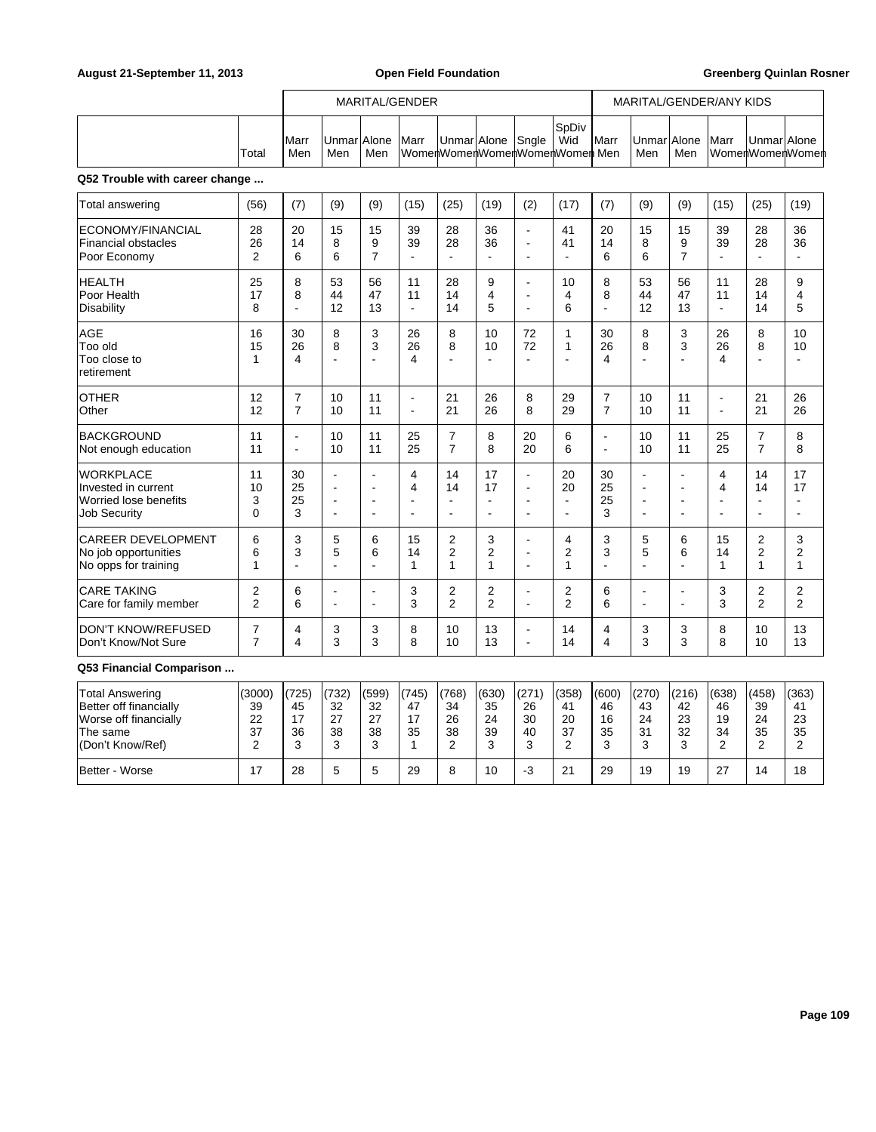|                                |       |              | MARITAL/GENDER           |     |  |                   |  |  |                                                      |               | MARITAL/GENDER/ANY KIDS |     |  |             |                 |
|--------------------------------|-------|--------------|--------------------------|-----|--|-------------------|--|--|------------------------------------------------------|---------------|-------------------------|-----|--|-------------|-----------------|
|                                | Total | IMarr<br>Men | Unmar Alone  Marr<br>Men | Men |  | Unmar Alone Sngle |  |  | <b>S</b> pDiv<br>Wid<br>WomenWomenWomenWomenWomenMen | <b>I</b> Marr | Unmar Alone Marr<br>Men | Men |  | UnmarlAlone | WomenWomenWomen |
| Q52 Trouble with career change |       |              |                          |     |  |                   |  |  |                                                      |               |                         |     |  |             |                 |

| <b>Total answering</b>                              | (56)           | (7)                      | (9)                      | (9)                      | (15)                     | (25)                     | (19)                       | (2)                      | (17)                    | (7)            | (9)            | (9)                      | (15)                     | (25)                     | (19)                    |
|-----------------------------------------------------|----------------|--------------------------|--------------------------|--------------------------|--------------------------|--------------------------|----------------------------|--------------------------|-------------------------|----------------|----------------|--------------------------|--------------------------|--------------------------|-------------------------|
| ECONOMY/FINANCIAL                                   | 28             | 20                       | 15                       | 15                       | 39                       | 28                       | 36                         | $\blacksquare$           | 41                      | 20             | 15             | 15                       | 39                       | 28                       | 36                      |
| Financial obstacles                                 | 26             | 14                       | 8                        | 9                        | 39                       | 28                       | 36                         | $\overline{a}$           | 41                      | 14             | 8              | 9                        | 39                       | 28                       | 36                      |
| Poor Economy                                        | $\overline{2}$ | 6                        | 6                        | 7                        | $\blacksquare$           | $\overline{\phantom{a}}$ | $\blacksquare$             | $\blacksquare$           | $\blacksquare$          | 6              | 6              | $\overline{7}$           | L,                       | $\blacksquare$           | $\blacksquare$          |
| <b>HEALTH</b>                                       | 25             | 8                        | 53                       | 56                       | 11                       | 28                       | 9                          | $\blacksquare$           | 10                      | 8              | 53             | 56                       | 11                       | 28                       | 9                       |
| Poor Health                                         | 17             | 8                        | 44                       | 47                       | 11                       | 14                       | 4                          | ÷.                       | 4                       | 8              | 44             | 47                       | 11                       | 14                       | $\overline{4}$          |
| Disability                                          | 8              | $\overline{\phantom{a}}$ | 12                       | 13                       | $\mathbf{r}$             | 14                       | 5                          | $\overline{a}$           | 6                       | $\overline{a}$ | 12             | 13                       | $\blacksquare$           | 14                       | 5                       |
| <b>AGE</b><br>Too old<br>Too close to<br>retirement | 16<br>15<br>1  | 30<br>26<br>4            | 8<br>8<br>÷              | 3<br>3<br>$\overline{a}$ | 26<br>26<br>4            | 8<br>8                   | 10<br>10<br>$\overline{a}$ | 72<br>72                 | 1<br>$\mathbf{1}$<br>ä, | 30<br>26<br>4  | 8<br>8         | 3<br>3<br>$\overline{a}$ | 26<br>26<br>4            | 8<br>8<br>$\overline{a}$ | 10<br>10<br>÷           |
| <b>OTHER</b>                                        | 12             | $\overline{7}$           | 10                       | 11                       | $\blacksquare$           | 21                       | 26                         | 8                        | 29                      | $\overline{7}$ | 10             | 11                       | $\blacksquare$           | 21                       | 26                      |
| <b>Other</b>                                        | 12             | $\overline{7}$           | 10                       | 11                       |                          | 21                       | 26                         | 8                        | 29                      | $\overline{7}$ | 10             | 11                       | $\overline{\phantom{a}}$ | 21                       | 26                      |
| BACKGROUND                                          | 11             | $\blacksquare$           | 10                       | 11                       | 25                       | $\overline{7}$           | 8                          | 20                       | 6                       | $\overline{a}$ | 10             | 11                       | 25                       | $\overline{7}$           | 8                       |
| Not enough education                                | 11             | $\blacksquare$           | 10                       | 11                       | 25                       | $\overline{7}$           | 8                          | 20                       | 6                       | ÷              | 10             | 11                       | 25                       | $\overline{7}$           | 8                       |
| <b>WORKPLACE</b>                                    | 11             | 30                       | $\blacksquare$           | $\blacksquare$           | 4                        | 14                       | 17                         | $\blacksquare$           | 20                      | 30             | $\overline{a}$ | $\blacksquare$           | 4                        | 14                       | 17                      |
| Invested in current                                 | 10             | 25                       | $\overline{\phantom{a}}$ | $\blacksquare$           | $\overline{\mathbf{4}}$  | 14                       | 17                         | $\blacksquare$           | 20                      | 25             | $\blacksquare$ | $\blacksquare$           | 4                        | 14                       | 17                      |
| Worried lose benefits                               | 3              | 25                       | $\overline{\phantom{a}}$ | $\overline{\phantom{a}}$ | $\overline{\phantom{a}}$ | $\sim$                   | $\overline{a}$             | $\overline{\phantom{a}}$ | $\blacksquare$          | 25             | $\blacksquare$ | $\overline{\phantom{a}}$ | ÷                        | $\blacksquare$           | $\blacksquare$          |
| <b>Job Security</b>                                 | $\mathbf{0}$   | 3                        | $\sim$                   | $\blacksquare$           | $\blacksquare$           | $\blacksquare$           | $\blacksquare$             | $\overline{\phantom{a}}$ | $\blacksquare$          | 3              | $\blacksquare$ | $\blacksquare$           | $\blacksquare$           | $\blacksquare$           | $\blacksquare$          |
| <b>CAREER DEVELOPMENT</b>                           | 6              | 3                        | 5                        | 6                        | 15                       | $\overline{2}$           | 3                          | $\overline{a}$           | 4                       | 3              | 5              | 6                        | 15                       | 2                        | 3                       |
| No job opportunities                                | 6              | 3                        | 5                        | 6                        | 14                       | 2                        | 2                          | $\blacksquare$           | 2                       | 3              | 5              | 6                        | 14                       | $\overline{2}$           | $\boldsymbol{2}$        |
| No opps for training                                | 1              | ٠                        | ÷                        | ۰                        | 1                        | 1                        | 1                          | $\sim$                   | 1                       | ÷              | ۰              | $\sim$                   | 1                        | 1                        | $\mathbf{1}$            |
| <b>CARE TAKING</b>                                  | 2              | 6                        | $\blacksquare$           | $\blacksquare$           | 3                        | 2                        | 2                          | $\blacksquare$           | 2                       | 6              | Ĭ.             | $\blacksquare$           | 3                        | 2                        | $\overline{\mathbf{c}}$ |
| Care for family member                              | $\overline{2}$ | 6                        | $\blacksquare$           | $\blacksquare$           | 3                        | $\overline{2}$           | $\overline{2}$             | $\blacksquare$           | $\overline{2}$          | 6              | $\blacksquare$ | $\blacksquare$           | 3                        | $\overline{2}$           | $\overline{2}$          |
| DON'T KNOW/REFUSED                                  | $\overline{7}$ | 4                        | 3                        | 3                        | 8                        | 10                       | 13                         | $\overline{\phantom{a}}$ | 14                      | 4              | 3              | 3                        | 8                        | 10                       | 13                      |
| Don't Know/Not Sure                                 | $\overline{7}$ | 4                        | 3                        | 3                        | 8                        | 10                       | 13                         | $\blacksquare$           | 14                      | 4              | 3              | 3                        | 8                        | 10                       | 13                      |

# **Q53 Financial Comparison ...**

| Total Answering        | (3000) | 1(725) | (732)    | (599) | (745) | (768)    | (630) | (271) | (358) | (600) | (270)       | (216)       | (638)  | (458) | (363) |
|------------------------|--------|--------|----------|-------|-------|----------|-------|-------|-------|-------|-------------|-------------|--------|-------|-------|
| Better off financially | 39     | 45     | 32       | 32    | 47    | 34       | 35    | 26    | 41    | 46    | 43          | 42          | 46     | 39    | 41    |
| Worse off financially  | 22     | 17     | ר מ<br>∠ | 27    | 17    | 26       | 24    | 30    | 20    | 16    | 24          | 23          | 19     | 24    | 23    |
| The same               | 37     | 36     | 38       | 38    | 35    | 38       | 39    | 40    | 37    | 35    | 31          | 32          | 34     | 35    | 35    |
| (Don't Know/Ref)       |        | w      |          |       |       | <u>.</u> |       |       |       |       | $\sim$<br>υ | $\sim$<br>ن | ⌒<br>∼ | -     | ◠     |
| Better - Worse         |        | 28     |          |       | 29    |          | 10    |       | n,    | 29    | 19          | 19          | 27     | 14    | 18    |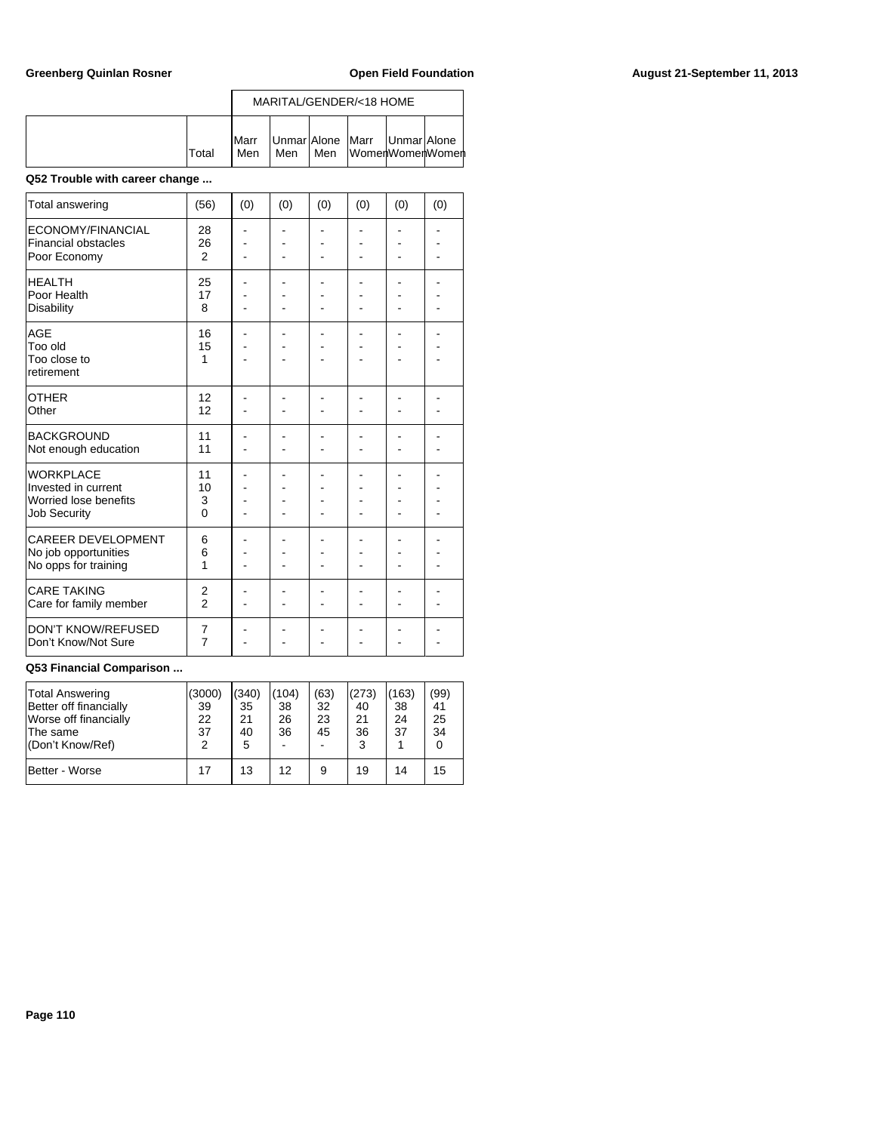|       |                      | MARITAL/GENDER/<18 HOME                 |  |  |  |                       |  |  |  |  |
|-------|----------------------|-----------------------------------------|--|--|--|-----------------------|--|--|--|--|
| Total | <b>I</b> Marr<br>Men | Unmar Alone   Marr   Unmar Alone<br>Men |  |  |  | IMen IWomenWomenWomen |  |  |  |  |

### **Q52 Trouble with career change ...**

| Total answering                                                                         | (56)                             | (0) | (0) | (0) | (0) | (0) | (0) |
|-----------------------------------------------------------------------------------------|----------------------------------|-----|-----|-----|-----|-----|-----|
| ECONOMY/FINANCIAL<br><b>Financial obstacles</b><br>Poor Economy                         | 28<br>26<br>2                    |     |     |     |     |     |     |
| <b>HEALTH</b><br>Poor Health<br><b>Disability</b>                                       | 25<br>17<br>8                    |     |     |     |     |     |     |
| AGF<br>Too old<br>Too close to<br>retirement                                            | 16<br>15<br>1                    |     |     |     |     |     |     |
| <b>OTHER</b><br>Other                                                                   | 12<br>12                         |     |     |     |     |     |     |
| <b>BACKGROUND</b><br>Not enough education                                               | 11<br>11                         |     |     |     |     |     |     |
| <b>WORKPLACE</b><br>Invested in current<br>Worried lose benefits<br><b>Job Security</b> | 11<br>10<br>3<br>$\mathbf{0}$    |     |     |     |     |     |     |
| CAREER DEVELOPMENT<br>No job opportunities<br>No opps for training                      | 6<br>6<br>1                      |     |     |     |     |     |     |
| <b>CARE TAKING</b><br>Care for family member                                            | $\overline{2}$<br>$\overline{2}$ |     |     |     |     |     |     |
| <b>DON'T KNOW/REFUSED</b><br>Don't Know/Not Sure                                        | 7<br>$\overline{7}$              |     |     |     |     |     |     |

### **Q53 Financial Comparison ...**

| Total Answering<br>Better off financially<br>Worse off financially<br>∣The same<br>(Don't Know/Ref) | (3000)<br>39<br>22<br>37<br>2 | (340)<br>35<br>21<br>40<br>5 | (104)<br>38<br>26<br>36 | (63)<br>32<br>23<br>45<br>- | (273)<br>40<br>21<br>36<br>3 | (163)<br>38<br>24<br>37 | (99)<br>41<br>25<br>34<br>0 |
|-----------------------------------------------------------------------------------------------------|-------------------------------|------------------------------|-------------------------|-----------------------------|------------------------------|-------------------------|-----------------------------|
| Better - Worse                                                                                      | 17                            | 13                           | 12                      | 9                           | 19                           | 14                      | 15                          |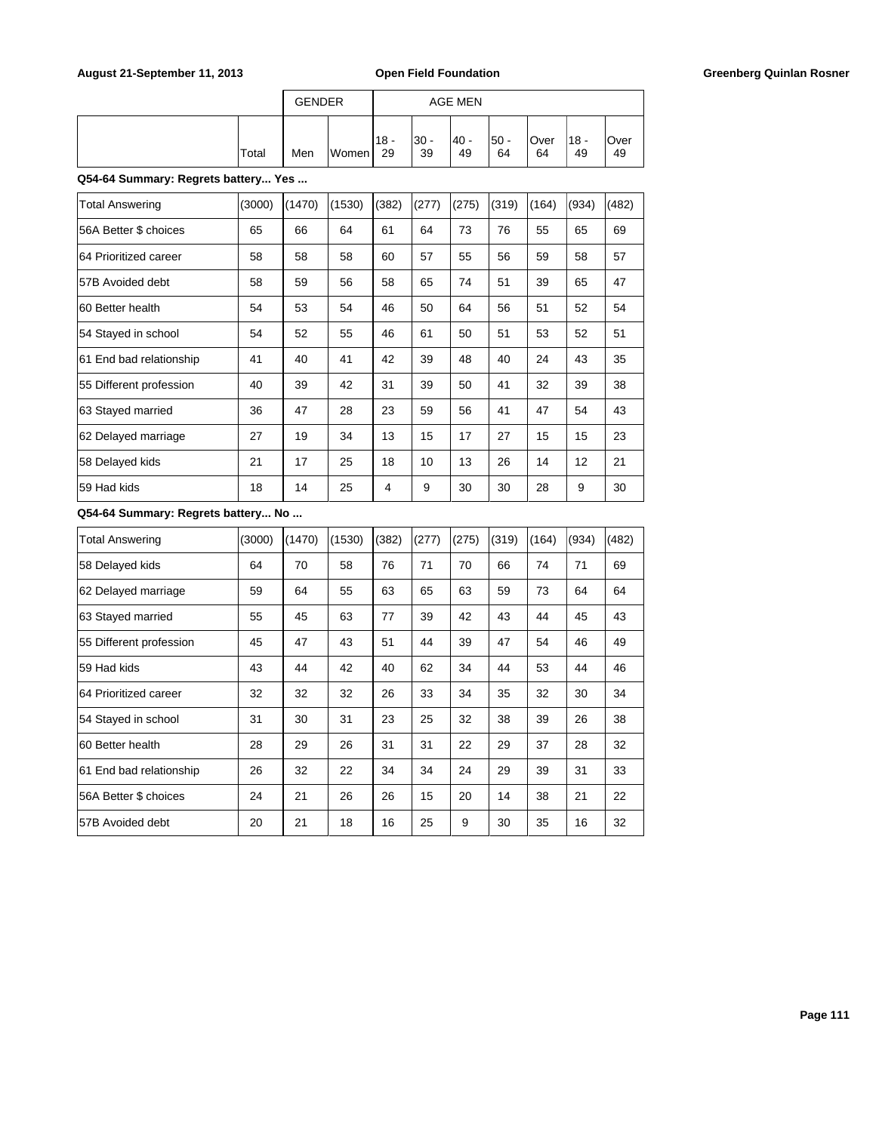| August 21-September 11, 2013        |        |               |        |              | <b>Open Field Foundation</b> |                |              |            |              |            | <b>Greenberg Quinlan Rosner</b> |
|-------------------------------------|--------|---------------|--------|--------------|------------------------------|----------------|--------------|------------|--------------|------------|---------------------------------|
|                                     |        | <b>GENDER</b> |        |              |                              | <b>AGE MEN</b> |              |            |              |            |                                 |
|                                     | Total  | Men           | Women  | $18 -$<br>29 | $30 -$<br>39                 | $40 -$<br>49   | $50 -$<br>64 | Over<br>64 | $18 -$<br>49 | Over<br>49 |                                 |
| Q54-64 Summary: Regrets battery Yes |        |               |        |              |                              |                |              |            |              |            |                                 |
| <b>Total Answering</b>              | (3000) | (1470)        | (1530) | (382)        | (277)                        | (275)          | (319)        | (164)      | (934)        | (482)      |                                 |
| 56A Better \$ choices               | 65     | 66            | 64     | 61           | 64                           | 73             | 76           | 55         | 65           | 69         |                                 |
| 64 Prioritized career               | 58     | 58            | 58     | 60           | 57                           | 55             | 56           | 59         | 58           | 57         |                                 |
| 57B Avoided debt                    | 58     | 59            | 56     | 58           | 65                           | 74             | 51           | 39         | 65           | 47         |                                 |
| 60 Better health                    | 54     | 53            | 54     | 46           | 50                           | 64             | 56           | 51         | 52           | 54         |                                 |
| 54 Stayed in school                 | 54     | 52            | 55     | 46           | 61                           | 50             | 51           | 53         | 52           | 51         |                                 |
| 61 End bad relationship             | 41     | 40            | 41     | 42           | 39                           | 48             | 40           | 24         | 43           | 35         |                                 |
| 55 Different profession             | 40     | 39            | 42     | 31           | 39                           | 50             | 41           | 32         | 39           | 38         |                                 |
| 63 Stayed married                   | 36     | 47            | 28     | 23           | 59                           | 56             | 41           | 47         | 54           | 43         |                                 |
| 62 Delayed marriage                 | 27     | 19            | 34     | 13           | 15                           | 17             | 27           | 15         | 15           | 23         |                                 |
| 58 Delayed kids                     | 21     | 17            | 25     | 18           | 10                           | 13             | 26           | 14         | 12           | 21         |                                 |
| 59 Had kids                         | 18     | 14            | 25     | 4            | 9                            | 30             | 30           | 28         | 9            | 30         |                                 |
| Q54-64 Summary: Regrets battery No  |        |               |        |              |                              |                |              |            |              |            |                                 |
| <b>Total Answering</b>              | (3000) | (1470)        | (1530) | (382)        | (277)                        | (275)          | (319)        | (164)      | (934)        | (482)      |                                 |
| 58 Delayed kids                     | 64     | 70            | 58     | 76           | 71                           | 70             | 66           | 74         | 71           | 69         |                                 |
| 62 Delayed marriage                 | 59     | 64            | 55     | 63           | 65                           | 63             | 59           | 73         | 64           | 64         |                                 |
| 63 Stayed married                   | 55     | 45            | 63     | $77\,$       | 39                           | 42             | 43           | 44         | 45           | 43         |                                 |
| 55 Different profession             | 45     | 47            | 43     | 51           | 44                           | 39             | 47           | 54         | 46           | 49         |                                 |
| 59 Had kids                         | 43     | 44            | 42     | 40           | 62                           | 34             | 44           | 53         | 44           | 46         |                                 |
| 64 Prioritized career               | 32     | 32            | 32     | 26           | 33                           | 34             | 35           | 32         | 30           | 34         |                                 |
| 54 Stayed in school                 | 31     | 30            | 31     | 23           | 25                           | 32             | 38           | 39         | 26           | 38         |                                 |
| 60 Better health                    | 28     | 29            | 26     | 31           | 31                           | 22             | 29           | 37         | 28           | 32         |                                 |
| 61 End bad relationship             | 26     | 32            | 22     | 34           | 34                           | 24             | 29           | 39         | 31           | 33         |                                 |
| 56A Better \$ choices               | 24     | 21            | 26     | 26           | 15                           | 20             | 14           | 38         | 21           | 22         |                                 |
| 57B Avoided debt                    | 20     | 21            | $18\,$ | $16\,$       | 25                           | 9              | 30           | 35         | 16           | 32         |                                 |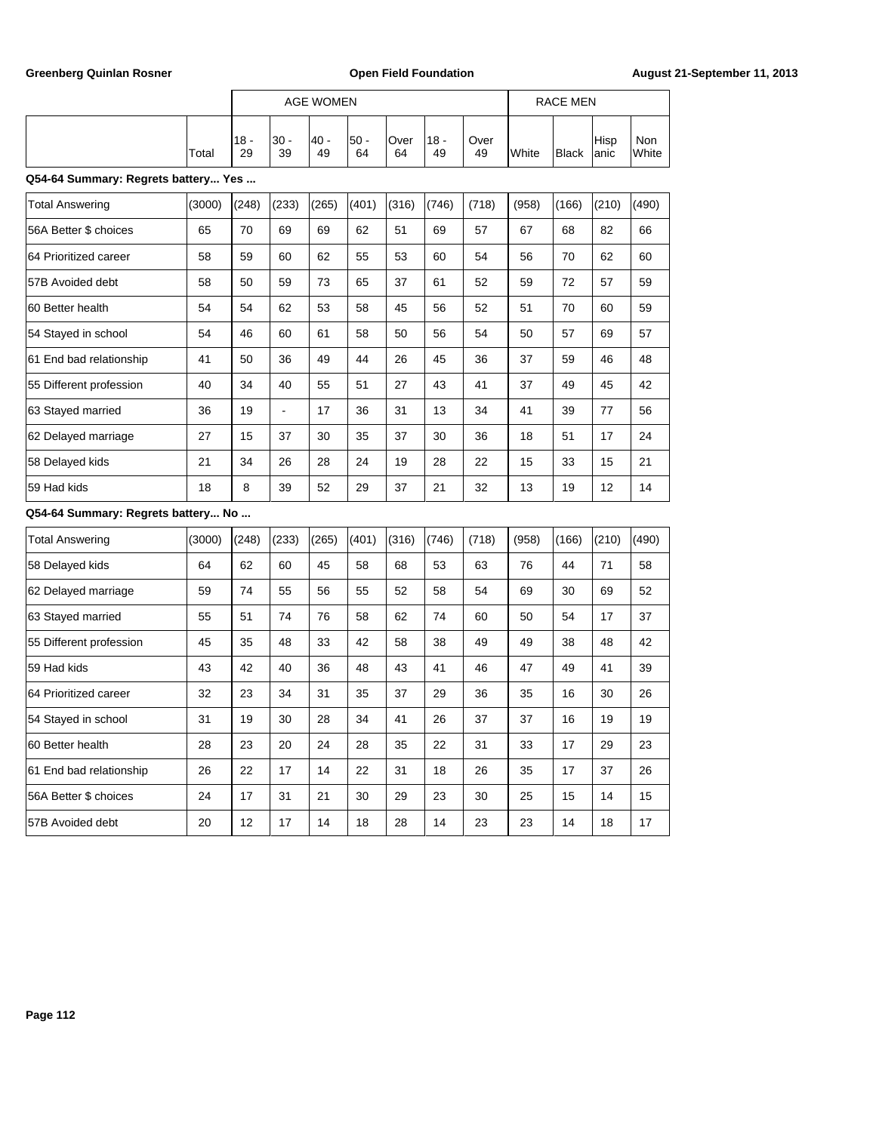|                                     |        |              |            | <b>AGE WOMEN</b> |              |            |              |            |       | <b>RACE MEN</b> |               |              |
|-------------------------------------|--------|--------------|------------|------------------|--------------|------------|--------------|------------|-------|-----------------|---------------|--------------|
|                                     | Total  | $18 -$<br>29 | 30 -<br>39 | $40 -$<br>49     | $50 -$<br>64 | Over<br>64 | $18 -$<br>49 | Over<br>49 | White | <b>Black</b>    | Hisp<br>lanic | Non<br>White |
| Q54-64 Summary: Regrets battery Yes |        |              |            |                  |              |            |              |            |       |                 |               |              |
| <b>Total Answering</b>              | (3000) | (248)        | (233)      | (265)            | (401)        | (316)      | (746)        | (718)      | (958) | (166)           | (210)         | (490)        |
| 56A Better \$ choices               | 65     | 70           | 69         | 69               | 62           | 51         | 69           | 57         | 67    | 68              | 82            | 66           |
| 64 Prioritized career               | 58     | 59           | 60         | 62               | 55           | 53         | 60           | 54         | 56    | 70              | 62            | 60           |
| 57B Avoided debt                    | 58     | 50           | 59         | 73               | 65           | 37         | 61           | 52         | 59    | 72              | 57            | 59           |
| 60 Better health                    | 54     | 54           | 62         | 53               | 58           | 45         | 56           | 52         | 51    | 70              | 60            | 59           |
| 54 Stayed in school                 | 54     | 46           | 60         | 61               | 58           | 50         | 56           | 54         | 50    | 57              | 69            | 57           |
| 61 End bad relationship             | 41     | 50           | 36         | 49               | 44           | 26         | 45           | 36         | 37    | 59              | 46            | 48           |
| 55 Different profession             | 40     | 34           | 40         | 55               | 51           | 27         | 43           | 41         | 37    | 49              | 45            | 42           |
| 63 Stayed married                   | 36     | 19           | ÷,         | 17               | 36           | 31         | 13           | 34         | 41    | 39              | 77            | 56           |
| 62 Delayed marriage                 | 27     | 15           | 37         | 30               | 35           | 37         | 30           | 36         | 18    | 51              | 17            | 24           |
| 58 Delayed kids                     | 21     | 34           | 26         | 28               | 24           | 19         | 28           | 22         | 15    | 33              | 15            | 21           |
| 59 Had kids                         | 18     | 8            | 39         | 52               | 29           | 37         | 21           | 32         | 13    | 19              | 12            | 14           |
| Q54-64 Summary: Regrets battery No  |        |              |            |                  |              |            |              |            |       |                 |               |              |
| <b>Total Answering</b>              | (3000) | (248)        | (233)      | (265)            | (401)        | (316)      | (746)        | (718)      | (958) | (166)           | (210)         | (490)        |
| 58 Delayed kids                     | 64     | 62           | 60         | 45               | 58           | 68         | 53           | 63         | 76    | 44              | 71            | 58           |
| 62 Delayed marriage                 | 59     | 74           | 55         | 56               | 55           | 52         | 58           | 54         | 69    | 30              | 69            | 52           |
| 63 Stayed married                   | 55     | 51           | 74         | 76               | 58           | 62         | 74           | 60         | 50    | 54              | 17            | 37           |
| 55 Different profession             | 45     | 35           | 48         | 33               | 42           | 58         | 38           | 49         | 49    | 38              | 48            | 42           |
| 59 Had kids                         | 43     | 42           | 40         | 36               | 48           | 43         | 41           | 46         | 47    | 49              | 41            | 39           |
| 64 Prioritized career               | 32     | 23           | 34         | 31               | 35           | 37         | 29           | 36         | 35    | 16              | 30            | 26           |
| 54 Stayed in school                 | 31     | 19           | 30         | 28               | 34           | 41         | 26           | 37         | 37    | 16              | 19            | 19           |
| 60 Better health                    | 28     | 23           | 20         | 24               | 28           | 35         | 22           | 31         | 33    | 17              | 29            | 23           |
| 61 End bad relationship             | 26     | 22           | 17         | 14               | 22           | 31         | 18           | 26         | 35    | 17              | 37            | 26           |
| 56A Better \$ choices               | 24     | 17           | 31         | 21               | 30           | 29         | 23           | 30         | 25    | 15              | 14            | 15           |
| 57B Avoided debt                    | 20     | 12           | 17         | 14               | 18           | 28         | 14           | 23         | 23    | 14              | 18            | 17           |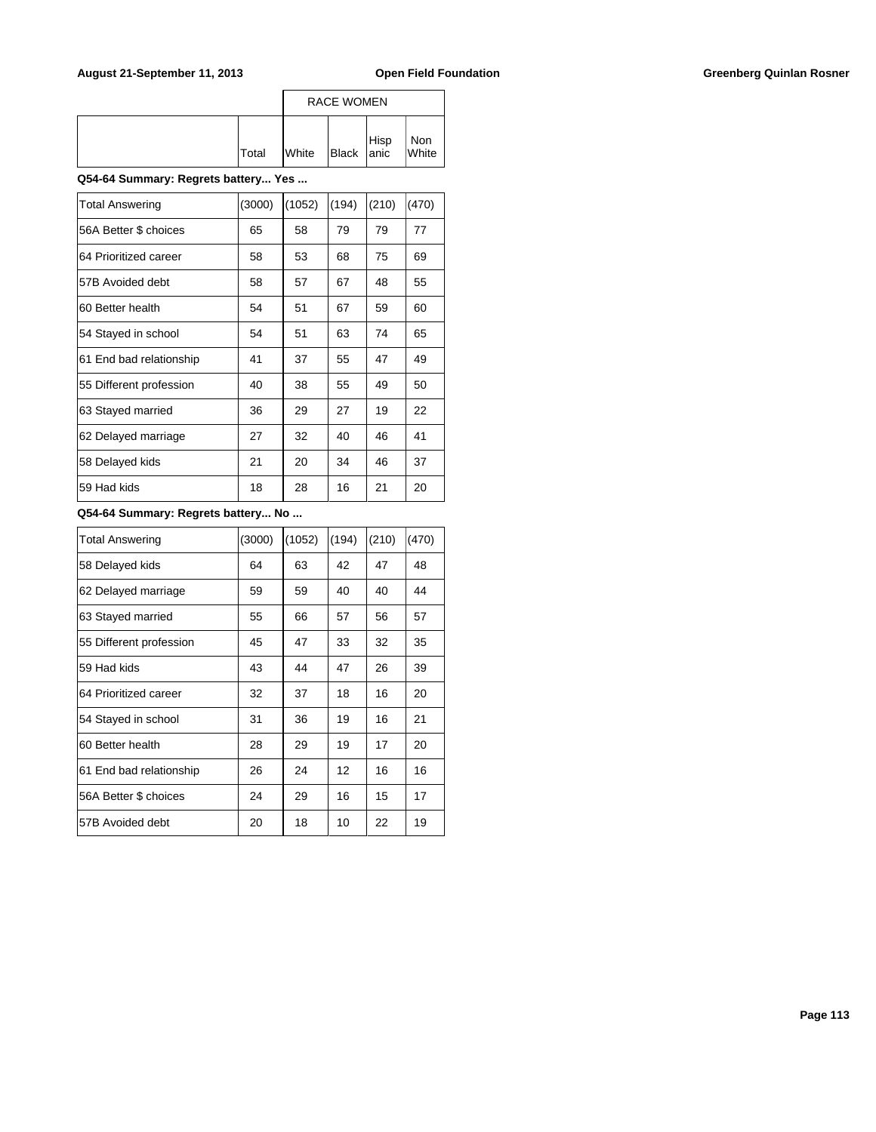### August 21-September 11, 2013 **Open Field Foundation Greenberg Quinlan Rosner Greenberg Quinlan Rosner**

|              |                | <b>RACE WOMEN</b> |      |              |
|--------------|----------------|-------------------|------|--------------|
| <b>Total</b> | <b>I</b> White | Black anic        | Hisp | Non<br>White |

### **Q54-64 Summary: Regrets battery... Yes ...**

| <b>Total Answering</b>  | (3000) | (1052) | (194) | (210) | (470) |
|-------------------------|--------|--------|-------|-------|-------|
| 56A Better \$ choices   | 65     | 58     | 79    | 79    | 77    |
| 64 Prioritized career   | 58     | 53     | 68    | 75    | 69    |
| 57B Avoided debt        | 58     | 57     | 67    | 48    | 55    |
| 60 Better health        | 54     | 51     | 67    | 59    | 60    |
| 54 Stayed in school     | 54     | 51     | 63    | 74    | 65    |
| 61 End bad relationship | 41     | 37     | 55    | 47    | 49    |
| 55 Different profession | 40     | 38     | 55    | 49    | 50    |
| 63 Stayed married       | 36     | 29     | 27    | 19    | 22    |
| 62 Delayed marriage     | 27     | 32     | 40    | 46    | 41    |
| 58 Delayed kids         | 21     | 20     | 34    | 46    | 37    |
| 59 Had kids             | 18     | 28     | 16    | 21    | 20    |

| <b>Total Answering</b>  | (3000) | (1052) | (194) | (210) | (470) |
|-------------------------|--------|--------|-------|-------|-------|
| 58 Delayed kids         | 64     | 63     | 42    | 47    | 48    |
| 62 Delayed marriage     | 59     | 59     | 40    | 40    | 44    |
| 63 Stayed married       | 55     | 66     | 57    | 56    | 57    |
| 55 Different profession | 45     | 47     | 33    | 32    | 35    |
| 59 Had kids             | 43     | 44     | 47    | 26    | 39    |
| 64 Prioritized career   | 32     | 37     | 18    | 16    | 20    |
| 54 Stayed in school     | 31     | 36     | 19    | 16    | 21    |
| 60 Better health        | 28     | 29     | 19    | 17    | 20    |
| 61 End bad relationship | 26     | 24     | 12    | 16    | 16    |
| 56A Better \$ choices   | 24     | 29     | 16    | 15    | 17    |
| 57B Avoided debt        | 20     | 18     | 10    | 22    | 19    |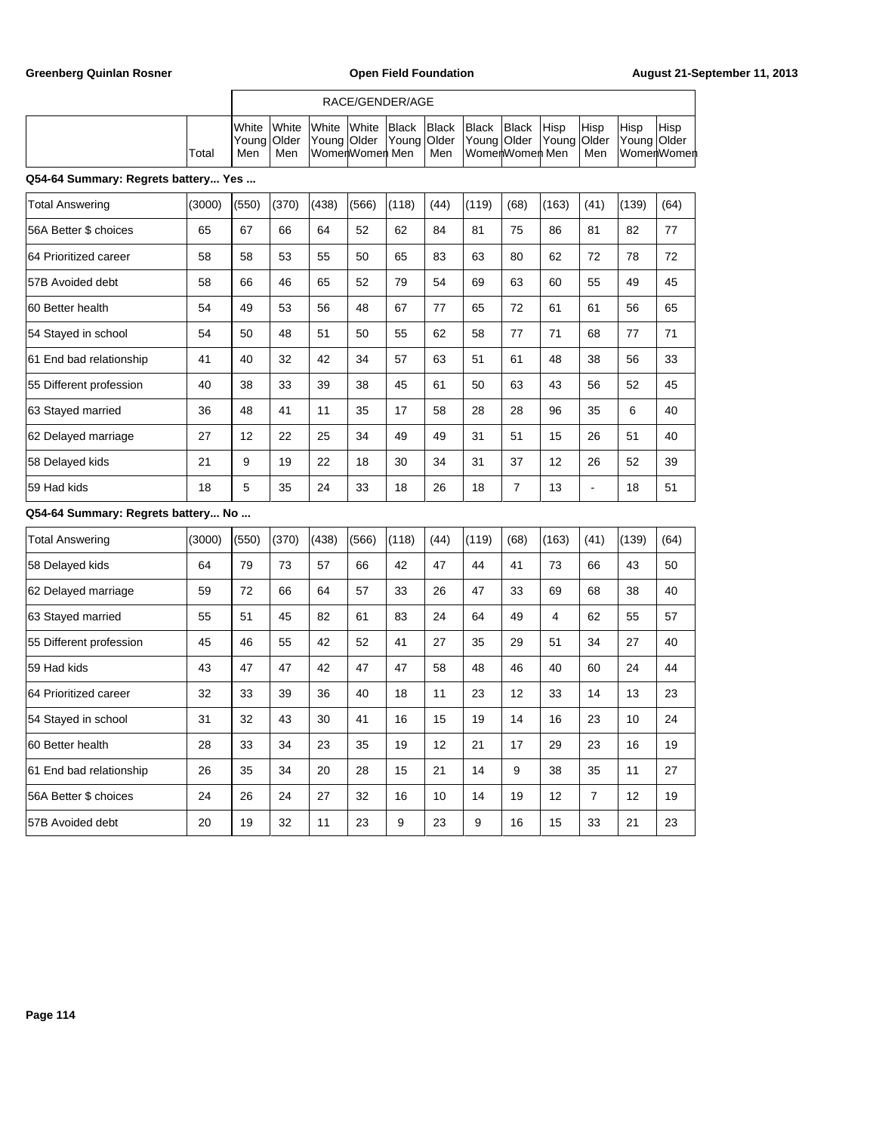|       |                                                                                                                                                           | RACE/GENDER/AGE |  |                   |  |  |                         |  |  |                    |       |                       |  |
|-------|-----------------------------------------------------------------------------------------------------------------------------------------------------------|-----------------|--|-------------------|--|--|-------------------------|--|--|--------------------|-------|-----------------------|--|
| Total | <b>IWhite White White White Black Black Black Black Hisp</b><br>Young  Older  Young  Older  Young  Older  Young  Older  Young  Older  Young  Older<br>Men | Men             |  | lWomerlWomerl Men |  |  | l Men IWomerlWomerl Men |  |  | <b>Hisp</b><br>Men | 'Hisp | Hisp<br>∣WomerlWomerl |  |

### **Q54-64 Summary: Regrets battery... Yes ...**

|    |                                 | (370) | (438) | (566) | (118) | (44) | (119) | (68) | (163) | (41) | (139) | (64) |
|----|---------------------------------|-------|-------|-------|-------|------|-------|------|-------|------|-------|------|
| 65 | 67                              | 66    | 64    | 52    | 62    | 84   | 81    | 75   | 86    | 81   | 82    | 77   |
| 58 | 58                              | 53    | 55    | 50    | 65    | 83   | 63    | 80   | 62    | 72   | 78    | 72   |
| 58 | 66                              | 46    | 65    | 52    | 79    | 54   | 69    | 63   | 60    | 55   | 49    | 45   |
| 54 | 49                              | 53    | 56    | 48    | 67    | 77   | 65    | 72   | 61    | 61   | 56    | 65   |
| 54 | 50                              | 48    | 51    | 50    | 55    | 62   | 58    | 77   | 71    | 68   | 77    | 71   |
| 41 | 40                              | 32    | 42    | 34    | 57    | 63   | 51    | 61   | 48    | 38   | 56    | 33   |
| 40 | 38                              | 33    | 39    | 38    | 45    | 61   | 50    | 63   | 43    | 56   | 52    | 45   |
| 36 | 48                              | 41    | 11    | 35    | 17    | 58   | 28    | 28   | 96    | 35   | 6     | 40   |
| 27 | 12                              | 22    | 25    | 34    | 49    | 49   | 31    | 51   | 15    | 26   | 51    | 40   |
| 21 | 9                               | 19    | 22    | 18    | 30    | 34   | 31    | 37   | 12    | 26   | 52    | 39   |
| 18 | 5                               | 35    | 24    | 33    | 18    | 26   | 18    | 7    | 13    | ٠    | 18    | 51   |
|    | 054-64 Summary: Regrets hattery | N٥    |       |       |       |      |       |      |       |      |       |      |

| <b>Total Answering</b>  | (3000) | (550) | (370) | (438) | (566) | (118) | (44) | (119) | (68) | (163) | (41)           | (139) | (64) |
|-------------------------|--------|-------|-------|-------|-------|-------|------|-------|------|-------|----------------|-------|------|
| 58 Delayed kids         | 64     | 79    | 73    | 57    | 66    | 42    | 47   | 44    | 41   | 73    | 66             | 43    | 50   |
| 62 Delayed marriage     | 59     | 72    | 66    | 64    | 57    | 33    | 26   | 47    | 33   | 69    | 68             | 38    | 40   |
| 63 Stayed married       | 55     | 51    | 45    | 82    | 61    | 83    | 24   | 64    | 49   | 4     | 62             | 55    | 57   |
| 55 Different profession | 45     | 46    | 55    | 42    | 52    | 41    | 27   | 35    | 29   | 51    | 34             | 27    | 40   |
| 159 Had kids            | 43     | 47    | 47    | 42    | 47    | 47    | 58   | 48    | 46   | 40    | 60             | 24    | 44   |
| 164 Prioritized career  | 32     | 33    | 39    | 36    | 40    | 18    | 11   | 23    | 12   | 33    | 14             | 13    | 23   |
| 54 Stayed in school     | 31     | 32    | 43    | 30    | 41    | 16    | 15   | 19    | 14   | 16    | 23             | 10    | 24   |
| 160 Better health       | 28     | 33    | 34    | 23    | 35    | 19    | 12   | 21    | 17   | 29    | 23             | 16    | 19   |
| 61 End bad relationship | 26     | 35    | 34    | 20    | 28    | 15    | 21   | 14    | 9    | 38    | 35             | 11    | 27   |
| 56A Better \$ choices   | 24     | 26    | 24    | 27    | 32    | 16    | 10   | 14    | 19   | 12    | $\overline{7}$ | 12    | 19   |
| 57B Avoided debt        | 20     | 19    | 32    | 11    | 23    | 9     | 23   | 9     | 16   | 15    | 33             | 21    | 23   |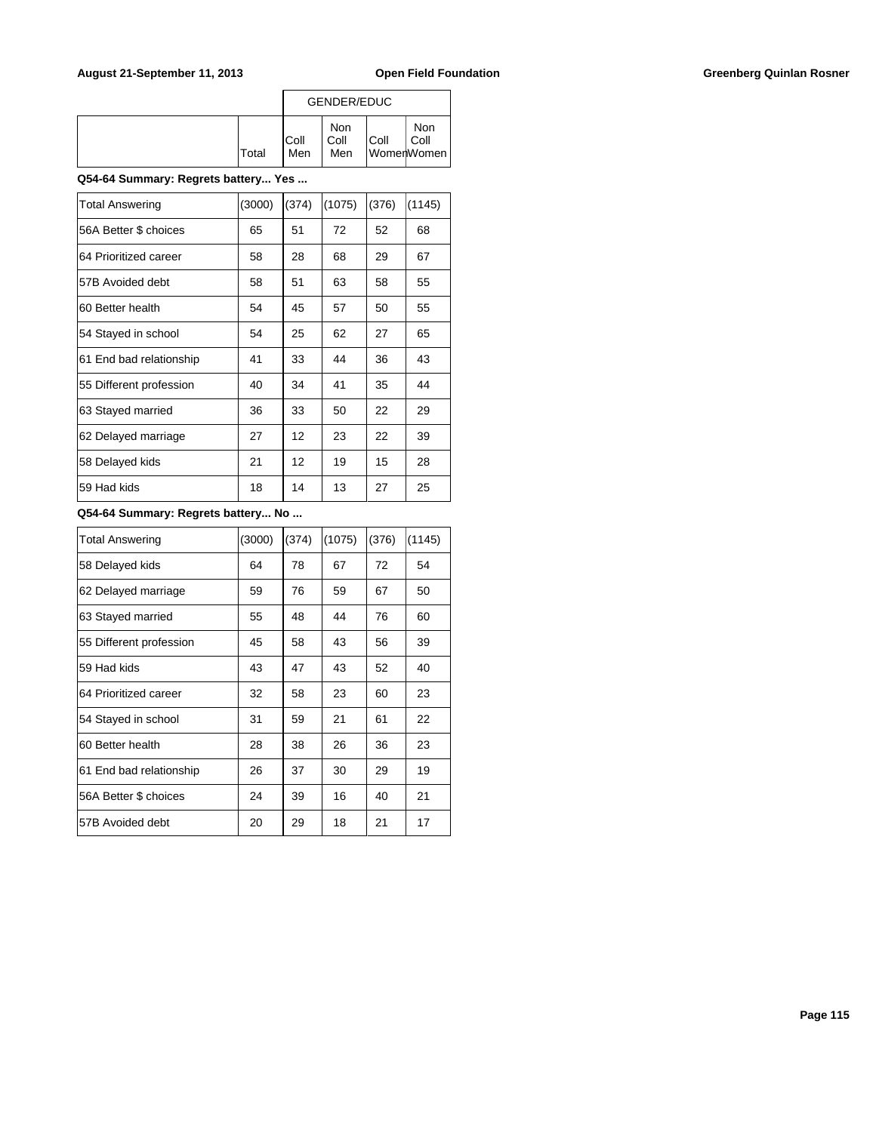### August 21-September 11, 2013 **Open Field Foundation Greenberg Quinlan Rosner Greenberg Quinlan Rosner**

|              |              | GENDER/EDUC        |      |                           |
|--------------|--------------|--------------------|------|---------------------------|
| <b>Total</b> | IColl<br>Men | Non<br>Coll<br>Men | Coll | Non<br>Coll<br>WomerWomen |

### **Q54-64 Summary: Regrets battery... Yes ...**

| <b>Total Answering</b>  | (3000) | (374) | (1075) | (376) | (1145) |
|-------------------------|--------|-------|--------|-------|--------|
| 56A Better \$ choices   | 65     | 51    | 72     | 52    | 68     |
| 64 Prioritized career   | 58     | 28    | 68     | 29    | 67     |
| 57B Avoided debt        | 58     | 51    | 63     | 58    | 55     |
| 60 Better health        | 54     | 45    | 57     | 50    | 55     |
| 54 Stayed in school     | 54     | 25    | 62     | 27    | 65     |
| 61 End bad relationship | 41     | 33    | 44     | 36    | 43     |
| 55 Different profession | 40     | 34    | 41     | 35    | 44     |
| 63 Stayed married       | 36     | 33    | 50     | 22    | 29     |
| 62 Delayed marriage     | 27     | 12    | 23     | 22    | 39     |
| 58 Delayed kids         | 21     | 12    | 19     | 15    | 28     |
| 59 Had kids             | 18     | 14    | 13     | 27    | 25     |

| <b>Total Answering</b>  | (3000) | (374) | (1075) | (376) | (1145) |
|-------------------------|--------|-------|--------|-------|--------|
| 58 Delayed kids         | 64     | 78    | 67     | 72    | 54     |
| 62 Delayed marriage     | 59     | 76    | 59     | 67    | 50     |
| 63 Stayed married       | 55     | 48    | 44     | 76    | 60     |
| 55 Different profession | 45     | 58    | 43     | 56    | 39     |
| 59 Had kids             | 43     | 47    | 43     | 52    | 40     |
| 64 Prioritized career   | 32     | 58    | 23     | 60    | 23     |
| 54 Stayed in school     | 31     | 59    | 21     | 61    | 22     |
| 60 Better health        | 28     | 38    | 26     | 36    | 23     |
| 61 End bad relationship | 26     | 37    | 30     | 29    | 19     |
| 56A Better \$ choices   | 24     | 39    | 16     | 40    | 21     |
| 57B Avoided debt        | 20     | 29    | 18     | 21    | 17     |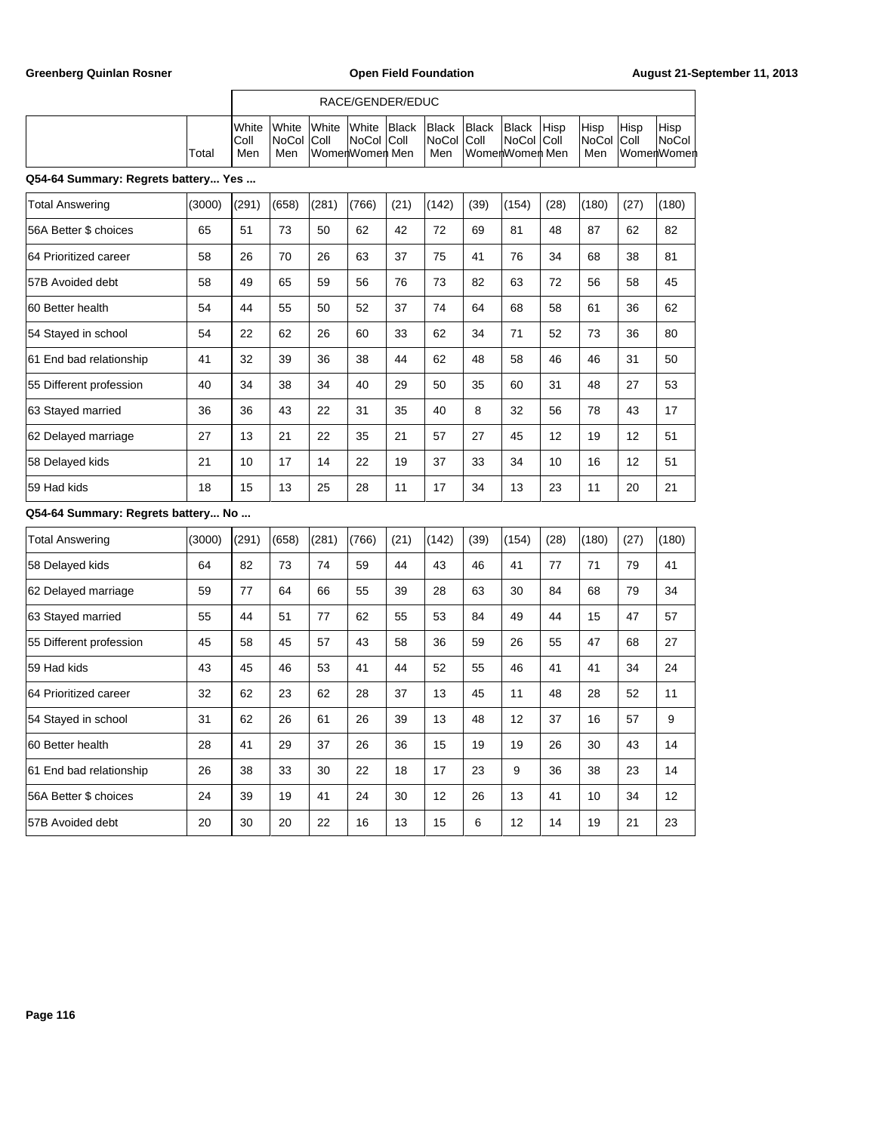|                                     |                | RACE/GENDER/EDUC    |                                                          |              |  |                                    |                |                          |  |                                  |      |                                     |  |  |  |
|-------------------------------------|----------------|---------------------|----------------------------------------------------------|--------------|--|------------------------------------|----------------|--------------------------|--|----------------------------------|------|-------------------------------------|--|--|--|
| Total                               | IColl<br>l Men | INoCol IColl<br>Men | <b>I</b> White White White White Black<br>WomenWomen Men | ∣NoCol ∣Coll |  | Black Black<br> NoCol  Coll<br>Men | WomenWomen Men | Black Hisp<br>NoCol Coll |  | <b>Hisp</b><br>NoCol Coll<br>Men | Hisp | Hisp<br> NoCol<br><b>WomenWomen</b> |  |  |  |
| Q54-64 Summary: Regrets battery Yes |                |                     |                                                          |              |  |                                    |                |                          |  |                                  |      |                                     |  |  |  |

| <b>Total Answering</b>  | (3000) | (291) | (658) | (281) | (766) | (21) | (142) | (39) | (154) | (28) | (180) | (27) | (180) |
|-------------------------|--------|-------|-------|-------|-------|------|-------|------|-------|------|-------|------|-------|
| 56A Better \$ choices   | 65     | 51    | 73    | 50    | 62    | 42   | 72    | 69   | 81    | 48   | 87    | 62   | 82    |
| 64 Prioritized career   | 58     | 26    | 70    | 26    | 63    | 37   | 75    | 41   | 76    | 34   | 68    | 38   | 81    |
| 57B Avoided debt        | 58     | 49    | 65    | 59    | 56    | 76   | 73    | 82   | 63    | 72   | 56    | 58   | 45    |
| 60 Better health        | 54     | 44    | 55    | 50    | 52    | 37   | 74    | 64   | 68    | 58   | 61    | 36   | 62    |
| 54 Stayed in school     | 54     | 22    | 62    | 26    | 60    | 33   | 62    | 34   | 71    | 52   | 73    | 36   | 80    |
| 61 End bad relationship | 41     | 32    | 39    | 36    | 38    | 44   | 62    | 48   | 58    | 46   | 46    | 31   | 50    |
| 55 Different profession | 40     | 34    | 38    | 34    | 40    | 29   | 50    | 35   | 60    | 31   | 48    | 27   | 53    |
| 63 Stayed married       | 36     | 36    | 43    | 22    | 31    | 35   | 40    | 8    | 32    | 56   | 78    | 43   | 17    |
| 62 Delayed marriage     | 27     | 13    | 21    | 22    | 35    | 21   | 57    | 27   | 45    | 12   | 19    | 12   | 51    |
| 58 Delayed kids         | 21     | 10    | 17    | 14    | 22    | 19   | 37    | 33   | 34    | 10   | 16    | 12   | 51    |
| 59 Had kids             | 18     | 15    | 13    | 25    | 28    | 11   | 17    | 34   | 13    | 23   | 11    | 20   | 21    |

| <b>Total Answering</b>  | (3000) | (291) | (658) | (281) | (766) | (21) | (142) | (39) | (154) | (28) | (180) | (27) | (180) |
|-------------------------|--------|-------|-------|-------|-------|------|-------|------|-------|------|-------|------|-------|
| 58 Delayed kids         | 64     | 82    | 73    | 74    | 59    | 44   | 43    | 46   | 41    | 77   | 71    | 79   | 41    |
| 62 Delayed marriage     | 59     | 77    | 64    | 66    | 55    | 39   | 28    | 63   | 30    | 84   | 68    | 79   | 34    |
| 63 Stayed married       | 55     | 44    | 51    | 77    | 62    | 55   | 53    | 84   | 49    | 44   | 15    | 47   | 57    |
| 55 Different profession | 45     | 58    | 45    | 57    | 43    | 58   | 36    | 59   | 26    | 55   | 47    | 68   | 27    |
| 59 Had kids             | 43     | 45    | 46    | 53    | 41    | 44   | 52    | 55   | 46    | 41   | 41    | 34   | 24    |
| 164 Prioritized career  | 32     | 62    | 23    | 62    | 28    | 37   | 13    | 45   | 11    | 48   | 28    | 52   | 11    |
| 54 Stayed in school     | 31     | 62    | 26    | 61    | 26    | 39   | 13    | 48   | 12    | 37   | 16    | 57   | 9     |
| 60 Better health        | 28     | 41    | 29    | 37    | 26    | 36   | 15    | 19   | 19    | 26   | 30    | 43   | 14    |
| 61 End bad relationship | 26     | 38    | 33    | 30    | 22    | 18   | 17    | 23   | 9     | 36   | 38    | 23   | 14    |
| 56A Better \$ choices   | 24     | 39    | 19    | 41    | 24    | 30   | 12    | 26   | 13    | 41   | 10    | 34   | 12    |
| 57B Avoided debt        | 20     | 30    | 20    | 22    | 16    | 13   | 15    | 6    | 12    | 14   | 19    | 21   | 23    |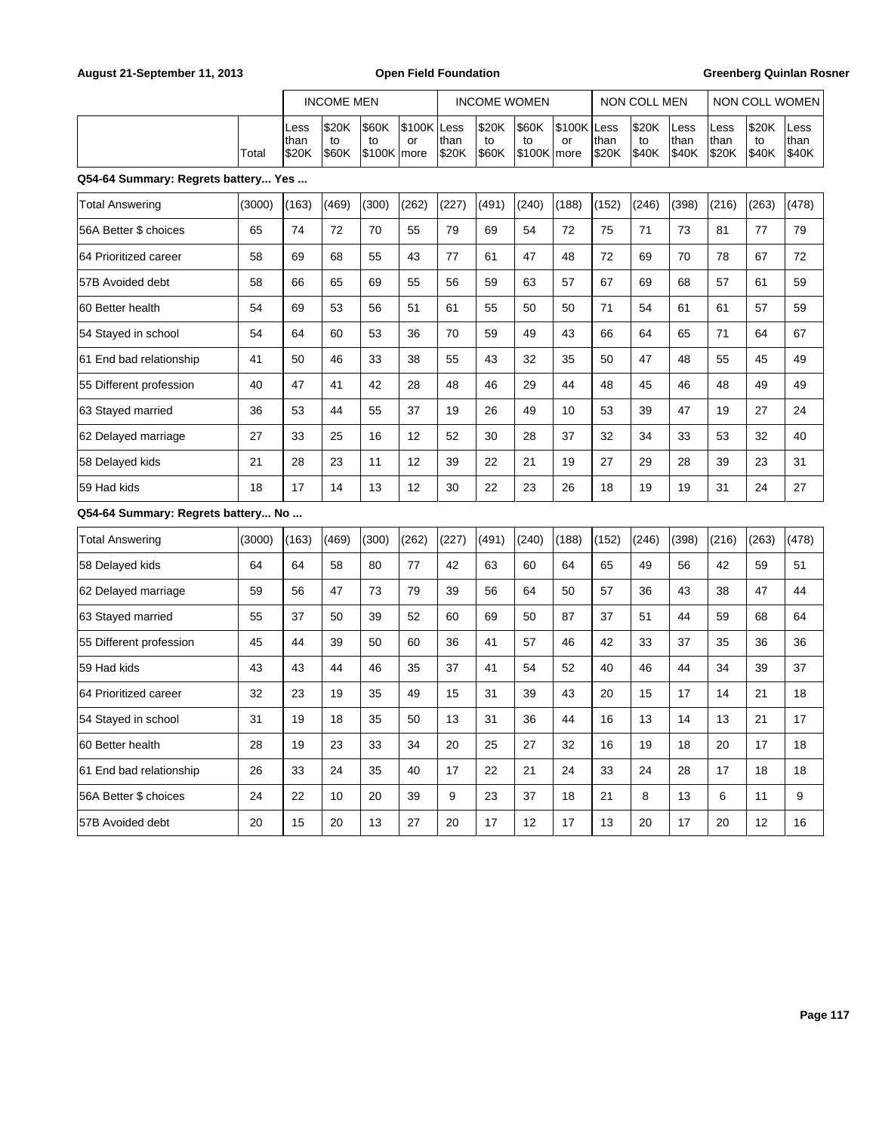### August 21-September 11, 2013 **Open Field Foundation Greenberg Quinlan Rosner Greenberg Quinlan Rosner**

|                                     |        |                       | <b>INCOME MEN</b>    |                               |                   | <b>INCOME WOMEN</b> |                      |                             |                   | NON COLL MEN  |                      | NON COLL WOMEN        |                       |                      |                       |
|-------------------------------------|--------|-----------------------|----------------------|-------------------------------|-------------------|---------------------|----------------------|-----------------------------|-------------------|---------------|----------------------|-----------------------|-----------------------|----------------------|-----------------------|
|                                     | Total  | Less<br>than<br>\$20K | \$20K<br>to<br>\$60K | \$60K<br>to<br> \$100K   more | \$100K Less<br>or | than<br>\$20K       | \$20K<br>to<br>\$60K | \$60K<br>to<br>$$100K$ more | \$100K Less<br>or | than<br>\$20K | \$20K<br>to<br>\$40K | Less<br>than<br>\$40K | Less<br>than<br>\$20K | \$20K<br>to<br>\$40K | Less<br>than<br>\$40K |
| Q54-64 Summary: Regrets battery Yes |        |                       |                      |                               |                   |                     |                      |                             |                   |               |                      |                       |                       |                      |                       |
| <b>Total Answering</b>              | (3000) | (163)                 | (469)                | (300)                         | (262)             | (227)               | (491)                | (240)                       | (188)             | (152)         | (246)                | (398)                 | (216)                 | (263)                | (478)                 |
| 56A Better \$ choices               | 65     | 74                    | 72                   | 70                            | 55                | 79                  | 69                   | 54                          | 72                | 75            | 71                   | 73                    | 81                    | 77                   | 79                    |
| 64 Prioritized career               | 58     | 69                    | 68                   | 55                            | 43                | 77                  | 61                   | 47                          | 48                | 72            | 69                   | 70                    | 78                    | 67                   | 72                    |
| 57B Avoided debt                    | 58     | 66                    | 65                   | 69                            | 55                | 56                  | 59                   | 63                          | 57                | 67            | 69                   | 68                    | 57                    | 61                   | 59                    |
| 60 Better health                    | 54     | 69                    | 53                   | 56                            | 51                | 61                  | 55                   | 50                          | 50                | 71            | 54                   | 61                    | 61                    | 57                   | 59                    |
| 54 Stayed in school                 | 54     | 64                    | 60                   | 53                            | 36                | 70                  | 59                   | 49                          | 43                | 66            | 64                   | 65                    | 71                    | 64                   | 67                    |
| 61 End bad relationship             | 41     | 50                    | 46                   | 33                            | 38                | 55                  | 43                   | 32                          | 35                | 50            | 47                   | 48                    | 55                    | 45                   | 49                    |
| 55 Different profession             | 40     | 47                    | 41                   | 42                            | 28                | 48                  | 46                   | 29                          | 44                | 48            | 45                   | 46                    | 48                    | 49                   | 49                    |
| 63 Stayed married                   | 36     | 53                    | 44                   | 55                            | 37                | 19                  | 26                   | 49                          | 10                | 53            | 39                   | 47                    | 19                    | 27                   | 24                    |
| 62 Delayed marriage                 | 27     | 33                    | 25                   | 16                            | 12                | 52                  | 30                   | 28                          | 37                | 32            | 34                   | 33                    | 53                    | 32                   | 40                    |
| 58 Delayed kids                     | 21     | 28                    | 23                   | 11                            | 12                | 39                  | 22                   | 21                          | 19                | 27            | 29                   | 28                    | 39                    | 23                   | 31                    |
| 59 Had kids                         | 18     | 17                    | 14                   | 13                            | 12                | 30                  | 22                   | 23                          | 26                | 18            | 19                   | 19                    | 31                    | 24                   | 27                    |
| Q54-64 Summary: Regrets battery No  |        |                       |                      |                               |                   |                     |                      |                             |                   |               |                      |                       |                       |                      |                       |
| <b>Total Answering</b>              | (3000) | (163)                 | (469)                | (300)                         | (262)             | (227)               | (491)                | (240)                       | (188)             | (152)         | (246)                | (398)                 | (216)                 | (263)                | (478)                 |
| 58 Delayed kids                     | 64     | 64                    | 58                   | 80                            | 77                | 42                  | 63                   | 60                          | 64                | 65            | 49                   | 56                    | 42                    | 59                   | 51                    |
| 62 Delayed marriage                 | 59     | 56                    | 47                   | 73                            | 79                | 39                  | 56                   | 64                          | 50                | 57            | 36                   | 43                    | 38                    | 47                   | 44                    |
| 63 Stayed married                   | 55     | 37                    | 50                   | 39                            | 52                | 60                  | 69                   | 50                          | 87                | 37            | 51                   | 44                    | 59                    | 68                   | 64                    |
| 55 Different profession             | 45     | 44                    | 39                   | 50                            | 60                | 36                  | 41                   | 57                          | 46                | 42            | 33                   | 37                    | 35                    | 36                   | 36                    |
| 59 Had kids                         | 43     | 43                    | 44                   | 46                            | 35                | 37                  | 41                   | 54                          | 52                | 40            | 46                   | 44                    | 34                    | 39                   | 37                    |
| 64 Prioritized career               | 32     | 23                    | 19                   | 35                            | 49                | 15                  | 31                   | 39                          | 43                | 20            | 15                   | 17                    | 14                    | 21                   | 18                    |
| 54 Stayed in school                 | 31     | 19                    | 18                   | 35                            | 50                | 13                  | 31                   | 36                          | 44                | 16            | 13                   | 14                    | 13                    | 21                   | 17                    |
| 60 Better health                    | 28     | 19                    | 23                   | 33                            | 34                | 20                  | 25                   | 27                          | 32                | 16            | 19                   | 18                    | 20                    | 17                   | 18                    |
| 61 End bad relationship             | 26     | 33                    | 24                   | 35                            | 40                | 17                  | 22                   | 21                          | 24                | 33            | 24                   | 28                    | 17                    | 18                   | 18                    |
| 56A Better \$ choices               | 24     | 22                    | 10                   | 20                            | 39                | 9                   | 23                   | 37                          | 18                | 21            | 8                    | 13                    | 6                     | 11                   | 9                     |
| 57B Avoided debt                    | 20     | 15                    | 20                   | 13                            | 27                | 20                  | 17                   | 12                          | 17                | 13            | 20                   | 17                    | 20                    | 12                   | 16                    |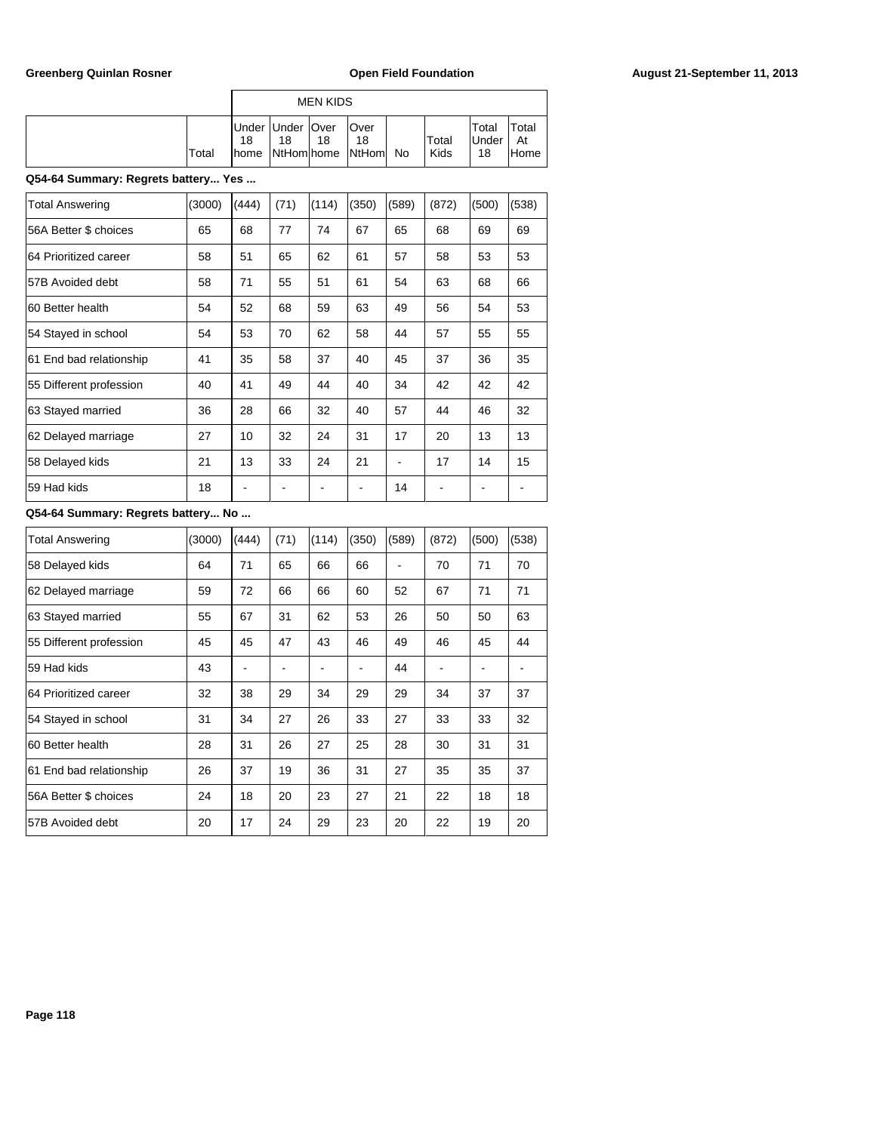|       |    |                            | MEN KIDS |                                                  |           |               |                             |                      |
|-------|----|----------------------------|----------|--------------------------------------------------|-----------|---------------|-----------------------------|----------------------|
| Total | 18 | Under   Under   Over<br>18 | 18       | lOver<br>18<br><b>I</b> home INtHomIhome INtHomI | <b>No</b> | Total<br>Kids | Total<br><b>Under</b><br>18 | Total<br>At<br>lHome |

### **Q54-64 Summary: Regrets battery... Yes ...**

| <b>Total Answering</b>  | (3000) | (444) | (71) | (114) | (350) | (589) | (872) | (500) | (538) |
|-------------------------|--------|-------|------|-------|-------|-------|-------|-------|-------|
| 56A Better \$ choices   | 65     | 68    | 77   | 74    | 67    | 65    | 68    | 69    | 69    |
| 64 Prioritized career   | 58     | 51    | 65   | 62    | 61    | 57    | 58    | 53    | 53    |
| 57B Avoided debt        | 58     | 71    | 55   | 51    | 61    | 54    | 63    | 68    | 66    |
| 60 Better health        | 54     | 52    | 68   | 59    | 63    | 49    | 56    | 54    | 53    |
| 54 Stayed in school     | 54     | 53    | 70   | 62    | 58    | 44    | 57    | 55    | 55    |
| 61 End bad relationship | 41     | 35    | 58   | 37    | 40    | 45    | 37    | 36    | 35    |
| 55 Different profession | 40     | 41    | 49   | 44    | 40    | 34    | 42    | 42    | 42    |
| 63 Stayed married       | 36     | 28    | 66   | 32    | 40    | 57    | 44    | 46    | 32    |
| 62 Delayed marriage     | 27     | 10    | 32   | 24    | 31    | 17    | 20    | 13    | 13    |
| 58 Delayed kids         | 21     | 13    | 33   | 24    | 21    |       | 17    | 14    | 15    |
| 59 Had kids             | 18     |       |      |       |       | 14    |       |       |       |

| <b>Total Answering</b>  | (3000) | (444) | (71) | (114) | (350) | (589) | (872) | (500) | (538) |
|-------------------------|--------|-------|------|-------|-------|-------|-------|-------|-------|
| 58 Delayed kids         | 64     | 71    | 65   | 66    | 66    |       | 70    | 71    | 70    |
| 62 Delayed marriage     | 59     | 72    | 66   | 66    | 60    | 52    | 67    | 71    | 71    |
| 63 Stayed married       | 55     | 67    | 31   | 62    | 53    | 26    | 50    | 50    | 63    |
| 55 Different profession | 45     | 45    | 47   | 43    | 46    | 49    | 46    | 45    | 44    |
| 59 Had kids             | 43     |       |      |       |       | 44    |       |       |       |
| 64 Prioritized career   | 32     | 38    | 29   | 34    | 29    | 29    | 34    | 37    | 37    |
| 54 Stayed in school     | 31     | 34    | 27   | 26    | 33    | 27    | 33    | 33    | 32    |
| 60 Better health        | 28     | 31    | 26   | 27    | 25    | 28    | 30    | 31    | 31    |
| 61 End bad relationship | 26     | 37    | 19   | 36    | 31    | 27    | 35    | 35    | 37    |
| 56A Better \$ choices   | 24     | 18    | 20   | 23    | 27    | 21    | 22    | 18    | 18    |
| 57B Avoided debt        | 20     | 17    | 24   | 29    | 23    | 20    | 22    | 19    | 20    |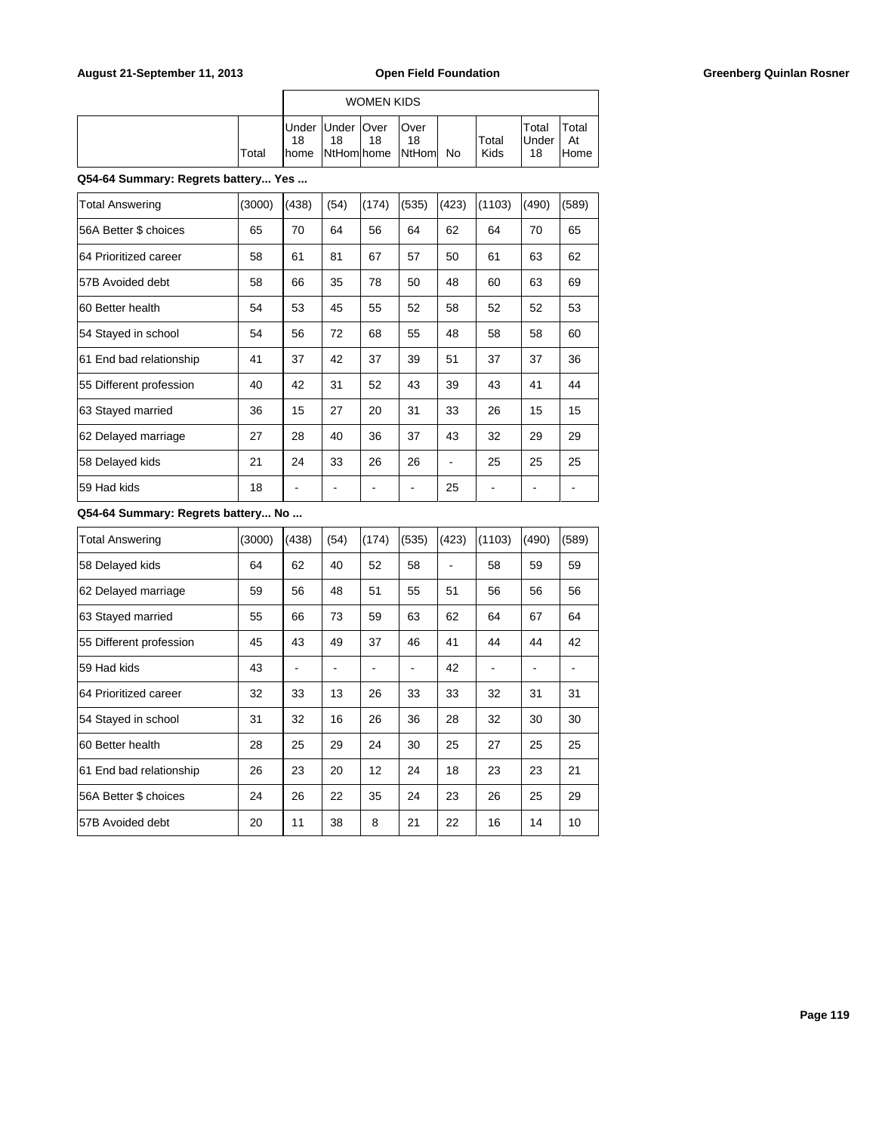|       |                          |    | WOMEN KIDS |                                                   |               |                             |                      |
|-------|--------------------------|----|------------|---------------------------------------------------|---------------|-----------------------------|----------------------|
| Total | Under Under   Over<br>18 | 18 | 18         | <b>Over</b><br>18<br>Ihome  NtHom home  NtHom  No | Total<br>Kids | Total<br><b>Under</b><br>18 | Total<br>At<br>lHome |

**Q54-64 Summary: Regrets battery... Yes ...**

| <b>Total Answering</b>  | (3000) | (438) | (54) | (174) | (535) | (423) | (1103) | (490) | (589) |
|-------------------------|--------|-------|------|-------|-------|-------|--------|-------|-------|
| 56A Better \$ choices   | 65     | 70    | 64   | 56    | 64    | 62    | 64     | 70    | 65    |
| 64 Prioritized career   | 58     | 61    | 81   | 67    | 57    | 50    | 61     | 63    | 62    |
| 57B Avoided debt        | 58     | 66    | 35   | 78    | 50    | 48    | 60     | 63    | 69    |
| 60 Better health        | 54     | 53    | 45   | 55    | 52    | 58    | 52     | 52    | 53    |
| 54 Stayed in school     | 54     | 56    | 72   | 68    | 55    | 48    | 58     | 58    | 60    |
| 61 End bad relationship | 41     | 37    | 42   | 37    | 39    | 51    | 37     | 37    | 36    |
| 55 Different profession | 40     | 42    | 31   | 52    | 43    | 39    | 43     | 41    | 44    |
| 63 Stayed married       | 36     | 15    | 27   | 20    | 31    | 33    | 26     | 15    | 15    |
| 62 Delayed marriage     | 27     | 28    | 40   | 36    | 37    | 43    | 32     | 29    | 29    |
| 58 Delayed kids         | 21     | 24    | 33   | 26    | 26    |       | 25     | 25    | 25    |
| 59 Had kids             | 18     |       |      |       |       | 25    |        |       |       |

| <b>Total Answering</b>  | (3000) | (438) | (54) | (174) | (535) | (423) | (1103) | (490) | (589) |
|-------------------------|--------|-------|------|-------|-------|-------|--------|-------|-------|
| 58 Delayed kids         | 64     | 62    | 40   | 52    | 58    |       | 58     | 59    | 59    |
| 62 Delayed marriage     | 59     | 56    | 48   | 51    | 55    | 51    | 56     | 56    | 56    |
| 63 Stayed married       | 55     | 66    | 73   | 59    | 63    | 62    | 64     | 67    | 64    |
| 55 Different profession | 45     | 43    | 49   | 37    | 46    | 41    | 44     | 44    | 42    |
| 59 Had kids             | 43     |       |      |       |       | 42    |        |       |       |
| 64 Prioritized career   | 32     | 33    | 13   | 26    | 33    | 33    | 32     | 31    | 31    |
| 54 Stayed in school     | 31     | 32    | 16   | 26    | 36    | 28    | 32     | 30    | 30    |
| 60 Better health        | 28     | 25    | 29   | 24    | 30    | 25    | 27     | 25    | 25    |
| 61 End bad relationship | 26     | 23    | 20   | 12    | 24    | 18    | 23     | 23    | 21    |
| 56A Better \$ choices   | 24     | 26    | 22   | 35    | 24    | 23    | 26     | 25    | 29    |
| 57B Avoided debt        | 20     | 11    | 38   | 8     | 21    | 22    | 16     | 14    | 10    |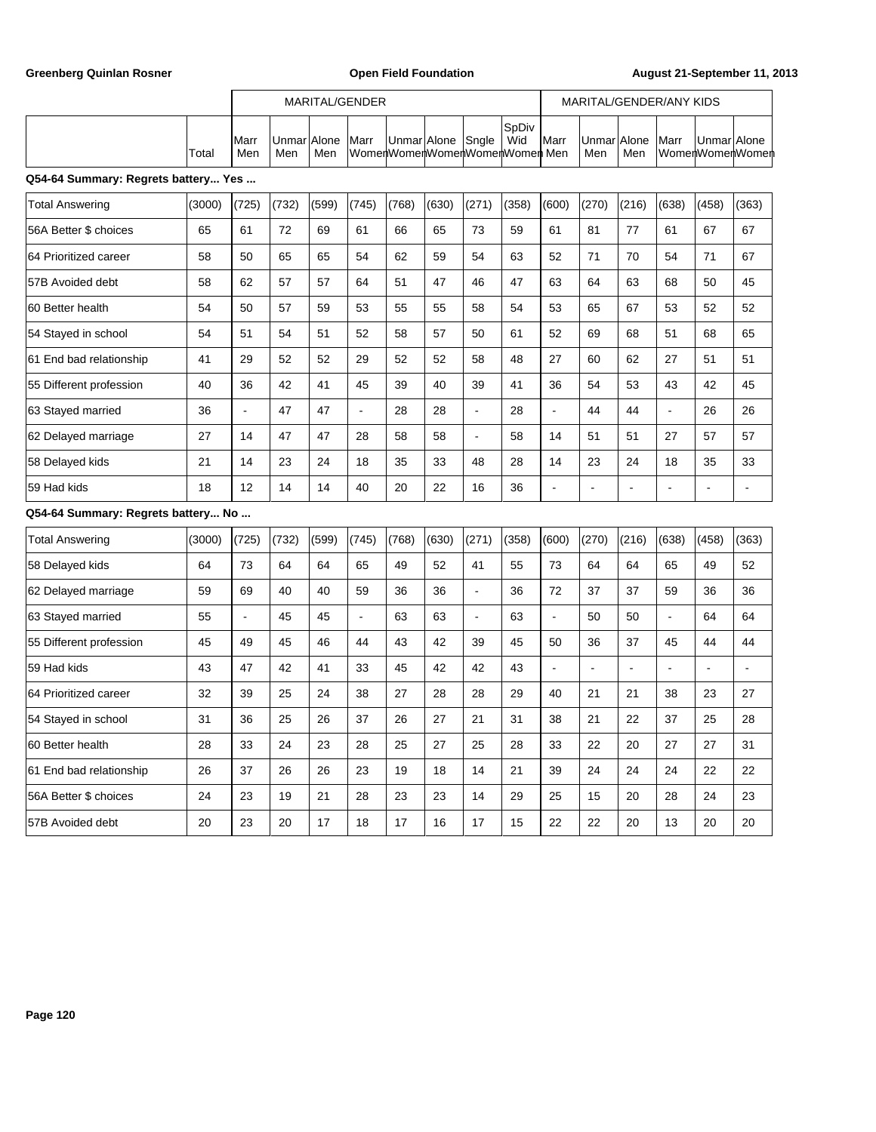r

Greenberg Quinlan Rosner **Communist Communist Communist Communist Communist Communist Communist Communist Communist Communist Communist Communist Communist Communist Communist Communist Communist Communist Communist Commun** 

h

|                                     |        | MARITAL/GENDER |              |              |                          |             |       | MARITAL/GENDER/ANY KIDS |                                               |                      |                |                          |                |                          |                 |
|-------------------------------------|--------|----------------|--------------|--------------|--------------------------|-------------|-------|-------------------------|-----------------------------------------------|----------------------|----------------|--------------------------|----------------|--------------------------|-----------------|
|                                     | Total  | Marr<br>Men    | Unmar<br>Men | Alone<br>Men | Marr                     | Unmar Alone |       | Sngle                   | SpDiv<br>Wid<br>WomenWomenWomenWomenWomen Men | Marr                 | Unmar<br>Men   | Alone<br>Men             | Marr           | Unmar Alone              | WomenWomenWomen |
| Q54-64 Summary: Regrets battery Yes |        |                |              |              |                          |             |       |                         |                                               |                      |                |                          |                |                          |                 |
| <b>Total Answering</b>              | (3000) | (725)          | (732)        | (599)        | (745)                    | (768)       | (630) | (271)                   | (358)                                         | (600)                | (270)          | (216)                    | (638)          | (458)                    | (363)           |
| 56A Better \$ choices               | 65     | 61             | 72           | 69           | 61                       | 66          | 65    | 73                      | 59                                            | 61                   | 81             | 77                       | 61             | 67                       | 67              |
| 64 Prioritized career               | 58     | 50             | 65           | 65           | 54                       | 62          | 59    | 54                      | 63                                            | 52                   | 71             | 70                       | 54             | 71                       | 67              |
| 57B Avoided debt                    | 58     | 62             | 57           | 57           | 64                       | 51          | 47    | 46                      | 47                                            | 63                   | 64             | 63                       | 68             | 50                       | 45              |
| 60 Better health                    | 54     | 50             | 57           | 59           | 53                       | 55          | 55    | 58                      | 54                                            | 53                   | 65             | 67                       | 53             | 52                       | 52              |
| 54 Stayed in school                 | 54     | 51             | 54           | 51           | 52                       | 58          | 57    | 50                      | 61                                            | 52                   | 69             | 68                       | 51             | 68                       | 65              |
| 61 End bad relationship             | 41     | 29             | 52           | 52           | 29                       | 52          | 52    | 58                      | 48                                            | 27                   | 60             | 62                       | 27             | 51                       | 51              |
| 55 Different profession             | 40     | 36             | 42           | 41           | 45                       | 39          | 40    | 39                      | 41                                            | 36                   | 54             | 53                       | 43             | 42                       | 45              |
| 63 Stayed married                   | 36     | $\overline{a}$ | 47           | 47           | ÷,                       | 28          | 28    | $\overline{a}$          | 28                                            | $\ddot{\phantom{a}}$ | 44             | 44                       | $\overline{a}$ | 26                       | 26              |
| 62 Delayed marriage                 | 27     | 14             | 47           | 47           | 28                       | 58          | 58    | $\blacksquare$          | 58                                            | 14                   | 51             | 51                       | 27             | 57                       | 57              |
| 58 Delayed kids                     | 21     | 14             | 23           | 24           | 18                       | 35          | 33    | 48                      | 28                                            | 14                   | 23             | 24                       | 18             | 35                       | 33              |
| 59 Had kids                         | 18     | 12             | 14           | 14           | 40                       | 20          | 22    | 16                      | 36                                            | $\blacksquare$       | L.             | $\overline{\phantom{a}}$ | $\blacksquare$ | $\blacksquare$           | $\sim$          |
| Q54-64 Summary: Regrets battery No  |        |                |              |              |                          |             |       |                         |                                               |                      |                |                          |                |                          |                 |
| <b>Total Answering</b>              | (3000) | (725)          | (732)        | (599)        | (745)                    | (768)       | (630) | (271)                   | (358)                                         | (600)                | (270)          | (216)                    | (638)          | (458)                    | (363)           |
| 58 Delayed kids                     | 64     | 73             | 64           | 64           | 65                       | 49          | 52    | 41                      | 55                                            | 73                   | 64             | 64                       | 65             | 49                       | 52              |
| 62 Delayed marriage                 | 59     | 69             | 40           | 40           | 59                       | 36          | 36    | $\frac{1}{2}$           | 36                                            | 72                   | 37             | 37                       | 59             | 36                       | 36              |
| 63 Stayed married                   | 55     | $\sim$         | 45           | 45           | $\overline{\phantom{a}}$ | 63          | 63    | $\overline{a}$          | 63                                            | $\omega$             | 50             | 50                       | $\blacksquare$ | 64                       | 64              |
| 55 Different profession             | 45     | 49             | 45           | 46           | 44                       | 43          | 42    | 39                      | 45                                            | 50                   | 36             | 37                       | 45             | 44                       | 44              |
| 59 Had kids                         | 43     | 47             | 42           | 41           | 33                       | 45          | 42    | 42                      | 43                                            | $\ddot{\phantom{a}}$ | $\overline{a}$ | $\ddot{\phantom{a}}$     | $\overline{a}$ | $\overline{\phantom{a}}$ | $\overline{a}$  |
| 64 Prioritized career               | 32     | 39             | 25           | 24           | 38                       | 27          | 28    | 28                      | 29                                            | 40                   | 21             | 21                       | 38             | 23                       | 27              |
| 54 Stayed in school                 | 31     | 36             | 25           | 26           | 37                       | 26          | 27    | 21                      | 31                                            | 38                   | 21             | 22                       | 37             | 25                       | 28              |
| 60 Better health                    | 28     | 33             | 24           | 23           | 28                       | 25          | 27    | 25                      | 28                                            | 33                   | 22             | 20                       | 27             | 27                       | 31              |
| 61 End bad relationship             | 26     | 37             | 26           | 26           | 23                       | 19          | 18    | 14                      | 21                                            | 39                   | 24             | 24                       | 24             | 22                       | 22              |
| 56A Better \$ choices               | 24     | 23             | 19           | 21           | 28                       | 23          | 23    | 14                      | 29                                            | 25                   | 15             | 20                       | 28             | 24                       | 23              |
| 57B Avoided debt                    | 20     | 23             | 20           | 17           | 18                       | 17          | 16    | 17                      | 15                                            | 22                   | 22             | 20                       | 13             | 20                       | 20              |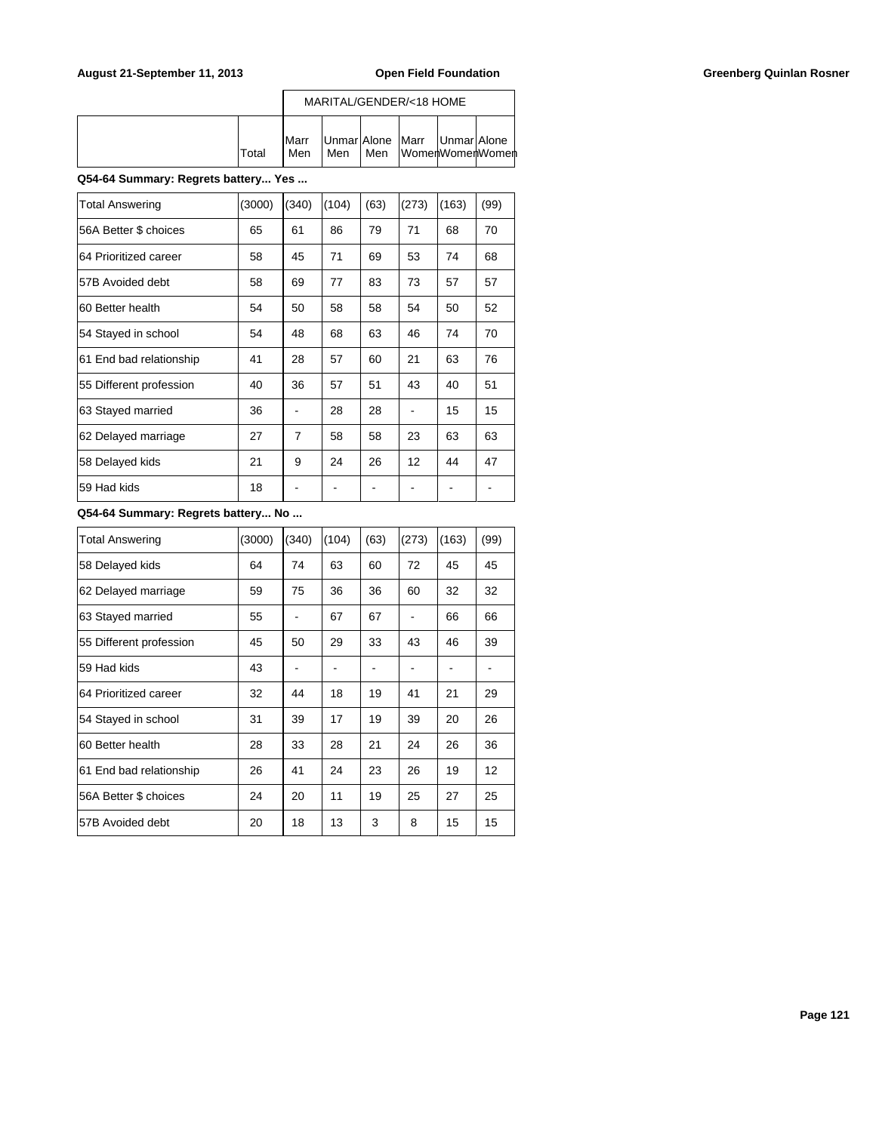|       |                      |     |     | MARITAL/GENDER/<18 HOME                             |  |
|-------|----------------------|-----|-----|-----------------------------------------------------|--|
| Total | <b>I</b> Marr<br>Men | Men | Men | Unmar Alone   Marr   Unmar Alone<br>WomenWomenWomen |  |

**Q54-64 Summary: Regrets battery... Yes ...**

| Total Answering         | (3000) | (340)          | (104) | (63) | (273) | (163) | (99) |
|-------------------------|--------|----------------|-------|------|-------|-------|------|
| 56A Better \$ choices   | 65     | 61             | 86    | 79   | 71    | 68    | 70   |
| 64 Prioritized career   | 58     | 45             | 71    | 69   | 53    | 74    | 68   |
| 57B Avoided debt        | 58     | 69             | 77    | 83   | 73    | 57    | 57   |
| 60 Better health        | 54     | 50             | 58    | 58   | 54    | 50    | 52   |
| 54 Stayed in school     | 54     | 48             | 68    | 63   | 46    | 74    | 70   |
| 61 End bad relationship | 41     | 28             | 57    | 60   | 21    | 63    | 76   |
| 55 Different profession | 40     | 36             | 57    | 51   | 43    | 40    | 51   |
| 63 Stayed married       | 36     |                | 28    | 28   |       | 15    | 15   |
| 62 Delayed marriage     | 27     | $\overline{7}$ | 58    | 58   | 23    | 63    | 63   |
| 58 Delayed kids         | 21     | 9              | 24    | 26   | 12    | 44    | 47   |
| 59 Had kids             | 18     |                |       |      |       |       |      |

| <b>Total Answering</b>  | (3000) | (340) | (104) | (63) | (273) | (163) | (99) |
|-------------------------|--------|-------|-------|------|-------|-------|------|
| 58 Delayed kids         | 64     | 74    | 63    | 60   | 72    | 45    | 45   |
| 62 Delayed marriage     | 59     | 75    | 36    | 36   | 60    | 32    | 32   |
| 63 Stayed married       | 55     |       | 67    | 67   |       | 66    | 66   |
| 55 Different profession | 45     | 50    | 29    | 33   | 43    | 46    | 39   |
| 59 Had kids             | 43     |       |       |      |       |       |      |
| 64 Prioritized career   | 32     | 44    | 18    | 19   | 41    | 21    | 29   |
| 54 Stayed in school     | 31     | 39    | 17    | 19   | 39    | 20    | 26   |
| 60 Better health        | 28     | 33    | 28    | 21   | 24    | 26    | 36   |
| 61 End bad relationship | 26     | 41    | 24    | 23   | 26    | 19    | 12   |
| 56A Better \$ choices   | 24     | 20    | 11    | 19   | 25    | 27    | 25   |
| 57B Avoided debt        | 20     | 18    | 13    | 3    | 8     | 15    | 15   |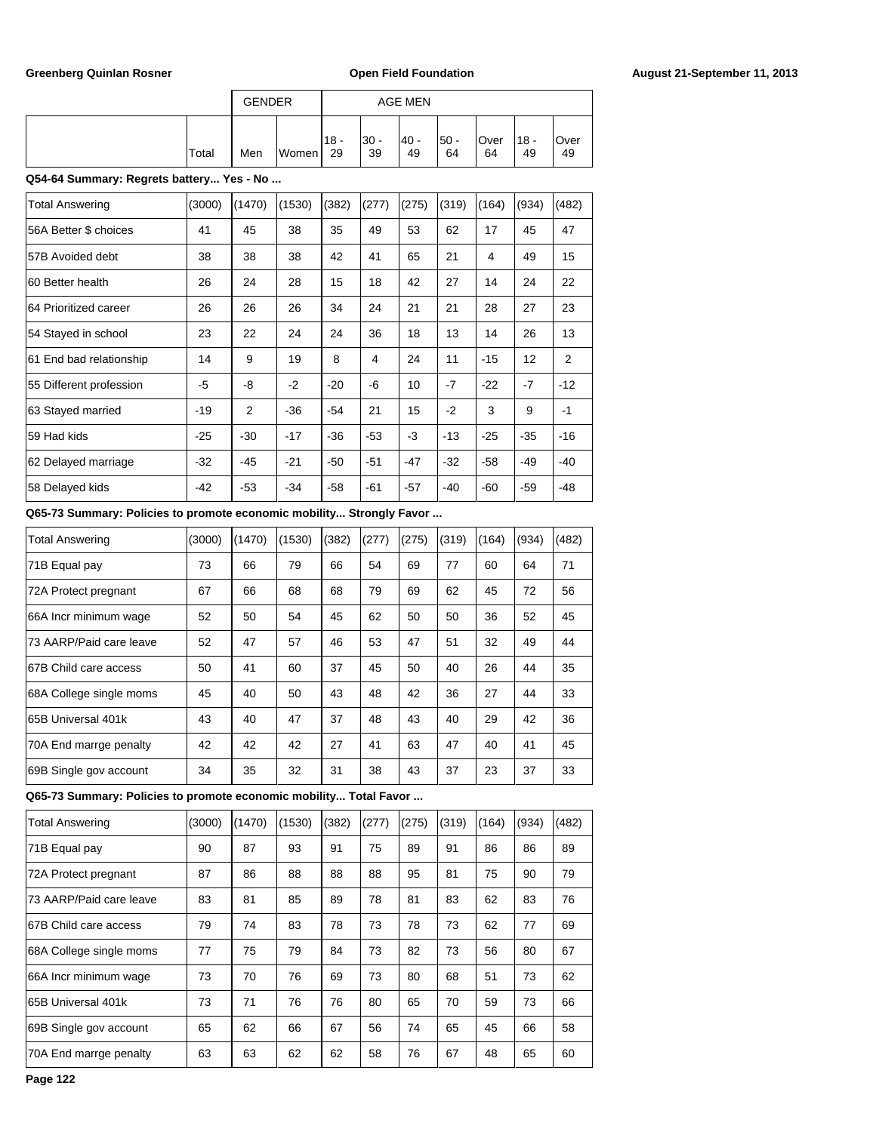|                                          |        | <b>GENDER</b> |        |              |              | <b>AGE MEN</b> |              |            |              |            |
|------------------------------------------|--------|---------------|--------|--------------|--------------|----------------|--------------|------------|--------------|------------|
|                                          | Total  | Men           | Women  | $18 -$<br>29 | $30 -$<br>39 | $40 -$<br>49   | $50 -$<br>64 | Over<br>64 | $18 -$<br>49 | Over<br>49 |
| Q54-64 Summary: Regrets battery Yes - No |        |               |        |              |              |                |              |            |              |            |
| <b>Total Answering</b>                   | (3000) | (1470)        | (1530) | (382)        | (277)        | (275)          | (319)        | (164)      | (934)        | (482)      |
| 56A Better \$ choices                    | 41     | 45            | 38     | 35           | 49           | 53             | 62           | 17         | 45           | 47         |
| 57B Avoided debt                         | 38     | 38            | 38     | 42           | 41           | 65             | 21           | 4          | 49           | 15         |
| 60 Better health                         | 26     | 24            | 28     | 15           | 18           | 42             | 27           | 14         | 24           | 22         |
| 64 Prioritized career                    | 26     | 26            | 26     | 34           | 24           | 21             | 21           | 28         | 27           | 23         |
| 54 Stayed in school                      | 23     | 22            | 24     | 24           | 36           | 18             | 13           | 14         | 26           | 13         |
| 61 End bad relationship                  | 14     | 9             | 19     | 8            | 4            | 24             | 11           | $-15$      | 12           | 2          |
| 55 Different profession                  | -5     | -8            | $-2$   | $-20$        | -6           | 10             | $-7$         | $-22$      | $-7$         | $-12$      |
| 63 Stayed married                        | $-19$  | 2             | $-36$  | $-54$        | 21           | 15             | $-2$         | 3          | 9            | $-1$       |
| 59 Had kids                              | $-25$  | $-30$         | $-17$  | $-36$        | $-53$        | $-3$           | $-13$        | $-25$      | $-35$        | $-16$      |
| 62 Delayed marriage                      | $-32$  | $-45$         | $-21$  | $-50$        | $-51$        | $-47$          | $-32$        | $-58$      | $-49$        | $-40$      |
| 58 Delayed kids                          | $-42$  | $-53$         | $-34$  | $-58$        | $-61$        | $-57$          | $-40$        | $-60$      | $-59$        | $-48$      |

# **Q65-73 Summary: Policies to promote economic mobility... Strongly Favor ...**

| <b>Total Answering</b>  | (3000) | (1470) | (1530) | (382) | (277) | (275) | (319) | (164) | (934) | (482) |
|-------------------------|--------|--------|--------|-------|-------|-------|-------|-------|-------|-------|
| 71B Equal pay           | 73     | 66     | 79     | 66    | 54    | 69    | 77    | 60    | 64    | 71    |
| 72A Protect pregnant    | 67     | 66     | 68     | 68    | 79    | 69    | 62    | 45    | 72    | 56    |
| 66A Incr minimum wage   | 52     | 50     | 54     | 45    | 62    | 50    | 50    | 36    | 52    | 45    |
| 73 AARP/Paid care leave | 52     | 47     | 57     | 46    | 53    | 47    | 51    | 32    | 49    | 44    |
| 67B Child care access   | 50     | 41     | 60     | 37    | 45    | 50    | 40    | 26    | 44    | 35    |
| 68A College single moms | 45     | 40     | 50     | 43    | 48    | 42    | 36    | 27    | 44    | 33    |
| 165B Universal 401k     | 43     | 40     | 47     | 37    | 48    | 43    | 40    | 29    | 42    | 36    |
| 70A End marrge penalty  | 42     | 42     | 42     | 27    | 41    | 63    | 47    | 40    | 41    | 45    |
| 69B Single gov account  | 34     | 35     | 32     | 31    | 38    | 43    | 37    | 23    | 37    | 33    |

**Q65-73 Summary: Policies to promote economic mobility... Total Favor ...**

| <b>Total Answering</b>  | (3000) | (1470) | (1530) | (382) | (277) | (275) | (319) | (164) | (934) | (482) |
|-------------------------|--------|--------|--------|-------|-------|-------|-------|-------|-------|-------|
| 71B Equal pay           | 90     | 87     | 93     | 91    | 75    | 89    | 91    | 86    | 86    | 89    |
| 72A Protect pregnant    | 87     | 86     | 88     | 88    | 88    | 95    | 81    | 75    | 90    | 79    |
| 73 AARP/Paid care leave | 83     | 81     | 85     | 89    | 78    | 81    | 83    | 62    | 83    | 76    |
| 67B Child care access   | 79     | 74     | 83     | 78    | 73    | 78    | 73    | 62    | 77    | 69    |
| 68A College single moms | 77     | 75     | 79     | 84    | 73    | 82    | 73    | 56    | 80    | 67    |
| 66A Incr minimum wage   | 73     | 70     | 76     | 69    | 73    | 80    | 68    | 51    | 73    | 62    |
| 65B Universal 401k      | 73     | 71     | 76     | 76    | 80    | 65    | 70    | 59    | 73    | 66    |
| 69B Single gov account  | 65     | 62     | 66     | 67    | 56    | 74    | 65    | 45    | 66    | 58    |
| 70A End marrge penalty  | 63     | 63     | 62     | 62    | 58    | 76    | 67    | 48    | 65    | 60    |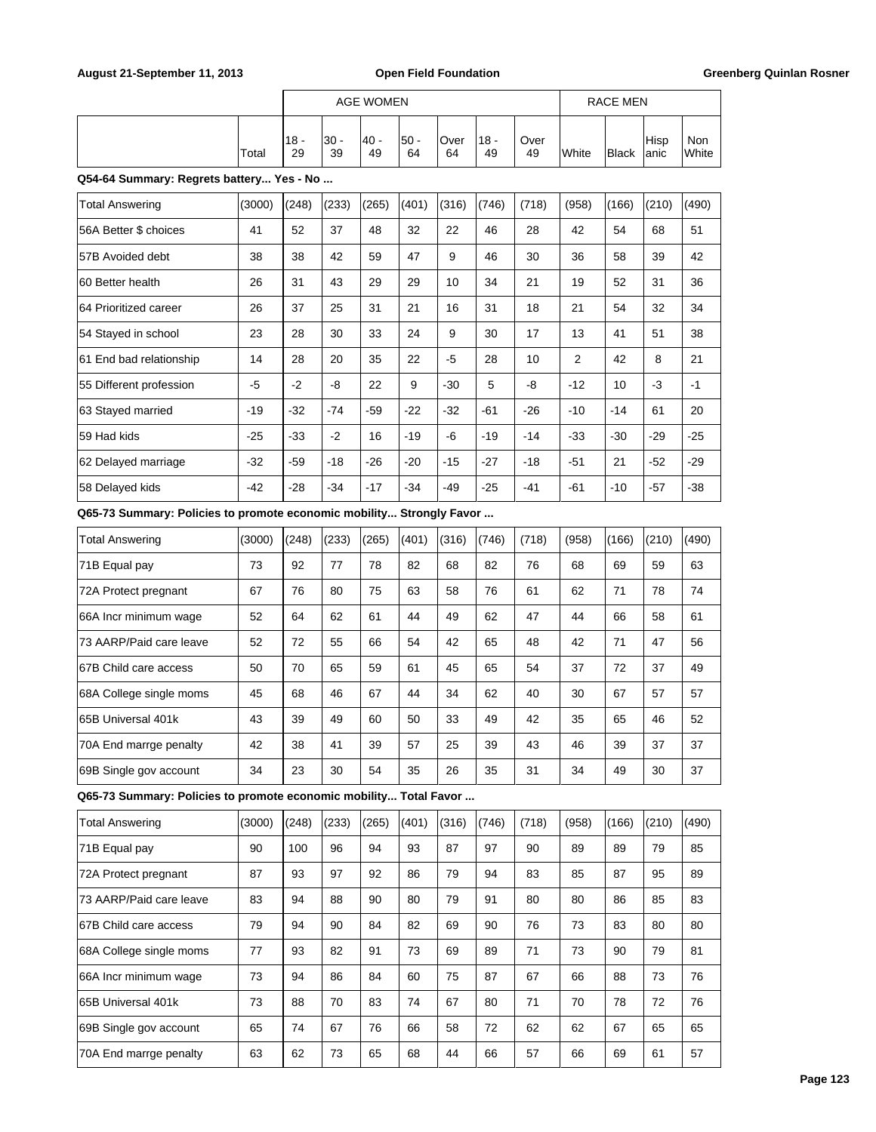|                                                                      |        |              |              | <b>AGE WOMEN</b> |              |            |              |            |       | <b>RACE MEN</b> |              |                     |
|----------------------------------------------------------------------|--------|--------------|--------------|------------------|--------------|------------|--------------|------------|-------|-----------------|--------------|---------------------|
|                                                                      | Total  | $18 -$<br>29 | $30 -$<br>39 | 40 -<br>49       | $50 -$<br>64 | Over<br>64 | $18 -$<br>49 | Over<br>49 | White | <b>Black</b>    | Hisp<br>anic | <b>Non</b><br>White |
| Q54-64 Summary: Regrets battery Yes - No                             |        |              |              |                  |              |            |              |            |       |                 |              |                     |
| <b>Total Answering</b>                                               | (3000) | (248)        | (233)        | (265)            | (401)        | (316)      | (746)        | (718)      | (958) | (166)           | (210)        | (490)               |
| 56A Better \$ choices                                                | 41     | 52           | 37           | 48               | 32           | 22         | 46           | 28         | 42    | 54              | 68           | 51                  |
| 57B Avoided debt                                                     | 38     | 38           | 42           | 59               | 47           | 9          | 46           | 30         | 36    | 58              | 39           | 42                  |
| 60 Better health                                                     | 26     | 31           | 43           | 29               | 29           | 10         | 34           | 21         | 19    | 52              | 31           | 36                  |
| 64 Prioritized career                                                | 26     | 37           | 25           | 31               | 21           | 16         | 31           | 18         | 21    | 54              | 32           | 34                  |
| 54 Stayed in school                                                  | 23     | 28           | 30           | 33               | 24           | 9          | 30           | 17         | 13    | 41              | 51           | 38                  |
| 61 End bad relationship                                              | 14     | 28           | 20           | 35               | 22           | -5         | 28           | 10         | 2     | 42              | 8            | 21                  |
| 55 Different profession                                              | -5     | -2           | -8           | 22               | 9            | $-30$      | 5            | -8         | $-12$ | 10              | -3           | $-1$                |
| 63 Stayed married                                                    | $-19$  | $-32$        | -74          | $-59$            | $-22$        | $-32$      | $-61$        | $-26$      | $-10$ | $-14$           | 61           | 20                  |
| 59 Had kids                                                          | $-25$  | $-33$        | $-2$         | 16               | $-19$        | -6         | $-19$        | $-14$      | $-33$ | $-30$           | $-29$        | $-25$               |
| 62 Delayed marriage                                                  | $-32$  | $-59$        | -18          | $-26$            | -20          | $-15$      | $-27$        | $-18$      | -51   | 21              | -52          | $-29$               |
| 58 Delayed kids                                                      | $-42$  | $-28$        | $-34$        | -17              | $-34$        | $-49$      | $-25$        | -41        | -61   | $-10$           | -57          | -38                 |
| Q65-73 Summary: Policies to promote economic mobility Strongly Favor |        |              |              |                  |              |            |              |            |       |                 |              |                     |
| <b>Total Answering</b>                                               | (3000) | (248)        | (233)        | (265)            | (401)        | (316)      | (746)        | (718)      | (958) | (166)           | (210)        | (490)               |
| 71B Equal pay                                                        | 73     | 92           | 77           | 78               | 82           | 68         | 82           | 76         | 68    | 69              | 59           | 63                  |
| 72A Protect pregnant                                                 | 67     | 76           | 80           | 75               | 63           | 58         | 76           | 61         | 62    | 71              | 78           | 74                  |
| 66A Incr minimum wage                                                | 52     | 64           | 62           | 61               | 44           | 49         | 62           | 47         | 44    | 66              | 58           | 61                  |
| 73 AARP/Paid care leave                                              | 52     | 72           | 55           | 66               | 54           | 42         | 65           | 48         | 42    | 71              | 47           | 56                  |
| 67B Child care access                                                | 50     | 70           | 65           | 59               | 61           | 45         | 65           | 54         | 37    | 72              | 37           | 49                  |
| 68A College single moms                                              | 45     | 68           | 46           | 67               | 44           | 34         | 62           | 40         | 30    | 67              | 57           | 57                  |
| 65B Universal 401k                                                   | 43     | 39           | 49           | 60               | 50           | 33         | 49           | 42         | 35    | 65              | 46           | 52                  |
| 70A End marrge penalty                                               | 42     | 38           | 41           | 39               | 57           | 25         | 39           | 43         | 46    | 39              | 37           | 37                  |
| 69B Single gov account                                               | 34     | 23           | 30           | 54               | 35           | 26         | 35           | 31         | 34    | 49              | 30           | 37                  |
| Q65-73 Summary: Policies to promote economic mobility Total Favor    |        |              |              |                  |              |            |              |            |       |                 |              |                     |
| <b>Total Answering</b>                                               | (3000) | (248)        | (233)        | (265)            | (401)        | (316)      | (746)        | (718)      | (958) | (166)           | (210)        | (490)               |
| 71B Equal pay                                                        | 90     | 100          | 96           | 94               | 93           | 87         | 97           | 90         | 89    | 89              | 79           | 85                  |
| 72A Protect pregnant                                                 | 87     | 93           | 97           | 92               | 86           | 79         | 94           | 83         | 85    | 87              | 95           | 89                  |
| 73 AARP/Paid care leave                                              | 83     | 94           | 88           | 90               | 80           | 79         | 91           | 80         | 80    | 86              | 85           | 83                  |
| 67B Child care access                                                | 79     | 94           | 90           | 84               | 82           | 69         | 90           | 76         | 73    | 83              | 80           | 80                  |
| 68A College single moms                                              | 77     | 93           | 82           | 91               | 73           | 69         | 89           | 71         | 73    | 90              | 79           | 81                  |
| 66A Incr minimum wage                                                | 73     | 94           | 86           | 84               | 60           | 75         | 87           | 67         | 66    | 88              | 73           | 76                  |
| 65B Universal 401k                                                   | 73     | 88           | 70           | 83               | 74           | 67         | 80           | 71         | 70    | 78              | 72           | 76                  |
| 69B Single gov account                                               | 65     | 74           | 67           | 76               | 66           | 58         | 72           | 62         | 62    | 67              | 65           | 65                  |
| 70A End marrge penalty                                               | 63     | 62           | 73           | 65               | 68           | 44         | 66           | 57         | 66    | 69              | 61           | 57                  |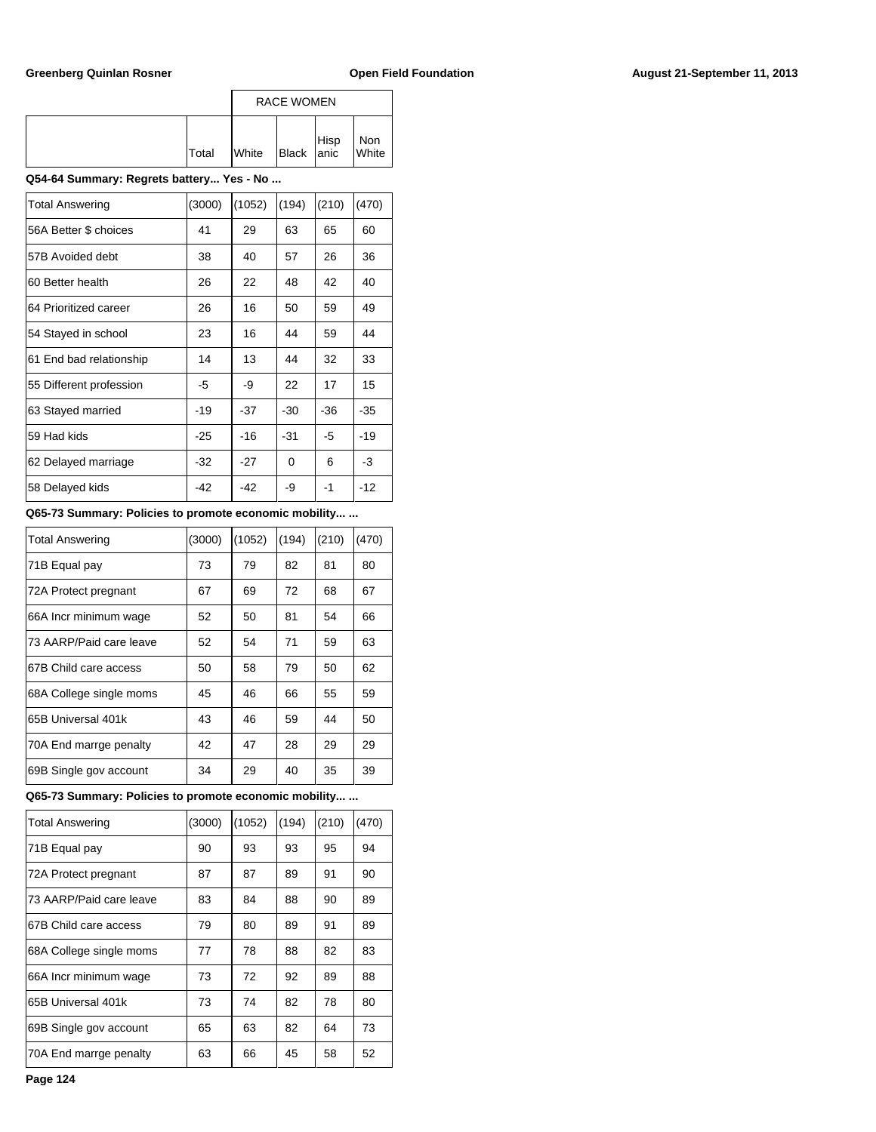|       |              | <b>RACE WOMEN</b>                                                         |              |
|-------|--------------|---------------------------------------------------------------------------|--------------|
| Total | <b>White</b> | $\left  \begin{array}{c} \text{Hisp} \\ \text{Black} \end{array} \right $ | Non<br>White |

### **Q54-64 Summary: Regrets battery... Yes - No ...**

| <b>Total Answering</b>  | (3000) | (1052) | (194) | (210) | (470) |
|-------------------------|--------|--------|-------|-------|-------|
| 56A Better \$ choices   | 41     | 29     | 63    | 65    | 60    |
| 57B Avoided debt        | 38     | 40     | 57    | 26    | 36    |
| 60 Better health        | 26     | 22     | 48    | 42    | 40    |
| 64 Prioritized career   | 26     | 16     | 50    | 59    | 49    |
| 54 Stayed in school     | 23     | 16     | 44    | 59    | 44    |
| 61 End bad relationship | 14     | 13     | 44    | 32    | 33    |
| 55 Different profession | -5     | -9     | 22    | 17    | 15    |
| 63 Stayed married       | $-19$  | $-37$  | $-30$ | $-36$ | -35   |
| 59 Had kids             | $-25$  | $-16$  | $-31$ | -5    | -19   |
| 62 Delayed marriage     | -32    | $-27$  | 0     | 6     | -3    |
| 58 Delayed kids         | -42    | -42    | -9    | -1    | -12   |

### **Q65-73 Summary: Policies to promote economic mobility... ...**

| <b>Total Answering</b>  | (3000) | (1052) | (194) | (210) | (470) |
|-------------------------|--------|--------|-------|-------|-------|
| 71B Equal pay           | 73     | 79     | 82    | 81    | 80    |
| 72A Protect pregnant    | 67     | 69     | 72    | 68    | 67    |
| 66A Incr minimum wage   | 52     | 50     | 81    | 54    | 66    |
| 73 AARP/Paid care leave | 52     | 54     | 71    | 59    | 63    |
| 67B Child care access   | 50     | 58     | 79    | 50    | 62    |
| 68A College single moms | 45     | 46     | 66    | 55    | 59    |
| 65B Universal 401k      | 43     | 46     | 59    | 44    | 50    |
| 70A End marrge penalty  | 42     | 47     | 28    | 29    | 29    |
| 69B Single gov account  | 34     | 29     | 40    | 35    | 39    |

#### **Q65-73 Summary: Policies to promote economic mobility... ...**

| Total Answering         | (3000) | (1052) | (194) | (210) | (470) |
|-------------------------|--------|--------|-------|-------|-------|
| 71B Equal pay           | 90     | 93     | 93    | 95    | 94    |
| 72A Protect pregnant    | 87     | 87     | 89    | 91    | 90    |
| 73 AARP/Paid care leave | 83     | 84     | 88    | 90    | 89    |
| 67B Child care access   | 79     | 80     | 89    | 91    | 89    |
| 68A College single moms | 77     | 78     | 88    | 82    | 83    |
| 66A Incr minimum wage   | 73     | 72     | 92    | 89    | 88    |
| 165B Universal 401k     | 73     | 74     | 82    | 78    | 80    |
| 69B Single gov account  | 65     | 63     | 82    | 64    | 73    |
| 70A End marrge penalty  | 63     | 66     | 45    | 58    | 52    |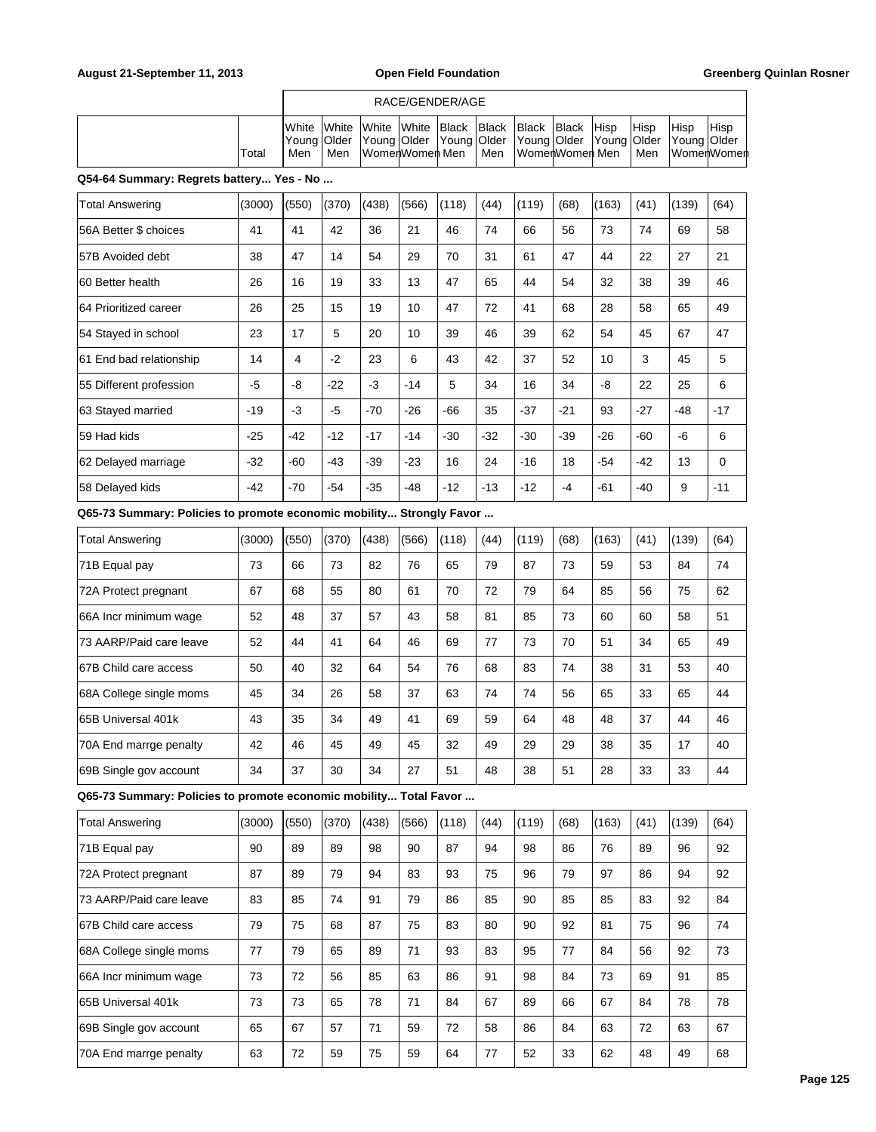# RACE/GENDER/AGE

|  |       | IWhite         | <b>White</b> | White White Black |  | <b>Black</b> | <b>Black</b>                                                | <b>Black</b> | <b>Hisp</b> | <sup>I</sup> Hisp | Hisp | <b>Hisp</b>       |
|--|-------|----------------|--------------|-------------------|--|--------------|-------------------------------------------------------------|--------------|-------------|-------------------|------|-------------------|
|  |       | lYouna   Older |              |                   |  |              | Young Older Young Older Young Older Young Older Young Older |              |             |                   |      |                   |
|  | Total |                | ' Men        | WomenWomen Men    |  | Men          | WomenWomen Men                                              |              |             | Men               |      | <b>WomenWomen</b> |

### **Q54-64 Summary: Regrets battery... Yes - No ...**

| <b>Total Answering</b>  | (3000) | (550) | (370) | (438) | (566) | (118) | (44)  | (119) | (68)  | (163) | (41)  | (139) | (64)     |
|-------------------------|--------|-------|-------|-------|-------|-------|-------|-------|-------|-------|-------|-------|----------|
| 56A Better \$ choices   | 41     | 41    | 42    | 36    | 21    | 46    | 74    | 66    | 56    | 73    | 74    | 69    | 58       |
| 57B Avoided debt        | 38     | 47    | 14    | 54    | 29    | 70    | 31    | 61    | 47    | 44    | 22    | 27    | 21       |
| I60 Better health       | 26     | 16    | 19    | 33    | 13    | 47    | 65    | 44    | 54    | 32    | 38    | 39    | 46       |
| 164 Prioritized career  | 26     | 25    | 15    | 19    | 10    | 47    | 72    | 41    | 68    | 28    | 58    | 65    | 49       |
| 54 Stayed in school     | 23     | 17    | 5     | 20    | 10    | 39    | 46    | 39    | 62    | 54    | 45    | 67    | 47       |
| 61 End bad relationship | 14     | 4     | $-2$  | 23    | 6     | 43    | 42    | 37    | 52    | 10    | 3     | 45    | 5        |
| 55 Different profession | $-5$   | -8    | $-22$ | $-3$  | $-14$ | 5     | 34    | 16    | 34    | -8    | 22    | 25    | 6        |
| 63 Stayed married       | $-19$  | $-3$  | $-5$  | $-70$ | $-26$ | $-66$ | 35    | $-37$ | $-21$ | 93    | $-27$ | -48   | $-17$    |
| 59 Had kids             | $-25$  | $-42$ | $-12$ | $-17$ | $-14$ | $-30$ | $-32$ | $-30$ | $-39$ | $-26$ | $-60$ | $-6$  | 6        |
| 62 Delayed marriage     | $-32$  | -60   | -43   | $-39$ | $-23$ | 16    | 24    | $-16$ | 18    | $-54$ | $-42$ | 13    | $\Omega$ |
| 58 Delayed kids         | $-42$  | $-70$ | $-54$ | $-35$ | -48   | $-12$ | $-13$ | $-12$ | $-4$  | $-61$ | $-40$ | 9     | $-11$    |

# **Q65-73 Summary: Policies to promote economic mobility... Strongly Favor ...**

| <b>Total Answering</b>  | (3000) | (550) | (370) | (438) | (566) | (118) | (44) | (119) | (68) | (163) | (41) | (139) | (64) |
|-------------------------|--------|-------|-------|-------|-------|-------|------|-------|------|-------|------|-------|------|
| 71B Equal pay           | 73     | 66    | 73    | 82    | 76    | 65    | 79   | 87    | 73   | 59    | 53   | 84    | 74   |
| 72A Protect pregnant    | 67     | 68    | 55    | 80    | 61    | 70    | 72   | 79    | 64   | 85    | 56   | 75    | 62   |
| 66A Incr minimum wage   | 52     | 48    | 37    | 57    | 43    | 58    | 81   | 85    | 73   | 60    | 60   | 58    | 51   |
| 73 AARP/Paid care leave | 52     | 44    | 41    | 64    | 46    | 69    | 77   | 73    | 70   | 51    | 34   | 65    | 49   |
| 67B Child care access   | 50     | 40    | 32    | 64    | 54    | 76    | 68   | 83    | 74   | 38    | 31   | 53    | 40   |
| 68A College single moms | 45     | 34    | 26    | 58    | 37    | 63    | 74   | 74    | 56   | 65    | 33   | 65    | 44   |
| 165B Universal 401k     | 43     | 35    | 34    | 49    | 41    | 69    | 59   | 64    | 48   | 48    | 37   | 44    | 46   |
| 70A End marrge penalty  | 42     | 46    | 45    | 49    | 45    | 32    | 49   | 29    | 29   | 38    | 35   | 17    | 40   |
| 69B Single gov account  | 34     | 37    | 30    | 34    | 27    | 51    | 48   | 38    | 51   | 28    | 33   | 33    | 44   |

**Q65-73 Summary: Policies to promote economic mobility... Total Favor ...**

| <b>Total Answering</b>  | (3000) | (550) | (370) | (438) | (566) | (118) | (44) | (119) | (68) | (163) | (41) | (139) | (64) |
|-------------------------|--------|-------|-------|-------|-------|-------|------|-------|------|-------|------|-------|------|
| 71B Equal pay           | 90     | 89    | 89    | 98    | 90    | 87    | 94   | 98    | 86   | 76    | 89   | 96    | 92   |
| 72A Protect pregnant    | 87     | 89    | 79    | 94    | 83    | 93    | 75   | 96    | 79   | 97    | 86   | 94    | 92   |
| 73 AARP/Paid care leave | 83     | 85    | 74    | 91    | 79    | 86    | 85   | 90    | 85   | 85    | 83   | 92    | 84   |
| 67B Child care access   | 79     | 75    | 68    | 87    | 75    | 83    | 80   | 90    | 92   | 81    | 75   | 96    | 74   |
| 68A College single moms | 77     | 79    | 65    | 89    | 71    | 93    | 83   | 95    | 77   | 84    | 56   | 92    | 73   |
| 66A Incr minimum waqe   | 73     | 72    | 56    | 85    | 63    | 86    | 91   | 98    | 84   | 73    | 69   | 91    | 85   |
| 165B Universal 401k     | 73     | 73    | 65    | 78    | 71    | 84    | 67   | 89    | 66   | 67    | 84   | 78    | 78   |
| 69B Single gov account  | 65     | 67    | 57    | 71    | 59    | 72    | 58   | 86    | 84   | 63    | 72   | 63    | 67   |
| 70A End marrge penalty  | 63     | 72    | 59    | 75    | 59    | 64    | 77   | 52    | 33   | 62    | 48   | 49    | 68   |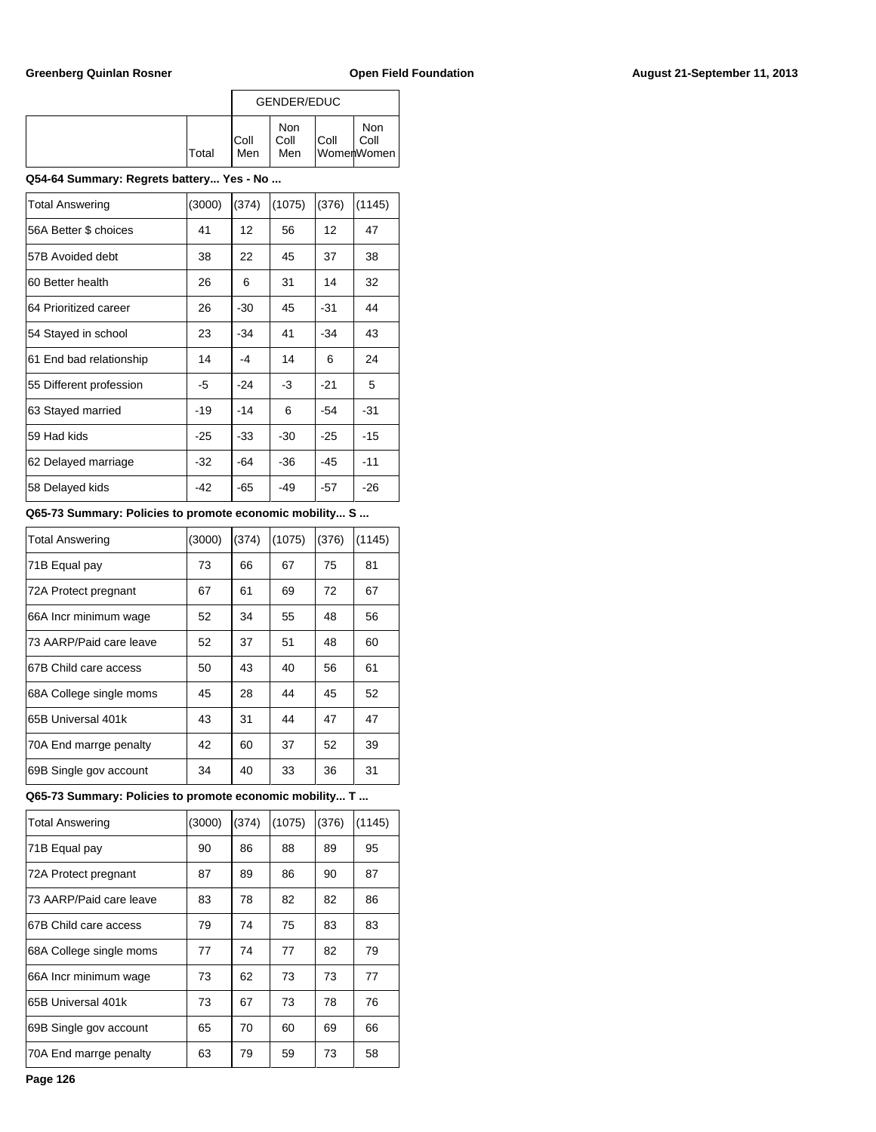|              |              | GENDER/EDUC               |      |                           |  |  |  |
|--------------|--------------|---------------------------|------|---------------------------|--|--|--|
| <b>Total</b> | IColl<br>Men | <b>Non</b><br>Coll<br>Men | Coll | Non<br>Coll<br>WomerWomen |  |  |  |

### **Q54-64 Summary: Regrets battery... Yes - No ...**

| <b>Total Answering</b>  | (3000) | (374) | (1075) | (376) | (1145) |
|-------------------------|--------|-------|--------|-------|--------|
| 56A Better \$ choices   | 41     | 12    | 56     | 12    | 47     |
| 57B Avoided debt        | 38     | 22    | 45     | 37    | 38     |
| 60 Better health        | 26     | 6     | 31     | 14    | 32     |
| 64 Prioritized career   | 26     | $-30$ | 45     | $-31$ | 44     |
| 54 Stayed in school     | 23     | $-34$ | 41     | $-34$ | 43     |
| 61 End bad relationship | 14     | -4    | 14     | 6     | 24     |
| 55 Different profession | -5     | $-24$ | -3     | $-21$ | 5      |
| 63 Stayed married       | -19    | $-14$ | 6      | -54   | -31    |
| 59 Had kids             | -25    | $-33$ | $-30$  | $-25$ | $-15$  |
| 62 Delayed marriage     | -32    | $-64$ | -36    | $-45$ | -11    |
| 58 Delayed kids         | -42    | $-65$ | -49    | $-57$ | -26    |
|                         |        |       |        |       |        |

### **Q65-73 Summary: Policies to promote economic mobility... S ...**

| <b>Total Answering</b>  | (3000) | (374) | (1075) | (376) | (1145) |
|-------------------------|--------|-------|--------|-------|--------|
| 71B Equal pay           | 73     | 66    | 67     | 75    | 81     |
| 72A Protect pregnant    | 67     | 61    | 69     | 72    | 67     |
| 66A Incr minimum wage   | 52     | 34    | 55     | 48    | 56     |
| 73 AARP/Paid care leave | 52     | 37    | 51     | 48    | 60     |
| 67B Child care access   | 50     | 43    | 40     | 56    | 61     |
| 68A College single moms | 45     | 28    | 44     | 45    | 52     |
| 65B Universal 401k      | 43     | 31    | 44     | 47    | 47     |
| 70A End marrge penalty  | 42     | 60    | 37     | 52    | 39     |
| 69B Single gov account  | 34     | 40    | 33     | 36    | 31     |

**Q65-73 Summary: Policies to promote economic mobility... T ...**

| <b>Total Answering</b>  | (3000) | (374) | (1075) | (376) | (1145) |
|-------------------------|--------|-------|--------|-------|--------|
| 71B Equal pay           | 90     | 86    | 88     | 89    | 95     |
| 72A Protect pregnant    | 87     | 89    | 86     | 90    | 87     |
| 73 AARP/Paid care leave | 83     | 78    | 82     | 82    | 86     |
| 67B Child care access   | 79     | 74    | 75     | 83    | 83     |
| 68A College single moms | 77     | 74    | 77     | 82    | 79     |
| 66A Incr minimum wage   | 73     | 62    | 73     | 73    | 77     |
| 65B Universal 401k      | 73     | 67    | 73     | 78    | 76     |
| 69B Single gov account  | 65     | 70    | 60     | 69    | 66     |
| 70A End marrge penalty  | 63     | 79    | 59     | 73    | 58     |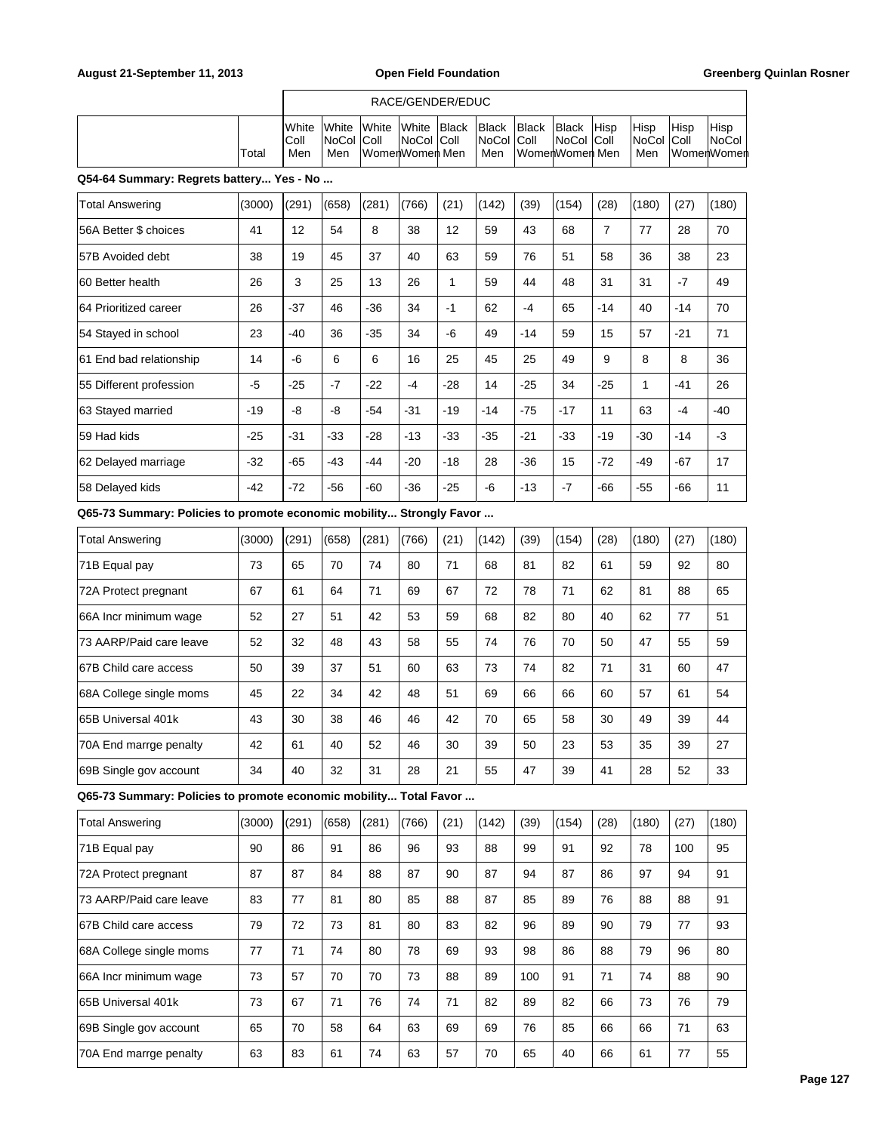|                                                                      |        |                      |                       |               | RACE/GENDER/EDUC                 |                       |                              |                       |                                              |                |                             |              |                             |
|----------------------------------------------------------------------|--------|----------------------|-----------------------|---------------|----------------------------------|-----------------------|------------------------------|-----------------------|----------------------------------------------|----------------|-----------------------------|--------------|-----------------------------|
|                                                                      | Total  | White<br>Coll<br>Men | White<br>NoCol<br>Men | White<br>Coll | White<br>NoCol<br>WomenWomen Men | <b>Black</b><br> Coll | <b>Black</b><br>NoCol<br>Men | <b>Black</b><br> Coll | <b>Black</b><br>NoCol Coll<br>WomenWomen Men | Hisp           | Hisp<br><b>NoCol</b><br>Men | Hisp<br>Coll | Hisp<br>NoCol<br>WomenWomen |
| Q54-64 Summary: Regrets battery Yes - No                             |        |                      |                       |               |                                  |                       |                              |                       |                                              |                |                             |              |                             |
| <b>Total Answering</b>                                               | (3000) | (291)                | (658)                 | (281)         | (766)                            | (21)                  | (142)                        | (39)                  | (154)                                        | (28)           | (180)                       | (27)         | (180)                       |
| 56A Better \$ choices                                                | 41     | 12                   | 54                    | 8             | 38                               | 12                    | 59                           | 43                    | 68                                           | $\overline{7}$ | 77                          | 28           | 70                          |
| 57B Avoided debt                                                     | 38     | 19                   | 45                    | 37            | 40                               | 63                    | 59                           | 76                    | 51                                           | 58             | 36                          | 38           | 23                          |
| 60 Better health                                                     | 26     | 3                    | 25                    | 13            | 26                               | $\mathbf{1}$          | 59                           | 44                    | 48                                           | 31             | 31                          | $-7$         | 49                          |
| 64 Prioritized career                                                | 26     | $-37$                | 46                    | $-36$         | 34                               | $-1$                  | 62                           | $-4$                  | 65                                           | $-14$          | 40                          | $-14$        | 70                          |
| 54 Stayed in school                                                  | 23     | -40                  | 36                    | $-35$         | 34                               | $-6$                  | 49                           | $-14$                 | 59                                           | 15             | 57                          | $-21$        | 71                          |
| 61 End bad relationship                                              | 14     | $-6$                 | 6                     | 6             | 16                               | 25                    | 45                           | 25                    | 49                                           | 9              | 8                           | 8            | 36                          |
| 55 Different profession                                              | $-5$   | -25                  | $-7$                  | $-22$         | $-4$                             | $-28$                 | 14                           | $-25$                 | 34                                           | $-25$          | $\mathbf{1}$                | $-41$        | 26                          |
| 63 Stayed married                                                    | -19    | -8                   | -8                    | $-54$         | $-31$                            | $-19$                 | $-14$                        | $-75$                 | $-17$                                        | 11             | 63                          | -4           | $-40$                       |
| 59 Had kids                                                          | $-25$  | -31                  | $-33$                 | $-28$         | $-13$                            | $-33$                 | $-35$                        | $-21$                 | $-33$                                        | $-19$          | $-30$                       | $-14$        | $-3$                        |
| 62 Delayed marriage                                                  | $-32$  | -65                  | -43                   | $-44$         | $-20$                            | -18                   | 28                           | $-36$                 | 15                                           | $-72$          | $-49$                       | $-67$        | 17                          |
| 58 Delayed kids                                                      | $-42$  | $-72$                | -56                   | $-60$         | $-36$                            | $-25$                 | -6                           | $-13$                 | $-7$                                         | $-66$          | $-55$                       | $-66$        | 11                          |
| Q65-73 Summary: Policies to promote economic mobility Strongly Favor |        |                      |                       |               |                                  |                       |                              |                       |                                              |                |                             |              |                             |
| <b>Total Answering</b>                                               | (3000) | (291)                | (658)                 | (281)         | (766)                            | (21)                  | (142)                        | (39)                  | (154)                                        | (28)           | (180)                       | (27)         | (180)                       |
| 71B Equal pay                                                        | 73     | 65                   | 70                    | 74            | 80                               | 71                    | 68                           | 81                    | 82                                           | 61             | 59                          | 92           | 80                          |
| 72A Protect pregnant                                                 | 67     | 61                   | 64                    | 71            | 69                               | 67                    | 72                           | 78                    | 71                                           | 62             | 81                          | 88           | 65                          |
| 66A Incr minimum wage                                                | 52     | 27                   | 51                    | 42            | 53                               | 59                    | 68                           | 82                    | 80                                           | 40             | 62                          | 77           | 51                          |
| 73 AARP/Paid care leave                                              | 52     | 32                   | 48                    | 43            | 58                               | 55                    | 74                           | 76                    | 70                                           | 50             | 47                          | 55           | 59                          |
| 67B Child care access                                                | 50     | 39                   | 37                    | 51            | 60                               | 63                    | 73                           | 74                    | 82                                           | 71             | 31                          | 60           | 47                          |
| 68A College single moms                                              | 45     | 22                   | 34                    | 42            | 48                               | 51                    | 69                           | 66                    | 66                                           | 60             | 57                          | 61           | 54                          |
| 65B Universal 401k                                                   | 43     | 30                   | 38                    | 46            | 46                               | 42                    | 70                           | 65                    | 58                                           | 30             | 49                          | 39           | 44                          |
| 70A End marrge penalty                                               | 42     | 61                   | 40                    | 52            | 46                               | 30                    | 39                           | 50                    | 23                                           | 53             | 35                          | 39           | 27                          |
| 69B Single gov account                                               | 34     | 40                   | 32                    | 31            | 28                               | 21                    | 55                           | 47                    | 39                                           | 41             | 28                          | 52           | 33                          |
| Q65-73 Summary: Policies to promote economic mobility Total Favor    |        |                      |                       |               |                                  |                       |                              |                       |                                              |                |                             |              |                             |
| <b>Total Answering</b>                                               | (3000) | (291)                | (658)                 | (281)         | (766)                            | (21)                  | (142)                        | (39)                  | (154)                                        | (28)           | (180)                       | (27)         | (180)                       |
| 71B Equal pay                                                        | 90     | 86                   | 91                    | 86            | 96                               | 93                    | 88                           | 99                    | 91                                           | 92             | 78                          | 100          | 95                          |
| 72A Protect pregnant                                                 | 87     | 87                   | 84                    | 88            | 87                               | 90                    | 87                           | 94                    | 87                                           | 86             | 97                          | 94           | 91                          |
| 73 AARP/Paid care leave                                              | 83     | 77                   | 81                    | 80            | 85                               | 88                    | 87                           | 85                    | 89                                           | 76             | 88                          | 88           | 91                          |
| 67B Child care access                                                | 79     | 72                   | 73                    | 81            | 80                               | 83                    | 82                           | 96                    | 89                                           | 90             | 79                          | 77           | 93                          |
| 68A College single moms                                              | 77     | 71                   | 74                    | 80            | 78                               | 69                    | 93                           | 98                    | 86                                           | 88             | 79                          | 96           | 80                          |
| 66A Incr minimum wage                                                | 73     | 57                   | 70                    | 70            | 73                               | 88                    | 89                           | 100                   | 91                                           | 71             | 74                          | 88           | 90                          |
| 65B Universal 401k                                                   | 73     | 67                   | $\bf 71$              | 76            | 74                               | $71$                  | 82                           | 89                    | 82                                           | 66             | 73                          | 76           | 79                          |

69B Single gov account | 65 | 70 | 58 | 64 | 63 | 69 | 69 | 76 | 85 | 66 | 66 | 71 | 63 70A End marrge penalty 63 83 61 74 63 57 70 65 40 66 61 77 55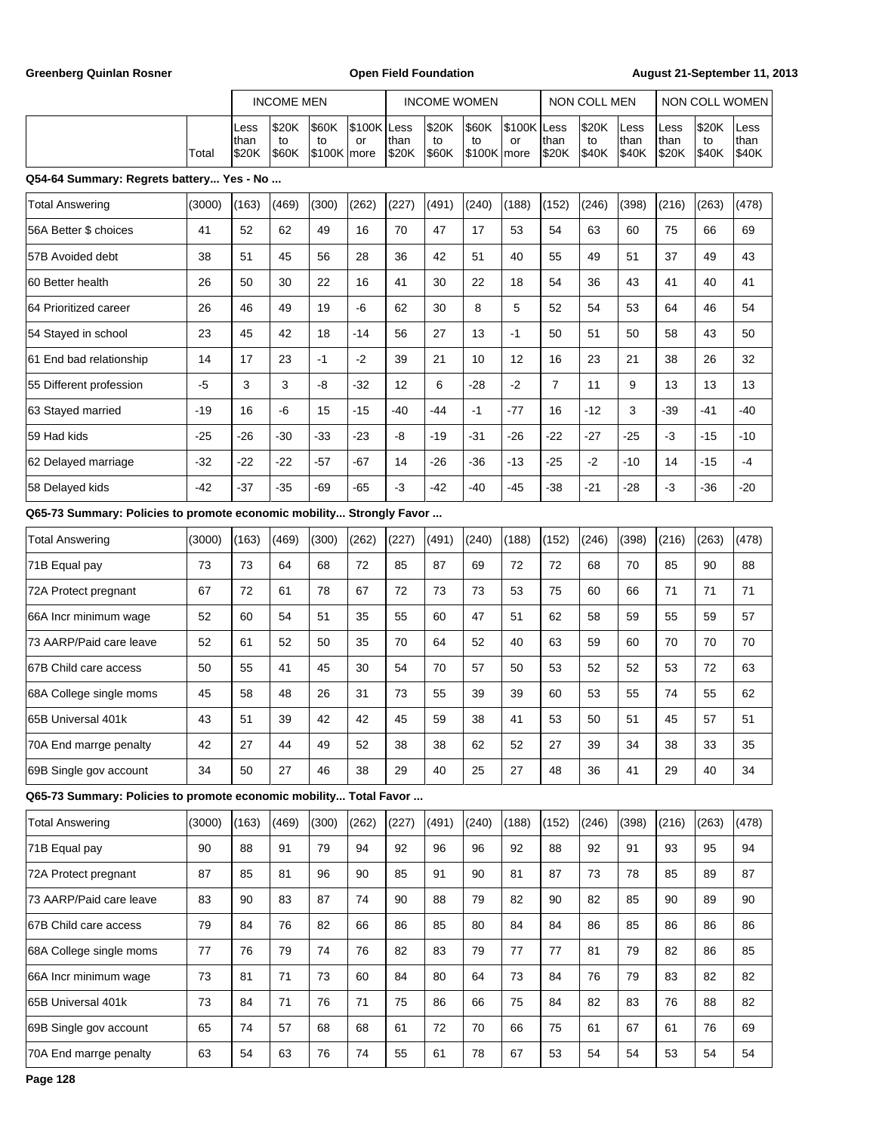Greenberg Quinlan Rosner **Communist Communist Communist Communist Communist Communist Communist Communist Communist Communist Communist Communist Communist Communist Communist Communist Communist Communist Communist Commun** 

|                                                                      |        |                       | <b>INCOME MEN</b>    |                               |                   |               | <b>INCOME WOMEN</b>         |                            |               | NON COLL MEN          |                      |                       | NON COLL WOMEN              |                      |                       |
|----------------------------------------------------------------------|--------|-----------------------|----------------------|-------------------------------|-------------------|---------------|-----------------------------|----------------------------|---------------|-----------------------|----------------------|-----------------------|-----------------------------|----------------------|-----------------------|
|                                                                      | Total  | Less<br>than<br>\$20K | \$20K<br>to<br>\$60K | \$60K<br>to<br>$$100K$   more | \$100K Less<br>or | than<br>\$20K | \$20K<br>to<br><b>\$60K</b> | \$60K<br>to<br>\$100K more | \$100K <br>or | Less<br>than<br>\$20K | \$20K<br>to<br>\$40K | Less<br>than<br>\$40K | Less<br>than<br><b>S20K</b> | \$20K<br>to<br>\$40K | Less<br>than<br>\$40K |
| Q54-64 Summary: Regrets battery Yes - No                             |        |                       |                      |                               |                   |               |                             |                            |               |                       |                      |                       |                             |                      |                       |
| Total Answering                                                      | (3000) | (163)                 | (469)                | (300)                         | (262)             | (227)         | (491)                       | (240)                      | (188)         | (152)                 | (246)                | (398)                 | (216)                       | (263)                | (478)                 |
| 56A Better \$ choices                                                | 41     | 52                    | 62                   | 49                            | 16                | 70            | 47                          | 17                         | 53            | 54                    | 63                   | 60                    | 75                          | 66                   | 69                    |
| 57B Avoided debt                                                     | 38     | 51                    | 45                   | 56                            | 28                | 36            | 42                          | 51                         | 40            | 55                    | 49                   | 51                    | 37                          | 49                   | 43                    |
| 60 Better health                                                     | 26     | 50                    | 30                   | 22                            | 16                | 41            | 30                          | 22                         | 18            | 54                    | 36                   | 43                    | 41                          | 40                   | 41                    |
| 64 Prioritized career                                                | 26     | 46                    | 49                   | 19                            | -6                | 62            | 30                          | 8                          | 5             | 52                    | 54                   | 53                    | 64                          | 46                   | 54                    |
| 54 Stayed in school                                                  | 23     | 45                    | 42                   | 18                            | $-14$             | 56            | 27                          | 13                         | $-1$          | 50                    | 51                   | 50                    | 58                          | 43                   | 50                    |
| 61 End bad relationship                                              | 14     | 17                    | 23                   | $-1$                          | $-2$              | 39            | 21                          | 10                         | 12            | 16                    | 23                   | 21                    | 38                          | 26                   | 32                    |
| 55 Different profession                                              | $-5$   | 3                     | 3                    | -8                            | $-32$             | 12            | 6                           | $-28$                      | $-2$          | $\overline{7}$        | 11                   | 9                     | 13                          | 13                   | 13                    |
| 63 Stayed married                                                    | $-19$  | 16                    | -6                   | 15                            | $-15$             | -40           | -44                         | $-1$                       | $-77$         | 16                    | $-12$                | 3                     | $-39$                       | $-41$                | $-40$                 |
| 59 Had kids                                                          | $-25$  | $-26$                 | $-30$                | $-33$                         | $-23$             | -8            | $-19$                       | -31                        | $-26$         | $-22$                 | $-27$                | $-25$                 | $-3$                        | $-15$                | $-10$                 |
| 62 Delayed marriage                                                  | $-32$  | $-22$                 | $-22$                | -57                           | $-67$             | 14            | $-26$                       | -36                        | $-13$         | $-25$                 | $-2$                 | $-10$                 | 14                          | $-15$                | $-4$                  |
| 58 Delayed kids                                                      | $-42$  | $-37$                 | $-35$                | -69                           | -65               | -3            | $-42$                       | $-40$                      | $-45$         | -38                   | $-21$                | $-28$                 | $-3$                        | $-36$                | $-20$                 |
| Q65-73 Summary: Policies to promote economic mobility Strongly Favor |        |                       |                      |                               |                   |               |                             |                            |               |                       |                      |                       |                             |                      |                       |
| Total Answering                                                      | (3000) | (163)                 | (469)                | (300)                         | (262)             | (227)         | (491)                       | (240)                      | (188)         | (152)                 | (246)                | (398)                 | (216)                       | (263)                | (478)                 |
| 71B Equal pay                                                        | 73     | 73                    | 64                   | 68                            | 72                | 85            | 87                          | 69                         | 72            | 72                    | 68                   | 70                    | 85                          | 90                   | 88                    |
| 72A Protect pregnant                                                 | 67     | 72                    | 61                   | 78                            | 67                | 72            | 73                          | 73                         | 53            | 75                    | 60                   | 66                    | 71                          | 71                   | 71                    |
| 66A Incr minimum wage                                                | 52     | 60                    | 54                   | 51                            | 35                | 55            | 60                          | 47                         | 51            | 62                    | 58                   | 59                    | 55                          | 59                   | 57                    |
| 73 AARP/Paid care leave                                              | 52     | 61                    | 52                   | 50                            | 35                | 70            | 64                          | 52                         | 40            | 63                    | 59                   | 60                    | 70                          | 70                   | 70                    |
| 67B Child care access                                                | 50     | 55                    | 41                   | 45                            | 30                | 54            | 70                          | 57                         | 50            | 53                    | 52                   | 52                    | 53                          | 72                   | 63                    |
| 68A College single moms                                              | 45     | 58                    | 48                   | 26                            | 31                | 73            | 55                          | 39                         | 39            | 60                    | 53                   | 55                    | 74                          | 55                   | 62                    |
| 65B Universal 401k                                                   | 43     | 51                    | 39                   | 42                            | 42                | 45            | 59                          | 38                         | 41            | 53                    | 50                   | 51                    | 45                          | 57                   | 51                    |
| 70A End marrge penalty                                               | 42     | 27                    | 44                   | 49                            | 52                | 38            | 38                          | 62                         | 52            | 27                    | 39                   | 34                    | 38                          | 33                   | 35                    |
| 69B Single gov account                                               | 34     | 50                    | 27                   | 46                            | 38                | 29            | 40                          | 25                         | 27            | 48                    | 36                   | 41                    | 29                          | 40                   | 34                    |
| Q65-73 Summary: Policies to promote economic mobility Total Favor    |        |                       |                      |                               |                   |               |                             |                            |               |                       |                      |                       |                             |                      |                       |
| <b>Total Answering</b>                                               | (3000) | (163)                 | (469)                | (300)                         | (262)             | (227)         | (491)                       | (240)                      | (188)         | (152)                 | (246)                | (398)                 | (216)                       | (263)                | (478)                 |
| 71B Equal pay                                                        | 90     | 88                    | 91                   | 79                            | 94                | 92            | 96                          | 96                         | 92            | 88                    | 92                   | 91                    | 93                          | 95                   | 94                    |
| 72A Protect pregnant                                                 | 87     | 85                    | 81                   | 96                            | 90                | 85            | 91                          | 90                         | 81            | 87                    | 73                   | 78                    | 85                          | 89                   | 87                    |
| 73 AARP/Paid care leave                                              | 83     | 90                    | 83                   | 87                            | 74                | 90            | 88                          | 79                         | 82            | 90                    | 82                   | 85                    | 90                          | 89                   | 90                    |
| 67B Child care access                                                | 79     | 84                    | 76                   | 82                            | 66                | 86            | 85                          | 80                         | 84            | 84                    | 86                   | 85                    | 86                          | 86                   | 86                    |
| 68A College single moms                                              | 77     | 76                    | 79                   | 74                            | 76                | 82            | 83                          | 79                         | 77            | 77                    | 81                   | 79                    | 82                          | 86                   | 85                    |
| 66A Incr minimum wage                                                | 73     | 81                    | 71                   | 73                            | 60                | 84            | 80                          | 64                         | 73            | 84                    | 76                   | 79                    | 83                          | 82                   | 82                    |
| 65B Universal 401k                                                   | 73     | 84                    | 71                   | 76                            | 71                | 75            | 86                          | 66                         | 75            | 84                    | 82                   | 83                    | 76                          | 88                   | 82                    |
| 69B Single gov account                                               | 65     | 74                    | 57                   | 68                            | 68                | 61            | 72                          | 70                         | 66            | 75                    | 61                   | 67                    | 61                          | 76                   | 69                    |
| 70A End marrge penalty                                               | 63     | 54                    | 63                   | 76                            | 74                | 55            | 61                          | 78                         | 67            | 53                    | 54                   | 54                    | 53                          | 54                   | 54                    |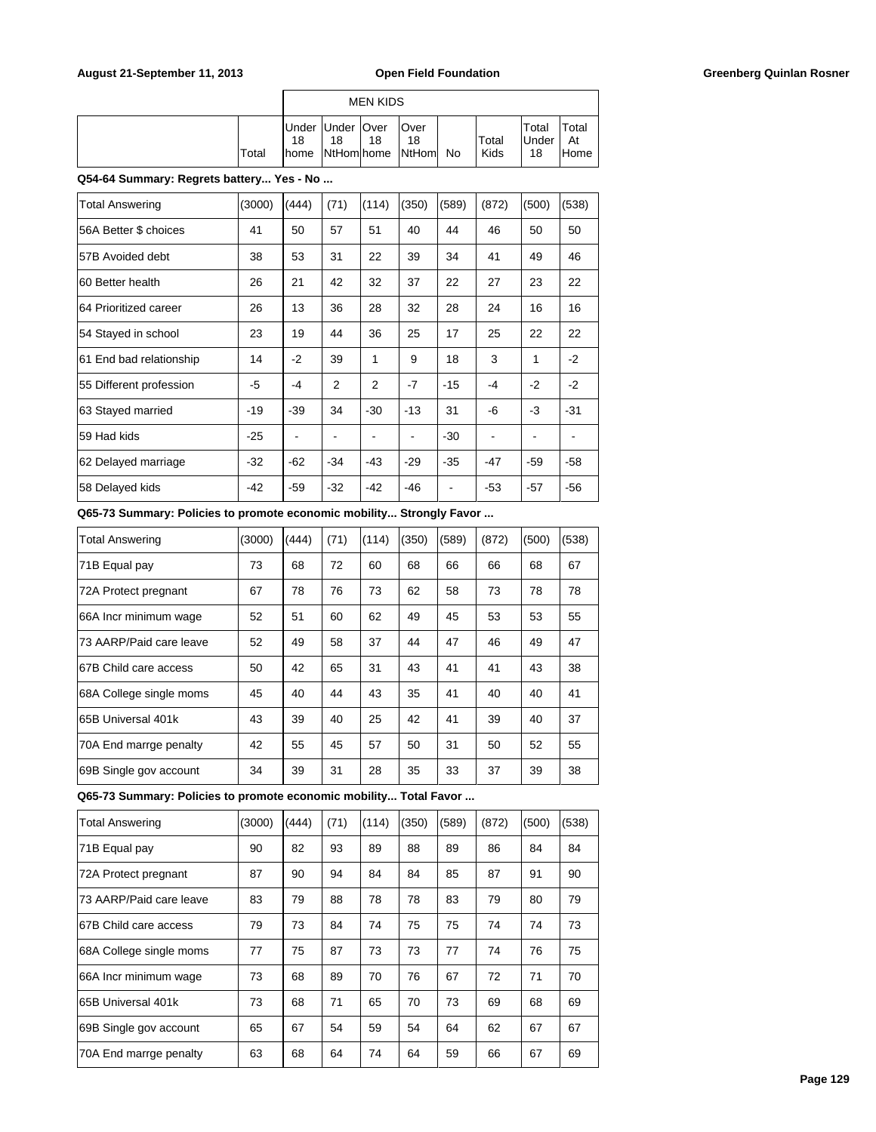|                                                                      |        |                     |                           | <b>MEN KIDS</b> |                     |                          |                |                          |                     |
|----------------------------------------------------------------------|--------|---------------------|---------------------------|-----------------|---------------------|--------------------------|----------------|--------------------------|---------------------|
|                                                                      | Total  | Under<br>18<br>home | Under<br>18<br>NtHomlhome | Over<br>18      | Over<br>18<br>NtHom | No                       | Total<br>Kids  | Total<br>Under<br>18     | Total<br>At<br>Home |
| Q54-64 Summary: Regrets battery Yes - No                             |        |                     |                           |                 |                     |                          |                |                          |                     |
| <b>Total Answering</b>                                               | (3000) | (444)               | (71)                      | (114)           | (350)               | (589)                    | (872)          | (500)                    | (538)               |
| 56A Better \$ choices                                                | 41     | 50                  | 57                        | 51              | 40                  | 44                       | 46             | 50                       | 50                  |
| 57B Avoided debt                                                     | 38     | 53                  | 31                        | 22              | 39                  | 34                       | 41             | 49                       | 46                  |
| 60 Better health                                                     | 26     | 21                  | 42                        | 32              | 37                  | 22                       | 27             | 23                       | 22                  |
| 64 Prioritized career                                                | 26     | 13                  | 36                        | 28              | 32                  | 28                       | 24             | 16                       | 16                  |
| 54 Stayed in school                                                  | 23     | 19                  | 44                        | 36              | 25                  | 17                       | 25             | 22                       | 22                  |
| 61 End bad relationship                                              | 14     | $-2$                | 39                        | 1               | 9                   | 18                       | 3              | 1                        | -2                  |
| 55 Different profession                                              | $-5$   | $-4$                | 2                         | $\overline{2}$  | $-7$                | $-15$                    | -4             | $-2$                     | $-2$                |
| 63 Stayed married                                                    | $-19$  | $-39$               | 34                        | $-30$           | $-13$               | 31                       | -6             | $-3$                     | $-31$               |
| 59 Had kids                                                          | $-25$  | ä,                  | $\blacksquare$            | $\blacksquare$  | $\overline{a}$      | $-30$                    | $\blacksquare$ | $\overline{\phantom{a}}$ | $\blacksquare$      |
| 62 Delayed marriage                                                  | $-32$  | -62                 | -34                       | -43             | $-29$               | $-35$                    | $-47$          | -59                      | $-58$               |
| 58 Delayed kids                                                      | -42    | -59                 | -32                       | $-42$           | $-46$               | $\overline{\phantom{a}}$ | $-53$          | $-57$                    | $-56$               |
| Q65-73 Summary: Policies to promote economic mobility Strongly Favor |        |                     |                           |                 |                     |                          |                |                          |                     |
| <b>Total Answering</b>                                               | (3000) | (444)               | (71)                      | (114)           | (350)               | (589)                    | (872)          | (500)                    | (538)               |
| 71B Equal pay                                                        | 73     | 68                  | 72                        | 60              | 68                  | 66                       | 66             | 68                       | 67                  |
| 72A Protect pregnant                                                 | 67     | 78                  | 76                        | 73              | 62                  | 58                       | 73             | 78                       | 78                  |
| 66A Incr minimum wage                                                | 52     | 51                  | 60                        | 62              | 49                  | 45                       | 53             | 53                       | 55                  |
| 73 AARP/Paid care leave                                              | 52     | 49                  | 58                        | 37              | 44                  | 47                       | 46             | 49                       | 47                  |
| 67B Child care access                                                | 50     | 42                  | 65                        | 31              | 43                  | 41                       | 41             | 43                       | 38                  |

| <b>Total Answering</b>  | (3000) | (444) | (71) | (114) | (350) | (589) | (872) | (500) | (538) |
|-------------------------|--------|-------|------|-------|-------|-------|-------|-------|-------|
| 71B Equal pay           | 73     | 68    | 72   | 60    | 68    | 66    | 66    | 68    | 67    |
| 72A Protect pregnant    | 67     | 78    | 76   | 73    | 62    | 58    | 73    | 78    | 78    |
| 66A Incr minimum wage   | 52     | 51    | 60   | 62    | 49    | 45    | 53    | 53    | 55    |
| 73 AARP/Paid care leave | 52     | 49    | 58   | 37    | 44    | 47    | 46    | 49    | 47    |
| 67B Child care access   | 50     | 42    | 65   | 31    | 43    | 41    | 41    | 43    | 38    |
| 68A College single moms | 45     | 40    | 44   | 43    | 35    | 41    | 40    | 40    | 41    |
| 65B Universal 401k      | 43     | 39    | 40   | 25    | 42    | 41    | 39    | 40    | 37    |
| 70A End marrge penalty  | 42     | 55    | 45   | 57    | 50    | 31    | 50    | 52    | 55    |
| 69B Single gov account  | 34     | 39    | 31   | 28    | 35    | 33    | 37    | 39    | 38    |

**Q65-73 Summary: Policies to promote economic mobility... Total Favor ...**

| <b>Total Answering</b>  | (3000) | (444) | (71) | (114) | (350) | (589) | (872) | (500) | (538) |
|-------------------------|--------|-------|------|-------|-------|-------|-------|-------|-------|
| 71B Equal pay           | 90     | 82    | 93   | 89    | 88    | 89    | 86    | 84    | 84    |
| 72A Protect pregnant    | 87     | 90    | 94   | 84    | 84    | 85    | 87    | 91    | 90    |
| 73 AARP/Paid care leave | 83     | 79    | 88   | 78    | 78    | 83    | 79    | 80    | 79    |
| 67B Child care access   | 79     | 73    | 84   | 74    | 75    | 75    | 74    | 74    | 73    |
| 68A College single moms | 77     | 75    | 87   | 73    | 73    | 77    | 74    | 76    | 75    |
| 66A Incr minimum wage   | 73     | 68    | 89   | 70    | 76    | 67    | 72    | 71    | 70    |
| 65B Universal 401k      | 73     | 68    | 71   | 65    | 70    | 73    | 69    | 68    | 69    |
| 69B Single gov account  | 65     | 67    | 54   | 59    | 54    | 64    | 62    | 67    | 67    |
| 70A End marrge penalty  | 63     | 68    | 64   | 74    | 64    | 59    | 66    | 67    | 69    |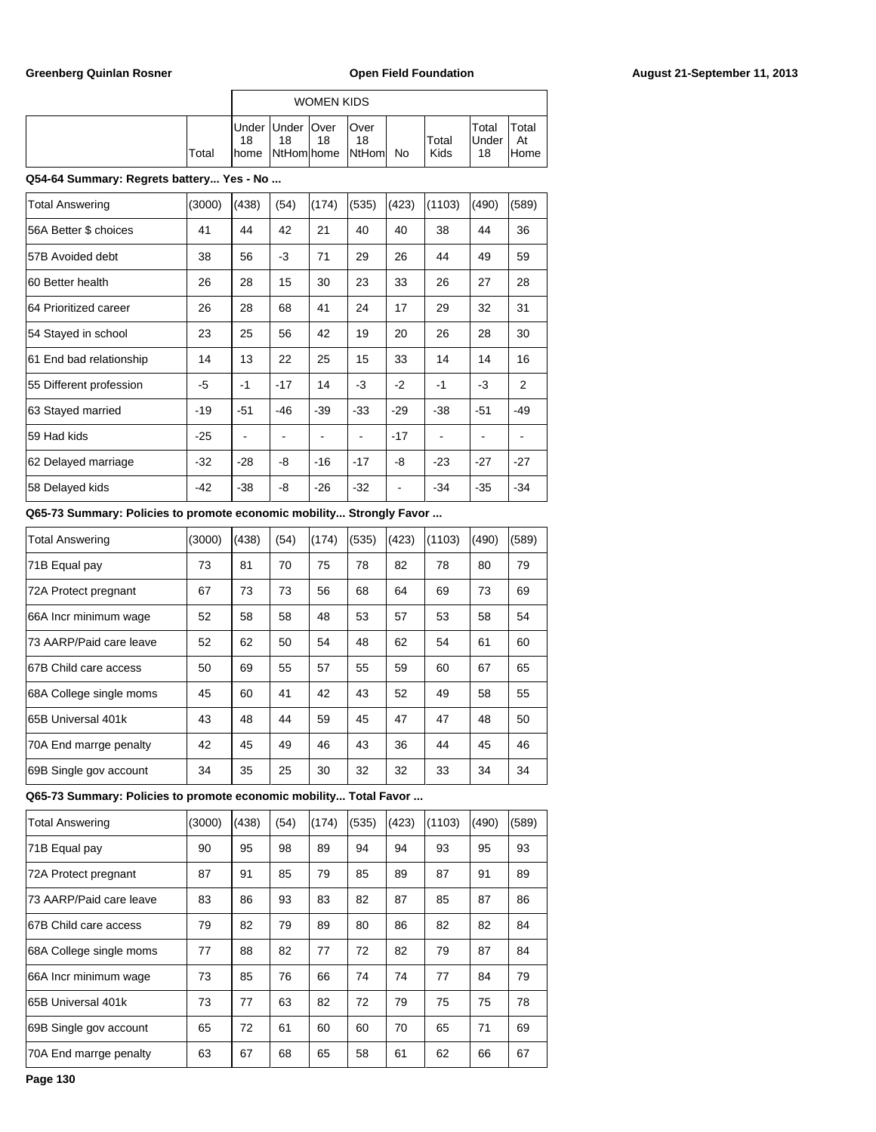|                                          |        |                      |                                         | <b>WOMEN KIDS</b> |                       |       |               |                      |                     |
|------------------------------------------|--------|----------------------|-----------------------------------------|-------------------|-----------------------|-------|---------------|----------------------|---------------------|
|                                          | Total  | Under<br>18<br>Ihome | <b>Under</b><br>18<br><b>NtHomlhome</b> | <b>Over</b><br>18 | Over<br>18<br> NtHoml | No    | Total<br>Kids | Total<br>Under<br>18 | Total<br>At<br>Home |
| Q54-64 Summary: Regrets battery Yes - No |        |                      |                                         |                   |                       |       |               |                      |                     |
| <b>Total Answering</b>                   | (3000) | (438)                | (54)                                    | (174)             | (535)                 | (423) | (1103)        | (490)                | (589)               |
| 56A Better \$ choices                    | 41     | 44                   | 42                                      | 21                | 40                    | 40    | 38            | 44                   | 36                  |
| 57B Avoided debt                         | 38     | 56                   | $-3$                                    | 71                | 29                    | 26    | 44            | 49                   | 59                  |
| 60 Better health                         | 26     | 28                   | 15                                      | 30                | 23                    | 33    | 26            | 27                   | 28                  |
| 64 Prioritized career                    | 26     | 28                   | 68                                      | 41                | 24                    | 17    | 29            | 32                   | 31                  |
| 54 Stayed in school                      | 23     | 25                   | 56                                      | 42                | 19                    | 20    | 26            | 28                   | 30                  |
| 61 End bad relationship                  | 14     | 13                   | 22                                      | 25                | 15                    | 33    | 14            | 14                   | 16                  |
| 55 Different profession                  | -5     | $-1$                 | $-17$                                   | 14                | $-3$                  | $-2$  | $-1$          | -3                   | 2                   |
| 63 Stayed married                        | $-19$  | $-51$                | $-46$                                   | $-39$             | $-33$                 | $-29$ | $-38$         | $-51$                | $-49$               |

| 59 Had kids | -25 | - | - | - | - | - | - | - | - | -|62 Delayed marriage | -32 | -28 | -8 | -16 | -17 | -8 | -23 | -27 | -27 |58 Delayed kids | -42 | -38 | -8 | -26 | -32 | - | -34 | -35 | -34

### **Q65-73 Summary: Policies to promote economic mobility... Strongly Favor ...**

| <b>Total Answering</b>  | (3000) | (438) | (54) | (174) | (535) | (423) | (1103) | (490) | (589) |
|-------------------------|--------|-------|------|-------|-------|-------|--------|-------|-------|
| 71B Equal pay           | 73     | 81    | 70   | 75    | 78    | 82    | 78     | 80    | 79    |
| 72A Protect pregnant    | 67     | 73    | 73   | 56    | 68    | 64    | 69     | 73    | 69    |
| 66A Incr minimum wage   | 52     | 58    | 58   | 48    | 53    | 57    | 53     | 58    | 54    |
| 73 AARP/Paid care leave | 52     | 62    | 50   | 54    | 48    | 62    | 54     | 61    | 60    |
| 67B Child care access   | 50     | 69    | 55   | 57    | 55    | 59    | 60     | 67    | 65    |
| 68A College single moms | 45     | 60    | 41   | 42    | 43    | 52    | 49     | 58    | 55    |
| 65B Universal 401k      | 43     | 48    | 44   | 59    | 45    | 47    | 47     | 48    | 50    |
| 70A End marrge penalty  | 42     | 45    | 49   | 46    | 43    | 36    | 44     | 45    | 46    |
| 69B Single gov account  | 34     | 35    | 25   | 30    | 32    | 32    | 33     | 34    | 34    |

**Q65-73 Summary: Policies to promote economic mobility... Total Favor ...**

| <b>Total Answering</b>  | (3000) | (438) | (54) | (174) | (535) | (423) | (1103) | (490) | (589) |
|-------------------------|--------|-------|------|-------|-------|-------|--------|-------|-------|
| 71B Equal pay           | 90     | 95    | 98   | 89    | 94    | 94    | 93     | 95    | 93    |
| 72A Protect pregnant    | 87     | 91    | 85   | 79    | 85    | 89    | 87     | 91    | 89    |
| 73 AARP/Paid care leave | 83     | 86    | 93   | 83    | 82    | 87    | 85     | 87    | 86    |
| 167B Child care access  | 79     | 82    | 79   | 89    | 80    | 86    | 82     | 82    | 84    |
| 68A College single moms | 77     | 88    | 82   | 77    | 72    | 82    | 79     | 87    | 84    |
| 66A Incr minimum waqe   | 73     | 85    | 76   | 66    | 74    | 74    | 77     | 84    | 79    |
| 165B Universal 401k     | 73     | 77    | 63   | 82    | 72    | 79    | 75     | 75    | 78    |
| 69B Single gov account  | 65     | 72    | 61   | 60    | 60    | 70    | 65     | 71    | 69    |
| 70A End marrge penalty  | 63     | 67    | 68   | 65    | 58    | 61    | 62     | 66    | 67    |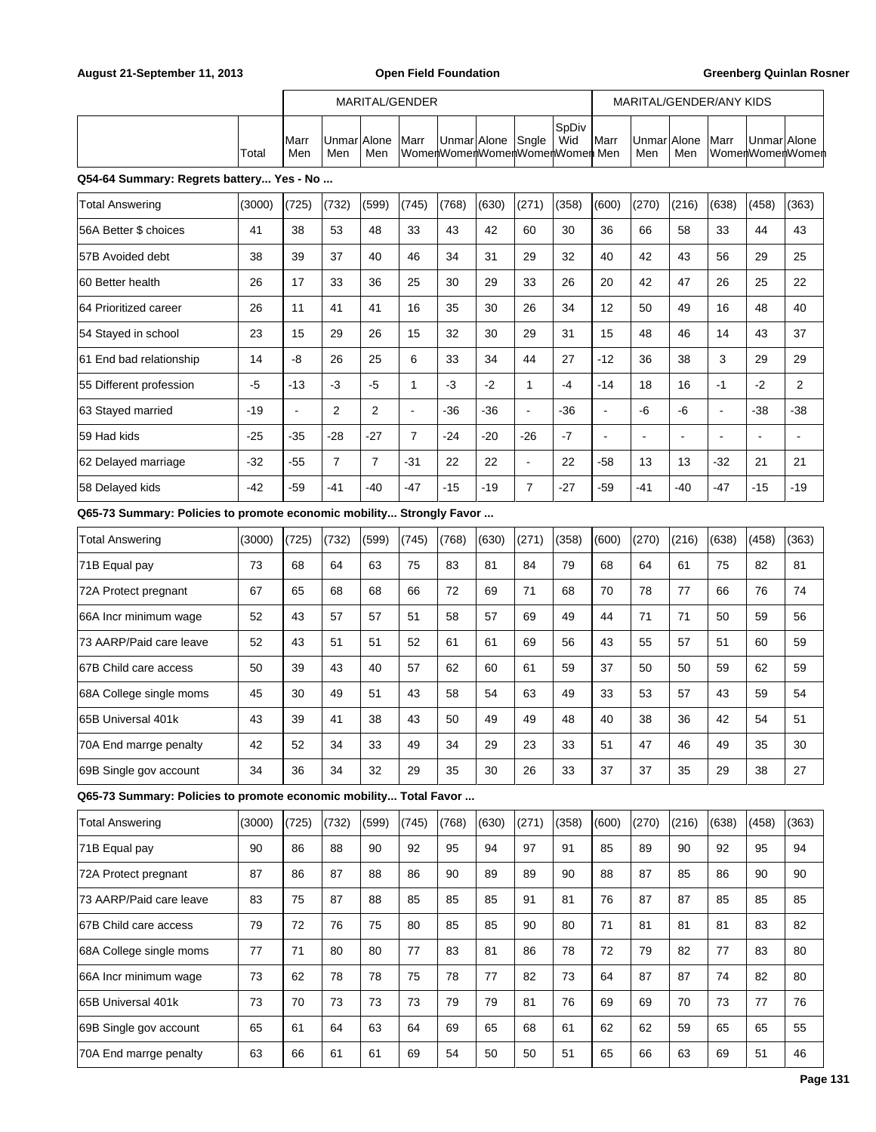|                                                                      |        | MARITAL/GENDER |                    |                |                |             | MARITAL/GENDER/ANY KIDS       |                          |              |                          |              |                          |                |             |                 |
|----------------------------------------------------------------------|--------|----------------|--------------------|----------------|----------------|-------------|-------------------------------|--------------------------|--------------|--------------------------|--------------|--------------------------|----------------|-------------|-----------------|
|                                                                      | Total  | Marr<br>Men    | Unmar Alone<br>Men | Men            | Marr           | Unmar Alone | WomenWomenWomenWomenWomen Men | Sngle                    | SpDiv<br>Wid | Marr                     | Unmar<br>Men | Alone<br>Men             | Marr           | Unmar Alone | WomenWomenWomen |
| Q54-64 Summary: Regrets battery Yes - No                             |        |                |                    |                |                |             |                               |                          |              |                          |              |                          |                |             |                 |
| <b>Total Answering</b>                                               | (3000) | (725)          | (732)              | (599)          | (745)          | (768)       | (630)                         | (271)                    | (358)        | (600)                    | (270)        | (216)                    | (638)          | (458)       | (363)           |
| 56A Better \$ choices                                                | 41     | 38             | 53                 | 48             | 33             | 43          | 42                            | 60                       | 30           | 36                       | 66           | 58                       | 33             | 44          | 43              |
| 57B Avoided debt                                                     | 38     | 39             | 37                 | 40             | 46             | 34          | 31                            | 29                       | 32           | 40                       | 42           | 43                       | 56             | 29          | 25              |
| 60 Better health                                                     | 26     | 17             | 33                 | 36             | 25             | 30          | 29                            | 33                       | 26           | 20                       | 42           | 47                       | 26             | 25          | 22              |
| 64 Prioritized career                                                | 26     | 11             | 41                 | 41             | 16             | 35          | 30                            | 26                       | 34           | 12                       | 50           | 49                       | 16             | 48          | 40              |
| 54 Stayed in school                                                  | 23     | 15             | 29                 | 26             | 15             | 32          | 30                            | 29                       | 31           | 15                       | 48           | 46                       | 14             | 43          | 37              |
| 61 End bad relationship                                              | 14     | -8             | 26                 | 25             | 6              | 33          | 34                            | 44                       | 27           | $-12$                    | 36           | 38                       | 3              | 29          | 29              |
| 55 Different profession                                              | $-5$   | $-13$          | $-3$               | $-5$           | 1              | $-3$        | $-2$                          | $\mathbf{1}$             | $-4$         | $-14$                    | 18           | 16                       | $-1$           | $-2$        | 2               |
| 63 Stayed married                                                    | $-19$  | ÷,             | 2                  | $\mathbf{2}$   | $\blacksquare$ | $-36$       | -36                           | $\blacksquare$           | $-36$        | $\blacksquare$           | -6           | -6                       | $\blacksquare$ | -38         | $-38$           |
| 59 Had kids                                                          | $-25$  | $-35$          | -28                | -27            | $\overline{7}$ | -24         | -20                           | $-26$                    | $-7$         | $\overline{\phantom{a}}$ |              | $\overline{\phantom{a}}$ | $\overline{a}$ | ÷,          |                 |
| 62 Delayed marriage                                                  | $-32$  | $-55$          | $\overline{7}$     | $\overline{7}$ | $-31$          | 22          | 22                            | $\overline{\phantom{a}}$ | 22           | -58                      | 13           | 13                       | $-32$          | 21          | 21              |
| 58 Delayed kids                                                      | $-42$  | $-59$          | -41                | $-40$          | $-47$          | $-15$       | $-19$                         | $\overline{7}$           | $-27$        | -59                      | -41          | -40                      | $-47$          | $-15$       | $-19$           |
| Q65-73 Summary: Policies to promote economic mobility Strongly Favor |        |                |                    |                |                |             |                               |                          |              |                          |              |                          |                |             |                 |
| <b>Total Answering</b>                                               | (3000) | (725)          | (732)              | (599)          | (745)          | (768)       | (630)                         | (271)                    | (358)        | (600)                    | (270)        | (216)                    | (638)          | (458)       | (363)           |
| 71B Equal pay                                                        | 73     | 68             | 64                 | 63             | 75             | 83          | 81                            | 84                       | 79           | 68                       | 64           | 61                       | 75             | 82          | 81              |
| 72A Protect pregnant                                                 | 67     | 65             | 68                 | 68             | 66             | 72          | 69                            | 71                       | 68           | 70                       | 78           | 77                       | 66             | 76          | 74              |
| 66A Incr minimum wage                                                | 52     | 43             | 57                 | 57             | 51             | 58          | 57                            | 69                       | 49           | 44                       | 71           | 71                       | 50             | 59          | 56              |
| 73 AARP/Paid care leave                                              | 52     | 43             | 51                 | 51             | 52             | 61          | 61                            | 69                       | 56           | 43                       | 55           | 57                       | 51             | 60          | 59              |
| 67B Child care access                                                | 50     | 39             | 43                 | 40             | 57             | 62          | 60                            | 61                       | 59           | 37                       | 50           | 50                       | 59             | 62          | 59              |
| 68A College single moms                                              | 45     | 30             | 49                 | 51             | 43             | 58          | 54                            | 63                       | 49           | 33                       | 53           | 57                       | 43             | 59          | 54              |
| 65B Universal 401k                                                   | 43     | 39             | 41                 | 38             | 43             | 50          | 49                            | 49                       | 48           | 40                       | 38           | 36                       | 42             | 54          | 51              |
| 70A End marrge penalty                                               | 42     | 52             | 34                 | 33             | 49             | 34          | 29                            | 23                       | 33           | 51                       | 47           | 46                       | 49             | 35          | 30              |
| 69B Single gov account                                               | 34     | 36             | 34                 | 32             | 29             | 35          | 30                            | 26                       | 33           | 37                       | 37           | 35                       | 29             | 38          | 27              |
| Q65-73 Summary: Policies to promote economic mobility Total Favor    |        |                |                    |                |                |             |                               |                          |              |                          |              |                          |                |             |                 |
| <b>Total Answering</b>                                               | (3000) | (725)          | (732)              | (599)          | (745)          | (768)       | (630)                         | (271)                    | (358)        | (600)                    | (270)        | (216)                    | (638)          | (458)       | (363)           |
| 71B Equal pay                                                        | 90     | 86             | 88                 | 90             | 92             | 95          | 94                            | 97                       | 91           | 85                       | 89           | 90                       | 92             | 95          | 94              |
| 72A Protect pregnant                                                 | 87     | 86             | 87                 | 88             | 86             | 90          | 89                            | 89                       | 90           | 88                       | 87           | 85                       | 86             | 90          | 90              |
| 73 AARP/Paid care leave                                              | 83     | 75             | 87                 | 88             | 85             | 85          | 85                            | 91                       | 81           | 76                       | 87           | 87                       | 85             | 85          | 85              |
| 67B Child care access                                                | 79     | 72             | 76                 | 75             | 80             | 85          | 85                            | 90                       | 80           | 71                       | 81           | 81                       | 81             | 83          | 82              |
| 68A College single moms                                              | 77     | 71             | 80                 | 80             | 77             | 83          | 81                            | 86                       | 78           | 72                       | 79           | 82                       | 77             | 83          | 80              |
| 66A Incr minimum wage                                                | 73     | 62             | 78                 | 78             | 75             | 78          | 77                            | 82                       | 73           | 64                       | 87           | 87                       | 74             | 82          | 80              |
| 65B Universal 401k                                                   | 73     | 70             | 73                 | 73             | 73             | 79          | 79                            | 81                       | 76           | 69                       | 69           | 70                       | 73             | 77          | 76              |
| 69B Single gov account                                               | 65     | 61             | 64                 | 63             | 64             | 69          | 65                            | 68                       | 61           | 62                       | 62           | 59                       | 65             | 65          | 55              |
| 70A End marrge penalty                                               | 63     | 66             | 61                 | 61             | 69             | 54          | 50                            | 50                       | 51           | 65                       | 66           | 63                       | 69             | 51          | 46              |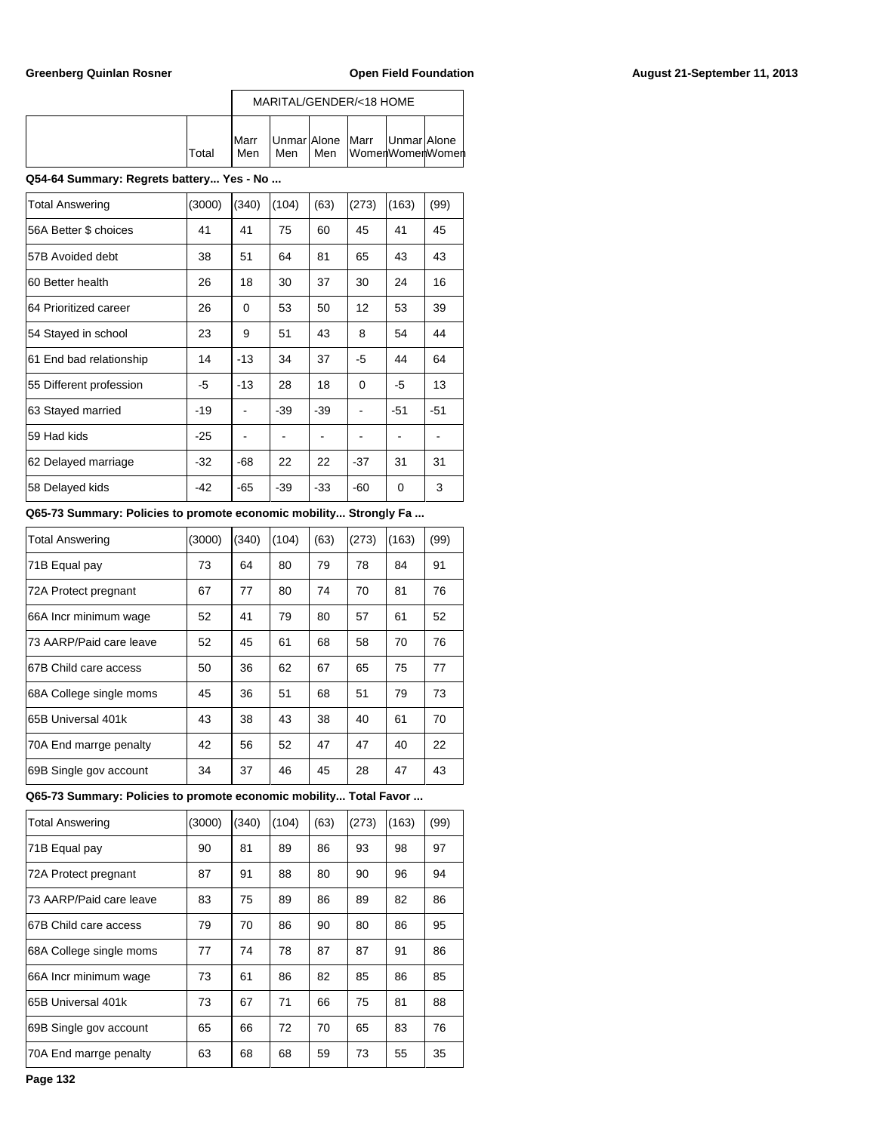|        |                      |     |     | MARITAL/GENDER/<18 HOME                              |  |
|--------|----------------------|-----|-----|------------------------------------------------------|--|
| lTotal | <b>I</b> Marr<br>Men | Men | Men | Unmar Alone   Marr   Unmar Alone<br>lWomenWomenWomen |  |

# **Q54-64 Summary: Regrets battery... Yes - No ...**

| <b>Total Answering</b>  | (3000) | (340) | (104) | (63)  | (273)    | (163) | (99)  |
|-------------------------|--------|-------|-------|-------|----------|-------|-------|
| 56A Better \$ choices   | 41     | 41    | 75    | 60    | 45       | 41    | 45    |
| 57B Avoided debt        | 38     | 51    | 64    | 81    | 65       | 43    | 43    |
| 60 Better health        | 26     | 18    | 30    | 37    | 30       | 24    | 16    |
| 64 Prioritized career   | 26     | 0     | 53    | 50    | 12       | 53    | 39    |
| 54 Stayed in school     | 23     | 9     | 51    | 43    | 8        | 54    | 44    |
| 61 End bad relationship | 14     | $-13$ | 34    | 37    | -5       | 44    | 64    |
| 55 Different profession | -5     | $-13$ | 28    | 18    | $\Omega$ | -5    | 13    |
| 63 Stayed married       | $-19$  |       | $-39$ | $-39$ |          | $-51$ | $-51$ |
| 59 Had kids             | $-25$  |       |       |       |          |       |       |
| 62 Delayed marriage     | $-32$  | $-68$ | 22    | 22    | $-37$    | 31    | 31    |
| 58 Delayed kids         | $-42$  | $-65$ | -39   | $-33$ | -60      | 0     | 3     |

### **Q65-73 Summary: Policies to promote economic mobility... Strongly Fa ...**

| <b>Total Answering</b>  | (3000) | (340) | (104) | (63) | (273) | (163) | (99) |
|-------------------------|--------|-------|-------|------|-------|-------|------|
| 71B Equal pay           | 73     | 64    | 80    | 79   | 78    | 84    | 91   |
| 72A Protect pregnant    | 67     | 77    | 80    | 74   | 70    | 81    | 76   |
| 66A Incr minimum wage   | 52     | 41    | 79    | 80   | 57    | 61    | 52   |
| 73 AARP/Paid care leave | 52     | 45    | 61    | 68   | 58    | 70    | 76   |
| 67B Child care access   | 50     | 36    | 62    | 67   | 65    | 75    | 77   |
| 68A College single moms | 45     | 36    | 51    | 68   | 51    | 79    | 73   |
| 65B Universal 401k      | 43     | 38    | 43    | 38   | 40    | 61    | 70   |
| 70A End marrge penalty  | 42     | 56    | 52    | 47   | 47    | 40    | 22   |
| 69B Single gov account  | 34     | 37    | 46    | 45   | 28    | 47    | 43   |

**Q65-73 Summary: Policies to promote economic mobility... Total Favor ...**

| <b>Total Answering</b>  | (3000) | (340) | (104) | (63) | (273) | (163) | (99) |
|-------------------------|--------|-------|-------|------|-------|-------|------|
| 71B Equal pay           | 90     | 81    | 89    | 86   | 93    | 98    | 97   |
| 72A Protect pregnant    | 87     | 91    | 88    | 80   | 90    | 96    | 94   |
| 73 AARP/Paid care leave | 83     | 75    | 89    | 86   | 89    | 82    | 86   |
| 67B Child care access   | 79     | 70    | 86    | 90   | 80    | 86    | 95   |
| 68A College single moms | 77     | 74    | 78    | 87   | 87    | 91    | 86   |
| 66A Incr minimum wage   | 73     | 61    | 86    | 82   | 85    | 86    | 85   |
| 65B Universal 401k      | 73     | 67    | 71    | 66   | 75    | 81    | 88   |
| 69B Single gov account  | 65     | 66    | 72    | 70   | 65    | 83    | 76   |
| 70A End marrge penalty  | 63     | 68    | 68    | 59   | 73    | 55    | 35   |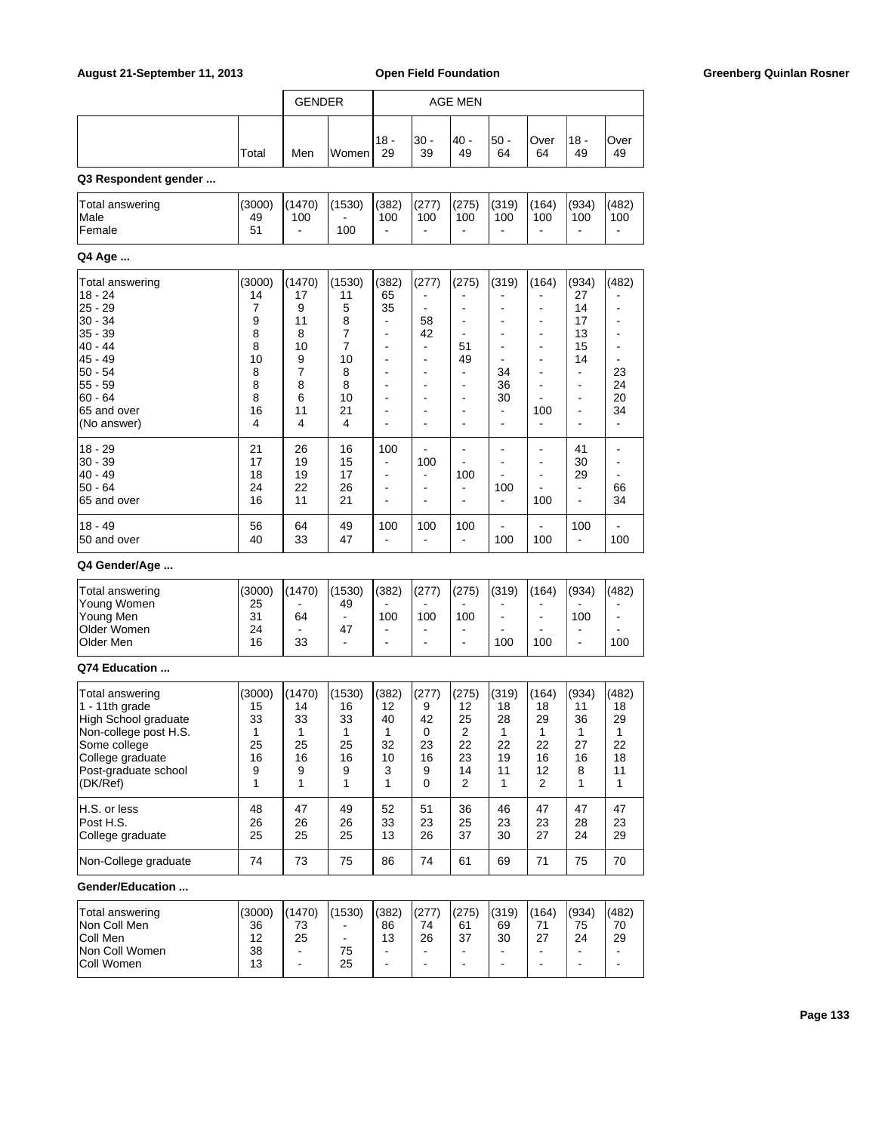| August 21-September 11, 2013                                                                                                                               |                                                          |                                                                     |                                                          |                                                                          |                                                                                      | <b>Open Field Foundation</b>                               |                                                                     |                                                                       |                                                                                          |                                                                     | <b>Greenberg Quinlan Rosner</b> |
|------------------------------------------------------------------------------------------------------------------------------------------------------------|----------------------------------------------------------|---------------------------------------------------------------------|----------------------------------------------------------|--------------------------------------------------------------------------|--------------------------------------------------------------------------------------|------------------------------------------------------------|---------------------------------------------------------------------|-----------------------------------------------------------------------|------------------------------------------------------------------------------------------|---------------------------------------------------------------------|---------------------------------|
|                                                                                                                                                            |                                                          | <b>GENDER</b>                                                       |                                                          |                                                                          |                                                                                      | <b>AGE MEN</b>                                             |                                                                     |                                                                       |                                                                                          |                                                                     |                                 |
|                                                                                                                                                            |                                                          |                                                                     |                                                          |                                                                          |                                                                                      |                                                            |                                                                     |                                                                       |                                                                                          |                                                                     |                                 |
|                                                                                                                                                            | Total                                                    | Men                                                                 | Women                                                    | $18 -$<br>29                                                             | $30 -$<br>39                                                                         | $40 -$<br>49                                               | $50 -$<br>64                                                        | Over<br>64                                                            | $18 -$<br>49                                                                             | Over<br>49                                                          |                                 |
| Q3 Respondent gender                                                                                                                                       |                                                          |                                                                     |                                                          |                                                                          |                                                                                      |                                                            |                                                                     |                                                                       |                                                                                          |                                                                     |                                 |
| Total answering                                                                                                                                            | (3000)                                                   | (1470)                                                              | (1530)                                                   | (382)                                                                    | (277)                                                                                | (275)                                                      | (319)                                                               | (164)                                                                 | (934)                                                                                    | (482)                                                               |                                 |
| Male<br>Female                                                                                                                                             | 49<br>51                                                 | 100<br>$\sim$                                                       | 100                                                      | 100<br>$\blacksquare$                                                    | 100<br>$\blacksquare$                                                                | 100<br>$\overline{a}$                                      | 100<br>$\overline{a}$                                               | 100<br>$\blacksquare$                                                 | 100<br>$\blacksquare$                                                                    | 100<br>$\blacksquare$                                               |                                 |
| Q4 Age                                                                                                                                                     |                                                          |                                                                     |                                                          |                                                                          |                                                                                      |                                                            |                                                                     |                                                                       |                                                                                          |                                                                     |                                 |
|                                                                                                                                                            | (3000)                                                   | (1470)                                                              | (1530)                                                   | (382)                                                                    | (277)                                                                                | (275)                                                      | (319)                                                               | (164)                                                                 | (934)                                                                                    | (482)                                                               |                                 |
| Total answering<br>$18 - 24$<br>$25 - 29$<br>$30 - 34$<br>$35 - 39$                                                                                        | 14<br>7<br>9<br>8                                        | 17<br>9<br>11<br>8                                                  | 11<br>5<br>8<br>7                                        | 65<br>35<br>$\blacksquare$<br>÷,                                         | $\blacksquare$<br>58<br>42                                                           | $\overline{\phantom{a}}$<br>$\overline{\phantom{a}}$       | $\overline{\phantom{a}}$<br>$\blacksquare$                          | $\blacksquare$<br>$\overline{\phantom{a}}$<br>$\blacksquare$          | 27<br>14<br>17<br>13                                                                     | $\blacksquare$<br>$\overline{\phantom{a}}$<br>$\blacksquare$        |                                 |
| 40 - 44<br>45 - 49                                                                                                                                         | 8<br>10                                                  | 10<br>9                                                             | 7<br>10                                                  | $\overline{a}$<br>÷,                                                     | $\blacksquare$<br>$\blacksquare$                                                     | 51<br>49                                                   | $\overline{\phantom{a}}$<br>$\overline{\phantom{a}}$                | $\overline{\phantom{a}}$<br>$\overline{\phantom{a}}$                  | 15<br>14                                                                                 | $\blacksquare$<br>$\blacksquare$                                    |                                 |
| 50 - 54<br>55 - 59<br>$ 60 - 64$<br>65 and over<br>(No answer)                                                                                             | 8<br>8<br>8<br>16<br>4                                   | $\overline{7}$<br>8<br>6<br>11<br>4                                 | 8<br>8<br>10<br>21<br>4                                  | $\overline{\phantom{a}}$<br>$\blacksquare$<br>$\blacksquare$<br>÷,<br>ä, | $\overline{\phantom{a}}$<br>$\blacksquare$<br>$\blacksquare$<br>$\blacksquare$<br>L, | $\blacksquare$<br>$\blacksquare$<br>$\blacksquare$         | 34<br>36<br>30<br>$\blacksquare$<br>$\overline{\phantom{a}}$        | $\blacksquare$<br>100<br>$\blacksquare$                               | $\overline{\phantom{a}}$<br>$\blacksquare$<br>$\overline{\phantom{a}}$<br>$\blacksquare$ | 23<br>24<br>20<br>34<br>$\blacksquare$                              |                                 |
| $18 - 29$<br>$30 - 39$<br>40 - 49<br>50 - 64                                                                                                               | 21<br>17<br>18<br>24                                     | 26<br>19<br>19<br>22                                                | 16<br>15<br>17<br>26                                     | 100<br>$\blacksquare$<br>$\blacksquare$<br>÷,                            | 100<br>$\blacksquare$<br>$\blacksquare$                                              | 100<br>$\ddot{\phantom{a}}$                                | $\blacksquare$<br>$\overline{\phantom{a}}$<br>100                   | $\blacksquare$<br>$\blacksquare$<br>$\overline{\phantom{a}}$          | 41<br>30<br>29<br>$\blacksquare$                                                         | $\blacksquare$<br>$\blacksquare$<br>$\blacksquare$<br>66            |                                 |
| 65 and over                                                                                                                                                | 16                                                       | 11                                                                  | 21                                                       | $\blacksquare$                                                           | $\blacksquare$                                                                       |                                                            | $\overline{\phantom{a}}$                                            | 100                                                                   | $\overline{a}$                                                                           | 34                                                                  |                                 |
| $18 - 49$<br>50 and over                                                                                                                                   | 56<br>40                                                 | 64<br>33                                                            | 49<br>47                                                 | 100<br>$\blacksquare$                                                    | 100<br>$\blacksquare$                                                                | 100<br>$\mathbf{r}$                                        | 100                                                                 | 100                                                                   | 100<br>$\blacksquare$                                                                    | $\blacksquare$<br>100                                               |                                 |
| Q4 Gender/Age                                                                                                                                              |                                                          |                                                                     |                                                          |                                                                          |                                                                                      |                                                            |                                                                     |                                                                       |                                                                                          |                                                                     |                                 |
| <b>Total answering</b><br>Young Women<br>Young Men<br>Older Women<br>Older Men                                                                             | (3000)<br>25<br>31<br>24<br>16                           | (1470)<br>64<br>33                                                  | (1530)<br>49<br>$\blacksquare$<br>47<br>$\blacksquare$   | (382)<br>100<br>$\overline{\phantom{a}}$<br>÷,                           | (277)<br>100<br>$\overline{\phantom{a}}$<br>$\blacksquare$                           | (275)<br>100<br>$\overline{\phantom{a}}$                   | (319)<br>$\blacksquare$<br>100                                      | (164)<br>$\blacksquare$<br>100                                        | (934)<br>100<br>$\overline{a}$                                                           | (482)<br>$\blacksquare$<br>100                                      |                                 |
| Q74 Education                                                                                                                                              |                                                          |                                                                     |                                                          |                                                                          |                                                                                      |                                                            |                                                                     |                                                                       |                                                                                          |                                                                     |                                 |
| Total answering<br>1 - 11th grade<br>High School graduate<br>Non-college post H.S.<br>Some college<br>College graduate<br>Post-graduate school<br>(DK/Ref) | (3000)<br>15<br>33<br>1<br>25<br>16<br>9<br>$\mathbf{1}$ | (1470)<br>14<br>33<br>$\mathbf{1}$<br>25<br>16<br>9<br>$\mathbf{1}$ | (1530)<br>16<br>33<br>1<br>25<br>16<br>9<br>$\mathbf{1}$ | (382)<br>12<br>40<br>$\mathbf{1}$<br>32<br>10<br>3<br>1                  | (277)<br>9<br>42<br>0<br>23<br>16<br>9<br>$\mathbf 0$                                | (275)<br>12<br>25<br>$\overline{2}$<br>22<br>23<br>14<br>2 | (319)<br>18<br>28<br>$\mathbf{1}$<br>22<br>19<br>11<br>$\mathbf{1}$ | (164)<br>18<br>29<br>$\mathbf{1}$<br>22<br>16<br>12<br>$\overline{2}$ | (934)<br>11<br>36<br>1<br>27<br>16<br>8<br>$\mathbf{1}$                                  | (482)<br>18<br>29<br>$\mathbf{1}$<br>22<br>18<br>11<br>$\mathbf{1}$ |                                 |
| H.S. or less<br>Post H.S.<br>College graduate                                                                                                              | 48<br>26<br>25                                           | 47<br>26<br>25                                                      | 49<br>26<br>25                                           | 52<br>33<br>13                                                           | 51<br>23<br>26                                                                       | 36<br>25<br>37                                             | 46<br>23<br>30                                                      | 47<br>23<br>27                                                        | 47<br>28<br>24                                                                           | 47<br>23<br>29                                                      |                                 |
| Non-College graduate                                                                                                                                       | 74                                                       | 73                                                                  | 75                                                       | 86                                                                       | 74                                                                                   | 61                                                         | 69                                                                  | 71                                                                    | 75                                                                                       | 70                                                                  |                                 |
| Gender/Education                                                                                                                                           |                                                          |                                                                     |                                                          |                                                                          |                                                                                      |                                                            |                                                                     |                                                                       |                                                                                          |                                                                     |                                 |
| Total answering<br>Non Coll Men<br>Coll Men<br>Non Coll Women<br>Coll Women                                                                                | (3000)<br>36<br>12<br>38<br>13                           | (1470)<br>73<br>25<br>$\blacksquare$                                | (1530)<br>ä,<br>75<br>25                                 | (382)<br>86<br>13<br>$\frac{1}{2}$<br>$\blacksquare$                     | (277)<br>74<br>26<br>$\blacksquare$<br>$\blacksquare$                                | (275)<br>61<br>37<br>$\blacksquare$                        | (319)<br>69<br>30<br>$\blacksquare$<br>$\overline{a}$               | (164)<br>71<br>27                                                     | (934)<br>75<br>24<br>$\overline{a}$<br>$\overline{a}$                                    | (482)<br>70<br>29<br>$\blacksquare$<br>$\blacksquare$               |                                 |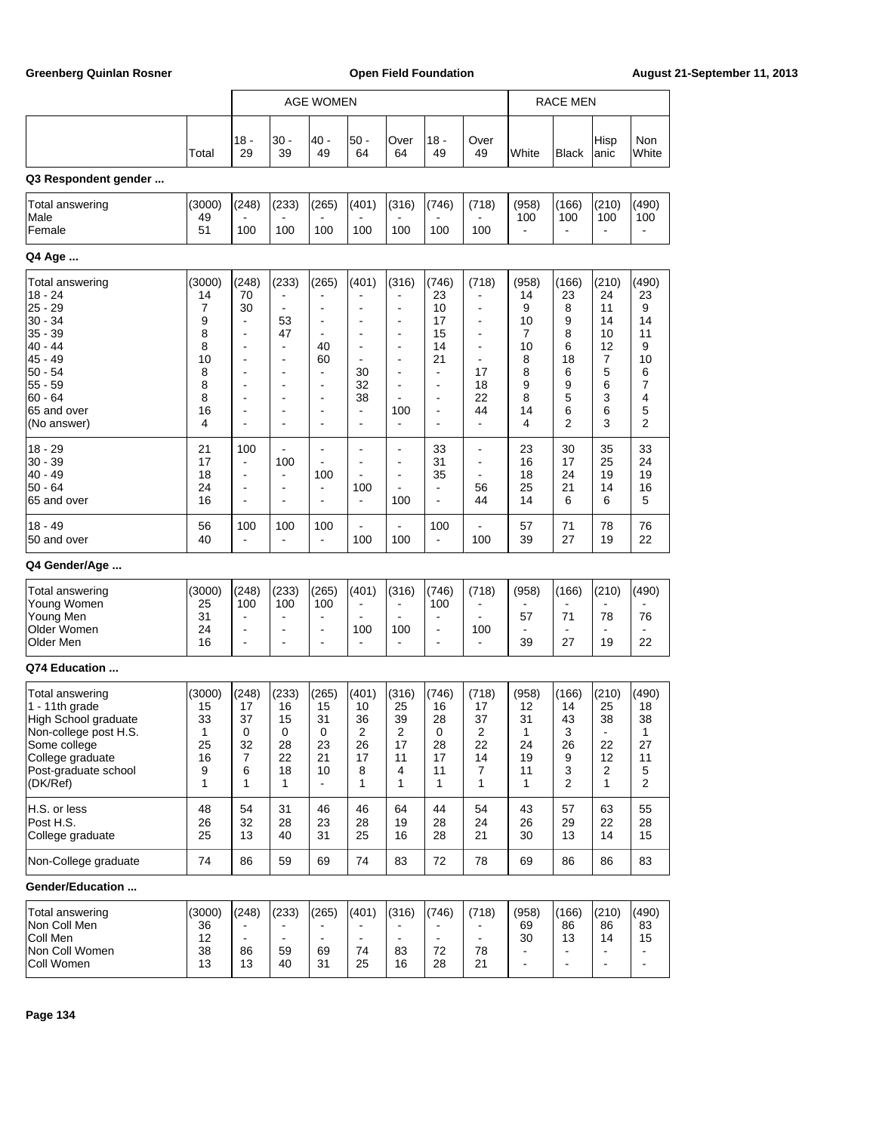|                                                                                                                                                            |                                               | <b>AGE WOMEN</b>                            |                                                        |                                                                                                                |                                                                             | <b>RACE MEN</b>                                                |                                               |                                                        |                                               |                                                          |                                                                        |                                                           |
|------------------------------------------------------------------------------------------------------------------------------------------------------------|-----------------------------------------------|---------------------------------------------|--------------------------------------------------------|----------------------------------------------------------------------------------------------------------------|-----------------------------------------------------------------------------|----------------------------------------------------------------|-----------------------------------------------|--------------------------------------------------------|-----------------------------------------------|----------------------------------------------------------|------------------------------------------------------------------------|-----------------------------------------------------------|
|                                                                                                                                                            |                                               |                                             |                                                        |                                                                                                                |                                                                             |                                                                |                                               |                                                        |                                               |                                                          |                                                                        |                                                           |
|                                                                                                                                                            | Total                                         | 18 -<br>29                                  | 30 -<br>39                                             | 40 -<br>49                                                                                                     | 50 -<br>64                                                                  | Over<br>64                                                     | 18 -<br>49                                    | Over<br>49                                             | White                                         | <b>Black</b>                                             | Hisp<br>anic                                                           | <b>Non</b><br>White                                       |
| Q3 Respondent gender                                                                                                                                       |                                               |                                             |                                                        |                                                                                                                |                                                                             |                                                                |                                               |                                                        |                                               |                                                          |                                                                        |                                                           |
| Total answering                                                                                                                                            | (3000)                                        | (248)                                       | (233)                                                  | (265)                                                                                                          | (401)                                                                       | (316)                                                          | (746)                                         | (718)                                                  | (958)                                         | (166)                                                    | (210)                                                                  | (490)                                                     |
| Male<br>Female                                                                                                                                             | 49<br>51                                      | 100                                         | 100                                                    | 100                                                                                                            | 100                                                                         | 100                                                            | 100                                           | 100                                                    | 100                                           | 100                                                      | 100                                                                    | 100                                                       |
| Q4 Age                                                                                                                                                     |                                               |                                             |                                                        |                                                                                                                |                                                                             |                                                                |                                               |                                                        |                                               |                                                          |                                                                        |                                                           |
| Total answering<br>18 - 24<br>$25 - 29$<br>$30 - 34$<br>$35 - 39$                                                                                          | (3000)<br>14<br>7<br>9<br>8                   | (248)<br>70<br>30<br>÷<br>-                 | (233)<br>53<br>47                                      | (265)<br>$\overline{a}$<br>-<br>÷                                                                              | (401)<br>$\overline{\phantom{a}}$<br>$\overline{a}$                         | (316)<br>$\overline{a}$<br>$\overline{a}$<br>$\overline{a}$    | (746)<br>23<br>10<br>17<br>15                 | (718)<br>-                                             | (958)<br>14<br>9<br>10<br>7                   | (166)<br>23<br>8<br>9<br>8                               | (210)<br>24<br>11<br>14<br>10                                          | (490)<br>23<br>9<br>14<br>11                              |
| $40 - 44$<br>$45 - 49$<br>$50 - 54$<br>$55 - 59$<br>$60 - 64$<br>65 and over<br>(No answer)                                                                | 8<br>10<br>8<br>8<br>8<br>16<br>4             | -<br>-<br>÷<br>-<br>-<br>-                  | -<br>÷<br>$\overline{a}$<br>-<br>÷<br>-<br>÷           | 40<br>60<br>$\qquad \qquad \blacksquare$<br>÷<br>$\overline{\phantom{a}}$<br>۰<br>$\qquad \qquad \blacksquare$ | $\overline{\phantom{a}}$<br>30<br>32<br>38<br>÷<br>$\overline{\phantom{a}}$ | $\overline{a}$<br>÷<br>$\overline{a}$<br>100<br>$\blacksquare$ | 14<br>21<br>÷,<br>÷<br>÷<br>$\overline{a}$    | $\overline{\phantom{0}}$<br>17<br>18<br>22<br>44<br>÷, | 10<br>8<br>8<br>9<br>8<br>14<br>4             | 6<br>18<br>6<br>9<br>5<br>6<br>$\overline{2}$            | 12<br>7<br>5<br>6<br>3<br>6<br>3                                       | 9<br>10<br>6<br>7<br>4<br>5<br>$\overline{2}$             |
| $18 - 29$<br>$30 - 39$<br>$40 - 49$<br>$50 - 64$<br>65 and over                                                                                            | 21<br>17<br>18<br>24<br>16                    | 100<br>÷<br>-                               | 100<br>$\overline{\phantom{a}}$<br>$\overline{a}$<br>÷ | $\overline{a}$<br>100<br>$\overline{\phantom{a}}$<br>÷                                                         | 100<br>$\blacksquare$                                                       | $\overline{a}$<br>ä,<br>$\overline{a}$<br>100                  | 33<br>31<br>35<br>$\overline{a}$              | ÷<br>56<br>44                                          | 23<br>16<br>18<br>25<br>14                    | 30<br>17<br>24<br>21<br>6                                | 35<br>25<br>19<br>14<br>6                                              | 33<br>24<br>19<br>16<br>5                                 |
| $18 - 49$<br>50 and over                                                                                                                                   | 56<br>40                                      | 100                                         | 100                                                    | 100<br>$\overline{\phantom{a}}$                                                                                | 100                                                                         | 100                                                            | 100                                           | 100                                                    | 57<br>39                                      | 71<br>27                                                 | 78<br>19                                                               | 76<br>22                                                  |
| Q4 Gender/Age                                                                                                                                              |                                               |                                             |                                                        |                                                                                                                |                                                                             |                                                                |                                               |                                                        |                                               |                                                          |                                                                        |                                                           |
| <b>Total answering</b><br>Young Women<br>Young Men<br>Older Women<br>Older Men                                                                             | (3000)<br>25<br>31<br>24<br>16                | (248)<br>100<br>÷                           | (233)<br>100<br>$\overline{a}$<br>-                    | (265)<br>100<br>۰<br>$\blacksquare$<br>÷                                                                       | (401)<br>100                                                                | (316)<br>100                                                   | (746)<br>100<br>$\blacksquare$                | (718)<br>100                                           | (958)<br>57<br>39                             | (166)<br>71<br>27                                        | (210)<br>78<br>19                                                      | (490)<br>76<br>22                                         |
| Q74 Education                                                                                                                                              |                                               |                                             |                                                        |                                                                                                                |                                                                             |                                                                |                                               |                                                        |                                               |                                                          |                                                                        |                                                           |
| Total answering<br>1 - 11th grade<br>High School graduate<br>Non-college post H.S.<br>Some college<br>College graduate<br>Post-graduate school<br>(DK/Ref) | (3000)<br>15<br>33<br>1<br>25<br>16<br>9<br>1 | (248)<br>17<br>37<br>0<br>32<br>7<br>6<br>1 | (233)<br>16<br>15<br>0<br>28<br>22<br>18<br>1          | (265)<br>15<br>31<br>$\pmb{0}$<br>23<br>21<br>10<br>$\blacksquare$                                             | (401)<br>10<br>36<br>2<br>26<br>17<br>8<br>1                                | (316)<br>25<br>39<br>$\overline{2}$<br>17<br>11<br>4<br>1      | (746)<br>16<br>28<br>0<br>28<br>17<br>11<br>1 | (718)<br>17<br>37<br>2<br>22<br>14<br>7<br>1           | (958)<br>12<br>31<br>1<br>24<br>19<br>11<br>1 | (166)<br>14<br>43<br>3<br>26<br>9<br>3<br>$\overline{2}$ | (210)<br>25<br>38<br>$\blacksquare$<br>22<br>12<br>$\overline{c}$<br>1 | (490)<br>18<br>38<br>1<br>27<br>11<br>5<br>$\overline{2}$ |
| H.S. or less<br>Post H.S.<br>College graduate                                                                                                              | 48<br>26<br>25                                | 54<br>32<br>13                              | 31<br>28<br>40                                         | 46<br>23<br>31                                                                                                 | 46<br>28<br>25                                                              | 64<br>19<br>16                                                 | 44<br>28<br>28                                | 54<br>24<br>21                                         | 43<br>26<br>30                                | 57<br>29<br>13                                           | 63<br>22<br>14                                                         | 55<br>28<br>15                                            |
| Non-College graduate                                                                                                                                       | 74                                            | 86                                          | 59                                                     | 69                                                                                                             | 74                                                                          | 83                                                             | 72                                            | 78                                                     | 69                                            | 86                                                       | 86                                                                     | 83                                                        |
| Gender/Education                                                                                                                                           |                                               |                                             |                                                        |                                                                                                                |                                                                             |                                                                |                                               |                                                        |                                               |                                                          |                                                                        |                                                           |
| <b>Total answering</b><br>Non Coll Men<br>Coll Men<br>Non Coll Women<br>Coll Women                                                                         | (3000)<br>36<br>12<br>38<br>13                | (248)<br>÷,<br>86<br>13                     | (233)<br>59<br>40                                      | (265)<br>$\blacksquare$<br>69<br>31                                                                            | (401)<br>$\blacksquare$<br>74<br>25                                         | (316)<br>83<br>16                                              | (746)<br>72<br>28                             | (718)<br>$\blacksquare$<br>78<br>21                    | (958)<br>69<br>30<br>÷,                       | (166)<br>86<br>13                                        | (210)<br>86<br>14                                                      | (490)<br>83<br>15<br>$\blacksquare$                       |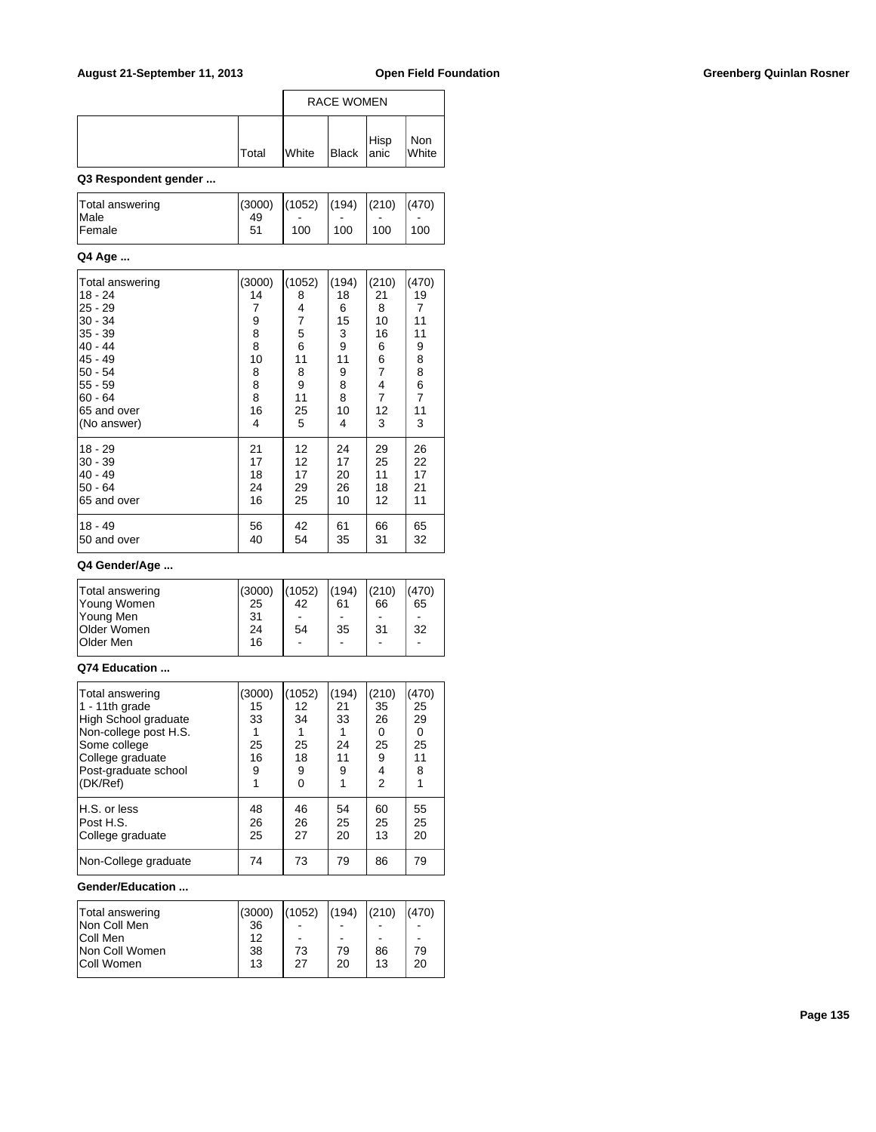|              | <b>RACE WOMEN</b> |                                                                           |  |                |
|--------------|-------------------|---------------------------------------------------------------------------|--|----------------|
| <b>Total</b> | <b>White</b>      | $\left  \begin{array}{c} \text{Hisp} \\ \text{Black} \end{array} \right $ |  | Non<br>  White |

### **Q3 Respondent gender ...**

| Total answering | $\vert (3000) \vert (1052) \vert (194) \vert (210) \vert$ |     |     |     | (470) |
|-----------------|-----------------------------------------------------------|-----|-----|-----|-------|
| <b>Male</b>     | 49                                                        | -   | -   | -   | -     |
| <b>Female</b>   | 51                                                        | 100 | 100 | 100 | 100   |

#### **Q4 Age ...**

| Total answering<br>18 - 24<br>$25 - 29$<br>$30 - 34$<br> 35 - 39<br>$40 - 44$<br>$45 - 49$<br>$50 - 54$<br>$55 - 59$ | (3000)<br>14<br>7<br>9<br>8<br>8<br>10<br>8<br>8 | (1052)<br>8<br>4<br>$\overline{7}$<br>5<br>6<br>11<br>8<br>9 | (194)<br>18<br>6<br>15<br>3<br>9<br>11<br>9<br>8 | (210)<br>21<br>8<br>10<br>16<br>6<br>6<br>$\overline{7}$<br>4 | (470)<br>19<br>7<br>11<br>11<br>9<br>8<br>8<br>6 |
|----------------------------------------------------------------------------------------------------------------------|--------------------------------------------------|--------------------------------------------------------------|--------------------------------------------------|---------------------------------------------------------------|--------------------------------------------------|
| $60 - 64$                                                                                                            | 8                                                | 11                                                           | 8                                                | 7                                                             | $\overline{7}$                                   |
| 65 and over                                                                                                          | 16                                               | 25                                                           | 10                                               | 12                                                            | 11                                               |
| (No answer)                                                                                                          | 4                                                | 5                                                            | 4                                                | 3                                                             | 3                                                |
| $18 - 29$<br>$30 - 39$<br>$40 - 49$<br>$50 - 64$<br>65 and over                                                      | 21<br>17<br>18<br>24<br>16                       | 12<br>12<br>17<br>29<br>25                                   | 24<br>17<br>20<br>26<br>10                       | 29<br>25<br>11<br>18<br>12                                    | 26<br>22<br>17<br>21<br>11                       |
| 18 - 49<br>50 and over                                                                                               | 56<br>40                                         | 42<br>54                                                     | 61<br>35                                         | 66<br>31                                                      | 65<br>32                                         |

### **Q4 Gender/Age ...**

| Total answering    | (3000) | (1052)                   | (194) | (210) | (470)                    |  |
|--------------------|--------|--------------------------|-------|-------|--------------------------|--|
| Young Women        | 25     | 42                       | 61    | 66    | 65                       |  |
| Young Men          | 31     |                          |       |       | -                        |  |
| <b>Older Women</b> | 24     | 54                       | 35    | 31    | 32                       |  |
| <b>Older Men</b>   | 16     | $\overline{\phantom{a}}$ | ۰     | ۰     | $\overline{\phantom{a}}$ |  |
|                    |        |                          |       |       |                          |  |

#### **Q74 Education ...**

| Total answering<br>1 - 11th grade<br>High School graduate<br>Non-college post H.S.<br>Some college<br>College graduate<br>Post-graduate school<br>(DK/Ref) | (3000)<br>15<br>33<br>25<br>16<br>9 | (1052)<br>12<br>34<br>25<br>18<br>9 | (194)<br>21<br>33<br>24<br>11<br>9 | (210)<br>35<br>26<br>0<br>25<br>9<br>4<br>$\mathfrak{p}$ | (470)<br>25<br>29<br>0<br>25<br>11<br>8 |
|------------------------------------------------------------------------------------------------------------------------------------------------------------|-------------------------------------|-------------------------------------|------------------------------------|----------------------------------------------------------|-----------------------------------------|
| H.S. or less                                                                                                                                               | 48                                  | 46                                  | 54                                 | 60                                                       | 55                                      |
| Post H.S.                                                                                                                                                  | 26                                  | 26                                  | 25                                 | 25                                                       | 25                                      |
| College graduate                                                                                                                                           | 25                                  | 27                                  | 20                                 | 13                                                       | 20                                      |
| Non-College graduate                                                                                                                                       | 74                                  | 73                                  | 79                                 | 86                                                       | 79                                      |

#### **Gender/Education ...**

| Total answering   | (3000) | (1052) | (194) | (210) | (470) |
|-------------------|--------|--------|-------|-------|-------|
| Non Coll Men      | 36     |        |       |       |       |
| Coll Men          | 12     |        |       | -     |       |
| Non Coll Women    | 38     | 73     | 79    | 86    | 79    |
| <b>Coll Women</b> | 13     | 27     | 20    | 13    | 20    |
|                   |        |        |       |       |       |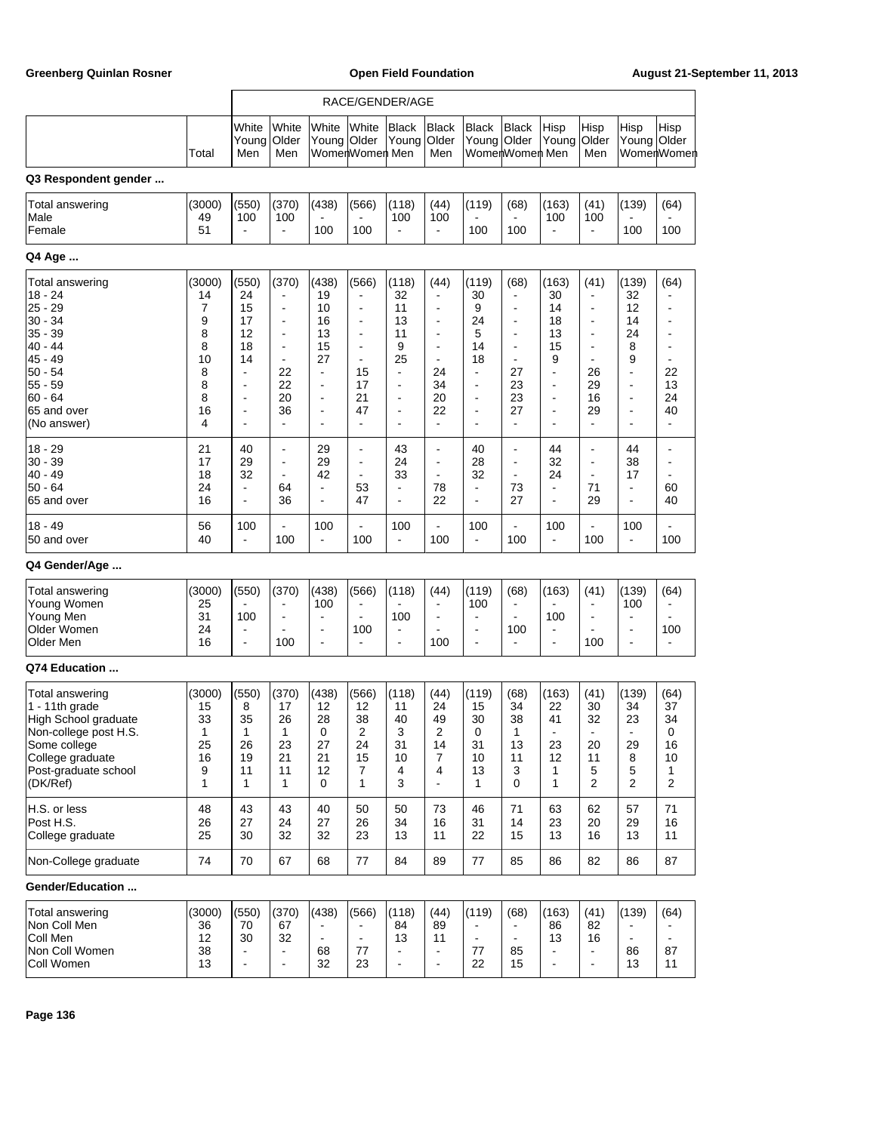|                                                                                                                                                            |                                                                  |                                                                                                                                                                             |                                                                                           |                                                                                                                          |                                                                                                                                                                                                               | RACE/GENDER/AGE                                                                                                                      |                                                                                              |                                                                                                                                                           |                                                                                                                                             |                                                                                                       |                                                                                                                                                          |                                                                                         |                                                                                 |
|------------------------------------------------------------------------------------------------------------------------------------------------------------|------------------------------------------------------------------|-----------------------------------------------------------------------------------------------------------------------------------------------------------------------------|-------------------------------------------------------------------------------------------|--------------------------------------------------------------------------------------------------------------------------|---------------------------------------------------------------------------------------------------------------------------------------------------------------------------------------------------------------|--------------------------------------------------------------------------------------------------------------------------------------|----------------------------------------------------------------------------------------------|-----------------------------------------------------------------------------------------------------------------------------------------------------------|---------------------------------------------------------------------------------------------------------------------------------------------|-------------------------------------------------------------------------------------------------------|----------------------------------------------------------------------------------------------------------------------------------------------------------|-----------------------------------------------------------------------------------------|---------------------------------------------------------------------------------|
|                                                                                                                                                            | Total                                                            | White<br>Young<br>Men                                                                                                                                                       | White<br>Older<br>Men                                                                     | White<br>Young Older                                                                                                     | White<br>WomenWomen Men                                                                                                                                                                                       | <b>Black</b><br>Young                                                                                                                | <b>Black</b><br>Older<br>Men                                                                 | <b>Black</b><br>Young<br>WomenWomen Men                                                                                                                   | Black<br>Older                                                                                                                              | Hisp<br>Young                                                                                         | Hisp<br>Older<br>Men                                                                                                                                     | Hisp<br>Young Older                                                                     | Hisp<br>WomenWomen                                                              |
| Q3 Respondent gender                                                                                                                                       |                                                                  |                                                                                                                                                                             |                                                                                           |                                                                                                                          |                                                                                                                                                                                                               |                                                                                                                                      |                                                                                              |                                                                                                                                                           |                                                                                                                                             |                                                                                                       |                                                                                                                                                          |                                                                                         |                                                                                 |
| Total answering<br>Male<br>Female                                                                                                                          | (3000)<br>49<br>51                                               | (550)<br>100<br>$\overline{a}$                                                                                                                                              | (370)<br>100                                                                              | (438)<br>100                                                                                                             | (566)<br>100                                                                                                                                                                                                  | (118)<br>100                                                                                                                         | (44)<br>100                                                                                  | (119)<br>100                                                                                                                                              | (68)<br>100                                                                                                                                 | (163)<br>100                                                                                          | (41)<br>100<br>$\overline{\phantom{a}}$                                                                                                                  | (139)<br>100                                                                            | (64)<br>100                                                                     |
| Q4 Age                                                                                                                                                     |                                                                  |                                                                                                                                                                             |                                                                                           |                                                                                                                          |                                                                                                                                                                                                               |                                                                                                                                      |                                                                                              |                                                                                                                                                           |                                                                                                                                             |                                                                                                       |                                                                                                                                                          |                                                                                         |                                                                                 |
| Total answering<br>18 - 24<br>25 - 29<br>30 - 34<br>35 - 39<br>40 - 44<br>45 - 49<br>50 - 54<br>55 - 59<br>$60 - 64$<br>65 and over<br>(No answer)         | (3000)<br>14<br>7<br>9<br>8<br>8<br>10<br>8<br>8<br>8<br>16<br>4 | (550)<br>24<br>15<br>17<br>12<br>18<br>14<br>$\overline{\phantom{a}}$<br>$\overline{\phantom{a}}$<br>$\overline{\phantom{a}}$<br>$\overline{a}$<br>$\overline{\phantom{a}}$ | (370)<br>$\overline{a}$<br>$\blacksquare$<br>22<br>22<br>20<br>36<br>$\ddot{\phantom{1}}$ | (438)<br>19<br>10<br>16<br>13<br>15<br>27<br>$\blacksquare$<br>÷<br>$\overline{\phantom{a}}$<br>$\overline{\phantom{a}}$ | (566)<br>$\blacksquare$<br>$\overline{\phantom{a}}$<br>$\overline{\phantom{a}}$<br>$\overline{\phantom{a}}$<br>$\blacksquare$<br>$\overline{\phantom{a}}$<br>15<br>17<br>21<br>47<br>$\overline{\phantom{a}}$ | (118)<br>32<br>11<br>13<br>11<br>9<br>25<br>$\overline{a}$<br>$\overline{\phantom{a}}$<br>$\overline{a}$<br>$\overline{\phantom{a}}$ | (44)<br>$\overline{\phantom{a}}$<br>$\blacksquare$<br>24<br>34<br>20<br>22<br>$\blacksquare$ | (119)<br>30<br>9<br>24<br>5<br>14<br>18<br>$\blacksquare$<br>$\overline{\phantom{a}}$<br>$\qquad \qquad \blacksquare$<br>$\overline{a}$<br>$\overline{a}$ | (68)<br>$\overline{a}$<br>÷<br>$\frac{1}{2}$<br>$\overline{a}$<br>$\frac{1}{2}$<br>$\overline{a}$<br>27<br>23<br>23<br>27<br>$\blacksquare$ | (163)<br>30<br>14<br>18<br>13<br>15<br>9<br>$\overline{\phantom{a}}$<br>$\overline{\phantom{a}}$<br>÷ | (41)<br>$\qquad \qquad \blacksquare$<br>$\overline{a}$<br>$\overline{\phantom{a}}$<br>$\overline{\phantom{a}}$<br>26<br>29<br>16<br>29<br>$\overline{a}$ | (139)<br>32<br>12<br>14<br>24<br>8<br>9<br>$\overline{a}$<br>Ĭ.<br>$\overline{a}$<br>÷, | (64)<br>٠<br>$\overline{\phantom{a}}$<br>22<br>13<br>24<br>40<br>$\blacksquare$ |
| 18 - 29<br>30 - 39<br>40 - 49<br>$50 - 64$<br>65 and over                                                                                                  | 21<br>17<br>18<br>24<br>16                                       | 40<br>29<br>32<br>$\overline{\phantom{a}}$<br>$\overline{\phantom{a}}$                                                                                                      | ÷,<br>$\overline{\phantom{a}}$<br>64<br>36                                                | 29<br>29<br>42<br>$\overline{a}$<br>$\overline{\phantom{a}}$                                                             | $\overline{\phantom{0}}$<br>÷,<br>$\overline{\phantom{a}}$<br>53<br>47                                                                                                                                        | 43<br>24<br>33<br>$\overline{a}$<br>$\overline{a}$                                                                                   | $\overline{\phantom{a}}$<br>$\overline{\phantom{a}}$<br>$\blacksquare$<br>78<br>22           | 40<br>28<br>32<br>$\overline{\phantom{a}}$<br>$\blacksquare$                                                                                              | $\overline{a}$<br>÷<br>$\overline{\phantom{a}}$<br>73<br>27                                                                                 | 44<br>32<br>24<br>$\blacksquare$<br>÷,                                                                | $\overline{a}$<br>$\blacksquare$<br>71<br>29                                                                                                             | 44<br>38<br>17<br>$\overline{a}$<br>$\overline{a}$                                      | $\overline{\phantom{a}}$<br>60<br>40                                            |
| 18 - 49<br>50 and over                                                                                                                                     | 56<br>40                                                         | 100<br>$\blacksquare$                                                                                                                                                       | 100                                                                                       | 100<br>$\blacksquare$                                                                                                    | ÷,<br>100                                                                                                                                                                                                     | 100<br>$\overline{a}$                                                                                                                | 100                                                                                          | 100<br>$\blacksquare$                                                                                                                                     | ÷,<br>100                                                                                                                                   | 100<br>ä,                                                                                             | $\overline{a}$<br>100                                                                                                                                    | 100<br>$\blacksquare$                                                                   | 100                                                                             |
| Q4 Gender/Age                                                                                                                                              |                                                                  |                                                                                                                                                                             |                                                                                           |                                                                                                                          |                                                                                                                                                                                                               |                                                                                                                                      |                                                                                              |                                                                                                                                                           |                                                                                                                                             |                                                                                                       |                                                                                                                                                          |                                                                                         |                                                                                 |
| Total answering<br>Young Women<br>Young Men<br>Older Women<br>Older Men                                                                                    | (3000)<br>25<br>31<br>24<br>16                                   | (550)<br>100<br>$\overline{\phantom{a}}$<br>$\blacksquare$                                                                                                                  | (370)<br>100                                                                              | (438)<br>100<br>÷,<br>$\blacksquare$                                                                                     | (566)<br>$\overline{\phantom{a}}$<br>100<br>$\overline{\phantom{a}}$                                                                                                                                          | (118)<br>100                                                                                                                         | (44)<br>100                                                                                  | (119)<br>100<br>$\overline{a}$<br>$\qquad \qquad \blacksquare$<br>$\blacksquare$                                                                          | (68)<br>$\overline{\phantom{0}}$<br>100<br>$\blacksquare$                                                                                   | (163)<br>100                                                                                          | (41)<br>$\qquad \qquad \blacksquare$<br>100                                                                                                              | (139)<br>100<br>$\overline{\phantom{a}}$<br>÷,                                          | (64)<br>100<br>$\overline{a}$                                                   |
| Q74 Education                                                                                                                                              |                                                                  |                                                                                                                                                                             |                                                                                           |                                                                                                                          |                                                                                                                                                                                                               |                                                                                                                                      |                                                                                              |                                                                                                                                                           |                                                                                                                                             |                                                                                                       |                                                                                                                                                          |                                                                                         |                                                                                 |
| Total answering<br>1 - 11th grade<br>High School graduate<br>Non-college post H.S.<br>Some college<br>College graduate<br>Post-graduate school<br>(DK/Ref) | (3000)<br>15<br>33<br>1<br>25<br>16<br>9<br>1                    | (550)<br>8<br>35<br>1<br>26<br>19<br>11<br>1                                                                                                                                | (370)<br>17<br>26<br>1<br>23<br>21<br>11<br>$\mathbf{1}$                                  | (438)<br>12<br>28<br>0<br>27<br>21<br>12<br>0                                                                            | (566)<br>12<br>38<br>2<br>24<br>15<br>7<br>1                                                                                                                                                                  | (118)<br>11<br>40<br>3<br>31<br>10<br>4<br>3                                                                                         | (44)<br>24<br>49<br>2<br>14<br>7<br>4<br>$\blacksquare$                                      | (119)<br>15<br>30<br>0<br>31<br>10<br>13<br>1                                                                                                             | (68)<br>34<br>38<br>1<br>13<br>11<br>3<br>0                                                                                                 | (163)<br>22<br>41<br>23<br>12<br>1<br>1                                                               | (41)<br>30<br>32<br>20<br>11<br>5<br>$\overline{2}$                                                                                                      | (139)<br>34<br>23<br>29<br>8<br>5<br>$\overline{2}$                                     | (64)<br>37<br>34<br>0<br>16<br>10<br>1<br>2                                     |
| H.S. or less<br>Post H.S.<br>College graduate                                                                                                              | 48<br>26<br>25                                                   | 43<br>27<br>30                                                                                                                                                              | 43<br>24<br>32                                                                            | 40<br>27<br>32                                                                                                           | 50<br>26<br>23                                                                                                                                                                                                | 50<br>34<br>13                                                                                                                       | 73<br>16<br>11                                                                               | 46<br>31<br>22                                                                                                                                            | 71<br>14<br>15                                                                                                                              | 63<br>23<br>13                                                                                        | 62<br>20<br>16                                                                                                                                           | 57<br>29<br>13                                                                          | 71<br>16<br>11                                                                  |
| Non-College graduate                                                                                                                                       | 74                                                               | 70                                                                                                                                                                          | 67                                                                                        | 68                                                                                                                       | 77                                                                                                                                                                                                            | 84                                                                                                                                   | 89                                                                                           | 77                                                                                                                                                        | 85                                                                                                                                          | 86                                                                                                    | 82                                                                                                                                                       | 86                                                                                      | 87                                                                              |
| Gender/Education                                                                                                                                           |                                                                  |                                                                                                                                                                             |                                                                                           |                                                                                                                          |                                                                                                                                                                                                               |                                                                                                                                      |                                                                                              |                                                                                                                                                           |                                                                                                                                             |                                                                                                       |                                                                                                                                                          |                                                                                         |                                                                                 |
| Total answering<br>Non Coll Men<br>Coll Men<br>Non Coll Women<br>Coll Women                                                                                | (3000)<br>36<br>12<br>38<br>13                                   | (550)<br>70<br>30<br>$\blacksquare$                                                                                                                                         | (370)<br>67<br>32                                                                         | (438)<br>$\blacksquare$<br>68<br>32                                                                                      | (566)<br>$\blacksquare$<br>77<br>23                                                                                                                                                                           | (118)<br>84<br>13                                                                                                                    | (44)<br>89<br>11<br>$\blacksquare$                                                           | (119)<br>$\blacksquare$<br>77<br>22                                                                                                                       | (68)<br>$\blacksquare$<br>85<br>15                                                                                                          | (163)<br>86<br>13                                                                                     | (41)<br>82<br>16                                                                                                                                         | (139)<br>$\blacksquare$<br>86<br>13                                                     | (64)<br>87<br>11                                                                |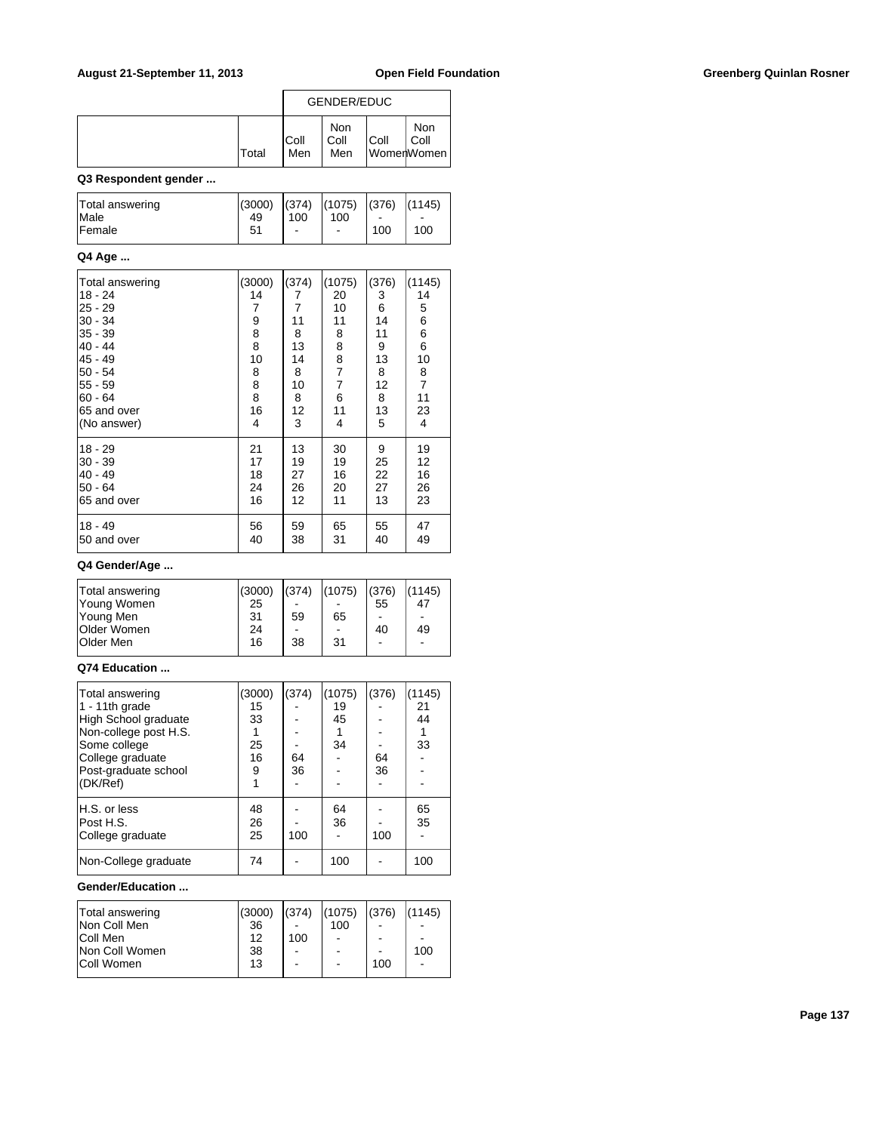|              | <b>GENDER/EDUC</b> |                    |      |                           |  |
|--------------|--------------------|--------------------|------|---------------------------|--|
| <b>Total</b> | IColl<br>Men       | Non<br>Coll<br>Men | Coll | Non<br>Coll<br>WomenWomen |  |

### **Q3 Respondent gender ...**

| Total answering | (3000) | (374)                    | (1075) | $(376)$ $(1145)$         |      |
|-----------------|--------|--------------------------|--------|--------------------------|------|
| <b>Male</b>     | 49     | 100                      | 100    | $\overline{\phantom{a}}$ | $\,$ |
| <b>Female</b>   | 51     | $\overline{\phantom{a}}$ | -      | 100                      | 100  |

#### **Q4 Age ...**

| Total answering | (3000) | (374) | (1075)         | (376) | (1145)         |
|-----------------|--------|-------|----------------|-------|----------------|
| $18 - 24$       | 14     | 7     | 20             | 3     | 14             |
| $25 - 29$       | 7      | 7     | 10             | 6     | 5              |
| 30 - 34         | 9      | 11    | 11             | 14    | 6              |
| 35 - 39         | 8      | 8     | 8              | 11    | 6              |
| $40 - 44$       | 8      | 13    | 8              | 9     | 6              |
| $45 - 49$       | 10     | 14    | 8              | 13    | 10             |
| $50 - 54$       | 8      | 8     | 7              | 8     | 8              |
| $55 - 59$       | 8      | 10    | $\overline{7}$ | 12    | $\overline{7}$ |
| $60 - 64$       | 8      | 8     | 6              | 8     | 11             |
| 65 and over     | 16     | 12    | 11             | 13    | 23             |
| (No answer)     | 4      | 3     | 4              | 5     | 4              |
| $18 - 29$       | 21     | 13    | 30             | 9     | 19             |
| $30 - 39$       | 17     | 19    | 19             | 25    | 12             |
| $40 - 49$       | 18     | 27    | 16             | 22    | 16             |
| $50 - 64$       | 24     | 26    | 20             | 27    | 26             |
| 65 and over     | 16     | 12    | 11             | 13    | 23             |
| 18 - 49         | 56     | 59    | 65             | 55    | 47             |
| 50 and over     | 40     | 38    | 31             | 40    | 49             |

### **Q4 Gender/Age ...**

| Total answering    | (3000) | (374) | (1075) | (376)                        | (1145)                   |
|--------------------|--------|-------|--------|------------------------------|--------------------------|
| Young Women        | 25     |       |        | 55                           | 47                       |
| Young Men          | 31     | 59    | 65     | $\qquad \qquad \blacksquare$ | $\overline{\phantom{0}}$ |
| <b>Older Women</b> | 24     |       |        | 40                           | 49                       |
| <b>Older Men</b>   | 16     | 38    | 31     | -                            | ۰                        |
|                    |        |       |        |                              |                          |

#### **Q74 Education ...**

| Total answering       | (3000) | (374) | (1075) | (376) | (1145) |
|-----------------------|--------|-------|--------|-------|--------|
| 1 - 11th grade        | 15     |       | 19     |       | 21     |
| High School graduate  | 33     |       | 45     |       | 44     |
| Non-college post H.S. |        |       |        |       |        |
| Some college          | 25     |       | 34     |       | 33     |
| College graduate      | 16     | 64    |        | 64    |        |
| Post-graduate school  | 9      | 36    |        | 36    |        |
| (DK/Ref)              |        |       |        |       |        |
| H.S. or less          | 48     |       | 64     |       | 65     |
| Post H.S.             | 26     |       | 36     |       | 35     |
| College graduate      | 25     | 100   |        | 100   |        |
| Non-College graduate  | 74     |       | 100    |       | 100    |

#### **Gender/Education ...**

| Total answering   | (3000) | (374)          | (1075) | (376)                        | (1145)                   |
|-------------------|--------|----------------|--------|------------------------------|--------------------------|
| Non Coll Men      | 36     |                | 100    | ۰                            | $\overline{\phantom{0}}$ |
| Coll Men          | 12     | 100            |        | ۰                            | $\overline{\phantom{0}}$ |
| Non Coll Women    | 38     | $\blacksquare$ |        | $\qquad \qquad \blacksquare$ | 100                      |
| <b>Coll Women</b> | 13     |                |        | 100                          | ÷                        |
|                   |        |                |        |                              |                          |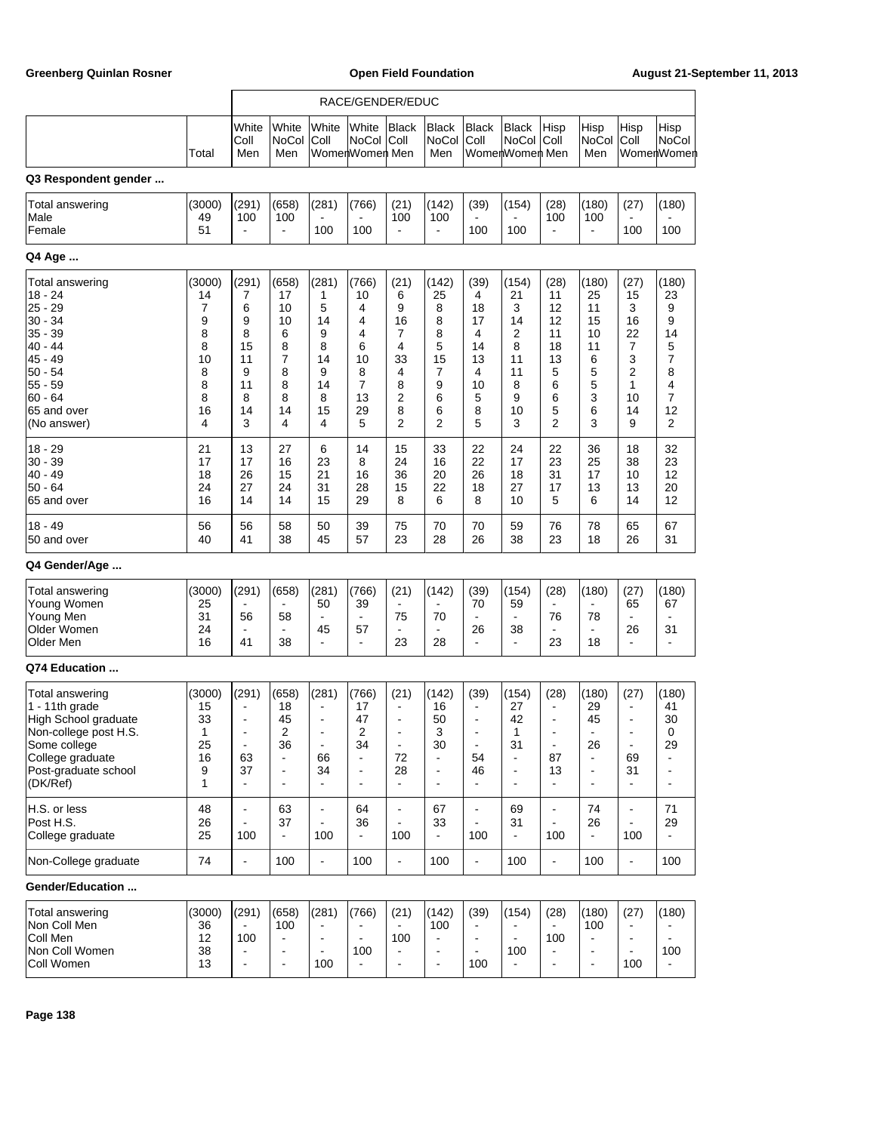|                                                                                                                                                                |                                                                  |                                                                                                   |                                                                                    |                                                                  | RACE/GENDER/EDUC                                                                             |                                                                                          |                                                                                              |                                                                                                                                              |                                                                                              |                                                                                                                                          |                                                                                                        |                                                                                                         |                                                                  |
|----------------------------------------------------------------------------------------------------------------------------------------------------------------|------------------------------------------------------------------|---------------------------------------------------------------------------------------------------|------------------------------------------------------------------------------------|------------------------------------------------------------------|----------------------------------------------------------------------------------------------|------------------------------------------------------------------------------------------|----------------------------------------------------------------------------------------------|----------------------------------------------------------------------------------------------------------------------------------------------|----------------------------------------------------------------------------------------------|------------------------------------------------------------------------------------------------------------------------------------------|--------------------------------------------------------------------------------------------------------|---------------------------------------------------------------------------------------------------------|------------------------------------------------------------------|
|                                                                                                                                                                | Total                                                            | White<br>Coll<br>Men                                                                              | White<br>NoCol<br>Men                                                              | White<br>Coll                                                    | White<br><b>NoCol</b><br>WomenWomen Men                                                      | <b>Black</b><br>Coll                                                                     | <b>Black</b><br>NoCol<br>Men                                                                 | <b>Black</b><br>Coll<br>WomenWomen Men                                                                                                       | <b>Black</b><br><b>NoCol</b>                                                                 | Hisp<br>Coll                                                                                                                             | Hisp<br>NoCol<br>Men                                                                                   | Hisp<br>Coll                                                                                            | Hisp<br><b>NoCol</b><br>WomenWomen                               |
| Q3 Respondent gender                                                                                                                                           |                                                                  |                                                                                                   |                                                                                    |                                                                  |                                                                                              |                                                                                          |                                                                                              |                                                                                                                                              |                                                                                              |                                                                                                                                          |                                                                                                        |                                                                                                         |                                                                  |
| Total answering<br>Male<br>Female                                                                                                                              | (3000)<br>49<br>51                                               | (291)<br>100<br>$\overline{\phantom{a}}$                                                          | (658)<br>100                                                                       | (281)<br>100                                                     | (766)<br>100                                                                                 | (21)<br>100                                                                              | (142)<br>100                                                                                 | (39)<br>100                                                                                                                                  | (154)<br>100                                                                                 | (28)<br>100                                                                                                                              | (180)<br>100<br>ä,                                                                                     | (27)<br>100                                                                                             | (180)<br>100                                                     |
| Q4 Age                                                                                                                                                         |                                                                  |                                                                                                   |                                                                                    |                                                                  |                                                                                              |                                                                                          |                                                                                              |                                                                                                                                              |                                                                                              |                                                                                                                                          |                                                                                                        |                                                                                                         |                                                                  |
| Total answering<br>18 - 24<br>$25 - 29$<br>$30 - 34$<br>$35 - 39$<br>40 - 44<br>$45 - 49$<br>$50 - 54$<br>$55 - 59$<br>$60 - 64$<br>65 and over<br>(No answer) | (3000)<br>14<br>7<br>9<br>8<br>8<br>10<br>8<br>8<br>8<br>16<br>4 | (291)<br>7<br>6<br>9<br>8<br>15<br>11<br>9<br>11<br>8<br>14<br>3                                  | (658)<br>17<br>10<br>10<br>6<br>8<br>7<br>8<br>8<br>8<br>14<br>4                   | (281)<br>1<br>5<br>14<br>9<br>8<br>14<br>9<br>14<br>8<br>15<br>4 | (766)<br>10<br>4<br>4<br>4<br>6<br>10<br>8<br>$\overline{7}$<br>13<br>29<br>5                | (21)<br>6<br>9<br>16<br>7<br>4<br>33<br>$\overline{4}$<br>8<br>2<br>8<br>2               | (142)<br>25<br>8<br>8<br>8<br>5<br>15<br>7<br>9<br>6<br>6<br>2                               | (39)<br>4<br>18<br>17<br>4<br>14<br>13<br>4<br>10<br>5<br>8<br>5                                                                             | (154)<br>21<br>3<br>14<br>2<br>8<br>11<br>11<br>8<br>9<br>10<br>3                            | (28)<br>11<br>12<br>12<br>11<br>18<br>13<br>5<br>6<br>6<br>5<br>$\overline{2}$                                                           | (180)<br>25<br>11<br>15<br>10<br>11<br>6<br>5<br>5<br>3<br>6<br>3                                      | (27)<br>15<br>3<br>16<br>22<br>7<br>3<br>2<br>1<br>10<br>14<br>9                                        | (180)<br>23<br>9<br>9<br>14<br>5<br>7<br>8<br>4<br>7<br>12<br>2  |
| $18 - 29$<br>$30 - 39$<br> 40 - 49<br>$50 - 64$<br>65 and over                                                                                                 | 21<br>17<br>18<br>24<br>16                                       | 13<br>17<br>26<br>27<br>14                                                                        | 27<br>16<br>15<br>24<br>14                                                         | 6<br>23<br>21<br>31<br>15                                        | 14<br>8<br>16<br>28<br>29                                                                    | 15<br>24<br>36<br>15<br>8                                                                | 33<br>16<br>20<br>22<br>6                                                                    | 22<br>22<br>26<br>18<br>8                                                                                                                    | 24<br>17<br>18<br>27<br>10                                                                   | 22<br>23<br>31<br>17<br>5                                                                                                                | 36<br>25<br>17<br>13<br>6                                                                              | 18<br>38<br>10<br>13<br>14                                                                              | 32<br>23<br>12<br>20<br>12                                       |
| $18 - 49$<br>50 and over                                                                                                                                       | 56<br>40                                                         | 56<br>41                                                                                          | 58<br>38                                                                           | 50<br>45                                                         | 39<br>57                                                                                     | 75<br>23                                                                                 | 70<br>28                                                                                     | 70<br>26                                                                                                                                     | 59<br>38                                                                                     | 76<br>23                                                                                                                                 | 78<br>18                                                                                               | 65<br>26                                                                                                | 67<br>31                                                         |
| Q4 Gender/Age                                                                                                                                                  |                                                                  |                                                                                                   |                                                                                    |                                                                  |                                                                                              |                                                                                          |                                                                                              |                                                                                                                                              |                                                                                              |                                                                                                                                          |                                                                                                        |                                                                                                         |                                                                  |
| Total answering<br>Young Women<br>Young Men<br>Older Women<br>Older Men                                                                                        | (3000)<br>25<br>31<br>24<br>16                                   | (291)<br>56<br>$\blacksquare$<br>41                                                               | (658)<br>$\blacksquare$<br>58<br>$\blacksquare$<br>38                              | (281)<br>50<br>ä,<br>45<br>ä,                                    | (766)<br>39<br>$\blacksquare$<br>57<br>$\overline{a}$                                        | (21)<br>$\overline{\phantom{a}}$<br>75<br>$\overline{\phantom{a}}$<br>23                 | (142)<br>70<br>$\blacksquare$<br>28                                                          | (39)<br>70<br>$\blacksquare$<br>26<br>$\blacksquare$                                                                                         | (154)<br>59<br>38<br>ä,                                                                      | (28)<br>$\blacksquare$<br>76<br>÷<br>23                                                                                                  | (180)<br>78<br>$\blacksquare$<br>18                                                                    | (27)<br>65<br>26<br>÷,                                                                                  | (180)<br>67<br>31                                                |
| Q74 Education                                                                                                                                                  |                                                                  |                                                                                                   |                                                                                    |                                                                  |                                                                                              |                                                                                          |                                                                                              |                                                                                                                                              |                                                                                              |                                                                                                                                          |                                                                                                        |                                                                                                         |                                                                  |
| Total answering<br>1 - 11th grade<br>High School graduate<br>Non-college post H.S.<br>Some college<br>College graduate<br>Post-graduate school<br>(DK/Ref)     | (3000)<br>15<br>33<br>1<br>25<br>16<br>9<br>1                    | (291)<br>$\frac{1}{2}$<br>$\overline{\phantom{0}}$<br>$\frac{1}{2}$<br>63<br>37<br>$\blacksquare$ | (658)<br>18<br>45<br>2<br>36<br>$\blacksquare$<br>$\blacksquare$<br>$\blacksquare$ | (281)<br>٠<br>٠<br>$\blacksquare$<br>66<br>34<br>$\blacksquare$  | (766)<br>17<br>47<br>2<br>34<br>$\blacksquare$<br>$\overline{\phantom{a}}$<br>$\blacksquare$ | (21)<br>$\blacksquare$<br>$\blacksquare$<br>$\blacksquare$<br>72<br>28<br>$\blacksquare$ | (142)<br>16<br>50<br>3<br>30<br>$\blacksquare$<br>$\overline{\phantom{a}}$<br>$\blacksquare$ | (39)<br>$\overline{\phantom{0}}$<br>$\qquad \qquad \blacksquare$<br>$\overline{\phantom{0}}$<br>$\blacksquare$<br>54<br>46<br>$\blacksquare$ | (154)<br>27<br>42<br>1<br>31<br>$\blacksquare$<br>$\overline{\phantom{0}}$<br>$\blacksquare$ | (28)<br>$\overline{\phantom{a}}$<br>$\overline{\phantom{a}}$<br>$\overline{\phantom{a}}$<br>$\blacksquare$<br>87<br>13<br>$\blacksquare$ | (180)<br>29<br>45<br>÷<br>26<br>$\blacksquare$<br>$\overline{\phantom{a}}$<br>$\overline{\phantom{a}}$ | (27)<br>$\overline{a}$<br>$\overline{\phantom{a}}$<br>-<br>$\blacksquare$<br>69<br>31<br>$\blacksquare$ | (180)<br>41<br>30<br>0<br>29<br>$\blacksquare$<br>$\blacksquare$ |
| H.S. or less<br>Post H.S.<br>College graduate                                                                                                                  | 48<br>26<br>25                                                   | $\blacksquare$<br>÷,<br>100                                                                       | 63<br>37<br>$\blacksquare$                                                         | ÷,<br>ä,<br>100                                                  | 64<br>36<br>$\blacksquare$                                                                   | $\overline{\phantom{a}}$<br>$\blacksquare$<br>100                                        | 67<br>33<br>$\blacksquare$                                                                   | $\blacksquare$<br>$\blacksquare$<br>100                                                                                                      | 69<br>31<br>$\blacksquare$                                                                   | $\blacksquare$<br>÷<br>100                                                                                                               | 74<br>26<br>$\blacksquare$                                                                             | $\overline{\phantom{a}}$<br>÷,<br>100                                                                   | 71<br>29<br>$\mathbf{r}$                                         |
| Non-College graduate                                                                                                                                           | 74                                                               | $\blacksquare$                                                                                    | 100                                                                                | ÷,                                                               | 100                                                                                          | $\blacksquare$                                                                           | 100                                                                                          | $\frac{1}{2}$                                                                                                                                | 100                                                                                          | $\blacksquare$                                                                                                                           | 100                                                                                                    | $\blacksquare$                                                                                          | 100                                                              |
| Gender/Education                                                                                                                                               |                                                                  |                                                                                                   |                                                                                    |                                                                  |                                                                                              |                                                                                          |                                                                                              |                                                                                                                                              |                                                                                              |                                                                                                                                          |                                                                                                        |                                                                                                         |                                                                  |
| <b>Total answering</b><br>Non Coll Men<br>Coll Men<br>Non Coll Women<br>Coll Women                                                                             | (3000)<br>36<br>12<br>38<br>13                                   | (291)<br>100<br>$\overline{a}$                                                                    | (658)<br>100<br>$\blacksquare$<br>ä,<br>÷                                          | (281)<br>$\blacksquare$<br>÷,<br>100                             | (766)<br>$\overline{\phantom{a}}$<br>100                                                     | (21)<br>100                                                                              | (142)<br>100<br>$\overline{\phantom{a}}$<br>$\overline{\phantom{a}}$<br>$\blacksquare$       | (39)<br>$\blacksquare$<br>$\overline{\phantom{a}}$<br>$\blacksquare$<br>100                                                                  | (154)<br>÷,<br>100<br>$\blacksquare$                                                         | (28)<br>100                                                                                                                              | (180)<br>100<br>$\blacksquare$                                                                         | (27)<br>$\blacksquare$<br>$\blacksquare$<br>100                                                         | (180)<br>100                                                     |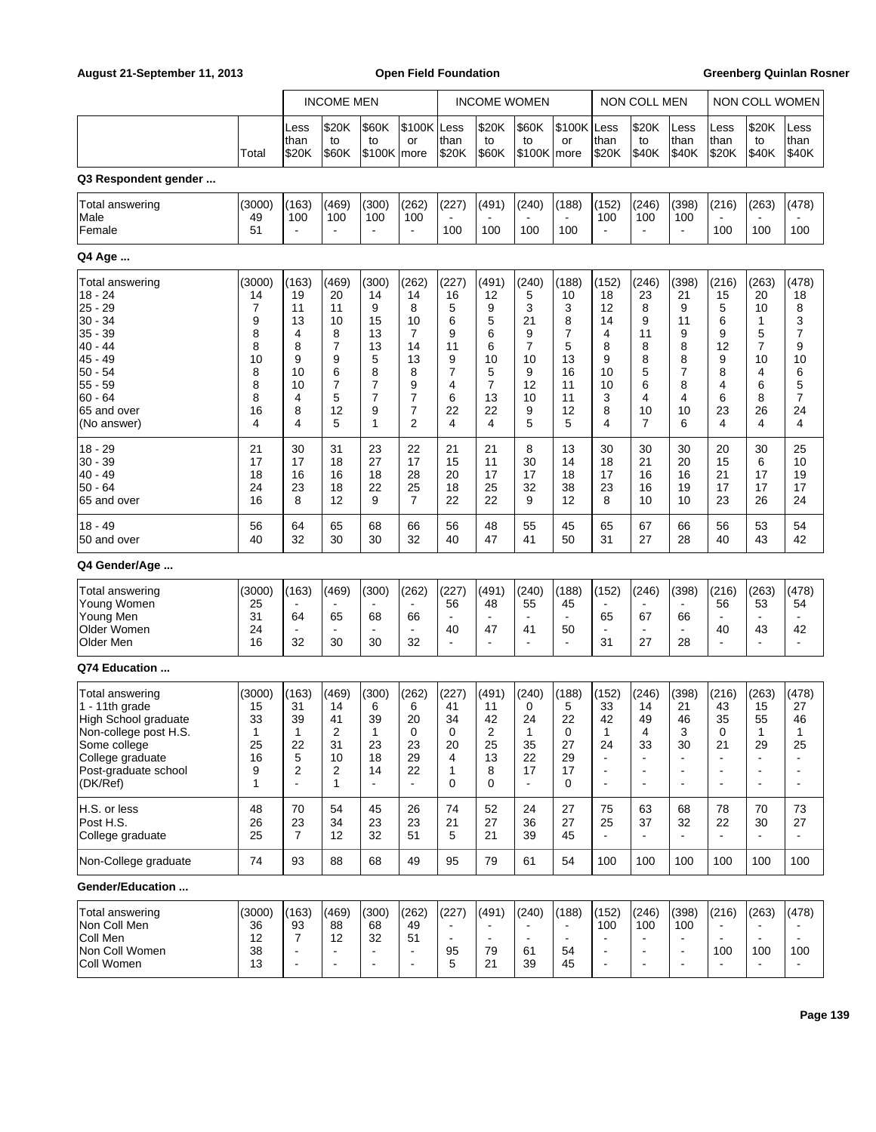### August 21-September 11, 2013 **Open Field Foundation Greenberg Quinlan Rosner Greenberg Quinlan Rosner**

|                                                                                                                                                                   |                                                                  |                                                                   | <b>INCOME MEN</b>                                                |                                                                               |                                                                                            | <b>INCOME WOMEN</b>                                                          |                                                                               |                                                                  |                                                                    | <b>NON COLL MEN</b>                                                    |                                                                 |                                                                              | NON COLL WOMEN                                                                     |                                                                          |                                                                                    |
|-------------------------------------------------------------------------------------------------------------------------------------------------------------------|------------------------------------------------------------------|-------------------------------------------------------------------|------------------------------------------------------------------|-------------------------------------------------------------------------------|--------------------------------------------------------------------------------------------|------------------------------------------------------------------------------|-------------------------------------------------------------------------------|------------------------------------------------------------------|--------------------------------------------------------------------|------------------------------------------------------------------------|-----------------------------------------------------------------|------------------------------------------------------------------------------|------------------------------------------------------------------------------------|--------------------------------------------------------------------------|------------------------------------------------------------------------------------|
|                                                                                                                                                                   | Total                                                            | Less<br>than<br>\$20K                                             | \$20K<br>to<br>\$60K                                             | \$60K<br>to<br>$$100K$ more                                                   | \$100K Less<br>or                                                                          | than<br>\$20K                                                                | \$20K<br>to<br>\$60K                                                          | \$60K<br>to<br>\$100K more                                       | \$100K<br>or                                                       | Less<br>than<br>\$20K                                                  | \$20K<br>to<br>\$40K                                            | Less<br>than<br>\$40K                                                        | Less<br>than<br>\$20K                                                              | \$20K<br>to<br>\$40K                                                     | Less<br>than<br>\$40K                                                              |
| Q3 Respondent gender                                                                                                                                              |                                                                  |                                                                   |                                                                  |                                                                               |                                                                                            |                                                                              |                                                                               |                                                                  |                                                                    |                                                                        |                                                                 |                                                                              |                                                                                    |                                                                          |                                                                                    |
| Total answering<br>Male<br>Female                                                                                                                                 | (3000)<br>49<br>51                                               | (163)<br>100<br>$\blacksquare$                                    | (469)<br>100                                                     | (300)<br>100                                                                  | (262)<br>100<br>$\blacksquare$                                                             | (227)<br>100                                                                 | (491)<br>100                                                                  | (240)<br>100                                                     | (188)<br>100                                                       | (152)<br>100                                                           | (246)<br>100<br>$\overline{\phantom{a}}$                        | (398)<br>100<br>$\overline{a}$                                               | (216)<br>100                                                                       | (263)<br>100                                                             | (478)<br>100                                                                       |
| Q4 Age                                                                                                                                                            |                                                                  |                                                                   |                                                                  |                                                                               |                                                                                            |                                                                              |                                                                               |                                                                  |                                                                    |                                                                        |                                                                 |                                                                              |                                                                                    |                                                                          |                                                                                    |
| Total answering<br>$18 - 24$<br>25 - 29<br>$30 - 34$<br>$35 - 39$<br>$40 - 44$<br>$45 - 49$<br>$50 - 54$<br>55 - 59<br>$60 - 64$<br>65 and over<br>(No answer)    | (3000)<br>14<br>7<br>9<br>8<br>8<br>10<br>8<br>8<br>8<br>16<br>4 | (163)<br>19<br>11<br>13<br>4<br>8<br>9<br>10<br>10<br>4<br>8<br>4 | (469)<br>20<br>11<br>10<br>8<br>7<br>9<br>6<br>7<br>5<br>12<br>5 | (300)<br>14<br>9<br>15<br>13<br>13<br>5<br>8<br>7<br>$\overline{7}$<br>9<br>1 | (262)<br>14<br>8<br>10<br>$\overline{7}$<br>14<br>13<br>8<br>9<br>7<br>7<br>$\overline{2}$ | (227)<br>16<br>5<br>6<br>9<br>11<br>9<br>$\overline{7}$<br>4<br>6<br>22<br>4 | (491)<br>12<br>9<br>5<br>6<br>6<br>10<br>5<br>$\overline{7}$<br>13<br>22<br>4 | (240)<br>5<br>3<br>21<br>9<br>7<br>10<br>9<br>12<br>10<br>9<br>5 | (188)<br>10<br>3<br>8<br>7<br>5<br>13<br>16<br>11<br>11<br>12<br>5 | (152)<br>18<br>12<br>14<br>4<br>8<br>9<br>10<br>10<br>3<br>8<br>4      | (246)<br>23<br>8<br>9<br>11<br>8<br>8<br>5<br>6<br>4<br>10<br>7 | (398)<br>21<br>9<br>11<br>9<br>8<br>8<br>$\overline{7}$<br>8<br>4<br>10<br>6 | (216)<br>15<br>5<br>6<br>9<br>12<br>9<br>8<br>4<br>6<br>23<br>4                    | (263)<br>20<br>10<br>1<br>5<br>7<br>10<br>4<br>6<br>8<br>26<br>4         | (478)<br>18<br>8<br>3<br>7<br>9<br>10<br>6<br>5<br>$\overline{7}$<br>24<br>4       |
| $18 - 29$<br>$30 - 39$<br>$40 - 49$<br>$50 - 64$<br>65 and over                                                                                                   | 21<br>17<br>18<br>24<br>16                                       | 30<br>17<br>16<br>23<br>8                                         | 31<br>18<br>16<br>18<br>12                                       | 23<br>27<br>18<br>22<br>9                                                     | 22<br>17<br>28<br>25<br>$\overline{7}$                                                     | 21<br>15<br>20<br>18<br>22                                                   | 21<br>11<br>17<br>25<br>22                                                    | 8<br>30<br>17<br>32<br>9                                         | 13<br>14<br>18<br>38<br>12                                         | 30<br>18<br>17<br>23<br>8                                              | 30<br>21<br>16<br>16<br>10                                      | 30<br>20<br>16<br>19<br>10                                                   | 20<br>15<br>21<br>17<br>23                                                         | 30<br>6<br>17<br>17<br>26                                                | 25<br>10<br>19<br>17<br>24                                                         |
| $18 - 49$<br>50 and over                                                                                                                                          | 56<br>40                                                         | 64<br>32                                                          | 65<br>30                                                         | 68<br>30                                                                      | 66<br>32                                                                                   | 56<br>40                                                                     | 48<br>47                                                                      | 55<br>41                                                         | 45<br>50                                                           | 65<br>31                                                               | 67<br>27                                                        | 66<br>28                                                                     | 56<br>40                                                                           | 53<br>43                                                                 | 54<br>42                                                                           |
| Q4 Gender/Age                                                                                                                                                     |                                                                  |                                                                   |                                                                  |                                                                               |                                                                                            |                                                                              |                                                                               |                                                                  |                                                                    |                                                                        |                                                                 |                                                                              |                                                                                    |                                                                          |                                                                                    |
| Total answering<br>Young Women<br>Young Men<br>Older Women<br>Older Men                                                                                           | (3000)<br>25<br>31<br>24<br>16                                   | (163)<br>$\overline{\phantom{a}}$<br>64<br>$\blacksquare$<br>32   | (469)<br>65<br>30                                                | (300)<br>68<br>30                                                             | (262)<br>66<br>$\blacksquare$<br>32                                                        | (227)<br>56<br>40<br>$\overline{a}$                                          | (491)<br>48<br>$\blacksquare$<br>47<br>٠                                      | (240)<br>55<br>$\overline{\phantom{a}}$<br>41<br>$\blacksquare$  | (188)<br>45<br>$\blacksquare$<br>50<br>÷                           | (152)<br>65<br>31                                                      | (246)<br>67<br>27                                               | (398)<br>66<br>28                                                            | (216)<br>56<br>40<br>$\blacksquare$                                                | (263)<br>53<br>$\blacksquare$<br>43<br>$\blacksquare$                    | (478)<br>54<br>42<br>$\blacksquare$                                                |
| Q74 Education                                                                                                                                                     |                                                                  |                                                                   |                                                                  |                                                                               |                                                                                            |                                                                              |                                                                               |                                                                  |                                                                    |                                                                        |                                                                 |                                                                              |                                                                                    |                                                                          |                                                                                    |
| <b>Total answering</b><br>1 - 11th grade<br>High School graduate<br>Non-college post H.S.<br>Some college<br>College graduate<br>Post-graduate school<br>(DK/Ref) | (3000)<br>15<br>33<br>1<br>25<br>16<br>9<br>1                    | (163)<br>31<br>39<br>1<br>22<br>5<br>2<br>L.                      | (469)<br>14<br>41<br>2<br>31<br>10<br>2<br>$\mathbf{1}$          | (300)<br>6<br>39<br>1<br>23<br>18<br>14<br>$\blacksquare$                     | (262)<br>6<br>20<br>0<br>23<br>29<br>22<br>$\blacksquare$                                  | (227)<br>41<br>34<br>0<br>20<br>4<br>1<br>$\Omega$                           | (491)<br>11<br>42<br>2<br>25<br>13<br>8<br>0                                  | (240)<br>0<br>24<br>1<br>35<br>22<br>17<br>$\blacksquare$        | (188)<br>5<br>22<br>0<br>27<br>29<br>17<br>0                       | (152)<br>33<br>42<br>1<br>24<br>÷,<br>$\blacksquare$<br>$\blacksquare$ | (246)<br>14<br>49<br>4<br>33<br>$\blacksquare$<br>$\sim$        | (398)<br>21<br>46<br>3<br>30<br>$\overline{\phantom{a}}$<br>ä,               | (216)<br>43<br>35<br>0<br>21<br>$\blacksquare$<br>$\blacksquare$<br>$\blacksquare$ | (263)<br>15<br>55<br>1<br>29<br>$\sim$<br>$\overline{\phantom{a}}$<br>L, | (478)<br>27<br>46<br>1<br>25<br>$\blacksquare$<br>$\blacksquare$<br>$\blacksquare$ |
| H.S. or less<br>Post H.S.<br>College graduate                                                                                                                     | 48<br>26<br>25                                                   | 70<br>23<br>$\overline{7}$                                        | 54<br>34<br>12                                                   | 45<br>23<br>32                                                                | 26<br>23<br>51                                                                             | 74<br>21<br>5                                                                | 52<br>27<br>21                                                                | 24<br>36<br>39                                                   | 27<br>27<br>45                                                     | 75<br>25<br>$\blacksquare$                                             | 63<br>37<br>$\blacksquare$                                      | 68<br>32                                                                     | 78<br>22<br>$\blacksquare$                                                         | 70<br>30<br>$\blacksquare$                                               | 73<br>27<br>$\blacksquare$                                                         |
| Non-College graduate                                                                                                                                              | 74                                                               | 93                                                                | 88                                                               | 68                                                                            | 49                                                                                         | 95                                                                           | 79                                                                            | 61                                                               | 54                                                                 | 100                                                                    | 100                                                             | 100                                                                          | 100                                                                                | 100                                                                      | 100                                                                                |
| Gender/Education                                                                                                                                                  |                                                                  |                                                                   |                                                                  |                                                                               |                                                                                            |                                                                              |                                                                               |                                                                  |                                                                    |                                                                        |                                                                 |                                                                              |                                                                                    |                                                                          |                                                                                    |
| Total answering<br>Non Coll Men<br>Coll Men<br>Non Coll Women<br>Coll Women                                                                                       | (3000)<br>36<br>12<br>38<br>13                                   | (163)<br>93<br>7<br>$\frac{1}{2}$<br>÷,                           | (469)<br>88<br>12                                                | (300)<br>68<br>32                                                             | (262)<br>49<br>51<br>$\overline{\phantom{a}}$<br>$\overline{\phantom{a}}$                  | (227)<br>$\blacksquare$<br>95<br>5                                           | (491)<br>$\blacksquare$<br>79<br>21                                           | (240)<br>$\overline{\phantom{a}}$<br>61<br>39                    | (188)<br>$\mathbf{r}$<br>54<br>45                                  | (152)<br>100<br>$\blacksquare$<br>$\blacksquare$<br>$\blacksquare$     | (246)<br>100<br>$\blacksquare$<br>$\blacksquare$                | (398)<br>100<br>$\blacksquare$<br>$\overline{a}$                             | (216)<br>$\blacksquare$<br>100                                                     | (263)<br>$\blacksquare$<br>100<br>$\blacksquare$                         | (478)<br>$\overline{a}$<br>100<br>$\blacksquare$                                   |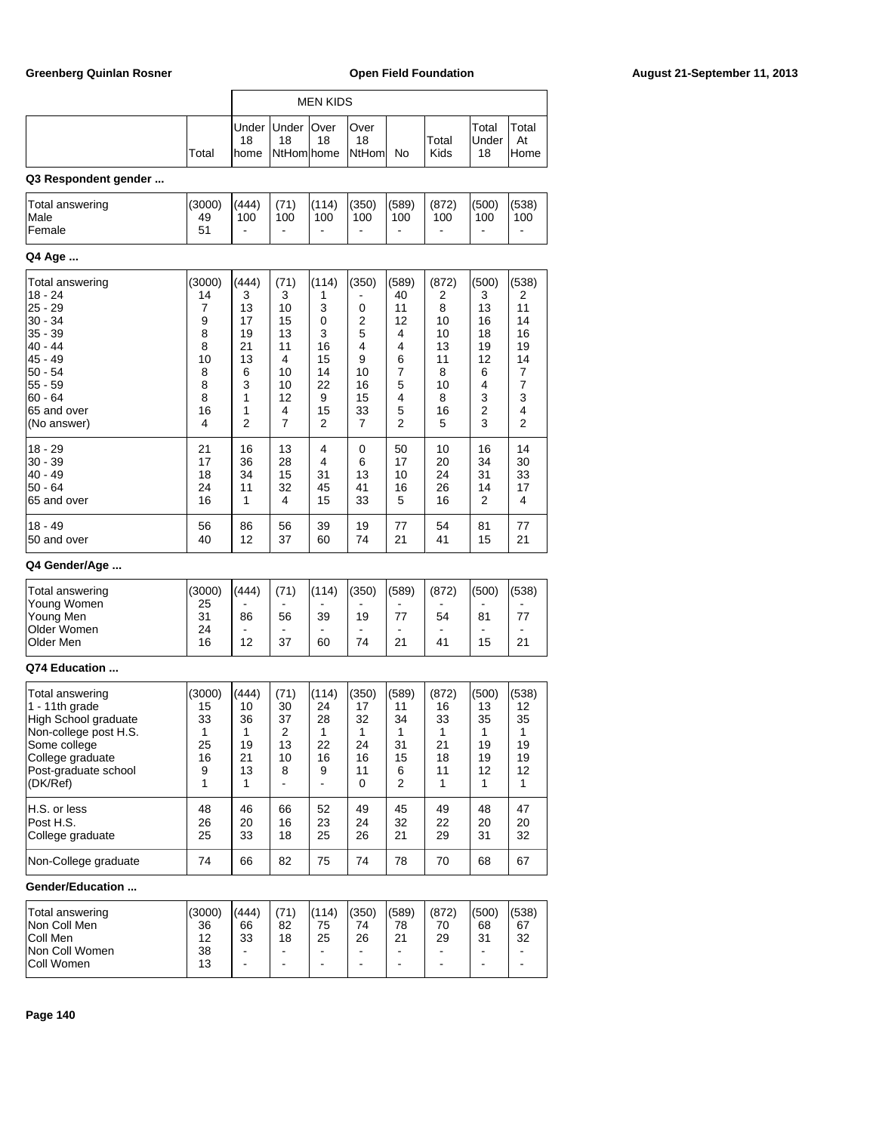|                                                                                                                                                            |                                                                  |                                                                   |                                                                    | MEN KIDS                                                          |                                                             |                                                                              |                                                                    |                                                                   |                                                                   |
|------------------------------------------------------------------------------------------------------------------------------------------------------------|------------------------------------------------------------------|-------------------------------------------------------------------|--------------------------------------------------------------------|-------------------------------------------------------------------|-------------------------------------------------------------|------------------------------------------------------------------------------|--------------------------------------------------------------------|-------------------------------------------------------------------|-------------------------------------------------------------------|
|                                                                                                                                                            | Total                                                            | Under<br>18<br>home                                               | Under<br>18<br>NtHomlhome                                          | Over<br>18                                                        | Over<br>18<br><b>NtHom</b>                                  | No                                                                           | Total<br>Kids                                                      | Total<br>Under<br>18                                              | Total<br>At<br>Home                                               |
| Q3 Respondent gender                                                                                                                                       |                                                                  |                                                                   |                                                                    |                                                                   |                                                             |                                                                              |                                                                    |                                                                   |                                                                   |
| Total answering<br>Male<br>Female                                                                                                                          | (3000)<br>49<br>51                                               | (444)<br>100                                                      | (71)<br>100<br>$\overline{\phantom{0}}$                            | (114)<br>100                                                      | (350)<br>100                                                | (589)<br>100                                                                 | (872)<br>100                                                       | (500)<br>100                                                      | (538)<br>100                                                      |
| Q4 Age                                                                                                                                                     |                                                                  |                                                                   |                                                                    |                                                                   |                                                             |                                                                              |                                                                    |                                                                   |                                                                   |
| <b>Total answering</b><br>18 - 24<br>25 - 29<br>30 - 34<br>35 - 39<br>40 - 44<br>45 - 49<br>50 - 54<br>55 - 59<br>60 - 64<br>65 and over<br>(No answer)    | (3000)<br>14<br>7<br>9<br>8<br>8<br>10<br>8<br>8<br>8<br>16<br>4 | (444)<br>3<br>13<br>17<br>19<br>21<br>13<br>6<br>3<br>1<br>1<br>2 | (71)<br>3<br>10<br>15<br>13<br>11<br>4<br>10<br>10<br>12<br>4<br>7 | (114)<br>1<br>3<br>0<br>3<br>16<br>15<br>14<br>22<br>9<br>15<br>2 | (350)<br>0<br>2<br>5<br>4<br>9<br>10<br>16<br>15<br>33<br>7 | (589)<br>40<br>11<br>12<br>4<br>4<br>6<br>7<br>5<br>4<br>5<br>$\overline{2}$ | (872)<br>2<br>8<br>10<br>10<br>13<br>11<br>8<br>10<br>8<br>16<br>5 | (500)<br>3<br>13<br>16<br>18<br>19<br>12<br>6<br>4<br>3<br>2<br>3 | (538)<br>2<br>11<br>14<br>16<br>19<br>14<br>7<br>7<br>3<br>4<br>2 |
| 18 - 29<br>$30 - 39$<br>40 - 49<br>50 - 64<br>65 and over                                                                                                  | 21<br>17<br>18<br>24<br>16                                       | 16<br>36<br>34<br>11<br>1                                         | 13<br>28<br>15<br>32<br>4                                          | 4<br>4<br>31<br>45<br>15                                          | 0<br>6<br>13<br>41<br>33                                    | 50<br>17<br>10<br>16<br>5                                                    | 10<br>20<br>24<br>26<br>16                                         | 16<br>34<br>31<br>14<br>2                                         | 14<br>30<br>33<br>17<br>4                                         |
| 18 - 49<br>50 and over                                                                                                                                     | 56<br>40                                                         | 86<br>12                                                          | 56<br>37                                                           | 39<br>60                                                          | 19<br>74                                                    | 77<br>21                                                                     | 54<br>41                                                           | 81<br>15                                                          | 77<br>21                                                          |
| Q4 Gender/Age                                                                                                                                              |                                                                  |                                                                   |                                                                    |                                                                   |                                                             |                                                                              |                                                                    |                                                                   |                                                                   |
| Total answering<br>Young Women<br>Young Men<br>Older Women<br>Older Men                                                                                    | (3000)<br>25<br>31<br>24<br>16                                   | (444)<br>86<br>12                                                 | (71)<br>56<br>37                                                   | (114)<br>39<br>60                                                 | (350)<br>19<br>74                                           | (589)<br>77<br>21                                                            | (872)<br>54<br>41                                                  | (500)<br>81<br>15                                                 | (538)<br>77<br>21                                                 |
| Q74 Education                                                                                                                                              |                                                                  |                                                                   |                                                                    |                                                                   |                                                             |                                                                              |                                                                    |                                                                   |                                                                   |
| Total answering<br>1 - 11th grade<br>High School graduate<br>Non-college post H.S.<br>Some college<br>College graduate<br>Post-graduate school<br>(DK/Ref) | (3000)<br>15<br>33<br>$\mathbf{1}$<br>25<br>16<br>9<br>1         | (444)<br>10<br>36<br>1<br>19<br>21<br>13<br>1                     | (71)<br>30<br>37<br>2<br>13<br>10<br>8<br>÷.                       | (114)<br>24<br>28<br>1<br>22<br>16<br>9                           | (350)<br>17<br>32<br>1<br>24<br>16<br>11<br>0               | (589)<br>11<br>34<br>1<br>31<br>15<br>6<br>2                                 | (872)<br>16<br>33<br>$\mathbf{1}$<br>21<br>18<br>11<br>1           | (500)<br>13<br>35<br>1<br>19<br>19<br>12<br>1                     | (538)<br>12<br>35<br>1<br>19<br>19<br>12<br>1                     |
| H.S. or less<br>Post H.S.<br>College graduate                                                                                                              | 48<br>26<br>25                                                   | 46<br>20<br>33                                                    | 66<br>16<br>18                                                     | 52<br>23<br>25                                                    | 49<br>24<br>26                                              | 45<br>32<br>21                                                               | 49<br>22<br>29                                                     | 48<br>20<br>31                                                    | 47<br>20<br>32                                                    |
| Non-College graduate                                                                                                                                       | 74                                                               | 66                                                                | 82                                                                 | 75                                                                | 74                                                          | 78                                                                           | 70                                                                 | 68                                                                | 67                                                                |
| Gender/Education                                                                                                                                           |                                                                  |                                                                   |                                                                    |                                                                   |                                                             |                                                                              |                                                                    |                                                                   |                                                                   |
| Total answering<br>Non Coll Men<br>Coll Men<br>Non Coll Women                                                                                              | (3000)<br>36<br>12<br>38                                         | (444)<br>66<br>33<br>$\blacksquare$                               | (71)<br>82<br>18<br>۰                                              | (114)<br>75<br>25<br>۰                                            | (350)<br>74<br>26<br>۰                                      | (589)<br>78<br>21<br>$\qquad \qquad \blacksquare$                            | (872)<br>70<br>29<br>$\overline{\phantom{0}}$                      | (500)<br>68<br>31<br>$\blacksquare$                               | (538)<br>67<br>32<br>$\blacksquare$                               |

Coll Women 13 - - - - - - - -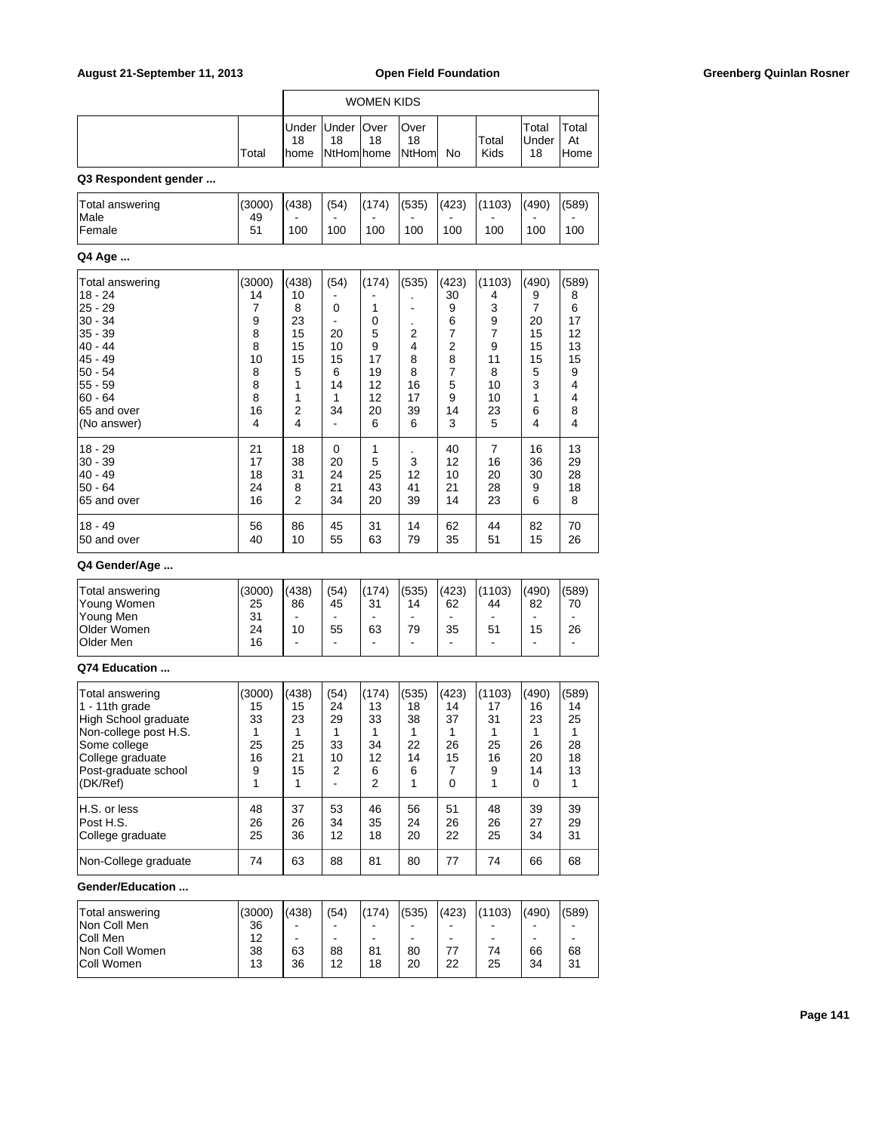| August 21-September 11, 2013                                                                                                                                     |                                                                  | <b>Open Field Foundation</b>                                      |                                                                                                         |                                                              |                                                             |                                                                                |                                                                     | <b>Greenberg Quinlan Rosner</b>                                               |                                                                               |  |
|------------------------------------------------------------------------------------------------------------------------------------------------------------------|------------------------------------------------------------------|-------------------------------------------------------------------|---------------------------------------------------------------------------------------------------------|--------------------------------------------------------------|-------------------------------------------------------------|--------------------------------------------------------------------------------|---------------------------------------------------------------------|-------------------------------------------------------------------------------|-------------------------------------------------------------------------------|--|
|                                                                                                                                                                  |                                                                  |                                                                   |                                                                                                         | <b>WOMEN KIDS</b>                                            |                                                             |                                                                                |                                                                     |                                                                               |                                                                               |  |
|                                                                                                                                                                  | Total                                                            | Under<br>18<br>home                                               | Under<br>18<br>NtHom home                                                                               | Over<br>18                                                   | Over<br>18<br>NtHom                                         | No                                                                             | Total<br>Kids                                                       | Total<br>Under<br>18                                                          | Total<br>At<br>Home                                                           |  |
| Q3 Respondent gender                                                                                                                                             |                                                                  |                                                                   |                                                                                                         |                                                              |                                                             |                                                                                |                                                                     |                                                                               |                                                                               |  |
| Total answering<br>Male<br>Female                                                                                                                                | (3000)<br>49<br>51                                               | (438)<br>100                                                      | (54)<br>100                                                                                             | (174)<br>100                                                 | (535)<br>100                                                | (423)<br>100                                                                   | (1103)<br>100                                                       | (490)<br>100                                                                  | (589)<br>100                                                                  |  |
| Q4 Age                                                                                                                                                           |                                                                  |                                                                   |                                                                                                         |                                                              |                                                             |                                                                                |                                                                     |                                                                               |                                                                               |  |
|                                                                                                                                                                  |                                                                  |                                                                   |                                                                                                         |                                                              |                                                             |                                                                                |                                                                     |                                                                               |                                                                               |  |
| Total answering<br>$18 - 24$<br>$25 - 29$<br>$30 - 34$<br>$35 - 39$<br>$40 - 44$<br>$45 - 49$<br>$50 - 54$<br>$55 - 59$<br>60 - 64<br>65 and over<br>(No answer) | (3000)<br>14<br>7<br>9<br>8<br>8<br>10<br>8<br>8<br>8<br>16<br>4 | (438)<br>10<br>8<br>23<br>15<br>15<br>15<br>5<br>1<br>1<br>2<br>4 | (54)<br>$\blacksquare$<br>0<br>$\blacksquare$<br>20<br>10<br>15<br>6<br>14<br>1<br>34<br>$\blacksquare$ | (174)<br>1<br>0<br>5<br>9<br>17<br>19<br>12<br>12<br>20<br>6 | (535)<br>÷,<br>٠<br>2<br>4<br>8<br>8<br>16<br>17<br>39<br>6 | (423)<br>30<br>9<br>6<br>7<br>2<br>8<br>7<br>5<br>9<br>14<br>3                 | (1103)<br>4<br>3<br>9<br>7<br>9<br>11<br>8<br>10<br>10<br>23<br>5   | (490)<br>9<br>$\overline{7}$<br>20<br>15<br>15<br>15<br>5<br>3<br>1<br>6<br>4 | (589)<br>8<br>6<br>17<br>12<br>13<br>15<br>9<br>4<br>4<br>8<br>$\overline{4}$ |  |
| $18 - 29$<br>$30 - 39$<br>$40 - 49$<br>$50 - 64$<br>65 and over                                                                                                  | 21<br>17<br>18<br>24<br>16                                       | 18<br>38<br>31<br>8<br>2                                          | 0<br>20<br>24<br>21<br>34                                                                               | 1<br>5<br>25<br>43<br>20                                     | 3<br>12<br>41<br>39                                         | 40<br>12<br>10<br>21<br>14                                                     | 7<br>16<br>20<br>28<br>23                                           | 16<br>36<br>30<br>9<br>6                                                      | 13<br>29<br>28<br>18<br>8                                                     |  |
| $18 - 49$<br>50 and over                                                                                                                                         | 56<br>40                                                         | 86<br>10                                                          | 45<br>55                                                                                                | 31<br>63                                                     | 14<br>79                                                    | 62<br>35                                                                       | 44<br>51                                                            | 82<br>15                                                                      | 70<br>26                                                                      |  |
| Q4 Gender/Age                                                                                                                                                    |                                                                  |                                                                   |                                                                                                         |                                                              |                                                             |                                                                                |                                                                     |                                                                               |                                                                               |  |
| Total answering<br>Young Women<br>Young Men<br>Older Women<br>Older Men                                                                                          | (3000)<br>25<br>31<br>24<br>16                                   | (438)<br>86<br>$\blacksquare$<br>10                               | (54)<br>45<br>$\blacksquare$<br>55<br>$\overline{\phantom{a}}$                                          | (174)<br>31<br>63<br>$\blacksquare$                          | (535)<br>14<br>$\blacksquare$<br>79<br>$\overline{a}$       | (423)<br>62<br>$\blacksquare$<br>35<br>$\blacksquare$                          | (1103)<br>44<br>$\blacksquare$<br>51<br>÷.                          | (490)<br>82<br>$\blacksquare$<br>15<br>$\blacksquare$                         | (589)<br>70<br>26<br>$\overline{a}$                                           |  |
| Q74 Education                                                                                                                                                    |                                                                  |                                                                   |                                                                                                         |                                                              |                                                             |                                                                                |                                                                     |                                                                               |                                                                               |  |
| Total answering<br>1 - 11th grade<br>High School graduate<br>Non-college post H.S.<br>Some college<br>College graduate<br>Post-graduate school<br>(DK/Ref)       | (3000)<br>15<br>33<br>1<br>25<br>16<br>9<br>$\mathbf{1}$         | (438)<br>15<br>23<br>$\mathbf{1}$<br>25<br>21<br>15<br>1          | (54)<br>24<br>29<br>$\mathbf{1}$<br>33<br>10<br>2<br>$\blacksquare$                                     | (174)<br>13<br>33<br>1<br>34<br>12<br>6<br>2                 | (535)<br>18<br>38<br>$\mathbf{1}$<br>22<br>14<br>6<br>1     | (423)<br>14<br>37<br>$\mathbf{1}$<br>26<br>15<br>$\overline{7}$<br>$\mathbf 0$ | (1103)<br>17<br>31<br>$\mathbf{1}$<br>25<br>16<br>9<br>$\mathbf{1}$ | (490)<br>16<br>23<br>$\mathbf{1}$<br>26<br>20<br>14<br>$\Omega$               | (589)<br>14<br>25<br>$\mathbf{1}$<br>28<br>18<br>13<br>$\mathbf{1}$           |  |
| H.S. or less<br>Post H.S.<br>College graduate                                                                                                                    | 48<br>26<br>25                                                   | 37<br>26<br>36                                                    | 53<br>34<br>12                                                                                          | 46<br>35<br>18                                               | 56<br>24<br>20                                              | 51<br>26<br>22                                                                 | 48<br>26<br>25                                                      | 39<br>27<br>34                                                                | 39<br>29<br>31                                                                |  |
| Non-College graduate                                                                                                                                             | 74                                                               | 63                                                                | 88                                                                                                      | 81                                                           | 80                                                          | 77                                                                             | 74                                                                  | 66                                                                            | 68                                                                            |  |
| Gender/Education                                                                                                                                                 |                                                                  |                                                                   |                                                                                                         |                                                              |                                                             |                                                                                |                                                                     |                                                                               |                                                                               |  |
| Total answering<br>Non Coll Men<br>Coll Men<br>Non Coll Women<br>Coll Women                                                                                      | (3000)<br>36<br>12<br>38<br>13                                   | (438)<br>63<br>36                                                 | (54)<br>$\blacksquare$<br>88<br>12                                                                      | (174)<br>$\blacksquare$<br>81<br>18                          | (535)<br>$\blacksquare$<br>80<br>20                         | (423)<br>$\blacksquare$<br>$\blacksquare$<br>77<br>22                          | (1103)<br>ä,<br>74<br>25                                            | (490)<br>$\blacksquare$<br>$\blacksquare$<br>66<br>34                         | (589)<br>$\overline{a}$<br>68<br>31                                           |  |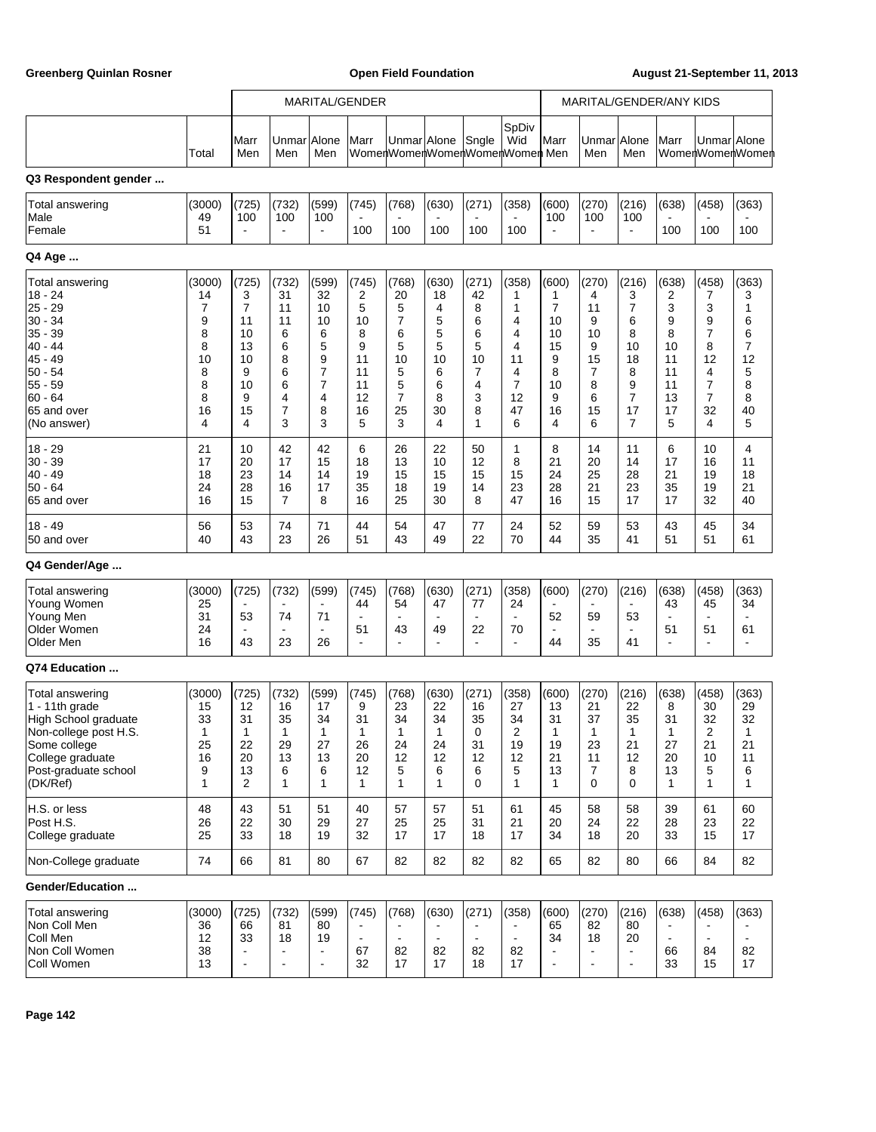Greenberg Quinlan Rosner **Communist Communist Communist Communist Communist Communist Communist Communist Communist Communist Communist Communist Communist Communist Communist Communist Communist Communist Communist Commun** 

|                                                                                                                                                                  |                                                                  | MARITAL/GENDER<br>MARITAL/GENDER/ANY KIDS                                       |                                                                 |                                                                              |                                                                    |                                                                              |                                                                 |                                                                |                                                                              |                                                                                |                                                                  |                                                                              |                                                                    |                                                                    |                                                                |
|------------------------------------------------------------------------------------------------------------------------------------------------------------------|------------------------------------------------------------------|---------------------------------------------------------------------------------|-----------------------------------------------------------------|------------------------------------------------------------------------------|--------------------------------------------------------------------|------------------------------------------------------------------------------|-----------------------------------------------------------------|----------------------------------------------------------------|------------------------------------------------------------------------------|--------------------------------------------------------------------------------|------------------------------------------------------------------|------------------------------------------------------------------------------|--------------------------------------------------------------------|--------------------------------------------------------------------|----------------------------------------------------------------|
|                                                                                                                                                                  | Total                                                            | Marr<br>Men                                                                     | Unmar<br>Men                                                    | Alone<br>Men                                                                 | Marr                                                               | Unmar Alone                                                                  |                                                                 | Sngle                                                          | SpDiv<br>Wid<br>WomenWomenWomenWomenWomen Men                                | Marr                                                                           | Unmar Alone<br>Men                                               | Men                                                                          | Marr                                                               | Unmar Alone                                                        | WomenWomenWomen                                                |
| Q3 Respondent gender                                                                                                                                             |                                                                  |                                                                                 |                                                                 |                                                                              |                                                                    |                                                                              |                                                                 |                                                                |                                                                              |                                                                                |                                                                  |                                                                              |                                                                    |                                                                    |                                                                |
| <b>Total answering</b><br>Male<br>Female                                                                                                                         | (3000)<br>49<br>51                                               | (725)<br>100                                                                    | (732)<br>100<br>$\overline{\phantom{a}}$                        | (599)<br>100<br>$\blacksquare$                                               | (745)<br>100                                                       | (768)<br>100                                                                 | (630)<br>100                                                    | (271)<br>100                                                   | (358)<br>100                                                                 | (600)<br>100<br>$\blacksquare$                                                 | (270)<br>100<br>$\overline{a}$                                   | (216)<br>100<br>$\blacksquare$                                               | (638)<br>100                                                       | (458)<br>100                                                       | (363)<br>100                                                   |
| Q4 Age                                                                                                                                                           |                                                                  |                                                                                 |                                                                 |                                                                              |                                                                    |                                                                              |                                                                 |                                                                |                                                                              |                                                                                |                                                                  |                                                                              |                                                                    |                                                                    |                                                                |
| Total answering<br>$18 - 24$<br>$25 - 29$<br>$30 - 34$<br>$35 - 39$<br>$40 - 44$<br>45 - 49<br>$50 - 54$<br>$55 - 59$<br>$60 - 64$<br>65 and over<br>(No answer) | (3000)<br>14<br>7<br>9<br>8<br>8<br>10<br>8<br>8<br>8<br>16<br>4 | (725)<br>3<br>$\overline{7}$<br>11<br>10<br>13<br>10<br>9<br>10<br>9<br>15<br>4 | (732)<br>31<br>11<br>11<br>6<br>6<br>8<br>6<br>6<br>4<br>7<br>3 | (599)<br>32<br>10<br>10<br>6<br>5<br>9<br>$\overline{7}$<br>7<br>4<br>8<br>3 | (745)<br>2<br>5<br>10<br>8<br>9<br>11<br>11<br>11<br>12<br>16<br>5 | (768)<br>20<br>5<br>7<br>6<br>5<br>10<br>5<br>5<br>$\overline{7}$<br>25<br>3 | (630)<br>18<br>4<br>5<br>5<br>5<br>10<br>6<br>6<br>8<br>30<br>4 | (271)<br>42<br>8<br>6<br>6<br>5<br>10<br>7<br>4<br>3<br>8<br>1 | (358)<br>1<br>1<br>4<br>4<br>4<br>11<br>4<br>$\overline{7}$<br>12<br>47<br>6 | (600)<br>1<br>$\overline{7}$<br>10<br>10<br>15<br>9<br>8<br>10<br>9<br>16<br>4 | (270)<br>4<br>11<br>9<br>10<br>9<br>15<br>7<br>8<br>6<br>15<br>6 | (216)<br>3<br>7<br>6<br>8<br>10<br>18<br>8<br>9<br>$\overline{7}$<br>17<br>7 | (638)<br>2<br>3<br>9<br>8<br>10<br>11<br>11<br>11<br>13<br>17<br>5 | (458)<br>7<br>3<br>9<br>7<br>8<br>12<br>4<br>7<br>7<br>32<br>4     | (363)<br>3<br>1<br>6<br>6<br>7<br>12<br>5<br>8<br>8<br>40<br>5 |
| $18 - 29$<br>$30 - 39$<br>$40 - 49$<br>$50 - 64$<br>65 and over                                                                                                  | 21<br>17<br>18<br>24<br>16                                       | 10<br>20<br>23<br>28<br>15                                                      | 42<br>17<br>14<br>16<br>7                                       | 42<br>15<br>14<br>17<br>8                                                    | 6<br>18<br>19<br>35<br>16                                          | 26<br>13<br>15<br>18<br>25                                                   | 22<br>10<br>15<br>19<br>30                                      | 50<br>12<br>15<br>14<br>8                                      | 1<br>8<br>15<br>23<br>47                                                     | 8<br>21<br>24<br>28<br>16                                                      | 14<br>20<br>25<br>21<br>15                                       | 11<br>14<br>28<br>23<br>17                                                   | 6<br>17<br>21<br>35<br>17                                          | 10<br>16<br>19<br>19<br>32                                         | 4<br>11<br>18<br>21<br>40                                      |
| $18 - 49$<br>50 and over                                                                                                                                         | 56<br>40                                                         | 53<br>43                                                                        | 74<br>23                                                        | 71<br>26                                                                     | 44<br>51                                                           | 54<br>43                                                                     | 47<br>49                                                        | 77<br>22                                                       | 24<br>70                                                                     | 52<br>44                                                                       | 59<br>35                                                         | 53<br>41                                                                     | 43<br>51                                                           | 45<br>51                                                           | 34<br>61                                                       |
| Q4 Gender/Age                                                                                                                                                    |                                                                  |                                                                                 |                                                                 |                                                                              |                                                                    |                                                                              |                                                                 |                                                                |                                                                              |                                                                                |                                                                  |                                                                              |                                                                    |                                                                    |                                                                |
| Total answering<br>Young Women<br>Young Men<br>Older Women<br>Older Men                                                                                          | (3000)<br>25<br>31<br>24<br>16                                   | (725)<br>53<br>$\blacksquare$<br>43                                             | (732)<br>74<br>$\overline{\phantom{a}}$<br>23                   | (599)<br>71<br>$\blacksquare$<br>26                                          | (745)<br>44<br>51<br>$\overline{a}$                                | (768)<br>54<br>$\blacksquare$<br>43<br>$\overline{a}$                        | (630)<br>47<br>$\overline{\phantom{a}}$<br>49<br>÷              | (271)<br>77<br>22                                              | (358)<br>24<br>$\blacksquare$<br>70<br>$\overline{a}$                        | (600)<br>52<br>$\blacksquare$<br>44                                            | (270)<br>$\blacksquare$<br>59<br>$\blacksquare$<br>35            | (216)<br>$\blacksquare$<br>53<br>$\blacksquare$<br>41                        | (638)<br>43<br>$\blacksquare$<br>51<br>$\blacksquare$              | (458)<br>45<br>51                                                  | (363)<br>34<br>61                                              |
| Q74 Education                                                                                                                                                    |                                                                  |                                                                                 |                                                                 |                                                                              |                                                                    |                                                                              |                                                                 |                                                                |                                                                              |                                                                                |                                                                  |                                                                              |                                                                    |                                                                    |                                                                |
| Total answering<br>1 - 11th grade<br>High School graduate<br>Non-college post H.S.<br>Some college<br>College graduate<br>Post-graduate school<br>(DK/Ref)       | (3000)<br>15<br>33<br>1<br>25<br>16<br>9<br>1                    | (725)<br>12<br>31<br>1<br>22<br>20<br>13<br>2                                   | (732)<br>16<br>35<br>1<br>29<br>13<br>6<br>1                    | (599)<br>17<br>34<br>-1<br>27<br>13<br>6<br>$\mathbf{1}$                     | (745)<br>9<br>31<br>1<br>26<br>20<br>12<br>1                       | (768)<br>23<br>34<br>1<br>24<br>12<br>5<br>1                                 | (630)<br>22<br>34<br>1<br>24<br>12<br>6<br>1                    | (271)<br>16<br>35<br>0<br>31<br>12<br>6<br>$\Omega$            | (358)<br>27<br>34<br>2<br>19<br>12<br>5<br>1                                 | (600)<br>13<br>31<br>1<br>19<br>21<br>13<br>1                                  | (270)<br>21<br>37<br>1<br>23<br>11<br>7<br>0                     | (216)<br>22<br>35<br>1<br>21<br>12<br>8<br>0                                 | (638)<br>8<br>31<br>1<br>27<br>20<br>13<br>$\mathbf{1}$            | (458)<br>30<br>32<br>$\mathbf{z}$<br>21<br>10<br>5<br>$\mathbf{1}$ | (363)<br>29<br>32<br>21<br>11<br>6<br>$\mathbf{1}$             |
| H.S. or less<br>Post H.S.<br>College graduate                                                                                                                    | 48<br>26<br>25                                                   | 43<br>22<br>33                                                                  | 51<br>30<br>18                                                  | 51<br>29<br>19                                                               | 40<br>27<br>32                                                     | 57<br>25<br>17                                                               | 57<br>25<br>17                                                  | 51<br>31<br>18                                                 | 61<br>21<br>17                                                               | 45<br>20<br>34                                                                 | 58<br>24<br>18                                                   | 58<br>22<br>20                                                               | 39<br>28<br>33                                                     | 61<br>23<br>15                                                     | 60<br>22<br>17                                                 |
| Non-College graduate                                                                                                                                             | 74                                                               | 66                                                                              | 81                                                              | 80                                                                           | 67                                                                 | 82                                                                           | 82                                                              | 82                                                             | 82                                                                           | 65                                                                             | 82                                                               | 80                                                                           | 66                                                                 | 84                                                                 | 82                                                             |
| Gender/Education                                                                                                                                                 |                                                                  |                                                                                 |                                                                 |                                                                              |                                                                    |                                                                              |                                                                 |                                                                |                                                                              |                                                                                |                                                                  |                                                                              |                                                                    |                                                                    |                                                                |
| Total answering<br>Non Coll Men<br>Coll Men<br>Non Coll Women<br>Coll Women                                                                                      | (3000)<br>36<br>12<br>38<br>13                                   | (725)<br>66<br>33                                                               | (732)<br>81<br>18<br>$\blacksquare$<br>$\overline{\phantom{a}}$ | (599)<br>80<br>19<br>÷,<br>$\overline{a}$                                    | (745)<br>$\blacksquare$<br>$\blacksquare$<br>67<br>32              | (768)<br>$\blacksquare$<br>82<br>17                                          | (630)<br>82<br>17                                               | (271)<br>82<br>18                                              | (358)<br>$\blacksquare$<br>82<br>17                                          | (600)<br>65<br>34<br>$\blacksquare$<br>$\overline{\phantom{a}}$                | (270)<br>82<br>18<br>$\overline{a}$<br>$\overline{\phantom{a}}$  | (216)<br>80<br>20<br>$\blacksquare$<br>$\blacksquare$                        | (638)<br>$\blacksquare$<br>66<br>33                                | (458)<br>84<br>15                                                  | (363)<br>82<br>17                                              |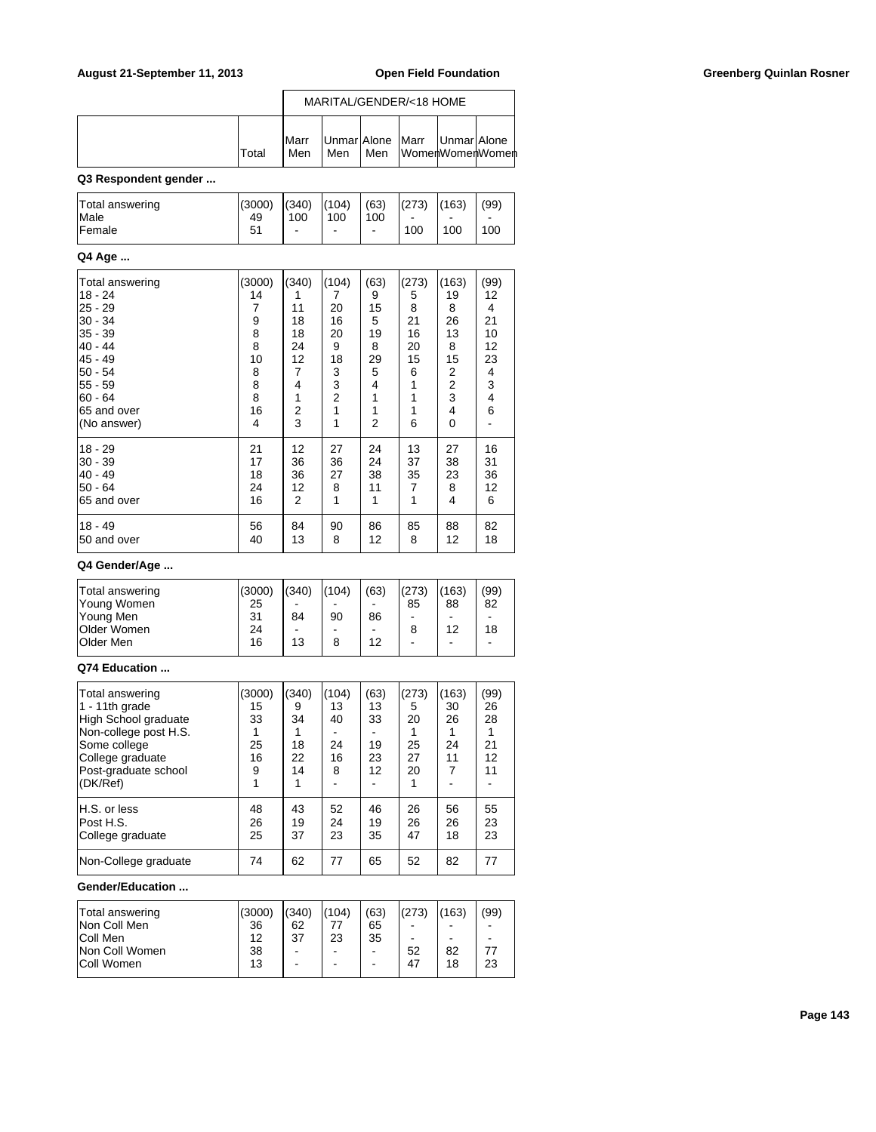|       |                     |     |     | MARITAL/GENDER/<18 HOME                                  |  |
|-------|---------------------|-----|-----|----------------------------------------------------------|--|
| Total | <b>IMarr</b><br>Men | Men | Men | Unmar Alone Marr   Unmar Alone<br><b>WomenWomenWomen</b> |  |

# **Q3 Respondent gender ...**

| Total answering | (3000) | (340) | (104)                    | (63) | (273) | (163) | (99) |
|-----------------|--------|-------|--------------------------|------|-------|-------|------|
| <b>Male</b>     | 49     | 100   | 100                      | 100  |       | -     |      |
| Female          | 51     |       | $\overline{\phantom{a}}$ | -    | 100   | 100   | 100  |

#### **Q4 Age ...**

| Total answering | (3000)                                     | (340) | (104)          | (63) | (273) | (163) | (99) |
|-----------------|--------------------------------------------|-------|----------------|------|-------|-------|------|
| 18 - 24         | 14                                         | 1     | 7              | 9    | 5     | 19    | 12   |
| 25 - 29         | 7                                          | 11    | 20             | 15   | 8     | 8     | 4    |
| $30 - 34$       |                                            | 18    | 16             | 5    | 21    | 26    | 21   |
| $ 35 - 39$      | $\begin{array}{c} 9 \\ 8 \\ 8 \end{array}$ | 18    | 20             | 19   | 16    | 13    | 10   |
| 40 - 44         |                                            | 24    | 9              | 8    | 20    | 8     | 12   |
| 45 - 49         | 10                                         | 12    | 18             | 29   | 15    | 15    | 23   |
| 50 - 54         | 8                                          | 7     | 3              | 5    | 6     | 2     | 4    |
| 55 - 59         | $\begin{array}{c} 8 \\ 8 \end{array}$      | 4     | 3              | 4    |       | 2     | 3    |
| $60 - 64$       |                                            | 1     | $\overline{2}$ | 1    | 1     | 3     | 4    |
| 65 and over     | 16                                         | 2     | 1              | 1    | 1     | 4     | 6    |
| (No answer)     | 4                                          | 3     | 1              | 2    | 6     | 0     |      |
| 18 - 29         | 21                                         | 12    | 27             | 24   | 13    | 27    | 16   |
| $ 30 - 39$      | 17                                         | 36    | 36             | 24   | 37    | 38    | 31   |
| 40 - 49         | 18                                         | 36    | 27             | 38   | 35    | 23    | 36   |
| $50 - 64$       | 24                                         | 12    | 8              | 11   | 7     | 8     | 12   |
| 65 and over     | 16                                         | 2     | 1              | 1    | 1     | 4     | 6    |
| 18 - 49         | 56                                         | 84    | 90             | 86   | 85    | 88    | 82   |
| 50 and over     | 40                                         | 13    | 8              | 12   | 8     | 12    | 18   |

### **Q4 Gender/Age ...**

| Total answering    | (3000) | (340) | (104) | (63)                     | (273) | (163) | (99) |
|--------------------|--------|-------|-------|--------------------------|-------|-------|------|
| Young Women        | 25     | -     |       | -                        | 85    | 88    | 82   |
| Young Men          | 31     | 84    | 90    | 86                       | -     |       | -    |
| <b>Older Women</b> | 24     | -     | -     | $\overline{\phantom{a}}$ |       | 12    | 18   |
| <b>Older Men</b>   | 16     | 13    | 8     | 12                       | -     |       | -    |
|                    |        |       |       |                          |       |       |      |

### **Q74 Education ...**

| Total answering<br>1 - 11th grade<br>High School graduate<br>Non-college post H.S.<br>Some college<br>College graduate<br>Post-graduate school<br>(DK/Ref) | (3000)<br>15<br>33<br>25<br>16<br>9<br>1 | (340)<br>9<br>34<br>18<br>22<br>14 | (104)<br>13<br>40<br>24<br>16<br>8 | (63)<br>13<br>33<br>19<br>23<br>12 | (273)<br>5<br>20<br>25<br>27<br>20 | (163)<br>30<br>26<br>24<br>11<br>7 | (99)<br>26<br>28<br>21<br>12<br>11 |
|------------------------------------------------------------------------------------------------------------------------------------------------------------|------------------------------------------|------------------------------------|------------------------------------|------------------------------------|------------------------------------|------------------------------------|------------------------------------|
| H.S. or less                                                                                                                                               | 48                                       | 43                                 | 52                                 | 46                                 | 26                                 | 56                                 | 55                                 |
| Post H.S.                                                                                                                                                  | 26                                       | 19                                 | 24                                 | 19                                 | 26                                 | 26                                 | 23                                 |
| College graduate                                                                                                                                           | 25                                       | 37                                 | 23                                 | 35                                 | 47                                 | 18                                 | 23                                 |
| Non-College graduate                                                                                                                                       | 74                                       | 62                                 | 77                                 | 65                                 | 52                                 | 82                                 | 77                                 |

#### **Gender/Education ...**

| Total answering   | (3000) | (340) | (104) | (63)                     | (273) | (163) | (99) |
|-------------------|--------|-------|-------|--------------------------|-------|-------|------|
| Non Coll Men      | 36     | 62    | 77    | 65                       |       |       |      |
| Coll Men          | 12     | 37    | 23    | 35                       | -     |       | -    |
| Non Coll Women    | 38     | -     | -     | $\overline{\phantom{a}}$ | 52    | 82    | 77   |
| <b>Coll Women</b> | 13     | -     | -     | $\overline{\phantom{a}}$ | 47    | 18    | 23   |
|                   |        |       |       |                          |       |       |      |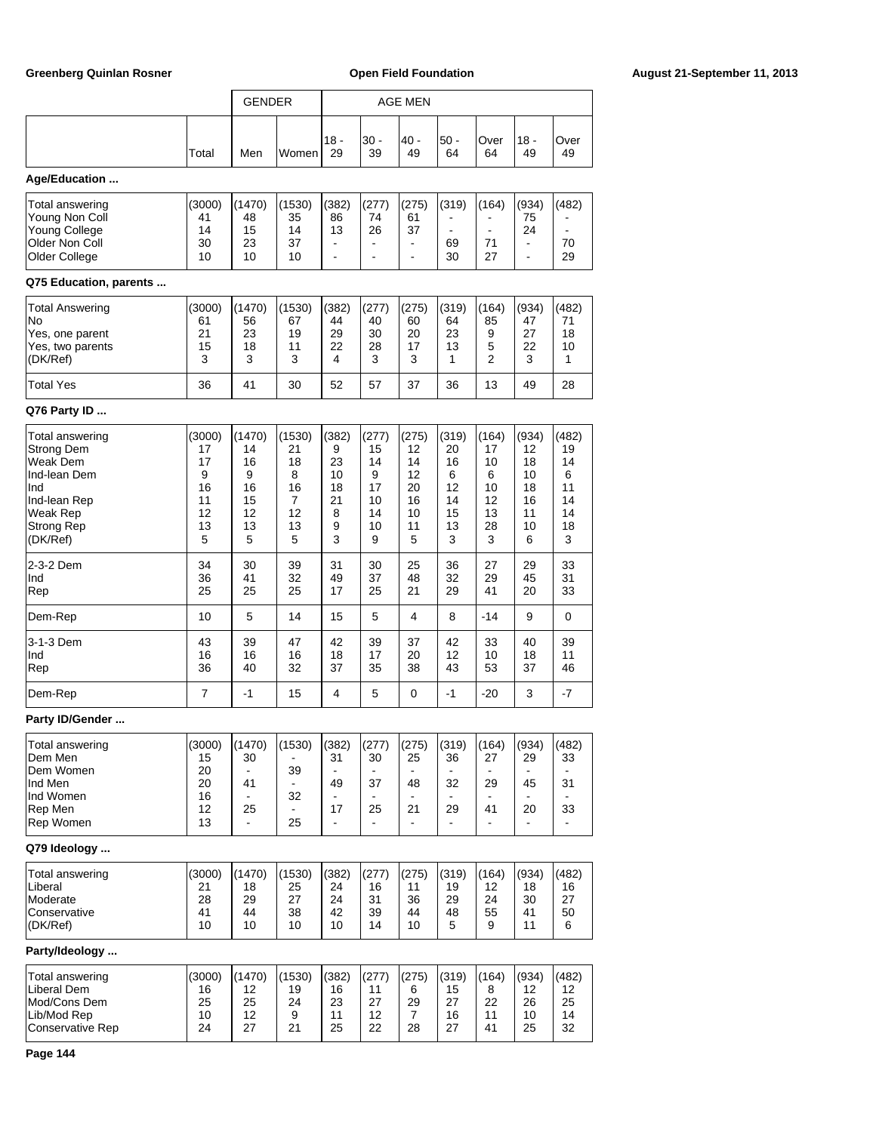|                                                                                                                                      |                                                      | <b>GENDER</b>                                        |                                                     | <b>AGE MEN</b>                                    |                                                     |                                                      |                                                     |                                                     |                                                      |                                                     |
|--------------------------------------------------------------------------------------------------------------------------------------|------------------------------------------------------|------------------------------------------------------|-----------------------------------------------------|---------------------------------------------------|-----------------------------------------------------|------------------------------------------------------|-----------------------------------------------------|-----------------------------------------------------|------------------------------------------------------|-----------------------------------------------------|
|                                                                                                                                      |                                                      |                                                      |                                                     |                                                   |                                                     |                                                      |                                                     |                                                     |                                                      |                                                     |
|                                                                                                                                      | Total                                                | Men                                                  | Women                                               | 18 -<br>29                                        | $30 -$<br>39                                        | 40 -<br>49                                           | $50 -$<br>64                                        | Over<br>64                                          | 18 -<br>49                                           | Over<br>49                                          |
| Age/Education                                                                                                                        |                                                      |                                                      |                                                     |                                                   |                                                     |                                                      |                                                     |                                                     |                                                      |                                                     |
| Total answering<br>Young Non Coll<br><b>Young College</b><br>Older Non Coll<br>Older College<br>Q75 Education, parents               | (3000)<br>41<br>14<br>30<br>10                       | (1470)<br>48<br>15<br>23<br>10                       | (1530)<br>35<br>14<br>37<br>10                      | (382)<br>86<br>13<br>÷,                           | (277)<br>74<br>26                                   | (275)<br>61<br>37<br>$\blacksquare$                  | (319)<br>69<br>30                                   | (164)<br>$\blacksquare$<br>71<br>27                 | (934)<br>75<br>24<br>$\blacksquare$                  | (482)<br>70<br>29                                   |
| Total Answering                                                                                                                      | (3000)                                               | (1470)                                               | (1530)                                              | (382)                                             | (277)                                               | (275)                                                | (319)                                               | (164)                                               | (934)                                                | (482)                                               |
| No<br>Yes, one parent<br>Yes, two parents<br>(DK/Ref)                                                                                | 61<br>21<br>15<br>3                                  | 56<br>23<br>18<br>3                                  | 67<br>19<br>11<br>3                                 | 44<br>29<br>22<br>4                               | 40<br>30<br>28<br>3                                 | 60<br>20<br>17<br>3                                  | 64<br>23<br>13<br>1                                 | 85<br>9<br>5<br>$\overline{2}$                      | 47<br>27<br>22<br>3                                  | 71<br>18<br>10<br>1                                 |
| <b>Total Yes</b>                                                                                                                     | 36                                                   | 41                                                   | 30                                                  | 52                                                | 57                                                  | 37                                                   | 36                                                  | 13                                                  | 49                                                   | 28                                                  |
| Q76 Party ID                                                                                                                         |                                                      |                                                      |                                                     |                                                   |                                                     |                                                      |                                                     |                                                     |                                                      |                                                     |
| Total answering<br><b>Strong Dem</b><br>Weak Dem<br>Ind-lean Dem<br>Ind<br>Ind-lean Rep<br>Weak Rep<br><b>Strong Rep</b><br>(DK/Ref) | (3000)<br>17<br>17<br>9<br>16<br>11<br>12<br>13<br>5 | (1470)<br>14<br>16<br>9<br>16<br>15<br>12<br>13<br>5 | (1530)<br>21<br>18<br>8<br>16<br>7<br>12<br>13<br>5 | (382)<br>9<br>23<br>10<br>18<br>21<br>8<br>9<br>3 | (277)<br>15<br>14<br>9<br>17<br>10<br>14<br>10<br>9 | (275)<br>12<br>14<br>12<br>20<br>16<br>10<br>11<br>5 | (319)<br>20<br>16<br>6<br>12<br>14<br>15<br>13<br>3 | (164)<br>17<br>10<br>6<br>10<br>12<br>13<br>28<br>3 | (934)<br>12<br>18<br>10<br>18<br>16<br>11<br>10<br>6 | (482)<br>19<br>14<br>6<br>11<br>14<br>14<br>18<br>3 |
| 2-3-2 Dem<br>Ind<br>Rep                                                                                                              | 34<br>36<br>25                                       | 30<br>41<br>25                                       | 39<br>32<br>25                                      | 31<br>49<br>17                                    | 30<br>37<br>25                                      | 25<br>48<br>21                                       | 36<br>32<br>29                                      | 27<br>29<br>41                                      | 29<br>45<br>20                                       | 33<br>31<br>33                                      |
| Dem-Rep                                                                                                                              | 10                                                   | 5                                                    | 14                                                  | 15                                                | 5                                                   | 4                                                    | 8                                                   | $-14$                                               | 9                                                    | 0                                                   |
| 3-1-3 Dem<br>Ind<br>Rep                                                                                                              | 43<br>16<br>36                                       | 39<br>16<br>40                                       | 47<br>16<br>32                                      | 42<br>18<br>37                                    | 39<br>17<br>35                                      | 37<br>20<br>38                                       | 42<br>12<br>43                                      | 33<br>10<br>53                                      | 40<br>18<br>37                                       | 39<br>11<br>46                                      |
| Dem-Rep                                                                                                                              | 7                                                    | $-1$                                                 | 15                                                  | 4                                                 | 5                                                   | 0                                                    | $-1$                                                | $-20$                                               | 3                                                    | $-7$                                                |
| <b>Party ID/Gender</b>                                                                                                               |                                                      |                                                      |                                                     |                                                   |                                                     |                                                      |                                                     |                                                     |                                                      |                                                     |
| Total answering<br>Dem Men<br>Dem Women<br>Ind Men<br>Ind Women<br>Rep Men<br>Rep Women                                              | (3000)<br>15<br>20<br>20<br>16<br>12<br>13           | (1470)<br>30<br>41<br>25                             | (1530)<br>39<br>32<br>25                            | (382)<br>31<br>49<br>17                           | (277)<br>30<br>37<br>25                             | (275)<br>25<br>48<br>21                              | (319)<br>36<br>32<br>29                             | (164)<br>27<br>29<br>41                             | (934)<br>29<br>45<br>20                              | (482)<br>33<br>31<br>33                             |
| Q79 Ideology                                                                                                                         |                                                      |                                                      |                                                     |                                                   |                                                     |                                                      |                                                     |                                                     |                                                      |                                                     |
| Total answering<br>Liberal<br>Moderate<br>Conservative<br>(DK/Ref)                                                                   | (3000)<br>21<br>28<br>41<br>10                       | (1470)<br>18<br>29<br>44<br>10                       | (1530)<br>25<br>27<br>38<br>10                      | (382)<br>24<br>24<br>42<br>10                     | (277)<br>16<br>31<br>39<br>14                       | (275)<br>11<br>36<br>44<br>10                        | (319)<br>19<br>29<br>48<br>5                        | (164)<br>12<br>24<br>55<br>9                        | (934)<br>18<br>30<br>41<br>11                        | (482)<br>16<br>27<br>50<br>6                        |
| Party/Ideology                                                                                                                       |                                                      |                                                      |                                                     |                                                   |                                                     |                                                      |                                                     |                                                     |                                                      |                                                     |
| Total answering<br>Liberal Dem<br>Mod/Cons Dem<br>Lib/Mod Rep<br><b>Conservative Rep</b>                                             | (3000)<br>16<br>25<br>10<br>24                       | (1470)<br>12<br>25<br>12<br>27                       | (1530)<br>19<br>24<br>9<br>21                       | (382)<br>16<br>23<br>11<br>25                     | (277)<br>11<br>27<br>12<br>22                       | (275)<br>6<br>29<br>$\overline{7}$<br>28             | (319)<br>15<br>27<br>16<br>27                       | (164)<br>8<br>22<br>11<br>41                        | (934)<br>12<br>26<br>10<br>25                        | (482)<br>12<br>25<br>14<br>32                       |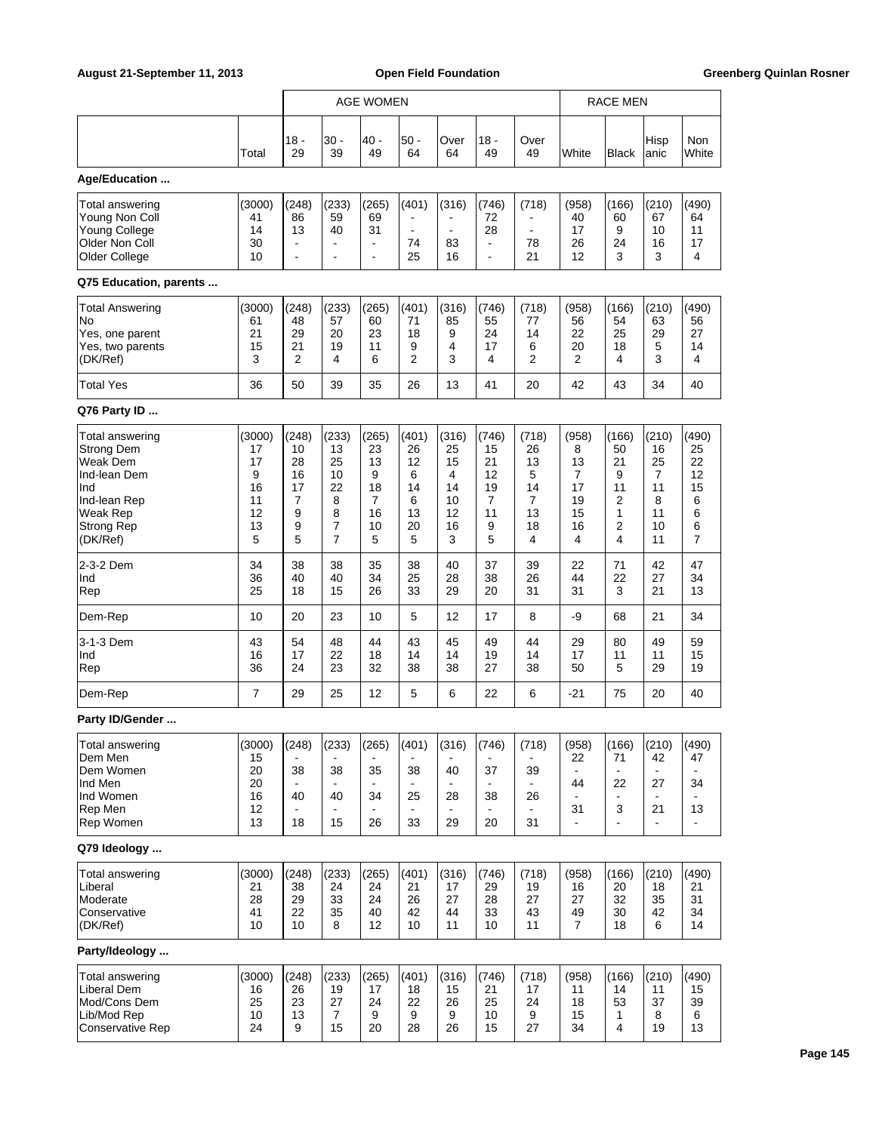|                                                                                                                               |                                                      | <b>AGE WOMEN</b>                                    |                                                                           |                                                       |                                                    |                                                     | RACE MEN                                                                  |                                                    |                                                    |                                                                          |                                                             |                                                   |
|-------------------------------------------------------------------------------------------------------------------------------|------------------------------------------------------|-----------------------------------------------------|---------------------------------------------------------------------------|-------------------------------------------------------|----------------------------------------------------|-----------------------------------------------------|---------------------------------------------------------------------------|----------------------------------------------------|----------------------------------------------------|--------------------------------------------------------------------------|-------------------------------------------------------------|---------------------------------------------------|
|                                                                                                                               | Total                                                | $18 -$<br>29                                        | 30 -<br>39                                                                | 40 -<br>49                                            | $50 -$<br>64                                       | Over<br>64                                          | 18 -<br>49                                                                | Over<br>49                                         | White                                              | <b>Black</b>                                                             | Hisp<br>lanic                                               | Non<br>White                                      |
| Age/Education                                                                                                                 |                                                      |                                                     |                                                                           |                                                       |                                                    |                                                     |                                                                           |                                                    |                                                    |                                                                          |                                                             |                                                   |
| Total answering<br>Young Non Coll<br><b>Young College</b><br>Older Non Coll<br>Older College                                  | (3000)<br>41<br>14<br>30<br>10                       | (248)<br>86<br>13<br>$\overline{\phantom{0}}$<br>÷, | (233)<br>59<br>40<br>$\overline{\phantom{a}}$<br>$\overline{\phantom{a}}$ | (265)<br>69<br>31<br>$\blacksquare$<br>$\blacksquare$ | (401)<br>$\blacksquare$<br>74<br>25                | (316)<br>$\blacksquare$<br>83<br>16                 | (746)<br>72<br>28<br>$\overline{\phantom{a}}$<br>$\overline{\phantom{a}}$ | (718)<br>$\blacksquare$<br>78<br>21                | (958)<br>40<br>17<br>26<br>12                      | (166)<br>60<br>9<br>24<br>3                                              | (210)<br>67<br>10<br>16<br>3                                | (490)<br>64<br>11<br>17<br>4                      |
| Q75 Education, parents                                                                                                        |                                                      |                                                     |                                                                           |                                                       |                                                    |                                                     |                                                                           |                                                    |                                                    |                                                                          |                                                             |                                                   |
| <b>Total Answering</b><br>No<br>Yes, one parent<br>Yes, two parents<br>(DK/Ref)                                               | (3000)<br>61<br>21<br>15<br>3                        | (248)<br>48<br>29<br>21<br>2                        | (233)<br>57<br>20<br>19<br>4                                              | (265)<br>60<br>23<br>11<br>6                          | (401)<br>71<br>18<br>9<br>$\overline{2}$           | (316)<br>85<br>9<br>4<br>3                          | (746)<br>55<br>24<br>17<br>4                                              | (718)<br>77<br>14<br>6<br>$\overline{2}$           | (958)<br>56<br>22<br>20<br>2                       | (166)<br>54<br>25<br>18<br>4                                             | (210)<br>63<br>29<br>5<br>3                                 | (490)<br>56<br>27<br>14<br>4                      |
| <b>Total Yes</b>                                                                                                              | 36                                                   | 50                                                  | 39                                                                        | 35                                                    | 26                                                 | 13                                                  | 41                                                                        | 20                                                 | 42                                                 | 43                                                                       | 34                                                          | 40                                                |
| Q76 Party ID                                                                                                                  |                                                      |                                                     |                                                                           |                                                       |                                                    |                                                     |                                                                           |                                                    |                                                    |                                                                          |                                                             |                                                   |
| Total answering<br><b>Strong Dem</b><br>Weak Dem<br>Ind-lean Dem<br>Ind<br>Ind-lean Rep<br>Weak Rep<br>Strong Rep<br>(DK/Ref) | (3000)<br>17<br>17<br>9<br>16<br>11<br>12<br>13<br>5 | (248)<br>10<br>28<br>16<br>17<br>7<br>9<br>9<br>5   | (233)<br>13<br>25<br>10<br>22<br>8<br>8<br>7<br>$\overline{7}$            | (265)<br>23<br>13<br>9<br>18<br>7<br>16<br>10<br>5    | (401)<br>26<br>12<br>6<br>14<br>6<br>13<br>20<br>5 | (316)<br>25<br>15<br>4<br>14<br>10<br>12<br>16<br>3 | (746)<br>15<br>21<br>12<br>19<br>7<br>11<br>9<br>5                        | (718)<br>26<br>13<br>5<br>14<br>7<br>13<br>18<br>4 | (958)<br>8<br>13<br>7<br>17<br>19<br>15<br>16<br>4 | (166)<br>50<br>21<br>9<br>11<br>$\overline{2}$<br>$\mathbf{1}$<br>2<br>4 | (210)<br>16<br>25<br>7<br>11<br>8<br>11<br>10<br>11         | (490)<br>25<br>22<br>12<br>15<br>6<br>6<br>6<br>7 |
| 2-3-2 Dem<br>Ind<br>Rep                                                                                                       | 34<br>36<br>25                                       | 38<br>40<br>18                                      | 38<br>40<br>15                                                            | 35<br>34<br>26                                        | 38<br>25<br>33                                     | 40<br>28<br>29                                      | 37<br>38<br>20                                                            | 39<br>26<br>31                                     | 22<br>44<br>31                                     | 71<br>22<br>3                                                            | 42<br>27<br>21                                              | 47<br>34<br>13                                    |
| Dem-Rep                                                                                                                       | 10                                                   | 20                                                  | 23                                                                        | 10                                                    | 5                                                  | 12                                                  | 17                                                                        | 8                                                  | -9                                                 | 68                                                                       | 21                                                          | 34                                                |
| 3-1-3 Dem<br>Ind<br>Rep                                                                                                       | 43<br>16<br>36                                       | 54<br>17<br>24                                      | 48<br>22<br>23                                                            | 44<br>18<br>32                                        | 43<br>14<br>38                                     | 45<br>14<br>38                                      | 49<br>19<br>27                                                            | 44<br>14<br>38                                     | 29<br>17<br>50                                     | 80<br>11<br>5                                                            | 49<br>11<br>29                                              | 59<br>15<br>19                                    |
| Dem-Rep                                                                                                                       | 7                                                    | 29                                                  | 25                                                                        | 12                                                    | 5                                                  | 6                                                   | 22                                                                        | 6                                                  | $-21$                                              | 75                                                                       | 20                                                          | 40                                                |
| Party ID/Gender                                                                                                               |                                                      |                                                     |                                                                           |                                                       |                                                    |                                                     |                                                                           |                                                    |                                                    |                                                                          |                                                             |                                                   |
| Total answering<br>Dem Men<br>Dem Women<br>Ind Men<br>Ind Women<br>Rep Men<br>Rep Women                                       | (3000)<br>15<br>20<br>20<br>16<br>12<br>13           | (248)<br>38<br>40<br>$\blacksquare$<br>18           | (233)<br>38<br>40<br>15                                                   | (265)<br>35<br>34<br>26                               | (401)<br>38<br>25<br>33                            | (316)<br>40<br>28<br>29                             | (746)<br>37<br>38<br>20                                                   | (718)<br>39<br>26<br>$\blacksquare$<br>31          | (958)<br>22<br>44<br>31                            | (166)<br>71<br>$\blacksquare$<br>22<br>3<br>÷                            | (210)<br>42<br>$\blacksquare$<br>27<br>21<br>$\blacksquare$ | (490)<br>47<br>34<br>13                           |
| Q79 Ideology                                                                                                                  |                                                      |                                                     |                                                                           |                                                       |                                                    |                                                     |                                                                           |                                                    |                                                    |                                                                          |                                                             |                                                   |
| Total answering<br>Liberal<br>Moderate<br>Conservative<br>(DK/Ref)                                                            | (3000)<br>21<br>28<br>41<br>10                       | (248)<br>38<br>29<br>22<br>10                       | (233)<br>24<br>33<br>35<br>8                                              | (265)<br>24<br>24<br>40<br>12                         | (401)<br>21<br>26<br>42<br>10                      | (316)<br>17<br>27<br>44<br>11                       | (746)<br>29<br>28<br>33<br>10                                             | (718)<br>19<br>27<br>43<br>11                      | (958)<br>16<br>27<br>49<br>7                       | (166)<br>20<br>32<br>30<br>18                                            | (210)<br>18<br>35<br>42<br>6                                | (490)<br>21<br>31<br>34<br>14                     |
| Party/Ideology                                                                                                                |                                                      |                                                     |                                                                           |                                                       |                                                    |                                                     |                                                                           |                                                    |                                                    |                                                                          |                                                             |                                                   |
| Total answering<br>Liberal Dem<br>Mod/Cons Dem<br>Lib/Mod Rep<br><b>Conservative Rep</b>                                      | (3000)<br>16<br>25<br>10<br>24                       | (248)<br>26<br>23<br>13<br>9                        | (233)<br>19<br>27<br>$\overline{7}$<br>15                                 | (265)<br>17<br>24<br>9<br>20                          | (401)<br>18<br>22<br>9<br>28                       | (316)<br>15<br>26<br>9<br>26                        | (746)<br>21<br>25<br>10<br>15                                             | (718)<br>17<br>24<br>9<br>27                       | (958)<br>11<br>18<br>15<br>34                      | (166)<br>14<br>53<br>1<br>4                                              | (210)<br>11<br>37<br>8<br>19                                | (490)<br>15<br>39<br>6<br>13                      |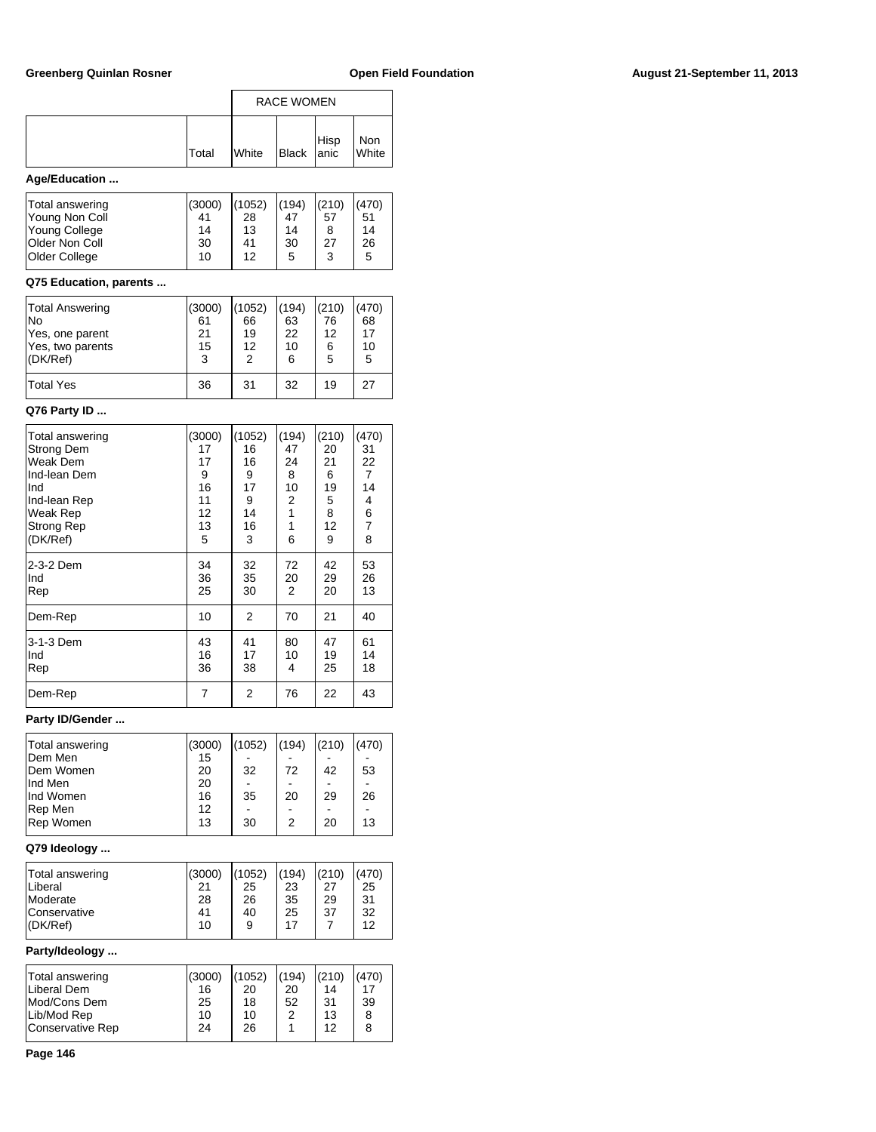## Greenberg Quinlan Rosner **Communist Communist Communist Communist Communist Communist Communist Communist Communist Communist Communist Communist Communist Communist Communist Communist Communist Communist Communist Commun**

|                | <b>RACE WOMEN</b> |              |            |  |              |  |
|----------------|-------------------|--------------|------------|--|--------------|--|
|                | Total             | <b>White</b> | Black Hisp |  | Non<br>White |  |
| $\sim$<br>-- - |                   |              |            |  |              |  |

# **Age/Education ...**

| Total answering<br>Young Non Coll<br>Young College<br><b>Older Non Coll</b> | (3000)<br>41<br>14<br>30 | (1052)<br>28<br>13<br>41 | (194)<br>47<br>14<br>30 | (210)<br>57<br>27 | (470)<br>51<br>14<br>26 |
|-----------------------------------------------------------------------------|--------------------------|--------------------------|-------------------------|-------------------|-------------------------|
| <b>Older College</b>                                                        | 10                       | 12                       | 5                       | 3                 | 5                       |
|                                                                             |                          |                          |                         |                   |                         |

## **Q75 Education, parents ...**

| <b>Total Answering</b> | (3000) | (1052) | (194) | (210) | (470) |
|------------------------|--------|--------|-------|-------|-------|
| lNo                    | 61     | 66     | 63    | 76    | 68    |
| Yes, one parent        | 21     | 19     | 22    | 12    | 17    |
| Yes, two parents       | 15     | 12     | 10    | 6     | 10    |
| $ $ (DK/Ref)           | 3      | 2      | 6     | 5     | 5     |
| <b>Total Yes</b>       | 36     | 31     | 32    | 19    | 27    |

## **Q76 Party ID ...**

| Total answering         | (3000)         | (1052)         | (194)         | (210)          | (470)          |
|-------------------------|----------------|----------------|---------------|----------------|----------------|
| <b>Strong Dem</b>       | 17             | 16             | 47            | 20             | 31             |
| Weak Dem                | 17             | 16             | 24            | 21             | 22             |
| Ind-lean Dem            | 9              | 9              | 8             | 6              | $\overline{7}$ |
| Ind                     | 16             | 17             | 10            | 19             | 14             |
| Ind-lean Rep            | 11             | 9              | 2             | 5              | 4              |
| <b>Weak Rep</b>         | 12             | 14             | 1             | 8              | 6              |
| <b>Strong Rep</b>       | 13             | 16             | 1             | 12             | $\overline{7}$ |
| (DK/Ref)                | 5              | 3              | 6             | 9              | 8              |
| 2-3-2 Dem<br>Ind<br>Rep | 34<br>36<br>25 | 32<br>35<br>30 | 72<br>20<br>2 | 42<br>29<br>20 | 53<br>26<br>13 |
| Dem-Rep                 | 10             | 2              | 70            | 21             | 40             |
| 3-1-3 Dem<br>Ind<br>Rep | 43<br>16<br>36 | 41<br>17<br>38 | 80<br>10<br>4 | 47<br>19<br>25 | 61<br>14<br>18 |
| Dem-Rep                 | $\overline{7}$ | 2              | 76            | 22             | 43             |

## **Party ID/Gender ...**

| Total answering | (3000) | (1052) | (194) | (210) | (470) |
|-----------------|--------|--------|-------|-------|-------|
| <b>IDem Men</b> | 15     |        |       |       |       |
| Dem Women       | 20     | 32     | 72    | 42    | 53    |
| lInd Men        | 20     |        |       |       |       |
| Ind Women       | 16     | 35     | 20    | 29    | 26    |
| Rep Men         | 12     |        |       |       |       |
| Rep Women       | 13     | 30     | 2     | 20    | 13    |
|                 |        |        |       |       |       |

## **Q79 Ideology ...**

| $ $ (DK/Ref)<br>12<br>10<br>17<br>9 | Total answering<br>Liberal<br>Moderate<br>Conservative | (3000)<br>21<br>28<br>41 | (1052)<br>25<br>26<br>40 | (194)<br>23<br>35<br>25 | (210)<br>27<br>29<br>37 | (470)<br>25<br>-31<br>32 |
|-------------------------------------|--------------------------------------------------------|--------------------------|--------------------------|-------------------------|-------------------------|--------------------------|
|-------------------------------------|--------------------------------------------------------|--------------------------|--------------------------|-------------------------|-------------------------|--------------------------|

## **Party/Ideology ...**

| Total answering<br>Liberal Dem<br>Mod/Cons Dem | (3000)<br>16<br>25 | (1052)<br>20<br>18 | (194)<br>20<br>52 | (210)<br>14<br>-31 | (470)<br>17<br>39 |
|------------------------------------------------|--------------------|--------------------|-------------------|--------------------|-------------------|
| Lib/Mod Rep                                    | 10                 | 10                 | 2                 | 13                 | 8                 |
| Conservative Rep                               | 24                 | 26                 |                   | 12                 |                   |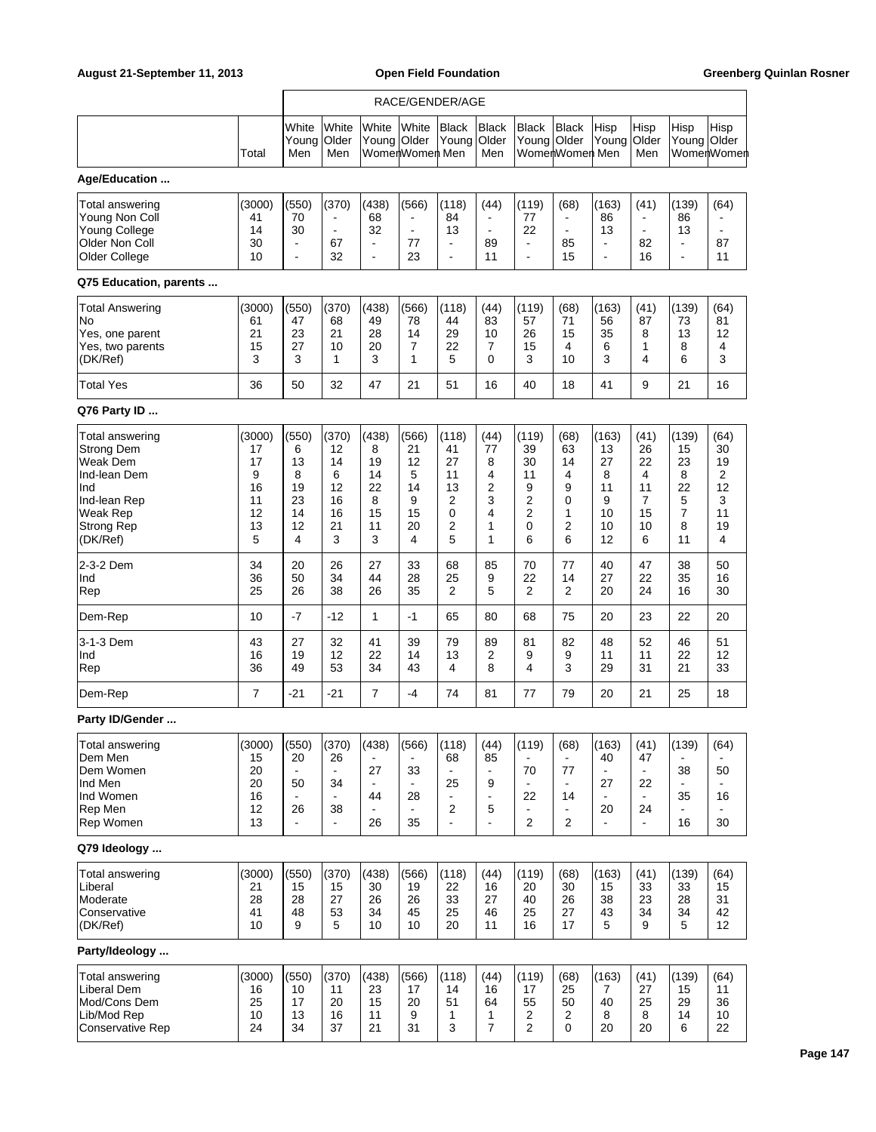|                                                                                                                               |                                                      |                                                             |                                                                 |                                                       |                                                       | RACE/GENDER/AGE                                                 |                                                                            |                                                                 |                                                      |                                                             |                                                                              |                                                                |                                                   |
|-------------------------------------------------------------------------------------------------------------------------------|------------------------------------------------------|-------------------------------------------------------------|-----------------------------------------------------------------|-------------------------------------------------------|-------------------------------------------------------|-----------------------------------------------------------------|----------------------------------------------------------------------------|-----------------------------------------------------------------|------------------------------------------------------|-------------------------------------------------------------|------------------------------------------------------------------------------|----------------------------------------------------------------|---------------------------------------------------|
|                                                                                                                               | Total                                                | White<br>Young<br>Men                                       | White<br>Older<br>Men                                           | White<br>Young Older                                  | White<br>WomenWomen Men                               | <b>Black</b><br>Young                                           | <b>Black</b><br>Older<br>Men                                               | <b>Black</b><br>Young                                           | <b>Black</b><br>Older<br>WomerlWomerl Men            | Hisp<br>Young                                               | Hisp<br>Older<br>Men                                                         | Hisp<br>Young Older                                            | Hisp<br>WomenWomen                                |
| Age/Education                                                                                                                 |                                                      |                                                             |                                                                 |                                                       |                                                       |                                                                 |                                                                            |                                                                 |                                                      |                                                             |                                                                              |                                                                |                                                   |
| Total answering<br>Young Non Coll<br><b>Young College</b><br>Older Non Coll<br>Older College                                  | (3000)<br>41<br>14<br>30<br>10                       | (550)<br>70<br>30<br>$\blacksquare$<br>$\ddot{\phantom{0}}$ | (370)<br>$\overline{\phantom{a}}$<br>$\blacksquare$<br>67<br>32 | (438)<br>68<br>32<br>$\blacksquare$<br>$\blacksquare$ | (566)<br>$\blacksquare$<br>$\blacksquare$<br>77<br>23 | (118)<br>84<br>13<br>$\blacksquare$<br>$\overline{\phantom{a}}$ | (44)<br>$\blacksquare$<br>$\blacksquare$<br>89<br>11                       | (119)<br>77<br>22<br>$\blacksquare$<br>$\overline{\phantom{a}}$ | (68)<br>$\blacksquare$<br>$\blacksquare$<br>85<br>15 | (163)<br>86<br>13<br>$\blacksquare$<br>$\blacksquare$       | (41)<br>$\overline{\phantom{a}}$<br>$\blacksquare$<br>82<br>16               | (139)<br>86<br>13<br>$\blacksquare$<br>$\blacksquare$          | (64)<br>87<br>11                                  |
| Q75 Education, parents                                                                                                        |                                                      |                                                             |                                                                 |                                                       |                                                       |                                                                 |                                                                            |                                                                 |                                                      |                                                             |                                                                              |                                                                |                                                   |
| Total Answering<br>No<br>Yes, one parent<br>Yes, two parents<br>(DK/Ref)                                                      | (3000)<br>61<br>21<br>15<br>3                        | (550)<br>47<br>23<br>27<br>3                                | (370)<br>68<br>21<br>10<br>1                                    | (438)<br>49<br>28<br>20<br>3                          | (566)<br>78<br>14<br>7<br>1                           | (118)<br>44<br>29<br>22<br>5                                    | (44)<br>83<br>10<br>7<br>0                                                 | (119)<br>57<br>26<br>15<br>3                                    | (68)<br>71<br>15<br>4<br>10                          | (163)<br>56<br>35<br>6<br>3                                 | (41)<br>87<br>8<br>1<br>4                                                    | (139)<br>73<br>13<br>8<br>6                                    | (64)<br>81<br>12<br>4<br>3                        |
| <b>Total Yes</b>                                                                                                              | 36                                                   | 50                                                          | 32                                                              | 47                                                    | 21                                                    | 51                                                              | 16                                                                         | 40                                                              | 18                                                   | 41                                                          | 9                                                                            | 21                                                             | 16                                                |
| Q76 Party ID                                                                                                                  |                                                      |                                                             |                                                                 |                                                       |                                                       |                                                                 |                                                                            |                                                                 |                                                      |                                                             |                                                                              |                                                                |                                                   |
| Total answering<br><b>Strong Dem</b><br>Weak Dem<br>Ind-lean Dem<br>Ind<br>Ind-lean Rep<br>Weak Rep<br>Strong Rep<br>(DK/Ref) | (3000)<br>17<br>17<br>9<br>16<br>11<br>12<br>13<br>5 | (550)<br>6<br>13<br>8<br>19<br>23<br>14<br>12<br>4          | (370)<br>12<br>14<br>6<br>12<br>16<br>16<br>21<br>3             | (438)<br>8<br>19<br>14<br>22<br>8<br>15<br>11<br>3    | (566)<br>21<br>12<br>5<br>14<br>9<br>15<br>20<br>4    | (118)<br>41<br>27<br>11<br>13<br>2<br>0<br>2<br>5               | (44)<br>77<br>8<br>4<br>$\overline{2}$<br>3<br>4<br>1<br>1                 | (119)<br>39<br>30<br>11<br>9<br>2<br>2<br>0<br>6                | (68)<br>63<br>14<br>4<br>9<br>0<br>1<br>2<br>6       | (163)<br>13<br>27<br>8<br>11<br>9<br>10<br>10<br>12         | (41)<br>26<br>22<br>4<br>11<br>7<br>15<br>10<br>6                            | (139)<br>15<br>23<br>8<br>22<br>5<br>$\overline{7}$<br>8<br>11 | (64)<br>30<br>19<br>2<br>12<br>3<br>11<br>19<br>4 |
| 2-3-2 Dem<br>Ind<br>Rep                                                                                                       | 34<br>36<br>25                                       | 20<br>50<br>26                                              | 26<br>34<br>38                                                  | 27<br>44<br>26                                        | 33<br>28<br>35                                        | 68<br>25<br>2                                                   | 85<br>9<br>5                                                               | 70<br>22<br>2                                                   | 77<br>14<br>$\overline{2}$                           | 40<br>27<br>20                                              | 47<br>22<br>24                                                               | 38<br>35<br>16                                                 | 50<br>16<br>30                                    |
| Dem-Rep                                                                                                                       | 10                                                   | $-7$                                                        | -12                                                             | $\mathbf{1}$                                          | $-1$                                                  | 65                                                              | 80                                                                         | 68                                                              | 75                                                   | 20                                                          | 23                                                                           | 22                                                             | 20                                                |
| 3-1-3 Dem<br>Ind<br>Rep                                                                                                       | 43<br>16<br>36                                       | 27<br>19<br>49                                              | 32<br>12<br>53                                                  | 41<br>22<br>34                                        | 39<br>14<br>43                                        | 79<br>13<br>4                                                   | 89<br>2<br>8                                                               | 81<br>9<br>4                                                    | 82<br>9<br>3                                         | 48<br>11<br>29                                              | 52<br>11<br>31                                                               | 46<br>22<br>21                                                 | 51<br>12<br>33                                    |
| Dem-Rep                                                                                                                       | 7                                                    | -21                                                         | $-21$                                                           | $\overline{7}$                                        | $-4$                                                  | 74                                                              | 81                                                                         | 77                                                              | 79                                                   | 20                                                          | 21                                                                           | 25                                                             | 18                                                |
| Party ID/Gender                                                                                                               |                                                      |                                                             |                                                                 |                                                       |                                                       |                                                                 |                                                                            |                                                                 |                                                      |                                                             |                                                                              |                                                                |                                                   |
| Total answering<br>Dem Men<br>Dem Women<br>Ind Men<br>Ind Women<br>Rep Men<br>Rep Women                                       | (3000)<br>15<br>20<br>20<br>16<br>12<br>13           | (550)<br>20<br>50<br>26<br>$\blacksquare$                   | (370)<br>26<br>$\blacksquare$<br>34<br>38<br>$\blacksquare$     | (438)<br>27<br>44<br>26                               | (566)<br>33<br>28<br>35                               | (118)<br>68<br>25<br>÷,<br>2<br>÷,                              | (44)<br>85<br>$\blacksquare$<br>9<br>$\blacksquare$<br>5<br>$\blacksquare$ | (119)<br>70<br>22<br>$\overline{c}$                             | (68)<br>77<br>$\blacksquare$<br>14<br>$\overline{2}$ | (163)<br>40<br>27<br>$\blacksquare$<br>20<br>$\blacksquare$ | (41)<br>47<br>$\blacksquare$<br>22<br>$\blacksquare$<br>24<br>$\blacksquare$ | (139)<br>38<br>35<br>16                                        | (64)<br>50<br>16<br>30                            |
| Q79 Ideology                                                                                                                  |                                                      |                                                             |                                                                 |                                                       |                                                       |                                                                 |                                                                            |                                                                 |                                                      |                                                             |                                                                              |                                                                |                                                   |
| Total answering<br>Liberal<br>Moderate<br>Conservative<br>(DK/Ref)                                                            | (3000)<br>21<br>28<br>41<br>10                       | (550)<br>15<br>28<br>48<br>9                                | (370)<br>15<br>27<br>53<br>5                                    | (438)<br>30<br>26<br>34<br>10                         | (566)<br>19<br>26<br>45<br>10                         | (118)<br>22<br>33<br>25<br>20                                   | (44)<br>16<br>27<br>46<br>11                                               | (119)<br>20<br>40<br>25<br>16                                   | (68)<br>30<br>26<br>27<br>17                         | (163)<br>15<br>38<br>43<br>5                                | (41)<br>33<br>23<br>34<br>9                                                  | (139)<br>33<br>28<br>34<br>5                                   | (64)<br>15<br>31<br>42<br>12                      |
| Party/Ideology                                                                                                                |                                                      |                                                             |                                                                 |                                                       |                                                       |                                                                 |                                                                            |                                                                 |                                                      |                                                             |                                                                              |                                                                |                                                   |
| Total answering<br>Liberal Dem<br>Mod/Cons Dem<br>Lib/Mod Rep<br><b>Conservative Rep</b>                                      | (3000)<br>16<br>25<br>10<br>24                       | (550)<br>10<br>17<br>13<br>34                               | (370)<br>11<br>20<br>16<br>37                                   | (438)<br>23<br>15<br>11<br>21                         | (566)<br>17<br>20<br>9<br>31                          | (118)<br>14<br>51<br>1<br>3                                     | (44)<br>16<br>64<br>1<br>7                                                 | (119)<br>17<br>55<br>2<br>2                                     | (68)<br>25<br>50<br>$\overline{c}$<br>0              | (163)<br>7<br>40<br>8<br>20                                 | (41)<br>27<br>25<br>8<br>20                                                  | (139)<br>15<br>29<br>14<br>6                                   | (64)<br>11<br>36<br>10<br>22                      |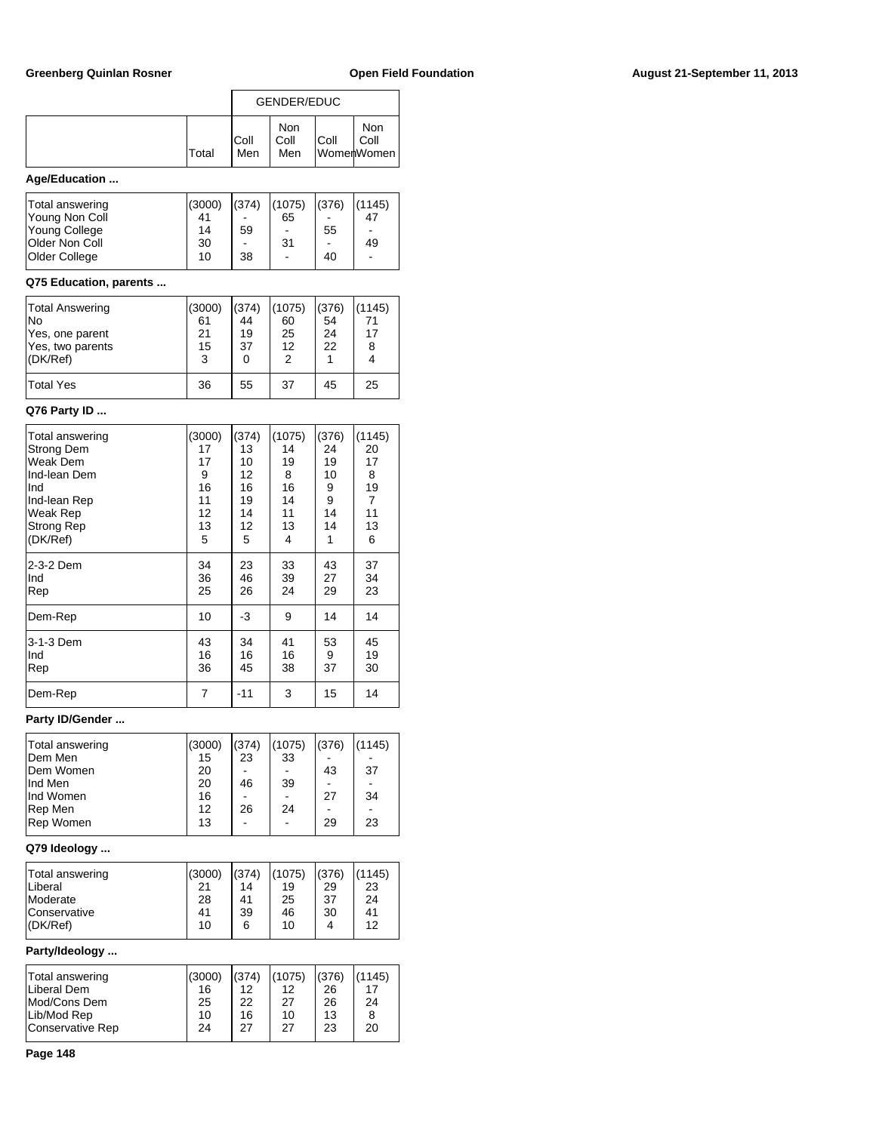|                         |         | GENDER/EDUC  |                           |       |                           |  |
|-------------------------|---------|--------------|---------------------------|-------|---------------------------|--|
|                         | Total   | IColl<br>Men | <b>Non</b><br>Coll<br>Men | Coll  | Non<br>Coll<br>WomenWomen |  |
| Age/Education           |         |              |                           |       |                           |  |
| بمقاسما بالمفارس المفحا | (0.000) | (071)        | (107F)                    | (070) | (44.1)                    |  |

| Total answering       | (3000) | (374)                    | (1075)                   | (376)                        | (1145)                   |
|-----------------------|--------|--------------------------|--------------------------|------------------------------|--------------------------|
| Young Non Coll        | 41     |                          | 65                       |                              | 47                       |
| Young College         | 14     | 59                       | $\overline{\phantom{a}}$ | 55                           | $\overline{\phantom{a}}$ |
| <b>Older Non Coll</b> | 30     | $\overline{\phantom{a}}$ | 31                       | $\qquad \qquad \blacksquare$ | 49                       |
| Older College         | 10     | 38                       | ۰                        | 40                           |                          |
|                       |        |                          |                          |                              |                          |

## **Q75 Education, parents ...**

| <b>Total Answering</b><br>lNo<br>Yes, one parent<br>Yes, two parents<br>I(DK/Ref) | (3000)<br>61<br>21<br>15<br>3 | (374)<br>44<br>19<br>37<br>0 | (1075)<br>60<br>25<br>12 | (376)<br>54<br>24<br>22 | (1145)<br>17<br>8 |
|-----------------------------------------------------------------------------------|-------------------------------|------------------------------|--------------------------|-------------------------|-------------------|
| <b>Total Yes</b>                                                                  | 36                            | 55                           | 37                       | 45                      | 25                |

## **Q76 Party ID ...**

| Total answering   | (3000)         | (374) | (1075) | (376) | (1145)         |
|-------------------|----------------|-------|--------|-------|----------------|
| Strong Dem        | 17             | 13    | 14     | 24    | 20             |
| Weak Dem          | 17             | 10    | 19     | 19    | 17             |
| Ind-lean Dem      | 9              | 12    | 8      | 10    | 8              |
| Ind               | 16             | 16    | 16     | 9     | 19             |
| Ind-lean Rep      | 11             | 19    | 14     | 9     | $\overline{7}$ |
| Weak Rep          | 12             | 14    | 11     | 14    | 11             |
| <b>Strong Rep</b> | 13             | 12    | 13     | 14    | 13             |
| (DK/Ref)          | 5              | 5     | 4      | 1     | 6              |
| 2-3-2 Dem         | 34             | 23    | 33     | 43    | 37             |
| Ind               | 36             | 46    | 39     | 27    | 34             |
| Rep               | 25             | 26    | 24     | 29    | 23             |
| Dem-Rep           | 10             | -3    | 9      | 14    | 14             |
| 3-1-3 Dem         | 43             | 34    | 41     | 53    | 45             |
| Ind               | 16             | 16    | 16     | 9     | 19             |
| Rep               | 36             | 45    | 38     | 37    | 30             |
| Dem-Rep           | $\overline{7}$ | -11   | 3      | 15    | 14             |

## **Party ID/Gender ...**

| Total answering   | (3000) | (374) | (1075) | (376) | (1145) |
|-------------------|--------|-------|--------|-------|--------|
| <b>IDem Men</b>   | 15     | 23    | 33     |       |        |
| <b>IDem Women</b> | 20     |       |        | 43    | 37     |
| Ind Men           | 20     | 46    | 39     |       |        |
| Ind Women         | 16     |       |        | 27    | 34     |
| Rep Men           | 12     | 26    | 24     |       |        |
| Rep Women         | 13     |       |        | 29    | 23     |
|                   |        |       |        |       |        |

## **Q79 Ideology ...**

| Total answering | (3000) | (374) | (1075) | (376) | (1145) |
|-----------------|--------|-------|--------|-------|--------|
| Liberal         | 21     | 14    | 19     | 29    | 23     |
| Moderate        | 28     | 41    | 25     | -37   | 24     |
| Conservative    | 41     | 39    | 46     | 30    | 41     |
| I(DK/Ref)       | 10     | 6     | 10     | 4     | 12     |

## **Party/Ideology ...**

| (3000) | (374)    |          | (376)              | (1145)<br>17 |
|--------|----------|----------|--------------------|--------------|
| 25     | 22       | 27       | 26                 | 24           |
| 24     | 27       | 27       | 23                 | 8<br>20      |
|        | 16<br>10 | 12<br>16 | (1075)<br>12<br>10 | 26<br>13     |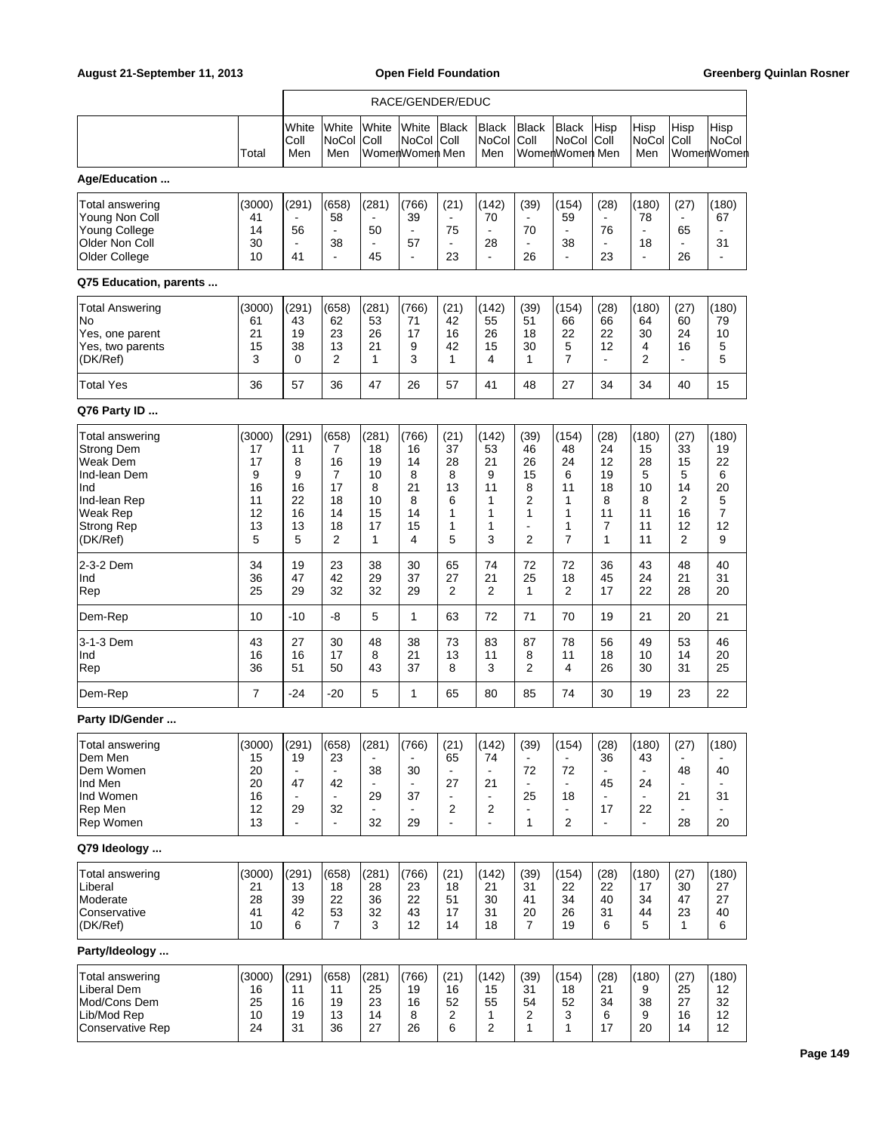|                                                                                                                               |                                                      |                                                    |                                                    |                                                                | RACE/GENDER/EDUC                                      |                                                                             |                                                            |                                                                        |                                                  |                                                   |                                                                               |                                                   |                                                   |
|-------------------------------------------------------------------------------------------------------------------------------|------------------------------------------------------|----------------------------------------------------|----------------------------------------------------|----------------------------------------------------------------|-------------------------------------------------------|-----------------------------------------------------------------------------|------------------------------------------------------------|------------------------------------------------------------------------|--------------------------------------------------|---------------------------------------------------|-------------------------------------------------------------------------------|---------------------------------------------------|---------------------------------------------------|
|                                                                                                                               | Total                                                | White<br>Coll<br>Men                               | White<br><b>NoCol</b><br>Men                       | White<br>Coll                                                  | White<br><b>NoCol</b><br>WomenWomen Men               | <b>Black</b><br> Coll                                                       | <b>Black</b><br><b>NoCol</b><br>Men                        | <b>Black</b><br>Coll                                                   | Black<br><b>NoCol</b><br>WomenWomen Men          | Hisp<br>Coll                                      | Hisp<br><b>NoCol</b><br>Men                                                   | Hisp<br>Coll                                      | Hisp<br>NoCol<br>WomenWomen                       |
| Age/Education                                                                                                                 |                                                      |                                                    |                                                    |                                                                |                                                       |                                                                             |                                                            |                                                                        |                                                  |                                                   |                                                                               |                                                   |                                                   |
| Total answering<br>Young Non Coll<br><b>Young College</b><br>Older Non Coll<br>Older College                                  | (3000)<br>41<br>14<br>30<br>10                       | (291)<br>56<br>$\overline{\phantom{a}}$<br>41      | (658)<br>58<br>÷,<br>38<br>L.                      | (281)<br>L,<br>50<br>$\blacksquare$<br>45                      | (766)<br>39<br>$\blacksquare$<br>57<br>$\blacksquare$ | (21)<br>75<br>23                                                            | (142)<br>70<br>$\blacksquare$<br>28<br>$\blacksquare$      | (39)<br>$\blacksquare$<br>70<br>$\blacksquare$<br>26                   | (154)<br>59<br>÷<br>38<br>$\blacksquare$         | (28)<br>76<br>23                                  | (180)<br>78<br>$\blacksquare$<br>18<br>$\blacksquare$                         | (27)<br>65<br>26                                  | (180)<br>67<br>31<br>$\blacksquare$               |
| Q75 Education, parents                                                                                                        |                                                      |                                                    |                                                    |                                                                |                                                       |                                                                             |                                                            |                                                                        |                                                  |                                                   |                                                                               |                                                   |                                                   |
| <b>Total Answering</b><br>No<br>Yes, one parent<br>Yes, two parents<br>(DK/Ref)                                               | (3000)<br>61<br>21<br>15<br>3                        | (291)<br>43<br>19<br>38<br>0                       | (658)<br>62<br>23<br>13<br>2                       | (281)<br>53<br>26<br>21<br>$\mathbf{1}$                        | (766)<br>71<br>17<br>9<br>3                           | (21)<br>42<br>16<br>42<br>1                                                 | (142)<br>55<br>26<br>15<br>4                               | (39)<br>51<br>18<br>30<br>1                                            | (154)<br>66<br>22<br>5<br>7                      | (28)<br>66<br>22<br>12<br>÷.                      | (180)<br>64<br>30<br>4<br>$\overline{2}$                                      | (27)<br>60<br>24<br>16<br>$\blacksquare$          | (180)<br>79<br>10<br>5<br>5                       |
| <b>Total Yes</b>                                                                                                              | 36                                                   | 57                                                 | 36                                                 | 47                                                             | 26                                                    | 57                                                                          | 41                                                         | 48                                                                     | 27                                               | 34                                                | 34                                                                            | 40                                                | 15                                                |
| Q76 Party ID                                                                                                                  |                                                      |                                                    |                                                    |                                                                |                                                       |                                                                             |                                                            |                                                                        |                                                  |                                                   |                                                                               |                                                   |                                                   |
| Total answering<br>Strong Dem<br>Weak Dem<br>Ind-lean Dem<br>Ind<br>Ind-lean Rep<br>Weak Rep<br><b>Strong Rep</b><br>(DK/Ref) | (3000)<br>17<br>17<br>9<br>16<br>11<br>12<br>13<br>5 | (291)<br>11<br>8<br>9<br>16<br>22<br>16<br>13<br>5 | (658)<br>7<br>16<br>7<br>17<br>18<br>14<br>18<br>2 | (281)<br>18<br>19<br>10<br>8<br>10<br>15<br>17<br>$\mathbf{1}$ | (766)<br>16<br>14<br>8<br>21<br>8<br>14<br>15<br>4    | (21)<br>37<br>28<br>8<br>13<br>6<br>1<br>1<br>5                             | (142)<br>53<br>21<br>9<br>11<br>1<br>1<br>1<br>3           | (39)<br>46<br>26<br>15<br>8<br>2<br>1<br>$\overline{\phantom{a}}$<br>2 | (154)<br>48<br>24<br>6<br>11<br>1<br>1<br>1<br>7 | (28)<br>24<br>12<br>19<br>18<br>8<br>11<br>7<br>1 | (180)<br>15<br>28<br>5<br>10<br>8<br>11<br>11<br>11                           | (27)<br>33<br>15<br>5<br>14<br>2<br>16<br>12<br>2 | (180)<br>19<br>22<br>6<br>20<br>5<br>7<br>12<br>9 |
| 2-3-2 Dem<br>Ind<br>Rep                                                                                                       | 34<br>36<br>25                                       | 19<br>47<br>29                                     | 23<br>42<br>32                                     | 38<br>29<br>32                                                 | 30<br>37<br>29                                        | 65<br>27<br>2                                                               | 74<br>21<br>2                                              | 72<br>25<br>1                                                          | 72<br>18<br>$\overline{2}$                       | 36<br>45<br>17                                    | 43<br>24<br>22                                                                | 48<br>21<br>28                                    | 40<br>31<br>20                                    |
| Dem-Rep                                                                                                                       | 10                                                   | $-10$                                              | -8                                                 | 5                                                              | 1                                                     | 63                                                                          | 72                                                         | 71                                                                     | 70                                               | 19                                                | 21                                                                            | 20                                                | 21                                                |
| 3-1-3 Dem<br>Ind<br>Rep                                                                                                       | 43<br>16<br>36                                       | 27<br>16<br>51                                     | 30<br>17<br>50                                     | 48<br>8<br>43                                                  | 38<br>21<br>37                                        | 73<br>13<br>8                                                               | 83<br>11<br>3                                              | 87<br>8<br>2                                                           | 78<br>11<br>4                                    | 56<br>18<br>26                                    | 49<br>10<br>30                                                                | 53<br>14<br>31                                    | 46<br>20<br>25                                    |
| Dem-Rep                                                                                                                       | 7                                                    | -24                                                | $-20$                                              | 5                                                              | 1                                                     | 65                                                                          | 80                                                         | 85                                                                     | 74                                               | 30                                                | 19                                                                            | 23                                                | 22                                                |
| Party ID/Gender                                                                                                               |                                                      |                                                    |                                                    |                                                                |                                                       |                                                                             |                                                            |                                                                        |                                                  |                                                   |                                                                               |                                                   |                                                   |
| Total answering<br>Dem Men<br>Dem Women<br>Ind Men<br>Ind Women<br>Rep Men<br>Rep Women                                       | (3000)<br>15<br>20<br>20<br>16<br>12<br>13           | (291)<br>19<br>47<br>29<br>$\blacksquare$          | (658)<br>23<br>42<br>32<br>÷.                      | (281)<br>38<br>$\blacksquare$<br>29<br>$\blacksquare$<br>32    | (766)<br>30<br>37<br>29                               | (21)<br>65<br>$\blacksquare$<br>27<br>$\blacksquare$<br>2<br>$\blacksquare$ | (142)<br>74<br>21<br>$\blacksquare$<br>2<br>$\blacksquare$ | (39)<br>72<br>25<br>$\mathbf{1}$                                       | (154)<br>72<br>18<br>$\overline{2}$              | (28)<br>36<br>45<br>17<br>$\blacksquare$          | (180)<br>43<br>$\blacksquare$<br>24<br>$\blacksquare$<br>22<br>$\blacksquare$ | (27)<br>48<br>21<br>28                            | (180)<br>40<br>31<br>20                           |
| Q79 Ideology                                                                                                                  |                                                      |                                                    |                                                    |                                                                |                                                       |                                                                             |                                                            |                                                                        |                                                  |                                                   |                                                                               |                                                   |                                                   |
| Total answering<br>Liberal<br>Moderate<br>Conservative<br>(DK/Ref)                                                            | (3000)<br>21<br>28<br>41<br>10                       | (291)<br>13<br>39<br>42<br>6                       | (658)<br>18<br>22<br>53<br>$\overline{7}$          | (281)<br>28<br>36<br>32<br>3                                   | (766)<br>23<br>22<br>43<br>12                         | (21)<br>18<br>51<br>17<br>14                                                | (142)<br>21<br>30<br>31<br>18                              | (39)<br>31<br>41<br>20<br>7                                            | (154)<br>22<br>34<br>26<br>19                    | (28)<br>22<br>40<br>31<br>6                       | (180)<br>17<br>34<br>44<br>5                                                  | (27)<br>30<br>47<br>23<br>$\mathbf{1}$            | (180)<br>27<br>27<br>40<br>6                      |
| Party/Ideology                                                                                                                |                                                      |                                                    |                                                    |                                                                |                                                       |                                                                             |                                                            |                                                                        |                                                  |                                                   |                                                                               |                                                   |                                                   |
| Total answering<br>Liberal Dem<br>Mod/Cons Dem<br>Lib/Mod Rep<br><b>Conservative Rep</b>                                      | (3000)<br>16<br>25<br>10<br>24                       | (291)<br>11<br>16<br>19<br>31                      | (658)<br>11<br>19<br>13<br>36                      | (281)<br>25<br>23<br>14<br>27                                  | (766)<br>19<br>16<br>8<br>26                          | (21)<br>16<br>52<br>2<br>6                                                  | (142)<br>15<br>55<br>1<br>2                                | (39)<br>31<br>54<br>2<br>1                                             | (154)<br>18<br>52<br>3<br>1                      | (28)<br>21<br>34<br>6<br>17                       | (180)<br>9<br>38<br>9<br>20                                                   | (27)<br>25<br>27<br>16<br>14                      | (180)<br>12<br>32<br>12<br>12                     |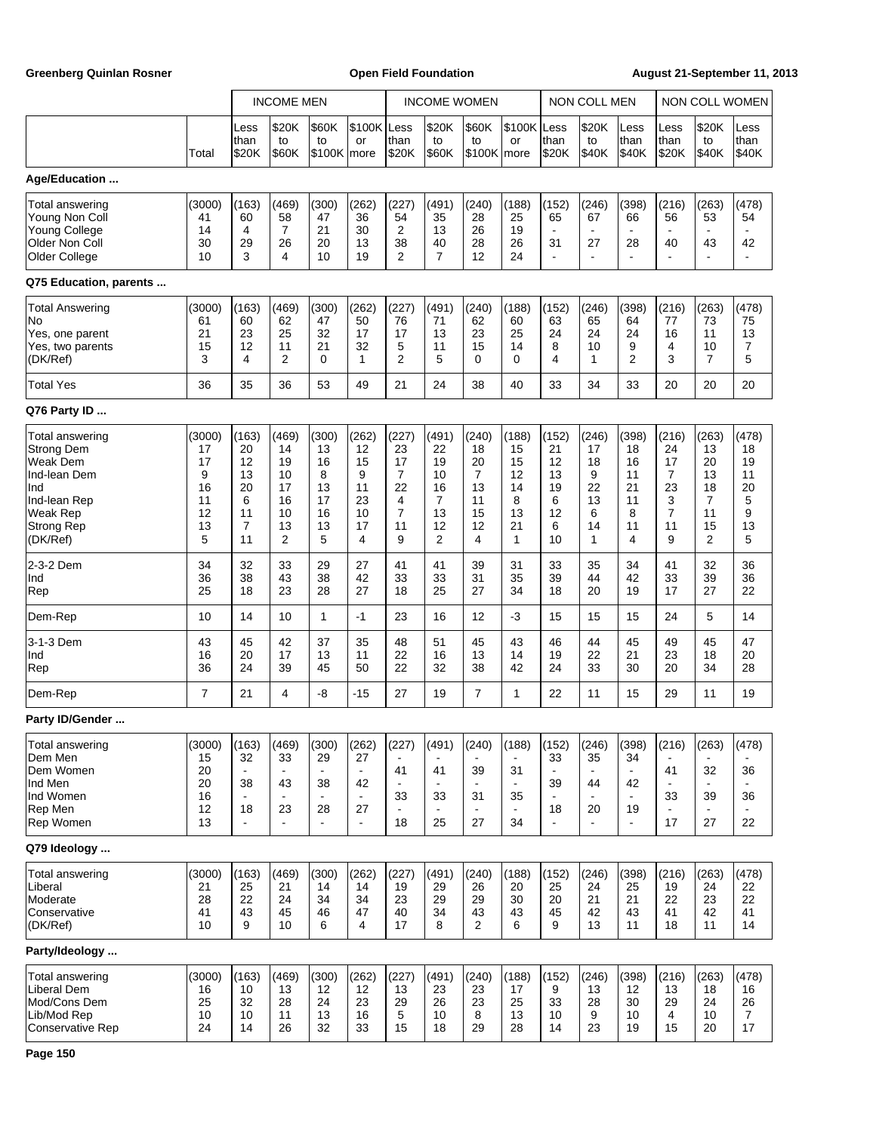Greenberg Quinlan Rosner **Communist Communist Communist Communist Communist Communist Communist Communist Communist Communist Communist Communist Communist Communist Communist Communist Communist Communist Communist Commun** 

|                                                                                                                                             |                                                      |                                                                  | <b>INCOME MEN</b>                                    |                                                     |                                                     |                                                                             |                                                             | <b>INCOME WOMEN</b>                                              |                                                     |                                                                 | NON COLL MEN                                       |                                                     |                                                                |                                                                  | NON COLL WOMEN                                     |
|---------------------------------------------------------------------------------------------------------------------------------------------|------------------------------------------------------|------------------------------------------------------------------|------------------------------------------------------|-----------------------------------------------------|-----------------------------------------------------|-----------------------------------------------------------------------------|-------------------------------------------------------------|------------------------------------------------------------------|-----------------------------------------------------|-----------------------------------------------------------------|----------------------------------------------------|-----------------------------------------------------|----------------------------------------------------------------|------------------------------------------------------------------|----------------------------------------------------|
|                                                                                                                                             | Total                                                | Less<br>than<br>\$20K                                            | \$20K<br>to<br>\$60K                                 | \$60K<br>to<br>\$100K more                          | \$100K Less<br>or                                   | than<br>\$20K                                                               | \$20K<br>to<br><b>\$60K</b>                                 | \$60K<br>to<br>$$100K$ more                                      | \$100K Less<br>or                                   | than<br>\$20K                                                   | \$20K<br>to<br>\$40K                               | Less<br>than<br>\$40K                               | Less<br>than<br>\$20K                                          | \$20K<br>to<br>\$40K                                             | Less<br>than<br>\$40K                              |
| Age/Education                                                                                                                               |                                                      |                                                                  |                                                      |                                                     |                                                     |                                                                             |                                                             |                                                                  |                                                     |                                                                 |                                                    |                                                     |                                                                |                                                                  |                                                    |
| Total answering<br>Young Non Coll<br>Young College<br>Older Non Coll<br>Older College<br>Q75 Education, parents                             | (3000)<br>41<br>14<br>30<br>10                       | (163)<br>60<br>4<br>29<br>3                                      | (469)<br>58<br>$\overline{7}$<br>26<br>4             | (300)<br>47<br>21<br>20<br>10                       | (262)<br>36<br>30<br>13<br>19                       | (227)<br>54<br>2<br>38<br>2                                                 | (491)<br>35<br>13<br>40<br>$\overline{7}$                   | (240)<br>28<br>26<br>28<br>12                                    | (188)<br>25<br>19<br>26<br>24                       | (152)<br>65<br>$\blacksquare$<br>31<br>$\overline{\phantom{a}}$ | (246)<br>67<br>27<br>$\overline{a}$                | (398)<br>66<br>28<br>÷                              | (216)<br>56<br>$\blacksquare$<br>40<br>$\blacksquare$          | (263)<br>53<br>$\blacksquare$<br>43<br>$\blacksquare$            | (478)<br>54<br>42<br>$\sim$                        |
|                                                                                                                                             |                                                      |                                                                  |                                                      |                                                     |                                                     |                                                                             |                                                             |                                                                  |                                                     |                                                                 |                                                    |                                                     |                                                                |                                                                  |                                                    |
| <b>Total Answering</b><br>No<br>Yes, one parent<br>Yes, two parents<br>(DK/Ref)                                                             | (3000)<br>61<br>21<br>15<br>3                        | (163)<br>60<br>23<br>12<br>4                                     | (469)<br>62<br>25<br>11<br>2                         | (300)<br>47<br>32<br>21<br>0                        | (262)<br>50<br>17<br>32<br>1                        | (227)<br>76<br>17<br>5<br>$\overline{2}$                                    | (491)<br>71<br>13<br>11<br>5                                | (240)<br>62<br>23<br>15<br>0                                     | (188)<br>60<br>25<br>14<br>$\Omega$                 | (152)<br>63<br>24<br>8<br>4                                     | (246)<br>65<br>24<br>10<br>1                       | (398)<br>64<br>24<br>9<br>$\overline{2}$            | (216)<br>77<br>16<br>4<br>3                                    | (263)<br>73<br>11<br>10<br>$\overline{7}$                        | (478)<br>75<br>13<br>7<br>5                        |
| <b>Total Yes</b>                                                                                                                            | 36                                                   | 35                                                               | 36                                                   | 53                                                  | 49                                                  | 21                                                                          | 24                                                          | 38                                                               | 40                                                  | 33                                                              | 34                                                 | 33                                                  | 20                                                             | 20                                                               | 20                                                 |
| Q76 Party ID                                                                                                                                |                                                      |                                                                  |                                                      |                                                     |                                                     |                                                                             |                                                             |                                                                  |                                                     |                                                                 |                                                    |                                                     |                                                                |                                                                  |                                                    |
| Total answering<br><b>Strong Dem</b><br><b>Weak Dem</b><br>Ind-lean Dem<br>Ind<br>Ind-lean Rep<br>Weak Rep<br><b>Strong Rep</b><br>(DK/Ref) | (3000)<br>17<br>17<br>9<br>16<br>11<br>12<br>13<br>5 | (163)<br>20<br>12<br>13<br>20<br>6<br>11<br>$\overline{7}$<br>11 | (469)<br>14<br>19<br>10<br>17<br>16<br>10<br>13<br>2 | (300)<br>13<br>16<br>8<br>13<br>17<br>16<br>13<br>5 | (262)<br>12<br>15<br>9<br>11<br>23<br>10<br>17<br>4 | (227)<br>23<br>17<br>$\overline{7}$<br>22<br>4<br>$\overline{7}$<br>11<br>9 | (491)<br>22<br>19<br>10<br>16<br>7<br>13<br>12<br>2         | (240)<br>18<br>20<br>$\overline{7}$<br>13<br>11<br>15<br>12<br>4 | (188)<br>15<br>15<br>12<br>14<br>8<br>13<br>21<br>1 | (152)<br>21<br>12<br>13<br>19<br>6<br>12<br>6<br>10             | (246)<br>17<br>18<br>9<br>22<br>13<br>6<br>14<br>1 | (398)<br>18<br>16<br>11<br>21<br>11<br>8<br>11<br>4 | (216)<br>24<br>17<br>$\overline{7}$<br>23<br>3<br>7<br>11<br>9 | (263)<br>13<br>20<br>13<br>18<br>7<br>11<br>15<br>$\overline{2}$ | (478)<br>18<br>19<br>11<br>20<br>5<br>9<br>13<br>5 |
| 2-3-2 Dem<br>Ind<br>Rep                                                                                                                     | 34<br>36<br>25                                       | 32<br>38<br>18                                                   | 33<br>43<br>23                                       | 29<br>38<br>28                                      | 27<br>42<br>27                                      | 41<br>33<br>18                                                              | 41<br>33<br>25                                              | 39<br>31<br>27                                                   | 31<br>35<br>34                                      | 33<br>39<br>18                                                  | 35<br>44<br>20                                     | 34<br>42<br>19                                      | 41<br>33<br>17                                                 | 32<br>39<br>27                                                   | 36<br>36<br>22                                     |
| Dem-Rep                                                                                                                                     | 10                                                   | 14                                                               | 10                                                   | $\mathbf{1}$                                        | $-1$                                                | 23                                                                          | 16                                                          | 12                                                               | $-3$                                                | 15                                                              | 15                                                 | 15                                                  | 24                                                             | 5                                                                | 14                                                 |
| 3-1-3 Dem<br>Ind<br>Rep                                                                                                                     | 43<br>16<br>36                                       | 45<br>20<br>24                                                   | 42<br>17<br>39                                       | 37<br>13<br>45                                      | 35<br>11<br>50                                      | 48<br>22<br>22                                                              | 51<br>16<br>32                                              | 45<br>13<br>38                                                   | 43<br>14<br>42                                      | 46<br>19<br>24                                                  | 44<br>22<br>33                                     | 45<br>21<br>30                                      | 49<br>23<br>20                                                 | 45<br>18<br>34                                                   | 47<br>20<br>28                                     |
| Dem-Rep                                                                                                                                     | $\overline{7}$                                       | 21                                                               | 4                                                    | -8                                                  | $-15$                                               | 27                                                                          | 19                                                          | $\overline{7}$                                                   | $\mathbf{1}$                                        | 22                                                              | 11                                                 | 15                                                  | 29                                                             | 11                                                               | 19                                                 |
| Party ID/Gender                                                                                                                             |                                                      |                                                                  |                                                      |                                                     |                                                     |                                                                             |                                                             |                                                                  |                                                     |                                                                 |                                                    |                                                     |                                                                |                                                                  |                                                    |
| Total answering<br>Dem Men<br>Dem Women<br>Ind Men<br>Ind Women<br>Rep Men<br>Rep Women                                                     | (3000)<br>15<br>20<br>20<br>16<br>12<br>13           | (163)<br>32<br>38<br>18<br>$\blacksquare$                        | (469)<br>33<br>$\blacksquare$<br>43<br>23            | (300)<br>29<br>$\blacksquare$<br>38<br>28           | (262)<br>27<br>42<br>27                             | (227)<br>41<br>33<br>$\blacksquare$<br>18                                   | (491)<br>41<br>$\blacksquare$<br>33<br>$\blacksquare$<br>25 | (240)<br>39<br>31<br>27                                          | (188)<br>31<br>35<br>34                             | (152)<br>33<br>39<br>18                                         | (246)<br>35<br>44<br>20                            | (398)<br>34<br>42<br>19<br>$\blacksquare$           | (216)<br>41<br>$\blacksquare$<br>33<br>$\blacksquare$<br>17    | (263)<br>32<br>$\blacksquare$<br>39<br>$\blacksquare$<br>27      | (478)<br>36<br>36<br>22                            |
| Q79 Ideology                                                                                                                                |                                                      |                                                                  |                                                      |                                                     |                                                     |                                                                             |                                                             |                                                                  |                                                     |                                                                 |                                                    |                                                     |                                                                |                                                                  |                                                    |
| <b>Total answering</b><br>Liberal<br>Moderate<br>Conservative<br>(DK/Ref)                                                                   | (3000)<br>21<br>28<br>41<br>10                       | (163)<br>25<br>22<br>43<br>9                                     | (469)<br>21<br>24<br>45<br>10                        | (300)<br>14<br>34<br>46<br>6                        | (262)<br>14<br>34<br>47<br>4                        | (227)<br>19<br>23<br>40<br>17                                               | (491)<br>29<br>29<br>34<br>8                                | (240)<br>26<br>29<br>43<br>2                                     | (188)<br>20<br>30<br>43<br>6                        | (152)<br>25<br>20<br>45<br>9                                    | (246)<br>24<br>21<br>42<br>13                      | (398)<br>25<br>21<br>43<br>11                       | (216)<br>19<br>22<br>41<br>18                                  | (263)<br>24<br>23<br>42<br>11                                    | (478)<br>22<br>22<br>41<br>14                      |
| Party/Ideology                                                                                                                              |                                                      |                                                                  |                                                      |                                                     |                                                     |                                                                             |                                                             |                                                                  |                                                     |                                                                 |                                                    |                                                     |                                                                |                                                                  |                                                    |
| Total answering<br>Liberal Dem<br>Mod/Cons Dem<br>Lib/Mod Rep<br>Conservative Rep                                                           | (3000)<br>16<br>25<br>10<br>24                       | (163)<br>10<br>32<br>10<br>14                                    | (469)<br>13<br>28<br>11<br>26                        | (300)<br>12<br>24<br>13<br>32                       | (262)<br>12<br>23<br>16<br>33                       | (227)<br>13<br>29<br>5<br>15                                                | (491)<br>23<br>26<br>10<br>18                               | (240)<br>23<br>23<br>8<br>29                                     | (188)<br>17<br>25<br>13<br>28                       | (152)<br>9<br>33<br>10<br>14                                    | (246)<br>13<br>28<br>9<br>23                       | (398)<br>12<br>30<br>10<br>19                       | (216)<br>13<br>29<br>4<br>15                                   | (263)<br>18<br>24<br>10<br>20                                    | (478)<br>16<br>26<br>$\overline{7}$<br>17          |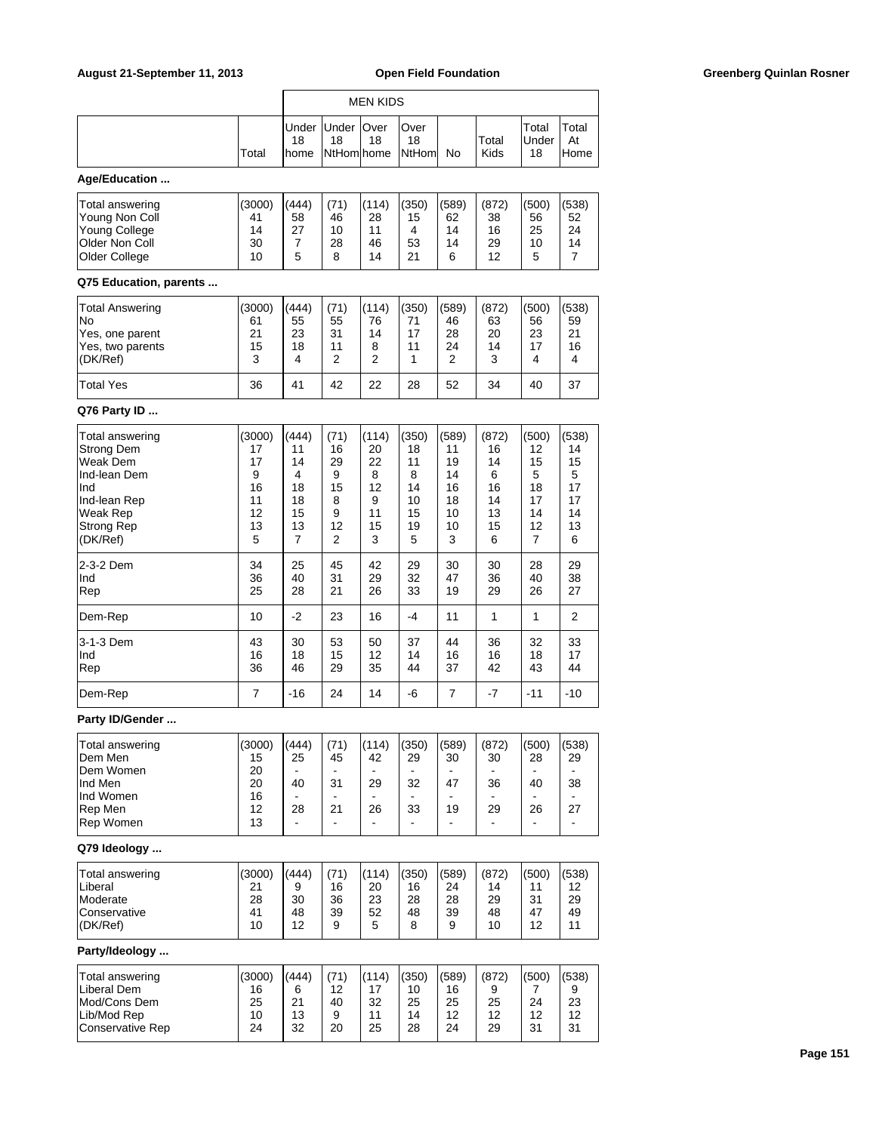| August 21-September 11, 2013                                                                                           |                                                      | <b>Open Field Foundation</b>                                     |                                                                              |                                                               |                                                                       |                                                                               |                                                                               | <b>Greenberg Quinlan Rosner</b>                                               |                                                             |  |
|------------------------------------------------------------------------------------------------------------------------|------------------------------------------------------|------------------------------------------------------------------|------------------------------------------------------------------------------|---------------------------------------------------------------|-----------------------------------------------------------------------|-------------------------------------------------------------------------------|-------------------------------------------------------------------------------|-------------------------------------------------------------------------------|-------------------------------------------------------------|--|
|                                                                                                                        |                                                      |                                                                  |                                                                              | <b>MEN KIDS</b>                                               |                                                                       |                                                                               |                                                                               |                                                                               |                                                             |  |
|                                                                                                                        | Total                                                | Under<br>18<br>home                                              | Under Over<br>18<br><b>NtHom home</b>                                        | 18                                                            | Over<br>18<br>NtHom                                                   | No                                                                            | Total<br>Kids                                                                 | Total<br>Under<br>18                                                          | Total<br>At<br>Home                                         |  |
| Age/Education                                                                                                          |                                                      |                                                                  |                                                                              |                                                               |                                                                       |                                                                               |                                                                               |                                                                               |                                                             |  |
| Total answering<br>Young Non Coll<br>Young College<br>Older Non Coll<br>Older College                                  | (3000)<br>41<br>14<br>30<br>10                       | (444)<br>58<br>27<br>7<br>5                                      | (71)<br>46<br>10<br>28<br>8                                                  | (114)<br>28<br>11<br>46<br>14                                 | (350)<br>15<br>4<br>53<br>21                                          | (589)<br>62<br>14<br>14<br>6                                                  | (872)<br>38<br>16<br>29<br>12                                                 | (500)<br>56<br>25<br>10<br>5                                                  | (538)<br>52<br>24<br>14<br>$\overline{7}$                   |  |
| Q75 Education, parents                                                                                                 |                                                      |                                                                  |                                                                              |                                                               |                                                                       |                                                                               |                                                                               |                                                                               |                                                             |  |
| <b>Total Answering</b><br>No<br>Yes, one parent<br>Yes, two parents<br>(DK/Ref)<br><b>Total Yes</b>                    | (3000)<br>61<br>21<br>15<br>3<br>36                  | (444)<br>55<br>23<br>18<br>4<br>41                               | (71)<br>55<br>31<br>11<br>2<br>42                                            | (114)<br>76<br>14<br>8<br>$\overline{2}$<br>22                | (350)<br>71<br>17<br>11<br>1<br>28                                    | (589)<br>46<br>28<br>24<br>2<br>52                                            | (872)<br>63<br>20<br>14<br>3<br>34                                            | (500)<br>56<br>23<br>17<br>4<br>40                                            | (538)<br>59<br>21<br>16<br>4<br>37                          |  |
| Q76 Party ID                                                                                                           |                                                      |                                                                  |                                                                              |                                                               |                                                                       |                                                                               |                                                                               |                                                                               |                                                             |  |
| Total answering<br>Strong Dem<br>Weak Dem<br>Ind-lean Dem<br>Ind<br>Ind-lean Rep<br>Weak Rep<br>Strong Rep<br>(DK/Ref) | (3000)<br>17<br>17<br>9<br>16<br>11<br>12<br>13<br>5 | (444)<br>11<br>14<br>4<br>18<br>18<br>15<br>13<br>$\overline{7}$ | (71)<br>16<br>29<br>9<br>15<br>8<br>9<br>12<br>2                             | (114)<br>20<br>22<br>8<br>12<br>9<br>11<br>15<br>3            | (350)<br>18<br>11<br>8<br>14<br>10<br>15<br>19<br>5                   | (589)<br>11<br>19<br>14<br>16<br>18<br>10<br>10<br>3                          | (872)<br>16<br>14<br>6<br>16<br>14<br>13<br>15<br>6                           | (500)<br>12<br>15<br>5<br>18<br>17<br>14<br>12<br>$\overline{7}$              | (538)<br>14<br>15<br>5<br>17<br>17<br>14<br>13<br>6         |  |
| 2-3-2 Dem<br>Ind<br>Rep                                                                                                | 34<br>36<br>25                                       | 25<br>40<br>28                                                   | 45<br>31<br>21                                                               | 42<br>29<br>26                                                | 29<br>32<br>33                                                        | 30<br>47<br>19                                                                | 30<br>36<br>29                                                                | 28<br>40<br>26                                                                | 29<br>38<br>27                                              |  |
| Dem-Rep                                                                                                                | 10                                                   | $-2$                                                             | 23                                                                           | 16                                                            | $-4$                                                                  | 11                                                                            | 1                                                                             | 1                                                                             | $\overline{\mathbf{c}}$                                     |  |
| 3-1-3 Dem<br>Ind<br>Rep                                                                                                | 43<br>16<br>36                                       | 30<br>18<br>46                                                   | 53<br>15<br>29                                                               | 50<br>$12 \overline{ }$<br>35                                 | 37<br>14<br>44                                                        | 44<br>16<br>37                                                                | 36<br>16<br>42                                                                | 32<br>18<br>43                                                                | 33<br>17<br>44                                              |  |
| Dem-Rep                                                                                                                | $\overline{7}$                                       | $-16$                                                            | 24                                                                           | 14                                                            | $-6$                                                                  | 7                                                                             | $-7$                                                                          | $-11$                                                                         | $-10$                                                       |  |
| Party ID/Gender                                                                                                        |                                                      |                                                                  |                                                                              |                                                               |                                                                       |                                                                               |                                                                               |                                                                               |                                                             |  |
| Total answering<br>Dem Men<br>Dem Women<br>Ind Men<br>Ind Women<br>Rep Men<br>Rep Women                                | (3000)<br>15<br>20<br>20<br>16<br>12<br>13           | (444)<br>25<br>$\blacksquare$<br>40<br>$\blacksquare$<br>28      | (71)<br>45<br>$\blacksquare$<br>31<br>$\blacksquare$<br>21<br>$\blacksquare$ | (114)<br>42<br>$\blacksquare$<br>29<br>$\sim$<br>26<br>$\sim$ | (350)<br>29<br>$\blacksquare$<br>32<br>33<br>$\overline{\phantom{a}}$ | (589)<br>30<br>$\blacksquare$<br>47<br>$\overline{a}$<br>19<br>$\blacksquare$ | (872)<br>30<br>$\blacksquare$<br>36<br>$\blacksquare$<br>29<br>$\blacksquare$ | (500)<br>28<br>$\blacksquare$<br>40<br>$\blacksquare$<br>26<br>$\blacksquare$ | (538)<br>29<br>38<br>$\blacksquare$<br>27<br>$\blacksquare$ |  |
| Q79 Ideology                                                                                                           |                                                      |                                                                  |                                                                              |                                                               |                                                                       |                                                                               |                                                                               |                                                                               |                                                             |  |
| <b>Total answering</b><br>Liberal<br>Moderate<br>Conservative<br>(DK/Ref)                                              | (3000)<br>21<br>28<br>41<br>10                       | (444)<br>9<br>30<br>48<br>12                                     | (71)<br>16<br>36<br>39<br>9                                                  | (114)<br>20<br>23<br>52<br>5                                  | (350)<br>16<br>28<br>48<br>8                                          | (589)<br>24<br>28<br>39<br>9                                                  | (872)<br>14<br>29<br>48<br>10                                                 | (500)<br>11<br>31<br>47<br>12                                                 | (538)<br>12<br>29<br>49<br>11                               |  |
| Party/Ideology                                                                                                         |                                                      |                                                                  |                                                                              |                                                               |                                                                       |                                                                               |                                                                               |                                                                               |                                                             |  |
| <b>Total answering</b><br>Liberal Dem<br>Mod/Cons Dem<br>Lib/Mod Rep<br>Conservative Rep                               | (3000)<br>16<br>25<br>10<br>24                       | (444)<br>6<br>21<br>13<br>32                                     | (71)<br>12<br>40<br>9<br>20                                                  | (114)<br>17<br>32<br>11<br>25                                 | (350)<br>10<br>25<br>14<br>28                                         | (589)<br>16<br>25<br>12<br>24                                                 | (872)<br>9<br>25<br>12<br>29                                                  | (500)<br>7<br>24<br>12<br>31                                                  | (538)<br>9<br>23<br>12<br>31                                |  |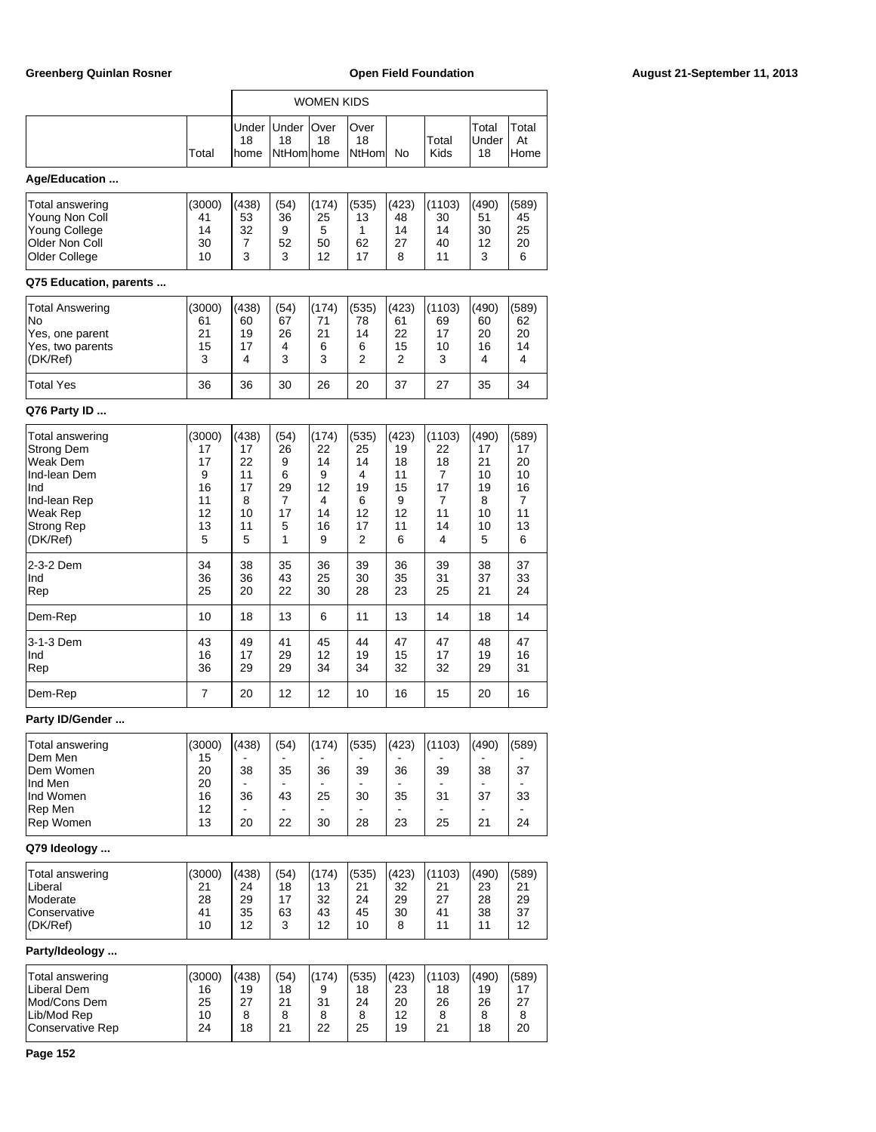|                                                                                                                               |                                                      |                                                     |                                                 | <b>WOMEN KIDS</b>                                  |                                                    |                                                     |                                                     |                                                     |                                                     |
|-------------------------------------------------------------------------------------------------------------------------------|------------------------------------------------------|-----------------------------------------------------|-------------------------------------------------|----------------------------------------------------|----------------------------------------------------|-----------------------------------------------------|-----------------------------------------------------|-----------------------------------------------------|-----------------------------------------------------|
|                                                                                                                               | Total                                                | Under<br>18<br>home                                 | Under<br>18<br>NtHom home                       | Over<br>18                                         | Over<br>18<br>NtHoml                               | No                                                  | Total<br>Kids                                       | Total<br>Under<br>18                                | Total<br>At<br>Home                                 |
| Age/Education                                                                                                                 |                                                      |                                                     |                                                 |                                                    |                                                    |                                                     |                                                     |                                                     |                                                     |
| Total answering<br>Young Non Coll<br><b>Young College</b><br>Older Non Coll<br>Older College<br>Q75 Education, parents        | (3000)<br>41<br>14<br>30<br>10                       | (438)<br>53<br>32<br>7<br>3                         | (54)<br>36<br>9<br>52<br>3                      | (174)<br>25<br>5<br>50<br>12                       | (535)<br>13<br>1<br>62<br>17                       | (423)<br>48<br>14<br>27<br>8                        | (1103)<br>30<br>14<br>40<br>11                      | (490)<br>51<br>30<br>12<br>3                        | (589)<br>45<br>25<br>20<br>6                        |
| Total Answering                                                                                                               | (3000)                                               | (438)                                               | (54)                                            | (174)                                              | (535)                                              | (423)                                               | (1103)                                              | (490)                                               | (589)                                               |
| No<br>Yes, one parent<br>Yes, two parents<br>(DK/Ref)                                                                         | 61<br>21<br>15<br>3                                  | 60<br>19<br>17<br>4                                 | 67<br>26<br>4<br>3                              | 71<br>21<br>6<br>3                                 | 78<br>14<br>6<br>2                                 | 61<br>22<br>15<br>2                                 | 69<br>17<br>10<br>3                                 | 60<br>20<br>16<br>4                                 | 62<br>20<br>14<br>4                                 |
| <b>Total Yes</b>                                                                                                              | 36                                                   | 36                                                  | 30                                              | 26                                                 | 20                                                 | 37                                                  | 27                                                  | 35                                                  | 34                                                  |
| Q76 Party ID                                                                                                                  |                                                      |                                                     |                                                 |                                                    |                                                    |                                                     |                                                     |                                                     |                                                     |
| Total answering<br>Strong Dem<br>Weak Dem<br>Ind-lean Dem<br>Ind<br>Ind-lean Rep<br>Weak Rep<br><b>Strong Rep</b><br>(DK/Ref) | (3000)<br>17<br>17<br>9<br>16<br>11<br>12<br>13<br>5 | (438)<br>17<br>22<br>11<br>17<br>8<br>10<br>11<br>5 | (54)<br>26<br>9<br>6<br>29<br>7<br>17<br>5<br>1 | (174)<br>22<br>14<br>9<br>12<br>4<br>14<br>16<br>9 | (535)<br>25<br>14<br>4<br>19<br>6<br>12<br>17<br>2 | (423)<br>19<br>18<br>11<br>15<br>9<br>12<br>11<br>6 | (1103)<br>22<br>18<br>7<br>17<br>7<br>11<br>14<br>4 | (490)<br>17<br>21<br>10<br>19<br>8<br>10<br>10<br>5 | (589)<br>17<br>20<br>10<br>16<br>7<br>11<br>13<br>6 |
| 2-3-2 Dem<br>Ind<br>Rep                                                                                                       | 34<br>36<br>25                                       | 38<br>36<br>20                                      | 35<br>43<br>22                                  | 36<br>25<br>30                                     | 39<br>30<br>28                                     | 36<br>35<br>23                                      | 39<br>31<br>25                                      | 38<br>37<br>21                                      | 37<br>33<br>24                                      |
| Dem-Rep                                                                                                                       | 10                                                   | 18                                                  | 13                                              | 6                                                  | 11                                                 | 13                                                  | 14                                                  | 18                                                  | 14                                                  |
| 3-1-3 Dem<br>Ind<br>Rep                                                                                                       | 43<br>16<br>36                                       | 49<br>17<br>29                                      | 41<br>29<br>29                                  | 45<br>12<br>34                                     | 44<br>19<br>34                                     | 47<br>15<br>32                                      | 47<br>17<br>32                                      | 48<br>19<br>29                                      | 47<br>16<br>31                                      |
| Dem-Rep                                                                                                                       | 7                                                    | 20                                                  | 12                                              | 12                                                 | 10                                                 | 16                                                  | 15                                                  | 20                                                  | 16                                                  |
| Party ID/Gender                                                                                                               |                                                      |                                                     |                                                 |                                                    |                                                    |                                                     |                                                     |                                                     |                                                     |
| Total answering<br>Dem Men<br>Dem Women<br>Ind Men<br>Ind Women<br>Rep Men<br>Rep Women                                       | (3000)<br>15<br>20<br>20<br>16<br>12<br>13           | (438)<br>38<br>36<br>20                             | (54)<br>35<br>43<br>22                          | (174)<br>36<br>25<br>30                            | (535)<br>39<br>30<br>28                            | (423)<br>36<br>35<br>23                             | (1103)<br>39<br>31<br>25                            | (490)<br>38<br>37<br>21                             | (589)<br>37<br>33<br>24                             |
| Q79 Ideology                                                                                                                  |                                                      |                                                     |                                                 |                                                    |                                                    |                                                     |                                                     |                                                     |                                                     |
| Total answering<br>Liberal<br>Moderate<br>Conservative<br>(DK/Ref)                                                            | (3000)<br>21<br>28<br>41<br>10                       | (438)<br>24<br>29<br>35<br>12                       | (54)<br>18<br>17<br>63<br>3                     | (174)<br>13<br>32<br>43<br>12                      | (535)<br>21<br>24<br>45<br>10                      | (423)<br>32<br>29<br>30<br>8                        | (1103)<br>21<br>27<br>41<br>11                      | (490)<br>23<br>28<br>38<br>11                       | (589)<br>21<br>29<br>37<br>12                       |
| Party/Ideology                                                                                                                |                                                      |                                                     |                                                 |                                                    |                                                    |                                                     |                                                     |                                                     |                                                     |
| Total answering<br>Liberal Dem<br>Mod/Cons Dem<br>Lib/Mod Rep<br><b>Conservative Rep</b>                                      | (3000)<br>16<br>25<br>10<br>24                       | (438)<br>19<br>27<br>8<br>18                        | (54)<br>18<br>21<br>8<br>21                     | (174)<br>9<br>31<br>8<br>22                        | (535)<br>18<br>24<br>8<br>25                       | (423)<br>23<br>20<br>12<br>19                       | (1103)<br>18<br>26<br>8<br>21                       | (490)<br>19<br>26<br>8<br>18                        | (589)<br>17<br>27<br>8<br>20                        |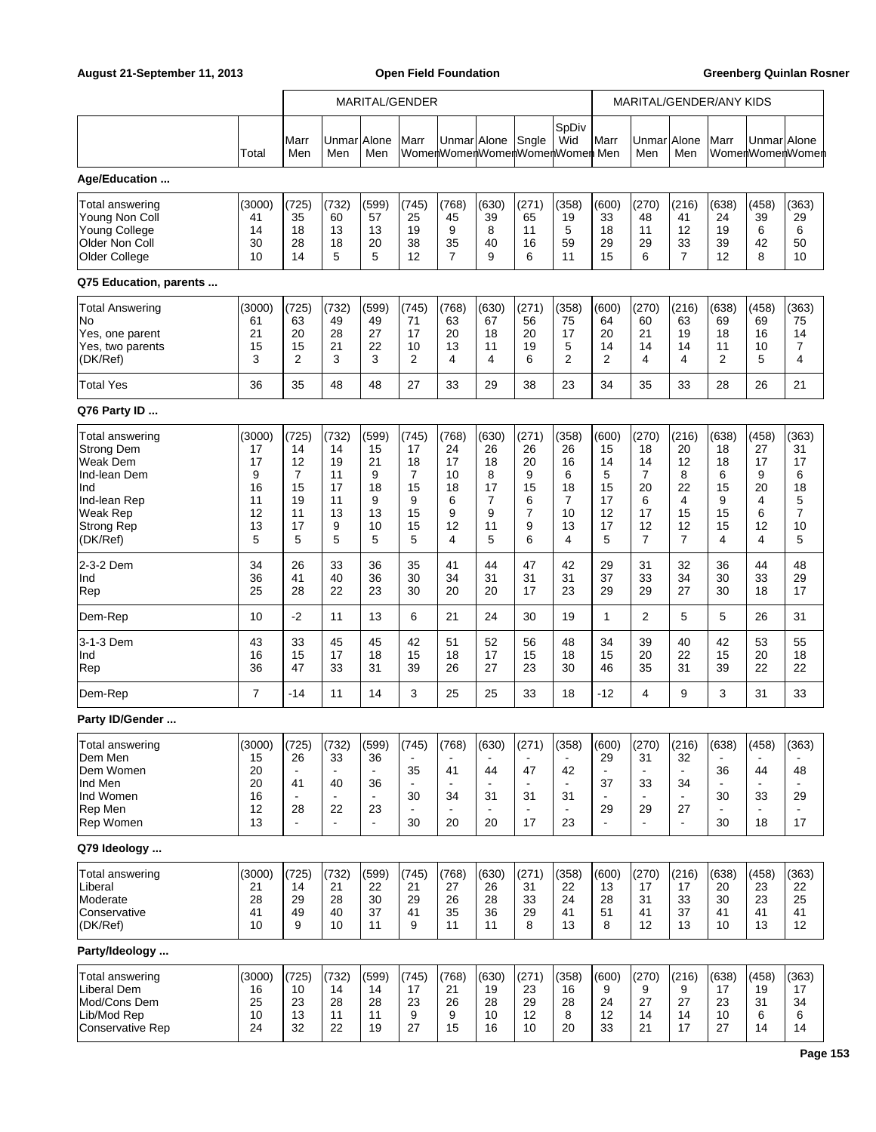|                                                                                                                                      |                                                      |                                                     |                                                     |                                                             | MARITAL/GENDER                                              |                                                    |                                                   |                                                               |                                                    |                                                     | MARITAL/GENDER/ANY KIDS                                         |                                                                               |                                                    |                                                   |                                                                |
|--------------------------------------------------------------------------------------------------------------------------------------|------------------------------------------------------|-----------------------------------------------------|-----------------------------------------------------|-------------------------------------------------------------|-------------------------------------------------------------|----------------------------------------------------|---------------------------------------------------|---------------------------------------------------------------|----------------------------------------------------|-----------------------------------------------------|-----------------------------------------------------------------|-------------------------------------------------------------------------------|----------------------------------------------------|---------------------------------------------------|----------------------------------------------------------------|
|                                                                                                                                      | Total                                                | Marr<br>Men                                         | Unmar<br>Men                                        | Alone<br>Men                                                | Marr                                                        |                                                    | Unmar Alone                                       | Sngle                                                         | SpDiv<br>Wid<br>WomenWomenWomenWomenWomen Men      | Marr                                                | Unmar Alone<br>Men                                              | Men                                                                           | Marr                                               | Unmar Alone                                       | WomenWomenWomen                                                |
| Age/Education                                                                                                                        |                                                      |                                                     |                                                     |                                                             |                                                             |                                                    |                                                   |                                                               |                                                    |                                                     |                                                                 |                                                                               |                                                    |                                                   |                                                                |
| Total answering<br>Young Non Coll<br><b>Young College</b><br>Older Non Coll<br>Older College<br>Q75 Education, parents               | (3000)<br>41<br>14<br>30<br>10                       | (725)<br>35<br>18<br>28<br>14                       | (732)<br>60<br>13<br>18<br>5                        | (599)<br>57<br>13<br>20<br>5                                | (745)<br>25<br>19<br>38<br>12                               | (768)<br>45<br>9<br>35<br>$\overline{7}$           | (630)<br>39<br>8<br>40<br>9                       | (271)<br>65<br>11<br>16<br>6                                  | (358)<br>19<br>5<br>59<br>11                       | (600)<br>33<br>18<br>29<br>15                       | (270)<br>48<br>11<br>29<br>6                                    | (216)<br>41<br>12<br>33<br>$\overline{7}$                                     | (638)<br>24<br>19<br>39<br>12                      | (458)<br>39<br>6<br>42<br>8                       | (363)<br>29<br>6<br>50<br>10                                   |
|                                                                                                                                      |                                                      |                                                     |                                                     |                                                             |                                                             |                                                    |                                                   |                                                               |                                                    |                                                     |                                                                 |                                                                               |                                                    |                                                   |                                                                |
| <b>Total Answering</b><br>No<br>Yes, one parent<br>Yes, two parents<br>(DK/Ref)                                                      | (3000)<br>61<br>21<br>15<br>3                        | (725)<br>63<br>20<br>15<br>$\overline{2}$           | (732)<br>49<br>28<br>21<br>3                        | (599)<br>49<br>27<br>22<br>3                                | (745)<br>71<br>17<br>10<br>2                                | (768)<br>63<br>20<br>13<br>4                       | (630)<br>67<br>18<br>11<br>4                      | (271)<br>56<br>20<br>19<br>6                                  | (358)<br>75<br>17<br>5<br>2                        | (600)<br>64<br>20<br>14<br>2                        | (270)<br>60<br>21<br>14<br>4                                    | (216)<br>63<br>19<br>14<br>4                                                  | (638)<br>69<br>18<br>11<br>$\overline{2}$          | (458)<br>69<br>16<br>10<br>5                      | (363)<br>75<br>14<br>7<br>4                                    |
| <b>Total Yes</b>                                                                                                                     | 36                                                   | 35                                                  | 48                                                  | 48                                                          | 27                                                          | 33                                                 | 29                                                | 38                                                            | 23                                                 | 34                                                  | 35                                                              | 33                                                                            | 28                                                 | 26                                                | 21                                                             |
| Q76 Party ID                                                                                                                         |                                                      |                                                     |                                                     |                                                             |                                                             |                                                    |                                                   |                                                               |                                                    |                                                     |                                                                 |                                                                               |                                                    |                                                   |                                                                |
| Total answering<br><b>Strong Dem</b><br>Weak Dem<br>Ind-lean Dem<br>Ind<br>Ind-lean Rep<br>Weak Rep<br><b>Strong Rep</b><br>(DK/Ref) | (3000)<br>17<br>17<br>9<br>16<br>11<br>12<br>13<br>5 | (725)<br>14<br>12<br>7<br>15<br>19<br>11<br>17<br>5 | (732)<br>14<br>19<br>11<br>17<br>11<br>13<br>9<br>5 | (599)<br>15<br>21<br>9<br>18<br>9<br>13<br>10<br>5          | (745)<br>17<br>18<br>7<br>15<br>9<br>15<br>15<br>5          | (768)<br>24<br>17<br>10<br>18<br>6<br>9<br>12<br>4 | (630)<br>26<br>18<br>8<br>17<br>7<br>9<br>11<br>5 | (271)<br>26<br>20<br>9<br>15<br>6<br>$\overline{7}$<br>9<br>6 | (358)<br>26<br>16<br>6<br>18<br>7<br>10<br>13<br>4 | (600)<br>15<br>14<br>5<br>15<br>17<br>12<br>17<br>5 | (270)<br>18<br>14<br>7<br>20<br>6<br>17<br>12<br>$\overline{7}$ | (216)<br>20<br>12<br>8<br>22<br>4<br>15<br>12<br>$\overline{7}$               | (638)<br>18<br>18<br>6<br>15<br>9<br>15<br>15<br>4 | (458)<br>27<br>17<br>9<br>20<br>4<br>6<br>12<br>4 | (363)<br>31<br>17<br>6<br>18<br>5<br>$\overline{7}$<br>10<br>5 |
| 2-3-2 Dem<br>Ind<br>Rep                                                                                                              | 34<br>36<br>25                                       | 26<br>41<br>28                                      | 33<br>40<br>22                                      | 36<br>36<br>23                                              | 35<br>30<br>30                                              | 41<br>34<br>20                                     | 44<br>31<br>20                                    | 47<br>31<br>17                                                | 42<br>31<br>23                                     | 29<br>37<br>29                                      | 31<br>33<br>29                                                  | 32<br>34<br>27                                                                | 36<br>30<br>30                                     | 44<br>33<br>18                                    | 48<br>29<br>17                                                 |
| Dem-Rep                                                                                                                              | 10                                                   | $-2$                                                | 11                                                  | 13                                                          | 6                                                           | 21                                                 | 24                                                | 30                                                            | 19                                                 | $\mathbf{1}$                                        | $\overline{2}$                                                  | 5                                                                             | 5                                                  | 26                                                | 31                                                             |
| 3-1-3 Dem<br>Ind<br>Rep                                                                                                              | 43<br>16<br>36                                       | 33<br>15<br>47                                      | 45<br>17<br>33                                      | 45<br>18<br>31                                              | 42<br>15<br>39                                              | 51<br>18<br>26                                     | 52<br>17<br>27                                    | 56<br>15<br>23                                                | 48<br>18<br>30                                     | 34<br>15<br>46                                      | 39<br>20<br>35                                                  | 40<br>22<br>31                                                                | 42<br>15<br>39                                     | 53<br>20<br>22                                    | 55<br>18<br>22                                                 |
| Dem-Rep                                                                                                                              | $\overline{7}$                                       | $-14$                                               | 11                                                  | 14                                                          | 3                                                           | 25                                                 | 25                                                | 33                                                            | 18                                                 | $-12$                                               | 4                                                               | 9                                                                             | 3                                                  | 31                                                | 33                                                             |
| Party ID/Gender                                                                                                                      |                                                      |                                                     |                                                     |                                                             |                                                             |                                                    |                                                   |                                                               |                                                    |                                                     |                                                                 |                                                                               |                                                    |                                                   |                                                                |
| Total answering<br>Dem Men<br>Dem Women<br>Ind Men<br>Ind Women<br>Rep Men<br>Rep Women                                              | (3000)<br>15<br>20<br>20<br>16<br>12<br>13           | (725)<br>26<br>41<br>28<br>÷                        | (732)<br>33<br>40<br>22                             | (599)<br>36<br>$\blacksquare$<br>36<br>23<br>$\blacksquare$ | (745)<br>35<br>$\blacksquare$<br>30<br>$\blacksquare$<br>30 | (768)<br>41<br>$\blacksquare$<br>34<br>20          | (630)<br>44<br>31<br>20                           | (271)<br>47<br>31<br>17                                       | (358)<br>42<br>$\blacksquare$<br>31<br>23          | (600)<br>29<br>37<br>29                             | (270)<br>31<br>33<br>29<br>$\overline{\phantom{a}}$             | (216)<br>32<br>$\blacksquare$<br>34<br>$\blacksquare$<br>27<br>$\blacksquare$ | (638)<br>36<br>30<br>30                            | (458)<br>44<br>33<br>18                           | (363)<br>48<br>29<br>17                                        |
| Q79 Ideology                                                                                                                         |                                                      |                                                     |                                                     |                                                             |                                                             |                                                    |                                                   |                                                               |                                                    |                                                     |                                                                 |                                                                               |                                                    |                                                   |                                                                |
| <b>Total answering</b><br>Liberal<br>Moderate<br>Conservative<br>(DK/Ref)                                                            | (3000)<br>21<br>28<br>41<br>10                       | (725)<br>14<br>29<br>49<br>9                        | (732)<br>21<br>28<br>40<br>10                       | (599)<br>22<br>30<br>37<br>11                               | (745)<br>21<br>29<br>41<br>9                                | (768)<br>27<br>26<br>35<br>11                      | (630)<br>26<br>28<br>36<br>11                     | (271)<br>31<br>33<br>29<br>8                                  | (358)<br>22<br>24<br>41<br>13                      | (600)<br>13<br>28<br>51<br>8                        | (270)<br>17<br>31<br>41<br>12                                   | (216)<br>17<br>33<br>37<br>13                                                 | (638)<br>20<br>30<br>41<br>10                      | (458)<br>23<br>23<br>41<br>13                     | (363)<br>22<br>25<br>41<br>12                                  |
| Party/Ideology                                                                                                                       |                                                      |                                                     |                                                     |                                                             |                                                             |                                                    |                                                   |                                                               |                                                    |                                                     |                                                                 |                                                                               |                                                    |                                                   |                                                                |
| <b>Total answering</b><br><b>Liberal Dem</b><br>Mod/Cons Dem<br>Lib/Mod Rep<br>Conservative Rep                                      | (3000)<br>16<br>25<br>10<br>24                       | (725)<br>10<br>23<br>13<br>32                       | (732)<br>14<br>28<br>11<br>22                       | (599)<br>14<br>28<br>11<br>19                               | (745)<br>17<br>23<br>9<br>27                                | (768)<br>21<br>26<br>9<br>15                       | (630)<br>19<br>28<br>10<br>16                     | (271)<br>23<br>29<br>12<br>10                                 | (358)<br>16<br>28<br>8<br>20                       | (600)<br>9<br>24<br>12<br>33                        | (270)<br>9<br>27<br>14<br>21                                    | (216)<br>9<br>27<br>14<br>17                                                  | (638)<br>17<br>23<br>10<br>27                      | (458)<br>19<br>31<br>6<br>14                      | (363)<br>17<br>34<br>6<br>14                                   |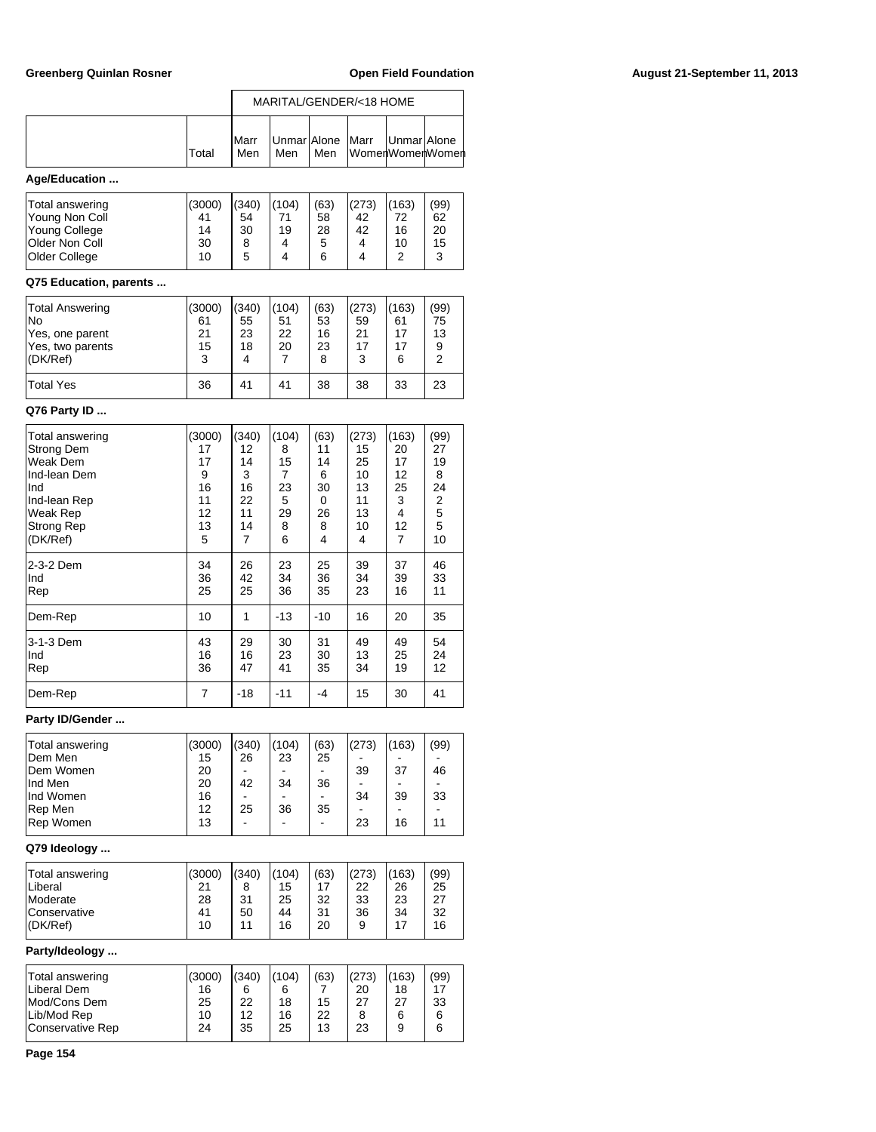## Greenberg Quinlan Rosner **Communist Communist Communist Communist Communist Communist Communist Communist Communist Communist Communist Communist Communist Communist Communist Communist Communist Communist Communist Commun**

|                                   |              | MARITAL/GENDER/<18 HOME |                      |                      |             |             |                  |  |  |
|-----------------------------------|--------------|-------------------------|----------------------|----------------------|-------------|-------------|------------------|--|--|
|                                   |              | Marr                    | UnmarlAlone          |                      | Marr        | UnmarlAlone |                  |  |  |
|                                   | Total        | Men                     | Men                  | Men                  |             |             | WomenWomenWomenl |  |  |
| Age/Education                     |              |                         |                      |                      |             |             |                  |  |  |
| Total answering<br>Young Non Coll | (3000)<br>41 | (340)<br>54             | (104)<br>71          | (63)<br>58           | (273)<br>42 | (163)<br>72 | (99)<br>62       |  |  |
| Young College                     | 14           | 30                      | 19                   | 28                   | 42          | 16          | 20               |  |  |
| Older Non Coll<br>Older College   | 30<br>10     | 8<br>5                  | 4<br>4               | 5<br>6               | 4<br>4      | 10<br>2     | 15<br>3          |  |  |
| Q75 Education, parents            |              |                         |                      |                      |             |             |                  |  |  |
| Total Answering                   | (3000)       | (340)                   | (104)                | (63)                 | (273)       | (163)       | (99)             |  |  |
| No<br>Yes, one parent             | 61<br>21     | 55<br>23                | 51<br>22             | 53<br>16             | 59<br>21    | 61<br>17    | 75<br>13         |  |  |
| Yes, two parents<br>(DK/Ref)      | 15<br>3      | 18<br>4                 | 20<br>7              | 23<br>8              | 17<br>3     | 17<br>6     | 9<br>2           |  |  |
| <b>Total Yes</b>                  | 36           | 41                      | 41                   | 38                   | 38          | 33          | 23               |  |  |
| Q76 Party ID                      |              |                         |                      |                      |             |             |                  |  |  |
| Total answering                   | (3000)       | (340)                   | (104)                | (63)                 | (273)       | (163)       | (99)             |  |  |
| Strong Dem                        | 17           | 12                      | 8                    | 11                   | 15          | 20          | 27               |  |  |
| Weak Dem<br>Ind-lean Dem          | 17<br>9      | 14<br>3                 | 15<br>7              | 14<br>6              | 25<br>10    | 17<br>12    | 19<br>8          |  |  |
| Ind                               | 16           | 16                      | 23                   | 30                   | 13          | 25          | 24               |  |  |
| Ind-lean Rep                      | 11           | 22                      | 5                    | 0                    | 11          | 3           | 2                |  |  |
| Weak Rep<br>Strong Rep            | 12<br>13     | 11<br>14                | 29<br>8              | 26<br>8              | 13<br>10    | 4<br>12     | 5<br>5           |  |  |
| (DK/Ref)                          | 5            | 7                       | 6                    | 4                    | 4           | 7           | 10               |  |  |
| 2-3-2 Dem                         | 34           | 26                      | 23                   | 25                   | 39          | 37          | 46               |  |  |
| Ind<br>Rep                        | 36<br>25     | 42<br>25                | 34<br>36             | 36<br>35             | 34<br>23    | 39<br>16    | 33<br>11         |  |  |
| Dem-Rep                           | 10           | 1                       | $-13$                | $-10$                | 16          | 20          | 35               |  |  |
| 3-1-3 Dem                         | 43           | 29                      | 30                   | 31                   | 49          | 49          | 54               |  |  |
| Ind<br>Rep                        | 16<br>36     | 16<br>47                | 23<br>41             | 30<br>35             | 13<br>34    | 25<br>19    | 24<br>12         |  |  |
| Dem-Rep                           | 7            | $-18$                   | $-11$                | -4                   | 15          | 30          | 41               |  |  |
| Party ID/Gender                   |              |                         |                      |                      |             |             |                  |  |  |
| Total answering                   | (3000)       | (340)                   | (104)                | (63)                 | (273)       | (163)       | (99)             |  |  |
| Dem Men<br>Dem Women              | 15<br>20     | 26<br>$\frac{1}{2}$     | 23<br>$\blacksquare$ | 25<br>$\blacksquare$ | 39          | 37          | 46               |  |  |
| Ind Men                           | 20           | 42                      | 34                   | 36                   |             |             |                  |  |  |
| Ind Women<br>Rep Men              | 16<br>12     | 25                      | 36                   | ÷.<br>35             | 34          | 39          | 33               |  |  |
| Rep Women                         | 13           | ä,                      |                      | $\frac{1}{2}$        | 23          | 16          | 11               |  |  |
| Q79 Ideology                      |              |                         |                      |                      |             |             |                  |  |  |
| Total answering<br>Liberal        | (3000)<br>21 | (340)<br>8              | (104)<br>15          | (63)<br>17           | (273)<br>22 | (163)<br>26 | (99)<br>25       |  |  |
| Moderate                          | 28           | 31                      | 25                   | 32                   | 33          | 23          | 27               |  |  |
| Conservative<br>(DK/Ref)          | 41<br>10     | 50<br>11                | 44<br>16             | 31<br>20             | 36<br>9     | 34<br>17    | 32<br>16         |  |  |
| Party/Ideology                    |              |                         |                      |                      |             |             |                  |  |  |
| Total answering                   | (3000)       | (340)                   | (104)                | (63)                 | (273)       | (163)       | (99)             |  |  |
| Liberal Dem                       | 16           | 6                       | 6                    | 7                    | 20          | 18          | 17               |  |  |
| Mod/Cons Dem<br>Lib/Mod Rep       | 25<br>10     | 22<br>12                | 18<br>16             | 15<br>22             | 27<br>8     | 27<br>6     | 33<br>6          |  |  |
| <b>Conservative Rep</b>           | 24           | 35                      | 25                   | 13                   | 23          | 9           | 6                |  |  |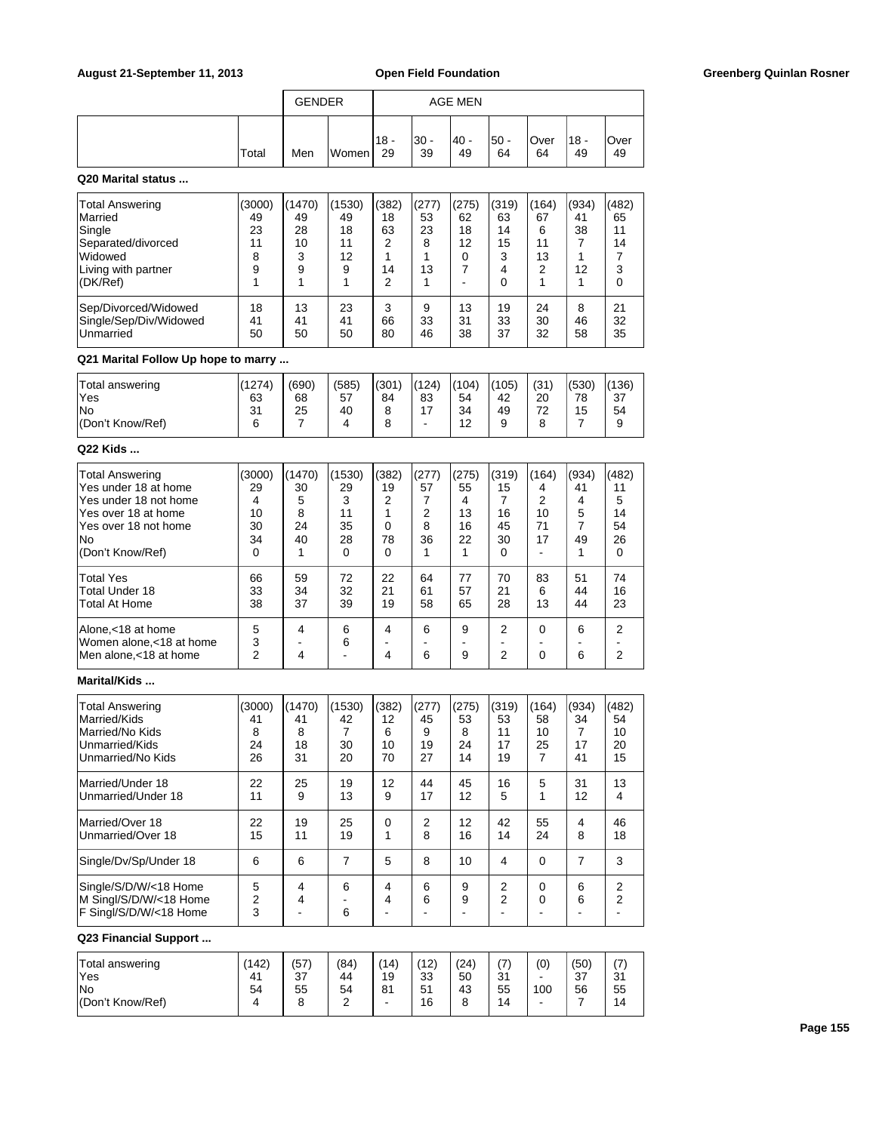|       | <b>GENDER</b> |       |               | <b>AGE MEN</b> |            |            |            |               |            |
|-------|---------------|-------|---------------|----------------|------------|------------|------------|---------------|------------|
| Total | Men           | Women | $118 -$<br>29 | '30 -<br>39    | 40 -<br>49 | 50 -<br>64 | Over<br>64 | 18<br>٠<br>49 | Over<br>49 |

## **Q20 Marital status ...**

| <b>Total Answering</b><br><b>Married</b><br>Single<br>Separated/divorced<br>Widowed<br>Living with partner<br>(DK/Ref) | (3000)<br>49<br>23<br>11<br>8<br>9 | (1470)<br>49<br>28<br>10<br>3<br>9 | (1530)<br>49<br>18<br>11<br>12<br>9 | (382)<br>18<br>63<br>っ<br>14<br>っ | (277)<br>53<br>23<br>8<br>13 | (275)<br>62<br>18<br>12<br>0 | (319)<br>63<br>14<br>15<br>3<br>4<br>0 | (164)<br>67<br>6<br>11<br>13<br>2 | (934)<br>41<br>38<br>12 | (482)<br>65<br>11<br>14<br>3<br>0 |
|------------------------------------------------------------------------------------------------------------------------|------------------------------------|------------------------------------|-------------------------------------|-----------------------------------|------------------------------|------------------------------|----------------------------------------|-----------------------------------|-------------------------|-----------------------------------|
| Sep/Divorced/Widowed                                                                                                   | 18                                 | 13                                 | 23                                  | 3                                 | 9                            | 13                           | 19                                     | 24                                | 8                       | 21                                |
| Single/Sep/Div/Widowed                                                                                                 | 41                                 | 41                                 | 41                                  | 66                                | 33                           | 31                           | 33                                     | 30                                | 46                      | 32                                |
| <b>Unmarried</b>                                                                                                       | 50                                 | 50                                 | 50                                  | 80                                | 46                           | 38                           | 37                                     | 32                                | 58                      | 35                                |

# **Q21 Marital Follow Up hope to marry ...**

| Total answering<br>'Yes | (1274)<br>63 | (690)<br>68 | (585)<br>57 | I(301)<br>84 | (124)<br>83 | (104)<br>54      | (105)<br>42 | (31)<br>20 | (530)<br>78 | (136)<br>37 |
|-------------------------|--------------|-------------|-------------|--------------|-------------|------------------|-------------|------------|-------------|-------------|
| lNo<br>(Don't Know/Ref) | 31<br>6      | 25          | 40          |              | 47<br>-     | 34<br>$\sqrt{2}$ | 49<br>a     | 70<br>∠    | 15          | 54          |
|                         |              |             |             |              |             | L                |             |            |             |             |

## **Q22 Kids ...**

| <b>Total Answering</b><br>Yes under 18 at home<br>Yes under 18 not home<br>Yes over 18 at home<br>Yes over 18 not home<br>No.<br>(Don't Know/Ref) | (3000)<br>29<br>4<br>10<br>30<br>34<br>$\Omega$ | (1470)<br>30<br>5<br>8<br>24<br>40 | (1530)<br>29<br>3<br>11<br>35<br>28<br>$\Omega$ | (382)<br>19<br>2<br>78<br>$\Omega$ | (277)<br>57<br>2<br>8<br>36 | (275)<br>55<br>4<br>13<br>16<br>22 | (319)<br>15<br>16<br>45<br>30<br>$\Omega$ | (164)<br>4<br>2<br>10<br>71<br>17 | (934)<br>41<br>4<br>5<br>49 | (482)<br>11<br>5<br>14<br>54<br>26<br>0 |
|---------------------------------------------------------------------------------------------------------------------------------------------------|-------------------------------------------------|------------------------------------|-------------------------------------------------|------------------------------------|-----------------------------|------------------------------------|-------------------------------------------|-----------------------------------|-----------------------------|-----------------------------------------|
| <b>Total Yes</b><br>Total Under 18<br><b>Total At Home</b>                                                                                        | 66<br>33<br>38                                  | 59<br>34<br>37                     | 72<br>32<br>39                                  | 22<br>21<br>19                     | 64<br>61<br>58              | 77<br>57<br>65                     | 70<br>21<br>28                            | 83<br>6<br>13                     | 51<br>44<br>44              | 74<br>16<br>23                          |
| Alone,<18 at home<br>Women alone, < 18 at home<br>Men alone, < 18 at home                                                                         | 5<br>3<br>2                                     | 4<br>4                             | 6<br>6                                          | 4<br>4                             | 6<br>6                      | 9<br>9                             | 2<br>2                                    | $\Omega$<br>ŋ                     | 6<br>6                      | 2<br>2                                  |

# **Marital/Kids ...**

| <b>Total Answering</b><br>Married/Kids<br>Married/No Kids<br>Unmarried/Kids<br>Unmarried/No Kids | (3000)<br>41<br>8<br>24<br>26 | (1470)<br>41<br>8<br>18<br>31 | (1530)<br>42<br>30<br>20 | (382)<br>12<br>6<br>10<br>70 | (277)<br>45<br>9<br>19<br>27 | (275)<br>53<br>8<br>24<br>14 | (319)<br>53<br>11<br>17<br>19 | (164)<br>58<br>10<br>25<br>7 | (934)<br>34<br>17<br>41 | (482)<br>54<br>10<br>20<br>15 |
|--------------------------------------------------------------------------------------------------|-------------------------------|-------------------------------|--------------------------|------------------------------|------------------------------|------------------------------|-------------------------------|------------------------------|-------------------------|-------------------------------|
| Married/Under 18<br>Unmarried/Under 18                                                           | 22<br>11                      | 25<br>9                       | 19<br>13                 | 12<br>9                      | 44<br>17                     | 45<br>12                     | 16<br>5                       | 5<br>1                       | 31<br>12                | 13<br>4                       |
| Married/Over 18<br>Unmarried/Over 18                                                             | 22<br>15                      | 19<br>11                      | 25<br>19                 | 0                            | 2<br>8                       | 12<br>16                     | 42<br>14                      | 55<br>24                     | 4<br>8                  | 46<br>18                      |
| Single/Dv/Sp/Under 18                                                                            | 6                             | 6                             | 7                        | 5                            | 8                            | 10                           | 4                             | 0                            | 7                       | 3                             |
| Single/S/D/W/<18 Home<br>M Singl/S/D/W/<18 Home<br>F Singl/S/D/W/<18 Home                        | 5<br>$\overline{2}$<br>3      | 4<br>4                        | 6<br>6                   | 4<br>4                       | 6<br>6                       | 9<br>9                       | 2<br>2                        | 0<br>0                       | 6<br>6                  | 2<br>2                        |

# **Q23 Financial Support ...**

| Total answering  | (142) | (57 | (84)   | (14) | (12) | (24) | $\rightarrow$<br>$\overline{ }$ | (0)                      | (50) | $\rightarrow$<br>$\mathbf{L}$ |
|------------------|-------|-----|--------|------|------|------|---------------------------------|--------------------------|------|-------------------------------|
| 'Yes             | 41    | 37  | 44     | 19   | 33   | 50   | 21<br>، ب                       | $\overline{\phantom{a}}$ | -37  | 24<br>ا ت                     |
| <b>No</b>        | 54    | 55  | 54     | 81   | 51   | 43   | 55                              | 100                      | 56   | 55                            |
| (Don't Know/Ref) |       |     | $\sim$ | -    | 16   |      | 14                              | -                        |      | 14                            |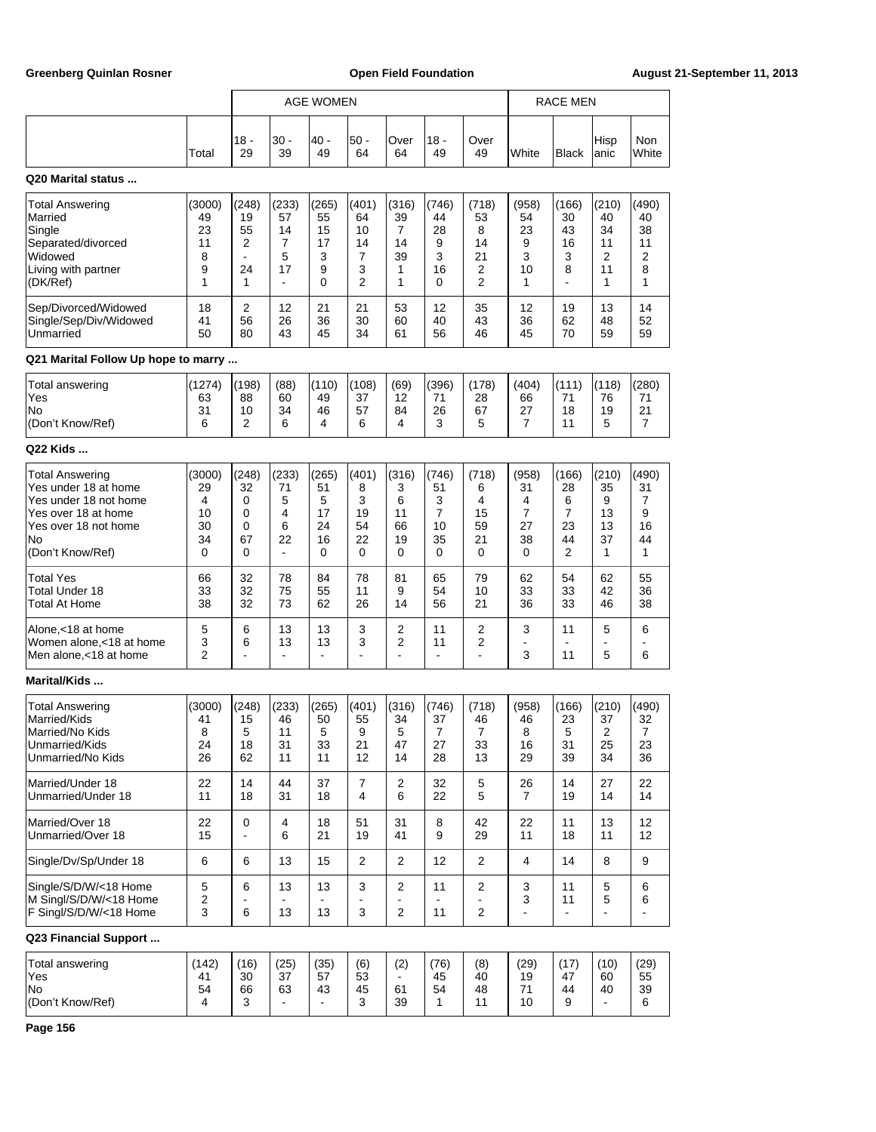|                                                                                                                                                  |                                          |                                                     |                                                     | AGE WOMEN                               |                                        |                                        |                                             |                                                     |                                        | <b>RACE MEN</b>                        |                                                    |                                             |
|--------------------------------------------------------------------------------------------------------------------------------------------------|------------------------------------------|-----------------------------------------------------|-----------------------------------------------------|-----------------------------------------|----------------------------------------|----------------------------------------|---------------------------------------------|-----------------------------------------------------|----------------------------------------|----------------------------------------|----------------------------------------------------|---------------------------------------------|
|                                                                                                                                                  | Total                                    | 18 -<br>29                                          | 30 -<br>39                                          | 40 -<br>49                              | $50 -$<br>64                           | Over<br>64                             | 18 -<br>49                                  | Over<br>49                                          | White                                  | Black                                  | Hisp<br>anic                                       | Non<br>White                                |
| Q20 Marital status                                                                                                                               |                                          |                                                     |                                                     |                                         |                                        |                                        |                                             |                                                     |                                        |                                        |                                                    |                                             |
| <b>Total Answering</b><br>Married<br>Single<br>Separated/divorced<br>Widowed<br>Living with partner<br>(DK/Ref)                                  | (3000)<br>49<br>23<br>11<br>8<br>9<br>1  | (248)<br>19<br>55<br>2<br>$\blacksquare$<br>24<br>1 | (233)<br>57<br>14<br>7<br>5<br>17<br>$\blacksquare$ | (265)<br>55<br>15<br>17<br>3<br>9<br>0  | (401)<br>64<br>10<br>14<br>7<br>3<br>2 | (316)<br>39<br>7<br>14<br>39<br>1<br>1 | (746)<br>44<br>28<br>9<br>3<br>16<br>0      | (718)<br>53<br>8<br>14<br>21<br>2<br>$\overline{2}$ | (958)<br>54<br>23<br>9<br>3<br>10<br>1 | (166)<br>30<br>43<br>16<br>3<br>8      | (210)<br>40<br>34<br>11<br>2<br>11<br>1            | (490)<br>40<br>38<br>11<br>2<br>8<br>1      |
| Sep/Divorced/Widowed<br>Single/Sep/Div/Widowed<br>Unmarried                                                                                      | 18<br>41<br>50                           | 2<br>56<br>80                                       | 12<br>26<br>43                                      | 21<br>36<br>45                          | 21<br>30<br>34                         | 53<br>60<br>61                         | 12<br>40<br>56                              | 35<br>43<br>46                                      | 12<br>36<br>45                         | 19<br>62<br>70                         | 13<br>48<br>59                                     | 14<br>52<br>59                              |
| Q21 Marital Follow Up hope to marry                                                                                                              |                                          |                                                     |                                                     |                                         |                                        |                                        |                                             |                                                     |                                        |                                        |                                                    |                                             |
| Total answering<br>Yes<br>No<br>(Don't Know/Ref)                                                                                                 | (1274)<br>63<br>31<br>6                  | (198)<br>88<br>10<br>2                              | (88)<br>60<br>34<br>6                               | (110)<br>49<br>46<br>4                  | (108)<br>37<br>57<br>6                 | (69)<br>12<br>84<br>4                  | (396)<br>71<br>26<br>3                      | (178)<br>28<br>67<br>5                              | (404)<br>66<br>27<br>7                 | (111)<br>71<br>18<br>11                | (118)<br>76<br>19<br>5                             | (280)<br>71<br>21<br>7                      |
| Q22 Kids                                                                                                                                         |                                          |                                                     |                                                     |                                         |                                        |                                        |                                             |                                                     |                                        |                                        |                                                    |                                             |
| <b>Total Answering</b><br>Yes under 18 at home<br>Yes under 18 not home<br>Yes over 18 at home<br>Yes over 18 not home<br>No<br>(Don't Know/Ref) | (3000)<br>29<br>4<br>10<br>30<br>34<br>0 | (248)<br>32<br>0<br>0<br>0<br>67<br>0               | (233)<br>71<br>5<br>4<br>6<br>22<br>$\blacksquare$  | (265)<br>51<br>5<br>17<br>24<br>16<br>0 | (401)<br>8<br>3<br>19<br>54<br>22<br>0 | (316)<br>3<br>6<br>11<br>66<br>19<br>0 | (746)<br>51<br>3<br>7<br>10<br>35<br>0      | (718)<br>6<br>4<br>15<br>59<br>21<br>0              | (958)<br>31<br>4<br>7<br>27<br>38<br>0 | (166)<br>28<br>6<br>7<br>23<br>44<br>2 | (210)<br>35<br>9<br>13<br>13<br>37<br>1            | (490)<br>31<br>7<br>9<br>16<br>44<br>1      |
| <b>Total Yes</b><br><b>Total Under 18</b><br>Total At Home                                                                                       | 66<br>33<br>38                           | 32<br>32<br>32                                      | 78<br>75<br>73                                      | 84<br>55<br>62                          | 78<br>11<br>26                         | 81<br>9<br>14                          | 65<br>54<br>56                              | 79<br>10<br>21                                      | 62<br>33<br>36                         | 54<br>33<br>33                         | 62<br>42<br>46                                     | 55<br>36<br>38                              |
| Alone,<18 at home<br>Women alone, < 18 at home<br>Men alone, <18 at home                                                                         | 5<br>3<br>2                              | 6<br>6                                              | 13<br>13<br>$\blacksquare$                          | 13<br>13<br>$\overline{a}$              | 3<br>3                                 | 2<br>2<br>٠                            | 11<br>11<br>$\blacksquare$                  | 2<br>2<br>÷,                                        | 3<br>3                                 | 11<br>÷<br>11                          | 5<br>5                                             | 6<br>6                                      |
| Marital/Kids                                                                                                                                     |                                          |                                                     |                                                     |                                         |                                        |                                        |                                             |                                                     |                                        |                                        |                                                    |                                             |
| <b>Total Answering</b><br>Married/Kids<br>Married/No Kids<br>Unmarried/Kids<br>Unmarried/No Kids                                                 | (3000)<br>41<br>8<br>24<br>26            | (248)<br>15<br>5<br>18<br>62                        | (233)<br>46<br>11<br>31<br>11                       | (265)<br>50<br>5<br>33<br>11            | (401)<br>55<br>9<br>21<br>12           | (316)<br>34<br>5<br>47<br>14           | (746)<br>37<br>$\boldsymbol{7}$<br>27<br>28 | (718)<br>46<br>$\overline{7}$<br>33<br>13           | (958)<br>46<br>8<br>16<br>29           | (166)<br>23<br>5<br>31<br>39           | (210)<br>37<br>$\overline{\mathbf{c}}$<br>25<br>34 | (490)<br>32<br>$\boldsymbol{7}$<br>23<br>36 |
| Married/Under 18<br>Unmarried/Under 18                                                                                                           | 22<br>11                                 | 14<br>18                                            | 44<br>31                                            | 37<br>18                                | $\boldsymbol{7}$<br>4                  | 2<br>6                                 | 32<br>22                                    | 5<br>5                                              | 26<br>$\overline{7}$                   | 14<br>19                               | 27<br>14                                           | 22<br>14                                    |
| Married/Over 18<br>Unmarried/Over 18                                                                                                             | 22<br>15                                 | 0                                                   | 4<br>6                                              | 18<br>21                                | 51<br>19                               | 31<br>41                               | 8<br>9                                      | 42<br>29                                            | 22<br>11                               | 11<br>18                               | 13<br>11                                           | 12<br>12                                    |
| Single/Dv/Sp/Under 18                                                                                                                            | 6                                        | 6                                                   | 13                                                  | 15                                      | 2                                      | 2                                      | 12                                          | $\overline{2}$                                      | $\overline{4}$                         | 14                                     | 8                                                  | 9                                           |
| Single/S/D/W/<18 Home<br>M Singl/S/D/W/<18 Home<br>F Singl/S/D/W/<18 Home                                                                        | 5<br>2<br>3                              | 6<br>6                                              | 13<br>13                                            | 13<br>13                                | 3<br>3                                 | 2<br>$\overline{2}$                    | 11<br>11                                    | 2<br>2                                              | 3<br>3<br>÷,                           | 11<br>11<br>$\blacksquare$             | 5<br>5                                             | 6<br>6                                      |
| Q23 Financial Support                                                                                                                            |                                          |                                                     |                                                     |                                         |                                        |                                        |                                             |                                                     |                                        |                                        |                                                    |                                             |
| <b>Total answering</b><br>Yes<br>No<br>(Don't Know/Ref)                                                                                          | (142)<br>41<br>54<br>4                   | (16)<br>30<br>66<br>3                               | (25)<br>37<br>63<br>$\blacksquare$                  | (35)<br>57<br>43<br>$\mathbf{r}$        | (6)<br>53<br>45<br>3                   | (2)<br>61<br>39                        | (76)<br>45<br>54<br>1                       | (8)<br>40<br>48<br>11                               | (29)<br>19<br>71<br>10                 | (17)<br>47<br>44<br>9                  | (10)<br>60<br>40                                   | (29)<br>55<br>39<br>6                       |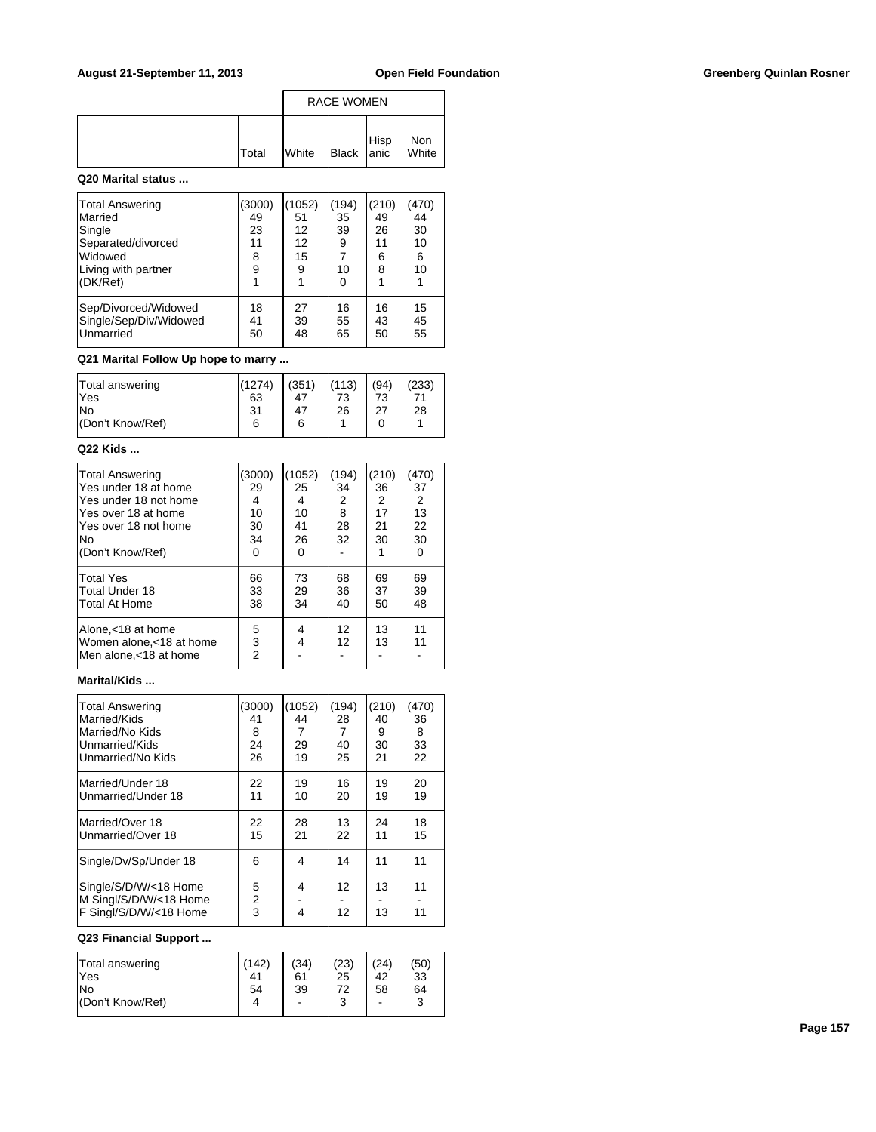|              | <b>RACE WOMEN</b> |                          |  |              |  |  |
|--------------|-------------------|--------------------------|--|--------------|--|--|
| <b>Total</b> | <b>White</b>      | Black Hisp<br>Black anic |  | Non<br>White |  |  |

### **Q20 Marital status ...**

| Total Answering<br>Married<br>Single<br>Separated/divorced<br>Widowed<br>Living with partner<br>(DK/Ref) | (3000)<br>49<br>23<br>11<br>8<br>9 | 1052<br>51<br>12<br>12<br>15<br>9 | (194)<br>35<br>39<br>9<br>7<br>10<br>0 | (210)<br>49<br>26<br>11<br>6<br>8 | (470)<br>44<br>30<br>10<br>6<br>10 |
|----------------------------------------------------------------------------------------------------------|------------------------------------|-----------------------------------|----------------------------------------|-----------------------------------|------------------------------------|
| Sep/Divorced/Widowed                                                                                     | 18                                 | 27                                | 16                                     | 16                                | 15                                 |
| Single/Sep/Div/Widowed                                                                                   | 41                                 | 39                                | 55                                     | 43                                | 45                                 |
| Unmarried                                                                                                | 50                                 | 48                                | 65                                     | 50                                | 55                                 |

## **Q21 Marital Follow Up hope to marry ...**

| Total answering<br>'Yes | (1274)<br>63 | (351)<br>47 | (113)<br>73 | (94)<br>73 | (233) |
|-------------------------|--------------|-------------|-------------|------------|-------|
| lNo                     | 31           | 47          | 26          | つフ         | 28    |
| (Don't Know/Ref)        | 6            | 6           |             |            |       |

### **Q22 Kids ...**

| <b>Total Answering</b><br>Yes under 18 at home<br>Yes under 18 not home<br>lYes over 18 at home<br>Yes over 18 not home | (3000)<br>29<br>4<br>10<br>30 | (1052)<br>25<br>4<br>10<br>41 | (194)<br>34<br>2<br>8<br>28 | (210)<br>36<br>2<br>17<br>21 | (470)<br>37<br>2<br>13<br>22 |
|-------------------------------------------------------------------------------------------------------------------------|-------------------------------|-------------------------------|-----------------------------|------------------------------|------------------------------|
| No.                                                                                                                     | 34                            | 26                            | 32                          | 30                           | 30                           |
| (Don't Know/Ref)                                                                                                        | 0                             | O                             |                             |                              | O                            |
| Total Yes<br>lTotal Under 18<br><b>Total At Home</b>                                                                    | 66<br>33<br>38                | 73<br>29<br>34                | 68<br>36<br>40              | 69<br>37<br>50               | 69<br>39<br>48               |
| Alone, < 18 at home<br>Women alone, < 18 at home<br>Men alone, < 18 at home                                             | 5<br>3<br>$\overline{2}$      | 4<br>4                        | 12<br>12                    | 13<br>13                     | 11<br>11                     |

# **Marital/Kids ...**

| <b>Total Answering</b>                                                    | (3000)             | (1052) | (194)    | (210)    | (470)    |
|---------------------------------------------------------------------------|--------------------|--------|----------|----------|----------|
| Married/Kids                                                              | 41                 | 44     | 28       | 40       | 36       |
| Married/No Kids                                                           | 8                  | 7      | 7        | 9        | 8        |
| Unmarried/Kids                                                            | 24                 | 29     | 40       | 30       | 33       |
| Unmarried/No Kids                                                         | 26                 | 19     | 25       | 21       | 22       |
| Married/Under 18                                                          | 22                 | 19     | 16       | 19       | 20       |
| Unmarried/Under 18                                                        | 11                 | 10     | 20       | 19       | 19       |
| Married/Over 18                                                           | 22                 | 28     | 13       | 24       | 18       |
| Unmarried/Over 18                                                         | 15                 | 21     | 22       | 11       | 15       |
| Single/Dv/Sp/Under 18                                                     | 6                  | 4      | 14       | 11       | 11       |
| Single/S/D/W/<18 Home<br>M Singl/S/D/W/<18 Home<br>F Singl/S/D/W/<18 Home | 5<br>$\frac{2}{3}$ | 4<br>4 | 12<br>12 | 13<br>13 | 11<br>11 |

# **Q23 Financial Support ...**

| Total answering<br>lYes | (142)<br>41 | (34)<br>61 | (23)<br>25 | (24)<br>42 | (50)<br>33 |
|-------------------------|-------------|------------|------------|------------|------------|
| lNo                     | 54          | 39         | 72         | 58         | 64         |
| (Don't Know/Ref)        |             | -          | າ<br>J     | -          | ◠<br>J     |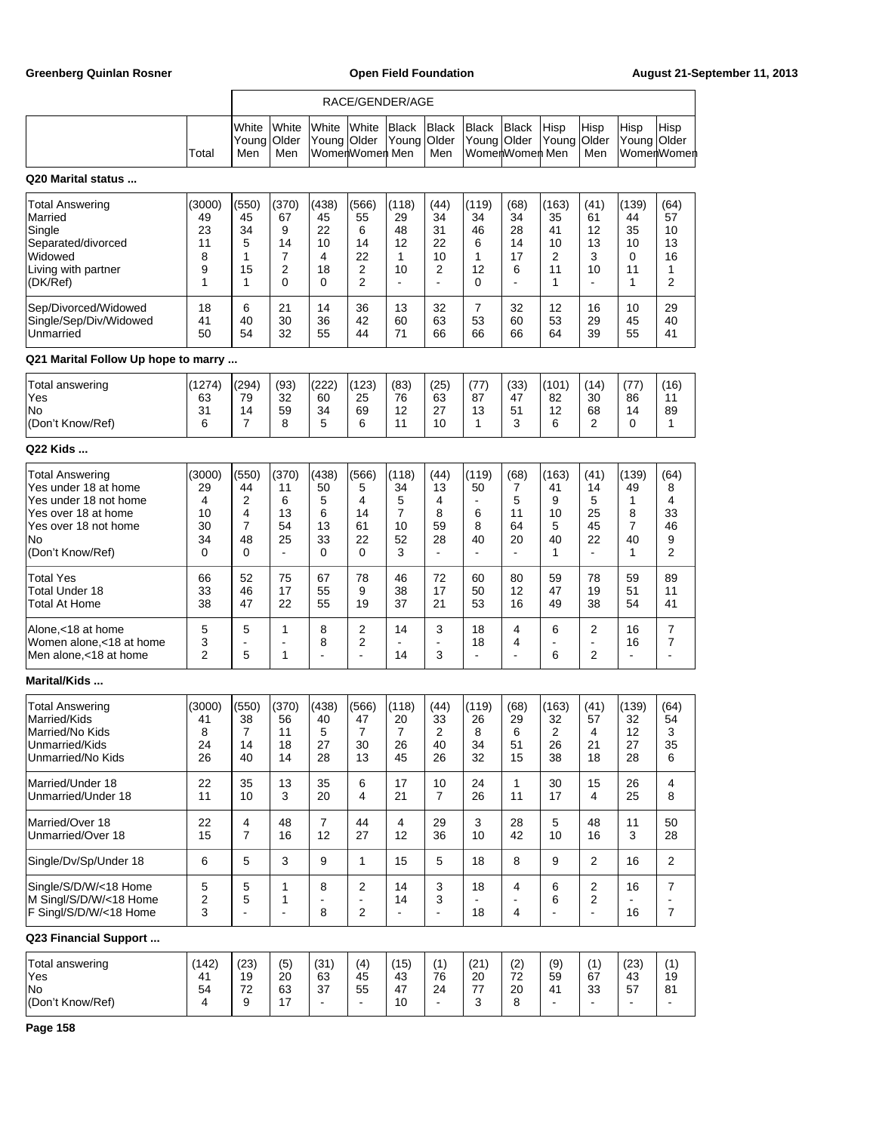|                                                                                                                                                  |                                                    |                                                    |                                                      |                                               |                                                      | RACE/GENDER/AGE                                      |                                         |                                         |                                         |                                                    |                                                     |                                         |                                        |
|--------------------------------------------------------------------------------------------------------------------------------------------------|----------------------------------------------------|----------------------------------------------------|------------------------------------------------------|-----------------------------------------------|------------------------------------------------------|------------------------------------------------------|-----------------------------------------|-----------------------------------------|-----------------------------------------|----------------------------------------------------|-----------------------------------------------------|-----------------------------------------|----------------------------------------|
|                                                                                                                                                  | Total                                              | White<br>Young<br>Men                              | White<br>Older<br>Men                                | White<br>Young Older                          | White<br>WomenWomen Men                              | Black<br>Young                                       | <b>Black</b><br>Older<br>Men            | <b>Black</b><br>Young Older             | <b>Black</b><br>WomenWomen Men          | Hisp<br>Young                                      | Hisp<br>Older<br>Men                                | Hisp<br>Young                           | Hisp<br>Older<br>WomenWomen            |
| Q20 Marital status                                                                                                                               |                                                    |                                                    |                                                      |                                               |                                                      |                                                      |                                         |                                         |                                         |                                                    |                                                     |                                         |                                        |
| <b>Total Answering</b><br>Married<br>Single<br>Separated/divorced<br>Widowed<br>Living with partner<br>(DK/Ref)                                  | (3000)<br>49<br>23<br>11<br>8<br>9<br>1            | (550)<br>45<br>34<br>5<br>1<br>15<br>1             | (370)<br>67<br>9<br>14<br>7<br>2<br>0                | (438)<br>45<br>22<br>10<br>4<br>18<br>0       | (566)<br>55<br>6<br>14<br>22<br>2<br>2               | (118)<br>29<br>48<br>12<br>1<br>10<br>$\blacksquare$ | (44)<br>34<br>31<br>22<br>10<br>2<br>÷, | (119)<br>34<br>46<br>6<br>1<br>12<br>0  | (68)<br>34<br>28<br>14<br>17<br>6<br>÷, | (163)<br>35<br>41<br>10<br>2<br>11<br>1            | (41)<br>61<br>12<br>13<br>3<br>10                   | (139)<br>44<br>35<br>10<br>0<br>11<br>1 | (64)<br>57<br>10<br>13<br>16<br>1<br>2 |
| Sep/Divorced/Widowed<br>Single/Sep/Div/Widowed<br>Unmarried                                                                                      | 18<br>41<br>50                                     | 6<br>40<br>54                                      | 21<br>30<br>32                                       | 14<br>36<br>55                                | 36<br>42<br>44                                       | 13<br>60<br>71                                       | 32<br>63<br>66                          | 7<br>53<br>66                           | 32<br>60<br>66                          | 12<br>53<br>64                                     | 16<br>29<br>39                                      | 10<br>45<br>55                          | 29<br>40<br>41                         |
| Q21 Marital Follow Up hope to marry                                                                                                              |                                                    |                                                    |                                                      |                                               |                                                      |                                                      |                                         |                                         |                                         |                                                    |                                                     |                                         |                                        |
| Total answering<br>Yes<br>No<br>(Don't Know/Ref)                                                                                                 | (1274)<br>63<br>31<br>6                            | (294)<br>79<br>14<br>$\overline{7}$                | (93)<br>32<br>59<br>8                                | (222)<br>60<br>34<br>5                        | (123)<br>25<br>69<br>6                               | (83)<br>76<br>12<br>11                               | (25)<br>63<br>27<br>10                  | (77)<br>87<br>13<br>1                   | (33)<br>47<br>51<br>3                   | (101)<br>82<br>12<br>6                             | (14)<br>30<br>68<br>2                               | (77)<br>86<br>14<br>0                   | (16)<br>11<br>89<br>1                  |
| Q22 Kids                                                                                                                                         |                                                    |                                                    |                                                      |                                               |                                                      |                                                      |                                         |                                         |                                         |                                                    |                                                     |                                         |                                        |
| <b>Total Answering</b><br>Yes under 18 at home<br>Yes under 18 not home<br>Yes over 18 at home<br>Yes over 18 not home<br>No<br>(Don't Know/Ref) | (3000)<br>29<br>4<br>10<br>30<br>34<br>$\mathbf 0$ | (550)<br>44<br>2<br>4<br>$\overline{7}$<br>48<br>0 | (370)<br>11<br>6<br>13<br>54<br>25<br>$\blacksquare$ | (438)<br>50<br>5<br>6<br>13<br>33<br>$\Omega$ | (566)<br>5<br>4<br>14<br>61<br>22<br>$\Omega$        | (118)<br>34<br>5<br>$\overline{7}$<br>10<br>52<br>3  | (44)<br>13<br>4<br>8<br>59<br>28<br>÷,  | (119)<br>50<br>ä,<br>6<br>8<br>40<br>ä, | (68)<br>7<br>5<br>11<br>64<br>20<br>÷,  | (163)<br>41<br>9<br>10<br>5<br>40<br>1             | (41)<br>14<br>5<br>25<br>45<br>22<br>$\blacksquare$ | (139)<br>49<br>1<br>8<br>7<br>40<br>1   | (64)<br>8<br>4<br>33<br>46<br>9<br>2   |
| <b>Total Yes</b><br>Total Under 18<br>Total At Home                                                                                              | 66<br>33<br>38                                     | 52<br>46<br>47                                     | 75<br>17<br>22                                       | 67<br>55<br>55                                | 78<br>9<br>19                                        | 46<br>38<br>37                                       | 72<br>17<br>21                          | 60<br>50<br>53                          | 80<br>12<br>16                          | 59<br>47<br>49                                     | 78<br>19<br>38                                      | 59<br>51<br>54                          | 89<br>11<br>41                         |
| Alone,<18 at home<br>Women alone, < 18 at home<br>Men alone, <18 at home                                                                         | 5<br>3<br>$\overline{2}$                           | 5<br>ä,<br>5                                       | 1<br>1                                               | 8<br>8<br>$\overline{a}$                      | $\overline{2}$<br>2<br>ä,                            | 14<br>$\overline{\phantom{a}}$<br>14                 | 3<br>÷,<br>3                            | 18<br>18<br>$\blacksquare$              | 4<br>4<br>÷,                            | 6<br>$\blacksquare$<br>6                           | $\overline{2}$<br>$\blacksquare$<br>$\overline{2}$  | 16<br>16<br>$\blacksquare$              | 7<br>7                                 |
| Marital/Kids                                                                                                                                     |                                                    |                                                    |                                                      |                                               |                                                      |                                                      |                                         |                                         |                                         |                                                    |                                                     |                                         |                                        |
| <b>Total Answering</b><br>Married/Kids<br>Married/No Kids<br>Unmarried/Kids<br>Unmarried/No Kids                                                 | (3000)<br>41<br>8<br>24<br>26                      | (550)<br>38<br>7<br>14<br>40                       | (370)<br>56<br>11<br>18<br>14                        | (438)<br>40<br>5<br>27<br>28                  | (566)<br>47<br>$\overline{7}$<br>30<br>13            | (118)<br>20<br>$\overline{7}$<br>26<br>45            | (44)<br>33<br>2<br>40<br>26             | (119)<br>26<br>8<br>34<br>32            | (68)<br>29<br>6<br>51<br>15             | (163)<br>32<br>$\overline{\mathbf{c}}$<br>26<br>38 | (41)<br>57<br>4<br>21<br>18                         | (139)<br>32<br>12<br>27<br>28           | (64)<br>54<br>3<br>35<br>6             |
| Married/Under 18<br>Unmarried/Under 18                                                                                                           | 22<br>11                                           | 35<br>10                                           | 13<br>3                                              | 35<br>20                                      | 6<br>4                                               | 17<br>21                                             | 10<br>7                                 | 24<br>26                                | $\mathbf{1}$<br>11                      | 30<br>17                                           | 15<br>4                                             | 26<br>25                                | 4<br>8                                 |
| Married/Over 18<br>Unmarried/Over 18                                                                                                             | 22<br>15                                           | 4<br>$\overline{7}$                                | 48<br>16                                             | $\overline{7}$<br>12                          | 44<br>27                                             | 4<br>12                                              | 29<br>36                                | 3<br>10                                 | 28<br>42                                | 5<br>10                                            | 48<br>16                                            | 11<br>3                                 | 50<br>28                               |
| Single/Dv/Sp/Under 18                                                                                                                            | 6                                                  | 5                                                  | 3                                                    | 9                                             | $\mathbf{1}$                                         | 15                                                   | 5                                       | 18                                      | 8                                       | 9                                                  | $\overline{2}$                                      | 16                                      | 2                                      |
| Single/S/D/W/<18 Home<br>M Singl/S/D/W/<18 Home<br>F Singl/S/D/W/<18 Home                                                                        | $\mathbf 5$<br>$\boldsymbol{2}$<br>$\mathsf 3$     | 5<br>5<br>$\overline{a}$                           | 1<br>1<br>$\blacksquare$                             | 8<br>$\overline{a}$<br>8                      | $\boldsymbol{2}$<br>$\blacksquare$<br>$\overline{2}$ | 14<br>14<br>$\blacksquare$                           | 3<br>3<br>$\overline{a}$                | 18<br>18                                | 4<br>4                                  | 6<br>6<br>÷,                                       | $\sqrt{2}$<br>$\overline{c}$<br>$\blacksquare$      | 16<br>16                                | $\overline{7}$<br>$\overline{7}$       |
| Q23 Financial Support                                                                                                                            |                                                    |                                                    |                                                      |                                               |                                                      |                                                      |                                         |                                         |                                         |                                                    |                                                     |                                         |                                        |
| Total answering<br>Yes<br>No<br>(Don't Know/Ref)                                                                                                 | (142)<br>41<br>54<br>4                             | (23)<br>19<br>72<br>9                              | (5)<br>20<br>63<br>17                                | (31)<br>63<br>37<br>$\blacksquare$            | (4)<br>45<br>55<br>$\overline{\phantom{a}}$          | (15)<br>43<br>47<br>10                               | (1)<br>76<br>24<br>$\blacksquare$       | (21)<br>20<br>77<br>3                   | (2)<br>72<br>20<br>8                    | (9)<br>59<br>41                                    | (1)<br>67<br>33                                     | (23)<br>43<br>57                        | (1)<br>19<br>81                        |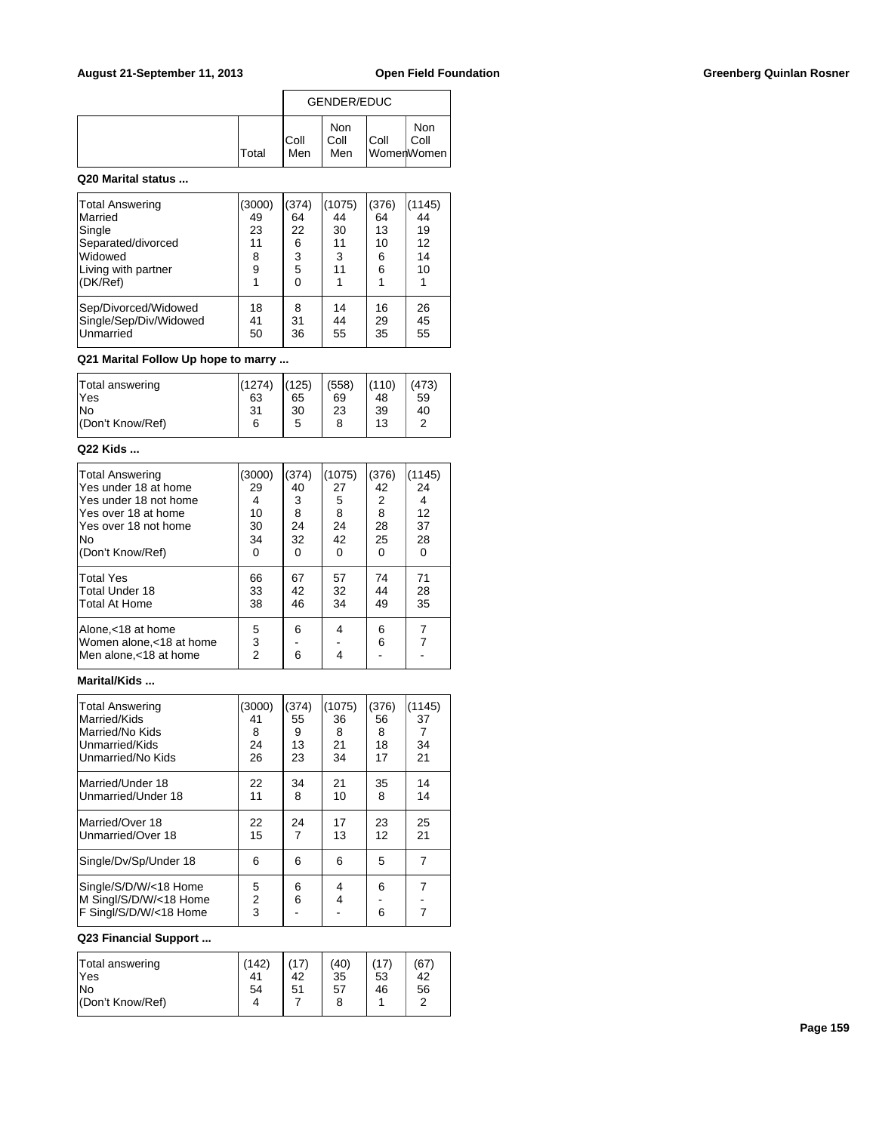|              |              | GENDER/EDUC        |      |                           |
|--------------|--------------|--------------------|------|---------------------------|
| <b>Total</b> | IColl<br>Men | Non<br>Coll<br>Men | Coll | Non<br>Coll<br>WomerWomen |

### **Q20 Marital status ...**

| Total Answering<br>Married<br>Single<br>Separated/divorced<br>Widowed<br>Living with partner<br>(DK/Ref) | (3000)<br>49<br>23<br>11<br>8<br>9 | (374)<br>64<br>22<br>6<br>3<br>5<br>0 | (1075)<br>44<br>30<br>11<br>3<br>11 | (376)<br>64<br>13<br>10<br>6<br>6 | 1145)<br>44<br>19<br>12<br>14<br>10 |
|----------------------------------------------------------------------------------------------------------|------------------------------------|---------------------------------------|-------------------------------------|-----------------------------------|-------------------------------------|
| Sep/Divorced/Widowed                                                                                     | 18                                 | 8                                     | 14                                  | 16                                | 26                                  |
| Single/Sep/Div/Widowed                                                                                   | 41                                 | 31                                    | 44                                  | 29                                | 45                                  |
| Unmarried                                                                                                | 50                                 | 36                                    | 55                                  | 35                                | 55                                  |

## **Q21 Marital Follow Up hope to marry ...**

| Total answering  | (1274) | (125) | (558) | (110) | (473) |
|------------------|--------|-------|-------|-------|-------|
| lYes             | 63     | 65    | 69    | 48    | 59    |
| lNo              | 31     | 30    | 23    | 39    | 40    |
| (Don't Know/Ref) | 6      | 5     | 8     | 13    | ◠     |
|                  |        |       |       |       |       |

### **Q22 Kids ...**

| <b>Total Answering</b>                                                    | (3000)      | (374)    | (1075)   | (376)    | (1145) |
|---------------------------------------------------------------------------|-------------|----------|----------|----------|--------|
| Yes under 18 at home                                                      | 29          | 40       | 27       | 42       | 24     |
| lYes under 18 not home                                                    | 4           | 3        | 5        | 2        | 4      |
| lYes over 18 at home                                                      | 10          | 8        | 8        | 8        | 12     |
| lYes over 18 not home                                                     | 30          | 24       | 24       | 28       | 37     |
| No                                                                        | 34          | 32       | 42       | 25       | 28     |
| (Don't Know/Ref)                                                          | ŋ           | $\Omega$ | $\Omega$ | $\Omega$ | 0      |
| Total Yes                                                                 | 66          | 67       | 57       | 74       | 71     |
| <b>Total Under 18</b>                                                     | 33          | 42       | 32       | 44       | 28     |
| Total At Home                                                             | 38          | 46       | 34       | 49       | 35     |
| Alone, < 18 at home<br>Women alone, < 18 at home<br>Men alone.<18 at home | 5<br>3<br>2 | 6<br>6   | 4<br>4   | 6<br>6   | 7      |

# **Marital/Kids ...**

| <b>Total Answering</b><br>Married/Kids<br>Married/No Kids<br>Unmarried/Kids<br>Unmarried/No Kids | (3000)<br>41<br>8<br>24<br>26 | (374)<br>55<br>9<br>13<br>23 | (1075)<br>36<br>8<br>21<br>34 | (376)<br>56<br>8<br>18<br>17 | (1145)<br>37<br>34<br>21 |
|--------------------------------------------------------------------------------------------------|-------------------------------|------------------------------|-------------------------------|------------------------------|--------------------------|
| Married/Under 18<br>Unmarried/Under 18                                                           | 22<br>11                      | 34<br>8                      | 21<br>10                      | 35<br>8                      | 14<br>14                 |
| Married/Over 18<br>Unmarried/Over 18                                                             | 22<br>15                      | 24<br>$\overline{7}$         | 17<br>13                      | 23<br>12                     | 25<br>21                 |
| Single/Dv/Sp/Under 18                                                                            | 6                             | 6                            | 6                             | 5                            | 7                        |
| Single/S/D/W/<18 Home<br>M Singl/S/D/W/<18 Home<br>F Singl/S/D/W/<18 Home                        | 5<br>$\overline{2}$<br>3      | 6<br>6                       | 4<br>4                        | 6<br>6                       | 7<br>$\overline{7}$      |

# **Q23 Financial Support ...**

| Total answering<br><b>Yes</b> | (142) | (17)<br>42 | (40)<br>35 | 53 | (67)<br>42 |
|-------------------------------|-------|------------|------------|----|------------|
| lNo                           | 54    | 51         | 57         | 46 | 56         |
| (Don't Know/Ref)              |       |            | 8          |    | $\sqrt{2}$ |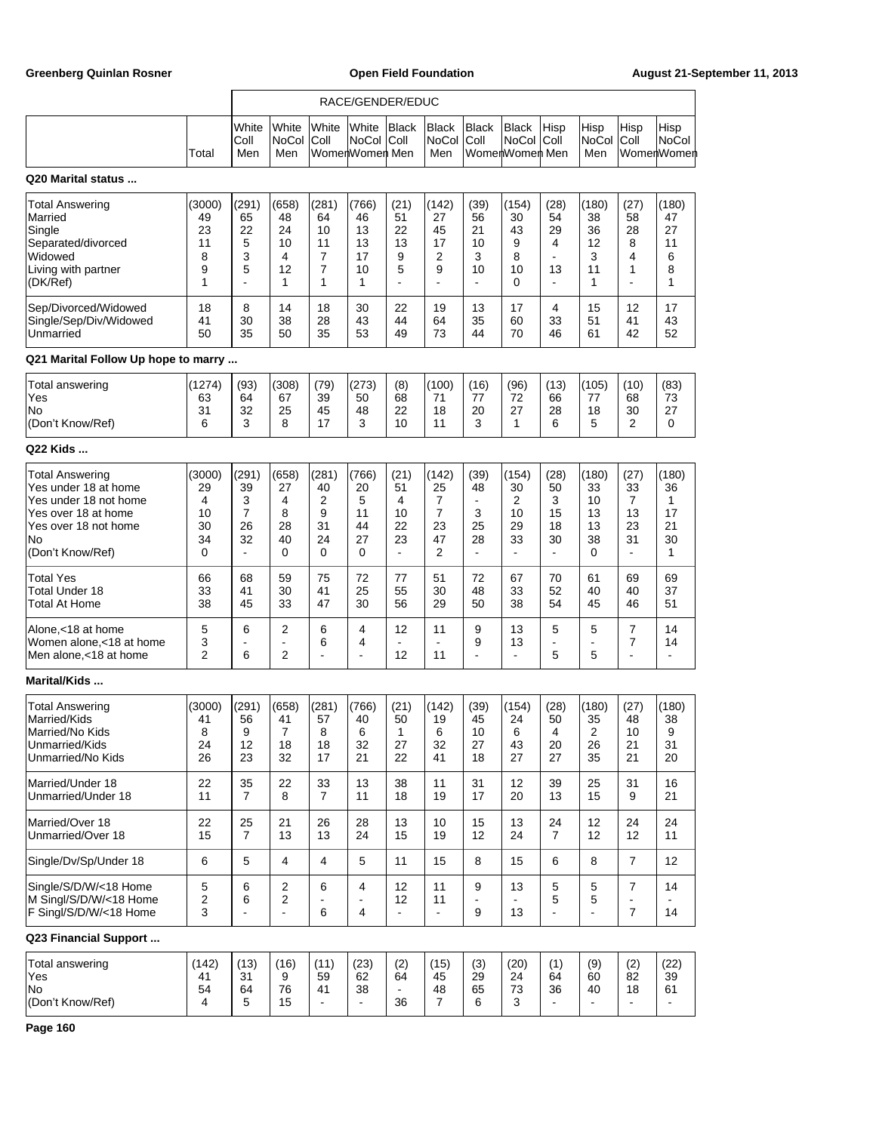|                                                                                                                                                  |                                          |                                                    |                                         |                                                     | RACE/GENDER/EDUC                               |                                                     |                                         |                                                                 |                                                      |                                                    |                                           |                                                               |                                                    |
|--------------------------------------------------------------------------------------------------------------------------------------------------|------------------------------------------|----------------------------------------------------|-----------------------------------------|-----------------------------------------------------|------------------------------------------------|-----------------------------------------------------|-----------------------------------------|-----------------------------------------------------------------|------------------------------------------------------|----------------------------------------------------|-------------------------------------------|---------------------------------------------------------------|----------------------------------------------------|
|                                                                                                                                                  | Total                                    | White<br>Coll<br>Men                               | White<br>NoCol<br>Men                   | White<br>Coll                                       | White<br><b>NoCol</b><br>WomenWomen Men        | Black<br> Coll                                      | <b>Black</b><br><b>NoCol</b><br>Men     | <b>Black</b><br> Coll                                           | Black<br>NoCol<br>WomenWomen Men                     | Hisp<br>Coll                                       | Hisp<br><b>NoCol</b><br>Men               | Hisp<br>Coll                                                  | Hisp<br><b>NoCol</b><br>WomenWomen                 |
| Q20 Marital status                                                                                                                               |                                          |                                                    |                                         |                                                     |                                                |                                                     |                                         |                                                                 |                                                      |                                                    |                                           |                                                               |                                                    |
| <b>Total Answering</b><br>Married<br>Single<br>Separated/divorced<br>Widowed<br>Living with partner<br>(DK/Ref)                                  | (3000)<br>49<br>23<br>11<br>8<br>9<br>1  | (291)<br>65<br>22<br>5<br>3<br>5<br>$\blacksquare$ | (658)<br>48<br>24<br>10<br>4<br>12<br>1 | (281)<br>64<br>10<br>11<br>7<br>$\overline{7}$<br>1 | (766)<br>46<br>13<br>13<br>17<br>10<br>1       | (21)<br>51<br>22<br>13<br>9<br>5<br>$\blacksquare$  | (142)<br>27<br>45<br>17<br>2<br>9<br>ä, | (39)<br>56<br>21<br>10<br>3<br>10<br>$\blacksquare$             | (154)<br>30<br>43<br>9<br>8<br>10<br>0               | (28)<br>54<br>29<br>4<br>$\blacksquare$<br>13<br>÷ | (180)<br>38<br>36<br>12<br>3<br>11<br>1   | (27)<br>58<br>28<br>8<br>4<br>1<br>÷.                         | (180)<br>47<br>27<br>11<br>6<br>8<br>1             |
| Sep/Divorced/Widowed<br>Single/Sep/Div/Widowed<br>Unmarried                                                                                      | 18<br>41<br>50                           | 8<br>30<br>35                                      | 14<br>38<br>50                          | 18<br>28<br>35                                      | 30<br>43<br>53                                 | 22<br>44<br>49                                      | 19<br>64<br>73                          | 13<br>35<br>44                                                  | 17<br>60<br>70                                       | 4<br>33<br>46                                      | 15<br>51<br>61                            | 12<br>41<br>42                                                | 17<br>43<br>52                                     |
| Q21 Marital Follow Up hope to marry                                                                                                              |                                          |                                                    |                                         |                                                     |                                                |                                                     |                                         |                                                                 |                                                      |                                                    |                                           |                                                               |                                                    |
| Total answering<br>Yes<br>No<br>(Don't Know/Ref)                                                                                                 | (1274)<br>63<br>31<br>6                  | (93)<br>64<br>32<br>3                              | (308)<br>67<br>25<br>8                  | (79)<br>39<br>45<br>17                              | (273)<br>50<br>48<br>3                         | (8)<br>68<br>22<br>10                               | (100)<br>71<br>18<br>11                 | (16)<br>77<br>20<br>3                                           | (96)<br>72<br>27<br>1                                | (13)<br>66<br>28<br>6                              | (105)<br>77<br>18<br>5                    | (10)<br>68<br>30<br>2                                         | (83)<br>73<br>27<br>0                              |
| Q22 Kids                                                                                                                                         |                                          |                                                    |                                         |                                                     |                                                |                                                     |                                         |                                                                 |                                                      |                                                    |                                           |                                                               |                                                    |
| <b>Total Answering</b><br>Yes under 18 at home<br>Yes under 18 not home<br>Yes over 18 at home<br>Yes over 18 not home<br>No<br>(Don't Know/Ref) | (3000)<br>29<br>4<br>10<br>30<br>34<br>0 | (291)<br>39<br>3<br>7<br>26<br>32<br>L.            | (658)<br>27<br>4<br>8<br>28<br>40<br>0  | (281)<br>40<br>$\overline{2}$<br>9<br>31<br>24<br>0 | (766)<br>20<br>5<br>11<br>44<br>27<br>$\Omega$ | (21)<br>51<br>4<br>10<br>22<br>23<br>$\blacksquare$ | (142)<br>25<br>7<br>7<br>23<br>47<br>2  | (39)<br>48<br>$\blacksquare$<br>3<br>25<br>28<br>$\blacksquare$ | (154)<br>30<br>2<br>10<br>29<br>33<br>$\blacksquare$ | (28)<br>50<br>3<br>15<br>18<br>30<br>÷.            | (180)<br>33<br>10<br>13<br>13<br>38<br>0  | (27)<br>33<br>7<br>13<br>23<br>31<br>$\overline{\phantom{a}}$ | (180)<br>36<br>$\mathbf{1}$<br>17<br>21<br>30<br>1 |
| <b>Total Yes</b><br><b>Total Under 18</b><br>Total At Home                                                                                       | 66<br>33<br>38                           | 68<br>41<br>45                                     | 59<br>30<br>33                          | 75<br>41<br>47                                      | 72<br>25<br>30                                 | 77<br>55<br>56                                      | 51<br>30<br>29                          | 72<br>48<br>50                                                  | 67<br>33<br>38                                       | 70<br>52<br>54                                     | 61<br>40<br>45                            | 69<br>40<br>46                                                | 69<br>37<br>51                                     |
| Alone,<18 at home<br>Women alone, < 18 at home<br>Men alone, <18 at home                                                                         | 5<br>3<br>2                              | 6<br>6                                             | 2<br>$\sim$<br>$\overline{2}$           | 6<br>6<br>$\overline{a}$                            | 4<br>4<br>$\overline{a}$                       | 12<br>12                                            | 11<br>$\blacksquare$<br>11              | 9<br>9<br>ä,                                                    | 13<br>13<br>$\blacksquare$                           | 5<br>$\blacksquare$<br>5                           | 5<br>$\blacksquare$<br>5                  | $\overline{7}$<br>$\overline{7}$<br>÷,                        | 14<br>14<br>$\overline{a}$                         |
| <b>Marital/Kids </b>                                                                                                                             |                                          |                                                    |                                         |                                                     |                                                |                                                     |                                         |                                                                 |                                                      |                                                    |                                           |                                                               |                                                    |
| <b>Total Answering</b><br>Married/Kids<br>Married/No Kids<br>Unmarried/Kids<br>Unmarried/No Kids                                                 | (3000)<br>41<br>8<br>24<br>26            | (291)<br>56<br>9<br>12<br>23                       | (658)<br>41<br>7<br>18<br>32            | (281)<br>57<br>8<br>18<br>17                        | (766)<br>40<br>6<br>32<br>21                   | (21)<br>50<br>1<br>27<br>22                         | (142)<br>19<br>6<br>32<br>41            | (39)<br>45<br>10<br>27<br>18                                    | (154)<br>24<br>6<br>43<br>27                         | (28)<br>50<br>4<br>20<br>27                        | (180)<br>35<br>$\overline{c}$<br>26<br>35 | (27)<br>48<br>10<br>21<br>21                                  | (180)<br>38<br>9<br>31<br>20                       |
| Married/Under 18<br>Unmarried/Under 18                                                                                                           | 22<br>11                                 | 35<br>$\overline{7}$                               | 22<br>8                                 | 33<br>$\overline{7}$                                | 13<br>11                                       | 38<br>18                                            | 11<br>19                                | 31<br>17                                                        | 12<br>20                                             | 39<br>13                                           | 25<br>15                                  | 31<br>9                                                       | 16<br>21                                           |
| Married/Over 18<br>Unmarried/Over 18                                                                                                             | 22<br>15                                 | 25<br>$\overline{7}$                               | 21<br>13                                | 26<br>13                                            | 28<br>24                                       | 13<br>15                                            | 10<br>19                                | 15<br>12                                                        | 13<br>24                                             | 24<br>$\overline{7}$                               | 12<br>12                                  | 24<br>12                                                      | 24<br>11                                           |
| Single/Dv/Sp/Under 18                                                                                                                            | 6                                        | 5                                                  | 4                                       | 4                                                   | 5                                              | 11                                                  | 15                                      | 8                                                               | 15                                                   | 6                                                  | 8                                         | $\overline{7}$                                                | 12                                                 |
| Single/S/D/W/<18 Home<br>M Singl/S/D/W/<18 Home<br>F Singl/S/D/W/<18 Home                                                                        | 5<br>$\sqrt{2}$<br>3                     | 6<br>6<br>ä,                                       | 2<br>2<br>$\blacksquare$                | 6<br>$\blacksquare$<br>6                            | 4<br>$\blacksquare$<br>4                       | 12<br>12<br>$\blacksquare$                          | 11<br>11<br>÷,                          | 9<br>÷<br>9                                                     | 13<br>13                                             | 5<br>5<br>L.                                       | 5<br>5<br>$\blacksquare$                  | $\overline{7}$<br>$\overline{\phantom{a}}$<br>$\overline{7}$  | 14<br>14                                           |
| Q23 Financial Support                                                                                                                            |                                          |                                                    |                                         |                                                     |                                                |                                                     |                                         |                                                                 |                                                      |                                                    |                                           |                                                               |                                                    |
| Total answering<br>Yes<br>No<br>(Don't Know/Ref)                                                                                                 | (142)<br>41<br>54<br>4                   | (13)<br>31<br>64<br>5                              | (16)<br>9<br>76<br>15                   | (11)<br>59<br>41<br>$\blacksquare$                  | (23)<br>62<br>38                               | (2)<br>64<br>36                                     | (15)<br>45<br>48<br>7                   | (3)<br>29<br>65<br>6                                            | (20)<br>24<br>73<br>3                                | (1)<br>64<br>36                                    | (9)<br>60<br>40                           | (2)<br>82<br>18                                               | (22)<br>39<br>61                                   |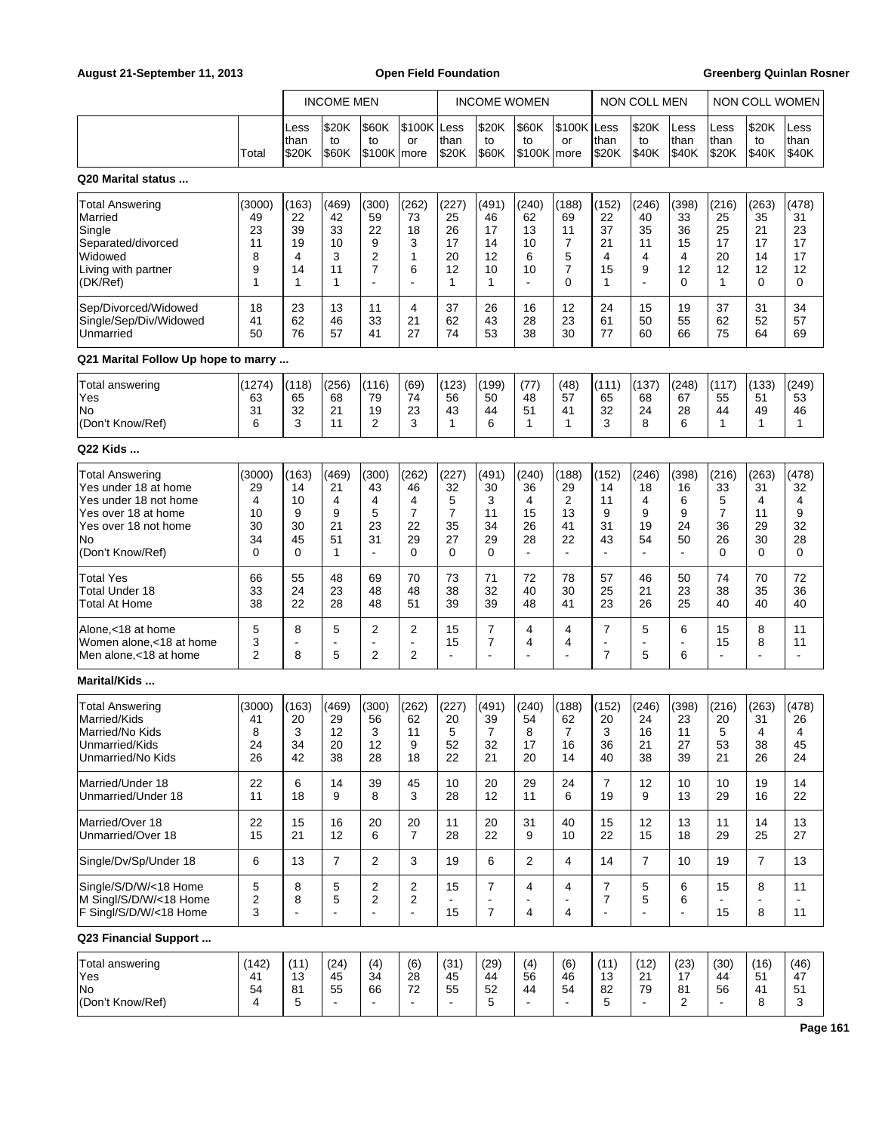|                                                                                                                                                  |                                          |                                         | <b>INCOME MEN</b>                                   |                                                                  |                                                            |                                          |                                                    | <b>INCOME WOMEN</b>                                  |                                                      | NON COLL MEN                                                 |                                         |                                                     | NON COLL WOMEN                           |                                          |                                          |
|--------------------------------------------------------------------------------------------------------------------------------------------------|------------------------------------------|-----------------------------------------|-----------------------------------------------------|------------------------------------------------------------------|------------------------------------------------------------|------------------------------------------|----------------------------------------------------|------------------------------------------------------|------------------------------------------------------|--------------------------------------------------------------|-----------------------------------------|-----------------------------------------------------|------------------------------------------|------------------------------------------|------------------------------------------|
|                                                                                                                                                  | Total                                    | Less<br>than<br>\$20K                   | \$20K<br>to<br>\$60K                                | \$60K<br>to<br>\$100K more                                       | \$100K<br>or                                               | Less<br>than<br>\$20K                    | \$20K<br>to<br>\$60K                               | \$60K<br>to<br>\$100K more                           | \$100K Less<br>or                                    | than<br>\$20K                                                | \$20K<br>to<br>\$40K                    | Less<br>than<br>\$40K                               | Less<br>than<br>\$20K                    | \$20K<br>to<br>\$40K                     | Less<br>than<br>\$40K                    |
| Q20 Marital status                                                                                                                               |                                          |                                         |                                                     |                                                                  |                                                            |                                          |                                                    |                                                      |                                                      |                                                              |                                         |                                                     |                                          |                                          |                                          |
| Total Answering<br>Married<br>Single<br>Separated/divorced<br>Widowed<br>Living with partner<br>(DK/Ref)                                         | (3000)<br>49<br>23<br>11<br>8<br>9<br>1  | (163)<br>22<br>39<br>19<br>4<br>14<br>1 | (469)<br>42<br>33<br>10<br>3<br>11<br>1             | (300)<br>59<br>22<br>9<br>$\overline{2}$<br>$\overline{7}$       | (262)<br>73<br>18<br>3<br>1<br>6                           | (227)<br>25<br>26<br>17<br>20<br>12<br>1 | (491)<br>46<br>17<br>14<br>12<br>10<br>1           | (240)<br>62<br>13<br>10<br>6<br>10<br>÷,             | (188)<br>69<br>11<br>7<br>5<br>7<br>$\Omega$         | (152)<br>22<br>37<br>21<br>4<br>15<br>1                      | (246)<br>40<br>35<br>11<br>4<br>9<br>ä, | (398)<br>33<br>36<br>15<br>4<br>12<br>0             | (216)<br>25<br>25<br>17<br>20<br>12<br>1 | (263)<br>35<br>21<br>17<br>14<br>12<br>0 | (478)<br>31<br>23<br>17<br>17<br>12<br>0 |
| Sep/Divorced/Widowed<br>Single/Sep/Div/Widowed<br>Unmarried                                                                                      | 18<br>41<br>50                           | 23<br>62<br>76                          | 13<br>46<br>57                                      | 11<br>33<br>41                                                   | 4<br>21<br>27                                              | 37<br>62<br>74                           | 26<br>43<br>53                                     | 16<br>28<br>38                                       | 12<br>23<br>30                                       | 24<br>61<br>77                                               | 15<br>50<br>60                          | 19<br>55<br>66                                      | 37<br>62<br>75                           | 31<br>52<br>64                           | 34<br>57<br>69                           |
| Q21 Marital Follow Up hope to marry                                                                                                              |                                          |                                         |                                                     |                                                                  |                                                            |                                          |                                                    |                                                      |                                                      |                                                              |                                         |                                                     |                                          |                                          |                                          |
| Total answering<br>Yes<br>No<br>(Don't Know/Ref)                                                                                                 | (1274)<br>63<br>31<br>6                  | (118)<br>65<br>32<br>3                  | (256)<br>68<br>21<br>11                             | (116)<br>79<br>19<br>2                                           | (69)<br>74<br>23<br>3                                      | (123)<br>56<br>43<br>1                   | (199)<br>50<br>44<br>6                             | (77)<br>48<br>51<br>1                                | (48)<br>57<br>41<br>1                                | (111)<br>65<br>32<br>3                                       | (137)<br>68<br>24<br>8                  | (248)<br>67<br>28<br>6                              | (117)<br>55<br>44<br>$\mathbf{1}$        | (133)<br>51<br>49<br>$\mathbf{1}$        | (249)<br>53<br>46<br>1                   |
| Q22 Kids                                                                                                                                         |                                          |                                         |                                                     |                                                                  |                                                            |                                          |                                                    |                                                      |                                                      |                                                              |                                         |                                                     |                                          |                                          |                                          |
| <b>Total Answering</b><br>Yes under 18 at home<br>Yes under 18 not home<br>Yes over 18 at home<br>Yes over 18 not home<br>No<br>(Don't Know/Ref) | (3000)<br>29<br>4<br>10<br>30<br>34<br>0 | (163)<br>14<br>10<br>9<br>30<br>45<br>0 | (469)<br>21<br>$\overline{4}$<br>9<br>21<br>51<br>1 | (300)<br>43<br>$\overline{4}$<br>5<br>23<br>31<br>$\overline{a}$ | (262)<br>46<br>4<br>$\overline{7}$<br>22<br>29<br>$\Omega$ | (227)<br>32<br>5<br>7<br>35<br>27<br>0   | (491)<br>30<br>3<br>11<br>34<br>29<br>$\Omega$     | (240)<br>36<br>4<br>15<br>26<br>28<br>$\blacksquare$ | (188)<br>29<br>2<br>13<br>41<br>22<br>$\overline{a}$ | (152)<br>14<br>11<br>9<br>31<br>43<br>÷.                     | (246)<br>18<br>4<br>9<br>19<br>54<br>÷, | (398)<br>16<br>6<br>9<br>24<br>50<br>$\blacksquare$ | (216)<br>33<br>5<br>7<br>36<br>26<br>0   | (263)<br>31<br>4<br>11<br>29<br>30<br>0  | (478)<br>32<br>4<br>9<br>32<br>28<br>0   |
| <b>Total Yes</b><br>Total Under 18<br>Total At Home                                                                                              | 66<br>33<br>38                           | 55<br>24<br>22                          | 48<br>23<br>28                                      | 69<br>48<br>48                                                   | 70<br>48<br>51                                             | 73<br>38<br>39                           | 71<br>32<br>39                                     | 72<br>40<br>48                                       | 78<br>30<br>41                                       | 57<br>25<br>23                                               | 46<br>21<br>26                          | 50<br>23<br>25                                      | 74<br>38<br>40                           | 70<br>35<br>40                           | 72<br>36<br>40                           |
| Alone, < 18 at home<br>Women alone.<18 at home<br>Men alone, <18 at home                                                                         | 5<br>3<br>$\overline{2}$                 | 8<br>÷,<br>8                            | 5<br>$\blacksquare$<br>5                            | $\overline{2}$<br>$\sim$<br>2                                    | $\overline{2}$<br>$\blacksquare$<br>$\overline{2}$         | 15<br>15<br>$\blacksquare$               | $\overline{7}$<br>7<br>$\overline{\phantom{a}}$    | 4<br>4<br>L,                                         | 4<br>4                                               | $\overline{7}$<br>$\overline{\phantom{a}}$<br>$\overline{7}$ | 5<br>ä,<br>5                            | 6<br>$\blacksquare$<br>6                            | 15<br>15<br>ä,                           | 8<br>8<br>$\blacksquare$                 | 11<br>11                                 |
| Marital/Kids                                                                                                                                     |                                          |                                         |                                                     |                                                                  |                                                            |                                          |                                                    |                                                      |                                                      |                                                              |                                         |                                                     |                                          |                                          |                                          |
| <b>Total Answering</b><br> Married/Kids<br>Married/No Kids<br>Unmarried/Kids<br>Unmarried/No Kids                                                | (3000)<br>41<br>8<br>24<br>26            | (163)<br>20<br>3<br>34<br>42            | (469)<br>29<br>12<br>20<br>38                       | (300)<br>56<br>$\mathbf{3}$<br>12<br>28                          | (262)<br>62<br>11<br>9<br>18                               | (227)<br>20<br>5<br>52<br>22             | (491)<br>39<br>$\overline{7}$<br>32<br>21          | (240)<br>54<br>8<br>17<br>20                         | (188)<br>62<br>7<br>16<br>14                         | (152)<br>20<br>3<br>36<br>40                                 | (246)<br>24<br>16<br>21<br>38           | (398)<br>23<br>11<br>27<br>39                       | (216)<br>20<br>5<br>53<br>21             | (263)<br>31<br>4<br>38<br>26             | (478)<br>26<br>4<br>45<br>24             |
| Married/Under 18<br>Unmarried/Under 18                                                                                                           | 22<br>11                                 | 6<br>18                                 | 14<br>9                                             | 39<br>8                                                          | 45<br>3                                                    | 10<br>28                                 | 20<br>12                                           | 29<br>11                                             | 24<br>6                                              | $\overline{7}$<br>19                                         | 12<br>9                                 | 10<br>13                                            | 10<br>29                                 | 19<br>16                                 | 14<br>22                                 |
| Married/Over 18<br>Unmarried/Over 18                                                                                                             | 22<br>15                                 | 15<br>21                                | 16<br>12                                            | 20<br>6                                                          | 20<br>$\overline{7}$                                       | 11<br>28                                 | 20<br>22                                           | 31<br>9                                              | 40<br>10                                             | 15<br>22                                                     | 12<br>15                                | 13<br>18                                            | 11<br>29                                 | 14<br>25                                 | 13<br>27                                 |
| Single/Dv/Sp/Under 18                                                                                                                            | 6                                        | 13                                      | $\overline{7}$                                      | $\overline{2}$                                                   | 3                                                          | 19                                       | 6                                                  | 2                                                    | 4                                                    | 14                                                           | $\overline{7}$                          | 10                                                  | 19                                       | $\overline{7}$                           | 13                                       |
| Single/S/D/W/<18 Home<br>M Singl/S/D/W/<18 Home<br>F Singl/S/D/W/<18 Home                                                                        | 5<br>2<br>3                              | 8<br>8                                  | 5<br>5                                              | $\overline{c}$<br>2<br>$\blacksquare$                            | $\overline{\mathbf{c}}$<br>$\overline{2}$<br>L.            | 15<br>$\blacksquare$<br>15               | $\overline{7}$<br>$\blacksquare$<br>$\overline{7}$ | 4<br>÷,<br>4                                         | 4<br>$\blacksquare$<br>$\overline{4}$                | $\overline{7}$<br>$\overline{7}$<br>$\blacksquare$           | 5<br>5<br>$\overline{a}$                | 6<br>6<br>$\blacksquare$                            | 15<br>÷,<br>15                           | 8<br>$\overline{\phantom{a}}$<br>8       | 11<br>11                                 |
| Q23 Financial Support                                                                                                                            |                                          |                                         |                                                     |                                                                  |                                                            |                                          |                                                    |                                                      |                                                      |                                                              |                                         |                                                     |                                          |                                          |                                          |
| <b>Total answering</b><br>Yes<br>No<br>(Don't Know/Ref)                                                                                          | (142)<br>41<br>54<br>4                   | (11)<br>13<br>81<br>5                   | (24)<br>45<br>55                                    | (4)<br>34<br>66                                                  | (6)<br>28<br>72                                            | (31)<br>45<br>55<br>$\blacksquare$       | (29)<br>44<br>52<br>5                              | (4)<br>56<br>44<br>$\blacksquare$                    | (6)<br>46<br>54                                      | (11)<br>13<br>82<br>5                                        | (12)<br>21<br>79                        | (23)<br>17<br>81<br>2                               | (30)<br>44<br>56<br>$\blacksquare$       | (16)<br>51<br>41<br>8                    | (46)<br>47<br>51<br>3                    |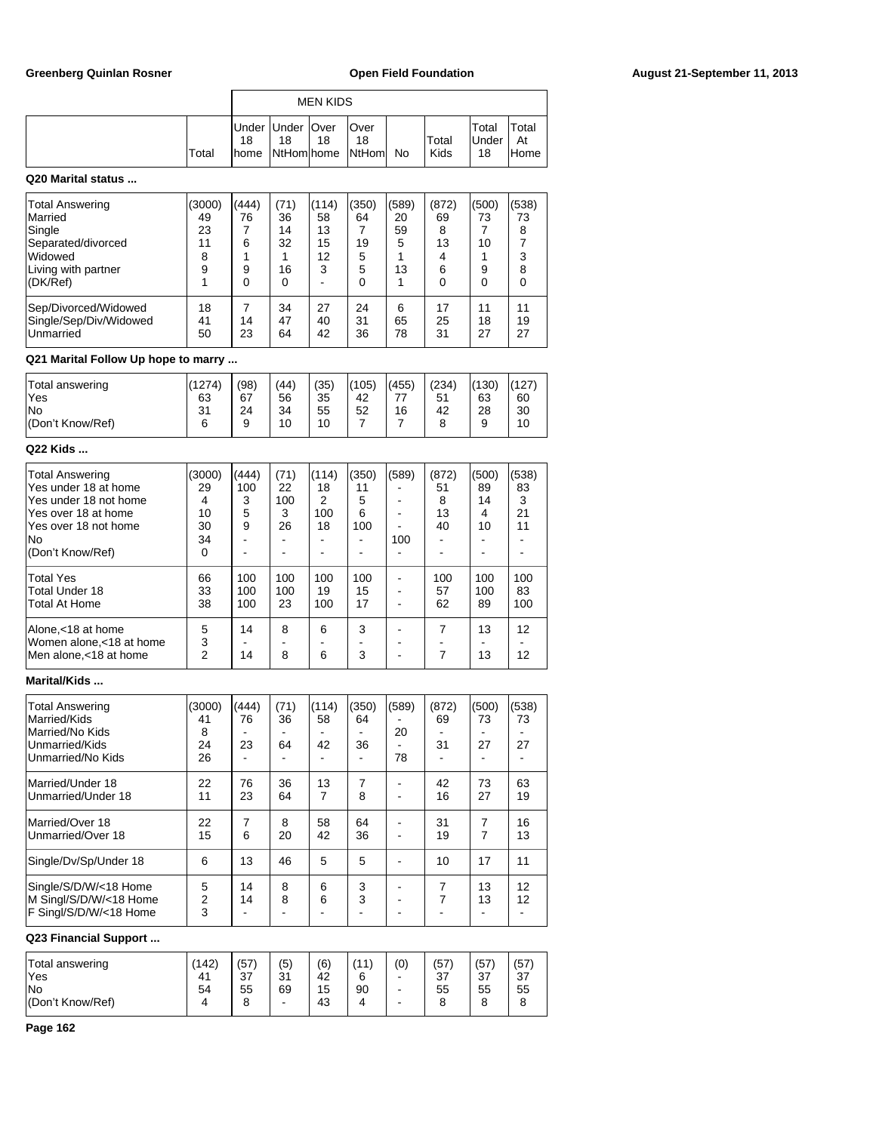|                    |       | <b>MEN KIDS</b> |                            |    |                                 |    |               |                             |                      |  |
|--------------------|-------|-----------------|----------------------------|----|---------------------------------|----|---------------|-----------------------------|----------------------|--|
|                    | Total | 18<br>lhome     | Under   Under   Over<br>18 | 18 | lOver<br>18<br>NtHom home NtHom | No | Total<br>Kids | Total<br><b>Under</b><br>18 | Total<br>At<br>lHome |  |
| Q20 Marital status |       |                 |                            |    |                                 |    |               |                             |                      |  |
|                    |       |                 |                            |    |                                 |    |               |                             |                      |  |

| Total Answering<br><b>Married</b><br>Single                             | (3000)<br>49<br>23 | (444)<br>76 | (71)<br>36<br>14 | (114)<br>58<br>13 | (350)<br>64       | (589)<br>20<br>59 | (872)<br>69<br>8  | (500)<br>73    | (538)<br>73<br>8 |
|-------------------------------------------------------------------------|--------------------|-------------|------------------|-------------------|-------------------|-------------------|-------------------|----------------|------------------|
| Separated/divorced<br><b>Nidowed</b><br>Living with partner<br>(DK/Ref) | 11<br>8<br>9       | 6<br>9<br>0 | 32<br>16<br>0    | 15<br>12<br>3     | 19<br>5<br>5<br>0 | 5<br>13           | 13<br>4<br>6<br>0 | 10<br>9        | 3<br>8           |
| Sep/Divorced/Widowed<br>Single/Sep/Div/Widowed<br>Unmarried             | 18<br>41<br>50     | 14<br>23    | 34<br>47<br>64   | 27<br>40<br>42    | 24<br>31<br>36    | 6<br>65<br>78     | 17<br>25<br>31    | 11<br>18<br>27 | 11<br>19<br>27   |

# **Q21 Marital Follow Up hope to marry ...**

| Total answering<br>'Yes<br> No<br>(Don't Know/Ref) | $^{\prime}$ 1274)<br>63<br>31<br>6 | (98)<br>67<br>24<br>9 | (44)<br>56<br>34<br>10 | (35)<br>35<br>55<br>10 | (105)<br>42<br>52 | (455)<br>16 | (234)<br>51<br>42<br>8 | (130)<br>63<br>28<br>9 | (127)<br>60<br>30<br>10 |
|----------------------------------------------------|------------------------------------|-----------------------|------------------------|------------------------|-------------------|-------------|------------------------|------------------------|-------------------------|
|                                                    |                                    |                       |                        |                        |                   |             |                        |                        |                         |

## **Q22 Kids ...**

| <b>Total Answering</b><br>Yes under 18 at home<br>Yes under 18 not home<br>lYes over 18 at home<br>lYes over 18 not home<br>lNo.<br>(Don't Know/Ref) | (3000)<br>29<br>4<br>10<br>30<br>34<br>0 | (444)<br>100<br>3<br>5<br>9 | (71)<br>22<br>100<br>3<br>26 | (114)<br>18<br>2<br>100<br>18 | (350)<br>11<br>5<br>6<br>100<br>- | (589)<br>100 | (872)<br>51<br>8<br>13<br>40 | (500)<br>89<br>14<br>4<br>10 | (538)<br>83<br>3<br>21<br>11 |
|------------------------------------------------------------------------------------------------------------------------------------------------------|------------------------------------------|-----------------------------|------------------------------|-------------------------------|-----------------------------------|--------------|------------------------------|------------------------------|------------------------------|
| <b>Total Yes</b><br>lTotal Under 18<br><b>Total At Home</b>                                                                                          | 66<br>33<br>38                           | 100<br>100<br>100           | 100<br>100<br>23             | 100<br>19<br>100              | 100<br>15<br>17                   |              | 100<br>57<br>62              | 100<br>100<br>89             | 100<br>83<br>100             |
| Alone, < 18 at home<br>Women alone,<18 at home<br>Men alone, < 18 at home                                                                            | 5<br>3<br>2                              | 14<br>14                    | 8<br>8                       | 6<br>6                        | 3<br>3                            |              | 7<br>7                       | 13<br>13                     | 12<br>12                     |

# **Marital/Kids ...**

| <b>Total Answering</b><br>Married/Kids<br>Married/No Kids<br>Unmarried/Kids<br>Unmarried/No Kids | (3000)<br>41<br>8<br>24<br>26 | (444)<br>76<br>23 | (71)<br>36<br>64 | (114)<br>58<br>42 | (350)<br>64<br>36 | (589)<br>20<br>78 | (872)<br>69<br>31 | (500)<br>73<br>27 | (538)<br>73<br>27 |
|--------------------------------------------------------------------------------------------------|-------------------------------|-------------------|------------------|-------------------|-------------------|-------------------|-------------------|-------------------|-------------------|
| Married/Under 18<br>Unmarried/Under 18                                                           | 22<br>11                      | 76<br>23          | 36<br>64         | 13<br>7           | 7<br>8            |                   | 42<br>16          | 73<br>27          | 63<br>19          |
| Married/Over 18<br>Unmarried/Over 18                                                             | 22<br>15                      | 7<br>6            | 8<br>20          | 58<br>42          | 64<br>36          |                   | 31<br>19          | 7<br>7            | 16<br>13          |
| Single/Dv/Sp/Under 18                                                                            | 6                             | 13                | 46               | 5                 | 5                 |                   | 10                | 17                | 11                |
| Single/S/D/W/<18 Home<br>M Singl/S/D/W/<18 Home<br>F Singl/S/D/W/<18 Home                        | 5<br>$\overline{2}$<br>3      | 14<br>14          | 8<br>8           | 6<br>6            | 3<br>3            |                   | 7<br>7            | 13<br>13          | 12<br>12          |

## **Q23 Financial Support ...**

| Total answering<br>'Yes | (142)<br>41 | (57)<br>37 | (5)<br>31 | (6)<br>42 | (11)<br>6 | (0) | (57<br>37 | (57)<br>37 | (57)<br>37 |
|-------------------------|-------------|------------|-----------|-----------|-----------|-----|-----------|------------|------------|
| lNo                     | 54          | 55         | 69        | 15        | 90        |     | 55        | 55         | 55         |
| (Don't Know/Ref)        |             | c          |           | 43        |           |     | ິ         | ິ<br>o     |            |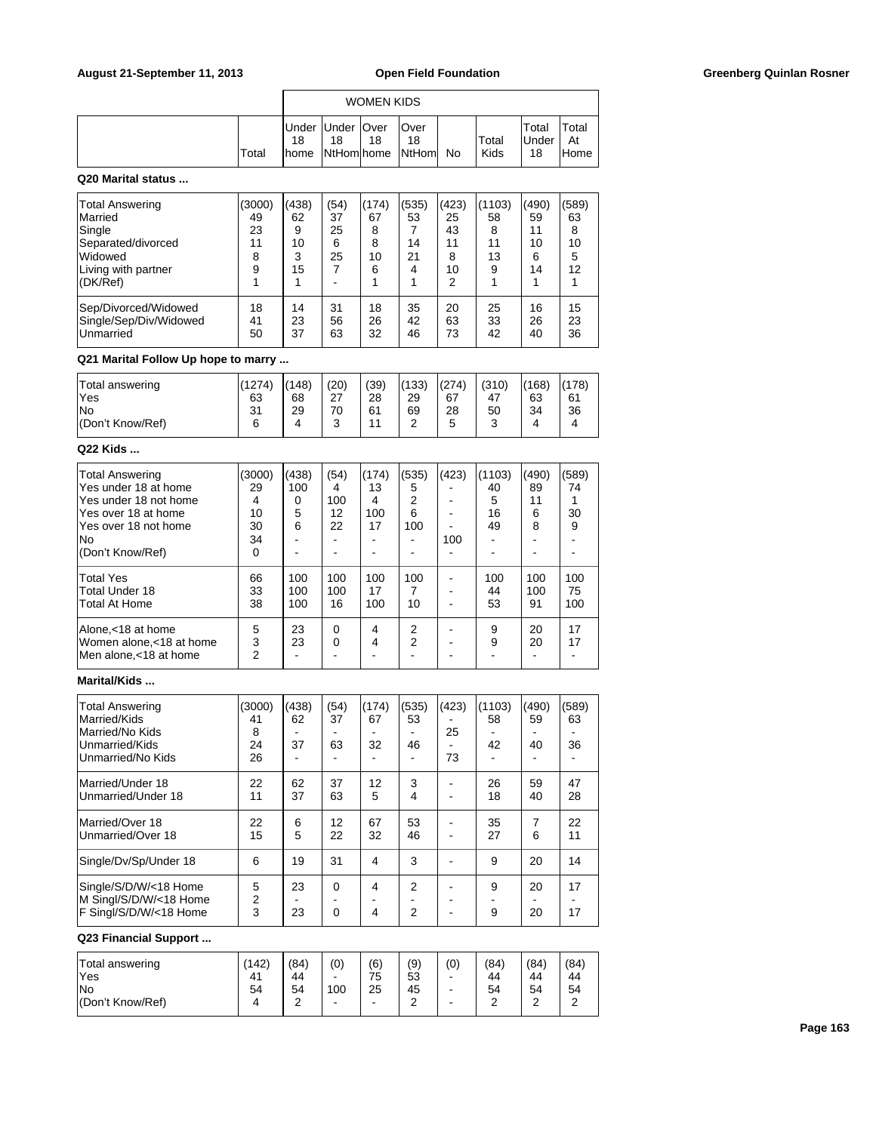|       |             |                          | <b>WOMEN KIDS</b> |                                 |    |               |                              |                      |
|-------|-------------|--------------------------|-------------------|---------------------------------|----|---------------|------------------------------|----------------------|
| Total | 18<br>Ihome | Under Under   Over<br>18 | 18                | lOver<br>18<br>NtHom home NtHom | No | Total<br>Kids | Total<br><b>IUnder</b><br>18 | Total<br>At<br>lHome |

## **Q20 Marital status ...**

| Total Answering        | (3000) | (438) | (54) | (174) | (535) | (423) | (1103) | (490) | (589) |
|------------------------|--------|-------|------|-------|-------|-------|--------|-------|-------|
| Married                | 49     | 62    | 37   | 67    | 53    | 25    | 58     | 59    | 63    |
| Single                 | 23     | 9     | 25   | 8     |       | 43    | 8      | 11    | 8     |
| Separated/divorced     | 11     | 10    | 6    | 8     | 14    | 11    | 11     | 10    | 10    |
| <b>Widowed</b>         | 8      | 3     | 25   | 10    | 21    | 8     | 13     | 6     | 5     |
| Living with partner    | 9      | 15    |      | 6     | 4     | 10    | 9      | 14    | 12    |
| (DK/Ref)               |        |       |      |       |       | 2     |        |       |       |
| Sep/Divorced/Widowed   | 18     | 14    | 31   | 18    | 35    | 20    | 25     | 16    | 15    |
| Single/Sep/Div/Widowed | 41     | 23    | 56   | 26    | 42    | 63    | 33     | 26    | 23    |
| <b>Unmarried</b>       | 50     | 37    | 63   | 32    | 46    | 73    | 42     | 40    | 36    |

# **Q21 Marital Follow Up hope to marry ...**

| Total answering  | (1274) | (148) | (20)      | (39) | (133) | (274) | (310)  | (168) | (178) |
|------------------|--------|-------|-----------|------|-------|-------|--------|-------|-------|
| 'Yes             | 63     | 68    | 27<br>ا ے | 28   | 29    | 67    | 47     | 63    | 61    |
| <b>No</b>        | 31     | 29    | 70        | 61   | 69    | 28    | 50     | 34    | 36    |
| (Don't Know/Ref) | 6      |       | ⌒<br>u    | 4.4  | ີ     | ς     | ⌒<br>ບ |       |       |
|                  |        |       |           |      |       |       |        |       |       |

### **Q22 Kids ...**

| <b>Total Answering</b><br>Yes under 18 at home<br>Yes under 18 not home<br>lYes over 18 at home<br>Yes over 18 not home<br>lNo.<br>(Don't Know/Ref) | (3000)<br>29<br>4<br>10<br>30<br>34<br>$\Omega$ | (438)<br>100<br>0<br>5<br>6 | (54)<br>4<br>100<br>12<br>22 | (174)<br>13<br>4<br>100<br>17 | (535)<br>5<br>2<br>6<br>100 | (423)<br>100 | (1103)<br>40<br>5<br>16<br>49 | (490)<br>89<br>11<br>6<br>8 | (589)<br>74<br>30<br>9 |
|-----------------------------------------------------------------------------------------------------------------------------------------------------|-------------------------------------------------|-----------------------------|------------------------------|-------------------------------|-----------------------------|--------------|-------------------------------|-----------------------------|------------------------|
| <b>Total Yes</b><br><b>Total Under 18</b><br><b>Total At Home</b>                                                                                   | 66<br>33<br>38                                  | 100<br>100<br>100           | 100<br>100<br>16             | 100<br>17<br>100              | 100<br>10                   |              | 100<br>44<br>53               | 100<br>100<br>91            | 100<br>75<br>100       |
| Alone.<18 at home<br>Women alone, <18 at home<br>Men alone,<18 at home                                                                              | 5<br>3<br>2                                     | 23<br>23                    | 0<br>0                       | 4<br>4                        | 2<br>2                      |              | 9<br>9                        | 20<br>20                    | 17<br>17               |

# **Marital/Kids ...**

| <b>Total Answering</b><br>Married/Kids<br>Married/No Kids<br>Unmarried/Kids<br>Unmarried/No Kids | (3000)<br>41<br>8<br>24<br>26 | (438)<br>62<br>37 | (54)<br>37<br>63     | (174)<br>67<br>32   | (535)<br>53<br>46   | (423)<br>25<br>73 | (1103)<br>58<br>42 | (490)<br>59<br>40 | (589)<br>63<br>36 |
|--------------------------------------------------------------------------------------------------|-------------------------------|-------------------|----------------------|---------------------|---------------------|-------------------|--------------------|-------------------|-------------------|
| lMarried/Under 18<br>Unmarried/Under 18                                                          | 22<br>11                      | 62<br>37          | 37<br>63             | 12<br>5             | 3<br>4              |                   | 26<br>18           | 59<br>40          | 47<br>28          |
| Married/Over 18<br>Unmarried/Over 18                                                             | 22<br>15                      | 6<br>5            | 12<br>22             | 67<br>32            | 53<br>46            |                   | 35<br>27           | 7<br>6            | 22<br>11          |
| Single/Dv/Sp/Under 18                                                                            | 6                             | 19                | 31                   | 4                   | 3                   |                   | 9                  | 20                | 14                |
| Single/S/D/W/<18 Home<br>M Singl/S/D/W/<18 Home<br>F Singl/S/D/W/<18 Home                        | 5<br>2<br>3                   | 23<br>23          | $\Omega$<br>$\Omega$ | 4<br>$\overline{4}$ | 2<br>$\overline{2}$ |                   | 9<br>9             | 20<br>20          | 17<br>17          |
| Q23 Financial Support                                                                            |                               |                   |                      |                     |                     |                   |                    |                   |                   |

### **Q23 Financial Supp**

| Total answering  | (142)          | (84)   | (0) | (6) | (9) | (0) | (84) | (84)   | (84) |
|------------------|----------------|--------|-----|-----|-----|-----|------|--------|------|
| 'Yes             | 4 <sup>1</sup> | 44     | -   | 75  | 53  | -   | 44   | 44     | 44   |
| <b>No</b>        | 54             | 54     | 100 | 25  | 45  | -   | 54   | 54     | 54   |
| (Don't Know/Ref) |                | ີ<br>- | -   | -   | ີ   | -   | ີ    | ີ<br>_ |      |
|                  |                |        |     |     |     |     |      |        |      |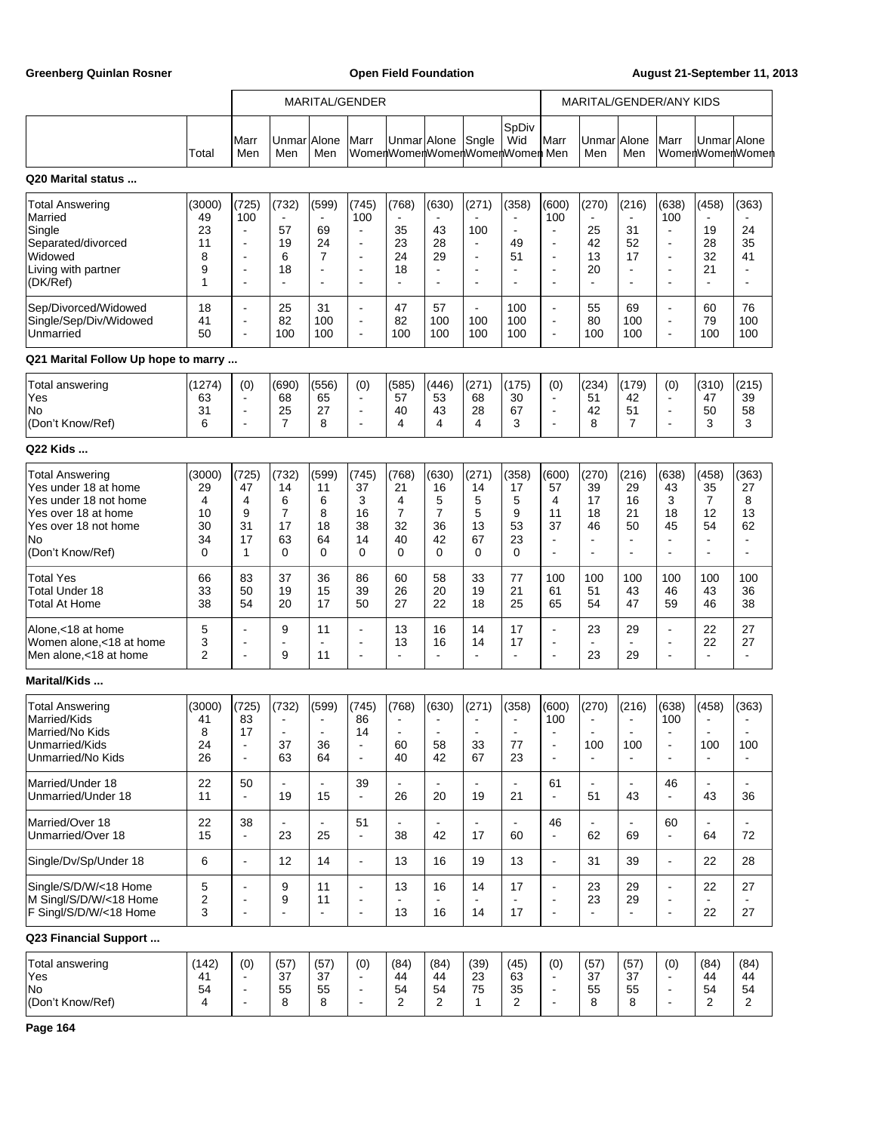Greenberg Quinlan Rosner **Communist Communist Communist Communist Communist Communist Communist Communist Communist Communist Communist Communist Communist Communist Communist Communist Communist Communist Communist Commun** 

|                                                                                                                                                  |                                          |                                                           | MARITAL/GENDER                                              |                                                                                             |                                                                                                                            |                                                       |                                                                               |                                                                                      | MARITAL/GENDER/ANY KIDS                               |                                                                    |                                                                             |                                                           |                                                                                                        |                                                                                      |                                                                  |
|--------------------------------------------------------------------------------------------------------------------------------------------------|------------------------------------------|-----------------------------------------------------------|-------------------------------------------------------------|---------------------------------------------------------------------------------------------|----------------------------------------------------------------------------------------------------------------------------|-------------------------------------------------------|-------------------------------------------------------------------------------|--------------------------------------------------------------------------------------|-------------------------------------------------------|--------------------------------------------------------------------|-----------------------------------------------------------------------------|-----------------------------------------------------------|--------------------------------------------------------------------------------------------------------|--------------------------------------------------------------------------------------|------------------------------------------------------------------|
|                                                                                                                                                  | Total                                    | Marr<br>Men                                               | UnmarlAlone<br>Men                                          | Men                                                                                         | Marr                                                                                                                       | Unmar Alone                                           |                                                                               | Sngle                                                                                | SpDiv<br>Wid<br>WomenWomenWomenWomenWomen Men         | Marr                                                               | Unmarl<br>Men                                                               | Alone<br>Men                                              | Marr                                                                                                   | Unmar Alone                                                                          | WomenWomenWomen                                                  |
| Q20 Marital status                                                                                                                               |                                          |                                                           |                                                             |                                                                                             |                                                                                                                            |                                                       |                                                                               |                                                                                      |                                                       |                                                                    |                                                                             |                                                           |                                                                                                        |                                                                                      |                                                                  |
| <b>Total Answering</b><br>Married<br>Single<br>Separated/divorced<br>Widowed<br>Living with partner<br>(DK/Ref)                                  | (3000)<br>49<br>23<br>11<br>8<br>9<br>1  | (725)<br>100<br>$\blacksquare$<br>L,<br>Ĭ.<br>L,<br>L,    | (732)<br>57<br>19<br>6<br>18<br>$\overline{\phantom{a}}$    | (599)<br>$\overline{\phantom{a}}$<br>69<br>24<br>$\overline{7}$<br>$\overline{\phantom{a}}$ | (745)<br>100<br>$\blacksquare$<br>$\blacksquare$<br>$\overline{\phantom{a}}$<br>$\overline{\phantom{a}}$<br>$\blacksquare$ | (768)<br>35<br>23<br>24<br>18<br>$\blacksquare$       | (630)<br>$\blacksquare$<br>43<br>28<br>29<br>$\blacksquare$<br>$\blacksquare$ | (271)<br>100<br>$\blacksquare$<br>$\blacksquare$<br>$\blacksquare$<br>$\overline{a}$ | (358)<br>49<br>51<br>$\overline{\phantom{a}}$         | (600)<br>100<br>$\blacksquare$<br>L,<br>L,<br>$\blacksquare$<br>Ĭ. | (270)<br>25<br>42<br>13<br>20<br>$\overline{\phantom{a}}$                   | (216)<br>$\sim$<br>31<br>52<br>17<br>$\blacksquare$<br>L, | (638)<br>100<br>$\blacksquare$<br>$\blacksquare$<br>$\blacksquare$<br>$\blacksquare$<br>$\blacksquare$ | (458)<br>$\overline{\phantom{a}}$<br>19<br>28<br>32<br>21<br>$\overline{a}$          | (363)<br>24<br>35<br>41<br>$\blacksquare$<br>ä,                  |
| Sep/Divorced/Widowed<br>Single/Sep/Div/Widowed<br>Unmarried                                                                                      | 18<br>41<br>50                           | L,<br>$\overline{a}$<br>ä,                                | 25<br>82<br>100                                             | 31<br>100<br>100                                                                            | $\overline{\phantom{a}}$<br>$\blacksquare$<br>$\blacksquare$                                                               | 47<br>82<br>100                                       | 57<br>100<br>100                                                              | $\blacksquare$<br>100<br>100                                                         | 100<br>100<br>100                                     | L,<br>$\overline{a}$<br>L,                                         | 55<br>80<br>100                                                             | 69<br>100<br>100                                          | $\blacksquare$<br>$\blacksquare$<br>$\overline{a}$                                                     | 60<br>79<br>100                                                                      | 76<br>100<br>100                                                 |
| Q21 Marital Follow Up hope to marry                                                                                                              |                                          |                                                           |                                                             |                                                                                             |                                                                                                                            |                                                       |                                                                               |                                                                                      |                                                       |                                                                    |                                                                             |                                                           |                                                                                                        |                                                                                      |                                                                  |
| <b>Total answering</b><br>Yes<br>No<br>(Don't Know/Ref)                                                                                          | (1274)<br>63<br>31<br>6                  | (0)<br>$\blacksquare$<br>$\blacksquare$<br>$\blacksquare$ | (690)<br>68<br>25<br>$\overline{7}$                         | (556)<br>65<br>27<br>8                                                                      | (0)<br>$\blacksquare$<br>$\overline{\phantom{a}}$<br>$\blacksquare$                                                        | (585)<br>57<br>40<br>4                                | (446)<br>53<br>43<br>4                                                        | (271)<br>68<br>28<br>4                                                               | (175)<br>30<br>67<br>3                                | (0)<br>$\blacksquare$<br>L,<br>$\blacksquare$                      | (234)<br>51<br>42<br>8                                                      | (179)<br>42<br>51<br>$\overline{7}$                       | (0)<br>$\blacksquare$<br>÷,<br>L,                                                                      | (310)<br>47<br>50<br>3                                                               | (215)<br>39<br>58<br>3                                           |
| Q22 Kids                                                                                                                                         |                                          |                                                           |                                                             |                                                                                             |                                                                                                                            |                                                       |                                                                               |                                                                                      |                                                       |                                                                    |                                                                             |                                                           |                                                                                                        |                                                                                      |                                                                  |
| <b>Total Answering</b><br>Yes under 18 at home<br>Yes under 18 not home<br>Yes over 18 at home<br>Yes over 18 not home<br>No<br>(Don't Know/Ref) | (3000)<br>29<br>4<br>10<br>30<br>34<br>0 | (725)<br>47<br>4<br>9<br>31<br>17<br>1                    | (732)<br>14<br>6<br>7<br>17<br>63<br>0                      | (599)<br>11<br>6<br>8<br>18<br>64<br>$\Omega$                                               | (745)<br>37<br>3<br>16<br>38<br>14<br>$\Omega$                                                                             | (768)<br>21<br>4<br>7<br>32<br>40<br>$\Omega$         | (630)<br>16<br>5<br>$\overline{7}$<br>36<br>42<br>$\Omega$                    | (271)<br>14<br>5<br>5<br>13<br>67<br>$\Omega$                                        | (358)<br>17<br>5<br>9<br>53<br>23<br>$\Omega$         | (600)<br>57<br>4<br>11<br>37<br>$\blacksquare$<br>L,               | (270)<br>39<br>17<br>18<br>46<br>$\overline{\phantom{a}}$<br>$\blacksquare$ | (216)<br>29<br>16<br>21<br>50<br>L,<br>$\blacksquare$     | (638)<br>43<br>3<br>18<br>45<br>$\blacksquare$<br>$\blacksquare$                                       | (458)<br>35<br>7<br>12<br>54<br>$\overline{\phantom{a}}$<br>$\overline{\phantom{a}}$ | (363)<br>27<br>8<br>13<br>62<br>$\blacksquare$<br>$\blacksquare$ |
| <b>Total Yes</b><br>Total Under 18<br>Total At Home                                                                                              | 66<br>33<br>38                           | 83<br>50<br>54                                            | 37<br>19<br>20                                              | 36<br>15<br>17                                                                              | 86<br>39<br>50                                                                                                             | 60<br>26<br>27                                        | 58<br>20<br>22                                                                | 33<br>19<br>18                                                                       | 77<br>21<br>25                                        | 100<br>61<br>65                                                    | 100<br>51<br>54                                                             | 100<br>43<br>47                                           | 100<br>46<br>59                                                                                        | 100<br>43<br>46                                                                      | 100<br>36<br>38                                                  |
| Alone,<18 at home<br>Women alone, < 18 at home<br>Men alone, <18 at home                                                                         | 5<br>3<br>2                              | L,<br>$\overline{a}$<br>ä,                                | 9<br>$\blacksquare$<br>9                                    | 11<br>$\overline{\phantom{a}}$<br>11                                                        | $\blacksquare$<br>$\blacksquare$<br>$\blacksquare$                                                                         | 13<br>13<br>$\blacksquare$                            | 16<br>16<br>$\blacksquare$                                                    | 14<br>14<br>$\blacksquare$                                                           | 17<br>17<br>$\mathbf{r}$                              | L,<br>L,<br>L,                                                     | 23<br>23                                                                    | 29<br>29                                                  | $\blacksquare$<br>$\blacksquare$<br>L,                                                                 | 22<br>22<br>$\overline{\phantom{a}}$                                                 | 27<br>27<br>$\blacksquare$                                       |
| Marital/Kids                                                                                                                                     |                                          |                                                           |                                                             |                                                                                             |                                                                                                                            |                                                       |                                                                               |                                                                                      |                                                       |                                                                    |                                                                             |                                                           |                                                                                                        |                                                                                      |                                                                  |
| Total Answering<br>Married/Kids<br> Married/No Kids<br>Unmarried/Kids<br>Unmarried/No Kids                                                       | (3000)<br>41<br>8<br>24<br>26            | (725)<br>83<br>17<br>$\blacksquare$<br>$\blacksquare$     | (732)<br>$\blacksquare$<br>$\ddot{\phantom{0}}$<br>37<br>63 | (599)<br>$\blacksquare$<br>$\blacksquare$<br>36<br>64                                       | (745)<br>86<br>14<br>$\blacksquare$<br>$\blacksquare$                                                                      | (768)<br>$\blacksquare$<br>$\blacksquare$<br>60<br>40 | (630)<br>$\blacksquare$<br>$\blacksquare$<br>58<br>42                         | (271)<br>$\blacksquare$<br>$\blacksquare$<br>33<br>67                                | (358)<br>$\blacksquare$<br>$\blacksquare$<br>77<br>23 | (600)<br>100<br>$\blacksquare$<br>$\blacksquare$<br>$\blacksquare$ | (270)<br>$\blacksquare$<br>$\blacksquare$<br>100                            | (216)<br>$\blacksquare$<br>$\blacksquare$<br>100          | (638)<br>100<br>$\overline{a}$<br>$\blacksquare$                                                       | (458)<br>$\blacksquare$<br>$\blacksquare$<br>100<br>$\sim$                           | (363)<br>$\blacksquare$<br>100<br>÷                              |
| Married/Under 18<br>Unmarried/Under 18                                                                                                           | 22<br>11                                 | 50<br>÷.                                                  | 19                                                          | $\blacksquare$<br>15                                                                        | 39                                                                                                                         | 26                                                    | $\blacksquare$<br>20                                                          | $\blacksquare$<br>19                                                                 | 21                                                    | 61                                                                 | 51                                                                          | 43                                                        | 46<br>$\blacksquare$                                                                                   | $\blacksquare$<br>43                                                                 | 36                                                               |
| Married/Over 18<br>Unmarried/Over 18                                                                                                             | 22<br>15                                 | 38<br>$\blacksquare$                                      | 23                                                          | $\blacksquare$<br>25                                                                        | 51<br>$\blacksquare$                                                                                                       | 38                                                    | $\blacksquare$<br>42                                                          | $\blacksquare$<br>17                                                                 | 60                                                    | 46<br>$\blacksquare$                                               | 62                                                                          | $\blacksquare$<br>69                                      | 60<br>$\blacksquare$                                                                                   | $\blacksquare$<br>64                                                                 | 72                                                               |
| Single/Dv/Sp/Under 18                                                                                                                            | 6                                        | $\blacksquare$                                            | 12                                                          | 14                                                                                          | $\overline{a}$                                                                                                             | 13                                                    | 16                                                                            | 19                                                                                   | 13                                                    | $\blacksquare$                                                     | 31                                                                          | 39                                                        | ÷,                                                                                                     | 22                                                                                   | 28                                                               |
| Single/S/D/W/<18 Home<br>M Singl/S/D/W/<18 Home<br>F Singl/S/D/W/<18 Home                                                                        | 5<br>2<br>3                              | L,<br>$\blacksquare$<br>$\blacksquare$                    | 9<br>9<br>$\blacksquare$                                    | 11<br>11<br>$\blacksquare$                                                                  | $\overline{a}$<br>$\overline{a}$<br>$\overline{a}$                                                                         | 13<br>13                                              | 16<br>16                                                                      | 14<br>14                                                                             | 17<br>17                                              | L,<br>$\overline{a}$<br>$\overline{a}$                             | 23<br>23                                                                    | 29<br>29<br>$\sim$                                        | ÷,<br>$\blacksquare$<br>$\blacksquare$                                                                 | 22<br>22                                                                             | 27<br>27                                                         |
| Q23 Financial Support                                                                                                                            |                                          |                                                           |                                                             |                                                                                             |                                                                                                                            |                                                       |                                                                               |                                                                                      |                                                       |                                                                    |                                                                             |                                                           |                                                                                                        |                                                                                      |                                                                  |
| <b>Total answering</b><br>Yes<br>No<br>(Don't Know/Ref)                                                                                          | (142)<br>41<br>54<br>4                   | (0)<br>$\blacksquare$<br>$\blacksquare$<br>ä,             | (57)<br>37<br>55<br>8                                       | (57)<br>37<br>55<br>8                                                                       | (0)<br>$\blacksquare$<br>÷,                                                                                                | (84)<br>44<br>54<br>$\overline{2}$                    | (84)<br>44<br>54<br>2                                                         | (39)<br>23<br>75<br>1                                                                | (45)<br>63<br>35<br>2                                 | (0)<br>$\blacksquare$<br>$\overline{a}$<br>÷,                      | (57)<br>37<br>55<br>8                                                       | (57)<br>37<br>55<br>8                                     | (0)<br>$\blacksquare$<br>$\blacksquare$<br>÷,                                                          | (84)<br>44<br>54<br>2                                                                | (84)<br>44<br>54<br>$\overline{2}$                               |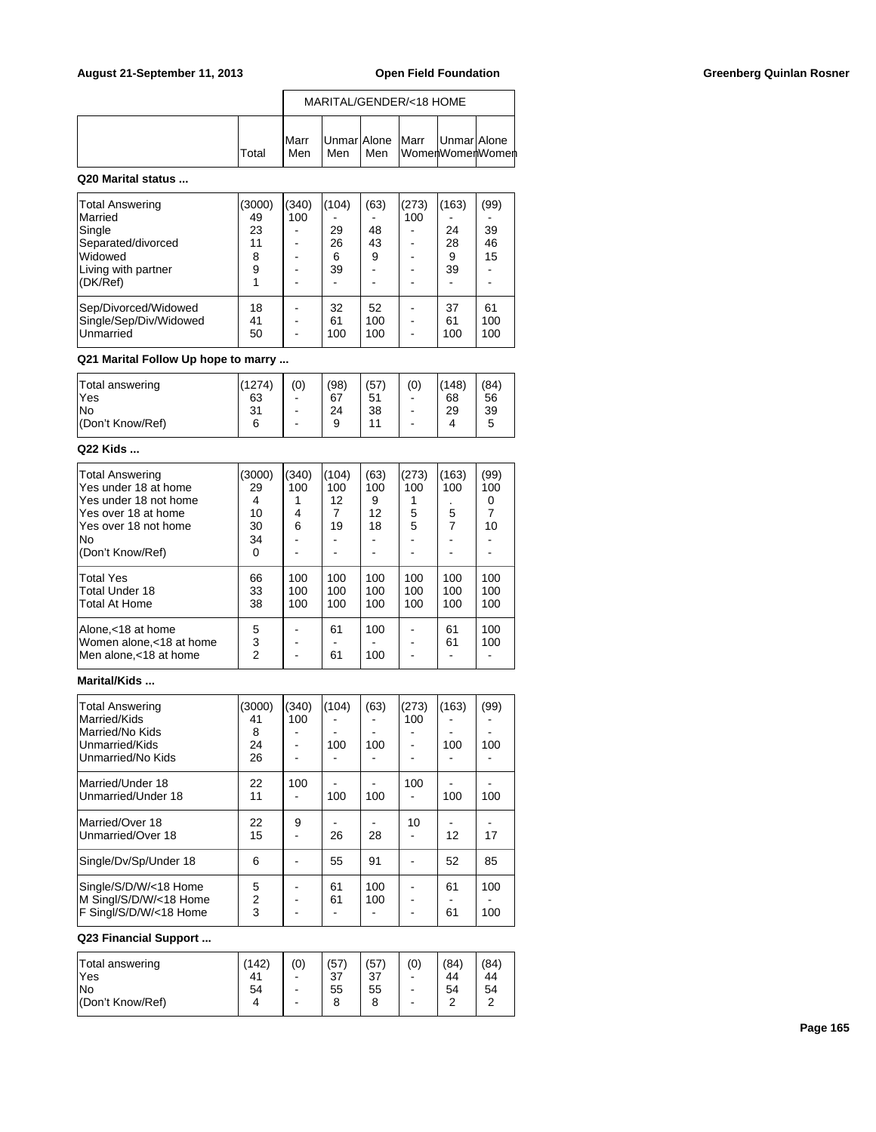|              |                      |     |     | MARITAL/GENDER/<18 HOME          |                 |
|--------------|----------------------|-----|-----|----------------------------------|-----------------|
| <b>Total</b> | <b>I</b> Marr<br>Men | Men | Men | Unmar Alone   Marr   Unmar Alone | WomenWomenWomen |

## **Q20 Marital status ...**

| <b>Total Answering</b><br>Married<br>Single<br>Separated/divorced<br>Widowed<br>Living with partner<br>(DK/Ref) | 3000)<br>49<br>23<br>11<br>8<br>9 | (340)<br>100 | (104)<br>29<br>26<br>6<br>39 | (63)<br>48<br>43<br>9 | (273)<br>100 | (163)<br>24<br>28<br>9<br>39 | (99)<br>39<br>46<br>15 |
|-----------------------------------------------------------------------------------------------------------------|-----------------------------------|--------------|------------------------------|-----------------------|--------------|------------------------------|------------------------|
| Sep/Divorced/Widowed<br>Single/Sep/Div/Widowed<br>Unmarried                                                     | 18<br>41<br>50                    |              | 32<br>61<br>100              | 52<br>100<br>100      |              | 37<br>61<br>100              | 61<br>100<br>100       |

# **Q21 Marital Follow Up hope to marry ...**

| Total answering   | (1274) | (0) | (98) | '57 | (0) | (148) | (84) |
|-------------------|--------|-----|------|-----|-----|-------|------|
| 'Yes              | 63     |     | 67   | 51  | -   | 68    | 56   |
| lNo               | 31     | -   | 24   | 38  | -   | 29    | 39   |
| l(Don't Know/Ref) | 6      | -   | 9    | 44  | -   | 4     | 5    |

### **Q22 Kids ...**

| Total Answering<br>lYes under 18 at home | (3000)<br>29   | (340)<br>100 | (104)<br>100 | (63)<br>100 | (273)<br>100 | (163)<br>100 | (99)<br>100 |
|------------------------------------------|----------------|--------------|--------------|-------------|--------------|--------------|-------------|
|                                          |                |              |              |             |              |              |             |
| lYes under 18 not home                   | 4              |              | 12           | 9           |              |              | 0           |
| lYes over 18 at home                     | 10             | 4            | 7            | 12          | 5            | 5            |             |
| lYes over 18 not home                    | 30             | 6            | 19           | 18          | 5            | 7            | 10          |
| lNo                                      | 34             |              |              |             |              |              |             |
| (Don't Know/Ref)                         | 0              |              |              |             |              |              |             |
| Total Yes                                | 66             | 100          | 100          | 100         | 100          | 100          | 100         |
| lTotal Under 18                          | 33             | 100          | 100          | 100         | 100          | 100          | 100         |
| Total At Home                            | 38             | 100          | 100          | 100         | 100          | 100          | 100         |
| Alone,<18 at home                        | 5              |              | 61           | 100         |              | 61           | 100         |
| Women alone,<18 at home                  | 3              |              |              |             |              | 61           | 100         |
| Men alone.<18 at home                    | $\overline{2}$ |              | 61           | 100         |              |              |             |

# **Marital/Kids ...**

| <b>Total Answering</b><br>Married/Kids<br>Married/No Kids<br>Unmarried/Kids<br>Unmarried/No Kids | (3000)<br>41<br>8<br>24<br>26 | (340)<br>100 | (104)<br>100 | (63)<br>100 | (273)<br>100 | (163)<br>100 | (99)<br>100 |
|--------------------------------------------------------------------------------------------------|-------------------------------|--------------|--------------|-------------|--------------|--------------|-------------|
| Married/Under 18<br>Unmarried/Under 18                                                           | 22<br>11                      | 100          | 100          | 100         | 100          | 100          | 100         |
| Married/Over 18<br>Unmarried/Over 18                                                             | 22<br>15                      | 9            | 26           | 28          | 10           | 12           | 17          |
| Single/Dv/Sp/Under 18                                                                            | 6                             |              | 55           | 91          |              | 52           | 85          |
| Single/S/D/W/<18 Home<br>M Singl/S/D/W/<18 Home<br>F Singl/S/D/W/<18 Home                        | 5<br>$\overline{2}$<br>3      |              | 61<br>61     | 100<br>100  |              | 61<br>61     | 100<br>100  |

# **Q23 Financial Support ...**

| Total answering  | (142) | (0) | (57) | (57 | (0) | (84        | (84)       |
|------------------|-------|-----|------|-----|-----|------------|------------|
| <b>Yes</b>       | 41    | ۰   | 37   | 37  | -   | 44         | 44         |
| lNo              | 54    | ۰   | 55   | 55  | -   | 54         | 54         |
| (Don't Know/Ref) | 4     | ۰   | 8    | 8   | -   | $\sqrt{2}$ | $\sqrt{2}$ |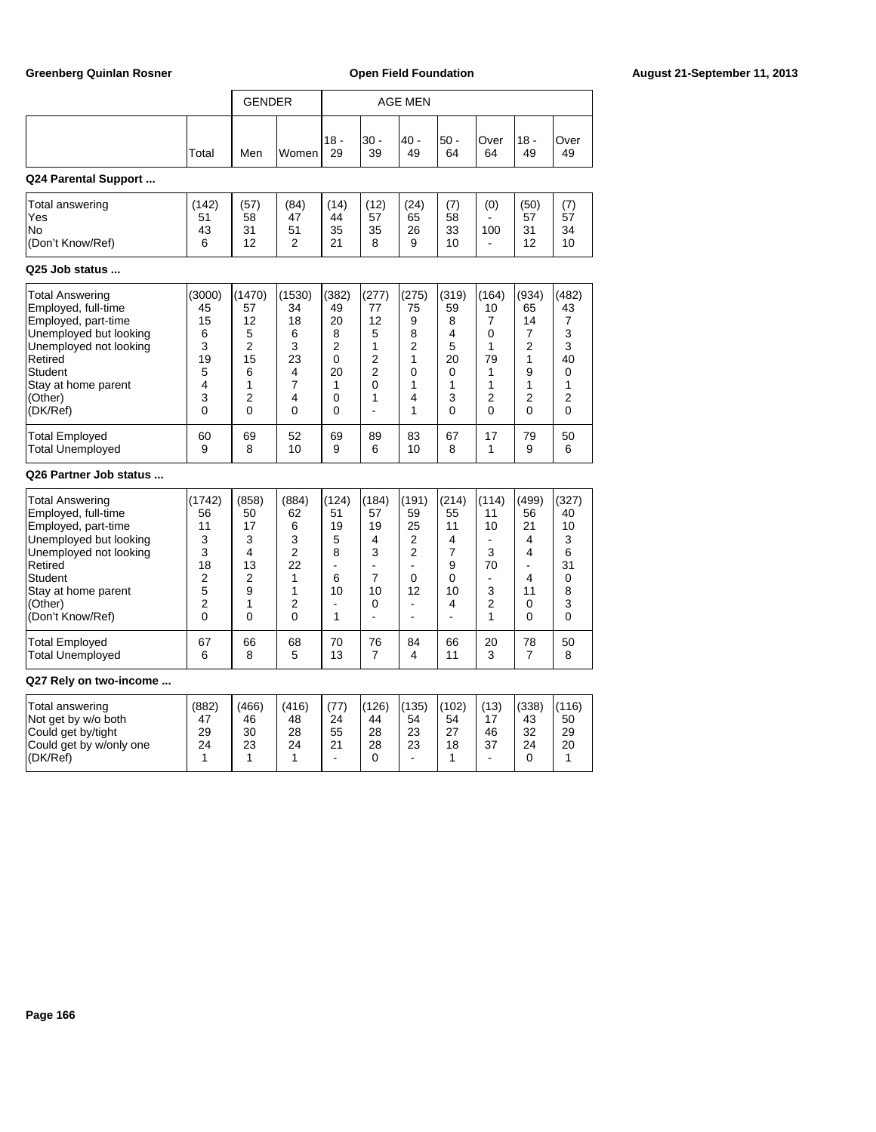|                                                                                                                                                                                                                                |                                                                                         | <b>GENDER</b>                                                                    |                                                                                                  |                                                                                 |                                                                                                   | <b>AGE MEN</b>                                                         |                                                                           |                                                                                 |                                                                         |                                                                        |
|--------------------------------------------------------------------------------------------------------------------------------------------------------------------------------------------------------------------------------|-----------------------------------------------------------------------------------------|----------------------------------------------------------------------------------|--------------------------------------------------------------------------------------------------|---------------------------------------------------------------------------------|---------------------------------------------------------------------------------------------------|------------------------------------------------------------------------|---------------------------------------------------------------------------|---------------------------------------------------------------------------------|-------------------------------------------------------------------------|------------------------------------------------------------------------|
|                                                                                                                                                                                                                                | Total                                                                                   | Men                                                                              | Women                                                                                            | $18 -$<br>29                                                                    | $30 -$<br>39                                                                                      | 40 -<br>49                                                             | $50 -$<br>64                                                              | Over<br>64                                                                      | $18 -$<br>49                                                            | Over<br>49                                                             |
| Q24 Parental Support                                                                                                                                                                                                           |                                                                                         |                                                                                  |                                                                                                  |                                                                                 |                                                                                                   |                                                                        |                                                                           |                                                                                 |                                                                         |                                                                        |
| Total answering<br>Yes<br>No<br>(Don't Know/Ref)                                                                                                                                                                               | (142)<br>51<br>43<br>6                                                                  | (57)<br>58<br>31<br>12                                                           | (84)<br>47<br>51<br>$\overline{2}$                                                               | (14)<br>44<br>35<br>21                                                          | (12)<br>57<br>35<br>8                                                                             | (24)<br>65<br>26<br>9                                                  | (7)<br>58<br>33<br>10                                                     | (0)<br>100<br>$\overline{a}$                                                    | (50)<br>57<br>31<br>12                                                  | (7)<br>57<br>34<br>10                                                  |
| Q25 Job status                                                                                                                                                                                                                 |                                                                                         |                                                                                  |                                                                                                  |                                                                                 |                                                                                                   |                                                                        |                                                                           |                                                                                 |                                                                         |                                                                        |
| <b>Total Answering</b><br>Employed, full-time<br>Employed, part-time<br>Unemployed but looking<br>Unemployed not looking<br>Retired<br>Student<br>Stay at home parent<br>(Other)<br>(DK/Ref)<br><b>Total Employed</b>          | (3000)<br>45<br>15<br>6<br>3<br>19<br>5<br>4<br>3<br>0<br>60                            | (1470)<br>57<br>12<br>5<br>$\overline{2}$<br>15<br>6<br>1<br>2<br>$\Omega$<br>69 | (1530)<br>34<br>18<br>6<br>3<br>23<br>4<br>$\overline{7}$<br>4<br>$\Omega$<br>52                 | (382)<br>49<br>20<br>8<br>$\overline{2}$<br>0<br>20<br>1<br>0<br>$\Omega$<br>69 | (277)<br>77<br>12<br>5<br>1<br>$\overline{2}$<br>$\overline{2}$<br>0<br>1<br>$\overline{a}$<br>89 | (275)<br>75<br>9<br>8<br>$\overline{2}$<br>1<br>0<br>1<br>4<br>1<br>83 | (319)<br>59<br>8<br>4<br>5<br>20<br>$\Omega$<br>1<br>3<br>$\Omega$<br>67  | (164)<br>10<br>7<br>0<br>1<br>79<br>1<br>1<br>2<br>$\Omega$<br>17               | (934)<br>65<br>14<br>7<br>$\overline{2}$<br>1<br>9<br>1<br>2<br>0<br>79 | (482)<br>43<br>7<br>3<br>3<br>40<br>0<br>1<br>2<br>$\Omega$<br>50      |
| <b>Total Unemployed</b>                                                                                                                                                                                                        | 9                                                                                       | 8                                                                                | 10                                                                                               | 9                                                                               | 6                                                                                                 | 10                                                                     | 8                                                                         | 1                                                                               | 9                                                                       | 6                                                                      |
| Q26 Partner Job status<br><b>Total Answering</b><br>Employed, full-time<br>Employed, part-time<br>Unemployed but looking<br>Unemployed not looking<br>Retired<br>Student<br>Stay at home parent<br>(Other)<br>(Don't Know/Ref) | (1742)<br>56<br>11<br>3<br>3<br>18<br>$\overline{2}$<br>5<br>$\overline{2}$<br>$\Omega$ | (858)<br>50<br>17<br>3<br>4<br>13<br>2<br>9<br>1<br>$\Omega$                     | (884)<br>62<br>6<br>3<br>$\overline{2}$<br>22<br>$\mathbf{1}$<br>1<br>$\overline{2}$<br>$\Omega$ | (124)<br>51<br>19<br>5<br>8<br>$\blacksquare$<br>6<br>10<br>$\blacksquare$<br>1 | (184)<br>57<br>19<br>4<br>3<br>÷,<br>$\overline{7}$<br>10<br>0<br>÷,                              | (191)<br>59<br>25<br>2<br>$\overline{2}$<br>L.<br>0<br>12<br>÷,<br>ä,  | (214)<br>55<br>11<br>4<br>$\overline{7}$<br>9<br>$\Omega$<br>10<br>4<br>٠ | (114)<br>11<br>10<br>$\overline{a}$<br>3<br>70<br>$\blacksquare$<br>3<br>2<br>1 | (499)<br>56<br>21<br>4<br>4<br>L.<br>4<br>11<br>0<br>$\Omega$           | (327)<br>40<br>10<br>3<br>6<br>31<br>$\mathbf 0$<br>8<br>3<br>$\Omega$ |
| <b>Total Employed</b><br><b>Total Unemployed</b>                                                                                                                                                                               | 67<br>6                                                                                 | 66<br>8                                                                          | 68<br>5                                                                                          | 70<br>13                                                                        | 76<br>7                                                                                           | 84<br>4                                                                | 66<br>11                                                                  | 20<br>3                                                                         | 78<br>7                                                                 | 50<br>8                                                                |

## **Q27 Rely on two-income ...**

| Total answering<br>Not get by w/o both<br>Could get by/tight | (882)<br>47<br>29 | (466)<br>46<br>30 | (416)<br>48<br>28 | (77)<br>24<br>55 | (126)<br>44<br>28 | (135)<br>54<br>23 | (102)<br>54<br>27 | (13)<br>46 | (338)<br>43<br>32 | (116)<br>50<br>29 |
|--------------------------------------------------------------|-------------------|-------------------|-------------------|------------------|-------------------|-------------------|-------------------|------------|-------------------|-------------------|
| Could get by w/only one<br>I(DK/Ref)                         | 24                | 23                | 24                | 21               | 28                | 23<br>-           | 18                | 37         | 24                | 20                |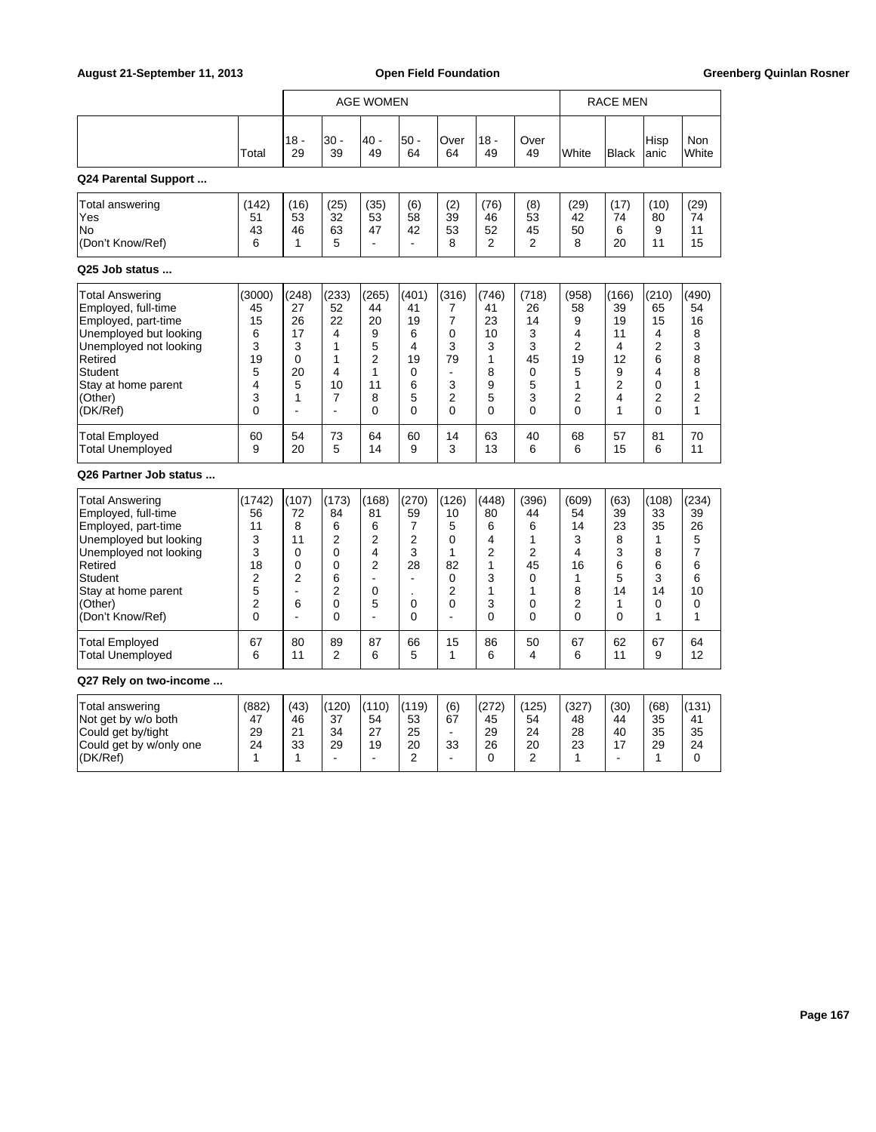|                                                                                                                                                                                                      |                                                        |                                                                      | AGE WOMEN                                              |                                                                    |                                                                      |                                                                                          |                                                            |                                                                 | RACE MEN                                                          |                                                                   |                                                       |                                                                            |
|------------------------------------------------------------------------------------------------------------------------------------------------------------------------------------------------------|--------------------------------------------------------|----------------------------------------------------------------------|--------------------------------------------------------|--------------------------------------------------------------------|----------------------------------------------------------------------|------------------------------------------------------------------------------------------|------------------------------------------------------------|-----------------------------------------------------------------|-------------------------------------------------------------------|-------------------------------------------------------------------|-------------------------------------------------------|----------------------------------------------------------------------------|
|                                                                                                                                                                                                      | Total                                                  | $18 -$<br>29                                                         | 30 -<br>39                                             | 40 -<br>49                                                         | $50 -$<br>64                                                         | Over<br>64                                                                               | $18 -$<br>49                                               | Over<br>49                                                      | White                                                             | <b>Black</b>                                                      | Hisp<br>anic                                          | Non<br>White                                                               |
| Q24 Parental Support                                                                                                                                                                                 |                                                        |                                                                      |                                                        |                                                                    |                                                                      |                                                                                          |                                                            |                                                                 |                                                                   |                                                                   |                                                       |                                                                            |
| Total answering<br>Yes<br>No<br>(Don't Know/Ref)                                                                                                                                                     | (142)<br>51<br>43<br>6                                 | (16)<br>53<br>46<br>1                                                | (25)<br>32<br>63<br>5                                  | (35)<br>53<br>47<br>$\overline{a}$                                 | (6)<br>58<br>42<br>$\overline{a}$                                    | (2)<br>39<br>53<br>8                                                                     | (76)<br>46<br>52<br>2                                      | (8)<br>53<br>45<br>$\overline{2}$                               | (29)<br>42<br>50<br>8                                             | (17)<br>74<br>6<br>20                                             | (10)<br>80<br>9<br>11                                 | (29)<br>74<br>11<br>15                                                     |
| Q25 Job status                                                                                                                                                                                       |                                                        |                                                                      |                                                        |                                                                    |                                                                      |                                                                                          |                                                            |                                                                 |                                                                   |                                                                   |                                                       |                                                                            |
| <b>Total Answering</b><br>Employed, full-time<br>Employed, part-time<br>Unemployed but looking<br>Unemployed not looking<br>Retired<br>Student<br>Stay at home parent<br>(Other)<br>(DK/Ref)         | (3000)<br>45<br>15<br>6<br>3<br>19<br>5<br>4<br>3<br>0 | (248)<br>27<br>26<br>17<br>3<br>0<br>20<br>5<br>1<br>ä,              | (233)<br>52<br>22<br>4<br>1<br>1<br>4<br>10<br>7<br>L. | (265)<br>44<br>20<br>9<br>5<br>$\overline{2}$<br>1<br>11<br>8<br>0 | (401)<br>41<br>19<br>6<br>4<br>19<br>0<br>6<br>5<br>$\Omega$         | (316)<br>7<br>$\overline{7}$<br>$\mathbf 0$<br>3<br>79<br>÷,<br>3<br>$\overline{c}$<br>0 | (746)<br>41<br>23<br>10<br>3<br>1<br>8<br>9<br>5<br>0      | (718)<br>26<br>14<br>3<br>3<br>45<br>$\mathbf 0$<br>5<br>3<br>0 | (958)<br>58<br>9<br>4<br>$\overline{2}$<br>19<br>5<br>1<br>2<br>0 | (166)<br>39<br>19<br>11<br>4<br>12<br>9<br>2<br>4<br>$\mathbf{1}$ | (210)<br>65<br>15<br>4<br>2<br>6<br>4<br>0<br>2<br>0  | (490)<br>54<br>16<br>8<br>3<br>8<br>8<br>$\mathbf{1}$<br>2<br>$\mathbf{1}$ |
| <b>Total Employed</b><br><b>Total Unemployed</b>                                                                                                                                                     | 60<br>9                                                | 54<br>20                                                             | 73<br>5                                                | 64<br>14                                                           | 60<br>9                                                              | 14<br>3                                                                                  | 63<br>13                                                   | 40<br>6                                                         | 68<br>6                                                           | 57<br>15                                                          | 81<br>6                                               | 70<br>11                                                                   |
| Q26 Partner Job status                                                                                                                                                                               |                                                        |                                                                      |                                                        |                                                                    |                                                                      |                                                                                          |                                                            |                                                                 |                                                                   |                                                                   |                                                       |                                                                            |
| <b>Total Answering</b><br>Employed, full-time<br>Employed, part-time<br>Unemployed but looking<br>Unemployed not looking<br>Retired<br>Student<br>Stay at home parent<br>(Other)<br>(Don't Know/Ref) | (1742)<br>56<br>11<br>3<br>3<br>18<br>2<br>5<br>2<br>0 | (107)<br>72<br>8<br>11<br>0<br>$\Omega$<br>$\overline{2}$<br>ä,<br>6 | (173)<br>84<br>6<br>2<br>0<br>0<br>6<br>2<br>0<br>0    | (168)<br>81<br>6<br>2<br>4<br>2<br>÷,<br>$\mathbf 0$<br>5<br>÷,    | (270)<br>59<br>$\overline{7}$<br>2<br>3<br>28<br>÷,<br>0<br>$\Omega$ | (126)<br>10<br>5<br>0<br>1<br>82<br>$\mathbf 0$<br>$\overline{2}$<br>0<br>$\overline{a}$ | (448)<br>80<br>6<br>4<br>2<br>1<br>3<br>1<br>3<br>$\Omega$ | (396)<br>44<br>6<br>1<br>2<br>45<br>0<br>1<br>0<br>$\mathbf{0}$ | (609)<br>54<br>14<br>3<br>4<br>16<br>1<br>8<br>2<br>$\mathbf{0}$  | (63)<br>39<br>23<br>8<br>3<br>6<br>5<br>14<br>1<br>$\mathbf{0}$   | (108)<br>33<br>35<br>1<br>8<br>6<br>3<br>14<br>0<br>1 | (234)<br>39<br>26<br>5<br>$\overline{7}$<br>6<br>6<br>10<br>0<br>1         |
| Total Employed<br><b>Total Unemployed</b>                                                                                                                                                            | 67<br>6                                                | 80<br>11                                                             | 89<br>2                                                | 87<br>6                                                            | 66<br>5                                                              | 15<br>1                                                                                  | 86<br>6                                                    | 50<br>4                                                         | 67<br>6                                                           | 62<br>11                                                          | 67<br>9                                               | 64<br>12                                                                   |
| Q27 Rely on two-income                                                                                                                                                                               |                                                        |                                                                      |                                                        |                                                                    |                                                                      |                                                                                          |                                                            |                                                                 |                                                                   |                                                                   |                                                       |                                                                            |
| Total answering<br>Not get by w/o both<br>Could get by/tight<br>Could get by w/only one<br>(DK/Ref)                                                                                                  | (882)<br>47<br>29<br>24<br>$\mathbf{1}$                | (43)<br>46<br>21<br>33<br>$\mathbf{1}$                               | (120)<br>37<br>34<br>29<br>$\blacksquare$              | (110)<br>54<br>27<br>19<br>$\blacksquare$                          | (119)<br>53<br>25<br>20<br>2                                         | (6)<br>67<br>$\blacksquare$<br>33<br>$\blacksquare$                                      | (272)<br>45<br>29<br>26<br>0                               | (125)<br>54<br>24<br>20<br>$\overline{2}$                       | (327)<br>48<br>28<br>23<br>1                                      | (30)<br>44<br>40<br>17                                            | (68)<br>35<br>35<br>29<br>$\mathbf{1}$                | (131)<br>41<br>35<br>24<br>0                                               |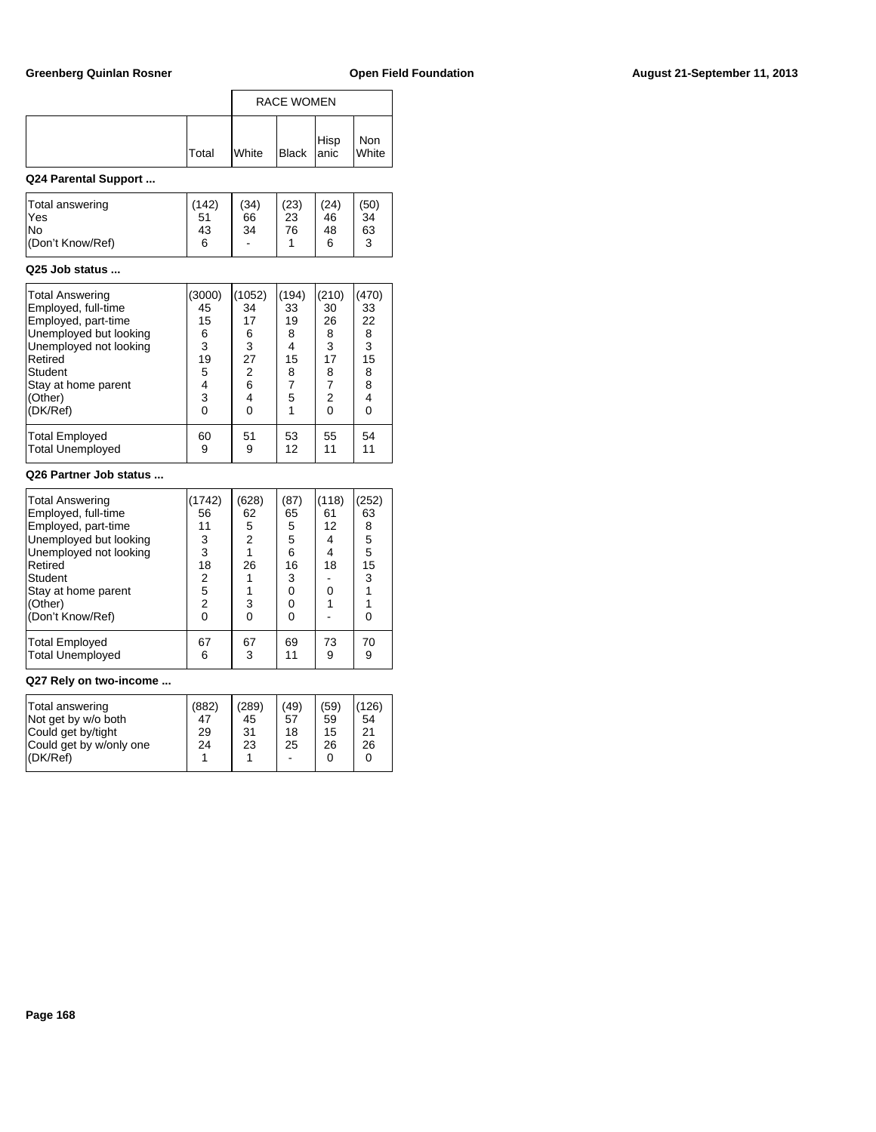|                                                                                                                                                                                              |                                                                   |                                                                            | <b>RACE WOMEN</b>                                                  |                                                                                        |                                                              |
|----------------------------------------------------------------------------------------------------------------------------------------------------------------------------------------------|-------------------------------------------------------------------|----------------------------------------------------------------------------|--------------------------------------------------------------------|----------------------------------------------------------------------------------------|--------------------------------------------------------------|
|                                                                                                                                                                                              | Total                                                             | White                                                                      | <b>Black</b>                                                       | Hisp<br>anic                                                                           | Non<br>White                                                 |
| Q24 Parental Support                                                                                                                                                                         |                                                                   |                                                                            |                                                                    |                                                                                        |                                                              |
| Total answering<br>Yes<br>No<br>(Don't Know/Ref)                                                                                                                                             | (142)<br>51<br>43<br>6                                            | (34)<br>66<br>34                                                           | (23)<br>23<br>76<br>1                                              | (24)<br>46<br>48<br>6                                                                  | (50)<br>34<br>63<br>3                                        |
| Q25 Job status                                                                                                                                                                               |                                                                   |                                                                            |                                                                    |                                                                                        |                                                              |
| <b>Total Answering</b><br>Employed, full-time<br>Employed, part-time<br>Unemployed but looking<br>Unemployed not looking<br>Retired<br>Student<br>Stay at home parent<br>(Other)<br>(DK/Ref) | (3000)<br>45<br>15<br>6<br>3<br>19<br>5<br>4<br>3<br>$\mathbf{0}$ | (1052)<br>34<br>17<br>6<br>3<br>27<br>$\overline{2}$<br>6<br>4<br>$\Omega$ | (194)<br>33<br>19<br>8<br>4<br>15<br>8<br>$\overline{7}$<br>5<br>1 | (210)<br>30<br>26<br>8<br>3<br>17<br>8<br>$\overline{7}$<br>$\overline{2}$<br>$\Omega$ | (470)<br>33<br>22<br>8<br>3<br>15<br>8<br>8<br>4<br>$\Omega$ |
| <b>Total Employed</b><br><b>Total Unemployed</b>                                                                                                                                             | 60<br>9                                                           | 51<br>9                                                                    | 53<br>12                                                           | 55<br>11                                                                               | 54<br>11                                                     |
| Q26 Partner Job status                                                                                                                                                                       |                                                                   |                                                                            |                                                                    |                                                                                        |                                                              |
| <b>Total Answering</b><br>Employed, full-time<br>Employed, part-time<br>Unemployed but looking<br>Unemployed not looking<br>$D$ of irol                                                      | (1742)<br>56<br>11<br>3<br>3<br>10                                | (628)<br>62<br>5<br>$\frac{2}{1}$<br>0C                                    | (87)<br>65<br>5<br>5<br>6<br>$\sim$                                | (118)<br>61<br>12<br>4<br>4<br>10                                                      | (252)<br>63<br>8<br>5<br>5<br>4E                             |

| Unemployed not looking    |    |    | 6  | 4  | 5  |  |  |  |
|---------------------------|----|----|----|----|----|--|--|--|
| Retired                   | 18 | 26 | 16 | 18 | 15 |  |  |  |
| Student                   | 2  |    | 3  |    | 3  |  |  |  |
| Stay at home parent       | 5  |    | 0  |    |    |  |  |  |
| (Other)                   | 2  | 3  | 0  |    |    |  |  |  |
| (Don't Know/Ref)          | 0  |    |    |    |    |  |  |  |
| Total Employed            | 67 | 67 | 69 | 73 | 70 |  |  |  |
| Total Unemployed          | 6  | 3  | 11 | 9  | 9  |  |  |  |
| 887 Belliam Allia Saadkaa |    |    |    |    |    |  |  |  |

### **Q27 Rely on two-income ...**

| Total answering<br>Not get by w/o both<br>Could get by/tight<br>Could get by w/only one<br>$ $ (DK/Ref) | (882)<br>47<br>29<br>24 | (289)<br>45<br>31<br>23 | (49)<br>57<br>18<br>25<br>$\blacksquare$ | (59)<br>59<br>15<br>26<br>0 | (126)<br>54<br>21<br>26<br>0 |
|---------------------------------------------------------------------------------------------------------|-------------------------|-------------------------|------------------------------------------|-----------------------------|------------------------------|
|                                                                                                         |                         |                         |                                          |                             |                              |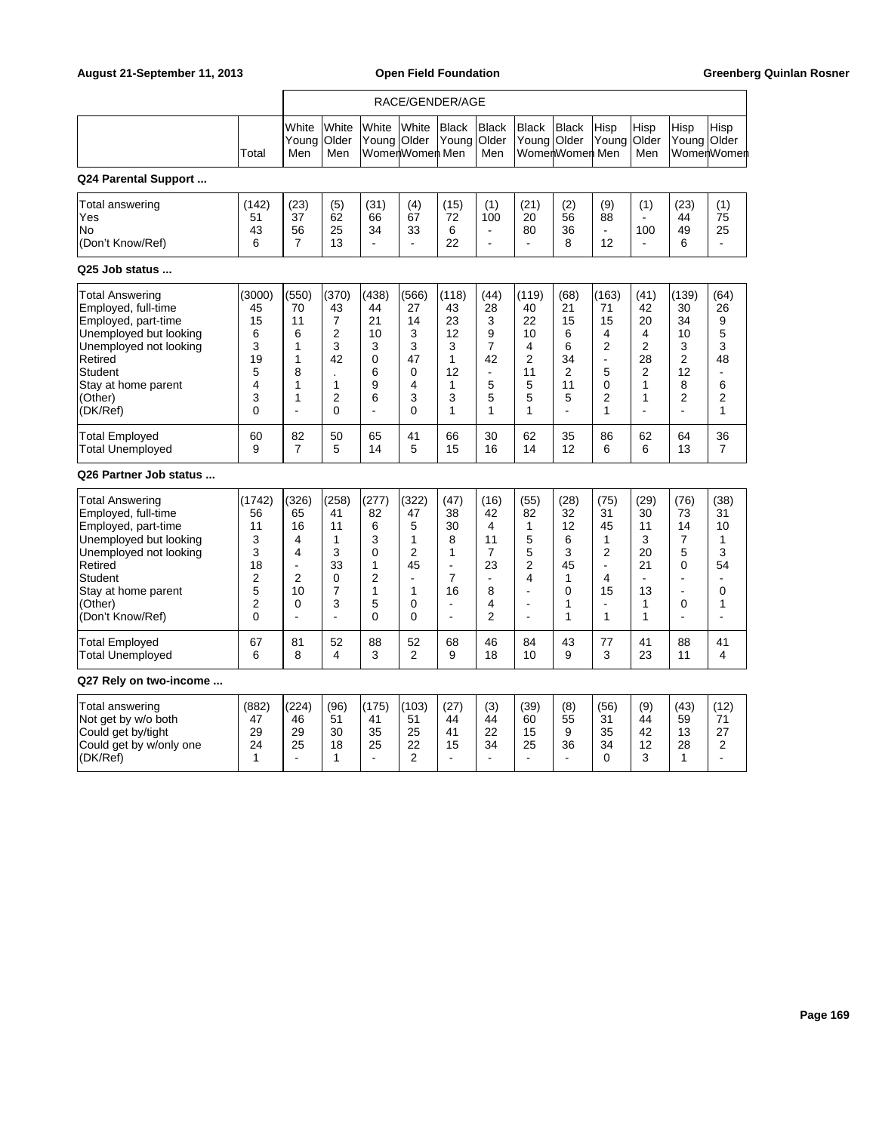r

|                                                                                                                                                                                               |                                                                     | RACE/GENDER/AGE                                                                                              |                                                                               |                                                                       |                                                                          |                                                                                 |                                                                                          |                                                                                           |                                                                                 |                                                                                          |                                                                                 |                                                                                   |                                                                               |
|-----------------------------------------------------------------------------------------------------------------------------------------------------------------------------------------------|---------------------------------------------------------------------|--------------------------------------------------------------------------------------------------------------|-------------------------------------------------------------------------------|-----------------------------------------------------------------------|--------------------------------------------------------------------------|---------------------------------------------------------------------------------|------------------------------------------------------------------------------------------|-------------------------------------------------------------------------------------------|---------------------------------------------------------------------------------|------------------------------------------------------------------------------------------|---------------------------------------------------------------------------------|-----------------------------------------------------------------------------------|-------------------------------------------------------------------------------|
|                                                                                                                                                                                               | Total                                                               | White<br>Young<br>Men                                                                                        | White<br>Older<br>Men                                                         | White<br>Young Older                                                  | White<br>WomenWomen Men                                                  | <b>Black</b><br>Young                                                           | <b>Black</b><br>Older<br>Men                                                             | <b>Black</b><br>Young                                                                     | <b>Black</b><br>Older<br>WomerWomer Men                                         | Hisp<br>Young                                                                            | Hisp<br>Older<br>Men                                                            | Hisp<br>Young Older                                                               | Hisp<br>WomenWomen                                                            |
| Q24 Parental Support                                                                                                                                                                          |                                                                     |                                                                                                              |                                                                               |                                                                       |                                                                          |                                                                                 |                                                                                          |                                                                                           |                                                                                 |                                                                                          |                                                                                 |                                                                                   |                                                                               |
| Total answering<br>Yes<br>No<br>(Don't Know/Ref)                                                                                                                                              | (142)<br>51<br>43<br>6                                              | (23)<br>37<br>56<br>7                                                                                        | (5)<br>62<br>25<br>13                                                         | (31)<br>66<br>34<br>$\blacksquare$                                    | (4)<br>67<br>33<br>÷,                                                    | (15)<br>72<br>6<br>22                                                           | (1)<br>100<br>$\blacksquare$<br>÷,                                                       | (21)<br>20<br>80<br>$\overline{a}$                                                        | (2)<br>56<br>36<br>8                                                            | (9)<br>88<br>12                                                                          | (1)<br>$\mathbf{r}$<br>100<br>÷,                                                | (23)<br>44<br>49<br>6                                                             | (1)<br>75<br>25<br>$\overline{\phantom{a}}$                                   |
| Q25 Job status                                                                                                                                                                                |                                                                     |                                                                                                              |                                                                               |                                                                       |                                                                          |                                                                                 |                                                                                          |                                                                                           |                                                                                 |                                                                                          |                                                                                 |                                                                                   |                                                                               |
| Total Answering<br>Employed, full-time<br>Employed, part-time<br>Unemployed but looking<br>Unemployed not looking<br>Retired<br>Student<br>Stay at home parent<br>(Other)<br>(DK/Ref)         | (3000)<br>45<br>15<br>6<br>3<br>19<br>5<br>4<br>3<br>0              | (550)<br>70<br>11<br>6<br>$\mathbf{1}$<br>$\mathbf{1}$<br>8<br>$\mathbf{1}$<br>1<br>$\overline{\phantom{a}}$ | (370)<br>43<br>$\overline{7}$<br>2<br>3<br>42<br>1<br>2<br>$\Omega$           | (438)<br>44<br>21<br>10<br>3<br>$\Omega$<br>6<br>9<br>6<br>÷,         | (566)<br>27<br>14<br>3<br>3<br>47<br>0<br>4<br>3<br>0                    | (118)<br>43<br>23<br>12<br>3<br>$\mathbf{1}$<br>12<br>1<br>3<br>1               | (44)<br>28<br>3<br>9<br>$\overline{7}$<br>42<br>$\blacksquare$<br>5<br>5<br>$\mathbf{1}$ | (119)<br>40<br>22<br>10<br>4<br>$\overline{2}$<br>11<br>5<br>5<br>1                       | (68)<br>21<br>15<br>6<br>6<br>34<br>$\overline{2}$<br>11<br>5<br>$\overline{a}$ | (163)<br>71<br>15<br>4<br>$\overline{2}$<br>$\blacksquare$<br>5<br>$\mathbf 0$<br>2<br>1 | (41)<br>42<br>20<br>4<br>$\overline{2}$<br>28<br>$\overline{2}$<br>1<br>1<br>÷. | (139)<br>30<br>34<br>10<br>3<br>$\overline{2}$<br>12<br>8<br>$\overline{2}$<br>÷, | (64)<br>26<br>9<br>5<br>3<br>48<br>$\overline{a}$<br>6<br>$\overline{2}$<br>1 |
| <b>Total Employed</b><br><b>Total Unemployed</b>                                                                                                                                              | 60<br>9                                                             | 82<br>7                                                                                                      | 50<br>5                                                                       | 65<br>14                                                              | 41<br>5                                                                  | 66<br>15                                                                        | 30<br>16                                                                                 | 62<br>14                                                                                  | 35<br>12                                                                        | 86<br>6                                                                                  | 62<br>6                                                                         | 64<br>13                                                                          | 36<br>$\overline{7}$                                                          |
| Q26 Partner Job status                                                                                                                                                                        |                                                                     |                                                                                                              |                                                                               |                                                                       |                                                                          |                                                                                 |                                                                                          |                                                                                           |                                                                                 |                                                                                          |                                                                                 |                                                                                   |                                                                               |
| Total Answering<br>Employed, full-time<br>Employed, part-time<br>Unemployed but looking<br>Unemployed not looking<br>Retired<br>Student<br>Stay at home parent<br>(Other)<br>(Don't Know/Ref) | (1742)<br>56<br>11<br>3<br>3<br>18<br>2<br>5<br>$\overline{2}$<br>0 | (326)<br>65<br>16<br>$\overline{4}$<br>$\overline{\mathbf{4}}$<br>L.<br>$\overline{2}$<br>10<br>0<br>L,      | (258)<br>41<br>11<br>1<br>3<br>33<br>$\mathbf 0$<br>$\overline{7}$<br>3<br>L. | (277)<br>82<br>6<br>3<br>0<br>1<br>2<br>$\mathbf{1}$<br>5<br>$\Omega$ | (322)<br>47<br>5<br>1<br>2<br>45<br>$\blacksquare$<br>1<br>0<br>$\Omega$ | (47)<br>38<br>30<br>8<br>1<br>$\blacksquare$<br>7<br>16<br>$\blacksquare$<br>ä, | (16)<br>42<br>4<br>11<br>7<br>23<br>$\blacksquare$<br>8<br>4<br>$\overline{2}$           | (55)<br>82<br>1<br>5<br>5<br>$\overline{2}$<br>4<br>÷<br>$\blacksquare$<br>$\blacksquare$ | (28)<br>32<br>12<br>6<br>3<br>45<br>1<br>0<br>1<br>1                            | (75)<br>31<br>45<br>1<br>2<br>÷.<br>4<br>15<br>$\overline{\phantom{a}}$<br>1             | (29)<br>30<br>11<br>3<br>20<br>21<br>$\blacksquare$<br>13<br>$\mathbf{1}$<br>1  | (76)<br>73<br>14<br>$\overline{7}$<br>5<br>0<br>÷,<br>$\overline{a}$<br>0<br>÷,   | (38)<br>31<br>10<br>1<br>3<br>54<br>0<br>1                                    |
| <b>Total Employed</b><br><b>Total Unemployed</b>                                                                                                                                              | 67<br>6                                                             | 81<br>8                                                                                                      | 52<br>4                                                                       | 88<br>3                                                               | 52<br>$\overline{2}$                                                     | 68<br>9                                                                         | 46<br>18                                                                                 | 84<br>10                                                                                  | 43<br>9                                                                         | 77<br>3                                                                                  | 41<br>23                                                                        | 88<br>11                                                                          | 41<br>4                                                                       |
| Q27 Rely on two-income                                                                                                                                                                        |                                                                     |                                                                                                              |                                                                               |                                                                       |                                                                          |                                                                                 |                                                                                          |                                                                                           |                                                                                 |                                                                                          |                                                                                 |                                                                                   |                                                                               |
| Total answering<br>Not get by w/o both<br>Could get by/tight<br>Could get by w/only one<br>(DK/Ref)                                                                                           | (882)<br>47<br>29<br>24<br>1                                        | (224)<br>46<br>29<br>25                                                                                      | (96)<br>51<br>30<br>18<br>1                                                   | (175)<br>41<br>35<br>25<br>$\mathbf{r}$                               | (103)<br>51<br>25<br>22<br>$\overline{2}$                                | (27)<br>44<br>41<br>15                                                          | (3)<br>44<br>22<br>34                                                                    | (39)<br>60<br>15<br>25                                                                    | (8)<br>55<br>9<br>36                                                            | (56)<br>31<br>35<br>34<br>$\Omega$                                                       | (9)<br>44<br>42<br>12<br>3                                                      | (43)<br>59<br>13<br>28<br>$\mathbf{1}$                                            | (12)<br>71<br>27<br>2                                                         |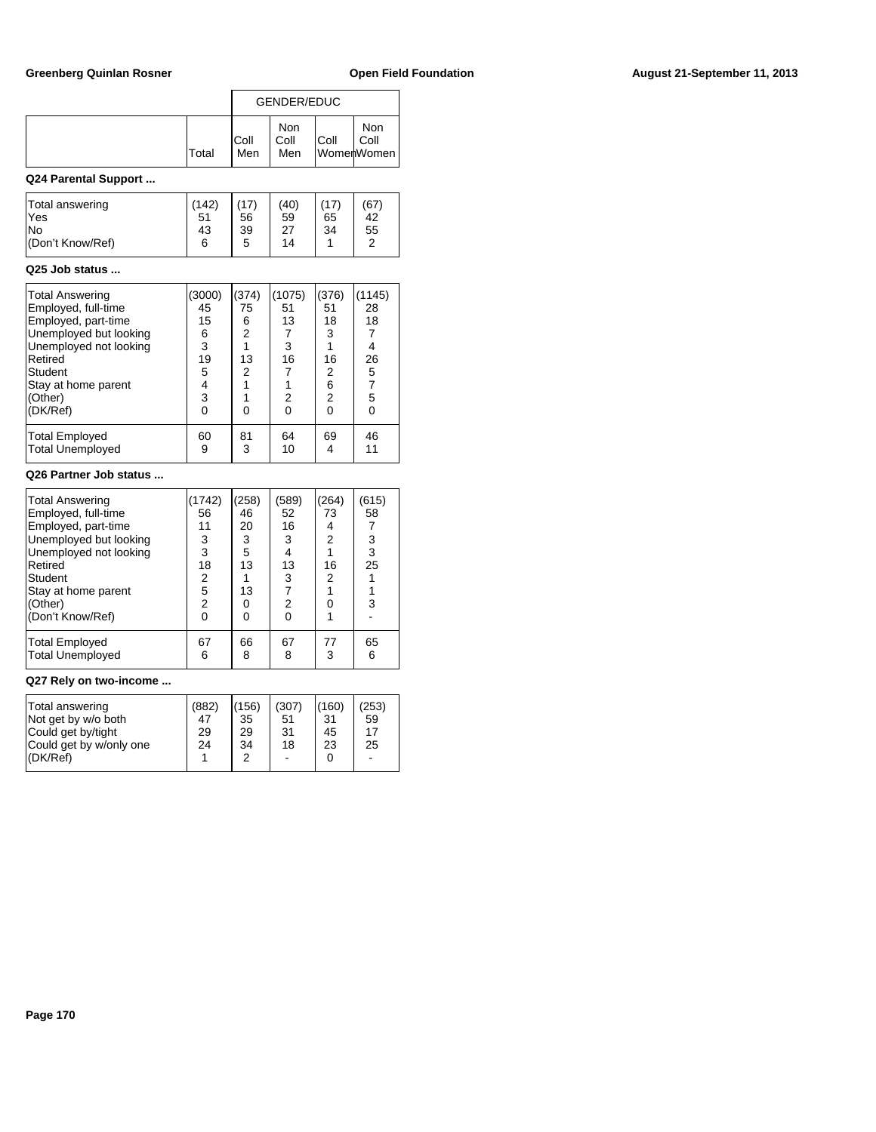|                                                                                                                                                                                              |                                                               |                                                                          | <b>GENDER/EDUC</b>                                                         |                                                                           |                                                                                |
|----------------------------------------------------------------------------------------------------------------------------------------------------------------------------------------------|---------------------------------------------------------------|--------------------------------------------------------------------------|----------------------------------------------------------------------------|---------------------------------------------------------------------------|--------------------------------------------------------------------------------|
|                                                                                                                                                                                              | Total                                                         | Coll<br>Men                                                              | <b>Non</b><br>Coll<br>Men                                                  | Coll                                                                      | <b>Non</b><br>Coll<br>WomenWomen                                               |
| Q24 Parental Support                                                                                                                                                                         |                                                               |                                                                          |                                                                            |                                                                           |                                                                                |
| Total answering<br>Yes<br>No<br>(Don't Know/Ref)                                                                                                                                             | (142)<br>51<br>43<br>6                                        | (17)<br>56<br>39<br>5                                                    | (40)<br>59<br>27<br>14                                                     | (17)<br>65<br>34<br>1                                                     | (67)<br>42<br>55<br>2                                                          |
| Q25 Job status                                                                                                                                                                               |                                                               |                                                                          |                                                                            |                                                                           |                                                                                |
| <b>Total Answering</b><br>Employed, full-time<br>Employed, part-time<br>Unemployed but looking<br>Unemployed not looking<br>Retired<br>Student<br>Stay at home parent<br>(Other)<br>(DK/Ref) | (3000)<br>45<br>15<br>6<br>3<br>19<br>5<br>4<br>3<br>$\Omega$ | (374)<br>75<br>6<br>$\overline{c}$<br>1<br>13<br>2<br>1<br>1<br>$\Omega$ | (1075)<br>51<br>13<br>7<br>3<br>16<br>$\overline{7}$<br>1<br>2<br>$\Omega$ | (376)<br>51<br>18<br>3<br>1<br>16<br>2<br>6<br>$\overline{2}$<br>$\Omega$ | (1145)<br>28<br>18<br>7<br>4<br>26<br>5<br>$\overline{7}$<br>5<br>$\mathbf{0}$ |
| <b>Total Employed</b><br><b>Total Unemployed</b>                                                                                                                                             | 60<br>9                                                       | 81<br>3                                                                  | 64<br>10                                                                   | 69<br>4                                                                   | 46<br>11                                                                       |
| Q26 Partner Job status                                                                                                                                                                       |                                                               |                                                                          |                                                                            |                                                                           |                                                                                |
|                                                                                                                                                                                              |                                                               |                                                                          |                                                                            |                                                                           |                                                                                |

| <b>Total Answering</b><br>Employed, full-time<br>Employed, part-time<br>Unemployed but looking<br>Unemployed not looking<br>Retired<br>Student<br>Stay at home parent | (1742)<br>56<br>11<br>3<br>3<br>18<br>2<br>5 | (258)<br>46<br>20<br>3<br>5<br>13<br>13 | (589)<br>52<br>16<br>3<br>4<br>13<br>3 | (264)<br>73<br>4<br>2<br>16<br>2 | (615)<br>58<br>3<br>3<br>25 |  |
|-----------------------------------------------------------------------------------------------------------------------------------------------------------------------|----------------------------------------------|-----------------------------------------|----------------------------------------|----------------------------------|-----------------------------|--|
| (Other)<br>(Don't Know/Ref)                                                                                                                                           | 2<br>0                                       | 0<br>ŋ                                  | 2                                      |                                  | 3                           |  |
| <b>Total Employed</b><br><b>Total Unemployed</b>                                                                                                                      | 67<br>6                                      | 66<br>8                                 | 67<br>8                                | 77<br>3                          | 65<br>6                     |  |

## **Q27 Rely on two-income ...**

| (DK/Ref)                 | Total answering         | (882) | (156) | (307) | (160) | (253) |
|--------------------------|-------------------------|-------|-------|-------|-------|-------|
| 2                        | Not get by w/o both     | 47    | 35    | 51    | 31    | 59    |
| $\Omega$                 | Could get by/tight      | 29    | 29    | 31    | 45    | 17    |
| $\overline{\phantom{a}}$ | Could get by w/only one | 24    | 34    | 18    | 23    | 25    |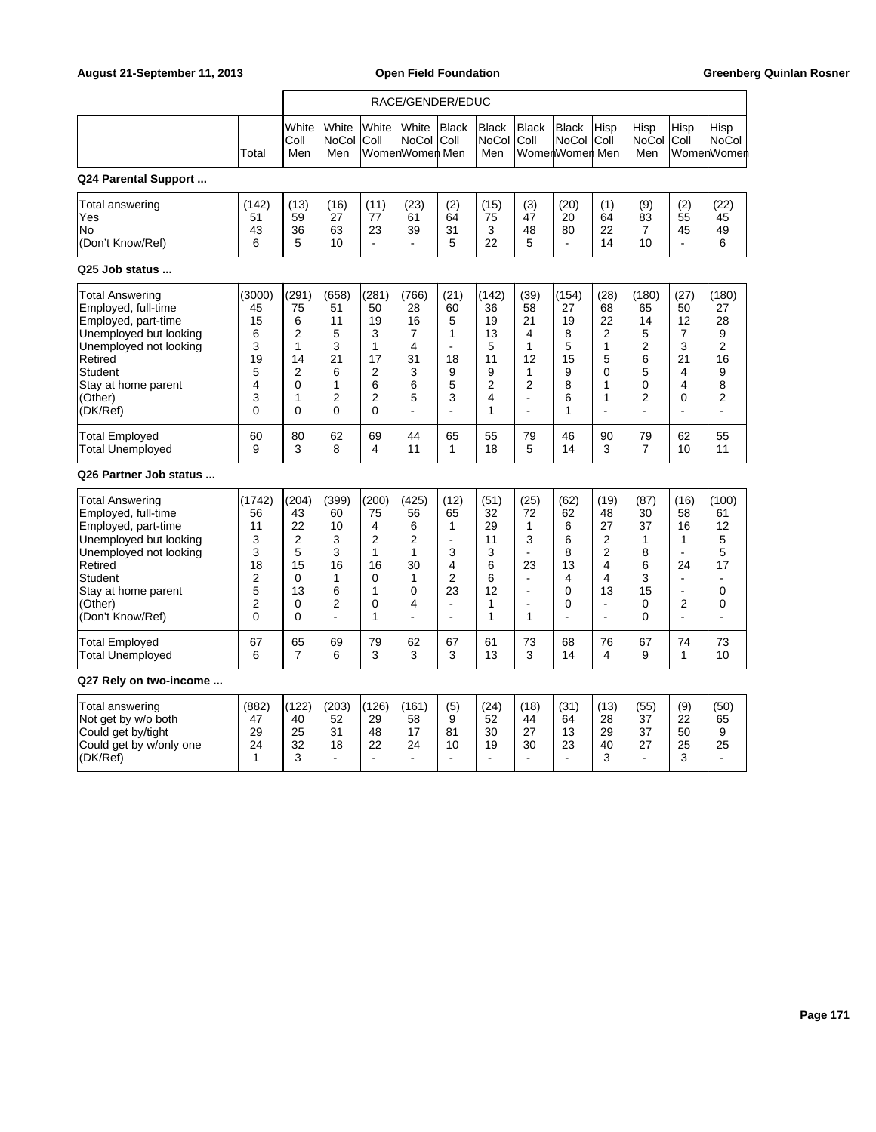|                                                                                                                                                                                                      |                                                                     | RACE/GENDER/EDUC                                                                                    |                                                                    |                                                                                                   |                                                                                                      |                                                                                                            |                                                                             |                                                                                                                   |                                                                  |                                                                                             |                                                                                           |                                                                                                           |                                                               |
|------------------------------------------------------------------------------------------------------------------------------------------------------------------------------------------------------|---------------------------------------------------------------------|-----------------------------------------------------------------------------------------------------|--------------------------------------------------------------------|---------------------------------------------------------------------------------------------------|------------------------------------------------------------------------------------------------------|------------------------------------------------------------------------------------------------------------|-----------------------------------------------------------------------------|-------------------------------------------------------------------------------------------------------------------|------------------------------------------------------------------|---------------------------------------------------------------------------------------------|-------------------------------------------------------------------------------------------|-----------------------------------------------------------------------------------------------------------|---------------------------------------------------------------|
|                                                                                                                                                                                                      | Total                                                               | White<br>Coll<br>Men                                                                                | White<br>NoCol<br>Men                                              | White<br>Coll                                                                                     | White<br>NoCol Coll<br>WomenWomen Men                                                                | Black                                                                                                      | <b>Black</b><br>NoCol<br>Men                                                | <b>Black</b><br> Coll                                                                                             | <b>Black</b><br>NoCol<br>WomenWomen Men                          | Hisp<br> Coll                                                                               | Hisp<br>NoCol<br>Men                                                                      | Hisp<br>Coll                                                                                              | Hisp<br><b>NoCol</b><br>WomenWomen                            |
| Q24 Parental Support                                                                                                                                                                                 |                                                                     |                                                                                                     |                                                                    |                                                                                                   |                                                                                                      |                                                                                                            |                                                                             |                                                                                                                   |                                                                  |                                                                                             |                                                                                           |                                                                                                           |                                                               |
| Total answering<br>Yes<br>No<br>(Don't Know/Ref)                                                                                                                                                     | (142)<br>51<br>43<br>6                                              | (13)<br>59<br>36<br>5                                                                               | (16)<br>27<br>63<br>10                                             | (11)<br>77<br>23<br>$\blacksquare$                                                                | (23)<br>61<br>39<br>$\blacksquare$                                                                   | (2)<br>64<br>31<br>5                                                                                       | (15)<br>75<br>3<br>22                                                       | (3)<br>47<br>48<br>5                                                                                              | (20)<br>20<br>80<br>$\overline{\phantom{a}}$                     | (1)<br>64<br>22<br>14                                                                       | (9)<br>83<br>7<br>10                                                                      | (2)<br>55<br>45<br>$\blacksquare$                                                                         | (22)<br>45<br>49<br>6                                         |
| Q25 Job status                                                                                                                                                                                       |                                                                     |                                                                                                     |                                                                    |                                                                                                   |                                                                                                      |                                                                                                            |                                                                             |                                                                                                                   |                                                                  |                                                                                             |                                                                                           |                                                                                                           |                                                               |
| Total Answering<br>Employed, full-time<br>Employed, part-time<br>Unemployed but looking<br>Unemployed not looking<br>Retired<br>Student<br>Stay at home parent<br>(Other)<br>(DK/Ref)                | (3000)<br>45<br>15<br>6<br>3<br>19<br>5<br>4<br>3<br>0              | (291)<br>75<br>6<br>$\overline{2}$<br>$\mathbf{1}$<br>14<br>$\overline{2}$<br>$\mathbf 0$<br>1<br>0 | (658)<br>51<br>11<br>5<br>3<br>21<br>6<br>1<br>2<br>0              | (281)<br>50<br>19<br>3<br>$\mathbf{1}$<br>17<br>$\overline{2}$<br>6<br>$\overline{2}$<br>$\Omega$ | (766)<br>28<br>16<br>$\overline{7}$<br>4<br>31<br>3<br>6<br>5<br>$\overline{a}$                      | (21)<br>60<br>5<br>1<br>18<br>9<br>5<br>3                                                                  | (142)<br>36<br>19<br>13<br>5<br>11<br>9<br>2<br>4<br>1                      | (39)<br>58<br>21<br>4<br>$\mathbf{1}$<br>12<br>1<br>$\overline{2}$<br>$\overline{\phantom{a}}$<br>÷               | (154)<br>27<br>19<br>8<br>5<br>15<br>9<br>8<br>6<br>1            | (28)<br>68<br>22<br>$\overline{2}$<br>$\mathbf{1}$<br>5<br>$\mathbf 0$<br>1<br>1<br>÷.      | (180)<br>65<br>14<br>5<br>$\overline{2}$<br>6<br>5<br>$\mathbf 0$<br>$\overline{2}$<br>L. | (27)<br>50<br>12<br>$\overline{7}$<br>3<br>21<br>4<br>4<br>$\Omega$<br>÷.                                 | (180)<br>27<br>28<br>9<br>2<br>16<br>9<br>8<br>$\overline{2}$ |
| <b>Total Employed</b><br><b>Total Unemployed</b>                                                                                                                                                     | 60<br>9                                                             | 80<br>3                                                                                             | 62<br>8                                                            | 69<br>4                                                                                           | 44<br>11                                                                                             | 65<br>1                                                                                                    | 55<br>18                                                                    | 79<br>5                                                                                                           | 46<br>14                                                         | 90<br>3                                                                                     | 79<br>$\overline{7}$                                                                      | 62<br>10                                                                                                  | 55<br>11                                                      |
| Q26 Partner Job status                                                                                                                                                                               |                                                                     |                                                                                                     |                                                                    |                                                                                                   |                                                                                                      |                                                                                                            |                                                                             |                                                                                                                   |                                                                  |                                                                                             |                                                                                           |                                                                                                           |                                                               |
| <b>Total Answering</b><br>Employed, full-time<br>Employed, part-time<br>Unemployed but looking<br>Unemployed not looking<br>Retired<br>Student<br>Stay at home parent<br>(Other)<br>(Don't Know/Ref) | (1742)<br>56<br>11<br>3<br>3<br>18<br>$\overline{2}$<br>5<br>2<br>0 | (204)<br>43<br>22<br>$\overline{2}$<br>5<br>15<br>$\Omega$<br>13<br>$\mathbf 0$<br>$\Omega$         | (399)<br>60<br>10<br>3<br>3<br>16<br>1<br>6<br>2<br>$\overline{a}$ | (200)<br>75<br>4<br>2<br>1<br>16<br>$\Omega$<br>1<br>0<br>1                                       | (425)<br>56<br>6<br>$\overline{2}$<br>$\mathbf{1}$<br>30<br>$\mathbf{1}$<br>0<br>4<br>$\overline{a}$ | (12)<br>65<br>$\mathbf{1}$<br>$\sim$<br>3<br>4<br>$\overline{2}$<br>23<br>$\blacksquare$<br>$\overline{a}$ | (51)<br>32<br>29<br>11<br>3<br>6<br>6<br>12<br>$\mathbf{1}$<br>$\mathbf{1}$ | (25)<br>72<br>$\mathbf{1}$<br>3<br>$\overline{a}$<br>23<br>$\blacksquare$<br>÷.<br>$\overline{a}$<br>$\mathbf{1}$ | (62)<br>62<br>6<br>6<br>8<br>13<br>4<br>0<br>0<br>$\overline{a}$ | (19)<br>48<br>27<br>2<br>$\overline{2}$<br>4<br>4<br>13<br>$\blacksquare$<br>$\overline{a}$ | (87)<br>30<br>37<br>1<br>8<br>6<br>3<br>15<br>0<br>$\Omega$                               | (16)<br>58<br>16<br>1<br>$\blacksquare$<br>24<br>$\blacksquare$<br>÷,<br>$\overline{2}$<br>$\overline{a}$ | (100)<br>61<br>12<br>5<br>5<br>17<br>0<br>0<br>L.             |
| <b>Total Employed</b><br><b>Total Unemployed</b>                                                                                                                                                     | 67<br>6                                                             | 65<br>$\overline{7}$                                                                                | 69<br>6                                                            | 79<br>3                                                                                           | 62<br>3                                                                                              | 67<br>3                                                                                                    | 61<br>13                                                                    | 73<br>3                                                                                                           | 68<br>14                                                         | 76<br>4                                                                                     | 67<br>9                                                                                   | 74<br>$\mathbf{1}$                                                                                        | 73<br>10                                                      |
| Q27 Rely on two-income                                                                                                                                                                               |                                                                     |                                                                                                     |                                                                    |                                                                                                   |                                                                                                      |                                                                                                            |                                                                             |                                                                                                                   |                                                                  |                                                                                             |                                                                                           |                                                                                                           |                                                               |
| Total answering<br>Not get by w/o both<br>Could get by/tight<br>Could get by w/only one<br>(DK/Ref)                                                                                                  | (882)<br>47<br>29<br>24<br>1                                        | (122)<br>40<br>25<br>32<br>3                                                                        | (203)<br>52<br>31<br>18                                            | (126)<br>29<br>48<br>22                                                                           | (161)<br>58<br>17<br>24<br>$\blacksquare$                                                            | (5)<br>9<br>81<br>10                                                                                       | (24)<br>52<br>30<br>19<br>ä,                                                | (18)<br>44<br>27<br>30                                                                                            | (31)<br>64<br>13<br>23<br>$\blacksquare$                         | (13)<br>28<br>29<br>40<br>3                                                                 | (55)<br>37<br>37<br>27<br>$\blacksquare$                                                  | (9)<br>22<br>50<br>25<br>3                                                                                | (50)<br>65<br>9<br>25                                         |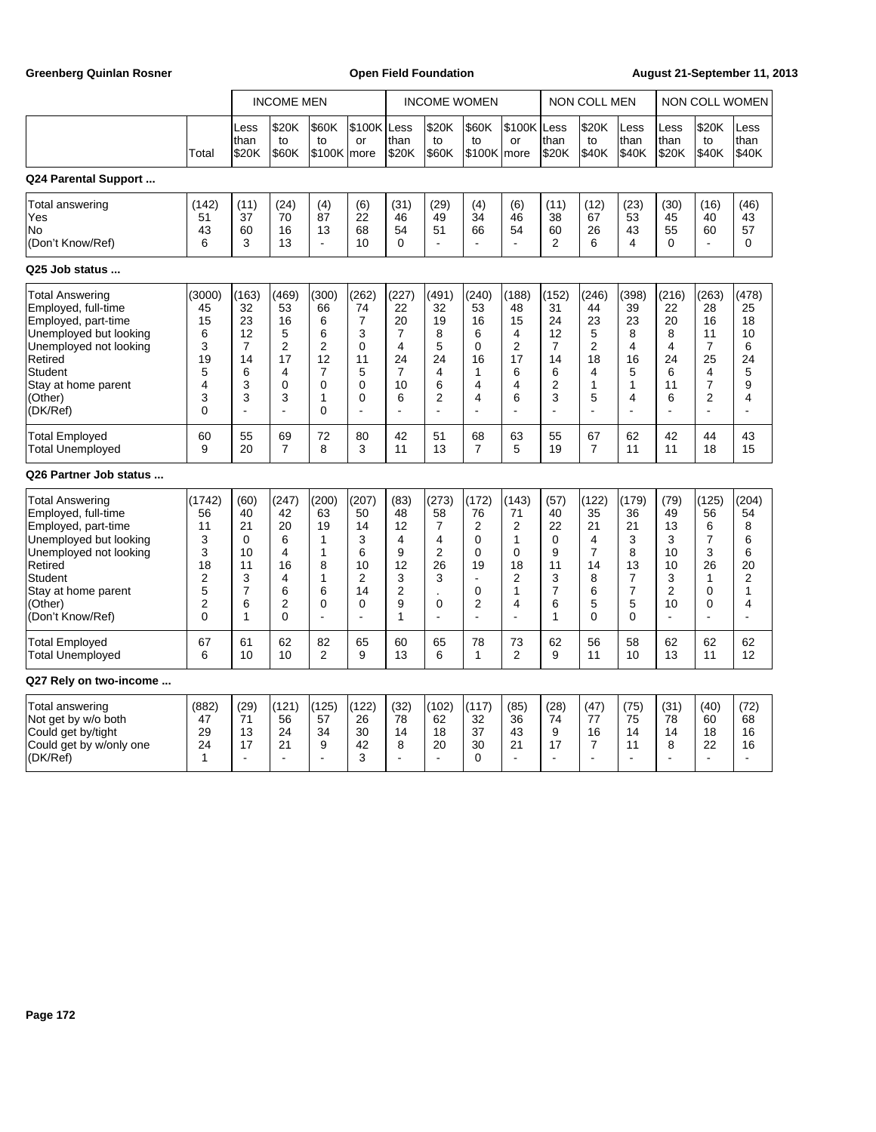Greenberg Quinlan Rosner **Communist Communist Communist Communist Communist Communist Communist Communist Communist Communist Communist Communist Communist Communist Communist Communist Communist Communist Communist Commun** 

|                                                                                                                                                                                                      |                                                                       |                                                                      | <b>INCOME MEN</b>                                                             |                                                                                              |                                                                                            |                                                                             | <b>INCOME WOMEN</b>                                                                    |                                                                                                               |                                                                              | <b>NON COLL MEN</b>                                                         |                                                                           |                                                       | <b>NON COLL WOMEN</b>                                                |                                                                             |                                                                                           |
|------------------------------------------------------------------------------------------------------------------------------------------------------------------------------------------------------|-----------------------------------------------------------------------|----------------------------------------------------------------------|-------------------------------------------------------------------------------|----------------------------------------------------------------------------------------------|--------------------------------------------------------------------------------------------|-----------------------------------------------------------------------------|----------------------------------------------------------------------------------------|---------------------------------------------------------------------------------------------------------------|------------------------------------------------------------------------------|-----------------------------------------------------------------------------|---------------------------------------------------------------------------|-------------------------------------------------------|----------------------------------------------------------------------|-----------------------------------------------------------------------------|-------------------------------------------------------------------------------------------|
|                                                                                                                                                                                                      | Total                                                                 | Less<br>than<br>\$20K                                                | \$20K<br>to<br>\$60K                                                          | \$60K<br>to<br>\$100K                                                                        | \$100K Less<br>or<br>more                                                                  | than<br>\$20K                                                               | \$20K<br>to<br>\$60K                                                                   | \$60K<br>to<br>\$100K                                                                                         | \$100K Less<br>or<br>lmore                                                   | than<br>\$20K                                                               | \$20K<br>to<br>\$40K                                                      | Less<br>than<br>\$40K                                 | Less<br>than<br>\$20K                                                | \$20K<br>to<br>\$40K                                                        | Less<br>than<br>\$40K                                                                     |
| Q24 Parental Support                                                                                                                                                                                 |                                                                       |                                                                      |                                                                               |                                                                                              |                                                                                            |                                                                             |                                                                                        |                                                                                                               |                                                                              |                                                                             |                                                                           |                                                       |                                                                      |                                                                             |                                                                                           |
| Total answering<br>Yes<br>No<br>(Don't Know/Ref)                                                                                                                                                     | (142)<br>51<br>43<br>6                                                | (11)<br>37<br>60<br>3                                                | (24)<br>70<br>16<br>13                                                        | (4)<br>87<br>13<br>$\overline{a}$                                                            | (6)<br>22<br>68<br>10                                                                      | (31)<br>46<br>54<br>0                                                       | (29)<br>49<br>51<br>$\overline{\phantom{a}}$                                           | (4)<br>34<br>66                                                                                               | (6)<br>46<br>54                                                              | (11)<br>38<br>60<br>$\overline{2}$                                          | (12)<br>67<br>26<br>6                                                     | (23)<br>53<br>43<br>4                                 | (30)<br>45<br>55<br>0                                                | (16)<br>40<br>60<br>$\mathbf{r}$                                            | (46)<br>43<br>57<br>$\mathbf 0$                                                           |
| Q25 Job status                                                                                                                                                                                       |                                                                       |                                                                      |                                                                               |                                                                                              |                                                                                            |                                                                             |                                                                                        |                                                                                                               |                                                                              |                                                                             |                                                                           |                                                       |                                                                      |                                                                             |                                                                                           |
| <b>Total Answering</b><br>Employed, full-time<br>Employed, part-time<br>Unemployed but looking<br>Unemployed not looking<br>Retired<br>Student<br>Stay at home parent<br>(Other)<br>(DK/Ref)         | (3000)<br>45<br>15<br>6<br>3<br>19<br>5<br>4<br>3<br>0                | (163)<br>32<br>23<br>12<br>$\overline{7}$<br>14<br>6<br>3<br>3<br>÷, | (469)<br>53<br>16<br>5<br>2<br>17<br>4<br>$\mathbf{0}$<br>3<br>$\overline{a}$ | (300)<br>66<br>6<br>6<br>$\overline{2}$<br>12<br>$\overline{7}$<br>$\Omega$<br>1<br>$\Omega$ | (262)<br>74<br>$\overline{7}$<br>3<br>$\Omega$<br>11<br>5<br>0<br>0                        | (227)<br>22<br>20<br>$\overline{7}$<br>4<br>24<br>$\overline{7}$<br>10<br>6 | (491)<br>32<br>19<br>8<br>5<br>24<br>4<br>6<br>2                                       | (240)<br>53<br>16<br>6<br>0<br>16<br>1<br>4<br>4                                                              | (188)<br>48<br>15<br>4<br>2<br>17<br>6<br>4<br>6                             | (152)<br>31<br>24<br>12<br>$\overline{7}$<br>14<br>6<br>$\overline{2}$<br>3 | (246)<br>44<br>23<br>5<br>$\overline{2}$<br>18<br>4<br>$\mathbf{1}$<br>5  | (398)<br>39<br>23<br>8<br>4<br>16<br>5<br>1<br>4      | (216)<br>22<br>20<br>8<br>4<br>24<br>6<br>11<br>6<br>$\overline{a}$  | (263)<br>28<br>16<br>11<br>$\overline{7}$<br>25<br>4<br>7<br>$\overline{2}$ | (478)<br>25<br>18<br>10<br>6<br>24<br>5<br>9<br>4<br>$\overline{a}$                       |
| <b>Total Employed</b><br><b>Total Unemployed</b>                                                                                                                                                     | 60<br>9                                                               | 55<br>20                                                             | 69<br>7                                                                       | 72<br>8                                                                                      | 80<br>3                                                                                    | 42<br>11                                                                    | 51<br>13                                                                               | 68<br>$\overline{7}$                                                                                          | 63<br>5                                                                      | 55<br>19                                                                    | 67<br>$\overline{7}$                                                      | 62<br>11                                              | 42<br>11                                                             | 44<br>18                                                                    | 43<br>15                                                                                  |
| Q26 Partner Job status                                                                                                                                                                               |                                                                       |                                                                      |                                                                               |                                                                                              |                                                                                            |                                                                             |                                                                                        |                                                                                                               |                                                                              |                                                                             |                                                                           |                                                       |                                                                      |                                                                             |                                                                                           |
| <b>Total Answering</b><br>Employed, full-time<br>Employed, part-time<br>Unemployed but looking<br>Unemployed not looking<br>Retired<br>Student<br>Stay at home parent<br>(Other)<br>(Don't Know/Ref) | (1742)<br>56<br>11<br>3<br>3<br>18<br>$\boldsymbol{2}$<br>5<br>2<br>0 | (60)<br>40<br>21<br>0<br>10<br>11<br>3<br>$\overline{7}$<br>6<br>1   | (247)<br>42<br>20<br>6<br>4<br>16<br>4<br>6<br>2<br>0                         | (200)<br>63<br>19<br>1<br>1<br>8<br>1<br>6<br>0<br>$\overline{a}$                            | (207)<br>50<br>14<br>3<br>6<br>10<br>$\overline{2}$<br>14<br>$\mathbf 0$<br>$\overline{a}$ | (83)<br>48<br>12<br>4<br>9<br>12<br>3<br>2<br>9<br>1                        | (273)<br>58<br>$\overline{7}$<br>4<br>$\overline{2}$<br>26<br>3<br>0<br>$\overline{a}$ | (172)<br>76<br>$\overline{2}$<br>0<br>$\mathbf 0$<br>19<br>$\blacksquare$<br>$\Omega$<br>$\overline{2}$<br>÷. | (143)<br>71<br>$\overline{2}$<br>1<br>$\mathbf{0}$<br>18<br>2<br>1<br>4<br>÷ | (57)<br>40<br>22<br>0<br>9<br>11<br>3<br>7<br>6<br>1                        | (122)<br>35<br>21<br>4<br>$\overline{7}$<br>14<br>8<br>6<br>5<br>$\Omega$ | (179)<br>36<br>21<br>3<br>8<br>13<br>7<br>7<br>5<br>0 | (79)<br>49<br>13<br>3<br>10<br>10<br>3<br>$\overline{2}$<br>10<br>÷. | (125)<br>56<br>6<br>7<br>3<br>26<br>$\mathbf{1}$<br>$\mathbf{0}$<br>0<br>ä, | (204)<br>54<br>8<br>6<br>6<br>20<br>$\overline{2}$<br>$\mathbf{1}$<br>4<br>$\overline{a}$ |
| <b>Total Employed</b><br><b>Total Unemployed</b>                                                                                                                                                     | 67<br>6                                                               | 61<br>10                                                             | 62<br>10                                                                      | 82<br>2                                                                                      | 65<br>9                                                                                    | 60<br>13                                                                    | 65<br>6                                                                                | 78<br>1                                                                                                       | 73<br>$\overline{2}$                                                         | 62<br>9                                                                     | 56<br>11                                                                  | 58<br>10                                              | 62<br>13                                                             | 62<br>11                                                                    | 62<br>12                                                                                  |
| Q27 Rely on two-income                                                                                                                                                                               |                                                                       |                                                                      |                                                                               |                                                                                              |                                                                                            |                                                                             |                                                                                        |                                                                                                               |                                                                              |                                                                             |                                                                           |                                                       |                                                                      |                                                                             |                                                                                           |
| Total answering<br>Not get by w/o both<br>Could get by/tight<br>Could get by w/only one<br>(DK/Ref)                                                                                                  | (882)<br>47<br>29<br>24<br>1                                          | (29)<br>71<br>13<br>17                                               | (121)<br>56<br>24<br>21                                                       | (125)<br>57<br>34<br>9                                                                       | (122)<br>26<br>30<br>42<br>3                                                               | (32)<br>78<br>14<br>8                                                       | (102)<br>62<br>18<br>20                                                                | (117)<br>32<br>37<br>30<br>0                                                                                  | (85)<br>36<br>43<br>21                                                       | (28)<br>74<br>9<br>17                                                       | (47)<br>77<br>16<br>7                                                     | (75)<br>75<br>14<br>11                                | (31)<br>78<br>14<br>8                                                | (40)<br>60<br>18<br>22                                                      | (72)<br>68<br>16<br>16                                                                    |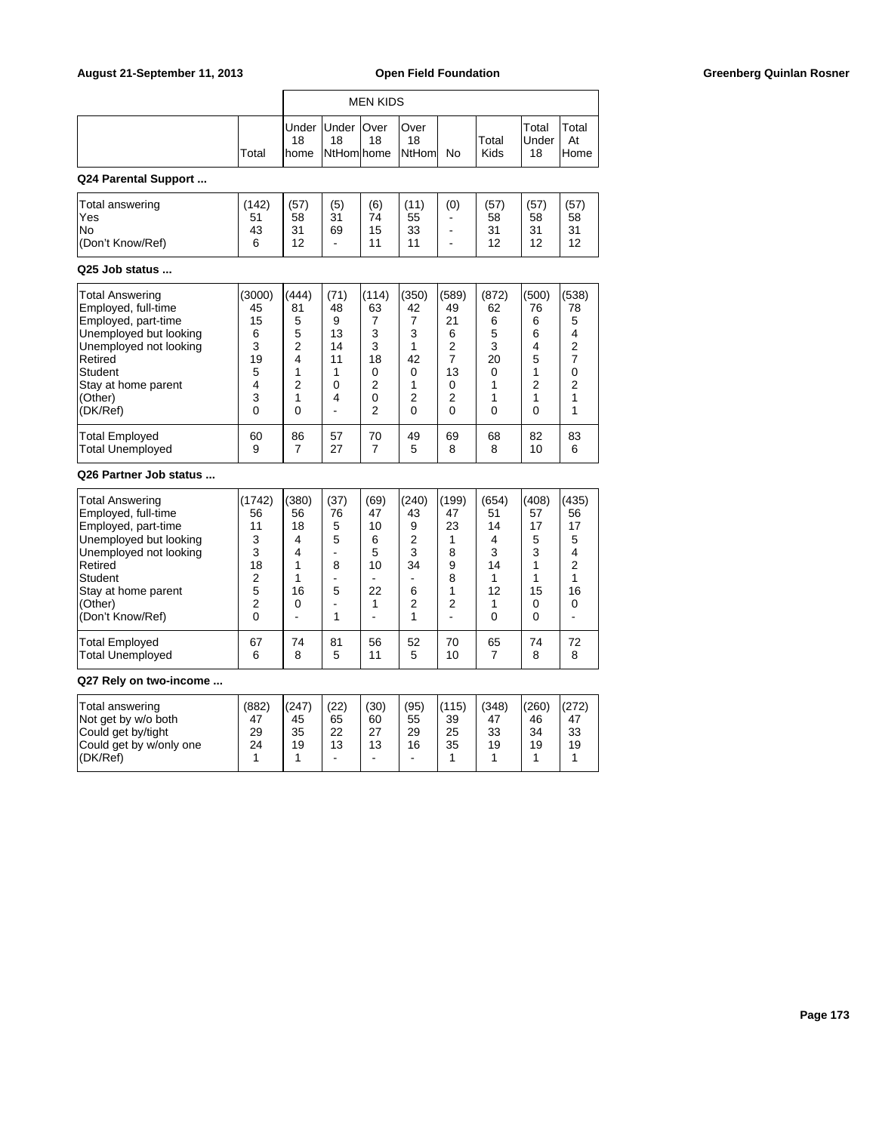|                                                                                                                                                                                                      |                                                                                  |                                                                               |                                                               | <b>MEN KIDS</b>                                                   |                                                                          |                                                                                 |                                                                   |                                                                  |                                                                  |
|------------------------------------------------------------------------------------------------------------------------------------------------------------------------------------------------------|----------------------------------------------------------------------------------|-------------------------------------------------------------------------------|---------------------------------------------------------------|-------------------------------------------------------------------|--------------------------------------------------------------------------|---------------------------------------------------------------------------------|-------------------------------------------------------------------|------------------------------------------------------------------|------------------------------------------------------------------|
|                                                                                                                                                                                                      | Total                                                                            | Under<br>18<br>home                                                           | Under<br>18<br>NtHom home                                     | Over<br>18                                                        | Over<br>18<br>NtHoml                                                     | No                                                                              | Total<br><b>Kids</b>                                              | Total<br>Under<br>18                                             | Total<br>At<br>Home                                              |
| Q24 Parental Support                                                                                                                                                                                 |                                                                                  |                                                                               |                                                               |                                                                   |                                                                          |                                                                                 |                                                                   |                                                                  |                                                                  |
| Total answering<br>Yes<br>No<br>(Don't Know/Ref)                                                                                                                                                     | (142)<br>51<br>43<br>6                                                           | (57)<br>58<br>31<br>12                                                        | (5)<br>31<br>69                                               | (6)<br>74<br>15<br>11                                             | (11)<br>55<br>33<br>11                                                   | (0)<br>ä,<br>$\overline{a}$<br>ä,                                               | (57)<br>58<br>31<br>12                                            | (57)<br>58<br>31<br>12                                           | (57)<br>58<br>31<br>12                                           |
| Q25 Job status                                                                                                                                                                                       |                                                                                  |                                                                               |                                                               |                                                                   |                                                                          |                                                                                 |                                                                   |                                                                  |                                                                  |
| Total Answering<br>Employed, full-time<br>Employed, part-time<br>Unemployed but looking<br>Unemployed not looking<br>Retired<br>Student<br>Stay at home parent<br>(Other)<br>(DK/Ref)                | (3000)<br>45<br>15<br>6<br>3<br>19<br>5<br>4<br>3<br>0                           | (444)<br>81<br>5<br>5<br>$\overline{c}$<br>4<br>1<br>$\overline{2}$<br>1<br>0 | (71)<br>48<br>9<br>13<br>14<br>11<br>1<br>$\Omega$<br>4<br>÷, | (114)<br>63<br>7<br>3<br>3<br>18<br>0<br>2<br>0<br>$\overline{2}$ | (350)<br>42<br>7<br>3<br>1<br>42<br>0<br>1<br>$\overline{2}$<br>$\Omega$ | (589)<br>49<br>21<br>6<br>$\overline{2}$<br>$\overline{7}$<br>13<br>0<br>2<br>0 | (872)<br>62<br>6<br>5<br>3<br>20<br>0<br>1<br>1<br>$\Omega$       | (500)<br>76<br>6<br>6<br>4<br>5<br>1<br>$\overline{2}$<br>1<br>0 | (538)<br>78<br>5<br>4<br>$\overline{2}$<br>7<br>0<br>2<br>1<br>1 |
| Total Employed<br>Total Unemployed                                                                                                                                                                   | 60<br>9                                                                          | 86<br>7                                                                       | 57<br>27                                                      | 70<br>7                                                           | 49<br>5                                                                  | 69<br>8                                                                         | 68<br>8                                                           | 82<br>10                                                         | 83<br>6                                                          |
| Q26 Partner Job status                                                                                                                                                                               |                                                                                  |                                                                               |                                                               |                                                                   |                                                                          |                                                                                 |                                                                   |                                                                  |                                                                  |
| <b>Total Answering</b><br>Employed, full-time<br>Employed, part-time<br>Unemployed but looking<br>Unemployed not looking<br>Retired<br>Student<br>Stay at home parent<br>(Other)<br>(Don't Know/Ref) | (1742)<br>56<br>11<br>3<br>3<br>18<br>$\overline{2}$<br>5<br>$\overline{2}$<br>0 | (380)<br>56<br>18<br>4<br>4<br>1<br>1<br>16<br>0                              | (37)<br>76<br>5<br>5<br>ä,<br>8<br>÷<br>5<br>٠<br>1           | (69)<br>47<br>10<br>6<br>5<br>10<br>÷<br>22<br>1                  | (240)<br>43<br>9<br>$\overline{2}$<br>3<br>34<br>÷.<br>6<br>2<br>1       | (199)<br>47<br>23<br>1<br>8<br>9<br>8<br>1<br>$\overline{2}$<br>$\overline{a}$  | (654)<br>51<br>14<br>4<br>3<br>14<br>1<br>12<br>1<br>$\mathbf{0}$ | (408)<br>57<br>17<br>5<br>3<br>1<br>1<br>15<br>0<br>0            | (435)<br>56<br>17<br>5<br>4<br>$\overline{2}$<br>1<br>16<br>0    |
| <b>Total Employed</b><br><b>Total Unemployed</b>                                                                                                                                                     | 67<br>6                                                                          | 74<br>8                                                                       | 81<br>5                                                       | 56<br>11                                                          | 52<br>5                                                                  | 70<br>10                                                                        | 65<br>7                                                           | 74<br>8                                                          | 72<br>8                                                          |
| Q27 Rely on two-income                                                                                                                                                                               |                                                                                  |                                                                               |                                                               |                                                                   |                                                                          |                                                                                 |                                                                   |                                                                  |                                                                  |
| Total answering<br>Not get by w/o both<br>Could get by/tight                                                                                                                                         | (882)<br>47<br>29                                                                | (247)<br>45<br>35                                                             | (22)<br>65<br>22                                              | (30)<br>60<br>27                                                  | (95)<br>55<br>29                                                         | (115)<br>39<br>25                                                               | (348)<br>47<br>33                                                 | (260)<br>46<br>34                                                | (272)<br>47<br>33                                                |

Could get by w/only one 24 19 13 13 16 35 19 19 19 (DK/Ref) | 1 | 1 | - | - | - | 1 | 1 | 1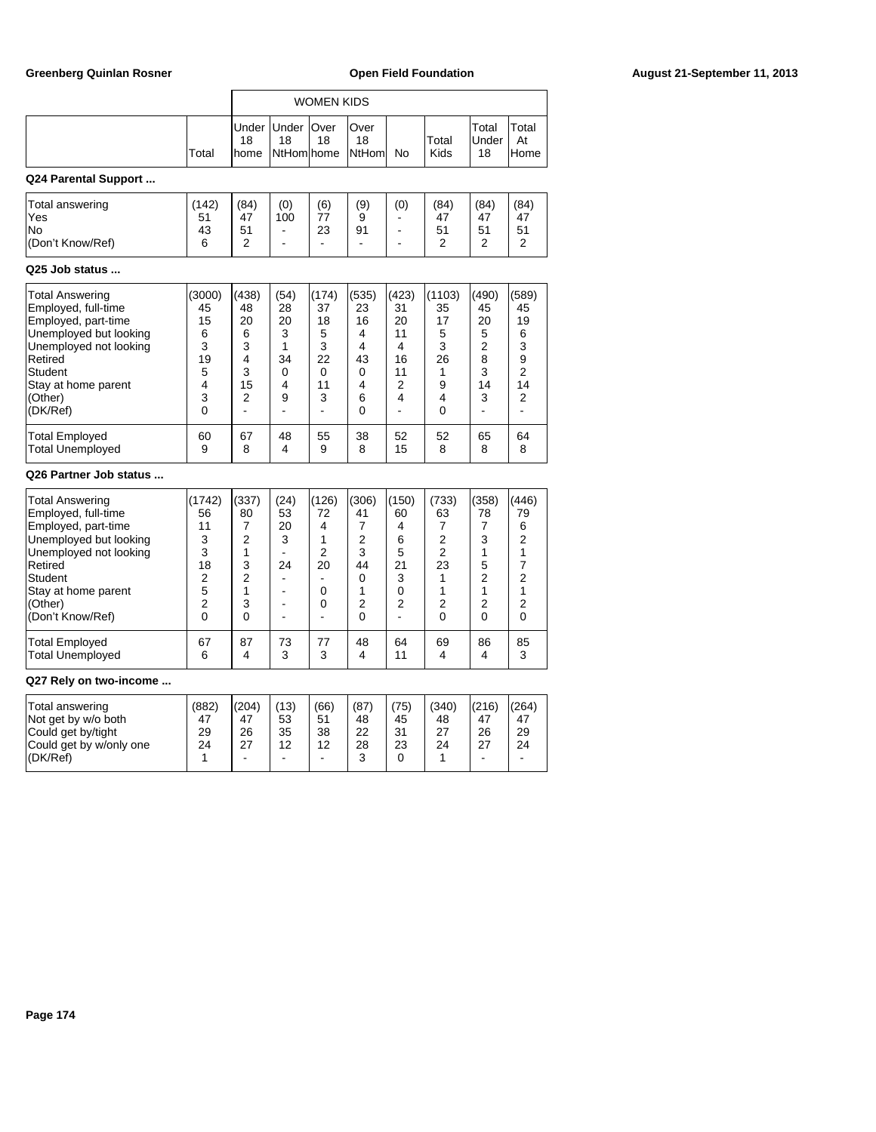|                                                                                                                                                                                                      |                                                                                         |                                                                                      |                                                                                            | <b>WOMEN KIDS</b>                                                                        |                                                                   |                                                                    |                                                                                       |                                                                                      |                                                                                                   |
|------------------------------------------------------------------------------------------------------------------------------------------------------------------------------------------------------|-----------------------------------------------------------------------------------------|--------------------------------------------------------------------------------------|--------------------------------------------------------------------------------------------|------------------------------------------------------------------------------------------|-------------------------------------------------------------------|--------------------------------------------------------------------|---------------------------------------------------------------------------------------|--------------------------------------------------------------------------------------|---------------------------------------------------------------------------------------------------|
|                                                                                                                                                                                                      | Total                                                                                   | Under<br>18<br>home                                                                  | Under  <br>18<br>NtHomlhome                                                                | Over<br>18                                                                               | Over<br>18<br>NtHoml                                              | No                                                                 | Total<br>Kids                                                                         | Total<br>Under<br>18                                                                 | Total<br>At<br>Home                                                                               |
| Q24 Parental Support                                                                                                                                                                                 |                                                                                         |                                                                                      |                                                                                            |                                                                                          |                                                                   |                                                                    |                                                                                       |                                                                                      |                                                                                                   |
| Total answering<br>Yes<br>No<br>(Don't Know/Ref)                                                                                                                                                     | (142)<br>51<br>43<br>6                                                                  | (84)<br>47<br>51<br>2                                                                | (0)<br>100<br>$\blacksquare$<br>÷,                                                         | (6)<br>77<br>23<br>$\sim$                                                                | (9)<br>9<br>91<br>$\blacksquare$                                  | (0)<br>۰<br>÷                                                      | (84)<br>47<br>51<br>2                                                                 | (84)<br>47<br>51<br>2                                                                | (84)<br>47<br>51<br>2                                                                             |
| Q25 Job status                                                                                                                                                                                       |                                                                                         |                                                                                      |                                                                                            |                                                                                          |                                                                   |                                                                    |                                                                                       |                                                                                      |                                                                                                   |
| <b>Total Answering</b><br>Employed, full-time<br>Employed, part-time<br>Unemployed but looking<br>Unemployed not looking<br>Retired<br><b>Student</b><br>Stay at home parent<br>(Other)<br>(DK/Ref)  | (3000)<br>45<br>15<br>6<br>3<br>19<br>5<br>$\overline{\mathbf{4}}$<br>3<br>0            | (438)<br>48<br>20<br>6<br>3<br>4<br>3<br>15<br>2                                     | (54)<br>28<br>20<br>3<br>1<br>34<br>0<br>4<br>9<br>$\overline{a}$                          | (174)<br>37<br>18<br>5<br>3<br>22<br>0<br>11<br>3<br>÷                                   | (535)<br>23<br>16<br>4<br>4<br>43<br>0<br>4<br>6<br>0             | (423)<br>31<br>20<br>11<br>4<br>16<br>11<br>2<br>4                 | (1103)<br>35<br>17<br>5<br>3<br>26<br>1<br>9<br>4<br>0                                | (490)<br>45<br>20<br>5<br>$\overline{2}$<br>8<br>3<br>14<br>3                        | (589)<br>45<br>19<br>6<br>3<br>9<br>$\overline{2}$<br>14<br>$\overline{2}$                        |
| <b>Total Employed</b><br><b>Total Unemployed</b>                                                                                                                                                     | 60<br>9                                                                                 | 67<br>8                                                                              | 48<br>4                                                                                    | 55<br>9                                                                                  | 38<br>8                                                           | 52<br>15                                                           | 52<br>8                                                                               | 65<br>8                                                                              | 64<br>8                                                                                           |
| Q26 Partner Job status                                                                                                                                                                               |                                                                                         |                                                                                      |                                                                                            |                                                                                          |                                                                   |                                                                    |                                                                                       |                                                                                      |                                                                                                   |
| <b>Total Answering</b><br>Employed, full-time<br>Employed, part-time<br>Unemployed but looking<br>Unemployed not looking<br>Retired<br>Student<br>Stay at home parent<br>(Other)<br>(Don't Know/Ref) | (1742)<br>56<br>11<br>3<br>3<br>18<br>$\overline{2}$<br>5<br>$\overline{2}$<br>$\Omega$ | (337)<br>80<br>7<br>$\overline{2}$<br>1<br>3<br>$\overline{2}$<br>1<br>3<br>$\Omega$ | (24)<br>53<br>20<br>3<br>$\mathbf{r}$<br>24<br>$\blacksquare$<br>÷<br>$\blacksquare$<br>L, | (126)<br>72<br>4<br>1<br>$\overline{2}$<br>20<br>÷<br>$\mathbf 0$<br>0<br>$\overline{a}$ | (306)<br>41<br>7<br>$\overline{2}$<br>3<br>44<br>0<br>1<br>2<br>0 | (150)<br>60<br>4<br>6<br>5<br>21<br>3<br>0<br>$\overline{2}$<br>L. | (733)<br>63<br>7<br>$\overline{2}$<br>$\overline{2}$<br>23<br>1<br>1<br>2<br>$\Omega$ | (358)<br>78<br>7<br>3<br>1<br>5<br>$\overline{2}$<br>1<br>$\overline{2}$<br>$\Omega$ | (446)<br>79<br>6<br>2<br>1<br>$\overline{7}$<br>$\overline{2}$<br>1<br>$\overline{2}$<br>$\Omega$ |
| <b>Total Employed</b><br><b>Total Unemployed</b>                                                                                                                                                     | 67<br>6                                                                                 | 87<br>4                                                                              | 73<br>3                                                                                    | 77<br>3                                                                                  | 48<br>4                                                           | 64<br>11                                                           | 69<br>4                                                                               | 86<br>4                                                                              | 85<br>3                                                                                           |

# **Q27 Rely on two-income ...**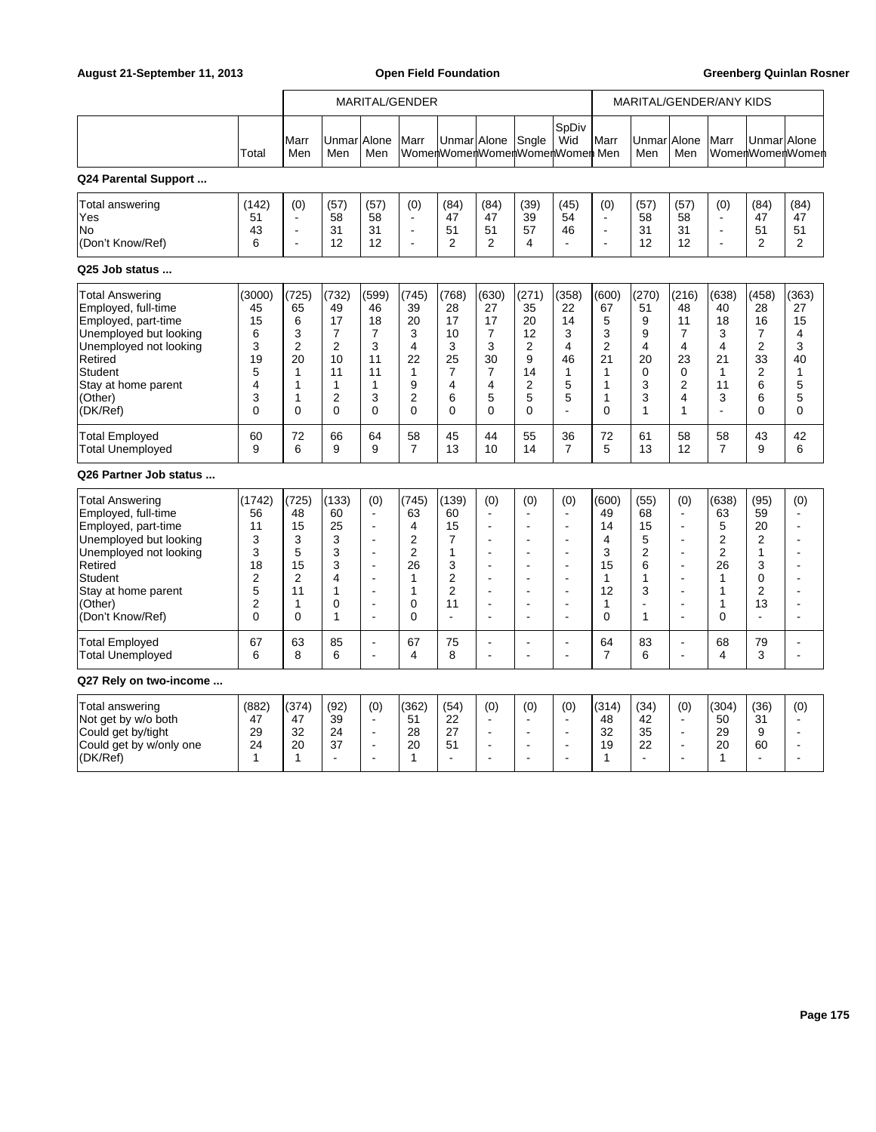|                                                                                                                                                                                                      |                                                                            |                                                                                     | MARITAL/GENDER                                                      |                                                                                                                                                                                         |                                                                                       |                                                                                                        |                                                                                                                                                              |                                                                                                                                                                           |                                                                                                                                                                                                                      | MARITAL/GENDER/ANY KIDS                                                                        |                                                                                            |                                                                                                                                                                               |                                                                                                             |                                                                                                                  |                                                       |
|------------------------------------------------------------------------------------------------------------------------------------------------------------------------------------------------------|----------------------------------------------------------------------------|-------------------------------------------------------------------------------------|---------------------------------------------------------------------|-----------------------------------------------------------------------------------------------------------------------------------------------------------------------------------------|---------------------------------------------------------------------------------------|--------------------------------------------------------------------------------------------------------|--------------------------------------------------------------------------------------------------------------------------------------------------------------|---------------------------------------------------------------------------------------------------------------------------------------------------------------------------|----------------------------------------------------------------------------------------------------------------------------------------------------------------------------------------------------------------------|------------------------------------------------------------------------------------------------|--------------------------------------------------------------------------------------------|-------------------------------------------------------------------------------------------------------------------------------------------------------------------------------|-------------------------------------------------------------------------------------------------------------|------------------------------------------------------------------------------------------------------------------|-------------------------------------------------------|
|                                                                                                                                                                                                      | Total                                                                      | Marr<br>Men                                                                         | UnmarlAlone<br>Men                                                  | Men                                                                                                                                                                                     | Marr                                                                                  |                                                                                                        | Unmar Alone                                                                                                                                                  | Sngle                                                                                                                                                                     | SpDiv<br>Wid<br>WomenWomenWomenWomenWomen Men                                                                                                                                                                        | Marr                                                                                           | UnmarlAlone<br>Men                                                                         | Men                                                                                                                                                                           | Marr                                                                                                        | Unmar Alone                                                                                                      | WomenWomenWomen                                       |
| Q24 Parental Support                                                                                                                                                                                 |                                                                            |                                                                                     |                                                                     |                                                                                                                                                                                         |                                                                                       |                                                                                                        |                                                                                                                                                              |                                                                                                                                                                           |                                                                                                                                                                                                                      |                                                                                                |                                                                                            |                                                                                                                                                                               |                                                                                                             |                                                                                                                  |                                                       |
| Total answering<br>Yes<br>lNo<br>(Don't Know/Ref)<br>Q25 Job status                                                                                                                                  | (142)<br>51<br>43<br>6                                                     | (0)<br>$\blacksquare$<br>$\overline{\phantom{a}}$                                   | (57)<br>58<br>31<br>12                                              | (57)<br>58<br>31<br>12                                                                                                                                                                  | (0)<br>$\blacksquare$<br>$\blacksquare$                                               | (84)<br>47<br>51<br>$\overline{2}$                                                                     | (84)<br>47<br>51<br>2                                                                                                                                        | (39)<br>39<br>57<br>4                                                                                                                                                     | (45)<br>54<br>46<br>÷,                                                                                                                                                                                               | (0)<br>ä,<br>$\blacksquare$<br>L,                                                              | (57)<br>58<br>31<br>12                                                                     | (57)<br>58<br>31<br>12                                                                                                                                                        | (0)<br>$\blacksquare$<br>$\blacksquare$<br>÷,                                                               | (84)<br>47<br>51<br>2                                                                                            | (84)<br>47<br>51<br>2                                 |
|                                                                                                                                                                                                      |                                                                            |                                                                                     |                                                                     |                                                                                                                                                                                         |                                                                                       |                                                                                                        |                                                                                                                                                              |                                                                                                                                                                           |                                                                                                                                                                                                                      |                                                                                                |                                                                                            |                                                                                                                                                                               |                                                                                                             |                                                                                                                  |                                                       |
| <b>Total Answering</b><br>Employed, full-time<br>Employed, part-time<br>Unemployed but looking<br>Unemployed not looking<br>Retired<br>Student<br>Stay at home parent<br>(Other)<br>(DK/Ref)         | (3000)<br>45<br>15<br>6<br>3<br>19<br>5<br>4<br>3<br>$\Omega$              | (725)<br>65<br>6<br>3<br>$\overline{c}$<br>20<br>1<br>$\mathbf{1}$<br>1<br>$\Omega$ | (732)<br>49<br>17<br>7<br>$\overline{2}$<br>10<br>11<br>1<br>2<br>0 | (599)<br>46<br>18<br>7<br>3<br>11<br>11<br>$\mathbf{1}$<br>3<br>$\Omega$                                                                                                                | (745)<br>39<br>20<br>3<br>$\overline{4}$<br>22<br>1<br>9<br>2<br>$\Omega$             | (768)<br>28<br>17<br>10<br>3<br>25<br>$\overline{7}$<br>4<br>6<br>$\mathbf{0}$                         | (630)<br>27<br>17<br>7<br>3<br>30<br>$\overline{7}$<br>4<br>5<br>0                                                                                           | (271)<br>35<br>20<br>12<br>$\overline{2}$<br>9<br>14<br>$\overline{2}$<br>5<br>$\overline{0}$                                                                             | (358)<br>22<br>14<br>3<br>4<br>46<br>1<br>5<br>5                                                                                                                                                                     | (600)<br>67<br>5<br>3<br>$\overline{2}$<br>21<br>$\mathbf{1}$<br>$\mathbf{1}$<br>1<br>$\Omega$ | (270)<br>51<br>9<br>9<br>4<br>20<br>0<br>3<br>3<br>$\mathbf{1}$                            | (216)<br>48<br>11<br>7<br>$\overline{4}$<br>23<br>0<br>$\overline{2}$<br>4<br>1                                                                                               | (638)<br>40<br>18<br>3<br>$\overline{4}$<br>21<br>$\mathbf{1}$<br>11<br>3<br>ä,                             | (458)<br>28<br>16<br>7<br>$\overline{2}$<br>33<br>$\boldsymbol{2}$<br>6<br>6<br>$\mathbf 0$                      | (363)<br>27<br>15<br>4<br>3<br>40<br>1<br>5<br>5<br>0 |
| <b>Total Employed</b><br><b>Total Unemployed</b>                                                                                                                                                     | 60<br>9                                                                    | 72<br>6                                                                             | 66<br>9                                                             | 64<br>9                                                                                                                                                                                 | 58<br>$\overline{7}$                                                                  | 45<br>13                                                                                               | 44<br>10                                                                                                                                                     | 55<br>14                                                                                                                                                                  | 36<br>$\overline{7}$                                                                                                                                                                                                 | 72<br>5                                                                                        | 61<br>13                                                                                   | 58<br>12                                                                                                                                                                      | 58<br>$\overline{7}$                                                                                        | 43<br>9                                                                                                          | 42<br>6                                               |
| Q26 Partner Job status                                                                                                                                                                               |                                                                            |                                                                                     |                                                                     |                                                                                                                                                                                         |                                                                                       |                                                                                                        |                                                                                                                                                              |                                                                                                                                                                           |                                                                                                                                                                                                                      |                                                                                                |                                                                                            |                                                                                                                                                                               |                                                                                                             |                                                                                                                  |                                                       |
| <b>Total Answering</b><br>Employed, full-time<br>Employed, part-time<br>Unemployed but looking<br>Unemployed not looking<br>Retired<br>Student<br>Stay at home parent<br>(Other)<br>(Don't Know/Ref) | (1742)<br>56<br>11<br>3<br>3<br>18<br>$\overline{2}$<br>5<br>2<br>$\Omega$ | (725)<br>48<br>15<br>3<br>5<br>15<br>$\overline{2}$<br>11<br>1<br>$\Omega$          | (133)<br>60<br>25<br>3<br>3<br>3<br>4<br>1<br>0<br>1                | (0)<br>$\blacksquare$<br>$\overline{\phantom{a}}$<br>$\ddot{\phantom{a}}$<br>$\ddot{\phantom{a}}$<br>$\overline{a}$<br>$\overline{\phantom{a}}$<br>$\overline{\phantom{a}}$<br>ä,<br>÷, | (745)<br>63<br>4<br>$\overline{2}$<br>$\overline{2}$<br>26<br>1<br>1<br>0<br>$\Omega$ | (139)<br>60<br>15<br>$\overline{7}$<br>1<br>3<br>2<br>$\overline{2}$<br>11<br>$\overline{\phantom{a}}$ | (0)<br>÷<br>$\blacksquare$<br>$\ddot{\phantom{a}}$<br>$\blacksquare$<br>$\overline{a}$<br>$\blacksquare$<br>$\overline{\phantom{a}}$<br>$\blacksquare$<br>÷, | (0)<br>$\blacksquare$<br>$\blacksquare$<br>$\overline{\phantom{a}}$<br>$\overline{\phantom{a}}$<br>$\overline{\phantom{a}}$<br>$\overline{\phantom{a}}$<br>$\overline{a}$ | (0)<br>$\overline{a}$<br>$\overline{\phantom{a}}$<br>$\overline{\phantom{a}}$<br>$\overline{\phantom{a}}$<br>$\overline{\phantom{a}}$<br>$\overline{\phantom{a}}$<br>$\overline{\phantom{a}}$<br>٠<br>$\overline{a}$ | (600)<br>49<br>14<br>$\overline{4}$<br>3<br>15<br>$\mathbf{1}$<br>12<br>1<br>$\Omega$          | (55)<br>68<br>15<br>5<br>$\overline{2}$<br>6<br>1<br>3<br>$\blacksquare$<br>$\overline{1}$ | (0)<br>$\overline{a}$<br>$\blacksquare$<br>$\overline{a}$<br>$\blacksquare$<br>$\overline{a}$<br>L,<br>$\overline{\phantom{a}}$<br>$\overline{\phantom{a}}$<br>$\overline{a}$ | (638)<br>63<br>5<br>$\overline{c}$<br>$\overline{c}$<br>26<br>$\mathbf{1}$<br>$\mathbf{1}$<br>1<br>$\Omega$ | (95)<br>59<br>20<br>$\overline{2}$<br>$\mathbf{1}$<br>3<br>$\mathbf 0$<br>$\overline{2}$<br>13<br>$\overline{a}$ | (0)<br>$\overline{a}$<br>Ĭ.<br>÷.<br>Ĭ.               |
| <b>Total Employed</b><br><b>Total Unemployed</b>                                                                                                                                                     | 67<br>6                                                                    | 63<br>8                                                                             | 85<br>6                                                             | ä,<br>÷,                                                                                                                                                                                | 67<br>4                                                                               | 75<br>8                                                                                                | ÷<br>÷,                                                                                                                                                      | $\overline{\phantom{a}}$                                                                                                                                                  | $\blacksquare$<br>$\overline{\phantom{a}}$                                                                                                                                                                           | 64<br>$\overline{7}$                                                                           | 83<br>6                                                                                    | $\overline{a}$<br>$\overline{a}$                                                                                                                                              | 68<br>4                                                                                                     | 79<br>3                                                                                                          | $\overline{\phantom{a}}$                              |
| Q27 Rely on two-income                                                                                                                                                                               |                                                                            |                                                                                     |                                                                     |                                                                                                                                                                                         |                                                                                       |                                                                                                        |                                                                                                                                                              |                                                                                                                                                                           |                                                                                                                                                                                                                      |                                                                                                |                                                                                            |                                                                                                                                                                               |                                                                                                             |                                                                                                                  |                                                       |
| Total answering<br>Not get by w/o both<br>Could get by/tight<br>Could get by w/only one<br>(DK/Ref)                                                                                                  | (882)<br>47<br>29<br>24<br>1                                               | (374)<br>47<br>32<br>20<br>1                                                        | (92)<br>39<br>24<br>37<br>÷.                                        | (0)<br>$\blacksquare$<br>$\overline{a}$<br>$\ddot{\phantom{a}}$<br>٠                                                                                                                    | (362)<br>51<br>28<br>20<br>1                                                          | (54)<br>22<br>27<br>51<br>÷.                                                                           | (0)<br>$\blacksquare$<br>$\overline{a}$<br>$\ddot{\phantom{1}}$<br>۰                                                                                         | (0)<br>$\blacksquare$<br>$\overline{a}$<br>$\blacksquare$<br>$\overline{a}$                                                                                               | (0)<br>$\overline{\phantom{a}}$<br>$\overline{\phantom{a}}$<br>$\overline{\phantom{a}}$<br>$\overline{a}$                                                                                                            | (314)<br>48<br>32<br>19<br>1                                                                   | (34)<br>42<br>35<br>22<br>$\overline{a}$                                                   | (0)<br>$\blacksquare$<br>$\overline{\phantom{a}}$<br>$\blacksquare$<br>÷                                                                                                      | (304)<br>50<br>29<br>20<br>1                                                                                | (36)<br>31<br>9<br>60                                                                                            | (0)<br>÷.<br>$\overline{\phantom{a}}$                 |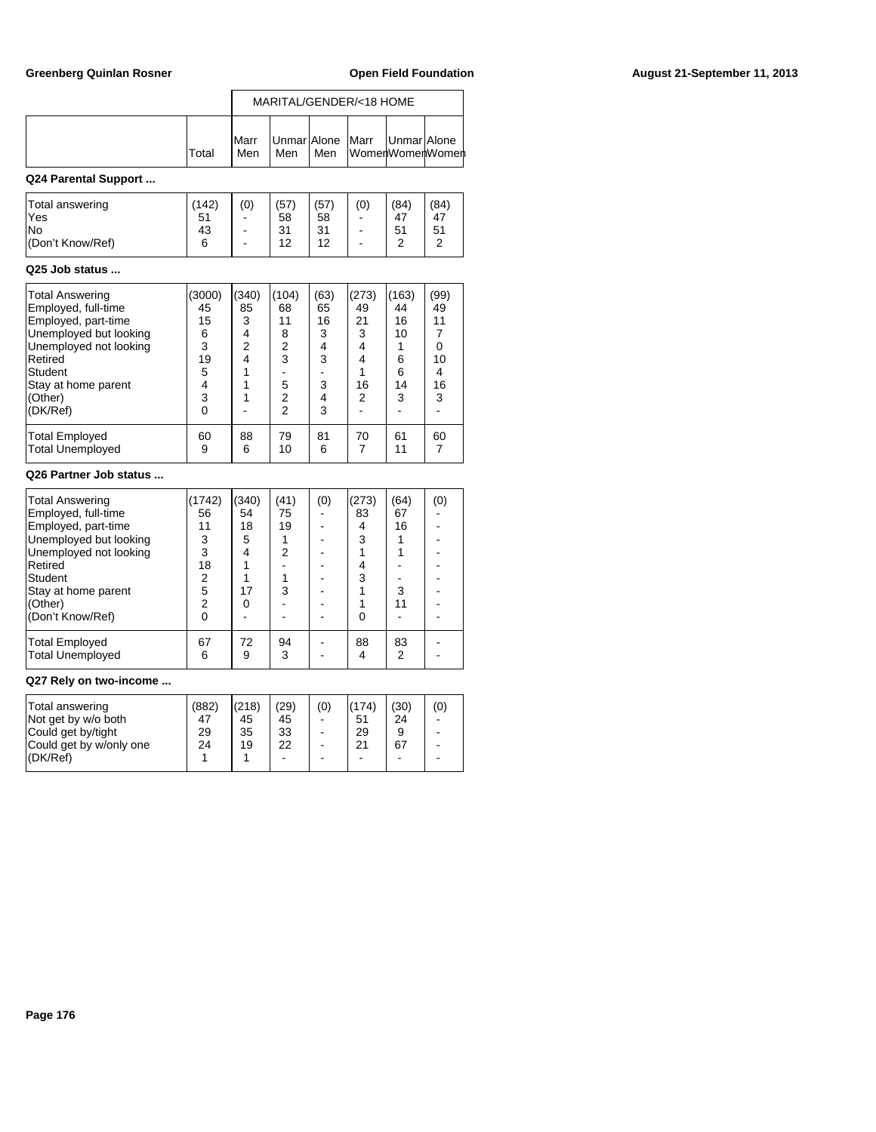|                                                                                                                                                                                                                                           | MARITAL/GENDER/<18 HOME                                                  |                                                                        |                                                                                       |                                                           |                                                                          |                                                               |                                                             |  |  |  |  |
|-------------------------------------------------------------------------------------------------------------------------------------------------------------------------------------------------------------------------------------------|--------------------------------------------------------------------------|------------------------------------------------------------------------|---------------------------------------------------------------------------------------|-----------------------------------------------------------|--------------------------------------------------------------------------|---------------------------------------------------------------|-------------------------------------------------------------|--|--|--|--|
|                                                                                                                                                                                                                                           | Total                                                                    | Marr<br>Men                                                            | UnmarlAlone<br>Men                                                                    | Men                                                       | Marr                                                                     | UnmarlAlone                                                   | WomenWomenWomen                                             |  |  |  |  |
| Q24 Parental Support                                                                                                                                                                                                                      |                                                                          |                                                                        |                                                                                       |                                                           |                                                                          |                                                               |                                                             |  |  |  |  |
| Total answering<br>Yes<br><b>No</b><br>(Don't Know/Ref)                                                                                                                                                                                   | (142)<br>51<br>43<br>6                                                   | (0)                                                                    | (57)<br>58<br>31<br>12                                                                | (57)<br>58<br>31<br>12                                    | (0)                                                                      | (84)<br>47<br>51<br>2                                         | (84)<br>47<br>51<br>2                                       |  |  |  |  |
| Q25 Job status                                                                                                                                                                                                                            |                                                                          |                                                                        |                                                                                       |                                                           |                                                                          |                                                               |                                                             |  |  |  |  |
| Total Answering<br>Employed, full-time<br>Employed, part-time<br>Unemployed but looking<br>Unemployed not looking<br>Retired<br>Student<br>Stay at home parent<br>(Other)<br>(DK/Ref)<br><b>Total Employed</b><br><b>Total Unemployed</b> | (3000)<br>45<br>15<br>6<br>3<br>19<br>5<br>4<br>3<br>$\Omega$<br>60<br>9 | (340)<br>85<br>3<br>4<br>$\overline{2}$<br>4<br>1<br>1<br>1<br>88<br>6 | (104)<br>68<br>11<br>8<br>2<br>3<br>5<br>$\overline{2}$<br>$\mathfrak{p}$<br>79<br>10 | (63)<br>65<br>16<br>3<br>4<br>3<br>3<br>4<br>3<br>81<br>6 | (273)<br>49<br>21<br>3<br>4<br>4<br>1<br>16<br>$\overline{2}$<br>70<br>7 | (163)<br>44<br>16<br>10<br>1<br>6<br>6<br>14<br>3<br>61<br>11 | (99)<br>49<br>11<br>7<br>0<br>10<br>4<br>16<br>3<br>60<br>7 |  |  |  |  |
| Q26 Partner Job status                                                                                                                                                                                                                    |                                                                          |                                                                        |                                                                                       |                                                           |                                                                          |                                                               |                                                             |  |  |  |  |
|                                                                                                                                                                                                                                           |                                                                          |                                                                        |                                                                                       |                                                           |                                                                          |                                                               |                                                             |  |  |  |  |

| <b>Total Answering</b>  | 1742)          | (340) | (41) | (0) | (273) | (64) | (0) |
|-------------------------|----------------|-------|------|-----|-------|------|-----|
| Employed, full-time     | 56             | 54    | 75   |     | 83    | 67   |     |
| Employed, part-time     | 11             | 18    | 19   |     | 4     | 16   |     |
| Unemployed but looking  | 3              | 5     |      |     | 3     |      |     |
| Unemployed not looking  | 3              |       | 2    |     |       |      |     |
| Retired                 | 18             |       |      |     |       |      |     |
| Student                 | 2              |       |      |     |       |      |     |
| Stay at home parent     | 5              | 17    | 3    |     |       | 3    |     |
| (Other)                 | $\overline{2}$ |       |      |     |       | 11   |     |
| (Don't Know/Ref)        |                |       |      |     |       |      |     |
| Total Employed          | 67             | 72    | 94   |     | 88    | 83   |     |
| <b>Total Unemployed</b> | 6              | 9     | 3    |     | 4     | 2    |     |

## **Q27 Rely on two-income ...**

| Total answering         | (882) | (218) | (29) | (0)            | (174) | (30) | (0) |
|-------------------------|-------|-------|------|----------------|-------|------|-----|
| Not get by w/o both     | 47    | 45    | 45   | $\blacksquare$ | 51    | 24   |     |
| Could get by/tight      | 29    | 35    | 33   | ٠              | 29    | 9    |     |
| Could get by w/only one | 24    | 19    | 22   | ÷.             | 21    | 67   |     |
| (DK/Ref)                |       |       | -    | ۰.             | -     | -    |     |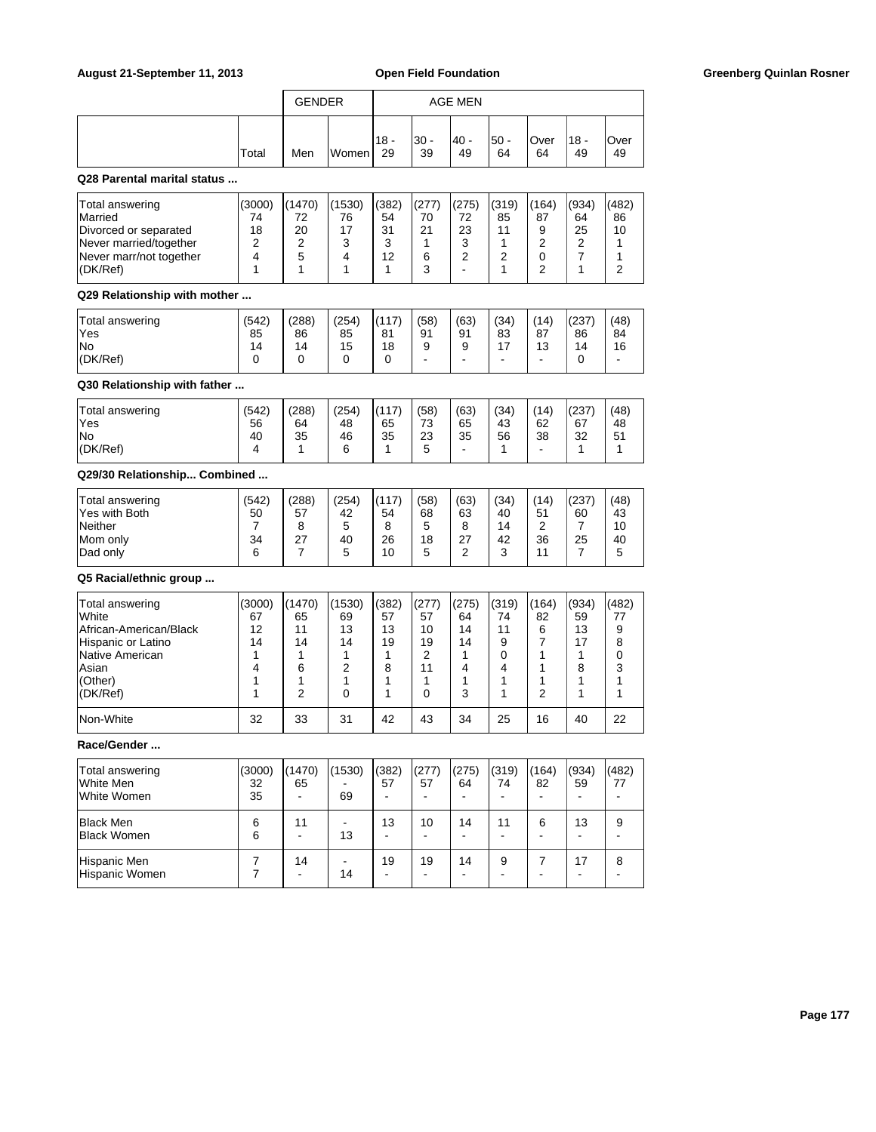|       | <b>GENDER</b> |       |               |             | AGE MEN     |             |            |               |            |
|-------|---------------|-------|---------------|-------------|-------------|-------------|------------|---------------|------------|
| Total | Men           | Women | $118 -$<br>29 | l30 -<br>39 | - 40 <br>49 | l50 -<br>64 | Over<br>64 | $118 -$<br>49 | Over<br>49 |

## **Q28 Parental marital status ...**

| Total answering         | (3000) | (1470) | (1530) | (382) | (277) | (275) | (319) | (164) | (934) | (482) |
|-------------------------|--------|--------|--------|-------|-------|-------|-------|-------|-------|-------|
| Married                 | 74     | 72     | 76     | 54    | 70    | 72    | 85    | 87    | 64    | 86    |
| Divorced or separated   | 18     | 20     | 17     | 31    | 21    | 23    | 11    |       | 25    | 10    |
| Never married/together  |        |        |        |       |       |       |       |       | າ     |       |
| Never marr/not together |        |        |        | 12    | 6     |       |       |       |       |       |
| (DK/Ref)                |        |        |        |       |       |       |       |       |       |       |

### **Q29 Relationship with mother ...**

| Total answering | (542) | (288) | (254) | I(117)         | (58)   | (63) | (34) | (14) | (237)           | (48) |
|-----------------|-------|-------|-------|----------------|--------|------|------|------|-----------------|------|
| 'Yes            | 85    | 86    | 85    | 8 <sup>1</sup> | 91     | 91   | 83   | 87   | 86              | 84   |
| <b>No</b>       | 14    | 14    | 15    | 18             | a<br>ີ | ີ    | 47   | 13   | 14              | 16   |
| (DK/Ref)        |       |       |       |                | -      | -    | -    | -    | $\epsilon$<br>U | -    |

# **Q30 Relationship with father ...**

| Total answering<br>'Yes | (542)<br>56 | (288)<br>64 | (254)<br>48 | (117)<br>65 | (58)<br>73 | (63)<br>65 | (34)<br>43 | (14)<br>62 | (237)<br>67 | (48)<br>48 |
|-------------------------|-------------|-------------|-------------|-------------|------------|------------|------------|------------|-------------|------------|
| <b>INo</b>              | 40          | 35          | 46          | 35          | 23         | 35         | 56         | 38         | 32          | 51<br>ັບ ເ |
| (DK/Ref)                |             |             | c           |             | ~<br>ີ     | -          |            | -          |             |            |

### **Q29/30 Relationship... Combined ...**

| Total answering<br>Yes with Both | (542)<br>50 | (288)<br>57 | (254)<br>42 | (117)<br>54 | (58)<br>68   | (63)<br>63 | (34)<br>40   | (14)<br>51 | (237)<br>60 | (48)<br>43 |
|----------------------------------|-------------|-------------|-------------|-------------|--------------|------------|--------------|------------|-------------|------------|
| Neither                          |             |             | G           |             | ∽<br>v       | ົ          | 14           |            |             | 10         |
| Mom only<br>Dad only             | 34<br>6     | 27          | 40<br>ω     | 26<br>10    | 18<br>∽<br>u | $\epsilon$ | 42<br>ົ<br>u | 36         | 25          | 40<br>5    |

### **Q5 Racial/ethnic group ...**

| Total answering        | (3000) | (1470) | (1530) | (382) | (277) | (275) | (319) | (164) | (934) | (482) |
|------------------------|--------|--------|--------|-------|-------|-------|-------|-------|-------|-------|
| <b>White</b>           | 67     | 65     | 69     | 57    | 57    | 64    | 74    | 82    | 59    | 77    |
| African-American/Black | 12     | 11     | 13     | 13    | 10    | 14    | 11    | 6     | 13    | 9     |
| Hispanic or Latino     | 14     | 14     | 14     | 19    | 19    | 14    | 9     |       | 17    |       |
| Native American        |        |        |        |       |       |       |       |       |       |       |
| lAsian                 |        | 6      |        | 8     | 11    |       |       |       | 8     |       |
| (Other)                |        |        |        |       |       |       |       |       |       |       |
| (DK/Ref)               |        |        |        |       |       | っ     |       | ⌒     |       |       |
| Non-White              | 32     | 33     | 31     | 42    | 43    | 34    | 25    | 16    | 40    | 22    |

### **Race/Gender ...**

| Total answering<br>White Men<br>White Women | (3000)<br>32<br>35 | (1470)<br>65 | (1530)<br>69 | (382)<br>57 | (277)<br>57 | (275)<br>64 | (319)<br>74 | (164)<br>82 | (934)<br>59 | (482)<br>77 |
|---------------------------------------------|--------------------|--------------|--------------|-------------|-------------|-------------|-------------|-------------|-------------|-------------|
| Black Men<br><b>Black Women</b>             | 6<br>6             | 11           | 13           | 13          | 10          | 14          | 11          | 6           | 13          | 9           |
| Hispanic Men<br>Hispanic Women              |                    | 14           | 14           | 19          | 19          | 14          | 9           |             | 17          | 8           |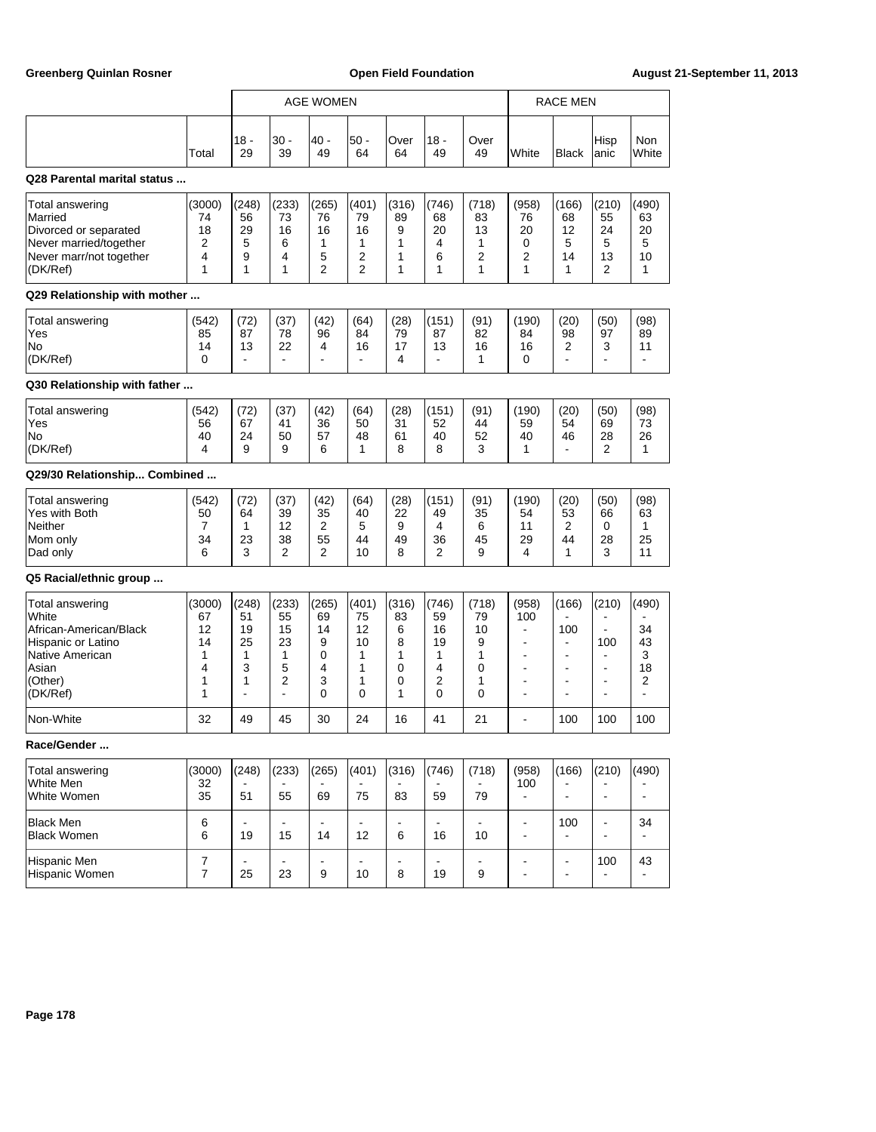|                                                                                                                             |                                                |                                                          |                                                                    | <b>AGE WOMEN</b>                              |                                               |                                           |                                             |                                            |                                                                                                                                              | <b>RACE MEN</b>                                                                                                            |                                                                                                                                    |                                         |
|-----------------------------------------------------------------------------------------------------------------------------|------------------------------------------------|----------------------------------------------------------|--------------------------------------------------------------------|-----------------------------------------------|-----------------------------------------------|-------------------------------------------|---------------------------------------------|--------------------------------------------|----------------------------------------------------------------------------------------------------------------------------------------------|----------------------------------------------------------------------------------------------------------------------------|------------------------------------------------------------------------------------------------------------------------------------|-----------------------------------------|
|                                                                                                                             | Total                                          | $18 -$<br>29                                             | $30 -$<br>39                                                       | 40 -<br>49                                    | $50 -$<br>64                                  | Over<br>64                                | $18 -$<br>49                                | Over<br>49                                 | White                                                                                                                                        | <b>Black</b>                                                                                                               | Hisp<br>anic                                                                                                                       | <b>Non</b><br>White                     |
| Q28 Parental marital status                                                                                                 |                                                |                                                          |                                                                    |                                               |                                               |                                           |                                             |                                            |                                                                                                                                              |                                                                                                                            |                                                                                                                                    |                                         |
| Total answering<br>Married<br>Divorced or separated<br>Never married/together<br>Never marr/not together<br>(DK/Ref)        | (3000)<br>74<br>18<br>$\overline{2}$<br>4<br>1 | (248)<br>56<br>29<br>5<br>9<br>1                         | (233)<br>73<br>16<br>6<br>4<br>1                                   | (265)<br>76<br>16<br>1<br>5<br>$\overline{2}$ | (401)<br>79<br>16<br>1<br>2<br>$\overline{2}$ | (316)<br>89<br>9<br>1<br>1<br>1           | (746)<br>68<br>20<br>4<br>6<br>1            | (718)<br>83<br>13<br>1<br>2<br>1           | (958)<br>76<br>20<br>0<br>2<br>1                                                                                                             | (166)<br>68<br>12<br>5<br>14<br>1                                                                                          | (210)<br>55<br>24<br>5<br>13<br>2                                                                                                  | (490)<br>63<br>20<br>5<br>10<br>1       |
| Q29 Relationship with mother                                                                                                |                                                |                                                          |                                                                    |                                               |                                               |                                           |                                             |                                            |                                                                                                                                              |                                                                                                                            |                                                                                                                                    |                                         |
| Total answering<br>Yes<br>No<br>(DK/Ref)                                                                                    | (542)<br>85<br>14<br>$\mathbf{0}$              | (72)<br>87<br>13<br>$\blacksquare$                       | (37)<br>78<br>22<br>$\blacksquare$                                 | (42)<br>96<br>4<br>$\blacksquare$             | (64)<br>84<br>16<br>÷.                        | (28)<br>79<br>17<br>4                     | (151)<br>87<br>13<br>$\blacksquare$         | (91)<br>82<br>16<br>1                      | (190)<br>84<br>16<br>0                                                                                                                       | (20)<br>98<br>2<br>÷.                                                                                                      | (50)<br>97<br>3<br>$\blacksquare$                                                                                                  | (98)<br>89<br>11                        |
| Q30 Relationship with father                                                                                                |                                                |                                                          |                                                                    |                                               |                                               |                                           |                                             |                                            |                                                                                                                                              |                                                                                                                            |                                                                                                                                    |                                         |
| Total answering<br>Yes<br>No<br>(DK/Ref)                                                                                    | (542)<br>56<br>40<br>4                         | (72)<br>67<br>24<br>9                                    | (37)<br>41<br>50<br>9                                              | (42)<br>36<br>57<br>6                         | (64)<br>50<br>48<br>1                         | (28)<br>31<br>61<br>8                     | (151)<br>52<br>40<br>8                      | (91)<br>44<br>52<br>3                      | (190)<br>59<br>40<br>1                                                                                                                       | (20)<br>54<br>46<br>$\blacksquare$                                                                                         | (50)<br>69<br>28<br>2                                                                                                              | (98)<br>73<br>26<br>1                   |
| Q29/30 Relationship Combined                                                                                                |                                                |                                                          |                                                                    |                                               |                                               |                                           |                                             |                                            |                                                                                                                                              |                                                                                                                            |                                                                                                                                    |                                         |
| Total answering<br>Yes with Both<br>Neither<br>Mom only<br>Dad only                                                         | (542)<br>50<br>7<br>34<br>6                    | (72)<br>64<br>1<br>23<br>3                               | (37)<br>39<br>12<br>38<br>2                                        | (42)<br>35<br>2<br>55<br>$\overline{2}$       | (64)<br>40<br>5<br>44<br>10                   | (28)<br>22<br>9<br>49<br>8                | (151)<br>49<br>4<br>36<br>2                 | (91)<br>35<br>6<br>45<br>9                 | (190)<br>54<br>11<br>29<br>4                                                                                                                 | (20)<br>53<br>2<br>44<br>1                                                                                                 | (50)<br>66<br>0<br>28<br>3                                                                                                         | (98)<br>63<br>1<br>25<br>11             |
| Q5 Racial/ethnic group                                                                                                      |                                                |                                                          |                                                                    |                                               |                                               |                                           |                                             |                                            |                                                                                                                                              |                                                                                                                            |                                                                                                                                    |                                         |
| Total answering<br>White<br>African-American/Black<br>Hispanic or Latino<br>Native American<br>Asian<br>(Other)<br>(DK/Ref) | (3000)<br>67<br>12<br>14<br>1<br>4<br>1<br>1   | (248)<br>51<br>19<br>25<br>1<br>3<br>1<br>$\overline{a}$ | (233)<br>55<br>15<br>23<br>1<br>5<br>2<br>$\overline{\phantom{a}}$ | (265)<br>69<br>14<br>9<br>0<br>4<br>3<br>0    | (401)<br>75<br>12<br>10<br>1<br>1<br>1<br>0   | (316)<br>83<br>6<br>8<br>1<br>0<br>0<br>1 | (746)<br>59<br>16<br>19<br>1<br>4<br>2<br>0 | (718)<br>79<br>10<br>9<br>1<br>0<br>1<br>0 | (958)<br>100<br>$\overline{a}$<br>$\blacksquare$<br>$\overline{\phantom{a}}$<br>$\blacksquare$<br>$\overline{\phantom{a}}$<br>$\blacksquare$ | (166)<br>100<br>$\overline{\phantom{a}}$<br>$\blacksquare$<br>$\overline{\phantom{a}}$<br>$\blacksquare$<br>$\blacksquare$ | (210)<br>$\blacksquare$<br>$\blacksquare$<br>100<br>$\blacksquare$<br>$\blacksquare$<br>$\overline{\phantom{a}}$<br>$\blacksquare$ | (490)<br>34<br>43<br>3<br>18<br>2<br>ä, |
| Non-White                                                                                                                   | 32                                             | 49                                                       | 45                                                                 | 30                                            | 24                                            | 16                                        | 41                                          | 21                                         | $\blacksquare$                                                                                                                               | 100                                                                                                                        | 100                                                                                                                                | 100                                     |
| Race/Gender                                                                                                                 |                                                |                                                          |                                                                    |                                               |                                               |                                           |                                             |                                            |                                                                                                                                              |                                                                                                                            |                                                                                                                                    |                                         |
| <b>Total answering</b><br>White Men<br>White Women                                                                          | (3000)<br>32<br>35                             | (248)<br>51                                              | (233)<br>55                                                        | (265)<br>69                                   | (401)<br>75                                   | (316)<br>83                               | (746)<br>59                                 | (718)<br>79                                | (958)<br>100<br>$\blacksquare$                                                                                                               | (166)<br>$\blacksquare$                                                                                                    | (210)<br>$\blacksquare$                                                                                                            | (490)<br>$\overline{\phantom{a}}$       |
| <b>Black Men</b><br>Black Women                                                                                             | 6<br>6                                         | $\blacksquare$<br>19                                     | $\blacksquare$<br>15                                               | $\overline{\phantom{a}}$<br>14                | ÷,<br>12                                      | $\blacksquare$<br>6                       | $\blacksquare$<br>16                        | $\blacksquare$<br>10                       | $\overline{\phantom{0}}$<br>$\overline{\phantom{a}}$                                                                                         | 100<br>$\blacksquare$                                                                                                      | $\blacksquare$<br>$\blacksquare$                                                                                                   | 34                                      |
| Hispanic Men<br>Hispanic Women                                                                                              | 7<br>$\overline{7}$                            | 25                                                       | $\blacksquare$<br>23                                               | 9                                             | $\blacksquare$<br>10                          | 8                                         | ÷,<br>19                                    | 9                                          | $\overline{\phantom{a}}$<br>$\overline{\phantom{a}}$                                                                                         | $\overline{\phantom{a}}$<br>$\overline{\phantom{a}}$                                                                       | 100                                                                                                                                | 43                                      |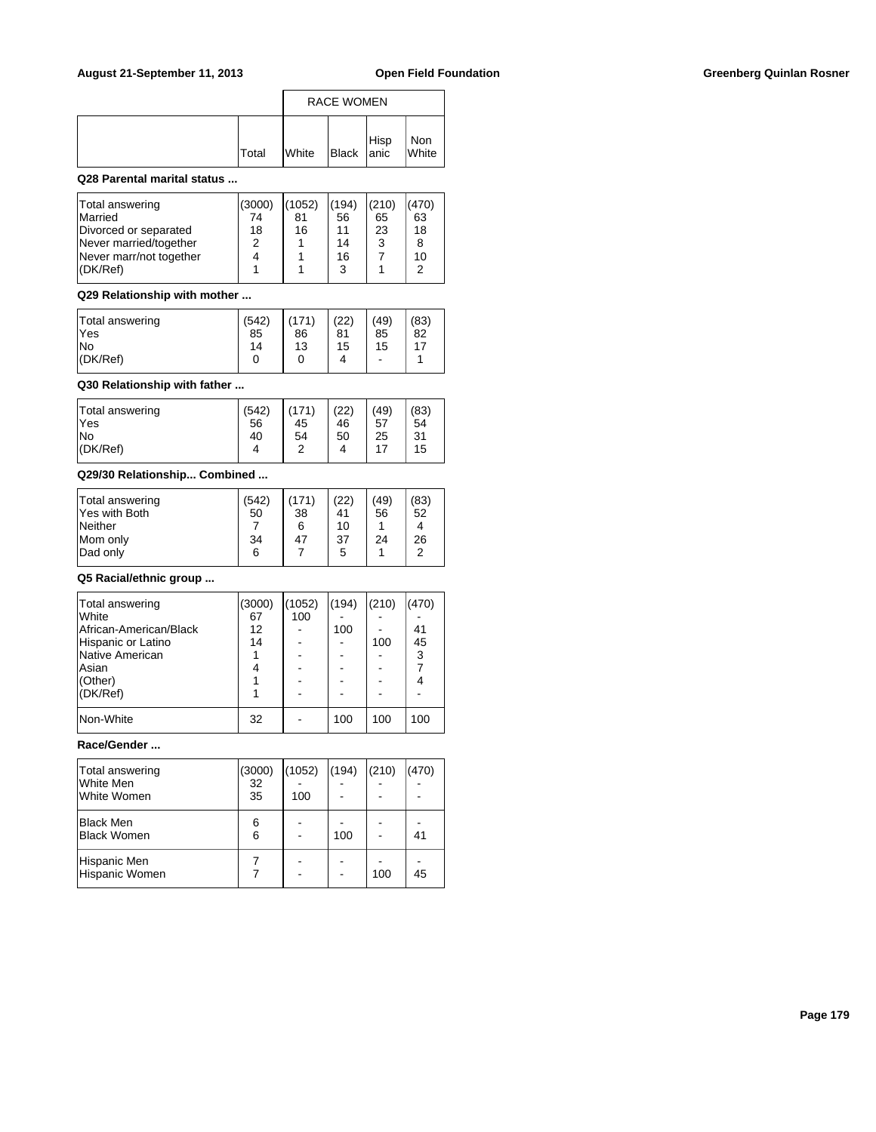|       |                | <b>RACE WOMEN</b> |              |
|-------|----------------|-------------------|--------------|
| Total | <b>I</b> White | Black Hisp        | Non<br>White |

## **Q28 Parental marital status ...**

| Total answering<br><b>Married</b><br>Divorced or separated | (3000)<br>74<br>18 | (1052)<br>81<br>16 | (194)<br>56 | (210)<br>65<br>23 | (470)<br>63<br>18 |
|------------------------------------------------------------|--------------------|--------------------|-------------|-------------------|-------------------|
| Never married/together<br>Never marr/not together          | 2                  |                    | 14<br>16    | 3                 | 10                |
| (DK/Ref)                                                   |                    |                    | ર           |                   | $\sqrt{2}$        |

### **Q29 Relationship with mother ...**

| Total answering<br><b>Yes</b> | (542)<br>85 | (171)<br>86 | (22)<br>81 | (49)<br>85                   | (83)<br>82 |
|-------------------------------|-------------|-------------|------------|------------------------------|------------|
| lNo                           | 14          | 13          | 15         | 15                           | 17         |
| $ $ (DK/Ref)                  |             |             | 4          | $\qquad \qquad \blacksquare$ |            |

## **Q30 Relationship with father ...**

| -17<br>4<br>ີ<br>4 | Total answering<br>lYes<br>lNo<br>(DK/Ref) | (542)<br>56<br>40 | (171)<br>45<br>54 | (22)<br>46<br>50 | (49)<br>57<br>25 | (83)<br>54<br>31<br>15 |
|--------------------|--------------------------------------------|-------------------|-------------------|------------------|------------------|------------------------|
|--------------------|--------------------------------------------|-------------------|-------------------|------------------|------------------|------------------------|

## **Q29/30 Relationship... Combined ...**

| Total answering | (542) |    | (22) | (49) | (83) |
|-----------------|-------|----|------|------|------|
| Yes with Both   | 50    | 38 | 41   | 56   | 52   |
| Neither         |       | 6  | 10   |      | 4    |
| Mom only        | 34    | 47 | 37   | 24   | 26   |
| Dad only        | 6     |    | 5    |      | ົ    |
|                 |       |    |      |      |      |

### **Q5 Racial/ethnic group ...**

| Total answering        | (3000) | (1052) | (194) | (210) | (470) |  |
|------------------------|--------|--------|-------|-------|-------|--|
| <b>White</b>           | 67     | 100    |       |       |       |  |
| African-American/Black | 12     |        | 100   |       | 41    |  |
| Hispanic or Latino     | 14     |        |       | 100   | 45    |  |
| Native American        |        |        |       |       | 3     |  |
| lAsian                 | 4      |        |       |       |       |  |
| $ $ (Other)            |        |        |       |       |       |  |
| (DK/Ref)               |        |        |       |       |       |  |
|                        |        |        |       |       |       |  |
| Non-White              | 32     |        | 100   | 100   | 100   |  |
|                        |        |        |       |       |       |  |

# **Race/Gender ...**

| Total answering<br>White Men<br>White Women | (3000)<br>32<br>35 | (1052)<br>100 | (194) | (210) | (470) |
|---------------------------------------------|--------------------|---------------|-------|-------|-------|
| <b>Black Men</b><br><b>Black Women</b>      | 6<br>6             |               | 100   |       | 41    |
| Hispanic Men<br>Hispanic Women              |                    |               |       | 100   | 45    |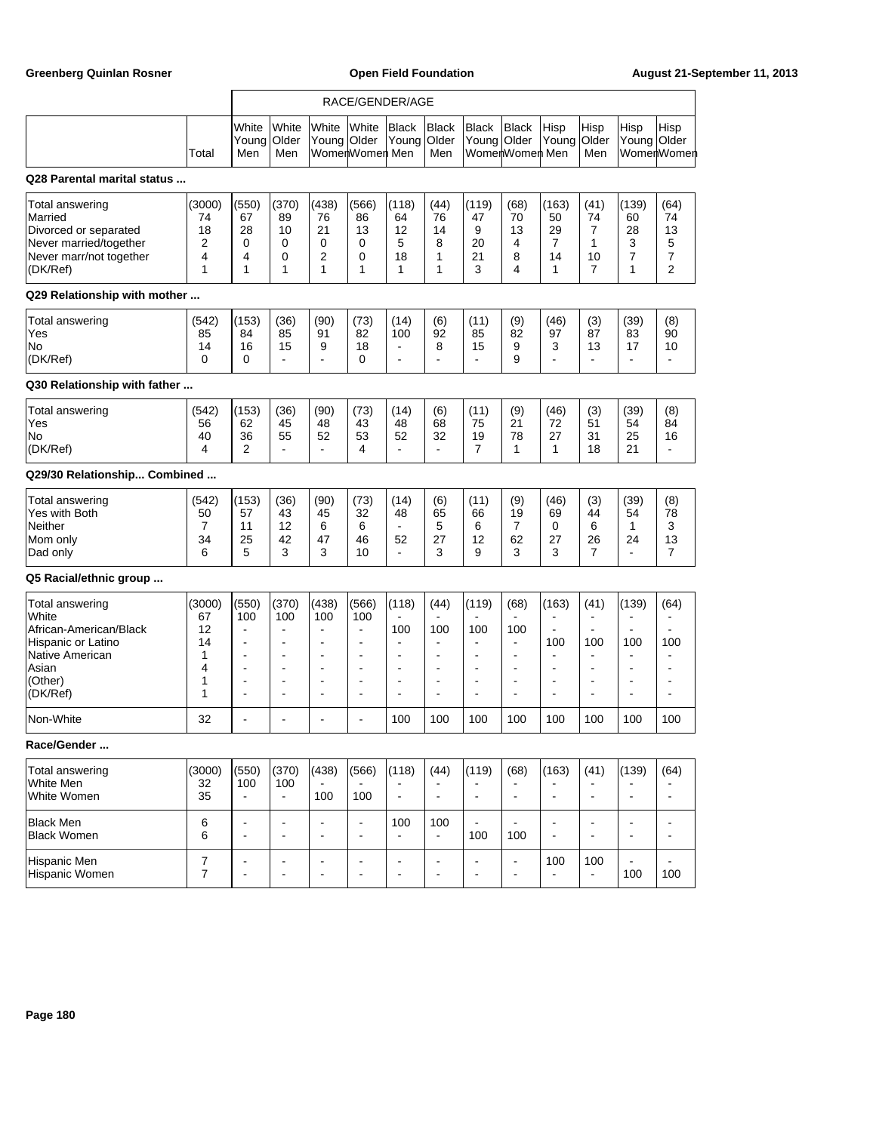|                                                                                                                             |                                              | RACE/GENDER/AGE                                                                                                                                                            |                                                                      |                                                                                                                                                                  |                                                                                                                                                                  |                                                                                                                                        |                                                                                                               |                                                                                        |                                                              |                                                                                                                              |                                                                                                                         |                                                                                                                                                        |                                                                           |
|-----------------------------------------------------------------------------------------------------------------------------|----------------------------------------------|----------------------------------------------------------------------------------------------------------------------------------------------------------------------------|----------------------------------------------------------------------|------------------------------------------------------------------------------------------------------------------------------------------------------------------|------------------------------------------------------------------------------------------------------------------------------------------------------------------|----------------------------------------------------------------------------------------------------------------------------------------|---------------------------------------------------------------------------------------------------------------|----------------------------------------------------------------------------------------|--------------------------------------------------------------|------------------------------------------------------------------------------------------------------------------------------|-------------------------------------------------------------------------------------------------------------------------|--------------------------------------------------------------------------------------------------------------------------------------------------------|---------------------------------------------------------------------------|
|                                                                                                                             | Total                                        | White<br>Young<br>Men                                                                                                                                                      | White<br>Older<br>Men                                                | White<br>Young Older                                                                                                                                             | <b>White</b><br>WomenWomen Men                                                                                                                                   | <b>Black</b><br>Young                                                                                                                  | <b>Black</b><br>Older<br>Men                                                                                  | <b>Black</b><br>Young Older                                                            | Black<br>WomenWomen Men                                      | Hisp<br>Young                                                                                                                | Hisp<br>Older<br>Men                                                                                                    | Hisp<br>Young Older                                                                                                                                    | Hisp<br>WomenWomen                                                        |
| Q28 Parental marital status                                                                                                 |                                              |                                                                                                                                                                            |                                                                      |                                                                                                                                                                  |                                                                                                                                                                  |                                                                                                                                        |                                                                                                               |                                                                                        |                                                              |                                                                                                                              |                                                                                                                         |                                                                                                                                                        |                                                                           |
| Total answering<br>Married<br>Divorced or separated<br>Never married/together<br>Never marr/not together<br>(DK/Ref)        | (3000)<br>74<br>18<br>2<br>4<br>1            | (550)<br>67<br>28<br>0<br>4<br>1                                                                                                                                           | (370)<br>89<br>10<br>$\mathbf 0$<br>0<br>1                           | (438)<br>76<br>21<br>0<br>$\overline{2}$<br>1                                                                                                                    | (566)<br>86<br>13<br>0<br>0<br>1                                                                                                                                 | (118)<br>64<br>12<br>5<br>18<br>1                                                                                                      | (44)<br>76<br>14<br>8<br>1<br>1                                                                               | (119)<br>47<br>9<br>20<br>21<br>3                                                      | (68)<br>70<br>13<br>4<br>8<br>4                              | (163)<br>50<br>29<br>7<br>14<br>$\mathbf{1}$                                                                                 | (41)<br>74<br>$\overline{7}$<br>$\mathbf{1}$<br>10<br>$\overline{7}$                                                    | (139)<br>60<br>28<br>3<br>$\overline{7}$<br>1                                                                                                          | (64)<br>74<br>13<br>5<br>7<br>2                                           |
| Q29 Relationship with mother                                                                                                |                                              |                                                                                                                                                                            |                                                                      |                                                                                                                                                                  |                                                                                                                                                                  |                                                                                                                                        |                                                                                                               |                                                                                        |                                                              |                                                                                                                              |                                                                                                                         |                                                                                                                                                        |                                                                           |
| Total answering<br>Yes<br>No<br>(DK/Ref)                                                                                    | (542)<br>85<br>14<br>0                       | (153)<br>84<br>16<br>0                                                                                                                                                     | (36)<br>85<br>15<br>÷,                                               | (90)<br>91<br>9<br>$\blacksquare$                                                                                                                                | (73)<br>82<br>18<br>$\Omega$                                                                                                                                     | (14)<br>100<br>$\blacksquare$<br>$\blacksquare$                                                                                        | (6)<br>92<br>8<br>÷,                                                                                          | (11)<br>85<br>15<br>$\blacksquare$                                                     | (9)<br>82<br>9<br>9                                          | (46)<br>97<br>3                                                                                                              | (3)<br>87<br>13<br>$\blacksquare$                                                                                       | (39)<br>83<br>17<br>$\blacksquare$                                                                                                                     | (8)<br>90<br>10                                                           |
| Q30 Relationship with father                                                                                                |                                              |                                                                                                                                                                            |                                                                      |                                                                                                                                                                  |                                                                                                                                                                  |                                                                                                                                        |                                                                                                               |                                                                                        |                                                              |                                                                                                                              |                                                                                                                         |                                                                                                                                                        |                                                                           |
| Total answering<br>Yes<br>No<br>(DK/Ref)                                                                                    | (542)<br>56<br>40<br>4                       | (153)<br>62<br>36<br>$\overline{2}$                                                                                                                                        | (36)<br>45<br>55<br>$\overline{\phantom{a}}$                         | (90)<br>48<br>52<br>$\blacksquare$                                                                                                                               | (73)<br>43<br>53<br>4                                                                                                                                            | (14)<br>48<br>52<br>$\blacksquare$                                                                                                     | (6)<br>68<br>32<br>$\blacksquare$                                                                             | (11)<br>75<br>19<br>7                                                                  | (9)<br>21<br>78<br>1                                         | (46)<br>72<br>27<br>$\mathbf{1}$                                                                                             | (3)<br>51<br>31<br>18                                                                                                   | (39)<br>54<br>25<br>21                                                                                                                                 | (8)<br>84<br>16<br>$\blacksquare$                                         |
| Q29/30 Relationship Combined                                                                                                |                                              |                                                                                                                                                                            |                                                                      |                                                                                                                                                                  |                                                                                                                                                                  |                                                                                                                                        |                                                                                                               |                                                                                        |                                                              |                                                                                                                              |                                                                                                                         |                                                                                                                                                        |                                                                           |
| Total answering<br>Yes with Both<br>Neither<br>Mom only<br>Dad only                                                         | (542)<br>50<br>7<br>34<br>6                  | (153)<br>57<br>11<br>25<br>5                                                                                                                                               | (36)<br>43<br>12<br>42<br>3                                          | (90)<br>45<br>6<br>47<br>3                                                                                                                                       | (73)<br>32<br>6<br>46<br>10                                                                                                                                      | (14)<br>48<br>$\blacksquare$<br>52<br>$\blacksquare$                                                                                   | (6)<br>65<br>5<br>27<br>3                                                                                     | (11)<br>66<br>6<br>12<br>9                                                             | (9)<br>19<br>7<br>62<br>3                                    | (46)<br>69<br>0<br>27<br>3                                                                                                   | (3)<br>44<br>6<br>26<br>$\overline{7}$                                                                                  | (39)<br>54<br>$\mathbf{1}$<br>24<br>$\blacksquare$                                                                                                     | (8)<br>78<br>3<br>13<br>7                                                 |
| Q5 Racial/ethnic group                                                                                                      |                                              |                                                                                                                                                                            |                                                                      |                                                                                                                                                                  |                                                                                                                                                                  |                                                                                                                                        |                                                                                                               |                                                                                        |                                                              |                                                                                                                              |                                                                                                                         |                                                                                                                                                        |                                                                           |
| Total answering<br>White<br>African-American/Black<br>Hispanic or Latino<br>Native American<br>Asian<br>(Other)<br>(DK/Ref) | (3000)<br>67<br>12<br>14<br>1<br>4<br>1<br>1 | (550)<br>100<br>$\overline{\phantom{a}}$<br>$\overline{\phantom{a}}$<br>$\overline{\phantom{a}}$<br>$\blacksquare$<br>$\overline{\phantom{a}}$<br>$\overline{\phantom{a}}$ | (370)<br>100<br>$\overline{\phantom{a}}$<br>$\overline{\phantom{a}}$ | (438)<br>100<br>$\overline{a}$<br>$\overline{a}$<br>$\overline{\phantom{a}}$<br>$\overline{\phantom{a}}$<br>$\overline{\phantom{a}}$<br>$\overline{\phantom{a}}$ | (566)<br>100<br>$\blacksquare$<br>$\overline{\phantom{a}}$<br>$\overline{\phantom{a}}$<br>$\overline{a}$<br>$\overline{\phantom{a}}$<br>$\overline{\phantom{a}}$ | (118)<br>100<br>$\overline{a}$<br>$\overline{\phantom{a}}$<br>$\ddot{\phantom{1}}$<br>$\overline{\phantom{a}}$<br>$\ddot{\phantom{1}}$ | (44)<br>100<br>$\overline{a}$<br>$\overline{\phantom{a}}$<br>$\overline{\phantom{a}}$<br>÷,<br>$\overline{a}$ | (119)<br>100<br>$\overline{\phantom{a}}$<br>$\overline{\phantom{a}}$<br>$\blacksquare$ | (68)<br>100<br>÷,<br>÷<br>$\overline{\phantom{a}}$<br>÷<br>÷ | (163)<br>$\overline{\phantom{a}}$<br>$\overline{\phantom{a}}$<br>100<br>$\overline{\phantom{a}}$<br>$\overline{\phantom{a}}$ | (41)<br>$\blacksquare$<br>$\blacksquare$<br>100<br>$\blacksquare$<br>$\blacksquare$<br>$\blacksquare$<br>$\blacksquare$ | (139)<br>$\blacksquare$<br>$\blacksquare$<br>100<br>$\overline{\phantom{a}}$<br>$\overline{\phantom{a}}$<br>$\overline{\phantom{a}}$<br>$\overline{a}$ | (64)<br>100<br>$\overline{\phantom{a}}$<br>÷,<br>$\overline{\phantom{a}}$ |
| Non-White                                                                                                                   | 32                                           | $\overline{\phantom{a}}$                                                                                                                                                   |                                                                      |                                                                                                                                                                  |                                                                                                                                                                  | 100                                                                                                                                    | 100                                                                                                           | 100                                                                                    | 100                                                          | 100                                                                                                                          | 100                                                                                                                     | 100                                                                                                                                                    | 100                                                                       |
| Race/Gender                                                                                                                 |                                              |                                                                                                                                                                            |                                                                      |                                                                                                                                                                  |                                                                                                                                                                  |                                                                                                                                        |                                                                                                               |                                                                                        |                                                              |                                                                                                                              |                                                                                                                         |                                                                                                                                                        |                                                                           |
| Total answering<br>White Men<br>White Women                                                                                 | (3000)<br>32<br>35                           | (550)<br>100<br>$\blacksquare$                                                                                                                                             | (370)<br>100<br>÷,                                                   | (438)<br>100                                                                                                                                                     | (566)<br>100                                                                                                                                                     | (118)<br>$\blacksquare$                                                                                                                | (44)<br>$\blacksquare$                                                                                        | (119)<br>$\overline{\phantom{a}}$                                                      | (68)<br>$\overline{a}$                                       | (163)<br>$\overline{a}$                                                                                                      | (41)<br>$\blacksquare$                                                                                                  | (139)<br>$\blacksquare$                                                                                                                                | (64)<br>$\overline{\phantom{a}}$                                          |
| <b>Black Men</b><br><b>Black Women</b>                                                                                      | 6<br>6                                       | $\blacksquare$<br>$\blacksquare$                                                                                                                                           | ÷<br>÷                                                               | $\blacksquare$<br>$\overline{a}$                                                                                                                                 | $\blacksquare$<br>$\overline{a}$                                                                                                                                 | 100<br>$\blacksquare$                                                                                                                  | 100<br>$\blacksquare$                                                                                         | $\blacksquare$<br>100                                                                  | ÷<br>100                                                     | $\overline{\phantom{a}}$                                                                                                     | $\blacksquare$<br>$\blacksquare$                                                                                        | $\overline{a}$<br>ä,                                                                                                                                   | $\overline{\phantom{a}}$<br>$\overline{\phantom{a}}$                      |
| Hispanic Men<br>Hispanic Women                                                                                              | 7<br>$\overline{7}$                          | $\overline{\phantom{a}}$<br>$\frac{1}{2}$                                                                                                                                  |                                                                      | $\overline{a}$                                                                                                                                                   | ÷,                                                                                                                                                               | ÷,                                                                                                                                     |                                                                                                               | $\overline{a}$                                                                         | -<br>$\overline{a}$                                          | 100                                                                                                                          | 100<br>$\blacksquare$                                                                                                   | $\overline{\phantom{a}}$<br>100                                                                                                                        | 100                                                                       |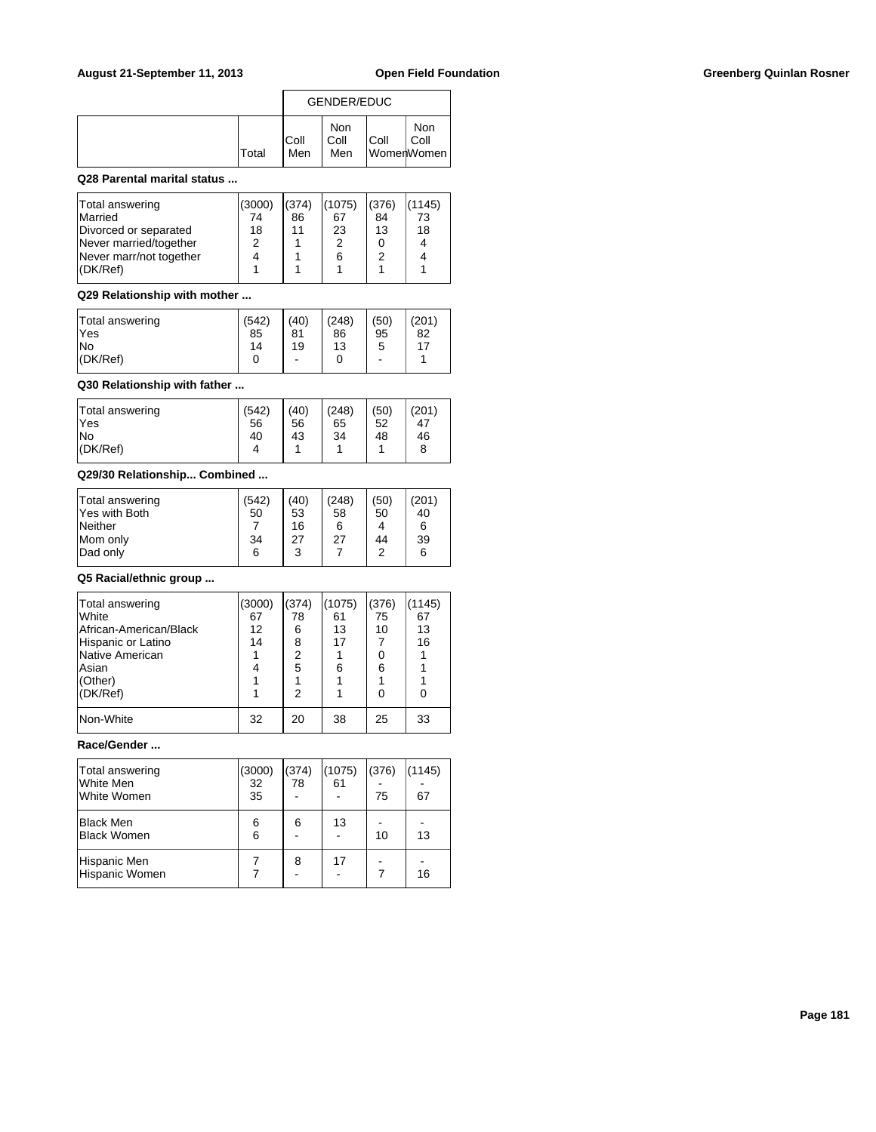|              |              | GENDER/EDUC        |      |                           |
|--------------|--------------|--------------------|------|---------------------------|
| <b>Total</b> | IColl<br>Men | Non<br>Coll<br>Men | Coll | Non<br>Coll<br>WomerWomen |

### **Q28 Parental marital status ...**

| Divorced or separated<br>Never married/together<br>っ | 11<br>18 | 23<br>2 | 13 | 18 |
|------------------------------------------------------|----------|---------|----|----|
| Never marr/not together<br>I(DK/Ref)                 |          | 6       | 2  |    |

### **Q29 Relationship with mother ...**

| Total answering<br>lYes | (542)<br>85 | (40)<br>81 | (248)<br>86 | (50)<br>95 | (201)<br>82 |
|-------------------------|-------------|------------|-------------|------------|-------------|
| lNo                     | 14          | 19         | 13          | 5          | 17          |
| $ $ (DK/Ref)            |             | -          |             | ۰          |             |

## **Q30 Relationship with father ...**

### **Q29/30 Relationship... Combined ...**

| Total answering | (542) | (40) | (248) | (50) | (201) |
|-----------------|-------|------|-------|------|-------|
| Yes with Both   | 50    | 53   | 58    | 50   | 40    |
| <b>Neither</b>  |       | 16   | 6     |      | 6     |
| Mom only        | 34    | 27   | 27    | 44   | 39    |
| Dad only        | 6     | 3    |       | 2    | 6     |
|                 |       |      |       |      |       |

### **Q5 Racial/ethnic group ...**

| Total answering<br>lWhite<br>African-American/Black<br>Hispanic or Latino<br>Native American<br><b>Asian</b> | (3000)<br>67<br>12<br>14 | (374)<br>78<br>6<br>8<br>2<br>5 | (1075)<br>61<br>13<br>17<br>6 | (376)<br>75<br>10<br>0<br>6 | (1145)<br>67<br>13<br>16 |
|--------------------------------------------------------------------------------------------------------------|--------------------------|---------------------------------|-------------------------------|-----------------------------|--------------------------|
| (Other)<br>(DK/Ref)                                                                                          |                          | 2                               |                               | 0                           |                          |
| Non-White                                                                                                    | 32                       | 20                              | 38                            | 25                          | 33                       |

# **Race/Gender ...**

| Total answering<br>White Men<br>White Women | (3000)<br>32<br>35 | (374)<br>78 | (1075)<br>61 | (376)<br>75 | (1145)<br>67 |
|---------------------------------------------|--------------------|-------------|--------------|-------------|--------------|
| Black Men<br>Black Women                    | 6<br>6             | 6           | 13           | 10          | 13           |
| Hispanic Men<br>Hispanic Women              |                    | 8           | 17           |             | 16           |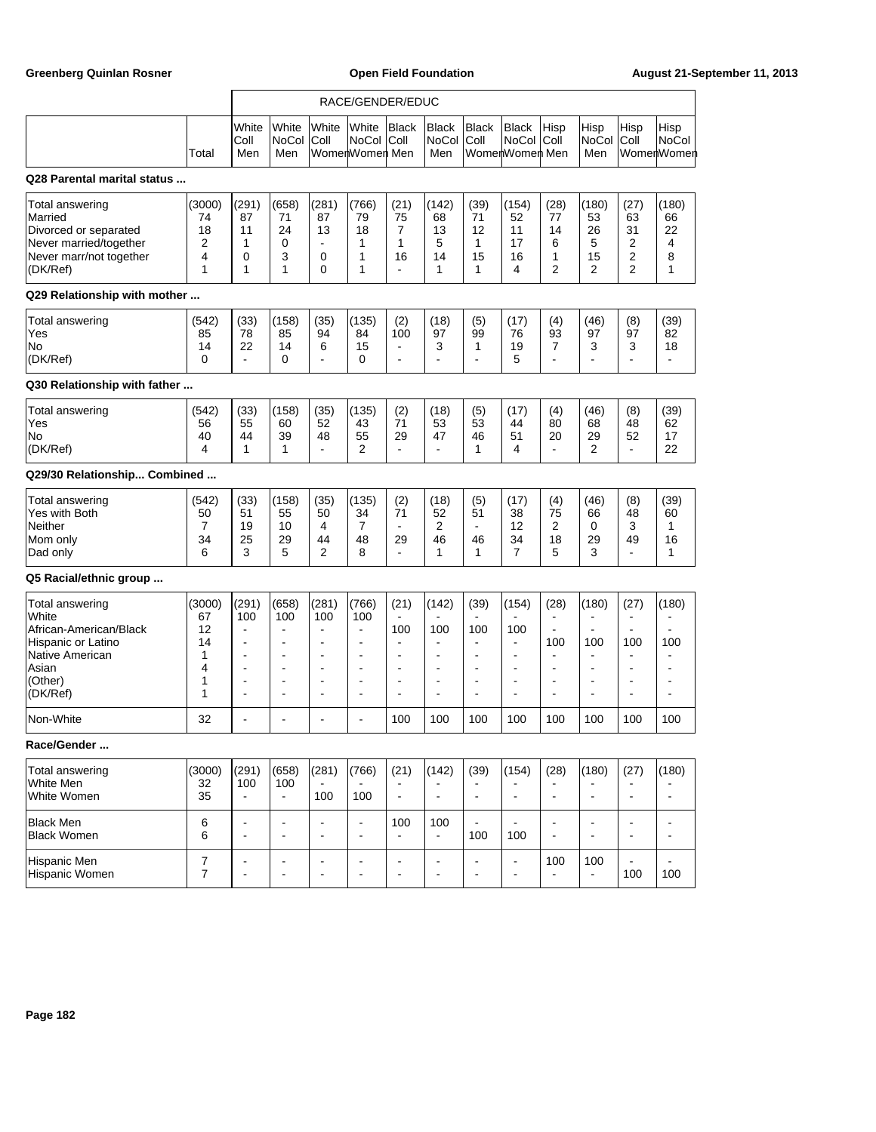|                                                                                                                             |                                              |                                                                                                           |                                                                                                        |                                                                                                                          | RACE/GENDER/EDUC                                                                                                                   |                                                                                               |                                                                                           |                                                                                          |                                                                                                                            |                                                                                                                           |                                                                                                                                              |                                                                                                                         |                                      |
|-----------------------------------------------------------------------------------------------------------------------------|----------------------------------------------|-----------------------------------------------------------------------------------------------------------|--------------------------------------------------------------------------------------------------------|--------------------------------------------------------------------------------------------------------------------------|------------------------------------------------------------------------------------------------------------------------------------|-----------------------------------------------------------------------------------------------|-------------------------------------------------------------------------------------------|------------------------------------------------------------------------------------------|----------------------------------------------------------------------------------------------------------------------------|---------------------------------------------------------------------------------------------------------------------------|----------------------------------------------------------------------------------------------------------------------------------------------|-------------------------------------------------------------------------------------------------------------------------|--------------------------------------|
|                                                                                                                             | Total                                        | White<br>Coll<br>Men                                                                                      | White<br>NoCol<br>Men                                                                                  | White<br>Coll                                                                                                            | White<br><b>NoCol</b><br>WomenWomen Men                                                                                            | <b>Black</b><br> Coll                                                                         | <b>Black</b><br><b>NoCol</b><br>Men                                                       | Black<br>Coll                                                                            | Black<br>NoCol<br>WomerlWomerl Men                                                                                         | Hisp<br>Coll                                                                                                              | Hisp<br>NoCol<br>Men                                                                                                                         | Hisp<br>Coll                                                                                                            | Hisp<br><b>NoCol</b><br>WomerlWomerl |
| Q28 Parental marital status                                                                                                 |                                              |                                                                                                           |                                                                                                        |                                                                                                                          |                                                                                                                                    |                                                                                               |                                                                                           |                                                                                          |                                                                                                                            |                                                                                                                           |                                                                                                                                              |                                                                                                                         |                                      |
| Total answering<br>Married<br>Divorced or separated<br>Never married/together<br>Never marr/not together<br>(DK/Ref)        | (3000)<br>74<br>18<br>2<br>4<br>1            | (291)<br>87<br>11<br>1<br>0<br>1                                                                          | (658)<br>71<br>24<br>0<br>3<br>1                                                                       | (281)<br>87<br>13<br>$\blacksquare$<br>$\mathbf 0$<br>$\Omega$                                                           | (766)<br>79<br>18<br>1<br>1<br>1                                                                                                   | (21)<br>75<br>7<br>1<br>16<br>$\blacksquare$                                                  | (142)<br>68<br>13<br>5<br>14<br>1                                                         | (39)<br>71<br>12<br>1<br>15<br>1                                                         | (154)<br>52<br>11<br>17<br>16<br>4                                                                                         | (28)<br>77<br>14<br>6<br>1<br>$\overline{2}$                                                                              | (180)<br>53<br>26<br>5<br>15<br>2                                                                                                            | (27)<br>63<br>31<br>$\overline{2}$<br>$\overline{2}$<br>$\overline{2}$                                                  | (180)<br>66<br>22<br>4<br>8<br>1     |
| Q29 Relationship with mother                                                                                                |                                              |                                                                                                           |                                                                                                        |                                                                                                                          |                                                                                                                                    |                                                                                               |                                                                                           |                                                                                          |                                                                                                                            |                                                                                                                           |                                                                                                                                              |                                                                                                                         |                                      |
| Total answering<br>Yes<br>No<br>(DK/Ref)                                                                                    | (542)<br>85<br>14<br>0                       | (33)<br>78<br>22<br>$\blacksquare$                                                                        | (158)<br>85<br>14<br>0                                                                                 | (35)<br>94<br>6                                                                                                          | (135)<br>84<br>15<br>0                                                                                                             | (2)<br>100<br>$\blacksquare$<br>$\blacksquare$                                                | (18)<br>97<br>3<br>ä,                                                                     | (5)<br>99<br>1<br>ä,                                                                     | (17)<br>76<br>19<br>5                                                                                                      | (4)<br>93<br>7                                                                                                            | (46)<br>97<br>3                                                                                                                              | (8)<br>97<br>3<br>$\overline{a}$                                                                                        | (39)<br>82<br>18<br>$\blacksquare$   |
| Q30 Relationship with father                                                                                                |                                              |                                                                                                           |                                                                                                        |                                                                                                                          |                                                                                                                                    |                                                                                               |                                                                                           |                                                                                          |                                                                                                                            |                                                                                                                           |                                                                                                                                              |                                                                                                                         |                                      |
| Total answering<br>Yes<br>No<br>(DK/Ref)                                                                                    | (542)<br>56<br>40<br>4                       | (33)<br>55<br>44<br>1                                                                                     | (158)<br>60<br>39<br>1                                                                                 | (35)<br>52<br>48<br>$\blacksquare$                                                                                       | (135)<br>43<br>55<br>2                                                                                                             | (2)<br>71<br>29<br>$\blacksquare$                                                             | (18)<br>53<br>47<br>L.                                                                    | (5)<br>53<br>46<br>1                                                                     | (17)<br>44<br>51<br>4                                                                                                      | (4)<br>80<br>20<br>÷                                                                                                      | (46)<br>68<br>29<br>$\overline{2}$                                                                                                           | (8)<br>48<br>52<br>$\blacksquare$                                                                                       | (39)<br>62<br>17<br>22               |
| Q29/30 Relationship Combined                                                                                                |                                              |                                                                                                           |                                                                                                        |                                                                                                                          |                                                                                                                                    |                                                                                               |                                                                                           |                                                                                          |                                                                                                                            |                                                                                                                           |                                                                                                                                              |                                                                                                                         |                                      |
| Total answering<br>Yes with Both<br>Neither<br>Mom only<br>Dad only                                                         | (542)<br>50<br>7<br>34<br>6                  | (33)<br>51<br>19<br>25<br>3                                                                               | (158)<br>55<br>10<br>29<br>5                                                                           | (35)<br>50<br>4<br>44<br>2                                                                                               | (135)<br>34<br>$\overline{7}$<br>48<br>8                                                                                           | (2)<br>71<br>$\blacksquare$<br>29<br>$\blacksquare$                                           | (18)<br>52<br>2<br>46<br>1                                                                | (5)<br>51<br>$\blacksquare$<br>46<br>1                                                   | (17)<br>38<br>12<br>34<br>$\overline{7}$                                                                                   | (4)<br>75<br>2<br>18<br>5                                                                                                 | (46)<br>66<br>0<br>29<br>3                                                                                                                   | (8)<br>48<br>3<br>49<br>$\blacksquare$                                                                                  | (39)<br>60<br>1<br>16<br>1           |
| Q5 Racial/ethnic group                                                                                                      |                                              |                                                                                                           |                                                                                                        |                                                                                                                          |                                                                                                                                    |                                                                                               |                                                                                           |                                                                                          |                                                                                                                            |                                                                                                                           |                                                                                                                                              |                                                                                                                         |                                      |
| Total answering<br>White<br>African-American/Black<br>Hispanic or Latino<br>Native American<br>Asian<br>(Other)<br>(DK/Ref) | (3000)<br>67<br>12<br>14<br>1<br>4<br>1<br>1 | (291)<br>100<br>ä,<br>$\overline{a}$<br>$\blacksquare$<br>$\overline{\phantom{a}}$<br>۰<br>$\blacksquare$ | (658)<br>100<br>$\blacksquare$<br>$\blacksquare$<br>$\blacksquare$<br>$\blacksquare$<br>$\blacksquare$ | (281)<br>100<br>$\blacksquare$<br>$\blacksquare$<br>$\blacksquare$<br>$\blacksquare$<br>$\blacksquare$<br>$\blacksquare$ | (766)<br>100<br>$\blacksquare$<br>$\blacksquare$<br>$\blacksquare$<br>$\overline{\phantom{a}}$<br>$\blacksquare$<br>$\blacksquare$ | (21)<br>100<br>$\sim$<br>$\blacksquare$<br>$\blacksquare$<br>$\blacksquare$<br>$\blacksquare$ | (142)<br>100<br>$\blacksquare$<br>$\blacksquare$<br>$\overline{a}$<br>÷<br>$\blacksquare$ | (39)<br>100<br>$\blacksquare$<br>$\blacksquare$<br>۰<br>$\blacksquare$<br>$\blacksquare$ | (154)<br>100<br>$\overline{\phantom{a}}$<br>$\blacksquare$<br>$\overline{\phantom{a}}$<br>$\blacksquare$<br>$\blacksquare$ | (28)<br>$\blacksquare$<br>$\blacksquare$<br>100<br>$\overline{\phantom{a}}$<br>$\overline{\phantom{a}}$<br>$\blacksquare$ | (180)<br>$\overline{\phantom{a}}$<br>$\blacksquare$<br>100<br>$\blacksquare$<br>$\blacksquare$<br>$\blacksquare$<br>$\overline{\phantom{a}}$ | (27)<br>$\blacksquare$<br>$\blacksquare$<br>100<br>$\blacksquare$<br>$\blacksquare$<br>$\blacksquare$<br>$\blacksquare$ | (180)<br>100<br>Ē,<br>$\blacksquare$ |
| Non-White                                                                                                                   | 32                                           | ä,                                                                                                        |                                                                                                        |                                                                                                                          | $\overline{a}$                                                                                                                     | 100                                                                                           | 100                                                                                       | 100                                                                                      | 100                                                                                                                        | 100                                                                                                                       | 100                                                                                                                                          | 100                                                                                                                     | 100                                  |
| Race/Gender                                                                                                                 |                                              |                                                                                                           |                                                                                                        |                                                                                                                          |                                                                                                                                    |                                                                                               |                                                                                           |                                                                                          |                                                                                                                            |                                                                                                                           |                                                                                                                                              |                                                                                                                         |                                      |
| <b>Total answering</b><br>White Men<br>White Women                                                                          | (3000)<br>32<br>35                           | (291)<br>100<br>$\overline{a}$                                                                            | (658)<br>100<br>$\blacksquare$                                                                         | (281)<br>100                                                                                                             | (766)<br>100                                                                                                                       | (21)<br>$\blacksquare$                                                                        | (142)<br>÷                                                                                | (39)<br>ä,                                                                               | (154)<br>÷,                                                                                                                | (28)<br>$\blacksquare$                                                                                                    | (180)<br>$\overline{\phantom{a}}$                                                                                                            | (27)<br>$\blacksquare$                                                                                                  | (180)                                |
| <b>Black Men</b><br><b>Black Women</b>                                                                                      | 6<br>6                                       | $\blacksquare$<br>÷,                                                                                      | $\blacksquare$                                                                                         | $\blacksquare$<br>$\overline{\phantom{a}}$                                                                               | $\blacksquare$<br>$\blacksquare$                                                                                                   | 100                                                                                           | 100<br>$\blacksquare$                                                                     | 100                                                                                      | 100                                                                                                                        | ÷,                                                                                                                        | $\blacksquare$<br>$\blacksquare$                                                                                                             | $\blacksquare$<br>÷,                                                                                                    | $\blacksquare$                       |
| Hispanic Men<br>Hispanic Women                                                                                              | $\boldsymbol{7}$<br>7                        | ÷<br>$\overline{a}$                                                                                       | $\blacksquare$                                                                                         | $\overline{\phantom{a}}$<br>$\blacksquare$                                                                               | $\overline{a}$<br>$\blacksquare$                                                                                                   | $\blacksquare$<br>$\overline{\phantom{a}}$                                                    | ÷<br>÷                                                                                    | ÷<br>ä,                                                                                  | $\overline{a}$<br>$\blacksquare$                                                                                           | 100                                                                                                                       | 100<br>$\blacksquare$                                                                                                                        | $\overline{\phantom{a}}$<br>100                                                                                         | 100                                  |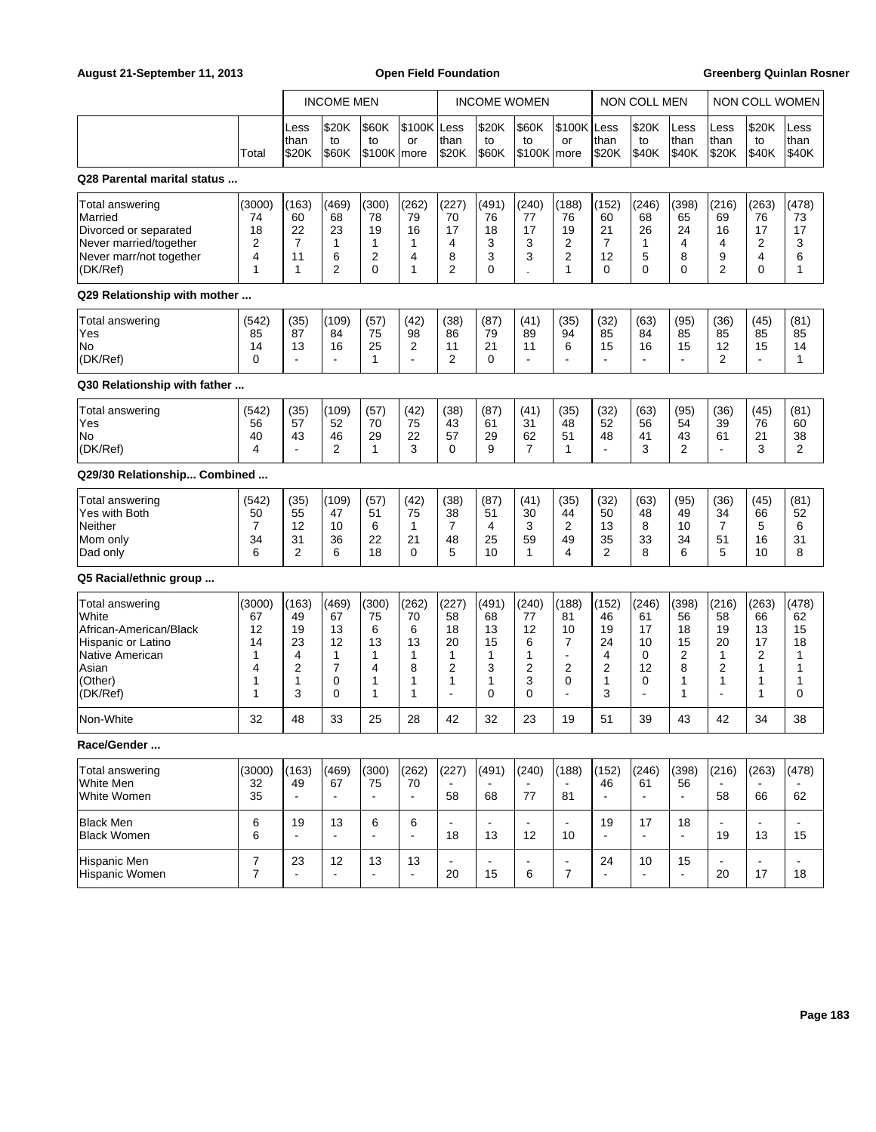|                                                                                                                                    |                                              |                                                | <b>INCOME MEN</b>                           |                                                          |                                            |                                                          | <b>INCOME WOMEN</b>                                   |                                                      |                                                          |                                                | <b>NON COLL MEN</b>                                             |                                             |                                                                                        | <b>NON COLL WOMEN</b>                       |                                             |
|------------------------------------------------------------------------------------------------------------------------------------|----------------------------------------------|------------------------------------------------|---------------------------------------------|----------------------------------------------------------|--------------------------------------------|----------------------------------------------------------|-------------------------------------------------------|------------------------------------------------------|----------------------------------------------------------|------------------------------------------------|-----------------------------------------------------------------|---------------------------------------------|----------------------------------------------------------------------------------------|---------------------------------------------|---------------------------------------------|
|                                                                                                                                    | Total                                        | Less<br> than<br>\$20K                         | \$20K<br>to<br>\$60K                        | \$60K<br>to<br>$$100K$   more                            | \$100K Less<br>or                          | than<br>\$20K                                            | \$20K<br>to<br>\$60K                                  | \$60K<br>to<br>\$100K   more                         | \$100K<br>or                                             | Less<br>than<br>\$20K                          | \$20K<br>to<br>\$40K                                            | Less<br>than<br>\$40K                       | Less<br>than<br>\$20K                                                                  | \$20K<br>to<br>\$40K                        | Less<br>than<br>\$40K                       |
| Q28 Parental marital status                                                                                                        |                                              |                                                |                                             |                                                          |                                            |                                                          |                                                       |                                                      |                                                          |                                                |                                                                 |                                             |                                                                                        |                                             |                                             |
| Total answering<br>Married<br>Divorced or separated<br>Never married/together<br>Never marr/not together<br>(DK/Ref)               | (3000)<br>74<br>18<br>2<br>4<br>1            | (163)<br>60<br>22<br>$\overline{7}$<br>11<br>1 | (469)<br>68<br>23<br>1<br>6<br>2            | (300)<br>78<br>19<br>$\mathbf{1}$<br>$\overline{2}$<br>0 | (262)<br>79<br>16<br>1<br>4<br>1           | (227)<br>70<br>17<br>4<br>8<br>$\overline{2}$            | (491)<br>76<br>18<br>3<br>3<br>0                      | (240)<br>77<br>17<br>3<br>3                          | (188)<br>76<br>19<br>2<br>2<br>1                         | (152)<br>60<br>21<br>$\overline{7}$<br>12<br>0 | (246)<br>68<br>26<br>1<br>5<br>0                                | (398)<br>65<br>24<br>4<br>8<br>0            | (216)<br>69<br>16<br>4<br>9<br>$\overline{2}$                                          | (263)<br>76<br>17<br>2<br>4<br>0            | (478)<br>73<br>17<br>3<br>6<br>1            |
| Q29 Relationship with mother                                                                                                       |                                              |                                                |                                             |                                                          |                                            |                                                          |                                                       |                                                      |                                                          |                                                |                                                                 |                                             |                                                                                        |                                             |                                             |
| Total answering<br>Yes<br>No<br>(DK/Ref)                                                                                           | (542)<br>85<br>14<br>$\Omega$                | (35)<br>87<br>13<br>$\overline{a}$             | (109)<br>84<br>16<br>$\blacksquare$         | (57)<br>75<br>25<br>$\mathbf{1}$                         | (42)<br>98<br>2<br>÷.                      | (38)<br>86<br>11<br>2                                    | (87)<br>79<br>21<br>$\Omega$                          | (41)<br>89<br>11<br>$\blacksquare$                   | (35)<br>94<br>6<br>$\overline{a}$                        | (32)<br>85<br>15<br>$\blacksquare$             | (63)<br>84<br>16<br>$\blacksquare$                              | (95)<br>85<br>15<br>$\overline{a}$          | (36)<br>85<br>12<br>$\overline{2}$                                                     | (45)<br>85<br>15<br>$\blacksquare$          | (81)<br>85<br>14<br>1                       |
| Q30 Relationship with father                                                                                                       |                                              |                                                |                                             |                                                          |                                            |                                                          |                                                       |                                                      |                                                          |                                                |                                                                 |                                             |                                                                                        |                                             |                                             |
| Total answering<br>Yes<br>No<br>(DK/Ref)                                                                                           | (542)<br>56<br>40<br>4                       | (35)<br>57<br>43<br>$\overline{a}$             | (109)<br>52<br>46<br>2                      | (57)<br>70<br>29<br>$\mathbf{1}$                         | (42)<br>75<br>22<br>3                      | (38)<br>43<br>57<br>$\Omega$                             | (87)<br>61<br>29<br>9                                 | (41)<br>31<br>62<br>$\overline{7}$                   | (35)<br>48<br>51<br>1                                    | (32)<br>52<br>48<br>$\blacksquare$             | (63)<br>56<br>41<br>3                                           | (95)<br>54<br>43<br>2                       | (36)<br>39<br>61<br>$\blacksquare$                                                     | (45)<br>76<br>21<br>3                       | (81)<br>60<br>38<br>2                       |
| Q29/30 Relationship Combined                                                                                                       |                                              |                                                |                                             |                                                          |                                            |                                                          |                                                       |                                                      |                                                          |                                                |                                                                 |                                             |                                                                                        |                                             |                                             |
| Total answering<br>Yes with Both<br>Neither<br>Mom only<br>Dad only                                                                | (542)<br>50<br>7<br>34<br>6                  | (35)<br>55<br>12<br>31<br>2                    | (109)<br>47<br>10<br>36<br>6                | (57)<br>51<br>6<br>22<br>18                              | (42)<br>75<br>1<br>21<br>$\Omega$          | (38)<br>38<br>7<br>48<br>5                               | (87)<br>51<br>4<br>25<br>10                           | (41)<br>30<br>3<br>59<br>1                           | (35)<br>44<br>2<br>49<br>4                               | (32)<br>50<br>13<br>35<br>$\overline{2}$       | (63)<br>48<br>8<br>33<br>8                                      | (95)<br>49<br>10<br>34<br>6                 | (36)<br>34<br>7<br>51<br>5                                                             | (45)<br>66<br>5<br>16<br>10                 | (81)<br>52<br>6<br>31<br>8                  |
| Q5 Racial/ethnic group                                                                                                             |                                              |                                                |                                             |                                                          |                                            |                                                          |                                                       |                                                      |                                                          |                                                |                                                                 |                                             |                                                                                        |                                             |                                             |
| <b>Total answering</b><br>White<br>African-American/Black<br>Hispanic or Latino<br>Native American<br>Asian<br>(Other)<br>(DK/Ref) | (3000)<br>67<br>12<br>14<br>1<br>4<br>1<br>1 | (163)<br>49<br>19<br>23<br>4<br>2<br>1<br>3    | (469)<br>67<br>13<br>12<br>1<br>7<br>0<br>0 | (300)<br>75<br>6<br>13<br>1<br>4<br>1<br>1               | (262)<br>70<br>6<br>13<br>1<br>8<br>1<br>1 | (227)<br>58<br>18<br>20<br>1<br>2<br>1<br>$\blacksquare$ | (491)<br>68<br>13<br>15<br>1<br>3<br>1<br>$\mathbf 0$ | (240)<br>77<br>12<br>6<br>1<br>2<br>3<br>$\mathbf 0$ | (188)<br>81<br>10<br>7<br>÷.<br>2<br>0<br>$\blacksquare$ | (152)<br>46<br>19<br>24<br>4<br>2<br>1<br>3    | (246)<br>61<br>17<br>10<br>0<br>12<br>0<br>$\ddot{\phantom{a}}$ | (398)<br>56<br>18<br>15<br>2<br>8<br>1<br>1 | (216)<br>58<br>19<br>20<br>$\mathbf{1}$<br>$\overline{2}$<br>1<br>$\ddot{\phantom{a}}$ | (263)<br>66<br>13<br>17<br>2<br>1<br>1<br>1 | (478)<br>62<br>15<br>18<br>1<br>1<br>1<br>0 |
| Non-White                                                                                                                          | 32                                           | 48                                             | 33                                          | 25                                                       | 28                                         | 42                                                       | 32                                                    | 23                                                   | 19                                                       | 51                                             | 39                                                              | 43                                          | 42                                                                                     | 34                                          | 38                                          |
| Race/Gender                                                                                                                        |                                              |                                                |                                             |                                                          |                                            |                                                          |                                                       |                                                      |                                                          |                                                |                                                                 |                                             |                                                                                        |                                             |                                             |
| <b>Total answering</b><br>White Men<br>White Women                                                                                 | (3000)<br>32<br>35                           | (163)<br>49<br>$\blacksquare$                  | (469)<br>67<br>$\blacksquare$               | (300)<br>75<br>$\overline{a}$                            | (262)<br>70<br>$\blacksquare$              | (227)<br>58                                              | (491)<br>68                                           | (240)<br>77                                          | (188)<br>81                                              | (152)<br>46<br>ä,                              | (246)<br>61                                                     | (398)<br>56<br>$\blacksquare$               | (216)<br>58                                                                            | (263)<br>66                                 | (478)<br>62                                 |
| <b>Black Men</b><br><b>Black Women</b>                                                                                             | 6<br>6                                       | 19<br>٠                                        | 13<br>$\blacksquare$                        | 6                                                        | 6<br>$\blacksquare$                        | $\blacksquare$<br>18                                     | $\blacksquare$<br>13                                  | 12                                                   | 10                                                       | 19                                             | 17                                                              | 18<br>÷,                                    | 19                                                                                     | 13                                          | 15                                          |
| Hispanic Men<br>Hispanic Women                                                                                                     | 7<br>$\overline{7}$                          | 23<br>$\blacksquare$                           | 12<br>$\blacksquare$                        | 13                                                       | 13<br>$\blacksquare$                       | 20                                                       | 15                                                    | 6                                                    | $\blacksquare$<br>$\overline{7}$                         | 24<br>ä,                                       | 10<br>$\overline{a}$                                            | 15<br>÷.                                    | $\blacksquare$<br>20                                                                   | 17                                          | 18                                          |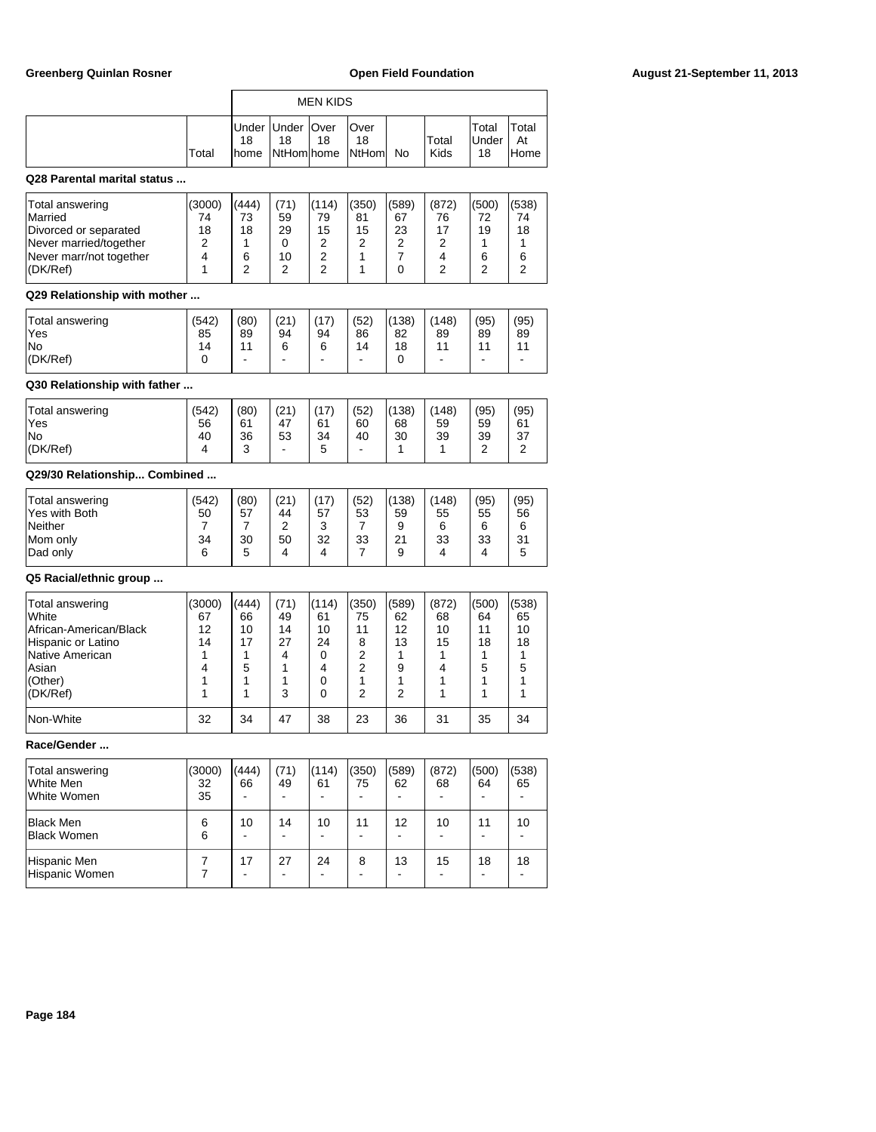| <b>Greenberg Quinlan Rosner</b>                                                                                             |                                                           |                                               |                                                         |                                             |                                                                                   |                                             | <b>Open Field Foundation</b>                |                                                        |                                                                   | August 21-September 11, 2013 |
|-----------------------------------------------------------------------------------------------------------------------------|-----------------------------------------------------------|-----------------------------------------------|---------------------------------------------------------|---------------------------------------------|-----------------------------------------------------------------------------------|---------------------------------------------|---------------------------------------------|--------------------------------------------------------|-------------------------------------------------------------------|------------------------------|
|                                                                                                                             |                                                           |                                               |                                                         | <b>MEN KIDS</b>                             |                                                                                   |                                             |                                             |                                                        |                                                                   |                              |
|                                                                                                                             | Total                                                     | Under<br>18<br>home                           | Under<br>18<br>NtHomlhome                               | <b>Over</b><br>18                           | Over<br>18<br>NtHom                                                               | No                                          | Total<br>Kids                               | Total<br>Under<br>18                                   | Total<br>At<br>Home                                               |                              |
| Q28 Parental marital status                                                                                                 |                                                           |                                               |                                                         |                                             |                                                                                   |                                             |                                             |                                                        |                                                                   |                              |
| Total answering<br>Married<br>Divorced or separated<br>Never married/together<br>Never marr/not together<br>(DK/Ref)        | (3000)<br>74<br>18<br>$\overline{c}$<br>4<br>$\mathbf{1}$ | (444)<br>73<br>18<br>1<br>6<br>$\overline{2}$ | (71)<br>59<br>29<br>0<br>10<br>$\overline{2}$           | (114)<br>79<br>15<br>2<br>2<br>2            | (350)<br>81<br>15<br>2<br>1<br>$\mathbf{1}$                                       | (589)<br>67<br>23<br>2<br>7<br>0            | (872)<br>76<br>17<br>2<br>4<br>2            | (500)<br>72<br>19<br>1<br>6<br>2                       | (538)<br>74<br>18<br>1<br>6<br>2                                  |                              |
| Q29 Relationship with mother                                                                                                |                                                           |                                               |                                                         |                                             |                                                                                   |                                             |                                             |                                                        |                                                                   |                              |
| Total answering<br>Yes<br>No<br>(DK/Ref)                                                                                    | (542)<br>85<br>14<br>$\Omega$                             | (80)<br>89<br>11                              | (21)<br>94<br>6                                         | (17)<br>94<br>6                             | (52)<br>86<br>14<br>$\overline{a}$                                                | (138)<br>82<br>18<br>0                      | (148)<br>89<br>11<br>ä,                     | (95)<br>89<br>11<br>$\overline{a}$                     | (95)<br>89<br>11<br>ä,                                            |                              |
| Q30 Relationship with father                                                                                                |                                                           |                                               |                                                         |                                             |                                                                                   |                                             |                                             |                                                        |                                                                   |                              |
| Total answering<br>Yes<br>No<br>(DK/Ref)                                                                                    | (542)<br>56<br>40<br>4                                    | (80)<br>61<br>36<br>3                         | (21)<br>47<br>53<br>$\blacksquare$                      | (17)<br>61<br>34<br>5                       | (52)<br>60<br>40<br>$\blacksquare$                                                | (138)<br>68<br>30<br>$\mathbf{1}$           | (148)<br>59<br>39<br>$\mathbf{1}$           | (95)<br>59<br>39<br>2                                  | (95)<br>61<br>37<br>$\overline{2}$                                |                              |
| Q29/30 Relationship Combined                                                                                                |                                                           |                                               |                                                         |                                             |                                                                                   |                                             |                                             |                                                        |                                                                   |                              |
| Total answering<br>Yes with Both<br>Neither<br>Mom only<br>Dad only                                                         | (542)<br>50<br>7<br>34<br>6                               | (80)<br>57<br>7<br>30<br>5                    | (21)<br>44<br>$\overline{c}$<br>50<br>4                 | (17)<br>57<br>3<br>32<br>4                  | (52)<br>53<br>$\overline{7}$<br>33<br>$\overline{7}$                              | (138)<br>59<br>9<br>21<br>9                 | (148)<br>55<br>6<br>33<br>4                 | (95)<br>55<br>6<br>33<br>4                             | (95)<br>56<br>6<br>31<br>5                                        |                              |
| Q5 Racial/ethnic group                                                                                                      |                                                           |                                               |                                                         |                                             |                                                                                   |                                             |                                             |                                                        |                                                                   |                              |
| Total answering<br>White<br>African-American/Black<br>Hispanic or Latino<br>Native American<br>Asian<br>(Other)<br>(DK/Ref) | (3000)<br>67<br>12<br>14<br>1<br>4<br>1<br>1              | (444)<br>66<br>10<br>17<br>1<br>5<br>1<br>1   | (71)<br>49<br>14<br>27<br>$\overline{4}$<br>1<br>1<br>3 | (114)<br>61<br>10<br>24<br>0<br>4<br>0<br>0 | (350)<br>75<br>11<br>8<br>$\overline{c}$<br>$\overline{2}$<br>1<br>$\overline{2}$ | (589)<br>62<br>12<br>13<br>1<br>9<br>1<br>2 | (872)<br>68<br>10<br>15<br>1<br>4<br>1<br>1 | (500)<br>64<br>11<br>18<br>1<br>5<br>1<br>$\mathbf{1}$ | (538)<br>65<br>10<br>18<br>1<br>5<br>$\mathbf{1}$<br>$\mathbf{1}$ |                              |
| Non-White                                                                                                                   | 32                                                        | 34                                            | 47                                                      | 38                                          | 23                                                                                | 36                                          | 31                                          | 35                                                     | 34                                                                |                              |
| Race/Gender                                                                                                                 |                                                           |                                               |                                                         |                                             |                                                                                   |                                             |                                             |                                                        |                                                                   |                              |
| Total answering<br>White Men<br>White Women                                                                                 | (3000)<br>32<br>35                                        | (444)<br>66<br>$\blacksquare$                 | (71)<br>49<br>$\blacksquare$                            | (114)<br>61<br>$\blacksquare$               | (350)<br>75<br>$\blacksquare$                                                     | (589)<br>62<br>$\blacksquare$               | (872)<br>68<br>$\blacksquare$               | (500)<br>64<br>$\blacksquare$                          | (538)<br>65<br>$\blacksquare$                                     |                              |
| <b>Black Men</b><br><b>Black Women</b>                                                                                      | 6<br>6                                                    | 10                                            | 14<br>$\blacksquare$                                    | 10<br>$\blacksquare$                        | 11<br>$\overline{\phantom{a}}$                                                    | 12<br>$\blacksquare$                        | 10<br>÷.                                    | 11<br>$\blacksquare$                                   | 10<br>$\blacksquare$                                              |                              |
| Hispanic Men<br>Hispanic Women                                                                                              | $\overline{7}$<br>7                                       | 17                                            | 27<br>$\blacksquare$                                    | 24                                          | 8<br>$\overline{a}$                                                               | 13<br>$\blacksquare$                        | 15<br>$\blacksquare$                        | 18<br>$\blacksquare$                                   | 18<br>÷,                                                          |                              |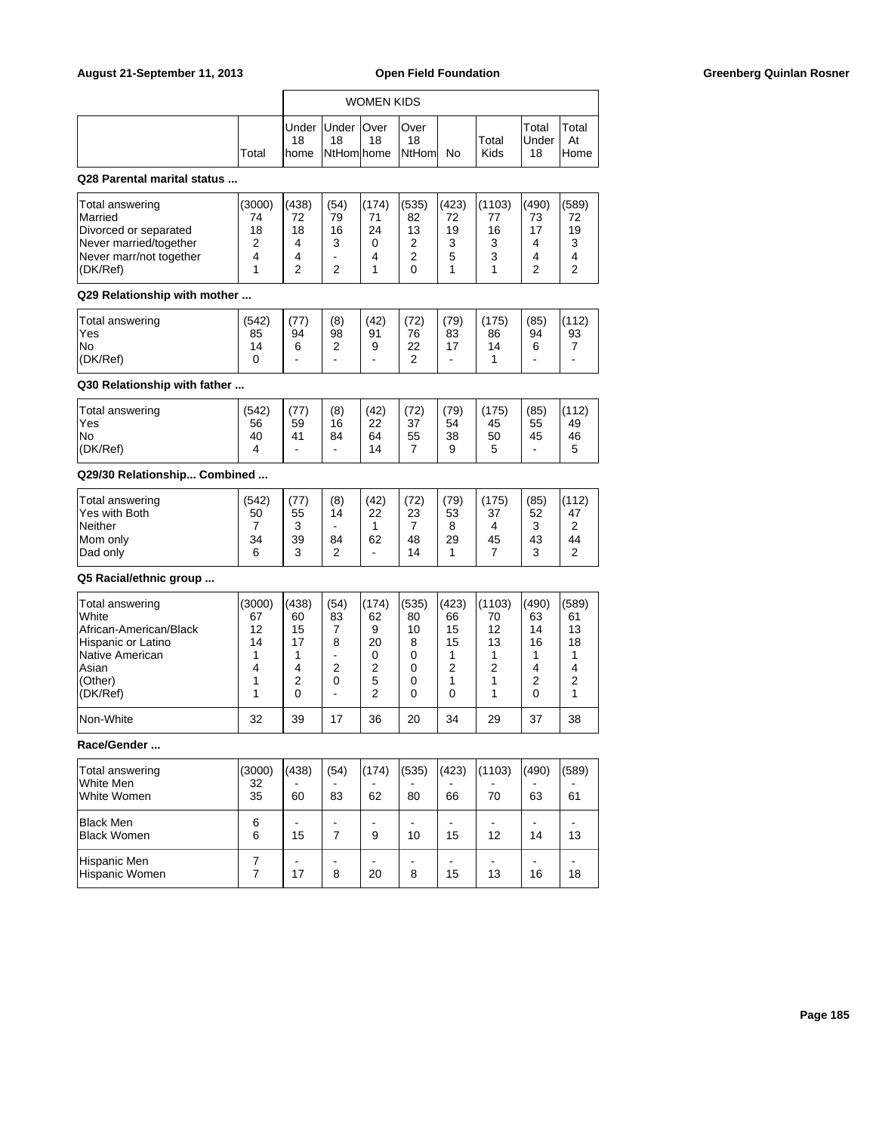| August 21-September 11, 2013                                                                                                       |                                              |                                             |                                                                     |                                            | <b>Open Field Foundation</b>                                      |                                             |                                                         |                                             |                                             |
|------------------------------------------------------------------------------------------------------------------------------------|----------------------------------------------|---------------------------------------------|---------------------------------------------------------------------|--------------------------------------------|-------------------------------------------------------------------|---------------------------------------------|---------------------------------------------------------|---------------------------------------------|---------------------------------------------|
|                                                                                                                                    |                                              |                                             |                                                                     | <b>WOMEN KIDS</b>                          |                                                                   |                                             |                                                         |                                             |                                             |
|                                                                                                                                    | Total                                        | Under<br>18<br> home                        | Under<br>18<br>NtHom home                                           | <b>Over</b><br>18                          | Over<br>18<br>NtHom                                               | No                                          | Total<br>Kids                                           | Total<br>Under<br>18                        | Total<br>At<br>Home                         |
| Q28 Parental marital status                                                                                                        |                                              |                                             |                                                                     |                                            |                                                                   |                                             |                                                         |                                             |                                             |
| Total answering<br>Married<br>Divorced or separated<br>Never married/together<br>Never marr/not together<br>(DK/Ref)               | (3000)<br>74<br>18<br>2<br>4<br>1            | (438)<br>72<br>18<br>4<br>4<br>2            | (54)<br>79<br>16<br>3<br>$\blacksquare$<br>2                        | (174)<br>71<br>24<br>0<br>4<br>1           | (535)<br>82<br>13<br>$\overline{c}$<br>$\overline{c}$<br>$\Omega$ | (423)<br>72<br>19<br>3<br>5<br>$\mathbf{1}$ | (1103)<br>77<br>16<br>3<br>3<br>1                       | (490)<br>73<br>17<br>4<br>4<br>2            | (589)<br>72<br>19<br>3<br>4<br>2            |
| Q29 Relationship with mother                                                                                                       |                                              |                                             |                                                                     |                                            |                                                                   |                                             |                                                         |                                             |                                             |
| <b>Total answering</b><br>Yes<br>No<br>(DK/Ref)                                                                                    | (542)<br>85<br>14<br>0                       | (77)<br>94<br>6<br>$\blacksquare$           | (8)<br>98<br>2<br>$\blacksquare$                                    | (42)<br>91<br>9<br>$\blacksquare$          | (72)<br>76<br>22<br>2                                             | (79)<br>83<br>17<br>$\blacksquare$          | (175)<br>86<br>14<br>$\mathbf{1}$                       | (85)<br>94<br>6<br>$\overline{a}$           | (112)<br>93<br>7<br>$\blacksquare$          |
| Q30 Relationship with father                                                                                                       |                                              |                                             |                                                                     |                                            |                                                                   |                                             |                                                         |                                             |                                             |
| <b>Total answering</b><br>Yes<br>No.<br>(DK/Ref)                                                                                   | (542)<br>56<br>40<br>4                       | (77)<br>59<br>41<br>$\blacksquare$          | (8)<br>16<br>84<br>$\blacksquare$                                   | (42)<br>22<br>64<br>14                     | (72)<br>37<br>55<br>$\overline{7}$                                | (79)<br>54<br>38<br>9                       | (175)<br>45<br>50<br>5                                  | (85)<br>55<br>45<br>٠                       | (112)<br>49<br>46<br>5                      |
| Q29/30 Relationship Combined                                                                                                       |                                              |                                             |                                                                     |                                            |                                                                   |                                             |                                                         |                                             |                                             |
| <b>Total answering</b><br>Yes with Both<br>Neither<br>Mom only<br>Dad only                                                         | (542)<br>50<br>7<br>34<br>6                  | (77)<br>55<br>3<br>39<br>3                  | (8)<br>14<br>$\blacksquare$<br>84<br>2                              | (42)<br>22<br>$\mathbf{1}$<br>62<br>٠      | (72)<br>23<br>$\overline{7}$<br>48<br>14                          | (79)<br>53<br>8<br>29<br>$\mathbf{1}$       | (175)<br>37<br>4<br>45<br>$\overline{7}$                | (85)<br>52<br>3<br>43<br>3                  | (112)<br>47<br>2<br>44<br>2                 |
| Q5 Racial/ethnic group                                                                                                             |                                              |                                             |                                                                     |                                            |                                                                   |                                             |                                                         |                                             |                                             |
| <b>Total answering</b><br>White<br>African-American/Black<br>Hispanic or Latino<br>Native American<br>Asian<br>(Other)<br>(DK/Ref) | (3000)<br>67<br>12<br>14<br>1<br>4<br>1<br>1 | (438)<br>60<br>15<br>17<br>1<br>4<br>2<br>0 | (54)<br>83<br>$\overline{7}$<br>8<br>$\blacksquare$<br>2<br>0<br>÷, | (174)<br>62<br>9<br>20<br>0<br>2<br>5<br>2 | (535)<br>80<br>10<br>8<br>0<br>$\mathbf 0$<br>0<br>0              | (423)<br>66<br>15<br>15<br>1<br>2<br>1<br>0 | (1103)<br>70<br>12<br>13<br>$\mathbf{1}$<br>2<br>1<br>1 | (490)<br>63<br>14<br>16<br>1<br>4<br>2<br>0 | (589)<br>61<br>13<br>18<br>1<br>4<br>2<br>1 |
| Non-White                                                                                                                          | 32                                           | 39                                          | 17                                                                  | 36                                         | 20                                                                | 34                                          | 29                                                      | 37                                          | 38                                          |
| Race/Gender                                                                                                                        |                                              |                                             |                                                                     |                                            |                                                                   |                                             |                                                         |                                             |                                             |
| Total answering<br>White Men<br>White Women                                                                                        | (3000)<br>32<br>35                           | (438)<br>60                                 | (54)<br>83                                                          | (174)<br>62                                | (535)<br>80                                                       | (423)<br>66                                 | (1103)<br>70                                            | (490)<br>63                                 | (589)<br>61                                 |
| <b>Black Men</b><br><b>Black Women</b>                                                                                             | 6<br>6                                       | 15                                          | ٠<br>$\overline{7}$                                                 | 9                                          | 10                                                                | $\blacksquare$<br>15                        | $\overline{\phantom{a}}$<br>12                          | $\blacksquare$<br>14                        | $\overline{\phantom{a}}$<br>13              |
| Hispanic Men<br>Hispanic Women                                                                                                     | 7<br>7                                       | $\overline{\phantom{a}}$<br>17              | $\overline{\phantom{0}}$<br>8                                       | 20                                         | 8                                                                 | $\blacksquare$<br>15                        | $\blacksquare$<br>13                                    | $\blacksquare$<br>16                        | $\blacksquare$<br>18                        |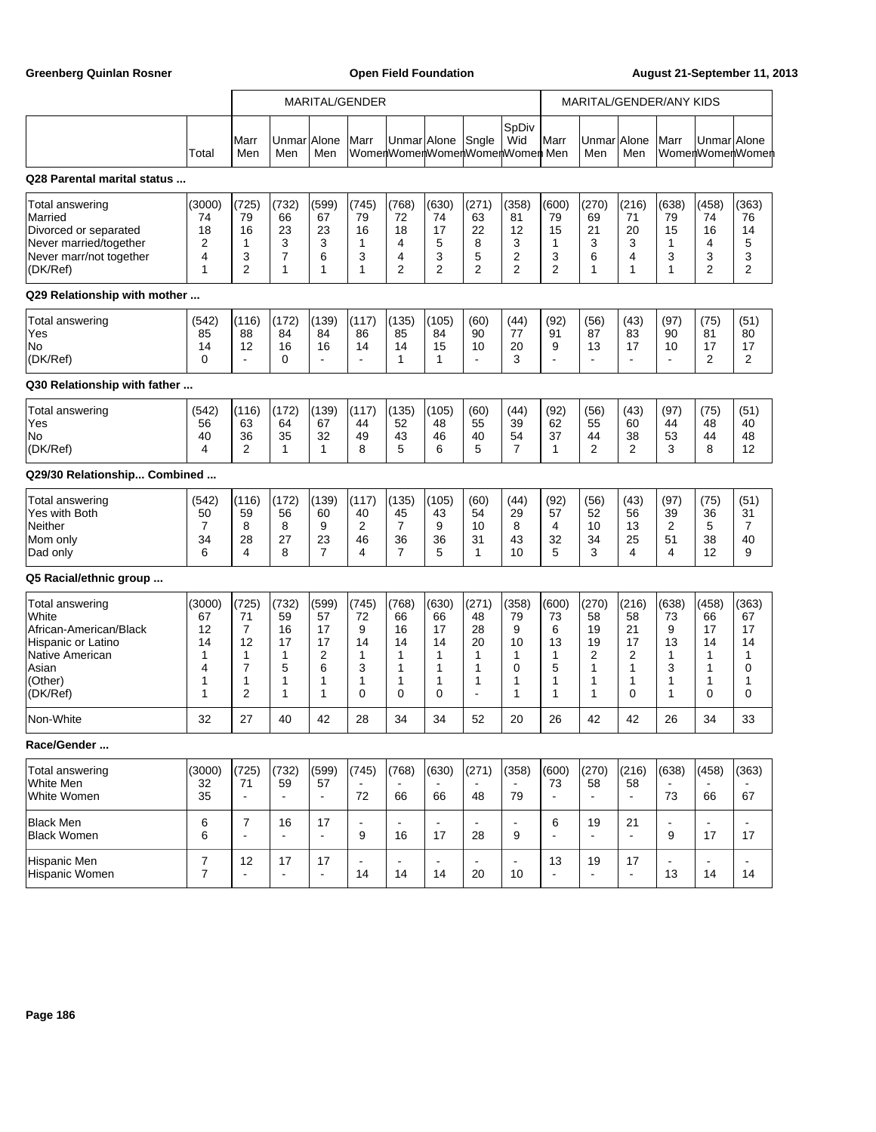r

Greenberg Quinlan Rosner **Communist Communist Communist Communist Communist Communist Communist Communist Communist Communist Communist Communist Communist Communist Communist Communist Communist Communist Communist Commun** 

h

|                                                                                                                                           |                                              |                                                                                   |                                             |                                                          | <b>MARITAL/GENDER</b>                      |                                               |                                                        |                                                                    |                                               | MARITAL/GENDER/ANY KIDS                       |                                             |                                             |                                                                  |                                               |                                               |
|-------------------------------------------------------------------------------------------------------------------------------------------|----------------------------------------------|-----------------------------------------------------------------------------------|---------------------------------------------|----------------------------------------------------------|--------------------------------------------|-----------------------------------------------|--------------------------------------------------------|--------------------------------------------------------------------|-----------------------------------------------|-----------------------------------------------|---------------------------------------------|---------------------------------------------|------------------------------------------------------------------|-----------------------------------------------|-----------------------------------------------|
|                                                                                                                                           | Total                                        | Marr<br>Men                                                                       | Unmar<br>Men                                | <b>Alone</b><br>Men                                      | Marr                                       | UnmarlAlone                                   |                                                        | Sngle                                                              | SpDiv<br>Wid<br>WomenWomenWomenWomenWomen Men | Marr                                          | UnmarlAlone<br>Men                          | Men                                         | Marr                                                             | UnmarlAlone                                   | ∣WomenWomenWomen                              |
| Q28 Parental marital status                                                                                                               |                                              |                                                                                   |                                             |                                                          |                                            |                                               |                                                        |                                                                    |                                               |                                               |                                             |                                             |                                                                  |                                               |                                               |
| Total answering<br>Married<br>Divorced or separated<br>Never married/together<br>Never marr/not together<br>(DK/Ref)                      | (3000)<br>74<br>18<br>2<br>4<br>1            | (725)<br>79<br>16<br>1<br>3<br>$\overline{2}$                                     | (732)<br>66<br>23<br>3<br>7<br>1            | (599)<br>67<br>23<br>3<br>6<br>$\mathbf{1}$              | (745)<br>79<br>16<br>1<br>3<br>1           | (768)<br>72<br>18<br>4<br>4<br>$\overline{2}$ | (630)<br>74<br>17<br>5<br>3<br>$\overline{2}$          | (271)<br>63<br>22<br>8<br>5<br>$\overline{2}$                      | (358)<br>81<br>12<br>3<br>2<br>$\overline{2}$ | (600)<br>79<br>15<br>1<br>3<br>$\overline{2}$ | (270)<br>69<br>21<br>3<br>6<br>1            | (216)<br>71<br>20<br>3<br>4<br>1            | (638)<br>79<br>15<br>$\mathbf{1}$<br>3<br>$\mathbf{1}$           | (458)<br>74<br>16<br>4<br>3<br>$\overline{2}$ | (363)<br>76<br>14<br>5<br>3<br>$\overline{2}$ |
| Q29 Relationship with mother                                                                                                              |                                              |                                                                                   |                                             |                                                          |                                            |                                               |                                                        |                                                                    |                                               |                                               |                                             |                                             |                                                                  |                                               |                                               |
| <b>Total answering</b><br>Yes<br>No<br>(DK/Ref)                                                                                           | (542)<br>85<br>14<br>$\Omega$                | (116)<br>88<br>12<br>$\overline{a}$                                               | (172)<br>84<br>16<br>0                      | (139)<br>84<br>16<br>$\overline{a}$                      | (117)<br>86<br>14<br>$\overline{a}$        | (135)<br>85<br>14<br>$\mathbf{1}$             | (105)<br>84<br>15<br>$\mathbf{1}$                      | (60)<br>90<br>10<br>$\overline{a}$                                 | (44)<br>77<br>20<br>3                         | (92)<br>91<br>9<br>÷.                         | (56)<br>87<br>13<br>$\overline{a}$          | (43)<br>83<br>17<br>$\blacksquare$          | (97)<br>90<br>10<br>$\blacksquare$                               | (75)<br>81<br>17<br>2                         | (51)<br>80<br>17<br>2                         |
| Q30 Relationship with father                                                                                                              |                                              |                                                                                   |                                             |                                                          |                                            |                                               |                                                        |                                                                    |                                               |                                               |                                             |                                             |                                                                  |                                               |                                               |
| Total answering<br>Yes<br>No<br>(DK/Ref)                                                                                                  | (542)<br>56<br>40<br>4                       | (116)<br>63<br>36<br>2                                                            | (172)<br>64<br>35<br>1                      | (139)<br>67<br>32<br>$\mathbf{1}$                        | (117)<br>44<br>49<br>8                     | (135)<br>52<br>43<br>5                        | (105)<br>48<br>46<br>6                                 | (60)<br>55<br>40<br>5                                              | (44)<br>39<br>54<br>$\overline{7}$            | (92)<br>62<br>37<br>$\mathbf{1}$              | (56)<br>55<br>44<br>2                       | (43)<br>60<br>38<br>2                       | (97)<br>44<br>53<br>3                                            | (75)<br>48<br>44<br>8                         | (51)<br>40<br>48<br>12                        |
| Q29/30 Relationship Combined                                                                                                              |                                              |                                                                                   |                                             |                                                          |                                            |                                               |                                                        |                                                                    |                                               |                                               |                                             |                                             |                                                                  |                                               |                                               |
| Total answering<br>Yes with Both<br>Neither<br>Mom only<br>Dad only                                                                       | (542)<br>50<br>7<br>34<br>6                  | (116)<br>59<br>8<br>28<br>4                                                       | (172)<br>56<br>8<br>27<br>8                 | (139)<br>60<br>9<br>23<br>$\overline{7}$                 | (117)<br>40<br>2<br>46<br>4                | (135)<br>45<br>7<br>36<br>$\overline{7}$      | (105)<br>43<br>9<br>36<br>5                            | (60)<br>54<br>10<br>31<br>$\mathbf{1}$                             | (44)<br>29<br>8<br>43<br>10                   | (92)<br>57<br>4<br>32<br>5                    | (56)<br>52<br>10<br>34<br>3                 | (43)<br>56<br>13<br>25<br>4                 | (97)<br>39<br>$\overline{c}$<br>51<br>4                          | (75)<br>36<br>5<br>38<br>12                   | (51)<br>31<br>7<br>40<br>9                    |
| Q5 Racial/ethnic group                                                                                                                    |                                              |                                                                                   |                                             |                                                          |                                            |                                               |                                                        |                                                                    |                                               |                                               |                                             |                                             |                                                                  |                                               |                                               |
| <b>Total answering</b><br>White<br>African-American/Black<br><b>Hispanic or Latino</b><br>Native American<br>Asian<br>(Other)<br>(DK/Ref) | (3000)<br>67<br>12<br>14<br>1<br>4<br>1<br>1 | (725)<br>71<br>$\overline{7}$<br>12<br>1<br>$\overline{7}$<br>1<br>$\overline{2}$ | (732)<br>59<br>16<br>17<br>1<br>5<br>1<br>1 | (599)<br>57<br>17<br>17<br>$\overline{2}$<br>6<br>1<br>1 | (745)<br>72<br>9<br>14<br>1<br>3<br>1<br>0 | (768)<br>66<br>16<br>14<br>1<br>1<br>1<br>0   | (630)<br>66<br>17<br>14<br>$\mathbf{1}$<br>1<br>1<br>0 | (271)<br>48<br>28<br>20<br>1<br>1<br>1<br>$\overline{\phantom{a}}$ | (358)<br>79<br>9<br>10<br>1<br>0<br>1<br>1    | (600)<br>73<br>6<br>13<br>1<br>5<br>1<br>1    | (270)<br>58<br>19<br>19<br>2<br>1<br>1<br>1 | (216)<br>58<br>21<br>17<br>2<br>1<br>1<br>0 | (638)<br>73<br>9<br>13<br>$\mathbf{1}$<br>3<br>$\mathbf{1}$<br>1 | (458)<br>66<br>17<br>14<br>1<br>1<br>1<br>0   | (363)<br>67<br>17<br>14<br>1<br>0<br>1<br>0   |
| Non-White                                                                                                                                 | 32                                           | 27                                                                                | 40                                          | 42                                                       | 28                                         | 34                                            | 34                                                     | 52                                                                 | 20                                            | 26                                            | 42                                          | 42                                          | 26                                                               | 34                                            | 33                                            |
| Race/Gender                                                                                                                               |                                              |                                                                                   |                                             |                                                          |                                            |                                               |                                                        |                                                                    |                                               |                                               |                                             |                                             |                                                                  |                                               |                                               |
| <b>Total answering</b><br>White Men<br>White Women                                                                                        | (3000)<br>32<br>35                           | (725)<br>71<br>$\blacksquare$                                                     | (732)<br>59<br>$\blacksquare$               | (599)<br>57<br>÷,                                        | (745)<br>72                                | (768)<br>66                                   | (630)<br>66                                            | (271)<br>48                                                        | (358)<br>79                                   | (600)<br>73                                   | (270)<br>58                                 | (216)<br>58<br>$\frac{1}{2}$                | (638)<br>73                                                      | (458)<br>66                                   | (363)<br>67                                   |
| <b>Black Men</b><br><b>Black Women</b>                                                                                                    | 6<br>6                                       | $\overline{7}$<br>$\blacksquare$                                                  | 16<br>$\sim$                                | 17<br>$\overline{a}$                                     | 9                                          | 16                                            | 17                                                     | 28                                                                 | $\overline{\phantom{0}}$<br>9                 | 6<br>÷.                                       | 19                                          | 21<br>$\blacksquare$                        | $\blacksquare$<br>9                                              | 17                                            | 17                                            |
| Hispanic Men<br>Hispanic Women                                                                                                            | $\overline{7}$<br>7                          | 12<br>$\blacksquare$                                                              | 17<br>$\blacksquare$                        | 17<br>$\blacksquare$                                     | $\blacksquare$<br>14                       | $\blacksquare$<br>14                          | $\overline{\phantom{a}}$<br>14                         | 20                                                                 | ٠<br>10                                       | 13                                            | 19                                          | 17<br>$\frac{1}{2}$                         | $\blacksquare$<br>13                                             | $\blacksquare$<br>14                          | 14                                            |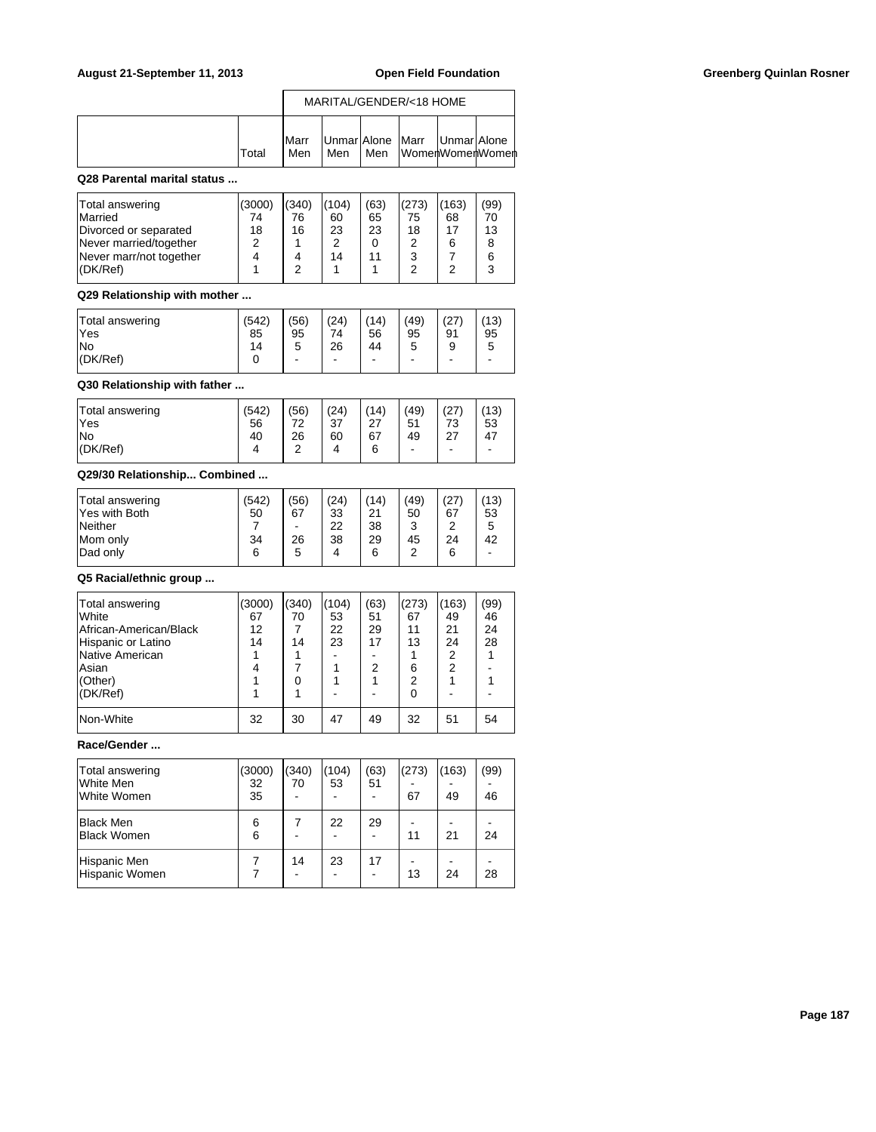|        | MARITAL/GENDER/<18 HOME |     |  |                                                            |  |  |
|--------|-------------------------|-----|--|------------------------------------------------------------|--|--|
| lTotal | <b>IMarr</b><br>Men     | Men |  | Unmar Alone   Marr   Unmar Alone<br>  Men  WomenWomenWomen |  |  |

## **Q28 Parental marital status ...**

| Total answering<br>Married<br>Divorced or separated<br>Never married/together | (3000)<br>74<br>18<br>າ | (340)<br>76<br>16 | (104)<br>60<br>23<br>2 | (63)<br>65<br>23 | (273)<br>75<br>18<br>າ | 163)<br>68<br>17<br>6 | (99)<br>70<br>13 |
|-------------------------------------------------------------------------------|-------------------------|-------------------|------------------------|------------------|------------------------|-----------------------|------------------|
| Never marr/not together<br>(DK/Ref)                                           |                         |                   | 14                     |                  | 3<br>◠                 | ⌒                     |                  |

### **Q29 Relationship with mother ...**

| Total answering<br><sup>l</sup> Yes | (542)<br>85 | (56)<br>95 | (24)<br>74 | (14)<br>56 | (49)<br>95 | (27<br>91                | (13)<br>95 |
|-------------------------------------|-------------|------------|------------|------------|------------|--------------------------|------------|
| lNo                                 | 14          | ∽<br>ັ     | 26         | 44         | 5          | 9                        | 5          |
| $ $ (DK/Ref)                        |             |            | -          | ۰          | -          | $\overline{\phantom{0}}$ | -          |

## **Q30 Relationship with father ...**

| Total answering<br>'Yes<br>lNo<br>(DK/Ref) | (542)<br>56<br>40<br>4 | (56)<br>72<br>26<br>$\sqrt{2}$<br>∼ | (24)<br>37<br>60<br>4 | (14)<br>27<br>67<br>6 | (49)<br>51<br>49<br>- | (27<br>73<br>27<br>- | (13)<br>53<br>47<br>۰ |
|--------------------------------------------|------------------------|-------------------------------------|-----------------------|-----------------------|-----------------------|----------------------|-----------------------|
|                                            |                        |                                     |                       |                       |                       |                      |                       |

## **Q29/30 Relationship... Combined ...**

| Total answering<br>Yes with Both<br>Neither<br>Mom only | (542)<br>50<br>34 | (56)<br>67<br>26 | (24)<br>33<br>22<br>38 | (14)<br>21<br>38<br>29 | (49)<br>50<br>ົ<br>45 | (27<br>67<br>◠<br>24 | (13)<br>53<br>5<br>42 |
|---------------------------------------------------------|-------------------|------------------|------------------------|------------------------|-----------------------|----------------------|-----------------------|
|                                                         |                   |                  |                        |                        |                       |                      |                       |
| Dad only                                                | 6                 | 5                | 4                      | 6                      | ◠                     | 6                    | -                     |

### **Q5 Racial/ethnic group ...**

| Total answering        | (3000) | (340) | (104) | (63) | (273) | (163) | (99) |
|------------------------|--------|-------|-------|------|-------|-------|------|
| <b>White</b>           | 67     | 70    | 53    | 51   | 67    | 49    | 46   |
| African-American/Black | 12     |       | 22    | 29   | 11    | 21    | 24   |
| Hispanic or Latino     | 14     | 14    | 23    | 17   | 13    | 24    | 28   |
| Native American        |        |       |       |      |       | 2     |      |
| Asian                  | 4      |       |       | 2    | 6     | 2     |      |
| (Other)                |        |       |       |      | 2     |       |      |
| (DK/Ref)               |        |       |       |      |       |       |      |
| Non-White              | 32     | 30    | 47    | 49   | 32    | 51    | 54   |

# **Race/Gender ...**

| Total answering<br>lWhite Men<br>White Women | (3000)<br>32<br>35 | (340)<br>70 | (104)<br>53 | (63)<br>51                     | (273)<br>67 | (163)<br>49 | (99)<br>46 |
|----------------------------------------------|--------------------|-------------|-------------|--------------------------------|-------------|-------------|------------|
| Black Men<br>Black Women                     | 6<br>6             |             | 22          | 29                             | 11          | 21          | 24         |
| Hispanic Men<br>Hispanic Women               |                    | 14          | 23          | 17<br>$\overline{\phantom{0}}$ | 13          | 24          | 28         |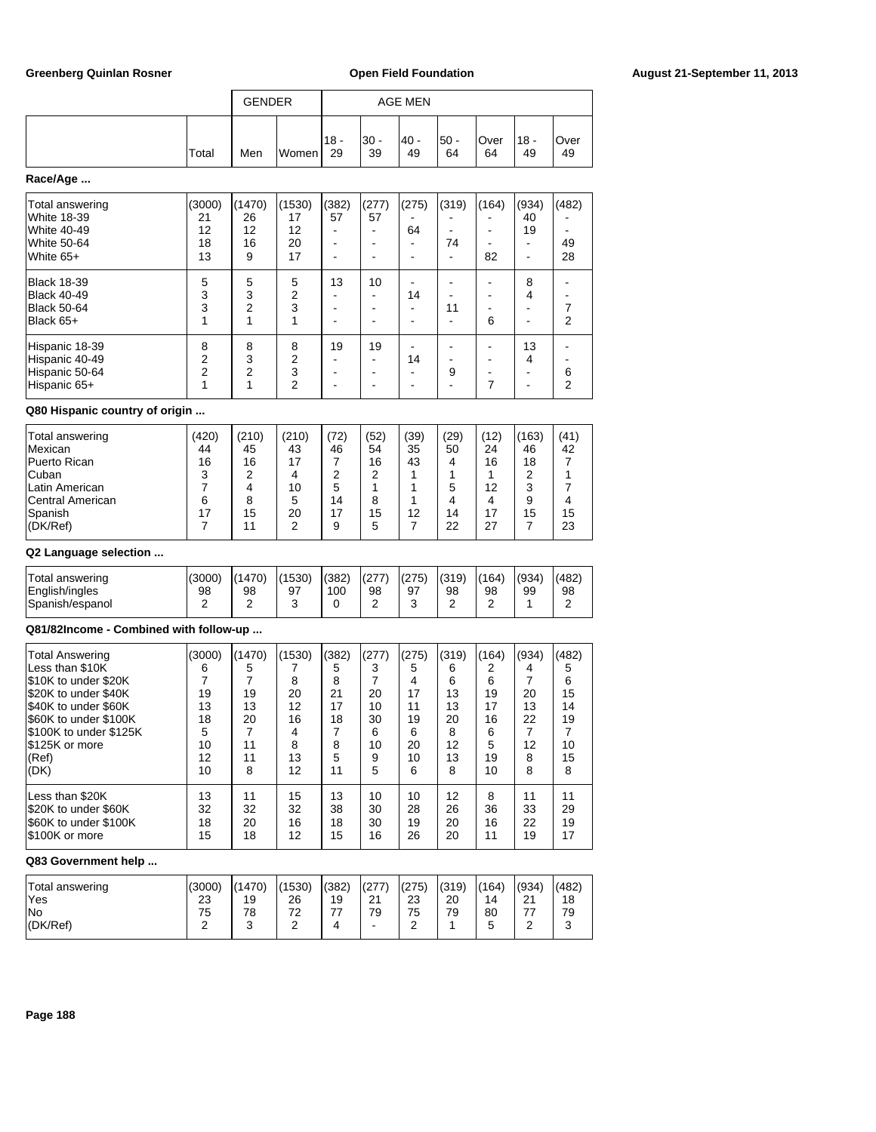|                                                                                                |                                       | <b>GENDER</b>                 |                                |                       |                  | <b>AGE MEN</b>                               |                  |                       |                                                        |                     |
|------------------------------------------------------------------------------------------------|---------------------------------------|-------------------------------|--------------------------------|-----------------------|------------------|----------------------------------------------|------------------|-----------------------|--------------------------------------------------------|---------------------|
|                                                                                                | Total                                 | Men                           | Women                          | $18 -$<br>29          | $30 -$<br>39     | $40 -$<br>49                                 | $50 -$<br>64     | Over<br>64            | $18 -$<br>49                                           | Over<br>49          |
| Race/Age                                                                                       |                                       |                               |                                |                       |                  |                                              |                  |                       |                                                        |                     |
| Total answering<br><b>White 18-39</b><br><b>White 40-49</b><br><b>White 50-64</b><br>White 65+ | (3000)<br>21<br>12<br>18<br>13        | (1470)<br>26<br>12<br>16<br>9 | (1530)<br>17<br>12<br>20<br>17 | (382)<br>57<br>۰<br>٠ | (277)<br>57<br>۰ | (275)<br>64<br>$\overline{\phantom{a}}$<br>٠ | (319)<br>٠<br>74 | (164)<br>۰<br>۰<br>82 | (934)<br>40<br>19<br>۰<br>$\qquad \qquad \blacksquare$ | (482)<br>49<br>28   |
| <b>Black 18-39</b><br><b>Black 40-49</b><br><b>Black 50-64</b><br>Black 65+                    | 5<br>3<br>3<br>1                      | 5<br>3<br>2<br>1              | 5<br>2<br>3<br>1               | 13                    | 10<br>۰          | 14<br>-                                      | ٠<br>11          | 6                     | 8<br>4<br>۰                                            | 7<br>$\overline{2}$ |
| Hispanic 18-39<br>Hispanic 40-49<br>Hispanic 50-64                                             | 8<br>$\overline{2}$<br>$\overline{2}$ | 8<br>3<br>$\overline{2}$      | 8<br>2<br>3                    | 19                    | 19               | 14                                           | 9                | ۰                     | 13<br>4                                                | 6                   |

### **Q80 Hispanic country of origin ...**

| Total answering  | (420) | (210) | (210)           | 72) | (52) | (39) | (29) | (12) | (163) | (41) |
|------------------|-------|-------|-----------------|-----|------|------|------|------|-------|------|
| Mexican          | 44    | 45    | 43              | 46  | 54   | 35   | 50   | 24   | 46    | 42   |
| Puerto Rican     | 16    | 16    | 17              |     | 16   | 43   | 4    | 16   | 18    |      |
| <b>Cuban</b>     |       |       |                 |     | 2    |      |      |      | ◠     |      |
| Latin American   |       |       | 10 <sup>°</sup> |     |      |      | 5    | 12   | 3     |      |
| Central American | 6     | 8     | 5               | 14  | 8    |      | 4    | 4    | 9     |      |
| Spanish          | 17    | 15    | 20              |     | 15   | 12   | 14   | 17   | 15    | 15   |
| $ $ (DK/Ref)     |       |       |                 | 9   | 5    |      | 22   | 27   |       | 23   |

Hispanic 65+ 1 1 2 - - - - 7 - 2

## **Q2 Language selection ...**

| Total answering | (3000) | (1470) | (1530) | (382) | (277) | (275) | (319) | (164) | (934) | (482) |
|-----------------|--------|--------|--------|-------|-------|-------|-------|-------|-------|-------|
| English/ingles  | 98     | 98     | 97     | 100   | 98    | 97    | 98    | 98    | 99    | 98    |
| Spanish/espanol |        |        | ⌒      |       |       |       | -     |       |       |       |

## **Q81/82Income - Combined with follow-up ...**

| <b>Total Answering</b><br>Less than \$10K<br>S10K to under \$20K<br>S20K to under \$40K<br>S40K to under \$60K<br>S60K to under \$100K<br>S100K to under \$125K<br>S125K or more<br> (Ref) | (3000)<br>6<br>19<br>13<br>18<br>5<br>10<br>12 | (1470)<br>5<br>19<br>13<br>20<br>11<br>11 | (1530)<br>8<br>20<br>12<br>16<br>4<br>8<br>13 | (382)<br>5<br>8<br>21<br>17<br>18<br>8<br>5 | (277)<br>3<br>20<br>10<br>30<br>6<br>10<br>9 | (275)<br>5<br>4<br>17<br>11<br>19<br>6<br>20<br>10 | (319)<br>6<br>6<br>13<br>13<br>20<br>8<br>12<br>13 | (164)<br>2<br>6<br>19<br>17<br>16<br>6<br>5<br>19 | (934)<br>4<br>20<br>13<br>22<br>12<br>8 | (482)<br>5<br>6<br>15<br>14<br>19<br>10<br>15 |
|--------------------------------------------------------------------------------------------------------------------------------------------------------------------------------------------|------------------------------------------------|-------------------------------------------|-----------------------------------------------|---------------------------------------------|----------------------------------------------|----------------------------------------------------|----------------------------------------------------|---------------------------------------------------|-----------------------------------------|-----------------------------------------------|
| $ $ (DK)                                                                                                                                                                                   | 10                                             | 8                                         | 12                                            | 11                                          | 5                                            | 6                                                  | 8                                                  | 10                                                | 8                                       | 8                                             |
| Less than \$20K<br>S20K to under \$60K<br>S60K to under \$100K<br>S100K or more                                                                                                            | 13<br>32<br>18<br>15                           | 11<br>32<br>20<br>18                      | 15<br>32<br>16<br>12                          | 13<br>38<br>18<br>15                        | 10<br>30<br>30<br>16                         | 10<br>28<br>19<br>26                               | 12<br>26<br>20<br>20                               | 8<br>36<br>16<br>11                               | 11<br>33<br>22<br>19                    | 11<br>29<br>19<br>17                          |

| Total answering<br>'Yes | (3000)<br>23 | (1470)<br>19 | (1530)<br>26 | (382)<br>19 | (277)<br>$^{\circ}$ | (275)<br>23 | (319)<br>20 | (164)<br>14 | (934)<br>21 | (482)<br>18 |
|-------------------------|--------------|--------------|--------------|-------------|---------------------|-------------|-------------|-------------|-------------|-------------|
| <sup>I</sup> No         | 75           | 78<br>⌒      | 72           |             | ∠⊣<br>79            | 75          | 79          | 80          | ァ<br>ົ      | 79          |
| (DK/Ref)                |              |              |              |             | -                   | _           |             | ∽<br>       | -           |             |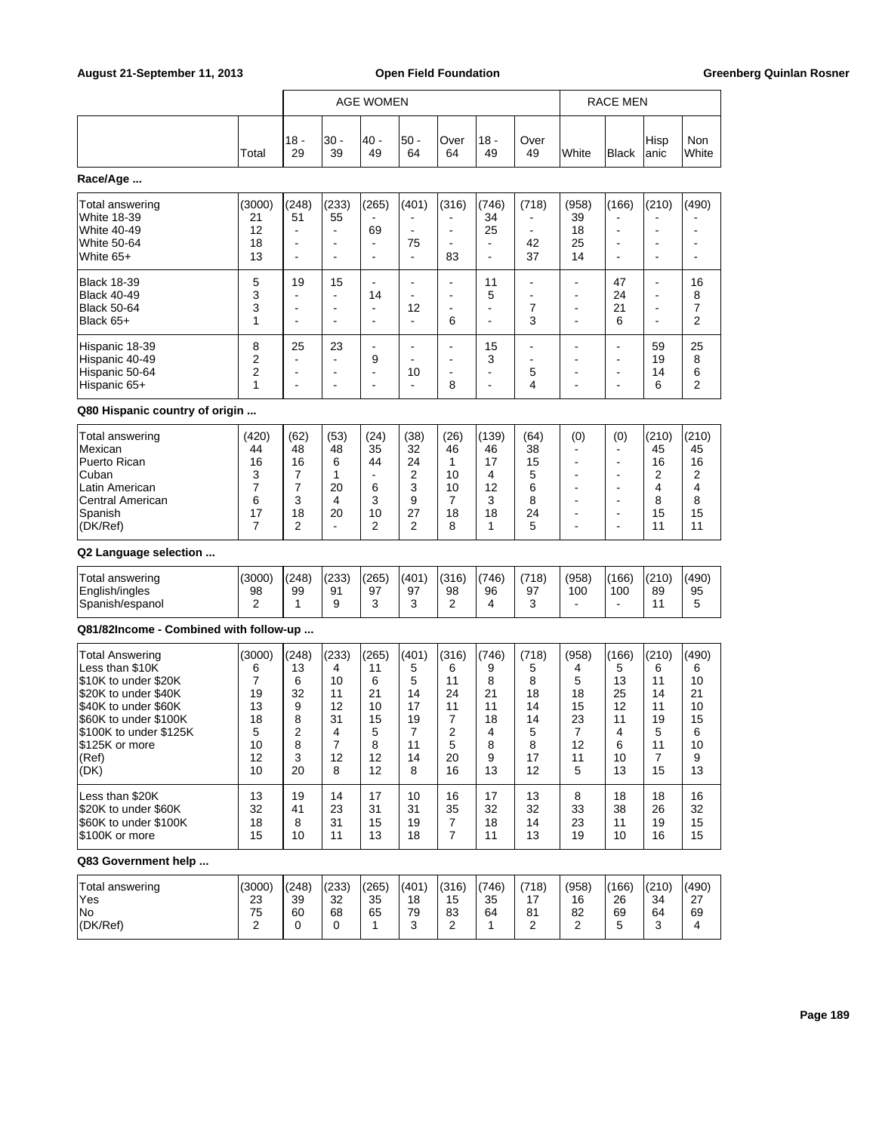|                                                                                                                                                                                                         |                                                           |                                                                                                 |                                                                             | <b>AGE WOMEN</b>                                                   |                                                         |                                                                      |                                                        |                                                         |                                                         | <b>RACE MEN</b>                                                                                         |                                                                                          |                                                          |
|---------------------------------------------------------------------------------------------------------------------------------------------------------------------------------------------------------|-----------------------------------------------------------|-------------------------------------------------------------------------------------------------|-----------------------------------------------------------------------------|--------------------------------------------------------------------|---------------------------------------------------------|----------------------------------------------------------------------|--------------------------------------------------------|---------------------------------------------------------|---------------------------------------------------------|---------------------------------------------------------------------------------------------------------|------------------------------------------------------------------------------------------|----------------------------------------------------------|
|                                                                                                                                                                                                         | Total                                                     | 18 -<br>29                                                                                      | 30 -<br>39                                                                  | 40 -<br>49                                                         | 50 -<br>64                                              | Over<br>64                                                           | $18 -$<br>49                                           | Over<br>49                                              | White                                                   | Black                                                                                                   | Hisp<br>anic                                                                             | <b>Non</b><br>White                                      |
| Race/Age                                                                                                                                                                                                |                                                           |                                                                                                 |                                                                             |                                                                    |                                                         |                                                                      |                                                        |                                                         |                                                         |                                                                                                         |                                                                                          |                                                          |
| Total answering<br>White 18-39<br>White 40-49<br>White 50-64<br>White 65+                                                                                                                               | (3000)<br>21<br>12<br>18<br>13                            | (248)<br>51<br>$\overline{\phantom{a}}$<br>$\overline{\phantom{a}}$<br>$\overline{\phantom{a}}$ | (233)<br>55<br>$\blacksquare$<br>$\overline{\phantom{a}}$<br>$\blacksquare$ | (265)<br>69<br>÷<br>$\blacksquare$                                 | (401)<br>$\blacksquare$<br>75<br>$\blacksquare$         | (316)<br>$\blacksquare$<br>$\blacksquare$<br>$\blacksquare$<br>83    | (746)<br>34<br>25<br>$\blacksquare$<br>ä,              | (718)<br>42<br>37                                       | (958)<br>39<br>18<br>25<br>14                           | (166)<br>$\overline{\phantom{a}}$<br>۰                                                                  | (210)<br>٠<br>$\overline{\phantom{a}}$<br>$\blacksquare$                                 | (490)<br>$\overline{\phantom{a}}$<br>÷                   |
| <b>Black 18-39</b><br>Black 40-49<br><b>Black 50-64</b><br>Black 65+                                                                                                                                    | 5<br>3<br>3<br>1                                          | 19<br>$\blacksquare$<br>$\overline{\phantom{a}}$<br>$\blacksquare$                              | 15<br>$\blacksquare$<br>$\blacksquare$<br>$\overline{\phantom{a}}$          | $\blacksquare$<br>14<br>۰<br>$\overline{\phantom{a}}$              | $\blacksquare$<br>٠<br>12<br>$\blacksquare$             | $\blacksquare$<br>$\blacksquare$<br>$\blacksquare$<br>6              | 11<br>5<br>ä,<br>$\blacksquare$                        | ٠<br>$\overline{\phantom{0}}$<br>7<br>3                 | $\blacksquare$<br>٠<br>ä,                               | 47<br>24<br>21<br>6                                                                                     | $\blacksquare$<br>$\blacksquare$<br>$\overline{\phantom{a}}$<br>$\overline{\phantom{0}}$ | 16<br>8<br>7<br>2                                        |
| Hispanic 18-39<br>Hispanic 40-49<br>Hispanic 50-64<br>Hispanic 65+                                                                                                                                      | 8<br>$\overline{2}$<br>2<br>1                             | 25<br>$\overline{\phantom{a}}$<br>$\overline{a}$<br>$\blacksquare$                              | 23<br>$\overline{a}$<br>$\overline{\phantom{a}}$<br>$\blacksquare$          | $\overline{\phantom{a}}$<br>9<br>$\qquad \qquad \blacksquare$<br>÷ | $\overline{\phantom{0}}$<br>$\blacksquare$<br>10<br>ä,  | $\blacksquare$<br>$\blacksquare$<br>$\overline{\phantom{a}}$<br>8    | 15<br>3<br>$\overline{\phantom{a}}$<br>$\blacksquare$  | ä,<br>۰<br>5<br>4                                       | ÷<br>۰<br>ä,                                            | ۰<br>٠<br>$\overline{\phantom{a}}$<br>$\overline{a}$                                                    | 59<br>19<br>14<br>6                                                                      | 25<br>8<br>6<br>2                                        |
| Q80 Hispanic country of origin                                                                                                                                                                          |                                                           |                                                                                                 |                                                                             |                                                                    |                                                         |                                                                      |                                                        |                                                         |                                                         |                                                                                                         |                                                                                          |                                                          |
| Total answering<br>Mexican<br>Puerto Rican<br>Cuban<br>Latin American<br>Central American<br>Spanish<br>(DK/Ref)                                                                                        | (420)<br>44<br>16<br>3<br>$\overline{7}$<br>6<br>17<br>7  | (62)<br>48<br>16<br>7<br>7<br>3<br>18<br>2                                                      | (53)<br>48<br>6<br>1<br>20<br>4<br>20<br>$\blacksquare$                     | (24)<br>35<br>44<br>$\blacksquare$<br>6<br>3<br>10<br>2            | (38)<br>32<br>24<br>2<br>3<br>9<br>27<br>2              | (26)<br>46<br>1<br>10<br>10<br>7<br>18<br>8                          | (139)<br>46<br>17<br>4<br>12<br>3<br>18<br>1           | (64)<br>38<br>15<br>5<br>6<br>8<br>24<br>5              | (0)<br>۰<br>۰<br>۰<br>٠<br>٠<br>ä,                      | (0)<br>٠<br>$\blacksquare$<br>$\overline{a}$<br>٠<br>$\blacksquare$<br>$\blacksquare$<br>$\overline{a}$ | (210)<br>45<br>16<br>2<br>4<br>8<br>15<br>11                                             | (210)<br>45<br>16<br>2<br>4<br>8<br>15<br>11             |
| Q2 Language selection                                                                                                                                                                                   |                                                           |                                                                                                 |                                                                             |                                                                    |                                                         |                                                                      |                                                        |                                                         |                                                         |                                                                                                         |                                                                                          |                                                          |
| Total answering<br>English/ingles<br>Spanish/espanol                                                                                                                                                    | (3000)<br>98<br>2                                         | (248)<br>99<br>1                                                                                | (233)<br>91<br>9                                                            | (265)<br>97<br>3                                                   | (401)<br>97<br>3                                        | (316)<br>98<br>2                                                     | (746)<br>96<br>4                                       | (718)<br>97<br>3                                        | (958)<br>100<br>÷.                                      | (166)<br>100<br>÷.                                                                                      | (210)<br>89<br>11                                                                        | (490)<br>95<br>5                                         |
| Q81/82Income - Combined with follow-up                                                                                                                                                                  |                                                           |                                                                                                 |                                                                             |                                                                    |                                                         |                                                                      |                                                        |                                                         |                                                         |                                                                                                         |                                                                                          |                                                          |
| <b>Total Answering</b><br>Less than \$10K<br>\$10K to under \$20K<br>\$20K to under \$40K<br>\$40K to under \$60K<br>\$60K to under \$100K<br>\$100K to under \$125K<br>\$125K or more<br>(Ref)<br>(DK) | (3000)<br>6<br>7<br>19<br>13<br>18<br>5<br>10<br>12<br>10 | (248)<br>13<br>6<br>32<br>9<br>8<br>2<br>8<br>3<br>20                                           | (233)<br>4<br>10<br>11<br>12<br>31<br>4<br>7<br>12<br>8                     | (265)<br>11<br>6<br>21<br>10<br>15<br>5<br>8<br>12<br>12           | (401)<br>5<br>5<br>14<br>17<br>19<br>7<br>11<br>14<br>8 | (316)<br>6<br>11<br>24<br>11<br>$\overline{7}$<br>2<br>5<br>20<br>16 | (746)<br>9<br>8<br>21<br>11<br>18<br>4<br>8<br>9<br>13 | (718)<br>5<br>8<br>18<br>14<br>14<br>5<br>8<br>17<br>12 | (958)<br>4<br>5<br>18<br>15<br>23<br>7<br>12<br>11<br>5 | (166)<br>5<br>13<br>25<br>12<br>11<br>4<br>6<br>10<br>13                                                | (210)<br>6<br>11<br>14<br>11<br>19<br>5<br>11<br>$\overline{7}$<br>15                    | (490)<br>6<br>10<br>21<br>10<br>15<br>6<br>10<br>9<br>13 |
| Less than \$20K<br>\$20K to under \$60K<br>\$60K to under \$100K<br>\$100K or more                                                                                                                      | 13<br>32<br>18<br>15                                      | 19<br>41<br>8<br>10                                                                             | 14<br>23<br>31<br>11                                                        | 17<br>31<br>15<br>13                                               | 10<br>31<br>19<br>18                                    | 16<br>35<br>$\overline{7}$<br>$\overline{7}$                         | 17<br>32<br>18<br>11                                   | 13<br>32<br>14<br>13                                    | 8<br>33<br>23<br>19                                     | 18<br>38<br>11<br>10                                                                                    | 18<br>26<br>19<br>16                                                                     | 16<br>32<br>15<br>15                                     |
| Q83 Government help                                                                                                                                                                                     |                                                           |                                                                                                 |                                                                             |                                                                    |                                                         |                                                                      |                                                        |                                                         |                                                         |                                                                                                         |                                                                                          |                                                          |
| Total answering<br>Yes<br>No<br>(DK/Ref)                                                                                                                                                                | (3000)<br>23<br>75<br>$\overline{2}$                      | (248)<br>39<br>60<br>0                                                                          | (233)<br>32<br>68<br>0                                                      | (265)<br>35<br>65<br>1                                             | (401)<br>18<br>79<br>3                                  | (316)<br>15<br>83<br>2                                               | (746)<br>35<br>64<br>1                                 | (718)<br>17<br>81<br>2                                  | (958)<br>16<br>82<br>2                                  | (166)<br>26<br>69<br>5                                                                                  | (210)<br>34<br>64<br>3                                                                   | (490)<br>27<br>69<br>4                                   |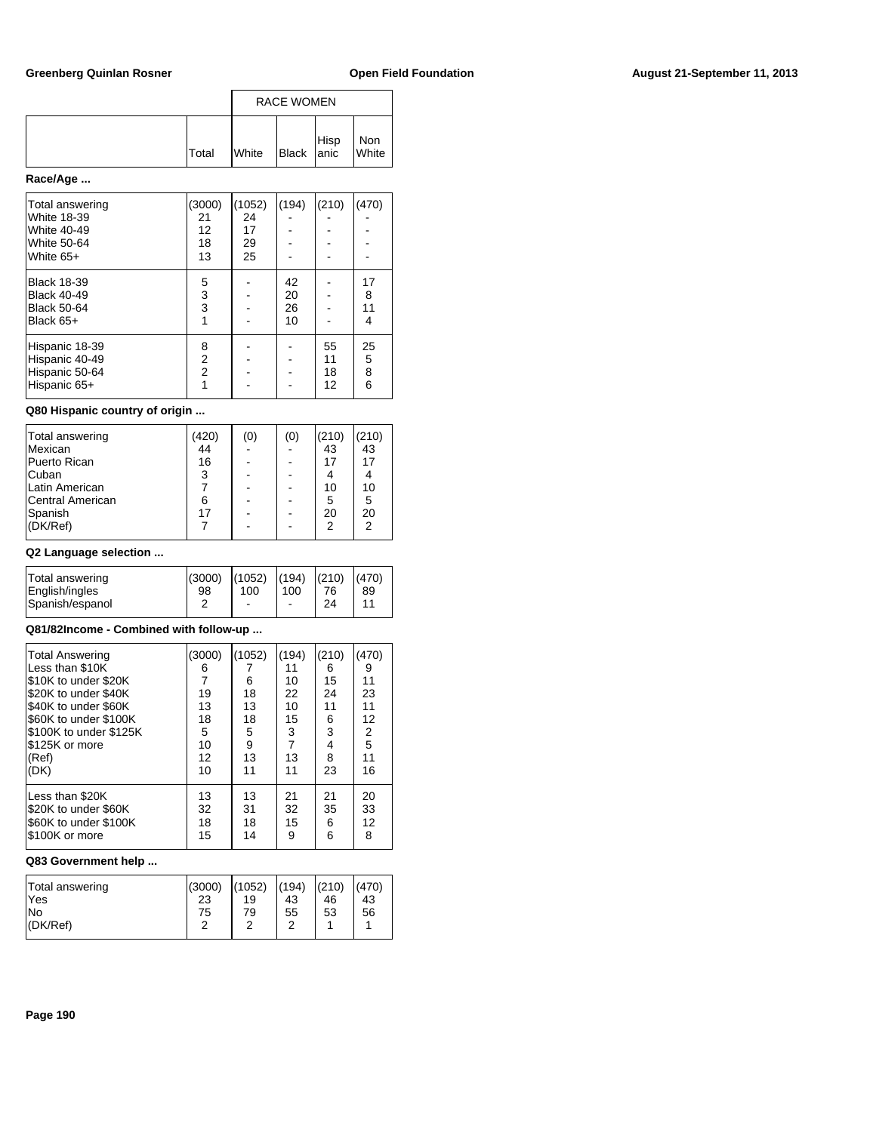|              |              | <b>RACE WOMEN</b>   |      |              |  |  |  |
|--------------|--------------|---------------------|------|--------------|--|--|--|
| <b>Total</b> | <b>White</b> | $Bl$ Black $ $ anic | Hisp | Non<br>White |  |  |  |

# **Race/Age ...**

| Total answering    | (3000)            | (1052) | (194) | (210) | (470) |
|--------------------|-------------------|--------|-------|-------|-------|
| <b>White 18-39</b> | 21                | 24     |       |       |       |
| <b>White 40-49</b> | $12 \overline{ }$ | 17     |       |       |       |
| <b>White 50-64</b> | 18                | 29     |       |       |       |
| White $65+$        | 13                | 25     |       |       |       |
| <b>Black 18-39</b> | 5                 |        | 42    |       | 17    |
| <b>Black 40-49</b> | 3                 |        | 20    |       | 8     |
| <b>Black 50-64</b> | 3                 |        | 26    |       | 11    |
| Black 65+          |                   |        | 10    |       | 4     |
| Hispanic 18-39     | 8                 |        |       | 55    | 25    |
| Hispanic 40-49     | $\overline{2}$    |        |       | 11    | 5     |
| Hispanic 50-64     | $\overline{2}$    |        |       | 18    | 8     |
| Hispanic 65+       |                   |        |       | 12    | 6     |

### **Q80 Hispanic country of origin ...**

| Total answering  | (420) | (0) | (0) | (210)          | (210) |
|------------------|-------|-----|-----|----------------|-------|
| <b>Mexican</b>   | 44    |     |     | 43             | 43    |
| Puerto Rican     | 16    |     |     | 17             | 17    |
| <b>Cuban</b>     | 3     |     |     |                |       |
| Latin American   |       |     |     | 10             | 10    |
| Central American | 6     |     |     | 5              | 5     |
| <b>Spanish</b>   | 17    |     |     | 20             | 20    |
| (DK/Ref)         |       |     |     | $\mathfrak{p}$ | 2     |
|                  |       |     |     |                |       |

## **Q2 Language selection ...**

| Total answering | (3000) | (1052) | (194) | (210) | (470) |
|-----------------|--------|--------|-------|-------|-------|
| English/ingles  | 98     | 100    | 100   | 76    | 89    |
| Spanish/espanol |        | -      | ۰     | 24    | 11    |

## **Q81/82Income - Combined with follow-up ...**

| <b>Total Answering</b><br>Less than \$10K<br>S10K to under \$20K<br>\$20K to under \$40K<br>\$40K to under \$60K<br>\$60K to under \$100K<br>S100K to under \$125K<br>I\$125K or more<br>(Ref)<br>(DK) | (3000)<br>6<br>19<br>13<br>18<br>5<br>10<br>12<br>10 | (1052)<br>6<br>18<br>13<br>18<br>5<br>9<br>13<br>11 | (194)<br>11<br>10<br>22<br>10<br>15<br>3<br>$\overline{7}$<br>13<br>11 | (210)<br>6<br>15<br>24<br>11<br>6<br>3<br>4<br>8<br>23 | (470)<br>9<br>11<br>23<br>11<br>12<br>$\frac{2}{5}$<br>11<br>16 |
|--------------------------------------------------------------------------------------------------------------------------------------------------------------------------------------------------------|------------------------------------------------------|-----------------------------------------------------|------------------------------------------------------------------------|--------------------------------------------------------|-----------------------------------------------------------------|
| Less than \$20K                                                                                                                                                                                        | 13                                                   | 13                                                  | 21                                                                     | 21                                                     | 20                                                              |
| \$20K to under \$60K                                                                                                                                                                                   | 32                                                   | 31                                                  | 32                                                                     | 35                                                     | 33                                                              |
| \$60K to under \$100K                                                                                                                                                                                  | 18                                                   | 18                                                  | 15                                                                     | 6                                                      | 12                                                              |
| \$100K or more                                                                                                                                                                                         | 15                                                   | 14                                                  | 9                                                                      | 6                                                      | 8                                                               |

| Total answering | (3000) | (1052) | (194) | (210) | (470) |
|-----------------|--------|--------|-------|-------|-------|
| <b>Yes</b>      | 23     | 19     | 43    | 46    | 43    |
| lNo             | 75     | 79     | 55    | 53    | 56    |
| $ $ (DK/Ref)    | ົ      |        | ົ     |       |       |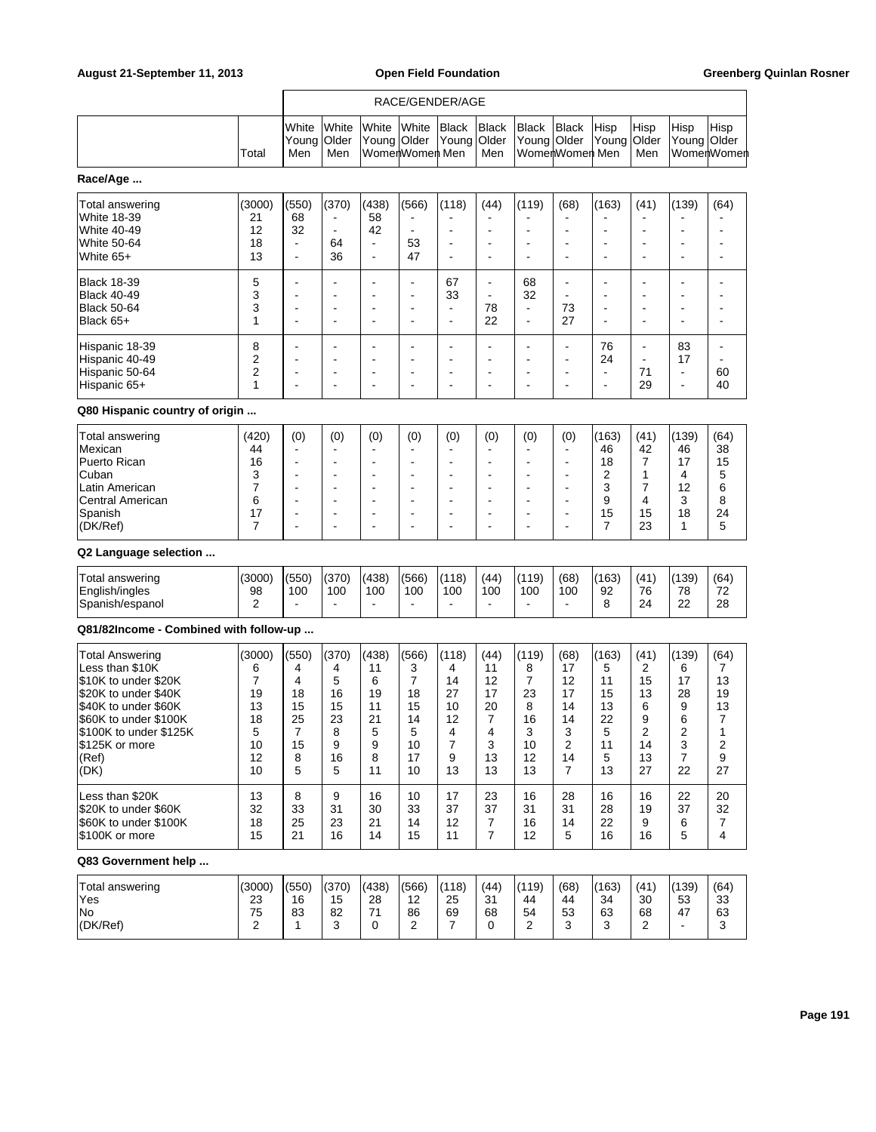|                                                                                                                                                                                                         |                                                           |                                                                                         | RACE/GENDER/AGE                                        |                                                                                                                                                                   |                                                                            |                                                                  |                                                                |                                                         |                                                                                                                                                                   |                                                          |                                                         |                                                                    |                                                                    |
|---------------------------------------------------------------------------------------------------------------------------------------------------------------------------------------------------------|-----------------------------------------------------------|-----------------------------------------------------------------------------------------|--------------------------------------------------------|-------------------------------------------------------------------------------------------------------------------------------------------------------------------|----------------------------------------------------------------------------|------------------------------------------------------------------|----------------------------------------------------------------|---------------------------------------------------------|-------------------------------------------------------------------------------------------------------------------------------------------------------------------|----------------------------------------------------------|---------------------------------------------------------|--------------------------------------------------------------------|--------------------------------------------------------------------|
|                                                                                                                                                                                                         | Total                                                     | White<br>Young<br>Men                                                                   | White<br>Older<br>Men                                  | White<br>Young Older                                                                                                                                              | White<br>WomenWomen Men                                                    | Black<br>Young                                                   | <b>Black</b><br><b>Older</b><br>Men                            | <b>Black</b><br>Young                                   | <b>Black</b><br>Older<br>WomenWomen Men                                                                                                                           | Hisp<br>Young                                            | Hisp<br>Older<br>Men                                    | Hisp<br>Young Older                                                | Hisp<br>WomenWomen                                                 |
| Race/Age                                                                                                                                                                                                |                                                           |                                                                                         |                                                        |                                                                                                                                                                   |                                                                            |                                                                  |                                                                |                                                         |                                                                                                                                                                   |                                                          |                                                         |                                                                    |                                                                    |
| Total answering<br><b>White 18-39</b><br><b>White 40-49</b><br>White 50-64<br>White 65+                                                                                                                 | (3000)<br>21<br>12<br>18<br>13                            | (550)<br>68<br>32<br>$\blacksquare$<br>$\blacksquare$                                   | (370)<br>$\blacksquare$<br>64<br>36                    | (438)<br>58<br>42<br>$\blacksquare$<br>$\blacksquare$                                                                                                             | (566)<br>$\blacksquare$<br>$\overline{\phantom{a}}$<br>53<br>47            | (118)                                                            | (44)<br>$\overline{a}$<br>$\overline{a}$                       | (119)                                                   | (68)<br>$\overline{\phantom{a}}$<br>$\overline{\phantom{a}}$                                                                                                      | (163)                                                    | (41)<br>÷,<br>÷,<br>$\blacksquare$                      | (139)<br>$\overline{a}$<br>÷                                       | (64)                                                               |
| <b>Black 18-39</b><br>Black 40-49<br><b>Black 50-64</b><br>Black 65+                                                                                                                                    | 5<br>3<br>3<br>1                                          | $\overline{\phantom{a}}$<br>$\overline{\phantom{a}}$                                    | $\blacksquare$                                         | $\overline{\phantom{a}}$<br>$\overline{\phantom{a}}$                                                                                                              | $\overline{\phantom{a}}$<br>$\frac{1}{2}$<br>÷<br>$\overline{a}$           | 67<br>33<br>$\overline{\phantom{a}}$<br>$\overline{\phantom{a}}$ | ÷<br>$\blacksquare$<br>78<br>22                                | 68<br>32<br>$\blacksquare$<br>$\overline{\phantom{a}}$  | $\overline{a}$<br>73<br>27                                                                                                                                        |                                                          | ÷,                                                      | ۰<br>$\overline{a}$<br>$\overline{a}$                              |                                                                    |
| Hispanic 18-39<br>Hispanic 40-49<br>Hispanic 50-64<br>Hispanic 65+                                                                                                                                      | 8<br>2<br>2<br>1                                          | $\overline{\phantom{a}}$<br>$\overline{\phantom{a}}$                                    |                                                        | $\overline{\phantom{a}}$<br>$\overline{\phantom{a}}$                                                                                                              | ÷,<br>÷<br>÷<br>÷                                                          | $\overline{a}$                                                   | ÷<br>$\overline{a}$                                            |                                                         | $\overline{\phantom{a}}$<br>$\overline{\phantom{a}}$<br>$\overline{a}$<br>$\overline{\phantom{a}}$                                                                | 76<br>24<br>$\overline{\phantom{a}}$                     | $\overline{\phantom{a}}$<br>$\blacksquare$<br>71<br>29  | 83<br>17<br>$\overline{a}$<br>÷                                    | 60<br>40                                                           |
| Q80 Hispanic country of origin                                                                                                                                                                          |                                                           |                                                                                         |                                                        |                                                                                                                                                                   |                                                                            |                                                                  |                                                                |                                                         |                                                                                                                                                                   |                                                          |                                                         |                                                                    |                                                                    |
| Total answering<br>Mexican<br>Puerto Rican<br>Cuban<br>Latin American<br>Central American<br>Spanish<br>(DK/Ref)                                                                                        | (420)<br>44<br>16<br>3<br>7<br>6<br>17<br>7               | (0)<br>$\overline{\phantom{a}}$<br>$\overline{\phantom{a}}$<br>$\overline{\phantom{a}}$ | (0)                                                    | (0)<br>$\overline{\phantom{a}}$<br>$\overline{\phantom{a}}$<br>$\overline{\phantom{a}}$<br>$\overline{\phantom{a}}$<br>$\overline{\phantom{a}}$<br>$\overline{a}$ | (0)<br>÷<br>÷<br>$\overline{a}$<br>÷<br>$\overline{\phantom{a}}$<br>٠<br>÷ | (0)                                                              | (0)<br>$\overline{a}$<br>$\overline{a}$<br>۰<br>$\overline{a}$ | (0)                                                     | (0)<br>$\overline{\phantom{a}}$<br>$\overline{\phantom{a}}$<br>$\overline{\phantom{a}}$<br>$\overline{\phantom{a}}$<br>$\overline{a}$<br>$\overline{\phantom{a}}$ | (163)<br>46<br>18<br>2<br>3<br>9<br>15<br>$\overline{7}$ | (41)<br>42<br>$\overline{7}$<br>1<br>7<br>4<br>15<br>23 | (139)<br>46<br>17<br>4<br>12<br>3<br>18<br>1                       | (64)<br>38<br>15<br>5<br>6<br>8<br>24<br>5                         |
| Q2 Language selection                                                                                                                                                                                   |                                                           |                                                                                         |                                                        |                                                                                                                                                                   |                                                                            |                                                                  |                                                                |                                                         |                                                                                                                                                                   |                                                          |                                                         |                                                                    |                                                                    |
| Total answering<br>English/ingles<br>Spanish/espanol                                                                                                                                                    | (3000)<br>98<br>2                                         | (550)<br>100                                                                            | (370)<br>100<br>$\blacksquare$                         | (438)<br>100<br>$\blacksquare$                                                                                                                                    | (566)<br>100<br>$\blacksquare$                                             | (118)<br>100                                                     | (44)<br>100<br>÷                                               | (119)<br>100<br>$\overline{\phantom{a}}$                | (68)<br>100<br>$\overline{\phantom{a}}$                                                                                                                           | (163)<br>92<br>8                                         | (41)<br>76<br>24                                        | (139)<br>78<br>22                                                  | (64)<br>72<br>28                                                   |
| Q81/82Income - Combined with follow-up                                                                                                                                                                  |                                                           |                                                                                         |                                                        |                                                                                                                                                                   |                                                                            |                                                                  |                                                                |                                                         |                                                                                                                                                                   |                                                          |                                                         |                                                                    |                                                                    |
| <b>Total Answering</b><br>Less than \$10K<br>\$10K to under \$20K<br>\$20K to under \$40K<br>\$40K to under \$60K<br>\$60K to under \$100K<br>\$100K to under \$125K<br>\$125K or more<br>(Ref)<br>(DK) | (3000)<br>6<br>7<br>19<br>13<br>18<br>5<br>10<br>12<br>10 | (550)<br>4<br>4<br>18<br>15<br>25<br>7<br>15<br>8<br>5                                  | (370)<br>4<br>5<br>16<br>15<br>23<br>8<br>9<br>16<br>5 | (438)<br>11<br>6<br>19<br>11<br>21<br>5<br>9<br>8<br>11                                                                                                           | (566)<br>3<br>$\overline{7}$<br>18<br>15<br>14<br>5<br>10<br>17<br>10      | (118)<br>4<br>14<br>27<br>10<br>12<br>4<br>7<br>9<br>13          | (44)<br>11<br>12<br>17<br>20<br>7<br>4<br>3<br>13<br>13        | (119)<br>8<br>7<br>23<br>8<br>16<br>3<br>10<br>12<br>13 | (68)<br>17<br>12<br>17<br>14<br>14<br>3<br>2<br>14<br>$\overline{7}$                                                                                              | (163)<br>5<br>11<br>15<br>13<br>22<br>5<br>11<br>5<br>13 | (41)<br>2<br>15<br>13<br>6<br>9<br>っ<br>14<br>13<br>27  | (139)<br>6<br>17<br>28<br>9<br>6<br>っ<br>3<br>$\overline{7}$<br>22 | (64)<br>7<br>13<br>19<br>13<br>7<br>1<br>$\overline{c}$<br>9<br>27 |
| Less than \$20K<br>\$20K to under \$60K<br>\$60K to under \$100K<br>\$100K or more                                                                                                                      | 13<br>32<br>18<br>15                                      | 8<br>33<br>25<br>21                                                                     | 9<br>31<br>23<br>16                                    | 16<br>30<br>21<br>14                                                                                                                                              | 10<br>33<br>14<br>15                                                       | 17<br>37<br>12<br>11                                             | 23<br>37<br>7<br>$\overline{7}$                                | 16<br>31<br>16<br>12                                    | 28<br>31<br>14<br>5                                                                                                                                               | 16<br>28<br>22<br>16                                     | 16<br>19<br>9<br>16                                     | 22<br>37<br>6<br>5                                                 | 20<br>32<br>7<br>4                                                 |
| Q83 Government help                                                                                                                                                                                     |                                                           |                                                                                         |                                                        |                                                                                                                                                                   |                                                                            |                                                                  |                                                                |                                                         |                                                                                                                                                                   |                                                          |                                                         |                                                                    |                                                                    |
| Total answering<br>Yes<br>No<br>(DK/Ref)                                                                                                                                                                | (3000)<br>23<br>75<br>$\overline{2}$                      | (550)<br>16<br>83<br>1                                                                  | (370)<br>15<br>82<br>3                                 | (438)<br>28<br>71<br>0                                                                                                                                            | (566)<br>12<br>86<br>2                                                     | (118)<br>25<br>69<br>7                                           | (44)<br>31<br>68<br>0                                          | (119)<br>44<br>54<br>2                                  | (68)<br>44<br>53<br>3                                                                                                                                             | (163)<br>34<br>63<br>3                                   | (41)<br>30<br>68<br>2                                   | (139)<br>53<br>47<br>$\blacksquare$                                | (64)<br>33<br>63<br>3                                              |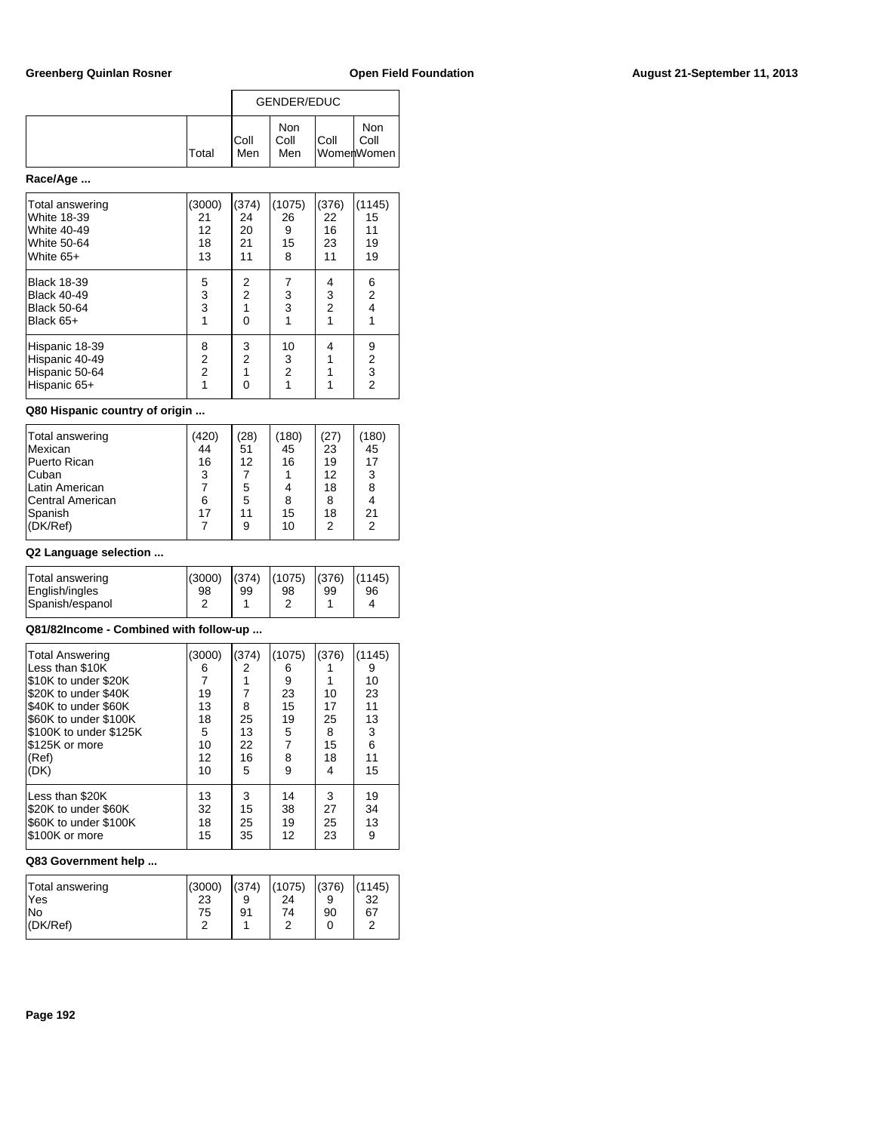|       | GENDER/EDUC  |                    |      |                           |
|-------|--------------|--------------------|------|---------------------------|
| Total | IColl<br>Men | Non<br>Coll<br>Men | Coll | Non<br>Coll<br>WomerWomen |

# **Race/Age ...**

| Total answering<br>White 18-39<br>White 40-49<br>White 50-64<br>White 65+   | (3000)<br>21<br>12<br>18<br>13 | (374)<br>24<br>20<br>21<br>11   | (1075)<br>26<br>9<br>15<br>8 | (376)<br>22<br>16<br>23<br>11 | (1145)<br>15<br>11<br>19<br>19             |
|-----------------------------------------------------------------------------|--------------------------------|---------------------------------|------------------------------|-------------------------------|--------------------------------------------|
| <b>Black 18-39</b><br><b>Black 40-49</b><br><b>Black 50-64</b><br>Black 65+ | 5<br>3<br>3<br>1               | 2<br>$\overline{2}$<br>$\Omega$ | 3<br>3                       | 4<br>3<br>$\overline{2}$      | 6<br>$\overline{2}$<br>$\overline{4}$<br>1 |
| Hispanic 18-39<br>Hispanic 40-49<br>Hispanic 50-64<br>Hispanic 65+          | 8<br>2<br>$\overline{2}$       | 3<br>$\overline{2}$             | 10<br>3<br>$\overline{2}$    | 4                             | 9<br>2<br>$\frac{3}{2}$                    |

# **Q80 Hispanic country of origin ...**

| Total answering         | (420) | (28) | (180) | (27) | (180) |
|-------------------------|-------|------|-------|------|-------|
| Mexican                 | 44    | 51   | 45    | 23   | 45    |
| Puerto Rican            | 16    | 12   | 16    | 19   | 17    |
| Cuban                   | 3     |      |       | 12   | 3     |
| Latin American          |       | 5    |       | 18   | 8     |
| <b>Central American</b> | 6     | 5    | 8     | 8    |       |
| Spanish                 | 17    | 11   | 15    | 18   | 21    |
| (DK/Ref)                |       | 9    | 10    | 2    | 2     |
|                         |       |      |       |      |       |

## **Q2 Language selection ...**

| 98 | 99     | 98    | 99 | 96                                    |
|----|--------|-------|----|---------------------------------------|
|    |        |       |    |                                       |
|    | (3000) | (374) |    | $ (1075) \cdot  (376) \cdot  (1145) $ |

## **Q81/82Income - Combined with follow-up ...**

| <b>Total Answering</b><br>Less than \$10K<br>\$10K to under \$20K<br>\$20K to under \$40K<br>\$40K to under \$60K<br>\$60K to under \$100K<br>\$100K to under \$125K<br>\$125K or more<br>(Ref)<br>(DK) | (3000)<br>6<br>$\overline{7}$<br>19<br>13<br>18<br>5<br>10<br>12<br>10 | (374)<br>2<br>7<br>8<br>25<br>13<br>22<br>16<br>5 | (1075)<br>6<br>9<br>23<br>15<br>19<br>5<br>$\overline{7}$<br>8<br>9 | (376)<br>10<br>17<br>25<br>8<br>15<br>18<br>4 | (1145)<br>9<br>10<br>23<br>11<br>13<br>3<br>6<br>11<br>15 |
|---------------------------------------------------------------------------------------------------------------------------------------------------------------------------------------------------------|------------------------------------------------------------------------|---------------------------------------------------|---------------------------------------------------------------------|-----------------------------------------------|-----------------------------------------------------------|
| Less than \$20K                                                                                                                                                                                         | 13                                                                     | 3                                                 | 14                                                                  | 3                                             | 19                                                        |
| \$20K to under \$60K                                                                                                                                                                                    | 32                                                                     | 15                                                | 38                                                                  | 27                                            | 34                                                        |
| \$60K to under \$100K                                                                                                                                                                                   | 18                                                                     | 25                                                | 19                                                                  | 25                                            | 13                                                        |
| \$100K or more                                                                                                                                                                                          | 15                                                                     | 35                                                | 12                                                                  | 23                                            | 9                                                         |

| Total answering<br>lYes | (3000)<br>23 | (374)<br>9 | (1075)<br>24 | (376) | (1145)<br>32 |
|-------------------------|--------------|------------|--------------|-------|--------------|
| INo                     | 75           | 91         | 74           | 90    | 67           |
| $ $ (DK/Ref)            |              |            |              |       | ີ            |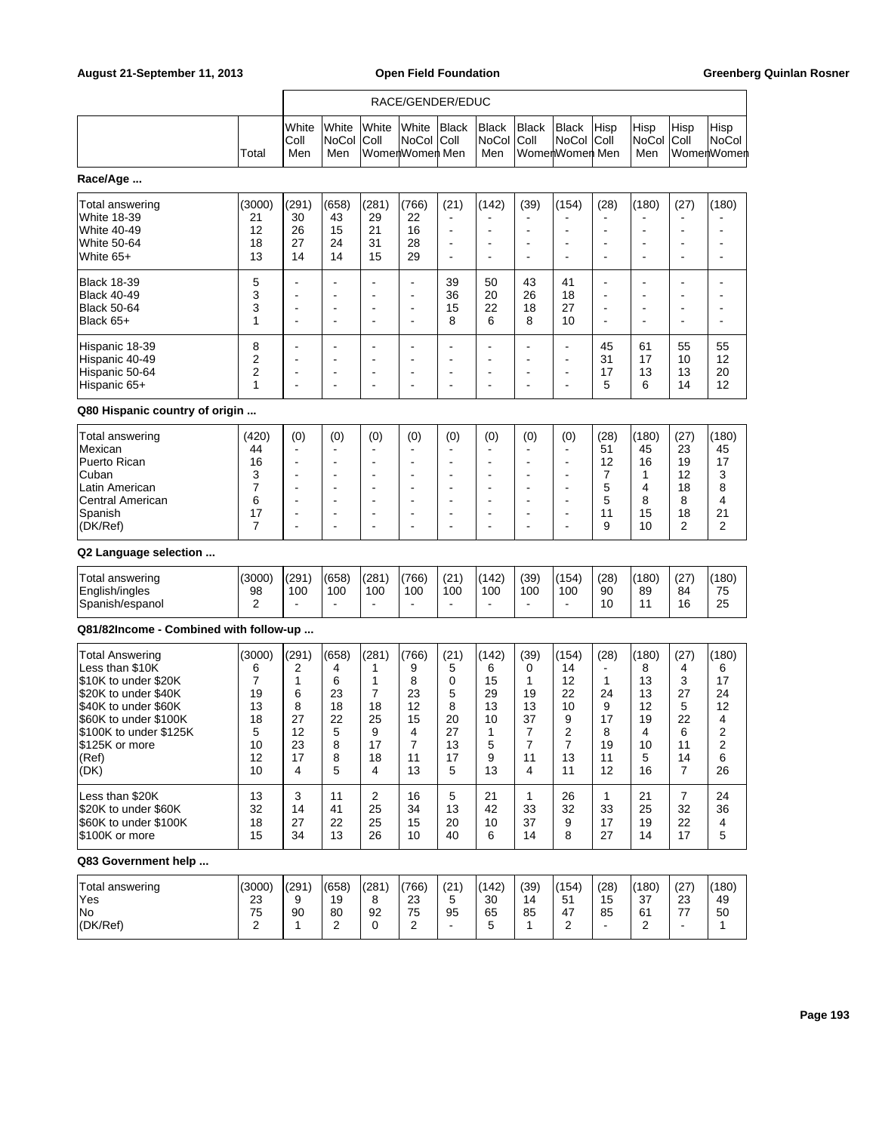|                                                                                                                                                                                                         |                                                                        |                                                          |                                                                             |                                                        | RACE/GENDER/EDUC                                                               |                                                       |                                                                                                                                     |                                                                                  |                                                                                                                                  |                                                                     |                                                          |                                                                    |                                                        |
|---------------------------------------------------------------------------------------------------------------------------------------------------------------------------------------------------------|------------------------------------------------------------------------|----------------------------------------------------------|-----------------------------------------------------------------------------|--------------------------------------------------------|--------------------------------------------------------------------------------|-------------------------------------------------------|-------------------------------------------------------------------------------------------------------------------------------------|----------------------------------------------------------------------------------|----------------------------------------------------------------------------------------------------------------------------------|---------------------------------------------------------------------|----------------------------------------------------------|--------------------------------------------------------------------|--------------------------------------------------------|
|                                                                                                                                                                                                         | Total                                                                  | White<br>Coll<br>Men                                     | White<br>NoCol<br>Men                                                       | White<br>Coll                                          | White<br>NoCol Coll<br>WomenWomen Men                                          | <b>Black</b>                                          | <b>Black</b><br>NoCol<br>Men                                                                                                        | <b>Black</b><br>Coll                                                             | Black<br>NoCol<br>WomenWomen Men                                                                                                 | Hisp<br>Coll                                                        | Hisp<br>NoCol<br>Men                                     | Hisp<br>Coll                                                       | Hisp<br>NoCol<br>WomenWomen                            |
| Race/Age                                                                                                                                                                                                |                                                                        |                                                          |                                                                             |                                                        |                                                                                |                                                       |                                                                                                                                     |                                                                                  |                                                                                                                                  |                                                                     |                                                          |                                                                    |                                                        |
| Total answering<br>White 18-39<br>White 40-49<br>White 50-64<br>White 65+                                                                                                                               | (3000)<br>21<br>12<br>18<br>13                                         | (291)<br>30<br>26<br>27<br>14                            | (658)<br>43<br>15<br>24<br>14                                               | (281)<br>29<br>21<br>31<br>15                          | (766)<br>22<br>16<br>28<br>29                                                  | (21)<br>$\blacksquare$<br>۰<br>۰                      | (142)<br>÷<br>$\overline{\phantom{a}}$<br>$\blacksquare$                                                                            | (39)<br>$\overline{\phantom{a}}$                                                 | (154)<br>$\overline{\phantom{a}}$<br>$\overline{\phantom{a}}$                                                                    | (28)<br>$\blacksquare$                                              | (180)<br>÷                                               | (27)<br>٠<br>٠<br>٠                                                | (180)                                                  |
| <b>Black 18-39</b><br><b>Black 40-49</b><br><b>Black 50-64</b><br>Black 65+                                                                                                                             | 5<br>3<br>3<br>1                                                       | ÷.<br>÷.<br>٠<br>÷.                                      | ۰<br>$\overline{a}$<br>$\overline{\phantom{a}}$<br>$\blacksquare$           | ä,<br>Ē,<br>Ē,<br>Ē,                                   | $\blacksquare$<br>$\blacksquare$<br>$\blacksquare$<br>ä,                       | 39<br>36<br>15<br>8                                   | 50<br>20<br>22<br>6                                                                                                                 | 43<br>26<br>18<br>8                                                              | 41<br>18<br>27<br>10                                                                                                             | ٠<br>$\blacksquare$<br>٠<br>÷.                                      | ۰<br>$\overline{a}$<br>٠                                 | ٠<br>ä,<br>٠<br>٠                                                  |                                                        |
| Hispanic 18-39<br>Hispanic 40-49<br>Hispanic 50-64<br>Hispanic 65+                                                                                                                                      | 8<br>2<br>2<br>1                                                       | ÷.<br>÷,                                                 | ٠<br>$\overline{\phantom{a}}$<br>$\overline{\phantom{a}}$<br>$\blacksquare$ | ٠<br>٠<br>٠<br>٠                                       | $\blacksquare$<br>$\blacksquare$<br>٠<br>٠                                     | ۰<br>۰<br>۰<br>۰                                      | $\blacksquare$<br>$\blacksquare$<br>$\blacksquare$<br>$\blacksquare$                                                                | $\overline{\phantom{a}}$<br>$\overline{\phantom{a}}$<br>$\overline{\phantom{a}}$ | $\blacksquare$<br>$\blacksquare$<br>$\overline{\phantom{a}}$<br>$\blacksquare$                                                   | 45<br>31<br>17<br>5                                                 | 61<br>17<br>13<br>6                                      | 55<br>10<br>13<br>14                                               | 55<br>12<br>20<br>12                                   |
| Q80 Hispanic country of origin                                                                                                                                                                          |                                                                        |                                                          |                                                                             |                                                        |                                                                                |                                                       |                                                                                                                                     |                                                                                  |                                                                                                                                  |                                                                     |                                                          |                                                                    |                                                        |
| Total answering<br>Mexican<br>Puerto Rican<br>Cuban<br>Latin American<br>Central American<br>Spanish<br>(DK/Ref)                                                                                        | (420)<br>44<br>16<br>3<br>7<br>6<br>17<br>7                            | (0)<br>٠<br>$\blacksquare$<br>÷.<br>$\blacksquare$<br>÷. | (0)<br>٠<br>٠<br>٠<br>۰<br>÷<br>ä,                                          | (0)<br>$\blacksquare$<br>Ē,<br>Ē,<br>٠<br>Ē,<br>٠      | (0)<br>$\blacksquare$<br>۰<br>۰<br>$\blacksquare$<br>$\blacksquare$<br>۰<br>ä, | (0)<br>٠<br>٠<br>۰<br>۰<br>۰<br>٠                     | (0)<br>$\overline{\phantom{a}}$<br>$\blacksquare$<br>$\blacksquare$<br>$\overline{\phantom{a}}$<br>$\blacksquare$<br>$\blacksquare$ | (0)<br>$\overline{\phantom{a}}$                                                  | (0)<br>$\blacksquare$<br>$\overline{a}$<br>$\overline{\phantom{a}}$<br>$\overline{\phantom{a}}$<br>$\overline{\phantom{a}}$<br>÷ | (28)<br>51<br>12<br>7<br>5<br>5<br>11<br>9                          | (180)<br>45<br>16<br>1<br>4<br>8<br>15<br>10             | (27)<br>23<br>19<br>12<br>18<br>8<br>18<br>2                       | (180)<br>45<br>17<br>3<br>8<br>4<br>21<br>2            |
| Q2 Language selection                                                                                                                                                                                   |                                                                        |                                                          |                                                                             |                                                        |                                                                                |                                                       |                                                                                                                                     |                                                                                  |                                                                                                                                  |                                                                     |                                                          |                                                                    |                                                        |
| Total answering<br>English/ingles<br>Spanish/espanol                                                                                                                                                    | (3000)<br>98<br>2                                                      | (291)<br>100                                             | (658)<br>100                                                                | (281)<br>100                                           | (766)<br>100<br>$\blacksquare$                                                 | (21)<br>100<br>÷                                      | (142)<br>100                                                                                                                        | (39)<br>100<br>$\blacksquare$                                                    | (154)<br>100                                                                                                                     | (28)<br>90<br>10                                                    | (180)<br>89<br>11                                        | (27)<br>84<br>16                                                   | (180)<br>75<br>25                                      |
| Q81/82Income - Combined with follow-up                                                                                                                                                                  |                                                                        |                                                          |                                                                             |                                                        |                                                                                |                                                       |                                                                                                                                     |                                                                                  |                                                                                                                                  |                                                                     |                                                          |                                                                    |                                                        |
| <b>Total Answering</b><br>Less than \$10K<br>\$10K to under \$20K<br>\$20K to under \$40K<br>\$40K to under \$60K<br>\$60K to under \$100K<br>\$100K to under \$125K<br>\$125K or more<br>(Ref)<br>(DK) | (3000)<br>6<br>$\overline{7}$<br>19<br>13<br>18<br>5<br>10<br>12<br>10 | (291)<br>2<br>1<br>6<br>8<br>27<br>12<br>23<br>17<br>4   | (658)<br>4<br>6<br>23<br>18<br>22<br>5<br>8<br>8<br>5                       | (281)<br>1<br>1<br>7<br>18<br>25<br>9<br>17<br>18<br>4 | (766)<br>9<br>8<br>23<br>12<br>15<br>4<br>$\overline{7}$<br>11<br>13           | (21)<br>5<br>0<br>5<br>8<br>20<br>27<br>13<br>17<br>5 | (142)<br>6<br>15<br>29<br>13<br>10<br>1<br>5<br>9<br>13                                                                             | (39)<br>0<br>1<br>19<br>13<br>37<br>7<br>$\overline{7}$<br>11<br>4               | (154)<br>14<br>12<br>22<br>10<br>9<br>2<br>$\overline{7}$<br>13<br>11                                                            | (28)<br>$\blacksquare$<br>1<br>24<br>9<br>17<br>8<br>19<br>11<br>12 | (180)<br>8<br>13<br>13<br>12<br>19<br>4<br>10<br>5<br>16 | (27)<br>4<br>3<br>27<br>5<br>22<br>6<br>11<br>14<br>$\overline{7}$ | (180)<br>6<br>17<br>24<br>12<br>4<br>2<br>2<br>6<br>26 |
| Less than \$20K<br>\$20K to under \$60K<br>\$60K to under \$100K<br>\$100K or more                                                                                                                      | 13<br>32<br>18<br>15                                                   | 3<br>14<br>27<br>34                                      | 11<br>41<br>22<br>13                                                        | 2<br>25<br>25<br>26                                    | 16<br>34<br>15<br>10                                                           | 5<br>13<br>20<br>40                                   | 21<br>42<br>10<br>6                                                                                                                 | $\mathbf{1}$<br>33<br>37<br>14                                                   | 26<br>32<br>9<br>8                                                                                                               | $\mathbf{1}$<br>33<br>17<br>27                                      | 21<br>25<br>19<br>14                                     | $\overline{7}$<br>32<br>22<br>17                                   | 24<br>36<br>4<br>5                                     |
| Q83 Government help                                                                                                                                                                                     |                                                                        |                                                          |                                                                             |                                                        |                                                                                |                                                       |                                                                                                                                     |                                                                                  |                                                                                                                                  |                                                                     |                                                          |                                                                    |                                                        |
| Total answering<br>Yes<br>No<br>(DK/Ref)                                                                                                                                                                | (3000)<br>23<br>75<br>2                                                | (291)<br>9<br>90<br>1                                    | (658)<br>19<br>80<br>2                                                      | (281)<br>8<br>92<br>0                                  | (766)<br>23<br>75<br>2                                                         | (21)<br>5<br>95                                       | (142)<br>30<br>65<br>5                                                                                                              | (39)<br>14<br>85<br>1                                                            | (154)<br>51<br>47<br>2                                                                                                           | (28)<br>15<br>85<br>$\blacksquare$                                  | (180)<br>37<br>61<br>2                                   | (27)<br>23<br>77<br>$\blacksquare$                                 | (180)<br>49<br>50<br>$\mathbf{1}$                      |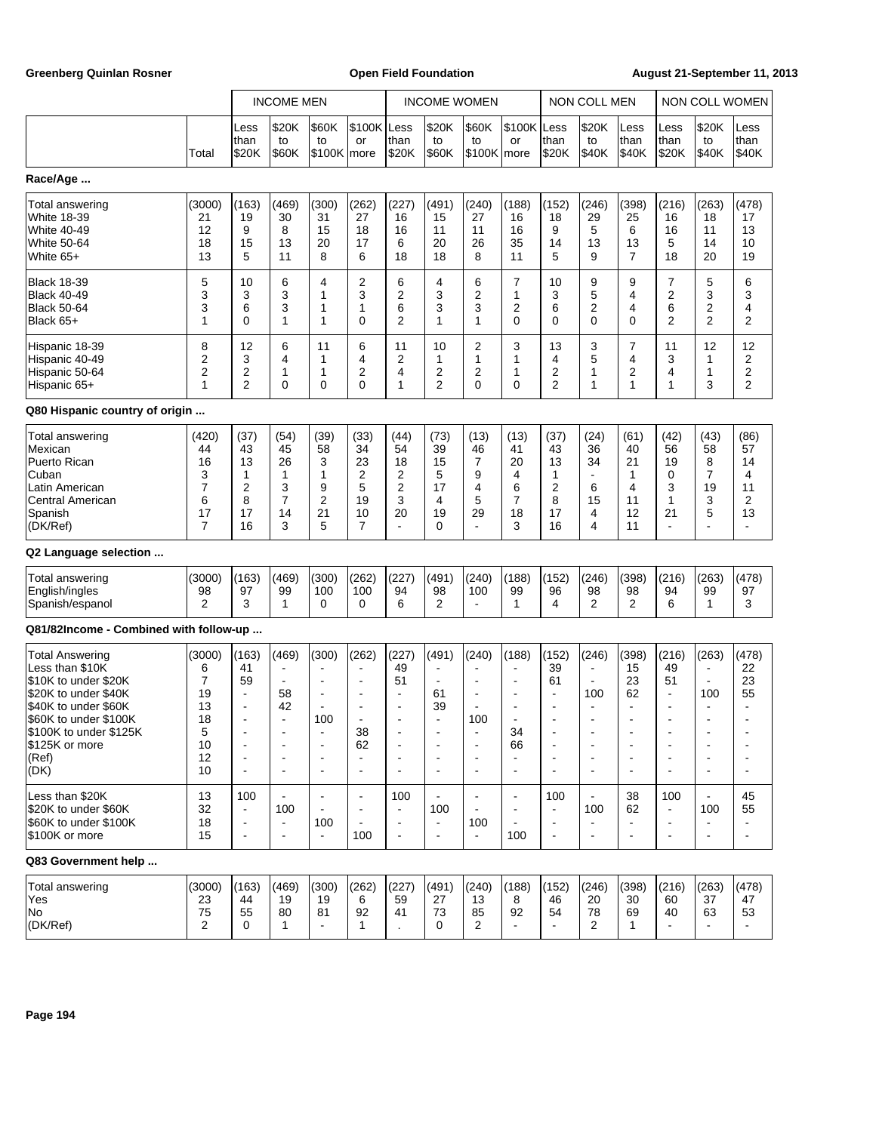Greenberg Quinlan Rosner **Communist Communist Communist Communist Communist Communist Communist Communist Communist Communist Communist Communist Communist Communist Communist Communist Communist Communist Communist Commun** 

|                                                                                                                                                                                                  |                                                                        |                                                                                                     | <b>INCOME MEN</b>                                                       |                                                        |                                                                 |                                                                      | <b>INCOME WOMEN</b>                                                            |                                                            |                                                                                                               |                                                                                                       | <b>NON COLL MEN</b>                                                                                                        |                                                                                    |                                                                                                               | NON COLL WOMEN                                                                     |                                                                       |
|--------------------------------------------------------------------------------------------------------------------------------------------------------------------------------------------------|------------------------------------------------------------------------|-----------------------------------------------------------------------------------------------------|-------------------------------------------------------------------------|--------------------------------------------------------|-----------------------------------------------------------------|----------------------------------------------------------------------|--------------------------------------------------------------------------------|------------------------------------------------------------|---------------------------------------------------------------------------------------------------------------|-------------------------------------------------------------------------------------------------------|----------------------------------------------------------------------------------------------------------------------------|------------------------------------------------------------------------------------|---------------------------------------------------------------------------------------------------------------|------------------------------------------------------------------------------------|-----------------------------------------------------------------------|
|                                                                                                                                                                                                  | Total                                                                  | Less<br>than<br>\$20K                                                                               | \$20K<br>to<br>\$60K                                                    | \$60K<br>to<br>$$100K$ more                            | \$100K Less<br>or                                               | than<br>\$20K                                                        | \$20K<br>to<br>\$60K                                                           | \$60K<br>to<br>\$100K                                      | \$100K Less<br>or<br>more                                                                                     | than<br>\$20K                                                                                         | \$20K<br>to<br>\$40K                                                                                                       | Less<br>than<br>\$40K                                                              | Less<br>than<br>\$20K                                                                                         | \$20K<br>to<br>\$40K                                                               | Less<br>than<br>\$40K                                                 |
| Race/Age                                                                                                                                                                                         |                                                                        |                                                                                                     |                                                                         |                                                        |                                                                 |                                                                      |                                                                                |                                                            |                                                                                                               |                                                                                                       |                                                                                                                            |                                                                                    |                                                                                                               |                                                                                    |                                                                       |
| Total answering<br>White 18-39<br>White 40-49<br><b>White 50-64</b><br>White 65+                                                                                                                 | (3000)<br>21<br>12<br>18<br>13                                         | (163)<br>19<br>9<br>15<br>5                                                                         | (469)<br>30<br>8<br>13<br>11                                            | (300)<br>31<br>15<br>20<br>8                           | (262)<br>27<br>18<br>17<br>6                                    | (227)<br>16<br>16<br>6<br>18                                         | (491)<br>15<br>11<br>20<br>18                                                  | (240)<br>27<br>11<br>26<br>8                               | (188)<br>16<br>16<br>35<br>11                                                                                 | (152)<br>18<br>9<br>14<br>5                                                                           | (246)<br>29<br>5<br>13<br>9                                                                                                | (398)<br>25<br>6<br>13<br>7                                                        | (216)<br>16<br>16<br>5<br>18                                                                                  | (263)<br>18<br>11<br>14<br>20                                                      | (478)<br>17<br>13<br>10<br>19                                         |
| Black 18-39<br>Black 40-49<br>Black 50-64<br>Black 65+                                                                                                                                           | 5<br>3<br>3<br>$\mathbf{1}$                                            | 10<br>3<br>6<br>0                                                                                   | 6<br>3<br>3<br>1                                                        | 4<br>1<br>1<br>1                                       | 2<br>3<br>1<br>0                                                | 6<br>2<br>6<br>$\overline{2}$                                        | 4<br>3<br>3<br>1                                                               | 6<br>2<br>3<br>1                                           | $\overline{7}$<br>1<br>2<br>$\Omega$                                                                          | 10<br>3<br>6<br>0                                                                                     | 9<br>5<br>2<br>0                                                                                                           | 9<br>4<br>4<br>0                                                                   | $\overline{7}$<br>2<br>6<br>2                                                                                 | 5<br>3<br>2<br>$\overline{2}$                                                      | 6<br>3<br>4<br>2                                                      |
| Hispanic 18-39<br>Hispanic 40-49<br>Hispanic 50-64<br>Hispanic 65+                                                                                                                               | 8<br>$\boldsymbol{2}$<br>$\overline{2}$<br>$\mathbf{1}$                | 12<br>3<br>2<br>2                                                                                   | 6<br>4<br>1<br>0                                                        | 11<br>1<br>1<br>0                                      | 6<br>4<br>2<br>0                                                | 11<br>2<br>4<br>1                                                    | 10<br>1<br>2<br>$\overline{2}$                                                 | 2<br>1<br>2<br>$\Omega$                                    | 3<br>1<br>1<br>0                                                                                              | 13<br>4<br>2<br>2                                                                                     | 3<br>5<br>1<br>1                                                                                                           | 7<br>4<br>2<br>1                                                                   | 11<br>3<br>4<br>$\mathbf{1}$                                                                                  | 12<br>1<br>1<br>3                                                                  | 12<br>2<br>2<br>2                                                     |
| Q80 Hispanic country of origin                                                                                                                                                                   |                                                                        |                                                                                                     |                                                                         |                                                        |                                                                 |                                                                      |                                                                                |                                                            |                                                                                                               |                                                                                                       |                                                                                                                            |                                                                                    |                                                                                                               |                                                                                    |                                                                       |
| Total answering<br>Mexican<br>Puerto Rican<br>Cuban<br>Latin American<br>Central American<br>Spanish<br>(DK/Ref)                                                                                 | (420)<br>44<br>16<br>3<br>$\overline{7}$<br>6<br>17<br>$\overline{7}$  | (37)<br>43<br>13<br>1<br>2<br>8<br>17<br>16                                                         | (54)<br>45<br>26<br>1<br>3<br>7<br>14<br>3                              | (39)<br>58<br>3<br>1<br>9<br>$\overline{2}$<br>21<br>5 | (33)<br>34<br>23<br>2<br>5<br>19<br>10<br>7                     | (44)<br>54<br>18<br>2<br>$\overline{2}$<br>3<br>20<br>$\blacksquare$ | (73)<br>39<br>15<br>5<br>17<br>4<br>19<br>0                                    | (13)<br>46<br>7<br>9<br>4<br>5<br>29<br>$\blacksquare$     | (13)<br>41<br>20<br>4<br>6<br>7<br>18<br>3                                                                    | (37)<br>43<br>13<br>1<br>2<br>8<br>17<br>16                                                           | (24)<br>36<br>34<br>$\blacksquare$<br>6<br>15<br>4<br>4                                                                    | (61)<br>40<br>21<br>1<br>4<br>11<br>12<br>11                                       | (42)<br>56<br>19<br>$\mathbf 0$<br>3<br>1<br>21<br>$\blacksquare$                                             | (43)<br>58<br>8<br>$\overline{7}$<br>19<br>3<br>5<br>÷,                            | (86)<br>57<br>14<br>4<br>11<br>2<br>13                                |
| Q2 Language selection                                                                                                                                                                            |                                                                        |                                                                                                     |                                                                         |                                                        |                                                                 |                                                                      |                                                                                |                                                            |                                                                                                               |                                                                                                       |                                                                                                                            |                                                                                    |                                                                                                               |                                                                                    |                                                                       |
| Total answering<br>English/ingles<br>Spanish/espanol                                                                                                                                             | (3000)<br>98<br>2                                                      | (163)<br>97<br>3                                                                                    | (469)<br>99<br>$\mathbf{1}$                                             | (300)<br>100<br>$\Omega$                               | (262)<br>100<br>0                                               | (227)<br>94<br>6                                                     | (491)<br>98<br>2                                                               | (240)<br>100<br>$\blacksquare$                             | (188)<br>99<br>$\mathbf{1}$                                                                                   | (152)<br>96<br>4                                                                                      | (246)<br>98<br>2                                                                                                           | (398)<br>98<br>$\overline{2}$                                                      | (216)<br>94<br>6                                                                                              | (263)<br>99<br>$\mathbf{1}$                                                        | (478)<br>97<br>3                                                      |
| Q81/82Income - Combined with follow-up                                                                                                                                                           |                                                                        |                                                                                                     |                                                                         |                                                        |                                                                 |                                                                      |                                                                                |                                                            |                                                                                                               |                                                                                                       |                                                                                                                            |                                                                                    |                                                                                                               |                                                                                    |                                                                       |
| Total Answering<br>Less than \$10K<br>\$10K to under \$20K<br>\$20K to under \$40K<br>\$40K to under \$60K<br>\$60K to under \$100K<br>\$100K to under \$125K<br>\$125K or more<br>(Ref)<br>(DK) | (3000)<br>6<br>$\overline{7}$<br>19<br>13<br>18<br>5<br>10<br>12<br>10 | (163)<br>41<br>59<br>$\overline{a}$<br>$\blacksquare$<br>$\blacksquare$<br>$\overline{\phantom{a}}$ | (469)<br>$\blacksquare$<br>58<br>42<br>$\overline{a}$<br>$\blacksquare$ | (300)<br>$\blacksquare$<br>100                         | (262)<br>$\overline{a}$<br>$\overline{\phantom{a}}$<br>38<br>62 | (227)<br>49<br>51<br>$\blacksquare$<br>$\blacksquare$                | (491)<br>$\overline{\phantom{a}}$<br>61<br>39<br>÷<br>$\overline{\phantom{a}}$ | (240)<br>$\blacksquare$<br>100<br>$\overline{\phantom{a}}$ | (188)<br>$\blacksquare$<br>$\overline{\phantom{a}}$<br>$\overline{\phantom{a}}$<br>34<br>66<br>$\blacksquare$ | (152)<br>39<br>61<br>$\overline{\phantom{a}}$<br>$\overline{\phantom{a}}$<br>$\overline{\phantom{a}}$ | (246)<br>$\overline{\phantom{a}}$<br>$\blacksquare$<br>100<br>$\overline{\phantom{a}}$<br>$\blacksquare$<br>$\blacksquare$ | (398)<br>15<br>23<br>62<br>$\blacksquare$<br>÷<br>$\blacksquare$<br>$\blacksquare$ | (216)<br>49<br>51<br>$\blacksquare$<br>$\overline{\phantom{a}}$<br>$\blacksquare$<br>$\overline{\phantom{a}}$ | (263)<br>$\blacksquare$<br>100<br>÷,<br>$\blacksquare$<br>$\overline{\phantom{a}}$ | (478)<br>22<br>23<br>55<br>$\blacksquare$<br>$\overline{\phantom{a}}$ |
| Less than \$20K<br>\$20K to under \$60K<br>\$60K to under \$100K<br>\$100K or more                                                                                                               | 13<br>32<br>18<br>15                                                   | 100<br>$\blacksquare$<br>$\overline{\phantom{a}}$<br>$\blacksquare$                                 | 100<br>$\blacksquare$                                                   | 100<br>$\blacksquare$                                  | $\overline{\phantom{a}}$<br>100                                 | 100<br>$\blacksquare$                                                | 100<br>$\overline{\phantom{a}}$                                                | $\blacksquare$<br>100<br>$\blacksquare$                    | $\blacksquare$<br>100                                                                                         | 100<br>÷,<br>$\blacksquare$                                                                           | 100<br>$\blacksquare$                                                                                                      | 38<br>62<br>-<br>$\blacksquare$                                                    | 100<br>÷,<br>$\blacksquare$                                                                                   | 100<br>$\blacksquare$                                                              | 45<br>55<br>$\blacksquare$                                            |
| Q83 Government help                                                                                                                                                                              |                                                                        |                                                                                                     |                                                                         |                                                        |                                                                 |                                                                      |                                                                                |                                                            |                                                                                                               |                                                                                                       |                                                                                                                            |                                                                                    |                                                                                                               |                                                                                    |                                                                       |
| Total answering<br>Yes<br>No<br>(DK/Ref)                                                                                                                                                         | (3000)<br>23<br>75<br>2                                                | (163)<br>44<br>55<br>0                                                                              | (469)<br>19<br>80<br>$\mathbf{1}$                                       | (300)<br>19<br>81                                      | (262)<br>6<br>92<br>1                                           | (227)<br>59<br>41                                                    | (491)<br>27<br>73<br>0                                                         | (240)<br>13<br>85<br>$\overline{2}$                        | (188)<br>8<br>92                                                                                              | (152)<br>46<br>54                                                                                     | (246)<br>20<br>78<br>2                                                                                                     | (398)<br>30<br>69<br>1                                                             | (216)<br>60<br>40<br>$\blacksquare$                                                                           | (263)<br>37<br>63                                                                  | (478)<br>47<br>53                                                     |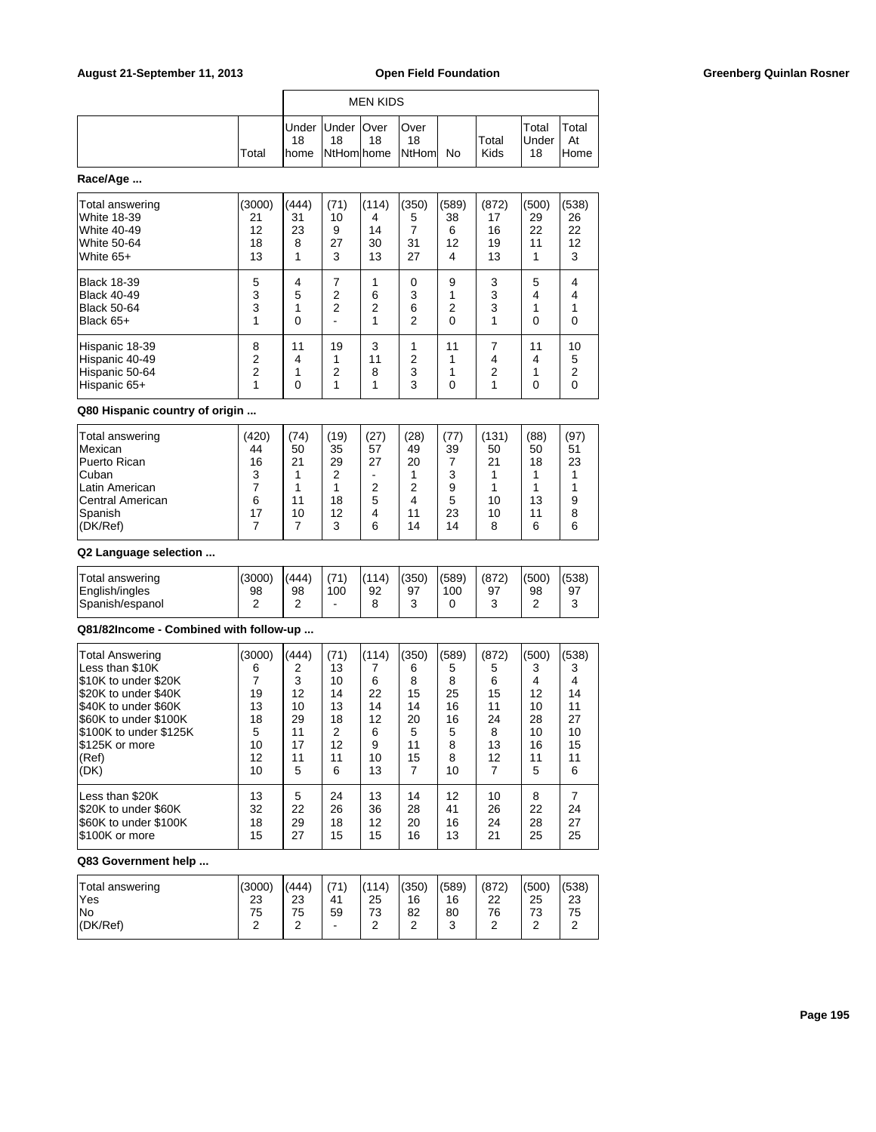| August 21-September 11, 2013                                                                                                                                                                            |                                                                        |                                                          |                                                          |                                                         | <b>Open Field Foundation</b>                                         |                                                        |                                                                      |                                                                  |                                                          | <b>Greenberg Quinlan Rosner</b> |
|---------------------------------------------------------------------------------------------------------------------------------------------------------------------------------------------------------|------------------------------------------------------------------------|----------------------------------------------------------|----------------------------------------------------------|---------------------------------------------------------|----------------------------------------------------------------------|--------------------------------------------------------|----------------------------------------------------------------------|------------------------------------------------------------------|----------------------------------------------------------|---------------------------------|
|                                                                                                                                                                                                         |                                                                        |                                                          |                                                          | <b>MEN KIDS</b>                                         |                                                                      |                                                        |                                                                      |                                                                  |                                                          |                                 |
|                                                                                                                                                                                                         | Total                                                                  | Under<br>18<br>home                                      | Under<br>18<br>NtHom home                                | Over<br>18                                              | Over<br>18<br>NtHom                                                  | No                                                     | Total<br>Kids                                                        | Total<br>Under<br>18                                             | Total<br>At<br>Home                                      |                                 |
| Race/Age                                                                                                                                                                                                |                                                                        |                                                          |                                                          |                                                         |                                                                      |                                                        |                                                                      |                                                                  |                                                          |                                 |
| Total answering<br><b>White 18-39</b><br><b>White 40-49</b><br><b>White 50-64</b><br>White $65+$                                                                                                        | (3000)<br>21<br>12<br>18<br>13                                         | (444)<br>31<br>23<br>8<br>1                              | (71)<br>10<br>9<br>27<br>3                               | (114)<br>4<br>14<br>30<br>13                            | (350)<br>5<br>$\overline{7}$<br>31<br>27                             | (589)<br>38<br>6<br>12<br>4                            | (872)<br>17<br>16<br>19<br>13                                        | (500)<br>29<br>22<br>11<br>1                                     | (538)<br>26<br>22<br>12<br>3                             |                                 |
| <b>Black 18-39</b><br><b>Black 40-49</b><br><b>Black 50-64</b><br>Black 65+                                                                                                                             | 5<br>3<br>3<br>1                                                       | 4<br>5<br>1<br>$\Omega$                                  | 7<br>2<br>2                                              | 1<br>6<br>2<br>1                                        | 0<br>3<br>6<br>$\overline{2}$                                        | 9<br>1<br>2<br>$\Omega$                                | 3<br>3<br>3<br>$\mathbf{1}$                                          | 5<br>4<br>1<br>$\mathbf 0$                                       | 4<br>4<br>$\mathbf{1}$<br>$\mathbf 0$                    |                                 |
| Hispanic 18-39<br>Hispanic 40-49<br>Hispanic 50-64<br>Hispanic 65+                                                                                                                                      | 8<br>$\overline{c}$<br>$\overline{2}$<br>1                             | 11<br>4<br>1<br>0                                        | 19<br>1<br>2<br>1                                        | 3<br>11<br>8<br>$\mathbf{1}$                            | 1<br>2<br>3<br>3                                                     | 11<br>1<br>1<br>$\mathbf 0$                            | $\overline{7}$<br>4<br>$\overline{2}$<br>$\mathbf{1}$                | 11<br>4<br>1<br>$\mathbf 0$                                      | 10<br>5<br>$\overline{c}$<br>$\mathbf 0$                 |                                 |
| Q80 Hispanic country of origin                                                                                                                                                                          |                                                                        |                                                          |                                                          |                                                         |                                                                      |                                                        |                                                                      |                                                                  |                                                          |                                 |
| <b>Total answering</b><br>Mexican<br>Puerto Rican<br>Cuban<br>Latin American<br>Central American<br>Spanish<br>(DK/Ref)                                                                                 | (420)<br>44<br>16<br>3<br>$\overline{7}$<br>6<br>17<br>$\overline{7}$  | (74)<br>50<br>21<br>1<br>1<br>11<br>10<br>$\overline{7}$ | (19)<br>35<br>29<br>2<br>1<br>18<br>12<br>3              | (27)<br>57<br>27<br>$\blacksquare$<br>2<br>5<br>4<br>6  | (28)<br>49<br>20<br>1<br>2<br>$\overline{4}$<br>11<br>14             | (77)<br>39<br>7<br>3<br>9<br>5<br>23<br>14             | (131)<br>50<br>21<br>$\mathbf 1$<br>$\mathbf{1}$<br>10<br>10<br>8    | (88)<br>50<br>18<br>$\mathbf 1$<br>$\mathbf{1}$<br>13<br>11<br>6 | (97)<br>51<br>23<br>1<br>$\mathbf{1}$<br>9<br>8<br>6     |                                 |
| Q2 Language selection                                                                                                                                                                                   |                                                                        |                                                          |                                                          |                                                         |                                                                      |                                                        |                                                                      |                                                                  |                                                          |                                 |
| <b>Total answering</b><br>English/ingles<br>Spanish/espanol                                                                                                                                             | (3000)<br>98<br>2                                                      | (444)<br>98<br>2                                         | (71)<br>100<br>$\blacksquare$                            | (114)<br>92<br>8                                        | (350)<br>97<br>3                                                     | (589)<br>100<br>0                                      | (872)<br>97<br>3                                                     | (500)<br>98<br>2                                                 | (538)<br>97<br>3                                         |                                 |
| Q81/82Income - Combined with follow-up                                                                                                                                                                  |                                                                        |                                                          |                                                          |                                                         |                                                                      |                                                        |                                                                      |                                                                  |                                                          |                                 |
| <b>Total Answering</b><br>Less than \$10K<br>\$10K to under \$20K<br>\$20K to under \$40K<br>\$40K to under \$60K<br>\$60K to under \$100K<br>\$100K to under \$125K<br>\$125K or more<br>(Ref)<br>(DK) | (3000)<br>6<br>$\overline{7}$<br>19<br>13<br>18<br>5<br>10<br>12<br>10 | (444)<br>2<br>3<br>12<br>10<br>29<br>11<br>17<br>11<br>5 | (71)<br>13<br>10<br>14<br>13<br>18<br>2<br>12<br>11<br>6 | (114)<br>7<br>6<br>22<br>14<br>12<br>6<br>9<br>10<br>13 | (350)<br>6<br>8<br>15<br>14<br>20<br>5<br>11<br>15<br>$\overline{7}$ | (589)<br>5<br>8<br>25<br>16<br>16<br>5<br>8<br>8<br>10 | (872)<br>5<br>6<br>15<br>11<br>24<br>8<br>13<br>12<br>$\overline{7}$ | (500)<br>3<br>4<br>12<br>10<br>28<br>10<br>16<br>11<br>5         | (538)<br>3<br>4<br>14<br>11<br>27<br>10<br>15<br>11<br>6 |                                 |
| Less than \$20K<br>\$20K to under \$60K<br>\$60K to under \$100K<br>\$100K or more                                                                                                                      | 13<br>32<br>18<br>15                                                   | 5<br>22<br>29<br>27                                      | 24<br>26<br>18<br>15                                     | 13<br>36<br>12<br>15                                    | 14<br>28<br>20<br>16                                                 | 12<br>41<br>16<br>13                                   | 10<br>26<br>24<br>21                                                 | 8<br>22<br>28<br>25                                              | $\overline{7}$<br>24<br>27<br>25                         |                                 |
| Q83 Government help                                                                                                                                                                                     |                                                                        |                                                          |                                                          |                                                         |                                                                      |                                                        |                                                                      |                                                                  |                                                          |                                 |
| <b>Total answering</b><br>Yes                                                                                                                                                                           | (3000)<br>23                                                           | (444)<br>23                                              | (71)<br>41                                               | (114)<br>25                                             | (350)<br>16                                                          | (589)<br>16                                            | (872)<br>22                                                          | (500)<br>25                                                      | (538)<br>23                                              |                                 |

No 2010 | 2010 | 2020 | 2030 | 2040 | 2050 | 2050 | 2050 | 2050 | 2050 | 2050 | 2050 | 2050 | 2050 | 2050 | 20 (DK/Ref) 2 2 2 - 2 2 3 2 2 2

# **Page 195**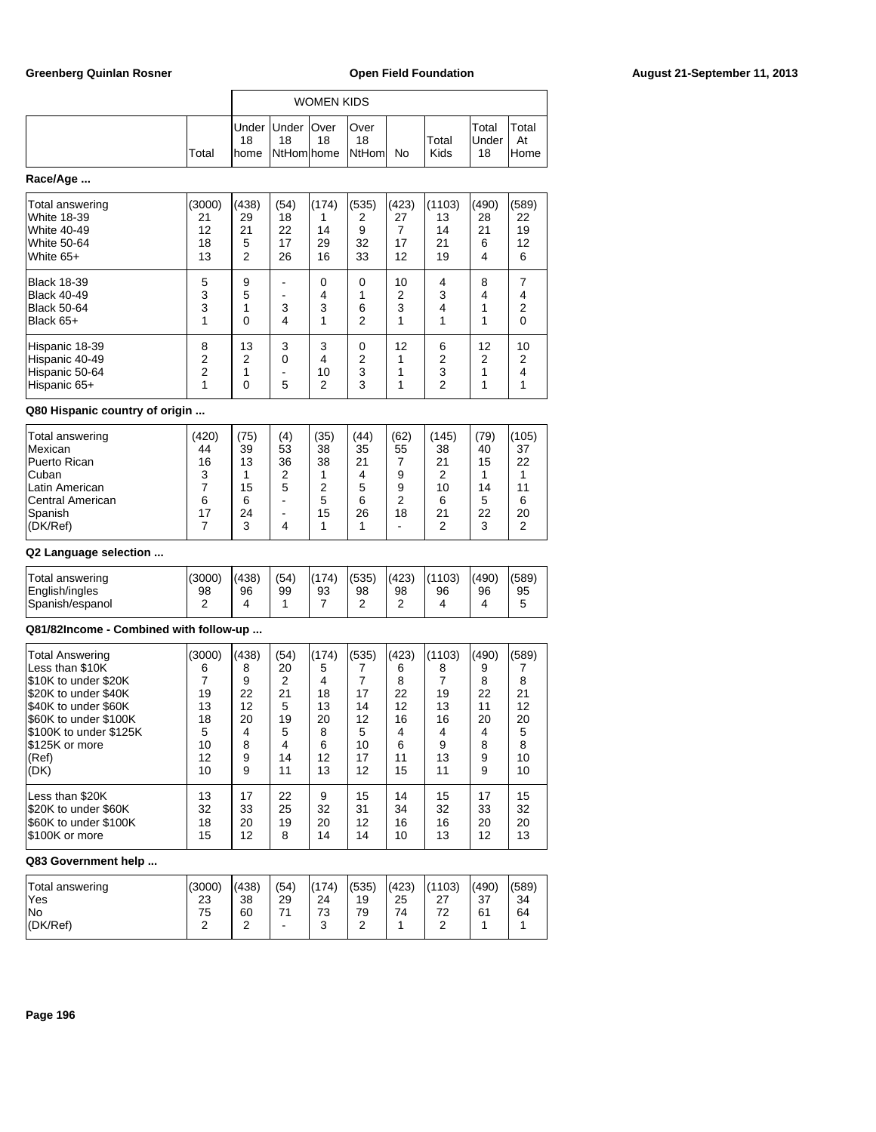|                                                                                  |                                |                             |                              | WOMEN KIDS                   |                               |                              |                                |                             |                              |
|----------------------------------------------------------------------------------|--------------------------------|-----------------------------|------------------------------|------------------------------|-------------------------------|------------------------------|--------------------------------|-----------------------------|------------------------------|
|                                                                                  | Total                          | Under<br>18<br>home         | Under<br>18<br>NtHomlhome    | Over<br>18                   | Over<br>18<br>NtHoml          | No.                          | Total<br>Kids                  | Total<br>Under<br>18        | Total<br>At<br>Home          |
| Race/Age                                                                         |                                |                             |                              |                              |                               |                              |                                |                             |                              |
| Total answering<br>White 18-39<br><b>White 40-49</b><br>White 50-64<br>White 65+ | (3000)<br>21<br>12<br>18<br>13 | (438)<br>29<br>21<br>5<br>2 | (54)<br>18<br>22<br>17<br>26 | (174)<br>1<br>14<br>29<br>16 | (535)<br>2<br>9<br>32<br>33   | (423)<br>27<br>7<br>17<br>12 | (1103)<br>13<br>14<br>21<br>19 | (490)<br>28<br>21<br>6<br>4 | (589)<br>22<br>19<br>12<br>6 |
| <b>Black 18-39</b><br><b>Black 40-49</b><br><b>Black 50-64</b><br>Black 65+      | 5<br>3<br>3<br>1               | 9<br>5<br>0                 | 3<br>4                       | 0<br>4<br>3<br>1             | 0<br>1<br>6<br>$\overline{2}$ | 10<br>2<br>3<br>1            | 4<br>3<br>4<br>1               | 8<br>4<br>1                 | 7<br>4<br>2<br>0             |
| Hispanic 18-39<br>Hispanic 40-49<br>Hispanic 50-64<br>Hispanic 65+               | 8<br>2<br>$\overline{c}$<br>1  | 13<br>2<br>0                | 3<br>0<br>5                  | 3<br>4<br>10<br>2            | 0<br>2<br>3<br>3              | 12                           | 6<br>2<br>3<br>2               | 12<br>2                     | 10<br>2<br>4                 |

r

## **Q80 Hispanic country of origin ...**

| Total answering<br><b>Mexican</b><br><b>Puerto Rican</b><br><b>Cuban</b><br>Latin American<br>Central American | (420)<br>44<br>16<br>3<br>6 | 75)<br>39<br>13<br>15<br>6 | (4)<br>53<br>36<br>っ<br>5 | (35)<br>38<br>38<br>っ<br>5 | (44)<br>35<br>21<br>4<br>5<br>6 | (62)<br>55<br>9<br>9<br>2 | (145)<br>38<br>21<br>2<br>10<br>6 | (79)<br>40<br>15<br>14<br>5 | (105)<br>37<br>22<br>11<br>6 |
|----------------------------------------------------------------------------------------------------------------|-----------------------------|----------------------------|---------------------------|----------------------------|---------------------------------|---------------------------|-----------------------------------|-----------------------------|------------------------------|
|                                                                                                                |                             |                            |                           |                            |                                 |                           |                                   |                             |                              |
| Spanish                                                                                                        | 17                          | 24                         |                           | 15                         | 26                              | 18                        | 21                                | 22                          | 20                           |
| (DK/Ref)                                                                                                       |                             | 3                          |                           |                            |                                 |                           | 2                                 | 3                           | 2                            |

## **Q2 Language selection ...**

| Total answering<br>English/ingles<br>Spanish/espanol | (3000)<br>98 | (438)<br>96 | (54)<br>99 | (174)<br>93 | (535)<br>98<br>ົ<br>- | (423)<br>98<br>- | (1103)<br>96 | (490)<br>96<br>4 | (589)<br>95 |
|------------------------------------------------------|--------------|-------------|------------|-------------|-----------------------|------------------|--------------|------------------|-------------|
|                                                      |              |             |            |             |                       |                  |              |                  |             |

# **Q81/82Income - Combined with follow-up ...**

| <b>Total Answering</b><br>Less than \$10K<br>S10K to under \$20K<br>S20K to under \$40K<br>I\$40K to under \$60K<br>S60K to under \$100K<br>S100K to under \$125K<br>S125K or more<br>(Ref)<br>(DK) | (3000)<br>6<br>19<br>13<br>18<br>5<br>10<br>12<br>10 | (438)<br>8<br>9<br>22<br>12<br>20<br>4<br>8<br>9<br>9 | (54)<br>20<br>2<br>21<br>5<br>19<br>5<br>4<br>14<br>11 | (174)<br>5<br>4<br>18<br>13<br>20<br>8<br>6<br>12<br>13 | (535)<br>17<br>14<br>12<br>5<br>10<br>17<br>12 | (423)<br>6<br>8<br>22<br>12<br>16<br>4<br>6<br>11<br>15 | (1103)<br>8<br>19<br>13<br>16<br>4<br>9<br>13<br>11 | (490)<br>9<br>8<br>22<br>11<br>20<br>4<br>8<br>9<br>9 | (589)<br>8<br>21<br>12<br>20<br>5<br>8<br>10<br>10 |
|-----------------------------------------------------------------------------------------------------------------------------------------------------------------------------------------------------|------------------------------------------------------|-------------------------------------------------------|--------------------------------------------------------|---------------------------------------------------------|------------------------------------------------|---------------------------------------------------------|-----------------------------------------------------|-------------------------------------------------------|----------------------------------------------------|
| Less than \$20K                                                                                                                                                                                     | 13                                                   | 17                                                    | 22                                                     | 9                                                       | 15                                             | 14                                                      | 15                                                  | 17                                                    | 15                                                 |
| S20K to under \$60K                                                                                                                                                                                 | 32                                                   | 33                                                    | 25                                                     | 32                                                      | 31                                             | 34                                                      | 32                                                  | 33                                                    | 32                                                 |
| S60K to under \$100K                                                                                                                                                                                | 18                                                   | 20                                                    | 19                                                     | 20                                                      | 12                                             | 16                                                      | 16                                                  | 20                                                    | 20                                                 |
| S100K or more                                                                                                                                                                                       | 15                                                   | 12                                                    | 8                                                      | 14                                                      | 14                                             | 10                                                      | 13                                                  | 12                                                    | 13                                                 |

| Total answering<br>'Yes | (3000)<br>23 | (438)<br>38 | (54)<br>29 | (174)<br>24 | (535)<br>19 | (423)<br>25 | (1103)<br>-27 | (490)<br>37 | (589)<br>34 |
|-------------------------|--------------|-------------|------------|-------------|-------------|-------------|---------------|-------------|-------------|
| lNo                     | 75           | 60          | 74         | 73          | 79          | 74          | 72            | 61          | 64          |
| (DK/Ref)                | $\sqrt{2}$   | ⌒           |            | $\sim$<br>u | ີ<br>-      |             |               |             |             |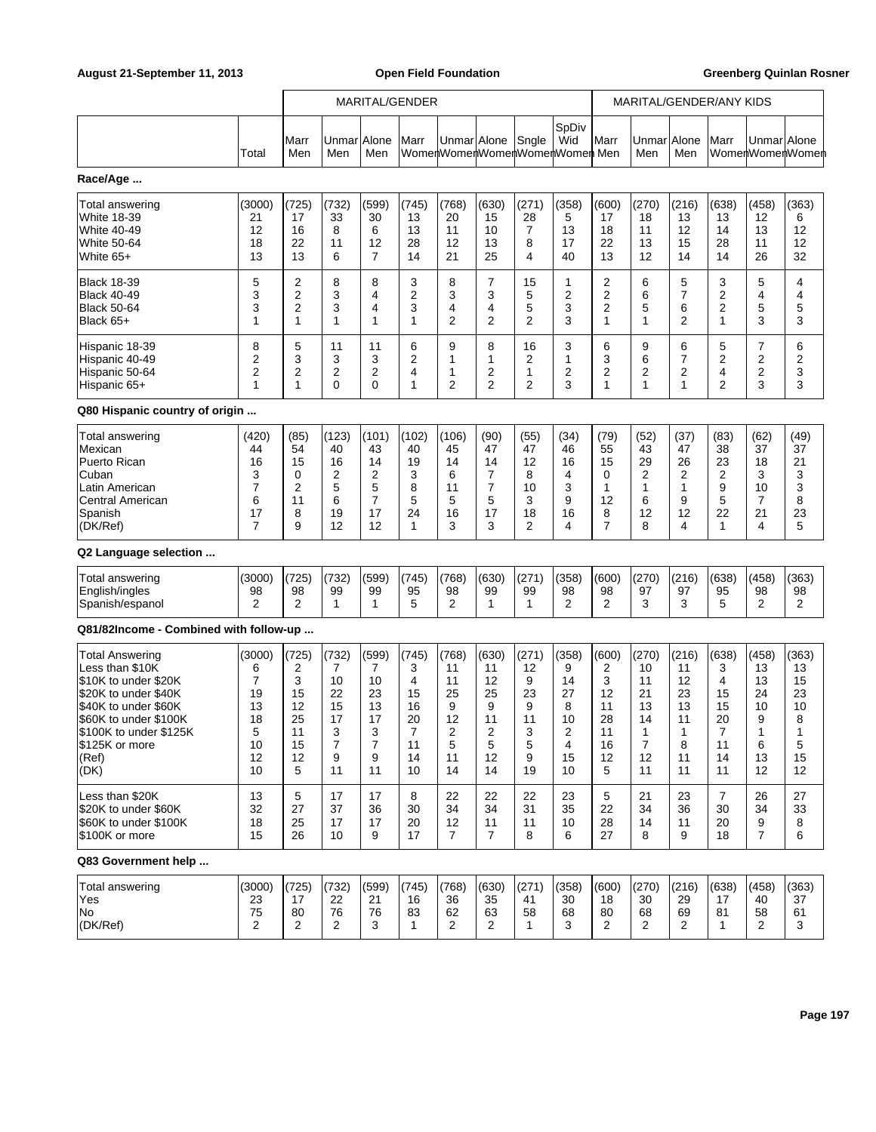|                                        |                |                |                    |                | MARITAL/GENDER |                |                |                |                                               |                | MARITAL/GENDER/ANY KIDS |       |                |                |                 |
|----------------------------------------|----------------|----------------|--------------------|----------------|----------------|----------------|----------------|----------------|-----------------------------------------------|----------------|-------------------------|-------|----------------|----------------|-----------------|
|                                        | Total          | lMarr<br>Men   | UnmarlAlone<br>Men | Men            | Marr           | Unmar Alone    |                | Sngle          | SpDiv<br>Wid<br>WomenWomenWomenWomenWomen Men | Marr           | Unmar Alone<br>Men      | Men   | Marr           | Unmar Alone    | WomenWomenWomen |
| Race/Age                               |                |                |                    |                |                |                |                |                |                                               |                |                         |       |                |                |                 |
| Total answering                        | (3000)         | (725)          | (732)              | (599)          | (745)          | (768)          | (630)          | (271)          | (358)                                         | (600)          | (270)                   | (216) | (638)          | (458)          | (363)           |
| White 18-39                            | 21             | 17             | 33                 | 30             | 13             | 20             | 15             | 28             | 5                                             | 17             | 18                      | 13    | 13             | 12             | 6               |
| <b>White 40-49</b>                     | 12             | 16             | 8                  | 6              | 13             | 11             | 10             | 7              | 13                                            | 18             | 11                      | 12    | 14             | 13             | 12              |
| <b>White 50-64</b>                     | 18             | 22             | 11                 | 12             | 28             | 12             | 13             | 8              | 17                                            | 22             | 13                      | 15    | 28             | 11             | 12              |
| White 65+                              | 13             | 13             | 6                  | $\overline{7}$ | 14             | 21             | 25             | 4              | 40                                            | 13             | 12                      | 14    | 14             | 26             | 32              |
| <b>Black 18-39</b>                     | 5              | 2              | 8                  | 8              | 3              | 8              | 7              | 15             | 1                                             | 2              | 6                       | 5     | 3              | 5              | 4               |
| <b>Black 40-49</b>                     | 3              | $\overline{2}$ | 3                  | 4              | 2              | 3              | 3              | 5              | 2                                             | $\overline{2}$ | 6                       | 7     | 2              | 4              | 4               |
| Black 50-64                            | 3              | 2              | 3                  | 4              | 3              | 4              | 4              | 5              | 3                                             | $\overline{2}$ | 5                       | 6     | 2              | 5              | 5               |
| Black 65+                              | 1              | 1              | 1                  | 1              | 1              | 2              | 2              | $\overline{2}$ | 3                                             | 1              | 1                       | 2     | $\mathbf{1}$   | 3              | 3               |
| Hispanic 18-39                         | 8              | 5              | 11                 | 11             | 6              | 9              | 8              | 16             | 3                                             | 6              | 9                       | 6     | 5              | $\overline{7}$ | 6               |
| Hispanic 40-49                         | 2              | 3              | 3                  | 3              | 2              | 1              | 1              | 2              | 1                                             | 3              | 6                       | 7     | 2              | 2              | 2               |
| Hispanic 50-64                         | 2              | 2              | 2                  | $\overline{2}$ | 4              | 1              | 2              | 1              | 2                                             | 2              | 2                       | 2     | 4              | 2              | 3               |
| Hispanic 65+                           | 1              | 1              | 0                  | $\Omega$       | 1              | 2              | $\overline{2}$ | $\overline{2}$ | 3                                             | 1              | 1                       | 1     | $\overline{2}$ | 3              | 3               |
| Q80 Hispanic country of origin         |                |                |                    |                |                |                |                |                |                                               |                |                         |       |                |                |                 |
| Total answering                        | (420)          | (85)           | (123)              | (101)          | (102)          | (106)          | (90)           | (55)           | (34)                                          | (79)           | (52)                    | (37)  | (83)           | (62)           | (49)            |
| Mexican                                | 44             | 54             | 40                 | 43             | 40             | 45             | 47             | 47             | 46                                            | 55             | 43                      | 47    | 38             | 37             | 37              |
| Puerto Rican                           | 16             | 15             | 16                 | 14             | 19             | 14             | 14             | 12             | 16                                            | 15             | 29                      | 26    | 23             | 18             | 21              |
| Cuban                                  | 3              | 0              | 2                  | 2              | 3              | 6              | $\overline{7}$ | 8              | 4                                             | 0              | 2                       | 2     | 2              | 3              | 3               |
| Latin American                         | 7              | 2              | 5                  | 5              | 8              | 11             | 7              | 10             | 3                                             | 1              | 1                       | 1     | 9              | 10             | 3               |
| Central American                       | 6              | 11             | 6                  | $\overline{7}$ | 5              | 5              | 5              | 3              | 9                                             | 12             | 6                       | 9     | 5              | 7              | 8               |
| Spanish                                | 17             | 8              | 19                 | 17             | 24             | 16             | 17             | 18             | 16                                            | 8              | 12                      | 12    | 22             | 21             | 23              |
| (DK/Ref)                               | $\overline{7}$ | 9              | 12                 | 12             | 1              | 3              | 3              | 2              | 4                                             | $\overline{7}$ | 8                       | 4     | $\mathbf{1}$   | 4              | 5               |
| Q2 Language selection                  |                |                |                    |                |                |                |                |                |                                               |                |                         |       |                |                |                 |
| <b>Total answering</b>                 | (3000)         | (725)          | (732)              | (599)          | (745)          | (768)          | (630)          | (271)          | (358)                                         | (600)          | (270)                   | (216) | (638)          | (458)          | (363)           |
| English/ingles                         | 98             | 98             | 99                 | 99             | 95             | 98             | 99             | 99             | 98                                            | 98             | 97                      | 97    | 95             | 98             | 98              |
| Spanish/espanol                        | 2              | 2              | $\mathbf{1}$       | $\mathbf{1}$   | 5              | 2              | 1              | 1              | 2                                             | 2              | 3                       | 3     | 5              | 2              | 2               |
| Q81/82Income - Combined with follow-up |                |                |                    |                |                |                |                |                |                                               |                |                         |       |                |                |                 |
| <b>Total Answering</b>                 | (3000)         | (725)          | (732)              | (599)          | (745)          | (768)          | (630)          | (271)          | (358)                                         | (600)          | (270)                   | (216) | (638)          | (458)          | (363)           |
| Less than \$10K                        | 6              | 2              | 7                  | 7              | 3              | 11             | 11             | 12             | 9                                             | 2              | 10                      | 11    | 3              | 13             | 13              |
| \$10K to under \$20K                   | $\overline{7}$ | 3              | 10                 | 10             | 4              | 11             | 12             | 9              | 14                                            | 3              | 11                      | 12    | 4              | 13             | 15              |
| \$20K to under \$40K                   | 19             | 15             | 22                 | 23             | 15             | 25             | 25             | 23             | 27                                            | 12             | 21                      | 23    | 15             | 24             | 23              |
| \$40K to under \$60K                   | 13             | 12             | 15                 | 13             | 16             | 9              | 9              | 9              | 8                                             | 11             | 13                      | 13    | 15             | 10             | 10              |
| \$60K to under \$100K                  | 18             | 25             | 17                 | 17             | 20             | 12             | 11             | 11             | 10                                            | 28             | 14                      | 11    | 20             | 9              | 8               |
| \$100K to under \$125K                 | 5              | 11             | 3                  | 3              | 7              | 2              | 2              | 3              | 2                                             | 11             | 1                       | 1     | 7              | 1              | 1               |
| \$125K or more                         | 10             | 15             | 7                  | 7              | 11             | 5              | 5              | 5              | 4                                             | 16             | 7                       | 8     | 11             | 6              | 5               |
| (Ref)                                  | 12             | 12             | 9                  | 9              | 14             | 11             | 12             | 9              | 15                                            | 12             | 12                      | 11    | 14             | 13             | 15              |
| (DK)                                   | 10             | 5              | 11                 | 11             | 10             | 14             | 14             | 19             | 10                                            | 5              | 11                      | 11    | 11             | 12             | 12              |
| Less than \$20K                        | 13             | 5              | 17                 | 17             | 8              | 22             | 22             | 22             | 23                                            | 5              | 21                      | 23    | $\overline{7}$ | 26             | 27              |
| \$20K to under \$60K                   | 32             | 27             | 37                 | 36             | 30             | 34             | 34             | 31             | 35                                            | 22             | 34                      | 36    | 30             | 34             | 33              |
| S60K to under \$100K                   | 18             | 25             | 17                 | 17             | 20             | 12             | 11             | 11             | 10                                            | 28             | 14                      | 11    | 20             | 9              | 8               |
| \$100K or more                         | 15             | 26             | 10                 | 9              | 17             | $\overline{7}$ | $\overline{7}$ | 8              | 6                                             | 27             | 8                       | 9     | 18             | $\overline{7}$ | 6               |
| Q83 Government help                    |                |                |                    |                |                |                |                |                |                                               |                |                         |       |                |                |                 |
| Total answering                        | (3000)         | (725)          | (732)              | (599)          | (745)          | (768)          | (630)          | (271)          | (358)                                         | (600)          | (270)                   | (216) | (638)          | (458)          | (363)           |
| Yes                                    | 23             | 17             | 22                 | 21             | 16             | 36             | 35             | 41             | 30                                            | 18             | 30                      | 29    | 17             | 40             | 37              |
| No                                     | 75             | 80             | 76                 | 76             | 83             | 62             | 63             | 58             | 68                                            | 80             | 68                      | 69    | 81             | 58             | 61              |
| (DK/Ref)                               | 2              | 2              | 2                  | 3              | $\mathbf{1}$   | 2              | $\overline{2}$ | $\mathbf{1}$   | 3                                             | 2              | 2                       | 2     | 1              | 2              | 3               |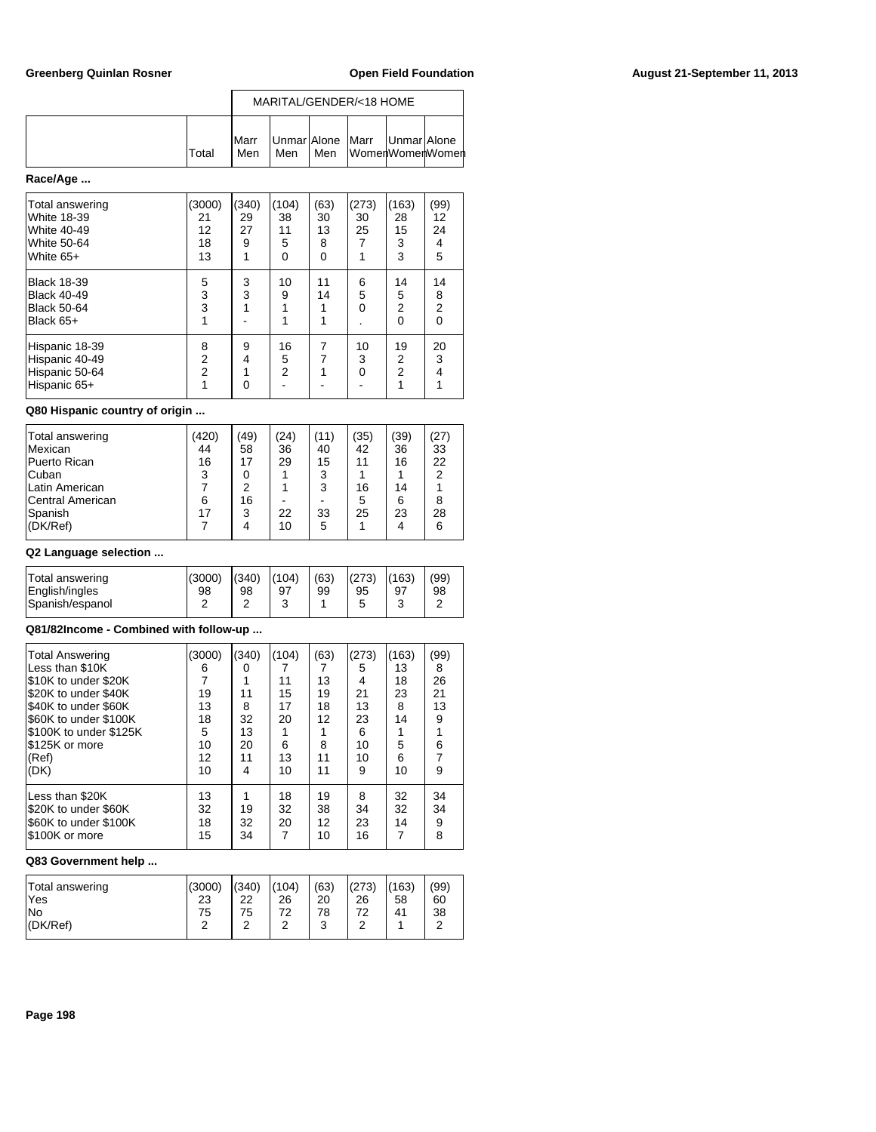|        |                      |     |       | MARITAL/GENDER/<18 HOME                            |  |
|--------|----------------------|-----|-------|----------------------------------------------------|--|
| lTotal | <b>I</b> Marr<br>Men | Men | l Men | Unmar Alone Marr   Unmar Alone<br>lWomenWomenWomen |  |

### **Race/Age ...**

| Total answering<br><b>White 18-39</b><br><b>White 40-49</b><br><b>White 50-64</b><br>White 65+ | (3000)<br>21<br>12<br>18<br>13             | (340)<br>29<br>27<br>9 | (104)<br>38<br>11<br>5<br>0 | (63)<br>30<br>13<br>8<br>$\Omega$ | (273)<br>30<br>25  | (163)<br>28<br>15<br>3<br>3               | (99)<br>12<br>24<br>4<br>5     |
|------------------------------------------------------------------------------------------------|--------------------------------------------|------------------------|-----------------------------|-----------------------------------|--------------------|-------------------------------------------|--------------------------------|
| <b>Black 18-39</b><br><b>Black 40-49</b><br><b>Black 50-64</b><br>Black 65+                    | 5<br>3<br>3<br>1                           | 3<br>3                 | 10<br>9                     | 11<br>14                          | 6<br>5<br>$\Omega$ | 14<br>5<br>$\overline{2}$<br>$\mathbf{0}$ | 14<br>8<br>$\overline{2}$<br>0 |
| Hispanic 18-39<br>Hispanic 40-49<br>Hispanic 50-64<br>Hispanic 65+                             | 8<br>$\overline{2}$<br>$\overline{2}$<br>1 | 9<br>4<br>0            | 16<br>5<br>$\overline{2}$   | 7                                 | 10<br>3<br>0       | 19<br>2<br>$\overline{2}$<br>1            | 20<br>3<br>4<br>1              |

## **Q80 Hispanic country of origin ...**

| Total answering         | (420) | (49) | (24) | (11) | (35) | (39) | (27) |
|-------------------------|-------|------|------|------|------|------|------|
| <b>Mexican</b>          | 44    | 58   | 36   | 40   | 42   | 36   | 33   |
| Puerto Rican            | 16    | 17   | 29   | 15   | 11   | 16   | 22   |
| <b>Cuban</b>            | 3     |      |      | 3    |      |      | 2    |
| Latin American          |       | 2    |      | 3    | 16   | 14   |      |
| <b>Central American</b> | 6     | 16   |      |      | 5    | 6    | 8    |
| Spanish                 | 17    | 3    | 22   | 33   | 25   | 23   | 28   |
| (DK/Ref)                |       |      | 10   | 5    |      |      | 6    |
|                         |       |      |      |      |      |      |      |

## **Q2 Language selection ...**

| lTotal answering | (3000) | (340) | (104)  | (63) | (273) | (163)  | (99) |
|------------------|--------|-------|--------|------|-------|--------|------|
| Enalish/inales   | 98     | 98    | 97     | 99   | 95    | 97     | 98   |
| Spanish/espanol  |        |       | $\sim$ |      |       | $\sim$ | ີ    |

### **Q81/82Income - Combined with follow-up ...**

| <b>Total Answering</b><br>Less than \$10K<br>S10K to under \$20K<br>\$20K to under \$40K<br>\$40K to under \$60K<br>\$60K to under \$100K<br>\$100K to under \$125K<br>l\$125K or more<br>(Ref)<br>(DK) | (3000)<br>6<br>7<br>19<br>13<br>18<br>5<br>10<br>12<br>10 | (340)<br>0<br>11<br>8<br>32<br>13<br>20<br>11<br>4 | (104)<br>11<br>15<br>17<br>20<br>6<br>13<br>10 | (63)<br>13<br>19<br>18<br>12<br>8<br>11<br>11 | (273)<br>5<br>4<br>21<br>13<br>23<br>6<br>10<br>10<br>9 | (163)<br>13<br>18<br>23<br>8<br>14<br>5<br>6<br>10 | (99)<br>8<br>26<br>21<br>13<br>9<br>6<br>9 |
|---------------------------------------------------------------------------------------------------------------------------------------------------------------------------------------------------------|-----------------------------------------------------------|----------------------------------------------------|------------------------------------------------|-----------------------------------------------|---------------------------------------------------------|----------------------------------------------------|--------------------------------------------|
| Less than \$20K<br>\$20K to under \$60K<br>S60K to under \$100K<br>S100K or more                                                                                                                        | 13<br>32<br>18<br>15                                      | 19<br>32<br>34                                     | 18<br>32<br>20<br>$\overline{7}$               | 19<br>38<br>12<br>10                          | 8<br>34<br>23<br>16                                     | 32<br>32<br>14<br>7                                | 34<br>34<br>9<br>8                         |

| lNo<br>78<br>72<br>75<br>72<br>38<br>75<br>41<br>$ $ (DK/Ref)<br>2<br>ົ<br>⌒<br>ົ<br>ີ<br>$\sqrt{2}$<br>ے<br>u<br>ے<br>∸ | Total answering<br>'Yes | (3000)<br>23 | (340)<br>22 | (104)<br>26 | (63)<br>20 | (273)<br>26 | (163)<br>58 | (99)<br>60 |
|--------------------------------------------------------------------------------------------------------------------------|-------------------------|--------------|-------------|-------------|------------|-------------|-------------|------------|
|--------------------------------------------------------------------------------------------------------------------------|-------------------------|--------------|-------------|-------------|------------|-------------|-------------|------------|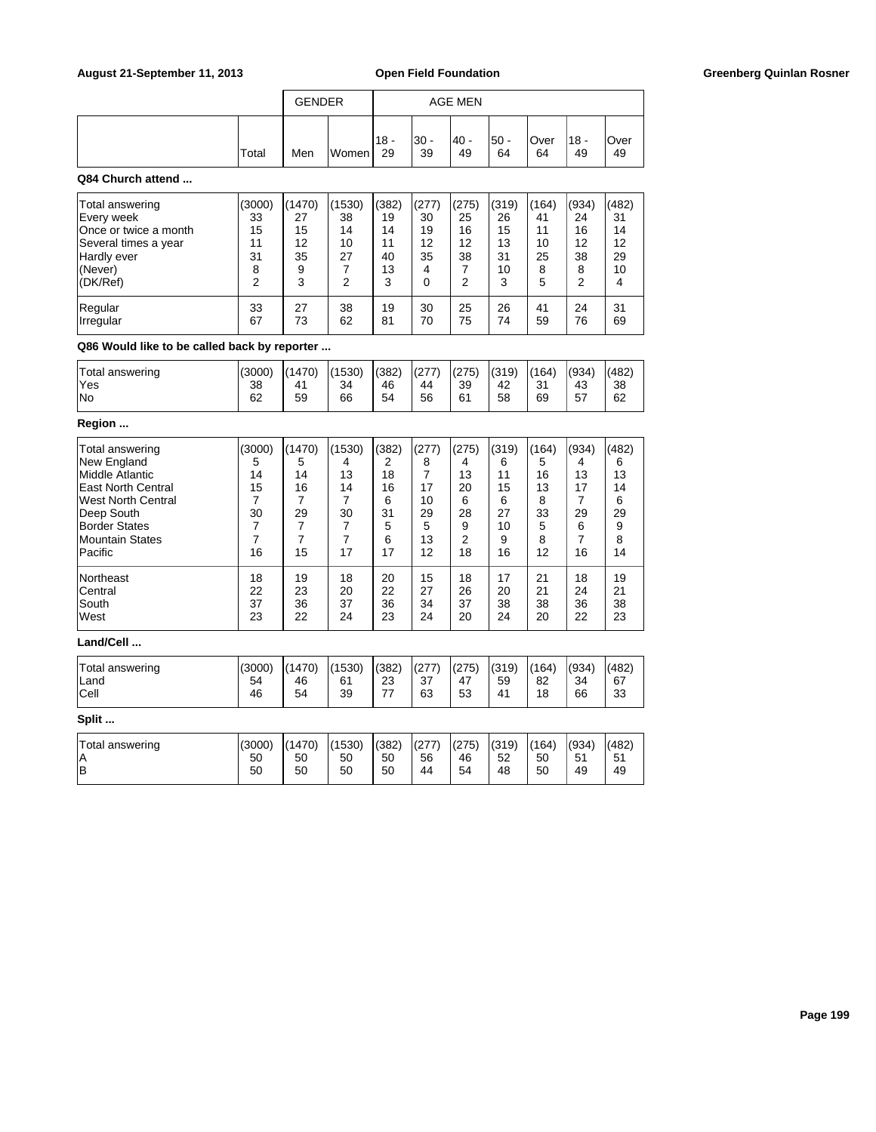|       | <b>GENDER</b> |       | AGE MEN       |             |             |             |                   |              |            |
|-------|---------------|-------|---------------|-------------|-------------|-------------|-------------------|--------------|------------|
| Total | Men           | Women | $118 -$<br>29 | '30 -<br>39 | - 40 <br>49 | l50 -<br>64 | <b>Over</b><br>64 | $18 -$<br>49 | Over<br>49 |

## **Q84 Church attend ...**

| Total answering<br>Every week<br><b>Once or twice a month</b><br>Several times a year<br>Hardly ever<br>(Never)<br>(DK/Ref) | (3000)<br>33<br>15<br>11<br>31<br>8<br>っ | 1470)<br>27<br>15<br>12<br>35<br>9<br>3 | (1530)<br>38<br>14<br>10<br>27<br>2 | (382)<br>19<br>14<br>11<br>40<br>13<br>3 | (277)<br>30<br>19<br>12<br>35<br>4<br>0 | (275)<br>25<br>16<br>12<br>38<br>⌒ | (319)<br>26<br>15<br>13<br>31<br>10<br>3 | (164)<br>41<br>11<br>10<br>25<br>8<br>5 | (934)<br>24<br>16<br>12<br>38<br>8<br>2 | (482)<br>31<br>14<br>12<br>29<br>10<br>4 |
|-----------------------------------------------------------------------------------------------------------------------------|------------------------------------------|-----------------------------------------|-------------------------------------|------------------------------------------|-----------------------------------------|------------------------------------|------------------------------------------|-----------------------------------------|-----------------------------------------|------------------------------------------|
| Regular                                                                                                                     | 33                                       | 27                                      | 38                                  | 19                                       | 30                                      | 25                                 | 26                                       | 41                                      | 24                                      | 31                                       |
| <i><u><b>Irregular</b></u></i>                                                                                              | 67                                       | 73                                      | 62                                  | 81                                       | 70                                      | 75                                 | 74                                       | 59                                      | 76                                      | 69                                       |

# **Q86 Would like to be called back by reporter ...**

| Total answering<br>'Yes | (3000)<br>38 | (1470)<br>41 | (1530)<br>34 | (382)<br>46 | (277)<br>44 | (275)<br>39 | (319)<br>42 | (164)<br>24<br>ັບ | (934)<br>43 | (482)<br>38 |
|-------------------------|--------------|--------------|--------------|-------------|-------------|-------------|-------------|-------------------|-------------|-------------|
| No                      | 62           | 59           | 66           | 54          | 56          | 61          | 58          | 69                | 57          | 62          |

# **Region ...**

| Total answering<br>New England<br>Middle Atlantic<br>East North Central<br>West North Central<br>Deep South<br><b>Border States</b><br><b>Mountain States</b> | (3000)<br>5<br>14<br>15<br>30 | (1470)<br>5<br>14<br>16<br>29 | (1530)<br>4<br>13<br>14<br>30 | (382)<br>2<br>18<br>16<br>6<br>31<br>5<br>6 | (277)<br>8<br>17<br>10<br>29<br>5<br>13 | (275)<br>4<br>13<br>20<br>6<br>28<br>9<br>2 | (319)<br>6<br>11<br>15<br>6<br>27<br>10<br>9 | (164)<br>5<br>16<br>13<br>8<br>33<br>5<br>8 | (934)<br>4<br>13<br>17<br>29<br>6 | (482)<br>6<br>13<br>14<br>6<br>29<br>9<br>8 |
|---------------------------------------------------------------------------------------------------------------------------------------------------------------|-------------------------------|-------------------------------|-------------------------------|---------------------------------------------|-----------------------------------------|---------------------------------------------|----------------------------------------------|---------------------------------------------|-----------------------------------|---------------------------------------------|
| Pacific                                                                                                                                                       | 16                            | 15                            | 17                            | 17                                          | 12                                      | 18                                          | 16                                           | 12                                          | 16                                | 14                                          |
| <b>Northeast</b>                                                                                                                                              | 18                            | 19                            | 18                            | 20                                          | 15                                      | 18                                          | 17                                           | 21                                          | 18                                | 19                                          |
| Central                                                                                                                                                       | 22                            | 23                            | 20                            | 22                                          | 27                                      | 26                                          | 20                                           | 21                                          | 24                                | 21                                          |
| <b>South</b>                                                                                                                                                  | 37                            | 36                            | 37                            | 36                                          | 34                                      | 37                                          | 38                                           | 38                                          | 36                                | 38                                          |
| lWest                                                                                                                                                         | 23                            | 22                            | 24                            | 23                                          | 24                                      | 20                                          | 24                                           | 20                                          | 22                                | 23                                          |

## **Land/Cell ...**

| I(382)<br>(164)<br>(482)<br>(1470)<br>(1530)<br>(319)<br>(934)<br>Total answering<br>(277)<br>(275)<br>(3000)<br>Land<br>37<br>67<br>54<br>59<br>46<br>23<br>47<br>34<br>61<br>82<br><b>Cell</b><br>--<br>54<br>53<br>46<br>33<br>39<br>63<br>18<br>66<br>4 <sup>1</sup> |
|--------------------------------------------------------------------------------------------------------------------------------------------------------------------------------------------------------------------------------------------------------------------------|
|--------------------------------------------------------------------------------------------------------------------------------------------------------------------------------------------------------------------------------------------------------------------------|

| Total answering<br>ΙA | (3000)<br>50 | (1470)<br>50 | (1530)<br>50 | (382)<br>50 | (277)<br>56 | (275)<br>46 | (319)<br>52 | (164)<br>50 | (934)<br>51 | (482)<br>51<br>ັບເ |
|-----------------------|--------------|--------------|--------------|-------------|-------------|-------------|-------------|-------------|-------------|--------------------|
| lв                    | 50           | 50           | 50           | 50          | 44          | 54          | 48          | 50          | 49          | 49                 |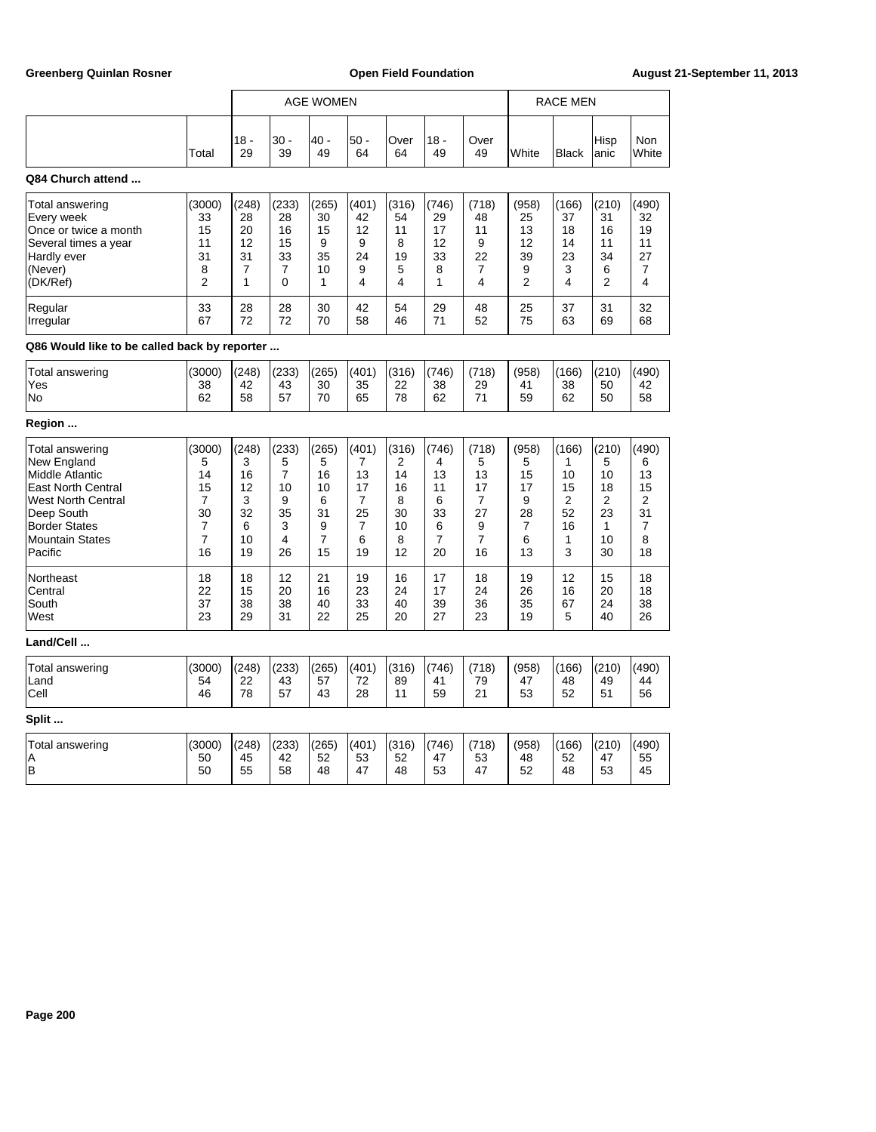|                                              |                |              |            | <b>AGE WOMEN</b> |                |            |              |                | <b>RACE MEN</b> |              |                |                     |
|----------------------------------------------|----------------|--------------|------------|------------------|----------------|------------|--------------|----------------|-----------------|--------------|----------------|---------------------|
|                                              | Total          | $18 -$<br>29 | 30 -<br>39 | 40 -<br>49       | $50 -$<br>64   | Over<br>64 | $18 -$<br>49 | Over<br>49     | White           | <b>Black</b> | Hisp<br>anic   | <b>Non</b><br>White |
| Q84 Church attend                            |                |              |            |                  |                |            |              |                |                 |              |                |                     |
| Total answering                              | (3000)         | (248)        | (233)      | (265)            | (401)          | (316)      | (746)        | (718)          | (958)           | (166)        | (210)          | (490)               |
| Every week                                   | 33             | 28           | 28         | 30               | 42             | 54         | 29           | 48             | 25              | 37           | 31             | 32                  |
| Once or twice a month                        | 15             | 20           | 16         | 15               | 12             | 11         | 17           | 11             | 13              | 18           | 16             | 19                  |
| Several times a year                         | 11             | 12           | 15         | 9                | 9              | 8          | 12           | 9              | 12              | 14           | 11             | 11                  |
| Hardly ever                                  | 31             | 31           | 33         | 35               | 24             | 19         | 33           | 22             | 39              | 23           | 34             | 27                  |
| (Never)                                      | 8              | 7            | 7          | 10               | 9              | 5          | 8            | $\overline{7}$ | 9               | 3            | 6              | 7                   |
| (DK/Ref)                                     | $\overline{2}$ | 1            | 0          | 1                | 4              | 4          | 1            | 4              | $\overline{2}$  | 4            | $\overline{2}$ | 4                   |
| Regular                                      | 33             | 28           | 28         | 30               | 42             | 54         | 29           | 48             | 25              | 37           | 31             | 32                  |
| Irregular                                    | 67             | 72           | 72         | 70               | 58             | 46         | 71           | 52             | 75              | 63           | 69             | 68                  |
| Q86 Would like to be called back by reporter |                |              |            |                  |                |            |              |                |                 |              |                |                     |
| Total answering                              | (3000)         | (248)        | (233)      | (265)            | (401)          | (316)      | (746)        | (718)          | (958)           | (166)        | (210)          | (490)               |
| Yes                                          | 38             | 42           | 43         | 30               | 35             | 22         | 38           | 29             | 41              | 38           | 50             | 42                  |
| No                                           | 62             | 58           | 57         | 70               | 65             | 78         | 62           | 71             | 59              | 62           | 50             | 58                  |
| Region                                       |                |              |            |                  |                |            |              |                |                 |              |                |                     |
| Total answering                              | (3000)         | (248)        | (233)      | (265)            | (401)          | (316)      | (746)        | (718)          | (958)           | (166)        | (210)          | (490)               |
| New England                                  | 5              | 3            | 5          | 5                | 7              | 2          | 4            | 5              | 5               | 1            | 5              | 6                   |
| Middle Atlantic                              | 14             | 16           | 7          | 16               | 13             | 14         | 13           | 13             | 15              | 10           | 10             | 13                  |
| East North Central                           | 15             | 12           | 10         | 10               | 17             | 16         | 11           | 17             | 17              | 15           | 18             | 15                  |
| <b>West North Central</b>                    | 7              | 3            | 9          | 6                | $\overline{7}$ | 8          | 6            | 7              | 9               | 2            | $\overline{2}$ | $\overline{2}$      |
| Deep South                                   | 30             | 32           | 35         | 31               | 25             | 30         | 33           | 27             | 28              | 52           | 23             | 31                  |
| <b>Border States</b>                         | 7              | 6            | 3          | 9                | $\overline{7}$ | 10         | 6            | 9              | 7               | 16           | $\mathbf{1}$   | 7                   |
| <b>Mountain States</b>                       | $\overline{7}$ | 10           | 4          | $\overline{7}$   | 6              | 8          | 7            | $\overline{7}$ | 6               | 1            | 10             | 8                   |
| Pacific                                      | 16             | 19           | 26         | 15               | 19             | 12         | 20           | 16             | 13              | 3            | 30             | 18                  |
| Northeast                                    | 18             | 18           | 12         | 21               | 19             | 16         | 17           | 18             | 19              | 12           | 15             | 18                  |
| Central                                      | 22             | 15           | 20         | 16               | 23             | 24         | 17           | 24             | 26              | 16           | 20             | 18                  |
| South                                        | 37             | 38           | 38         | 40               | 33             | 40         | 39           | 36             | 35              | 67           | 24             | 38                  |
| West                                         | 23             | 29           | 31         | 22               | 25             | 20         | 27           | 23             | 19              | 5            | 40             | 26                  |
| Land/Cell                                    |                |              |            |                  |                |            |              |                |                 |              |                |                     |
| Total answering                              | (3000)         | (248)        | (233)      | (265)            | (401)          | (316)      | (746)        | (718)          | (958)           | (166)        | (210)          | (490)               |
| Land                                         | 54             | 22           | 43         | 57               | 72             | 89         | 41           | 79             | 47              | 48           | 49             | 44                  |
| Cell                                         | 46             | 78           | 57         | 43               | 28             | 11         | 59           | 21             | 53              | 52           | 51             | 56                  |
| Split                                        |                |              |            |                  |                |            |              |                |                 |              |                |                     |
| Total answering                              | (3000)         | (248)        | (233)      | (265)            | (401)          | (316)      | (746)        | (718)          | (958)           | (166)        | (210)          | (490)               |
| Α                                            | 50             | 45           | 42         | 52               | 53             | 52         | 47           | 53             | 48              | 52           | 47             | 55                  |
| B                                            | 50             | 55           | 58         | 48               | 47             | 48         | 53           | 47             | 52              | 48           | 53             | 45                  |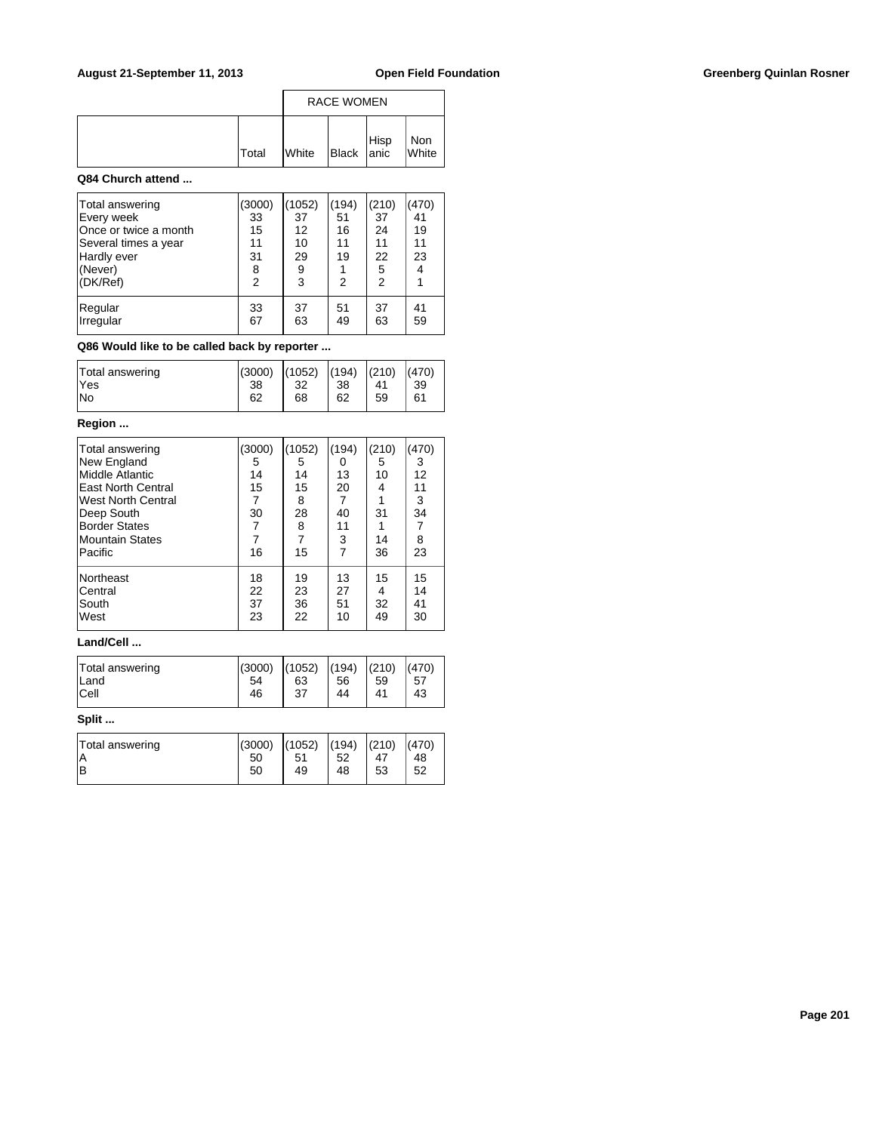|              |              | <b>RACE WOMEN</b>        |              |
|--------------|--------------|--------------------------|--------------|
| <b>Total</b> | <b>White</b> | Black Hisp<br>Black anic | Non<br>White |

### **Q84 Church attend ...**

| Total answering<br>Every week<br>Once or twice a month<br>Several times a year<br>Hardly ever<br>(Never)<br>(DK/Ref) | (3000)<br>33<br>15<br>11<br>31<br>8<br>$\overline{2}$ | (1052)<br>37<br>12<br>10<br>29<br>9<br>3 | (194)<br>51<br>16<br>11<br>19<br>$\overline{2}$ | (210)<br>37<br>24<br>11<br>22<br>5<br>$\overline{2}$ | (470)<br>41<br>19<br>11<br>23<br>4 |
|----------------------------------------------------------------------------------------------------------------------|-------------------------------------------------------|------------------------------------------|-------------------------------------------------|------------------------------------------------------|------------------------------------|
| Regular                                                                                                              | 33                                                    | 37                                       | 51                                              | 37                                                   | 41                                 |
| Irregular                                                                                                            | 67                                                    | 63                                       | 49                                              | 63                                                   | 59                                 |

# **Q86 Would like to be called back by reporter ...**

| Total answering | (3000) | (1052) | (194) | (210) | (470) |
|-----------------|--------|--------|-------|-------|-------|
| lYes            | 38     | 32     | 38    | 41    | 39    |
| lNo             | 62     | 68     | 62    | 59    | 61    |

# **Region ...**

| Total answering<br>New England<br>Middle Atlantic<br><b>East North Central</b><br>West North Central<br>Deep South<br><b>Border States</b><br>Mountain States<br>Pacific | (3000)<br>5<br>14<br>15<br>7<br>30<br>7<br>16 | (1052)<br>5<br>14<br>15<br>8<br>28<br>8<br>15 | (194)<br>0<br>13<br>20<br>7<br>40<br>11<br>3<br>$\overline{7}$ | (210)<br>5<br>10<br>4<br>31<br>14<br>36 | (470)<br>3<br>12<br>11<br>3<br>34<br>7<br>8<br>23 |
|--------------------------------------------------------------------------------------------------------------------------------------------------------------------------|-----------------------------------------------|-----------------------------------------------|----------------------------------------------------------------|-----------------------------------------|---------------------------------------------------|
| Northeast                                                                                                                                                                | 18                                            | 19                                            | 13                                                             | 15                                      | 15                                                |
| <b>Central</b>                                                                                                                                                           | 22                                            | 23                                            | 27                                                             | 4                                       | 14                                                |
| South                                                                                                                                                                    | 37                                            | 36                                            | 51                                                             | 32                                      | 41                                                |
| West                                                                                                                                                                     | 23                                            | 22                                            | 10                                                             | 49                                      | 30                                                |

### **Land/Cell ...**

| Total answering | (3000) | (1052)         | (194) | (210) | (470) |
|-----------------|--------|----------------|-------|-------|-------|
| ΙA              | 50     | 5 <sup>′</sup> | 52    | 47    | 48    |
| ΙB              | 50     | 49             | 48    | 53    | 52    |
|                 |        |                |       |       |       |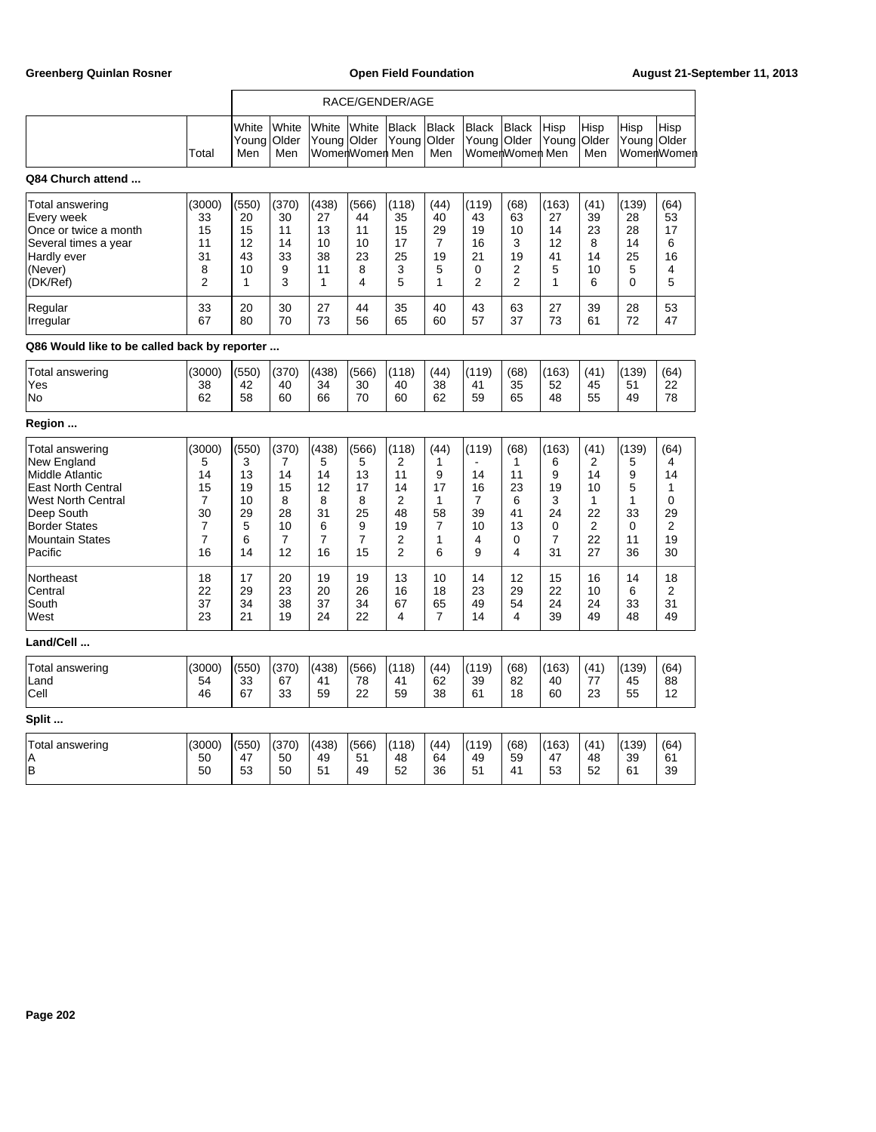|                                                                                                                                                                                        |                                                                                           |                                                    | RACE/GENDER/AGE                                                 |                                                   |                                                                |                                                                                          |                                                    |                                              |                                                             |                                                                         |                                                                             |                                                         |                                                  |
|----------------------------------------------------------------------------------------------------------------------------------------------------------------------------------------|-------------------------------------------------------------------------------------------|----------------------------------------------------|-----------------------------------------------------------------|---------------------------------------------------|----------------------------------------------------------------|------------------------------------------------------------------------------------------|----------------------------------------------------|----------------------------------------------|-------------------------------------------------------------|-------------------------------------------------------------------------|-----------------------------------------------------------------------------|---------------------------------------------------------|--------------------------------------------------|
|                                                                                                                                                                                        | Total                                                                                     | White<br>Young<br>Men                              | White<br>Older<br>Men                                           | White<br>Young   Older                            | White<br>WomenWomen Men                                        | <b>Black</b><br>Young                                                                    | <b>Black</b><br>Older<br>Men                       | <b>Black</b><br>Young                        | <b>Black</b><br>Older<br>WomenWomen Men                     | Hisp<br>Young                                                           | Hisp<br>Older<br>Men                                                        | Hisp<br>Young Older                                     | Hisp<br>WomenWomen                               |
| Q84 Church attend                                                                                                                                                                      |                                                                                           |                                                    |                                                                 |                                                   |                                                                |                                                                                          |                                                    |                                              |                                                             |                                                                         |                                                                             |                                                         |                                                  |
| Total answering<br>Every week<br>Once or twice a month<br>Several times a year<br>Hardly ever<br>(Never)<br>(DK/Ref)                                                                   | (3000)<br>33<br>15<br>11<br>31<br>8<br>$\overline{2}$                                     | (550)<br>20<br>15<br>12<br>43<br>10<br>1           | (370)<br>30<br>11<br>14<br>33<br>9<br>3                         | (438)<br>27<br>13<br>10<br>38<br>11<br>1          | (566)<br>44<br>11<br>10<br>23<br>8<br>4                        | (118)<br>35<br>15<br>17<br>25<br>3<br>5                                                  | (44)<br>40<br>29<br>$\overline{7}$<br>19<br>5<br>1 | (119)<br>43<br>19<br>16<br>21<br>0<br>2      | (68)<br>63<br>10<br>3<br>19<br>2<br>$\overline{2}$          | (163)<br>27<br>14<br>12<br>41<br>5<br>1                                 | (41)<br>39<br>23<br>8<br>14<br>10<br>6                                      | (139)<br>28<br>28<br>14<br>25<br>5<br>0                 | (64)<br>53<br>17<br>6<br>16<br>4<br>5            |
| Regular<br>Irregular                                                                                                                                                                   | 33<br>67                                                                                  | 20<br>80                                           | 30<br>70                                                        | 27<br>73                                          | 44<br>56                                                       | 35<br>65                                                                                 | 40<br>60                                           | 43<br>57                                     | 63<br>37                                                    | 27<br>73                                                                | 39<br>61                                                                    | 28<br>72                                                | 53<br>47                                         |
| Q86 Would like to be called back by reporter                                                                                                                                           |                                                                                           |                                                    |                                                                 |                                                   |                                                                |                                                                                          |                                                    |                                              |                                                             |                                                                         |                                                                             |                                                         |                                                  |
| Total answering<br>Yes<br>No                                                                                                                                                           | (3000)<br>38<br>62                                                                        | (550)<br>42<br>58                                  | (370)<br>40<br>60                                               | (438)<br>34<br>66                                 | (566)<br>30<br>70                                              | (118)<br>40<br>60                                                                        | (44)<br>38<br>62                                   | (119)<br>41<br>59                            | (68)<br>35<br>65                                            | (163)<br>52<br>48                                                       | (41)<br>45<br>55                                                            | (139)<br>51<br>49                                       | (64)<br>22<br>78                                 |
| Region                                                                                                                                                                                 |                                                                                           |                                                    |                                                                 |                                                   |                                                                |                                                                                          |                                                    |                                              |                                                             |                                                                         |                                                                             |                                                         |                                                  |
| Total answering<br>New England<br>Middle Atlantic<br><b>East North Central</b><br><b>West North Central</b><br>Deep South<br><b>Border States</b><br><b>Mountain States</b><br>Pacific | (3000)<br>5<br>14<br>15<br>$\overline{7}$<br>30<br>$\overline{7}$<br>$\overline{7}$<br>16 | (550)<br>3<br>13<br>19<br>10<br>29<br>5<br>6<br>14 | (370)<br>$\overline{7}$<br>14<br>15<br>8<br>28<br>10<br>7<br>12 | (438)<br>5<br>14<br>12<br>8<br>31<br>6<br>7<br>16 | (566)<br>5<br>13<br>17<br>8<br>25<br>9<br>$\overline{7}$<br>15 | (118)<br>$\overline{2}$<br>11<br>14<br>$\overline{2}$<br>48<br>19<br>2<br>$\overline{2}$ | (44)<br>1<br>9<br>17<br>1<br>58<br>7<br>1<br>6     | (119)<br>14<br>16<br>7<br>39<br>10<br>4<br>9 | (68)<br>$\mathbf{1}$<br>11<br>23<br>6<br>41<br>13<br>0<br>4 | (163)<br>6<br>9<br>19<br>3<br>24<br>$\mathbf 0$<br>$\overline{7}$<br>31 | (41)<br>$\overline{2}$<br>14<br>10<br>1<br>22<br>$\overline{2}$<br>22<br>27 | (139)<br>5<br>9<br>5<br>1<br>33<br>$\Omega$<br>11<br>36 | (64)<br>4<br>14<br>1<br>0<br>29<br>2<br>19<br>30 |
| Northeast<br>Central<br>South<br>West                                                                                                                                                  | 18<br>22<br>37<br>23                                                                      | 17<br>29<br>34<br>21                               | 20<br>23<br>38<br>19                                            | 19<br>20<br>37<br>24                              | 19<br>26<br>34<br>22                                           | 13<br>16<br>67<br>4                                                                      | 10<br>18<br>65<br>$\overline{7}$                   | 14<br>23<br>49<br>14                         | 12<br>29<br>54<br>4                                         | 15<br>22<br>24<br>39                                                    | 16<br>10<br>24<br>49                                                        | 14<br>6<br>33<br>48                                     | 18<br>2<br>31<br>49                              |
| Land/Cell                                                                                                                                                                              |                                                                                           |                                                    |                                                                 |                                                   |                                                                |                                                                                          |                                                    |                                              |                                                             |                                                                         |                                                                             |                                                         |                                                  |
| Total answering<br>Land<br>Cell                                                                                                                                                        | (3000)<br>54<br>46                                                                        | (550)<br>33<br>67                                  | (370)<br>67<br>33                                               | (438)<br>41<br>59                                 | (566)<br>78<br>22                                              | (118)<br>41<br>59                                                                        | (44)<br>62<br>38                                   | (119)<br>39<br>61                            | (68)<br>82<br>18                                            | (163)<br>40<br>60                                                       | (41)<br>77<br>23                                                            | (139)<br>45<br>55                                       | (64)<br>88<br>12                                 |
| Split                                                                                                                                                                                  |                                                                                           |                                                    |                                                                 |                                                   |                                                                |                                                                                          |                                                    |                                              |                                                             |                                                                         |                                                                             |                                                         |                                                  |
| <b>Total answering</b><br>A<br>B                                                                                                                                                       | (3000)<br>50<br>50                                                                        | (550)<br>47<br>53                                  | (370)<br>50<br>50                                               | (438)<br>49<br>51                                 | (566)<br>51<br>49                                              | (118)<br>48<br>52                                                                        | (44)<br>64<br>36                                   | (119)<br>49<br>51                            | (68)<br>59<br>41                                            | (163)<br>47<br>53                                                       | (41)<br>48<br>52                                                            | (139)<br>39<br>61                                       | (64)<br>61<br>39                                 |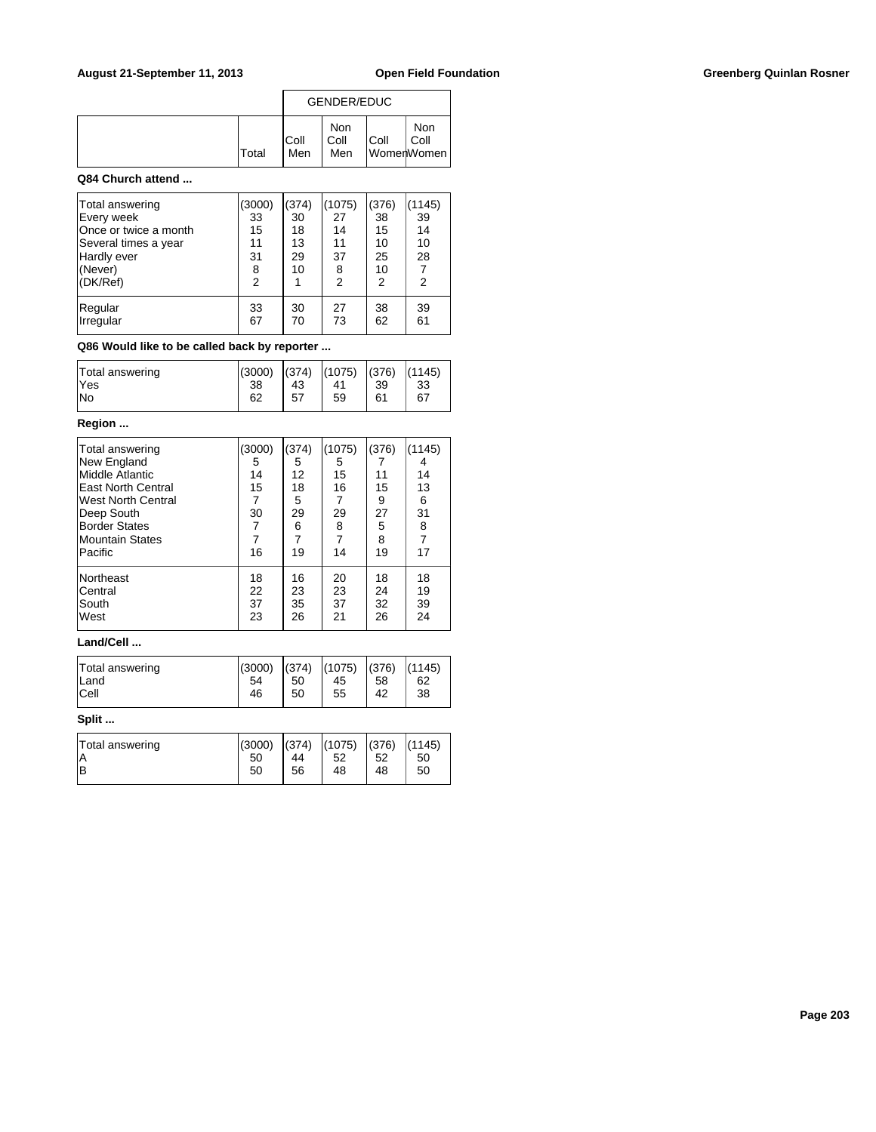|              |                    | <b>GENDER/EDUC</b> |      |                           |
|--------------|--------------------|--------------------|------|---------------------------|
| <b>Total</b> | <b>Coll</b><br>Men | Non<br>Coll<br>Men | Coll | Non<br>Coll<br>WomenWomen |

### **Q84 Church attend ...**

| Total answering<br>Every week<br>Once or twice a month<br>Several times a year<br>Hardly ever<br>(Never)<br>(DK/Ref) | (3000)<br>33<br>15<br>11<br>31<br>8<br>$\overline{2}$ | (374)<br>30<br>18<br>13<br>29<br>10 | (1075)<br>27<br>14<br>11<br>37<br>8<br>2 | (376)<br>38<br>15<br>10<br>25<br>10<br>2 | (1145)<br>39<br>14<br>10<br>28<br>2 |
|----------------------------------------------------------------------------------------------------------------------|-------------------------------------------------------|-------------------------------------|------------------------------------------|------------------------------------------|-------------------------------------|
| Regular                                                                                                              | 33                                                    | 30                                  | 27                                       | 38                                       | 39                                  |
| Irregular                                                                                                            | 67                                                    | 70                                  | 73                                       | 62                                       | 61                                  |

## **Q86 Would like to be called back by reporter ...**

| Total answering | (3000) | (374) | (1075) | (376) | (1145) |
|-----------------|--------|-------|--------|-------|--------|
| <b>Yes</b>      | 38     | 43    | 41     | 39    | 33     |
| lNo             | 62     | 57    | 59     | 61    | 67     |

# **Region ...**

| Total answering<br>New England<br>Middle Atlantic<br><b>IEast North Central</b><br>West North Central<br>Deep South<br><b>Border States</b><br>Mountain States<br>Pacific | (3000)<br>5<br>14<br>15<br>30<br>16 | (374)<br>5<br>12<br>18<br>5<br>29<br>6<br>$\overline{7}$<br>19 | (1075)<br>5<br>15<br>16<br>29<br>8<br>$\overline{7}$<br>14 | (376)<br>11<br>15<br>9<br>27<br>5<br>8<br>19 | (1145)<br>4<br>14<br>13<br>6<br>31<br>8<br>17 |
|---------------------------------------------------------------------------------------------------------------------------------------------------------------------------|-------------------------------------|----------------------------------------------------------------|------------------------------------------------------------|----------------------------------------------|-----------------------------------------------|
| <b>Northeast</b>                                                                                                                                                          | 18                                  | 16                                                             | 20                                                         | 18                                           | 18                                            |
| lCentral                                                                                                                                                                  | 22                                  | 23                                                             | 23                                                         | 24                                           | 19                                            |
| South                                                                                                                                                                     | 37                                  | 35                                                             | 37                                                         | 32                                           | 39                                            |
| West                                                                                                                                                                      | 23                                  | 26                                                             | 21                                                         | 26                                           | 24                                            |

### **Land/Cell ...**

| Total answering | (3000) | (374) | (1075) | (376) | (1145) |
|-----------------|--------|-------|--------|-------|--------|
| Land            | 54     | 50    | 45     | 58    | 62     |
| <b>Cell</b>     | 46     | 50    | 55     | 42    | 38     |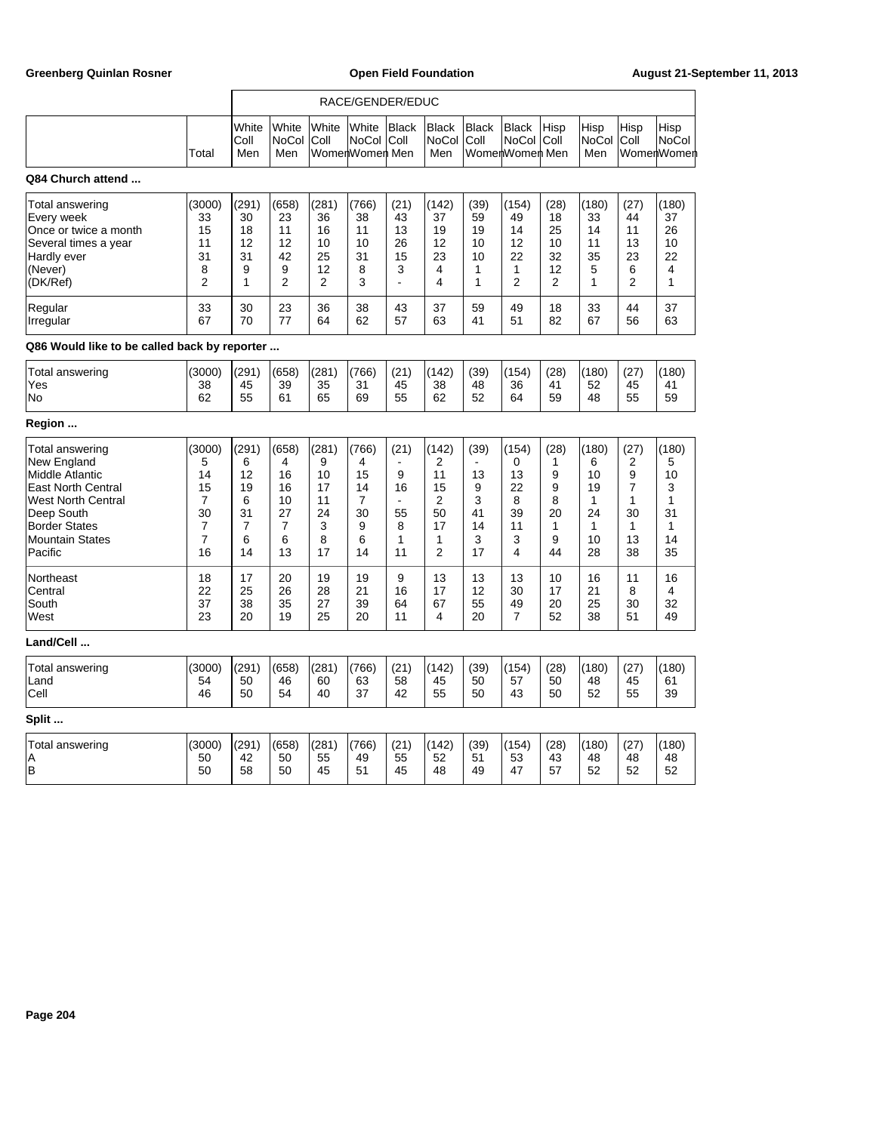|                                                                                                                                                                                               |                                                                              | RACE/GENDER/EDUC                                               |                                                    |                                                       |                                                   |                                       |                                                   |                                                               |                                                      |                                                |                                                                          |                                                              |                                                              |
|-----------------------------------------------------------------------------------------------------------------------------------------------------------------------------------------------|------------------------------------------------------------------------------|----------------------------------------------------------------|----------------------------------------------------|-------------------------------------------------------|---------------------------------------------------|---------------------------------------|---------------------------------------------------|---------------------------------------------------------------|------------------------------------------------------|------------------------------------------------|--------------------------------------------------------------------------|--------------------------------------------------------------|--------------------------------------------------------------|
|                                                                                                                                                                                               | Total                                                                        | White<br>Coll<br>Men                                           | White<br>NoCol<br>Men                              | White<br>Coll                                         | White<br><b>NoCol</b><br>WomenWomen Men           | Black<br>Coll                         | <b>Black</b><br><b>NoCol</b><br>Men               | <b>Black</b><br>Coll                                          | <b>Black</b><br><b>NoCol</b><br>WomenWomen Men       | Hisp<br>Coll                                   | Hisp<br><b>NoCol</b><br>Men                                              | Hisp<br>Coll                                                 | Hisp<br><b>NoCol</b><br>WomenWomen                           |
| Q84 Church attend                                                                                                                                                                             |                                                                              |                                                                |                                                    |                                                       |                                                   |                                       |                                                   |                                                               |                                                      |                                                |                                                                          |                                                              |                                                              |
| <b>Total answering</b><br>Every week<br>Once or twice a month<br>Several times a year<br>Hardly ever<br>(Never)<br>(DK/Ref)                                                                   | (3000)<br>33<br>15<br>11<br>31<br>8<br>$\overline{2}$                        | (291)<br>30<br>18<br>12<br>31<br>9<br>1                        | (658)<br>23<br>11<br>12<br>42<br>9<br>2            | (281)<br>36<br>16<br>10<br>25<br>12<br>$\overline{2}$ | (766)<br>38<br>11<br>10<br>31<br>8<br>3           | (21)<br>43<br>13<br>26<br>15<br>3     | (142)<br>37<br>19<br>12<br>23<br>4<br>4           | (39)<br>59<br>19<br>10<br>10<br>1<br>1                        | (154)<br>49<br>14<br>12<br>22<br>1<br>$\overline{2}$ | (28)<br>18<br>25<br>10<br>32<br>12<br>2        | (180)<br>33<br>14<br>11<br>35<br>5<br>1                                  | (27)<br>44<br>11<br>13<br>23<br>6<br>2                       | (180)<br>37<br>26<br>10<br>22<br>4<br>1                      |
| Regular<br>Irregular                                                                                                                                                                          | 33<br>67                                                                     | 30<br>70                                                       | 23<br>77                                           | 36<br>64                                              | 38<br>62                                          | 43<br>57                              | 37<br>63                                          | 59<br>41                                                      | 49<br>51                                             | 18<br>82                                       | 33<br>67                                                                 | 44<br>56                                                     | 37<br>63                                                     |
| Q86 Would like to be called back by reporter                                                                                                                                                  |                                                                              |                                                                |                                                    |                                                       |                                                   |                                       |                                                   |                                                               |                                                      |                                                |                                                                          |                                                              |                                                              |
| Total answering<br>Yes<br>No                                                                                                                                                                  | (3000)<br>38<br>62                                                           | (291)<br>45<br>55                                              | (658)<br>39<br>61                                  | (281)<br>35<br>65                                     | (766)<br>31<br>69                                 | (21)<br>45<br>55                      | (142)<br>38<br>62                                 | (39)<br>48<br>52                                              | (154)<br>36<br>64                                    | (28)<br>41<br>59                               | (180)<br>52<br>48                                                        | (27)<br>45<br>55                                             | (180)<br>41<br>59                                            |
| Region                                                                                                                                                                                        |                                                                              |                                                                |                                                    |                                                       |                                                   |                                       |                                                   |                                                               |                                                      |                                                |                                                                          |                                                              |                                                              |
| Total answering<br>New England<br><b>Middle Atlantic</b><br><b>East North Central</b><br><b>West North Central</b><br>Deep South<br><b>Border States</b><br><b>Mountain States</b><br>Pacific | (3000)<br>5<br>14<br>15<br>7<br>30<br>$\overline{7}$<br>$\overline{7}$<br>16 | (291)<br>6<br>12<br>19<br>6<br>31<br>$\overline{7}$<br>6<br>14 | (658)<br>4<br>16<br>16<br>10<br>27<br>7<br>6<br>13 | (281)<br>9<br>10<br>17<br>11<br>24<br>3<br>8<br>17    | (766)<br>4<br>15<br>14<br>7<br>30<br>9<br>6<br>14 | (21)<br>9<br>16<br>55<br>8<br>1<br>11 | (142)<br>2<br>11<br>15<br>2<br>50<br>17<br>1<br>2 | (39)<br>$\blacksquare$<br>13<br>9<br>3<br>41<br>14<br>3<br>17 | (154)<br>0<br>13<br>22<br>8<br>39<br>11<br>3<br>4    | (28)<br>1<br>9<br>9<br>8<br>20<br>1<br>9<br>44 | (180)<br>6<br>10<br>19<br>$\mathbf{1}$<br>24<br>$\mathbf{1}$<br>10<br>28 | (27)<br>2<br>9<br>$\overline{7}$<br>1<br>30<br>1<br>13<br>38 | (180)<br>5<br>10<br>3<br>1<br>31<br>$\mathbf{1}$<br>14<br>35 |
| Northeast<br>Central<br>South<br>West                                                                                                                                                         | 18<br>22<br>37<br>23                                                         | 17<br>25<br>38<br>20                                           | 20<br>26<br>35<br>19                               | 19<br>28<br>27<br>25                                  | 19<br>21<br>39<br>20                              | 9<br>16<br>64<br>11                   | 13<br>17<br>67<br>4                               | 13<br>12<br>55<br>20                                          | 13<br>30<br>49<br>7                                  | 10<br>17<br>20<br>52                           | 16<br>21<br>25<br>38                                                     | 11<br>8<br>30<br>51                                          | 16<br>4<br>32<br>49                                          |
| Land/Cell                                                                                                                                                                                     |                                                                              |                                                                |                                                    |                                                       |                                                   |                                       |                                                   |                                                               |                                                      |                                                |                                                                          |                                                              |                                                              |
| Total answering<br>Land<br>Cell                                                                                                                                                               | (3000)<br>54<br>46                                                           | (291)<br>50<br>50                                              | (658)<br>46<br>54                                  | (281)<br>60<br>40                                     | (766)<br>63<br>37                                 | (21)<br>58<br>42                      | (142)<br>45<br>55                                 | (39)<br>50<br>50                                              | (154)<br>57<br>43                                    | (28)<br>50<br>50                               | (180)<br>48<br>52                                                        | (27)<br>45<br>55                                             | (180)<br>61<br>39                                            |
| Split                                                                                                                                                                                         |                                                                              |                                                                |                                                    |                                                       |                                                   |                                       |                                                   |                                                               |                                                      |                                                |                                                                          |                                                              |                                                              |
| Total answering<br>A<br>B                                                                                                                                                                     | (3000)<br>50<br>50                                                           | (291)<br>42<br>58                                              | (658)<br>50<br>50                                  | (281)<br>55<br>45                                     | (766)<br>49<br>51                                 | (21)<br>55<br>45                      | (142)<br>52<br>48                                 | (39)<br>51<br>49                                              | (154)<br>53<br>47                                    | (28)<br>43<br>57                               | (180)<br>48<br>52                                                        | (27)<br>48<br>52                                             | (180)<br>48<br>52                                            |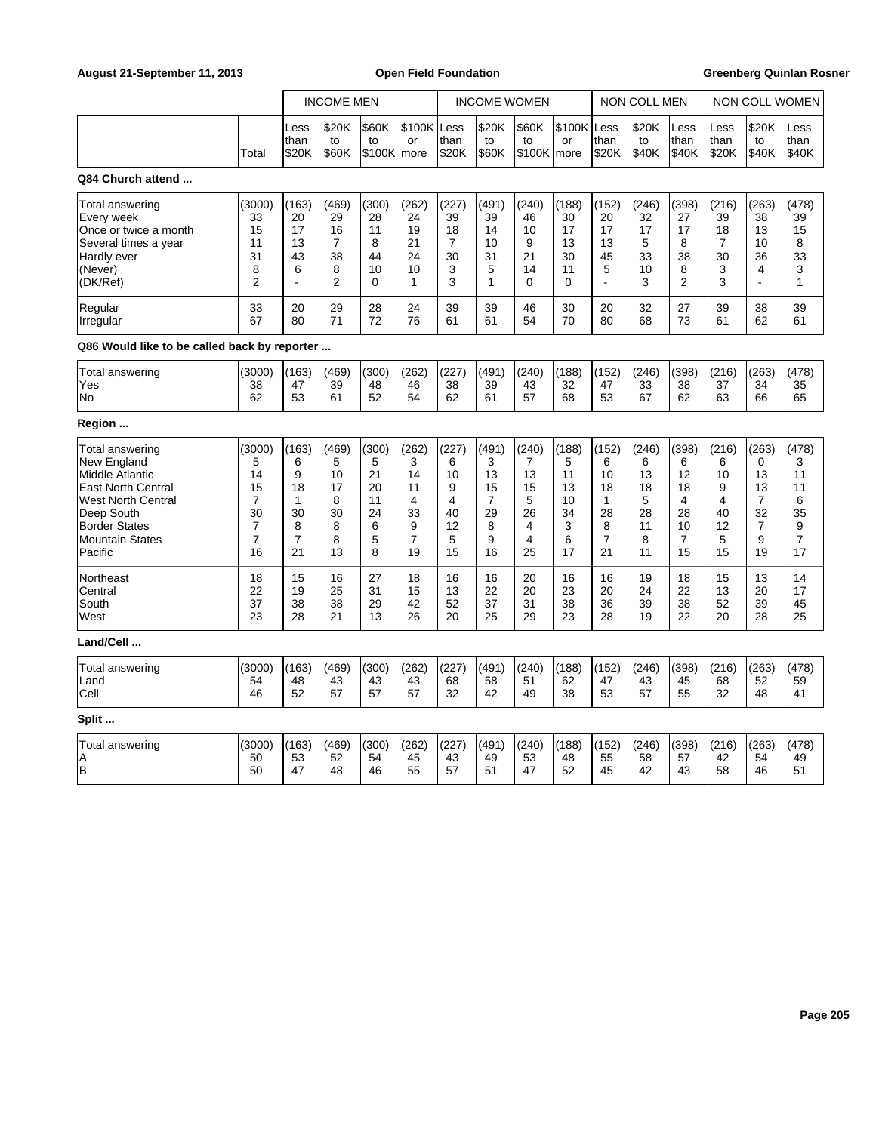|                                                                                                                                                                                               |                                                                              |                                                               | <b>INCOME MEN</b>                                                |                                                   | <b>INCOME WOMEN</b>                                                         |                                                     |                                                   |                                                   | <b>NON COLL MEN</b>                                |                                                                           |                                                    | <b>NON COLL WOMEN</b>                                           |                                                   |                                                                             |                                                                |
|-----------------------------------------------------------------------------------------------------------------------------------------------------------------------------------------------|------------------------------------------------------------------------------|---------------------------------------------------------------|------------------------------------------------------------------|---------------------------------------------------|-----------------------------------------------------------------------------|-----------------------------------------------------|---------------------------------------------------|---------------------------------------------------|----------------------------------------------------|---------------------------------------------------------------------------|----------------------------------------------------|-----------------------------------------------------------------|---------------------------------------------------|-----------------------------------------------------------------------------|----------------------------------------------------------------|
|                                                                                                                                                                                               | Total                                                                        | Less<br>than<br>\$20K                                         | \$20K<br>to<br>\$60K                                             | \$60K<br>to<br>\$100K   more                      | \$100K Less<br>or                                                           | than<br>\$20K                                       | \$20K<br>to<br>\$60K                              | \$60K<br>to<br>$$100K$ more                       | \$100K Less<br>or                                  | than<br>\$20K                                                             | \$20K<br>to<br>\$40K                               | Less<br>than<br>\$40K                                           | Less<br>than<br>\$20K                             | \$20K<br>to<br>\$40K                                                        | Less<br>than<br>\$40K                                          |
| Q84 Church attend                                                                                                                                                                             |                                                                              |                                                               |                                                                  |                                                   |                                                                             |                                                     |                                                   |                                                   |                                                    |                                                                           |                                                    |                                                                 |                                                   |                                                                             |                                                                |
| Total answering<br>Every week<br>Once or twice a month<br>Several times a year<br>Hardly ever<br>(Never)<br>(DK/Ref)                                                                          | (3000)<br>33<br>15<br>11<br>31<br>8<br>$\overline{2}$                        | (163)<br>20<br>17<br>13<br>43<br>6<br>÷.                      | (469)<br>29<br>16<br>$\overline{7}$<br>38<br>8<br>$\overline{2}$ | (300)<br>28<br>11<br>8<br>44<br>10<br>0           | (262)<br>24<br>19<br>21<br>24<br>10<br>1                                    | (227)<br>39<br>18<br>$\overline{7}$<br>30<br>3<br>3 | (491)<br>39<br>14<br>10<br>31<br>5<br>1           | (240)<br>46<br>10<br>9<br>21<br>14<br>0           | (188)<br>30<br>17<br>13<br>30<br>11<br>0           | (152)<br>20<br>17<br>13<br>45<br>5                                        | (246)<br>32<br>17<br>5<br>33<br>10<br>3            | (398)<br>27<br>17<br>8<br>38<br>8<br>$\overline{2}$             | (216)<br>39<br>18<br>7<br>30<br>3<br>3            | (263)<br>38<br>13<br>10<br>36<br>4<br>$\overline{a}$                        | (478)<br>39<br>15<br>8<br>33<br>3<br>1                         |
| Regular<br>Irregular                                                                                                                                                                          | 33<br>67                                                                     | 20<br>80                                                      | 29<br>71                                                         | 28<br>72                                          | 24<br>76                                                                    | 39<br>61                                            | 39<br>61                                          | 46<br>54                                          | 30<br>70                                           | 20<br>80                                                                  | 32<br>68                                           | 27<br>73                                                        | 39<br>61                                          | 38<br>62                                                                    | 39<br>61                                                       |
| Q86 Would like to be called back by reporter                                                                                                                                                  |                                                                              |                                                               |                                                                  |                                                   |                                                                             |                                                     |                                                   |                                                   |                                                    |                                                                           |                                                    |                                                                 |                                                   |                                                                             |                                                                |
| Total answering<br>Yes<br>No                                                                                                                                                                  | (3000)<br>38<br>62                                                           | (163)<br>47<br>53                                             | (469)<br>39<br>61                                                | (300)<br>48<br>52                                 | (262)<br>46<br>54                                                           | (227)<br>38<br>62                                   | (491)<br>39<br>61                                 | (240)<br>43<br>57                                 | (188)<br>32<br>68                                  | (152)<br>47<br>53                                                         | (246)<br>33<br>67                                  | (398)<br>38<br>62                                               | (216)<br>37<br>63                                 | (263)<br>34<br>66                                                           | (478)<br>35<br>65                                              |
| Region                                                                                                                                                                                        |                                                                              |                                                               |                                                                  |                                                   |                                                                             |                                                     |                                                   |                                                   |                                                    |                                                                           |                                                    |                                                                 |                                                   |                                                                             |                                                                |
| Total answering<br>New England<br><b>Middle Atlantic</b><br><b>East North Central</b><br><b>West North Central</b><br>Deep South<br><b>Border States</b><br><b>Mountain States</b><br>Pacific | (3000)<br>5<br>14<br>15<br>7<br>30<br>$\overline{7}$<br>$\overline{7}$<br>16 | (163)<br>6<br>9<br>18<br>1<br>30<br>8<br>$\overline{7}$<br>21 | (469)<br>5<br>10<br>17<br>8<br>30<br>8<br>8<br>13                | (300)<br>5<br>21<br>20<br>11<br>24<br>6<br>5<br>8 | (262)<br>3<br>14<br>11<br>$\overline{4}$<br>33<br>9<br>$\overline{7}$<br>19 | (227)<br>6<br>10<br>9<br>4<br>40<br>12<br>5<br>15   | (491)<br>3<br>13<br>15<br>7<br>29<br>8<br>9<br>16 | (240)<br>7<br>13<br>15<br>5<br>26<br>4<br>4<br>25 | (188)<br>5<br>11<br>13<br>10<br>34<br>3<br>6<br>17 | (152)<br>6<br>10<br>18<br>$\mathbf{1}$<br>28<br>8<br>$\overline{7}$<br>21 | (246)<br>6<br>13<br>18<br>5<br>28<br>11<br>8<br>11 | (398)<br>6<br>12<br>18<br>4<br>28<br>10<br>$\overline{7}$<br>15 | (216)<br>6<br>10<br>9<br>4<br>40<br>12<br>5<br>15 | (263)<br>0<br>13<br>13<br>$\overline{7}$<br>32<br>$\overline{7}$<br>9<br>19 | (478)<br>3<br>11<br>11<br>6<br>35<br>9<br>$\overline{7}$<br>17 |
| Northeast<br>Central<br>South<br>West                                                                                                                                                         | 18<br>22<br>37<br>23                                                         | 15<br>19<br>38<br>28                                          | 16<br>25<br>38<br>21                                             | 27<br>31<br>29<br>13                              | 18<br>15<br>42<br>26                                                        | 16<br>13<br>52<br>20                                | 16<br>22<br>37<br>25                              | 20<br>20<br>31<br>29                              | 16<br>23<br>38<br>23                               | 16<br>20<br>36<br>28                                                      | 19<br>24<br>39<br>19                               | 18<br>22<br>38<br>22                                            | 15<br>13<br>52<br>20                              | 13<br>20<br>39<br>28                                                        | 14<br>17<br>45<br>25                                           |
| Land/Cell                                                                                                                                                                                     |                                                                              |                                                               |                                                                  |                                                   |                                                                             |                                                     |                                                   |                                                   |                                                    |                                                                           |                                                    |                                                                 |                                                   |                                                                             |                                                                |
| Total answering<br>Land<br>Cell                                                                                                                                                               | (3000)<br>54<br>46                                                           | (163)<br>48<br>52                                             | (469)<br>43<br>57                                                | (300)<br>43<br>57                                 | (262)<br>43<br>57                                                           | (227)<br>68<br>32                                   | (491)<br>58<br>42                                 | (240)<br>51<br>49                                 | (188)<br>62<br>38                                  | (152)<br>47<br>53                                                         | (246)<br>43<br>57                                  | (398)<br>45<br>55                                               | (216)<br>68<br>32                                 | (263)<br>52<br>48                                                           | (478)<br>59<br>41                                              |
| Split                                                                                                                                                                                         |                                                                              |                                                               |                                                                  |                                                   |                                                                             |                                                     |                                                   |                                                   |                                                    |                                                                           |                                                    |                                                                 |                                                   |                                                                             |                                                                |
| Total answering<br>A<br> B                                                                                                                                                                    | (3000)<br>50<br>50                                                           | (163)<br>53<br>47                                             | (469)<br>52<br>48                                                | (300)<br>54<br>46                                 | (262)<br>45<br>55                                                           | (227)<br>43<br>57                                   | (491)<br>49<br>51                                 | (240)<br>53<br>47                                 | (188)<br>48<br>52                                  | (152)<br>55<br>45                                                         | (246)<br>58<br>42                                  | (398)<br>57<br>43                                               | (216)<br>42<br>58                                 | (263)<br>54<br>46                                                           | (478)<br>49<br>51                                              |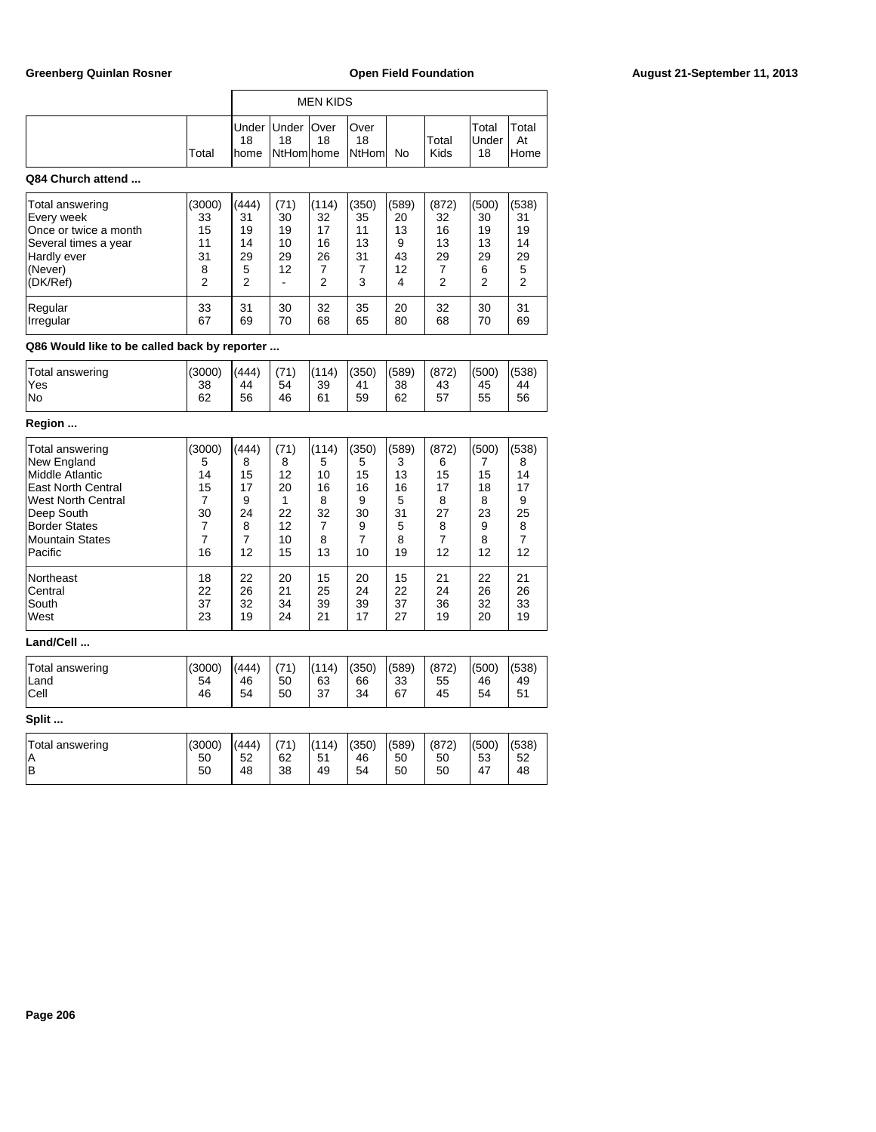|                   |       |             | <b>MEN KIDS</b>                                 |    |                             |    |               |                             |                      |
|-------------------|-------|-------------|-------------------------------------------------|----|-----------------------------|----|---------------|-----------------------------|----------------------|
|                   | Total | 18<br>Ihome | Under   Under   Over<br>18<br><b>NtHom home</b> | 18 | lOver<br>18<br><b>NtHom</b> | No | Total<br>Kids | Total<br><b>Under</b><br>18 | Total<br>At<br>lHome |
| Q84 Church attend |       |             |                                                 |    |                             |    |               |                             |                      |

| Total answering<br>Every week<br>Once or twice a month<br>Several times a year<br>Hardly ever<br>(Never)<br>(DK/Ref) | (3000)<br>33<br>15<br>11<br>31<br>8<br>2 | (444)<br>31<br>19<br>14<br>29<br>5<br>2 | (71)<br>30<br>19<br>10<br>29<br>12 | (114)<br>32<br>17<br>16<br>26<br>2 | (350)<br>35<br>11<br>13<br>31<br>3 | (589)<br>20<br>13<br>9<br>43<br>12<br>4 | (872)<br>32<br>16<br>13<br>29<br>2 | (500)<br>30<br>19<br>13<br>29<br>6<br>2 | (538)<br>31<br>19<br>14<br>29<br>5<br>2 |
|----------------------------------------------------------------------------------------------------------------------|------------------------------------------|-----------------------------------------|------------------------------------|------------------------------------|------------------------------------|-----------------------------------------|------------------------------------|-----------------------------------------|-----------------------------------------|
| Regular                                                                                                              | 33                                       | 31                                      | 30                                 | 32                                 | 35                                 | 20                                      | 32                                 | 30                                      | 31                                      |
| <b>Irregular</b>                                                                                                     | 67                                       | 69                                      | 70                                 | 68                                 | 65                                 | 80                                      | 68                                 | 70                                      | 69                                      |

# **Q86 Would like to be called back by reporter ...**

| Total answering | (3000) | (444) | (71) | (114) | (350) | (589) | (872) | (500) | (538) |
|-----------------|--------|-------|------|-------|-------|-------|-------|-------|-------|
| 'Yes            | 38     | 44    | 54   | 39    | 41    | 38    | 43    | 45    | 44    |
| lNo             | 62     | 56    | 46   | 61    | 59    | 62    | 57    | 55    | 56    |

# **Region ...**

| Total answering        | (3000) | (444) | (71) | (114) | (350) | (589) | (872) | (500) | (538)          |
|------------------------|--------|-------|------|-------|-------|-------|-------|-------|----------------|
| New England            | 5      | 8     | 8    | 5     | 5     | 3     | 6     | 7     | 8              |
| Middle Atlantic        | 14     | 15    | 12   | 10    | 15    | 13    | 15    | 15    | 14             |
| East North Central     | 15     | 17    | 20   | 16    | 16    | 16    | 17    | 18    | 17             |
| West North Central     | 7      | 9     | 1    | 8     | 9     | 5     | 8     | 8     | 9              |
| Deep South             | 30     | 24    | 22   | 32    | 30    | 31    | 27    | 23    | 25             |
| Border States          | 7      | 8     | 12   | 7     | 9     | 5     | 8     | 9     | 8              |
| Mountain States        | 7      | 7     | 10   | 8     | 7     | 8     | 7     | 8     | $\overline{7}$ |
| Pacific                | 16     | 12    | 15   | 13    | 10    | 19    | 12    | 12    | 12             |
| Northeast              | 18     | 22    | 20   | 15    | 20    | 15    | 21    | 22    | 21             |
| <b>Central</b>         | 22     | 26    | 21   | 25    | 24    | 22    | 24    | 26    | 26             |
| South                  | 37     | 32    | 34   | 39    | 39    | 37    | 36    | 32    | 33             |
| lWest                  | 23     | 19    | 24   | 21    | 17    | 27    | 19    | 20    | 19             |
| Land/Cell              |        |       |      |       |       |       |       |       |                |
| Total answering        | (3000) | (444) | (71) | (114) | (350) | (589) | (872) | (500) | (538)          |
| lLand                  | 54     | 46    | 50   | 63    | 66    | 33    | 55    | 46    | 49             |
| <b>Cell</b>            | 46     | 54    | 50   | 37    | 34    | 67    | 45    | 54    | 51             |
| Split                  |        |       |      |       |       |       |       |       |                |
| <b>Total answering</b> | (3000) | (444) | (71) | (114) | (350) | (589) | (872) | (500) | (538)          |

A 30 50 50 52 62 51 46 50 50 53 52 B 30 50 48 38 49 54 50 50 47 48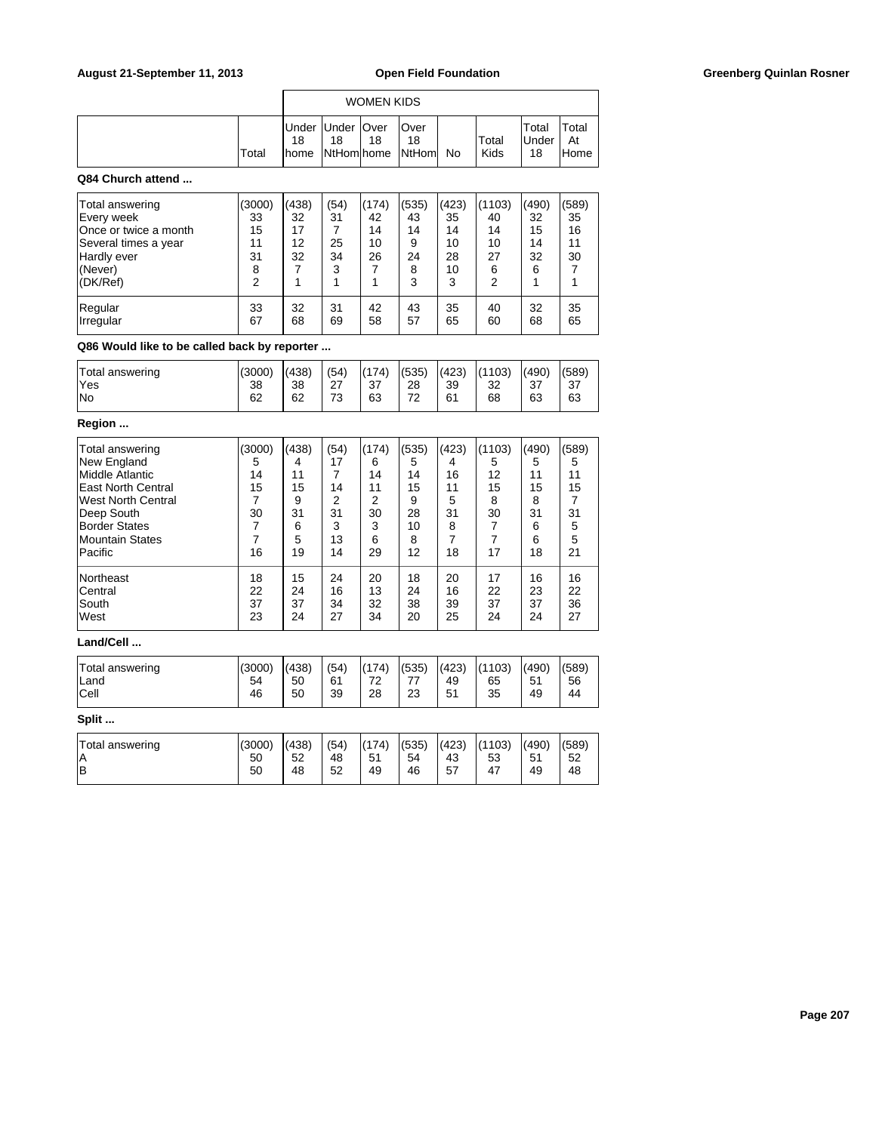| Total | 18 | Under Under   Over<br>18 | 18 | lOver<br>18<br>home NtHom home NtHom No |  | Total<br>Kids | Total<br><b>Under</b><br>18 | Total<br>At<br>lHome |
|-------|----|--------------------------|----|-----------------------------------------|--|---------------|-----------------------------|----------------------|

## **Q84 Church attend ...**

| Total answering        | (3000)   | (438)    | (54)     | (174)    | (535)    | (423)    | (1103)   | (490)    | (589)    |
|------------------------|----------|----------|----------|----------|----------|----------|----------|----------|----------|
| Every week             | 33       | 32       | 31       | 42       | 43       | 35       | 40       | 32       | 35       |
| lOnce or twice a month | 15       | 17       |          | 14       | 14       | 14       | 14       | 15       | 16       |
| Several times a year   | 11       | 12       | 25       | 10       | 9        | 10       | 10       | 14       | 11       |
| Hardly ever            | 31       | 32       | 34       | 26       | 24       | 28       | 27       | 32       | 30       |
| (Never)                | 8        |          | 3        |          | 8        | 10       | 6        | 6        |          |
| (DK/Ref)               | 2        |          |          |          | 3        | 3        | 2        |          |          |
| Regular<br>Irregular   | 33<br>67 | 32<br>68 | 31<br>69 | 42<br>58 | 43<br>57 | 35<br>65 | 40<br>60 | 32<br>68 | 35<br>65 |

**Q86 Would like to be called back by reporter ...**

| Total answering | (3000) | (438) | (54)      | (174) | (535)   | (423) | (1103) | (490) | (589) |
|-----------------|--------|-------|-----------|-------|---------|-------|--------|-------|-------|
| 'Yes            | 38     | 38    | っっ<br>، ے | 37    | 28      | 39    | 32     | 37    | -37   |
| <b>No</b>       | 62     | 62    | 72<br>ು   | 63    | 70<br>∠ | 61    | 68     | 63    | 63    |
|                 |        |       |           |       |         |       |        |       |       |

# **Region ...**

| Total answering           | (3000) | (438) | (54) | (174) | (535) | (423) | (1103) | (490) | (589) |
|---------------------------|--------|-------|------|-------|-------|-------|--------|-------|-------|
| New England               | 5      | 4     | 17   | 6     | 5     | 4     | 5      | 5     | 5     |
| Middle Atlantic           | 14     | 11    |      | 14    | 14    | 16    | 12     | 11    | 11    |
| <b>East North Central</b> | 15     | 15    | 14   | 11    | 15    | 11    | 15     | 15    | 15    |
|                           |        |       |      |       |       |       |        |       |       |
| <b>West North Central</b> |        | 9     | 2    | 2     | 9     | 5     | 8      | 8     |       |
| Deep South                | 30     | 31    | 31   | 30    | 28    | 31    | 30     | 31    | 31    |
| <b>Border States</b>      |        | 6     | 3    | 3     | 10    | 8     | 7      | 6     | 5     |
| Mountain States           |        | 5     | 13   | 6     | 8     | 7     |        | 6     | 5     |
| Pacific                   | 16     | 19    | 14   | 29    | 12    | 18    | 17     | 18    | 21    |
| <b>Northeast</b>          | 18     | 15    | 24   | 20    | 18    | 20    | 17     | 16    | 16    |
| Central                   | 22     | 24    | 16   | 13    | 24    | 16    | 22     | 23    | 22    |
| South                     | 37     | 37    | 34   | 32    | 38    | 39    | 37     | 37    | 36    |
| West                      | 23     | 24    | 27   | 34    | 20    | 25    | 24     | 24    | 27    |
| Land/Cell                 |        |       |      |       |       |       |        |       |       |

| Total answering | (3000) | (438) | (54) | (174) | (535) | (423) | (1103) | (490) | (589) |
|-----------------|--------|-------|------|-------|-------|-------|--------|-------|-------|
| <b>Land</b>     | 54     | 50    | 61   | 72    | 77    | 49    | 65     | 51    | 56    |
| Cell            | 46     | 50    | 39   | 28    | 23    | 51    | 35     | 49    | 44    |
| Split           |        |       |      |       |       |       |        |       |       |

| Total answering<br>ΙA | (3000)<br>50 | (438)<br>52 | (54)<br>48 | (174)<br>51 | (535)<br>54 | (423)<br>43 | (1103)<br>53 | (490)<br>51 | (589)<br>52 |
|-----------------------|--------------|-------------|------------|-------------|-------------|-------------|--------------|-------------|-------------|
| lв                    | 50           | 48          | 52         | 49          | 46          | 57          | 47           | 49          | 48          |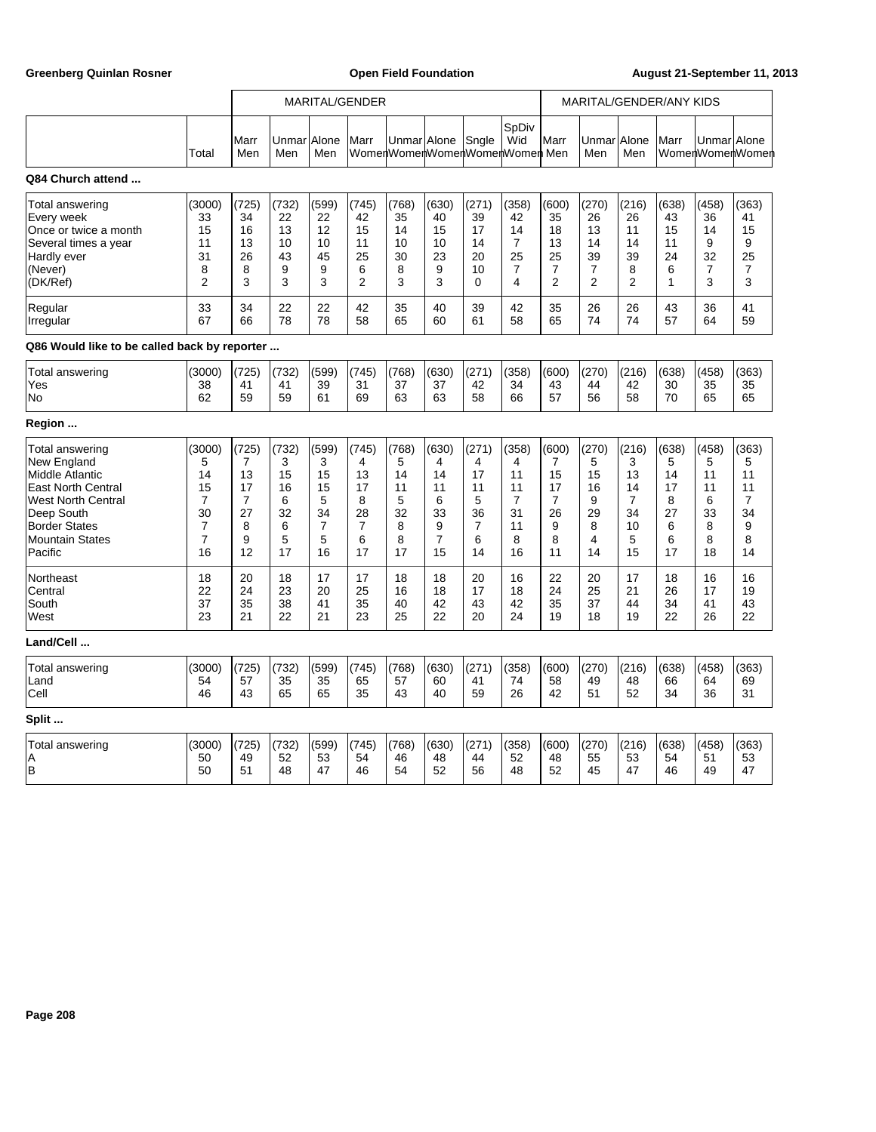Greenberg Quinlan Rosner **Communist Communist Communist Communist Communist Communist Communist Communist Communist Communist Communist Communist Communist Communist Communist Communist Communist Communist Communist Commun** 

|                                              |                |             | MARITAL/GENDER      |                |                |                                               |                |                | MARITAL/GENDER/ANY KIDS |                |                |                |              |              |                 |
|----------------------------------------------|----------------|-------------|---------------------|----------------|----------------|-----------------------------------------------|----------------|----------------|-------------------------|----------------|----------------|----------------|--------------|--------------|-----------------|
|                                              | Total          | Marr<br>Men | Unmar Allone<br>Men | Men            | Marr           | Unmar Allone<br>WomenWomenWomenWomenWomen Men |                | Sngle          | SpDiv<br>Wid            | Marr           | Unmar<br>Men   | Alone<br>Men   | Marr         | Unmar Allone | WomenWomenWomen |
| Q84 Church attend                            |                |             |                     |                |                |                                               |                |                |                         |                |                |                |              |              |                 |
| Total answering                              | (3000)         | (725)       | (732)               | (599)          | (745)          | (768)                                         | (630)          | (271)          | (358)                   | (600)          | (270)          | (216)          | (638)        | (458)        | (363)           |
| Every week                                   | 33             | 34          | 22                  | 22             | 42             | 35                                            | 40             | 39             | 42                      | 35             | 26             | 26             | 43           | 36           | 41              |
| Once or twice a month                        | 15             | 16          | 13                  | 12             | 15             | 14                                            | 15             | 17             | 14                      | 18             | 13             | 11             | 15           | 14           | 15              |
| Several times a year                         | 11             | 13          | 10                  | 10             | 11             | 10                                            | 10             | 14             | $\overline{7}$          | 13             | 14             | 14             | 11           | 9            | 9               |
| Hardly ever                                  | 31             | 26          | 43                  | 45             | 25             | 30                                            | 23             | 20             | 25                      | 25             | 39             | 39             | 24           | 32           | 25              |
| (Never)                                      | 8              | 8           | 9                   | 9              | 6              | 8                                             | 9              | 10             | $\overline{7}$          | 7              | 7              | 8              | 6            | 7            | $\overline{7}$  |
| (DK/Ref)                                     | $\overline{2}$ | 3           | 3                   | 3              | 2              | 3                                             | 3              | $\Omega$       | 4                       | $\overline{2}$ | $\overline{2}$ | $\overline{2}$ | $\mathbf{1}$ | 3            | 3               |
| Regular                                      | 33             | 34          | 22                  | 22             | 42             | 35                                            | 40             | 39             | 42                      | 35             | 26             | 26             | 43           | 36           | 41              |
| Irregular                                    | 67             | 66          | 78                  | 78             | 58             | 65                                            | 60             | 61             | 58                      | 65             | 74             | 74             | 57           | 64           | 59              |
| Q86 Would like to be called back by reporter |                |             |                     |                |                |                                               |                |                |                         |                |                |                |              |              |                 |
| <b>Total answering</b>                       | (3000)         | (725)       | (732)               | (599)          | (745)          | (768)                                         | (630)          | (271)          | (358)                   | (600)          | (270)          | (216)          | (638)        | (458)        | (363)           |
| Yes                                          | 38             | 41          | 41                  | 39             | 31             | 37                                            | 37             | 42             | 34                      | 43             | 44             | 42             | 30           | 35           | 35              |
| No                                           | 62             | 59          | 59                  | 61             | 69             | 63                                            | 63             | 58             | 66                      | 57             | 56             | 58             | 70           | 65           | 65              |
| Region                                       |                |             |                     |                |                |                                               |                |                |                         |                |                |                |              |              |                 |
| Total answering                              | (3000)         | (725)       | (732)               | (599)          | (745)          | (768)                                         | (630)          | (271)          | (358)                   | (600)          | (270)          | (216)          | (638)        | (458)        | (363)           |
| <b>New England</b>                           | 5              | 7           | 3                   | 3              | 4              | 5                                             | 4              | 4              | 4                       | $\overline{7}$ | 5              | 3              | 5            | 5            | 5               |
| <b>Middle Atlantic</b>                       | 14             | 13          | 15                  | 15             | 13             | 14                                            | 14             | 17             | 11                      | 15             | 15             | 13             | 14           | 11           | 11              |
| <b>East North Central</b>                    | 15             | 17          | 16                  | 15             | 17             | 11                                            | 11             | 11             | 11                      | 17             | 16             | 14             | 17           | 11           | 11              |
| <b>West North Central</b>                    | $\overline{7}$ | 7           | 6                   | 5              | 8              | 5                                             | 6              | 5              | $\overline{7}$          | $\overline{7}$ | 9              | $\overline{7}$ | 8            | 6            | $\overline{7}$  |
| Deep South                                   | 30             | 27          | 32                  | 34             | 28             | 32                                            | 33             | 36             | 31                      | 26             | 29             | 34             | 27           | 33           | 34              |
| <b>Border States</b>                         | $\overline{7}$ | 8           | 6                   | $\overline{7}$ | $\overline{7}$ | 8                                             | 9              | $\overline{7}$ | 11                      | 9              | 8              | 10             | 6            | 8            | 9               |
| <b>Mountain States</b>                       | $\overline{7}$ | 9           | 5                   | 5              | 6              | 8                                             | $\overline{7}$ | 6              | 8                       | 8              | 4              | 5              | 6            | 8            | 8               |
| Pacific                                      | 16             | 12          | 17                  | 16             | 17             | 17                                            | 15             | 14             | 16                      | 11             | 14             | 15             | 17           | 18           | 14              |
| Northeast                                    | 18             | 20          | 18                  | 17             | 17             | 18                                            | 18             | 20             | 16                      | 22             | 20             | 17             | 18           | 16           | 16              |
| Central                                      | 22             | 24          | 23                  | 20             | 25             | 16                                            | 18             | 17             | 18                      | 24             | 25             | 21             | 26           | 17           | 19              |
| South                                        | 37             | 35          | 38                  | 41             | 35             | 40                                            | 42             | 43             | 42                      | 35             | 37             | 44             | 34           | 41           | 43              |
| West                                         | 23             | 21          | 22                  | 21             | 23             | 25                                            | 22             | 20             | 24                      | 19             | 18             | 19             | 22           | 26           | 22              |
| Land/Cell                                    |                |             |                     |                |                |                                               |                |                |                         |                |                |                |              |              |                 |
| Total answering                              | (3000)         | (725)       | (732)               | (599)          | (745)          | (768)                                         | (630)          | (271)          | (358)                   | (600)          | (270)          | (216)          | (638)        | (458)        | (363)           |
| Land                                         | 54             | 57          | 35                  | 35             | 65             | 57                                            | 60             | 41             | 74                      | 58             | 49             | 48             | 66           | 64           | 69              |
| Cell                                         | 46             | 43          | 65                  | 65             | 35             | 43                                            | 40             | 59             | 26                      | 42             | 51             | 52             | 34           | 36           | 31              |
| Split                                        |                |             |                     |                |                |                                               |                |                |                         |                |                |                |              |              |                 |
| Total answering                              | (3000)         | (725)       | (732)               | (599)          | (745)          | (768)                                         | (630)          | (271)          | (358)                   | (600)          | (270)          | (216)          | (638)        | (458)        | (363)           |
| A                                            | 50             | 49          | 52                  | 53             | 54             | 46                                            | 48             | 44             | 52                      | 48             | 55             | 53             | 54           | 51           | 53              |
| lв                                           | 50             | 51          | 48                  | 47             | 46             | 54                                            | 52             | 56             | 48                      | 52             | 45             | 47             | 46           | 49           | 47              |